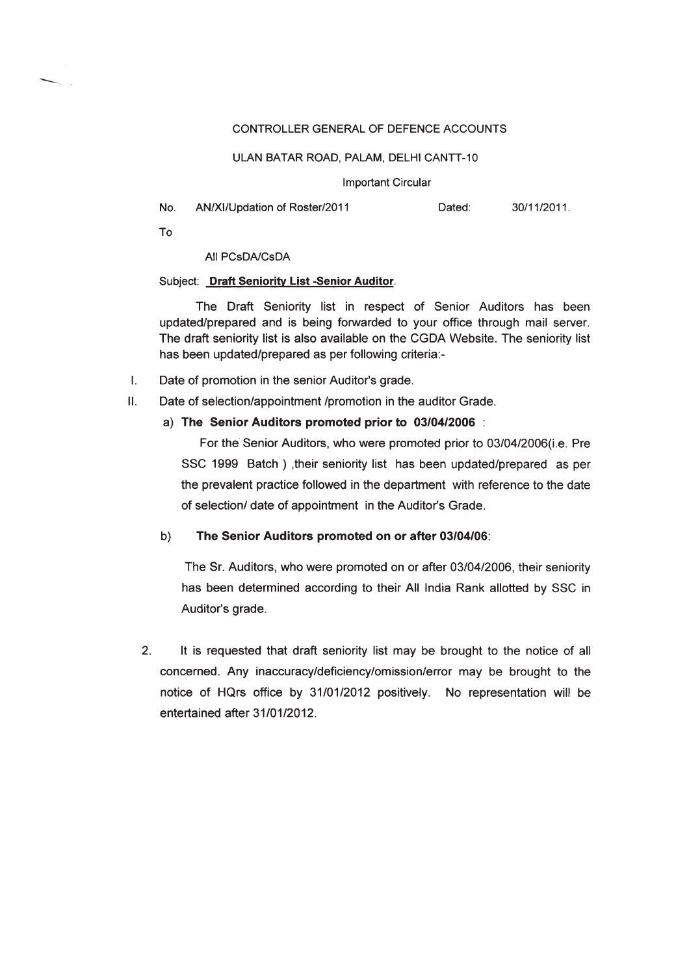## CONTROLLER GENERAL OF DEFENCE ACCOUNTS

## ULAN BATAR ROAD, PALAM, DELHI CANTT-10

#### **Important Circular**

| No | AN/XI/Updation of Roster/2011 | Dated: | 30/11/2011. |
|----|-------------------------------|--------|-------------|
|----|-------------------------------|--------|-------------|

To

# All PCsDA/CsDA

# Subject: Draft Seniority List -Senior Auditor.

The Draft Seniority list in respect of Senior Auditors has been updated/prepared and is being forwarded to your office through mail server. The draft seniority list is also available on the CGDA Website. The seniority list has been updated/prepared as per following criteria:-

- $\mathbf{L}$ Date of promotion in the senior Auditor's grade.
- $H<sub>1</sub>$ Date of selection/appointment /promotion in the auditor Grade.

# a) The Senior Auditors promoted prior to 03/04/2006:

For the Senior Auditors, who were promoted prior to 03/04/2006(i.e. Pre SSC 1999 Batch), their seniority list has been updated/prepared as per the prevalent practice followed in the department with reference to the date of selection/ date of appointment in the Auditor's Grade.

#### The Senior Auditors promoted on or after 03/04/06:  $b)$

The Sr. Auditors, who were promoted on or after 03/04/2006, their seniority has been determined according to their All India Rank allotted by SSC in Auditor's grade.

 $2.$ It is requested that draft seniority list may be brought to the notice of all concerned. Any inaccuracy/deficiency/omission/error may be brought to the notice of HQrs office by 31/01/2012 positively. No representation will be entertained after 31/01/2012.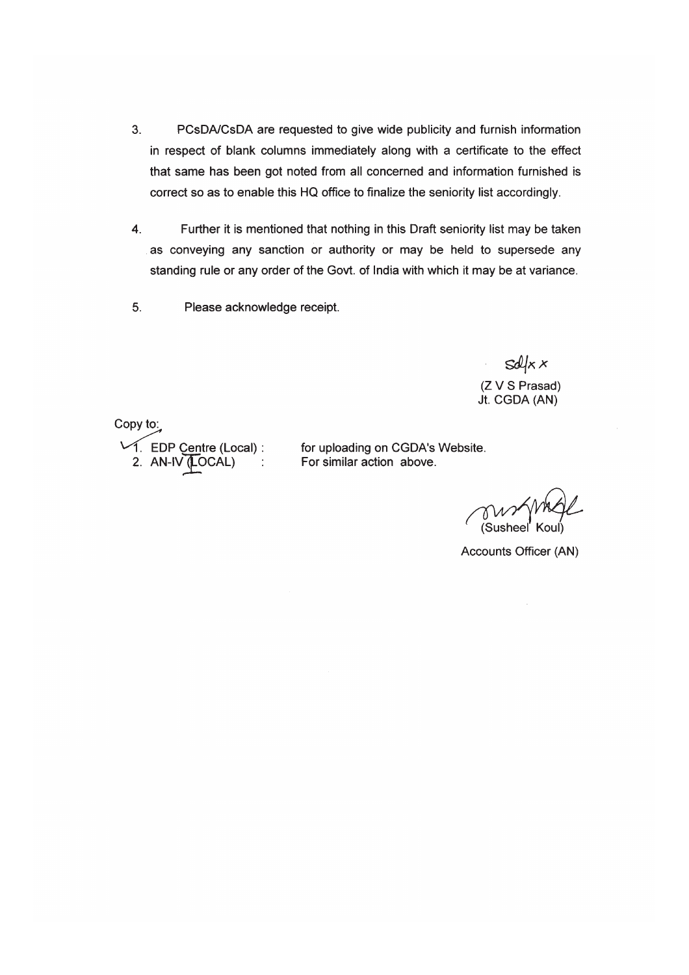- 3. PCsDA/CsDA are requested to give wide publicity and furnish information in respect of blank columns immediately along with a certificate to the effect that same has been got noted from all concerned and information furnished is correct so as to enable this HQ office to finalize the seniority list accordingly.
- $\overline{\mathbf{4}}$ . Further it is mentioned that nothing in this Draft seniority list may be taken as conveying any sanction or authority or may be held to supersede any standing rule or any order of the Govt. of India with which it may be at variance.
- 5. Please acknowledge receipt.

 $sdkx$ (Z V S Prasad) Jt. CGDA (AN)

Copy to: 1. EDP Centre (Local) :<br>2. AN-IV (LOCAL) :

for uploading on CGDA's Website. For similar action above.

Susheel

Accounts Officer (AN)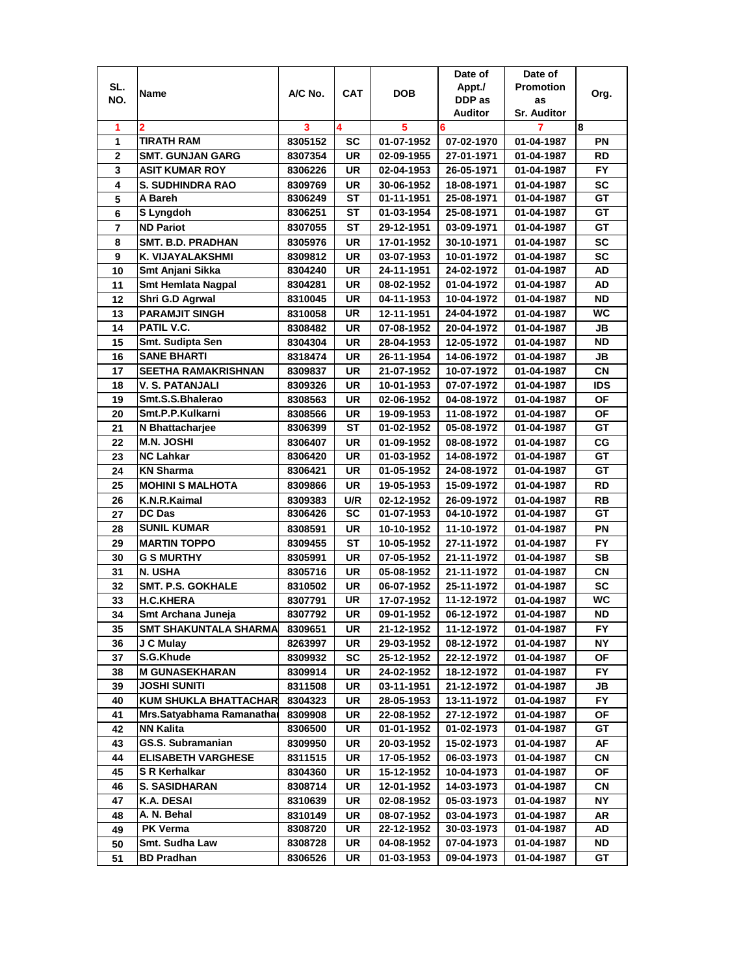|                |                              |                    |            |                  | Date of                  | Date of                  |           |
|----------------|------------------------------|--------------------|------------|------------------|--------------------------|--------------------------|-----------|
| SL.            | Name                         | A/C No.            | <b>CAT</b> | <b>DOB</b>       | Appt./                   | <b>Promotion</b>         | Org.      |
| NO.            |                              |                    |            |                  | DDP as                   | as                       |           |
|                |                              |                    |            |                  | <b>Auditor</b>           | <b>Sr. Auditor</b>       |           |
| 1              | 2                            | 3                  | 4          | 5                | 6                        | 7                        | 8         |
| 1              | <b>TIRATH RAM</b>            | 8305152            | SC         | 01-07-1952       | 07-02-1970               | 01-04-1987               | PN        |
| 2              | <b>SMT. GUNJAN GARG</b>      | 8307354            | UR         | 02-09-1955       | 27-01-1971               | 01-04-1987               | <b>RD</b> |
| 3              | <b>ASIT KUMAR ROY</b>        | 8306226            | <b>UR</b>  | 02-04-1953       | 26-05-1971               | 01-04-1987               | <b>FY</b> |
| 4              | S. SUDHINDRA RAO             | 8309769            | UR         | 30-06-1952       | 18-08-1971               | 01-04-1987               | <b>SC</b> |
| 5              | A Bareh                      | 8306249            | SТ         | 01-11-1951       | 25-08-1971               | 01-04-1987               | GT        |
| 6              | S Lyngdoh                    | 8306251            | SТ         | 01-03-1954       | 25-08-1971               | 01-04-1987               | GT        |
| $\overline{7}$ | <b>ND Pariot</b>             | 8307055            | <b>ST</b>  | 29-12-1951       | 03-09-1971               | 01-04-1987               | GT        |
| 8              | <b>SMT. B.D. PRADHAN</b>     | 8305976            | UR         | 17-01-1952       | 30-10-1971               | 01-04-1987               | SC        |
| 9              | K. VIJAYALAKSHMI             | 8309812            | <b>UR</b>  | 03-07-1953       | 10-01-1972               | 01-04-1987               | <b>SC</b> |
| 10             | Smt Anjani Sikka             | 8304240            | <b>UR</b>  | 24-11-1951       | 24-02-1972               | 01-04-1987               | AD        |
| 11             | <b>Smt Hemlata Nagpal</b>    | 8304281            | <b>UR</b>  | 08-02-1952       | 01-04-1972               | 01-04-1987               | AD        |
| 12             | Shri G.D Agrwal              | 8310045            | <b>UR</b>  | 04-11-1953       | 10-04-1972               | 01-04-1987               | <b>ND</b> |
| 13             | <b>PARAMJIT SINGH</b>        | 8310058            | <b>UR</b>  | 12-11-1951       | 24-04-1972               | 01-04-1987               | WС        |
| 14             | PATIL V.C.                   | 8308482            | UR         | 07-08-1952       | 20-04-1972               | 01-04-1987               | JB        |
| 15             | Smt. Sudipta Sen             | 8304304            | <b>UR</b>  | 28-04-1953       | 12-05-1972               | 01-04-1987               | <b>ND</b> |
| 16             | SANE BHARTI                  | 8318474            | UR         | 26-11-1954       | 14-06-1972               | 01-04-1987               | JB        |
| 17             | SEETHA RAMAKRISHNAN          | 8309837            | UR         | 21-07-1952       | 10-07-1972               | 01-04-1987               | <b>CN</b> |
| 18             | V. S. PATANJALI              | 8309326            | <b>UR</b>  | 10-01-1953       | 07-07-1972               | 01-04-1987               | IDS       |
| 19             | Smt.S.S.Bhalerao             | 8308563            | <b>UR</b>  | 02-06-1952       | 04-08-1972               | 01-04-1987               | OF        |
| 20             | Smt.P.P.Kulkarni             | 8308566            | <b>UR</b>  | 19-09-1953       | 11-08-1972               | 01-04-1987               | OF        |
| 21             | N Bhattacharjee              | 8306399            | SТ         | 01-02-1952       | 05-08-1972               | 01-04-1987               | GТ        |
| 22             | <b>M.N. JOSHI</b>            |                    | <b>UR</b>  | 01-09-1952       | 08-08-1972               |                          | CG        |
| 23             | <b>NC Lahkar</b>             | 8306407<br>8306420 | <b>UR</b>  | $01 - 03 - 1952$ | 14-08-1972               | 01-04-1987<br>01-04-1987 | GТ        |
| 24             | <b>KN Sharma</b>             | 8306421            | <b>UR</b>  | 01-05-1952       | 24-08-1972               | 01-04-1987               | GT        |
| 25             | <b>MOHINI S MALHOTA</b>      | 8309866            | <b>UR</b>  | 19-05-1953       | 15-09-1972               | 01-04-1987               | RD        |
| 26             | K.N.R.Kaimal                 | 8309383            | U/R        | 02-12-1952       | 26-09-1972               | 01-04-1987               | <b>RB</b> |
| 27             | <b>DC Das</b>                | 8306426            | <b>SC</b>  | 01-07-1953       | 04-10-1972               | 01-04-1987               | GT        |
| 28             | <b>SUNIL KUMAR</b>           | 8308591            | <b>UR</b>  | 10-10-1952       | 11-10-1972               | 01-04-1987               | PN        |
| 29             | <b>MARTIN TOPPO</b>          | 8309455            | <b>ST</b>  | 10-05-1952       | 27-11-1972               | 01-04-1987               | <b>FY</b> |
| 30             | <b>G S MURTHY</b>            | 8305991            | <b>UR</b>  | 07-05-1952       | 21-11-1972               | 01-04-1987               | <b>SB</b> |
| 31             | N. USHA                      | 8305716            | UR         | 05-08-1952       | 21-11-1972               |                          | CN        |
| 32             | SMT. P.S. GOKHALE            |                    | UR         | 06-07-1952       |                          | 01-04-1987               | <b>SC</b> |
|                |                              | 8310502            | UR         |                  | 25-11-1972<br>11-12-1972 | 01-04-1987<br>01-04-1987 | WC        |
| 33             | H.C.KHERA                    | 8307791            | <b>UR</b>  | 17-07-1952       | 06-12-1972               |                          | <b>ND</b> |
| 34             | Smt Archana Juneja           | 8307792            |            | 09-01-1952       |                          | 01-04-1987               |           |
| 35             | SMT SHAKUNTALA SHARMA        | 8309651            | UR         | 21-12-1952       | 11-12-1972               | 01-04-1987               | FY        |
| 36             | J C Mulay<br>S.G.Khude       | 8263997            | UR         | 29-03-1952       | 08-12-1972               | 01-04-1987               | ΝY        |
| 37             |                              | 8309932            | <b>SC</b>  | 25-12-1952       | 22-12-1972               | 01-04-1987               | ОF        |
| 38             | <b>M GUNASEKHARAN</b>        | 8309914            | UR         | 24-02-1952       | 18-12-1972               | 01-04-1987               | FY.       |
| 39             | JOSHI SUNITI                 | 8311508            | UR         | 03-11-1951       | 21-12-1972               | 01-04-1987               | JB        |
| 40             | <b>KUM SHUKLA BHATTACHAR</b> | 8304323            | UR         | 28-05-1953       | 13-11-1972               | 01-04-1987               | FY.       |
| 41             | Mrs.Satyabhama Ramanatha     | 8309908            | UR         | 22-08-1952       | 27-12-1972               | 01-04-1987               | ОF        |
| 42             | <b>NN Kalita</b>             | 8306500            | UR         | 01-01-1952       | 01-02-1973               | 01-04-1987               | GT        |
| 43             | GS.S. Subramanian            | 8309950            | UR         | 20-03-1952       | 15-02-1973               | 01-04-1987               | AF        |
| 44             | <b>ELISABETH VARGHESE</b>    | 8311515            | UR         | 17-05-1952       | 06-03-1973               | 01-04-1987               | CN        |
| 45             | S R Kerhalkar                | 8304360            | UR         | 15-12-1952       | 10-04-1973               | 01-04-1987               | OF        |
| 46             | <b>S. SASIDHARAN</b>         | 8308714            | UR         | 12-01-1952       | 14-03-1973               | 01-04-1987               | <b>CN</b> |
| 47             | K.A. DESAI                   | 8310639            | UR         | 02-08-1952       | 05-03-1973               | 01-04-1987               | NΥ        |
| 48             | A. N. Behal                  | 8310149            | UR         | 08-07-1952       | 03-04-1973               | 01-04-1987               | AR        |
| 49             | <b>PK Verma</b>              | 8308720            | UR         | 22-12-1952       | 30-03-1973               | 01-04-1987               | AD        |
| 50             | Smt. Sudha Law               | 8308728            | UR         | 04-08-1952       | 07-04-1973               | 01-04-1987               | ND        |
| 51             | <b>BD Pradhan</b>            | 8306526            | UR         | 01-03-1953       | 09-04-1973               | 01-04-1987               | GT        |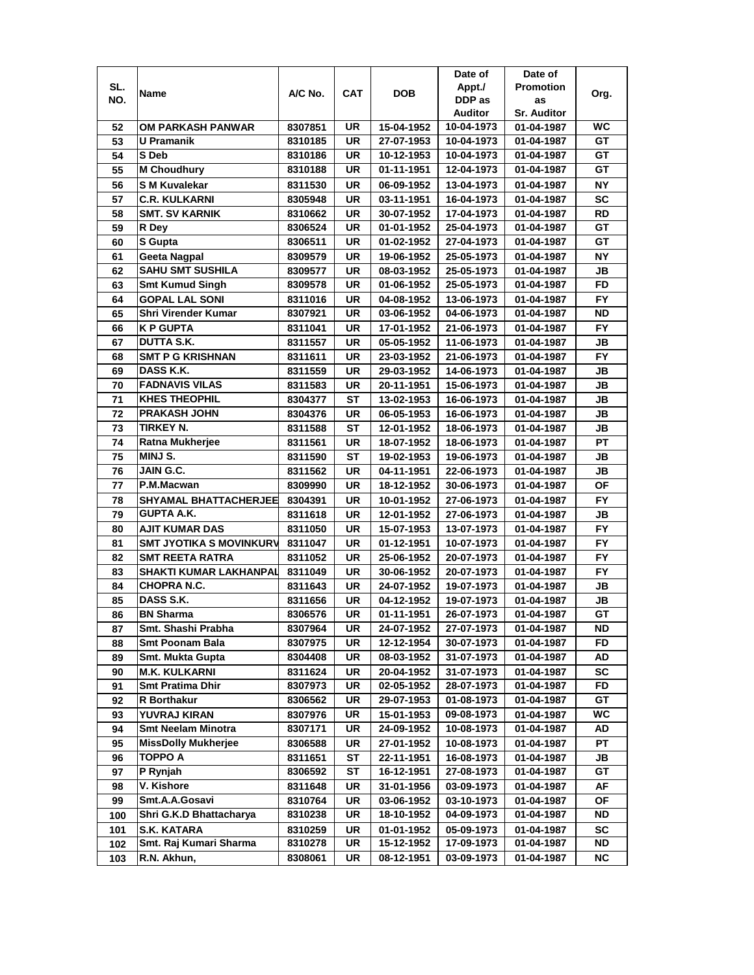|     |                                |         |            |            | Date of        | Date of            |           |
|-----|--------------------------------|---------|------------|------------|----------------|--------------------|-----------|
| SL. |                                | A/C No. | <b>CAT</b> | <b>DOB</b> | Appt./         | <b>Promotion</b>   |           |
| NO. | Name                           |         |            |            | DDP as         | as                 | Org.      |
|     |                                |         |            |            | <b>Auditor</b> | <b>Sr. Auditor</b> |           |
| 52  | OM PARKASH PANWAR              | 8307851 | UR         | 15-04-1952 | 10-04-1973     | 01-04-1987         | <b>WC</b> |
| 53  | $\overline{U}$ Pramanik        | 8310185 | UR         | 27-07-1953 | 10-04-1973     | 01-04-1987         | GT        |
| 54  | S Deb                          | 8310186 | <b>UR</b>  | 10-12-1953 | 10-04-1973     | 01-04-1987         | GT        |
| 55  | <b>M Choudhury</b>             | 8310188 | UR         | 01-11-1951 | 12-04-1973     | 01-04-1987         | GT        |
| 56  | <b>SM Kuvalekar</b>            | 8311530 | <b>UR</b>  | 06-09-1952 | 13-04-1973     | 01-04-1987         | <b>NY</b> |
| 57  | <b>C.R. KULKARNI</b>           | 8305948 | UR         | 03-11-1951 | 16-04-1973     | 01-04-1987         | <b>SC</b> |
| 58  | <b>SMT. SV KARNIK</b>          | 8310662 | UR         | 30-07-1952 | 17-04-1973     | 01-04-1987         | <b>RD</b> |
| 59  | R Dey                          | 8306524 | UR         | 01-01-1952 | 25-04-1973     | 01-04-1987         | GT        |
| 60  | <b>S</b> Gupta                 | 8306511 | UR         | 01-02-1952 | 27-04-1973     | 01-04-1987         | GT        |
| 61  | <b>Geeta Nagpal</b>            | 8309579 | UR         | 19-06-1952 | 25-05-1973     | 01-04-1987         | ΝY        |
| 62  | <b>SAHU SMT SUSHILA</b>        | 8309577 | UR         | 08-03-1952 | 25-05-1973     | 01-04-1987         | JB        |
| 63  | <b>Smt Kumud Singh</b>         | 8309578 | UR         | 01-06-1952 | 25-05-1973     | 01-04-1987         | <b>FD</b> |
| 64  | <b>GOPAL LAL SONI</b>          | 8311016 | <b>UR</b>  | 04-08-1952 | 13-06-1973     | 01-04-1987         | <b>FY</b> |
| 65  | <b>Shri Virender Kumar</b>     | 8307921 | UR         | 03-06-1952 | 04-06-1973     | 01-04-1987         | <b>ND</b> |
| 66  | <b>K P GUPTA</b>               | 8311041 | UR         | 17-01-1952 | 21-06-1973     | 01-04-1987         | <b>FY</b> |
| 67  | DUTTA S.K.                     | 8311557 | UR         | 05-05-1952 | 11-06-1973     | 01-04-1987         | JB        |
| 68  | <b>SMT P G KRISHNAN</b>        | 8311611 | UR         | 23-03-1952 | 21-06-1973     | 01-04-1987         | <b>FY</b> |
| 69  | DASS K.K.                      |         | UR         | 29-03-1952 | 14-06-1973     | 01-04-1987         | JB        |
|     | <b>FADNAVIS VILAS</b>          | 8311559 |            |            |                |                    |           |
| 70  | <b>KHES THEOPHIL</b>           | 8311583 | UR         | 20-11-1951 | 15-06-1973     | 01-04-1987         | JB        |
| 71  | <b>PRAKASH JOHN</b>            | 8304377 | SТ         | 13-02-1953 | 16-06-1973     | 01-04-1987         | JB        |
| 72  |                                | 8304376 | UR         | 06-05-1953 | 16-06-1973     | 01-04-1987         | <b>JB</b> |
| 73  | <b>TIRKEY N.</b>               | 8311588 | <b>ST</b>  | 12-01-1952 | 18-06-1973     | 01-04-1987         | JB        |
| 74  | <b>Ratna Mukherjee</b>         | 8311561 | UR         | 18-07-1952 | 18-06-1973     | 01-04-1987         | PT        |
| 75  | MINJ S.                        | 8311590 | SТ         | 19-02-1953 | 19-06-1973     | 01-04-1987         | JB        |
| 76  | JAIN G.C.                      | 8311562 | UR         | 04-11-1951 | 22-06-1973     | 01-04-1987         | JB        |
| 77  | P.M.Macwan                     | 8309990 | UR         | 18-12-1952 | 30-06-1973     | 01-04-1987         | ΟF        |
| 78  | SHYAMAL BHATTACHERJEE          | 8304391 | UR         | 10-01-1952 | 27-06-1973     | 01-04-1987         | <b>FY</b> |
| 79  | <b>GUPTA A.K.</b>              | 8311618 | <b>UR</b>  | 12-01-1952 | 27-06-1973     | 01-04-1987         | JB        |
| 80  | <b>AJIT KUMAR DAS</b>          | 8311050 | <b>UR</b>  | 15-07-1953 | 13-07-1973     | 01-04-1987         | <b>FY</b> |
| 81  | <b>SMT JYOTIKA S MOVINKURV</b> | 8311047 | <b>UR</b>  | 01-12-1951 | 10-07-1973     | 01-04-1987         | <b>FY</b> |
| 82  | <b>SMT REETA RATRA</b>         | 8311052 | <b>UR</b>  | 25-06-1952 | 20-07-1973     | 01-04-1987         | <b>FY</b> |
| 83  | <b>SHAKTI KUMAR LAKHANPAL</b>  | 8311049 | <b>UR</b>  | 30-06-1952 | 20-07-1973     | 01-04-1987         | <b>FY</b> |
| 84  | CHOPRA N.C.                    | 8311643 | UR         | 24-07-1952 | 19-07-1973     | 01-04-1987         | JB        |
| 85  | DASS S.K.                      | 8311656 | UR         | 04-12-1952 | 19-07-1973     | 01-04-1987         | <b>JB</b> |
| 86  | <b>BN Sharma</b>               | 8306576 | UR         | 01-11-1951 | 26-07-1973     | 01-04-1987         | GТ        |
| 87  | Smt. Shashi Prabha             | 8307964 | UR         | 24-07-1952 | 27-07-1973     | 01-04-1987         | ND        |
| 88  | Smt Poonam Bala                | 8307975 | UR         | 12-12-1954 | 30-07-1973     | 01-04-1987         | FD        |
| 89  | Smt. Mukta Gupta               | 8304408 | UR         | 08-03-1952 | 31-07-1973     | 01-04-1987         | AD        |
| 90  | <b>M.K. KULKARNI</b>           | 8311624 | UR         | 20-04-1952 | 31-07-1973     | 01-04-1987         | SC        |
| 91  | <b>Smt Pratima Dhir</b>        | 8307973 | UR         | 02-05-1952 | 28-07-1973     | 01-04-1987         | FD        |
| 92  | R Borthakur                    | 8306562 | UR         | 29-07-1953 | 01-08-1973     | 01-04-1987         | GT        |
| 93  | <b>YUVRAJ KIRAN</b>            | 8307976 | UR         | 15-01-1953 | 09-08-1973     | 01-04-1987         | WC        |
| 94  | <b>Smt Neelam Minotra</b>      | 8307171 | UR         | 24-09-1952 | 10-08-1973     | 01-04-1987         | AD        |
| 95  | <b>MissDolly Mukherjee</b>     | 8306588 | UR         | 27-01-1952 | 10-08-1973     | 01-04-1987         | <b>PT</b> |
| 96  | <b>TOPPO A</b>                 | 8311651 | <b>ST</b>  | 22-11-1951 | 16-08-1973     | 01-04-1987         | JВ        |
| 97  | P Rynjah                       | 8306592 | ST         | 16-12-1951 | 27-08-1973     | 01-04-1987         | GT        |
| 98  | V. Kishore                     | 8311648 | UR         | 31-01-1956 | 03-09-1973     | 01-04-1987         | AF        |
| 99  | Smt.A.A.Gosavi                 | 8310764 | UR         | 03-06-1952 | 03-10-1973     | 01-04-1987         | <b>OF</b> |
| 100 | Shri G.K.D Bhattacharya        | 8310238 | UR         | 18-10-1952 | 04-09-1973     | 01-04-1987         | ND        |
| 101 | <b>S.K. KATARA</b>             | 8310259 | UR         | 01-01-1952 | 05-09-1973     | 01-04-1987         | SC        |
| 102 | Smt. Raj Kumari Sharma         | 8310278 | UR         | 15-12-1952 | 17-09-1973     | 01-04-1987         | ND        |
| 103 | R.N. Akhun,                    | 8308061 | UR         | 08-12-1951 | 03-09-1973     | 01-04-1987         | NC.       |
|     |                                |         |            |            |                |                    |           |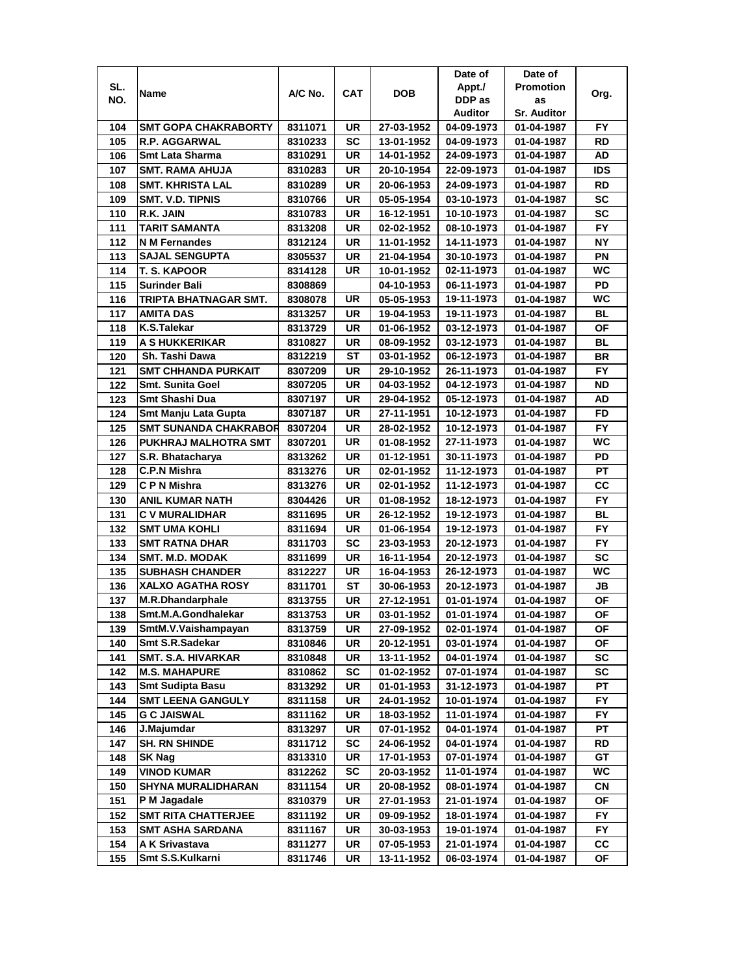|            |                              |                    |            |                          | Date of                  | Date of                  |                 |
|------------|------------------------------|--------------------|------------|--------------------------|--------------------------|--------------------------|-----------------|
| SL.        | Name                         | A/C No.            | <b>CAT</b> | <b>DOB</b>               | Appt./                   | <b>Promotion</b>         | Org.            |
| NO.        |                              |                    |            |                          | DDP as                   | as                       |                 |
|            |                              |                    |            |                          | Auditor                  | <b>Sr. Auditor</b>       |                 |
| 104        | <b>SMT GOPA CHAKRABORTY</b>  | 8311071            | UR         | 27-03-1952               | 04-09-1973               | 01-04-1987               | FY              |
| 105        | R.P. AGGARWAL                | 8310233            | <b>SC</b>  | 13-01-1952               | 04-09-1973               | 01-04-1987               | RD              |
| 106        | <b>Smt Lata Sharma</b>       | 8310291            | UR         | 14-01-1952               | 24-09-1973               | 01-04-1987               | AD              |
| 107        | <b>SMT. RAMA AHUJA</b>       | 8310283            | UR         | 20-10-1954               | 22-09-1973               | 01-04-1987               | <b>IDS</b>      |
| 108        | <b>SMT. KHRISTA LAL</b>      | 8310289            | UR         | 20-06-1953               | 24-09-1973               | 01-04-1987               | RD              |
| 109        | SMT. V.D. TIPNIS             | 8310766            | UR         | 05-05-1954               | 03-10-1973               | 01-04-1987               | <b>SC</b>       |
| 110        | R.K. JAIN                    | 8310783            | UR         | 16-12-1951               | 10-10-1973               | 01-04-1987               | <b>SC</b>       |
| 111        | TARIT SAMANTA                | 8313208            | UR         | 02-02-1952               | 08-10-1973               | 01-04-1987               | <b>FY</b>       |
| 112        | <b>N M Fernandes</b>         | 8312124            | UR         | 11-01-1952               | 14-11-1973               | 01-04-1987               | <b>NY</b>       |
| 113        | <b>SAJAL SENGUPTA</b>        | 8305537            | UR         | 21-04-1954               | 30-10-1973               | 01-04-1987               | PN              |
| 114        | <b>T. S. KAPOOR</b>          | 8314128            | UR         | 10-01-1952               | 02-11-1973               | 01-04-1987               | <b>WC</b>       |
| 115        | <b>Surinder Bali</b>         | 8308869            |            | 04-10-1953               | 06-11-1973               | 01-04-1987               | PD              |
| 116        | TRIPTA BHATNAGAR SMT.        | 8308078            | UR         | 05-05-1953               | 19-11-1973               | 01-04-1987               | <b>WC</b>       |
| 117        | <b>AMITA DAS</b>             | 8313257            | UR         | 19-04-1953               | 19-11-1973               | 01-04-1987               | <b>BL</b>       |
| 118        | K.S.Talekar                  | 8313729            | UR         | 01-06-1952               | 03-12-1973               | 01-04-1987               | ΟF              |
| 119        | <b>A S HUKKERIKAR</b>        | 8310827            | UR         | 08-09-1952               | 03-12-1973               | 01-04-1987               | BL              |
| 120        | Sh. Tashi Dawa               | 8312219            | ST         | 03-01-1952               | 06-12-1973               | 01-04-1987               | BR              |
| 121        | <b>SMT CHHANDA PURKAIT</b>   | 8307209            | UR         | 29-10-1952               | 26-11-1973               | 01-04-1987               | FY.             |
| 122        | <b>Smt. Sunita Goel</b>      | 8307205            | <b>UR</b>  | 04-03-1952               | 04-12-1973               | 01-04-1987               | ND              |
| 123        | Smt Shashi Dua               | 8307197            | UR         | 29-04-1952               | 05-12-1973               | 01-04-1987               | AD              |
| 124        | Smt Manju Lata Gupta         | 8307187            | <b>UR</b>  | 27-11-1951               | 10-12-1973               | 01-04-1987               | <b>FD</b>       |
| 125        | <b>SMT SUNANDA CHAKRABOR</b> | 8307204            | UR         | 28-02-1952               | 10-12-1973               | 01-04-1987               | <b>FY</b>       |
| 126        | PUKHRAJ MALHOTRA SMT         | 8307201            | UR         | 01-08-1952               | 27-11-1973               | 01-04-1987               | <b>WC</b>       |
| 127        | S.R. Bhatacharya             | 8313262            | UR         | 01-12-1951               | 30-11-1973               | 01-04-1987               | PD              |
| 128        | <b>C.P.N Mishra</b>          | 8313276            | UR         | 02-01-1952               | 11-12-1973               | 01-04-1987               | РT              |
| 129        | C P N Mishra                 | 8313276            | UR         | 02-01-1952               | 11-12-1973               | 01-04-1987               | CС              |
| 130        | <b>ANIL KUMAR NATH</b>       | 8304426            | <b>UR</b>  | 01-08-1952               | 18-12-1973               | 01-04-1987               | <b>FY</b>       |
| 131        | <b>C V MURALIDHAR</b>        | 8311695            | <b>UR</b>  | 26-12-1952               | 19-12-1973               | 01-04-1987               | <b>BL</b>       |
| 132        | <b>SMT UMA KOHLI</b>         | 8311694            | UR         | 01-06-1954               | 19-12-1973               | 01-04-1987               | <b>FY</b>       |
| 133        | <b>SMT RATNA DHAR</b>        | 8311703            | <b>SC</b>  | 23-03-1953               | 20-12-1973               | 01-04-1987               | <b>FY</b>       |
| 134        | <b>SMT. M.D. MODAK</b>       | 8311699            | UR         | 16-11-1954               | 20-12-1973               | 01-04-1987               | <b>SC</b>       |
| 135        | <b>SUBHASH CHANDER</b>       | 8312227            | UR         | 16-04-1953               | 26-12-1973               | 01-04-1987               | WC              |
| 136        | XALXO AGATHA ROSY            | 8311701            | SТ         | 30-06-1953               | 20-12-1973               | 01-04-1987               | JB              |
| 137        | <b>M.R.Dhandarphale</b>      | 8313755            | UR         | 27-12-1951               | 01-01-1974               | 01-04-1987               | ΟF              |
| 138        | Smt.M.A.Gondhalekar          |                    | UR         |                          |                          |                          | <b>OF</b>       |
|            | SmtM.V.Vaishampayan          | 8313753            |            | 03-01-1952               | 01-01-1974               | 01-04-1987               | ΟF              |
| 139<br>140 | Smt S.R.Sadekar              | 8313759<br>8310846 | UR<br>UR   | 27-09-1952               | 02-01-1974<br>03-01-1974 | 01-04-1987<br>01-04-1987 | ΟF              |
| 141        | <b>SMT. S.A. HIVARKAR</b>    | 8310848            | UR         | 20-12-1951<br>13-11-1952 | 04-01-1974               |                          | SC              |
| 142        | <b>M.S. MAHAPURE</b>         |                    | <b>SC</b>  |                          |                          | 01-04-1987               | SC              |
|            | <b>Smt Sudipta Basu</b>      | 8310862            |            | 01-02-1952               | 07-01-1974               | 01-04-1987               |                 |
| 143        | <b>SMT LEENA GANGULY</b>     | 8313292            | UR         | 01-01-1953               | 31-12-1973               | 01-04-1987               | PТ<br><b>FY</b> |
| 144        |                              | 8311158            | UR         | 24-01-1952               | 10-01-1974               | 01-04-1987               |                 |
| 145        | <b>G C JAISWAL</b>           | 8311162            | UR         | 18-03-1952               | 11-01-1974               | 01-04-1987               | FY.             |
| 146        | J.Majumdar                   | 8313297            | UR         | 07-01-1952               | 04-01-1974               | 01-04-1987               | PT              |
| 147        | <b>SH. RN SHINDE</b>         | 8311712            | <b>SC</b>  | 24-06-1952               | 04-01-1974               | 01-04-1987               | RD              |
| 148        | <b>SK Nag</b>                | 8313310            | UR         | 17-01-1953               | 07-01-1974               | 01-04-1987               | GT              |
| 149        | <b>VINOD KUMAR</b>           | 8312262            | SC         | 20-03-1952               | 11-01-1974               | 01-04-1987               | WC              |
| 150        | <b>SHYNA MURALIDHARAN</b>    | 8311154            | UR         | 20-08-1952               | 08-01-1974               | 01-04-1987               | CN              |
| 151        | P M Jagadale                 | 8310379            | UR         | 27-01-1953               | 21-01-1974               | 01-04-1987               | ΟF              |
| 152        | <b>SMT RITA CHATTERJEE</b>   | 8311192            | UR         | 09-09-1952               | 18-01-1974               | 01-04-1987               | FY.             |
| 153        | <b>SMT ASHA SARDANA</b>      | 8311167            | UR         | 30-03-1953               | 19-01-1974               | 01-04-1987               | FY.             |
| 154        | A K Srivastava               | 8311277            | UR         | 07-05-1953               | 21-01-1974               | 01-04-1987               | CС              |
| 155        | Smt S.S.Kulkarni             | 8311746            | UR         | 13-11-1952               | 06-03-1974               | 01-04-1987               | ΟF              |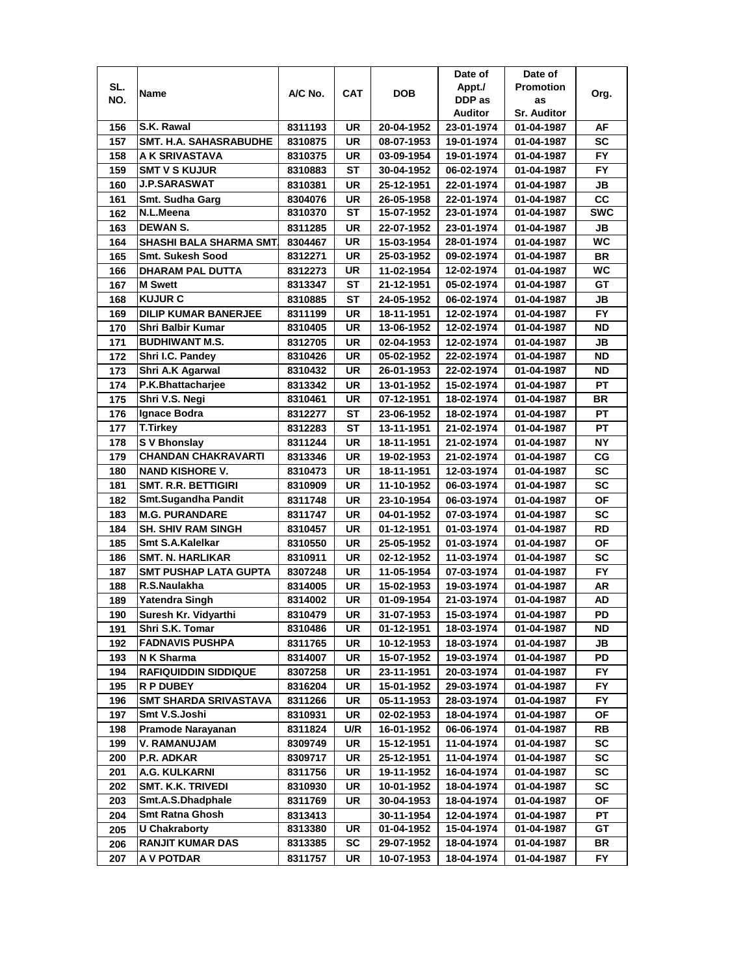|     |                              |         |            |            | Date of    | Date of            |            |
|-----|------------------------------|---------|------------|------------|------------|--------------------|------------|
| SL. | Name                         | A/C No. | <b>CAT</b> | <b>DOB</b> | Appt./     | <b>Promotion</b>   | Org.       |
| NO. |                              |         |            |            | DDP as     | as                 |            |
|     |                              |         |            |            | Auditor    | <b>Sr. Auditor</b> |            |
| 156 | S.K. Rawal                   | 8311193 | UR         | 20-04-1952 | 23-01-1974 | 01-04-1987         | AF         |
| 157 | SMT. H.A. SAHASRABUDHE       | 8310875 | <b>UR</b>  | 08-07-1953 | 19-01-1974 | 01-04-1987         | SC         |
| 158 | A K SRIVASTAVA               | 8310375 | UR         | 03-09-1954 | 19-01-1974 | 01-04-1987         | <b>FY</b>  |
| 159 | <b>SMT V S KUJUR</b>         | 8310883 | <b>ST</b>  | 30-04-1952 | 06-02-1974 | 01-04-1987         | <b>FY</b>  |
| 160 | <b>J.P.SARASWAT</b>          | 8310381 | UR         | 25-12-1951 | 22-01-1974 | 01-04-1987         | JВ         |
| 161 | Smt. Sudha Garg              | 8304076 | <b>UR</b>  | 26-05-1958 | 22-01-1974 | 01-04-1987         | cc         |
| 162 | N.L.Meena                    | 8310370 | ST         | 15-07-1952 | 23-01-1974 | 01-04-1987         | <b>SWC</b> |
| 163 | <b>DEWAN S.</b>              | 8311285 | UR         | 22-07-1952 | 23-01-1974 | 01-04-1987         | JB         |
| 164 | SHASHI BALA SHARMA SMT.      | 8304467 | UR         | 15-03-1954 | 28-01-1974 | 01-04-1987         | WC         |
| 165 | Smt. Sukesh Sood             | 8312271 | UR         | 25-03-1952 | 09-02-1974 | 01-04-1987         | <b>BR</b>  |
| 166 | <b>DHARAM PAL DUTTA</b>      | 8312273 | UR         | 11-02-1954 | 12-02-1974 | 01-04-1987         | WC         |
| 167 | <b>M</b> Swett               | 8313347 | <b>ST</b>  | 21-12-1951 | 05-02-1974 | 01-04-1987         | GT         |
| 168 | <b>KUJUR C</b>               | 8310885 | SТ         | 24-05-1952 | 06-02-1974 | 01-04-1987         | JB         |
| 169 | <b>DILIP KUMAR BANERJEE</b>  | 8311199 | UR         | 18-11-1951 | 12-02-1974 | 01-04-1987         | <b>FY</b>  |
| 170 | Shri Balbir Kumar            | 8310405 | UR         | 13-06-1952 | 12-02-1974 | 01-04-1987         | ND         |
| 171 | <b>BUDHIWANT M.S.</b>        | 8312705 | <b>UR</b>  | 02-04-1953 | 12-02-1974 | 01-04-1987         | JB         |
| 172 | Shri I.C. Pandey             | 8310426 | UR         | 05-02-1952 | 22-02-1974 | 01-04-1987         | ND         |
| 173 | Shri A.K Agarwal             | 8310432 | <b>UR</b>  | 26-01-1953 | 22-02-1974 | 01-04-1987         | ND         |
| 174 | P.K.Bhattacharjee            | 8313342 | <b>UR</b>  | 13-01-1952 | 15-02-1974 | 01-04-1987         | PT         |
| 175 | Shri V.S. Negi               | 8310461 | <b>UR</b>  | 07-12-1951 | 18-02-1974 | 01-04-1987         | <b>BR</b>  |
| 176 | Ignace Bodra                 | 8312277 | ST         | 23-06-1952 | 18-02-1974 | 01-04-1987         | <b>PT</b>  |
| 177 | <b>T.Tirkey</b>              | 8312283 | ST         | 13-11-1951 | 21-02-1974 | 01-04-1987         | PT         |
| 178 | S V Bhonslay                 | 8311244 | <b>UR</b>  | 18-11-1951 | 21-02-1974 | 01-04-1987         | NΥ         |
| 179 | <b>CHANDAN CHAKRAVARTI</b>   | 8313346 | UR         | 19-02-1953 | 21-02-1974 | 01-04-1987         | СG         |
| 180 | <b>NAND KISHORE V.</b>       | 8310473 | <b>UR</b>  | 18-11-1951 | 12-03-1974 | 01-04-1987         | <b>SC</b>  |
| 181 | <b>SMT. R.R. BETTIGIRI</b>   | 8310909 | UR         | 11-10-1952 | 06-03-1974 | 01-04-1987         | <b>SC</b>  |
| 182 | <b>Smt.Sugandha Pandit</b>   | 8311748 | UR         | 23-10-1954 | 06-03-1974 | 01-04-1987         | <b>OF</b>  |
| 183 | <b>M.G. PURANDARE</b>        | 8311747 | <b>UR</b>  | 04-01-1952 | 07-03-1974 | 01-04-1987         | SC         |
| 184 | <b>SH. SHIV RAM SINGH</b>    | 8310457 | <b>UR</b>  | 01-12-1951 | 01-03-1974 | 01-04-1987         | <b>RD</b>  |
| 185 | Smt S.A.Kalelkar             | 8310550 | <b>UR</b>  | 25-05-1952 | 01-03-1974 | 01-04-1987         | <b>OF</b>  |
| 186 | <b>SMT. N. HARLIKAR</b>      | 8310911 | <b>UR</b>  | 02-12-1952 | 11-03-1974 | 01-04-1987         | <b>SC</b>  |
| 187 | <b>SMT PUSHAP LATA GUPTA</b> | 8307248 | UR         | 11-05-1954 | 07-03-1974 | 01-04-1987         | FY.        |
| 188 | R.S.Naulakha                 | 8314005 | UR         | 15-02-1953 | 19-03-1974 | 01-04-1987         | AR         |
| 189 | Yatendra Singh               | 8314002 | UR         | 01-09-1954 | 21-03-1974 | 01-04-1987         | AD         |
| 190 | Suresh Kr. Vidyarthi         | 8310479 | <b>UR</b>  | 31-07-1953 | 15-03-1974 | 01-04-1987         | PD         |
| 191 | Shri S.K. Tomar              | 8310486 | UR         | 01-12-1951 | 18-03-1974 | 01-04-1987         | ND         |
| 192 | <b>FADNAVIS PUSHPA</b>       | 8311765 | UR         | 10-12-1953 | 18-03-1974 | 01-04-1987         | JB         |
| 193 | N K Sharma                   | 8314007 | UR         | 15-07-1952 | 19-03-1974 | 01-04-1987         | PD         |
| 194 | <b>RAFIQUIDDIN SIDDIQUE</b>  | 8307258 | UR         | 23-11-1951 | 20-03-1974 | 01-04-1987         | FY.        |
| 195 | <b>R P DUBEY</b>             | 8316204 | UR         | 15-01-1952 | 29-03-1974 | 01-04-1987         | FY.        |
| 196 | <b>SMT SHARDA SRIVASTAVA</b> | 8311266 | UR         | 05-11-1953 | 28-03-1974 | 01-04-1987         | FY.        |
| 197 | Smt V.S.Joshi                | 8310931 | UR         | 02-02-1953 | 18-04-1974 | 01-04-1987         | ОF         |
| 198 | Pramode Narayanan            | 8311824 | U/R        | 16-01-1952 | 06-06-1974 | 01-04-1987         | RB         |
| 199 | V. RAMANUJAM                 | 8309749 | UR         | 15-12-1951 | 11-04-1974 | 01-04-1987         | SC         |
| 200 | P.R. ADKAR                   | 8309717 | UR         | 25-12-1951 | 11-04-1974 | 01-04-1987         | SC         |
| 201 | A.G. KULKARNI                | 8311756 | UR         | 19-11-1952 | 16-04-1974 | 01-04-1987         | SC         |
| 202 | <b>SMT. K.K. TRIVEDI</b>     | 8310930 | UR         | 10-01-1952 | 18-04-1974 | 01-04-1987         | SC         |
| 203 | Smt.A.S.Dhadphale            | 8311769 | UR         | 30-04-1953 | 18-04-1974 | 01-04-1987         | ΟF         |
| 204 | <b>Smt Ratna Ghosh</b>       | 8313413 |            | 30-11-1954 | 12-04-1974 | 01-04-1987         | PT         |
| 205 | <b>U Chakraborty</b>         | 8313380 | UR         | 01-04-1952 | 15-04-1974 | 01-04-1987         | GT         |
| 206 | <b>RANJIT KUMAR DAS</b>      | 8313385 | SC         | 29-07-1952 | 18-04-1974 | 01-04-1987         | BR         |
| 207 | A V POTDAR                   | 8311757 | UR         | 10-07-1953 | 18-04-1974 | 01-04-1987         | FY         |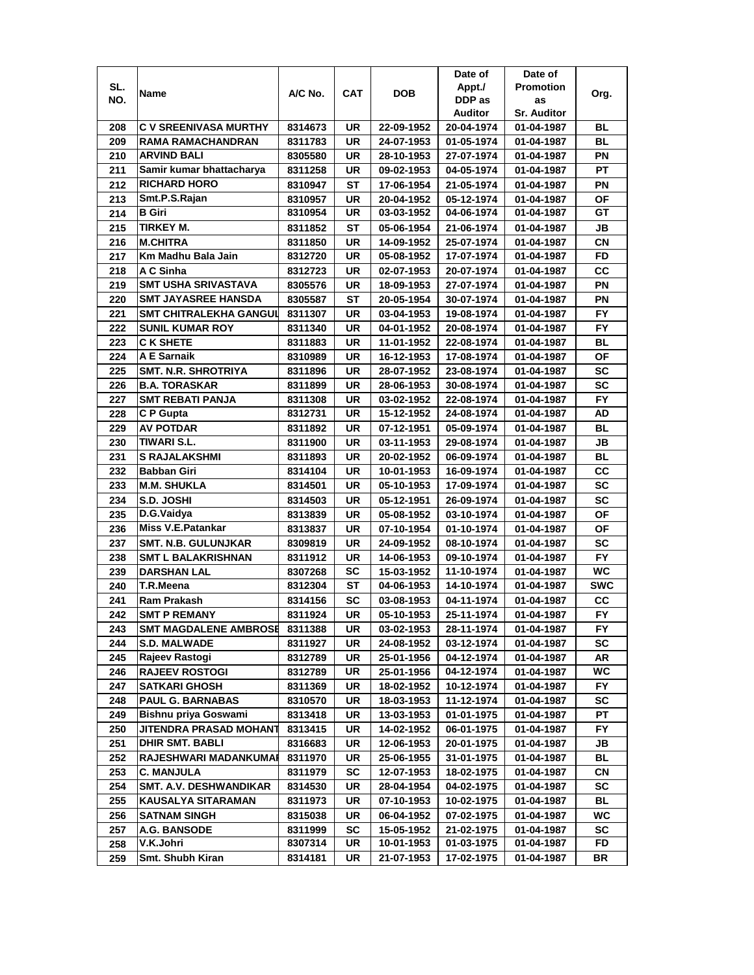|     |                               |         |            |            | Date of    | Date of            |            |
|-----|-------------------------------|---------|------------|------------|------------|--------------------|------------|
| SL. | Name                          | A/C No. | <b>CAT</b> | <b>DOB</b> | Appt./     | <b>Promotion</b>   | Org.       |
| NO. |                               |         |            |            | DDP as     | as                 |            |
|     |                               |         |            |            | Auditor    | <b>Sr. Auditor</b> |            |
| 208 | C V SREENIVASA MURTHY         | 8314673 | UR         | 22-09-1952 | 20-04-1974 | 01-04-1987         | BL         |
| 209 | RAMA RAMACHANDRAN             | 8311783 | UR         | 24-07-1953 | 01-05-1974 | 01-04-1987         | BL         |
| 210 | <b>ARVIND BALI</b>            | 8305580 | UR         | 28-10-1953 | 27-07-1974 | 01-04-1987         | PN         |
| 211 | Samir kumar bhattacharya      | 8311258 | UR         | 09-02-1953 | 04-05-1974 | 01-04-1987         | <b>PT</b>  |
| 212 | <b>RICHARD HORO</b>           | 8310947 | ST         | 17-06-1954 | 21-05-1974 | 01-04-1987         | ΡN         |
| 213 | Smt.P.S.Rajan                 | 8310957 | UR         | 20-04-1952 | 05-12-1974 | 01-04-1987         | ΟF         |
| 214 | <b>B</b> Giri                 | 8310954 | UR         | 03-03-1952 | 04-06-1974 | 01-04-1987         | GТ         |
| 215 | <b>TIRKEY M.</b>              | 8311852 | ST         | 05-06-1954 | 21-06-1974 | 01-04-1987         | JB         |
| 216 | <b>M.CHITRA</b>               | 8311850 | UR         | 14-09-1952 | 25-07-1974 | 01-04-1987         | CN         |
| 217 | Km Madhu Bala Jain            | 8312720 | UR         | 05-08-1952 | 17-07-1974 | 01-04-1987         | <b>FD</b>  |
| 218 | A C Sinha                     | 8312723 | <b>UR</b>  | 02-07-1953 | 20-07-1974 | 01-04-1987         | cc         |
| 219 | <b>SMT USHA SRIVASTAVA</b>    | 8305576 | <b>UR</b>  | 18-09-1953 | 27-07-1974 | 01-04-1987         | PN         |
| 220 | <b>SMT JAYASREE HANSDA</b>    | 8305587 | ST         | 20-05-1954 | 30-07-1974 | 01-04-1987         | PN         |
| 221 | <b>SMT CHITRALEKHA GANGUL</b> | 8311307 | UR         | 03-04-1953 | 19-08-1974 | 01-04-1987         | <b>FY</b>  |
| 222 | <b>SUNIL KUMAR ROY</b>        | 8311340 | UR         | 04-01-1952 | 20-08-1974 | 01-04-1987         | FY.        |
| 223 | <b>C K SHETE</b>              | 8311883 | UR         | 11-01-1952 | 22-08-1974 | 01-04-1987         | <b>BL</b>  |
| 224 | A E Sarnaik                   | 8310989 | UR         | 16-12-1953 | 17-08-1974 | 01-04-1987         | ΟF         |
| 225 | <b>SMT. N.R. SHROTRIYA</b>    | 8311896 | UR         | 28-07-1952 | 23-08-1974 | 01-04-1987         | SC         |
| 226 | <b>B.A. TORASKAR</b>          | 8311899 | UR         | 28-06-1953 | 30-08-1974 | 01-04-1987         | SC         |
| 227 | <b>SMT REBATI PANJA</b>       | 8311308 | UR         | 03-02-1952 | 22-08-1974 | 01-04-1987         | <b>FY</b>  |
| 228 | C P Gupta                     | 8312731 | <b>UR</b>  | 15-12-1952 | 24-08-1974 | 01-04-1987         | AD         |
| 229 | <b>AV POTDAR</b>              | 8311892 | UR         | 07-12-1951 | 05-09-1974 | 01-04-1987         | <b>BL</b>  |
| 230 | <b>TIWARI S.L.</b>            | 8311900 | <b>UR</b>  | 03-11-1953 | 29-08-1974 | 01-04-1987         | JВ         |
| 231 | <b>S RAJALAKSHMI</b>          | 8311893 | UR         | 20-02-1952 | 06-09-1974 | 01-04-1987         | BL         |
| 232 | <b>Babban Giri</b>            | 8314104 | UR         | 10-01-1953 | 16-09-1974 | 01-04-1987         | cc         |
| 233 | <b>M.M. SHUKLA</b>            | 8314501 | UR         | 05-10-1953 | 17-09-1974 | 01-04-1987         | <b>SC</b>  |
| 234 | S.D. JOSHI                    | 8314503 | <b>UR</b>  | 05-12-1951 | 26-09-1974 | 01-04-1987         | SC         |
| 235 | D.G.Vaidya                    | 8313839 | <b>UR</b>  | 05-08-1952 | 03-10-1974 | 01-04-1987         | <b>OF</b>  |
| 236 | <b>Miss V.E.Patankar</b>      | 8313837 | <b>UR</b>  | 07-10-1954 | 01-10-1974 | 01-04-1987         | <b>OF</b>  |
| 237 | <b>SMT. N.B. GULUNJKAR</b>    | 8309819 | UR         | 24-09-1952 | 08-10-1974 | 01-04-1987         | <b>SC</b>  |
| 238 | <b>SMT L BALAKRISHNAN</b>     | 8311912 | UR         | 14-06-1953 | 09-10-1974 | 01-04-1987         | <b>FY</b>  |
| 239 | <b>DARSHAN LAL</b>            | 8307268 | SC         | 15-03-1952 | 11-10-1974 | 01-04-1987         | WC.        |
| 240 | T.R.Meena                     | 8312304 | ST         | 04-06-1953 | 14-10-1974 | 01-04-1987         | <b>SWC</b> |
| 241 | Ram Prakash                   | 8314156 | SC         | 03-08-1953 | 04-11-1974 | 01-04-1987         | cc         |
| 242 | <b>SMT P REMANY</b>           | 8311924 | UR         | 05-10-1953 | 25-11-1974 | 01-04-1987         | <b>FY</b>  |
| 243 | <b>SMT MAGDALENE AMBROSE</b>  | 8311388 | UR         | 03-02-1953 | 28-11-1974 | 01-04-1987         | FY         |
| 244 | <b>S.D. MALWADE</b>           | 8311927 | UR         | 24-08-1952 | 03-12-1974 | 01-04-1987         | SC         |
| 245 | Rajeev Rastogi                | 8312789 | UR         | 25-01-1956 | 04-12-1974 | 01-04-1987         | AR         |
| 246 | <b>RAJEEV ROSTOGI</b>         | 8312789 | UR         | 25-01-1956 | 04-12-1974 | 01-04-1987         | WC.        |
| 247 | <b>SATKARI GHOSH</b>          | 8311369 | UR         | 18-02-1952 | 10-12-1974 | 01-04-1987         | FY.        |
| 248 | <b>PAUL G. BARNABAS</b>       | 8310570 | UR         | 18-03-1953 | 11-12-1974 | 01-04-1987         | <b>SC</b>  |
| 249 | Bishnu priya Goswami          | 8313418 | UR         | 13-03-1953 | 01-01-1975 | 01-04-1987         | РT         |
| 250 | JITENDRA PRASAD MOHANT        | 8313415 | UR         | 14-02-1952 | 06-01-1975 | 01-04-1987         | <b>FY</b>  |
| 251 | <b>DHIR SMT. BABLI</b>        | 8316683 | UR         | 12-06-1953 | 20-01-1975 | 01-04-1987         | JB         |
| 252 | RAJESHWARI MADANKUMAI         | 8311970 | UR         | 25-06-1955 | 31-01-1975 | 01-04-1987         | <b>BL</b>  |
| 253 | <b>C. MANJULA</b>             | 8311979 | SC         | 12-07-1953 | 18-02-1975 | 01-04-1987         | <b>CN</b>  |
| 254 | <b>SMT. A.V. DESHWANDIKAR</b> | 8314530 | UR         | 28-04-1954 | 04-02-1975 | 01-04-1987         | SC         |
| 255 | <b>KAUSALYA SITARAMAN</b>     | 8311973 | UR         | 07-10-1953 | 10-02-1975 | 01-04-1987         | BL         |
| 256 | <b>SATNAM SINGH</b>           | 8315038 | UR         | 06-04-1952 | 07-02-1975 | 01-04-1987         | WC         |
| 257 | A.G. BANSODE                  | 8311999 | SC         | 15-05-1952 | 21-02-1975 | 01-04-1987         | SC         |
| 258 | V.K.Johri                     | 8307314 | UR         | 10-01-1953 | 01-03-1975 | 01-04-1987         | FD         |
| 259 | Smt. Shubh Kiran              | 8314181 | UR         | 21-07-1953 | 17-02-1975 | 01-04-1987         | BR         |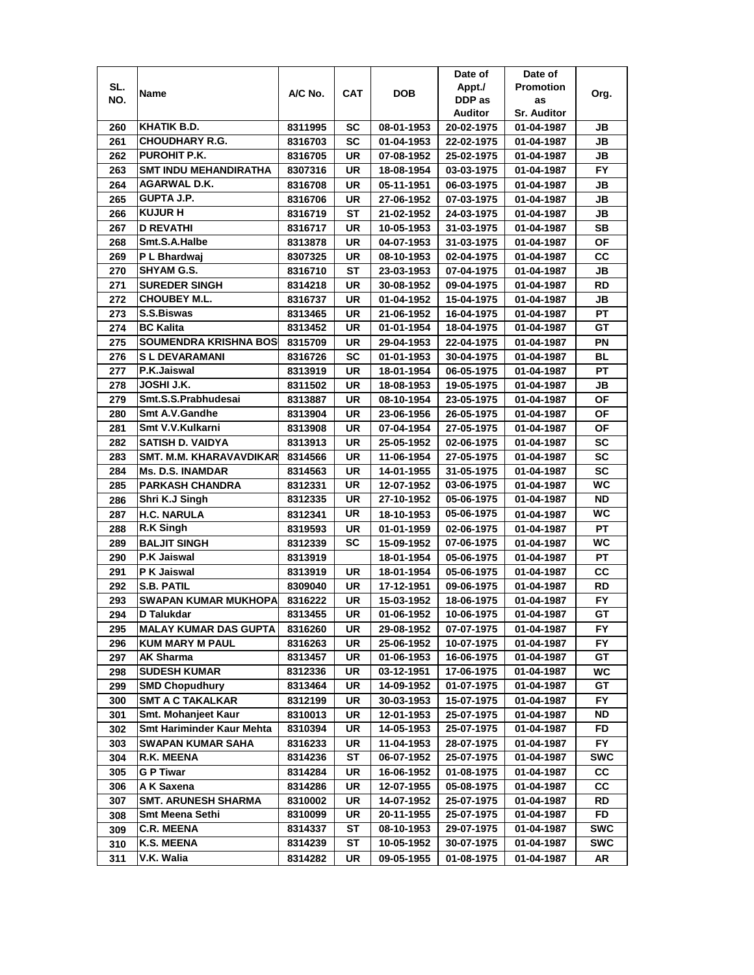|     |                                             |         |           |                          | Date of                  | Date of            |            |
|-----|---------------------------------------------|---------|-----------|--------------------------|--------------------------|--------------------|------------|
| SL. |                                             |         |           |                          | Appt./                   | <b>Promotion</b>   |            |
| NO. | Name                                        | A/C No. | CAT       | <b>DOB</b>               | DDP as                   | as                 | Org.       |
|     |                                             |         |           |                          | <b>Auditor</b>           | <b>Sr. Auditor</b> |            |
| 260 | KHATIK B.D.                                 | 8311995 | SC        | 08-01-1953               | 20-02-1975               | 01-04-1987         | JB         |
| 261 | <b>CHOUDHARY R.G.</b>                       | 8316703 | SC        | 01-04-1953               | 22-02-1975               | 01-04-1987         | JB         |
| 262 | PUROHIT P.K.                                | 8316705 | UR        | 07-08-1952               | 25-02-1975               | 01-04-1987         | JВ         |
| 263 | <b>SMT INDU MEHANDIRATHA</b>                | 8307316 | UR        | 18-08-1954               | 03-03-1975               | 01-04-1987         | <b>FY</b>  |
| 264 | AGARWAL D.K.                                | 8316708 | UR        | 05-11-1951               | 06-03-1975               | 01-04-1987         | JB         |
| 265 | <b>GUPTA J.P.</b>                           | 8316706 | UR        | 27-06-1952               | 07-03-1975               | 01-04-1987         | JB         |
| 266 | <b>KUJUR H</b>                              | 8316719 | ST        | 21-02-1952               | 24-03-1975               | 01-04-1987         | JВ         |
| 267 | <b>D REVATHI</b>                            | 8316717 | UR        | 10-05-1953               | 31-03-1975               | 01-04-1987         | SВ         |
| 268 | Smt.S.A.Halbe                               | 8313878 | UR        | 04-07-1953               | 31-03-1975               | 01-04-1987         | ΟF         |
| 269 | P L Bhardwaj                                | 8307325 | UR        | 08-10-1953               | 02-04-1975               | 01-04-1987         | CС         |
|     | SHYAM G.S.                                  |         |           |                          |                          |                    | JВ         |
| 270 |                                             | 8316710 | ST        | 23-03-1953               | 07-04-1975               | 01-04-1987         |            |
| 271 | <b>SUREDER SINGH</b><br><b>CHOUBEY M.L.</b> | 8314218 | UR        | 30-08-1952               | 09-04-1975               | 01-04-1987         | RD         |
| 272 |                                             | 8316737 | <b>UR</b> | 01-04-1952               | 15-04-1975               | 01-04-1987         | JВ         |
| 273 | <b>S.S.Biswas</b>                           | 8313465 | UR        | 21-06-1952               | 16-04-1975               | 01-04-1987         | PT         |
| 274 | <b>BC Kalita</b>                            | 8313452 | UR        | 01-01-1954               | 18-04-1975               | 01-04-1987         | GТ         |
| 275 | <b>SOUMENDRA KRISHNA BOS</b>                | 8315709 | UR        | 29-04-1953               | 22-04-1975               | 01-04-1987         | ΡN         |
| 276 | <b>SL DEVARAMANI</b>                        | 8316726 | SC        | 01-01-1953               | 30-04-1975               | 01-04-1987         | <b>BL</b>  |
| 277 | P.K.Jaiswal                                 | 8313919 | UR        | 18-01-1954               | 06-05-1975               | 01-04-1987         | РT         |
| 278 | JOSHI J.K.                                  | 8311502 | UR        | 18-08-1953               | 19-05-1975               | 01-04-1987         | JB         |
| 279 | Smt.S.S.Prabhudesai                         | 8313887 | UR        | 08-10-1954               | 23-05-1975               | 01-04-1987         | <b>OF</b>  |
| 280 | Smt A.V.Gandhe                              | 8313904 | UR        | 23-06-1956               | 26-05-1975               | 01-04-1987         | OF         |
| 281 | Smt V.V.Kulkarni                            | 8313908 | UR        | 07-04-1954               | 27-05-1975               | 01-04-1987         | OF         |
| 282 | SATISH D. VAIDYA                            | 8313913 | UR        | 25-05-1952               | 02-06-1975               | 01-04-1987         | <b>SC</b>  |
| 283 | SMT. M.M. KHARAVAVDIKAR                     | 8314566 | UR        | 11-06-1954               | 27-05-1975               | 01-04-1987         | <b>SC</b>  |
| 284 | <b>Ms. D.S. INAMDAR</b>                     | 8314563 | UR        | 14-01-1955               | 31-05-1975               | 01-04-1987         | <b>SC</b>  |
| 285 | <b>PARKASH CHANDRA</b>                      | 8312331 | UR        | 12-07-1952               | 03-06-1975               | 01-04-1987         | WC         |
| 286 | Shri K.J Singh                              | 8312335 | UR        | 27-10-1952               | 05-06-1975               | 01-04-1987         | <b>ND</b>  |
| 287 | <b>H.C. NARULA</b>                          | 8312341 | UR        | 18-10-1953               | 05-06-1975               | 01-04-1987         | WC         |
| 288 | R.K Singh                                   | 8319593 | UR        | 01-01-1959               | 02-06-1975               | 01-04-1987         | PT         |
| 289 | <b>BALJIT SINGH</b>                         | 8312339 | <b>SC</b> | 15-09-1952               | 07-06-1975               | 01-04-1987         | WС         |
| 290 | <b>P.K Jaiswal</b>                          | 8313919 |           | 18-01-1954               | 05-06-1975               | 01-04-1987         | PT         |
| 291 | P K Jaiswal                                 | 8313919 | UR        | 18-01-1954               | 05-06-1975               | 01-04-1987         | CC         |
| 292 | <b>S.B. PATIL</b>                           | 8309040 | UR        | 17-12-1951               | 09-06-1975               | 01-04-1987         | RD         |
| 293 | SWAPAN KUMAR MUKHOPA                        | 8316222 | UR        | 15-03-1952               | 18-06-1975               | 01-04-1987         | <b>FY</b>  |
|     | D Talukdar                                  | 8313455 | UR        | 01-06-1952               | 10-06-1975               | 01-04-1987         | GТ         |
| 294 |                                             |         |           |                          |                          |                    |            |
| 295 | <b>MALAY KUMAR DAS GUPTA</b>                | 8316260 | UR        | 29-08-1952<br>25-06-1952 | 07-07-1975               | 01-04-1987         | FY.        |
| 296 | <b>KUM MARY M PAUL</b>                      | 8316263 | UR<br>UR  |                          | 10-07-1975<br>16-06-1975 | 01-04-1987         | FY.<br>GT  |
| 297 | <b>AK Sharma</b>                            | 8313457 |           | 01-06-1953               |                          | 01-04-1987         |            |
| 298 | <b>SUDESH KUMAR</b>                         | 8312336 | UR        | 03-12-1951               | 17-06-1975               | 01-04-1987         | WC         |
| 299 | <b>SMD Chopudhury</b>                       | 8313464 | UR        | 14-09-1952               | 01-07-1975               | 01-04-1987         | GT         |
| 300 | <b>SMT A C TAKALKAR</b>                     | 8312199 | UR        | 30-03-1953               | 15-07-1975               | 01-04-1987         | FY.        |
| 301 | Smt. Mohanjeet Kaur                         | 8310013 | <b>UR</b> | 12-01-1953               | 25-07-1975               | 01-04-1987         | ND         |
| 302 | <b>Smt Hariminder Kaur Mehta</b>            | 8310394 | UR        | 14-05-1953               | 25-07-1975               | 01-04-1987         | FD         |
| 303 | <b>SWAPAN KUMAR SAHA</b>                    | 8316233 | UR        | 11-04-1953               | 28-07-1975               | 01-04-1987         | FY.        |
| 304 | R.K. MEENA                                  | 8314236 | ST        | 06-07-1952               | 25-07-1975               | 01-04-1987         | <b>SWC</b> |
| 305 | <b>GP Tiwar</b>                             | 8314284 | UR        | 16-06-1952               | 01-08-1975               | 01-04-1987         | СC         |
| 306 | A K Saxena                                  | 8314286 | UR        | 12-07-1955               | 05-08-1975               | 01-04-1987         | СC         |
| 307 | <b>SMT. ARUNESH SHARMA</b>                  | 8310002 | UR        | 14-07-1952               | 25-07-1975               | 01-04-1987         | RD         |
| 308 | Smt Meena Sethi                             | 8310099 | UR        | 20-11-1955               | 25-07-1975               | 01-04-1987         | FD         |
| 309 | <b>C.R. MEENA</b>                           | 8314337 | ST        | 08-10-1953               | 29-07-1975               | 01-04-1987         | <b>SWC</b> |
| 310 | <b>K.S. MEENA</b>                           | 8314239 | ST        | 10-05-1952               | 30-07-1975               | 01-04-1987         | <b>SWC</b> |
| 311 | V.K. Walia                                  | 8314282 | UR        | 09-05-1955               | 01-08-1975               | 01-04-1987         | AR         |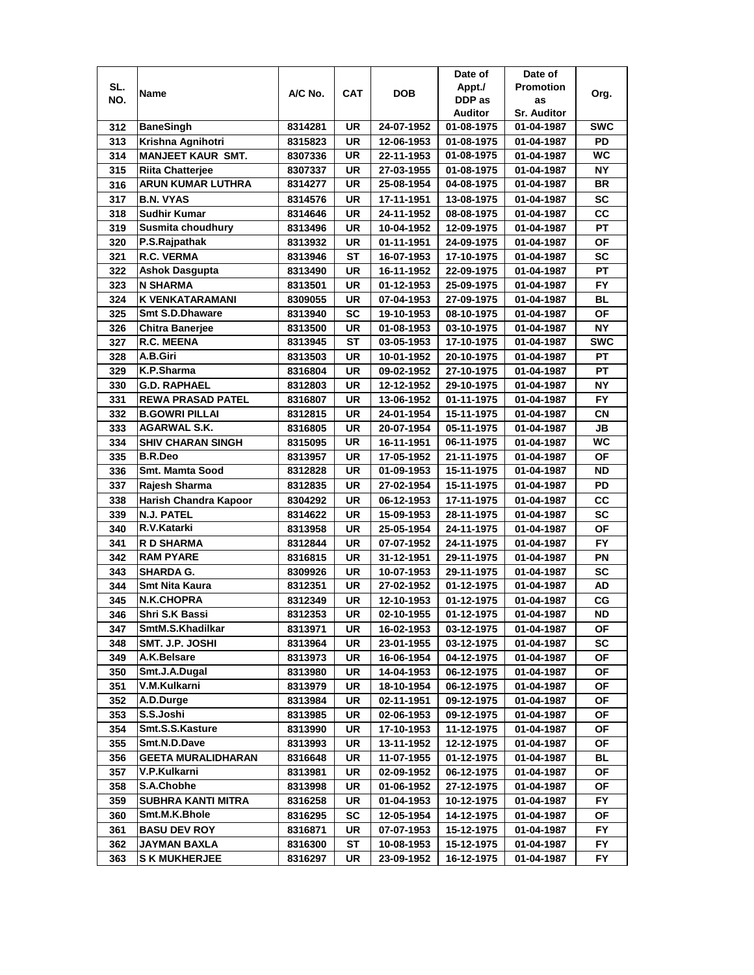|     |                              |         |           |            | Date of    | Date of            |            |
|-----|------------------------------|---------|-----------|------------|------------|--------------------|------------|
| SL. |                              | A/C No. | CAT       | <b>DOB</b> | Appt./     | <b>Promotion</b>   |            |
| NO. | Name                         |         |           |            | DDP as     | as                 | Org.       |
|     |                              |         |           |            | Auditor    | <b>Sr. Auditor</b> |            |
| 312 | <b>BaneSingh</b>             | 8314281 | UR        | 24-07-1952 | 01-08-1975 | 01-04-1987         | <b>SWC</b> |
| 313 | Krishna Agnihotri            | 8315823 | UR        | 12-06-1953 | 01-08-1975 | 01-04-1987         | PD         |
| 314 | <b>MANJEET KAUR SMT.</b>     | 8307336 | UR        | 22-11-1953 | 01-08-1975 | 01-04-1987         | WC         |
| 315 | <b>Riita Chatterjee</b>      | 8307337 | UR        | 27-03-1955 | 01-08-1975 | 01-04-1987         | <b>NY</b>  |
| 316 | <b>ARUN KUMAR LUTHRA</b>     | 8314277 | <b>UR</b> | 25-08-1954 | 04-08-1975 | 01-04-1987         | <b>BR</b>  |
| 317 | <b>B.N. VYAS</b>             | 8314576 | UR        | 17-11-1951 | 13-08-1975 | 01-04-1987         | <b>SC</b>  |
| 318 | <b>Sudhir Kumar</b>          | 8314646 | <b>UR</b> | 24-11-1952 | 08-08-1975 | 01-04-1987         | cc         |
| 319 | Susmita choudhury            | 8313496 | UR        | 10-04-1952 | 12-09-1975 | 01-04-1987         | PT         |
| 320 | P.S.Rajpathak                | 8313932 | UR        | 01-11-1951 | 24-09-1975 | 01-04-1987         | ΟF         |
| 321 | R.C. VERMA                   | 8313946 | ST        | 16-07-1953 | 17-10-1975 | 01-04-1987         | SC         |
| 322 | <b>Ashok Dasgupta</b>        | 8313490 | UR        | 16-11-1952 | 22-09-1975 | 01-04-1987         | PT         |
| 323 | <b>N SHARMA</b>              | 8313501 | UR        | 01-12-1953 | 25-09-1975 | 01-04-1987         | <b>FY</b>  |
| 324 | <b>K VENKATARAMANI</b>       | 8309055 | <b>UR</b> | 07-04-1953 | 27-09-1975 | 01-04-1987         | <b>BL</b>  |
| 325 | <b>Smt S.D.Dhaware</b>       | 8313940 | SC        | 19-10-1953 | 08-10-1975 | 01-04-1987         | <b>OF</b>  |
| 326 | <b>Chitra Banerjee</b>       | 8313500 | UR        | 01-08-1953 | 03-10-1975 | 01-04-1987         | <b>NY</b>  |
| 327 | <b>R.C. MEENA</b>            | 8313945 | ST        | 03-05-1953 | 17-10-1975 | 01-04-1987         | <b>SWC</b> |
| 328 | A.B.Giri                     | 8313503 | UR        | 10-01-1952 | 20-10-1975 | 01-04-1987         | PT         |
| 329 | K.P.Sharma                   | 8316804 | UR        | 09-02-1952 | 27-10-1975 | 01-04-1987         | РT         |
| 330 | G.D. RAPHAEL                 | 8312803 | UR        | 12-12-1952 | 29-10-1975 | 01-04-1987         | NΥ         |
| 331 | <b>REWA PRASAD PATEL</b>     | 8316807 | UR        | 13-06-1952 | 01-11-1975 | 01-04-1987         | <b>FY</b>  |
| 332 | <b>B.GOWRI PILLAI</b>        | 8312815 | <b>UR</b> | 24-01-1954 | 15-11-1975 | 01-04-1987         | CN         |
| 333 | <b>AGARWAL S.K.</b>          | 8316805 | <b>UR</b> | 20-07-1954 | 05-11-1975 | 01-04-1987         | JB         |
| 334 | <b>SHIV CHARAN SINGH</b>     | 8315095 | <b>UR</b> | 16-11-1951 | 06-11-1975 | 01-04-1987         | WC         |
| 335 | <b>B.R.Deo</b>               | 8313957 | <b>UR</b> | 17-05-1952 | 21-11-1975 | 01-04-1987         | ΟF         |
| 336 | <b>Smt. Mamta Sood</b>       | 8312828 | UR        | 01-09-1953 | 15-11-1975 | 01-04-1987         | <b>ND</b>  |
| 337 | Rajesh Sharma                | 8312835 | UR        | 27-02-1954 | 15-11-1975 | 01-04-1987         | PD         |
| 338 | <b>Harish Chandra Kapoor</b> | 8304292 | UR        | 06-12-1953 | 17-11-1975 | 01-04-1987         | CС         |
| 339 | N.J. PATEL                   | 8314622 | UR        | 15-09-1953 | 28-11-1975 | 01-04-1987         | SC         |
| 340 | R.V.Katarki                  | 8313958 | <b>UR</b> | 25-05-1954 | 24-11-1975 | 01-04-1987         | <b>OF</b>  |
| 341 | <b>RD SHARMA</b>             | 8312844 | <b>UR</b> | 07-07-1952 | 24-11-1975 | 01-04-1987         | <b>FY</b>  |
| 342 | <b>RAM PYARE</b>             | 8316815 | <b>UR</b> | 31-12-1951 | 29-11-1975 | 01-04-1987         | PN         |
| 343 | <b>SHARDA G.</b>             | 8309926 | <b>UR</b> | 10-07-1953 | 29-11-1975 | 01-04-1987         | <b>SC</b>  |
| 344 | <b>Smt Nita Kaura</b>        | 8312351 | UR        | 27-02-1952 | 01-12-1975 | 01-04-1987         | AD         |
| 345 | <b>N.K.CHOPRA</b>            | 8312349 | UR        | 12-10-1953 | 01-12-1975 | 01-04-1987         | СG         |
| 346 | Shri S.K Bassi               | 8312353 | <b>UR</b> | 02-10-1955 | 01-12-1975 | 01-04-1987         | <b>ND</b>  |
| 347 | SmtM.S.Khadilkar             | 8313971 | UR        | 16-02-1953 | 03-12-1975 | 01-04-1987         | ΟF         |
| 348 | SMT. J.P. JOSHI              | 8313964 | UR        | 23-01-1955 | 03-12-1975 | 01-04-1987         | SC         |
| 349 | A.K.Belsare                  | 8313973 | UR        | 16-06-1954 | 04-12-1975 | 01-04-1987         | OF         |
| 350 | Smt.J.A.Dugal                | 8313980 | UR        | 14-04-1953 | 06-12-1975 | 01-04-1987         | ΟF         |
| 351 | V.M.Kulkarni                 | 8313979 | UR        | 18-10-1954 | 06-12-1975 | 01-04-1987         | ΟF         |
| 352 | A.D.Durge                    | 8313984 | UR        | 02-11-1951 | 09-12-1975 | 01-04-1987         | ΟF         |
| 353 | S.S.Joshi                    | 8313985 | UR        | 02-06-1953 | 09-12-1975 | 01-04-1987         | ΟF         |
| 354 | Smt.S.S.Kasture              | 8313990 | UR        | 17-10-1953 | 11-12-1975 | 01-04-1987         | ОF         |
| 355 | Smt.N.D.Dave                 | 8313993 | UR        | 13-11-1952 | 12-12-1975 | 01-04-1987         | ОF         |
| 356 | <b>GEETA MURALIDHARAN</b>    | 8316648 | UR        | 11-07-1955 | 01-12-1975 | 01-04-1987         | BL         |
| 357 | V.P.Kulkarni                 | 8313981 | UR        | 02-09-1952 | 06-12-1975 | 01-04-1987         | <b>OF</b>  |
| 358 | S.A.Chobhe                   | 8313998 | UR        | 01-06-1952 | 27-12-1975 | 01-04-1987         | OF         |
| 359 | SUBHRA KANTI MITRA           | 8316258 | UR        | 01-04-1953 | 10-12-1975 | 01-04-1987         | FY         |
| 360 | Smt.M.K.Bhole                | 8316295 | SC        | 12-05-1954 | 14-12-1975 | 01-04-1987         | ΟF         |
| 361 | <b>BASU DEV ROY</b>          | 8316871 | UR        | 07-07-1953 | 15-12-1975 | 01-04-1987         | FY.        |
| 362 | JAYMAN BAXLA                 | 8316300 | ST        | 10-08-1953 | 15-12-1975 | 01-04-1987         | FY         |
| 363 | <b>S K MUKHERJEE</b>         | 8316297 | UR        | 23-09-1952 | 16-12-1975 | 01-04-1987         | FY.        |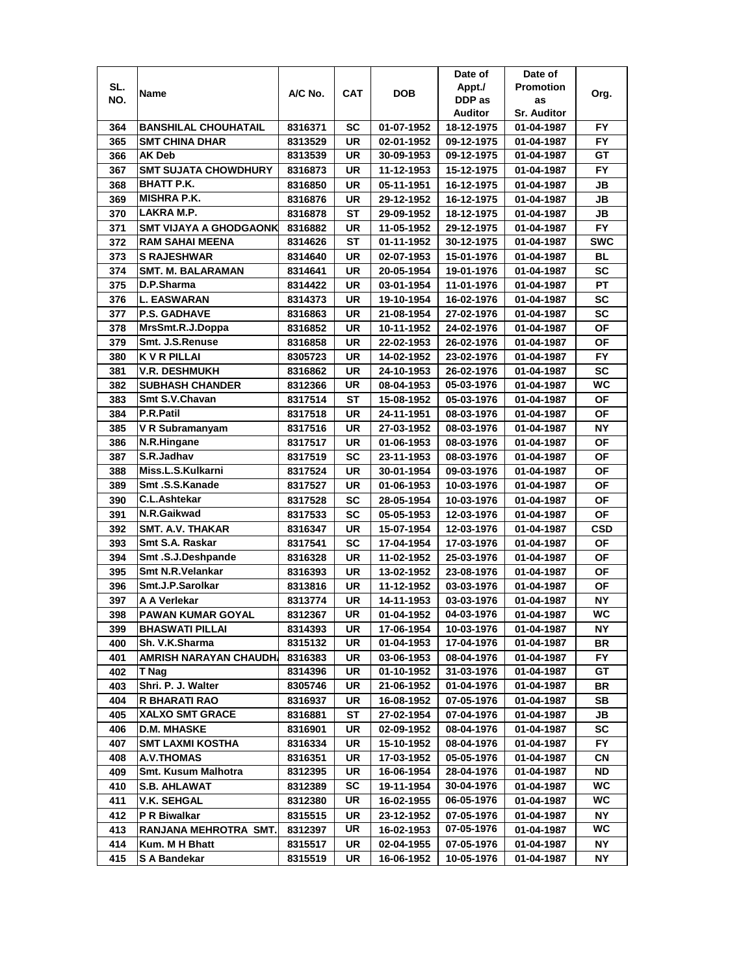|     |                               |         |            |            | Date of    | Date of            |            |
|-----|-------------------------------|---------|------------|------------|------------|--------------------|------------|
| SL. | Name                          | A/C No. | <b>CAT</b> | <b>DOB</b> | Appt./     | <b>Promotion</b>   | Org.       |
| NO. |                               |         |            |            | DDP as     | as                 |            |
|     |                               |         |            |            | Auditor    | <b>Sr. Auditor</b> |            |
| 364 | <b>BANSHILAL CHOUHATAIL</b>   | 8316371 | SC         | 01-07-1952 | 18-12-1975 | 01-04-1987         | FY         |
| 365 | <b>SMT CHINA DHAR</b>         | 8313529 | UR         | 02-01-1952 | 09-12-1975 | 01-04-1987         | <b>FY</b>  |
| 366 | <b>AK Deb</b>                 | 8313539 | UR         | 30-09-1953 | 09-12-1975 | 01-04-1987         | GТ         |
| 367 | <b>SMT SUJATA CHOWDHURY</b>   | 8316873 | UR         | 11-12-1953 | 15-12-1975 | 01-04-1987         | FY         |
| 368 | <b>BHATT P.K.</b>             | 8316850 | UR         | 05-11-1951 | 16-12-1975 | 01-04-1987         | JB         |
| 369 | <b>MISHRA P.K.</b>            | 8316876 | UR         | 29-12-1952 | 16-12-1975 | 01-04-1987         | <b>JB</b>  |
| 370 | LAKRA M.P.                    | 8316878 | SТ         | 29-09-1952 | 18-12-1975 | 01-04-1987         | JB         |
| 371 | <b>SMT VIJAYA A GHODGAONK</b> | 8316882 | UR         | 11-05-1952 | 29-12-1975 | 01-04-1987         | <b>FY</b>  |
| 372 | <b>RAM SAHAI MEENA</b>        | 8314626 | ST         | 01-11-1952 | 30-12-1975 | 01-04-1987         | <b>SWC</b> |
| 373 | <b>S RAJESHWAR</b>            | 8314640 | UR         | 02-07-1953 | 15-01-1976 | 01-04-1987         | BL         |
| 374 | <b>SMT. M. BALARAMAN</b>      | 8314641 | <b>UR</b>  | 20-05-1954 | 19-01-1976 | 01-04-1987         | <b>SC</b>  |
| 375 | D.P.Sharma                    | 8314422 | <b>UR</b>  | 03-01-1954 | 11-01-1976 | 01-04-1987         | PT         |
| 376 | <b>L. EASWARAN</b>            | 8314373 | UR         | 19-10-1954 | 16-02-1976 | 01-04-1987         | SC         |
| 377 | <b>P.S. GADHAVE</b>           | 8316863 | UR         | 21-08-1954 | 27-02-1976 | 01-04-1987         | <b>SC</b>  |
| 378 | MrsSmt.R.J.Doppa              | 8316852 | UR         | 10-11-1952 | 24-02-1976 | 01-04-1987         | ΟF         |
| 379 | Smt. J.S.Renuse               | 8316858 | UR         | 22-02-1953 | 26-02-1976 | 01-04-1987         | <b>OF</b>  |
| 380 | <b>KVR PILLAI</b>             | 8305723 | UR         | 14-02-1952 | 23-02-1976 | 01-04-1987         | FY.        |
| 381 | V.R. DESHMUKH                 | 8316862 | UR         | 24-10-1953 | 26-02-1976 | 01-04-1987         | <b>SC</b>  |
| 382 | <b>SUBHASH CHANDER</b>        | 8312366 | <b>UR</b>  | 08-04-1953 | 05-03-1976 | 01-04-1987         | <b>WC</b>  |
| 383 | Smt S.V.Chavan                | 8317514 | <b>ST</b>  | 15-08-1952 | 05-03-1976 | 01-04-1987         | <b>OF</b>  |
| 384 | P.R.Patil                     | 8317518 | UR         | 24-11-1951 | 08-03-1976 | 01-04-1987         | <b>OF</b>  |
| 385 | V R Subramanyam               | 8317516 | UR         | 27-03-1952 | 08-03-1976 | 01-04-1987         | <b>NY</b>  |
| 386 | N.R.Hingane                   | 8317517 | <b>UR</b>  | 01-06-1953 | 08-03-1976 | 01-04-1987         | ΟF         |
| 387 | S.R.Jadhav                    | 8317519 | <b>SC</b>  | 23-11-1953 | 08-03-1976 | 01-04-1987         | <b>OF</b>  |
| 388 | Miss.L.S.Kulkarni             | 8317524 | UR         | 30-01-1954 | 09-03-1976 | 01-04-1987         | ΟF         |
| 389 | Smt.S.S.Kanade                | 8317527 | UR         | 01-06-1953 | 10-03-1976 | 01-04-1987         | <b>OF</b>  |
| 390 | <b>C.L.Ashtekar</b>           | 8317528 | <b>SC</b>  | 28-05-1954 | 10-03-1976 | 01-04-1987         | <b>OF</b>  |
| 391 | N.R.Gaikwad                   | 8317533 | <b>SC</b>  | 05-05-1953 | 12-03-1976 | 01-04-1987         | <b>OF</b>  |
| 392 | <b>SMT. A.V. THAKAR</b>       | 8316347 | <b>UR</b>  | 15-07-1954 | 12-03-1976 | 01-04-1987         | <b>CSD</b> |
| 393 | Smt S.A. Raskar               | 8317541 | <b>SC</b>  | 17-04-1954 | 17-03-1976 | 01-04-1987         | <b>OF</b>  |
| 394 | Smt.S.J.Deshpande             | 8316328 | UR         | 11-02-1952 | 25-03-1976 | 01-04-1987         | <b>OF</b>  |
| 395 | <b>Smt N.R.Velankar</b>       | 8316393 | UR         | 13-02-1952 | 23-08-1976 | 01-04-1987         | ΟF         |
| 396 | Smt.J.P.Sarolkar              | 8313816 | UR         | 11-12-1952 | 03-03-1976 | 01-04-1987         | ΟF         |
| 397 | A A Verlekar                  | 8313774 | UR         | 14-11-1953 | 03-03-1976 | 01-04-1987         | NΥ         |
| 398 | <b>PAWAN KUMAR GOYAL</b>      | 8312367 | <b>UR</b>  | 01-04-1952 | 04-03-1976 | 01-04-1987         | WC         |
| 399 | <b>BHASWATI PILLAI</b>        | 8314393 | UR         | 17-06-1954 | 10-03-1976 | 01-04-1987         | NΥ         |
| 400 | Sh. V.K.Sharma                | 8315132 | UR         | 01-04-1953 | 17-04-1976 | 01-04-1987         | BR         |
| 401 | <b>AMRISH NARAYAN CHAUDH</b>  | 8316383 | UR         | 03-06-1953 | 08-04-1976 | 01-04-1987         | FY.        |
| 402 | T Nag                         | 8314396 | UR         | 01-10-1952 | 31-03-1976 | 01-04-1987         | GТ         |
| 403 | Shri. P. J. Walter            | 8305746 | UR         | 21-06-1952 | 01-04-1976 | 01-04-1987         | BR         |
| 404 | R BHARATI RAO                 | 8316937 | UR         | 16-08-1952 | 07-05-1976 | 01-04-1987         | SВ         |
| 405 | <b>XALXO SMT GRACE</b>        | 8316881 | ST         | 27-02-1954 | 07-04-1976 | 01-04-1987         | JB         |
| 406 | <b>D.M. MHASKE</b>            | 8316901 | UR         | 02-09-1952 | 08-04-1976 | 01-04-1987         | <b>SC</b>  |
| 407 | <b>SMT LAXMI KOSTHA</b>       | 8316334 | UR         | 15-10-1952 | 08-04-1976 | 01-04-1987         | FY.        |
| 408 | <b>A.V.THOMAS</b>             | 8316351 | UR         | 17-03-1952 | 05-05-1976 | 01-04-1987         | СN         |
| 409 | <b>Smt. Kusum Malhotra</b>    | 8312395 | UR         | 16-06-1954 | 28-04-1976 | 01-04-1987         | <b>ND</b>  |
| 410 | <b>S.B. AHLAWAT</b>           | 8312389 | SC         | 19-11-1954 | 30-04-1976 | 01-04-1987         | WC.        |
| 411 | <b>V.K. SEHGAL</b>            | 8312380 | UR         | 16-02-1955 | 06-05-1976 | 01-04-1987         | WC         |
| 412 | P R Biwalkar                  | 8315515 | UR         | 23-12-1952 | 07-05-1976 | 01-04-1987         | NΥ         |
| 413 | RANJANA MEHROTRA SMT.         | 8312397 | UR         | 16-02-1953 | 07-05-1976 | 01-04-1987         | WC         |
| 414 |                               |         |            |            |            |                    | NY         |
|     | Kum. M H Bhatt                | 8315517 | UR         | 02-04-1955 | 07-05-1976 | 01-04-1987         |            |
| 415 | S A Bandekar                  | 8315519 | UR         | 16-06-1952 | 10-05-1976 | 01-04-1987         | NΥ         |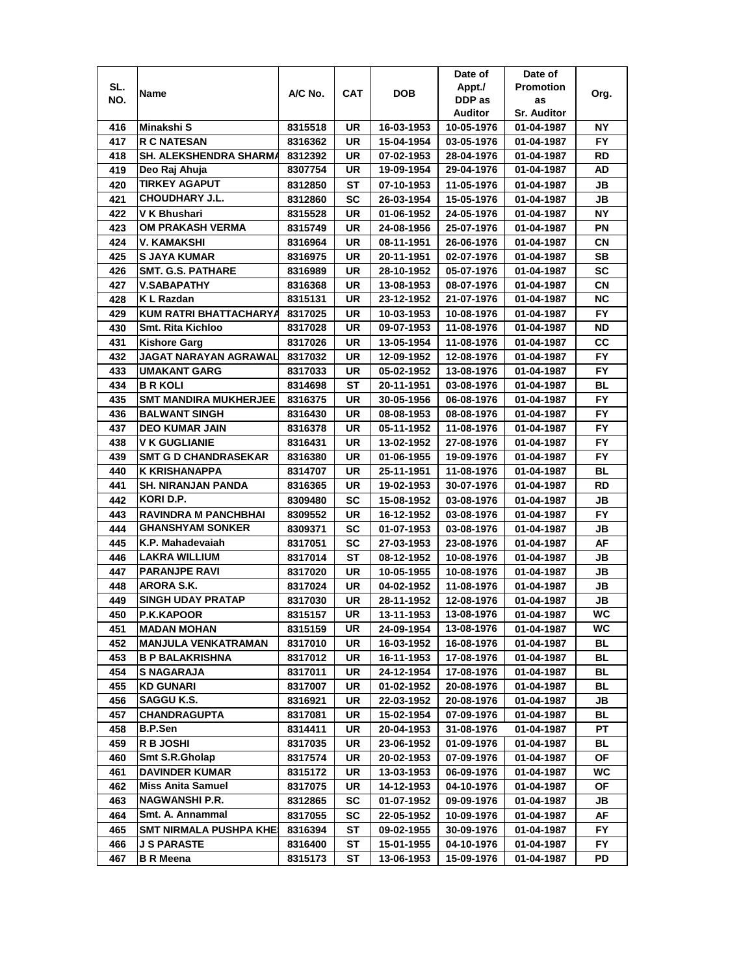|     |                               |         |     |            | Date of    | Date of            |           |
|-----|-------------------------------|---------|-----|------------|------------|--------------------|-----------|
| SL. |                               |         |     |            | Appt./     | <b>Promotion</b>   |           |
| NO. | Name                          | A/C No. | CAT | <b>DOB</b> | DDP as     | as                 | Org.      |
|     |                               |         |     |            | Auditor    | <b>Sr. Auditor</b> |           |
| 416 | Minakshi S                    | 8315518 | UR  | 16-03-1953 | 10-05-1976 | 01-04-1987         | ΝY        |
| 417 | <b>R C NATESAN</b>            | 8316362 | UR  | 15-04-1954 | 03-05-1976 | 01-04-1987         | FY.       |
| 418 | <b>SH. ALEKSHENDRA SHARMA</b> | 8312392 | UR  | 07-02-1953 | 28-04-1976 | 01-04-1987         | RD        |
| 419 | Deo Raj Ahuja                 | 8307754 | UR  | 19-09-1954 | 29-04-1976 | 01-04-1987         | AD        |
| 420 | <b>TIRKEY AGAPUT</b>          | 8312850 | ST  | 07-10-1953 | 11-05-1976 | 01-04-1987         | JB        |
| 421 | CHOUDHARY J.L.                | 8312860 | SC  | 26-03-1954 | 15-05-1976 | 01-04-1987         | JB        |
| 422 | V K Bhushari                  | 8315528 | UR  | 01-06-1952 | 24-05-1976 | 01-04-1987         | NΥ        |
| 423 | OM PRAKASH VERMA              | 8315749 | UR  | 24-08-1956 | 25-07-1976 | 01-04-1987         | ΡN        |
| 424 | V. KAMAKSHI                   | 8316964 | UR  | 08-11-1951 | 26-06-1976 | 01-04-1987         | СN        |
| 425 | S JAYA KUMAR                  | 8316975 | UR  | 20-11-1951 | 02-07-1976 | 01-04-1987         | SB        |
|     | <b>SMT. G.S. PATHARE</b>      |         |     |            |            |                    | <b>SC</b> |
| 426 |                               | 8316989 | UR  | 28-10-1952 | 05-07-1976 | 01-04-1987         |           |
| 427 | <b>V.SABAPATHY</b>            | 8316368 | UR  | 13-08-1953 | 08-07-1976 | 01-04-1987         | СN        |
| 428 | K L Razdan                    | 8315131 | UR  | 23-12-1952 | 21-07-1976 | 01-04-1987         | <b>NC</b> |
| 429 | <b>KUM RATRI BHATTACHARYA</b> | 8317025 | UR  | 10-03-1953 | 10-08-1976 | 01-04-1987         | FY.       |
| 430 | <b>Smt. Rita Kichloo</b>      | 8317028 | UR  | 09-07-1953 | 11-08-1976 | 01-04-1987         | ND        |
| 431 | <b>Kishore Garg</b>           | 8317026 | UR  | 13-05-1954 | 11-08-1976 | 01-04-1987         | СC        |
| 432 | JAGAT NARAYAN AGRAWAL         | 8317032 | UR  | 12-09-1952 | 12-08-1976 | 01-04-1987         | FY.       |
| 433 | <b>UMAKANT GARG</b>           | 8317033 | UR  | 05-02-1952 | 13-08-1976 | 01-04-1987         | FY.       |
| 434 | B R KOLI                      | 8314698 | ST  | 20-11-1951 | 03-08-1976 | 01-04-1987         | BL        |
| 435 | <b>SMT MANDIRA MUKHERJEE</b>  | 8316375 | UR  | 30-05-1956 | 06-08-1976 | 01-04-1987         | <b>FY</b> |
| 436 | <b>BALWANT SINGH</b>          | 8316430 | UR  | 08-08-1953 | 08-08-1976 | 01-04-1987         | FY.       |
| 437 | <b>DEO KUMAR JAIN</b>         | 8316378 | UR  | 05-11-1952 | 11-08-1976 | 01-04-1987         | <b>FY</b> |
| 438 | <b>V K GUGLIANIE</b>          | 8316431 | UR  | 13-02-1952 | 27-08-1976 | 01-04-1987         | <b>FY</b> |
| 439 | <b>SMT G D CHANDRASEKAR</b>   | 8316380 | UR  | 01-06-1955 | 19-09-1976 | 01-04-1987         | <b>FY</b> |
| 440 | K KRISHANAPPA                 | 8314707 | UR  | 25-11-1951 | 11-08-1976 | 01-04-1987         | <b>BL</b> |
| 441 | <b>SH. NIRANJAN PANDA</b>     | 8316365 | UR  | 19-02-1953 | 30-07-1976 | 01-04-1987         | RD        |
| 442 | KORI D.P.                     | 8309480 | SC  | 15-08-1952 | 03-08-1976 | 01-04-1987         | JB        |
| 443 | <b>RAVINDRA M PANCHBHAI</b>   | 8309552 | UR  | 16-12-1952 | 03-08-1976 | 01-04-1987         | <b>FY</b> |
| 444 | <b>GHANSHYAM SONKER</b>       | 8309371 | SC  | 01-07-1953 | 03-08-1976 | 01-04-1987         | JB        |
| 445 | K.P. Mahadevaiah              | 8317051 | SC  | 27-03-1953 | 23-08-1976 | 01-04-1987         | AF        |
| 446 | <b>LAKRA WILLIUM</b>          | 8317014 | SТ  | 08-12-1952 | 10-08-1976 | 01-04-1987         | JB        |
| 447 | <b>PARANJPE RAVI</b>          | 8317020 | UR  | 10-05-1955 | 10-08-1976 | 01-04-1987         | JB        |
| 448 | ARORA S.K.                    | 8317024 | UR  | 04-02-1952 | 11-08-1976 | 01-04-1987         | JB        |
| 449 | <b>SINGH UDAY PRATAP</b>      | 8317030 | UR  | 28-11-1952 | 12-08-1976 | 01-04-1987         | JB        |
|     |                               |         | UR  |            | 13-08-1976 |                    | WC        |
| 450 | <b>P.K.KAPOOR</b>             | 8315157 | UR  | 13-11-1953 | 13-08-1976 | 01-04-1987         | WC        |
| 451 | <b>MADAN MOHAN</b>            | 8315159 |     | 24-09-1954 |            | 01-04-1987         |           |
| 452 | <b>MANJULA VENKATRAMAN</b>    | 8317010 | UR  | 16-03-1952 | 16-08-1976 | 01-04-1987         | BL        |
| 453 | <b>B P BALAKRISHNA</b>        | 8317012 | UR  | 16-11-1953 | 17-08-1976 | 01-04-1987         | <b>BL</b> |
| 454 | <b>S NAGARAJA</b>             | 8317011 | UR  | 24-12-1954 | 17-08-1976 | 01-04-1987         | BL        |
| 455 | <b>KD GUNARI</b>              | 8317007 | UR  | 01-02-1952 | 20-08-1976 | 01-04-1987         | BL        |
| 456 | SAGGU K.S.                    | 8316921 | UR  | 22-03-1952 | 20-08-1976 | 01-04-1987         | JB        |
| 457 | CHANDRAGUPTA                  | 8317081 | UR  | 15-02-1954 | 07-09-1976 | 01-04-1987         | BL        |
| 458 | <b>B.P.Sen</b>                | 8314411 | UR  | 20-04-1953 | 31-08-1976 | 01-04-1987         | PТ        |
| 459 | <b>R B JOSHI</b>              | 8317035 | UR  | 23-06-1952 | 01-09-1976 | 01-04-1987         | BL        |
| 460 | Smt S.R.Gholap                | 8317574 | UR  | 20-02-1953 | 07-09-1976 | 01-04-1987         | ОF        |
| 461 | <b>DAVINDER KUMAR</b>         | 8315172 | UR  | 13-03-1953 | 06-09-1976 | 01-04-1987         | WC.       |
| 462 | <b>Miss Anita Samuel</b>      | 8317075 | UR  | 14-12-1953 | 04-10-1976 | 01-04-1987         | ОF        |
| 463 | NAGWANSHI P.R.                | 8312865 | SC  | 01-07-1952 | 09-09-1976 | 01-04-1987         | JB        |
| 464 | Smt. A. Annammal              | 8317055 | SC  | 22-05-1952 | 10-09-1976 | 01-04-1987         | AF        |
| 465 | SMT NIRMALA PUSHPA KHE!       | 8316394 | ST  | 09-02-1955 | 30-09-1976 | 01-04-1987         | FY.       |
| 466 | J S PARASTE                   | 8316400 | ST  | 15-01-1955 | 04-10-1976 | 01-04-1987         | FY        |
| 467 | <b>B R Meena</b>              | 8315173 | ST  | 13-06-1953 | 15-09-1976 | 01-04-1987         | PD        |
|     |                               |         |     |            |            |                    |           |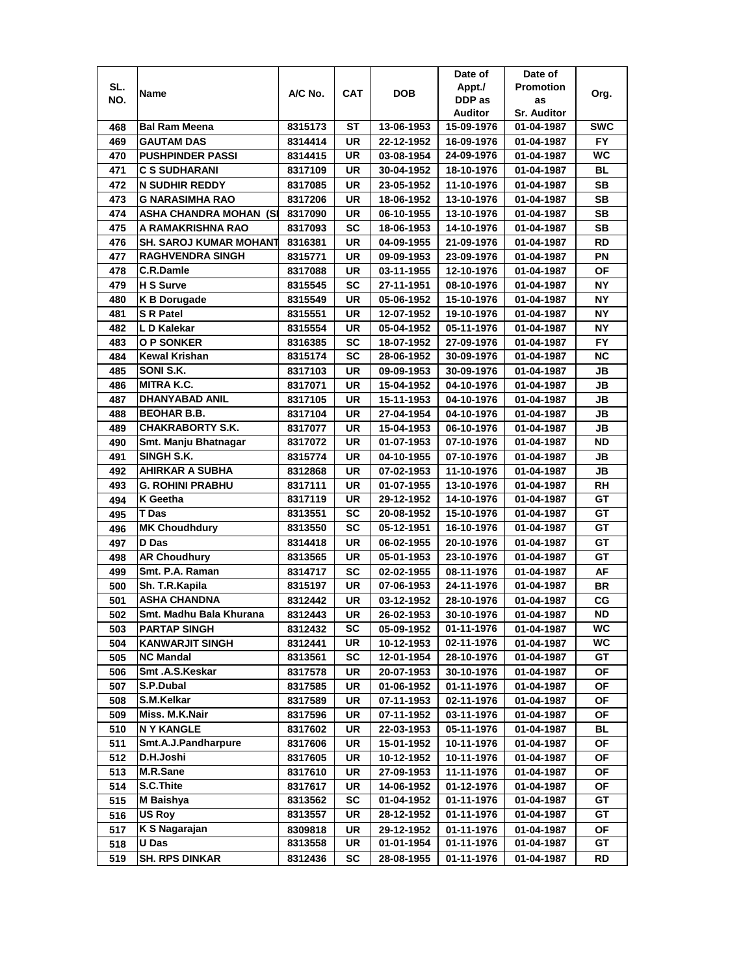|            |                                     |                    |                        |                          | Date of                  | Date of                  |                 |
|------------|-------------------------------------|--------------------|------------------------|--------------------------|--------------------------|--------------------------|-----------------|
| SL.        |                                     | A/C No.            | CAT                    | <b>DOB</b>               | Appt./                   | <b>Promotion</b>         |                 |
| NO.        | Name                                |                    |                        |                          | DDP as                   | as                       | Org.            |
|            |                                     |                    |                        |                          | Auditor                  | <b>Sr. Auditor</b>       |                 |
| 468        | <b>Bal Ram Meena</b>                | 8315173            | ST                     | 13-06-1953               | 15-09-1976               | 01-04-1987               | <b>SWC</b>      |
| 469        | GAUTAM DAS                          | 8314414            | UR                     | 22-12-1952               | 16-09-1976               | 01-04-1987               | FY.             |
| 470        | <b>PUSHPINDER PASSI</b>             | 8314415            | UR                     | 03-08-1954               | 24-09-1976               | 01-04-1987               | WC              |
| 471        | C S SUDHARANI                       | 8317109            | UR                     | 30-04-1952               | 18-10-1976               | 01-04-1987               | <b>BL</b>       |
| 472        | <b>N SUDHIR REDDY</b>               | 8317085            | <b>UR</b>              | 23-05-1952               | 11-10-1976               | 01-04-1987               | <b>SB</b>       |
| 473        | <b>G NARASIMHA RAO</b>              | 8317206            | UR                     | 18-06-1952               | 13-10-1976               | 01-04-1987               | <b>SB</b>       |
| 474        | <b>ASHA CHANDRA MOHAN (SI</b>       | 8317090            | <b>UR</b>              | 06-10-1955               | 13-10-1976               | 01-04-1987               | <b>SB</b>       |
| 475        | A RAMAKRISHNA RAO                   | 8317093            | SC                     | 18-06-1953               | 14-10-1976               | 01-04-1987               | <b>SB</b>       |
| 476        | SH. SAROJ KUMAR MOHANT              | 8316381            | UR                     | 04-09-1955               | 21-09-1976               | 01-04-1987               | <b>RD</b>       |
| 477        | <b>RAGHVENDRA SINGH</b>             | 8315771            | UR                     | 09-09-1953               | 23-09-1976               | 01-04-1987               | ΡN              |
| 478        | C.R.Damle                           | 8317088            | UR                     | 03-11-1955               | 12-10-1976               | 01-04-1987               | <b>OF</b>       |
| 479        | H S Surve                           | 8315545            | <b>SC</b>              | 27-11-1951               | 08-10-1976               | 01-04-1987               | <b>NY</b>       |
| 480        | <b>K B Dorugade</b>                 | 8315549            | <b>UR</b>              | 05-06-1952               | 15-10-1976               | 01-04-1987               | <b>NY</b>       |
| 481        | <b>S</b> R Patel                    | 8315551            | UR                     | 12-07-1952               | 19-10-1976               | 01-04-1987               | <b>NY</b>       |
| 482        | L D Kalekar                         | 8315554            | UR                     | 05-04-1952               | 05-11-1976               | 01-04-1987               | <b>NY</b>       |
| 483        | <b>O P SONKER</b>                   | 8316385            | SC                     | 18-07-1952               | 27-09-1976               | 01-04-1987               | FY.             |
| 484        | <b>Kewal Krishan</b>                | 8315174            | <b>SC</b>              | 28-06-1952               | 30-09-1976               | 01-04-1987               | <b>NC</b>       |
| 485        | SONI S.K.                           | 8317103            | UR                     | 09-09-1953               | 30-09-1976               | 01-04-1987               | JB              |
|            | <b>MITRA K.C.</b>                   | 8317071            | UR                     |                          | 04-10-1976               | 01-04-1987               | JB              |
| 486        | <b>DHANYABAD ANIL</b>               |                    | <b>UR</b>              | 15-04-1952               |                          |                          |                 |
| 487        | <b>BEOHAR B.B.</b>                  | 8317105            |                        | 15-11-1953               | 04-10-1976               | 01-04-1987               | JB              |
| 488        | <b>CHAKRABORTY S.K.</b>             | 8317104            | <b>UR</b>              | 27-04-1954               | 04-10-1976               | 01-04-1987               | JB              |
| 489        | Smt. Manju Bhatnagar                | 8317077<br>8317072 | <b>UR</b><br><b>UR</b> | 15-04-1953<br>01-07-1953 | 06-10-1976<br>07-10-1976 | 01-04-1987<br>01-04-1987 | JВ<br><b>ND</b> |
| 490        | SINGH S.K.                          |                    |                        |                          |                          |                          |                 |
| 491        | <b>AHIRKAR A SUBHA</b>              | 8315774            | <b>UR</b><br><b>UR</b> | 04-10-1955               | 07-10-1976               | 01-04-1987               | JВ<br>JВ        |
| 492        |                                     | 8312868            | <b>UR</b>              | 07-02-1953               | 11-10-1976               | 01-04-1987               | <b>RH</b>       |
| 493<br>494 | G. ROHINI PRABHU<br><b>K</b> Geetha | 8317111<br>8317119 | <b>UR</b>              | 01-07-1955<br>29-12-1952 | 13-10-1976<br>14-10-1976 | 01-04-1987<br>01-04-1987 | GТ              |
| 495        | T Das                               | 8313551            | <b>SC</b>              | 20-08-1952               | 15-10-1976               | 01-04-1987               | GT              |
| 496        | <b>MK Choudhdury</b>                | 8313550            | <b>SC</b>              | 05-12-1951               | 16-10-1976               | 01-04-1987               | GT              |
| 497        | <b>D</b> Das                        | 8314418            | <b>UR</b>              | 06-02-1955               | 20-10-1976               | 01-04-1987               | GT              |
|            | <b>AR Choudhury</b>                 | 8313565            | <b>UR</b>              | 05-01-1953               | 23-10-1976               |                          | GT              |
| 498        |                                     |                    |                        |                          |                          | 01-04-1987               |                 |
| 499        | Smt. P.A. Raman                     | 8314717            | <b>SC</b>              | 02-02-1955               | 08-11-1976               | 01-04-1987               | AF              |
| 500        | Sh. T.R. Kapila                     | 8315197            | UR                     | 07-06-1953               | 24-11-1976               | 01-04-1987               | BR              |
| 501        | ASHA CHANDNA                        | 8312442            | <b>UR</b>              | 03-12-1952               | 28-10-1976               | 01-04-1987               | CG              |
| 502        | Smt. Madhu Bala Khurana             | 8312443            | UR                     | 26-02-1953               | 30-10-1976               | 01-04-1987               | <b>ND</b>       |
| 503        | <b>PARTAP SINGH</b>                 | 8312432            | SC                     | 05-09-1952               | 01-11-1976               | 01-04-1987               | <b>WC</b>       |
| 504        | <b>KANWARJIT SINGH</b>              | 8312441            | UR                     | 10-12-1953               | 02-11-1976               | 01-04-1987               | WC              |
| 505        | <b>NC Mandal</b>                    | 8313561            | SC                     | 12-01-1954               | 28-10-1976               | 01-04-1987               | GT              |
| 506        | Smt.A.S.Keskar                      | 8317578            | UR                     | 20-07-1953               | 30-10-1976               | 01-04-1987               | ΟF              |
| 507        | S.P.Dubal                           | 8317585            | UR                     | 01-06-1952               | 01-11-1976               | 01-04-1987               | ΟF              |
| 508        | S.M.Kelkar                          | 8317589            | UR                     | 07-11-1953               | 02-11-1976               | 01-04-1987               | ΟF              |
| 509        | Miss. M.K.Nair                      | 8317596            | UR                     | 07-11-1952               | 03-11-1976               | 01-04-1987               | ΟF              |
| 510        | <b>NY KANGLE</b>                    | 8317602            | UR                     | 22-03-1953               | 05-11-1976               | 01-04-1987               | BL              |
| 511        | Smt.A.J.Pandharpure                 | 8317606            | UR                     | 15-01-1952               | 10-11-1976               | 01-04-1987               | ΟF              |
| 512        | D.H.Joshi                           | 8317605            | UR                     | 10-12-1952               | 10-11-1976               | 01-04-1987               | OF              |
| 513        | M.R.Sane                            | 8317610            | UR                     | 27-09-1953               | 11-11-1976               | 01-04-1987               | OF              |
| 514        | S.C.Thite                           | 8317617            | UR                     | 14-06-1952               | 01-12-1976               | 01-04-1987               | OF              |
| 515        | <b>M</b> Baishya                    | 8313562            | SC                     | 01-04-1952               | 01-11-1976               | 01-04-1987               | GT              |
| 516        | <b>US Roy</b>                       | 8313557            | UR                     | 28-12-1952               | 01-11-1976               | 01-04-1987               | GT              |
| 517        | K S Nagarajan                       | 8309818            | UR                     | 29-12-1952               | 01-11-1976               | 01-04-1987               | ΟF              |
| 518        | U Das                               | 8313558            | UR                     | 01-01-1954               | 01-11-1976               | 01-04-1987               | GT              |
| 519        | <b>SH. RPS DINKAR</b>               | 8312436            | SC                     | 28-08-1955               | 01-11-1976               | 01-04-1987               | RD              |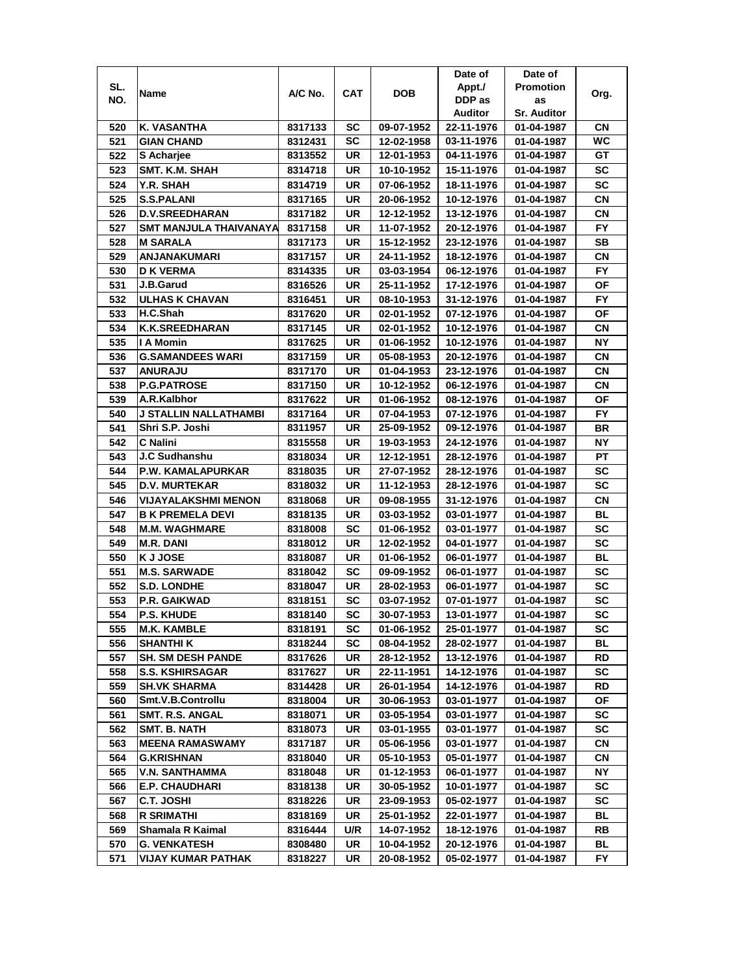|     |                               |         |     |            | Date of    | Date of            |           |
|-----|-------------------------------|---------|-----|------------|------------|--------------------|-----------|
| SL. |                               |         |     |            | Appt./     | <b>Promotion</b>   |           |
| NO. | Name                          | A/C No. | CAT | <b>DOB</b> | DDP as     | as                 | Org.      |
|     |                               |         |     |            | Auditor    | <b>Sr. Auditor</b> |           |
| 520 | K. VASANTHA                   | 8317133 | SC  | 09-07-1952 | 22-11-1976 | 01-04-1987         | CN        |
| 521 | <b>GIAN CHAND</b>             | 8312431 | SC  | 12-02-1958 | 03-11-1976 | 01-04-1987         | WC.       |
| 522 | S Acharjee                    | 8313552 | UR  | 12-01-1953 | 04-11-1976 | 01-04-1987         | GТ        |
| 523 | SMT. K.M. SHAH                | 8314718 | UR  | 10-10-1952 | 15-11-1976 | 01-04-1987         | SC        |
| 524 | Y.R. SHAH                     | 8314719 | UR  | 07-06-1952 | 18-11-1976 | 01-04-1987         | <b>SC</b> |
| 525 | <b>S.S.PALANI</b>             | 8317165 | UR  | 20-06-1952 | 10-12-1976 | 01-04-1987         | СN        |
| 526 | <b>D.V.SREEDHARAN</b>         | 8317182 | UR  | 12-12-1952 | 13-12-1976 | 01-04-1987         | СN        |
| 527 | SMT MANJULA THAIVANAYA        | 8317158 | UR  | 11-07-1952 | 20-12-1976 | 01-04-1987         | FY.       |
| 528 | <b>M SARALA</b>               | 8317173 | UR  | 15-12-1952 | 23-12-1976 | 01-04-1987         | SВ        |
| 529 | ANJANAKUMARI                  | 8317157 | UR  | 24-11-1952 | 18-12-1976 | 01-04-1987         | CN        |
|     |                               |         |     |            |            |                    | <b>FY</b> |
| 530 | <b>D K VERMA</b><br>J.B.Garud | 8314335 | UR  | 03-03-1954 | 06-12-1976 | 01-04-1987         |           |
| 531 |                               | 8316526 | UR  | 25-11-1952 | 17-12-1976 | 01-04-1987         | ΟF        |
| 532 | <b>ULHAS K CHAVAN</b>         | 8316451 | UR  | 08-10-1953 | 31-12-1976 | 01-04-1987         | <b>FY</b> |
| 533 | H.C.Shah                      | 8317620 | UR  | 02-01-1952 | 07-12-1976 | 01-04-1987         | ΟF        |
| 534 | <b>K.K.SREEDHARAN</b>         | 8317145 | UR  | 02-01-1952 | 10-12-1976 | 01-04-1987         | СN        |
| 535 | I A Momin                     | 8317625 | UR  | 01-06-1952 | 10-12-1976 | 01-04-1987         | ΝY        |
| 536 | <b>G.SAMANDEES WARI</b>       | 8317159 | UR  | 05-08-1953 | 20-12-1976 | 01-04-1987         | СN        |
| 537 | <b>ANURAJU</b>                | 8317170 | UR  | 01-04-1953 | 23-12-1976 | 01-04-1987         | CN        |
| 538 | <b>P.G.PATROSE</b>            | 8317150 | UR  | 10-12-1952 | 06-12-1976 | 01-04-1987         | CN        |
| 539 | A.R.Kalbhor                   | 8317622 | UR  | 01-06-1952 | 08-12-1976 | 01-04-1987         | ΟF        |
| 540 | J STALLIN NALLATHAMBI         | 8317164 | UR  | 07-04-1953 | 07-12-1976 | 01-04-1987         | FY.       |
| 541 | Shri S.P. Joshi               | 8311957 | UR  | 25-09-1952 | 09-12-1976 | 01-04-1987         | BR        |
| 542 | <b>C</b> Nalini               | 8315558 | UR  | 19-03-1953 | 24-12-1976 | 01-04-1987         | <b>NY</b> |
| 543 | <b>J.C Sudhanshu</b>          | 8318034 | UR  | 12-12-1951 | 28-12-1976 | 01-04-1987         | <b>PT</b> |
| 544 | P.W. KAMALAPURKAR             | 8318035 | UR  | 27-07-1952 | 28-12-1976 | 01-04-1987         | SC        |
| 545 | <b>D.V. MURTEKAR</b>          | 8318032 | UR  | 11-12-1953 | 28-12-1976 | 01-04-1987         | <b>SC</b> |
| 546 | <b>VIJAYALAKSHMI MENON</b>    | 8318068 | UR  | 09-08-1955 | 31-12-1976 | 01-04-1987         | CN        |
| 547 | <b>B K PREMELA DEVI</b>       | 8318135 | UR  | 03-03-1952 | 03-01-1977 | 01-04-1987         | BL        |
| 548 | <b>M.M. WAGHMARE</b>          | 8318008 | SC  | 01-06-1952 | 03-01-1977 | 01-04-1987         | SC        |
| 549 | <b>M.R. DANI</b>              | 8318012 | UR  | 12-02-1952 | 04-01-1977 | 01-04-1987         | <b>SC</b> |
| 550 | K J JOSE                      | 8318087 | UR  | 01-06-1952 | 06-01-1977 | 01-04-1987         | BL        |
| 551 | <b>M.S. SARWADE</b>           | 8318042 | SC  | 09-09-1952 | 06-01-1977 | 01-04-1987         | <b>SC</b> |
| 552 | <b>S.D. LONDHE</b>            | 8318047 | UR  | 28-02-1953 | 06-01-1977 | 01-04-1987         | SC        |
| 553 | <b>P.R. GAIKWAD</b>           | 8318151 | SC  | 03-07-1952 | 07-01-1977 | 01-04-1987         | SC        |
|     |                               |         |     |            |            |                    |           |
| 554 | <b>P.S. KHUDE</b>             | 8318140 | SC  | 30-07-1953 | 13-01-1977 | 01-04-1987         | SC        |
| 555 | <b>M.K. KAMBLE</b>            | 8318191 | SC  | 01-06-1952 | 25-01-1977 | 01-04-1987         | SC        |
| 556 | <b>SHANTHI K</b>              | 8318244 | SC  | 08-04-1952 | 28-02-1977 | 01-04-1987         | BL        |
| 557 | <b>SH. SM DESH PANDE</b>      | 8317626 | UR  | 28-12-1952 | 13-12-1976 | 01-04-1987         | RD        |
| 558 | <b>S.S. KSHIRSAGAR</b>        | 8317627 | UR  | 22-11-1951 | 14-12-1976 | 01-04-1987         | SC        |
| 559 | <b>SH.VK SHARMA</b>           | 8314428 | UR  | 26-01-1954 | 14-12-1976 | 01-04-1987         | RD        |
| 560 | Smt.V.B.Controllu             | 8318004 | UR  | 30-06-1953 | 03-01-1977 | 01-04-1987         | ОF        |
| 561 | SMT. R.S. ANGAL               | 8318071 | UR  | 03-05-1954 | 03-01-1977 | 01-04-1987         | SC        |
| 562 | SMT. B. NATH                  | 8318073 | UR  | 03-01-1955 | 03-01-1977 | 01-04-1987         | SC        |
| 563 | <b>MEENA RAMASWAMY</b>        | 8317187 | UR  | 05-06-1956 | 03-01-1977 | 01-04-1987         | CN.       |
| 564 | <b>G.KRISHNAN</b>             | 8318040 | UR  | 05-10-1953 | 05-01-1977 | 01-04-1987         | СN        |
| 565 | <b>V.N. SANTHAMMA</b>         | 8318048 | UR  | 01-12-1953 | 06-01-1977 | 01-04-1987         | ΝY        |
| 566 | <b>E.P. CHAUDHARI</b>         | 8318138 | UR  | 30-05-1952 | 10-01-1977 | 01-04-1987         | SC        |
| 567 | C.T. JOSHI                    | 8318226 | UR  | 23-09-1953 | 05-02-1977 | 01-04-1987         | SC        |
| 568 | R SRIMATHI                    | 8318169 | UR  | 25-01-1952 | 22-01-1977 | 01-04-1987         | BL        |
| 569 | Shamala R Kaimal              | 8316444 | U/R | 14-07-1952 | 18-12-1976 | 01-04-1987         | RB        |
| 570 | <b>G. VENKATESH</b>           | 8308480 | UR  | 10-04-1952 | 20-12-1976 | 01-04-1987         | BL        |
| 571 | VIJAY KUMAR PATHAK            | 8318227 | UR  | 20-08-1952 | 05-02-1977 | 01-04-1987         | FY.       |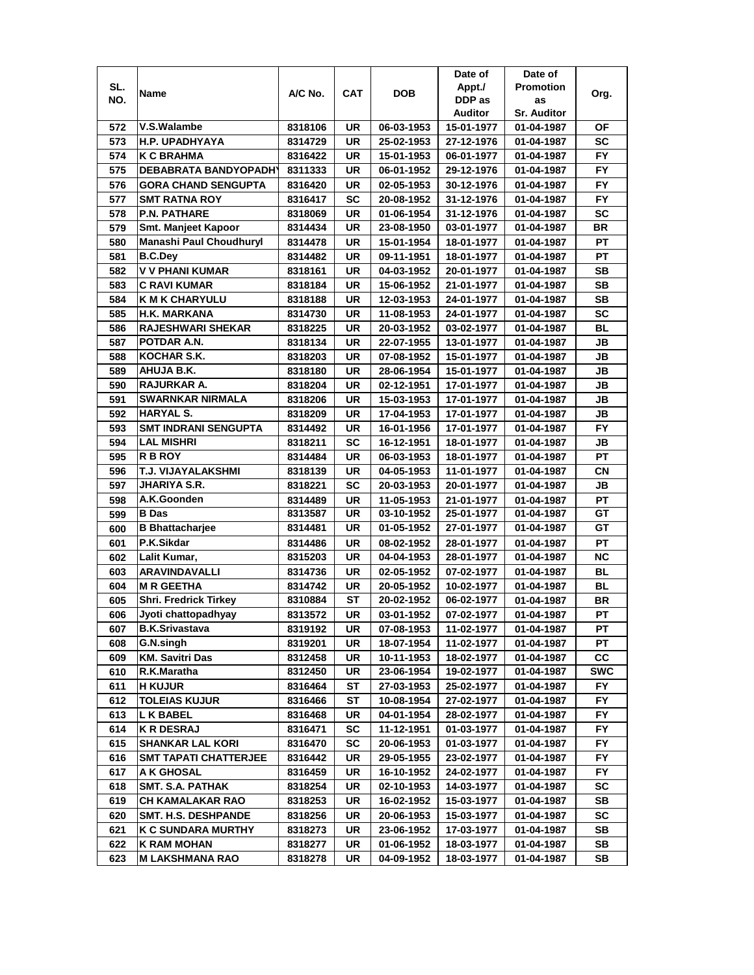|     |                              |         |            |            | Date of        | Date of            |            |
|-----|------------------------------|---------|------------|------------|----------------|--------------------|------------|
| SL. | Name                         | A/C No. | <b>CAT</b> | <b>DOB</b> | Appt./         | <b>Promotion</b>   |            |
| NO. |                              |         |            |            | DDP as         | as                 | Org.       |
|     |                              |         |            |            | <b>Auditor</b> | <b>Sr. Auditor</b> |            |
| 572 | V.S.Walambe                  | 8318106 | UR         | 06-03-1953 | 15-01-1977     | 01-04-1987         | ΟF         |
| 573 | <b>H.P. UPADHYAYA</b>        | 8314729 | UR         | 25-02-1953 | 27-12-1976     | 01-04-1987         | SC         |
| 574 | <b>K C BRAHMA</b>            | 8316422 | UR         | 15-01-1953 | 06-01-1977     | 01-04-1987         | <b>FY</b>  |
| 575 | <b>DEBABRATA BANDYOPADH'</b> | 8311333 | UR         | 06-01-1952 | 29-12-1976     | 01-04-1987         | <b>FY</b>  |
| 576 | <b>GORA CHAND SENGUPTA</b>   | 8316420 | UR         | 02-05-1953 | 30-12-1976     | 01-04-1987         | FY         |
| 577 | <b>SMT RATNA ROY</b>         | 8316417 | <b>SC</b>  | 20-08-1952 | 31-12-1976     | 01-04-1987         | <b>FY</b>  |
| 578 | <b>P.N. PATHARE</b>          | 8318069 | UR         | 01-06-1954 | 31-12-1976     | 01-04-1987         | <b>SC</b>  |
| 579 | Smt. Manjeet Kapoor          | 8314434 | UR         | 23-08-1950 | 03-01-1977     | 01-04-1987         | <b>BR</b>  |
| 580 | Manashi Paul Choudhuryl      | 8314478 | UR         | 15-01-1954 | 18-01-1977     | 01-04-1987         | PT         |
| 581 | <b>B.C.Dey</b>               | 8314482 | UR         | 09-11-1951 | 18-01-1977     | 01-04-1987         | РT         |
| 582 | <b>V V PHANI KUMAR</b>       | 8318161 | UR         | 04-03-1952 | 20-01-1977     | 01-04-1987         | <b>SB</b>  |
| 583 | <b>C RAVI KUMAR</b>          | 8318184 | UR         | 15-06-1952 | 21-01-1977     | 01-04-1987         | <b>SB</b>  |
| 584 | <b>K M K CHARYULU</b>        | 8318188 | <b>UR</b>  | 12-03-1953 | 24-01-1977     | 01-04-1987         | <b>SB</b>  |
| 585 | <b>H.K. MARKANA</b>          | 8314730 | UR         | 11-08-1953 | 24-01-1977     | 01-04-1987         | <b>SC</b>  |
| 586 | <b>RAJESHWARI SHEKAR</b>     | 8318225 | UR         | 20-03-1952 | 03-02-1977     | 01-04-1987         | <b>BL</b>  |
| 587 | POTDAR A.N.                  | 8318134 | UR         | 22-07-1955 | 13-01-1977     | 01-04-1987         | JB         |
| 588 | KOCHAR S.K.                  | 8318203 | UR         | 07-08-1952 | 15-01-1977     | 01-04-1987         | <b>JB</b>  |
| 589 | AHUJA B.K.                   | 8318180 | UR         | 28-06-1954 | 15-01-1977     | 01-04-1987         | JB         |
| 590 | <b>RAJURKAR A.</b>           | 8318204 | UR         | 02-12-1951 | 17-01-1977     | 01-04-1987         | JB         |
| 591 | <b>SWARNKAR NIRMALA</b>      | 8318206 | UR         | 15-03-1953 | 17-01-1977     | 01-04-1987         | JB         |
| 592 | <b>HARYAL S.</b>             | 8318209 | UR         | 17-04-1953 | 17-01-1977     | 01-04-1987         | JB         |
| 593 | <b>SMT INDRANI SENGUPTA</b>  | 8314492 | UR         | 16-01-1956 | 17-01-1977     | 01-04-1987         | <b>FY</b>  |
| 594 | <b>LAL MISHRI</b>            | 8318211 | <b>SC</b>  | 16-12-1951 | 18-01-1977     | 01-04-1987         | JB         |
| 595 | <b>RBROY</b>                 | 8314484 | <b>UR</b>  | 06-03-1953 | 18-01-1977     | 01-04-1987         | PT         |
| 596 | T.J. VIJAYALAKSHMI           | 8318139 | UR         | 04-05-1953 | 11-01-1977     | 01-04-1987         | CN         |
| 597 | <b>JHARIYA S.R.</b>          | 8318221 | <b>SC</b>  | 20-03-1953 | 20-01-1977     | 01-04-1987         | JB         |
| 598 | A.K.Goonden                  | 8314489 | UR         | 11-05-1953 | 21-01-1977     | 01-04-1987         | PT         |
| 599 | <b>B</b> Das                 | 8313587 | UR         | 03-10-1952 | 25-01-1977     | 01-04-1987         | GT         |
| 600 | <b>B</b> Bhattacharjee       | 8314481 | <b>UR</b>  | 01-05-1952 | 27-01-1977     | 01-04-1987         | GT         |
| 601 | P.K.Sikdar                   | 8314486 | <b>UR</b>  | 08-02-1952 | 28-01-1977     | 01-04-1987         | <b>PT</b>  |
| 602 | Lalit Kumar,                 | 8315203 | <b>UR</b>  | 04-04-1953 | 28-01-1977     | 01-04-1987         | <b>NC</b>  |
| 603 | <b>ARAVINDAVALLI</b>         | 8314736 | <b>UR</b>  | 02-05-1952 | 07-02-1977     | 01-04-1987         | <b>BL</b>  |
| 604 | <b>MR GEETHA</b>             | 8314742 | UR         | 20-05-1952 | 10-02-1977     | 01-04-1987         | BL         |
| 605 | <b>Shri. Fredrick Tirkey</b> | 8310884 | <b>ST</b>  | 20-02-1952 | 06-02-1977     | 01-04-1987         | <b>BR</b>  |
| 606 | Jyoti chattopadhyay          | 8313572 | UR         | 03-01-1952 | 07-02-1977     | 01-04-1987         | PT         |
| 607 | <b>B.K.Srivastava</b>        | 8319192 | UR         | 07-08-1953 | 11-02-1977     | 01-04-1987         | РT         |
| 608 | G.N.singh                    | 8319201 | UR         | 18-07-1954 | 11-02-1977     | 01-04-1987         | PТ         |
| 609 | <b>KM. Savitri Das</b>       | 8312458 | UR         | 10-11-1953 | 18-02-1977     | 01-04-1987         | СC         |
| 610 | R.K.Maratha                  | 8312450 | UR         | 23-06-1954 | 19-02-1977     | 01-04-1987         | <b>SWC</b> |
| 611 | <b>H KUJUR</b>               | 8316464 | ST         | 27-03-1953 | 25-02-1977     | 01-04-1987         | FY.        |
| 612 | <b>TOLEIAS KUJUR</b>         | 8316466 | SТ         | 10-08-1954 | 27-02-1977     | 01-04-1987         | FY.        |
| 613 | <b>L K BABEL</b>             | 8316468 | UR         | 04-01-1954 | 28-02-1977     | 01-04-1987         | FY.        |
| 614 | <b>K R DESRAJ</b>            | 8316471 | <b>SC</b>  | 11-12-1951 | 01-03-1977     | 01-04-1987         | FY.        |
| 615 | <b>SHANKAR LAL KORI</b>      | 8316470 | <b>SC</b>  | 20-06-1953 | 01-03-1977     | 01-04-1987         | FY.        |
| 616 | <b>SMT TAPATI CHATTERJEE</b> | 8316442 | UR         | 29-05-1955 | 23-02-1977     | 01-04-1987         | FY.        |
| 617 | <b>A K GHOSAL</b>            | 8316459 | UR         | 16-10-1952 | 24-02-1977     | 01-04-1987         | FY.        |
| 618 | <b>SMT. S.A. PATHAK</b>      | 8318254 | UR         | 02-10-1953 | 14-03-1977     | 01-04-1987         | SC         |
| 619 | <b>CH KAMALAKAR RAO</b>      | 8318253 | UR         | 16-02-1952 | 15-03-1977     | 01-04-1987         | SB         |
| 620 | <b>SMT. H.S. DESHPANDE</b>   | 8318256 | UR         | 20-06-1953 | 15-03-1977     | 01-04-1987         | SC         |
| 621 | <b>K C SUNDARA MURTHY</b>    | 8318273 | UR         | 23-06-1952 | 17-03-1977     | 01-04-1987         | SB         |
| 622 | <b>K RAM MOHAN</b>           | 8318277 | UR         | 01-06-1952 | 18-03-1977     | 01-04-1987         | SB         |
| 623 | M LAKSHMANA RAO              | 8318278 | UR         | 04-09-1952 | 18-03-1977     | 01-04-1987         | SB         |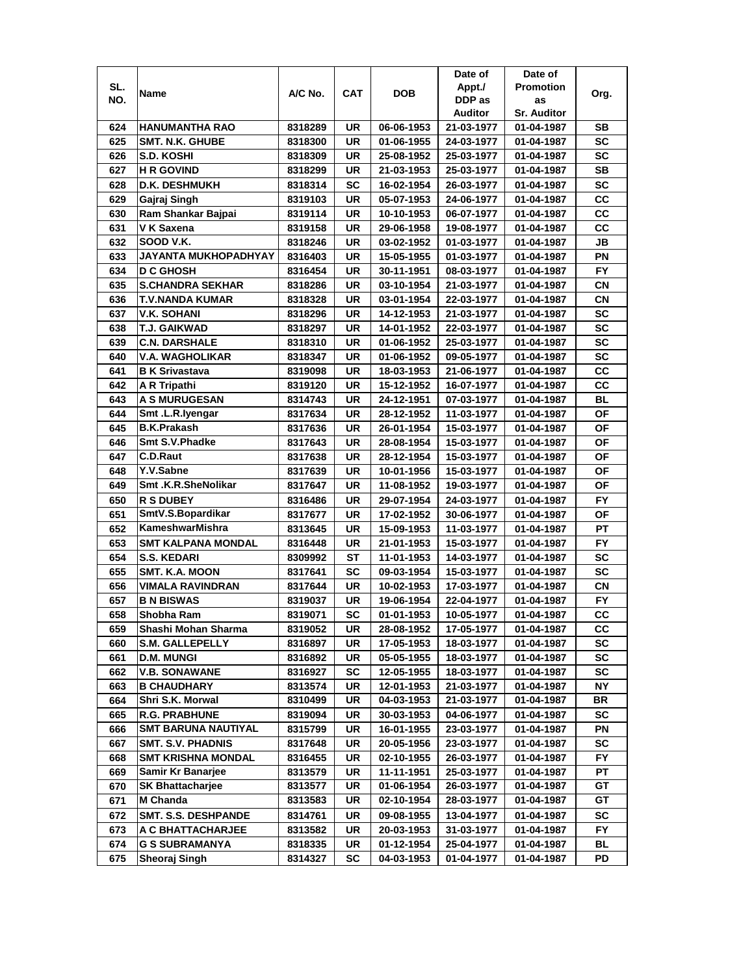| SL.<br><b>Promotion</b><br>Appt./<br>A/C No.<br><b>CAT</b><br>DOB<br>Name<br>Org.<br>DDP as<br>NO.<br>as<br><b>Auditor</b><br><b>Sr. Auditor</b><br>HANUMANTHA RAO<br>8318289<br>UR<br>06-06-1953<br>SВ<br>624<br>21-03-1977<br>01-04-1987<br>UR<br>SC<br>625<br><b>SMT. N.K. GHUBE</b><br>8318300<br>01-06-1955<br>24-03-1977<br>01-04-1987<br>SC<br>626<br>UR<br>S.D. KOSHI<br>8318309<br>25-08-1952<br>25-03-1977<br>01-04-1987<br><b>SB</b><br>627<br><b>HR GOVIND</b><br>UR<br>21-03-1953<br>8318299<br>25-03-1977<br>01-04-1987<br><b>SC</b><br>628<br><b>D.K. DESHMUKH</b><br>SC<br>16-02-1954<br>8318314<br>26-03-1977<br>01-04-1987<br>cc<br>629<br>UR<br>Gajraj Singh<br>8319103<br>05-07-1953<br>24-06-1977<br>01-04-1987<br>CC<br>630<br>UR<br>10-10-1953<br>Ram Shankar Bajpai<br>8319114<br>06-07-1977<br>01-04-1987<br>631<br>UR<br>CС<br>V K Saxena<br>8319158<br>29-06-1958<br>19-08-1977<br>01-04-1987<br>SOOD V.K.<br>632<br>UR<br>JB<br>8318246<br>03-02-1952<br>01-03-1977<br>01-04-1987<br>JAYANTA MUKHOPADHYAY<br>633<br>UR<br>ΡN<br>8316403<br>15-05-1955<br>01-03-1977<br>01-04-1987<br><b>FY</b><br>634<br><b>D C GHOSH</b><br>UR<br>8316454<br>30-11-1951<br>08-03-1977<br>01-04-1987<br><b>S.CHANDRA SEKHAR</b><br>UR<br>СN<br>635<br>8318286<br>03-10-1954<br>21-03-1977<br>01-04-1987<br><b>CN</b><br>636<br><b>T.V.NANDA KUMAR</b><br>8318328<br>UR<br>03-01-1954<br>22-03-1977<br>01-04-1987<br><b>SC</b><br>637<br>V.K. SOHANI<br>UR<br>14-12-1953<br>8318296<br>21-03-1977<br>01-04-1987<br><b>SC</b><br>638<br>T.J. GAIKWAD<br>UR<br>8318297<br>14-01-1952<br>22-03-1977<br>01-04-1987<br>639<br><b>C.N. DARSHALE</b><br>UR<br>SC<br>8318310<br>01-06-1952<br>25-03-1977<br>01-04-1987<br><b>SC</b><br>640<br>V.A. WAGHOLIKAR<br>UR<br>01-06-1952<br>09-05-1977<br>8318347<br>01-04-1987<br>641<br>UR<br>СC<br><b>B K Srivastava</b><br>8319098<br>18-03-1953<br>21-06-1977<br>01-04-1987<br>642<br>CС<br>A R Tripathi<br>8319120<br>UR<br>15-12-1952<br>16-07-1977<br>01-04-1987<br>643<br><b>A S MURUGESAN</b><br>UR<br>BL<br>8314743<br>24-12-1951<br>07-03-1977<br>01-04-1987<br>Smt.L.R.Iyengar<br><b>OF</b><br>644<br>UR<br>28-12-1952<br>11-03-1977<br>8317634<br>01-04-1987<br><b>B.K.Prakash</b><br>OF<br>645<br>UR<br>26-01-1954<br>15-03-1977<br>8317636<br>01-04-1987<br><b>Smt S.V.Phadke</b><br>646<br>UR<br>ΟF<br>8317643<br>28-08-1954<br>15-03-1977<br>01-04-1987<br><b>C.D.Raut</b><br>ΟF<br>647<br>UR<br>28-12-1954<br>8317638<br>15-03-1977<br>01-04-1987<br>Y.V.Sabne<br>648<br>UR<br>ΟF<br>8317639<br>10-01-1956<br>15-03-1977<br>01-04-1987<br>Smt.K.R.SheNolikar<br>ΟF<br>649<br>UR<br>11-08-1952<br>8317647<br>19-03-1977<br>01-04-1987<br><b>R S DUBEY</b><br><b>FY</b><br>650<br>UR<br>8316486<br>29-07-1954<br>24-03-1977<br>01-04-1987<br>SmtV.S.Bopardikar<br><b>UR</b><br>OF<br>651<br>17-02-1952<br>30-06-1977<br>8317677<br>01-04-1987<br>KameshwarMishra<br><b>UR</b><br>PT<br>652<br>8313645<br>15-09-1953<br>11-03-1977<br>01-04-1987<br><b>SMT KALPANA MONDAL</b><br>FY<br>653<br>UR<br>21-01-1953<br>15-03-1977<br>01-04-1987<br>8316448<br><b>SC</b><br>654<br><b>S.S. KEDARI</b><br>ST<br>11-01-1953<br>14-03-1977<br>8309992<br>01-04-1987<br><b>SC</b><br>655<br>SMT. K.A. MOON<br>SC<br>8317641<br>09-03-1954<br>15-03-1977<br>01-04-1987<br>656<br>UR<br>CN<br>VIMALA RAVINDRAN<br>8317644<br>10-02-1953<br>17-03-1977<br>01-04-1987<br><b>FY</b><br>657<br><b>B N BISWAS</b><br>UR<br>19-06-1954<br>8319037<br>22-04-1977<br>01-04-1987<br>cc<br>658<br>SC<br>Shobha Ram<br>8319071<br>01-01-1953<br>10-05-1977<br>01-04-1987<br>Shashi Mohan Sharma<br>UR<br>17-05-1977<br>cc<br>659<br>8319052<br>28-08-1952<br>01-04-1987<br><b>S.M. GALLEPELLY</b><br>UR<br>SC<br>660<br>8316897<br>17-05-1953<br>18-03-1977<br>01-04-1987<br>SC<br>661<br><b>D.M. MUNGI</b><br>UR<br>05-05-1955<br>8316892<br>18-03-1977<br>01-04-1987<br><b>V.B. SONAWANE</b><br><b>SC</b><br>12-05-1955<br>SC<br>662<br>8316927<br>18-03-1977<br>01-04-1987<br><b>B CHAUDHARY</b><br>8313574<br>UR<br>12-01-1953<br>NΥ<br>663<br>21-03-1977<br>01-04-1987<br>UR<br>BR<br>Shri S.K. Morwal<br>04-03-1953<br>8310499<br>21-03-1977<br>01-04-1987<br>664<br><b>R.G. PRABHUNE</b><br>UR<br>SC<br>665<br>8319094<br>30-03-1953<br>04-06-1977<br>01-04-1987<br><b>SMT BARUNA NAUTIYAL</b><br>UR<br>ΡN<br>666<br>8315799<br>16-01-1955<br>23-03-1977<br>01-04-1987<br><b>SMT. S.V. PHADNIS</b><br>UR<br>SC<br>667<br>8317648<br>20-05-1956<br>23-03-1977<br>01-04-1987<br><b>SMT KRISHNA MONDAL</b><br>UR<br>FY<br>02-10-1955<br>668<br>8316455<br>26-03-1977<br>01-04-1987<br>Samir Kr Banarjee<br>UR<br>669<br>8313579<br>11-11-1951<br>25-03-1977<br>01-04-1987<br>PT<br>UR<br>GT<br><b>SK Bhattacharjee</b><br>8313577<br>01-06-1954<br>26-03-1977<br>01-04-1987<br>670<br>UR<br>M Chanda<br>8313583<br>02-10-1954<br>28-03-1977<br>GТ<br>671<br>01-04-1987<br>8314761<br>UR<br>09-08-1955<br>SC<br>672<br><b>SMT. S.S. DESHPANDE</b><br>13-04-1977<br>01-04-1987<br>UR<br>20-03-1953<br>31-03-1977<br>673<br>A C BHATTACHARJEE<br>8313582<br>01-04-1987<br>FY.<br>674<br><b>G S SUBRAMANYA</b><br>UR<br>01-12-1954<br>BL<br>8318335<br>25-04-1977<br>01-04-1987<br>675<br>Sheoraj Singh<br>8314327<br>SC<br>04-03-1953<br>01-04-1977<br>PD<br>01-04-1987 |  |  | Date of | Date of |  |
|---------------------------------------------------------------------------------------------------------------------------------------------------------------------------------------------------------------------------------------------------------------------------------------------------------------------------------------------------------------------------------------------------------------------------------------------------------------------------------------------------------------------------------------------------------------------------------------------------------------------------------------------------------------------------------------------------------------------------------------------------------------------------------------------------------------------------------------------------------------------------------------------------------------------------------------------------------------------------------------------------------------------------------------------------------------------------------------------------------------------------------------------------------------------------------------------------------------------------------------------------------------------------------------------------------------------------------------------------------------------------------------------------------------------------------------------------------------------------------------------------------------------------------------------------------------------------------------------------------------------------------------------------------------------------------------------------------------------------------------------------------------------------------------------------------------------------------------------------------------------------------------------------------------------------------------------------------------------------------------------------------------------------------------------------------------------------------------------------------------------------------------------------------------------------------------------------------------------------------------------------------------------------------------------------------------------------------------------------------------------------------------------------------------------------------------------------------------------------------------------------------------------------------------------------------------------------------------------------------------------------------------------------------------------------------------------------------------------------------------------------------------------------------------------------------------------------------------------------------------------------------------------------------------------------------------------------------------------------------------------------------------------------------------------------------------------------------------------------------------------------------------------------------------------------------------------------------------------------------------------------------------------------------------------------------------------------------------------------------------------------------------------------------------------------------------------------------------------------------------------------------------------------------------------------------------------------------------------------------------------------------------------------------------------------------------------------------------------------------------------------------------------------------------------------------------------------------------------------------------------------------------------------------------------------------------------------------------------------------------------------------------------------------------------------------------------------------------------------------------------------------------------------------------------------------------------------------------------------------------------------------------------------------------------------------------------------------------------------------------------------------------------------------------------------------------------------------------------------------------------------------------------------------------------------------------------------------------------------------------------------------------------------------------------------------------------------------------------------------------------------------------------------------------------------------------------------------------------------------------------------------------------------------------------------------------------------------------------------------------------------------------------------------------------------------------------------------------------------------------------------------------------------------------------------------------------------------------------------------------------------------------------------------------------------------------|--|--|---------|---------|--|
|                                                                                                                                                                                                                                                                                                                                                                                                                                                                                                                                                                                                                                                                                                                                                                                                                                                                                                                                                                                                                                                                                                                                                                                                                                                                                                                                                                                                                                                                                                                                                                                                                                                                                                                                                                                                                                                                                                                                                                                                                                                                                                                                                                                                                                                                                                                                                                                                                                                                                                                                                                                                                                                                                                                                                                                                                                                                                                                                                                                                                                                                                                                                                                                                                                                                                                                                                                                                                                                                                                                                                                                                                                                                                                                                                                                                                                                                                                                                                                                                                                                                                                                                                                                                                                                                                                                                                                                                                                                                                                                                                                                                                                                                                                                                                                                                                                                                                                                                                                                                                                                                                                                                                                                                                                                                                                               |  |  |         |         |  |
|                                                                                                                                                                                                                                                                                                                                                                                                                                                                                                                                                                                                                                                                                                                                                                                                                                                                                                                                                                                                                                                                                                                                                                                                                                                                                                                                                                                                                                                                                                                                                                                                                                                                                                                                                                                                                                                                                                                                                                                                                                                                                                                                                                                                                                                                                                                                                                                                                                                                                                                                                                                                                                                                                                                                                                                                                                                                                                                                                                                                                                                                                                                                                                                                                                                                                                                                                                                                                                                                                                                                                                                                                                                                                                                                                                                                                                                                                                                                                                                                                                                                                                                                                                                                                                                                                                                                                                                                                                                                                                                                                                                                                                                                                                                                                                                                                                                                                                                                                                                                                                                                                                                                                                                                                                                                                                               |  |  |         |         |  |
|                                                                                                                                                                                                                                                                                                                                                                                                                                                                                                                                                                                                                                                                                                                                                                                                                                                                                                                                                                                                                                                                                                                                                                                                                                                                                                                                                                                                                                                                                                                                                                                                                                                                                                                                                                                                                                                                                                                                                                                                                                                                                                                                                                                                                                                                                                                                                                                                                                                                                                                                                                                                                                                                                                                                                                                                                                                                                                                                                                                                                                                                                                                                                                                                                                                                                                                                                                                                                                                                                                                                                                                                                                                                                                                                                                                                                                                                                                                                                                                                                                                                                                                                                                                                                                                                                                                                                                                                                                                                                                                                                                                                                                                                                                                                                                                                                                                                                                                                                                                                                                                                                                                                                                                                                                                                                                               |  |  |         |         |  |
|                                                                                                                                                                                                                                                                                                                                                                                                                                                                                                                                                                                                                                                                                                                                                                                                                                                                                                                                                                                                                                                                                                                                                                                                                                                                                                                                                                                                                                                                                                                                                                                                                                                                                                                                                                                                                                                                                                                                                                                                                                                                                                                                                                                                                                                                                                                                                                                                                                                                                                                                                                                                                                                                                                                                                                                                                                                                                                                                                                                                                                                                                                                                                                                                                                                                                                                                                                                                                                                                                                                                                                                                                                                                                                                                                                                                                                                                                                                                                                                                                                                                                                                                                                                                                                                                                                                                                                                                                                                                                                                                                                                                                                                                                                                                                                                                                                                                                                                                                                                                                                                                                                                                                                                                                                                                                                               |  |  |         |         |  |
|                                                                                                                                                                                                                                                                                                                                                                                                                                                                                                                                                                                                                                                                                                                                                                                                                                                                                                                                                                                                                                                                                                                                                                                                                                                                                                                                                                                                                                                                                                                                                                                                                                                                                                                                                                                                                                                                                                                                                                                                                                                                                                                                                                                                                                                                                                                                                                                                                                                                                                                                                                                                                                                                                                                                                                                                                                                                                                                                                                                                                                                                                                                                                                                                                                                                                                                                                                                                                                                                                                                                                                                                                                                                                                                                                                                                                                                                                                                                                                                                                                                                                                                                                                                                                                                                                                                                                                                                                                                                                                                                                                                                                                                                                                                                                                                                                                                                                                                                                                                                                                                                                                                                                                                                                                                                                                               |  |  |         |         |  |
|                                                                                                                                                                                                                                                                                                                                                                                                                                                                                                                                                                                                                                                                                                                                                                                                                                                                                                                                                                                                                                                                                                                                                                                                                                                                                                                                                                                                                                                                                                                                                                                                                                                                                                                                                                                                                                                                                                                                                                                                                                                                                                                                                                                                                                                                                                                                                                                                                                                                                                                                                                                                                                                                                                                                                                                                                                                                                                                                                                                                                                                                                                                                                                                                                                                                                                                                                                                                                                                                                                                                                                                                                                                                                                                                                                                                                                                                                                                                                                                                                                                                                                                                                                                                                                                                                                                                                                                                                                                                                                                                                                                                                                                                                                                                                                                                                                                                                                                                                                                                                                                                                                                                                                                                                                                                                                               |  |  |         |         |  |
|                                                                                                                                                                                                                                                                                                                                                                                                                                                                                                                                                                                                                                                                                                                                                                                                                                                                                                                                                                                                                                                                                                                                                                                                                                                                                                                                                                                                                                                                                                                                                                                                                                                                                                                                                                                                                                                                                                                                                                                                                                                                                                                                                                                                                                                                                                                                                                                                                                                                                                                                                                                                                                                                                                                                                                                                                                                                                                                                                                                                                                                                                                                                                                                                                                                                                                                                                                                                                                                                                                                                                                                                                                                                                                                                                                                                                                                                                                                                                                                                                                                                                                                                                                                                                                                                                                                                                                                                                                                                                                                                                                                                                                                                                                                                                                                                                                                                                                                                                                                                                                                                                                                                                                                                                                                                                                               |  |  |         |         |  |
|                                                                                                                                                                                                                                                                                                                                                                                                                                                                                                                                                                                                                                                                                                                                                                                                                                                                                                                                                                                                                                                                                                                                                                                                                                                                                                                                                                                                                                                                                                                                                                                                                                                                                                                                                                                                                                                                                                                                                                                                                                                                                                                                                                                                                                                                                                                                                                                                                                                                                                                                                                                                                                                                                                                                                                                                                                                                                                                                                                                                                                                                                                                                                                                                                                                                                                                                                                                                                                                                                                                                                                                                                                                                                                                                                                                                                                                                                                                                                                                                                                                                                                                                                                                                                                                                                                                                                                                                                                                                                                                                                                                                                                                                                                                                                                                                                                                                                                                                                                                                                                                                                                                                                                                                                                                                                                               |  |  |         |         |  |
|                                                                                                                                                                                                                                                                                                                                                                                                                                                                                                                                                                                                                                                                                                                                                                                                                                                                                                                                                                                                                                                                                                                                                                                                                                                                                                                                                                                                                                                                                                                                                                                                                                                                                                                                                                                                                                                                                                                                                                                                                                                                                                                                                                                                                                                                                                                                                                                                                                                                                                                                                                                                                                                                                                                                                                                                                                                                                                                                                                                                                                                                                                                                                                                                                                                                                                                                                                                                                                                                                                                                                                                                                                                                                                                                                                                                                                                                                                                                                                                                                                                                                                                                                                                                                                                                                                                                                                                                                                                                                                                                                                                                                                                                                                                                                                                                                                                                                                                                                                                                                                                                                                                                                                                                                                                                                                               |  |  |         |         |  |
|                                                                                                                                                                                                                                                                                                                                                                                                                                                                                                                                                                                                                                                                                                                                                                                                                                                                                                                                                                                                                                                                                                                                                                                                                                                                                                                                                                                                                                                                                                                                                                                                                                                                                                                                                                                                                                                                                                                                                                                                                                                                                                                                                                                                                                                                                                                                                                                                                                                                                                                                                                                                                                                                                                                                                                                                                                                                                                                                                                                                                                                                                                                                                                                                                                                                                                                                                                                                                                                                                                                                                                                                                                                                                                                                                                                                                                                                                                                                                                                                                                                                                                                                                                                                                                                                                                                                                                                                                                                                                                                                                                                                                                                                                                                                                                                                                                                                                                                                                                                                                                                                                                                                                                                                                                                                                                               |  |  |         |         |  |
|                                                                                                                                                                                                                                                                                                                                                                                                                                                                                                                                                                                                                                                                                                                                                                                                                                                                                                                                                                                                                                                                                                                                                                                                                                                                                                                                                                                                                                                                                                                                                                                                                                                                                                                                                                                                                                                                                                                                                                                                                                                                                                                                                                                                                                                                                                                                                                                                                                                                                                                                                                                                                                                                                                                                                                                                                                                                                                                                                                                                                                                                                                                                                                                                                                                                                                                                                                                                                                                                                                                                                                                                                                                                                                                                                                                                                                                                                                                                                                                                                                                                                                                                                                                                                                                                                                                                                                                                                                                                                                                                                                                                                                                                                                                                                                                                                                                                                                                                                                                                                                                                                                                                                                                                                                                                                                               |  |  |         |         |  |
|                                                                                                                                                                                                                                                                                                                                                                                                                                                                                                                                                                                                                                                                                                                                                                                                                                                                                                                                                                                                                                                                                                                                                                                                                                                                                                                                                                                                                                                                                                                                                                                                                                                                                                                                                                                                                                                                                                                                                                                                                                                                                                                                                                                                                                                                                                                                                                                                                                                                                                                                                                                                                                                                                                                                                                                                                                                                                                                                                                                                                                                                                                                                                                                                                                                                                                                                                                                                                                                                                                                                                                                                                                                                                                                                                                                                                                                                                                                                                                                                                                                                                                                                                                                                                                                                                                                                                                                                                                                                                                                                                                                                                                                                                                                                                                                                                                                                                                                                                                                                                                                                                                                                                                                                                                                                                                               |  |  |         |         |  |
|                                                                                                                                                                                                                                                                                                                                                                                                                                                                                                                                                                                                                                                                                                                                                                                                                                                                                                                                                                                                                                                                                                                                                                                                                                                                                                                                                                                                                                                                                                                                                                                                                                                                                                                                                                                                                                                                                                                                                                                                                                                                                                                                                                                                                                                                                                                                                                                                                                                                                                                                                                                                                                                                                                                                                                                                                                                                                                                                                                                                                                                                                                                                                                                                                                                                                                                                                                                                                                                                                                                                                                                                                                                                                                                                                                                                                                                                                                                                                                                                                                                                                                                                                                                                                                                                                                                                                                                                                                                                                                                                                                                                                                                                                                                                                                                                                                                                                                                                                                                                                                                                                                                                                                                                                                                                                                               |  |  |         |         |  |
|                                                                                                                                                                                                                                                                                                                                                                                                                                                                                                                                                                                                                                                                                                                                                                                                                                                                                                                                                                                                                                                                                                                                                                                                                                                                                                                                                                                                                                                                                                                                                                                                                                                                                                                                                                                                                                                                                                                                                                                                                                                                                                                                                                                                                                                                                                                                                                                                                                                                                                                                                                                                                                                                                                                                                                                                                                                                                                                                                                                                                                                                                                                                                                                                                                                                                                                                                                                                                                                                                                                                                                                                                                                                                                                                                                                                                                                                                                                                                                                                                                                                                                                                                                                                                                                                                                                                                                                                                                                                                                                                                                                                                                                                                                                                                                                                                                                                                                                                                                                                                                                                                                                                                                                                                                                                                                               |  |  |         |         |  |
|                                                                                                                                                                                                                                                                                                                                                                                                                                                                                                                                                                                                                                                                                                                                                                                                                                                                                                                                                                                                                                                                                                                                                                                                                                                                                                                                                                                                                                                                                                                                                                                                                                                                                                                                                                                                                                                                                                                                                                                                                                                                                                                                                                                                                                                                                                                                                                                                                                                                                                                                                                                                                                                                                                                                                                                                                                                                                                                                                                                                                                                                                                                                                                                                                                                                                                                                                                                                                                                                                                                                                                                                                                                                                                                                                                                                                                                                                                                                                                                                                                                                                                                                                                                                                                                                                                                                                                                                                                                                                                                                                                                                                                                                                                                                                                                                                                                                                                                                                                                                                                                                                                                                                                                                                                                                                                               |  |  |         |         |  |
|                                                                                                                                                                                                                                                                                                                                                                                                                                                                                                                                                                                                                                                                                                                                                                                                                                                                                                                                                                                                                                                                                                                                                                                                                                                                                                                                                                                                                                                                                                                                                                                                                                                                                                                                                                                                                                                                                                                                                                                                                                                                                                                                                                                                                                                                                                                                                                                                                                                                                                                                                                                                                                                                                                                                                                                                                                                                                                                                                                                                                                                                                                                                                                                                                                                                                                                                                                                                                                                                                                                                                                                                                                                                                                                                                                                                                                                                                                                                                                                                                                                                                                                                                                                                                                                                                                                                                                                                                                                                                                                                                                                                                                                                                                                                                                                                                                                                                                                                                                                                                                                                                                                                                                                                                                                                                                               |  |  |         |         |  |
|                                                                                                                                                                                                                                                                                                                                                                                                                                                                                                                                                                                                                                                                                                                                                                                                                                                                                                                                                                                                                                                                                                                                                                                                                                                                                                                                                                                                                                                                                                                                                                                                                                                                                                                                                                                                                                                                                                                                                                                                                                                                                                                                                                                                                                                                                                                                                                                                                                                                                                                                                                                                                                                                                                                                                                                                                                                                                                                                                                                                                                                                                                                                                                                                                                                                                                                                                                                                                                                                                                                                                                                                                                                                                                                                                                                                                                                                                                                                                                                                                                                                                                                                                                                                                                                                                                                                                                                                                                                                                                                                                                                                                                                                                                                                                                                                                                                                                                                                                                                                                                                                                                                                                                                                                                                                                                               |  |  |         |         |  |
|                                                                                                                                                                                                                                                                                                                                                                                                                                                                                                                                                                                                                                                                                                                                                                                                                                                                                                                                                                                                                                                                                                                                                                                                                                                                                                                                                                                                                                                                                                                                                                                                                                                                                                                                                                                                                                                                                                                                                                                                                                                                                                                                                                                                                                                                                                                                                                                                                                                                                                                                                                                                                                                                                                                                                                                                                                                                                                                                                                                                                                                                                                                                                                                                                                                                                                                                                                                                                                                                                                                                                                                                                                                                                                                                                                                                                                                                                                                                                                                                                                                                                                                                                                                                                                                                                                                                                                                                                                                                                                                                                                                                                                                                                                                                                                                                                                                                                                                                                                                                                                                                                                                                                                                                                                                                                                               |  |  |         |         |  |
|                                                                                                                                                                                                                                                                                                                                                                                                                                                                                                                                                                                                                                                                                                                                                                                                                                                                                                                                                                                                                                                                                                                                                                                                                                                                                                                                                                                                                                                                                                                                                                                                                                                                                                                                                                                                                                                                                                                                                                                                                                                                                                                                                                                                                                                                                                                                                                                                                                                                                                                                                                                                                                                                                                                                                                                                                                                                                                                                                                                                                                                                                                                                                                                                                                                                                                                                                                                                                                                                                                                                                                                                                                                                                                                                                                                                                                                                                                                                                                                                                                                                                                                                                                                                                                                                                                                                                                                                                                                                                                                                                                                                                                                                                                                                                                                                                                                                                                                                                                                                                                                                                                                                                                                                                                                                                                               |  |  |         |         |  |
|                                                                                                                                                                                                                                                                                                                                                                                                                                                                                                                                                                                                                                                                                                                                                                                                                                                                                                                                                                                                                                                                                                                                                                                                                                                                                                                                                                                                                                                                                                                                                                                                                                                                                                                                                                                                                                                                                                                                                                                                                                                                                                                                                                                                                                                                                                                                                                                                                                                                                                                                                                                                                                                                                                                                                                                                                                                                                                                                                                                                                                                                                                                                                                                                                                                                                                                                                                                                                                                                                                                                                                                                                                                                                                                                                                                                                                                                                                                                                                                                                                                                                                                                                                                                                                                                                                                                                                                                                                                                                                                                                                                                                                                                                                                                                                                                                                                                                                                                                                                                                                                                                                                                                                                                                                                                                                               |  |  |         |         |  |
|                                                                                                                                                                                                                                                                                                                                                                                                                                                                                                                                                                                                                                                                                                                                                                                                                                                                                                                                                                                                                                                                                                                                                                                                                                                                                                                                                                                                                                                                                                                                                                                                                                                                                                                                                                                                                                                                                                                                                                                                                                                                                                                                                                                                                                                                                                                                                                                                                                                                                                                                                                                                                                                                                                                                                                                                                                                                                                                                                                                                                                                                                                                                                                                                                                                                                                                                                                                                                                                                                                                                                                                                                                                                                                                                                                                                                                                                                                                                                                                                                                                                                                                                                                                                                                                                                                                                                                                                                                                                                                                                                                                                                                                                                                                                                                                                                                                                                                                                                                                                                                                                                                                                                                                                                                                                                                               |  |  |         |         |  |
|                                                                                                                                                                                                                                                                                                                                                                                                                                                                                                                                                                                                                                                                                                                                                                                                                                                                                                                                                                                                                                                                                                                                                                                                                                                                                                                                                                                                                                                                                                                                                                                                                                                                                                                                                                                                                                                                                                                                                                                                                                                                                                                                                                                                                                                                                                                                                                                                                                                                                                                                                                                                                                                                                                                                                                                                                                                                                                                                                                                                                                                                                                                                                                                                                                                                                                                                                                                                                                                                                                                                                                                                                                                                                                                                                                                                                                                                                                                                                                                                                                                                                                                                                                                                                                                                                                                                                                                                                                                                                                                                                                                                                                                                                                                                                                                                                                                                                                                                                                                                                                                                                                                                                                                                                                                                                                               |  |  |         |         |  |
|                                                                                                                                                                                                                                                                                                                                                                                                                                                                                                                                                                                                                                                                                                                                                                                                                                                                                                                                                                                                                                                                                                                                                                                                                                                                                                                                                                                                                                                                                                                                                                                                                                                                                                                                                                                                                                                                                                                                                                                                                                                                                                                                                                                                                                                                                                                                                                                                                                                                                                                                                                                                                                                                                                                                                                                                                                                                                                                                                                                                                                                                                                                                                                                                                                                                                                                                                                                                                                                                                                                                                                                                                                                                                                                                                                                                                                                                                                                                                                                                                                                                                                                                                                                                                                                                                                                                                                                                                                                                                                                                                                                                                                                                                                                                                                                                                                                                                                                                                                                                                                                                                                                                                                                                                                                                                                               |  |  |         |         |  |
|                                                                                                                                                                                                                                                                                                                                                                                                                                                                                                                                                                                                                                                                                                                                                                                                                                                                                                                                                                                                                                                                                                                                                                                                                                                                                                                                                                                                                                                                                                                                                                                                                                                                                                                                                                                                                                                                                                                                                                                                                                                                                                                                                                                                                                                                                                                                                                                                                                                                                                                                                                                                                                                                                                                                                                                                                                                                                                                                                                                                                                                                                                                                                                                                                                                                                                                                                                                                                                                                                                                                                                                                                                                                                                                                                                                                                                                                                                                                                                                                                                                                                                                                                                                                                                                                                                                                                                                                                                                                                                                                                                                                                                                                                                                                                                                                                                                                                                                                                                                                                                                                                                                                                                                                                                                                                                               |  |  |         |         |  |
|                                                                                                                                                                                                                                                                                                                                                                                                                                                                                                                                                                                                                                                                                                                                                                                                                                                                                                                                                                                                                                                                                                                                                                                                                                                                                                                                                                                                                                                                                                                                                                                                                                                                                                                                                                                                                                                                                                                                                                                                                                                                                                                                                                                                                                                                                                                                                                                                                                                                                                                                                                                                                                                                                                                                                                                                                                                                                                                                                                                                                                                                                                                                                                                                                                                                                                                                                                                                                                                                                                                                                                                                                                                                                                                                                                                                                                                                                                                                                                                                                                                                                                                                                                                                                                                                                                                                                                                                                                                                                                                                                                                                                                                                                                                                                                                                                                                                                                                                                                                                                                                                                                                                                                                                                                                                                                               |  |  |         |         |  |
|                                                                                                                                                                                                                                                                                                                                                                                                                                                                                                                                                                                                                                                                                                                                                                                                                                                                                                                                                                                                                                                                                                                                                                                                                                                                                                                                                                                                                                                                                                                                                                                                                                                                                                                                                                                                                                                                                                                                                                                                                                                                                                                                                                                                                                                                                                                                                                                                                                                                                                                                                                                                                                                                                                                                                                                                                                                                                                                                                                                                                                                                                                                                                                                                                                                                                                                                                                                                                                                                                                                                                                                                                                                                                                                                                                                                                                                                                                                                                                                                                                                                                                                                                                                                                                                                                                                                                                                                                                                                                                                                                                                                                                                                                                                                                                                                                                                                                                                                                                                                                                                                                                                                                                                                                                                                                                               |  |  |         |         |  |
|                                                                                                                                                                                                                                                                                                                                                                                                                                                                                                                                                                                                                                                                                                                                                                                                                                                                                                                                                                                                                                                                                                                                                                                                                                                                                                                                                                                                                                                                                                                                                                                                                                                                                                                                                                                                                                                                                                                                                                                                                                                                                                                                                                                                                                                                                                                                                                                                                                                                                                                                                                                                                                                                                                                                                                                                                                                                                                                                                                                                                                                                                                                                                                                                                                                                                                                                                                                                                                                                                                                                                                                                                                                                                                                                                                                                                                                                                                                                                                                                                                                                                                                                                                                                                                                                                                                                                                                                                                                                                                                                                                                                                                                                                                                                                                                                                                                                                                                                                                                                                                                                                                                                                                                                                                                                                                               |  |  |         |         |  |
|                                                                                                                                                                                                                                                                                                                                                                                                                                                                                                                                                                                                                                                                                                                                                                                                                                                                                                                                                                                                                                                                                                                                                                                                                                                                                                                                                                                                                                                                                                                                                                                                                                                                                                                                                                                                                                                                                                                                                                                                                                                                                                                                                                                                                                                                                                                                                                                                                                                                                                                                                                                                                                                                                                                                                                                                                                                                                                                                                                                                                                                                                                                                                                                                                                                                                                                                                                                                                                                                                                                                                                                                                                                                                                                                                                                                                                                                                                                                                                                                                                                                                                                                                                                                                                                                                                                                                                                                                                                                                                                                                                                                                                                                                                                                                                                                                                                                                                                                                                                                                                                                                                                                                                                                                                                                                                               |  |  |         |         |  |
|                                                                                                                                                                                                                                                                                                                                                                                                                                                                                                                                                                                                                                                                                                                                                                                                                                                                                                                                                                                                                                                                                                                                                                                                                                                                                                                                                                                                                                                                                                                                                                                                                                                                                                                                                                                                                                                                                                                                                                                                                                                                                                                                                                                                                                                                                                                                                                                                                                                                                                                                                                                                                                                                                                                                                                                                                                                                                                                                                                                                                                                                                                                                                                                                                                                                                                                                                                                                                                                                                                                                                                                                                                                                                                                                                                                                                                                                                                                                                                                                                                                                                                                                                                                                                                                                                                                                                                                                                                                                                                                                                                                                                                                                                                                                                                                                                                                                                                                                                                                                                                                                                                                                                                                                                                                                                                               |  |  |         |         |  |
|                                                                                                                                                                                                                                                                                                                                                                                                                                                                                                                                                                                                                                                                                                                                                                                                                                                                                                                                                                                                                                                                                                                                                                                                                                                                                                                                                                                                                                                                                                                                                                                                                                                                                                                                                                                                                                                                                                                                                                                                                                                                                                                                                                                                                                                                                                                                                                                                                                                                                                                                                                                                                                                                                                                                                                                                                                                                                                                                                                                                                                                                                                                                                                                                                                                                                                                                                                                                                                                                                                                                                                                                                                                                                                                                                                                                                                                                                                                                                                                                                                                                                                                                                                                                                                                                                                                                                                                                                                                                                                                                                                                                                                                                                                                                                                                                                                                                                                                                                                                                                                                                                                                                                                                                                                                                                                               |  |  |         |         |  |
|                                                                                                                                                                                                                                                                                                                                                                                                                                                                                                                                                                                                                                                                                                                                                                                                                                                                                                                                                                                                                                                                                                                                                                                                                                                                                                                                                                                                                                                                                                                                                                                                                                                                                                                                                                                                                                                                                                                                                                                                                                                                                                                                                                                                                                                                                                                                                                                                                                                                                                                                                                                                                                                                                                                                                                                                                                                                                                                                                                                                                                                                                                                                                                                                                                                                                                                                                                                                                                                                                                                                                                                                                                                                                                                                                                                                                                                                                                                                                                                                                                                                                                                                                                                                                                                                                                                                                                                                                                                                                                                                                                                                                                                                                                                                                                                                                                                                                                                                                                                                                                                                                                                                                                                                                                                                                                               |  |  |         |         |  |
|                                                                                                                                                                                                                                                                                                                                                                                                                                                                                                                                                                                                                                                                                                                                                                                                                                                                                                                                                                                                                                                                                                                                                                                                                                                                                                                                                                                                                                                                                                                                                                                                                                                                                                                                                                                                                                                                                                                                                                                                                                                                                                                                                                                                                                                                                                                                                                                                                                                                                                                                                                                                                                                                                                                                                                                                                                                                                                                                                                                                                                                                                                                                                                                                                                                                                                                                                                                                                                                                                                                                                                                                                                                                                                                                                                                                                                                                                                                                                                                                                                                                                                                                                                                                                                                                                                                                                                                                                                                                                                                                                                                                                                                                                                                                                                                                                                                                                                                                                                                                                                                                                                                                                                                                                                                                                                               |  |  |         |         |  |
|                                                                                                                                                                                                                                                                                                                                                                                                                                                                                                                                                                                                                                                                                                                                                                                                                                                                                                                                                                                                                                                                                                                                                                                                                                                                                                                                                                                                                                                                                                                                                                                                                                                                                                                                                                                                                                                                                                                                                                                                                                                                                                                                                                                                                                                                                                                                                                                                                                                                                                                                                                                                                                                                                                                                                                                                                                                                                                                                                                                                                                                                                                                                                                                                                                                                                                                                                                                                                                                                                                                                                                                                                                                                                                                                                                                                                                                                                                                                                                                                                                                                                                                                                                                                                                                                                                                                                                                                                                                                                                                                                                                                                                                                                                                                                                                                                                                                                                                                                                                                                                                                                                                                                                                                                                                                                                               |  |  |         |         |  |
|                                                                                                                                                                                                                                                                                                                                                                                                                                                                                                                                                                                                                                                                                                                                                                                                                                                                                                                                                                                                                                                                                                                                                                                                                                                                                                                                                                                                                                                                                                                                                                                                                                                                                                                                                                                                                                                                                                                                                                                                                                                                                                                                                                                                                                                                                                                                                                                                                                                                                                                                                                                                                                                                                                                                                                                                                                                                                                                                                                                                                                                                                                                                                                                                                                                                                                                                                                                                                                                                                                                                                                                                                                                                                                                                                                                                                                                                                                                                                                                                                                                                                                                                                                                                                                                                                                                                                                                                                                                                                                                                                                                                                                                                                                                                                                                                                                                                                                                                                                                                                                                                                                                                                                                                                                                                                                               |  |  |         |         |  |
|                                                                                                                                                                                                                                                                                                                                                                                                                                                                                                                                                                                                                                                                                                                                                                                                                                                                                                                                                                                                                                                                                                                                                                                                                                                                                                                                                                                                                                                                                                                                                                                                                                                                                                                                                                                                                                                                                                                                                                                                                                                                                                                                                                                                                                                                                                                                                                                                                                                                                                                                                                                                                                                                                                                                                                                                                                                                                                                                                                                                                                                                                                                                                                                                                                                                                                                                                                                                                                                                                                                                                                                                                                                                                                                                                                                                                                                                                                                                                                                                                                                                                                                                                                                                                                                                                                                                                                                                                                                                                                                                                                                                                                                                                                                                                                                                                                                                                                                                                                                                                                                                                                                                                                                                                                                                                                               |  |  |         |         |  |
|                                                                                                                                                                                                                                                                                                                                                                                                                                                                                                                                                                                                                                                                                                                                                                                                                                                                                                                                                                                                                                                                                                                                                                                                                                                                                                                                                                                                                                                                                                                                                                                                                                                                                                                                                                                                                                                                                                                                                                                                                                                                                                                                                                                                                                                                                                                                                                                                                                                                                                                                                                                                                                                                                                                                                                                                                                                                                                                                                                                                                                                                                                                                                                                                                                                                                                                                                                                                                                                                                                                                                                                                                                                                                                                                                                                                                                                                                                                                                                                                                                                                                                                                                                                                                                                                                                                                                                                                                                                                                                                                                                                                                                                                                                                                                                                                                                                                                                                                                                                                                                                                                                                                                                                                                                                                                                               |  |  |         |         |  |
|                                                                                                                                                                                                                                                                                                                                                                                                                                                                                                                                                                                                                                                                                                                                                                                                                                                                                                                                                                                                                                                                                                                                                                                                                                                                                                                                                                                                                                                                                                                                                                                                                                                                                                                                                                                                                                                                                                                                                                                                                                                                                                                                                                                                                                                                                                                                                                                                                                                                                                                                                                                                                                                                                                                                                                                                                                                                                                                                                                                                                                                                                                                                                                                                                                                                                                                                                                                                                                                                                                                                                                                                                                                                                                                                                                                                                                                                                                                                                                                                                                                                                                                                                                                                                                                                                                                                                                                                                                                                                                                                                                                                                                                                                                                                                                                                                                                                                                                                                                                                                                                                                                                                                                                                                                                                                                               |  |  |         |         |  |
|                                                                                                                                                                                                                                                                                                                                                                                                                                                                                                                                                                                                                                                                                                                                                                                                                                                                                                                                                                                                                                                                                                                                                                                                                                                                                                                                                                                                                                                                                                                                                                                                                                                                                                                                                                                                                                                                                                                                                                                                                                                                                                                                                                                                                                                                                                                                                                                                                                                                                                                                                                                                                                                                                                                                                                                                                                                                                                                                                                                                                                                                                                                                                                                                                                                                                                                                                                                                                                                                                                                                                                                                                                                                                                                                                                                                                                                                                                                                                                                                                                                                                                                                                                                                                                                                                                                                                                                                                                                                                                                                                                                                                                                                                                                                                                                                                                                                                                                                                                                                                                                                                                                                                                                                                                                                                                               |  |  |         |         |  |
|                                                                                                                                                                                                                                                                                                                                                                                                                                                                                                                                                                                                                                                                                                                                                                                                                                                                                                                                                                                                                                                                                                                                                                                                                                                                                                                                                                                                                                                                                                                                                                                                                                                                                                                                                                                                                                                                                                                                                                                                                                                                                                                                                                                                                                                                                                                                                                                                                                                                                                                                                                                                                                                                                                                                                                                                                                                                                                                                                                                                                                                                                                                                                                                                                                                                                                                                                                                                                                                                                                                                                                                                                                                                                                                                                                                                                                                                                                                                                                                                                                                                                                                                                                                                                                                                                                                                                                                                                                                                                                                                                                                                                                                                                                                                                                                                                                                                                                                                                                                                                                                                                                                                                                                                                                                                                                               |  |  |         |         |  |
|                                                                                                                                                                                                                                                                                                                                                                                                                                                                                                                                                                                                                                                                                                                                                                                                                                                                                                                                                                                                                                                                                                                                                                                                                                                                                                                                                                                                                                                                                                                                                                                                                                                                                                                                                                                                                                                                                                                                                                                                                                                                                                                                                                                                                                                                                                                                                                                                                                                                                                                                                                                                                                                                                                                                                                                                                                                                                                                                                                                                                                                                                                                                                                                                                                                                                                                                                                                                                                                                                                                                                                                                                                                                                                                                                                                                                                                                                                                                                                                                                                                                                                                                                                                                                                                                                                                                                                                                                                                                                                                                                                                                                                                                                                                                                                                                                                                                                                                                                                                                                                                                                                                                                                                                                                                                                                               |  |  |         |         |  |
|                                                                                                                                                                                                                                                                                                                                                                                                                                                                                                                                                                                                                                                                                                                                                                                                                                                                                                                                                                                                                                                                                                                                                                                                                                                                                                                                                                                                                                                                                                                                                                                                                                                                                                                                                                                                                                                                                                                                                                                                                                                                                                                                                                                                                                                                                                                                                                                                                                                                                                                                                                                                                                                                                                                                                                                                                                                                                                                                                                                                                                                                                                                                                                                                                                                                                                                                                                                                                                                                                                                                                                                                                                                                                                                                                                                                                                                                                                                                                                                                                                                                                                                                                                                                                                                                                                                                                                                                                                                                                                                                                                                                                                                                                                                                                                                                                                                                                                                                                                                                                                                                                                                                                                                                                                                                                                               |  |  |         |         |  |
|                                                                                                                                                                                                                                                                                                                                                                                                                                                                                                                                                                                                                                                                                                                                                                                                                                                                                                                                                                                                                                                                                                                                                                                                                                                                                                                                                                                                                                                                                                                                                                                                                                                                                                                                                                                                                                                                                                                                                                                                                                                                                                                                                                                                                                                                                                                                                                                                                                                                                                                                                                                                                                                                                                                                                                                                                                                                                                                                                                                                                                                                                                                                                                                                                                                                                                                                                                                                                                                                                                                                                                                                                                                                                                                                                                                                                                                                                                                                                                                                                                                                                                                                                                                                                                                                                                                                                                                                                                                                                                                                                                                                                                                                                                                                                                                                                                                                                                                                                                                                                                                                                                                                                                                                                                                                                                               |  |  |         |         |  |
|                                                                                                                                                                                                                                                                                                                                                                                                                                                                                                                                                                                                                                                                                                                                                                                                                                                                                                                                                                                                                                                                                                                                                                                                                                                                                                                                                                                                                                                                                                                                                                                                                                                                                                                                                                                                                                                                                                                                                                                                                                                                                                                                                                                                                                                                                                                                                                                                                                                                                                                                                                                                                                                                                                                                                                                                                                                                                                                                                                                                                                                                                                                                                                                                                                                                                                                                                                                                                                                                                                                                                                                                                                                                                                                                                                                                                                                                                                                                                                                                                                                                                                                                                                                                                                                                                                                                                                                                                                                                                                                                                                                                                                                                                                                                                                                                                                                                                                                                                                                                                                                                                                                                                                                                                                                                                                               |  |  |         |         |  |
|                                                                                                                                                                                                                                                                                                                                                                                                                                                                                                                                                                                                                                                                                                                                                                                                                                                                                                                                                                                                                                                                                                                                                                                                                                                                                                                                                                                                                                                                                                                                                                                                                                                                                                                                                                                                                                                                                                                                                                                                                                                                                                                                                                                                                                                                                                                                                                                                                                                                                                                                                                                                                                                                                                                                                                                                                                                                                                                                                                                                                                                                                                                                                                                                                                                                                                                                                                                                                                                                                                                                                                                                                                                                                                                                                                                                                                                                                                                                                                                                                                                                                                                                                                                                                                                                                                                                                                                                                                                                                                                                                                                                                                                                                                                                                                                                                                                                                                                                                                                                                                                                                                                                                                                                                                                                                                               |  |  |         |         |  |
|                                                                                                                                                                                                                                                                                                                                                                                                                                                                                                                                                                                                                                                                                                                                                                                                                                                                                                                                                                                                                                                                                                                                                                                                                                                                                                                                                                                                                                                                                                                                                                                                                                                                                                                                                                                                                                                                                                                                                                                                                                                                                                                                                                                                                                                                                                                                                                                                                                                                                                                                                                                                                                                                                                                                                                                                                                                                                                                                                                                                                                                                                                                                                                                                                                                                                                                                                                                                                                                                                                                                                                                                                                                                                                                                                                                                                                                                                                                                                                                                                                                                                                                                                                                                                                                                                                                                                                                                                                                                                                                                                                                                                                                                                                                                                                                                                                                                                                                                                                                                                                                                                                                                                                                                                                                                                                               |  |  |         |         |  |
|                                                                                                                                                                                                                                                                                                                                                                                                                                                                                                                                                                                                                                                                                                                                                                                                                                                                                                                                                                                                                                                                                                                                                                                                                                                                                                                                                                                                                                                                                                                                                                                                                                                                                                                                                                                                                                                                                                                                                                                                                                                                                                                                                                                                                                                                                                                                                                                                                                                                                                                                                                                                                                                                                                                                                                                                                                                                                                                                                                                                                                                                                                                                                                                                                                                                                                                                                                                                                                                                                                                                                                                                                                                                                                                                                                                                                                                                                                                                                                                                                                                                                                                                                                                                                                                                                                                                                                                                                                                                                                                                                                                                                                                                                                                                                                                                                                                                                                                                                                                                                                                                                                                                                                                                                                                                                                               |  |  |         |         |  |
|                                                                                                                                                                                                                                                                                                                                                                                                                                                                                                                                                                                                                                                                                                                                                                                                                                                                                                                                                                                                                                                                                                                                                                                                                                                                                                                                                                                                                                                                                                                                                                                                                                                                                                                                                                                                                                                                                                                                                                                                                                                                                                                                                                                                                                                                                                                                                                                                                                                                                                                                                                                                                                                                                                                                                                                                                                                                                                                                                                                                                                                                                                                                                                                                                                                                                                                                                                                                                                                                                                                                                                                                                                                                                                                                                                                                                                                                                                                                                                                                                                                                                                                                                                                                                                                                                                                                                                                                                                                                                                                                                                                                                                                                                                                                                                                                                                                                                                                                                                                                                                                                                                                                                                                                                                                                                                               |  |  |         |         |  |
|                                                                                                                                                                                                                                                                                                                                                                                                                                                                                                                                                                                                                                                                                                                                                                                                                                                                                                                                                                                                                                                                                                                                                                                                                                                                                                                                                                                                                                                                                                                                                                                                                                                                                                                                                                                                                                                                                                                                                                                                                                                                                                                                                                                                                                                                                                                                                                                                                                                                                                                                                                                                                                                                                                                                                                                                                                                                                                                                                                                                                                                                                                                                                                                                                                                                                                                                                                                                                                                                                                                                                                                                                                                                                                                                                                                                                                                                                                                                                                                                                                                                                                                                                                                                                                                                                                                                                                                                                                                                                                                                                                                                                                                                                                                                                                                                                                                                                                                                                                                                                                                                                                                                                                                                                                                                                                               |  |  |         |         |  |
|                                                                                                                                                                                                                                                                                                                                                                                                                                                                                                                                                                                                                                                                                                                                                                                                                                                                                                                                                                                                                                                                                                                                                                                                                                                                                                                                                                                                                                                                                                                                                                                                                                                                                                                                                                                                                                                                                                                                                                                                                                                                                                                                                                                                                                                                                                                                                                                                                                                                                                                                                                                                                                                                                                                                                                                                                                                                                                                                                                                                                                                                                                                                                                                                                                                                                                                                                                                                                                                                                                                                                                                                                                                                                                                                                                                                                                                                                                                                                                                                                                                                                                                                                                                                                                                                                                                                                                                                                                                                                                                                                                                                                                                                                                                                                                                                                                                                                                                                                                                                                                                                                                                                                                                                                                                                                                               |  |  |         |         |  |
|                                                                                                                                                                                                                                                                                                                                                                                                                                                                                                                                                                                                                                                                                                                                                                                                                                                                                                                                                                                                                                                                                                                                                                                                                                                                                                                                                                                                                                                                                                                                                                                                                                                                                                                                                                                                                                                                                                                                                                                                                                                                                                                                                                                                                                                                                                                                                                                                                                                                                                                                                                                                                                                                                                                                                                                                                                                                                                                                                                                                                                                                                                                                                                                                                                                                                                                                                                                                                                                                                                                                                                                                                                                                                                                                                                                                                                                                                                                                                                                                                                                                                                                                                                                                                                                                                                                                                                                                                                                                                                                                                                                                                                                                                                                                                                                                                                                                                                                                                                                                                                                                                                                                                                                                                                                                                                               |  |  |         |         |  |
|                                                                                                                                                                                                                                                                                                                                                                                                                                                                                                                                                                                                                                                                                                                                                                                                                                                                                                                                                                                                                                                                                                                                                                                                                                                                                                                                                                                                                                                                                                                                                                                                                                                                                                                                                                                                                                                                                                                                                                                                                                                                                                                                                                                                                                                                                                                                                                                                                                                                                                                                                                                                                                                                                                                                                                                                                                                                                                                                                                                                                                                                                                                                                                                                                                                                                                                                                                                                                                                                                                                                                                                                                                                                                                                                                                                                                                                                                                                                                                                                                                                                                                                                                                                                                                                                                                                                                                                                                                                                                                                                                                                                                                                                                                                                                                                                                                                                                                                                                                                                                                                                                                                                                                                                                                                                                                               |  |  |         |         |  |
|                                                                                                                                                                                                                                                                                                                                                                                                                                                                                                                                                                                                                                                                                                                                                                                                                                                                                                                                                                                                                                                                                                                                                                                                                                                                                                                                                                                                                                                                                                                                                                                                                                                                                                                                                                                                                                                                                                                                                                                                                                                                                                                                                                                                                                                                                                                                                                                                                                                                                                                                                                                                                                                                                                                                                                                                                                                                                                                                                                                                                                                                                                                                                                                                                                                                                                                                                                                                                                                                                                                                                                                                                                                                                                                                                                                                                                                                                                                                                                                                                                                                                                                                                                                                                                                                                                                                                                                                                                                                                                                                                                                                                                                                                                                                                                                                                                                                                                                                                                                                                                                                                                                                                                                                                                                                                                               |  |  |         |         |  |
|                                                                                                                                                                                                                                                                                                                                                                                                                                                                                                                                                                                                                                                                                                                                                                                                                                                                                                                                                                                                                                                                                                                                                                                                                                                                                                                                                                                                                                                                                                                                                                                                                                                                                                                                                                                                                                                                                                                                                                                                                                                                                                                                                                                                                                                                                                                                                                                                                                                                                                                                                                                                                                                                                                                                                                                                                                                                                                                                                                                                                                                                                                                                                                                                                                                                                                                                                                                                                                                                                                                                                                                                                                                                                                                                                                                                                                                                                                                                                                                                                                                                                                                                                                                                                                                                                                                                                                                                                                                                                                                                                                                                                                                                                                                                                                                                                                                                                                                                                                                                                                                                                                                                                                                                                                                                                                               |  |  |         |         |  |
|                                                                                                                                                                                                                                                                                                                                                                                                                                                                                                                                                                                                                                                                                                                                                                                                                                                                                                                                                                                                                                                                                                                                                                                                                                                                                                                                                                                                                                                                                                                                                                                                                                                                                                                                                                                                                                                                                                                                                                                                                                                                                                                                                                                                                                                                                                                                                                                                                                                                                                                                                                                                                                                                                                                                                                                                                                                                                                                                                                                                                                                                                                                                                                                                                                                                                                                                                                                                                                                                                                                                                                                                                                                                                                                                                                                                                                                                                                                                                                                                                                                                                                                                                                                                                                                                                                                                                                                                                                                                                                                                                                                                                                                                                                                                                                                                                                                                                                                                                                                                                                                                                                                                                                                                                                                                                                               |  |  |         |         |  |
|                                                                                                                                                                                                                                                                                                                                                                                                                                                                                                                                                                                                                                                                                                                                                                                                                                                                                                                                                                                                                                                                                                                                                                                                                                                                                                                                                                                                                                                                                                                                                                                                                                                                                                                                                                                                                                                                                                                                                                                                                                                                                                                                                                                                                                                                                                                                                                                                                                                                                                                                                                                                                                                                                                                                                                                                                                                                                                                                                                                                                                                                                                                                                                                                                                                                                                                                                                                                                                                                                                                                                                                                                                                                                                                                                                                                                                                                                                                                                                                                                                                                                                                                                                                                                                                                                                                                                                                                                                                                                                                                                                                                                                                                                                                                                                                                                                                                                                                                                                                                                                                                                                                                                                                                                                                                                                               |  |  |         |         |  |
|                                                                                                                                                                                                                                                                                                                                                                                                                                                                                                                                                                                                                                                                                                                                                                                                                                                                                                                                                                                                                                                                                                                                                                                                                                                                                                                                                                                                                                                                                                                                                                                                                                                                                                                                                                                                                                                                                                                                                                                                                                                                                                                                                                                                                                                                                                                                                                                                                                                                                                                                                                                                                                                                                                                                                                                                                                                                                                                                                                                                                                                                                                                                                                                                                                                                                                                                                                                                                                                                                                                                                                                                                                                                                                                                                                                                                                                                                                                                                                                                                                                                                                                                                                                                                                                                                                                                                                                                                                                                                                                                                                                                                                                                                                                                                                                                                                                                                                                                                                                                                                                                                                                                                                                                                                                                                                               |  |  |         |         |  |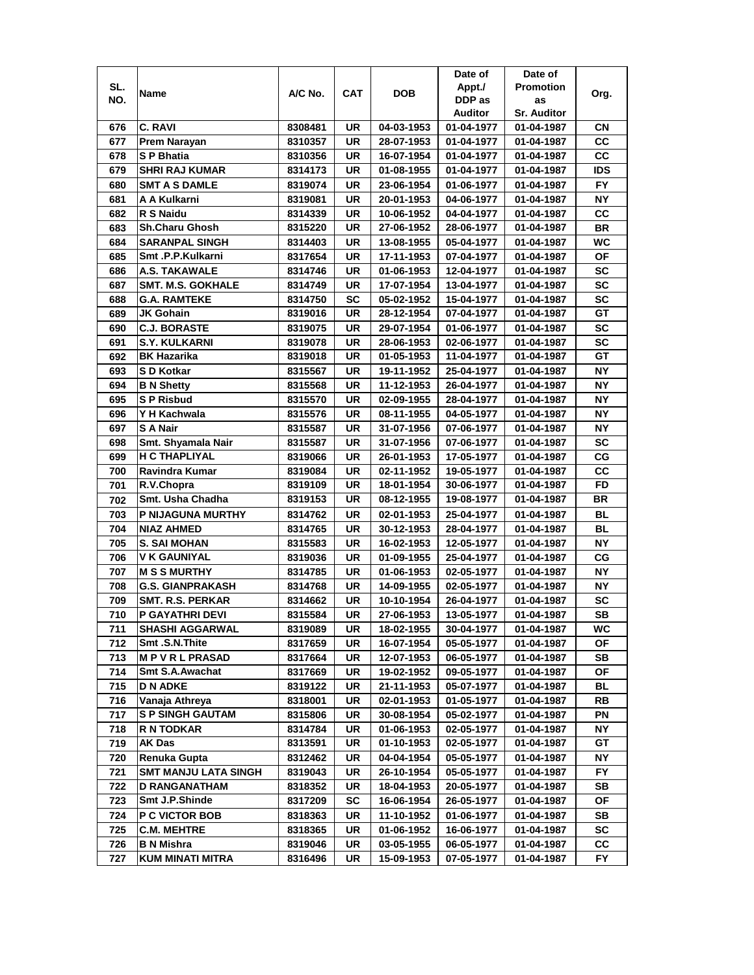| SL.<br><b>Promotion</b><br>Appt./<br><b>DOB</b><br>A/C No.<br><b>CAT</b><br>Name<br>Org.<br>NO.<br>DDP as<br>as<br>Auditor<br><b>Sr. Auditor</b><br>C. RAVI<br>04-03-1953<br>СN<br>676<br>8308481<br>UR<br>01-04-1977<br>01-04-1987<br>CC<br>UR<br>677<br>Prem Narayan<br>8310357<br>28-07-1953<br>01-04-1977<br>01-04-1987<br>CC<br>678<br><b>SP Bhatia</b><br>UR<br>8310356<br>16-07-1954<br>01-04-1977<br>01-04-1987<br>679<br><b>SHRI RAJ KUMAR</b><br>8314173<br>UR<br>01-08-1955<br><b>IDS</b><br>01-04-1977<br>01-04-1987<br><b>FY</b><br><b>SMT A S DAMLE</b><br>UR<br>680<br>8319074<br>23-06-1954<br>01-06-1977<br>01-04-1987<br>NΥ<br>681<br>A A Kulkarni<br>UR<br>20-01-1953<br>8319081<br>04-06-1977<br>01-04-1987<br>682<br>R S Naidu<br>UR<br>CС<br>8314339<br>10-06-1952<br>04-04-1977<br>01-04-1987<br><b>Sh.Charu Ghosh</b><br>UR<br>683<br>8315220<br>27-06-1952<br>28-06-1977<br>01-04-1987<br>BR<br><b>SARANPAL SINGH</b><br>UR<br>WC<br>684<br>8314403<br>13-08-1955<br>05-04-1977<br>01-04-1987<br>Smt .P.P.Kulkarni<br>OF<br>685<br>UR<br>17-11-1953<br>8317654<br>07-04-1977<br>01-04-1987<br>SC<br><b>A.S. TAKAWALE</b><br>UR<br>686<br>8314746<br>01-06-1953<br>12-04-1977<br>01-04-1987<br><b>UR</b><br>SC<br>687<br><b>SMT. M.S. GOKHALE</b><br>8314749<br>17-07-1954<br>13-04-1977<br>01-04-1987<br>688<br><b>G.A. RAMTEKE</b><br>SC<br>05-02-1952<br>15-04-1977<br>01-04-1987<br>SC<br>8314750<br><b>JK Gohain</b><br>UR<br>GТ<br>8319016<br>28-12-1954<br>07-04-1977<br>01-04-1987<br>689<br><b>C.J. BORASTE</b><br>UR<br>SC<br>690<br>8319075<br>29-07-1954<br>01-06-1977<br>01-04-1987<br>SC<br>691<br><b>S.Y. KULKARNI</b><br>UR<br>28-06-1953<br>02-06-1977<br>8319078<br>01-04-1987<br><b>BK Hazarika</b><br>UR<br>01-05-1953<br>11-04-1977<br>GТ<br>692<br>8319018<br>01-04-1987<br>S D Kotkar<br>UR<br>NΥ<br>693<br>8315567<br>19-11-1952<br>25-04-1977<br>01-04-1987<br><b>NY</b><br>UR<br>11-12-1953<br>694<br><b>B N Shetty</b><br>8315568<br>26-04-1977<br>01-04-1987<br><b>NY</b><br>695<br><b>SP Risbud</b><br>8315570<br>UR<br>02-09-1955<br>28-04-1977<br>01-04-1987<br><b>NY</b><br>696<br>Y H Kachwala<br>8315576<br>UR<br>08-11-1955<br>04-05-1977<br>01-04-1987<br><b>NY</b><br>697<br>S A Nair<br>UR<br>8315587<br>31-07-1956<br>07-06-1977<br>01-04-1987<br><b>SC</b><br>698<br>Smt. Shyamala Nair<br>UR<br>31-07-1956<br>8315587<br>07-06-1977<br>01-04-1987<br><b>H C THAPLIYAL</b><br>699<br>UR<br>26-01-1953<br>СG<br>8319066<br>17-05-1977<br>01-04-1987<br>CC<br>700<br>Ravindra Kumar<br>UR<br>02-11-1952<br>19-05-1977<br>8319084<br>01-04-1987<br>UR<br>FD<br>8319109<br>18-01-1954<br>30-06-1977<br>01-04-1987<br>701<br>R.V.Chopra<br>Smt. Usha Chadha<br>UR<br><b>BR</b><br>8319153<br>08-12-1955<br>19-08-1977<br>01-04-1987<br>702<br><b>UR</b><br><b>BL</b><br>703<br>P NIJAGUNA MURTHY<br>8314762<br>02-01-1953<br>25-04-1977<br>01-04-1987<br><b>NIAZ AHMED</b><br><b>UR</b><br>BL<br>704<br>8314765<br>30-12-1953<br>28-04-1977<br>01-04-1987<br><b>NY</b><br>705<br><b>S. SAI MOHAN</b><br>8315583<br>UR<br>16-02-1953<br>12-05-1977<br>01-04-1987<br><b>V K GAUNIYAL</b><br>UR<br>СG<br>706<br>8319036<br>01-09-1955<br>25-04-1977<br>01-04-1987<br><b>M S S MURTHY</b><br>UR<br>ΝY<br>707<br>8314785<br>01-06-1953<br>02-05-1977<br>01-04-1987<br>708<br>UR<br>NΥ<br><b>G.S. GIANPRAKASH</b><br>8314768<br>14-09-1955<br>02-05-1977<br>01-04-1987<br>SC<br>709<br>SMT. R.S. PERKAR<br>8314662<br>UR<br>10-10-1954<br>26-04-1977<br>01-04-1987<br><b>SB</b><br>710<br><b>P GAYATHRI DEVI</b><br>8315584<br>UR<br>27-06-1953<br>13-05-1977<br>01-04-1987<br><b>SHASHI AGGARWAL</b><br>WC<br>711<br>8319089<br>UR<br>18-02-1955<br>30-04-1977<br>01-04-1987<br>Smt.S.N.Thite<br>712<br>8317659<br>UR<br>16-07-1954<br>05-05-1977<br>01-04-1987<br>ΟF<br>713<br><b>MPVRLPRASAD</b><br>8317664<br>UR<br>12-07-1953<br>06-05-1977<br>SВ<br>01-04-1987<br><b>Smt S.A.Awachat</b><br>714<br>UR<br>ΟF<br>8317669<br>19-02-1952<br>09-05-1977<br>01-04-1987<br>715<br><b>D N ADKE</b><br>UR<br>21-11-1953<br>BL<br>8319122<br>05-07-1977<br>01-04-1987<br>716<br>Vanaja Athreya<br>UR<br>02-01-1953<br>01-05-1977<br>RB<br>8318001<br>01-04-1987<br><b>S P SINGH GAUTAM</b><br>717<br>UR<br>30-08-1954<br>05-02-1977<br>01-04-1987<br>PN<br>8315806<br><b>R N TODKAR</b><br>8314784<br>UR<br>01-06-1953<br>NΥ<br>718<br>02-05-1977<br>01-04-1987<br><b>AK Das</b><br>UR<br>8313591<br>$01 - 10 - 1953$<br>GT<br>02-05-1977<br>01-04-1987<br>719<br>720<br>Renuka Gupta<br>8312462<br>UR<br>04-04-1954<br>05-05-1977<br>ΝY<br>01-04-1987<br><b>FY</b><br>721<br><b>SMT MANJU LATA SINGH</b><br>8319043<br>UR<br>26-10-1954<br>05-05-1977<br>01-04-1987<br><b>D RANGANATHAM</b><br>UR<br>18-04-1953<br>20-05-1977<br>01-04-1987<br>SB<br>722<br>8318352<br>Smt J.P.Shinde<br>723<br><b>SC</b><br>ΟF<br>8317209<br>16-06-1954<br>26-05-1977<br>01-04-1987<br>724<br><b>P C VICTOR BOB</b><br>8318363<br>UR<br>11-10-1952<br>01-06-1977<br>01-04-1987<br>SB<br>725<br><b>C.M. MEHTRE</b><br>UR<br>01-06-1952<br>16-06-1977<br>01-04-1987<br>SC<br>8318365<br>726<br><b>B N Mishra</b><br>8319046<br>UR<br>03-05-1955<br>06-05-1977<br>01-04-1987<br>CС<br>FY.<br>727<br>KUM MINATI MITRA<br>8316496<br>UR<br>15-09-1953<br>07-05-1977<br>01-04-1987 |  |  | Date of | Date of |  |
|-----------------------------------------------------------------------------------------------------------------------------------------------------------------------------------------------------------------------------------------------------------------------------------------------------------------------------------------------------------------------------------------------------------------------------------------------------------------------------------------------------------------------------------------------------------------------------------------------------------------------------------------------------------------------------------------------------------------------------------------------------------------------------------------------------------------------------------------------------------------------------------------------------------------------------------------------------------------------------------------------------------------------------------------------------------------------------------------------------------------------------------------------------------------------------------------------------------------------------------------------------------------------------------------------------------------------------------------------------------------------------------------------------------------------------------------------------------------------------------------------------------------------------------------------------------------------------------------------------------------------------------------------------------------------------------------------------------------------------------------------------------------------------------------------------------------------------------------------------------------------------------------------------------------------------------------------------------------------------------------------------------------------------------------------------------------------------------------------------------------------------------------------------------------------------------------------------------------------------------------------------------------------------------------------------------------------------------------------------------------------------------------------------------------------------------------------------------------------------------------------------------------------------------------------------------------------------------------------------------------------------------------------------------------------------------------------------------------------------------------------------------------------------------------------------------------------------------------------------------------------------------------------------------------------------------------------------------------------------------------------------------------------------------------------------------------------------------------------------------------------------------------------------------------------------------------------------------------------------------------------------------------------------------------------------------------------------------------------------------------------------------------------------------------------------------------------------------------------------------------------------------------------------------------------------------------------------------------------------------------------------------------------------------------------------------------------------------------------------------------------------------------------------------------------------------------------------------------------------------------------------------------------------------------------------------------------------------------------------------------------------------------------------------------------------------------------------------------------------------------------------------------------------------------------------------------------------------------------------------------------------------------------------------------------------------------------------------------------------------------------------------------------------------------------------------------------------------------------------------------------------------------------------------------------------------------------------------------------------------------------------------------------------------------------------------------------------------------------------------------------------------------------------------------------------------------------------------------------------------------------------------------------------------------------------------------------------------------------------------------------------------------------------------------------------------------------------------------------------------------------------------------------------------------------------------------------------------------------------------------------------------------------------------------------------------------|--|--|---------|---------|--|
|                                                                                                                                                                                                                                                                                                                                                                                                                                                                                                                                                                                                                                                                                                                                                                                                                                                                                                                                                                                                                                                                                                                                                                                                                                                                                                                                                                                                                                                                                                                                                                                                                                                                                                                                                                                                                                                                                                                                                                                                                                                                                                                                                                                                                                                                                                                                                                                                                                                                                                                                                                                                                                                                                                                                                                                                                                                                                                                                                                                                                                                                                                                                                                                                                                                                                                                                                                                                                                                                                                                                                                                                                                                                                                                                                                                                                                                                                                                                                                                                                                                                                                                                                                                                                                                                                                                                                                                                                                                                                                                                                                                                                                                                                                                                                                                                                                                                                                                                                                                                                                                                                                                                                                                                                                                                                                                 |  |  |         |         |  |
|                                                                                                                                                                                                                                                                                                                                                                                                                                                                                                                                                                                                                                                                                                                                                                                                                                                                                                                                                                                                                                                                                                                                                                                                                                                                                                                                                                                                                                                                                                                                                                                                                                                                                                                                                                                                                                                                                                                                                                                                                                                                                                                                                                                                                                                                                                                                                                                                                                                                                                                                                                                                                                                                                                                                                                                                                                                                                                                                                                                                                                                                                                                                                                                                                                                                                                                                                                                                                                                                                                                                                                                                                                                                                                                                                                                                                                                                                                                                                                                                                                                                                                                                                                                                                                                                                                                                                                                                                                                                                                                                                                                                                                                                                                                                                                                                                                                                                                                                                                                                                                                                                                                                                                                                                                                                                                                 |  |  |         |         |  |
|                                                                                                                                                                                                                                                                                                                                                                                                                                                                                                                                                                                                                                                                                                                                                                                                                                                                                                                                                                                                                                                                                                                                                                                                                                                                                                                                                                                                                                                                                                                                                                                                                                                                                                                                                                                                                                                                                                                                                                                                                                                                                                                                                                                                                                                                                                                                                                                                                                                                                                                                                                                                                                                                                                                                                                                                                                                                                                                                                                                                                                                                                                                                                                                                                                                                                                                                                                                                                                                                                                                                                                                                                                                                                                                                                                                                                                                                                                                                                                                                                                                                                                                                                                                                                                                                                                                                                                                                                                                                                                                                                                                                                                                                                                                                                                                                                                                                                                                                                                                                                                                                                                                                                                                                                                                                                                                 |  |  |         |         |  |
|                                                                                                                                                                                                                                                                                                                                                                                                                                                                                                                                                                                                                                                                                                                                                                                                                                                                                                                                                                                                                                                                                                                                                                                                                                                                                                                                                                                                                                                                                                                                                                                                                                                                                                                                                                                                                                                                                                                                                                                                                                                                                                                                                                                                                                                                                                                                                                                                                                                                                                                                                                                                                                                                                                                                                                                                                                                                                                                                                                                                                                                                                                                                                                                                                                                                                                                                                                                                                                                                                                                                                                                                                                                                                                                                                                                                                                                                                                                                                                                                                                                                                                                                                                                                                                                                                                                                                                                                                                                                                                                                                                                                                                                                                                                                                                                                                                                                                                                                                                                                                                                                                                                                                                                                                                                                                                                 |  |  |         |         |  |
|                                                                                                                                                                                                                                                                                                                                                                                                                                                                                                                                                                                                                                                                                                                                                                                                                                                                                                                                                                                                                                                                                                                                                                                                                                                                                                                                                                                                                                                                                                                                                                                                                                                                                                                                                                                                                                                                                                                                                                                                                                                                                                                                                                                                                                                                                                                                                                                                                                                                                                                                                                                                                                                                                                                                                                                                                                                                                                                                                                                                                                                                                                                                                                                                                                                                                                                                                                                                                                                                                                                                                                                                                                                                                                                                                                                                                                                                                                                                                                                                                                                                                                                                                                                                                                                                                                                                                                                                                                                                                                                                                                                                                                                                                                                                                                                                                                                                                                                                                                                                                                                                                                                                                                                                                                                                                                                 |  |  |         |         |  |
|                                                                                                                                                                                                                                                                                                                                                                                                                                                                                                                                                                                                                                                                                                                                                                                                                                                                                                                                                                                                                                                                                                                                                                                                                                                                                                                                                                                                                                                                                                                                                                                                                                                                                                                                                                                                                                                                                                                                                                                                                                                                                                                                                                                                                                                                                                                                                                                                                                                                                                                                                                                                                                                                                                                                                                                                                                                                                                                                                                                                                                                                                                                                                                                                                                                                                                                                                                                                                                                                                                                                                                                                                                                                                                                                                                                                                                                                                                                                                                                                                                                                                                                                                                                                                                                                                                                                                                                                                                                                                                                                                                                                                                                                                                                                                                                                                                                                                                                                                                                                                                                                                                                                                                                                                                                                                                                 |  |  |         |         |  |
|                                                                                                                                                                                                                                                                                                                                                                                                                                                                                                                                                                                                                                                                                                                                                                                                                                                                                                                                                                                                                                                                                                                                                                                                                                                                                                                                                                                                                                                                                                                                                                                                                                                                                                                                                                                                                                                                                                                                                                                                                                                                                                                                                                                                                                                                                                                                                                                                                                                                                                                                                                                                                                                                                                                                                                                                                                                                                                                                                                                                                                                                                                                                                                                                                                                                                                                                                                                                                                                                                                                                                                                                                                                                                                                                                                                                                                                                                                                                                                                                                                                                                                                                                                                                                                                                                                                                                                                                                                                                                                                                                                                                                                                                                                                                                                                                                                                                                                                                                                                                                                                                                                                                                                                                                                                                                                                 |  |  |         |         |  |
|                                                                                                                                                                                                                                                                                                                                                                                                                                                                                                                                                                                                                                                                                                                                                                                                                                                                                                                                                                                                                                                                                                                                                                                                                                                                                                                                                                                                                                                                                                                                                                                                                                                                                                                                                                                                                                                                                                                                                                                                                                                                                                                                                                                                                                                                                                                                                                                                                                                                                                                                                                                                                                                                                                                                                                                                                                                                                                                                                                                                                                                                                                                                                                                                                                                                                                                                                                                                                                                                                                                                                                                                                                                                                                                                                                                                                                                                                                                                                                                                                                                                                                                                                                                                                                                                                                                                                                                                                                                                                                                                                                                                                                                                                                                                                                                                                                                                                                                                                                                                                                                                                                                                                                                                                                                                                                                 |  |  |         |         |  |
|                                                                                                                                                                                                                                                                                                                                                                                                                                                                                                                                                                                                                                                                                                                                                                                                                                                                                                                                                                                                                                                                                                                                                                                                                                                                                                                                                                                                                                                                                                                                                                                                                                                                                                                                                                                                                                                                                                                                                                                                                                                                                                                                                                                                                                                                                                                                                                                                                                                                                                                                                                                                                                                                                                                                                                                                                                                                                                                                                                                                                                                                                                                                                                                                                                                                                                                                                                                                                                                                                                                                                                                                                                                                                                                                                                                                                                                                                                                                                                                                                                                                                                                                                                                                                                                                                                                                                                                                                                                                                                                                                                                                                                                                                                                                                                                                                                                                                                                                                                                                                                                                                                                                                                                                                                                                                                                 |  |  |         |         |  |
|                                                                                                                                                                                                                                                                                                                                                                                                                                                                                                                                                                                                                                                                                                                                                                                                                                                                                                                                                                                                                                                                                                                                                                                                                                                                                                                                                                                                                                                                                                                                                                                                                                                                                                                                                                                                                                                                                                                                                                                                                                                                                                                                                                                                                                                                                                                                                                                                                                                                                                                                                                                                                                                                                                                                                                                                                                                                                                                                                                                                                                                                                                                                                                                                                                                                                                                                                                                                                                                                                                                                                                                                                                                                                                                                                                                                                                                                                                                                                                                                                                                                                                                                                                                                                                                                                                                                                                                                                                                                                                                                                                                                                                                                                                                                                                                                                                                                                                                                                                                                                                                                                                                                                                                                                                                                                                                 |  |  |         |         |  |
|                                                                                                                                                                                                                                                                                                                                                                                                                                                                                                                                                                                                                                                                                                                                                                                                                                                                                                                                                                                                                                                                                                                                                                                                                                                                                                                                                                                                                                                                                                                                                                                                                                                                                                                                                                                                                                                                                                                                                                                                                                                                                                                                                                                                                                                                                                                                                                                                                                                                                                                                                                                                                                                                                                                                                                                                                                                                                                                                                                                                                                                                                                                                                                                                                                                                                                                                                                                                                                                                                                                                                                                                                                                                                                                                                                                                                                                                                                                                                                                                                                                                                                                                                                                                                                                                                                                                                                                                                                                                                                                                                                                                                                                                                                                                                                                                                                                                                                                                                                                                                                                                                                                                                                                                                                                                                                                 |  |  |         |         |  |
|                                                                                                                                                                                                                                                                                                                                                                                                                                                                                                                                                                                                                                                                                                                                                                                                                                                                                                                                                                                                                                                                                                                                                                                                                                                                                                                                                                                                                                                                                                                                                                                                                                                                                                                                                                                                                                                                                                                                                                                                                                                                                                                                                                                                                                                                                                                                                                                                                                                                                                                                                                                                                                                                                                                                                                                                                                                                                                                                                                                                                                                                                                                                                                                                                                                                                                                                                                                                                                                                                                                                                                                                                                                                                                                                                                                                                                                                                                                                                                                                                                                                                                                                                                                                                                                                                                                                                                                                                                                                                                                                                                                                                                                                                                                                                                                                                                                                                                                                                                                                                                                                                                                                                                                                                                                                                                                 |  |  |         |         |  |
|                                                                                                                                                                                                                                                                                                                                                                                                                                                                                                                                                                                                                                                                                                                                                                                                                                                                                                                                                                                                                                                                                                                                                                                                                                                                                                                                                                                                                                                                                                                                                                                                                                                                                                                                                                                                                                                                                                                                                                                                                                                                                                                                                                                                                                                                                                                                                                                                                                                                                                                                                                                                                                                                                                                                                                                                                                                                                                                                                                                                                                                                                                                                                                                                                                                                                                                                                                                                                                                                                                                                                                                                                                                                                                                                                                                                                                                                                                                                                                                                                                                                                                                                                                                                                                                                                                                                                                                                                                                                                                                                                                                                                                                                                                                                                                                                                                                                                                                                                                                                                                                                                                                                                                                                                                                                                                                 |  |  |         |         |  |
|                                                                                                                                                                                                                                                                                                                                                                                                                                                                                                                                                                                                                                                                                                                                                                                                                                                                                                                                                                                                                                                                                                                                                                                                                                                                                                                                                                                                                                                                                                                                                                                                                                                                                                                                                                                                                                                                                                                                                                                                                                                                                                                                                                                                                                                                                                                                                                                                                                                                                                                                                                                                                                                                                                                                                                                                                                                                                                                                                                                                                                                                                                                                                                                                                                                                                                                                                                                                                                                                                                                                                                                                                                                                                                                                                                                                                                                                                                                                                                                                                                                                                                                                                                                                                                                                                                                                                                                                                                                                                                                                                                                                                                                                                                                                                                                                                                                                                                                                                                                                                                                                                                                                                                                                                                                                                                                 |  |  |         |         |  |
|                                                                                                                                                                                                                                                                                                                                                                                                                                                                                                                                                                                                                                                                                                                                                                                                                                                                                                                                                                                                                                                                                                                                                                                                                                                                                                                                                                                                                                                                                                                                                                                                                                                                                                                                                                                                                                                                                                                                                                                                                                                                                                                                                                                                                                                                                                                                                                                                                                                                                                                                                                                                                                                                                                                                                                                                                                                                                                                                                                                                                                                                                                                                                                                                                                                                                                                                                                                                                                                                                                                                                                                                                                                                                                                                                                                                                                                                                                                                                                                                                                                                                                                                                                                                                                                                                                                                                                                                                                                                                                                                                                                                                                                                                                                                                                                                                                                                                                                                                                                                                                                                                                                                                                                                                                                                                                                 |  |  |         |         |  |
|                                                                                                                                                                                                                                                                                                                                                                                                                                                                                                                                                                                                                                                                                                                                                                                                                                                                                                                                                                                                                                                                                                                                                                                                                                                                                                                                                                                                                                                                                                                                                                                                                                                                                                                                                                                                                                                                                                                                                                                                                                                                                                                                                                                                                                                                                                                                                                                                                                                                                                                                                                                                                                                                                                                                                                                                                                                                                                                                                                                                                                                                                                                                                                                                                                                                                                                                                                                                                                                                                                                                                                                                                                                                                                                                                                                                                                                                                                                                                                                                                                                                                                                                                                                                                                                                                                                                                                                                                                                                                                                                                                                                                                                                                                                                                                                                                                                                                                                                                                                                                                                                                                                                                                                                                                                                                                                 |  |  |         |         |  |
|                                                                                                                                                                                                                                                                                                                                                                                                                                                                                                                                                                                                                                                                                                                                                                                                                                                                                                                                                                                                                                                                                                                                                                                                                                                                                                                                                                                                                                                                                                                                                                                                                                                                                                                                                                                                                                                                                                                                                                                                                                                                                                                                                                                                                                                                                                                                                                                                                                                                                                                                                                                                                                                                                                                                                                                                                                                                                                                                                                                                                                                                                                                                                                                                                                                                                                                                                                                                                                                                                                                                                                                                                                                                                                                                                                                                                                                                                                                                                                                                                                                                                                                                                                                                                                                                                                                                                                                                                                                                                                                                                                                                                                                                                                                                                                                                                                                                                                                                                                                                                                                                                                                                                                                                                                                                                                                 |  |  |         |         |  |
|                                                                                                                                                                                                                                                                                                                                                                                                                                                                                                                                                                                                                                                                                                                                                                                                                                                                                                                                                                                                                                                                                                                                                                                                                                                                                                                                                                                                                                                                                                                                                                                                                                                                                                                                                                                                                                                                                                                                                                                                                                                                                                                                                                                                                                                                                                                                                                                                                                                                                                                                                                                                                                                                                                                                                                                                                                                                                                                                                                                                                                                                                                                                                                                                                                                                                                                                                                                                                                                                                                                                                                                                                                                                                                                                                                                                                                                                                                                                                                                                                                                                                                                                                                                                                                                                                                                                                                                                                                                                                                                                                                                                                                                                                                                                                                                                                                                                                                                                                                                                                                                                                                                                                                                                                                                                                                                 |  |  |         |         |  |
|                                                                                                                                                                                                                                                                                                                                                                                                                                                                                                                                                                                                                                                                                                                                                                                                                                                                                                                                                                                                                                                                                                                                                                                                                                                                                                                                                                                                                                                                                                                                                                                                                                                                                                                                                                                                                                                                                                                                                                                                                                                                                                                                                                                                                                                                                                                                                                                                                                                                                                                                                                                                                                                                                                                                                                                                                                                                                                                                                                                                                                                                                                                                                                                                                                                                                                                                                                                                                                                                                                                                                                                                                                                                                                                                                                                                                                                                                                                                                                                                                                                                                                                                                                                                                                                                                                                                                                                                                                                                                                                                                                                                                                                                                                                                                                                                                                                                                                                                                                                                                                                                                                                                                                                                                                                                                                                 |  |  |         |         |  |
|                                                                                                                                                                                                                                                                                                                                                                                                                                                                                                                                                                                                                                                                                                                                                                                                                                                                                                                                                                                                                                                                                                                                                                                                                                                                                                                                                                                                                                                                                                                                                                                                                                                                                                                                                                                                                                                                                                                                                                                                                                                                                                                                                                                                                                                                                                                                                                                                                                                                                                                                                                                                                                                                                                                                                                                                                                                                                                                                                                                                                                                                                                                                                                                                                                                                                                                                                                                                                                                                                                                                                                                                                                                                                                                                                                                                                                                                                                                                                                                                                                                                                                                                                                                                                                                                                                                                                                                                                                                                                                                                                                                                                                                                                                                                                                                                                                                                                                                                                                                                                                                                                                                                                                                                                                                                                                                 |  |  |         |         |  |
|                                                                                                                                                                                                                                                                                                                                                                                                                                                                                                                                                                                                                                                                                                                                                                                                                                                                                                                                                                                                                                                                                                                                                                                                                                                                                                                                                                                                                                                                                                                                                                                                                                                                                                                                                                                                                                                                                                                                                                                                                                                                                                                                                                                                                                                                                                                                                                                                                                                                                                                                                                                                                                                                                                                                                                                                                                                                                                                                                                                                                                                                                                                                                                                                                                                                                                                                                                                                                                                                                                                                                                                                                                                                                                                                                                                                                                                                                                                                                                                                                                                                                                                                                                                                                                                                                                                                                                                                                                                                                                                                                                                                                                                                                                                                                                                                                                                                                                                                                                                                                                                                                                                                                                                                                                                                                                                 |  |  |         |         |  |
|                                                                                                                                                                                                                                                                                                                                                                                                                                                                                                                                                                                                                                                                                                                                                                                                                                                                                                                                                                                                                                                                                                                                                                                                                                                                                                                                                                                                                                                                                                                                                                                                                                                                                                                                                                                                                                                                                                                                                                                                                                                                                                                                                                                                                                                                                                                                                                                                                                                                                                                                                                                                                                                                                                                                                                                                                                                                                                                                                                                                                                                                                                                                                                                                                                                                                                                                                                                                                                                                                                                                                                                                                                                                                                                                                                                                                                                                                                                                                                                                                                                                                                                                                                                                                                                                                                                                                                                                                                                                                                                                                                                                                                                                                                                                                                                                                                                                                                                                                                                                                                                                                                                                                                                                                                                                                                                 |  |  |         |         |  |
|                                                                                                                                                                                                                                                                                                                                                                                                                                                                                                                                                                                                                                                                                                                                                                                                                                                                                                                                                                                                                                                                                                                                                                                                                                                                                                                                                                                                                                                                                                                                                                                                                                                                                                                                                                                                                                                                                                                                                                                                                                                                                                                                                                                                                                                                                                                                                                                                                                                                                                                                                                                                                                                                                                                                                                                                                                                                                                                                                                                                                                                                                                                                                                                                                                                                                                                                                                                                                                                                                                                                                                                                                                                                                                                                                                                                                                                                                                                                                                                                                                                                                                                                                                                                                                                                                                                                                                                                                                                                                                                                                                                                                                                                                                                                                                                                                                                                                                                                                                                                                                                                                                                                                                                                                                                                                                                 |  |  |         |         |  |
|                                                                                                                                                                                                                                                                                                                                                                                                                                                                                                                                                                                                                                                                                                                                                                                                                                                                                                                                                                                                                                                                                                                                                                                                                                                                                                                                                                                                                                                                                                                                                                                                                                                                                                                                                                                                                                                                                                                                                                                                                                                                                                                                                                                                                                                                                                                                                                                                                                                                                                                                                                                                                                                                                                                                                                                                                                                                                                                                                                                                                                                                                                                                                                                                                                                                                                                                                                                                                                                                                                                                                                                                                                                                                                                                                                                                                                                                                                                                                                                                                                                                                                                                                                                                                                                                                                                                                                                                                                                                                                                                                                                                                                                                                                                                                                                                                                                                                                                                                                                                                                                                                                                                                                                                                                                                                                                 |  |  |         |         |  |
|                                                                                                                                                                                                                                                                                                                                                                                                                                                                                                                                                                                                                                                                                                                                                                                                                                                                                                                                                                                                                                                                                                                                                                                                                                                                                                                                                                                                                                                                                                                                                                                                                                                                                                                                                                                                                                                                                                                                                                                                                                                                                                                                                                                                                                                                                                                                                                                                                                                                                                                                                                                                                                                                                                                                                                                                                                                                                                                                                                                                                                                                                                                                                                                                                                                                                                                                                                                                                                                                                                                                                                                                                                                                                                                                                                                                                                                                                                                                                                                                                                                                                                                                                                                                                                                                                                                                                                                                                                                                                                                                                                                                                                                                                                                                                                                                                                                                                                                                                                                                                                                                                                                                                                                                                                                                                                                 |  |  |         |         |  |
|                                                                                                                                                                                                                                                                                                                                                                                                                                                                                                                                                                                                                                                                                                                                                                                                                                                                                                                                                                                                                                                                                                                                                                                                                                                                                                                                                                                                                                                                                                                                                                                                                                                                                                                                                                                                                                                                                                                                                                                                                                                                                                                                                                                                                                                                                                                                                                                                                                                                                                                                                                                                                                                                                                                                                                                                                                                                                                                                                                                                                                                                                                                                                                                                                                                                                                                                                                                                                                                                                                                                                                                                                                                                                                                                                                                                                                                                                                                                                                                                                                                                                                                                                                                                                                                                                                                                                                                                                                                                                                                                                                                                                                                                                                                                                                                                                                                                                                                                                                                                                                                                                                                                                                                                                                                                                                                 |  |  |         |         |  |
|                                                                                                                                                                                                                                                                                                                                                                                                                                                                                                                                                                                                                                                                                                                                                                                                                                                                                                                                                                                                                                                                                                                                                                                                                                                                                                                                                                                                                                                                                                                                                                                                                                                                                                                                                                                                                                                                                                                                                                                                                                                                                                                                                                                                                                                                                                                                                                                                                                                                                                                                                                                                                                                                                                                                                                                                                                                                                                                                                                                                                                                                                                                                                                                                                                                                                                                                                                                                                                                                                                                                                                                                                                                                                                                                                                                                                                                                                                                                                                                                                                                                                                                                                                                                                                                                                                                                                                                                                                                                                                                                                                                                                                                                                                                                                                                                                                                                                                                                                                                                                                                                                                                                                                                                                                                                                                                 |  |  |         |         |  |
|                                                                                                                                                                                                                                                                                                                                                                                                                                                                                                                                                                                                                                                                                                                                                                                                                                                                                                                                                                                                                                                                                                                                                                                                                                                                                                                                                                                                                                                                                                                                                                                                                                                                                                                                                                                                                                                                                                                                                                                                                                                                                                                                                                                                                                                                                                                                                                                                                                                                                                                                                                                                                                                                                                                                                                                                                                                                                                                                                                                                                                                                                                                                                                                                                                                                                                                                                                                                                                                                                                                                                                                                                                                                                                                                                                                                                                                                                                                                                                                                                                                                                                                                                                                                                                                                                                                                                                                                                                                                                                                                                                                                                                                                                                                                                                                                                                                                                                                                                                                                                                                                                                                                                                                                                                                                                                                 |  |  |         |         |  |
|                                                                                                                                                                                                                                                                                                                                                                                                                                                                                                                                                                                                                                                                                                                                                                                                                                                                                                                                                                                                                                                                                                                                                                                                                                                                                                                                                                                                                                                                                                                                                                                                                                                                                                                                                                                                                                                                                                                                                                                                                                                                                                                                                                                                                                                                                                                                                                                                                                                                                                                                                                                                                                                                                                                                                                                                                                                                                                                                                                                                                                                                                                                                                                                                                                                                                                                                                                                                                                                                                                                                                                                                                                                                                                                                                                                                                                                                                                                                                                                                                                                                                                                                                                                                                                                                                                                                                                                                                                                                                                                                                                                                                                                                                                                                                                                                                                                                                                                                                                                                                                                                                                                                                                                                                                                                                                                 |  |  |         |         |  |
|                                                                                                                                                                                                                                                                                                                                                                                                                                                                                                                                                                                                                                                                                                                                                                                                                                                                                                                                                                                                                                                                                                                                                                                                                                                                                                                                                                                                                                                                                                                                                                                                                                                                                                                                                                                                                                                                                                                                                                                                                                                                                                                                                                                                                                                                                                                                                                                                                                                                                                                                                                                                                                                                                                                                                                                                                                                                                                                                                                                                                                                                                                                                                                                                                                                                                                                                                                                                                                                                                                                                                                                                                                                                                                                                                                                                                                                                                                                                                                                                                                                                                                                                                                                                                                                                                                                                                                                                                                                                                                                                                                                                                                                                                                                                                                                                                                                                                                                                                                                                                                                                                                                                                                                                                                                                                                                 |  |  |         |         |  |
|                                                                                                                                                                                                                                                                                                                                                                                                                                                                                                                                                                                                                                                                                                                                                                                                                                                                                                                                                                                                                                                                                                                                                                                                                                                                                                                                                                                                                                                                                                                                                                                                                                                                                                                                                                                                                                                                                                                                                                                                                                                                                                                                                                                                                                                                                                                                                                                                                                                                                                                                                                                                                                                                                                                                                                                                                                                                                                                                                                                                                                                                                                                                                                                                                                                                                                                                                                                                                                                                                                                                                                                                                                                                                                                                                                                                                                                                                                                                                                                                                                                                                                                                                                                                                                                                                                                                                                                                                                                                                                                                                                                                                                                                                                                                                                                                                                                                                                                                                                                                                                                                                                                                                                                                                                                                                                                 |  |  |         |         |  |
|                                                                                                                                                                                                                                                                                                                                                                                                                                                                                                                                                                                                                                                                                                                                                                                                                                                                                                                                                                                                                                                                                                                                                                                                                                                                                                                                                                                                                                                                                                                                                                                                                                                                                                                                                                                                                                                                                                                                                                                                                                                                                                                                                                                                                                                                                                                                                                                                                                                                                                                                                                                                                                                                                                                                                                                                                                                                                                                                                                                                                                                                                                                                                                                                                                                                                                                                                                                                                                                                                                                                                                                                                                                                                                                                                                                                                                                                                                                                                                                                                                                                                                                                                                                                                                                                                                                                                                                                                                                                                                                                                                                                                                                                                                                                                                                                                                                                                                                                                                                                                                                                                                                                                                                                                                                                                                                 |  |  |         |         |  |
|                                                                                                                                                                                                                                                                                                                                                                                                                                                                                                                                                                                                                                                                                                                                                                                                                                                                                                                                                                                                                                                                                                                                                                                                                                                                                                                                                                                                                                                                                                                                                                                                                                                                                                                                                                                                                                                                                                                                                                                                                                                                                                                                                                                                                                                                                                                                                                                                                                                                                                                                                                                                                                                                                                                                                                                                                                                                                                                                                                                                                                                                                                                                                                                                                                                                                                                                                                                                                                                                                                                                                                                                                                                                                                                                                                                                                                                                                                                                                                                                                                                                                                                                                                                                                                                                                                                                                                                                                                                                                                                                                                                                                                                                                                                                                                                                                                                                                                                                                                                                                                                                                                                                                                                                                                                                                                                 |  |  |         |         |  |
|                                                                                                                                                                                                                                                                                                                                                                                                                                                                                                                                                                                                                                                                                                                                                                                                                                                                                                                                                                                                                                                                                                                                                                                                                                                                                                                                                                                                                                                                                                                                                                                                                                                                                                                                                                                                                                                                                                                                                                                                                                                                                                                                                                                                                                                                                                                                                                                                                                                                                                                                                                                                                                                                                                                                                                                                                                                                                                                                                                                                                                                                                                                                                                                                                                                                                                                                                                                                                                                                                                                                                                                                                                                                                                                                                                                                                                                                                                                                                                                                                                                                                                                                                                                                                                                                                                                                                                                                                                                                                                                                                                                                                                                                                                                                                                                                                                                                                                                                                                                                                                                                                                                                                                                                                                                                                                                 |  |  |         |         |  |
|                                                                                                                                                                                                                                                                                                                                                                                                                                                                                                                                                                                                                                                                                                                                                                                                                                                                                                                                                                                                                                                                                                                                                                                                                                                                                                                                                                                                                                                                                                                                                                                                                                                                                                                                                                                                                                                                                                                                                                                                                                                                                                                                                                                                                                                                                                                                                                                                                                                                                                                                                                                                                                                                                                                                                                                                                                                                                                                                                                                                                                                                                                                                                                                                                                                                                                                                                                                                                                                                                                                                                                                                                                                                                                                                                                                                                                                                                                                                                                                                                                                                                                                                                                                                                                                                                                                                                                                                                                                                                                                                                                                                                                                                                                                                                                                                                                                                                                                                                                                                                                                                                                                                                                                                                                                                                                                 |  |  |         |         |  |
|                                                                                                                                                                                                                                                                                                                                                                                                                                                                                                                                                                                                                                                                                                                                                                                                                                                                                                                                                                                                                                                                                                                                                                                                                                                                                                                                                                                                                                                                                                                                                                                                                                                                                                                                                                                                                                                                                                                                                                                                                                                                                                                                                                                                                                                                                                                                                                                                                                                                                                                                                                                                                                                                                                                                                                                                                                                                                                                                                                                                                                                                                                                                                                                                                                                                                                                                                                                                                                                                                                                                                                                                                                                                                                                                                                                                                                                                                                                                                                                                                                                                                                                                                                                                                                                                                                                                                                                                                                                                                                                                                                                                                                                                                                                                                                                                                                                                                                                                                                                                                                                                                                                                                                                                                                                                                                                 |  |  |         |         |  |
|                                                                                                                                                                                                                                                                                                                                                                                                                                                                                                                                                                                                                                                                                                                                                                                                                                                                                                                                                                                                                                                                                                                                                                                                                                                                                                                                                                                                                                                                                                                                                                                                                                                                                                                                                                                                                                                                                                                                                                                                                                                                                                                                                                                                                                                                                                                                                                                                                                                                                                                                                                                                                                                                                                                                                                                                                                                                                                                                                                                                                                                                                                                                                                                                                                                                                                                                                                                                                                                                                                                                                                                                                                                                                                                                                                                                                                                                                                                                                                                                                                                                                                                                                                                                                                                                                                                                                                                                                                                                                                                                                                                                                                                                                                                                                                                                                                                                                                                                                                                                                                                                                                                                                                                                                                                                                                                 |  |  |         |         |  |
|                                                                                                                                                                                                                                                                                                                                                                                                                                                                                                                                                                                                                                                                                                                                                                                                                                                                                                                                                                                                                                                                                                                                                                                                                                                                                                                                                                                                                                                                                                                                                                                                                                                                                                                                                                                                                                                                                                                                                                                                                                                                                                                                                                                                                                                                                                                                                                                                                                                                                                                                                                                                                                                                                                                                                                                                                                                                                                                                                                                                                                                                                                                                                                                                                                                                                                                                                                                                                                                                                                                                                                                                                                                                                                                                                                                                                                                                                                                                                                                                                                                                                                                                                                                                                                                                                                                                                                                                                                                                                                                                                                                                                                                                                                                                                                                                                                                                                                                                                                                                                                                                                                                                                                                                                                                                                                                 |  |  |         |         |  |
|                                                                                                                                                                                                                                                                                                                                                                                                                                                                                                                                                                                                                                                                                                                                                                                                                                                                                                                                                                                                                                                                                                                                                                                                                                                                                                                                                                                                                                                                                                                                                                                                                                                                                                                                                                                                                                                                                                                                                                                                                                                                                                                                                                                                                                                                                                                                                                                                                                                                                                                                                                                                                                                                                                                                                                                                                                                                                                                                                                                                                                                                                                                                                                                                                                                                                                                                                                                                                                                                                                                                                                                                                                                                                                                                                                                                                                                                                                                                                                                                                                                                                                                                                                                                                                                                                                                                                                                                                                                                                                                                                                                                                                                                                                                                                                                                                                                                                                                                                                                                                                                                                                                                                                                                                                                                                                                 |  |  |         |         |  |
|                                                                                                                                                                                                                                                                                                                                                                                                                                                                                                                                                                                                                                                                                                                                                                                                                                                                                                                                                                                                                                                                                                                                                                                                                                                                                                                                                                                                                                                                                                                                                                                                                                                                                                                                                                                                                                                                                                                                                                                                                                                                                                                                                                                                                                                                                                                                                                                                                                                                                                                                                                                                                                                                                                                                                                                                                                                                                                                                                                                                                                                                                                                                                                                                                                                                                                                                                                                                                                                                                                                                                                                                                                                                                                                                                                                                                                                                                                                                                                                                                                                                                                                                                                                                                                                                                                                                                                                                                                                                                                                                                                                                                                                                                                                                                                                                                                                                                                                                                                                                                                                                                                                                                                                                                                                                                                                 |  |  |         |         |  |
|                                                                                                                                                                                                                                                                                                                                                                                                                                                                                                                                                                                                                                                                                                                                                                                                                                                                                                                                                                                                                                                                                                                                                                                                                                                                                                                                                                                                                                                                                                                                                                                                                                                                                                                                                                                                                                                                                                                                                                                                                                                                                                                                                                                                                                                                                                                                                                                                                                                                                                                                                                                                                                                                                                                                                                                                                                                                                                                                                                                                                                                                                                                                                                                                                                                                                                                                                                                                                                                                                                                                                                                                                                                                                                                                                                                                                                                                                                                                                                                                                                                                                                                                                                                                                                                                                                                                                                                                                                                                                                                                                                                                                                                                                                                                                                                                                                                                                                                                                                                                                                                                                                                                                                                                                                                                                                                 |  |  |         |         |  |
|                                                                                                                                                                                                                                                                                                                                                                                                                                                                                                                                                                                                                                                                                                                                                                                                                                                                                                                                                                                                                                                                                                                                                                                                                                                                                                                                                                                                                                                                                                                                                                                                                                                                                                                                                                                                                                                                                                                                                                                                                                                                                                                                                                                                                                                                                                                                                                                                                                                                                                                                                                                                                                                                                                                                                                                                                                                                                                                                                                                                                                                                                                                                                                                                                                                                                                                                                                                                                                                                                                                                                                                                                                                                                                                                                                                                                                                                                                                                                                                                                                                                                                                                                                                                                                                                                                                                                                                                                                                                                                                                                                                                                                                                                                                                                                                                                                                                                                                                                                                                                                                                                                                                                                                                                                                                                                                 |  |  |         |         |  |
|                                                                                                                                                                                                                                                                                                                                                                                                                                                                                                                                                                                                                                                                                                                                                                                                                                                                                                                                                                                                                                                                                                                                                                                                                                                                                                                                                                                                                                                                                                                                                                                                                                                                                                                                                                                                                                                                                                                                                                                                                                                                                                                                                                                                                                                                                                                                                                                                                                                                                                                                                                                                                                                                                                                                                                                                                                                                                                                                                                                                                                                                                                                                                                                                                                                                                                                                                                                                                                                                                                                                                                                                                                                                                                                                                                                                                                                                                                                                                                                                                                                                                                                                                                                                                                                                                                                                                                                                                                                                                                                                                                                                                                                                                                                                                                                                                                                                                                                                                                                                                                                                                                                                                                                                                                                                                                                 |  |  |         |         |  |
|                                                                                                                                                                                                                                                                                                                                                                                                                                                                                                                                                                                                                                                                                                                                                                                                                                                                                                                                                                                                                                                                                                                                                                                                                                                                                                                                                                                                                                                                                                                                                                                                                                                                                                                                                                                                                                                                                                                                                                                                                                                                                                                                                                                                                                                                                                                                                                                                                                                                                                                                                                                                                                                                                                                                                                                                                                                                                                                                                                                                                                                                                                                                                                                                                                                                                                                                                                                                                                                                                                                                                                                                                                                                                                                                                                                                                                                                                                                                                                                                                                                                                                                                                                                                                                                                                                                                                                                                                                                                                                                                                                                                                                                                                                                                                                                                                                                                                                                                                                                                                                                                                                                                                                                                                                                                                                                 |  |  |         |         |  |
|                                                                                                                                                                                                                                                                                                                                                                                                                                                                                                                                                                                                                                                                                                                                                                                                                                                                                                                                                                                                                                                                                                                                                                                                                                                                                                                                                                                                                                                                                                                                                                                                                                                                                                                                                                                                                                                                                                                                                                                                                                                                                                                                                                                                                                                                                                                                                                                                                                                                                                                                                                                                                                                                                                                                                                                                                                                                                                                                                                                                                                                                                                                                                                                                                                                                                                                                                                                                                                                                                                                                                                                                                                                                                                                                                                                                                                                                                                                                                                                                                                                                                                                                                                                                                                                                                                                                                                                                                                                                                                                                                                                                                                                                                                                                                                                                                                                                                                                                                                                                                                                                                                                                                                                                                                                                                                                 |  |  |         |         |  |
|                                                                                                                                                                                                                                                                                                                                                                                                                                                                                                                                                                                                                                                                                                                                                                                                                                                                                                                                                                                                                                                                                                                                                                                                                                                                                                                                                                                                                                                                                                                                                                                                                                                                                                                                                                                                                                                                                                                                                                                                                                                                                                                                                                                                                                                                                                                                                                                                                                                                                                                                                                                                                                                                                                                                                                                                                                                                                                                                                                                                                                                                                                                                                                                                                                                                                                                                                                                                                                                                                                                                                                                                                                                                                                                                                                                                                                                                                                                                                                                                                                                                                                                                                                                                                                                                                                                                                                                                                                                                                                                                                                                                                                                                                                                                                                                                                                                                                                                                                                                                                                                                                                                                                                                                                                                                                                                 |  |  |         |         |  |
|                                                                                                                                                                                                                                                                                                                                                                                                                                                                                                                                                                                                                                                                                                                                                                                                                                                                                                                                                                                                                                                                                                                                                                                                                                                                                                                                                                                                                                                                                                                                                                                                                                                                                                                                                                                                                                                                                                                                                                                                                                                                                                                                                                                                                                                                                                                                                                                                                                                                                                                                                                                                                                                                                                                                                                                                                                                                                                                                                                                                                                                                                                                                                                                                                                                                                                                                                                                                                                                                                                                                                                                                                                                                                                                                                                                                                                                                                                                                                                                                                                                                                                                                                                                                                                                                                                                                                                                                                                                                                                                                                                                                                                                                                                                                                                                                                                                                                                                                                                                                                                                                                                                                                                                                                                                                                                                 |  |  |         |         |  |
|                                                                                                                                                                                                                                                                                                                                                                                                                                                                                                                                                                                                                                                                                                                                                                                                                                                                                                                                                                                                                                                                                                                                                                                                                                                                                                                                                                                                                                                                                                                                                                                                                                                                                                                                                                                                                                                                                                                                                                                                                                                                                                                                                                                                                                                                                                                                                                                                                                                                                                                                                                                                                                                                                                                                                                                                                                                                                                                                                                                                                                                                                                                                                                                                                                                                                                                                                                                                                                                                                                                                                                                                                                                                                                                                                                                                                                                                                                                                                                                                                                                                                                                                                                                                                                                                                                                                                                                                                                                                                                                                                                                                                                                                                                                                                                                                                                                                                                                                                                                                                                                                                                                                                                                                                                                                                                                 |  |  |         |         |  |
|                                                                                                                                                                                                                                                                                                                                                                                                                                                                                                                                                                                                                                                                                                                                                                                                                                                                                                                                                                                                                                                                                                                                                                                                                                                                                                                                                                                                                                                                                                                                                                                                                                                                                                                                                                                                                                                                                                                                                                                                                                                                                                                                                                                                                                                                                                                                                                                                                                                                                                                                                                                                                                                                                                                                                                                                                                                                                                                                                                                                                                                                                                                                                                                                                                                                                                                                                                                                                                                                                                                                                                                                                                                                                                                                                                                                                                                                                                                                                                                                                                                                                                                                                                                                                                                                                                                                                                                                                                                                                                                                                                                                                                                                                                                                                                                                                                                                                                                                                                                                                                                                                                                                                                                                                                                                                                                 |  |  |         |         |  |
|                                                                                                                                                                                                                                                                                                                                                                                                                                                                                                                                                                                                                                                                                                                                                                                                                                                                                                                                                                                                                                                                                                                                                                                                                                                                                                                                                                                                                                                                                                                                                                                                                                                                                                                                                                                                                                                                                                                                                                                                                                                                                                                                                                                                                                                                                                                                                                                                                                                                                                                                                                                                                                                                                                                                                                                                                                                                                                                                                                                                                                                                                                                                                                                                                                                                                                                                                                                                                                                                                                                                                                                                                                                                                                                                                                                                                                                                                                                                                                                                                                                                                                                                                                                                                                                                                                                                                                                                                                                                                                                                                                                                                                                                                                                                                                                                                                                                                                                                                                                                                                                                                                                                                                                                                                                                                                                 |  |  |         |         |  |
|                                                                                                                                                                                                                                                                                                                                                                                                                                                                                                                                                                                                                                                                                                                                                                                                                                                                                                                                                                                                                                                                                                                                                                                                                                                                                                                                                                                                                                                                                                                                                                                                                                                                                                                                                                                                                                                                                                                                                                                                                                                                                                                                                                                                                                                                                                                                                                                                                                                                                                                                                                                                                                                                                                                                                                                                                                                                                                                                                                                                                                                                                                                                                                                                                                                                                                                                                                                                                                                                                                                                                                                                                                                                                                                                                                                                                                                                                                                                                                                                                                                                                                                                                                                                                                                                                                                                                                                                                                                                                                                                                                                                                                                                                                                                                                                                                                                                                                                                                                                                                                                                                                                                                                                                                                                                                                                 |  |  |         |         |  |
|                                                                                                                                                                                                                                                                                                                                                                                                                                                                                                                                                                                                                                                                                                                                                                                                                                                                                                                                                                                                                                                                                                                                                                                                                                                                                                                                                                                                                                                                                                                                                                                                                                                                                                                                                                                                                                                                                                                                                                                                                                                                                                                                                                                                                                                                                                                                                                                                                                                                                                                                                                                                                                                                                                                                                                                                                                                                                                                                                                                                                                                                                                                                                                                                                                                                                                                                                                                                                                                                                                                                                                                                                                                                                                                                                                                                                                                                                                                                                                                                                                                                                                                                                                                                                                                                                                                                                                                                                                                                                                                                                                                                                                                                                                                                                                                                                                                                                                                                                                                                                                                                                                                                                                                                                                                                                                                 |  |  |         |         |  |
|                                                                                                                                                                                                                                                                                                                                                                                                                                                                                                                                                                                                                                                                                                                                                                                                                                                                                                                                                                                                                                                                                                                                                                                                                                                                                                                                                                                                                                                                                                                                                                                                                                                                                                                                                                                                                                                                                                                                                                                                                                                                                                                                                                                                                                                                                                                                                                                                                                                                                                                                                                                                                                                                                                                                                                                                                                                                                                                                                                                                                                                                                                                                                                                                                                                                                                                                                                                                                                                                                                                                                                                                                                                                                                                                                                                                                                                                                                                                                                                                                                                                                                                                                                                                                                                                                                                                                                                                                                                                                                                                                                                                                                                                                                                                                                                                                                                                                                                                                                                                                                                                                                                                                                                                                                                                                                                 |  |  |         |         |  |
|                                                                                                                                                                                                                                                                                                                                                                                                                                                                                                                                                                                                                                                                                                                                                                                                                                                                                                                                                                                                                                                                                                                                                                                                                                                                                                                                                                                                                                                                                                                                                                                                                                                                                                                                                                                                                                                                                                                                                                                                                                                                                                                                                                                                                                                                                                                                                                                                                                                                                                                                                                                                                                                                                                                                                                                                                                                                                                                                                                                                                                                                                                                                                                                                                                                                                                                                                                                                                                                                                                                                                                                                                                                                                                                                                                                                                                                                                                                                                                                                                                                                                                                                                                                                                                                                                                                                                                                                                                                                                                                                                                                                                                                                                                                                                                                                                                                                                                                                                                                                                                                                                                                                                                                                                                                                                                                 |  |  |         |         |  |
|                                                                                                                                                                                                                                                                                                                                                                                                                                                                                                                                                                                                                                                                                                                                                                                                                                                                                                                                                                                                                                                                                                                                                                                                                                                                                                                                                                                                                                                                                                                                                                                                                                                                                                                                                                                                                                                                                                                                                                                                                                                                                                                                                                                                                                                                                                                                                                                                                                                                                                                                                                                                                                                                                                                                                                                                                                                                                                                                                                                                                                                                                                                                                                                                                                                                                                                                                                                                                                                                                                                                                                                                                                                                                                                                                                                                                                                                                                                                                                                                                                                                                                                                                                                                                                                                                                                                                                                                                                                                                                                                                                                                                                                                                                                                                                                                                                                                                                                                                                                                                                                                                                                                                                                                                                                                                                                 |  |  |         |         |  |
|                                                                                                                                                                                                                                                                                                                                                                                                                                                                                                                                                                                                                                                                                                                                                                                                                                                                                                                                                                                                                                                                                                                                                                                                                                                                                                                                                                                                                                                                                                                                                                                                                                                                                                                                                                                                                                                                                                                                                                                                                                                                                                                                                                                                                                                                                                                                                                                                                                                                                                                                                                                                                                                                                                                                                                                                                                                                                                                                                                                                                                                                                                                                                                                                                                                                                                                                                                                                                                                                                                                                                                                                                                                                                                                                                                                                                                                                                                                                                                                                                                                                                                                                                                                                                                                                                                                                                                                                                                                                                                                                                                                                                                                                                                                                                                                                                                                                                                                                                                                                                                                                                                                                                                                                                                                                                                                 |  |  |         |         |  |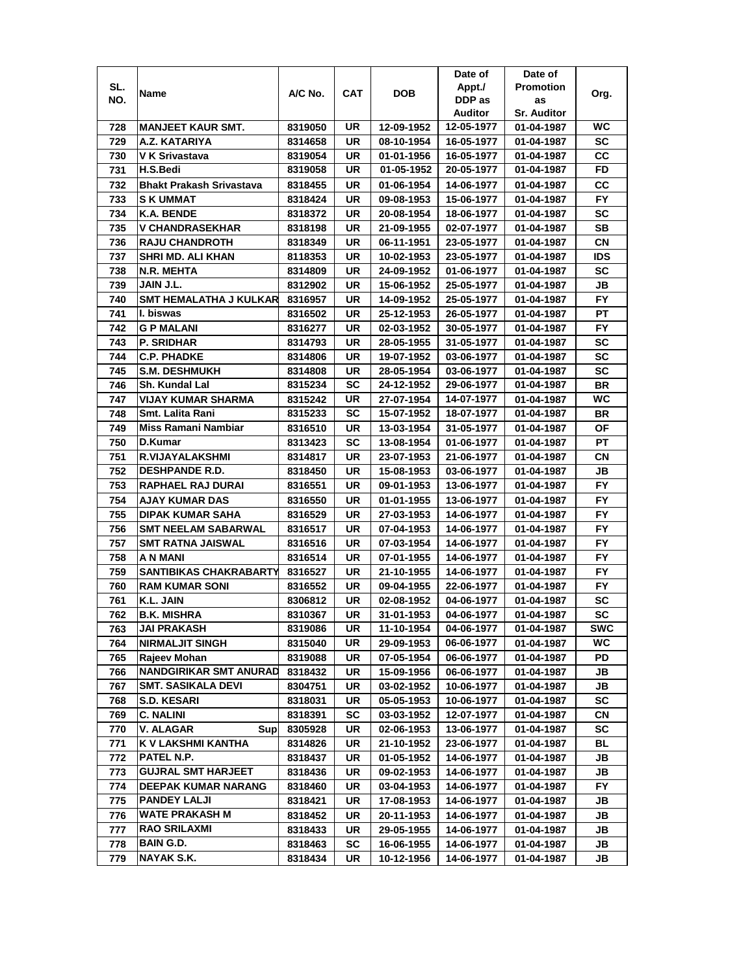|            |                                                   |                    |          |                          | Date of                  | Date of                  |                  |
|------------|---------------------------------------------------|--------------------|----------|--------------------------|--------------------------|--------------------------|------------------|
| SL.        |                                                   |                    |          | <b>DOB</b>               | Appt./                   | <b>Promotion</b>         |                  |
| NO.        | Name                                              | A/C No.            | CAT      |                          | DDP as                   | as                       | Org.             |
|            |                                                   |                    |          |                          | <b>Auditor</b>           | <b>Sr. Auditor</b>       |                  |
| 728        | <b>MANJEET KAUR SMT.</b>                          | 8319050            | UR       | 12-09-1952               | 12-05-1977               | 01-04-1987               | WC               |
| 729        | A.Z. KATARIYA                                     | 8314658            | UR       | 08-10-1954               | 16-05-1977               | 01-04-1987               | SC               |
| 730        | V K Srivastava                                    | 8319054            | UR       | 01-01-1956               | 16-05-1977               | 01-04-1987               | CС               |
| 731        | H.S.Bedi                                          | 8319058            | UR       | 01-05-1952               | 20-05-1977               | 01-04-1987               | FD               |
| 732        | <b>Bhakt Prakash Srivastava</b>                   | 8318455            | UR       | 01-06-1954               | 14-06-1977               | 01-04-1987               | CС               |
| 733        | <b>SK UMMAT</b>                                   | 8318424            | UR       | 09-08-1953               | 15-06-1977               | 01-04-1987               | FY               |
| 734        | K.A. BENDE                                        | 8318372            | UR       | 20-08-1954               | 18-06-1977               | 01-04-1987               | <b>SC</b>        |
| 735        | <b>V CHANDRASEKHAR</b>                            | 8318198            | UR       | 21-09-1955               | 02-07-1977               | 01-04-1987               | SB               |
| 736        | <b>RAJU CHANDROTH</b>                             | 8318349            | UR       | 06-11-1951               | 23-05-1977               | 01-04-1987               | CN               |
| 737        | <b>SHRI MD. ALI KHAN</b>                          | 8118353            | UR       | 10-02-1953               | 23-05-1977               | 01-04-1987               | <b>IDS</b>       |
| 738        | N.R. MEHTA                                        | 8314809            | UR       | 24-09-1952               | 01-06-1977               | 01-04-1987               | SC               |
| 739        | JAIN J.L.                                         | 8312902            | UR       | 15-06-1952               | 25-05-1977               | 01-04-1987               | JB               |
| 740        | <b>SMT HEMALATHA J KULKAR</b>                     | 8316957            | UR       | 14-09-1952               | 25-05-1977               | 01-04-1987               | <b>FY</b>        |
| 741        | I. biswas                                         | 8316502            | UR       | 25-12-1953               | 26-05-1977               | 01-04-1987               | PТ               |
| 742        | <b>G P MALANI</b>                                 | 8316277            | UR       | 02-03-1952               | 30-05-1977               | 01-04-1987               | FY.              |
| 743        | <b>P. SRIDHAR</b>                                 | 8314793            | UR       | 28-05-1955               | 31-05-1977               | 01-04-1987               | SC               |
| 744        | C.P. PHADKE                                       | 8314806            | UR       | 19-07-1952               | 03-06-1977               | 01-04-1987               | SC               |
| 745        | <b>S.M. DESHMUKH</b>                              | 8314808            | UR       | 28-05-1954               | 03-06-1977               | 01-04-1987               | SC               |
| 746        | <b>Sh. Kundal Lal</b>                             | 8315234            | SC       | 24-12-1952               | 29-06-1977               | 01-04-1987               | BR               |
| 747        | VIJAY KUMAR SHARMA                                | 8315242            | UR       | 27-07-1954               | 14-07-1977               | 01-04-1987               | WC               |
| 748        | Smt. Lalita Rani                                  | 8315233            | SC       | 15-07-1952               | 18-07-1977               | 01-04-1987               | BR               |
| 749        | <b>Miss Ramani Nambiar</b>                        | 8316510            | UR       | 13-03-1954               | 31-05-1977               | 01-04-1987               | ΟF               |
| 750        | D.Kumar                                           | 8313423            | SC       | 13-08-1954               | 01-06-1977               | 01-04-1987               | <b>PT</b>        |
| 751        | R.VIJAYALAKSHMI                                   | 8314817            | UR       | 23-07-1953               | 21-06-1977               | 01-04-1987               | СN               |
| 752        | <b>DESHPANDE R.D.</b>                             | 8318450            | UR       | 15-08-1953               | 03-06-1977               | 01-04-1987               | JB               |
| 753        | RAPHAEL RAJ DURAI                                 | 8316551            | UR       | 09-01-1953               | 13-06-1977               | 01-04-1987               | FY.              |
| 754        | <b>AJAY KUMAR DAS</b>                             | 8316550            | UR       | 01-01-1955               | 13-06-1977               | 01-04-1987               | FY.              |
| 755        | <b>DIPAK KUMAR SAHA</b>                           | 8316529            | UR       | 27-03-1953               | 14-06-1977               | 01-04-1987               | <b>FY</b>        |
| 756        | <b>SMT NEELAM SABARWAL</b>                        | 8316517            | UR       | 07-04-1953               | 14-06-1977               | 01-04-1987               | <b>FY</b>        |
| 757        | <b>SMT RATNA JAISWAL</b>                          | 8316516            | UR       | 07-03-1954               | 14-06-1977               | 01-04-1987               | <b>FY</b>        |
| 758        | A N MANI                                          | 8316514            | UR       | 07-01-1955               | 14-06-1977               | 01-04-1987               | FY               |
| 759        | SANTIBIKAS CHAKRABARTY                            | 8316527            | UR       | 21-10-1955               | 14-06-1977               | 01-04-1987               | FY.              |
| 760        | <b>RAM KUMAR SONI</b>                             | 8316552            | UR       | 09-04-1955               | 22-06-1977               | 01-04-1987               | FY.              |
| 761        | K.L. JAIN                                         | 8306812            | UR       | 02-08-1952               | 04-06-1977               | 01-04-1987               | SC               |
|            | <b>B.K. MISHRA</b>                                |                    |          |                          |                          |                          |                  |
| 762<br>763 | <b>JAI PRAKASH</b>                                | 8310367<br>8319086 | UR<br>UR | 31-01-1953<br>11-10-1954 | 04-06-1977<br>04-06-1977 | 01-04-1987<br>01-04-1987 | SC<br><b>SWC</b> |
| 764        | <b>NIRMALJIT SINGH</b>                            | 8315040            | UR       | 29-09-1953               | 06-06-1977               | 01-04-1987               | WC.              |
| 765        | Rajeev Mohan                                      | 8319088            | UR       | 07-05-1954               | 06-06-1977               | 01-04-1987               | PD               |
| 766        | <b>NANDGIRIKAR SMT ANURAD</b>                     | 8318432            | UR       | 15-09-1956               | 06-06-1977               | 01-04-1987               | JB               |
| 767        | <b>SMT. SASIKALA DEVI</b>                         |                    | UR       |                          |                          |                          | JB               |
|            | <b>S.D. KESARI</b>                                | 8304751            | UR       | 03-02-1952               | 10-06-1977               | 01-04-1987               | SC               |
| 768<br>769 | <b>C. NALINI</b>                                  | 8318031            | SC       | 05-05-1953<br>03-03-1952 | 10-06-1977               | 01-04-1987               | CN               |
|            | V. ALAGAR                                         | 8318391            |          |                          | 12-07-1977<br>13-06-1977 | 01-04-1987               | SC               |
| 770        | <b>Sup</b>                                        | 8305928            | UR       | 02-06-1953               |                          | 01-04-1987               |                  |
| 771<br>772 | K V LAKSHMI KANTHA<br>PATEL N.P.                  | 8314826            | UR<br>UR | 21-10-1952<br>01-05-1952 | 23-06-1977               | 01-04-1987<br>01-04-1987 | BL<br>JB         |
| 773        | <b>GUJRAL SMT HARJEET</b>                         | 8318437<br>8318436 | UR       | 09-02-1953               | 14-06-1977<br>14-06-1977 | 01-04-1987               | JB               |
|            |                                                   |                    |          |                          |                          |                          | <b>FY</b>        |
| 774        | <b>DEEPAK KUMAR NARANG</b><br><b>PANDEY LALJI</b> | 8318460            | UR<br>UR | 03-04-1953<br>17-08-1953 | 14-06-1977               | 01-04-1987               |                  |
| 775        | <b>WATE PRAKASH M</b>                             | 8318421            | UR       | 20-11-1953               | 14-06-1977               | 01-04-1987               | JB<br>JB         |
| 776        | <b>RAO SRILAXMI</b>                               | 8318452            |          |                          | 14-06-1977               | 01-04-1987               |                  |
| 777        | <b>BAIN G.D.</b>                                  | 8318433            | UR<br>SC | 29-05-1955<br>16-06-1955 | 14-06-1977<br>14-06-1977 | 01-04-1987               | JB<br>JB         |
| 778        |                                                   | 8318463            |          |                          |                          | 01-04-1987               |                  |
| 779        | NAYAK S.K.                                        | 8318434            | UR       | 10-12-1956               | 14-06-1977               | 01-04-1987               | JB               |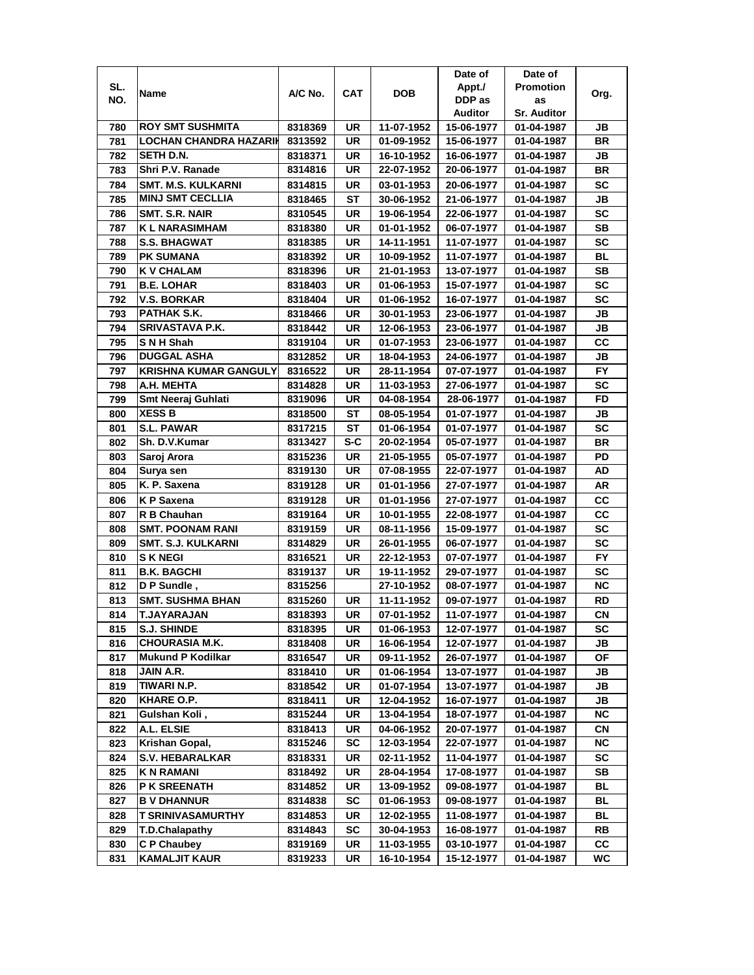|     |                               |         |           |            | Date of    | Date of            |           |
|-----|-------------------------------|---------|-----------|------------|------------|--------------------|-----------|
| SL. | Name                          | A/C No. | CAT       | <b>DOB</b> | Appt./     | <b>Promotion</b>   | Org.      |
| NO. |                               |         |           |            | DDP as     | as                 |           |
|     |                               |         |           |            | Auditor    | <b>Sr. Auditor</b> |           |
| 780 | <b>ROY SMT SUSHMITA</b>       | 8318369 | UR        | 11-07-1952 | 15-06-1977 | 01-04-1987         | JB        |
| 781 | <b>LOCHAN CHANDRA HAZARIK</b> | 8313592 | UR        | 01-09-1952 | 15-06-1977 | 01-04-1987         | <b>BR</b> |
| 782 | SETH D.N.                     | 8318371 | UR        | 16-10-1952 | 16-06-1977 | 01-04-1987         | JB        |
| 783 | Shri P.V. Ranade              | 8314816 | UR        | 22-07-1952 | 20-06-1977 | 01-04-1987         | <b>BR</b> |
| 784 | <b>SMT. M.S. KULKARNI</b>     | 8314815 | UR        | 03-01-1953 | 20-06-1977 | 01-04-1987         | <b>SC</b> |
| 785 | <b>MINJ SMT CECLLIA</b>       | 8318465 | ST        | 30-06-1952 | 21-06-1977 | 01-04-1987         | JB        |
| 786 | SMT. S.R. NAIR                | 8310545 | UR        | 19-06-1954 | 22-06-1977 | 01-04-1987         | SC        |
| 787 | K L NARASIMHAM                | 8318380 | UR        | 01-01-1952 | 06-07-1977 | 01-04-1987         | SВ        |
| 788 | <b>S.S. BHAGWAT</b>           | 8318385 | UR        | 14-11-1951 | 11-07-1977 | 01-04-1987         | SC        |
| 789 | <b>PK SUMANA</b>              | 8318392 | UR        | 10-09-1952 | 11-07-1977 | 01-04-1987         | BL        |
| 790 | <b>K V CHALAM</b>             | 8318396 | UR        | 21-01-1953 | 13-07-1977 | 01-04-1987         | <b>SB</b> |
| 791 | <b>B.E. LOHAR</b>             | 8318403 | UR        | 01-06-1953 | 15-07-1977 | 01-04-1987         | SC        |
| 792 | <b>V.S. BORKAR</b>            | 8318404 | UR        | 01-06-1952 | 16-07-1977 | 01-04-1987         | SC        |
| 793 | PATHAK S.K.                   | 8318466 | UR        | 30-01-1953 | 23-06-1977 | 01-04-1987         | JB        |
| 794 | SRIVASTAVA P.K.               | 8318442 | UR        | 12-06-1953 | 23-06-1977 | 01-04-1987         | JB        |
| 795 | SNH Shah                      | 8319104 | UR        | 01-07-1953 | 23-06-1977 | 01-04-1987         | CC        |
| 796 | <b>DUGGAL ASHA</b>            | 8312852 | UR        | 18-04-1953 | 24-06-1977 | 01-04-1987         | JB        |
| 797 | <b>KRISHNA KUMAR GANGULY</b>  | 8316522 | UR        | 28-11-1954 | 07-07-1977 | 01-04-1987         | FY.       |
| 798 | A.H. MEHTA                    | 8314828 | UR        | 11-03-1953 | 27-06-1977 | 01-04-1987         | SC        |
| 799 | <b>Smt Neeraj Guhlati</b>     | 8319096 | UR        | 04-08-1954 | 28-06-1977 | 01-04-1987         | FD        |
| 800 | <b>XESS B</b>                 | 8318500 | ST        | 08-05-1954 | 01-07-1977 | 01-04-1987         | JB        |
| 801 | <b>S.L. PAWAR</b>             | 8317215 | ST        | 01-06-1954 | 01-07-1977 | 01-04-1987         | <b>SC</b> |
| 802 | Sh. D.V.Kumar                 | 8313427 | S-C       | 20-02-1954 | 05-07-1977 | 01-04-1987         | <b>BR</b> |
| 803 | Saroj Arora                   | 8315236 | UR        | 21-05-1955 | 05-07-1977 | 01-04-1987         | PD        |
| 804 | Surya sen                     | 8319130 | UR        | 07-08-1955 | 22-07-1977 | 01-04-1987         | AD        |
| 805 | K. P. Saxena                  | 8319128 | UR        | 01-01-1956 | 27-07-1977 | 01-04-1987         | AR        |
| 806 | <b>KP</b> Saxena              | 8319128 | <b>UR</b> | 01-01-1956 | 27-07-1977 | 01-04-1987         | CC        |
| 807 | R B Chauhan                   | 8319164 | UR        | 10-01-1955 | 22-08-1977 | 01-04-1987         | cc        |
| 808 | <b>SMT. POONAM RANI</b>       | 8319159 | UR        | 08-11-1956 | 15-09-1977 | 01-04-1987         | <b>SC</b> |
| 809 | <b>SMT. S.J. KULKARNI</b>     | 8314829 | UR        | 26-01-1955 | 06-07-1977 | 01-04-1987         | <b>SC</b> |
| 810 | <b>SKNEGI</b>                 | 8316521 | UR        | 22-12-1953 | 07-07-1977 | 01-04-1987         | <b>FY</b> |
| 811 | <b>B.K. BAGCHI</b>            | 8319137 | UR        | 19-11-1952 | 29-07-1977 | 01-04-1987         | SC        |
| 812 | D P Sundle,                   | 8315256 |           | 27-10-1952 | 08-07-1977 | 01-04-1987         | ΝC        |
| 813 | <b>SMT. SUSHMA BHAN</b>       | 8315260 | UR        | 11-11-1952 | 09-07-1977 | 01-04-1987         | RD        |
| 814 | <b>T.JAYARAJAN</b>            | 8318393 | UR        | 07-01-1952 | 11-07-1977 | 01-04-1987         | СN        |
| 815 | <b>S.J. SHINDE</b>            | 8318395 | UR        | 01-06-1953 | 12-07-1977 | 01-04-1987         | SC        |
| 816 | <b>CHOURASIA M.K.</b>         | 8318408 | UR        | 16-06-1954 | 12-07-1977 | 01-04-1987         | JВ        |
| 817 | <b>Mukund P Kodilkar</b>      | 8316547 | UR        | 09-11-1952 | 26-07-1977 | 01-04-1987         | ΟF        |
| 818 | JAIN A.R.                     | 8318410 | UR        | 01-06-1954 | 13-07-1977 | 01-04-1987         | JB        |
| 819 | TIWARI N.P.                   | 8318542 | UR        | 01-07-1954 | 13-07-1977 | 01-04-1987         | JB        |
| 820 | <b>KHARE O.P.</b>             | 8318411 | UR        | 12-04-1952 | 16-07-1977 | 01-04-1987         | JB        |
| 821 | Gulshan Koli,                 | 8315244 | UR        | 13-04-1954 | 18-07-1977 | 01-04-1987         | NC.       |
| 822 | A.L. ELSIE                    | 8318413 | UR        | 04-06-1952 | 20-07-1977 | 01-04-1987         | CN        |
| 823 | Krishan Gopal,                | 8315246 | SC        | 12-03-1954 | 22-07-1977 | 01-04-1987         | <b>NC</b> |
| 824 | <b>S.V. HEBARALKAR</b>        | 8318331 | UR        | 02-11-1952 | 11-04-1977 | 01-04-1987         | SC        |
| 825 | <b>KN RAMANI</b>              | 8318492 | UR        | 28-04-1954 | 17-08-1977 | 01-04-1987         | SB        |
| 826 | <b>P K SREENATH</b>           | 8314852 | UR        | 13-09-1952 | 09-08-1977 | 01-04-1987         | BL        |
| 827 | <b>B V DHANNUR</b>            | 8314838 | SC        | 01-06-1953 | 09-08-1977 | 01-04-1987         | BL        |
| 828 | <b>T SRINIVASAMURTHY</b>      | 8314853 | UR        | 12-02-1955 | 11-08-1977 | 01-04-1987         | BL        |
| 829 | <b>T.D.Chalapathy</b>         | 8314843 | SC        | 30-04-1953 | 16-08-1977 | 01-04-1987         | RB        |
| 830 | C P Chaubey                   | 8319169 | UR        | 11-03-1955 | 03-10-1977 | 01-04-1987         | <b>CC</b> |
| 831 | <b>KAMALJIT KAUR</b>          | 8319233 | UR        | 16-10-1954 | 15-12-1977 | 01-04-1987         | WC        |
|     |                               |         |           |            |            |                    |           |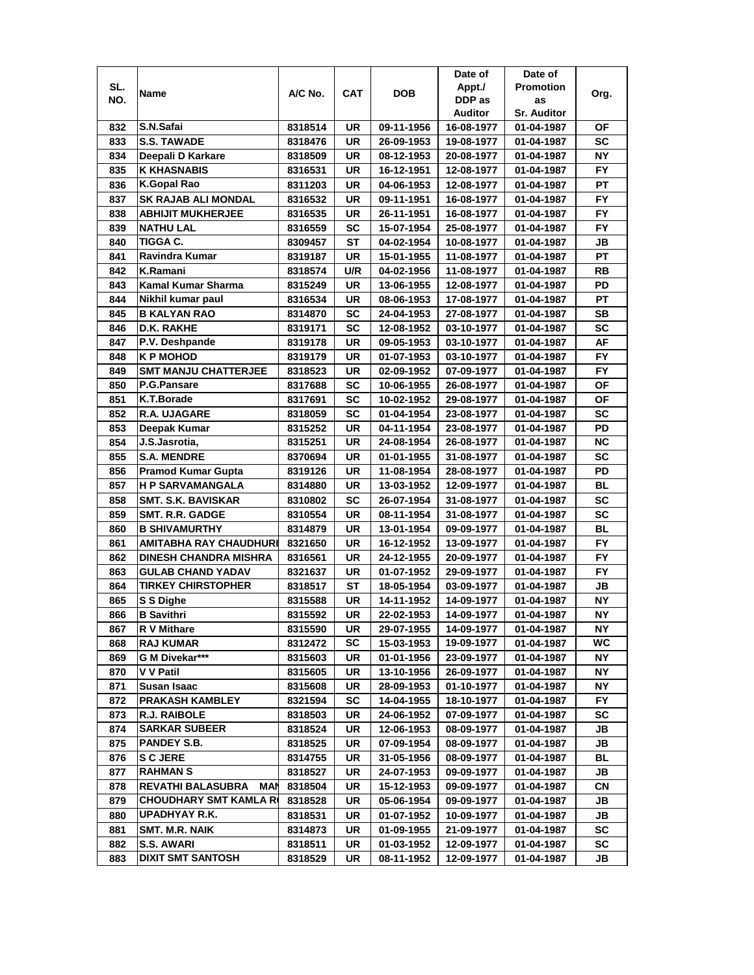|     |                                 |         |           |            | Date of    | Date of            |           |
|-----|---------------------------------|---------|-----------|------------|------------|--------------------|-----------|
| SL. | Name                            | A/C No. | CAT       | <b>DOB</b> | Appt./     | <b>Promotion</b>   | Org.      |
| NO. |                                 |         |           |            | DDP as     | as                 |           |
|     |                                 |         |           |            | Auditor    | <b>Sr. Auditor</b> |           |
| 832 | S.N.Safai                       | 8318514 | UR        | 09-11-1956 | 16-08-1977 | 01-04-1987         | ΟF        |
| 833 | <b>S.S. TAWADE</b>              | 8318476 | UR        | 26-09-1953 | 19-08-1977 | 01-04-1987         | SC        |
| 834 | Deepali D Karkare               | 8318509 | UR        | 08-12-1953 | 20-08-1977 | 01-04-1987         | <b>NY</b> |
| 835 | <b>K KHASNABIS</b>              | 8316531 | UR        | 16-12-1951 | 12-08-1977 | 01-04-1987         | <b>FY</b> |
| 836 | K.Gopal Rao                     | 8311203 | UR        | 04-06-1953 | 12-08-1977 | 01-04-1987         | PT        |
| 837 | <b>SK RAJAB ALI MONDAL</b>      | 8316532 | UR        | 09-11-1951 | 16-08-1977 | 01-04-1987         | <b>FY</b> |
| 838 | <b>ABHIJIT MUKHERJEE</b>        | 8316535 | UR        | 26-11-1951 | 16-08-1977 | 01-04-1987         | FY.       |
| 839 | <b>NATHU LAL</b>                | 8316559 | SC        | 15-07-1954 | 25-08-1977 | 01-04-1987         | <b>FY</b> |
| 840 | <b>TIGGA C.</b>                 | 8309457 | ST        | 04-02-1954 | 10-08-1977 | 01-04-1987         | JB        |
| 841 | Ravindra Kumar                  | 8319187 | UR        | 15-01-1955 | 11-08-1977 | 01-04-1987         | PT        |
| 842 | K.Ramani                        | 8318574 | U/R       | 04-02-1956 | 11-08-1977 | 01-04-1987         | RB        |
| 843 | <b>Kamal Kumar Sharma</b>       | 8315249 | <b>UR</b> | 13-06-1955 | 12-08-1977 | 01-04-1987         | PD        |
| 844 | Nikhil kumar paul               | 8316534 | UR        | 08-06-1953 | 17-08-1977 | 01-04-1987         | PT        |
| 845 | <b>B KALYAN RAO</b>             | 8314870 | SC        | 24-04-1953 | 27-08-1977 | 01-04-1987         | <b>SB</b> |
| 846 | D.K. RAKHE                      | 8319171 | SC        | 12-08-1952 | 03-10-1977 | 01-04-1987         | SC        |
| 847 | P.V. Deshpande                  | 8319178 | UR        | 09-05-1953 | 03-10-1977 | 01-04-1987         | AF        |
| 848 | K P MOHOD                       | 8319179 | UR        | 01-07-1953 | 03-10-1977 | 01-04-1987         | FY        |
| 849 | <b>SMT MANJU CHATTERJEE</b>     | 8318523 | UR        | 02-09-1952 | 07-09-1977 | 01-04-1987         | FY.       |
| 850 | P.G.Pansare                     | 8317688 | SC        | 10-06-1955 | 26-08-1977 | 01-04-1987         | ΟF        |
| 851 | K.T.Borade                      | 8317691 | SC        | 10-02-1952 | 29-08-1977 | 01-04-1987         | OF        |
| 852 | R.A. UJAGARE                    | 8318059 | <b>SC</b> | 01-04-1954 | 23-08-1977 | 01-04-1987         | <b>SC</b> |
| 853 | Deepak Kumar                    | 8315252 | UR        | 04-11-1954 | 23-08-1977 | 01-04-1987         | PD        |
| 854 | J.S.Jasrotia,                   | 8315251 | UR        | 24-08-1954 | 26-08-1977 | 01-04-1987         | <b>NC</b> |
| 855 | <b>S.A. MENDRE</b>              | 8370694 | UR        | 01-01-1955 | 31-08-1977 | 01-04-1987         | <b>SC</b> |
| 856 | <b>Pramod Kumar Gupta</b>       | 8319126 | UR        | 11-08-1954 | 28-08-1977 | 01-04-1987         | PD        |
| 857 | <b>H P SARVAMANGALA</b>         | 8314880 | UR        | 13-03-1952 | 12-09-1977 | 01-04-1987         | BL        |
| 858 | <b>SMT. S.K. BAVISKAR</b>       | 8310802 | SC        | 26-07-1954 | 31-08-1977 | 01-04-1987         | SC        |
| 859 | <b>SMT. R.R. GADGE</b>          | 8310554 | <b>UR</b> | 08-11-1954 | 31-08-1977 | 01-04-1987         | SC        |
| 860 | <b>B SHIVAMURTHY</b>            | 8314879 | <b>UR</b> | 13-01-1954 | 09-09-1977 | 01-04-1987         | <b>BL</b> |
| 861 | <b>AMITABHA RAY CHAUDHURI</b>   | 8321650 | UR        | 16-12-1952 | 13-09-1977 | 01-04-1987         | <b>FY</b> |
| 862 | <b>DINESH CHANDRA MISHRA</b>    | 8316561 | UR        | 24-12-1955 | 20-09-1977 | 01-04-1987         | <b>FY</b> |
| 863 | <b>GULAB CHAND YADAV</b>        | 8321637 | UR        | 01-07-1952 | 29-09-1977 | 01-04-1987         | FY        |
| 864 | <b>TIRKEY CHIRSTOPHER</b>       | 8318517 | ST        | 18-05-1954 | 03-09-1977 | 01-04-1987         | JB        |
| 865 | S S Dighe                       | 8315588 | UR        | 14-11-1952 | 14-09-1977 | 01-04-1987         | NΥ        |
| 866 | <b>B</b> Savithri               | 8315592 | UR        | 22-02-1953 | 14-09-1977 | 01-04-1987         | <b>NY</b> |
| 867 | R V Mithare                     | 8315590 | UR        | 29-07-1955 | 14-09-1977 | 01-04-1987         | ΝY        |
| 868 | <b>RAJ KUMAR</b>                | 8312472 | SC        | 15-03-1953 | 19-09-1977 | 01-04-1987         | WC        |
| 869 | G M Divekar***                  | 8315603 | UR        | 01-01-1956 | 23-09-1977 | 01-04-1987         | NΥ        |
| 870 | V V Patil                       | 8315605 | UR        | 13-10-1956 | 26-09-1977 | 01-04-1987         | NΥ        |
| 871 | Susan Isaac                     | 8315608 | UR        | 28-09-1953 | 01-10-1977 | 01-04-1987         | NΥ        |
| 872 | <b>PRAKASH KAMBLEY</b>          | 8321594 | SC        | 14-04-1955 | 18-10-1977 | 01-04-1987         | FY.       |
| 873 | <b>R.J. RAIBOLE</b>             | 8318503 | UR        | 24-06-1952 | 07-09-1977 | 01-04-1987         | SC        |
| 874 | <b>SARKAR SUBEER</b>            | 8318524 | UR        | 12-06-1953 | 08-09-1977 | 01-04-1987         | JB        |
| 875 | <b>PANDEY S.B.</b>              | 8318525 | UR        | 07-09-1954 | 08-09-1977 | 01-04-1987         | JB        |
| 876 | <b>S C JERE</b>                 | 8314755 | UR        | 31-05-1956 | 08-09-1977 | 01-04-1987         | <b>BL</b> |
| 877 | <b>RAHMANS</b>                  | 8318527 | UR        | 24-07-1953 | 09-09-1977 | 01-04-1987         | JB        |
| 878 | <b>REVATHI BALASUBRA</b><br>MAN | 8318504 | UR        | 15-12-1953 | 09-09-1977 | 01-04-1987         | CN        |
| 879 | <b>CHOUDHARY SMT KAMLA R</b>    | 8318528 | UR        | 05-06-1954 | 09-09-1977 | 01-04-1987         | JB        |
| 880 | UPADHYAY R.K.                   | 8318531 | UR        | 01-07-1952 | 10-09-1977 | 01-04-1987         | JB        |
| 881 | SMT. M.R. NAIK                  | 8314873 | UR        | 01-09-1955 | 21-09-1977 | 01-04-1987         | SC        |
| 882 | S.S. AWARI                      | 8318511 | UR        | 01-03-1952 | 12-09-1977 | 01-04-1987         | SC        |
| 883 | <b>DIXIT SMT SANTOSH</b>        | 8318529 | UR        | 08-11-1952 | 12-09-1977 | 01-04-1987         | JB        |
|     |                                 |         |           |            |            |                    |           |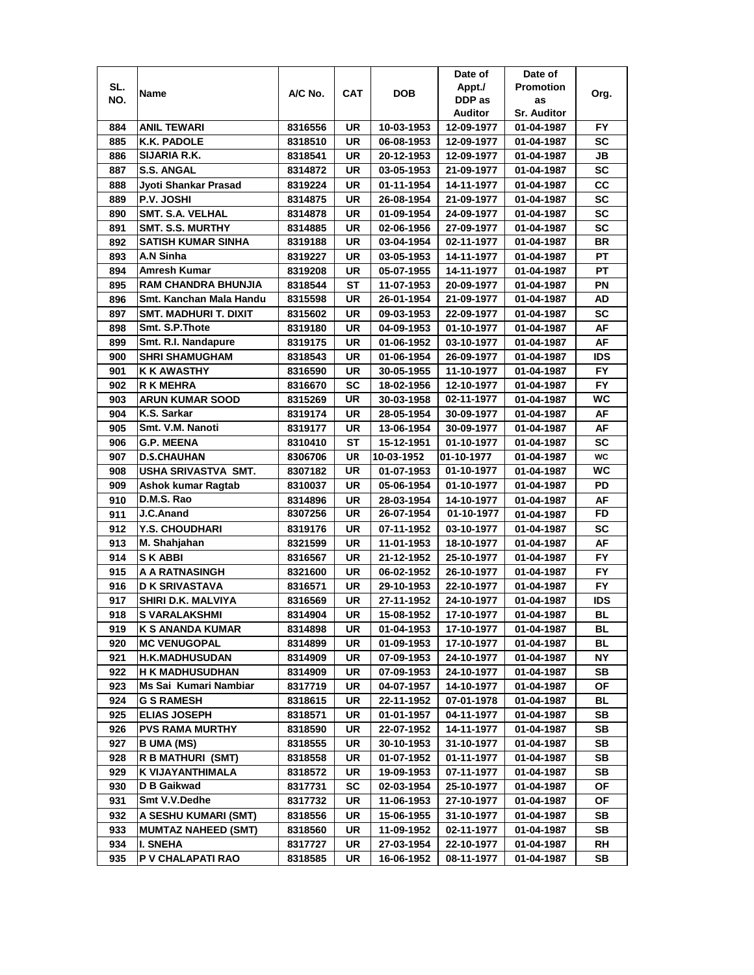| SL.<br><b>Promotion</b><br>Appt./<br>A/C No.<br><b>CAT</b><br>DOB<br>Name<br>Org.<br>DDP as<br>NO.<br>as<br><b>Sr. Auditor</b><br>Auditor<br><b>ANIL TEWARI</b><br>UR<br>10-03-1953<br>FY.<br>884<br>8316556<br>12-09-1977<br>01-04-1987<br>SC<br>885<br>K.K. PADOLE<br>8318510<br>UR<br>06-08-1953<br>12-09-1977<br>01-04-1987<br>SIJARIA R.K.<br>UR<br>JB<br>886<br>8318541<br>20-12-1953<br>12-09-1977<br>01-04-1987<br>SC<br>887<br><b>S.S. ANGAL</b><br>UR<br>8314872<br>03-05-1953<br>21-09-1977<br>01-04-1987<br>cc<br>888<br>Jyoti Shankar Prasad<br>UR<br>01-11-1954<br>14-11-1977<br>8319224<br>01-04-1987<br><b>SC</b><br>889<br>P.V. JOSHI<br>UR<br>8314875<br>26-08-1954<br>21-09-1977<br>01-04-1987<br><b>SMT. S.A. VELHAL</b><br><b>SC</b><br>890<br>UR<br>8314878<br>01-09-1954<br>24-09-1977<br>01-04-1987<br><b>SC</b><br>891<br>SMT. S.S. MURTHY<br>UR<br>02-06-1956<br>27-09-1977<br>8314885<br>01-04-1987<br><b>BR</b><br><b>SATISH KUMAR SINHA</b><br>UR<br>892<br>8319188<br>03-04-1954<br>02-11-1977<br>01-04-1987<br>A.N Sinha<br>893<br>UR<br>PТ<br>8319227<br>03-05-1953<br>14-11-1977<br>01-04-1987<br>Amresh Kumar<br><b>PT</b><br>894<br>UR<br>05-07-1955<br>8319208<br>14-11-1977<br>01-04-1987<br><b>RAM CHANDRA BHUNJIA</b><br>PN<br>895<br>ST<br>8318544<br>11-07-1953<br>20-09-1977<br>01-04-1987<br>AD<br>Smt. Kanchan Mala Handu<br>UR<br>26-01-1954<br>8315598<br>21-09-1977<br>01-04-1987<br>896<br><b>SMT. MADHURI T. DIXIT</b><br>897<br>UR<br>09-03-1953<br>SC<br>8315602<br>22-09-1977<br>01-04-1987<br>Smt. S.P.Thote<br>AF<br>898<br>UR<br>8319180<br>04-09-1953<br>01-10-1977<br>01-04-1987<br>Smt. R.I. Nandapure<br>UR<br>AF<br>899<br>8319175<br>01-06-1952<br>03-10-1977<br>01-04-1987<br>900<br><b>SHRI SHAMUGHAM</b><br>UR<br>01-06-1954<br>26-09-1977<br><b>IDS</b><br>8318543<br>01-04-1987<br>FY.<br>901<br>K K AWASTHY<br>8316590<br>UR<br>30-05-1955<br>11-10-1977<br>01-04-1987<br><b>SC</b><br>FY.<br>902<br><b>R K MEHRA</b><br>8316670<br>18-02-1956<br>12-10-1977<br>01-04-1987<br><b>WC</b><br>UR<br>02-11-1977<br><b>ARUN KUMAR SOOD</b><br>903<br>8315269<br>30-03-1958<br>01-04-1987<br>K.S. Sarkar<br>AF<br>904<br>UR<br>8319174<br>28-05-1954<br>30-09-1977<br>01-04-1987<br>Smt. V.M. Nanoti<br>AF<br>905<br>UR<br>13-06-1954<br>30-09-1977<br>8319177<br>01-04-1987<br><b>SC</b><br>906<br><b>G.P. MEENA</b><br>ST<br>15-12-1951<br>8310410<br>01-10-1977<br>01-04-1987<br>WC<br>907<br>UR<br>10-03-1952<br><b>D.S.CHAUHAN</b><br>8306706<br>01-10-1977<br>01-04-1987<br><b>WC</b><br><b>USHA SRIVASTVA SMT.</b><br>UR<br>908<br>01-07-1953<br>01-10-1977<br>8307182<br>01-04-1987<br>909<br>UR<br>05-06-1954<br>PD<br>Ashok kumar Ragtab<br>8310037<br>01-10-1977<br>01-04-1987<br>D.M.S. Rao<br>UR<br>AF<br>910<br>8314896<br>28-03-1954<br>14-10-1977<br>01-04-1987<br>UR<br><b>FD</b><br>J.C.Anand<br>8307256<br>26-07-1954<br>01-10-1977<br>911<br>01-04-1987<br>Y.S. CHOUDHARI<br><b>UR</b><br>SC<br>912<br>8319176<br>07-11-1952<br>03-10-1977<br>01-04-1987<br>AF<br>913<br>M. Shahjahan<br>8321599<br>UR<br>11-01-1953<br>18-10-1977<br>01-04-1987<br><b>SKABBI</b><br><b>FY</b><br>914<br>8316567<br>UR<br>21-12-1952<br>25-10-1977<br>01-04-1987<br><b>FY</b><br>915<br><b>A A RATNASINGH</b><br>UR<br>8321600<br>06-02-1952<br>26-10-1977<br>01-04-1987<br>916<br>UR<br>FY.<br><b>D K SRIVASTAVA</b><br>8316571<br>29-10-1953<br>22-10-1977<br>01-04-1987<br>917<br>SHIRI D.K. MALVIYA<br>UR<br>27-11-1952<br><b>IDS</b><br>8316569<br>24-10-1977<br>01-04-1987<br>918<br><b>S VARALAKSHMI</b><br>UR<br>BL<br>8314904<br>15-08-1952<br>17-10-1977<br>01-04-1987<br>01-04-1953<br>919<br>K S ANANDA KUMAR<br>8314898<br>UR<br>17-10-1977<br>01-04-1987<br>BL<br>920<br><b>MC VENUGOPAL</b><br>8314899<br>UR<br>01-09-1953<br>17-10-1977<br>01-04-1987<br>BL<br>921<br>UR<br>NΥ<br><b>H.K.MADHUSUDAN</b><br>8314909<br>07-09-1953<br>24-10-1977<br>01-04-1987<br>922<br><b>H K MADHUSUDHAN</b><br>SВ<br>8314909<br>UR<br>07-09-1953<br>24-10-1977<br>01-04-1987<br>Ms Sai Kumari Nambiar<br>UR<br>ΟF<br>923<br>8317719<br>04-07-1957<br>14-10-1977<br>01-04-1987<br><b>G S RAMESH</b><br>924<br>UR<br>22-11-1952<br>07-01-1978<br>BL<br>8318615<br>01-04-1987<br>925<br><b>ELIAS JOSEPH</b><br>UR<br>SВ<br>8318571<br>01-01-1957<br>04-11-1977<br>01-04-1987<br><b>PVS RAMA MURTHY</b><br>SB<br>926<br>8318590<br>UR<br>22-07-1952<br>14-11-1977<br>01-04-1987<br>SB<br>927<br><b>B UMA (MS)</b><br>8318555<br>UR<br>30-10-1953<br>31-10-1977<br>01-04-1987<br><b>R B MATHURI (SMT)</b><br>UR<br>SB<br>928<br>8318558<br>01-07-1952<br>01-11-1977<br>01-04-1987<br>K VIJAYANTHIMALA<br>929<br>UR<br>19-09-1953<br>SB<br>8318572<br>07-11-1977<br>01-04-1987<br>D B Gaikwad<br>930<br><b>SC</b><br>02-03-1954<br>ΟF<br>8317731<br>25-10-1977<br>01-04-1987<br>Smt V.V.Dedhe<br>ΟF<br>931<br>8317732<br>UR<br>11-06-1953<br>27-10-1977<br>01-04-1987<br>A SESHU KUMARI (SMT)<br>UR<br>932<br>8318556<br>15-06-1955<br>31-10-1977<br>01-04-1987<br>SB<br>933<br><b>MUMTAZ NAHEED (SMT)</b><br>UR<br>11-09-1952<br>02-11-1977<br>SB<br>8318560<br>01-04-1987<br>934<br><b>I. SNEHA</b><br>UR<br>RH<br>8317727<br>27-03-1954<br>22-10-1977<br>01-04-1987<br>935<br>P V CHALAPATI RAO<br>UR<br>16-06-1952<br>08-11-1977<br>SB<br>8318585<br>01-04-1987 |  |  | Date of | Date of |  |
|----------------------------------------------------------------------------------------------------------------------------------------------------------------------------------------------------------------------------------------------------------------------------------------------------------------------------------------------------------------------------------------------------------------------------------------------------------------------------------------------------------------------------------------------------------------------------------------------------------------------------------------------------------------------------------------------------------------------------------------------------------------------------------------------------------------------------------------------------------------------------------------------------------------------------------------------------------------------------------------------------------------------------------------------------------------------------------------------------------------------------------------------------------------------------------------------------------------------------------------------------------------------------------------------------------------------------------------------------------------------------------------------------------------------------------------------------------------------------------------------------------------------------------------------------------------------------------------------------------------------------------------------------------------------------------------------------------------------------------------------------------------------------------------------------------------------------------------------------------------------------------------------------------------------------------------------------------------------------------------------------------------------------------------------------------------------------------------------------------------------------------------------------------------------------------------------------------------------------------------------------------------------------------------------------------------------------------------------------------------------------------------------------------------------------------------------------------------------------------------------------------------------------------------------------------------------------------------------------------------------------------------------------------------------------------------------------------------------------------------------------------------------------------------------------------------------------------------------------------------------------------------------------------------------------------------------------------------------------------------------------------------------------------------------------------------------------------------------------------------------------------------------------------------------------------------------------------------------------------------------------------------------------------------------------------------------------------------------------------------------------------------------------------------------------------------------------------------------------------------------------------------------------------------------------------------------------------------------------------------------------------------------------------------------------------------------------------------------------------------------------------------------------------------------------------------------------------------------------------------------------------------------------------------------------------------------------------------------------------------------------------------------------------------------------------------------------------------------------------------------------------------------------------------------------------------------------------------------------------------------------------------------------------------------------------------------------------------------------------------------------------------------------------------------------------------------------------------------------------------------------------------------------------------------------------------------------------------------------------------------------------------------------------------------------------------------------------------------------------------------------------------------------------------------------------------------------------------------------------------------------------------------------------------------------------------------------------------------------------------------------------------------------------------------------------------------------------------------------------------------------------------------------------------------------------------------------------------------------------------------------------------------------------------------------------------------------------|--|--|---------|---------|--|
|                                                                                                                                                                                                                                                                                                                                                                                                                                                                                                                                                                                                                                                                                                                                                                                                                                                                                                                                                                                                                                                                                                                                                                                                                                                                                                                                                                                                                                                                                                                                                                                                                                                                                                                                                                                                                                                                                                                                                                                                                                                                                                                                                                                                                                                                                                                                                                                                                                                                                                                                                                                                                                                                                                                                                                                                                                                                                                                                                                                                                                                                                                                                                                                                                                                                                                                                                                                                                                                                                                                                                                                                                                                                                                                                                                                                                                                                                                                                                                                                                                                                                                                                                                                                                                                                                                                                                                                                                                                                                                                                                                                                                                                                                                                                                                                                                                                                                                                                                                                                                                                                                                                                                                                                                                                                                                                                  |  |  |         |         |  |
|                                                                                                                                                                                                                                                                                                                                                                                                                                                                                                                                                                                                                                                                                                                                                                                                                                                                                                                                                                                                                                                                                                                                                                                                                                                                                                                                                                                                                                                                                                                                                                                                                                                                                                                                                                                                                                                                                                                                                                                                                                                                                                                                                                                                                                                                                                                                                                                                                                                                                                                                                                                                                                                                                                                                                                                                                                                                                                                                                                                                                                                                                                                                                                                                                                                                                                                                                                                                                                                                                                                                                                                                                                                                                                                                                                                                                                                                                                                                                                                                                                                                                                                                                                                                                                                                                                                                                                                                                                                                                                                                                                                                                                                                                                                                                                                                                                                                                                                                                                                                                                                                                                                                                                                                                                                                                                                                  |  |  |         |         |  |
|                                                                                                                                                                                                                                                                                                                                                                                                                                                                                                                                                                                                                                                                                                                                                                                                                                                                                                                                                                                                                                                                                                                                                                                                                                                                                                                                                                                                                                                                                                                                                                                                                                                                                                                                                                                                                                                                                                                                                                                                                                                                                                                                                                                                                                                                                                                                                                                                                                                                                                                                                                                                                                                                                                                                                                                                                                                                                                                                                                                                                                                                                                                                                                                                                                                                                                                                                                                                                                                                                                                                                                                                                                                                                                                                                                                                                                                                                                                                                                                                                                                                                                                                                                                                                                                                                                                                                                                                                                                                                                                                                                                                                                                                                                                                                                                                                                                                                                                                                                                                                                                                                                                                                                                                                                                                                                                                  |  |  |         |         |  |
|                                                                                                                                                                                                                                                                                                                                                                                                                                                                                                                                                                                                                                                                                                                                                                                                                                                                                                                                                                                                                                                                                                                                                                                                                                                                                                                                                                                                                                                                                                                                                                                                                                                                                                                                                                                                                                                                                                                                                                                                                                                                                                                                                                                                                                                                                                                                                                                                                                                                                                                                                                                                                                                                                                                                                                                                                                                                                                                                                                                                                                                                                                                                                                                                                                                                                                                                                                                                                                                                                                                                                                                                                                                                                                                                                                                                                                                                                                                                                                                                                                                                                                                                                                                                                                                                                                                                                                                                                                                                                                                                                                                                                                                                                                                                                                                                                                                                                                                                                                                                                                                                                                                                                                                                                                                                                                                                  |  |  |         |         |  |
|                                                                                                                                                                                                                                                                                                                                                                                                                                                                                                                                                                                                                                                                                                                                                                                                                                                                                                                                                                                                                                                                                                                                                                                                                                                                                                                                                                                                                                                                                                                                                                                                                                                                                                                                                                                                                                                                                                                                                                                                                                                                                                                                                                                                                                                                                                                                                                                                                                                                                                                                                                                                                                                                                                                                                                                                                                                                                                                                                                                                                                                                                                                                                                                                                                                                                                                                                                                                                                                                                                                                                                                                                                                                                                                                                                                                                                                                                                                                                                                                                                                                                                                                                                                                                                                                                                                                                                                                                                                                                                                                                                                                                                                                                                                                                                                                                                                                                                                                                                                                                                                                                                                                                                                                                                                                                                                                  |  |  |         |         |  |
|                                                                                                                                                                                                                                                                                                                                                                                                                                                                                                                                                                                                                                                                                                                                                                                                                                                                                                                                                                                                                                                                                                                                                                                                                                                                                                                                                                                                                                                                                                                                                                                                                                                                                                                                                                                                                                                                                                                                                                                                                                                                                                                                                                                                                                                                                                                                                                                                                                                                                                                                                                                                                                                                                                                                                                                                                                                                                                                                                                                                                                                                                                                                                                                                                                                                                                                                                                                                                                                                                                                                                                                                                                                                                                                                                                                                                                                                                                                                                                                                                                                                                                                                                                                                                                                                                                                                                                                                                                                                                                                                                                                                                                                                                                                                                                                                                                                                                                                                                                                                                                                                                                                                                                                                                                                                                                                                  |  |  |         |         |  |
|                                                                                                                                                                                                                                                                                                                                                                                                                                                                                                                                                                                                                                                                                                                                                                                                                                                                                                                                                                                                                                                                                                                                                                                                                                                                                                                                                                                                                                                                                                                                                                                                                                                                                                                                                                                                                                                                                                                                                                                                                                                                                                                                                                                                                                                                                                                                                                                                                                                                                                                                                                                                                                                                                                                                                                                                                                                                                                                                                                                                                                                                                                                                                                                                                                                                                                                                                                                                                                                                                                                                                                                                                                                                                                                                                                                                                                                                                                                                                                                                                                                                                                                                                                                                                                                                                                                                                                                                                                                                                                                                                                                                                                                                                                                                                                                                                                                                                                                                                                                                                                                                                                                                                                                                                                                                                                                                  |  |  |         |         |  |
|                                                                                                                                                                                                                                                                                                                                                                                                                                                                                                                                                                                                                                                                                                                                                                                                                                                                                                                                                                                                                                                                                                                                                                                                                                                                                                                                                                                                                                                                                                                                                                                                                                                                                                                                                                                                                                                                                                                                                                                                                                                                                                                                                                                                                                                                                                                                                                                                                                                                                                                                                                                                                                                                                                                                                                                                                                                                                                                                                                                                                                                                                                                                                                                                                                                                                                                                                                                                                                                                                                                                                                                                                                                                                                                                                                                                                                                                                                                                                                                                                                                                                                                                                                                                                                                                                                                                                                                                                                                                                                                                                                                                                                                                                                                                                                                                                                                                                                                                                                                                                                                                                                                                                                                                                                                                                                                                  |  |  |         |         |  |
|                                                                                                                                                                                                                                                                                                                                                                                                                                                                                                                                                                                                                                                                                                                                                                                                                                                                                                                                                                                                                                                                                                                                                                                                                                                                                                                                                                                                                                                                                                                                                                                                                                                                                                                                                                                                                                                                                                                                                                                                                                                                                                                                                                                                                                                                                                                                                                                                                                                                                                                                                                                                                                                                                                                                                                                                                                                                                                                                                                                                                                                                                                                                                                                                                                                                                                                                                                                                                                                                                                                                                                                                                                                                                                                                                                                                                                                                                                                                                                                                                                                                                                                                                                                                                                                                                                                                                                                                                                                                                                                                                                                                                                                                                                                                                                                                                                                                                                                                                                                                                                                                                                                                                                                                                                                                                                                                  |  |  |         |         |  |
|                                                                                                                                                                                                                                                                                                                                                                                                                                                                                                                                                                                                                                                                                                                                                                                                                                                                                                                                                                                                                                                                                                                                                                                                                                                                                                                                                                                                                                                                                                                                                                                                                                                                                                                                                                                                                                                                                                                                                                                                                                                                                                                                                                                                                                                                                                                                                                                                                                                                                                                                                                                                                                                                                                                                                                                                                                                                                                                                                                                                                                                                                                                                                                                                                                                                                                                                                                                                                                                                                                                                                                                                                                                                                                                                                                                                                                                                                                                                                                                                                                                                                                                                                                                                                                                                                                                                                                                                                                                                                                                                                                                                                                                                                                                                                                                                                                                                                                                                                                                                                                                                                                                                                                                                                                                                                                                                  |  |  |         |         |  |
|                                                                                                                                                                                                                                                                                                                                                                                                                                                                                                                                                                                                                                                                                                                                                                                                                                                                                                                                                                                                                                                                                                                                                                                                                                                                                                                                                                                                                                                                                                                                                                                                                                                                                                                                                                                                                                                                                                                                                                                                                                                                                                                                                                                                                                                                                                                                                                                                                                                                                                                                                                                                                                                                                                                                                                                                                                                                                                                                                                                                                                                                                                                                                                                                                                                                                                                                                                                                                                                                                                                                                                                                                                                                                                                                                                                                                                                                                                                                                                                                                                                                                                                                                                                                                                                                                                                                                                                                                                                                                                                                                                                                                                                                                                                                                                                                                                                                                                                                                                                                                                                                                                                                                                                                                                                                                                                                  |  |  |         |         |  |
|                                                                                                                                                                                                                                                                                                                                                                                                                                                                                                                                                                                                                                                                                                                                                                                                                                                                                                                                                                                                                                                                                                                                                                                                                                                                                                                                                                                                                                                                                                                                                                                                                                                                                                                                                                                                                                                                                                                                                                                                                                                                                                                                                                                                                                                                                                                                                                                                                                                                                                                                                                                                                                                                                                                                                                                                                                                                                                                                                                                                                                                                                                                                                                                                                                                                                                                                                                                                                                                                                                                                                                                                                                                                                                                                                                                                                                                                                                                                                                                                                                                                                                                                                                                                                                                                                                                                                                                                                                                                                                                                                                                                                                                                                                                                                                                                                                                                                                                                                                                                                                                                                                                                                                                                                                                                                                                                  |  |  |         |         |  |
|                                                                                                                                                                                                                                                                                                                                                                                                                                                                                                                                                                                                                                                                                                                                                                                                                                                                                                                                                                                                                                                                                                                                                                                                                                                                                                                                                                                                                                                                                                                                                                                                                                                                                                                                                                                                                                                                                                                                                                                                                                                                                                                                                                                                                                                                                                                                                                                                                                                                                                                                                                                                                                                                                                                                                                                                                                                                                                                                                                                                                                                                                                                                                                                                                                                                                                                                                                                                                                                                                                                                                                                                                                                                                                                                                                                                                                                                                                                                                                                                                                                                                                                                                                                                                                                                                                                                                                                                                                                                                                                                                                                                                                                                                                                                                                                                                                                                                                                                                                                                                                                                                                                                                                                                                                                                                                                                  |  |  |         |         |  |
|                                                                                                                                                                                                                                                                                                                                                                                                                                                                                                                                                                                                                                                                                                                                                                                                                                                                                                                                                                                                                                                                                                                                                                                                                                                                                                                                                                                                                                                                                                                                                                                                                                                                                                                                                                                                                                                                                                                                                                                                                                                                                                                                                                                                                                                                                                                                                                                                                                                                                                                                                                                                                                                                                                                                                                                                                                                                                                                                                                                                                                                                                                                                                                                                                                                                                                                                                                                                                                                                                                                                                                                                                                                                                                                                                                                                                                                                                                                                                                                                                                                                                                                                                                                                                                                                                                                                                                                                                                                                                                                                                                                                                                                                                                                                                                                                                                                                                                                                                                                                                                                                                                                                                                                                                                                                                                                                  |  |  |         |         |  |
|                                                                                                                                                                                                                                                                                                                                                                                                                                                                                                                                                                                                                                                                                                                                                                                                                                                                                                                                                                                                                                                                                                                                                                                                                                                                                                                                                                                                                                                                                                                                                                                                                                                                                                                                                                                                                                                                                                                                                                                                                                                                                                                                                                                                                                                                                                                                                                                                                                                                                                                                                                                                                                                                                                                                                                                                                                                                                                                                                                                                                                                                                                                                                                                                                                                                                                                                                                                                                                                                                                                                                                                                                                                                                                                                                                                                                                                                                                                                                                                                                                                                                                                                                                                                                                                                                                                                                                                                                                                                                                                                                                                                                                                                                                                                                                                                                                                                                                                                                                                                                                                                                                                                                                                                                                                                                                                                  |  |  |         |         |  |
|                                                                                                                                                                                                                                                                                                                                                                                                                                                                                                                                                                                                                                                                                                                                                                                                                                                                                                                                                                                                                                                                                                                                                                                                                                                                                                                                                                                                                                                                                                                                                                                                                                                                                                                                                                                                                                                                                                                                                                                                                                                                                                                                                                                                                                                                                                                                                                                                                                                                                                                                                                                                                                                                                                                                                                                                                                                                                                                                                                                                                                                                                                                                                                                                                                                                                                                                                                                                                                                                                                                                                                                                                                                                                                                                                                                                                                                                                                                                                                                                                                                                                                                                                                                                                                                                                                                                                                                                                                                                                                                                                                                                                                                                                                                                                                                                                                                                                                                                                                                                                                                                                                                                                                                                                                                                                                                                  |  |  |         |         |  |
|                                                                                                                                                                                                                                                                                                                                                                                                                                                                                                                                                                                                                                                                                                                                                                                                                                                                                                                                                                                                                                                                                                                                                                                                                                                                                                                                                                                                                                                                                                                                                                                                                                                                                                                                                                                                                                                                                                                                                                                                                                                                                                                                                                                                                                                                                                                                                                                                                                                                                                                                                                                                                                                                                                                                                                                                                                                                                                                                                                                                                                                                                                                                                                                                                                                                                                                                                                                                                                                                                                                                                                                                                                                                                                                                                                                                                                                                                                                                                                                                                                                                                                                                                                                                                                                                                                                                                                                                                                                                                                                                                                                                                                                                                                                                                                                                                                                                                                                                                                                                                                                                                                                                                                                                                                                                                                                                  |  |  |         |         |  |
|                                                                                                                                                                                                                                                                                                                                                                                                                                                                                                                                                                                                                                                                                                                                                                                                                                                                                                                                                                                                                                                                                                                                                                                                                                                                                                                                                                                                                                                                                                                                                                                                                                                                                                                                                                                                                                                                                                                                                                                                                                                                                                                                                                                                                                                                                                                                                                                                                                                                                                                                                                                                                                                                                                                                                                                                                                                                                                                                                                                                                                                                                                                                                                                                                                                                                                                                                                                                                                                                                                                                                                                                                                                                                                                                                                                                                                                                                                                                                                                                                                                                                                                                                                                                                                                                                                                                                                                                                                                                                                                                                                                                                                                                                                                                                                                                                                                                                                                                                                                                                                                                                                                                                                                                                                                                                                                                  |  |  |         |         |  |
|                                                                                                                                                                                                                                                                                                                                                                                                                                                                                                                                                                                                                                                                                                                                                                                                                                                                                                                                                                                                                                                                                                                                                                                                                                                                                                                                                                                                                                                                                                                                                                                                                                                                                                                                                                                                                                                                                                                                                                                                                                                                                                                                                                                                                                                                                                                                                                                                                                                                                                                                                                                                                                                                                                                                                                                                                                                                                                                                                                                                                                                                                                                                                                                                                                                                                                                                                                                                                                                                                                                                                                                                                                                                                                                                                                                                                                                                                                                                                                                                                                                                                                                                                                                                                                                                                                                                                                                                                                                                                                                                                                                                                                                                                                                                                                                                                                                                                                                                                                                                                                                                                                                                                                                                                                                                                                                                  |  |  |         |         |  |
|                                                                                                                                                                                                                                                                                                                                                                                                                                                                                                                                                                                                                                                                                                                                                                                                                                                                                                                                                                                                                                                                                                                                                                                                                                                                                                                                                                                                                                                                                                                                                                                                                                                                                                                                                                                                                                                                                                                                                                                                                                                                                                                                                                                                                                                                                                                                                                                                                                                                                                                                                                                                                                                                                                                                                                                                                                                                                                                                                                                                                                                                                                                                                                                                                                                                                                                                                                                                                                                                                                                                                                                                                                                                                                                                                                                                                                                                                                                                                                                                                                                                                                                                                                                                                                                                                                                                                                                                                                                                                                                                                                                                                                                                                                                                                                                                                                                                                                                                                                                                                                                                                                                                                                                                                                                                                                                                  |  |  |         |         |  |
|                                                                                                                                                                                                                                                                                                                                                                                                                                                                                                                                                                                                                                                                                                                                                                                                                                                                                                                                                                                                                                                                                                                                                                                                                                                                                                                                                                                                                                                                                                                                                                                                                                                                                                                                                                                                                                                                                                                                                                                                                                                                                                                                                                                                                                                                                                                                                                                                                                                                                                                                                                                                                                                                                                                                                                                                                                                                                                                                                                                                                                                                                                                                                                                                                                                                                                                                                                                                                                                                                                                                                                                                                                                                                                                                                                                                                                                                                                                                                                                                                                                                                                                                                                                                                                                                                                                                                                                                                                                                                                                                                                                                                                                                                                                                                                                                                                                                                                                                                                                                                                                                                                                                                                                                                                                                                                                                  |  |  |         |         |  |
|                                                                                                                                                                                                                                                                                                                                                                                                                                                                                                                                                                                                                                                                                                                                                                                                                                                                                                                                                                                                                                                                                                                                                                                                                                                                                                                                                                                                                                                                                                                                                                                                                                                                                                                                                                                                                                                                                                                                                                                                                                                                                                                                                                                                                                                                                                                                                                                                                                                                                                                                                                                                                                                                                                                                                                                                                                                                                                                                                                                                                                                                                                                                                                                                                                                                                                                                                                                                                                                                                                                                                                                                                                                                                                                                                                                                                                                                                                                                                                                                                                                                                                                                                                                                                                                                                                                                                                                                                                                                                                                                                                                                                                                                                                                                                                                                                                                                                                                                                                                                                                                                                                                                                                                                                                                                                                                                  |  |  |         |         |  |
|                                                                                                                                                                                                                                                                                                                                                                                                                                                                                                                                                                                                                                                                                                                                                                                                                                                                                                                                                                                                                                                                                                                                                                                                                                                                                                                                                                                                                                                                                                                                                                                                                                                                                                                                                                                                                                                                                                                                                                                                                                                                                                                                                                                                                                                                                                                                                                                                                                                                                                                                                                                                                                                                                                                                                                                                                                                                                                                                                                                                                                                                                                                                                                                                                                                                                                                                                                                                                                                                                                                                                                                                                                                                                                                                                                                                                                                                                                                                                                                                                                                                                                                                                                                                                                                                                                                                                                                                                                                                                                                                                                                                                                                                                                                                                                                                                                                                                                                                                                                                                                                                                                                                                                                                                                                                                                                                  |  |  |         |         |  |
|                                                                                                                                                                                                                                                                                                                                                                                                                                                                                                                                                                                                                                                                                                                                                                                                                                                                                                                                                                                                                                                                                                                                                                                                                                                                                                                                                                                                                                                                                                                                                                                                                                                                                                                                                                                                                                                                                                                                                                                                                                                                                                                                                                                                                                                                                                                                                                                                                                                                                                                                                                                                                                                                                                                                                                                                                                                                                                                                                                                                                                                                                                                                                                                                                                                                                                                                                                                                                                                                                                                                                                                                                                                                                                                                                                                                                                                                                                                                                                                                                                                                                                                                                                                                                                                                                                                                                                                                                                                                                                                                                                                                                                                                                                                                                                                                                                                                                                                                                                                                                                                                                                                                                                                                                                                                                                                                  |  |  |         |         |  |
|                                                                                                                                                                                                                                                                                                                                                                                                                                                                                                                                                                                                                                                                                                                                                                                                                                                                                                                                                                                                                                                                                                                                                                                                                                                                                                                                                                                                                                                                                                                                                                                                                                                                                                                                                                                                                                                                                                                                                                                                                                                                                                                                                                                                                                                                                                                                                                                                                                                                                                                                                                                                                                                                                                                                                                                                                                                                                                                                                                                                                                                                                                                                                                                                                                                                                                                                                                                                                                                                                                                                                                                                                                                                                                                                                                                                                                                                                                                                                                                                                                                                                                                                                                                                                                                                                                                                                                                                                                                                                                                                                                                                                                                                                                                                                                                                                                                                                                                                                                                                                                                                                                                                                                                                                                                                                                                                  |  |  |         |         |  |
|                                                                                                                                                                                                                                                                                                                                                                                                                                                                                                                                                                                                                                                                                                                                                                                                                                                                                                                                                                                                                                                                                                                                                                                                                                                                                                                                                                                                                                                                                                                                                                                                                                                                                                                                                                                                                                                                                                                                                                                                                                                                                                                                                                                                                                                                                                                                                                                                                                                                                                                                                                                                                                                                                                                                                                                                                                                                                                                                                                                                                                                                                                                                                                                                                                                                                                                                                                                                                                                                                                                                                                                                                                                                                                                                                                                                                                                                                                                                                                                                                                                                                                                                                                                                                                                                                                                                                                                                                                                                                                                                                                                                                                                                                                                                                                                                                                                                                                                                                                                                                                                                                                                                                                                                                                                                                                                                  |  |  |         |         |  |
|                                                                                                                                                                                                                                                                                                                                                                                                                                                                                                                                                                                                                                                                                                                                                                                                                                                                                                                                                                                                                                                                                                                                                                                                                                                                                                                                                                                                                                                                                                                                                                                                                                                                                                                                                                                                                                                                                                                                                                                                                                                                                                                                                                                                                                                                                                                                                                                                                                                                                                                                                                                                                                                                                                                                                                                                                                                                                                                                                                                                                                                                                                                                                                                                                                                                                                                                                                                                                                                                                                                                                                                                                                                                                                                                                                                                                                                                                                                                                                                                                                                                                                                                                                                                                                                                                                                                                                                                                                                                                                                                                                                                                                                                                                                                                                                                                                                                                                                                                                                                                                                                                                                                                                                                                                                                                                                                  |  |  |         |         |  |
|                                                                                                                                                                                                                                                                                                                                                                                                                                                                                                                                                                                                                                                                                                                                                                                                                                                                                                                                                                                                                                                                                                                                                                                                                                                                                                                                                                                                                                                                                                                                                                                                                                                                                                                                                                                                                                                                                                                                                                                                                                                                                                                                                                                                                                                                                                                                                                                                                                                                                                                                                                                                                                                                                                                                                                                                                                                                                                                                                                                                                                                                                                                                                                                                                                                                                                                                                                                                                                                                                                                                                                                                                                                                                                                                                                                                                                                                                                                                                                                                                                                                                                                                                                                                                                                                                                                                                                                                                                                                                                                                                                                                                                                                                                                                                                                                                                                                                                                                                                                                                                                                                                                                                                                                                                                                                                                                  |  |  |         |         |  |
|                                                                                                                                                                                                                                                                                                                                                                                                                                                                                                                                                                                                                                                                                                                                                                                                                                                                                                                                                                                                                                                                                                                                                                                                                                                                                                                                                                                                                                                                                                                                                                                                                                                                                                                                                                                                                                                                                                                                                                                                                                                                                                                                                                                                                                                                                                                                                                                                                                                                                                                                                                                                                                                                                                                                                                                                                                                                                                                                                                                                                                                                                                                                                                                                                                                                                                                                                                                                                                                                                                                                                                                                                                                                                                                                                                                                                                                                                                                                                                                                                                                                                                                                                                                                                                                                                                                                                                                                                                                                                                                                                                                                                                                                                                                                                                                                                                                                                                                                                                                                                                                                                                                                                                                                                                                                                                                                  |  |  |         |         |  |
|                                                                                                                                                                                                                                                                                                                                                                                                                                                                                                                                                                                                                                                                                                                                                                                                                                                                                                                                                                                                                                                                                                                                                                                                                                                                                                                                                                                                                                                                                                                                                                                                                                                                                                                                                                                                                                                                                                                                                                                                                                                                                                                                                                                                                                                                                                                                                                                                                                                                                                                                                                                                                                                                                                                                                                                                                                                                                                                                                                                                                                                                                                                                                                                                                                                                                                                                                                                                                                                                                                                                                                                                                                                                                                                                                                                                                                                                                                                                                                                                                                                                                                                                                                                                                                                                                                                                                                                                                                                                                                                                                                                                                                                                                                                                                                                                                                                                                                                                                                                                                                                                                                                                                                                                                                                                                                                                  |  |  |         |         |  |
|                                                                                                                                                                                                                                                                                                                                                                                                                                                                                                                                                                                                                                                                                                                                                                                                                                                                                                                                                                                                                                                                                                                                                                                                                                                                                                                                                                                                                                                                                                                                                                                                                                                                                                                                                                                                                                                                                                                                                                                                                                                                                                                                                                                                                                                                                                                                                                                                                                                                                                                                                                                                                                                                                                                                                                                                                                                                                                                                                                                                                                                                                                                                                                                                                                                                                                                                                                                                                                                                                                                                                                                                                                                                                                                                                                                                                                                                                                                                                                                                                                                                                                                                                                                                                                                                                                                                                                                                                                                                                                                                                                                                                                                                                                                                                                                                                                                                                                                                                                                                                                                                                                                                                                                                                                                                                                                                  |  |  |         |         |  |
|                                                                                                                                                                                                                                                                                                                                                                                                                                                                                                                                                                                                                                                                                                                                                                                                                                                                                                                                                                                                                                                                                                                                                                                                                                                                                                                                                                                                                                                                                                                                                                                                                                                                                                                                                                                                                                                                                                                                                                                                                                                                                                                                                                                                                                                                                                                                                                                                                                                                                                                                                                                                                                                                                                                                                                                                                                                                                                                                                                                                                                                                                                                                                                                                                                                                                                                                                                                                                                                                                                                                                                                                                                                                                                                                                                                                                                                                                                                                                                                                                                                                                                                                                                                                                                                                                                                                                                                                                                                                                                                                                                                                                                                                                                                                                                                                                                                                                                                                                                                                                                                                                                                                                                                                                                                                                                                                  |  |  |         |         |  |
|                                                                                                                                                                                                                                                                                                                                                                                                                                                                                                                                                                                                                                                                                                                                                                                                                                                                                                                                                                                                                                                                                                                                                                                                                                                                                                                                                                                                                                                                                                                                                                                                                                                                                                                                                                                                                                                                                                                                                                                                                                                                                                                                                                                                                                                                                                                                                                                                                                                                                                                                                                                                                                                                                                                                                                                                                                                                                                                                                                                                                                                                                                                                                                                                                                                                                                                                                                                                                                                                                                                                                                                                                                                                                                                                                                                                                                                                                                                                                                                                                                                                                                                                                                                                                                                                                                                                                                                                                                                                                                                                                                                                                                                                                                                                                                                                                                                                                                                                                                                                                                                                                                                                                                                                                                                                                                                                  |  |  |         |         |  |
|                                                                                                                                                                                                                                                                                                                                                                                                                                                                                                                                                                                                                                                                                                                                                                                                                                                                                                                                                                                                                                                                                                                                                                                                                                                                                                                                                                                                                                                                                                                                                                                                                                                                                                                                                                                                                                                                                                                                                                                                                                                                                                                                                                                                                                                                                                                                                                                                                                                                                                                                                                                                                                                                                                                                                                                                                                                                                                                                                                                                                                                                                                                                                                                                                                                                                                                                                                                                                                                                                                                                                                                                                                                                                                                                                                                                                                                                                                                                                                                                                                                                                                                                                                                                                                                                                                                                                                                                                                                                                                                                                                                                                                                                                                                                                                                                                                                                                                                                                                                                                                                                                                                                                                                                                                                                                                                                  |  |  |         |         |  |
|                                                                                                                                                                                                                                                                                                                                                                                                                                                                                                                                                                                                                                                                                                                                                                                                                                                                                                                                                                                                                                                                                                                                                                                                                                                                                                                                                                                                                                                                                                                                                                                                                                                                                                                                                                                                                                                                                                                                                                                                                                                                                                                                                                                                                                                                                                                                                                                                                                                                                                                                                                                                                                                                                                                                                                                                                                                                                                                                                                                                                                                                                                                                                                                                                                                                                                                                                                                                                                                                                                                                                                                                                                                                                                                                                                                                                                                                                                                                                                                                                                                                                                                                                                                                                                                                                                                                                                                                                                                                                                                                                                                                                                                                                                                                                                                                                                                                                                                                                                                                                                                                                                                                                                                                                                                                                                                                  |  |  |         |         |  |
|                                                                                                                                                                                                                                                                                                                                                                                                                                                                                                                                                                                                                                                                                                                                                                                                                                                                                                                                                                                                                                                                                                                                                                                                                                                                                                                                                                                                                                                                                                                                                                                                                                                                                                                                                                                                                                                                                                                                                                                                                                                                                                                                                                                                                                                                                                                                                                                                                                                                                                                                                                                                                                                                                                                                                                                                                                                                                                                                                                                                                                                                                                                                                                                                                                                                                                                                                                                                                                                                                                                                                                                                                                                                                                                                                                                                                                                                                                                                                                                                                                                                                                                                                                                                                                                                                                                                                                                                                                                                                                                                                                                                                                                                                                                                                                                                                                                                                                                                                                                                                                                                                                                                                                                                                                                                                                                                  |  |  |         |         |  |
|                                                                                                                                                                                                                                                                                                                                                                                                                                                                                                                                                                                                                                                                                                                                                                                                                                                                                                                                                                                                                                                                                                                                                                                                                                                                                                                                                                                                                                                                                                                                                                                                                                                                                                                                                                                                                                                                                                                                                                                                                                                                                                                                                                                                                                                                                                                                                                                                                                                                                                                                                                                                                                                                                                                                                                                                                                                                                                                                                                                                                                                                                                                                                                                                                                                                                                                                                                                                                                                                                                                                                                                                                                                                                                                                                                                                                                                                                                                                                                                                                                                                                                                                                                                                                                                                                                                                                                                                                                                                                                                                                                                                                                                                                                                                                                                                                                                                                                                                                                                                                                                                                                                                                                                                                                                                                                                                  |  |  |         |         |  |
|                                                                                                                                                                                                                                                                                                                                                                                                                                                                                                                                                                                                                                                                                                                                                                                                                                                                                                                                                                                                                                                                                                                                                                                                                                                                                                                                                                                                                                                                                                                                                                                                                                                                                                                                                                                                                                                                                                                                                                                                                                                                                                                                                                                                                                                                                                                                                                                                                                                                                                                                                                                                                                                                                                                                                                                                                                                                                                                                                                                                                                                                                                                                                                                                                                                                                                                                                                                                                                                                                                                                                                                                                                                                                                                                                                                                                                                                                                                                                                                                                                                                                                                                                                                                                                                                                                                                                                                                                                                                                                                                                                                                                                                                                                                                                                                                                                                                                                                                                                                                                                                                                                                                                                                                                                                                                                                                  |  |  |         |         |  |
|                                                                                                                                                                                                                                                                                                                                                                                                                                                                                                                                                                                                                                                                                                                                                                                                                                                                                                                                                                                                                                                                                                                                                                                                                                                                                                                                                                                                                                                                                                                                                                                                                                                                                                                                                                                                                                                                                                                                                                                                                                                                                                                                                                                                                                                                                                                                                                                                                                                                                                                                                                                                                                                                                                                                                                                                                                                                                                                                                                                                                                                                                                                                                                                                                                                                                                                                                                                                                                                                                                                                                                                                                                                                                                                                                                                                                                                                                                                                                                                                                                                                                                                                                                                                                                                                                                                                                                                                                                                                                                                                                                                                                                                                                                                                                                                                                                                                                                                                                                                                                                                                                                                                                                                                                                                                                                                                  |  |  |         |         |  |
|                                                                                                                                                                                                                                                                                                                                                                                                                                                                                                                                                                                                                                                                                                                                                                                                                                                                                                                                                                                                                                                                                                                                                                                                                                                                                                                                                                                                                                                                                                                                                                                                                                                                                                                                                                                                                                                                                                                                                                                                                                                                                                                                                                                                                                                                                                                                                                                                                                                                                                                                                                                                                                                                                                                                                                                                                                                                                                                                                                                                                                                                                                                                                                                                                                                                                                                                                                                                                                                                                                                                                                                                                                                                                                                                                                                                                                                                                                                                                                                                                                                                                                                                                                                                                                                                                                                                                                                                                                                                                                                                                                                                                                                                                                                                                                                                                                                                                                                                                                                                                                                                                                                                                                                                                                                                                                                                  |  |  |         |         |  |
|                                                                                                                                                                                                                                                                                                                                                                                                                                                                                                                                                                                                                                                                                                                                                                                                                                                                                                                                                                                                                                                                                                                                                                                                                                                                                                                                                                                                                                                                                                                                                                                                                                                                                                                                                                                                                                                                                                                                                                                                                                                                                                                                                                                                                                                                                                                                                                                                                                                                                                                                                                                                                                                                                                                                                                                                                                                                                                                                                                                                                                                                                                                                                                                                                                                                                                                                                                                                                                                                                                                                                                                                                                                                                                                                                                                                                                                                                                                                                                                                                                                                                                                                                                                                                                                                                                                                                                                                                                                                                                                                                                                                                                                                                                                                                                                                                                                                                                                                                                                                                                                                                                                                                                                                                                                                                                                                  |  |  |         |         |  |
|                                                                                                                                                                                                                                                                                                                                                                                                                                                                                                                                                                                                                                                                                                                                                                                                                                                                                                                                                                                                                                                                                                                                                                                                                                                                                                                                                                                                                                                                                                                                                                                                                                                                                                                                                                                                                                                                                                                                                                                                                                                                                                                                                                                                                                                                                                                                                                                                                                                                                                                                                                                                                                                                                                                                                                                                                                                                                                                                                                                                                                                                                                                                                                                                                                                                                                                                                                                                                                                                                                                                                                                                                                                                                                                                                                                                                                                                                                                                                                                                                                                                                                                                                                                                                                                                                                                                                                                                                                                                                                                                                                                                                                                                                                                                                                                                                                                                                                                                                                                                                                                                                                                                                                                                                                                                                                                                  |  |  |         |         |  |
|                                                                                                                                                                                                                                                                                                                                                                                                                                                                                                                                                                                                                                                                                                                                                                                                                                                                                                                                                                                                                                                                                                                                                                                                                                                                                                                                                                                                                                                                                                                                                                                                                                                                                                                                                                                                                                                                                                                                                                                                                                                                                                                                                                                                                                                                                                                                                                                                                                                                                                                                                                                                                                                                                                                                                                                                                                                                                                                                                                                                                                                                                                                                                                                                                                                                                                                                                                                                                                                                                                                                                                                                                                                                                                                                                                                                                                                                                                                                                                                                                                                                                                                                                                                                                                                                                                                                                                                                                                                                                                                                                                                                                                                                                                                                                                                                                                                                                                                                                                                                                                                                                                                                                                                                                                                                                                                                  |  |  |         |         |  |
|                                                                                                                                                                                                                                                                                                                                                                                                                                                                                                                                                                                                                                                                                                                                                                                                                                                                                                                                                                                                                                                                                                                                                                                                                                                                                                                                                                                                                                                                                                                                                                                                                                                                                                                                                                                                                                                                                                                                                                                                                                                                                                                                                                                                                                                                                                                                                                                                                                                                                                                                                                                                                                                                                                                                                                                                                                                                                                                                                                                                                                                                                                                                                                                                                                                                                                                                                                                                                                                                                                                                                                                                                                                                                                                                                                                                                                                                                                                                                                                                                                                                                                                                                                                                                                                                                                                                                                                                                                                                                                                                                                                                                                                                                                                                                                                                                                                                                                                                                                                                                                                                                                                                                                                                                                                                                                                                  |  |  |         |         |  |
|                                                                                                                                                                                                                                                                                                                                                                                                                                                                                                                                                                                                                                                                                                                                                                                                                                                                                                                                                                                                                                                                                                                                                                                                                                                                                                                                                                                                                                                                                                                                                                                                                                                                                                                                                                                                                                                                                                                                                                                                                                                                                                                                                                                                                                                                                                                                                                                                                                                                                                                                                                                                                                                                                                                                                                                                                                                                                                                                                                                                                                                                                                                                                                                                                                                                                                                                                                                                                                                                                                                                                                                                                                                                                                                                                                                                                                                                                                                                                                                                                                                                                                                                                                                                                                                                                                                                                                                                                                                                                                                                                                                                                                                                                                                                                                                                                                                                                                                                                                                                                                                                                                                                                                                                                                                                                                                                  |  |  |         |         |  |
|                                                                                                                                                                                                                                                                                                                                                                                                                                                                                                                                                                                                                                                                                                                                                                                                                                                                                                                                                                                                                                                                                                                                                                                                                                                                                                                                                                                                                                                                                                                                                                                                                                                                                                                                                                                                                                                                                                                                                                                                                                                                                                                                                                                                                                                                                                                                                                                                                                                                                                                                                                                                                                                                                                                                                                                                                                                                                                                                                                                                                                                                                                                                                                                                                                                                                                                                                                                                                                                                                                                                                                                                                                                                                                                                                                                                                                                                                                                                                                                                                                                                                                                                                                                                                                                                                                                                                                                                                                                                                                                                                                                                                                                                                                                                                                                                                                                                                                                                                                                                                                                                                                                                                                                                                                                                                                                                  |  |  |         |         |  |
|                                                                                                                                                                                                                                                                                                                                                                                                                                                                                                                                                                                                                                                                                                                                                                                                                                                                                                                                                                                                                                                                                                                                                                                                                                                                                                                                                                                                                                                                                                                                                                                                                                                                                                                                                                                                                                                                                                                                                                                                                                                                                                                                                                                                                                                                                                                                                                                                                                                                                                                                                                                                                                                                                                                                                                                                                                                                                                                                                                                                                                                                                                                                                                                                                                                                                                                                                                                                                                                                                                                                                                                                                                                                                                                                                                                                                                                                                                                                                                                                                                                                                                                                                                                                                                                                                                                                                                                                                                                                                                                                                                                                                                                                                                                                                                                                                                                                                                                                                                                                                                                                                                                                                                                                                                                                                                                                  |  |  |         |         |  |
|                                                                                                                                                                                                                                                                                                                                                                                                                                                                                                                                                                                                                                                                                                                                                                                                                                                                                                                                                                                                                                                                                                                                                                                                                                                                                                                                                                                                                                                                                                                                                                                                                                                                                                                                                                                                                                                                                                                                                                                                                                                                                                                                                                                                                                                                                                                                                                                                                                                                                                                                                                                                                                                                                                                                                                                                                                                                                                                                                                                                                                                                                                                                                                                                                                                                                                                                                                                                                                                                                                                                                                                                                                                                                                                                                                                                                                                                                                                                                                                                                                                                                                                                                                                                                                                                                                                                                                                                                                                                                                                                                                                                                                                                                                                                                                                                                                                                                                                                                                                                                                                                                                                                                                                                                                                                                                                                  |  |  |         |         |  |
|                                                                                                                                                                                                                                                                                                                                                                                                                                                                                                                                                                                                                                                                                                                                                                                                                                                                                                                                                                                                                                                                                                                                                                                                                                                                                                                                                                                                                                                                                                                                                                                                                                                                                                                                                                                                                                                                                                                                                                                                                                                                                                                                                                                                                                                                                                                                                                                                                                                                                                                                                                                                                                                                                                                                                                                                                                                                                                                                                                                                                                                                                                                                                                                                                                                                                                                                                                                                                                                                                                                                                                                                                                                                                                                                                                                                                                                                                                                                                                                                                                                                                                                                                                                                                                                                                                                                                                                                                                                                                                                                                                                                                                                                                                                                                                                                                                                                                                                                                                                                                                                                                                                                                                                                                                                                                                                                  |  |  |         |         |  |
|                                                                                                                                                                                                                                                                                                                                                                                                                                                                                                                                                                                                                                                                                                                                                                                                                                                                                                                                                                                                                                                                                                                                                                                                                                                                                                                                                                                                                                                                                                                                                                                                                                                                                                                                                                                                                                                                                                                                                                                                                                                                                                                                                                                                                                                                                                                                                                                                                                                                                                                                                                                                                                                                                                                                                                                                                                                                                                                                                                                                                                                                                                                                                                                                                                                                                                                                                                                                                                                                                                                                                                                                                                                                                                                                                                                                                                                                                                                                                                                                                                                                                                                                                                                                                                                                                                                                                                                                                                                                                                                                                                                                                                                                                                                                                                                                                                                                                                                                                                                                                                                                                                                                                                                                                                                                                                                                  |  |  |         |         |  |
|                                                                                                                                                                                                                                                                                                                                                                                                                                                                                                                                                                                                                                                                                                                                                                                                                                                                                                                                                                                                                                                                                                                                                                                                                                                                                                                                                                                                                                                                                                                                                                                                                                                                                                                                                                                                                                                                                                                                                                                                                                                                                                                                                                                                                                                                                                                                                                                                                                                                                                                                                                                                                                                                                                                                                                                                                                                                                                                                                                                                                                                                                                                                                                                                                                                                                                                                                                                                                                                                                                                                                                                                                                                                                                                                                                                                                                                                                                                                                                                                                                                                                                                                                                                                                                                                                                                                                                                                                                                                                                                                                                                                                                                                                                                                                                                                                                                                                                                                                                                                                                                                                                                                                                                                                                                                                                                                  |  |  |         |         |  |
|                                                                                                                                                                                                                                                                                                                                                                                                                                                                                                                                                                                                                                                                                                                                                                                                                                                                                                                                                                                                                                                                                                                                                                                                                                                                                                                                                                                                                                                                                                                                                                                                                                                                                                                                                                                                                                                                                                                                                                                                                                                                                                                                                                                                                                                                                                                                                                                                                                                                                                                                                                                                                                                                                                                                                                                                                                                                                                                                                                                                                                                                                                                                                                                                                                                                                                                                                                                                                                                                                                                                                                                                                                                                                                                                                                                                                                                                                                                                                                                                                                                                                                                                                                                                                                                                                                                                                                                                                                                                                                                                                                                                                                                                                                                                                                                                                                                                                                                                                                                                                                                                                                                                                                                                                                                                                                                                  |  |  |         |         |  |
|                                                                                                                                                                                                                                                                                                                                                                                                                                                                                                                                                                                                                                                                                                                                                                                                                                                                                                                                                                                                                                                                                                                                                                                                                                                                                                                                                                                                                                                                                                                                                                                                                                                                                                                                                                                                                                                                                                                                                                                                                                                                                                                                                                                                                                                                                                                                                                                                                                                                                                                                                                                                                                                                                                                                                                                                                                                                                                                                                                                                                                                                                                                                                                                                                                                                                                                                                                                                                                                                                                                                                                                                                                                                                                                                                                                                                                                                                                                                                                                                                                                                                                                                                                                                                                                                                                                                                                                                                                                                                                                                                                                                                                                                                                                                                                                                                                                                                                                                                                                                                                                                                                                                                                                                                                                                                                                                  |  |  |         |         |  |
|                                                                                                                                                                                                                                                                                                                                                                                                                                                                                                                                                                                                                                                                                                                                                                                                                                                                                                                                                                                                                                                                                                                                                                                                                                                                                                                                                                                                                                                                                                                                                                                                                                                                                                                                                                                                                                                                                                                                                                                                                                                                                                                                                                                                                                                                                                                                                                                                                                                                                                                                                                                                                                                                                                                                                                                                                                                                                                                                                                                                                                                                                                                                                                                                                                                                                                                                                                                                                                                                                                                                                                                                                                                                                                                                                                                                                                                                                                                                                                                                                                                                                                                                                                                                                                                                                                                                                                                                                                                                                                                                                                                                                                                                                                                                                                                                                                                                                                                                                                                                                                                                                                                                                                                                                                                                                                                                  |  |  |         |         |  |
|                                                                                                                                                                                                                                                                                                                                                                                                                                                                                                                                                                                                                                                                                                                                                                                                                                                                                                                                                                                                                                                                                                                                                                                                                                                                                                                                                                                                                                                                                                                                                                                                                                                                                                                                                                                                                                                                                                                                                                                                                                                                                                                                                                                                                                                                                                                                                                                                                                                                                                                                                                                                                                                                                                                                                                                                                                                                                                                                                                                                                                                                                                                                                                                                                                                                                                                                                                                                                                                                                                                                                                                                                                                                                                                                                                                                                                                                                                                                                                                                                                                                                                                                                                                                                                                                                                                                                                                                                                                                                                                                                                                                                                                                                                                                                                                                                                                                                                                                                                                                                                                                                                                                                                                                                                                                                                                                  |  |  |         |         |  |
|                                                                                                                                                                                                                                                                                                                                                                                                                                                                                                                                                                                                                                                                                                                                                                                                                                                                                                                                                                                                                                                                                                                                                                                                                                                                                                                                                                                                                                                                                                                                                                                                                                                                                                                                                                                                                                                                                                                                                                                                                                                                                                                                                                                                                                                                                                                                                                                                                                                                                                                                                                                                                                                                                                                                                                                                                                                                                                                                                                                                                                                                                                                                                                                                                                                                                                                                                                                                                                                                                                                                                                                                                                                                                                                                                                                                                                                                                                                                                                                                                                                                                                                                                                                                                                                                                                                                                                                                                                                                                                                                                                                                                                                                                                                                                                                                                                                                                                                                                                                                                                                                                                                                                                                                                                                                                                                                  |  |  |         |         |  |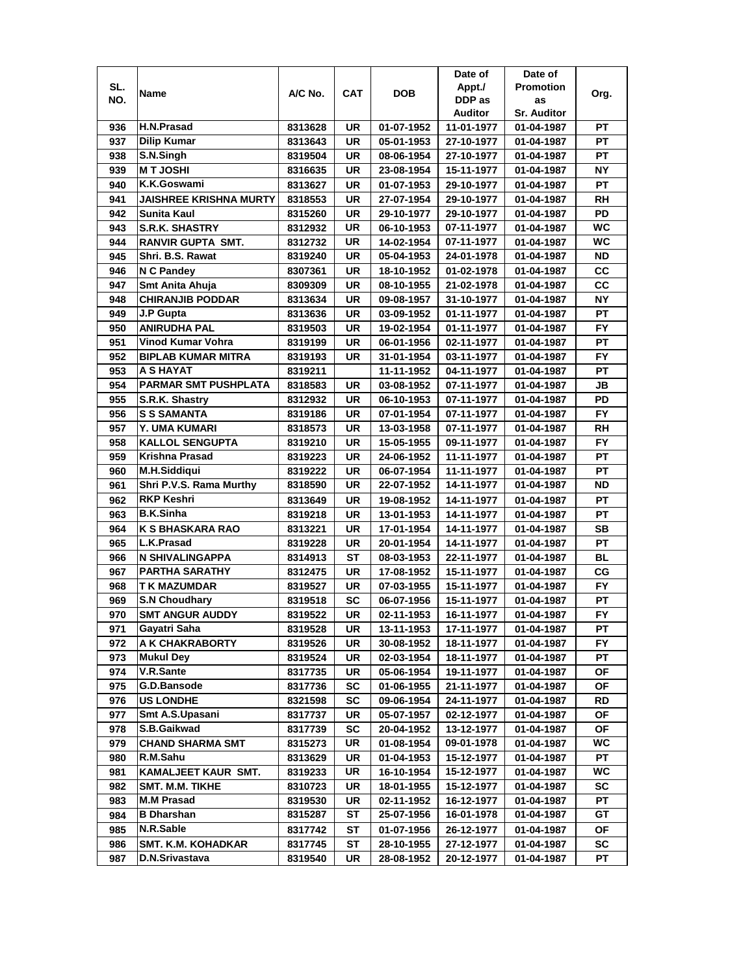|     |                               |         |            |            | Date of    | Date of            |           |
|-----|-------------------------------|---------|------------|------------|------------|--------------------|-----------|
| SL. | Name                          | A/C No. | <b>CAT</b> | <b>DOB</b> | Appt./     | <b>Promotion</b>   | Org.      |
| NO. |                               |         |            |            | DDP as     | as                 |           |
|     |                               |         |            |            | Auditor    | <b>Sr. Auditor</b> |           |
| 936 | H.N.Prasad                    | 8313628 | UR         | 01-07-1952 | 11-01-1977 | 01-04-1987         | PТ        |
| 937 | <b>Dilip Kumar</b>            | 8313643 | <b>UR</b>  | 05-01-1953 | 27-10-1977 | 01-04-1987         | <b>PT</b> |
| 938 | S.N.Singh                     | 8319504 | UR         | 08-06-1954 | 27-10-1977 | 01-04-1987         | PT        |
| 939 | <b>MT JOSHI</b>               | 8316635 | UR         | 23-08-1954 | 15-11-1977 | 01-04-1987         | <b>NY</b> |
| 940 | K.K.Goswami                   | 8313627 | UR         | 01-07-1953 | 29-10-1977 | 01-04-1987         | PT        |
| 941 | <b>JAISHREE KRISHNA MURTY</b> | 8318553 | <b>UR</b>  | 27-07-1954 | 29-10-1977 | 01-04-1987         | <b>RH</b> |
| 942 | Sunita Kaul                   | 8315260 | UR         | 29-10-1977 | 29-10-1977 | 01-04-1987         | PD        |
| 943 | <b>S.R.K. SHASTRY</b>         | 8312932 | UR         | 06-10-1953 | 07-11-1977 | 01-04-1987         | WC        |
| 944 | <b>RANVIR GUPTA SMT.</b>      | 8312732 | UR         | 14-02-1954 | 07-11-1977 | 01-04-1987         | WC        |
| 945 | Shri. B.S. Rawat              | 8319240 | UR         | 05-04-1953 | 24-01-1978 | 01-04-1987         | <b>ND</b> |
| 946 | <b>N C Pandey</b>             | 8307361 | <b>UR</b>  | 18-10-1952 | 01-02-1978 | 01-04-1987         | CC        |
| 947 | Smt Anita Ahuja               | 8309309 | <b>UR</b>  | 08-10-1955 | 21-02-1978 | 01-04-1987         | cc        |
| 948 | <b>CHIRANJIB PODDAR</b>       | 8313634 | UR         | 09-08-1957 | 31-10-1977 | 01-04-1987         | <b>NY</b> |
| 949 | J.P Gupta                     | 8313636 | UR         | 03-09-1952 | 01-11-1977 | 01-04-1987         | <b>PT</b> |
| 950 | <b>ANIRUDHA PAL</b>           | 8319503 | UR         | 19-02-1954 | 01-11-1977 | 01-04-1987         | FY.       |
| 951 | Vinod Kumar Vohra             | 8319199 | <b>UR</b>  | 06-01-1956 | 02-11-1977 | 01-04-1987         | PT        |
| 952 | <b>BIPLAB KUMAR MITRA</b>     |         | UR         | 31-01-1954 | 03-11-1977 | 01-04-1987         | FY.       |
|     | A S HAYAT                     | 8319193 |            |            |            |                    | PT        |
| 953 | <b>PARMAR SMT PUSHPLATA</b>   | 8319211 |            | 11-11-1952 | 04-11-1977 | 01-04-1987         |           |
| 954 |                               | 8318583 | <b>UR</b>  | 03-08-1952 | 07-11-1977 | 01-04-1987         | JB        |
| 955 | S.R.K. Shastry                | 8312932 | UR         | 06-10-1953 | 07-11-1977 | 01-04-1987         | PD        |
| 956 | <b>S S SAMANTA</b>            | 8319186 | UR         | 07-01-1954 | 07-11-1977 | 01-04-1987         | <b>FY</b> |
| 957 | Y. UMA KUMARI                 | 8318573 | UR         | 13-03-1958 | 07-11-1977 | 01-04-1987         | <b>RH</b> |
| 958 | <b>KALLOL SENGUPTA</b>        | 8319210 | <b>UR</b>  | 15-05-1955 | 09-11-1977 | 01-04-1987         | <b>FY</b> |
| 959 | <b>Krishna Prasad</b>         | 8319223 | <b>UR</b>  | 24-06-1952 | 11-11-1977 | 01-04-1987         | PT        |
| 960 | <b>M.H.Siddiqui</b>           | 8319222 | <b>UR</b>  | 06-07-1954 | 11-11-1977 | 01-04-1987         | PT        |
| 961 | Shri P.V.S. Rama Murthy       | 8318590 | <b>UR</b>  | 22-07-1952 | 14-11-1977 | 01-04-1987         | <b>ND</b> |
| 962 | <b>RKP Keshri</b>             | 8313649 | UR         | 19-08-1952 | 14-11-1977 | 01-04-1987         | PT        |
| 963 | <b>B.K.Sinha</b>              | 8319218 | <b>UR</b>  | 13-01-1953 | 14-11-1977 | 01-04-1987         | PT        |
| 964 | K S BHASKARA RAO              | 8313221 | <b>UR</b>  | 17-01-1954 | 14-11-1977 | 01-04-1987         | <b>SB</b> |
| 965 | L.K.Prasad                    | 8319228 | UR         | 20-01-1954 | 14-11-1977 | 01-04-1987         | PT        |
| 966 | <b>N SHIVALINGAPPA</b>        | 8314913 | ST         | 08-03-1953 | 22-11-1977 | 01-04-1987         | BL        |
| 967 | <b>PARTHA SARATHY</b>         | 8312475 | UR         | 17-08-1952 | 15-11-1977 | 01-04-1987         | СG        |
| 968 | T K MAZUMDAR                  | 8319527 | UR         | 07-03-1955 | 15-11-1977 | 01-04-1987         | FY.       |
| 969 | <b>S.N Choudhary</b>          | 8319518 | SC         | 06-07-1956 | 15-11-1977 | 01-04-1987         | PТ        |
| 970 | <b>SMT ANGUR AUDDY</b>        | 8319522 | UR         | 02-11-1953 | 16-11-1977 | 01-04-1987         | <b>FY</b> |
| 971 | Gayatri Saha                  | 8319528 | UR         | 13-11-1953 | 17-11-1977 | 01-04-1987         | PT        |
| 972 | A K CHAKRABORTY               | 8319526 | UR         | 30-08-1952 | 18-11-1977 | 01-04-1987         | FY.       |
| 973 | <b>Mukul Dey</b>              | 8319524 | UR         | 02-03-1954 | 18-11-1977 | 01-04-1987         | PТ        |
| 974 | V.R.Sante                     | 8317735 | UR         | 05-06-1954 | 19-11-1977 | 01-04-1987         | ОF        |
| 975 | G.D.Bansode                   | 8317736 | SC         | 01-06-1955 | 21-11-1977 | 01-04-1987         | ОF        |
| 976 | <b>US LONDHE</b>              | 8321598 | SC         | 09-06-1954 | 24-11-1977 | 01-04-1987         | RD        |
| 977 | Smt A.S.Upasani               | 8317737 | UR         | 05-07-1957 | 02-12-1977 | 01-04-1987         | ОF        |
| 978 | S.B.Gaikwad                   | 8317739 | SC         | 20-04-1952 | 13-12-1977 | 01-04-1987         | ОF        |
| 979 | <b>CHAND SHARMA SMT</b>       | 8315273 | UR         | 01-08-1954 | 09-01-1978 | 01-04-1987         | WC        |
| 980 | R.M.Sahu                      | 8313629 | UR         | 01-04-1953 | 15-12-1977 | 01-04-1987         | PT        |
| 981 | KAMALJEET KAUR SMT.           | 8319233 | UR         | 16-10-1954 | 15-12-1977 | 01-04-1987         | WС        |
| 982 | <b>SMT. M.M. TIKHE</b>        | 8310723 | UR         | 18-01-1955 | 15-12-1977 | 01-04-1987         | SC        |
| 983 | <b>M.M Prasad</b>             | 8319530 | UR         | 02-11-1952 | 16-12-1977 | 01-04-1987         | РT        |
| 984 | <b>B</b> Dharshan             | 8315287 | ST         | 25-07-1956 | 16-01-1978 | 01-04-1987         | GT        |
| 985 | N.R.Sable                     | 8317742 | ST         | 01-07-1956 | 26-12-1977 | 01-04-1987         | ΟF        |
| 986 | SMT. K.M. KOHADKAR            | 8317745 | ST         | 28-10-1955 | 27-12-1977 | 01-04-1987         | sc        |
| 987 | D.N.Srivastava                | 8319540 | UR         | 28-08-1952 | 20-12-1977 | 01-04-1987         | РT        |
|     |                               |         |            |            |            |                    |           |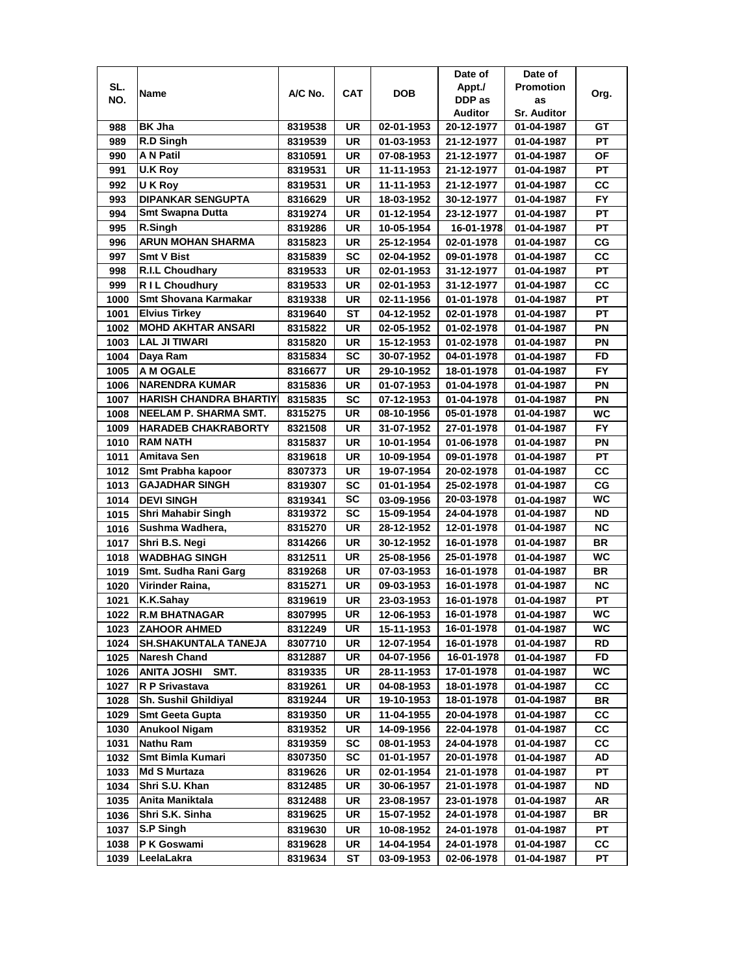|              |                                            |                    |                 |                          | Date of                  | Date of                  |                 |
|--------------|--------------------------------------------|--------------------|-----------------|--------------------------|--------------------------|--------------------------|-----------------|
| SL.          | Name                                       | A/C No.            | <b>CAT</b>      | <b>DOB</b>               | Appt./                   | <b>Promotion</b>         | Org.            |
| NO.          |                                            |                    |                 |                          | DDP as                   | as                       |                 |
|              |                                            |                    |                 |                          | Auditor                  | <b>Sr. Auditor</b>       |                 |
| 988          | <b>BK Jha</b>                              | 8319538            | UR              | 02-01-1953               | 20-12-1977               | 01-04-1987               | GТ              |
| 989          | R.D Singh                                  | 8319539            | <b>UR</b>       | 01-03-1953               | 21-12-1977               | 01-04-1987               | PT              |
| 990          | <b>A N Patil</b>                           | 8310591            | <b>UR</b>       | 07-08-1953               | 21-12-1977               | 01-04-1987               | <b>OF</b>       |
| 991          | <b>U.K Roy</b>                             | 8319531            | <b>UR</b>       | 11-11-1953               | 21-12-1977               | 01-04-1987               | <b>PT</b>       |
| 992          | U K Roy                                    | 8319531            | UR              | 11-11-1953               | 21-12-1977               | 01-04-1987               | СC              |
| 993          | <b>DIPANKAR SENGUPTA</b>                   | 8316629            | <b>UR</b>       | 18-03-1952               | 30-12-1977               | 01-04-1987               | <b>FY</b>       |
| 994          | <b>Smt Swapna Dutta</b>                    | 8319274            | UR              | 01-12-1954               | 23-12-1977               | 01-04-1987               | PT              |
| 995          | R.Singh                                    | 8319286            | UR              | 10-05-1954               | 16-01-1978               | 01-04-1987               | <b>PT</b>       |
| 996          | <b>ARUN MOHAN SHARMA</b>                   | 8315823            | UR              | 25-12-1954               | 02-01-1978               | 01-04-1987               | СG              |
| 997          | <b>Smt V Bist</b>                          | 8315839            | <b>SC</b>       | 02-04-1952               | 09-01-1978               | 01-04-1987               | cc              |
| 998          | <b>R.I.L Choudhary</b>                     | 8319533            | <b>UR</b>       | 02-01-1953               | 31-12-1977               | 01-04-1987               | PT              |
| 999          | R I L Choudhury                            | 8319533            | <b>UR</b>       | 02-01-1953               | 31-12-1977               | 01-04-1987               | CC              |
| 1000         | <b>Smt Shovana Karmakar</b>                | 8319338            | UR              | 02-11-1956               | 01-01-1978               | 01-04-1987               | PT              |
| 1001         | <b>Elvius Tirkey</b>                       | 8319640            | <b>ST</b>       | 04-12-1952               | 02-01-1978               | 01-04-1987               | <b>PT</b>       |
| 1002         | <b>MOHD AKHTAR ANSARI</b>                  | 8315822            | UR              | 02-05-1952               | 01-02-1978               | 01-04-1987               | ΡN              |
| 1003         | <b>LAL JI TIWARI</b>                       | 8315820            | <b>UR</b>       | 15-12-1953               | 01-02-1978               | 01-04-1987               | PN              |
| 1004         | Daya Ram                                   | 8315834            | SC              | 30-07-1952               | 04-01-1978               | 01-04-1987               | FD              |
| 1005         | A M OGALE                                  | 8316677            | UR              | 29-10-1952               | 18-01-1978               | 01-04-1987               | <b>FY</b>       |
| 1006         | <b>NARENDRA KUMAR</b>                      | 8315836            | <b>UR</b>       | 01-07-1953               | 01-04-1978               | 01-04-1987               | PN              |
| 1007         | <b>IHARISH CHANDRA BHARTIY</b>             | 8315835            | <b>SC</b>       | 07-12-1953               | 01-04-1978               | 01-04-1987               | PN              |
| 1008         | NEELAM P. SHARMA SMT.                      | 8315275            | <b>UR</b>       | 08-10-1956               | 05-01-1978               | 01-04-1987               | <b>WC</b>       |
|              |                                            |                    | <b>UR</b>       |                          |                          |                          | <b>FY</b>       |
| 1009<br>1010 | <b>HARADEB CHAKRABORTY</b><br>RAM NATH     | 8321508            | <b>UR</b>       | 31-07-1952               | 27-01-1978               | 01-04-1987               | PN              |
|              | Amitava Sen                                | 8315837            |                 | 10-01-1954               | 01-06-1978               | 01-04-1987               |                 |
| 1011         |                                            | 8319618            | <b>UR</b>       | 10-09-1954               | 09-01-1978               | 01-04-1987               | PT              |
| 1012         | Smt Prabha kapoor<br><b>GAJADHAR SINGH</b> | 8307373            | UR<br><b>SC</b> | 19-07-1954               | 20-02-1978               | 01-04-1987               | cc<br>CG        |
| 1013         | <b>DEVI SINGH</b>                          | 8319307            | <b>SC</b>       | 01-01-1954               | 25-02-1978<br>20-03-1978 | 01-04-1987               | WC              |
| 1014<br>1015 | <b>Shri Mahabir Singh</b>                  | 8319341<br>8319372 | <b>SC</b>       | 03-09-1956<br>15-09-1954 | 24-04-1978               | 01-04-1987<br>01-04-1987 | <b>ND</b>       |
| 1016         | Sushma Wadhera,                            | 8315270            | <b>UR</b>       | 28-12-1952               | 12-01-1978               | 01-04-1987               | <b>NC</b>       |
| 1017         | Shri B.S. Negi                             | 8314266            | <b>UR</b>       | 30-12-1952               | 16-01-1978               | 01-04-1987               | <b>BR</b>       |
| 1018         | <b>WADBHAG SINGH</b>                       | 8312511            | <b>UR</b>       | 25-08-1956               | 25-01-1978               | 01-04-1987               | <b>WC</b>       |
| 1019         | Smt. Sudha Rani Garg                       | 8319268            | UR              | 07-03-1953               | 16-01-1978               | 01-04-1987               | BR              |
| 1020         | Virinder Raina,                            |                    | <b>UR</b>       |                          |                          |                          | <b>NC</b>       |
|              |                                            | 8315271            |                 | 09-03-1953               | 16-01-1978               | 01-04-1987               |                 |
| 1021         | K.K.Sahay                                  | 8319619            | UR<br><b>UR</b> | 23-03-1953               | 16-01-1978<br>16-01-1978 | 01-04-1987               | РT<br><b>WC</b> |
| 1022         | <b>R.M BHATNAGAR</b>                       | 8307995            |                 | 12-06-1953               |                          | 01-04-1987               | WC              |
| 1023         | <b>ZAHOOR AHMED</b>                        | 8312249            | UR              | 15-11-1953               | 16-01-1978               | 01-04-1987               |                 |
| 1024         | <b>SH.SHAKUNTALA TANEJA</b>                | 8307710<br>8312887 | UR<br>UR        | 12-07-1954               | 16-01-1978<br>16-01-1978 | 01-04-1987               | RD<br>FD        |
| 1025         | Naresh Chand                               |                    |                 | 04-07-1956               |                          | 01-04-1987               |                 |
| 1026         | <b>ANITA JOSHI</b><br>SMT.                 | 8319335            | UR              | 28-11-1953               | 17-01-1978               | 01-04-1987               | WC.             |
| 1027         | R P Srivastava                             | 8319261            | UR              | 04-08-1953               | 18-01-1978               | 01-04-1987               | СC              |
| 1028         | <b>Sh. Sushil Ghildiyal</b>                | 8319244            | UR              | 19-10-1953               | 18-01-1978               | 01-04-1987               | BR              |
| 1029         | <b>Smt Geeta Gupta</b>                     | 8319350            | UR              | 11-04-1955               | 20-04-1978               | 01-04-1987               | СC              |
| 1030         | <b>Anukool Nigam</b>                       | 8319352            | UR              | 14-09-1956               | 22-04-1978               | 01-04-1987               | CC              |
| 1031         | <b>Nathu Ram</b>                           | 8319359            | <b>SC</b>       | 08-01-1953               | 24-04-1978               | 01-04-1987               | CC              |
| 1032         | Smt Bimla Kumari                           | 8307350            | <b>SC</b>       | 01-01-1957               | 20-01-1978               | 01-04-1987               | AD              |
| 1033         | <b>Md S Murtaza</b>                        | 8319626            | UR              | 02-01-1954               | 21-01-1978               | 01-04-1987               | PT              |
| 1034         | Shri S.U. Khan                             | 8312485            | UR              | 30-06-1957               | 21-01-1978               | 01-04-1987               | ND              |
| 1035         | Anita Maniktala                            | 8312488            | UR              | 23-08-1957               | 23-01-1978               | 01-04-1987               | AR              |
| 1036         | Shri S.K. Sinha                            | 8319625            | UR              | 15-07-1952               | 24-01-1978               | 01-04-1987               | BR              |
| 1037         | S.P Singh                                  | 8319630            | UR              | 10-08-1952               | 24-01-1978               | 01-04-1987               | PT              |
| 1038         | P K Goswami                                | 8319628            | UR              | 14-04-1954               | 24-01-1978               | 01-04-1987               | CС              |
| 1039         | LeelaLakra                                 | 8319634            | ST              | 03-09-1953               | 02-06-1978               | 01-04-1987               | PТ              |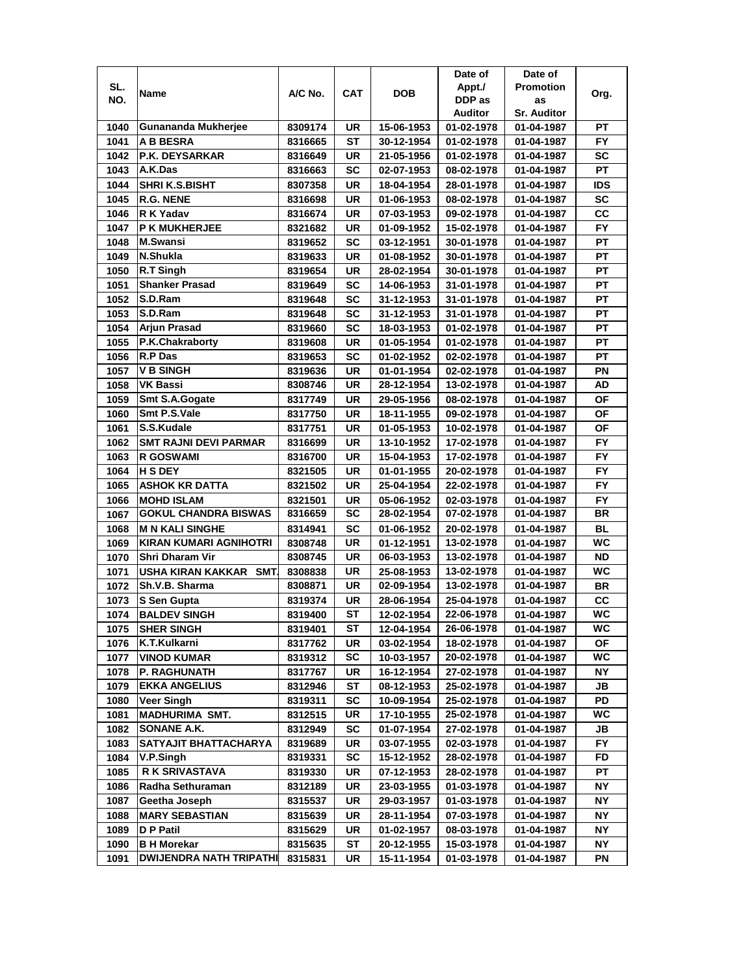|      |                               |         |            |            | Date of    | Date of            |            |
|------|-------------------------------|---------|------------|------------|------------|--------------------|------------|
| SL.  |                               | A/C No. | <b>CAT</b> | DOB        | Appt./     | <b>Promotion</b>   |            |
| NO.  | Name                          |         |            |            | DDP as     | as                 | Org.       |
|      |                               |         |            |            | Auditor    | <b>Sr. Auditor</b> |            |
| 1040 | Gunananda Mukherjee           | 8309174 | UR         | 15-06-1953 | 01-02-1978 | 01-04-1987         | PТ         |
| 1041 | <b>A B BESRA</b>              | 8316665 | SТ         | 30-12-1954 | 01-02-1978 | 01-04-1987         | FY         |
| 1042 | P.K. DEYSARKAR                | 8316649 | <b>UR</b>  | 21-05-1956 | 01-02-1978 | 01-04-1987         | SC         |
| 1043 | A.K.Das                       | 8316663 | SC         | 02-07-1953 | 08-02-1978 | 01-04-1987         | PT         |
| 1044 | <b>SHRI K.S.BISHT</b>         | 8307358 | UR         | 18-04-1954 | 28-01-1978 | 01-04-1987         | <b>IDS</b> |
| 1045 | <b>R.G. NENE</b>              | 8316698 | UR         | 01-06-1953 | 08-02-1978 | 01-04-1987         | <b>SC</b>  |
| 1046 | R K Yadav                     | 8316674 | <b>UR</b>  | 07-03-1953 | 09-02-1978 | 01-04-1987         | cc         |
| 1047 | <b>P K MUKHERJEE</b>          | 8321682 | UR         | 01-09-1952 | 15-02-1978 | 01-04-1987         | FY.        |
| 1048 | <b>M.Swansi</b>               | 8319652 | SC         | 03-12-1951 | 30-01-1978 | 01-04-1987         | PT         |
| 1049 | N.Shukla                      | 8319633 | UR         | 01-08-1952 | 30-01-1978 | 01-04-1987         | РT         |
| 1050 | $\overline{R}$ .T Singh       | 8319654 | UR         | 28-02-1954 | 30-01-1978 | 01-04-1987         | PT         |
| 1051 | <b>Shanker Prasad</b>         | 8319649 | <b>SC</b>  | 14-06-1953 | 31-01-1978 | 01-04-1987         | PT         |
| 1052 | S.D.Ram                       | 8319648 | <b>SC</b>  | 31-12-1953 | 31-01-1978 | 01-04-1987         | PT         |
| 1053 | S.D.Ram                       | 8319648 | SC         | 31-12-1953 | 31-01-1978 | 01-04-1987         | PT         |
| 1054 | Arjun Prasad                  | 8319660 | SC         | 18-03-1953 | 01-02-1978 | 01-04-1987         | <b>PT</b>  |
| 1055 | P.K.Chakraborty               | 8319608 | UR         | 01-05-1954 | 01-02-1978 | 01-04-1987         | РT         |
| 1056 | <b>R.P Das</b>                | 8319653 | <b>SC</b>  | 01-02-1952 | 02-02-1978 | 01-04-1987         | РT         |
| 1057 | <b>V B SINGH</b>              | 8319636 | UR         | 01-01-1954 | 02-02-1978 | 01-04-1987         | ΡN         |
| 1058 | <b>VK Bassi</b>               | 8308746 | UR         | 28-12-1954 | 13-02-1978 | 01-04-1987         | AD         |
| 1059 | Smt S.A.Gogate                | 8317749 | <b>UR</b>  | 29-05-1956 | 08-02-1978 | 01-04-1987         | <b>OF</b>  |
| 1060 | Smt P.S.Vale                  | 8317750 | UR         | 18-11-1955 | 09-02-1978 | 01-04-1987         | <b>OF</b>  |
| 1061 | S.S.Kudale                    | 8317751 | UR         | 01-05-1953 | 10-02-1978 | 01-04-1987         | <b>OF</b>  |
| 1062 | <b>SMT RAJNI DEVI PARMAR</b>  | 8316699 | UR         | 13-10-1952 | 17-02-1978 | 01-04-1987         | FY         |
| 1063 | <b>R GOSWAMI</b>              | 8316700 | <b>UR</b>  | 15-04-1953 | 17-02-1978 | 01-04-1987         | <b>FY</b>  |
| 1064 | <b>H S DEY</b>                | 8321505 | UR         | 01-01-1955 | 20-02-1978 | 01-04-1987         | <b>FY</b>  |
| 1065 | <b>ASHOK KR DATTA</b>         | 8321502 | UR         | 25-04-1954 | 22-02-1978 | 01-04-1987         | <b>FY</b>  |
| 1066 | <b>MOHD ISLAM</b>             | 8321501 | UR         | 05-06-1952 | 02-03-1978 | 01-04-1987         | <b>FY</b>  |
| 1067 | <b>GOKUL CHANDRA BISWAS</b>   | 8316659 | <b>SC</b>  | 28-02-1954 | 07-02-1978 | 01-04-1987         | <b>BR</b>  |
| 1068 | <b>M N KALI SINGHE</b>        | 8314941 | <b>SC</b>  | 01-06-1952 | 20-02-1978 | 01-04-1987         | <b>BL</b>  |
| 1069 | <b>KIRAN KUMARI AGNIHOTRI</b> | 8308748 | <b>UR</b>  | 01-12-1951 | 13-02-1978 | 01-04-1987         | WC         |
| 1070 | Shri Dharam Vir               | 8308745 | <b>UR</b>  | 06-03-1953 | 13-02-1978 | 01-04-1987         | <b>ND</b>  |
| 1071 | USHA KIRAN KAKKAR SMT         | 8308838 | <b>UR</b>  | 25-08-1953 | 13-02-1978 | 01-04-1987         | <b>WC</b>  |
| 1072 | Sh.V.B. Sharma                | 8308871 | UR         | 02-09-1954 | 13-02-1978 | 01-04-1987         | BR         |
| 1073 | S Sen Gupta                   | 8319374 | UR         | 28-06-1954 | 25-04-1978 | 01-04-1987         | cc         |
| 1074 | <b>BALDEV SINGH</b>           | 8319400 | SТ         | 12-02-1954 | 22-06-1978 | 01-04-1987         | <b>WC</b>  |
| 1075 | <b>SHER SINGH</b>             | 8319401 | ST         | 12-04-1954 | 26-06-1978 | 01-04-1987         | WC         |
| 1076 | K.T.Kulkarni                  | 8317762 | UR         | 03-02-1954 | 18-02-1978 | 01-04-1987         | ΟF         |
| 1077 | <b>VINOD KUMAR</b>            | 8319312 | <b>SC</b>  | 10-03-1957 | 20-02-1978 | 01-04-1987         | WC         |
| 1078 | <b>P. RAGHUNATH</b>           | 8317767 | UR         | 16-12-1954 | 27-02-1978 | 01-04-1987         | NΥ         |
| 1079 | <b>EKKA ANGELIUS</b>          | 8312946 | ST         | 08-12-1953 | 25-02-1978 | 01-04-1987         | JB         |
| 1080 | <b>Veer Singh</b>             | 8319311 | <b>SC</b>  | 10-09-1954 | 25-02-1978 | 01-04-1987         | PD         |
| 1081 | <b>MADHURIMA SMT.</b>         | 8312515 | UR         | 17-10-1955 | 25-02-1978 | 01-04-1987         | WC         |
| 1082 | SONANE A.K.                   | 8312949 | <b>SC</b>  | 01-07-1954 | 27-02-1978 | 01-04-1987         | JB         |
| 1083 | SATYAJIT BHATTACHARYA         | 8319689 | UR         | 03-07-1955 | 02-03-1978 | 01-04-1987         | FY.        |
| 1084 | V.P.Singh                     | 8319331 | <b>SC</b>  | 15-12-1952 | 28-02-1978 | 01-04-1987         | FD         |
| 1085 | <b>R K SRIVASTAVA</b>         | 8319330 | UR         | 07-12-1953 | 28-02-1978 | 01-04-1987         | РT         |
| 1086 | Radha Sethuraman              | 8312189 | UR         | 23-03-1955 | 01-03-1978 | 01-04-1987         | <b>NY</b>  |
| 1087 | Geetha Joseph                 | 8315537 | UR         | 29-03-1957 | 01-03-1978 | 01-04-1987         | NΥ         |
| 1088 | <b>MARY SEBASTIAN</b>         | 8315639 | UR         | 28-11-1954 | 07-03-1978 | 01-04-1987         | NΥ         |
| 1089 | D P Patil                     | 8315629 | UR         | 01-02-1957 | 08-03-1978 | 01-04-1987         | NΥ         |
| 1090 | <b>B H Morekar</b>            | 8315635 | ST         | 20-12-1955 | 15-03-1978 | 01-04-1987         | ΝY         |
| 1091 | DWIJENDRA NATH TRIPATHI       | 8315831 | UR         | 15-11-1954 | 01-03-1978 | 01-04-1987         | ΡN         |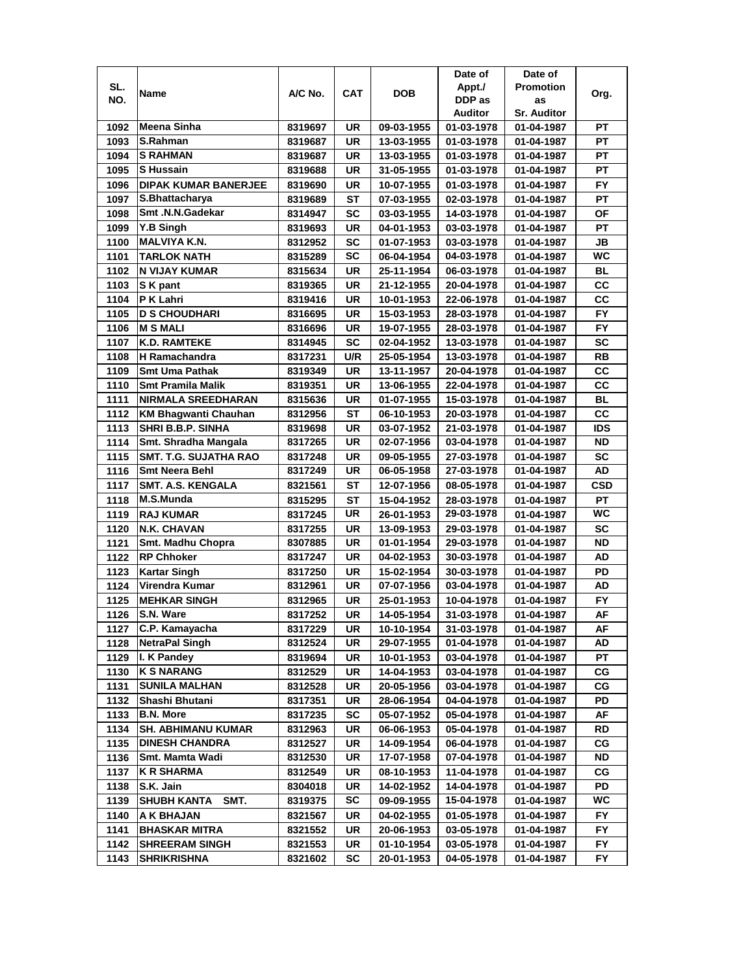|      |                              |         |            |            | Date of    | Date of            |            |
|------|------------------------------|---------|------------|------------|------------|--------------------|------------|
| SL.  | Name                         | A/C No. | <b>CAT</b> | <b>DOB</b> | Appt./     | <b>Promotion</b>   | Org.       |
| NO.  |                              |         |            |            | DDP as     | as                 |            |
|      |                              |         |            |            | Auditor    | <b>Sr. Auditor</b> |            |
| 1092 | Meena Sinha                  | 8319697 | UR         | 09-03-1955 | 01-03-1978 | 01-04-1987         | РT         |
| 1093 | S.Rahman                     | 8319687 | <b>UR</b>  | 13-03-1955 | 01-03-1978 | 01-04-1987         | PT         |
| 1094 | <b>S RAHMAN</b>              | 8319687 | UR         | 13-03-1955 | 01-03-1978 | 01-04-1987         | PT         |
| 1095 | <b>S</b> Hussain             | 8319688 | <b>UR</b>  | 31-05-1955 | 01-03-1978 | 01-04-1987         | PT         |
| 1096 | <b>DIPAK KUMAR BANERJEE</b>  | 8319690 | UR         | 10-07-1955 | 01-03-1978 | 01-04-1987         | FY         |
| 1097 | S.Bhattacharya               | 8319689 | SТ         | 07-03-1955 | 02-03-1978 | 01-04-1987         | PT         |
| 1098 | Smt.N.N.Gadekar              | 8314947 | SC         | 03-03-1955 | 14-03-1978 | 01-04-1987         | <b>OF</b>  |
| 1099 | Y.B Singh                    | 8319693 | UR         | 04-01-1953 | 03-03-1978 | 01-04-1987         | PT         |
| 1100 | <b>MALVIYA K.N.</b>          | 8312952 | SC         | 01-07-1953 | 03-03-1978 | 01-04-1987         | JB         |
| 1101 | <b>TARLOK NATH</b>           | 8315289 | SC         | 06-04-1954 | 04-03-1978 | 01-04-1987         | WC         |
| 1102 | <b>N VIJAY KUMAR</b>         | 8315634 | <b>UR</b>  | 25-11-1954 | 06-03-1978 | 01-04-1987         | BL         |
| 1103 | S K pant                     | 8319365 | <b>UR</b>  | 21-12-1955 | 20-04-1978 | 01-04-1987         | cc         |
| 1104 | P K Lahri                    | 8319416 | UR         | 10-01-1953 | 22-06-1978 | 01-04-1987         | CC         |
| 1105 | <b>ID S CHOUDHARI</b>        | 8316695 | UR         | 15-03-1953 | 28-03-1978 | 01-04-1987         | <b>FY</b>  |
| 1106 | <b>M S MALI</b>              | 8316696 | UR         | 19-07-1955 | 28-03-1978 | 01-04-1987         | FY.        |
| 1107 | <b>K.D. RAMTEKE</b>          | 8314945 | <b>SC</b>  | 02-04-1952 | 13-03-1978 | 01-04-1987         | SC         |
| 1108 | H Ramachandra                | 8317231 | U/R        | 25-05-1954 | 13-03-1978 | 01-04-1987         | RB         |
| 1109 | <b>Smt Uma Pathak</b>        | 8319349 | UR         | 13-11-1957 | 20-04-1978 | 01-04-1987         | CC         |
| 1110 | <b>Smt Pramila Malik</b>     | 8319351 | <b>UR</b>  | 13-06-1955 | 22-04-1978 | 01-04-1987         | CC         |
| 1111 | <b>NIRMALA SREEDHARAN</b>    | 8315636 | UR         | 01-07-1955 | 15-03-1978 | 01-04-1987         | <b>BL</b>  |
| 1112 | <b>KM Bhagwanti Chauhan</b>  | 8312956 | <b>ST</b>  | 06-10-1953 | 20-03-1978 | 01-04-1987         | cc         |
| 1113 | <b>SHRI B.B.P. SINHA</b>     | 8319698 | UR         | 03-07-1952 | 21-03-1978 | 01-04-1987         | <b>IDS</b> |
| 1114 | Smt. Shradha Mangala         | 8317265 | <b>UR</b>  | 02-07-1956 | 03-04-1978 | 01-04-1987         | <b>ND</b>  |
| 1115 | <b>SMT. T.G. SUJATHA RAO</b> | 8317248 | UR         | 09-05-1955 | 27-03-1978 | 01-04-1987         | SC         |
| 1116 | <b>Smt Neera Behl</b>        | 8317249 | <b>UR</b>  | 06-05-1958 | 27-03-1978 | 01-04-1987         | AD         |
| 1117 | <b>SMT. A.S. KENGALA</b>     | 8321561 | <b>ST</b>  | 12-07-1956 | 08-05-1978 | 01-04-1987         | <b>CSD</b> |
| 1118 | M.S.Munda                    | 8315295 | <b>ST</b>  | 15-04-1952 | 28-03-1978 | 01-04-1987         | <b>PT</b>  |
| 1119 | <b>RAJ KUMAR</b>             | 8317245 | <b>UR</b>  | 26-01-1953 | 29-03-1978 | 01-04-1987         | WC         |
| 1120 | <b>N.K. CHAVAN</b>           | 8317255 | <b>UR</b>  | 13-09-1953 | 29-03-1978 | 01-04-1987         | <b>SC</b>  |
| 1121 | Smt. Madhu Chopra            | 8307885 | <b>UR</b>  | 01-01-1954 | 29-03-1978 | 01-04-1987         | <b>ND</b>  |
| 1122 | <b>RP Chhoker</b>            | 8317247 | <b>UR</b>  | 04-02-1953 | 30-03-1978 | 01-04-1987         | AD         |
| 1123 | <b>Kartar Singh</b>          | 8317250 | <b>UR</b>  | 15-02-1954 | 30-03-1978 | 01-04-1987         | PD         |
| 1124 | Virendra Kumar               | 8312961 | <b>UR</b>  | 07-07-1956 | 03-04-1978 | 01-04-1987         | AD         |
| 1125 | <b>MEHKAR SINGH</b>          | 8312965 | UR         | 25-01-1953 | 10-04-1978 | 01-04-1987         | FY.        |
| 1126 | S.N. Ware                    | 8317252 | <b>UR</b>  | 14-05-1954 | 31-03-1978 | 01-04-1987         | AF         |
| 1127 | C.P. Kamayacha               | 8317229 | UR         | 10-10-1954 | 31-03-1978 | 01-04-1987         | AF         |
| 1128 | NetraPal Singh               | 8312524 | UR         | 29-07-1955 | 01-04-1978 | 01-04-1987         | AD         |
| 1129 | I. K Pandey                  | 8319694 | UR         | 10-01-1953 | 03-04-1978 | 01-04-1987         | РT         |
| 1130 | <b>K S NARANG</b>            | 8312529 | UR         | 14-04-1953 | 03-04-1978 | 01-04-1987         | СG         |
| 1131 | <b>SUNILA MALHAN</b>         | 8312528 | UR         | 20-05-1956 | 03-04-1978 | 01-04-1987         | СG         |
| 1132 | Shashi Bhutani               | 8317351 | UR         | 28-06-1954 | 04-04-1978 | 01-04-1987         | PD         |
| 1133 | <b>B.N. More</b>             | 8317235 | <b>SC</b>  | 05-07-1952 | 05-04-1978 | 01-04-1987         | AF         |
| 1134 | <b>SH. ABHIMANU KUMAR</b>    | 8312963 | UR         | 06-06-1953 | 05-04-1978 | 01-04-1987         | RD         |
| 1135 | <b>DINESH CHANDRA</b>        | 8312527 | UR         | 14-09-1954 | 06-04-1978 | 01-04-1987         | CG         |
| 1136 | Smt. Mamta Wadi              | 8312530 | UR         | 17-07-1958 | 07-04-1978 | 01-04-1987         | ND         |
| 1137 | <b>K R SHARMA</b>            | 8312549 | UR         | 08-10-1953 | 11-04-1978 | 01-04-1987         | СG         |
| 1138 | S.K. Jain                    | 8304018 | UR         | 14-02-1952 | 14-04-1978 | 01-04-1987         | PD         |
| 1139 | <b>SHUBH KANTA</b><br>SMT.   | 8319375 | SC         | 09-09-1955 | 15-04-1978 | 01-04-1987         | WC         |
| 1140 | A K BHAJAN                   | 8321567 | UR         | 04-02-1955 | 01-05-1978 | 01-04-1987         | FY.        |
| 1141 | <b>BHASKAR MITRA</b>         | 8321552 | UR         | 20-06-1953 | 03-05-1978 | 01-04-1987         | FY.        |
| 1142 | <b>SHREERAM SINGH</b>        | 8321553 | UR         | 01-10-1954 | 03-05-1978 | 01-04-1987         | FY.        |
| 1143 | <b>SHRIKRISHNA</b>           | 8321602 | SC         | 20-01-1953 | 04-05-1978 | 01-04-1987         | FY         |
|      |                              |         |            |            |            |                    |            |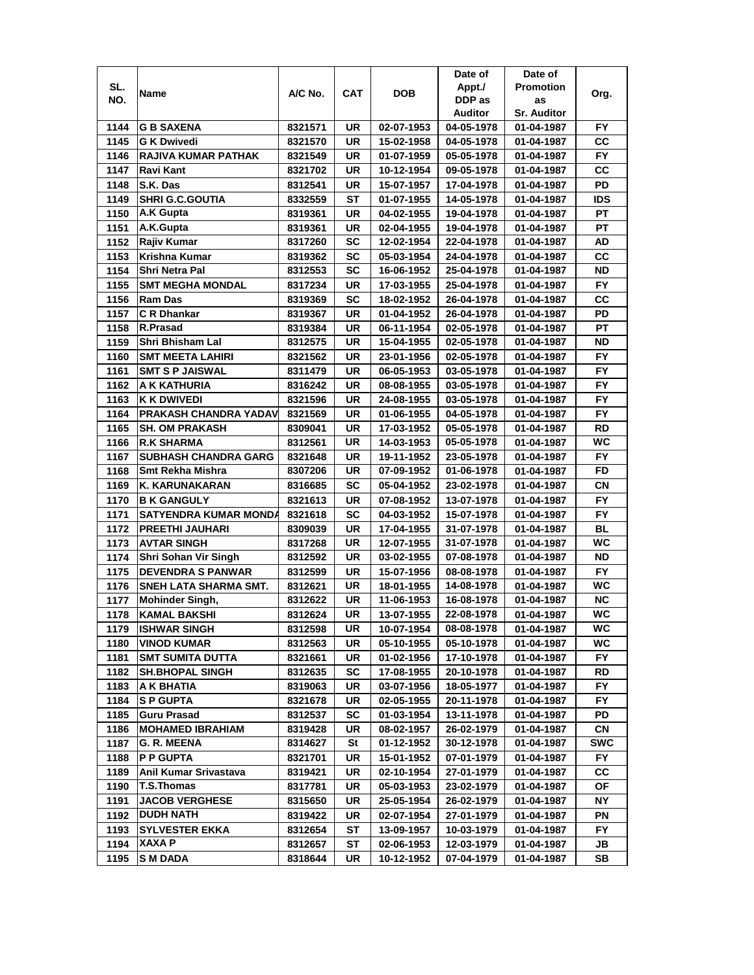|      |                              |         |           |            | Date of    | Date of            |            |
|------|------------------------------|---------|-----------|------------|------------|--------------------|------------|
| SL.  | Name                         | A/C No. | CAT       | <b>DOB</b> | Appt./     | <b>Promotion</b>   | Org.       |
| NO.  |                              |         |           |            | DDP as     | as                 |            |
|      |                              |         |           |            | Auditor    | <b>Sr. Auditor</b> |            |
| 1144 | <b>G B SAXENA</b>            | 8321571 | UR        | 02-07-1953 | 04-05-1978 | 01-04-1987         | FY.        |
| 1145 | <b>G K Dwivedi</b>           | 8321570 | UR        | 15-02-1958 | 04-05-1978 | 01-04-1987         | cc         |
| 1146 | <b>RAJIVA KUMAR PATHAK</b>   | 8321549 | UR        | 01-07-1959 | 05-05-1978 | 01-04-1987         | <b>FY</b>  |
| 1147 | Ravi Kant                    | 8321702 | UR        | 10-12-1954 | 09-05-1978 | 01-04-1987         | cc         |
| 1148 | S.K. Das                     | 8312541 | UR        | 15-07-1957 | 17-04-1978 | 01-04-1987         | PD         |
| 1149 | <b>SHRI G.C.GOUTIA</b>       | 8332559 | ST        | 01-07-1955 | 14-05-1978 | 01-04-1987         | IDS        |
| 1150 | <b>A.K Gupta</b>             | 8319361 | UR        | 04-02-1955 | 19-04-1978 | 01-04-1987         | РT         |
| 1151 | A.K.Gupta                    | 8319361 | UR        | 02-04-1955 | 19-04-1978 | 01-04-1987         | PT         |
| 1152 | Rajiv Kumar                  | 8317260 | SC        | 12-02-1954 | 22-04-1978 | 01-04-1987         | AD         |
| 1153 | Krishna Kumar                | 8319362 | SC        | 05-03-1954 | 24-04-1978 | 01-04-1987         | cc         |
| 1154 | <b>Shri Netra Pal</b>        | 8312553 | SC        | 16-06-1952 | 25-04-1978 | 01-04-1987         | <b>ND</b>  |
| 1155 | <b>SMT MEGHA MONDAL</b>      | 8317234 | UR        | 17-03-1955 | 25-04-1978 | 01-04-1987         | <b>FY</b>  |
| 1156 | <b>Ram Das</b>               | 8319369 | SC        | 18-02-1952 | 26-04-1978 | 01-04-1987         | cc         |
| 1157 | C R Dhankar                  | 8319367 | UR        | 01-04-1952 | 26-04-1978 | 01-04-1987         | PD         |
| 1158 | R.Prasad                     | 8319384 | UR        | 06-11-1954 | 02-05-1978 | 01-04-1987         | РT         |
| 1159 | Shri Bhisham Lal             | 8312575 | UR        | 15-04-1955 | 02-05-1978 | 01-04-1987         | ND         |
| 1160 | <b>SMT MEETA LAHIRI</b>      | 8321562 | UR        | 23-01-1956 | 02-05-1978 | 01-04-1987         | FY.        |
| 1161 | <b>SMT S P JAISWAL</b>       | 8311479 | UR        | 06-05-1953 | 03-05-1978 | 01-04-1987         | FY.        |
| 1162 | A K KATHURIA                 | 8316242 | UR        | 08-08-1955 | 03-05-1978 | 01-04-1987         | <b>FY</b>  |
| 1163 | <b>K K DWIVEDI</b>           | 8321596 | UR        | 24-08-1955 | 03-05-1978 | 01-04-1987         | <b>FY</b>  |
| 1164 | <b>PRAKASH CHANDRA YADAV</b> | 8321569 | UR        | 01-06-1955 | 04-05-1978 | 01-04-1987         | <b>FY</b>  |
| 1165 | <b>SH. OM PRAKASH</b>        | 8309041 | UR        | 17-03-1952 | 05-05-1978 | 01-04-1987         | <b>RD</b>  |
| 1166 | <b>R.K SHARMA</b>            | 8312561 | UR        | 14-03-1953 | 05-05-1978 | 01-04-1987         | <b>WC</b>  |
| 1167 | <b>SUBHASH CHANDRA GARG</b>  | 8321648 | UR        | 19-11-1952 | 23-05-1978 | 01-04-1987         | FY.        |
| 1168 | Smt Rekha Mishra             | 8307206 | UR        | 07-09-1952 | 01-06-1978 | 01-04-1987         | <b>FD</b>  |
| 1169 | K. KARUNAKARAN               | 8316685 | <b>SC</b> | 05-04-1952 | 23-02-1978 | 01-04-1987         | CN         |
| 1170 | <b>B K GANGULY</b>           | 8321613 | <b>UR</b> | 07-08-1952 | 13-07-1978 | 01-04-1987         | <b>FY</b>  |
| 1171 | <b>SATYENDRA KUMAR MONDA</b> | 8321618 | <b>SC</b> | 04-03-1952 | 15-07-1978 | 01-04-1987         | <b>FY</b>  |
| 1172 | <b>PREETHI JAUHARI</b>       | 8309039 | UR        | 17-04-1955 | 31-07-1978 | 01-04-1987         | <b>BL</b>  |
| 1173 | <b>AVTAR SINGH</b>           | 8317268 | <b>UR</b> | 12-07-1955 | 31-07-1978 | 01-04-1987         | <b>WC</b>  |
| 1174 | Shri Sohan Vir Singh         | 8312592 | UR        | 03-02-1955 | 07-08-1978 | 01-04-1987         | ND         |
| 1175 | <b>DEVENDRA S PANWAR</b>     | 8312599 | UR        | 15-07-1956 | 08-08-1978 | 01-04-1987         | FY.        |
| 1176 | SNEH LATA SHARMA SMT.        | 8312621 | UR        | 18-01-1955 | 14-08-1978 | 01-04-1987         | WC         |
| 1177 | <b>Mohinder Singh,</b>       | 8312622 | UR        | 11-06-1953 | 16-08-1978 | 01-04-1987         | <b>NC</b>  |
| 1178 | <b>KAMAL BAKSHI</b>          | 8312624 | <b>UR</b> | 13-07-1955 | 22-08-1978 | 01-04-1987         | WC         |
| 1179 | <b>ISHWAR SINGH</b>          | 8312598 | UR        | 10-07-1954 | 08-08-1978 | 01-04-1987         | WC         |
| 1180 | <b>VINOD KUMAR</b>           | 8312563 | UR        | 05-10-1955 | 05-10-1978 | 01-04-1987         | WC.        |
| 1181 | <b>SMT SUMITA DUTTA</b>      | 8321661 | UR        | 01-02-1956 | 17-10-1978 | 01-04-1987         | FY.        |
| 1182 | <b>SH.BHOPAL SINGH</b>       | 8312635 | SC        | 17-08-1955 | 20-10-1978 | 01-04-1987         | RD         |
| 1183 | A K BHATIA                   | 8319063 | UR        | 03-07-1956 | 18-05-1977 | 01-04-1987         | FY.        |
| 1184 | <b>SP GUPTA</b>              | 8321678 | UR        | 02-05-1955 | 20-11-1978 | 01-04-1987         | FY.        |
| 1185 | Guru Prasad                  | 8312537 | SC        | 01-03-1954 | 13-11-1978 | 01-04-1987         | PD         |
| 1186 | <b>MOHAMED IBRAHIAM</b>      | 8319428 | UR        | 08-02-1957 | 26-02-1979 | 01-04-1987         | CN         |
| 1187 | <b>G. R. MEENA</b>           | 8314627 | St        | 01-12-1952 | 30-12-1978 | 01-04-1987         | <b>SWC</b> |
| 1188 | <b>P P GUPTA</b>             | 8321701 | UR        | 15-01-1952 | 07-01-1979 | 01-04-1987         | FY.        |
| 1189 | Anil Kumar Srivastava        | 8319421 | UR        | 02-10-1954 | 27-01-1979 | 01-04-1987         | CC         |
| 1190 | <b>T.S.Thomas</b>            | 8317781 | UR        | 05-03-1953 | 23-02-1979 | 01-04-1987         | ΟF         |
| 1191 | <b>JACOB VERGHESE</b>        | 8315650 | UR        | 25-05-1954 | 26-02-1979 | 01-04-1987         | NΥ         |
| 1192 | <b>DUDH NATH</b>             | 8319422 | UR        | 02-07-1954 | 27-01-1979 | 01-04-1987         | ΡN         |
| 1193 | <b>SYLVESTER EKKA</b>        | 8312654 | ST        | 13-09-1957 | 10-03-1979 | 01-04-1987         | FY.        |
| 1194 | XAXA P                       | 8312657 | ST        | 02-06-1953 | 12-03-1979 | 01-04-1987         | JB         |
| 1195 | S M DADA                     | 8318644 | UR        | 10-12-1952 | 07-04-1979 | 01-04-1987         | SB         |
|      |                              |         |           |            |            |                    |            |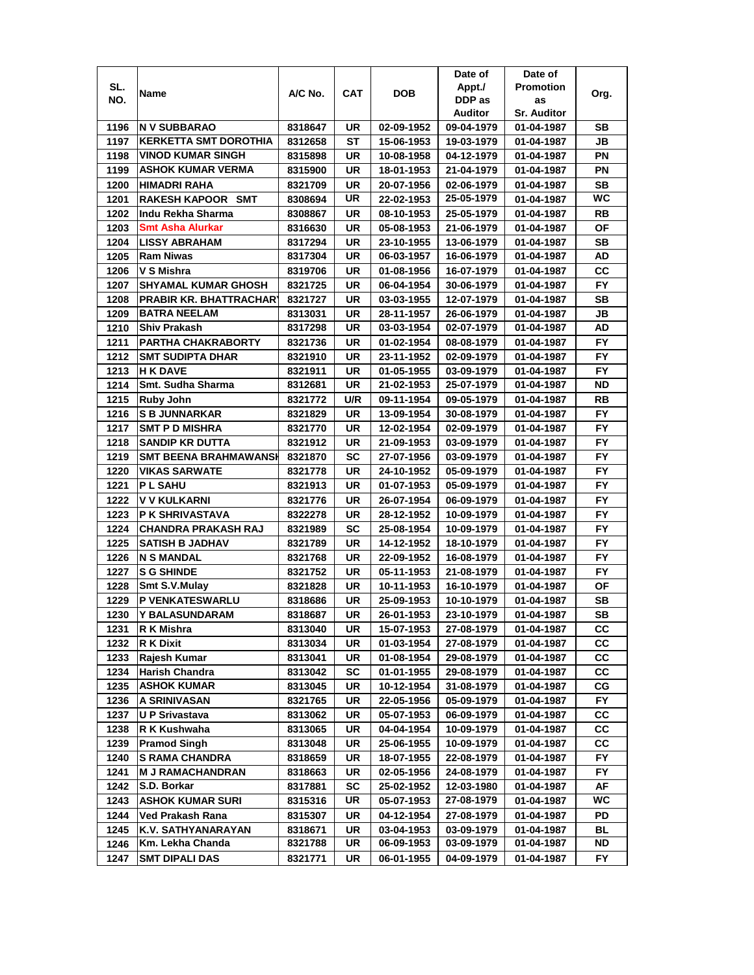|      |                                |         |            |            | Date of    | Date of            |           |
|------|--------------------------------|---------|------------|------------|------------|--------------------|-----------|
| SL.  | Name                           | A/C No. | <b>CAT</b> | <b>DOB</b> | Appt./     | <b>Promotion</b>   | Org.      |
| NO.  |                                |         |            |            | DDP as     | as                 |           |
|      |                                |         |            |            | Auditor    | <b>Sr. Auditor</b> |           |
| 1196 | <b>N V SUBBARAO</b>            | 8318647 | UR         | 02-09-1952 | 09-04-1979 | 01-04-1987         | SВ        |
| 1197 | <b>KERKETTA SMT DOROTHIA</b>   | 8312658 | SТ         | 15-06-1953 | 19-03-1979 | 01-04-1987         | JB        |
| 1198 | <b>VINOD KUMAR SINGH</b>       | 8315898 | UR         | 10-08-1958 | 04-12-1979 | 01-04-1987         | PN        |
| 1199 | <b>ASHOK KUMAR VERMA</b>       | 8315900 | UR         | 18-01-1953 | 21-04-1979 | 01-04-1987         | PN        |
| 1200 | <b>HIMADRI RAHA</b>            | 8321709 | UR         | 20-07-1956 | 02-06-1979 | 01-04-1987         | SВ        |
| 1201 | <b>RAKESH KAPOOR SMT</b>       | 8308694 | UR         | 22-02-1953 | 25-05-1979 | 01-04-1987         | WC        |
| 1202 | lIndu Rekha Sharma             | 8308867 | UR         | 08-10-1953 | 25-05-1979 | 01-04-1987         | RB        |
| 1203 | <b>Smt Asha Alurkar</b>        | 8316630 | UR         | 05-08-1953 | 21-06-1979 | 01-04-1987         | ΟF        |
| 1204 | <b>LISSY ABRAHAM</b>           | 8317294 | UR         | 23-10-1955 | 13-06-1979 | 01-04-1987         | SВ        |
| 1205 | <b>Ram Niwas</b>               | 8317304 | UR         | 06-03-1957 | 16-06-1979 | 01-04-1987         | AD        |
| 1206 | V S Mishra                     | 8319706 | UR         | 01-08-1956 | 16-07-1979 | 01-04-1987         | CС        |
| 1207 | <b>SHYAMAL KUMAR GHOSH</b>     | 8321725 | UR         | 06-04-1954 | 30-06-1979 | 01-04-1987         | <b>FY</b> |
| 1208 | <b>PRABIR KR. BHATTRACHARY</b> | 8321727 | UR         | 03-03-1955 | 12-07-1979 | 01-04-1987         | SВ        |
| 1209 | <b>BATRA NEELAM</b>            | 8313031 | UR         | 28-11-1957 | 26-06-1979 | 01-04-1987         | JB        |
| 1210 | <b>Shiv Prakash</b>            | 8317298 | UR         | 03-03-1954 | 02-07-1979 | 01-04-1987         | AD        |
| 1211 | <b>PARTHA CHAKRABORTY</b>      | 8321736 | UR         | 01-02-1954 | 08-08-1979 | 01-04-1987         | <b>FY</b> |
| 1212 | <b>SMT SUDIPTA DHAR</b>        | 8321910 | UR         | 23-11-1952 | 02-09-1979 | 01-04-1987         | FY.       |
| 1213 | <b>H K DAVE</b>                | 8321911 | UR         | 01-05-1955 | 03-09-1979 | 01-04-1987         | FY.       |
| 1214 | Smt. Sudha Sharma              | 8312681 | UR         | 21-02-1953 | 25-07-1979 | 01-04-1987         | ND        |
|      |                                |         |            |            |            |                    |           |
| 1215 | <b>Ruby John</b>               | 8321772 | U/R        | 09-11-1954 | 09-05-1979 | 01-04-1987         | RB        |
| 1216 | <b>S B JUNNARKAR</b>           | 8321829 | UR         | 13-09-1954 | 30-08-1979 | 01-04-1987         | <b>FY</b> |
| 1217 | <b>SMT P D MISHRA</b>          | 8321770 | UR         | 12-02-1954 | 02-09-1979 | 01-04-1987         | FY        |
| 1218 | SANDIP KR DUTTA                | 8321912 | UR         | 21-09-1953 | 03-09-1979 | 01-04-1987         | <b>FY</b> |
| 1219 | <b>SMT BEENA BRAHMAWANSH</b>   | 8321870 | SC         | 27-07-1956 | 03-09-1979 | 01-04-1987         | FY.       |
| 1220 | <b>VIKAS SARWATE</b>           | 8321778 | UR         | 24-10-1952 | 05-09-1979 | 01-04-1987         | <b>FY</b> |
| 1221 | <b>PL SAHU</b>                 | 8321913 | UR         | 01-07-1953 | 05-09-1979 | 01-04-1987         | FY.       |
| 1222 | V V KULKARNI                   | 8321776 | UR         | 26-07-1954 | 06-09-1979 | 01-04-1987         | <b>FY</b> |
| 1223 | <b>P K SHRIVASTAVA</b>         | 8322278 | UR         | 28-12-1952 | 10-09-1979 | 01-04-1987         | <b>FY</b> |
| 1224 | <b>CHANDRA PRAKASH RAJ</b>     | 8321989 | SC         | 25-08-1954 | 10-09-1979 | 01-04-1987         | FY        |
| 1225 | <b>SATISH B JADHAV</b>         | 8321789 | UR         | 14-12-1952 | 18-10-1979 | 01-04-1987         | FY        |
| 1226 | <b>N S MANDAL</b>              | 8321768 | UR         | 22-09-1952 | 16-08-1979 | 01-04-1987         | FY        |
| 1227 | <b>S G SHINDE</b>              | 8321752 | UR         | 05-11-1953 | 21-08-1979 | 01-04-1987         | FY.       |
| 1228 | Smt S.V.Mulay                  | 8321828 | UR         | 10-11-1953 | 16-10-1979 | 01-04-1987         | ΟF        |
| 1229 | <b>P VENKATESWARLU</b>         | 8318686 | UR         | 25-09-1953 | 10-10-1979 | 01-04-1987         | SВ        |
| 1230 | Y BALASUNDARAM                 | 8318687 | UR         | 26-01-1953 | 23-10-1979 | 01-04-1987         | <b>SB</b> |
| 1231 | R K Mishra                     | 8313040 | UR         | 15-07-1953 | 27-08-1979 | 01-04-1987         | СC        |
| 1232 | <b>R K Dixit</b>               | 8313034 | UR         | 01-03-1954 | 27-08-1979 | 01-04-1987         | CC        |
| 1233 | Rajesh Kumar                   | 8313041 | UR         | 01-08-1954 | 29-08-1979 | 01-04-1987         | СC        |
| 1234 | <b>Harish Chandra</b>          | 8313042 | <b>SC</b>  | 01-01-1955 | 29-08-1979 | 01-04-1987         | СC        |
| 1235 | <b>ASHOK KUMAR</b>             | 8313045 | UR         | 10-12-1954 | 31-08-1979 | 01-04-1987         | CG        |
| 1236 | <b>A SRINIVASAN</b>            | 8321765 | UR         | 22-05-1956 | 05-09-1979 | 01-04-1987         | FY.       |
| 1237 | U P Srivastava                 | 8313062 | UR         | 05-07-1953 | 06-09-1979 | 01-04-1987         | СC        |
| 1238 | R K Kushwaha                   | 8313065 | UR         | 04-04-1954 | 10-09-1979 | 01-04-1987         | СC        |
| 1239 | <b>Pramod Singh</b>            | 8313048 | UR         | 25-06-1955 | 10-09-1979 | 01-04-1987         | СC        |
| 1240 | <b>S RAMA CHANDRA</b>          | 8318659 | UR         | 18-07-1955 | 22-08-1979 | 01-04-1987         | FY.       |
| 1241 | <b>M J RAMACHANDRAN</b>        | 8318663 | UR         | 02-05-1956 | 24-08-1979 | 01-04-1987         | <b>FY</b> |
| 1242 | S.D. Borkar                    | 8317881 | <b>SC</b>  | 25-02-1952 | 12-03-1980 | 01-04-1987         | AF        |
| 1243 | <b>ASHOK KUMAR SURI</b>        | 8315316 | UR         | 05-07-1953 | 27-08-1979 | 01-04-1987         | WC        |
| 1244 | Ved Prakash Rana               | 8315307 | UR         | 04-12-1954 | 27-08-1979 | 01-04-1987         | PD        |
| 1245 | K.V. SATHYANARAYAN             | 8318671 | UR         | 03-04-1953 | 03-09-1979 | 01-04-1987         | BL        |
| 1246 | Km. Lekha Chanda               | 8321788 | UR         | 06-09-1953 | 03-09-1979 | 01-04-1987         | ND        |
| 1247 | <b>SMT DIPALI DAS</b>          | 8321771 | UR         | 06-01-1955 | 04-09-1979 | 01-04-1987         | FY.       |
|      |                                |         |            |            |            |                    |           |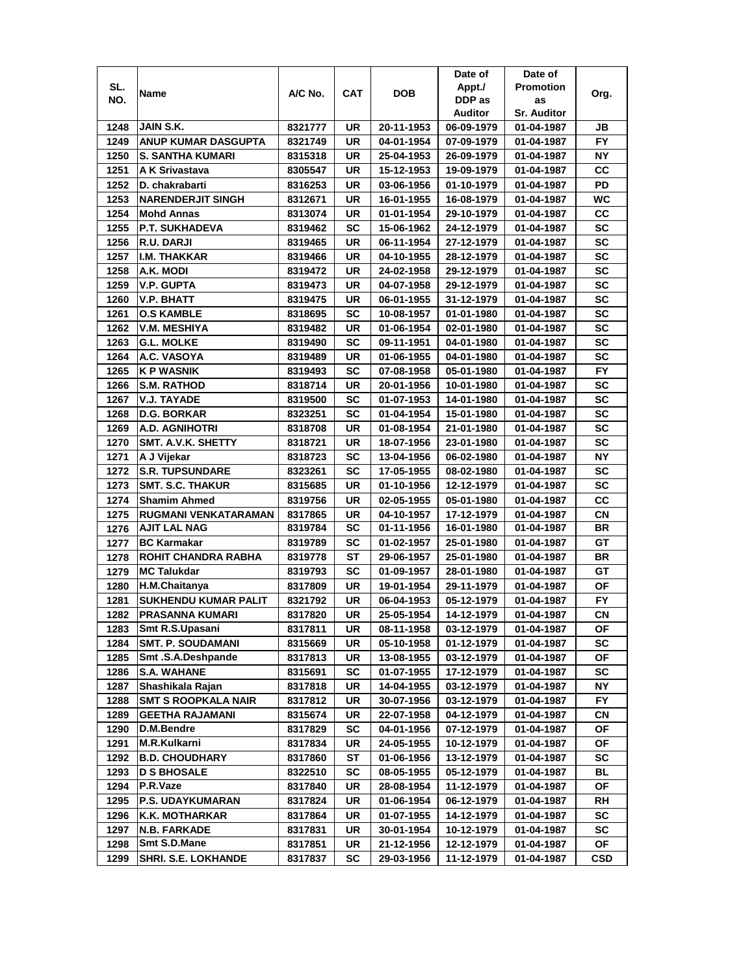|      |                             |         |     |            | Date of    | Date of            |           |
|------|-----------------------------|---------|-----|------------|------------|--------------------|-----------|
| SL.  |                             |         |     |            | Appt./     | <b>Promotion</b>   |           |
| NO.  | Name                        | A/C No. | CAT | <b>DOB</b> | DDP as     | as                 | Org.      |
|      |                             |         |     |            | Auditor    | <b>Sr. Auditor</b> |           |
| 1248 | JAIN S.K.                   | 8321777 | UR  | 20-11-1953 | 06-09-1979 | 01-04-1987         | JB        |
| 1249 | ANUP KUMAR DASGUPTA         | 8321749 | UR  | 04-01-1954 | 07-09-1979 | 01-04-1987         | FY.       |
| 1250 | S. SANTHA KUMARI            | 8315318 | UR  | 25-04-1953 | 26-09-1979 | 01-04-1987         | NΥ        |
| 1251 | A K Srivastava              | 8305547 | UR  | 15-12-1953 | 19-09-1979 | 01-04-1987         | CС        |
| 1252 | D. chakrabarti              | 8316253 | UR  | 03-06-1956 | 01-10-1979 | 01-04-1987         | PD        |
| 1253 | <b>INARENDERJIT SINGH</b>   | 8312671 | UR  | 16-01-1955 | 16-08-1979 | 01-04-1987         | WC        |
| 1254 | Mohd Annas                  | 8313074 | UR  | 01-01-1954 | 29-10-1979 | 01-04-1987         | CC        |
| 1255 | <b>P.T. SUKHADEVA</b>       | 8319462 | SC  | 15-06-1962 | 24-12-1979 | 01-04-1987         | SC        |
| 1256 | R.U. DARJI                  | 8319465 | UR  | 06-11-1954 | 27-12-1979 | 01-04-1987         | <b>SC</b> |
| 1257 | <b>I.M. THAKKAR</b>         | 8319466 | UR  | 04-10-1955 | 28-12-1979 | 01-04-1987         | SC        |
| 1258 | A.K. MODI                   | 8319472 | UR  | 24-02-1958 | 29-12-1979 | 01-04-1987         | <b>SC</b> |
| 1259 | V.P. GUPTA                  | 8319473 | UR  | 04-07-1958 | 29-12-1979 | 01-04-1987         | SC        |
| 1260 | <b>V.P. BHATT</b>           | 8319475 | UR  | 06-01-1955 | 31-12-1979 | 01-04-1987         | SC        |
| 1261 | <b>O.S KAMBLE</b>           | 8318695 | SC  | 10-08-1957 | 01-01-1980 | 01-04-1987         | SC        |
| 1262 | <b>V.M. MESHIYA</b>         | 8319482 | UR  | 01-06-1954 | 02-01-1980 |                    | <b>SC</b> |
|      |                             |         |     |            |            | 01-04-1987         |           |
| 1263 | G.L. MOLKE                  | 8319490 | SC  | 09-11-1951 | 04-01-1980 | 01-04-1987         | SC        |
| 1264 | A.C. VASOYA                 | 8319489 | UR  | 01-06-1955 | 04-01-1980 | 01-04-1987         | <b>SC</b> |
| 1265 | K P WASNIK                  | 8319493 | SC  | 07-08-1958 | 05-01-1980 | 01-04-1987         | FY.       |
| 1266 | <b>S.M. RATHOD</b>          | 8318714 | UR  | 20-01-1956 | 10-01-1980 | 01-04-1987         | SC        |
| 1267 | V.J. TAYADE                 | 8319500 | SC  | 01-07-1953 | 14-01-1980 | 01-04-1987         | SC        |
| 1268 | <b>D.G. BORKAR</b>          | 8323251 | SC  | 01-04-1954 | 15-01-1980 | 01-04-1987         | SC        |
| 1269 | <b>A.D. AGNIHOTRI</b>       | 8318708 | UR  | 01-08-1954 | 21-01-1980 | 01-04-1987         | <b>SC</b> |
| 1270 | SMT. A.V.K. SHETTY          | 8318721 | UR  | 18-07-1956 | 23-01-1980 | 01-04-1987         | <b>SC</b> |
| 1271 | A J Vijekar                 | 8318723 | SC  | 13-04-1956 | 06-02-1980 | 01-04-1987         | <b>NY</b> |
| 1272 | <b>S.R. TUPSUNDARE</b>      | 8323261 | SC  | 17-05-1955 | 08-02-1980 | 01-04-1987         | SC        |
| 1273 | <b>SMT. S.C. THAKUR</b>     | 8315685 | UR  | 01-10-1956 | 12-12-1979 | 01-04-1987         | <b>SC</b> |
| 1274 | <b>Shamim Ahmed</b>         | 8319756 | UR  | 02-05-1955 | 05-01-1980 | 01-04-1987         | CС        |
| 1275 | RUGMANI VENKATARAMAN        | 8317865 | UR  | 04-10-1957 | 17-12-1979 | 01-04-1987         | CN        |
| 1276 | <b>AJIT LAL NAG</b>         | 8319784 | SC  | 01-11-1956 | 16-01-1980 | 01-04-1987         | BR        |
| 1277 | <b>BC Karmakar</b>          | 8319789 | SC  | 01-02-1957 | 25-01-1980 | 01-04-1987         | GT        |
| 1278 | <b>ROHIT CHANDRA RABHA</b>  | 8319778 | SТ  | 29-06-1957 | 25-01-1980 | 01-04-1987         | BR        |
| 1279 | <b>MC Talukdar</b>          | 8319793 | SC  | 01-09-1957 | 28-01-1980 | 01-04-1987         | GТ        |
| 1280 | H.M.Chaitanya               | 8317809 | UR  | 19-01-1954 | 29-11-1979 | 01-04-1987         | ΟF        |
| 1281 | <b>SUKHENDU KUMAR PALIT</b> | 8321792 | UR  | 06-04-1953 | 05-12-1979 | 01-04-1987         | FY.       |
| 1282 | <b>PRASANNA KUMARI</b>      | 8317820 | UR  | 25-05-1954 | 14-12-1979 | 01-04-1987         | <b>CN</b> |
| 1283 | Smt R.S.Upasani             | 8317811 | UR  | 08-11-1958 | 03-12-1979 | 01-04-1987         | ΟF        |
| 1284 | <b>SMT. P. SOUDAMANI</b>    | 8315669 | UR  | 05-10-1958 | 01-12-1979 | 01-04-1987         | SC        |
| 1285 | Smt.S.A.Deshpande           | 8317813 | UR  | 13-08-1955 | 03-12-1979 | 01-04-1987         | OF        |
| 1286 | <b>S.A. WAHANE</b>          | 8315691 | SC  | 01-07-1955 | 17-12-1979 | 01-04-1987         | SC        |
| 1287 | Shashikala Rajan            | 8317818 | UR  | 14-04-1955 | 03-12-1979 | 01-04-1987         | NΥ        |
| 1288 | <b>SMT S ROOPKALA NAIR</b>  | 8317812 | UR  | 30-07-1956 | 03-12-1979 | 01-04-1987         | FY.       |
| 1289 | <b>GEETHA RAJAMANI</b>      | 8315674 | UR  | 22-07-1958 | 04-12-1979 | 01-04-1987         | СN        |
| 1290 | <b>D.M.Bendre</b>           | 8317829 | SC  | 04-01-1956 | 07-12-1979 | 01-04-1987         | ОF        |
| 1291 | M.R.Kulkarni                | 8317834 | UR  | 24-05-1955 | 10-12-1979 | 01-04-1987         | ΟF        |
| 1292 | <b>B.D. CHOUDHARY</b>       | 8317860 | ST  | 01-06-1956 | 13-12-1979 | 01-04-1987         | SC        |
| 1293 | <b>D S BHOSALE</b>          | 8322510 | SC  | 08-05-1955 | 05-12-1979 | 01-04-1987         | BL        |
| 1294 | P.R.Vaze                    | 8317840 | UR  | 28-08-1954 | 11-12-1979 | 01-04-1987         | ΟF        |
| 1295 | <b>P.S. UDAYKUMARAN</b>     | 8317824 | UR  | 01-06-1954 | 06-12-1979 | 01-04-1987         | RH        |
| 1296 | <b>K.K. MOTHARKAR</b>       | 8317864 | UR  | 01-07-1955 | 14-12-1979 | 01-04-1987         | SC        |
| 1297 | <b>N.B. FARKADE</b>         | 8317831 | UR  | 30-01-1954 | 10-12-1979 | 01-04-1987         | SC        |
| 1298 | Smt S.D.Mane                | 8317851 | UR  | 21-12-1956 | 12-12-1979 | 01-04-1987         | ΟF        |
| 1299 | <b>SHRI. S.E. LOKHANDE</b>  | 8317837 | SC  | 29-03-1956 | 11-12-1979 | 01-04-1987         | CSD       |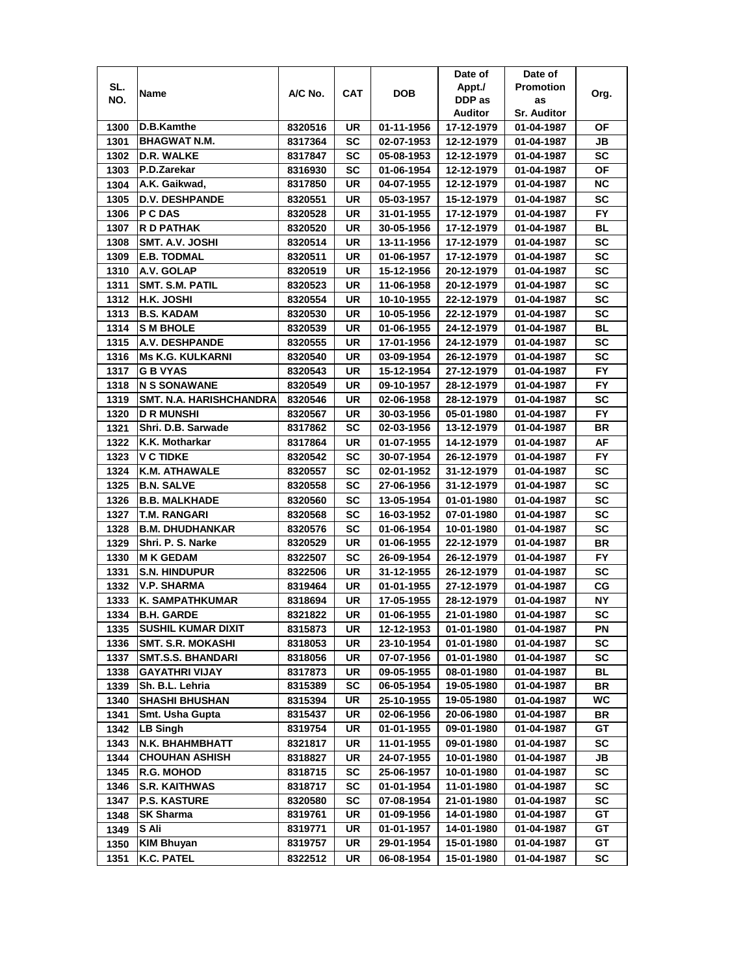|      |                                |         |            |            | Date of    | Date of            |           |
|------|--------------------------------|---------|------------|------------|------------|--------------------|-----------|
| SL.  |                                | A/C No. |            | DOB        | Appt./     | <b>Promotion</b>   |           |
| NO.  | Name                           |         | <b>CAT</b> |            | DDP as     | as                 | Org.      |
|      |                                |         |            |            | Auditor    | <b>Sr. Auditor</b> |           |
| 1300 | D.B.Kamthe                     | 8320516 | UR         | 01-11-1956 | 17-12-1979 | 01-04-1987         | ΟF        |
| 1301 | <b>BHAGWAT N.M.</b>            | 8317364 | SC         | 02-07-1953 | 12-12-1979 | 01-04-1987         | JB        |
| 1302 | <b>D.R. WALKE</b>              | 8317847 | SC         | 05-08-1953 | 12-12-1979 | 01-04-1987         | SC        |
| 1303 | P.D.Zarekar                    | 8316930 | SC         | 01-06-1954 | 12-12-1979 | 01-04-1987         | ΟF        |
| 1304 | A.K. Gaikwad,                  | 8317850 | UR         | 04-07-1955 | 12-12-1979 | 01-04-1987         | <b>NC</b> |
| 1305 | <b>D.V. DESHPANDE</b>          | 8320551 | UR         | 05-03-1957 | 15-12-1979 | 01-04-1987         | SC        |
| 1306 | <b>P C DAS</b>                 | 8320528 | UR         | 31-01-1955 | 17-12-1979 | 01-04-1987         | <b>FY</b> |
| 1307 | R D PATHAK                     | 8320520 | UR         | 30-05-1956 | 17-12-1979 | 01-04-1987         | BL        |
| 1308 | SMT. A.V. JOSHI                | 8320514 | UR         | 13-11-1956 | 17-12-1979 | 01-04-1987         | SC        |
| 1309 | <b>E.B. TODMAL</b>             | 8320511 | UR         | 01-06-1957 | 17-12-1979 | 01-04-1987         | SC        |
| 1310 | A.V. GOLAP                     | 8320519 | UR         | 15-12-1956 | 20-12-1979 | 01-04-1987         | <b>SC</b> |
| 1311 | <b>SMT. S.M. PATIL</b>         | 8320523 | UR         | 11-06-1958 | 20-12-1979 | 01-04-1987         | SC        |
| 1312 | H.K. JOSHI                     | 8320554 | UR         | 10-10-1955 | 22-12-1979 | 01-04-1987         | <b>SC</b> |
| 1313 | <b>B.S. KADAM</b>              | 8320530 | UR         | 10-05-1956 | 22-12-1979 | 01-04-1987         | SC        |
| 1314 | <b>S M BHOLE</b>               | 8320539 | UR         | 01-06-1955 | 24-12-1979 | 01-04-1987         | BL        |
| 1315 | <b>A.V. DESHPANDE</b>          | 8320555 | UR         | 17-01-1956 | 24-12-1979 | 01-04-1987         | SC        |
| 1316 | <b>Ms K.G. KULKARNI</b>        | 8320540 | UR         | 03-09-1954 | 26-12-1979 | 01-04-1987         | SC        |
| 1317 | <b>G B VYAS</b>                | 8320543 | UR         | 15-12-1954 | 27-12-1979 | 01-04-1987         | FY.       |
| 1318 | <b>N S SONAWANE</b>            | 8320549 | UR         | 09-10-1957 | 28-12-1979 | 01-04-1987         | FY.       |
| 1319 | <b>SMT. N.A. HARISHCHANDRA</b> | 8320546 | UR         | 02-06-1958 | 28-12-1979 | 01-04-1987         | SC        |
| 1320 | <b>D R MUNSHI</b>              | 8320567 | UR         | 30-03-1956 | 05-01-1980 | 01-04-1987         | <b>FY</b> |
| 1321 | Shri. D.B. Sarwade             | 8317862 | SC         | 02-03-1956 | 13-12-1979 | 01-04-1987         | <b>BR</b> |
| 1322 | K.K. Motharkar                 | 8317864 | UR         | 01-07-1955 | 14-12-1979 | 01-04-1987         | AF        |
| 1323 | <b>V C TIDKE</b>               | 8320542 | SC         | 30-07-1954 | 26-12-1979 | 01-04-1987         | <b>FY</b> |
| 1324 | K.M. ATHAWALE                  | 8320557 | SC         | 02-01-1952 | 31-12-1979 | 01-04-1987         | SC        |
| 1325 | <b>B.N. SALVE</b>              | 8320558 | SC         | 27-06-1956 | 31-12-1979 | 01-04-1987         | SC        |
| 1326 | <b>B.B. MALKHADE</b>           | 8320560 | SC         | 13-05-1954 | 01-01-1980 | 01-04-1987         | <b>SC</b> |
| 1327 | <b>T.M. RANGARI</b>            | 8320568 | <b>SC</b>  | 16-03-1952 | 07-01-1980 | 01-04-1987         | <b>SC</b> |
| 1328 | <b>B.M. DHUDHANKAR</b>         | 8320576 | <b>SC</b>  | 01-06-1954 | 10-01-1980 | 01-04-1987         | SC        |
| 1329 | Shri. P. S. Narke              | 8320529 | UR         | 01-06-1955 | 22-12-1979 | 01-04-1987         | BR        |
| 1330 | <b>MK GEDAM</b>                | 8322507 | SC         | 26-09-1954 | 26-12-1979 | 01-04-1987         | <b>FY</b> |
| 1331 | <b>S.N. HINDUPUR</b>           | 8322506 | UR         | 31-12-1955 | 26-12-1979 | 01-04-1987         | SC        |
| 1332 | V.P. SHARMA                    | 8319464 | UR         | 01-01-1955 | 27-12-1979 | 01-04-1987         | СG        |
| 1333 | <b>K. SAMPATHKUMAR</b>         | 8318694 | UR         | 17-05-1955 | 28-12-1979 | 01-04-1987         | NΥ        |
| 1334 | <b>B.H. GARDE</b>              | 8321822 | UR         | 01-06-1955 | 21-01-1980 | 01-04-1987         | SC        |
| 1335 | <b>SUSHIL KUMAR DIXIT</b>      | 8315873 | UR         | 12-12-1953 | 01-01-1980 | 01-04-1987         | PN        |
| 1336 | <b>SMT. S.R. MOKASHI</b>       | 8318053 | UR         | 23-10-1954 | 01-01-1980 | 01-04-1987         | SC        |
| 1337 | <b>SMT.S.S. BHANDARI</b>       | 8318056 | UR         | 07-07-1956 | 01-01-1980 | 01-04-1987         | SC        |
| 1338 | <b>GAYATHRI VIJAY</b>          | 8317873 | UR         | 09-05-1955 | 08-01-1980 | 01-04-1987         | BL        |
| 1339 | Sh. B.L. Lehria                | 8315389 | <b>SC</b>  | 06-05-1954 | 19-05-1980 | 01-04-1987         | BR        |
| 1340 | <b>SHASHI BHUSHAN</b>          | 8315394 | UR         | 25-10-1955 | 19-05-1980 | 01-04-1987         | WC        |
| 1341 | Smt. Usha Gupta                | 8315437 | UR         | 02-06-1956 | 20-06-1980 | 01-04-1987         | BR        |
| 1342 | LB Singh                       | 8319754 | UR         | 01-01-1955 | 09-01-1980 | 01-04-1987         | GT        |
| 1343 | <b>N.K. BHAHMBHATT</b>         | 8321817 | UR         | 11-01-1955 | 09-01-1980 | 01-04-1987         | SC        |
| 1344 | <b>CHOUHAN ASHISH</b>          | 8318827 | UR         | 24-07-1955 | 10-01-1980 | 01-04-1987         | JB        |
| 1345 | <b>R.G. MOHOD</b>              | 8318715 | <b>SC</b>  | 25-06-1957 | 10-01-1980 | 01-04-1987         | SC        |
| 1346 | <b>S.R. KAITHWAS</b>           | 8318717 | <b>SC</b>  | 01-01-1954 | 11-01-1980 | 01-04-1987         | SC        |
| 1347 | <b>P.S. KASTURE</b>            | 8320580 | <b>SC</b>  | 07-08-1954 | 21-01-1980 | 01-04-1987         | SC        |
| 1348 | <b>SK Sharma</b>               | 8319761 | UR         | 01-09-1956 | 14-01-1980 | 01-04-1987         | GT        |
| 1349 | S Ali                          | 8319771 | UR         | 01-01-1957 | 14-01-1980 | 01-04-1987         | GT        |
| 1350 | KIM Bhuyan                     | 8319757 | UR         | 29-01-1954 | 15-01-1980 | 01-04-1987         | GT        |
| 1351 | <b>K.C. PATEL</b>              | 8322512 | UR         | 06-08-1954 | 15-01-1980 | 01-04-1987         | SC        |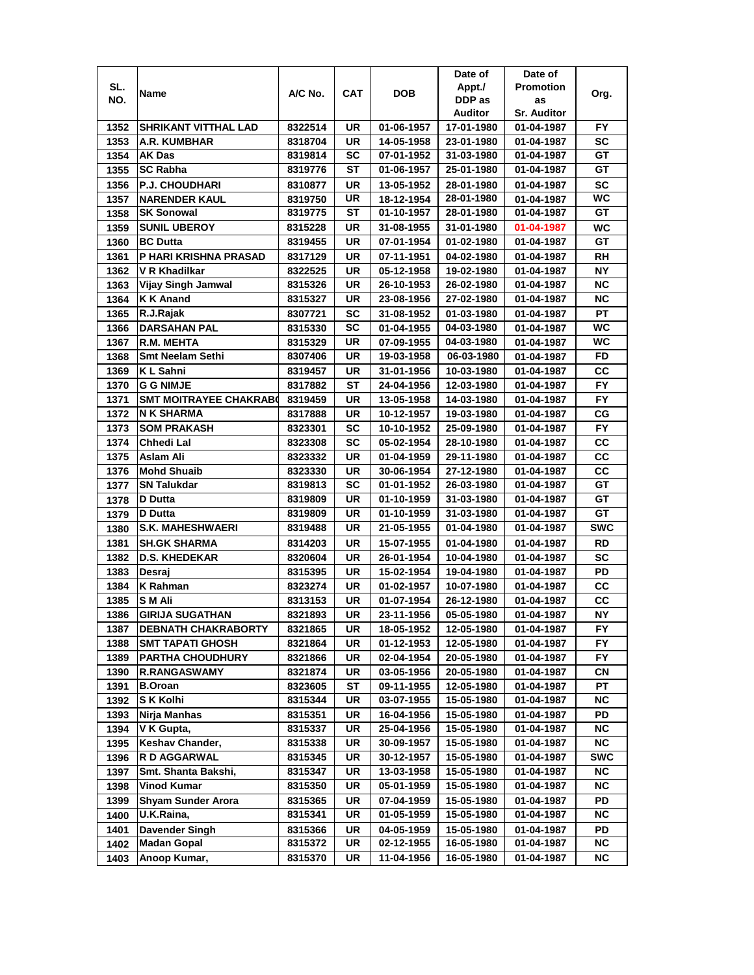|              |                               |         |     |            | Date of    | Date of            |                        |
|--------------|-------------------------------|---------|-----|------------|------------|--------------------|------------------------|
| SL.          | Name                          | A/C No. | CAT | DOB        | Appt./     | <b>Promotion</b>   | Org.                   |
| NO.          |                               |         |     |            | DDP as     | as                 |                        |
|              |                               |         |     |            | Auditor    | <b>Sr. Auditor</b> |                        |
| 1352         | SHRIKANT VITTHAL LAD          | 8322514 | UR  | 01-06-1957 | 17-01-1980 | 01-04-1987         | FY                     |
| 1353         | A.R. KUMBHAR                  | 8318704 | UR  | 14-05-1958 | 23-01-1980 | 01-04-1987         | <b>SC</b>              |
| 1354         | <b>AK Das</b>                 | 8319814 | SC  | 07-01-1952 | 31-03-1980 | 01-04-1987         | GT                     |
| 1355         | <b>SC Rabha</b>               | 8319776 | ST  | 01-06-1957 | 25-01-1980 | 01-04-1987         | GT                     |
| 1356         | <b>P.J. CHOUDHARI</b>         | 8310877 | UR  | 13-05-1952 | 28-01-1980 | 01-04-1987         | <b>SC</b>              |
| 1357         | <b>NARENDER KAUL</b>          | 8319750 | UR  | 18-12-1954 | 28-01-1980 | 01-04-1987         | <b>WC</b>              |
| 1358         | <b>SK Sonowal</b>             | 8319775 | ST  | 01-10-1957 | 28-01-1980 | 01-04-1987         | GТ                     |
| 1359         | <b>SUNIL UBEROY</b>           | 8315228 | UR  | 31-08-1955 | 31-01-1980 | 01-04-1987         | WC                     |
| 1360         | <b>BC Dutta</b>               | 8319455 | UR  | 07-01-1954 | 01-02-1980 | 01-04-1987         | GТ                     |
| 1361         | P HARI KRISHNA PRASAD         | 8317129 | UR  | 07-11-1951 | 04-02-1980 | 01-04-1987         | <b>RH</b>              |
| 1362         | V R Khadilkar                 | 8322525 | UR  | 05-12-1958 | 19-02-1980 | 01-04-1987         | <b>NY</b>              |
| 1363         | Vijay Singh Jamwal            | 8315326 | UR  | 26-10-1953 | 26-02-1980 | 01-04-1987         | <b>NC</b>              |
| 1364         | K K Anand                     | 8315327 | UR  | 23-08-1956 | 27-02-1980 | 01-04-1987         | <b>NC</b>              |
| 1365         | R.J.Rajak                     | 8307721 | SC  | 31-08-1952 | 01-03-1980 | 01-04-1987         | <b>PT</b>              |
| 1366         | <b>DARSAHAN PAL</b>           | 8315330 | SC  | 01-04-1955 | 04-03-1980 | 01-04-1987         | WC                     |
| 1367         | <b>R.M. MEHTA</b>             | 8315329 | UR  | 07-09-1955 | 04-03-1980 | 01-04-1987         | WC                     |
| 1368         | <b>Smt Neelam Sethi</b>       | 8307406 | UR  | 19-03-1958 | 06-03-1980 | 01-04-1987         | FD                     |
|              |                               |         |     |            |            |                    |                        |
| 1369         | K L Sahni                     | 8319457 | UR  | 31-01-1956 | 10-03-1980 | 01-04-1987         | CС                     |
| 1370         | <b>G G NIMJE</b>              | 8317882 | ST  | 24-04-1956 | 12-03-1980 | 01-04-1987         | <b>FY</b>              |
| 1371         | <b>SMT MOITRAYEE CHAKRAB0</b> | 8319459 | UR  | 13-05-1958 | 14-03-1980 | 01-04-1987         | <b>FY</b>              |
| 1372         | <b>N K SHARMA</b>             | 8317888 | UR  | 10-12-1957 | 19-03-1980 | 01-04-1987         | CG                     |
| 1373         | <b>SOM PRAKASH</b>            | 8323301 | SC  | 10-10-1952 | 25-09-1980 | 01-04-1987         | FY                     |
| 1374         | Chhedi Lal                    | 8323308 | SC  | 05-02-1954 | 28-10-1980 | 01-04-1987         | СC                     |
| 1375         | Aslam Ali                     | 8323332 | UR  | 01-04-1959 | 29-11-1980 | 01-04-1987         | CC                     |
| 1376         | <b>Mohd Shuaib</b>            | 8323330 | UR  | 30-06-1954 | 27-12-1980 | 01-04-1987         | CC                     |
| 1377         | <b>SN Talukdar</b>            | 8319813 | SC  | 01-01-1952 | 26-03-1980 | 01-04-1987         | GТ                     |
| 1378         | <b>D</b> Dutta                | 8319809 | UR  | 01-10-1959 | 31-03-1980 | 01-04-1987         | GT                     |
| 1379         | D Dutta                       | 8319809 | UR  | 01-10-1959 | 31-03-1980 | 01-04-1987         | GT                     |
| 1380         | <b>S.K. MAHESHWAERI</b>       | 8319488 | UR  | 21-05-1955 | 01-04-1980 | 01-04-1987         | <b>SWC</b>             |
| 1381         | <b>SH.GK SHARMA</b>           | 8314203 | UR  | 15-07-1955 | 01-04-1980 | 01-04-1987         | <b>RD</b>              |
| 1382         | <b>D.S. KHEDEKAR</b>          | 8320604 | UR  | 26-01-1954 | 10-04-1980 | 01-04-1987         | <b>SC</b>              |
| 1383         | Desraj                        | 8315395 | UR  | 15-02-1954 | 19-04-1980 | 01-04-1987         | PD                     |
| 1384         | K Rahman                      | 8323274 | UR  | 01-02-1957 | 10-07-1980 | 01-04-1987         | CС                     |
| 1385         | S M Ali                       | 8313153 | UR  | 01-07-1954 | 26-12-1980 | 01-04-1987         | CС                     |
| 1386         | <b>GIRIJA SUGATHAN</b>        | 8321893 | UR  | 23-11-1956 | 05-05-1980 | 01-04-1987         | <b>NY</b>              |
| 1387         | <b>DEBNATH CHAKRABORTY</b>    | 8321865 | UR  | 18-05-1952 | 12-05-1980 | 01-04-1987         | FY                     |
| 1388         | <b>SMT TAPATI GHOSH</b>       | 8321864 | UR  | 01-12-1953 | 12-05-1980 | 01-04-1987         | FY                     |
| 1389         | <b>PARTHA CHOUDHURY</b>       | 8321866 | UR  | 02-04-1954 | 20-05-1980 | 01-04-1987         | FY.                    |
| 1390         | <b>R.RANGASWAMY</b>           | 8321874 | UR  | 03-05-1956 | 20-05-1980 | 01-04-1987         | СN                     |
| 1391         | <b>B.Oroan</b>                | 8323605 | ST  | 09-11-1955 | 12-05-1980 | 01-04-1987         | РT                     |
| 1392         | S K Kolhi                     | 8315344 | UR  | 03-07-1955 | 15-05-1980 | 01-04-1987         | <b>NC</b>              |
| 1393         | Nirja Manhas                  | 8315351 | UR  | 16-04-1956 | 15-05-1980 | 01-04-1987         | PD                     |
| 1394         | V K Gupta,                    | 8315337 | UR  | 25-04-1956 | 15-05-1980 | 01-04-1987         | <b>NC</b>              |
|              | Keshav Chander,               | 8315338 | UR  | 30-09-1957 | 15-05-1980 | 01-04-1987         | $\overline{\text{NC}}$ |
| 1395<br>1396 | R D AGGARWAL                  | 8315345 | UR  | 30-12-1957 | 15-05-1980 | 01-04-1987         | <b>SWC</b>             |
|              |                               | 8315347 |     |            | 15-05-1980 |                    |                        |
| 1397         | Smt. Shanta Bakshi,           |         | UR  | 13-03-1958 |            | 01-04-1987         | <b>NC</b>              |
| 1398         | <b>Vinod Kumar</b>            | 8315350 | UR  | 05-01-1959 | 15-05-1980 | 01-04-1987         | <b>NC</b>              |
| 1399         | <b>Shyam Sunder Arora</b>     | 8315365 | UR  | 07-04-1959 | 15-05-1980 | 01-04-1987         | PD                     |
| 1400         | U.K.Raina,                    | 8315341 | UR  | 01-05-1959 | 15-05-1980 | 01-04-1987         | NC                     |
| 1401         | Davender Singh                | 8315366 | UR  | 04-05-1959 | 15-05-1980 | 01-04-1987         | PD                     |
| 1402         | <b>Madan Gopal</b>            | 8315372 | UR  | 02-12-1955 | 16-05-1980 | 01-04-1987         | <b>NC</b>              |
| 1403         | Anoop Kumar,                  | 8315370 | UR  | 11-04-1956 | 16-05-1980 | 01-04-1987         | NC.                    |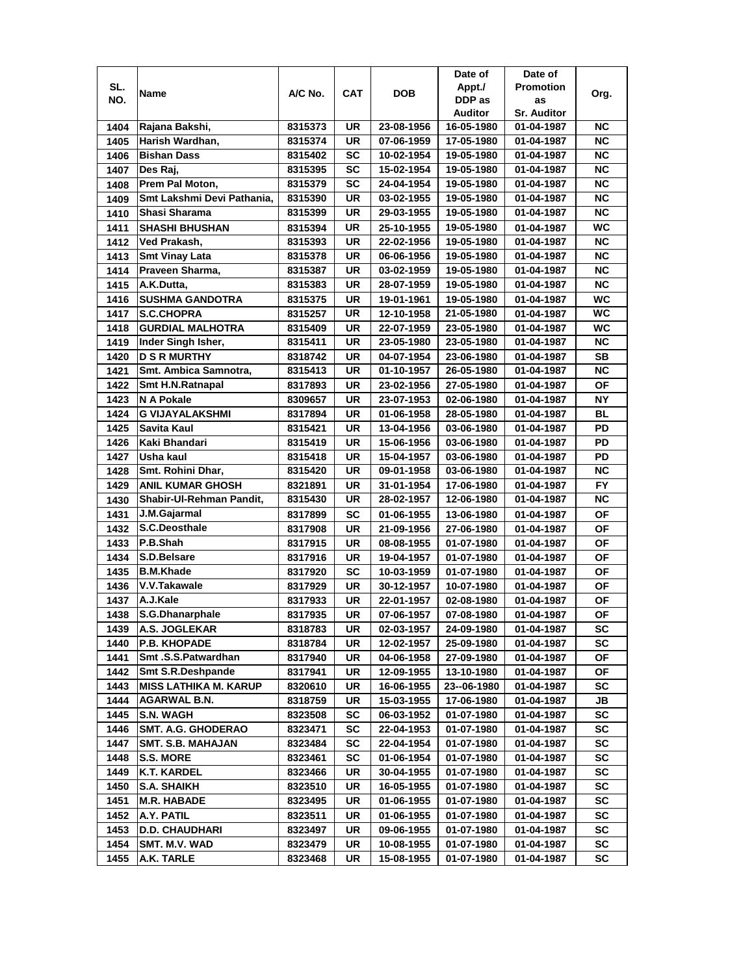|      |                            |         |           |            | Date of     | Date of            |           |
|------|----------------------------|---------|-----------|------------|-------------|--------------------|-----------|
| SL.  |                            |         |           |            | Appt./      | <b>Promotion</b>   |           |
| NO.  | Name                       | A/C No. | CAT       | <b>DOB</b> | DDP as      | as                 | Org.      |
|      |                            |         |           |            | Auditor     | <b>Sr. Auditor</b> |           |
| 1404 | Rajana Bakshi,             | 8315373 | UR        | 23-08-1956 | 16-05-1980  | 01-04-1987         | ΝC        |
| 1405 | Harish Wardhan,            | 8315374 | UR        | 07-06-1959 | 17-05-1980  | 01-04-1987         | ΝC        |
| 1406 | <b>Bishan Dass</b>         | 8315402 | SC        | 10-02-1954 | 19-05-1980  | 01-04-1987         | <b>NC</b> |
| 1407 | Des Raj,                   | 8315395 | SC        | 15-02-1954 | 19-05-1980  | 01-04-1987         | <b>NC</b> |
| 1408 | Prem Pal Moton,            | 8315379 | <b>SC</b> | 24-04-1954 | 19-05-1980  | 01-04-1987         | <b>NC</b> |
| 1409 | Smt Lakshmi Devi Pathania, | 8315390 | UR        | 03-02-1955 | 19-05-1980  | 01-04-1987         | <b>NC</b> |
| 1410 | Shasi Sharama              | 8315399 | UR        | 29-03-1955 | 19-05-1980  | 01-04-1987         | <b>NC</b> |
| 1411 | <b>SHASHI BHUSHAN</b>      | 8315394 | UR        | 25-10-1955 | 19-05-1980  | 01-04-1987         | <b>WC</b> |
| 1412 | Ved Prakash,               | 8315393 | UR        | 22-02-1956 | 19-05-1980  | 01-04-1987         | <b>NC</b> |
| 1413 | <b>Smt Vinay Lata</b>      | 8315378 | UR        | 06-06-1956 | 19-05-1980  | 01-04-1987         | <b>NC</b> |
| 1414 | Praveen Sharma,            | 8315387 | UR        | 03-02-1959 | 19-05-1980  | 01-04-1987         | <b>NC</b> |
| 1415 | A.K.Dutta,                 | 8315383 | UR        | 28-07-1959 | 19-05-1980  | 01-04-1987         | <b>NC</b> |
| 1416 | <b>SUSHMA GANDOTRA</b>     | 8315375 | UR        |            | 19-05-1980  |                    | <b>WC</b> |
| 1417 |                            |         | UR        | 19-01-1961 | 21-05-1980  | 01-04-1987         | WC        |
|      | <b>S.C.CHOPRA</b>          | 8315257 |           | 12-10-1958 |             | 01-04-1987         | WC        |
| 1418 | <b>GURDIAL MALHOTRA</b>    | 8315409 | UR        | 22-07-1959 | 23-05-1980  | 01-04-1987         |           |
| 1419 | Inder Singh Isher,         | 8315411 | UR        | 23-05-1980 | 23-05-1980  | 01-04-1987         | <b>NC</b> |
| 1420 | <b>D S R MURTHY</b>        | 8318742 | UR        | 04-07-1954 | 23-06-1980  | 01-04-1987         | SB        |
| 1421 | Smt. Ambica Samnotra,      | 8315413 | UR        | 01-10-1957 | 26-05-1980  | 01-04-1987         | <b>NC</b> |
| 1422 | Smt H.N.Ratnapal           | 8317893 | UR        | 23-02-1956 | 27-05-1980  | 01-04-1987         | ΟF        |
| 1423 | N A Pokale                 | 8309657 | UR        | 23-07-1953 | 02-06-1980  | 01-04-1987         | NΥ        |
| 1424 | <b>G VIJAYALAKSHMI</b>     | 8317894 | UR        | 01-06-1958 | 28-05-1980  | 01-04-1987         | BL        |
| 1425 | Savita Kaul                | 8315421 | UR        | 13-04-1956 | 03-06-1980  | 01-04-1987         | PD        |
| 1426 | Kaki Bhandari              | 8315419 | UR        | 15-06-1956 | 03-06-1980  | 01-04-1987         | PD        |
| 1427 | Usha kaul                  | 8315418 | UR        | 15-04-1957 | 03-06-1980  | 01-04-1987         | PD        |
| 1428 | Smt. Rohini Dhar,          | 8315420 | UR        | 09-01-1958 | 03-06-1980  | 01-04-1987         | ΝC        |
| 1429 | <b>ANIL KUMAR GHOSH</b>    | 8321891 | UR        | 31-01-1954 | 17-06-1980  | 01-04-1987         | FY.       |
| 1430 | Shabir-UI-Rehman Pandit,   | 8315430 | UR        | 28-02-1957 | 12-06-1980  | 01-04-1987         | <b>NC</b> |
| 1431 | J.M.Gajarmal               | 8317899 | SC        | 01-06-1955 | 13-06-1980  | 01-04-1987         | OF        |
| 1432 | S.C.Deosthale              | 8317908 | UR        | 21-09-1956 | 27-06-1980  | 01-04-1987         | <b>OF</b> |
| 1433 | P.B.Shah                   | 8317915 | UR        | 08-08-1955 | 01-07-1980  | 01-04-1987         | <b>OF</b> |
| 1434 | S.D.Belsare                | 8317916 | UR        | 19-04-1957 | 01-07-1980  | 01-04-1987         | <b>OF</b> |
| 1435 | <b>B.M.Khade</b>           | 8317920 | SC        | 10-03-1959 | 01-07-1980  | 01-04-1987         | ΟF        |
| 1436 | V.V.Takawale               | 8317929 | UR        | 30-12-1957 | 10-07-1980  | 01-04-1987         | ОF        |
| 1437 | A.J.Kale                   | 8317933 | UR        | 22-01-1957 | 02-08-1980  | 01-04-1987         | ΟF        |
| 1438 | S.G.Dhanarphale            | 8317935 | UR        | 07-06-1957 | 07-08-1980  | 01-04-1987         | OF        |
| 1439 | A.S. JOGLEKAR              | 8318783 | UR        | 02-03-1957 | 24-09-1980  | 01-04-1987         | SC        |
| 1440 | <b>P.B. KHOPADE</b>        | 8318784 | UR        | 12-02-1957 | 25-09-1980  | 01-04-1987         | SC        |
| 1441 | Smt.S.S.Patwardhan         | 8317940 | UR        | 04-06-1958 | 27-09-1980  | 01-04-1987         | OF        |
| 1442 | Smt S.R.Deshpande          | 8317941 | UR        | 12-09-1955 | 13-10-1980  | 01-04-1987         | ΟF        |
| 1443 | MISS LATHIKA M. KARUP      | 8320610 | UR        | 16-06-1955 | 23--06-1980 | 01-04-1987         | SC        |
| 1444 | <b>AGARWAL B.N.</b>        | 8318759 | UR        | 15-03-1955 | 17-06-1980  | 01-04-1987         | JB        |
| 1445 | <b>S.N. WAGH</b>           | 8323508 | SC        | 06-03-1952 | 01-07-1980  | 01-04-1987         | SC        |
| 1446 | <b>SMT. A.G. GHODERAO</b>  | 8323471 | SC        | 22-04-1953 | 01-07-1980  | 01-04-1987         | SC        |
| 1447 | SMT. S.B. MAHAJAN          | 8323484 | SC        | 22-04-1954 | 01-07-1980  | 01-04-1987         | SC        |
| 1448 | <b>S.S. MORE</b>           | 8323461 | SC        | 01-06-1954 | 01-07-1980  | 01-04-1987         | SC        |
| 1449 | <b>K.T. KARDEL</b>         | 8323466 | UR        | 30-04-1955 | 01-07-1980  | 01-04-1987         | SC        |
| 1450 | <b>S.A. SHAIKH</b>         | 8323510 | UR        | 16-05-1955 | 01-07-1980  | 01-04-1987         | SC        |
| 1451 | <b>M.R. HABADE</b>         | 8323495 | UR        | 01-06-1955 | 01-07-1980  | 01-04-1987         | SC        |
| 1452 | A.Y. PATIL                 | 8323511 | UR        | 01-06-1955 | 01-07-1980  | 01-04-1987         | SC        |
| 1453 | <b>D.D. CHAUDHARI</b>      | 8323497 | UR        | 09-06-1955 | 01-07-1980  | 01-04-1987         | sc        |
| 1454 | SMT. M.V. WAD              | 8323479 | UR        | 10-08-1955 | 01-07-1980  | 01-04-1987         | SC        |
|      |                            |         |           |            |             |                    |           |
| 1455 | A.K. TARLE                 | 8323468 | UR        | 15-08-1955 | 01-07-1980  | 01-04-1987         | SC        |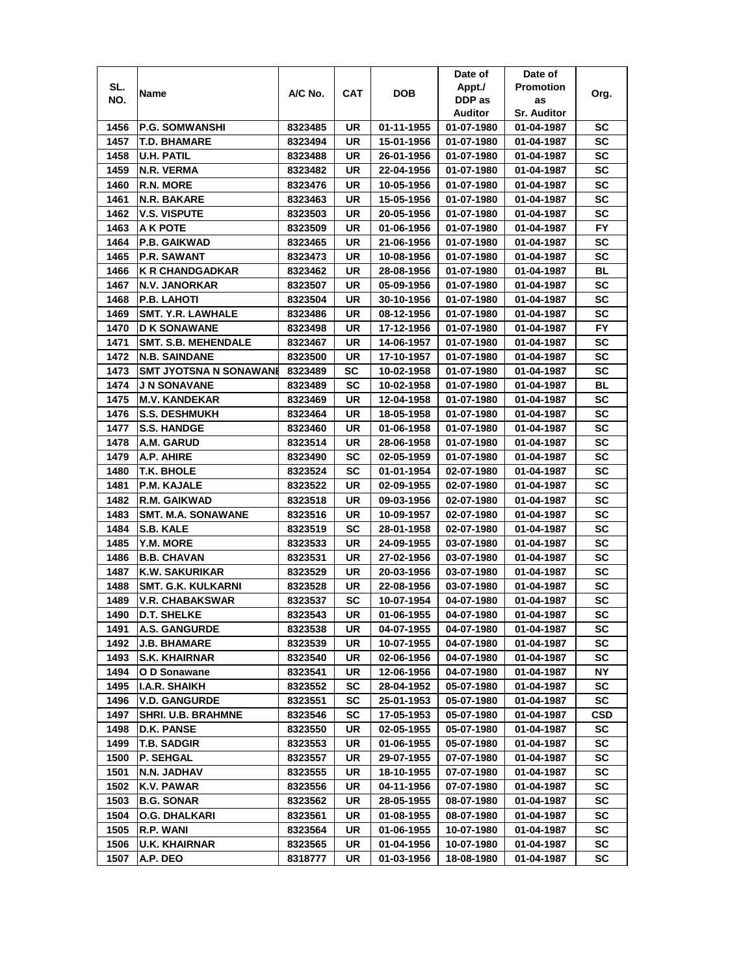|      |                                      |         |            |                          | Date of    | Date of                  |            |
|------|--------------------------------------|---------|------------|--------------------------|------------|--------------------------|------------|
| SL.  | Name                                 | A/C No. | <b>CAT</b> | DOB                      | Appt./     | <b>Promotion</b>         |            |
| NO.  |                                      |         |            |                          | DDP as     | as                       | Org.       |
|      |                                      |         |            |                          | Auditor    | <b>Sr. Auditor</b>       |            |
| 1456 | <b>P.G. SOMWANSHI</b>                | 8323485 | UR         | 01-11-1955               | 01-07-1980 | 01-04-1987               | sc         |
| 1457 | <b>T.D. BHAMARE</b>                  | 8323494 | UR         | 15-01-1956               | 01-07-1980 | 01-04-1987               | SC         |
| 1458 | <b>U.H. PATIL</b>                    | 8323488 | UR         | 26-01-1956               | 01-07-1980 | 01-04-1987               | SC         |
| 1459 | N.R. VERMA                           | 8323482 | UR         | 22-04-1956               | 01-07-1980 | 01-04-1987               | SC         |
| 1460 | <b>R.N. MORE</b>                     | 8323476 | UR         | 10-05-1956               | 01-07-1980 | 01-04-1987               | SC         |
| 1461 | IN.R. BAKARE                         | 8323463 | UR         | 15-05-1956               | 01-07-1980 | 01-04-1987               | SC         |
| 1462 | <b>V.S. VISPUTE</b>                  | 8323503 | UR         | 20-05-1956               | 01-07-1980 | 01-04-1987               | SC         |
| 1463 | A K POTE                             | 8323509 | UR         | 01-06-1956               | 01-07-1980 | 01-04-1987               | FY.        |
| 1464 | <b>P.B. GAIKWAD</b>                  | 8323465 | UR         | 21-06-1956               | 01-07-1980 | 01-04-1987               | SC         |
| 1465 | <b>P.R. SAWANT</b>                   | 8323473 | UR         | 10-08-1956               | 01-07-1980 | 01-04-1987               | <b>SC</b>  |
| 1466 | <b>K R CHANDGADKAR</b>               | 8323462 | UR         | 28-08-1956               | 01-07-1980 | 01-04-1987               | BL         |
| 1467 | <b>N.V. JANORKAR</b>                 | 8323507 | UR         | 05-09-1956               | 01-07-1980 | 01-04-1987               | SC         |
| 1468 | P.B. LAHOTI                          | 8323504 | UR         | 30-10-1956               | 01-07-1980 | 01-04-1987               | SC         |
| 1469 | <b>SMT. Y.R. LAWHALE</b>             | 8323486 | UR         | 08-12-1956               | 01-07-1980 | 01-04-1987               | SC         |
| 1470 | <b>D K SONAWANE</b>                  | 8323498 | UR         | 17-12-1956               | 01-07-1980 | 01-04-1987               | FY.        |
| 1471 | <b>SMT. S.B. MEHENDALE</b>           | 8323467 | UR         | 14-06-1957               | 01-07-1980 | 01-04-1987               | SC         |
| 1472 | <b>N.B. SAINDANE</b>                 | 8323500 | UR         | 17-10-1957               | 01-07-1980 | 01-04-1987               | SC         |
| 1473 | SMT JYOTSNA N SONAWANI               | 8323489 | SC         | 10-02-1958               | 01-07-1980 | 01-04-1987               | SC         |
| 1474 | <b>J N SONAVANE</b>                  | 8323489 | SC         | 10-02-1958               | 01-07-1980 | 01-04-1987               | BL         |
| 1475 | <b>M.V. KANDEKAR</b>                 | 8323469 | UR         | 12-04-1958               | 01-07-1980 | 01-04-1987               | SC         |
| 1476 | <b>S.S. DESHMUKH</b>                 | 8323464 | UR         | 18-05-1958               | 01-07-1980 | 01-04-1987               | <b>SC</b>  |
| 1477 | <b>S.S. HANDGE</b>                   | 8323460 | UR         | 01-06-1958               | 01-07-1980 | 01-04-1987               | SC         |
| 1478 | A.M. GARUD                           | 8323514 | UR         | 28-06-1958               | 01-07-1980 | 01-04-1987               | SC         |
| 1479 | A.P. AHIRE                           | 8323490 | SC         | 02-05-1959               | 01-07-1980 | 01-04-1987               | SC         |
| 1480 | T.K. BHOLE                           | 8323524 | SC         | 01-01-1954               | 02-07-1980 | 01-04-1987               | SC         |
| 1481 | <b>P.M. KAJALE</b>                   | 8323522 | UR         | 02-09-1955               | 02-07-1980 | 01-04-1987               | SC         |
| 1482 | <b>R.M. GAIKWAD</b>                  | 8323518 | UR         | 09-03-1956               | 02-07-1980 | 01-04-1987               | <b>SC</b>  |
| 1483 | <b>SMT. M.A. SONAWANE</b>            | 8323516 | UR         | 10-09-1957               | 02-07-1980 | 01-04-1987               | SC         |
| 1484 | S.B. KALE                            | 8323519 | SC         | 28-01-1958               | 02-07-1980 | 01-04-1987               | SC         |
| 1485 | <b>Y.M. MORE</b>                     | 8323533 | UR         | 24-09-1955               | 03-07-1980 | 01-04-1987               | SC         |
| 1486 | <b>B.B. CHAVAN</b>                   | 8323531 | UR         | 27-02-1956               | 03-07-1980 | 01-04-1987               | SC         |
| 1487 | K.W. SAKURIKAR                       | 8323529 | UR         | 20-03-1956               | 03-07-1980 | 01-04-1987               | SC         |
| 1488 | <b>SMT. G.K. KULKARNI</b>            | 8323528 | UR         | 22-08-1956               | 03-07-1980 | 01-04-1987               | SC         |
| 1489 | <b>V.R. CHABAKSWAR</b>               | 8323537 | SC         | 10-07-1954               | 04-07-1980 | 01-04-1987               | SC         |
| 1490 | <b>D.T. SHELKE</b>                   | 8323543 | UR         | 01-06-1955               | 04-07-1980 | 01-04-1987               | <b>SC</b>  |
| 1491 | <b>A.S. GANGURDE</b>                 | 8323538 | UR         | 04-07-1955               | 04-07-1980 | 01-04-1987               | SC         |
| 1492 | <b>J.B. BHAMARE</b>                  | 8323539 | UR         | 10-07-1955               | 04-07-1980 | 01-04-1987               | SC         |
| 1493 | <b>S.K. KHAIRNAR</b>                 | 8323540 | UR         | 02-06-1956               | 04-07-1980 | 01-04-1987               | SC         |
| 1494 |                                      | 8323541 | UR         | 12-06-1956               | 04-07-1980 | 01-04-1987               | NΥ         |
| 1495 | O D Sonawane<br><b>I.A.R. SHAIKH</b> | 8323552 | SC         | 28-04-1952               | 05-07-1980 |                          | sc         |
| 1496 |                                      |         | <b>SC</b>  |                          |            | 01-04-1987<br>01-04-1987 | SC         |
|      | <b>V.D. GANGURDE</b>                 | 8323551 | <b>SC</b>  | 25-01-1953<br>17-05-1953 | 05-07-1980 | 01-04-1987               | <b>CSD</b> |
| 1497 | <b>SHRI. U.B. BRAHMNE</b>            | 8323546 |            |                          | 05-07-1980 |                          |            |
| 1498 | <b>D.K. PANSE</b>                    | 8323550 | UR         | 02-05-1955               | 05-07-1980 | 01-04-1987               | SC         |
| 1499 | <b>T.B. SADGIR</b>                   | 8323553 | UR         | 01-06-1955               | 05-07-1980 | 01-04-1987               | SC         |
| 1500 | P. SEHGAL                            | 8323557 | UR         | 29-07-1955               | 07-07-1980 | 01-04-1987               | SC         |
| 1501 | N.N. JADHAV                          | 8323555 | UR         | 18-10-1955               | 07-07-1980 | 01-04-1987               | SC         |
| 1502 | <b>K.V. PAWAR</b>                    | 8323556 | UR         | 04-11-1956               | 07-07-1980 | 01-04-1987               | SC         |
| 1503 | <b>B.G. SONAR</b>                    | 8323562 | UR         | 28-05-1955               | 08-07-1980 | 01-04-1987               | SC         |
| 1504 | O.G. DHALKARI                        | 8323561 | UR         | 01-08-1955               | 08-07-1980 | 01-04-1987               | sc         |
| 1505 | R.P. WANI                            | 8323564 | UR         | 01-06-1955               | 10-07-1980 | 01-04-1987               | SC         |
| 1506 | <b>U.K. KHAIRNAR</b>                 | 8323565 | UR         | 01-04-1956               | 10-07-1980 | 01-04-1987               | SC         |
| 1507 | A.P. DEO                             | 8318777 | UR         | 01-03-1956               | 18-08-1980 | 01-04-1987               | SC         |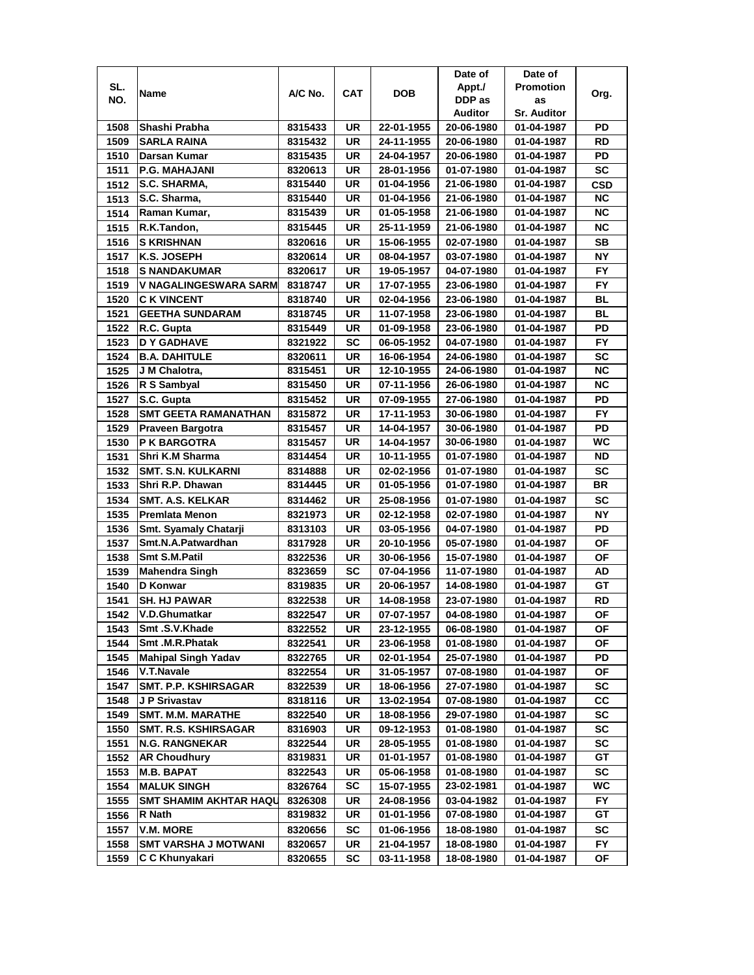|      |                               |         |            |            | Date of    | Date of            |            |
|------|-------------------------------|---------|------------|------------|------------|--------------------|------------|
| SL.  |                               |         |            |            | Appt./     | <b>Promotion</b>   |            |
| NO.  | Name                          | A/C No. | <b>CAT</b> | DOB        | DDP as     | as                 | Org.       |
|      |                               |         |            |            | Auditor    | <b>Sr. Auditor</b> |            |
| 1508 | Shashi Prabha                 | 8315433 | UR         | 22-01-1955 | 20-06-1980 | 01-04-1987         | PD         |
| 1509 | <b>SARLA RAINA</b>            | 8315432 | UR         | 24-11-1955 | 20-06-1980 | 01-04-1987         | RD         |
| 1510 | Darsan Kumar                  | 8315435 | UR         | 24-04-1957 | 20-06-1980 | 01-04-1987         | PD         |
| 1511 | <b>P.G. MAHAJANI</b>          | 8320613 | UR         | 28-01-1956 | 01-07-1980 | 01-04-1987         | SC         |
| 1512 | S.C. SHARMA,                  | 8315440 | UR         | 01-04-1956 | 21-06-1980 | 01-04-1987         | <b>CSD</b> |
| 1513 | S.C. Sharma,                  | 8315440 | UR         | 01-04-1956 | 21-06-1980 | 01-04-1987         | <b>NC</b>  |
| 1514 | Raman Kumar,                  | 8315439 | UR         | 01-05-1958 | 21-06-1980 | 01-04-1987         | <b>NC</b>  |
| 1515 | R.K.Tandon,                   | 8315445 | UR         | 25-11-1959 | 21-06-1980 | 01-04-1987         | ΝC         |
| 1516 | <b>S KRISHNAN</b>             | 8320616 | UR         | 15-06-1955 | 02-07-1980 | 01-04-1987         | SВ         |
| 1517 | K.S. JOSEPH                   | 8320614 | UR         | 08-04-1957 | 03-07-1980 | 01-04-1987         | NΥ         |
| 1518 | <b>S NANDAKUMAR</b>           | 8320617 | UR         | 19-05-1957 | 04-07-1980 | 01-04-1987         | <b>FY</b>  |
| 1519 | V NAGALINGESWARA SARM         | 8318747 | UR         | 17-07-1955 | 23-06-1980 | 01-04-1987         | <b>FY</b>  |
| 1520 | <b>C K VINCENT</b>            | 8318740 | <b>UR</b>  | 02-04-1956 | 23-06-1980 | 01-04-1987         | <b>BL</b>  |
| 1521 | <b>GEETHA SUNDARAM</b>        | 8318745 | UR         | 11-07-1958 | 23-06-1980 | 01-04-1987         | <b>BL</b>  |
| 1522 | R.C. Gupta                    | 8315449 | UR         | 01-09-1958 | 23-06-1980 | 01-04-1987         | PD         |
| 1523 | <b>DY GADHAVE</b>             | 8321922 | SC         | 06-05-1952 | 04-07-1980 | 01-04-1987         | FY.        |
| 1524 | <b>B.A. DAHITULE</b>          | 8320611 | UR         | 16-06-1954 | 24-06-1980 | 01-04-1987         | SC         |
| 1525 | J M Chalotra,                 | 8315451 | UR         | 12-10-1955 | 24-06-1980 | 01-04-1987         | ΝC         |
| 1526 | R S Sambyal                   | 8315450 | UR         | 07-11-1956 | 26-06-1980 | 01-04-1987         | <b>NC</b>  |
|      |                               |         | <b>UR</b>  |            |            |                    | PD         |
| 1527 | S.C. Gupta                    | 8315452 |            | 07-09-1955 | 27-06-1980 | 01-04-1987         |            |
| 1528 | <b>SMT GEETA RAMANATHAN</b>   | 8315872 | UR         | 17-11-1953 | 30-06-1980 | 01-04-1987         | <b>FY</b>  |
| 1529 | <b>Praveen Bargotra</b>       | 8315457 | UR         | 14-04-1957 | 30-06-1980 | 01-04-1987         | PD         |
| 1530 | <b>P K BARGOTRA</b>           | 8315457 | UR         | 14-04-1957 | 30-06-1980 | 01-04-1987         | <b>WC</b>  |
| 1531 | Shri K.M Sharma               | 8314454 | UR         | 10-11-1955 | 01-07-1980 | 01-04-1987         | <b>ND</b>  |
| 1532 | <b>SMT. S.N. KULKARNI</b>     | 8314888 | UR         | 02-02-1956 | 01-07-1980 | 01-04-1987         | SC         |
| 1533 | Shri R.P. Dhawan              | 8314445 | <b>UR</b>  | 01-05-1956 | 01-07-1980 | 01-04-1987         | <b>BR</b>  |
| 1534 | <b>SMT. A.S. KELKAR</b>       | 8314462 | UR         | 25-08-1956 | 01-07-1980 | 01-04-1987         | <b>SC</b>  |
| 1535 | <b>Premlata Menon</b>         | 8321973 | UR         | 02-12-1958 | 02-07-1980 | 01-04-1987         | <b>NY</b>  |
| 1536 | Smt. Syamaly Chatarji         | 8313103 | UR         | 03-05-1956 | 04-07-1980 | 01-04-1987         | PD         |
| 1537 | Smt.N.A.Patwardhan            | 8317928 | <b>UR</b>  | 20-10-1956 | 05-07-1980 | 01-04-1987         | <b>OF</b>  |
| 1538 | Smt S.M.Patil                 | 8322536 | UR         | 30-06-1956 | 15-07-1980 | 01-04-1987         | <b>OF</b>  |
| 1539 | <b>Mahendra Singh</b>         | 8323659 | <b>SC</b>  | 07-04-1956 | 11-07-1980 | 01-04-1987         | AD         |
| 1540 | D Konwar                      | 8319835 | UR         | 20-06-1957 | 14-08-1980 | 01-04-1987         | GТ         |
| 1541 | <b>SH. HJ PAWAR</b>           | 8322538 | UR         | 14-08-1958 | 23-07-1980 | 01-04-1987         | RD         |
| 1542 | V.D.Ghumatkar                 | 8322547 | UR         | 07-07-1957 | 04-08-1980 | 01-04-1987         | OF         |
| 1543 | Smt.S.V.Khade                 | 8322552 | UR         | 23-12-1955 | 06-08-1980 | 01-04-1987         | ΟF         |
| 1544 | Smt.M.R.Phatak                | 8322541 | UR         | 23-06-1958 | 01-08-1980 | 01-04-1987         | ΟF         |
| 1545 | <b>Mahipal Singh Yadav</b>    | 8322765 | UR         | 02-01-1954 | 25-07-1980 | 01-04-1987         | PD         |
| 1546 | V.T.Navale                    | 8322554 | UR         | 31-05-1957 | 07-08-1980 | 01-04-1987         | ΟF         |
| 1547 | <b>SMT. P.P. KSHIRSAGAR</b>   | 8322539 | UR         | 18-06-1956 | 27-07-1980 | 01-04-1987         | SC         |
| 1548 | J P Srivastav                 | 8318116 | UR         | 13-02-1954 | 07-08-1980 | 01-04-1987         | СC         |
| 1549 | <b>SMT. M.M. MARATHE</b>      | 8322540 | UR         | 18-08-1956 | 29-07-1980 | 01-04-1987         | SC         |
| 1550 | <b>SMT. R.S. KSHIRSAGAR</b>   | 8316903 | UR         | 09-12-1953 | 01-08-1980 | 01-04-1987         | SC         |
| 1551 | <b>N.G. RANGNEKAR</b>         | 8322544 | UR         | 28-05-1955 | 01-08-1980 | 01-04-1987         | SC         |
| 1552 | <b>AR Choudhury</b>           | 8319831 | UR         | 01-01-1957 | 01-08-1980 | 01-04-1987         | GT         |
| 1553 | <b>M.B. BAPAT</b>             | 8322543 | UR         | 05-06-1958 | 01-08-1980 | 01-04-1987         | <b>SC</b>  |
| 1554 | <b>MALUK SINGH</b>            | 8326764 | <b>SC</b>  | 15-07-1955 | 23-02-1981 | 01-04-1987         | <b>WC</b>  |
| 1555 | <b>SMT SHAMIM AKHTAR HAQU</b> | 8326308 | UR         | 24-08-1956 | 03-04-1982 | 01-04-1987         | FY         |
| 1556 | R Nath                        | 8319832 | UR         | 01-01-1956 | 07-08-1980 | 01-04-1987         | GТ         |
| 1557 | <b>V.M. MORE</b>              |         | <b>SC</b>  |            |            |                    |            |
|      |                               | 8320656 |            | 01-06-1956 | 18-08-1980 | 01-04-1987         | sc         |
| 1558 | <b>SMT VARSHA J MOTWANI</b>   | 8320657 | UR         | 21-04-1957 | 18-08-1980 | 01-04-1987         | FY.        |
| 1559 | C C Khunyakari                | 8320655 | SC         | 03-11-1958 | 18-08-1980 | 01-04-1987         | ОF         |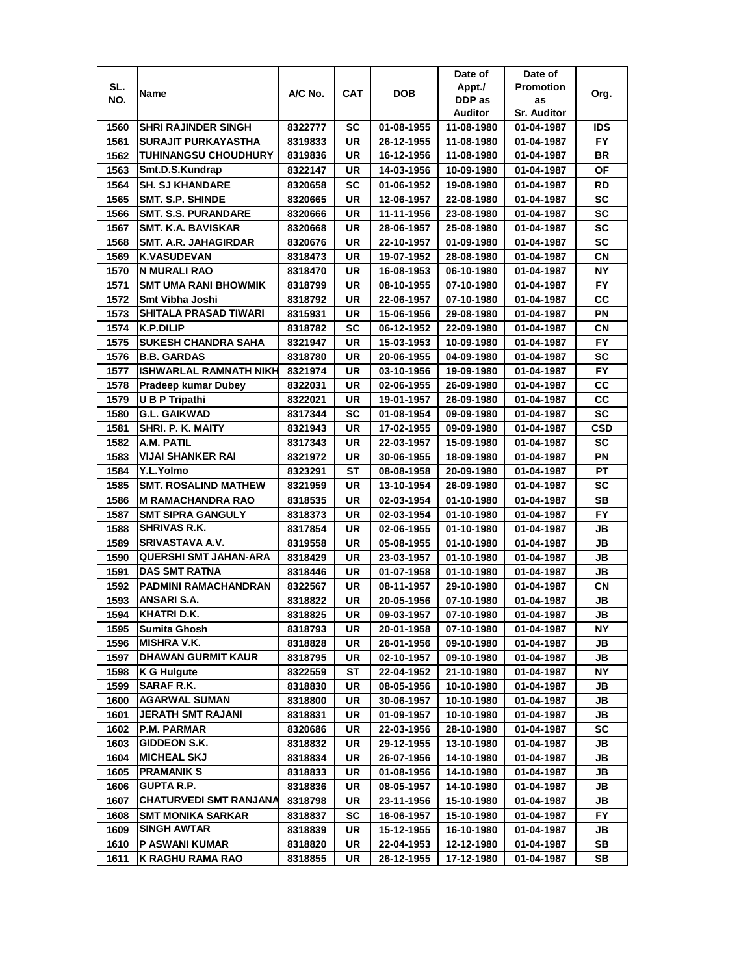|      |                               |         |            |            | Date of    | Date of            |           |
|------|-------------------------------|---------|------------|------------|------------|--------------------|-----------|
| SL.  | Name                          | A/C No. | <b>CAT</b> | DOB        | Appt./     | <b>Promotion</b>   | Org.      |
| NO.  |                               |         |            |            | DDP as     | as                 |           |
|      |                               |         |            |            | Auditor    | <b>Sr. Auditor</b> |           |
| 1560 | <b>SHRI RAJINDER SINGH</b>    | 8322777 | SC         | 01-08-1955 | 11-08-1980 | 01-04-1987         | IDS       |
| 1561 | <b>SURAJIT PURKAYASTHA</b>    | 8319833 | UR         | 26-12-1955 | 11-08-1980 | 01-04-1987         | <b>FY</b> |
| 1562 | <b>TUHINANGSU CHOUDHURY</b>   | 8319836 | UR         | 16-12-1956 | 11-08-1980 | 01-04-1987         | ΒR        |
| 1563 | Smt.D.S.Kundrap               | 8322147 | UR         | 14-03-1956 | 10-09-1980 | 01-04-1987         | ΟF        |
| 1564 | <b>SH. SJ KHANDARE</b>        | 8320658 | SC         | 01-06-1952 | 19-08-1980 | 01-04-1987         | RD        |
| 1565 | <b>SMT. S.P. SHINDE</b>       | 8320665 | UR         | 12-06-1957 | 22-08-1980 | 01-04-1987         | <b>SC</b> |
| 1566 | <b>SMT. S.S. PURANDARE</b>    | 8320666 | UR         | 11-11-1956 | 23-08-1980 | 01-04-1987         | SC        |
| 1567 | <b>SMT. K.A. BAVISKAR</b>     | 8320668 | UR         | 28-06-1957 | 25-08-1980 | 01-04-1987         | <b>SC</b> |
| 1568 | <b>SMT. A.R. JAHAGIRDAR</b>   | 8320676 | UR         | 22-10-1957 | 01-09-1980 | 01-04-1987         | SC        |
| 1569 | <b>K.VASUDEVAN</b>            | 8318473 | UR         | 19-07-1952 | 28-08-1980 | 01-04-1987         | CΝ        |
| 1570 | N MURALI RAO                  | 8318470 | UR         | 16-08-1953 | 06-10-1980 | 01-04-1987         | <b>NY</b> |
| 1571 | <b>SMT UMA RANI BHOWMIK</b>   | 8318799 | UR         | 08-10-1955 | 07-10-1980 | 01-04-1987         | <b>FY</b> |
| 1572 | Smt Vibha Joshi               | 8318792 | UR         | 22-06-1957 | 07-10-1980 | 01-04-1987         | CС        |
| 1573 | SHITALA PRASAD TIWARI         | 8315931 | UR         | 15-06-1956 | 29-08-1980 | 01-04-1987         | PN        |
| 1574 | K.P.DILIP                     | 8318782 | SC         | 06-12-1952 | 22-09-1980 | 01-04-1987         | СN        |
| 1575 | <b>SUKESH CHANDRA SAHA</b>    | 8321947 | UR         | 15-03-1953 | 10-09-1980 | 01-04-1987         | <b>FY</b> |
| 1576 | <b>B.B. GARDAS</b>            | 8318780 | UR         | 20-06-1955 | 04-09-1980 | 01-04-1987         | SC        |
| 1577 | ISHWARLAL RAMNATH NIKH        | 8321974 | UR         | 03-10-1956 | 19-09-1980 | 01-04-1987         | <b>FY</b> |
| 1578 | Pradeep kumar Dubey           | 8322031 | UR         | 02-06-1955 | 26-09-1980 | 01-04-1987         | CC        |
| 1579 | U B P Tripathi                | 8322021 | UR         | 19-01-1957 | 26-09-1980 | 01-04-1987         | CC        |
| 1580 | <b>G.L. GAIKWAD</b>           | 8317344 | SC         | 01-08-1954 | 09-09-1980 | 01-04-1987         | <b>SC</b> |
| 1581 | SHRI. P. K. MAITY             | 8321943 | UR         | 17-02-1955 | 09-09-1980 | 01-04-1987         | CSD       |
| 1582 | A.M. PATIL                    | 8317343 | UR         | 22-03-1957 | 15-09-1980 | 01-04-1987         | <b>SC</b> |
| 1583 | <b>VIJAI SHANKER RAI</b>      | 8321972 | UR         | 30-06-1955 | 18-09-1980 | 01-04-1987         | ΡN        |
| 1584 | Y.L.Yolmo                     | 8323291 | ST         | 08-08-1958 | 20-09-1980 | 01-04-1987         | PT        |
| 1585 | <b>SMT. ROSALIND MATHEW</b>   | 8321959 | UR         | 13-10-1954 | 26-09-1980 | 01-04-1987         | SC        |
| 1586 | <b>M RAMACHANDRA RAO</b>      | 8318535 | <b>UR</b>  | 02-03-1954 | 01-10-1980 | 01-04-1987         | <b>SB</b> |
| 1587 | <b>SMT SIPRA GANGULY</b>      | 8318373 | UR         | 02-03-1954 | 01-10-1980 | 01-04-1987         | <b>FY</b> |
| 1588 | <b>SHRIVAS R.K.</b>           | 8317854 | UR         | 02-06-1955 | 01-10-1980 | 01-04-1987         | JB        |
| 1589 | SRIVASTAVA A.V.               | 8319558 | UR         | 05-08-1955 | 01-10-1980 | 01-04-1987         | JB        |
| 1590 | <b>QUERSHI SMT JAHAN-ARA</b>  | 8318429 | UR         | 23-03-1957 | 01-10-1980 | 01-04-1987         | JB        |
| 1591 | <b>DAS SMT RATNA</b>          | 8318446 | UR         | 01-07-1958 | 01-10-1980 | 01-04-1987         | JB        |
| 1592 | <b>PADMINI RAMACHANDRAN</b>   | 8322567 | UR         | 08-11-1957 | 29-10-1980 | 01-04-1987         | СN        |
| 1593 | ANSARI S.A.                   | 8318822 | UR         | 20-05-1956 | 07-10-1980 | 01-04-1987         | JB        |
| 1594 | KHATRI D.K.                   | 8318825 | UR         | 09-03-1957 | 07-10-1980 | 01-04-1987         | JB        |
| 1595 | Sumita Ghosh                  | 8318793 | UR         | 20-01-1958 | 07-10-1980 | 01-04-1987         | NΥ        |
| 1596 | <b>MISHRA V.K.</b>            | 8318828 | UR         | 26-01-1956 | 09-10-1980 | 01-04-1987         | JB        |
| 1597 | <b>DHAWAN GURMIT KAUR</b>     | 8318795 | UR         | 02-10-1957 | 09-10-1980 | 01-04-1987         | JB        |
| 1598 | K G Hulgute                   | 8322559 | ST         | 22-04-1952 | 21-10-1980 | 01-04-1987         | NΥ        |
| 1599 | SARAF R.K.                    | 8318830 | UR         | 08-05-1956 | 10-10-1980 | 01-04-1987         | JB        |
| 1600 | <b>AGARWAL SUMAN</b>          | 8318800 | UR         | 30-06-1957 | 10-10-1980 | 01-04-1987         | JB        |
| 1601 | JERATH SMT RAJANI             | 8318831 | UR         | 01-09-1957 | 10-10-1980 | 01-04-1987         | JB        |
| 1602 | <b>P.M. PARMAR</b>            | 8320686 | UR         | 22-03-1956 | 28-10-1980 | 01-04-1987         | SC        |
| 1603 | GIDDEON S.K.                  | 8318832 | UR         | 29-12-1955 | 13-10-1980 | 01-04-1987         | JB        |
| 1604 | <b>MICHEAL SKJ</b>            | 8318834 | UR         | 26-07-1956 | 14-10-1980 | 01-04-1987         | JB        |
| 1605 | <b>PRAMANIK S</b>             | 8318833 | UR         | 01-08-1956 | 14-10-1980 | 01-04-1987         | JB        |
| 1606 | <b>GUPTA R.P.</b>             | 8318836 | UR         | 08-05-1957 | 14-10-1980 | 01-04-1987         | JB        |
| 1607 | <b>CHATURVEDI SMT RANJANA</b> | 8318798 | UR         | 23-11-1956 | 15-10-1980 | 01-04-1987         | JB        |
| 1608 | SMT MONIKA SARKAR             | 8318837 | SC         | 16-06-1957 | 15-10-1980 | 01-04-1987         | FY.       |
| 1609 | <b>SINGH AWTAR</b>            | 8318839 | UR         | 15-12-1955 | 16-10-1980 | 01-04-1987         | JB        |
| 1610 | P ASWANI KUMAR                | 8318820 | UR         | 22-04-1953 | 12-12-1980 | 01-04-1987         | SB        |
| 1611 | K RAGHU RAMA RAO              | 8318855 | UR         | 26-12-1955 | 17-12-1980 | 01-04-1987         | SB        |
|      |                               |         |            |            |            |                    |           |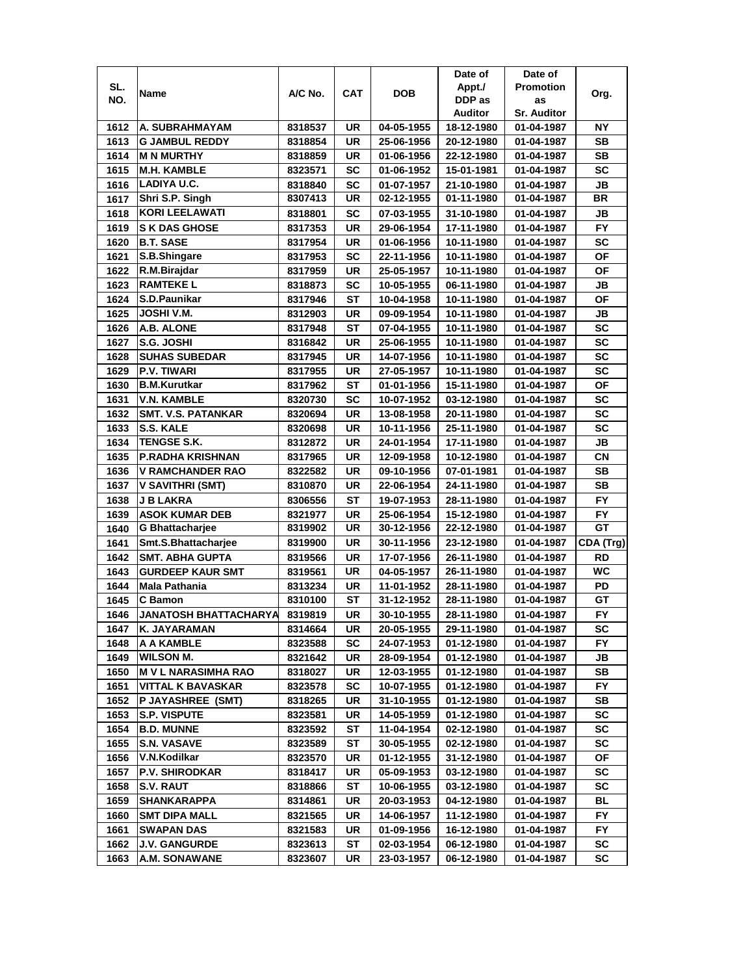|      |                              |         |            |            | Date of    | Date of                  |           |
|------|------------------------------|---------|------------|------------|------------|--------------------------|-----------|
| SL.  |                              | A/C No. | <b>CAT</b> | <b>DOB</b> | Appt./     | <b>Promotion</b>         |           |
| NO.  | Name                         |         |            |            | DDP as     | as                       | Org.      |
|      |                              |         |            |            | Auditor    | <b>Sr. Auditor</b>       |           |
| 1612 | A. SUBRAHMAYAM               | 8318537 | UR         | 04-05-1955 | 18-12-1980 | 01-04-1987               | ΝY        |
| 1613 | <b>G JAMBUL REDDY</b>        | 8318854 | UR         | 25-06-1956 | 20-12-1980 | 01-04-1987               | SВ        |
| 1614 | <b>M N MURTHY</b>            | 8318859 | UR         | 01-06-1956 | 22-12-1980 | 01-04-1987               | SB        |
| 1615 | <b>M.H. KAMBLE</b>           | 8323571 | SC         | 01-06-1952 | 15-01-1981 | 01-04-1987               | SC        |
| 1616 | LADIYA U.C.                  | 8318840 | <b>SC</b>  | 01-07-1957 | 21-10-1980 | 01-04-1987               | JB        |
| 1617 | Shri S.P. Singh              | 8307413 | <b>UR</b>  | 02-12-1955 | 01-11-1980 | 01-04-1987               | <b>BR</b> |
| 1618 | KORI LEELAWATI               | 8318801 | <b>SC</b>  | 07-03-1955 | 31-10-1980 | 01-04-1987               | JВ        |
| 1619 | <b>S K DAS GHOSE</b>         | 8317353 | UR         | 29-06-1954 | 17-11-1980 | 01-04-1987               | <b>FY</b> |
| 1620 | <b>B.T. SASE</b>             | 8317954 | UR         | 01-06-1956 | 10-11-1980 | 01-04-1987               | <b>SC</b> |
| 1621 | S.B.Shingare                 | 8317953 | SC         | 22-11-1956 | 10-11-1980 | 01-04-1987               | ΟF        |
| 1622 | R.M.Birajdar                 | 8317959 | UR         | 25-05-1957 | 10-11-1980 | 01-04-1987               | <b>OF</b> |
| 1623 | <b>RAMTEKEL</b>              | 8318873 | SC         | 10-05-1955 | 06-11-1980 | 01-04-1987               | JВ        |
| 1624 | S.D.Paunikar                 | 8317946 | <b>ST</b>  | 10-04-1958 | 10-11-1980 | 01-04-1987               | OF        |
| 1625 | JOSHI V.M.                   | 8312903 | UR         | 09-09-1954 | 10-11-1980 | 01-04-1987               | JB        |
| 1626 | A.B. ALONE                   | 8317948 | ST         | 07-04-1955 | 10-11-1980 | 01-04-1987               | <b>SC</b> |
| 1627 | S.G. JOSHI                   | 8316842 | UR         | 25-06-1955 | 10-11-1980 | 01-04-1987               | SC        |
| 1628 | <b>SUHAS SUBEDAR</b>         | 8317945 | <b>UR</b>  | 14-07-1956 | 10-11-1980 | 01-04-1987               | SC        |
| 1629 | <b>P.V. TIWARI</b>           | 8317955 | UR         | 27-05-1957 | 10-11-1980 | 01-04-1987               | SC        |
| 1630 | <b>B.M.Kurutkar</b>          | 8317962 | SТ         | 01-01-1956 | 15-11-1980 | 01-04-1987               | ΟF        |
| 1631 | <b>V.N. KAMBLE</b>           | 8320730 | SC         | 10-07-1952 | 03-12-1980 | 01-04-1987               | SC        |
| 1632 | <b>SMT. V.S. PATANKAR</b>    | 8320694 | UR         | 13-08-1958 | 20-11-1980 | 01-04-1987               | SC        |
| 1633 | S.S. KALE                    | 8320698 | UR         | 10-11-1956 | 25-11-1980 | 01-04-1987               | <b>SC</b> |
| 1634 | <b>TENGSE S.K.</b>           | 8312872 | UR         | 24-01-1954 | 17-11-1980 | 01-04-1987               | JВ        |
| 1635 | P.RADHA KRISHNAN             | 8317965 | <b>UR</b>  | 12-09-1958 | 10-12-1980 | 01-04-1987               | CN        |
| 1636 | <b>V RAMCHANDER RAO</b>      | 8322582 | UR         | 09-10-1956 | 07-01-1981 | 01-04-1987               | <b>SB</b> |
| 1637 | V SAVITHRI (SMT)             | 8310870 | UR         | 22-06-1954 | 24-11-1980 | 01-04-1987               | <b>SB</b> |
| 1638 | <b>J B LAKRA</b>             | 8306556 | ST         | 19-07-1953 | 28-11-1980 | 01-04-1987               | <b>FY</b> |
| 1639 | <b>ASOK KUMAR DEB</b>        | 8321977 | UR         | 25-06-1954 | 15-12-1980 | 01-04-1987               | <b>FY</b> |
| 1640 | <b>G Bhattacharjee</b>       | 8319902 | UR         | 30-12-1956 | 22-12-1980 | 01-04-1987               | GT        |
| 1641 | Smt.S.Bhattacharjee          | 8319900 | <b>UR</b>  | 30-11-1956 | 23-12-1980 | 01-04-1987               | CDA (Trg) |
| 1642 | <b>SMT. ABHA GUPTA</b>       | 8319566 | <b>UR</b>  | 17-07-1956 | 26-11-1980 | 01-04-1987               | <b>RD</b> |
| 1643 | <b>GURDEEP KAUR SMT</b>      |         | UR         | 04-05-1957 | 26-11-1980 |                          | WC        |
| 1644 | <b>Mala Pathania</b>         | 8319561 | UR         |            |            | 01-04-1987               | PD        |
| 1645 | C Bamon                      | 8313234 | <b>ST</b>  | 11-01-1952 | 28-11-1980 | 01-04-1987<br>01-04-1987 | GT        |
|      |                              | 8310100 |            | 31-12-1952 | 28-11-1980 |                          |           |
| 1646 | <b>JANATOSH BHATTACHARYA</b> | 8319819 | UR         | 30-10-1955 | 28-11-1980 | 01-04-1987               | FY        |
| 1647 | K. JAYARAMAN                 | 8314664 | UR         | 20-05-1955 | 29-11-1980 | 01-04-1987               | SC        |
| 1648 | A A KAMBLE                   | 8323588 | SC         | 24-07-1953 | 01-12-1980 | 01-04-1987               | FY.       |
| 1649 | <b>WILSON M.</b>             | 8321642 | UR         | 28-09-1954 | 01-12-1980 | 01-04-1987               | JB        |
| 1650 | <b>MVL NARASIMHA RAO</b>     | 8318027 | UR         | 12-03-1955 | 01-12-1980 | 01-04-1987               | SВ        |
| 1651 | VITTAL K BAVASKAR            | 8323578 | SC         | 10-07-1955 | 01-12-1980 | 01-04-1987               | FY.       |
| 1652 | P JAYASHREE (SMT)            | 8318265 | UR         | 31-10-1955 | 01-12-1980 | 01-04-1987               | SB        |
| 1653 | <b>S.P. VISPUTE</b>          | 8323581 | UR         | 14-05-1959 | 01-12-1980 | 01-04-1987               | SC        |
| 1654 | <b>B.D. MUNNE</b>            | 8323592 | ST         | 11-04-1954 | 02-12-1980 | 01-04-1987               | SC        |
| 1655 | <b>S.N. VASAVE</b>           | 8323589 | ST         | 30-05-1955 | 02-12-1980 | 01-04-1987               | SC        |
| 1656 | V.N.Kodilkar                 | 8323570 | UR         | 01-12-1955 | 31-12-1980 | 01-04-1987               | ΟF        |
| 1657 | <b>P.V. SHIRODKAR</b>        | 8318417 | UR         | 05-09-1953 | 03-12-1980 | 01-04-1987               | SC        |
| 1658 | <b>S.V. RAUT</b>             | 8318866 | ST         | 10-06-1955 | 03-12-1980 | 01-04-1987               | SC        |
| 1659 | <b>SHANKARAPPA</b>           | 8314861 | UR         | 20-03-1953 | 04-12-1980 | 01-04-1987               | BL        |
| 1660 | <b>SMT DIPA MALL</b>         | 8321565 | UR         | 14-06-1957 | 11-12-1980 | 01-04-1987               | FY.       |
| 1661 | <b>SWAPAN DAS</b>            | 8321583 | UR         | 01-09-1956 | 16-12-1980 | 01-04-1987               | FY.       |
| 1662 | J.V. GANGURDE                | 8323613 | ST         | 02-03-1954 | 06-12-1980 | 01-04-1987               | SC        |
| 1663 | <b>A.M. SONAWANE</b>         | 8323607 | UR         | 23-03-1957 | 06-12-1980 | 01-04-1987               | SC        |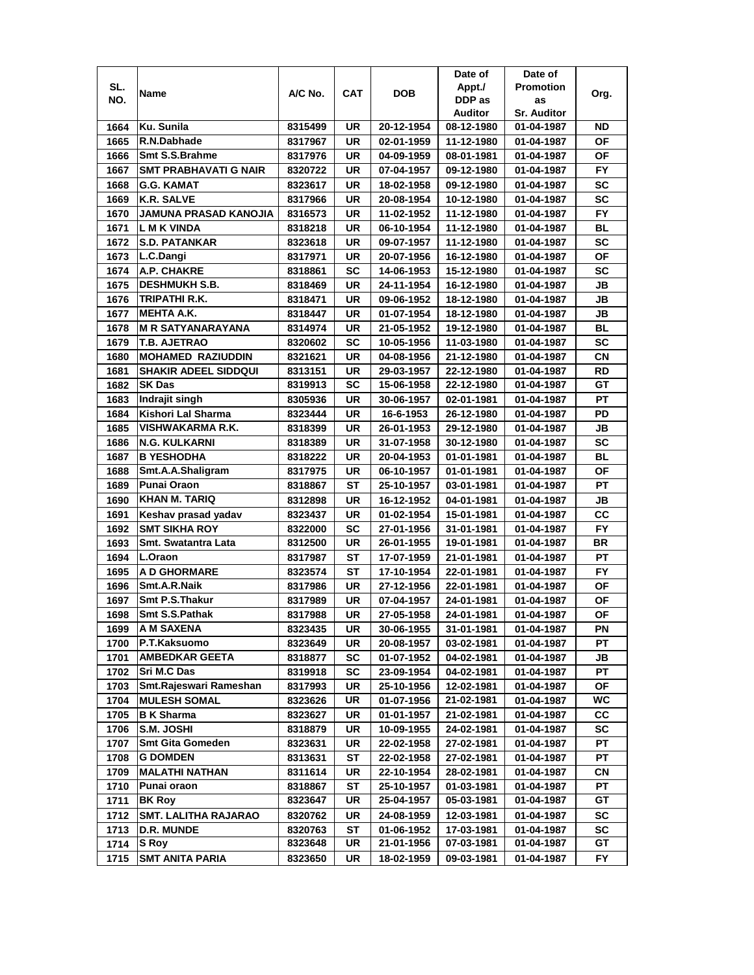|      |                                              |         |            |            | Date of        | Date of            |           |
|------|----------------------------------------------|---------|------------|------------|----------------|--------------------|-----------|
| SL.  |                                              |         |            |            | Appt./         | <b>Promotion</b>   |           |
| NO.  | Name                                         | A/C No. | <b>CAT</b> | <b>DOB</b> | DDP as         | as                 | Org.      |
|      |                                              |         |            |            | <b>Auditor</b> | <b>Sr. Auditor</b> |           |
| 1664 | Ku. Sunila                                   | 8315499 | UR         | 20-12-1954 | 08-12-1980     | 01-04-1987         | ND        |
| 1665 | R.N.Dabhade                                  | 8317967 | UR         | 02-01-1959 | 11-12-1980     | 01-04-1987         | ΟF        |
| 1666 | Smt S.S.Brahme                               | 8317976 | UR         | 04-09-1959 | 08-01-1981     | 01-04-1987         | ΟF        |
| 1667 | <b>SMT PRABHAVATI G NAIR</b>                 | 8320722 | UR         | 07-04-1957 | 09-12-1980     | 01-04-1987         | FY.       |
| 1668 | <b>G.G. KAMAT</b>                            | 8323617 | UR         | 18-02-1958 | 09-12-1980     | 01-04-1987         | <b>SC</b> |
| 1669 | <b>K.R. SALVE</b>                            | 8317966 | UR         | 20-08-1954 | 10-12-1980     | 01-04-1987         | <b>SC</b> |
| 1670 | <b>JAMUNA PRASAD KANOJIA</b>                 | 8316573 | UR         | 11-02-1952 | 11-12-1980     | 01-04-1987         | FY        |
| 1671 | L M K VINDA                                  | 8318218 | UR         | 06-10-1954 | 11-12-1980     | 01-04-1987         | BL        |
| 1672 | <b>S.D. PATANKAR</b>                         | 8323618 | UR         | 09-07-1957 | 11-12-1980     | 01-04-1987         | <b>SC</b> |
| 1673 | L.C.Dangi                                    | 8317971 | UR         | 20-07-1956 | 16-12-1980     | 01-04-1987         | ΟF        |
| 1674 | A.P. CHAKRE                                  | 8318861 | SC         | 14-06-1953 | 15-12-1980     | 01-04-1987         | <b>SC</b> |
| 1675 | <b>DESHMUKH S.B.</b>                         | 8318469 | UR         | 24-11-1954 | 16-12-1980     | 01-04-1987         | JB        |
| 1676 | TRIPATHI R.K.                                | 8318471 | UR         | 09-06-1952 | 18-12-1980     | 01-04-1987         | JВ        |
| 1677 | <b>MEHTA A.K.</b>                            | 8318447 | UR         | 01-07-1954 | 18-12-1980     | 01-04-1987         | JB        |
| 1678 | <b>M R SATYANARAYANA</b>                     | 8314974 | UR         | 21-05-1952 | 19-12-1980     | 01-04-1987         | BL        |
| 1679 | <b>T.B. AJETRAO</b>                          | 8320602 | SC         | 10-05-1956 | 11-03-1980     | 01-04-1987         | SC        |
| 1680 | <b>MOHAMED RAZIUDDIN</b>                     | 8321621 | UR         | 04-08-1956 | 21-12-1980     | 01-04-1987         | СN        |
|      |                                              |         |            |            |                |                    | <b>RD</b> |
| 1681 | <b>SHAKIR ADEEL SIDDQUI</b><br><b>SK Das</b> | 8313151 | UR         | 29-03-1957 | 22-12-1980     | 01-04-1987         | GT        |
| 1682 |                                              | 8319913 | SC         | 15-06-1958 | 22-12-1980     | 01-04-1987         |           |
| 1683 | Indrajit singh                               | 8305936 | UR         | 30-06-1957 | 02-01-1981     | 01-04-1987         | PT        |
| 1684 | Kishori Lal Sharma                           | 8323444 | UR         | 16-6-1953  | 26-12-1980     | 01-04-1987         | PD        |
| 1685 | <b>VISHWAKARMA R.K.</b>                      | 8318399 | UR         | 26-01-1953 | 29-12-1980     | 01-04-1987         | JВ        |
| 1686 | <b>N.G. KULKARNI</b>                         | 8318389 | UR         | 31-07-1958 | 30-12-1980     | 01-04-1987         | <b>SC</b> |
| 1687 | <b>B YESHODHA</b>                            | 8318222 | UR         | 20-04-1953 | 01-01-1981     | 01-04-1987         | BL        |
| 1688 | Smt.A.A.Shaligram                            | 8317975 | UR         | 06-10-1957 | 01-01-1981     | 01-04-1987         | ΟF        |
| 1689 | Punai Oraon                                  | 8318867 | ST         | 25-10-1957 | 03-01-1981     | 01-04-1987         | PT        |
| 1690 | <b>KHAN M. TARIQ</b>                         | 8312898 | UR         | 16-12-1952 | 04-01-1981     | 01-04-1987         | JB        |
| 1691 | Keshav prasad yadav                          | 8323437 | UR         | 01-02-1954 | 15-01-1981     | 01-04-1987         | CC        |
| 1692 | <b>SMT SIKHA ROY</b>                         | 8322000 | SC         | 27-01-1956 | 31-01-1981     | 01-04-1987         | <b>FY</b> |
| 1693 | Smt. Swatantra Lata                          | 8312500 | UR         | 26-01-1955 | 19-01-1981     | 01-04-1987         | <b>BR</b> |
| 1694 | L.Oraon                                      | 8317987 | ST         | 17-07-1959 | 21-01-1981     | 01-04-1987         | PT        |
| 1695 | <b>A D GHORMARE</b>                          | 8323574 | SТ         | 17-10-1954 | 22-01-1981     | 01-04-1987         | <b>FY</b> |
| 1696 | Smt.A.R.Naik                                 | 8317986 | UR         | 27-12-1956 | 22-01-1981     | 01-04-1987         | ΟF        |
| 1697 | Smt P.S.Thakur                               | 8317989 | UR         | 07-04-1957 | 24-01-1981     | 01-04-1987         | ΟF        |
| 1698 | Smt S.S.Pathak                               | 8317988 | UR         | 27-05-1958 | 24-01-1981     | 01-04-1987         | OF        |
| 1699 | A M SAXENA                                   | 8323435 | UR         | 30-06-1955 | 31-01-1981     | 01-04-1987         | ΡN        |
| 1700 | P.T.Kaksuomo                                 | 8323649 | UR         | 20-08-1957 | 03-02-1981     | 01-04-1987         | РT        |
| 1701 | <b>AMBEDKAR GEETA</b>                        | 8318877 | <b>SC</b>  | 01-07-1952 | 04-02-1981     | 01-04-1987         | JB        |
| 1702 | Sri M.C Das                                  | 8319918 | <b>SC</b>  | 23-09-1954 | 04-02-1981     | 01-04-1987         | PТ        |
| 1703 | Smt.Rajeswari Rameshan                       | 8317993 | UR         | 25-10-1956 | 12-02-1981     | 01-04-1987         | ΟF        |
| 1704 | <b>MULESH SOMAL</b>                          | 8323626 | UR         | 01-07-1956 | 21-02-1981     | 01-04-1987         | WC.       |
| 1705 | <b>B</b> K Sharma                            | 8323627 | UR         | 01-01-1957 | 21-02-1981     | 01-04-1987         | СC        |
| 1706 | S.M. JOSHI                                   | 8318879 | UR         | 10-09-1955 | 24-02-1981     | 01-04-1987         | SC        |
| 1707 | <b>Smt Gita Gomeden</b>                      | 8323631 | UR         | 22-02-1958 | 27-02-1981     | 01-04-1987         | РT        |
| 1708 | <b>G DOMDEN</b>                              | 8313631 | ST         | 22-02-1958 | 27-02-1981     | 01-04-1987         | PT        |
| 1709 | <b>MALATHI NATHAN</b>                        | 8311614 | UR         | 22-10-1954 | 28-02-1981     | 01-04-1987         | СN        |
| 1710 | Punai oraon                                  | 8318867 | <b>ST</b>  | 25-10-1957 | 01-03-1981     | 01-04-1987         | PT        |
| 1711 | <b>BK Roy</b>                                | 8323647 | UR         | 25-04-1957 | 05-03-1981     | 01-04-1987         | GТ        |
| 1712 | <b>SMT. LALITHA RAJARAO</b>                  | 8320762 | UR         | 24-08-1959 | 12-03-1981     | 01-04-1987         | SC        |
| 1713 | <b>D.R. MUNDE</b>                            | 8320763 | ST         | 01-06-1952 | 17-03-1981     | 01-04-1987         | SC        |
| 1714 | S Roy                                        | 8323648 | UR         | 21-01-1956 | 07-03-1981     | 01-04-1987         | GT        |
| 1715 | SMT ANITA PARIA                              | 8323650 | UR         | 18-02-1959 | 09-03-1981     | 01-04-1987         | FY.       |
|      |                                              |         |            |            |                |                    |           |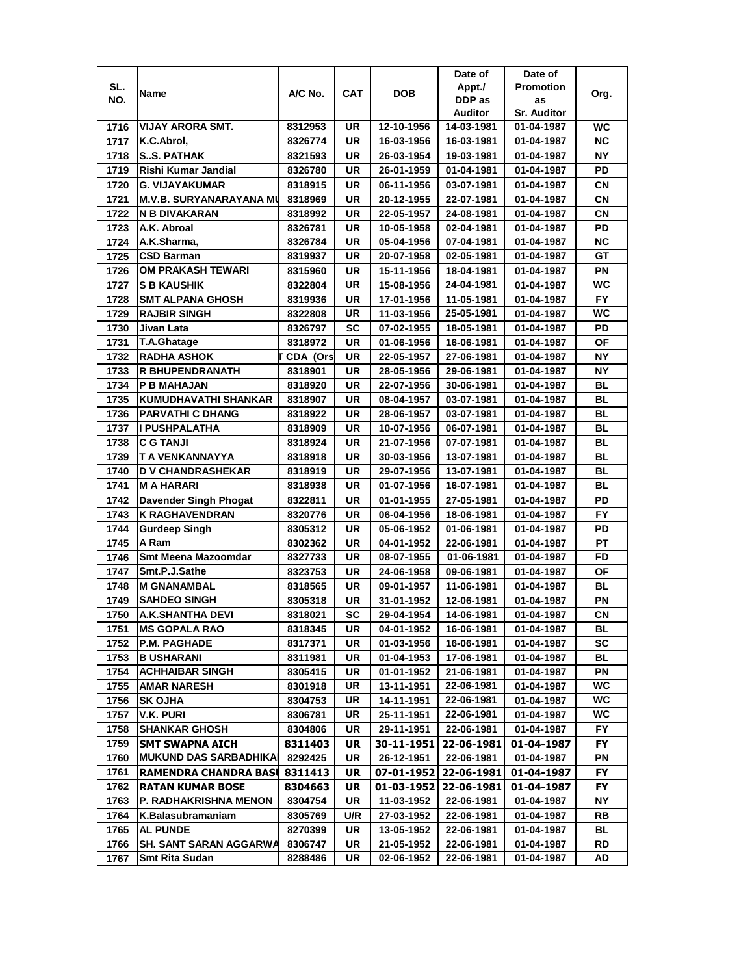| SL.<br><b>Promotion</b><br>Appt./<br>A/C No.<br>CAT<br><b>DOB</b><br>Name<br>Org.<br>DDP as<br>NO.<br>as<br>Auditor<br><b>Sr. Auditor</b><br>VIJAY ARORA SMT.<br>UR<br>12-10-1956<br>1716<br>8312953<br>14-03-1981<br>01-04-1987<br>WC<br>UR<br>ΝC<br>1717<br>K.C.Abrol,<br>8326774<br>16-03-1956<br>16-03-1981<br>01-04-1987<br><b>NY</b><br>1718<br><b>SS. PATHAK</b><br>UR<br>8321593<br>26-03-1954<br>19-03-1981<br>01-04-1987<br>PD<br>1719<br>Rishi Kumar Jandial<br>UR<br>01-04-1981<br>8326780<br>26-01-1959<br>01-04-1987<br><b>CN</b><br>1720<br><b>G. VIJAYAKUMAR</b><br>UR<br>06-11-1956<br>03-07-1981<br>8318915<br>01-04-1987<br><b>CN</b><br>1721<br><b>M.V.B. SURYANARAYANA MU</b><br>UR<br>8318969<br>20-12-1955<br>22-07-1981<br>01-04-1987<br>1722<br><b>CN</b><br>IN B DIVAKARAN<br>UR<br>8318992<br>22-05-1957<br>24-08-1981<br>01-04-1987<br>PD<br>1723<br>A.K. Abroal<br>UR<br>8326781<br>10-05-1958<br>02-04-1981<br>01-04-1987<br><b>NC</b><br>A.K.Sharma,<br>UR<br>1724<br>8326784<br>05-04-1956<br>07-04-1981<br>01-04-1987<br>UR<br>GТ<br><b>CSD Barman</b><br>8319937<br>20-07-1958<br>02-05-1981<br>01-04-1987<br>1725<br><b>OM PRAKASH TEWARI</b><br>PN<br>1726<br>UR<br>8315960<br>15-11-1956<br>18-04-1981<br>01-04-1987<br>WC<br>UR<br>24-04-1981<br>1727<br><b>S B KAUSHIK</b><br>8322804<br>15-08-1956<br>01-04-1987<br>1728<br><b>UR</b><br><b>FY</b><br><b>SMT ALPANA GHOSH</b><br>8319936<br>17-01-1956<br>11-05-1981<br>01-04-1987<br>WC<br>UR<br>1729<br>25-05-1981<br><b>RAJBIR SINGH</b><br>11-03-1956<br>8322808<br>01-04-1987<br>PD<br>1730<br>Jivan Lata<br>SC<br>8326797<br>07-02-1955<br>18-05-1981<br>01-04-1987<br>T.A.Ghatage<br>1731<br>UR<br>ΟF<br>8318972<br>01-06-1956<br>16-06-1981<br>01-04-1987<br>1732<br>UR<br>22-05-1957<br>27-06-1981<br>NΥ<br><b>RADHA ASHOK</b><br>CDA (Ors<br>01-04-1987<br>1733<br>UR<br>NΥ<br><b>R BHUPENDRANATH</b><br>8318901<br>28-05-1956<br>29-06-1981<br>01-04-1987<br>1734<br><b>P B MAHAJAN</b><br>8318920<br>UR<br>22-07-1956<br>30-06-1981<br>01-04-1987<br>BL<br>BL<br>1735<br>KUMUDHAVATHI SHANKAR<br>UR<br>8318907<br>08-04-1957<br>03-07-1981<br>01-04-1987<br><b>BL</b><br>1736<br><b>PARVATHI C DHANG</b><br>UR<br>8318922<br>28-06-1957<br>03-07-1981<br>01-04-1987<br><b>BL</b><br>1737<br> I PUSHPALATHA<br>UR<br>06-07-1981<br>8318909<br>10-07-1956<br>01-04-1987<br><b>BL</b><br>1738<br><b>C G TANJI</b><br>UR<br>8318924<br>21-07-1956<br>07-07-1981<br>01-04-1987<br>1739<br>T A VENKANNAYYA<br><b>BL</b><br>UR<br>8318918<br>30-03-1956<br>13-07-1981<br>01-04-1987<br><b>BL</b><br>1740<br><b>D V CHANDRASHEKAR</b><br>UR<br>8318919<br>29-07-1956<br>13-07-1981<br>01-04-1987<br>BL<br>1741<br><b>M A HARARI</b><br>UR<br>16-07-1981<br>8318938<br>01-07-1956<br>01-04-1987<br>1742<br>UR<br>PD<br><b>Davender Singh Phogat</b><br>8322811<br>01-01-1955<br>27-05-1981<br>01-04-1987<br>1743<br><b>UR</b><br><b>FY</b><br><b>K RAGHAVENDRAN</b><br>06-04-1956<br>18-06-1981<br>8320776<br>01-04-1987<br>1744<br><b>UR</b><br>PD<br>8305312<br>05-06-1952<br>01-06-1981<br><b>Gurdeep Singh</b><br>01-04-1987<br>A Ram<br><b>PT</b><br>1745<br>UR<br>04-01-1952<br>22-06-1981<br>01-04-1987<br>8302362<br><b>Smt Meena Mazoomdar</b><br>UR<br>08-07-1955<br>FD<br>1746<br>8327733<br>01-06-1981<br>01-04-1987<br>Smt.P.J.Sathe<br><b>OF</b><br>1747<br>UR<br>8323753<br>24-06-1958<br>09-06-1981<br>01-04-1987<br>1748<br>UR<br>BL<br><b>M GNANAMBAL</b><br>09-01-1957<br>11-06-1981<br>8318565<br>01-04-1987<br><b>SAHDEO SINGH</b><br>PN<br>1749<br>UR<br>8305318<br>31-01-1952<br>12-06-1981<br>01-04-1987<br>1750<br>SC<br>CN<br><b>A.K.SHANTHA DEVI</b><br>8318021<br>29-04-1954<br>14-06-1981<br>01-04-1987<br>1751<br><b>MS GOPALA RAO</b><br>8318345<br>UR<br>04-01-1952<br>16-06-1981<br>01-04-1987<br>BL<br>1752<br><b>P.M. PAGHADE</b><br>8317371<br>UR<br>01-03-1956<br>16-06-1981<br>01-04-1987<br>sc<br><b>BL</b><br>1753<br><b>B USHARANI</b><br>8311981<br>UR<br>01-04-1953<br>17-06-1981<br>01-04-1987<br><b>ACHHAIBAR SINGH</b><br>1754<br>8305415<br>01-01-1952<br>21-06-1981<br>ΡN<br>UR<br>01-04-1987<br>UR<br>WC.<br>22-06-1981<br><b>AMAR NARESH</b><br>1755<br>8301918<br>13-11-1951<br>01-04-1987<br>UR<br>22-06-1981<br>WC.<br>14-11-1951<br>1756<br><b>SK OJHA</b><br>8304753<br>01-04-1987<br>UR<br>22-06-1981<br>WC.<br>V.K. PURI<br>25-11-1951<br>1757<br>8306781<br>01-04-1987<br>1758<br><b>SHANKAR GHOSH</b><br>8304806<br>UR<br>29-11-1951<br>22-06-1981<br>01-04-1987<br>FY.<br>1759<br><b>SMT SWAPNA AICH</b><br>8311403<br>UR<br>30-11-1951<br>22-06-1981<br>01-04-1987<br>FY.<br><b>MUKUND DAS SARBADHIKA</b><br>UR<br>ΡN<br>1760<br>8292425<br>26-12-1951<br>22-06-1981<br>01-04-1987<br>1761<br><b>RAMENDRA CHANDRA BASI</b><br>8311413<br>UR<br>07-01-1952<br>22-06-1981<br><b>FY</b><br>01-04-1987<br>1762<br><b>RATAN KUMAR BOSE</b><br>01-03-1952<br>8304663<br>UR<br>22-06-1981<br>01-04-1987<br>FY.<br><b>P. RADHAKRISHNA MENON</b><br>NΥ<br>1763<br>8304754<br>UR<br>11-03-1952<br>22-06-1981<br>01-04-1987<br>1764<br>K.Balasubramaniam<br>8305769<br>U/R<br>27-03-1952<br>22-06-1981<br>01-04-1987<br>RB<br>1765<br><b>AL PUNDE</b><br>8270399<br>UR<br>13-05-1952<br>22-06-1981<br>BL<br>01-04-1987<br>SH. SANT SARAN AGGARWA<br>UR<br>21-05-1952<br>RD<br>1766<br>8306747<br>22-06-1981<br>01-04-1987<br>1767<br>Smt Rita Sudan<br>8288486<br>UR<br>02-06-1952<br>22-06-1981<br>01-04-1987<br>AD |  |  | Date of | Date of |  |
|-------------------------------------------------------------------------------------------------------------------------------------------------------------------------------------------------------------------------------------------------------------------------------------------------------------------------------------------------------------------------------------------------------------------------------------------------------------------------------------------------------------------------------------------------------------------------------------------------------------------------------------------------------------------------------------------------------------------------------------------------------------------------------------------------------------------------------------------------------------------------------------------------------------------------------------------------------------------------------------------------------------------------------------------------------------------------------------------------------------------------------------------------------------------------------------------------------------------------------------------------------------------------------------------------------------------------------------------------------------------------------------------------------------------------------------------------------------------------------------------------------------------------------------------------------------------------------------------------------------------------------------------------------------------------------------------------------------------------------------------------------------------------------------------------------------------------------------------------------------------------------------------------------------------------------------------------------------------------------------------------------------------------------------------------------------------------------------------------------------------------------------------------------------------------------------------------------------------------------------------------------------------------------------------------------------------------------------------------------------------------------------------------------------------------------------------------------------------------------------------------------------------------------------------------------------------------------------------------------------------------------------------------------------------------------------------------------------------------------------------------------------------------------------------------------------------------------------------------------------------------------------------------------------------------------------------------------------------------------------------------------------------------------------------------------------------------------------------------------------------------------------------------------------------------------------------------------------------------------------------------------------------------------------------------------------------------------------------------------------------------------------------------------------------------------------------------------------------------------------------------------------------------------------------------------------------------------------------------------------------------------------------------------------------------------------------------------------------------------------------------------------------------------------------------------------------------------------------------------------------------------------------------------------------------------------------------------------------------------------------------------------------------------------------------------------------------------------------------------------------------------------------------------------------------------------------------------------------------------------------------------------------------------------------------------------------------------------------------------------------------------------------------------------------------------------------------------------------------------------------------------------------------------------------------------------------------------------------------------------------------------------------------------------------------------------------------------------------------------------------------------------------------------------------------------------------------------------------------------------------------------------------------------------------------------------------------------------------------------------------------------------------------------------------------------------------------------------------------------------------------------------------------------------------------------------------------------------------------------------------------------------------------------------------------------------------------------------------------------------------------------------------------------------------------------------------------------------------|--|--|---------|---------|--|
|                                                                                                                                                                                                                                                                                                                                                                                                                                                                                                                                                                                                                                                                                                                                                                                                                                                                                                                                                                                                                                                                                                                                                                                                                                                                                                                                                                                                                                                                                                                                                                                                                                                                                                                                                                                                                                                                                                                                                                                                                                                                                                                                                                                                                                                                                                                                                                                                                                                                                                                                                                                                                                                                                                                                                                                                                                                                                                                                                                                                                                                                                                                                                                                                                                                                                                                                                                                                                                                                                                                                                                                                                                                                                                                                                                                                                                                                                                                                                                                                                                                                                                                                                                                                                                                                                                                                                                                                                                                                                                                                                                                                                                                                                                                                                                                                                                                                                                                                                                                                                                                                                                                                                                                                                                                                                                                                                                                                                                                                   |  |  |         |         |  |
|                                                                                                                                                                                                                                                                                                                                                                                                                                                                                                                                                                                                                                                                                                                                                                                                                                                                                                                                                                                                                                                                                                                                                                                                                                                                                                                                                                                                                                                                                                                                                                                                                                                                                                                                                                                                                                                                                                                                                                                                                                                                                                                                                                                                                                                                                                                                                                                                                                                                                                                                                                                                                                                                                                                                                                                                                                                                                                                                                                                                                                                                                                                                                                                                                                                                                                                                                                                                                                                                                                                                                                                                                                                                                                                                                                                                                                                                                                                                                                                                                                                                                                                                                                                                                                                                                                                                                                                                                                                                                                                                                                                                                                                                                                                                                                                                                                                                                                                                                                                                                                                                                                                                                                                                                                                                                                                                                                                                                                                                   |  |  |         |         |  |
|                                                                                                                                                                                                                                                                                                                                                                                                                                                                                                                                                                                                                                                                                                                                                                                                                                                                                                                                                                                                                                                                                                                                                                                                                                                                                                                                                                                                                                                                                                                                                                                                                                                                                                                                                                                                                                                                                                                                                                                                                                                                                                                                                                                                                                                                                                                                                                                                                                                                                                                                                                                                                                                                                                                                                                                                                                                                                                                                                                                                                                                                                                                                                                                                                                                                                                                                                                                                                                                                                                                                                                                                                                                                                                                                                                                                                                                                                                                                                                                                                                                                                                                                                                                                                                                                                                                                                                                                                                                                                                                                                                                                                                                                                                                                                                                                                                                                                                                                                                                                                                                                                                                                                                                                                                                                                                                                                                                                                                                                   |  |  |         |         |  |
|                                                                                                                                                                                                                                                                                                                                                                                                                                                                                                                                                                                                                                                                                                                                                                                                                                                                                                                                                                                                                                                                                                                                                                                                                                                                                                                                                                                                                                                                                                                                                                                                                                                                                                                                                                                                                                                                                                                                                                                                                                                                                                                                                                                                                                                                                                                                                                                                                                                                                                                                                                                                                                                                                                                                                                                                                                                                                                                                                                                                                                                                                                                                                                                                                                                                                                                                                                                                                                                                                                                                                                                                                                                                                                                                                                                                                                                                                                                                                                                                                                                                                                                                                                                                                                                                                                                                                                                                                                                                                                                                                                                                                                                                                                                                                                                                                                                                                                                                                                                                                                                                                                                                                                                                                                                                                                                                                                                                                                                                   |  |  |         |         |  |
|                                                                                                                                                                                                                                                                                                                                                                                                                                                                                                                                                                                                                                                                                                                                                                                                                                                                                                                                                                                                                                                                                                                                                                                                                                                                                                                                                                                                                                                                                                                                                                                                                                                                                                                                                                                                                                                                                                                                                                                                                                                                                                                                                                                                                                                                                                                                                                                                                                                                                                                                                                                                                                                                                                                                                                                                                                                                                                                                                                                                                                                                                                                                                                                                                                                                                                                                                                                                                                                                                                                                                                                                                                                                                                                                                                                                                                                                                                                                                                                                                                                                                                                                                                                                                                                                                                                                                                                                                                                                                                                                                                                                                                                                                                                                                                                                                                                                                                                                                                                                                                                                                                                                                                                                                                                                                                                                                                                                                                                                   |  |  |         |         |  |
|                                                                                                                                                                                                                                                                                                                                                                                                                                                                                                                                                                                                                                                                                                                                                                                                                                                                                                                                                                                                                                                                                                                                                                                                                                                                                                                                                                                                                                                                                                                                                                                                                                                                                                                                                                                                                                                                                                                                                                                                                                                                                                                                                                                                                                                                                                                                                                                                                                                                                                                                                                                                                                                                                                                                                                                                                                                                                                                                                                                                                                                                                                                                                                                                                                                                                                                                                                                                                                                                                                                                                                                                                                                                                                                                                                                                                                                                                                                                                                                                                                                                                                                                                                                                                                                                                                                                                                                                                                                                                                                                                                                                                                                                                                                                                                                                                                                                                                                                                                                                                                                                                                                                                                                                                                                                                                                                                                                                                                                                   |  |  |         |         |  |
|                                                                                                                                                                                                                                                                                                                                                                                                                                                                                                                                                                                                                                                                                                                                                                                                                                                                                                                                                                                                                                                                                                                                                                                                                                                                                                                                                                                                                                                                                                                                                                                                                                                                                                                                                                                                                                                                                                                                                                                                                                                                                                                                                                                                                                                                                                                                                                                                                                                                                                                                                                                                                                                                                                                                                                                                                                                                                                                                                                                                                                                                                                                                                                                                                                                                                                                                                                                                                                                                                                                                                                                                                                                                                                                                                                                                                                                                                                                                                                                                                                                                                                                                                                                                                                                                                                                                                                                                                                                                                                                                                                                                                                                                                                                                                                                                                                                                                                                                                                                                                                                                                                                                                                                                                                                                                                                                                                                                                                                                   |  |  |         |         |  |
|                                                                                                                                                                                                                                                                                                                                                                                                                                                                                                                                                                                                                                                                                                                                                                                                                                                                                                                                                                                                                                                                                                                                                                                                                                                                                                                                                                                                                                                                                                                                                                                                                                                                                                                                                                                                                                                                                                                                                                                                                                                                                                                                                                                                                                                                                                                                                                                                                                                                                                                                                                                                                                                                                                                                                                                                                                                                                                                                                                                                                                                                                                                                                                                                                                                                                                                                                                                                                                                                                                                                                                                                                                                                                                                                                                                                                                                                                                                                                                                                                                                                                                                                                                                                                                                                                                                                                                                                                                                                                                                                                                                                                                                                                                                                                                                                                                                                                                                                                                                                                                                                                                                                                                                                                                                                                                                                                                                                                                                                   |  |  |         |         |  |
|                                                                                                                                                                                                                                                                                                                                                                                                                                                                                                                                                                                                                                                                                                                                                                                                                                                                                                                                                                                                                                                                                                                                                                                                                                                                                                                                                                                                                                                                                                                                                                                                                                                                                                                                                                                                                                                                                                                                                                                                                                                                                                                                                                                                                                                                                                                                                                                                                                                                                                                                                                                                                                                                                                                                                                                                                                                                                                                                                                                                                                                                                                                                                                                                                                                                                                                                                                                                                                                                                                                                                                                                                                                                                                                                                                                                                                                                                                                                                                                                                                                                                                                                                                                                                                                                                                                                                                                                                                                                                                                                                                                                                                                                                                                                                                                                                                                                                                                                                                                                                                                                                                                                                                                                                                                                                                                                                                                                                                                                   |  |  |         |         |  |
|                                                                                                                                                                                                                                                                                                                                                                                                                                                                                                                                                                                                                                                                                                                                                                                                                                                                                                                                                                                                                                                                                                                                                                                                                                                                                                                                                                                                                                                                                                                                                                                                                                                                                                                                                                                                                                                                                                                                                                                                                                                                                                                                                                                                                                                                                                                                                                                                                                                                                                                                                                                                                                                                                                                                                                                                                                                                                                                                                                                                                                                                                                                                                                                                                                                                                                                                                                                                                                                                                                                                                                                                                                                                                                                                                                                                                                                                                                                                                                                                                                                                                                                                                                                                                                                                                                                                                                                                                                                                                                                                                                                                                                                                                                                                                                                                                                                                                                                                                                                                                                                                                                                                                                                                                                                                                                                                                                                                                                                                   |  |  |         |         |  |
|                                                                                                                                                                                                                                                                                                                                                                                                                                                                                                                                                                                                                                                                                                                                                                                                                                                                                                                                                                                                                                                                                                                                                                                                                                                                                                                                                                                                                                                                                                                                                                                                                                                                                                                                                                                                                                                                                                                                                                                                                                                                                                                                                                                                                                                                                                                                                                                                                                                                                                                                                                                                                                                                                                                                                                                                                                                                                                                                                                                                                                                                                                                                                                                                                                                                                                                                                                                                                                                                                                                                                                                                                                                                                                                                                                                                                                                                                                                                                                                                                                                                                                                                                                                                                                                                                                                                                                                                                                                                                                                                                                                                                                                                                                                                                                                                                                                                                                                                                                                                                                                                                                                                                                                                                                                                                                                                                                                                                                                                   |  |  |         |         |  |
|                                                                                                                                                                                                                                                                                                                                                                                                                                                                                                                                                                                                                                                                                                                                                                                                                                                                                                                                                                                                                                                                                                                                                                                                                                                                                                                                                                                                                                                                                                                                                                                                                                                                                                                                                                                                                                                                                                                                                                                                                                                                                                                                                                                                                                                                                                                                                                                                                                                                                                                                                                                                                                                                                                                                                                                                                                                                                                                                                                                                                                                                                                                                                                                                                                                                                                                                                                                                                                                                                                                                                                                                                                                                                                                                                                                                                                                                                                                                                                                                                                                                                                                                                                                                                                                                                                                                                                                                                                                                                                                                                                                                                                                                                                                                                                                                                                                                                                                                                                                                                                                                                                                                                                                                                                                                                                                                                                                                                                                                   |  |  |         |         |  |
|                                                                                                                                                                                                                                                                                                                                                                                                                                                                                                                                                                                                                                                                                                                                                                                                                                                                                                                                                                                                                                                                                                                                                                                                                                                                                                                                                                                                                                                                                                                                                                                                                                                                                                                                                                                                                                                                                                                                                                                                                                                                                                                                                                                                                                                                                                                                                                                                                                                                                                                                                                                                                                                                                                                                                                                                                                                                                                                                                                                                                                                                                                                                                                                                                                                                                                                                                                                                                                                                                                                                                                                                                                                                                                                                                                                                                                                                                                                                                                                                                                                                                                                                                                                                                                                                                                                                                                                                                                                                                                                                                                                                                                                                                                                                                                                                                                                                                                                                                                                                                                                                                                                                                                                                                                                                                                                                                                                                                                                                   |  |  |         |         |  |
|                                                                                                                                                                                                                                                                                                                                                                                                                                                                                                                                                                                                                                                                                                                                                                                                                                                                                                                                                                                                                                                                                                                                                                                                                                                                                                                                                                                                                                                                                                                                                                                                                                                                                                                                                                                                                                                                                                                                                                                                                                                                                                                                                                                                                                                                                                                                                                                                                                                                                                                                                                                                                                                                                                                                                                                                                                                                                                                                                                                                                                                                                                                                                                                                                                                                                                                                                                                                                                                                                                                                                                                                                                                                                                                                                                                                                                                                                                                                                                                                                                                                                                                                                                                                                                                                                                                                                                                                                                                                                                                                                                                                                                                                                                                                                                                                                                                                                                                                                                                                                                                                                                                                                                                                                                                                                                                                                                                                                                                                   |  |  |         |         |  |
|                                                                                                                                                                                                                                                                                                                                                                                                                                                                                                                                                                                                                                                                                                                                                                                                                                                                                                                                                                                                                                                                                                                                                                                                                                                                                                                                                                                                                                                                                                                                                                                                                                                                                                                                                                                                                                                                                                                                                                                                                                                                                                                                                                                                                                                                                                                                                                                                                                                                                                                                                                                                                                                                                                                                                                                                                                                                                                                                                                                                                                                                                                                                                                                                                                                                                                                                                                                                                                                                                                                                                                                                                                                                                                                                                                                                                                                                                                                                                                                                                                                                                                                                                                                                                                                                                                                                                                                                                                                                                                                                                                                                                                                                                                                                                                                                                                                                                                                                                                                                                                                                                                                                                                                                                                                                                                                                                                                                                                                                   |  |  |         |         |  |
|                                                                                                                                                                                                                                                                                                                                                                                                                                                                                                                                                                                                                                                                                                                                                                                                                                                                                                                                                                                                                                                                                                                                                                                                                                                                                                                                                                                                                                                                                                                                                                                                                                                                                                                                                                                                                                                                                                                                                                                                                                                                                                                                                                                                                                                                                                                                                                                                                                                                                                                                                                                                                                                                                                                                                                                                                                                                                                                                                                                                                                                                                                                                                                                                                                                                                                                                                                                                                                                                                                                                                                                                                                                                                                                                                                                                                                                                                                                                                                                                                                                                                                                                                                                                                                                                                                                                                                                                                                                                                                                                                                                                                                                                                                                                                                                                                                                                                                                                                                                                                                                                                                                                                                                                                                                                                                                                                                                                                                                                   |  |  |         |         |  |
|                                                                                                                                                                                                                                                                                                                                                                                                                                                                                                                                                                                                                                                                                                                                                                                                                                                                                                                                                                                                                                                                                                                                                                                                                                                                                                                                                                                                                                                                                                                                                                                                                                                                                                                                                                                                                                                                                                                                                                                                                                                                                                                                                                                                                                                                                                                                                                                                                                                                                                                                                                                                                                                                                                                                                                                                                                                                                                                                                                                                                                                                                                                                                                                                                                                                                                                                                                                                                                                                                                                                                                                                                                                                                                                                                                                                                                                                                                                                                                                                                                                                                                                                                                                                                                                                                                                                                                                                                                                                                                                                                                                                                                                                                                                                                                                                                                                                                                                                                                                                                                                                                                                                                                                                                                                                                                                                                                                                                                                                   |  |  |         |         |  |
|                                                                                                                                                                                                                                                                                                                                                                                                                                                                                                                                                                                                                                                                                                                                                                                                                                                                                                                                                                                                                                                                                                                                                                                                                                                                                                                                                                                                                                                                                                                                                                                                                                                                                                                                                                                                                                                                                                                                                                                                                                                                                                                                                                                                                                                                                                                                                                                                                                                                                                                                                                                                                                                                                                                                                                                                                                                                                                                                                                                                                                                                                                                                                                                                                                                                                                                                                                                                                                                                                                                                                                                                                                                                                                                                                                                                                                                                                                                                                                                                                                                                                                                                                                                                                                                                                                                                                                                                                                                                                                                                                                                                                                                                                                                                                                                                                                                                                                                                                                                                                                                                                                                                                                                                                                                                                                                                                                                                                                                                   |  |  |         |         |  |
|                                                                                                                                                                                                                                                                                                                                                                                                                                                                                                                                                                                                                                                                                                                                                                                                                                                                                                                                                                                                                                                                                                                                                                                                                                                                                                                                                                                                                                                                                                                                                                                                                                                                                                                                                                                                                                                                                                                                                                                                                                                                                                                                                                                                                                                                                                                                                                                                                                                                                                                                                                                                                                                                                                                                                                                                                                                                                                                                                                                                                                                                                                                                                                                                                                                                                                                                                                                                                                                                                                                                                                                                                                                                                                                                                                                                                                                                                                                                                                                                                                                                                                                                                                                                                                                                                                                                                                                                                                                                                                                                                                                                                                                                                                                                                                                                                                                                                                                                                                                                                                                                                                                                                                                                                                                                                                                                                                                                                                                                   |  |  |         |         |  |
|                                                                                                                                                                                                                                                                                                                                                                                                                                                                                                                                                                                                                                                                                                                                                                                                                                                                                                                                                                                                                                                                                                                                                                                                                                                                                                                                                                                                                                                                                                                                                                                                                                                                                                                                                                                                                                                                                                                                                                                                                                                                                                                                                                                                                                                                                                                                                                                                                                                                                                                                                                                                                                                                                                                                                                                                                                                                                                                                                                                                                                                                                                                                                                                                                                                                                                                                                                                                                                                                                                                                                                                                                                                                                                                                                                                                                                                                                                                                                                                                                                                                                                                                                                                                                                                                                                                                                                                                                                                                                                                                                                                                                                                                                                                                                                                                                                                                                                                                                                                                                                                                                                                                                                                                                                                                                                                                                                                                                                                                   |  |  |         |         |  |
|                                                                                                                                                                                                                                                                                                                                                                                                                                                                                                                                                                                                                                                                                                                                                                                                                                                                                                                                                                                                                                                                                                                                                                                                                                                                                                                                                                                                                                                                                                                                                                                                                                                                                                                                                                                                                                                                                                                                                                                                                                                                                                                                                                                                                                                                                                                                                                                                                                                                                                                                                                                                                                                                                                                                                                                                                                                                                                                                                                                                                                                                                                                                                                                                                                                                                                                                                                                                                                                                                                                                                                                                                                                                                                                                                                                                                                                                                                                                                                                                                                                                                                                                                                                                                                                                                                                                                                                                                                                                                                                                                                                                                                                                                                                                                                                                                                                                                                                                                                                                                                                                                                                                                                                                                                                                                                                                                                                                                                                                   |  |  |         |         |  |
|                                                                                                                                                                                                                                                                                                                                                                                                                                                                                                                                                                                                                                                                                                                                                                                                                                                                                                                                                                                                                                                                                                                                                                                                                                                                                                                                                                                                                                                                                                                                                                                                                                                                                                                                                                                                                                                                                                                                                                                                                                                                                                                                                                                                                                                                                                                                                                                                                                                                                                                                                                                                                                                                                                                                                                                                                                                                                                                                                                                                                                                                                                                                                                                                                                                                                                                                                                                                                                                                                                                                                                                                                                                                                                                                                                                                                                                                                                                                                                                                                                                                                                                                                                                                                                                                                                                                                                                                                                                                                                                                                                                                                                                                                                                                                                                                                                                                                                                                                                                                                                                                                                                                                                                                                                                                                                                                                                                                                                                                   |  |  |         |         |  |
|                                                                                                                                                                                                                                                                                                                                                                                                                                                                                                                                                                                                                                                                                                                                                                                                                                                                                                                                                                                                                                                                                                                                                                                                                                                                                                                                                                                                                                                                                                                                                                                                                                                                                                                                                                                                                                                                                                                                                                                                                                                                                                                                                                                                                                                                                                                                                                                                                                                                                                                                                                                                                                                                                                                                                                                                                                                                                                                                                                                                                                                                                                                                                                                                                                                                                                                                                                                                                                                                                                                                                                                                                                                                                                                                                                                                                                                                                                                                                                                                                                                                                                                                                                                                                                                                                                                                                                                                                                                                                                                                                                                                                                                                                                                                                                                                                                                                                                                                                                                                                                                                                                                                                                                                                                                                                                                                                                                                                                                                   |  |  |         |         |  |
|                                                                                                                                                                                                                                                                                                                                                                                                                                                                                                                                                                                                                                                                                                                                                                                                                                                                                                                                                                                                                                                                                                                                                                                                                                                                                                                                                                                                                                                                                                                                                                                                                                                                                                                                                                                                                                                                                                                                                                                                                                                                                                                                                                                                                                                                                                                                                                                                                                                                                                                                                                                                                                                                                                                                                                                                                                                                                                                                                                                                                                                                                                                                                                                                                                                                                                                                                                                                                                                                                                                                                                                                                                                                                                                                                                                                                                                                                                                                                                                                                                                                                                                                                                                                                                                                                                                                                                                                                                                                                                                                                                                                                                                                                                                                                                                                                                                                                                                                                                                                                                                                                                                                                                                                                                                                                                                                                                                                                                                                   |  |  |         |         |  |
|                                                                                                                                                                                                                                                                                                                                                                                                                                                                                                                                                                                                                                                                                                                                                                                                                                                                                                                                                                                                                                                                                                                                                                                                                                                                                                                                                                                                                                                                                                                                                                                                                                                                                                                                                                                                                                                                                                                                                                                                                                                                                                                                                                                                                                                                                                                                                                                                                                                                                                                                                                                                                                                                                                                                                                                                                                                                                                                                                                                                                                                                                                                                                                                                                                                                                                                                                                                                                                                                                                                                                                                                                                                                                                                                                                                                                                                                                                                                                                                                                                                                                                                                                                                                                                                                                                                                                                                                                                                                                                                                                                                                                                                                                                                                                                                                                                                                                                                                                                                                                                                                                                                                                                                                                                                                                                                                                                                                                                                                   |  |  |         |         |  |
|                                                                                                                                                                                                                                                                                                                                                                                                                                                                                                                                                                                                                                                                                                                                                                                                                                                                                                                                                                                                                                                                                                                                                                                                                                                                                                                                                                                                                                                                                                                                                                                                                                                                                                                                                                                                                                                                                                                                                                                                                                                                                                                                                                                                                                                                                                                                                                                                                                                                                                                                                                                                                                                                                                                                                                                                                                                                                                                                                                                                                                                                                                                                                                                                                                                                                                                                                                                                                                                                                                                                                                                                                                                                                                                                                                                                                                                                                                                                                                                                                                                                                                                                                                                                                                                                                                                                                                                                                                                                                                                                                                                                                                                                                                                                                                                                                                                                                                                                                                                                                                                                                                                                                                                                                                                                                                                                                                                                                                                                   |  |  |         |         |  |
|                                                                                                                                                                                                                                                                                                                                                                                                                                                                                                                                                                                                                                                                                                                                                                                                                                                                                                                                                                                                                                                                                                                                                                                                                                                                                                                                                                                                                                                                                                                                                                                                                                                                                                                                                                                                                                                                                                                                                                                                                                                                                                                                                                                                                                                                                                                                                                                                                                                                                                                                                                                                                                                                                                                                                                                                                                                                                                                                                                                                                                                                                                                                                                                                                                                                                                                                                                                                                                                                                                                                                                                                                                                                                                                                                                                                                                                                                                                                                                                                                                                                                                                                                                                                                                                                                                                                                                                                                                                                                                                                                                                                                                                                                                                                                                                                                                                                                                                                                                                                                                                                                                                                                                                                                                                                                                                                                                                                                                                                   |  |  |         |         |  |
|                                                                                                                                                                                                                                                                                                                                                                                                                                                                                                                                                                                                                                                                                                                                                                                                                                                                                                                                                                                                                                                                                                                                                                                                                                                                                                                                                                                                                                                                                                                                                                                                                                                                                                                                                                                                                                                                                                                                                                                                                                                                                                                                                                                                                                                                                                                                                                                                                                                                                                                                                                                                                                                                                                                                                                                                                                                                                                                                                                                                                                                                                                                                                                                                                                                                                                                                                                                                                                                                                                                                                                                                                                                                                                                                                                                                                                                                                                                                                                                                                                                                                                                                                                                                                                                                                                                                                                                                                                                                                                                                                                                                                                                                                                                                                                                                                                                                                                                                                                                                                                                                                                                                                                                                                                                                                                                                                                                                                                                                   |  |  |         |         |  |
|                                                                                                                                                                                                                                                                                                                                                                                                                                                                                                                                                                                                                                                                                                                                                                                                                                                                                                                                                                                                                                                                                                                                                                                                                                                                                                                                                                                                                                                                                                                                                                                                                                                                                                                                                                                                                                                                                                                                                                                                                                                                                                                                                                                                                                                                                                                                                                                                                                                                                                                                                                                                                                                                                                                                                                                                                                                                                                                                                                                                                                                                                                                                                                                                                                                                                                                                                                                                                                                                                                                                                                                                                                                                                                                                                                                                                                                                                                                                                                                                                                                                                                                                                                                                                                                                                                                                                                                                                                                                                                                                                                                                                                                                                                                                                                                                                                                                                                                                                                                                                                                                                                                                                                                                                                                                                                                                                                                                                                                                   |  |  |         |         |  |
|                                                                                                                                                                                                                                                                                                                                                                                                                                                                                                                                                                                                                                                                                                                                                                                                                                                                                                                                                                                                                                                                                                                                                                                                                                                                                                                                                                                                                                                                                                                                                                                                                                                                                                                                                                                                                                                                                                                                                                                                                                                                                                                                                                                                                                                                                                                                                                                                                                                                                                                                                                                                                                                                                                                                                                                                                                                                                                                                                                                                                                                                                                                                                                                                                                                                                                                                                                                                                                                                                                                                                                                                                                                                                                                                                                                                                                                                                                                                                                                                                                                                                                                                                                                                                                                                                                                                                                                                                                                                                                                                                                                                                                                                                                                                                                                                                                                                                                                                                                                                                                                                                                                                                                                                                                                                                                                                                                                                                                                                   |  |  |         |         |  |
|                                                                                                                                                                                                                                                                                                                                                                                                                                                                                                                                                                                                                                                                                                                                                                                                                                                                                                                                                                                                                                                                                                                                                                                                                                                                                                                                                                                                                                                                                                                                                                                                                                                                                                                                                                                                                                                                                                                                                                                                                                                                                                                                                                                                                                                                                                                                                                                                                                                                                                                                                                                                                                                                                                                                                                                                                                                                                                                                                                                                                                                                                                                                                                                                                                                                                                                                                                                                                                                                                                                                                                                                                                                                                                                                                                                                                                                                                                                                                                                                                                                                                                                                                                                                                                                                                                                                                                                                                                                                                                                                                                                                                                                                                                                                                                                                                                                                                                                                                                                                                                                                                                                                                                                                                                                                                                                                                                                                                                                                   |  |  |         |         |  |
|                                                                                                                                                                                                                                                                                                                                                                                                                                                                                                                                                                                                                                                                                                                                                                                                                                                                                                                                                                                                                                                                                                                                                                                                                                                                                                                                                                                                                                                                                                                                                                                                                                                                                                                                                                                                                                                                                                                                                                                                                                                                                                                                                                                                                                                                                                                                                                                                                                                                                                                                                                                                                                                                                                                                                                                                                                                                                                                                                                                                                                                                                                                                                                                                                                                                                                                                                                                                                                                                                                                                                                                                                                                                                                                                                                                                                                                                                                                                                                                                                                                                                                                                                                                                                                                                                                                                                                                                                                                                                                                                                                                                                                                                                                                                                                                                                                                                                                                                                                                                                                                                                                                                                                                                                                                                                                                                                                                                                                                                   |  |  |         |         |  |
|                                                                                                                                                                                                                                                                                                                                                                                                                                                                                                                                                                                                                                                                                                                                                                                                                                                                                                                                                                                                                                                                                                                                                                                                                                                                                                                                                                                                                                                                                                                                                                                                                                                                                                                                                                                                                                                                                                                                                                                                                                                                                                                                                                                                                                                                                                                                                                                                                                                                                                                                                                                                                                                                                                                                                                                                                                                                                                                                                                                                                                                                                                                                                                                                                                                                                                                                                                                                                                                                                                                                                                                                                                                                                                                                                                                                                                                                                                                                                                                                                                                                                                                                                                                                                                                                                                                                                                                                                                                                                                                                                                                                                                                                                                                                                                                                                                                                                                                                                                                                                                                                                                                                                                                                                                                                                                                                                                                                                                                                   |  |  |         |         |  |
|                                                                                                                                                                                                                                                                                                                                                                                                                                                                                                                                                                                                                                                                                                                                                                                                                                                                                                                                                                                                                                                                                                                                                                                                                                                                                                                                                                                                                                                                                                                                                                                                                                                                                                                                                                                                                                                                                                                                                                                                                                                                                                                                                                                                                                                                                                                                                                                                                                                                                                                                                                                                                                                                                                                                                                                                                                                                                                                                                                                                                                                                                                                                                                                                                                                                                                                                                                                                                                                                                                                                                                                                                                                                                                                                                                                                                                                                                                                                                                                                                                                                                                                                                                                                                                                                                                                                                                                                                                                                                                                                                                                                                                                                                                                                                                                                                                                                                                                                                                                                                                                                                                                                                                                                                                                                                                                                                                                                                                                                   |  |  |         |         |  |
|                                                                                                                                                                                                                                                                                                                                                                                                                                                                                                                                                                                                                                                                                                                                                                                                                                                                                                                                                                                                                                                                                                                                                                                                                                                                                                                                                                                                                                                                                                                                                                                                                                                                                                                                                                                                                                                                                                                                                                                                                                                                                                                                                                                                                                                                                                                                                                                                                                                                                                                                                                                                                                                                                                                                                                                                                                                                                                                                                                                                                                                                                                                                                                                                                                                                                                                                                                                                                                                                                                                                                                                                                                                                                                                                                                                                                                                                                                                                                                                                                                                                                                                                                                                                                                                                                                                                                                                                                                                                                                                                                                                                                                                                                                                                                                                                                                                                                                                                                                                                                                                                                                                                                                                                                                                                                                                                                                                                                                                                   |  |  |         |         |  |
|                                                                                                                                                                                                                                                                                                                                                                                                                                                                                                                                                                                                                                                                                                                                                                                                                                                                                                                                                                                                                                                                                                                                                                                                                                                                                                                                                                                                                                                                                                                                                                                                                                                                                                                                                                                                                                                                                                                                                                                                                                                                                                                                                                                                                                                                                                                                                                                                                                                                                                                                                                                                                                                                                                                                                                                                                                                                                                                                                                                                                                                                                                                                                                                                                                                                                                                                                                                                                                                                                                                                                                                                                                                                                                                                                                                                                                                                                                                                                                                                                                                                                                                                                                                                                                                                                                                                                                                                                                                                                                                                                                                                                                                                                                                                                                                                                                                                                                                                                                                                                                                                                                                                                                                                                                                                                                                                                                                                                                                                   |  |  |         |         |  |
|                                                                                                                                                                                                                                                                                                                                                                                                                                                                                                                                                                                                                                                                                                                                                                                                                                                                                                                                                                                                                                                                                                                                                                                                                                                                                                                                                                                                                                                                                                                                                                                                                                                                                                                                                                                                                                                                                                                                                                                                                                                                                                                                                                                                                                                                                                                                                                                                                                                                                                                                                                                                                                                                                                                                                                                                                                                                                                                                                                                                                                                                                                                                                                                                                                                                                                                                                                                                                                                                                                                                                                                                                                                                                                                                                                                                                                                                                                                                                                                                                                                                                                                                                                                                                                                                                                                                                                                                                                                                                                                                                                                                                                                                                                                                                                                                                                                                                                                                                                                                                                                                                                                                                                                                                                                                                                                                                                                                                                                                   |  |  |         |         |  |
|                                                                                                                                                                                                                                                                                                                                                                                                                                                                                                                                                                                                                                                                                                                                                                                                                                                                                                                                                                                                                                                                                                                                                                                                                                                                                                                                                                                                                                                                                                                                                                                                                                                                                                                                                                                                                                                                                                                                                                                                                                                                                                                                                                                                                                                                                                                                                                                                                                                                                                                                                                                                                                                                                                                                                                                                                                                                                                                                                                                                                                                                                                                                                                                                                                                                                                                                                                                                                                                                                                                                                                                                                                                                                                                                                                                                                                                                                                                                                                                                                                                                                                                                                                                                                                                                                                                                                                                                                                                                                                                                                                                                                                                                                                                                                                                                                                                                                                                                                                                                                                                                                                                                                                                                                                                                                                                                                                                                                                                                   |  |  |         |         |  |
|                                                                                                                                                                                                                                                                                                                                                                                                                                                                                                                                                                                                                                                                                                                                                                                                                                                                                                                                                                                                                                                                                                                                                                                                                                                                                                                                                                                                                                                                                                                                                                                                                                                                                                                                                                                                                                                                                                                                                                                                                                                                                                                                                                                                                                                                                                                                                                                                                                                                                                                                                                                                                                                                                                                                                                                                                                                                                                                                                                                                                                                                                                                                                                                                                                                                                                                                                                                                                                                                                                                                                                                                                                                                                                                                                                                                                                                                                                                                                                                                                                                                                                                                                                                                                                                                                                                                                                                                                                                                                                                                                                                                                                                                                                                                                                                                                                                                                                                                                                                                                                                                                                                                                                                                                                                                                                                                                                                                                                                                   |  |  |         |         |  |
|                                                                                                                                                                                                                                                                                                                                                                                                                                                                                                                                                                                                                                                                                                                                                                                                                                                                                                                                                                                                                                                                                                                                                                                                                                                                                                                                                                                                                                                                                                                                                                                                                                                                                                                                                                                                                                                                                                                                                                                                                                                                                                                                                                                                                                                                                                                                                                                                                                                                                                                                                                                                                                                                                                                                                                                                                                                                                                                                                                                                                                                                                                                                                                                                                                                                                                                                                                                                                                                                                                                                                                                                                                                                                                                                                                                                                                                                                                                                                                                                                                                                                                                                                                                                                                                                                                                                                                                                                                                                                                                                                                                                                                                                                                                                                                                                                                                                                                                                                                                                                                                                                                                                                                                                                                                                                                                                                                                                                                                                   |  |  |         |         |  |
|                                                                                                                                                                                                                                                                                                                                                                                                                                                                                                                                                                                                                                                                                                                                                                                                                                                                                                                                                                                                                                                                                                                                                                                                                                                                                                                                                                                                                                                                                                                                                                                                                                                                                                                                                                                                                                                                                                                                                                                                                                                                                                                                                                                                                                                                                                                                                                                                                                                                                                                                                                                                                                                                                                                                                                                                                                                                                                                                                                                                                                                                                                                                                                                                                                                                                                                                                                                                                                                                                                                                                                                                                                                                                                                                                                                                                                                                                                                                                                                                                                                                                                                                                                                                                                                                                                                                                                                                                                                                                                                                                                                                                                                                                                                                                                                                                                                                                                                                                                                                                                                                                                                                                                                                                                                                                                                                                                                                                                                                   |  |  |         |         |  |
|                                                                                                                                                                                                                                                                                                                                                                                                                                                                                                                                                                                                                                                                                                                                                                                                                                                                                                                                                                                                                                                                                                                                                                                                                                                                                                                                                                                                                                                                                                                                                                                                                                                                                                                                                                                                                                                                                                                                                                                                                                                                                                                                                                                                                                                                                                                                                                                                                                                                                                                                                                                                                                                                                                                                                                                                                                                                                                                                                                                                                                                                                                                                                                                                                                                                                                                                                                                                                                                                                                                                                                                                                                                                                                                                                                                                                                                                                                                                                                                                                                                                                                                                                                                                                                                                                                                                                                                                                                                                                                                                                                                                                                                                                                                                                                                                                                                                                                                                                                                                                                                                                                                                                                                                                                                                                                                                                                                                                                                                   |  |  |         |         |  |
|                                                                                                                                                                                                                                                                                                                                                                                                                                                                                                                                                                                                                                                                                                                                                                                                                                                                                                                                                                                                                                                                                                                                                                                                                                                                                                                                                                                                                                                                                                                                                                                                                                                                                                                                                                                                                                                                                                                                                                                                                                                                                                                                                                                                                                                                                                                                                                                                                                                                                                                                                                                                                                                                                                                                                                                                                                                                                                                                                                                                                                                                                                                                                                                                                                                                                                                                                                                                                                                                                                                                                                                                                                                                                                                                                                                                                                                                                                                                                                                                                                                                                                                                                                                                                                                                                                                                                                                                                                                                                                                                                                                                                                                                                                                                                                                                                                                                                                                                                                                                                                                                                                                                                                                                                                                                                                                                                                                                                                                                   |  |  |         |         |  |
|                                                                                                                                                                                                                                                                                                                                                                                                                                                                                                                                                                                                                                                                                                                                                                                                                                                                                                                                                                                                                                                                                                                                                                                                                                                                                                                                                                                                                                                                                                                                                                                                                                                                                                                                                                                                                                                                                                                                                                                                                                                                                                                                                                                                                                                                                                                                                                                                                                                                                                                                                                                                                                                                                                                                                                                                                                                                                                                                                                                                                                                                                                                                                                                                                                                                                                                                                                                                                                                                                                                                                                                                                                                                                                                                                                                                                                                                                                                                                                                                                                                                                                                                                                                                                                                                                                                                                                                                                                                                                                                                                                                                                                                                                                                                                                                                                                                                                                                                                                                                                                                                                                                                                                                                                                                                                                                                                                                                                                                                   |  |  |         |         |  |
|                                                                                                                                                                                                                                                                                                                                                                                                                                                                                                                                                                                                                                                                                                                                                                                                                                                                                                                                                                                                                                                                                                                                                                                                                                                                                                                                                                                                                                                                                                                                                                                                                                                                                                                                                                                                                                                                                                                                                                                                                                                                                                                                                                                                                                                                                                                                                                                                                                                                                                                                                                                                                                                                                                                                                                                                                                                                                                                                                                                                                                                                                                                                                                                                                                                                                                                                                                                                                                                                                                                                                                                                                                                                                                                                                                                                                                                                                                                                                                                                                                                                                                                                                                                                                                                                                                                                                                                                                                                                                                                                                                                                                                                                                                                                                                                                                                                                                                                                                                                                                                                                                                                                                                                                                                                                                                                                                                                                                                                                   |  |  |         |         |  |
|                                                                                                                                                                                                                                                                                                                                                                                                                                                                                                                                                                                                                                                                                                                                                                                                                                                                                                                                                                                                                                                                                                                                                                                                                                                                                                                                                                                                                                                                                                                                                                                                                                                                                                                                                                                                                                                                                                                                                                                                                                                                                                                                                                                                                                                                                                                                                                                                                                                                                                                                                                                                                                                                                                                                                                                                                                                                                                                                                                                                                                                                                                                                                                                                                                                                                                                                                                                                                                                                                                                                                                                                                                                                                                                                                                                                                                                                                                                                                                                                                                                                                                                                                                                                                                                                                                                                                                                                                                                                                                                                                                                                                                                                                                                                                                                                                                                                                                                                                                                                                                                                                                                                                                                                                                                                                                                                                                                                                                                                   |  |  |         |         |  |
|                                                                                                                                                                                                                                                                                                                                                                                                                                                                                                                                                                                                                                                                                                                                                                                                                                                                                                                                                                                                                                                                                                                                                                                                                                                                                                                                                                                                                                                                                                                                                                                                                                                                                                                                                                                                                                                                                                                                                                                                                                                                                                                                                                                                                                                                                                                                                                                                                                                                                                                                                                                                                                                                                                                                                                                                                                                                                                                                                                                                                                                                                                                                                                                                                                                                                                                                                                                                                                                                                                                                                                                                                                                                                                                                                                                                                                                                                                                                                                                                                                                                                                                                                                                                                                                                                                                                                                                                                                                                                                                                                                                                                                                                                                                                                                                                                                                                                                                                                                                                                                                                                                                                                                                                                                                                                                                                                                                                                                                                   |  |  |         |         |  |
|                                                                                                                                                                                                                                                                                                                                                                                                                                                                                                                                                                                                                                                                                                                                                                                                                                                                                                                                                                                                                                                                                                                                                                                                                                                                                                                                                                                                                                                                                                                                                                                                                                                                                                                                                                                                                                                                                                                                                                                                                                                                                                                                                                                                                                                                                                                                                                                                                                                                                                                                                                                                                                                                                                                                                                                                                                                                                                                                                                                                                                                                                                                                                                                                                                                                                                                                                                                                                                                                                                                                                                                                                                                                                                                                                                                                                                                                                                                                                                                                                                                                                                                                                                                                                                                                                                                                                                                                                                                                                                                                                                                                                                                                                                                                                                                                                                                                                                                                                                                                                                                                                                                                                                                                                                                                                                                                                                                                                                                                   |  |  |         |         |  |
|                                                                                                                                                                                                                                                                                                                                                                                                                                                                                                                                                                                                                                                                                                                                                                                                                                                                                                                                                                                                                                                                                                                                                                                                                                                                                                                                                                                                                                                                                                                                                                                                                                                                                                                                                                                                                                                                                                                                                                                                                                                                                                                                                                                                                                                                                                                                                                                                                                                                                                                                                                                                                                                                                                                                                                                                                                                                                                                                                                                                                                                                                                                                                                                                                                                                                                                                                                                                                                                                                                                                                                                                                                                                                                                                                                                                                                                                                                                                                                                                                                                                                                                                                                                                                                                                                                                                                                                                                                                                                                                                                                                                                                                                                                                                                                                                                                                                                                                                                                                                                                                                                                                                                                                                                                                                                                                                                                                                                                                                   |  |  |         |         |  |
|                                                                                                                                                                                                                                                                                                                                                                                                                                                                                                                                                                                                                                                                                                                                                                                                                                                                                                                                                                                                                                                                                                                                                                                                                                                                                                                                                                                                                                                                                                                                                                                                                                                                                                                                                                                                                                                                                                                                                                                                                                                                                                                                                                                                                                                                                                                                                                                                                                                                                                                                                                                                                                                                                                                                                                                                                                                                                                                                                                                                                                                                                                                                                                                                                                                                                                                                                                                                                                                                                                                                                                                                                                                                                                                                                                                                                                                                                                                                                                                                                                                                                                                                                                                                                                                                                                                                                                                                                                                                                                                                                                                                                                                                                                                                                                                                                                                                                                                                                                                                                                                                                                                                                                                                                                                                                                                                                                                                                                                                   |  |  |         |         |  |
|                                                                                                                                                                                                                                                                                                                                                                                                                                                                                                                                                                                                                                                                                                                                                                                                                                                                                                                                                                                                                                                                                                                                                                                                                                                                                                                                                                                                                                                                                                                                                                                                                                                                                                                                                                                                                                                                                                                                                                                                                                                                                                                                                                                                                                                                                                                                                                                                                                                                                                                                                                                                                                                                                                                                                                                                                                                                                                                                                                                                                                                                                                                                                                                                                                                                                                                                                                                                                                                                                                                                                                                                                                                                                                                                                                                                                                                                                                                                                                                                                                                                                                                                                                                                                                                                                                                                                                                                                                                                                                                                                                                                                                                                                                                                                                                                                                                                                                                                                                                                                                                                                                                                                                                                                                                                                                                                                                                                                                                                   |  |  |         |         |  |
|                                                                                                                                                                                                                                                                                                                                                                                                                                                                                                                                                                                                                                                                                                                                                                                                                                                                                                                                                                                                                                                                                                                                                                                                                                                                                                                                                                                                                                                                                                                                                                                                                                                                                                                                                                                                                                                                                                                                                                                                                                                                                                                                                                                                                                                                                                                                                                                                                                                                                                                                                                                                                                                                                                                                                                                                                                                                                                                                                                                                                                                                                                                                                                                                                                                                                                                                                                                                                                                                                                                                                                                                                                                                                                                                                                                                                                                                                                                                                                                                                                                                                                                                                                                                                                                                                                                                                                                                                                                                                                                                                                                                                                                                                                                                                                                                                                                                                                                                                                                                                                                                                                                                                                                                                                                                                                                                                                                                                                                                   |  |  |         |         |  |
|                                                                                                                                                                                                                                                                                                                                                                                                                                                                                                                                                                                                                                                                                                                                                                                                                                                                                                                                                                                                                                                                                                                                                                                                                                                                                                                                                                                                                                                                                                                                                                                                                                                                                                                                                                                                                                                                                                                                                                                                                                                                                                                                                                                                                                                                                                                                                                                                                                                                                                                                                                                                                                                                                                                                                                                                                                                                                                                                                                                                                                                                                                                                                                                                                                                                                                                                                                                                                                                                                                                                                                                                                                                                                                                                                                                                                                                                                                                                                                                                                                                                                                                                                                                                                                                                                                                                                                                                                                                                                                                                                                                                                                                                                                                                                                                                                                                                                                                                                                                                                                                                                                                                                                                                                                                                                                                                                                                                                                                                   |  |  |         |         |  |
|                                                                                                                                                                                                                                                                                                                                                                                                                                                                                                                                                                                                                                                                                                                                                                                                                                                                                                                                                                                                                                                                                                                                                                                                                                                                                                                                                                                                                                                                                                                                                                                                                                                                                                                                                                                                                                                                                                                                                                                                                                                                                                                                                                                                                                                                                                                                                                                                                                                                                                                                                                                                                                                                                                                                                                                                                                                                                                                                                                                                                                                                                                                                                                                                                                                                                                                                                                                                                                                                                                                                                                                                                                                                                                                                                                                                                                                                                                                                                                                                                                                                                                                                                                                                                                                                                                                                                                                                                                                                                                                                                                                                                                                                                                                                                                                                                                                                                                                                                                                                                                                                                                                                                                                                                                                                                                                                                                                                                                                                   |  |  |         |         |  |
|                                                                                                                                                                                                                                                                                                                                                                                                                                                                                                                                                                                                                                                                                                                                                                                                                                                                                                                                                                                                                                                                                                                                                                                                                                                                                                                                                                                                                                                                                                                                                                                                                                                                                                                                                                                                                                                                                                                                                                                                                                                                                                                                                                                                                                                                                                                                                                                                                                                                                                                                                                                                                                                                                                                                                                                                                                                                                                                                                                                                                                                                                                                                                                                                                                                                                                                                                                                                                                                                                                                                                                                                                                                                                                                                                                                                                                                                                                                                                                                                                                                                                                                                                                                                                                                                                                                                                                                                                                                                                                                                                                                                                                                                                                                                                                                                                                                                                                                                                                                                                                                                                                                                                                                                                                                                                                                                                                                                                                                                   |  |  |         |         |  |
|                                                                                                                                                                                                                                                                                                                                                                                                                                                                                                                                                                                                                                                                                                                                                                                                                                                                                                                                                                                                                                                                                                                                                                                                                                                                                                                                                                                                                                                                                                                                                                                                                                                                                                                                                                                                                                                                                                                                                                                                                                                                                                                                                                                                                                                                                                                                                                                                                                                                                                                                                                                                                                                                                                                                                                                                                                                                                                                                                                                                                                                                                                                                                                                                                                                                                                                                                                                                                                                                                                                                                                                                                                                                                                                                                                                                                                                                                                                                                                                                                                                                                                                                                                                                                                                                                                                                                                                                                                                                                                                                                                                                                                                                                                                                                                                                                                                                                                                                                                                                                                                                                                                                                                                                                                                                                                                                                                                                                                                                   |  |  |         |         |  |
|                                                                                                                                                                                                                                                                                                                                                                                                                                                                                                                                                                                                                                                                                                                                                                                                                                                                                                                                                                                                                                                                                                                                                                                                                                                                                                                                                                                                                                                                                                                                                                                                                                                                                                                                                                                                                                                                                                                                                                                                                                                                                                                                                                                                                                                                                                                                                                                                                                                                                                                                                                                                                                                                                                                                                                                                                                                                                                                                                                                                                                                                                                                                                                                                                                                                                                                                                                                                                                                                                                                                                                                                                                                                                                                                                                                                                                                                                                                                                                                                                                                                                                                                                                                                                                                                                                                                                                                                                                                                                                                                                                                                                                                                                                                                                                                                                                                                                                                                                                                                                                                                                                                                                                                                                                                                                                                                                                                                                                                                   |  |  |         |         |  |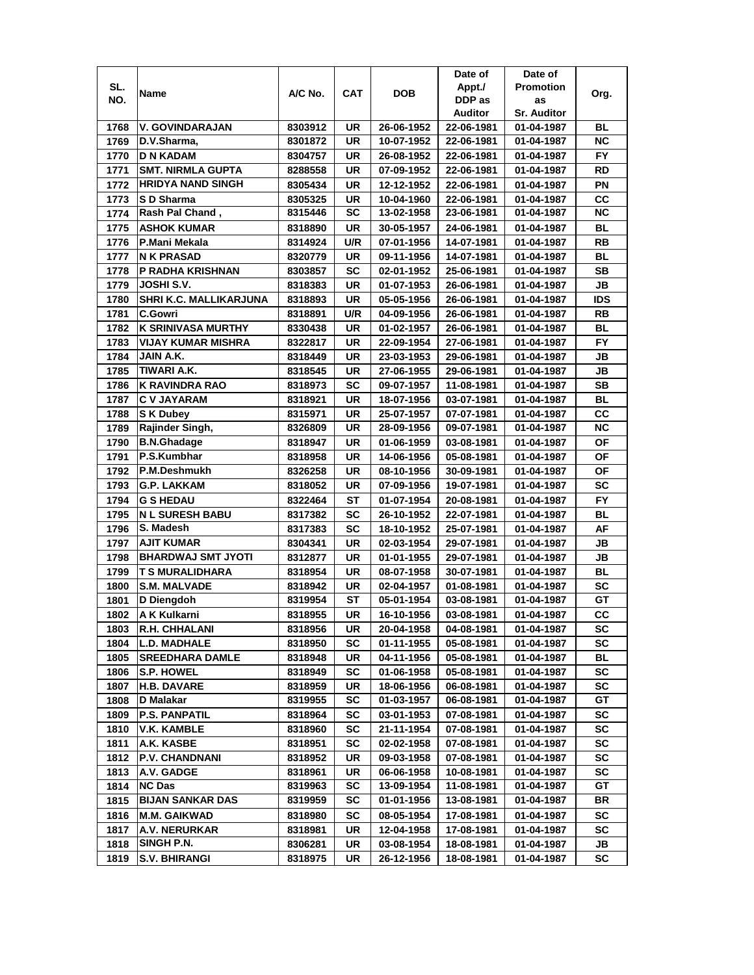|      |                                       |         |     |            | Date of    | Date of            |            |
|------|---------------------------------------|---------|-----|------------|------------|--------------------|------------|
| SL.  |                                       |         |     |            | Appt./     | <b>Promotion</b>   |            |
| NO.  | Name                                  | A/C No. | CAT | <b>DOB</b> | DDP as     | as                 | Org.       |
|      |                                       |         |     |            | Auditor    | <b>Sr. Auditor</b> |            |
| 1768 | V. GOVINDARAJAN                       | 8303912 | UR  | 26-06-1952 | 22-06-1981 | 01-04-1987         | BL         |
| 1769 | D.V.Sharma,                           | 8301872 | UR  | 10-07-1952 | 22-06-1981 | 01-04-1987         | ΝC         |
| 1770 | <b>D N KADAM</b>                      | 8304757 | UR  | 26-08-1952 | 22-06-1981 | 01-04-1987         | <b>FY</b>  |
| 1771 | <b>SMT. NIRMLA GUPTA</b>              | 8288558 | UR  | 07-09-1952 | 22-06-1981 | 01-04-1987         | RD         |
| 1772 | <b>HRIDYA NAND SINGH</b>              | 8305434 | UR  | 12-12-1952 | 22-06-1981 | 01-04-1987         | PN         |
| 1773 | S D Sharma                            | 8305325 | UR  | 10-04-1960 | 22-06-1981 | 01-04-1987         | CС         |
| 1774 | Rash Pal Chand ,                      | 8315446 | SC  | 13-02-1958 | 23-06-1981 | 01-04-1987         | <b>NC</b>  |
| 1775 | <b>ASHOK KUMAR</b>                    | 8318890 | UR  | 30-05-1957 | 24-06-1981 | 01-04-1987         | BL         |
| 1776 | IP.Mani Mekala                        | 8314924 | U/R | 07-01-1956 | 14-07-1981 | 01-04-1987         | RB         |
| 1777 | <b>N K PRASAD</b>                     | 8320779 | UR  | 09-11-1956 | 14-07-1981 | 01-04-1987         | BL         |
|      |                                       |         | SC  |            |            |                    | <b>SB</b>  |
| 1778 | <b>P RADHA KRISHNAN</b><br>JOSHI S.V. | 8303857 |     | 02-01-1952 | 25-06-1981 | 01-04-1987         |            |
| 1779 |                                       | 8318383 | UR  | 01-07-1953 | 26-06-1981 | 01-04-1987         | JB         |
| 1780 | SHRI K.C. MALLIKARJUNA                | 8318893 | UR  | 05-05-1956 | 26-06-1981 | 01-04-1987         | <b>IDS</b> |
| 1781 | <b>C.Gowri</b>                        | 8318891 | U/R | 04-09-1956 | 26-06-1981 | 01-04-1987         | RB         |
| 1782 | <b>K SRINIVASA MURTHY</b>             | 8330438 | UR  | 01-02-1957 | 26-06-1981 | 01-04-1987         | BL         |
| 1783 | VIJAY KUMAR MISHRA                    | 8322817 | UR  | 22-09-1954 | 27-06-1981 | 01-04-1987         | FY.        |
| 1784 | JAIN A.K.                             | 8318449 | UR  | 23-03-1953 | 29-06-1981 | 01-04-1987         | JB         |
| 1785 | TIWARI A.K.                           | 8318545 | UR  | 27-06-1955 | 29-06-1981 | 01-04-1987         | JB         |
| 1786 | <b>K RAVINDRA RAO</b>                 | 8318973 | SC  | 09-07-1957 | 11-08-1981 | 01-04-1987         | SВ         |
| 1787 | <b>C V JAYARAM</b>                    | 8318921 | UR  | 18-07-1956 | 03-07-1981 | 01-04-1987         | BL         |
| 1788 | <b>SK Dubey</b>                       | 8315971 | UR  | 25-07-1957 | 07-07-1981 | 01-04-1987         | CC         |
| 1789 | Rajinder Singh,                       | 8326809 | UR  | 28-09-1956 | 09-07-1981 | 01-04-1987         | <b>NC</b>  |
| 1790 | <b>B.N.Ghadage</b>                    | 8318947 | UR  | 01-06-1959 | 03-08-1981 | 01-04-1987         | ΟF         |
| 1791 | P.S.Kumbhar                           | 8318958 | UR  | 14-06-1956 | 05-08-1981 | 01-04-1987         | ΟF         |
| 1792 | P.M.Deshmukh                          | 8326258 | UR  | 08-10-1956 | 30-09-1981 | 01-04-1987         | ΟF         |
| 1793 | <b>G.P. LAKKAM</b>                    | 8318052 | UR  | 07-09-1956 | 19-07-1981 | 01-04-1987         | <b>SC</b>  |
| 1794 | <b>G S HEDAU</b>                      | 8322464 | ST  | 01-07-1954 | 20-08-1981 | 01-04-1987         | FY.        |
| 1795 | <b>N L SURESH BABU</b>                | 8317382 | SC  | 26-10-1952 | 22-07-1981 | 01-04-1987         | BL         |
| 1796 | S. Madesh                             | 8317383 | SC  | 18-10-1952 | 25-07-1981 | 01-04-1987         | AF         |
| 1797 | <b>AJIT KUMAR</b>                     | 8304341 | UR  | 02-03-1954 | 29-07-1981 | 01-04-1987         | JВ         |
| 1798 | <b>BHARDWAJ SMT JYOTI</b>             | 8312877 | UR  | 01-01-1955 | 29-07-1981 | 01-04-1987         | JB         |
| 1799 | <b>T S MURALIDHARA</b>                | 8318954 | UR  | 08-07-1958 | 30-07-1981 | 01-04-1987         | <b>BL</b>  |
| 1800 | <b>S.M. MALVADE</b>                   | 8318942 | UR  | 02-04-1957 | 01-08-1981 | 01-04-1987         | SC         |
| 1801 | D Diengdoh                            | 8319954 | ST  | 05-01-1954 | 03-08-1981 | 01-04-1987         | GT         |
| 1802 | A K Kulkarni                          | 8318955 | UR  | 16-10-1956 | 03-08-1981 | 01-04-1987         | cc         |
| 1803 | <b>R.H. CHHALANI</b>                  | 8318956 | UR  | 20-04-1958 | 04-08-1981 | 01-04-1987         | SC         |
| 1804 | <b>L.D. MADHALE</b>                   | 8318950 | SC  | 01-11-1955 | 05-08-1981 |                    | sc         |
|      |                                       |         |     | 04-11-1956 |            | 01-04-1987         |            |
| 1805 | <b>SREEDHARA DAMLE</b>                | 8318948 | UR  |            | 05-08-1981 | 01-04-1987         | BL         |
| 1806 | <b>S.P. HOWEL</b>                     | 8318949 | SC  | 01-06-1958 | 05-08-1981 | 01-04-1987         | SC         |
| 1807 | <b>H.B. DAVARE</b>                    | 8318959 | UR  | 18-06-1956 | 06-08-1981 | 01-04-1987         | SC         |
| 1808 | D Malakar                             | 8319955 | SC  | 01-03-1957 | 06-08-1981 | 01-04-1987         | GT         |
| 1809 | <b>P.S. PANPATIL</b>                  | 8318964 | SC  | 03-01-1953 | 07-08-1981 | 01-04-1987         | SC         |
| 1810 | <b>V.K. KAMBLE</b>                    | 8318960 | SC  | 21-11-1954 | 07-08-1981 | 01-04-1987         | SC         |
| 1811 | A.K. KASBE                            | 8318951 | SC  | 02-02-1958 | 07-08-1981 | 01-04-1987         | SC         |
| 1812 | <b>P.V. CHANDNANI</b>                 | 8318952 | UR  | 09-03-1958 | 07-08-1981 | 01-04-1987         | SC         |
| 1813 | A.V. GADGE                            | 8318961 | UR  | 06-06-1958 | 10-08-1981 | 01-04-1987         | SC         |
| 1814 | <b>NC Das</b>                         | 8319963 | SC  | 13-09-1954 | 11-08-1981 | 01-04-1987         | GТ         |
| 1815 | <b>BIJAN SANKAR DAS</b>               | 8319959 | SC  | 01-01-1956 | 13-08-1981 | 01-04-1987         | BR         |
| 1816 | M.M. GAIKWAD                          | 8318980 | SC  | 08-05-1954 | 17-08-1981 | 01-04-1987         | SC         |
| 1817 | A.V. NERURKAR                         | 8318981 | UR  | 12-04-1958 | 17-08-1981 | 01-04-1987         | SC         |
| 1818 | SINGH P.N.                            | 8306281 | UR  | 03-08-1954 | 18-08-1981 | 01-04-1987         | JB         |
| 1819 | S.V. BHIRANGI                         | 8318975 | UR  | 26-12-1956 | 18-08-1981 | 01-04-1987         | SC         |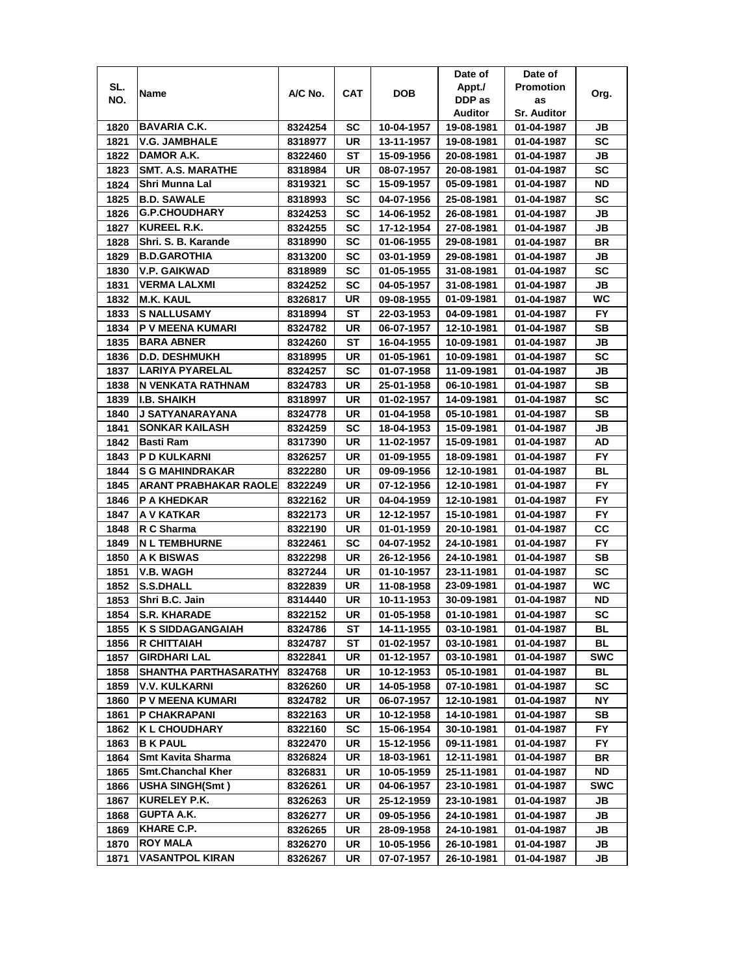|              |                                                |                    |                 |                          | Date of                  | Date of                  |                 |
|--------------|------------------------------------------------|--------------------|-----------------|--------------------------|--------------------------|--------------------------|-----------------|
| SL.          | Name                                           | A/C No.            | <b>CAT</b>      | DOB                      | Appt./                   | <b>Promotion</b>         |                 |
| NO.          |                                                |                    |                 |                          | DDP as                   | as                       | Org.            |
|              |                                                |                    |                 |                          | Auditor                  | <b>Sr. Auditor</b>       |                 |
| 1820         | <b>BAVARIA C.K.</b>                            | 8324254            | SC              | 10-04-1957               | 19-08-1981               | 01-04-1987               | JB              |
| 1821         | <b>V.G. JAMBHALE</b>                           | 8318977            | UR              | 13-11-1957               | 19-08-1981               | 01-04-1987               | SC              |
| 1822         | DAMOR A.K.                                     | 8322460            | SТ              | 15-09-1956               | 20-08-1981               | 01-04-1987               | JB              |
| 1823         | <b>SMT. A.S. MARATHE</b>                       | 8318984            | UR              | 08-07-1957               | 20-08-1981               | 01-04-1987               | SC              |
| 1824         | Shri Munna Lal                                 | 8319321            | SC              | 15-09-1957               | 05-09-1981               | 01-04-1987               | ND              |
| 1825         | <b>B.D. SAWALE</b>                             | 8318993            | SC              | 04-07-1956               | 25-08-1981               | 01-04-1987               | SC              |
| 1826         | <b>G.P.CHOUDHARY</b>                           | 8324253            | SC              | 14-06-1952               | 26-08-1981               | 01-04-1987               | JB              |
| 1827         | <b>KUREEL R.K.</b>                             | 8324255            | SC              | 17-12-1954               | 27-08-1981               | 01-04-1987               | JB              |
| 1828         | Shri. S. B. Karande                            | 8318990            | SC              | 01-06-1955               | 29-08-1981               | 01-04-1987               | BR              |
| 1829         | <b>B.D.GAROTHIA</b>                            | 8313200            | SC              | 03-01-1959               | 29-08-1981               | 01-04-1987               | JB              |
| 1830         | V.P. GAIKWAD                                   | 8318989            | SC              | 01-05-1955               | 31-08-1981               | 01-04-1987               | SC              |
| 1831         | <b>VERMA LALXMI</b>                            | 8324252            | SC              | 04-05-1957               | 31-08-1981               | 01-04-1987               | <b>JB</b>       |
| 1832         | <b>M.K. KAUL</b>                               | 8326817            | UR              | 09-08-1955               | 01-09-1981               | 01-04-1987               | WC              |
| 1833         | <b>S NALLUSAMY</b>                             | 8318994            | ST              | 22-03-1953               | 04-09-1981               | 01-04-1987               | FY              |
| 1834         | <b>P V MEENA KUMARI</b>                        | 8324782            | UR              | 06-07-1957               | 12-10-1981               | 01-04-1987               | SВ              |
| 1835         | <b>BARA ABNER</b>                              | 8324260            | SТ              | 16-04-1955               | 10-09-1981               | 01-04-1987               | JB              |
| 1836         | <b>D.D. DESHMUKH</b>                           | 8318995            | UR              | 01-05-1961               | 10-09-1981               | 01-04-1987               | SC              |
| 1837         | <b>LARIYA PYARELAL</b>                         | 8324257            | SC              | 01-07-1958               | 11-09-1981               | 01-04-1987               | JB              |
| 1838         | N VENKATA RATHNAM                              | 8324783            | UR              | 25-01-1958               | 06-10-1981               | 01-04-1987               | SB              |
| 1839         | <b>I.B. SHAIKH</b>                             | 8318997            | UR              | 01-02-1957               | 14-09-1981               | 01-04-1987               | SC              |
| 1840         | <b>J SATYANARAYANA</b>                         | 8324778            | UR              | 01-04-1958               | 05-10-1981               | 01-04-1987               | <b>SB</b>       |
| 1841         | <b>SONKAR KAILASH</b>                          | 8324259            | SC              | 18-04-1953               | 15-09-1981               | 01-04-1987               | JB              |
| 1842         | <b>Basti Ram</b>                               | 8317390            | UR              | 11-02-1957               | 15-09-1981               | 01-04-1987               | AD              |
| 1843         | <b>P D KULKARNI</b>                            |                    | UR              | 01-09-1955               | 18-09-1981               |                          | FY              |
| 1844         | <b>S G MAHINDRAKAR</b>                         | 8326257<br>8322280 | UR              | 09-09-1956               | 12-10-1981               | 01-04-1987<br>01-04-1987 | BL              |
| 1845         | <b>ARANT PRABHAKAR RAOLE</b>                   | 8322249            | UR              | 07-12-1956               | 12-10-1981               | 01-04-1987               | FY              |
| 1846         | <b>P A KHEDKAR</b>                             | 8322162            | UR              | 04-04-1959               | 12-10-1981               | 01-04-1987               | <b>FY</b>       |
| 1847         | A V KATKAR                                     | 8322173            | UR              | 12-12-1957               | 15-10-1981               | 01-04-1987               | <b>FY</b>       |
| 1848         | R C Sharma                                     | 8322190            | UR              | 01-01-1959               | 20-10-1981               | 01-04-1987               | CС              |
| 1849         | <b>N L TEMBHURNE</b>                           | 8322461            | SC              | 04-07-1952               | 24-10-1981               | 01-04-1987               | FY              |
| 1850         | <b>A K BISWAS</b>                              | 8322298            | UR              | 26-12-1956               | 24-10-1981               | 01-04-1987               | SВ              |
| 1851         | <b>V.B. WAGH</b>                               | 8327244            | UR              | 01-10-1957               | 23-11-1981               | 01-04-1987               | SC              |
| 1852         | <b>S.S.DHALL</b>                               | 8322839            | UR              | 11-08-1958               | 23-09-1981               | 01-04-1987               | WC              |
| 1853         | Shri B.C. Jain                                 | 8314440            | UR              | 10-11-1953               | 30-09-1981               | 01-04-1987               | ND              |
| 1854         | <b>S.R. KHARADE</b>                            |                    | UR              |                          |                          |                          | <b>SC</b>       |
|              |                                                | 8322152            |                 | 01-05-1958               | 01-10-1981               | 01-04-1987               |                 |
| 1855<br>1856 | <b>K S SIDDAGANGAIAH</b><br><b>R CHITTAIAH</b> | 8324786<br>8324787 | SТ<br>ST        | 14-11-1955<br>01-02-1957 | 03-10-1981<br>03-10-1981 | 01-04-1987<br>01-04-1987 | BL<br><b>BL</b> |
| 1857         | <b>GIRDHARI LAL</b>                            | 8322841            | UR              | 01-12-1957               | 03-10-1981               | 01-04-1987               | <b>SWC</b>      |
|              |                                                | 8324768            | UR              | 10-12-1953               | 05-10-1981               |                          | BL              |
| 1858<br>1859 | SHANTHA PARTHASARATHY                          |                    | UR              |                          | 07-10-1981               | 01-04-1987               | SC              |
|              | <b>V.V. KULKARNI</b>                           | 8326260            |                 | 14-05-1958               |                          | 01-04-1987               | <b>NY</b>       |
| 1860         | P V MEENA KUMARI                               | 8324782            | UR              | 06-07-1957               | 12-10-1981               | 01-04-1987               |                 |
| 1861         | P CHAKRAPANI<br><b>KL CHOUDHARY</b>            | 8322163            | UR<br><b>SC</b> | 10-12-1958               | 14-10-1981               | 01-04-1987               | SB<br>FY.       |
| 1862         | <b>B K PAUL</b>                                | 8322160            |                 | 15-06-1954               | 30-10-1981               | 01-04-1987               |                 |
| 1863         | <b>Smt Kavita Sharma</b>                       | 8322470            | UR              | 15-12-1956               | 09-11-1981               | 01-04-1987               | <b>FY</b>       |
| 1864         | <b>Smt.Chanchal Kher</b>                       | 8326824            | UR              | 18-03-1961               | 12-11-1981               | 01-04-1987               | BR<br>ND        |
| 1865         | <b>USHA SINGH(Smt)</b>                         | 8326831            | UR<br>UR        | 10-05-1959               | 25-11-1981               | 01-04-1987               | <b>SWC</b>      |
| 1866         | <b>KURELEY P.K.</b>                            | 8326261            |                 | 04-06-1957               | 23-10-1981               | 01-04-1987               |                 |
| 1867         |                                                | 8326263            | UR              | 25-12-1959               | 23-10-1981               | 01-04-1987               | JB              |
| 1868         | <b>GUPTA A.K.</b>                              | 8326277            | UR              | 09-05-1956               | 24-10-1981               | 01-04-1987               | JB              |
| 1869         | <b>KHARE C.P.</b>                              | 8326265            | UR              | 28-09-1958               | 24-10-1981               | 01-04-1987               | JB              |
| 1870         | <b>ROY MALA</b>                                | 8326270            | UR              | 10-05-1956               | 26-10-1981               | 01-04-1987               | JB              |
| 1871         | <b>VASANTPOL KIRAN</b>                         | 8326267            | UR              | 07-07-1957               | 26-10-1981               | 01-04-1987               | JB              |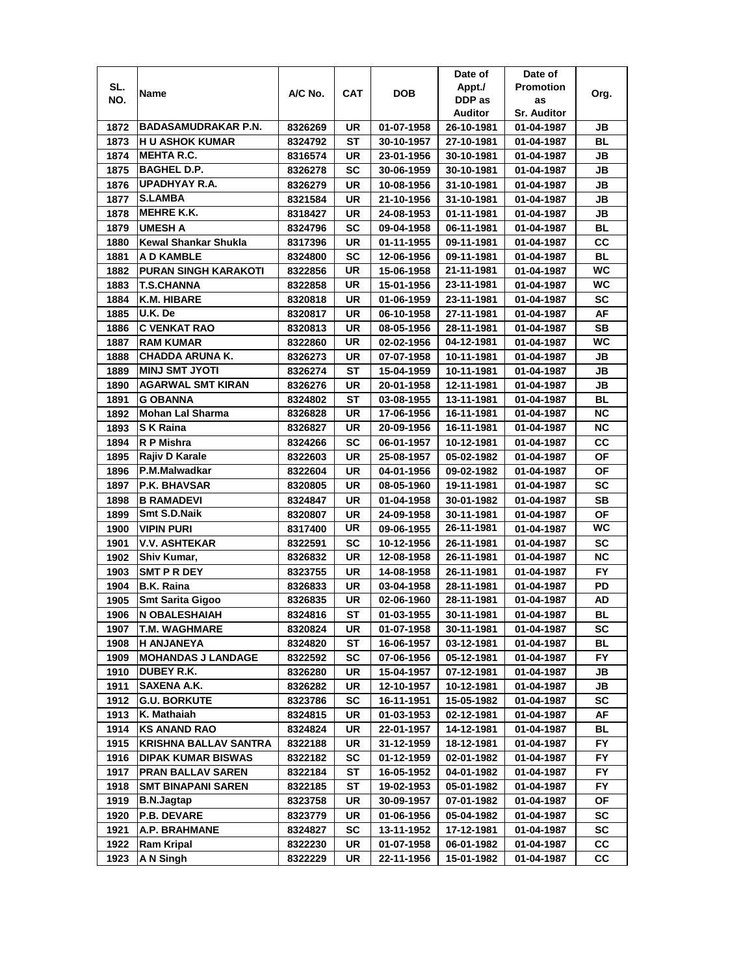|      |                              |         |           |            | Date of    | Date of            |           |
|------|------------------------------|---------|-----------|------------|------------|--------------------|-----------|
| SL.  | Name                         | A/C No. | CAT       | <b>DOB</b> | Appt./     | <b>Promotion</b>   | Org.      |
| NO.  |                              |         |           |            | DDP as     | as                 |           |
|      |                              |         |           |            | Auditor    | <b>Sr. Auditor</b> |           |
| 1872 | <b>BADASAMUDRAKAR P.N.</b>   | 8326269 | UR        | 01-07-1958 | 26-10-1981 | 01-04-1987         | JB        |
| 1873 | <b>HU ASHOK KUMAR</b>        | 8324792 | ST        | 30-10-1957 | 27-10-1981 | 01-04-1987         | BL        |
| 1874 | <b>MEHTA R.C.</b>            | 8316574 | UR        | 23-01-1956 | 30-10-1981 | 01-04-1987         | JB        |
| 1875 | <b>BAGHEL D.P.</b>           | 8326278 | SC        | 30-06-1959 | 30-10-1981 | 01-04-1987         | JB        |
| 1876 | UPADHYAY R.A.                | 8326279 | UR        | 10-08-1956 | 31-10-1981 | 01-04-1987         | JB        |
| 1877 | <b>S.LAMBA</b>               | 8321584 | UR        | 21-10-1956 | 31-10-1981 | 01-04-1987         | JB        |
| 1878 | <b>MEHRE K.K.</b>            | 8318427 | UR        | 24-08-1953 | 01-11-1981 | 01-04-1987         | JB        |
| 1879 | <b>UMESH A</b>               | 8324796 | SC        | 09-04-1958 | 06-11-1981 | 01-04-1987         | BL        |
| 1880 | Kewal Shankar Shukla         | 8317396 | UR        | 01-11-1955 | 09-11-1981 | 01-04-1987         | CС        |
| 1881 | A D KAMBLE                   | 8324800 | SC        | 12-06-1956 | 09-11-1981 | 01-04-1987         | <b>BL</b> |
| 1882 | <b>PURAN SINGH KARAKOTI</b>  | 8322856 | UR        | 15-06-1958 | 21-11-1981 | 01-04-1987         | <b>WC</b> |
| 1883 | <b>T.S.CHANNA</b>            | 8322858 | UR        | 15-01-1956 | 23-11-1981 | 01-04-1987         | WC        |
| 1884 | K.M. HIBARE                  | 8320818 | UR        | 01-06-1959 | 23-11-1981 | 01-04-1987         | SC        |
| 1885 | U.K. De                      | 8320817 | UR        | 06-10-1958 | 27-11-1981 | 01-04-1987         | AF        |
| 1886 | <b>C VENKAT RAO</b>          | 8320813 | UR        | 08-05-1956 | 28-11-1981 | 01-04-1987         | SВ        |
| 1887 | <b>RAM KUMAR</b>             | 8322860 | UR        | 02-02-1956 | 04-12-1981 | 01-04-1987         | <b>WC</b> |
|      | <b>CHADDA ARUNA K.</b>       |         |           | 07-07-1958 |            | 01-04-1987         |           |
| 1888 | <b>MINJ SMT JYOTI</b>        | 8326273 | UR        |            | 10-11-1981 |                    | JB        |
| 1889 |                              | 8326274 | SТ        | 15-04-1959 | 10-11-1981 | 01-04-1987         | JB        |
| 1890 | <b>AGARWAL SMT KIRAN</b>     | 8326276 | UR        | 20-01-1958 | 12-11-1981 | 01-04-1987         | JB        |
| 1891 | <b>G OBANNA</b>              | 8324802 | ST        | 03-08-1955 | 13-11-1981 | 01-04-1987         | <b>BL</b> |
| 1892 | Mohan Lal Sharma             | 8326828 | <b>UR</b> | 17-06-1956 | 16-11-1981 | 01-04-1987         | <b>NC</b> |
| 1893 | S K Raina                    | 8326827 | UR        | 20-09-1956 | 16-11-1981 | 01-04-1987         | ΝC        |
| 1894 | R P Mishra                   | 8324266 | <b>SC</b> | 06-01-1957 | 10-12-1981 | 01-04-1987         | CC        |
| 1895 | Rajiv D Karale               | 8322603 | UR        | 25-08-1957 | 05-02-1982 | 01-04-1987         | ΟF        |
| 1896 | P.M.Malwadkar                | 8322604 | UR        | 04-01-1956 | 09-02-1982 | 01-04-1987         | ΟF        |
| 1897 | <b>P.K. BHAVSAR</b>          | 8320805 | UR        | 08-05-1960 | 19-11-1981 | 01-04-1987         | SC        |
| 1898 | <b>B RAMADEVI</b>            | 8324847 | <b>UR</b> | 01-04-1958 | 30-01-1982 | 01-04-1987         | <b>SB</b> |
| 1899 | Smt S.D.Naik                 | 8320807 | UR        | 24-09-1958 | 30-11-1981 | 01-04-1987         | <b>OF</b> |
| 1900 | <b>VIPIN PURI</b>            | 8317400 | UR        | 09-06-1955 | 26-11-1981 | 01-04-1987         | WC        |
| 1901 | <b>V.V. ASHTEKAR</b>         | 8322591 | SC        | 10-12-1956 | 26-11-1981 | 01-04-1987         | <b>SC</b> |
| 1902 | Shiv Kumar,                  | 8326832 | UR        | 12-08-1958 | 26-11-1981 | 01-04-1987         | ΝC        |
| 1903 | SMT P R DEY                  | 8323755 | UR        | 14-08-1958 | 26-11-1981 | 01-04-1987         | FY.       |
| 1904 | <b>B.K. Raina</b>            | 8326833 | UR        | 03-04-1958 | 28-11-1981 | 01-04-1987         | PD        |
| 1905 | <b>Smt Sarita Gigoo</b>      | 8326835 | UR        | 02-06-1960 | 28-11-1981 | 01-04-1987         | AD        |
| 1906 | <b>N OBALESHAIAH</b>         | 8324816 | SТ        | 01-03-1955 | 30-11-1981 | 01-04-1987         | BL        |
| 1907 | <b>T.M. WAGHMARE</b>         | 8320824 | UR        | 01-07-1958 | 30-11-1981 | 01-04-1987         | SC        |
| 1908 | <b>H ANJANEYA</b>            | 8324820 | ST        | 16-06-1957 | 03-12-1981 | 01-04-1987         | BL        |
| 1909 | <b>MOHANDAS J LANDAGE</b>    | 8322592 | SC        | 07-06-1956 | 05-12-1981 | 01-04-1987         | FY        |
| 1910 | DUBEY R.K.                   | 8326280 | UR        | 15-04-1957 | 07-12-1981 | 01-04-1987         | JB        |
| 1911 | SAXENA A.K.                  | 8326282 | UR        | 12-10-1957 | 10-12-1981 | 01-04-1987         | JB        |
| 1912 | <b>G.U. BORKUTE</b>          | 8323786 | SC        | 16-11-1951 | 15-05-1982 | 01-04-1987         | <b>SC</b> |
| 1913 | K. Mathaiah                  | 8324815 | UR        | 01-03-1953 | 02-12-1981 | 01-04-1987         | AF        |
| 1914 | <b>KS ANAND RAO</b>          | 8324824 | UR        | 22-01-1957 | 14-12-1981 | 01-04-1987         | BL        |
| 1915 | <b>KRISHNA BALLAV SANTRA</b> | 8322188 | UR        | 31-12-1959 | 18-12-1981 | 01-04-1987         | FY        |
| 1916 | <b>DIPAK KUMAR BISWAS</b>    | 8322182 | SC        | 01-12-1959 | 02-01-1982 | 01-04-1987         | FY        |
| 1917 | <b>PRAN BALLAV SAREN</b>     | 8322184 | ST        | 16-05-1952 | 04-01-1982 | 01-04-1987         | FY.       |
| 1918 | <b>SMT BINAPANI SAREN</b>    |         |           |            |            |                    | FY        |
|      |                              | 8322185 | SТ        | 19-02-1953 | 05-01-1982 | 01-04-1987         |           |
| 1919 | <b>B.N.Jagtap</b>            | 8323758 | UR        | 30-09-1957 | 07-01-1982 | 01-04-1987         | ΟF        |
| 1920 | <b>P.B. DEVARE</b>           | 8323779 | UR        | 01-06-1956 | 05-04-1982 | 01-04-1987         | sc        |
| 1921 | <b>A.P. BRAHMANE</b>         | 8324827 | SC        | 13-11-1952 | 17-12-1981 | 01-04-1987         | SC        |
| 1922 | Ram Kripal                   | 8322230 | UR        | 01-07-1958 | 06-01-1982 | 01-04-1987         | CС        |
| 1923 | A N Singh                    | 8322229 | UR        | 22-11-1956 | 15-01-1982 | 01-04-1987         | СC        |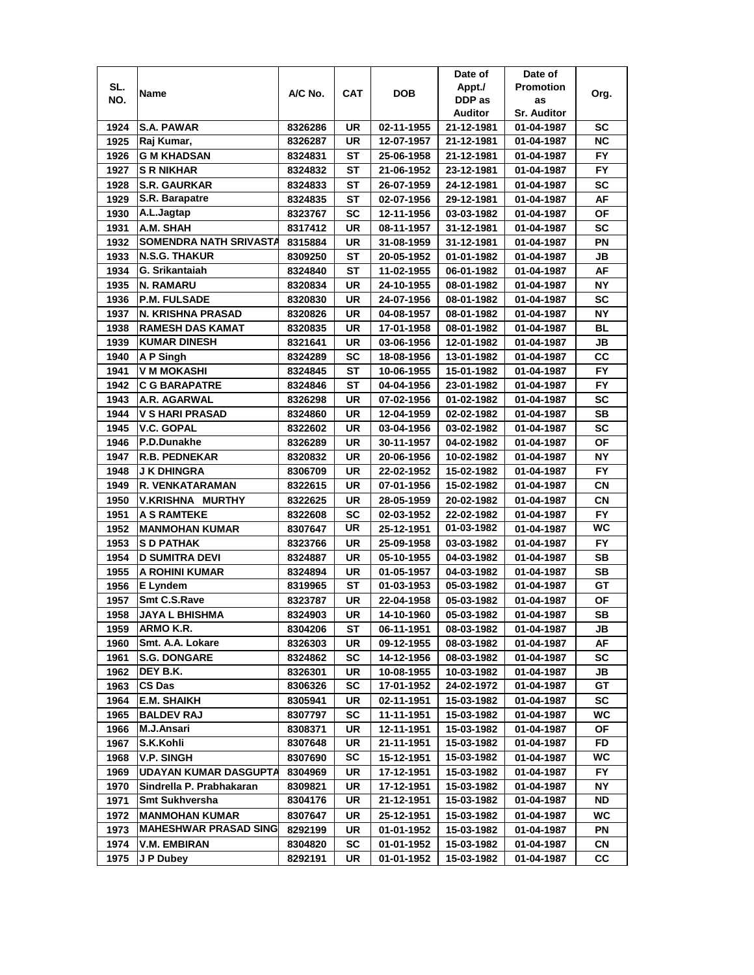|      |                               |         |           |            | Date of    | Date of            |           |
|------|-------------------------------|---------|-----------|------------|------------|--------------------|-----------|
| SL.  | Name                          | A/C No. | CAT       | <b>DOB</b> | Appt./     | <b>Promotion</b>   | Org.      |
| NO.  |                               |         |           |            | DDP as     | as                 |           |
|      |                               |         |           |            | Auditor    | <b>Sr. Auditor</b> |           |
| 1924 | <b>S.A. PAWAR</b>             | 8326286 | UR        | 02-11-1955 | 21-12-1981 | 01-04-1987         | SC        |
| 1925 | Raj Kumar,                    | 8326287 | UR        | 12-07-1957 | 21-12-1981 | 01-04-1987         | <b>NC</b> |
| 1926 | <b>G M KHADSAN</b>            | 8324831 | SТ        | 25-06-1958 | 21-12-1981 | 01-04-1987         | FY.       |
| 1927 | <b>S R NIKHAR</b>             | 8324832 | ST        | 21-06-1952 | 23-12-1981 | 01-04-1987         | <b>FY</b> |
| 1928 | <b>S.R. GAURKAR</b>           | 8324833 | SТ        | 26-07-1959 | 24-12-1981 | 01-04-1987         | <b>SC</b> |
| 1929 | S.R. Barapatre                | 8324835 | ST        | 02-07-1956 | 29-12-1981 | 01-04-1987         | AF        |
| 1930 | A.L.Jagtap                    | 8323767 | SC        | 12-11-1956 | 03-03-1982 | 01-04-1987         | ΟF        |
| 1931 | A.M. SHAH                     | 8317412 | UR        | 08-11-1957 | 31-12-1981 | 01-04-1987         | <b>SC</b> |
| 1932 | <b>SOMENDRA NATH SRIVASTA</b> | 8315884 | UR        | 31-08-1959 | 31-12-1981 | 01-04-1987         | ΡN        |
| 1933 | <b>N.S.G. THAKUR</b>          | 8309250 | ST        | 20-05-1952 | 01-01-1982 | 01-04-1987         | JB        |
| 1934 | G. Srikantaiah                | 8324840 | ST        | 11-02-1955 | 06-01-1982 | 01-04-1987         | AF        |
| 1935 | <b>N. RAMARU</b>              | 8320834 | UR        | 24-10-1955 | 08-01-1982 | 01-04-1987         | <b>NY</b> |
| 1936 | <b>P.M. FULSADE</b>           | 8320830 | UR        | 24-07-1956 | 08-01-1982 | 01-04-1987         | <b>SC</b> |
| 1937 | <b>N. KRISHNA PRASAD</b>      | 8320826 | UR        | 04-08-1957 | 08-01-1982 | 01-04-1987         | <b>NY</b> |
| 1938 | IRAMESH DAS KAMAT             | 8320835 | UR        | 17-01-1958 | 08-01-1982 | 01-04-1987         | BL        |
| 1939 | <b>KUMAR DINESH</b>           | 8321641 | UR        | 03-06-1956 | 12-01-1982 | 01-04-1987         | JB        |
| 1940 | A P Singh                     | 8324289 | SC        | 18-08-1956 | 13-01-1982 | 01-04-1987         | CС        |
| 1941 | V M MOKASHI                   | 8324845 | SТ        | 10-06-1955 | 15-01-1982 | 01-04-1987         | FY.       |
| 1942 | <b>C G BARAPATRE</b>          | 8324846 | ST        | 04-04-1956 | 23-01-1982 | 01-04-1987         | <b>FY</b> |
| 1943 | A.R. AGARWAL                  | 8326298 | UR        | 07-02-1956 | 01-02-1982 | 01-04-1987         | SC        |
| 1944 | <b>V S HARI PRASAD</b>        | 8324860 | UR        | 12-04-1959 | 02-02-1982 | 01-04-1987         | <b>SB</b> |
| 1945 | <b>V.C. GOPAL</b>             | 8322602 | UR        | 03-04-1956 | 03-02-1982 | 01-04-1987         | <b>SC</b> |
| 1946 | P.D.Dunakhe                   | 8326289 | UR        | 30-11-1957 | 04-02-1982 | 01-04-1987         | ΟF        |
| 1947 | <b>R.B. PEDNEKAR</b>          | 8320832 | UR        | 20-06-1956 | 10-02-1982 | 01-04-1987         | NΥ        |
| 1948 | <b>J K DHINGRA</b>            | 8306709 | UR        | 22-02-1952 | 15-02-1982 | 01-04-1987         | <b>FY</b> |
| 1949 | R. VENKATARAMAN               | 8322615 | UR        | 07-01-1956 | 15-02-1982 | 01-04-1987         | СN        |
| 1950 | <b>V.KRISHNA MURTHY</b>       | 8322625 | <b>UR</b> | 28-05-1959 | 20-02-1982 | 01-04-1987         | <b>CN</b> |
| 1951 | <b>A S RAMTEKE</b>            | 8322608 | <b>SC</b> | 02-03-1952 | 22-02-1982 | 01-04-1987         | <b>FY</b> |
| 1952 | <b>MANMOHAN KUMAR</b>         | 8307647 | UR        | 25-12-1951 | 01-03-1982 | 01-04-1987         | WC        |
| 1953 | <b>S D PATHAK</b>             | 8323766 | UR        | 25-09-1958 | 03-03-1982 | 01-04-1987         | <b>FY</b> |
| 1954 | <b>ID SUMITRA DEVI</b>        | 8324887 | UR        | 05-10-1955 | 04-03-1982 | 01-04-1987         | <b>SB</b> |
| 1955 | <b>A ROHINI KUMAR</b>         | 8324894 | UR        | 01-05-1957 | 04-03-1982 | 01-04-1987         | SB        |
| 1956 | E Lyndem                      | 8319965 | ST        | 01-03-1953 | 05-03-1982 | 01-04-1987         | GТ        |
| 1957 | Smt C.S.Rave                  | 8323787 | UR        | 22-04-1958 | 05-03-1982 | 01-04-1987         | ΟF        |
| 1958 | JAYA L BHISHMA                | 8324903 | UR        | 14-10-1960 | 05-03-1982 | 01-04-1987         | <b>SB</b> |
| 1959 | ARMO K.R.                     | 8304206 | ST        | 06-11-1951 | 08-03-1982 | 01-04-1987         | JB        |
| 1960 | Smt. A.A. Lokare              | 8326303 | UR        | 09-12-1955 | 08-03-1982 | 01-04-1987         | AF        |
| 1961 | <b>S.G. DONGARE</b>           | 8324862 | SC        | 14-12-1956 | 08-03-1982 | 01-04-1987         | SC        |
| 1962 | DEY B.K.                      | 8326301 | UR        | 10-08-1955 | 10-03-1982 | 01-04-1987         | JB        |
| 1963 | <b>CS Das</b>                 | 8306326 | SC        | 17-01-1952 | 24-02-1972 | 01-04-1987         | GT        |
| 1964 | <b>E.M. SHAIKH</b>            | 8305941 | UR        | 02-11-1951 | 15-03-1982 | 01-04-1987         | SC        |
| 1965 | <b>BALDEV RAJ</b>             | 8307797 | SC        | 11-11-1951 | 15-03-1982 | 01-04-1987         | WC        |
| 1966 | <b>M.J.Ansari</b>             | 8308371 | UR        | 12-11-1951 | 15-03-1982 | 01-04-1987         | ОF        |
| 1967 | S.K.Kohli                     | 8307648 | UR        | 21-11-1951 | 15-03-1982 | 01-04-1987         | FD        |
| 1968 | <b>V.P. SINGH</b>             | 8307690 | SC        | 15-12-1951 | 15-03-1982 | 01-04-1987         | WC        |
| 1969 | <b>UDAYAN KUMAR DASGUPTA</b>  | 8304969 | UR        | 17-12-1951 | 15-03-1982 | 01-04-1987         | <b>FY</b> |
| 1970 | Sindrella P. Prabhakaran      | 8309821 | UR        | 17-12-1951 | 15-03-1982 | 01-04-1987         | ΝY        |
| 1971 | <b>Smt Sukhversha</b>         | 8304176 | UR        | 21-12-1951 | 15-03-1982 | 01-04-1987         | ND        |
| 1972 | <b>MANMOHAN KUMAR</b>         | 8307647 | UR        | 25-12-1951 | 15-03-1982 | 01-04-1987         | WC        |
| 1973 | <b>MAHESHWAR PRASAD SING</b>  | 8292199 | UR        | 01-01-1952 | 15-03-1982 | 01-04-1987         | PN        |
| 1974 | V.M. EMBIRAN                  | 8304820 | SC        | 01-01-1952 | 15-03-1982 | 01-04-1987         | CN        |
| 1975 | J P Dubey                     | 8292191 | UR        | 01-01-1952 | 15-03-1982 | 01-04-1987         | СC        |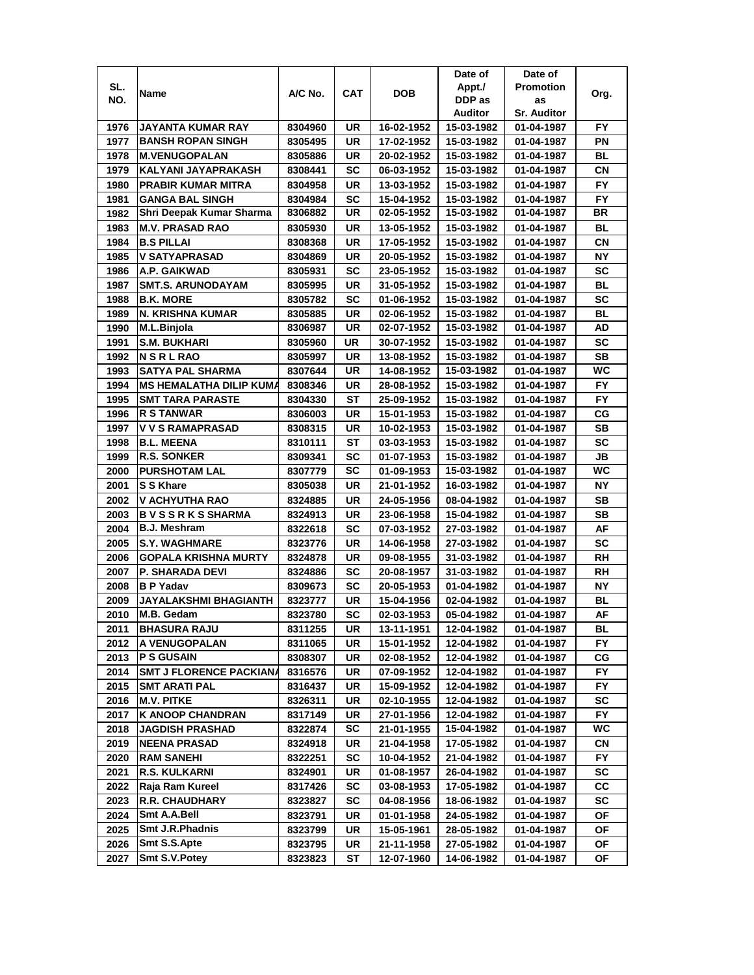|      |                                |         |            |            | Date of    | Date of            |           |
|------|--------------------------------|---------|------------|------------|------------|--------------------|-----------|
| SL.  |                                | A/C No. | <b>CAT</b> | DOB        | Appt./     | <b>Promotion</b>   |           |
| NO.  | Name                           |         |            |            | DDP as     | as                 | Org.      |
|      |                                |         |            |            | Auditor    | <b>Sr. Auditor</b> |           |
| 1976 | JAYANTA KUMAR RAY              | 8304960 | UR         | 16-02-1952 | 15-03-1982 | 01-04-1987         | FY.       |
| 1977 | <b>BANSH ROPAN SINGH</b>       | 8305495 | UR         | 17-02-1952 | 15-03-1982 | 01-04-1987         | ΡN        |
| 1978 | <b>M.VENUGOPALAN</b>           | 8305886 | UR         | 20-02-1952 | 15-03-1982 | 01-04-1987         | BL        |
| 1979 | KALYANI JAYAPRAKASH            | 8308441 | SC         | 06-03-1952 | 15-03-1982 | 01-04-1987         | СN        |
| 1980 | <b>PRABIR KUMAR MITRA</b>      | 8304958 | UR         | 13-03-1952 | 15-03-1982 | 01-04-1987         | FY        |
| 1981 | <b>GANGA BAL SINGH</b>         | 8304984 | SC         | 15-04-1952 | 15-03-1982 | 01-04-1987         | FY        |
| 1982 | Shri Deepak Kumar Sharma       | 8306882 | UR         | 02-05-1952 | 15-03-1982 | 01-04-1987         | <b>BR</b> |
| 1983 | <b>M.V. PRASAD RAO</b>         | 8305930 | UR         | 13-05-1952 | 15-03-1982 | 01-04-1987         | BL        |
| 1984 | <b>B.S PILLAI</b>              | 8308368 | UR         | 17-05-1952 | 15-03-1982 | 01-04-1987         | CN        |
| 1985 | V SATYAPRASAD                  | 8304869 | UR         | 20-05-1952 | 15-03-1982 | 01-04-1987         | ΝY        |
| 1986 | A.P. GAIKWAD                   | 8305931 | SC         | 23-05-1952 | 15-03-1982 | 01-04-1987         | <b>SC</b> |
| 1987 | <b>SMT.S. ARUNODAYAM</b>       | 8305995 | UR         | 31-05-1952 | 15-03-1982 | 01-04-1987         | BL        |
| 1988 | <b>B.K. MORE</b>               | 8305782 | SC         | 01-06-1952 | 15-03-1982 | 01-04-1987         | <b>SC</b> |
| 1989 | N. KRISHNA KUMAR               | 8305885 | UR         | 02-06-1952 | 15-03-1982 | 01-04-1987         | BL        |
| 1990 | M.L.Binjola                    | 8306987 | UR         | 02-07-1952 | 15-03-1982 | 01-04-1987         | AD        |
| 1991 | <b>S.M. BUKHARI</b>            | 8305960 | UR         | 30-07-1952 | 15-03-1982 | 01-04-1987         | SC        |
| 1992 | <b>NSRLRAO</b>                 | 8305997 | <b>UR</b>  | 13-08-1952 | 15-03-1982 | 01-04-1987         | SВ        |
| 1993 | SATYA PAL SHARMA               | 8307644 | UR         | 14-08-1952 | 15-03-1982 | 01-04-1987         | WC        |
| 1994 | <b>MS HEMALATHA DILIP KUMA</b> | 8308346 | UR         | 28-08-1952 | 15-03-1982 | 01-04-1987         | FY        |
| 1995 | <b>SMT TARA PARASTE</b>        | 8304330 | ST         | 25-09-1952 | 15-03-1982 | 01-04-1987         | <b>FY</b> |
| 1996 | <b>R S TANWAR</b>              | 8306003 | UR         | 15-01-1953 | 15-03-1982 | 01-04-1987         | СG        |
| 1997 | <b>V V S RAMAPRASAD</b>        | 8308315 | UR         | 10-02-1953 | 15-03-1982 | 01-04-1987         | <b>SB</b> |
| 1998 | <b>B.L. MEENA</b>              | 8310111 | ST         | 03-03-1953 | 15-03-1982 | 01-04-1987         | <b>SC</b> |
| 1999 | <b>R.S. SONKER</b>             | 8309341 | SC         | 01-07-1953 | 15-03-1982 | 01-04-1987         | JВ        |
| 2000 | <b>PURSHOTAM LAL</b>           | 8307779 | SC         | 01-09-1953 | 15-03-1982 | 01-04-1987         | <b>WC</b> |
| 2001 | S S Khare                      | 8305038 | UR         | 21-01-1952 | 16-03-1982 | 01-04-1987         | ΝY        |
| 2002 | V ACHYUTHA RAO                 | 8324885 | UR         | 24-05-1956 | 08-04-1982 | 01-04-1987         | SВ        |
| 2003 | <b>BVSSRKSSHARMA</b>           | 8324913 | UR         | 23-06-1958 | 15-04-1982 | 01-04-1987         | <b>SB</b> |
| 2004 | <b>B.J. Meshram</b>            | 8322618 | SC         | 07-03-1952 | 27-03-1982 | 01-04-1987         | AF        |
| 2005 | <b>S.Y. WAGHMARE</b>           | 8323776 | UR         | 14-06-1958 | 27-03-1982 | 01-04-1987         | <b>SC</b> |
| 2006 | <b>GOPALA KRISHNA MURTY</b>    | 8324878 | UR         | 09-08-1955 | 31-03-1982 | 01-04-1987         | RH        |
| 2007 | <b>P. SHARADA DEVI</b>         | 8324886 | SC         | 20-08-1957 | 31-03-1982 | 01-04-1987         | RH        |
| 2008 | <b>BP</b> Yadav                | 8309673 | SC         | 20-05-1953 | 01-04-1982 | 01-04-1987         | ΝY        |
| 2009 | JAYALAKSHMI BHAGIANTH          | 8323777 | UR         | 15-04-1956 | 02-04-1982 | 01-04-1987         | BL        |
| 2010 | M.B. Gedam                     | 8323780 | SC         | 02-03-1953 | 05-04-1982 | 01-04-1987         | AF        |
| 2011 | <b>BHASURA RAJU</b>            | 8311255 | UR         | 13-11-1951 | 12-04-1982 | 01-04-1987         | BL        |
| 2012 | A VENUGOPALAN                  | 8311065 | UR         | 15-01-1952 | 12-04-1982 | 01-04-1987         | FY        |
| 2013 | <b>PS GUSAIN</b>               | 8308307 | UR         | 02-08-1952 | 12-04-1982 | 01-04-1987         | CG        |
| 2014 | <b>SMT J FLORENCE PACKIANA</b> | 8316576 | UR         | 07-09-1952 | 12-04-1982 | 01-04-1987         | FY.       |
| 2015 | <b>SMT ARATI PAL</b>           | 8316437 | UR         | 15-09-1952 | 12-04-1982 | 01-04-1987         | FY.       |
| 2016 | <b>M.V. PITKE</b>              | 8326311 | UR         | 02-10-1955 | 12-04-1982 | 01-04-1987         | SC        |
| 2017 | <b>K ANOOP CHANDRAN</b>        | 8317149 | UR         | 27-01-1956 | 12-04-1982 | 01-04-1987         | <b>FY</b> |
| 2018 | <b>JAGDISH PRASHAD</b>         | 8322874 | SC         | 21-01-1955 | 15-04-1982 | 01-04-1987         | WC        |
| 2019 | <b>NEENA PRASAD</b>            | 8324918 | UR         | 21-04-1958 | 17-05-1982 | 01-04-1987         | CN        |
| 2020 | <b>RAM SANEHI</b>              | 8322251 | <b>SC</b>  | 10-04-1952 | 21-04-1982 | 01-04-1987         | FY        |
| 2021 | <b>R.S. KULKARNI</b>           | 8324901 | UR         | 01-08-1957 | 26-04-1982 | 01-04-1987         | SC        |
| 2022 | Raja Ram Kureel                | 8317426 | <b>SC</b>  | 03-08-1953 | 17-05-1982 | 01-04-1987         | CC        |
| 2023 | <b>R.R. CHAUDHARY</b>          | 8323827 | <b>SC</b>  | 04-08-1956 | 18-06-1982 | 01-04-1987         | SC        |
| 2024 | Smt A.A.Bell                   | 8323791 | UR         | 01-01-1958 | 24-05-1982 | 01-04-1987         | ΟF        |
| 2025 | <b>Smt J.R.Phadnis</b>         | 8323799 | UR         | 15-05-1961 | 28-05-1982 | 01-04-1987         | ОF        |
| 2026 | Smt S.S.Apte                   | 8323795 | UR         | 21-11-1958 | 27-05-1982 | 01-04-1987         | ΟF        |
| 2027 | Smt S.V. Potey                 | 8323823 | ST         | 12-07-1960 | 14-06-1982 | 01-04-1987         | ОF        |
|      |                                |         |            |            |            |                    |           |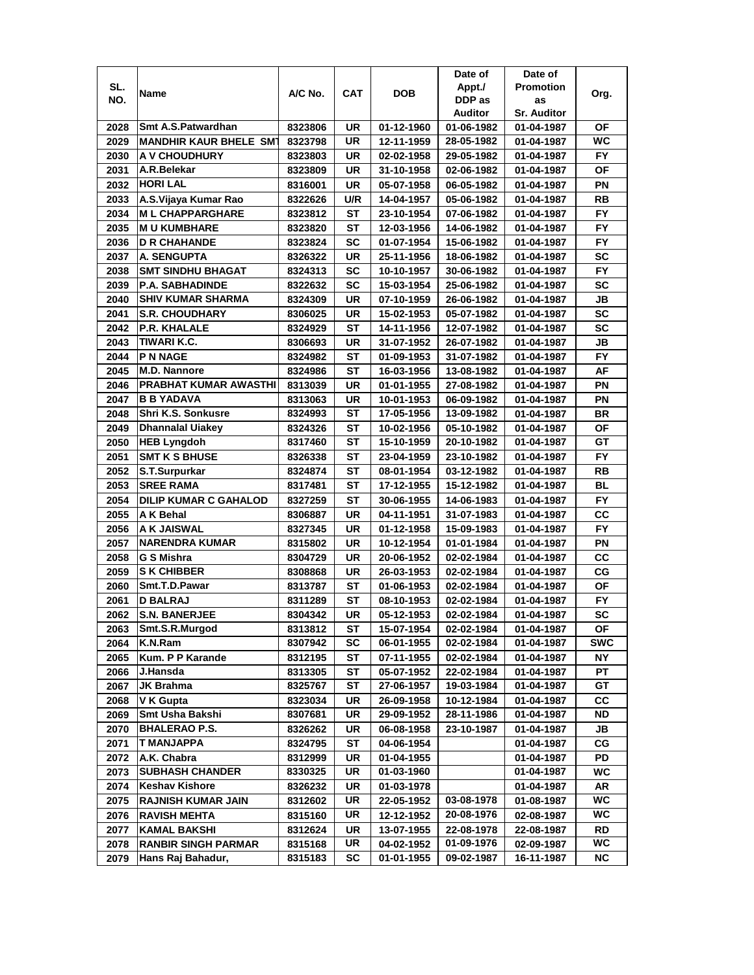|      |                               |         |           |            | Date of    | Date of            |            |
|------|-------------------------------|---------|-----------|------------|------------|--------------------|------------|
| SL.  | Name                          | A/C No. | CAT       | DOB        | Appt./     | <b>Promotion</b>   | Org.       |
| NO.  |                               |         |           |            | DDP as     | as                 |            |
|      |                               |         |           |            | Auditor    | <b>Sr. Auditor</b> |            |
| 2028 | Smt A.S.Patwardhan            | 8323806 | UR        | 01-12-1960 | 01-06-1982 | 01-04-1987         | ΟF         |
| 2029 | <b>MANDHIR KAUR BHELE SMT</b> | 8323798 | UR        | 12-11-1959 | 28-05-1982 | 01-04-1987         | WC.        |
| 2030 | <b>A V CHOUDHURY</b>          | 8323803 | UR        | 02-02-1958 | 29-05-1982 | 01-04-1987         | FY.        |
| 2031 | A.R.Belekar                   | 8323809 | UR        | 31-10-1958 | 02-06-1982 | 01-04-1987         | ΟF         |
| 2032 | <b>HORI LAL</b>               | 8316001 | UR        | 05-07-1958 | 06-05-1982 | 01-04-1987         | ΡN         |
| 2033 | A.S.Vijaya Kumar Rao          | 8322626 | U/R       | 14-04-1957 | 05-06-1982 | 01-04-1987         | RB         |
| 2034 | <b>ML CHAPPARGHARE</b>        | 8323812 | SТ        | 23-10-1954 | 07-06-1982 | 01-04-1987         | FY.        |
| 2035 | <b>MU KUMBHARE</b>            | 8323820 | ST        | 12-03-1956 | 14-06-1982 | 01-04-1987         | <b>FY</b>  |
| 2036 | <b>D R CHAHANDE</b>           | 8323824 | SC        | 01-07-1954 | 15-06-1982 | 01-04-1987         | FY.        |
| 2037 | <b>A. SENGUPTA</b>            | 8326322 | UR        | 25-11-1956 | 18-06-1982 | 01-04-1987         | <b>SC</b>  |
| 2038 | <b>SMT SINDHU BHAGAT</b>      | 8324313 | <b>SC</b> | 10-10-1957 | 30-06-1982 | 01-04-1987         | <b>FY</b>  |
| 2039 | P.A. SABHADINDE               | 8322632 | SC        | 15-03-1954 | 25-06-1982 | 01-04-1987         | <b>SC</b>  |
| 2040 | <b>SHIV KUMAR SHARMA</b>      | 8324309 | UR        | 07-10-1959 | 26-06-1982 | 01-04-1987         | JB         |
| 2041 | <b>S.R. CHOUDHARY</b>         | 8306025 | UR        | 15-02-1953 | 05-07-1982 | 01-04-1987         | <b>SC</b>  |
| 2042 | P.R. KHALALE                  | 8324929 | SТ        | 14-11-1956 | 12-07-1982 | 01-04-1987         | SC         |
| 2043 | TIWARI K.C.                   | 8306693 | UR        | 31-07-1952 | 26-07-1982 | 01-04-1987         | JB         |
| 2044 | <b>PN NAGE</b>                | 8324982 | ST        | 01-09-1953 | 31-07-1982 | 01-04-1987         | FY         |
| 2045 | <b>M.D. Nannore</b>           | 8324986 | ST        | 16-03-1956 | 13-08-1982 | 01-04-1987         | AF         |
| 2046 | <b>PRABHAT KUMAR AWASTHI</b>  | 8313039 | UR        | 01-01-1955 | 27-08-1982 | 01-04-1987         | ΡN         |
| 2047 | <b>B B YADAVA</b>             | 8313063 | UR        | 10-01-1953 | 06-09-1982 | 01-04-1987         | PN         |
| 2048 | Shri K.S. Sonkusre            | 8324993 | ST        | 17-05-1956 | 13-09-1982 | 01-04-1987         | <b>BR</b>  |
| 2049 | <b>Dhannalal Uiakey</b>       | 8324326 | SТ        | 10-02-1956 | 05-10-1982 | 01-04-1987         | ΟF         |
| 2050 | <b>HEB Lyngdoh</b>            | 8317460 | ST        | 15-10-1959 | 20-10-1982 | 01-04-1987         | GТ         |
| 2051 | <b>SMT K S BHUSE</b>          | 8326338 | SТ        | 23-04-1959 | 23-10-1982 | 01-04-1987         | FY.        |
| 2052 | S.T.Surpurkar                 | 8324874 | ST        | 08-01-1954 | 03-12-1982 | 01-04-1987         | RB         |
| 2053 | <b>SREE RAMA</b>              | 8317481 | ST        | 17-12-1955 | 15-12-1982 | 01-04-1987         | BL         |
| 2054 | <b>DILIP KUMAR C GAHALOD</b>  | 8327259 | ST        | 30-06-1955 | 14-06-1983 | 01-04-1987         | <b>FY</b>  |
| 2055 | A K Behal                     | 8306887 | UR        | 04-11-1951 | 31-07-1983 | 01-04-1987         | CC         |
| 2056 | A K JAISWAL                   | 8327345 | UR        | 01-12-1958 | 15-09-1983 | 01-04-1987         | FY         |
| 2057 | <b>NARENDRA KUMAR</b>         | 8315802 | UR        | 10-12-1954 | 01-01-1984 | 01-04-1987         | ΡN         |
| 2058 | G S Mishra                    | 8304729 | UR        | 20-06-1952 | 02-02-1984 | 01-04-1987         | CC         |
| 2059 | <b>S K CHIBBER</b>            | 8308868 | UR        | 26-03-1953 | 02-02-1984 | 01-04-1987         | CG         |
| 2060 | Smt.T.D.Pawar                 | 8313787 | ST        | 01-06-1953 | 02-02-1984 | 01-04-1987         | ΟF         |
| 2061 | <b>D BALRAJ</b>               | 8311289 | SТ        | 08-10-1953 | 02-02-1984 | 01-04-1987         | FY.        |
| 2062 | <b>S.N. BANERJEE</b>          | 8304342 | UR        | 05-12-1953 | 02-02-1984 | 01-04-1987         | <b>SC</b>  |
| 2063 | Smt.S.R.Murgod                | 8313812 | ST        | 15-07-1954 | 02-02-1984 | 01-04-1987         | ΟF         |
| 2064 | K.N.Ram                       | 8307942 | SC        | 06-01-1955 | 02-02-1984 | 01-04-1987         | <b>SWC</b> |
| 2065 | Kum. P P Karande              | 8312195 | ST        | 07-11-1955 | 02-02-1984 | 01-04-1987         | ΝY         |
| 2066 | J.Hansda                      | 8313305 | SТ        | 05-07-1952 | 22-02-1984 | 01-04-1987         | РT         |
| 2067 | JK Brahma                     | 8325767 | ST        | 27-06-1957 | 19-03-1984 | 01-04-1987         | GT         |
| 2068 | V K Gupta                     | 8323034 | UR        | 26-09-1958 | 10-12-1984 | 01-04-1987         | <b>CC</b>  |
| 2069 | Smt Usha Bakshi               | 8307681 | UR        | 29-09-1952 | 28-11-1986 | 01-04-1987         | ND         |
| 2070 | <b>BHALERAO P.S.</b>          | 8326262 | UR        | 06-08-1958 | 23-10-1987 | 01-04-1987         | JB         |
| 2071 | <b>T MANJAPPA</b>             | 8324795 | <b>ST</b> | 04-06-1954 |            | 01-04-1987         | CG         |
| 2072 | A.K. Chabra                   | 8312999 | UR        | 01-04-1955 |            | 01-04-1987         | PD         |
| 2073 | <b>SUBHASH CHANDER</b>        | 8330325 | UR        | 01-03-1960 |            | 01-04-1987         | WC         |
| 2074 | <b>Keshav Kishore</b>         | 8326232 | UR        | 01-03-1978 |            | 01-04-1987         | AR         |
| 2075 | <b>RAJNISH KUMAR JAIN</b>     | 8312602 | UR        | 22-05-1952 | 03-08-1978 | 01-08-1987         | WC         |
| 2076 | <b>RAVISH MEHTA</b>           | 8315160 | UR        | 12-12-1952 | 20-08-1976 | 02-08-1987         | WC         |
| 2077 | <b>KAMAL BAKSHI</b>           | 8312624 | UR        | 13-07-1955 | 22-08-1978 | 22-08-1987         | RD         |
| 2078 | <b>RANBIR SINGH PARMAR</b>    | 8315168 | UR        | 04-02-1952 | 01-09-1976 | 02-09-1987         | WC.        |
| 2079 | Hans Raj Bahadur,             | 8315183 | SC        | 01-01-1955 | 09-02-1987 | 16-11-1987         | NC.        |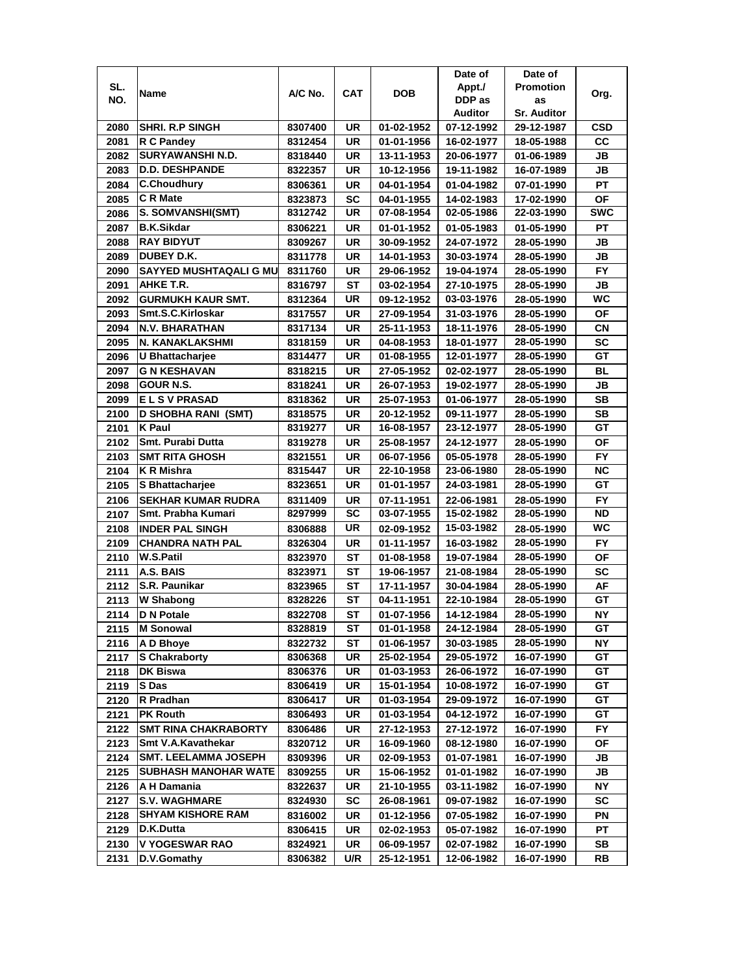|              |                                                   |                    |                 |                          | Date of                  | Date of                  |                 |
|--------------|---------------------------------------------------|--------------------|-----------------|--------------------------|--------------------------|--------------------------|-----------------|
| SL.          |                                                   | A/C No.            | CAT             | <b>DOB</b>               | Appt./                   | <b>Promotion</b>         |                 |
| NO.          | Name                                              |                    |                 |                          | DDP as                   | as                       | Org.            |
|              |                                                   |                    |                 |                          | Auditor                  | <b>Sr. Auditor</b>       |                 |
| 2080         | <b>SHRI. R.P SINGH</b>                            | 8307400            | UR              | 01-02-1952               | 07-12-1992               | 29-12-1987               | CSD             |
| 2081         | R C Pandey                                        | 8312454            | UR              | 01-01-1956               | 16-02-1977               | 18-05-1988               | cc              |
| 2082         | <b>SURYAWANSHI N.D.</b>                           | 8318440            | UR              | 13-11-1953               | 20-06-1977               | 01-06-1989               | JВ              |
| 2083         | <b>D.D. DESHPANDE</b>                             | 8322357            | UR              | 10-12-1956               | 19-11-1982               | 16-07-1989               | JВ              |
| 2084         | <b>C.Choudhury</b>                                | 8306361            | UR              | 04-01-1954               | 01-04-1982               | 07-01-1990               | <b>PT</b>       |
| 2085         | <b>C</b> R Mate                                   | 8323873            | SC              | 04-01-1955               | 14-02-1983               | 17-02-1990               | <b>OF</b>       |
| 2086         | S. SOMVANSHI(SMT)                                 | 8312742            | UR              | 07-08-1954               | 02-05-1986               | 22-03-1990               | <b>SWC</b>      |
| 2087         | <b>B.K.Sikdar</b>                                 | 8306221            | UR              | 01-01-1952               | 01-05-1983               | 01-05-1990               | РT              |
| 2088         | <b>RAY BIDYUT</b>                                 | 8309267            | UR              | 30-09-1952               | 24-07-1972               | 28-05-1990               | JВ              |
| 2089         | DUBEY D.K.                                        | 8311778            | UR              | 14-01-1953               | 30-03-1974               | 28-05-1990               | JB              |
| 2090         | <b>SAYYED MUSHTAQALI G MU</b>                     | 8311760            | UR              | 29-06-1952               | 19-04-1974               | 28-05-1990               | <b>FY</b>       |
| 2091         | AHKE T.R.                                         | 8316797            | ST              | 03-02-1954               | 27-10-1975               | 28-05-1990               | JВ              |
| 2092         | <b>GURMUKH KAUR SMT.</b>                          | 8312364            | UR              | 09-12-1952               | 03-03-1976               | 28-05-1990               | WC              |
| 2093         | Smt.S.C.Kirloskar                                 | 8317557            | UR              | 27-09-1954               | 31-03-1976               | 28-05-1990               | OF              |
| 2094         | <b>N.V. BHARATHAN</b>                             | 8317134            | UR              | 25-11-1953               | 18-11-1976               | 28-05-1990               | <b>CN</b>       |
| 2095         | N. KANAKLAKSHMI                                   | 8318159            | UR              | 04-08-1953               | 18-01-1977               | 28-05-1990               | SC              |
| 2096         | U Bhattacharjee                                   | 8314477            | UR              | 01-08-1955               | 12-01-1977               | 28-05-1990               | GT              |
| 2097         | <b>G N KESHAVAN</b>                               | 8318215            | UR              | 27-05-1952               | 02-02-1977               | 28-05-1990               | BL              |
| 2098         | <b>GOUR N.S.</b>                                  |                    | UR              | 26-07-1953               | 19-02-1977               |                          | JB              |
|              |                                                   | 8318241            |                 |                          |                          | 28-05-1990               |                 |
| 2099         | <b>ELSVPRASAD</b><br><b>D SHOBHA RANI (SMT)</b>   | 8318362            | UR              | 25-07-1953               | 01-06-1977               | 28-05-1990               | SB<br><b>SB</b> |
| 2100         | <b>K</b> Paul                                     | 8318575<br>8319277 | UR<br><b>UR</b> | 20-12-1952<br>16-08-1957 | 09-11-1977<br>23-12-1977 | 28-05-1990<br>28-05-1990 | GT              |
| 2101<br>2102 | Smt. Purabi Dutta                                 |                    |                 |                          |                          |                          |                 |
| 2103         |                                                   | 8319278            | UR<br><b>UR</b> | 25-08-1957               | 24-12-1977               | 28-05-1990               | ΟF<br><b>FY</b> |
|              | <b>SMT RITA GHOSH</b><br>K R Mishra               | 8321551            | UR              | 06-07-1956<br>22-10-1958 | 05-05-1978<br>23-06-1980 | 28-05-1990               | <b>NC</b>       |
| 2104         |                                                   | 8315447<br>8323651 | <b>UR</b>       | 01-01-1957               | 24-03-1981               | 28-05-1990               | GT              |
| 2105<br>2106 | S Bhattacharjee<br><b>SEKHAR KUMAR RUDRA</b>      |                    | UR              | 07-11-1951               | 22-06-1981               | 28-05-1990               | <b>FY</b>       |
| 2107         | Smt. Prabha Kumari                                | 8311409<br>8297999 | <b>SC</b>       | 03-07-1955               | 15-02-1982               | 28-05-1990<br>28-05-1990 | <b>ND</b>       |
| 2108         | <b>INDER PAL SINGH</b>                            | 8306888            | UR              | 02-09-1952               | 15-03-1982               | 28-05-1990               | <b>WC</b>       |
| 2109         | <b>CHANDRA NATH PAL</b>                           | 8326304            | <b>UR</b>       | 01-11-1957               | 16-03-1982               | 28-05-1990               | <b>FY</b>       |
| 2110         | <b>W.S.Patil</b>                                  | 8323970            | SТ              | 01-08-1958               | 19-07-1984               | 28-05-1990               | <b>OF</b>       |
| 2111         | A.S. BAIS                                         | 8323971            | ST              | 19-06-1957               | 21-08-1984               | 28-05-1990               | <b>SC</b>       |
| 2112         | S.R. Paunikar                                     |                    |                 |                          |                          |                          | AF              |
|              | <b>W Shabong</b>                                  | 8323965            | SТ<br>SТ        | 17-11-1957<br>04-11-1951 | 30-04-1984<br>22-10-1984 | 28-05-1990               | GT              |
| 2113         |                                                   | 8328226            |                 |                          |                          | 28-05-1990               |                 |
| 2114         | <b>D N Potale</b><br><b>M</b> Sonowal             | 8322708            | ST<br>ST        | 01-07-1956<br>01-01-1958 | 14-12-1984<br>24-12-1984 | 28-05-1990<br>28-05-1990 | <b>NY</b><br>GT |
| 2115<br>2116 |                                                   | 8328819            |                 |                          |                          | 28-05-1990               |                 |
|              | A D Bhoye<br><b>S Chakraborty</b>                 | 8322732<br>8306368 | ST<br>UR        | 01-06-1957<br>25-02-1954 | 30-03-1985<br>29-05-1972 | 16-07-1990               | NΥ<br>GT        |
| 2117         | <b>DK Biswa</b>                                   | 8306376            | UR              | 01-03-1953               | 26-06-1972               | 16-07-1990               | GТ              |
| 2118         | <b>S</b> Das                                      | 8306419            | UR              | 15-01-1954               | 10-08-1972               | 16-07-1990               | GT              |
| 2119         | R Pradhan                                         | 8306417            | UR              | 01-03-1954               | 29-09-1972               | 16-07-1990               | GT              |
| 2120         | <b>PK Routh</b>                                   | 8306493            | UR              | 01-03-1954               | 04-12-1972               | 16-07-1990               | GT              |
| 2121         |                                                   |                    |                 |                          |                          |                          |                 |
| 2122         | <b>SMT RINA CHAKRABORTY</b><br>Smt V.A.Kavathekar | 8306486            | UR              | 27-12-1953               | 27-12-1972               | 16-07-1990               | FY.             |
| 2123         | <b>SMT. LEELAMMA JOSEPH</b>                       | 8320712            | UR              | 16-09-1960               | 08-12-1980               | 16-07-1990               | ΟF              |
| 2124         | <b>SUBHASH MANOHAR WATE</b>                       | 8309396            | UR              | 02-09-1953               | 01-07-1981               | 16-07-1990               | JB              |
| 2125         |                                                   | 8309255            | UR              | 15-06-1952               | 01-01-1982               | 16-07-1990               | JB              |
| 2126         | A H Damania                                       | 8322637            | UR              | 21-10-1955               | 03-11-1982               | 16-07-1990               | NΥ              |
| 2127         | <b>S.V. WAGHMARE</b>                              | 8324930            | SC              | 26-08-1961               | 09-07-1982               | 16-07-1990               | SC              |
| 2128         | <b>SHYAM KISHORE RAM</b>                          | 8316002            | UR              | 01-12-1956               | 07-05-1982               | 16-07-1990               | ΡN              |
| 2129         | D.K.Dutta                                         | 8306415            | UR              | 02-02-1953               | 05-07-1982               | 16-07-1990               | РT              |
| 2130         | V YOGESWAR RAO                                    | 8324921            | UR              | 06-09-1957               | 02-07-1982               | 16-07-1990               | SB              |
| 2131         | D.V.Gomathy                                       | 8306382            | U/R             | 25-12-1951               | 12-06-1982               | 16-07-1990               | RB              |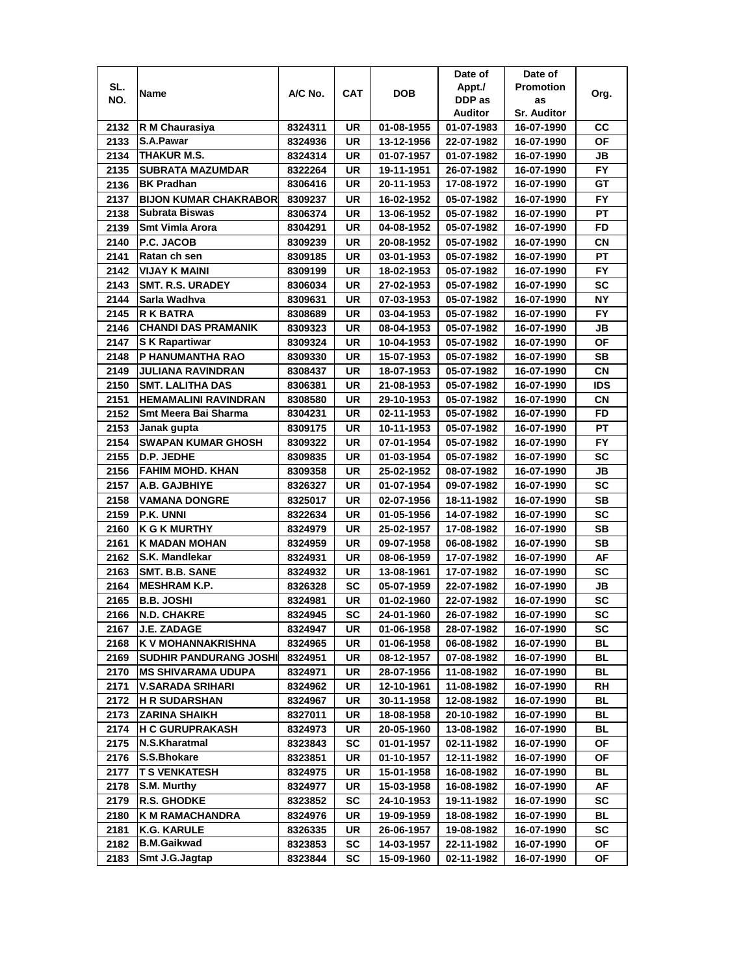|      |                               |         |     |            | Date of    | Date of            |           |
|------|-------------------------------|---------|-----|------------|------------|--------------------|-----------|
| SL.  |                               | A/C No. | CAT | <b>DOB</b> | Appt./     | <b>Promotion</b>   |           |
| NO.  | Name                          |         |     |            | DDP as     | as                 | Org.      |
|      |                               |         |     |            | Auditor    | <b>Sr. Auditor</b> |           |
| 2132 | R M Chaurasiya                | 8324311 | UR  | 01-08-1955 | 01-07-1983 | 16-07-1990         | CС        |
| 2133 | S.A.Pawar                     | 8324936 | UR  | 13-12-1956 | 22-07-1982 | 16-07-1990         | ΟF        |
| 2134 | <b>THAKUR M.S.</b>            | 8324314 | UR  | 01-07-1957 | 01-07-1982 | 16-07-1990         | JB        |
| 2135 | <b>SUBRATA MAZUMDAR</b>       | 8322264 | UR  | 19-11-1951 | 26-07-1982 | 16-07-1990         | FY.       |
| 2136 | <b>BK Pradhan</b>             | 8306416 | UR  | 20-11-1953 | 17-08-1972 | 16-07-1990         | GТ        |
| 2137 | <b>BIJON KUMAR CHAKRABOR</b>  | 8309237 | UR  | 16-02-1952 | 05-07-1982 | 16-07-1990         | FY        |
| 2138 | <b>Subrata Biswas</b>         | 8306374 | UR  | 13-06-1952 | 05-07-1982 | 16-07-1990         | <b>PT</b> |
| 2139 | <b>Smt Vimla Arora</b>        | 8304291 | UR  | 04-08-1952 | 05-07-1982 | 16-07-1990         | FD        |
| 2140 | P.C. JACOB                    | 8309239 | UR  | 20-08-1952 | 05-07-1982 | 16-07-1990         | СN        |
| 2141 | Ratan ch sen                  | 8309185 | UR  | 03-01-1953 | 05-07-1982 | 16-07-1990         | РT        |
| 2142 | VIJAY K MAINI                 | 8309199 | UR  | 18-02-1953 | 05-07-1982 | 16-07-1990         | <b>FY</b> |
| 2143 | <b>SMT. R.S. URADEY</b>       | 8306034 | UR  | 27-02-1953 | 05-07-1982 | 16-07-1990         | SC        |
| 2144 | Sarla Wadhva                  | 8309631 | UR  | 07-03-1953 | 05-07-1982 | 16-07-1990         | <b>NY</b> |
| 2145 | <b>R K BATRA</b>              | 8308689 | UR  | 03-04-1953 | 05-07-1982 | 16-07-1990         | FY        |
| 2146 | <b>CHANDI DAS PRAMANIK</b>    | 8309323 | UR  | 08-04-1953 | 05-07-1982 | 16-07-1990         | JB        |
| 2147 | <b>SK Rapartiwar</b>          | 8309324 | UR  | 10-04-1953 | 05-07-1982 | 16-07-1990         | ΟF        |
| 2148 | P HANUMANTHA RAO              | 8309330 | UR  | 15-07-1953 | 05-07-1982 | 16-07-1990         | SВ        |
| 2149 | JULIANA RAVINDRAN             | 8308437 | UR  | 18-07-1953 | 05-07-1982 | 16-07-1990         | CN        |
| 2150 | <b>SMT. LALITHA DAS</b>       | 8306381 | UR  | 21-08-1953 | 05-07-1982 | 16-07-1990         | IDS       |
| 2151 | <b>HEMAMALINI RAVINDRAN</b>   | 8308580 | UR  | 29-10-1953 | 05-07-1982 | 16-07-1990         | CN        |
| 2152 | <b>Smt Meera Bai Sharma</b>   | 8304231 | UR  | 02-11-1953 | 05-07-1982 | 16-07-1990         | FD        |
| 2153 | Janak gupta                   | 8309175 | UR  | 10-11-1953 | 05-07-1982 | 16-07-1990         | <b>PT</b> |
| 2154 | <b>SWAPAN KUMAR GHOSH</b>     | 8309322 | UR  | 07-01-1954 | 05-07-1982 | 16-07-1990         | <b>FY</b> |
| 2155 | D.P. JEDHE                    | 8309835 | UR  | 01-03-1954 | 05-07-1982 | 16-07-1990         | <b>SC</b> |
| 2156 | <b>FAHIM MOHD. KHAN</b>       | 8309358 | UR  | 25-02-1952 | 08-07-1982 | 16-07-1990         | JB        |
| 2157 | A.B. GAJBHIYE                 | 8326327 | UR  | 01-07-1954 | 09-07-1982 | 16-07-1990         | <b>SC</b> |
| 2158 | <b>VAMANA DONGRE</b>          | 8325017 | UR  | 02-07-1956 | 18-11-1982 | 16-07-1990         | SB        |
| 2159 | P.K. UNNI                     | 8322634 | UR  | 01-05-1956 | 14-07-1982 | 16-07-1990         | SC        |
| 2160 | <b>K G K MURTHY</b>           | 8324979 | UR  | 25-02-1957 | 17-08-1982 | 16-07-1990         | <b>SB</b> |
| 2161 | <b>K MADAN MOHAN</b>          | 8324959 | UR  | 09-07-1958 | 06-08-1982 | 16-07-1990         | <b>SB</b> |
| 2162 | S.K. Mandlekar                | 8324931 | UR  | 08-06-1959 | 17-07-1982 | 16-07-1990         | AF        |
| 2163 | SMT. B.B. SANE                | 8324932 | UR  | 13-08-1961 | 17-07-1982 | 16-07-1990         | <b>SC</b> |
| 2164 | <b>MESHRAM K.P.</b>           | 8326328 | SC  | 05-07-1959 | 22-07-1982 | 16-07-1990         | JB        |
| 2165 | <b>B.B. JOSHI</b>             | 8324981 | UR  | 01-02-1960 | 22-07-1982 | 16-07-1990         | <b>SC</b> |
| 2166 | <b>N.D. CHAKRE</b>            | 8324945 | SC  | 24-01-1960 | 26-07-1982 | 16-07-1990         | SC        |
| 2167 | <b>J.E. ZADAGE</b>            | 8324947 | UR  | 01-06-1958 | 28-07-1982 | 16-07-1990         | SC        |
| 2168 | K V MOHANNAKRISHNA            | 8324965 | UR  | 01-06-1958 | 06-08-1982 | 16-07-1990         | BL        |
| 2169 | <b>SUDHIR PANDURANG JOSHI</b> | 8324951 | UR  | 08-12-1957 | 07-08-1982 | 16-07-1990         | BL        |
| 2170 | <b>MS SHIVARAMA UDUPA</b>     | 8324971 | UR  | 28-07-1956 | 11-08-1982 | 16-07-1990         | BL        |
| 2171 | <b>V.SARADA SRIHARI</b>       | 8324962 | UR  | 12-10-1961 | 11-08-1982 | 16-07-1990         | RH        |
| 2172 | <b>H R SUDARSHAN</b>          | 8324967 | UR  | 30-11-1958 | 12-08-1982 | 16-07-1990         | BL        |
| 2173 | <b>ZARINA SHAIKH</b>          | 8327011 | UR  | 18-08-1958 | 20-10-1982 | 16-07-1990         | BL        |
| 2174 | <b>H C GURUPRAKASH</b>        | 8324973 | UR  | 20-05-1960 | 13-08-1982 | 16-07-1990         | BL        |
| 2175 | N.S.Kharatmal                 | 8323843 | SC  | 01-01-1957 | 02-11-1982 | 16-07-1990         | OF        |
| 2176 | S.S.Bhokare                   | 8323851 | UR  | 01-10-1957 | 12-11-1982 | 16-07-1990         | ΟF        |
| 2177 | <b>T S VENKATESH</b>          | 8324975 | UR  | 15-01-1958 | 16-08-1982 | 16-07-1990         | BL        |
| 2178 | S.M. Murthy                   | 8324977 | UR  | 15-03-1958 | 16-08-1982 | 16-07-1990         | AF        |
| 2179 | <b>R.S. GHODKE</b>            | 8323852 | SC  | 24-10-1953 | 19-11-1982 | 16-07-1990         | SC        |
| 2180 | <b>K M RAMACHANDRA</b>        | 8324976 | UR  | 19-09-1959 | 18-08-1982 | 16-07-1990         | BL        |
| 2181 | <b>K.G. KARULE</b>            | 8326335 | UR  | 26-06-1957 | 19-08-1982 | 16-07-1990         | sc        |
| 2182 | <b>B.M.Gaikwad</b>            | 8323853 | SC  | 14-03-1957 | 22-11-1982 | 16-07-1990         | ΟF        |
| 2183 | Smt J.G.Jagtap                | 8323844 | SC  | 15-09-1960 | 02-11-1982 | 16-07-1990         | ОF        |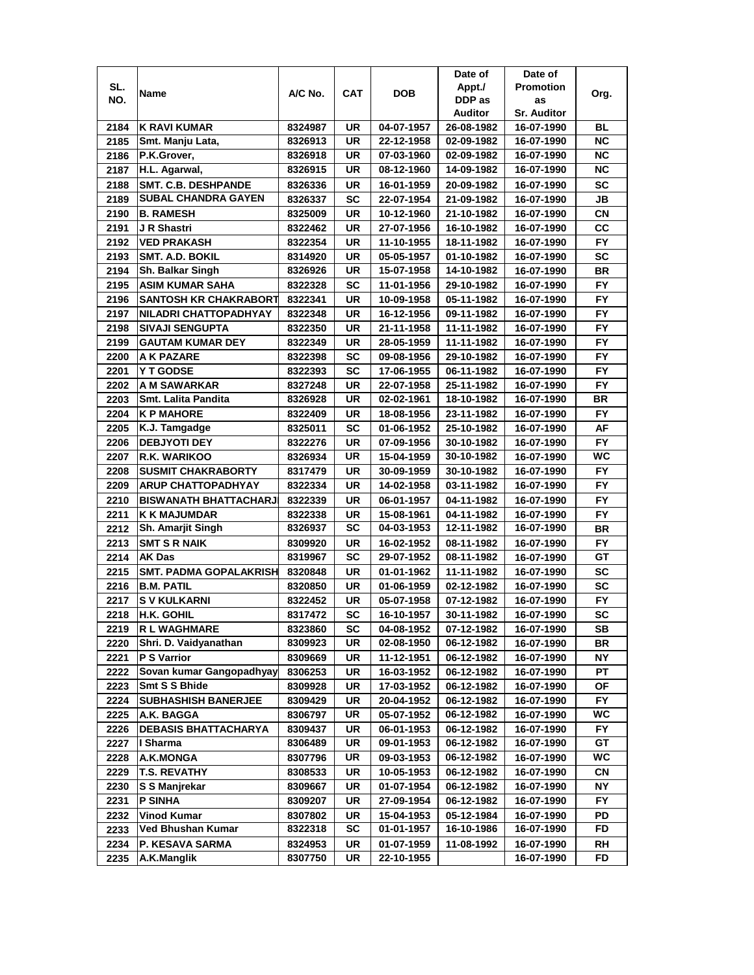|      |                               |         |           |            | Date of    | Date of            |           |
|------|-------------------------------|---------|-----------|------------|------------|--------------------|-----------|
| SL.  |                               | A/C No. | CAT       | <b>DOB</b> | Appt./     | <b>Promotion</b>   |           |
| NO.  | Name                          |         |           |            | DDP as     | as                 | Org.      |
|      |                               |         |           |            | Auditor    | <b>Sr. Auditor</b> |           |
| 2184 | <b>K RAVI KUMAR</b>           | 8324987 | UR        | 04-07-1957 | 26-08-1982 | 16-07-1990         | BL        |
| 2185 | Smt. Manju Lata,              | 8326913 | UR        | 22-12-1958 | 02-09-1982 | 16-07-1990         | ΝC        |
| 2186 | P.K.Grover,                   | 8326918 | UR        | 07-03-1960 | 02-09-1982 | 16-07-1990         | <b>NC</b> |
| 2187 | H.L. Agarwal,                 | 8326915 | UR        | 08-12-1960 | 14-09-1982 | 16-07-1990         | <b>NC</b> |
| 2188 | <b>SMT. C.B. DESHPANDE</b>    | 8326336 | UR        | 16-01-1959 | 20-09-1982 | 16-07-1990         | <b>SC</b> |
| 2189 | <b>SUBAL CHANDRA GAYEN</b>    | 8326337 | SC        | 22-07-1954 | 21-09-1982 | 16-07-1990         | JВ        |
| 2190 | <b>B. RAMESH</b>              | 8325009 | UR        | 10-12-1960 | 21-10-1982 | 16-07-1990         | CN        |
| 2191 | J R Shastri                   | 8322462 | UR        | 27-07-1956 | 16-10-1982 | 16-07-1990         | CC        |
| 2192 | <b>VED PRAKASH</b>            | 8322354 | UR        | 11-10-1955 | 18-11-1982 | 16-07-1990         | <b>FY</b> |
| 2193 | <b>SMT. A.D. BOKIL</b>        | 8314920 | UR        | 05-05-1957 | 01-10-1982 | 16-07-1990         | SC        |
| 2194 | <b>Sh. Balkar Singh</b>       | 8326926 | UR        | 15-07-1958 | 14-10-1982 | 16-07-1990         | <b>BR</b> |
| 2195 | <b>ASIM KUMAR SAHA</b>        | 8322328 | SC        | 11-01-1956 | 29-10-1982 | 16-07-1990         | <b>FY</b> |
| 2196 | <b>SANTOSH KR CHAKRABORT</b>  | 8322341 | <b>UR</b> | 10-09-1958 | 05-11-1982 | 16-07-1990         | <b>FY</b> |
| 2197 | NILADRI CHATTOPADHYAY         | 8322348 | UR        | 16-12-1956 | 09-11-1982 | 16-07-1990         | FY.       |
| 2198 | <b>SIVAJI SENGUPTA</b>        | 8322350 | UR        | 21-11-1958 | 11-11-1982 | 16-07-1990         | <b>FY</b> |
| 2199 | <b>GAUTAM KUMAR DEY</b>       | 8322349 | UR        | 28-05-1959 | 11-11-1982 | 16-07-1990         | FY.       |
| 2200 | A K PAZARE                    | 8322398 | SC        | 09-08-1956 | 29-10-1982 | 16-07-1990         | <b>FY</b> |
| 2201 | Y T GODSE                     | 8322393 | SC        | 17-06-1955 | 06-11-1982 | 16-07-1990         | FY.       |
| 2202 | A M SAWARKAR                  | 8327248 | UR        | 22-07-1958 | 25-11-1982 | 16-07-1990         | FY.       |
| 2203 | Smt. Lalita Pandita           | 8326928 | UR        | 02-02-1961 | 18-10-1982 | 16-07-1990         | BR        |
| 2204 | <b>K P MAHORE</b>             | 8322409 | UR        | 18-08-1956 | 23-11-1982 | 16-07-1990         | FY.       |
| 2205 | K.J. Tamgadge                 | 8325011 | <b>SC</b> | 01-06-1952 | 25-10-1982 | 16-07-1990         | AF        |
| 2206 | <b>DEBJYOTI DEY</b>           | 8322276 | UR        | 07-09-1956 | 30-10-1982 | 16-07-1990         | <b>FY</b> |
| 2207 | R.K. WARIKOO                  | 8326934 | UR        | 15-04-1959 | 30-10-1982 | 16-07-1990         | <b>WC</b> |
| 2208 | <b>SUSMIT CHAKRABORTY</b>     | 8317479 | UR        | 30-09-1959 | 30-10-1982 | 16-07-1990         | FY.       |
| 2209 | <b>ARUP CHATTOPADHYAY</b>     | 8322334 | UR        | 14-02-1958 | 03-11-1982 | 16-07-1990         | <b>FY</b> |
| 2210 | <b>BISWANATH BHATTACHARJ</b>  | 8322339 | UR        | 06-01-1957 | 04-11-1982 | 16-07-1990         | <b>FY</b> |
| 2211 | <b>K K MAJUMDAR</b>           | 8322338 | UR        | 15-08-1961 | 04-11-1982 | 16-07-1990         | <b>FY</b> |
| 2212 | <b>Sh. Amarjit Singh</b>      | 8326937 | SC        | 04-03-1953 | 12-11-1982 | 16-07-1990         | <b>BR</b> |
| 2213 | <b>SMT S R NAIK</b>           | 8309920 | UR        | 16-02-1952 | 08-11-1982 | 16-07-1990         | <b>FY</b> |
| 2214 | <b>AK Das</b>                 | 8319967 | SC        | 29-07-1952 | 08-11-1982 | 16-07-1990         | GТ        |
| 2215 | <b>SMT. PADMA GOPALAKRISH</b> | 8320848 | UR        | 01-01-1962 | 11-11-1982 | 16-07-1990         | <b>SC</b> |
| 2216 | <b>B.M. PATIL</b>             | 8320850 | UR        | 01-06-1959 | 02-12-1982 | 16-07-1990         | SC        |
| 2217 | <b>SV KULKARNI</b>            | 8322452 | UR        | 05-07-1958 | 07-12-1982 | 16-07-1990         | <b>FY</b> |
| 2218 | H.K. GOHIL                    | 8317472 | SC        | 16-10-1957 | 30-11-1982 | 16-07-1990         | SC        |
| 2219 | <b>R L WAGHMARE</b>           | 8323860 | SC        | 04-08-1952 | 07-12-1982 | 16-07-1990         | SB        |
| 2220 | Shri. D. Vaidyanathan         | 8309923 | UR        | 02-08-1950 | 06-12-1982 | 16-07-1990         | BR        |
| 2221 | <b>P S Varrior</b>            | 8309669 | UR        | 11-12-1951 | 06-12-1982 | 16-07-1990         | NΥ        |
| 2222 | Sovan kumar Gangopadhyay      | 8306253 | UR        | 16-03-1952 | 06-12-1982 | 16-07-1990         | РT        |
| 2223 | <b>Smt S S Bhide</b>          | 8309928 | UR        | 17-03-1952 | 06-12-1982 | 16-07-1990         | ΟF        |
| 2224 | <b>SUBHASHISH BANERJEE</b>    | 8309429 | UR        | 20-04-1952 | 06-12-1982 | 16-07-1990         | FY.       |
| 2225 | A.K. BAGGA                    | 8306797 | UR        | 05-07-1952 | 06-12-1982 | 16-07-1990         | WC        |
| 2226 | <b>DEBASIS BHATTACHARYA</b>   | 8309437 | UR        | 06-01-1953 | 06-12-1982 | 16-07-1990         | FY.       |
| 2227 | I Sharma                      | 8306489 | UR        | 09-01-1953 | 06-12-1982 | 16-07-1990         | GT        |
| 2228 | A.K.MONGA                     | 8307796 | UR        | 09-03-1953 | 06-12-1982 | 16-07-1990         | WС        |
| 2229 | <b>T.S. REVATHY</b>           | 8308533 | UR        | 10-05-1953 | 06-12-1982 | 16-07-1990         | CN        |
| 2230 | <b>S S Manjrekar</b>          | 8309667 | UR        | 01-07-1954 | 06-12-1982 | 16-07-1990         | NΥ        |
| 2231 | <b>P SINHA</b>                | 8309207 | UR        | 27-09-1954 | 06-12-1982 | 16-07-1990         | FY        |
| 2232 | Vinod Kumar                   | 8307802 | UR        | 15-04-1953 | 05-12-1984 | 16-07-1990         | PD        |
| 2233 | Ved Bhushan Kumar             | 8322318 | SC        | 01-01-1957 | 16-10-1986 | 16-07-1990         | FD        |
| 2234 | P. KESAVA SARMA               | 8324953 | UR        | 01-07-1959 | 11-08-1992 | 16-07-1990         | RH        |
| 2235 | A.K.Manglik                   | 8307750 | UR        | 22-10-1955 |            | 16-07-1990         | FD        |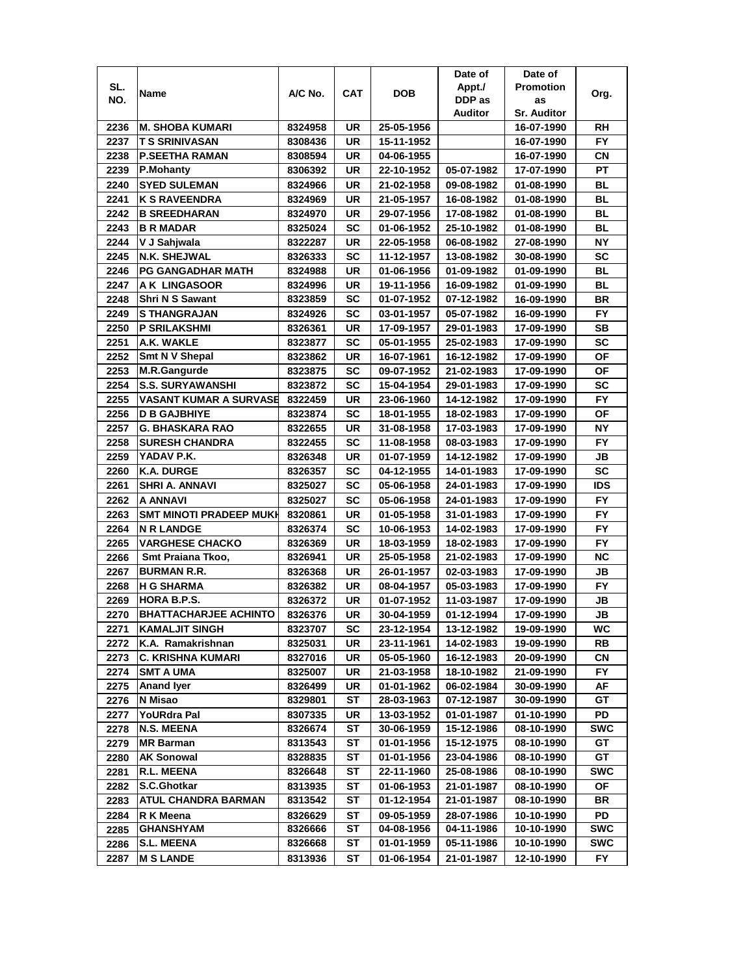|      |                                |                    |           |                  | Date of    | Date of            |            |
|------|--------------------------------|--------------------|-----------|------------------|------------|--------------------|------------|
| SL.  |                                |                    |           |                  | Appt./     | <b>Promotion</b>   |            |
| NO.  | Name                           | A/C No.            | CAT       | <b>DOB</b>       | DDP as     | as                 | Org.       |
|      |                                |                    |           |                  | Auditor    | <b>Sr. Auditor</b> |            |
| 2236 | <b>M. SHOBA KUMARI</b>         | 8324958            | UR        | 25-05-1956       |            | 16-07-1990         | RH         |
| 2237 | <b>T S SRINIVASAN</b>          | 8308436            | UR        | 15-11-1952       |            | 16-07-1990         | FY.        |
| 2238 | <b>P.SEETHA RAMAN</b>          | 8308594            | UR        | 04-06-1955       |            | 16-07-1990         | СN         |
| 2239 | P.Mohanty                      | 8306392            | UR        | 22-10-1952       | 05-07-1982 | 17-07-1990         | PT         |
| 2240 | <b>SYED SULEMAN</b>            | 8324966            | UR        | 21-02-1958       | 09-08-1982 | 01-08-1990         | BL         |
| 2241 | <b>K S RAVEENDRA</b>           | 8324969            | UR        | 21-05-1957       | 16-08-1982 | 01-08-1990         | BL         |
| 2242 | <b>B SREEDHARAN</b>            | 8324970            | UR        | 29-07-1956       | 17-08-1982 | 01-08-1990         | <b>BL</b>  |
| 2243 | <b>B R MADAR</b>               | 8325024            | SC        | 01-06-1952       | 25-10-1982 | 01-08-1990         | BL         |
| 2244 | V J Sahjwala                   | 8322287            | UR        | 22-05-1958       | 06-08-1982 | 27-08-1990         | <b>NY</b>  |
| 2245 | <b>N.K. SHEJWAL</b>            | 8326333            | SC        | 11-12-1957       | 13-08-1982 | 30-08-1990         | SC         |
| 2246 | <b>PG GANGADHAR MATH</b>       | 8324988            | UR        | 01-06-1956       | 01-09-1982 | 01-09-1990         | BL         |
| 2247 | A K LINGASOOR                  |                    | UR        | 19-11-1956       | 16-09-1982 |                    | <b>BL</b>  |
| 2248 | <b>Shri N S Sawant</b>         | 8324996<br>8323859 | SC        | 01-07-1952       | 07-12-1982 | 01-09-1990         | <b>BR</b>  |
|      |                                |                    |           |                  |            | 16-09-1990         | <b>FY</b>  |
| 2249 | <b>S THANGRAJAN</b>            | 8324926            | SC        | 03-01-1957       | 05-07-1982 | 16-09-1990         |            |
| 2250 | <b>P SRILAKSHMI</b>            | 8326361            | UR        | 17-09-1957       | 29-01-1983 | 17-09-1990         | <b>SB</b>  |
| 2251 | A.K. WAKLE                     | 8323877            | SC        | 05-01-1955       | 25-02-1983 | 17-09-1990         | SC         |
| 2252 | <b>Smt N V Shepal</b>          | 8323862            | UR        | 16-07-1961       | 16-12-1982 | 17-09-1990         | <b>OF</b>  |
| 2253 | <b>M.R.Gangurde</b>            | 8323875            | SC        | 09-07-1952       | 21-02-1983 | 17-09-1990         | ΟF         |
| 2254 | <b>S.S. SURYAWANSHI</b>        | 8323872            | SC        | 15-04-1954       | 29-01-1983 | 17-09-1990         | SC         |
| 2255 | VASANT KUMAR A SURVASE         | 8322459            | UR        | 23-06-1960       | 14-12-1982 | 17-09-1990         | <b>FY</b>  |
| 2256 | <b>D B GAJBHIYE</b>            | 8323874            | SC        | 18-01-1955       | 18-02-1983 | 17-09-1990         | <b>OF</b>  |
| 2257 | <b>G. BHASKARA RAO</b>         | 8322655            | UR        | 31-08-1958       | 17-03-1983 | 17-09-1990         | <b>NY</b>  |
| 2258 | <b>SURESH CHANDRA</b>          | 8322455            | SC        | 11-08-1958       | 08-03-1983 | 17-09-1990         | <b>FY</b>  |
| 2259 | YADAV P.K.                     | 8326348            | <b>UR</b> | 01-07-1959       | 14-12-1982 | 17-09-1990         | JВ         |
| 2260 | <b>K.A. DURGE</b>              | 8326357            | SC        | 04-12-1955       | 14-01-1983 | 17-09-1990         | <b>SC</b>  |
| 2261 | SHRI A. ANNAVI                 | 8325027            | SC        | 05-06-1958       | 24-01-1983 | 17-09-1990         | <b>IDS</b> |
| 2262 | A ANNAVI                       | 8325027            | SC        | 05-06-1958       | 24-01-1983 | 17-09-1990         | FY.        |
| 2263 | <b>SMT MINOTI PRADEEP MUKH</b> | 8320861            | <b>UR</b> | 01-05-1958       | 31-01-1983 | 17-09-1990         | <b>FY</b>  |
| 2264 | <b>N R LANDGE</b>              | 8326374            | <b>SC</b> | 10-06-1953       | 14-02-1983 | 17-09-1990         | <b>FY</b>  |
| 2265 | <b>VARGHESE CHACKO</b>         | 8326369            | UR        | 18-03-1959       | 18-02-1983 | 17-09-1990         | <b>FY</b>  |
| 2266 | Smt Praiana Tkoo,              | 8326941            | <b>UR</b> | 25-05-1958       | 21-02-1983 | 17-09-1990         | <b>NC</b>  |
| 2267 | <b>BURMAN R.R.</b>             | 8326368            | <b>UR</b> | 26-01-1957       | 02-03-1983 | 17-09-1990         | JВ         |
| 2268 | <b>H G SHARMA</b>              | 8326382            | UR        | 08-04-1957       | 05-03-1983 | 17-09-1990         | FY.        |
| 2269 | <b>HORA B.P.S.</b>             | 8326372            | UR        | 01-07-1952       | 11-03-1987 | 17-09-1990         | JВ         |
| 2270 | <b>BHATTACHARJEE ACHINTO</b>   | 8326376            | UR        | 30-04-1959       | 01-12-1994 | 17-09-1990         | JB         |
| 2271 | <b>KAMALJIT SINGH</b>          | 8323707            | SC        | 23-12-1954       | 13-12-1982 | 19-09-1990         | WC         |
| 2272 | K.A. Ramakrishnan              | 8325031            | UR        | 23-11-1961       | 14-02-1983 | 19-09-1990         | RB         |
| 2273 | <b>C. KRISHNA KUMARI</b>       | 8327016            | UR        | 05-05-1960       | 16-12-1983 | 20-09-1990         | CN         |
| 2274 | <b>SMT A UMA</b>               | 8325007            | UR        | 21-03-1958       | 18-10-1982 | 21-09-1990         | FY.        |
| 2275 | <b>Anand lyer</b>              | 8326499            | UR        | 01-01-1962       | 06-02-1984 | 30-09-1990         | AF         |
| 2276 | N Misao                        | 8329801            | ST        | 28-03-1963       | 07-12-1987 | 30-09-1990         | GT         |
| 2277 | YoURdra Pal                    | 8307335            | UR        | 13-03-1952       | 01-01-1987 | 01-10-1990         | PD         |
| 2278 | N.S. MEENA                     | 8326674            | ST        | 30-06-1959       | 15-12-1986 | 08-10-1990         | SWC        |
| 2279 | <b>MR Barman</b>               | 8313543            | ST        | 01-01-1956       | 15-12-1975 | 08-10-1990         | GT         |
| 2280 | <b>AK Sonowal</b>              | 8328835            | ST        | $01 - 01 - 1956$ | 23-04-1986 | 08-10-1990         | GT         |
| 2281 | R.L. MEENA                     | 8326648            | SТ        | 22-11-1960       | 25-08-1986 | 08-10-1990         | <b>SWC</b> |
| 2282 | S.C.Ghotkar                    | 8313935            | ST        | 01-06-1953       | 21-01-1987 | 08-10-1990         | ОF         |
| 2283 | <b>ATUL CHANDRA BARMAN</b>     | 8313542            | SТ        | 01-12-1954       | 21-01-1987 | 08-10-1990         | BR         |
|      |                                |                    |           |                  |            |                    |            |
| 2284 | R K Meena                      | 8326629            | SТ        | 09-05-1959       | 28-07-1986 | 10-10-1990         | PD         |
| 2285 | GHANSHYAM                      | 8326666            | SТ        | 04-08-1956       | 04-11-1986 | 10-10-1990         | SWC        |
| 2286 | <b>S.L. MEENA</b>              | 8326668            | ST        | 01-01-1959       | 05-11-1986 | 10-10-1990         | SWC        |
| 2287 | <b>M S LANDE</b>               | 8313936            | ST        | 01-06-1954       | 21-01-1987 | 12-10-1990         | FY.        |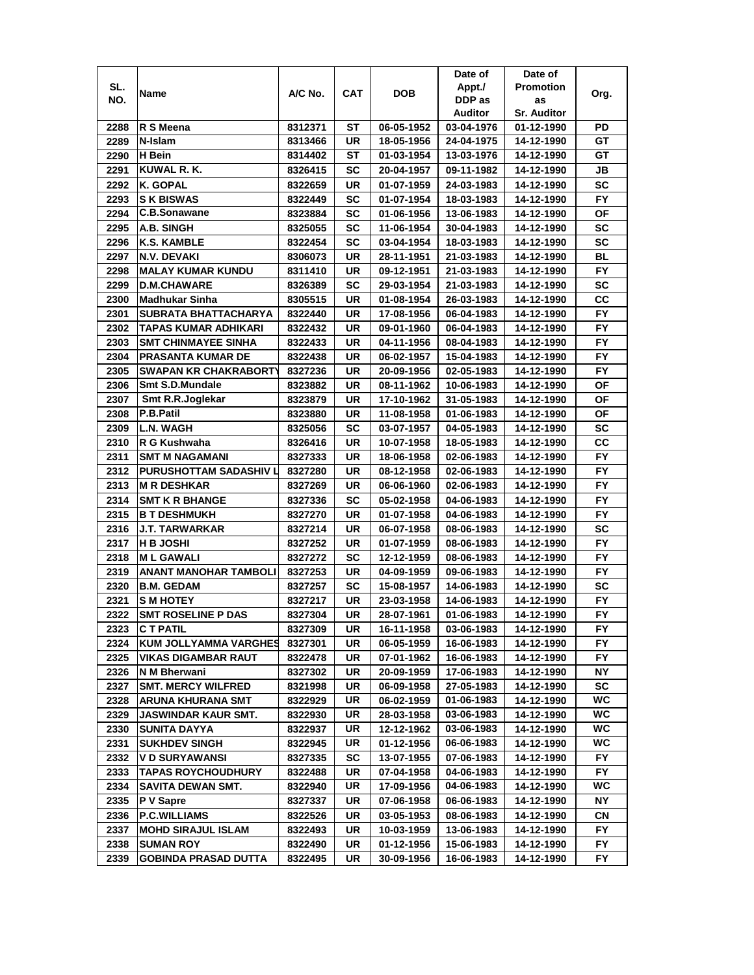|      |                              |         |            |            | Date of    | Date of            |           |
|------|------------------------------|---------|------------|------------|------------|--------------------|-----------|
| SL.  | Name                         | A/C No. | <b>CAT</b> | DOB        | Appt./     | <b>Promotion</b>   | Org.      |
| NO.  |                              |         |            |            | DDP as     | as                 |           |
|      |                              |         |            |            | Auditor    | <b>Sr. Auditor</b> |           |
| 2288 | R S Meena                    | 8312371 | ST         | 06-05-1952 | 03-04-1976 | 01-12-1990         | PD        |
| 2289 | N-Islam                      | 8313466 | UR         | 18-05-1956 | 24-04-1975 | 14-12-1990         | GT        |
| 2290 | H Bein                       | 8314402 | ST         | 01-03-1954 | 13-03-1976 | 14-12-1990         | GТ        |
| 2291 | KUWAL R.K.                   | 8326415 | SC         | 20-04-1957 | 09-11-1982 | 14-12-1990         | JВ        |
| 2292 | K. GOPAL                     | 8322659 | UR         | 01-07-1959 | 24-03-1983 | 14-12-1990         | <b>SC</b> |
| 2293 | <b>S K BISWAS</b>            | 8322449 | SC         | 01-07-1954 | 18-03-1983 | 14-12-1990         | FY.       |
| 2294 | C.B.Sonawane                 | 8323884 | SC         | 01-06-1956 | 13-06-1983 | 14-12-1990         | ΟF        |
| 2295 | A.B. SINGH                   | 8325055 | SC         | 11-06-1954 | 30-04-1983 | 14-12-1990         | <b>SC</b> |
| 2296 | K.S. KAMBLE                  | 8322454 | SC         | 03-04-1954 | 18-03-1983 | 14-12-1990         | SC        |
| 2297 | N.V. DEVAKI                  | 8306073 | UR         | 28-11-1951 | 21-03-1983 | 14-12-1990         | <b>BL</b> |
| 2298 | <b>MALAY KUMAR KUNDU</b>     | 8311410 | UR         | 09-12-1951 | 21-03-1983 | 14-12-1990         | <b>FY</b> |
| 2299 | <b>D.M.CHAWARE</b>           | 8326389 | SC         | 29-03-1954 | 21-03-1983 | 14-12-1990         | <b>SC</b> |
| 2300 | Madhukar Sinha               | 8305515 | UR         | 01-08-1954 | 26-03-1983 | 14-12-1990         | cc        |
| 2301 | SUBRATA BHATTACHARYA         | 8322440 | UR         | 17-08-1956 | 06-04-1983 | 14-12-1990         | FY.       |
| 2302 | TAPAS KUMAR ADHIKARI         | 8322432 | UR         | 09-01-1960 | 06-04-1983 | 14-12-1990         | FY.       |
| 2303 | <b>SMT CHINMAYEE SINHA</b>   | 8322433 | <b>UR</b>  | 04-11-1956 | 08-04-1983 | 14-12-1990         | <b>FY</b> |
| 2304 | <b>PRASANTA KUMAR DE</b>     | 8322438 | UR         | 06-02-1957 | 15-04-1983 | 14-12-1990         | FY.       |
| 2305 | <b>SWAPAN KR CHAKRABORTY</b> | 8327236 | UR         | 20-09-1956 | 02-05-1983 | 14-12-1990         | FY.       |
| 2306 | <b>Smt S.D.Mundale</b>       |         | UR         |            |            |                    | ΟF        |
|      | Smt R.R.Joglekar             | 8323882 |            | 08-11-1962 | 10-06-1983 | 14-12-1990         | <b>OF</b> |
| 2307 | P.B.Patil                    | 8323879 | UR         | 17-10-1962 | 31-05-1983 | 14-12-1990         |           |
| 2308 |                              | 8323880 | UR         | 11-08-1958 | 01-06-1983 | 14-12-1990         | ΟF        |
| 2309 | <b>L.N. WAGH</b>             | 8325056 | SC         | 03-07-1957 | 04-05-1983 | 14-12-1990         | <b>SC</b> |
| 2310 | R G Kushwaha                 | 8326416 | UR         | 10-07-1958 | 18-05-1983 | 14-12-1990         | СC        |
| 2311 | <b>SMT M NAGAMANI</b>        | 8327333 | UR         | 18-06-1958 | 02-06-1983 | 14-12-1990         | FY.       |
| 2312 | PURUSHOTTAM SADASHIV L       | 8327280 | UR         | 08-12-1958 | 02-06-1983 | 14-12-1990         | <b>FY</b> |
| 2313 | <b>M R DESHKAR</b>           | 8327269 | UR         | 06-06-1960 | 02-06-1983 | 14-12-1990         | <b>FY</b> |
| 2314 | <b>SMT K R BHANGE</b>        | 8327336 | <b>SC</b>  | 05-02-1958 | 04-06-1983 | 14-12-1990         | <b>FY</b> |
| 2315 | <b>B T DESHMUKH</b>          | 8327270 | UR         | 01-07-1958 | 04-06-1983 | 14-12-1990         | <b>FY</b> |
| 2316 | <b>J.T. TARWARKAR</b>        | 8327214 | UR         | 06-07-1958 | 08-06-1983 | 14-12-1990         | <b>SC</b> |
| 2317 | <b>H B JOSHI</b>             | 8327252 | UR         | 01-07-1959 | 08-06-1983 | 14-12-1990         | <b>FY</b> |
| 2318 | <b>ML GAWALI</b>             | 8327272 | SC         | 12-12-1959 | 08-06-1983 | 14-12-1990         | <b>FY</b> |
| 2319 | <b>ANANT MANOHAR TAMBOLI</b> | 8327253 | UR         | 04-09-1959 | 09-06-1983 | 14-12-1990         | FY.       |
| 2320 | <b>B.M. GEDAM</b>            | 8327257 | SC         | 15-08-1957 | 14-06-1983 | 14-12-1990         | SC        |
| 2321 | <b>S M HOTEY</b>             | 8327217 | UR         | 23-03-1958 | 14-06-1983 | 14-12-1990         | FY.       |
| 2322 | <b>SMT ROSELINE P DAS</b>    | 8327304 | UR         | 28-07-1961 | 01-06-1983 | 14-12-1990         | <b>FY</b> |
| 2323 | <b>CT PATIL</b>              | 8327309 | UR         | 16-11-1958 | 03-06-1983 | 14-12-1990         | FY.       |
| 2324 | <b>KUM JOLLYAMMA VARGHES</b> | 8327301 | UR         | 06-05-1959 | 16-06-1983 | 14-12-1990         | FY.       |
| 2325 | <b>VIKAS DIGAMBAR RAUT</b>   | 8322478 | UR         | 07-01-1962 | 16-06-1983 | 14-12-1990         | FY        |
| 2326 | N M Bherwani                 | 8327302 | UR         | 20-09-1959 | 17-06-1983 | 14-12-1990         | NΥ        |
| 2327 | <b>SMT. MERCY WILFRED</b>    | 8321998 | UR         | 06-09-1958 | 27-05-1983 | 14-12-1990         | SC        |
| 2328 | ARUNA KHURANA SMT            | 8322929 | UR         | 06-02-1959 | 01-06-1983 | 14-12-1990         | <b>WC</b> |
| 2329 | JASWINDAR KAUR SMT.          | 8322930 | UR         | 28-03-1958 | 03-06-1983 | 14-12-1990         | WC.       |
| 2330 | SUNITA DAYYA                 | 8322937 | UR         | 12-12-1962 | 03-06-1983 | 14-12-1990         | WC        |
| 2331 | <b>SUKHDEV SINGH</b>         | 8322945 | UR         | 01-12-1956 | 06-06-1983 | 14-12-1990         | WC        |
| 2332 | <b>VD SURYAWANSI</b>         | 8327335 | <b>SC</b>  | 13-07-1955 | 07-06-1983 | 14-12-1990         | FY        |
| 2333 | <b>TAPAS ROYCHOUDHURY</b>    | 8322488 | UR         | 07-04-1958 | 04-06-1983 | 14-12-1990         | FY.       |
| 2334 | <b>SAVITA DEWAN SMT.</b>     | 8322940 | UR         | 17-09-1956 | 04-06-1983 | 14-12-1990         | WC        |
| 2335 | P V Sapre                    | 8327337 | UR         | 07-06-1958 | 06-06-1983 | 14-12-1990         | ΝY        |
| 2336 | <b>P.C.WILLIAMS</b>          | 8322526 | UR         | 03-05-1953 | 08-06-1983 | 14-12-1990         | CN        |
| 2337 | <b>MOHD SIRAJUL ISLAM</b>    | 8322493 | UR         | 10-03-1959 | 13-06-1983 | 14-12-1990         | FY        |
| 2338 | <b>SUMAN ROY</b>             | 8322490 | UR         | 01-12-1956 | 15-06-1983 | 14-12-1990         | FΥ        |
| 2339 | GOBINDA PRASAD DUTTA         | 8322495 | UR         | 30-09-1956 | 16-06-1983 | 14-12-1990         | FY.       |
|      |                              |         |            |            |            |                    |           |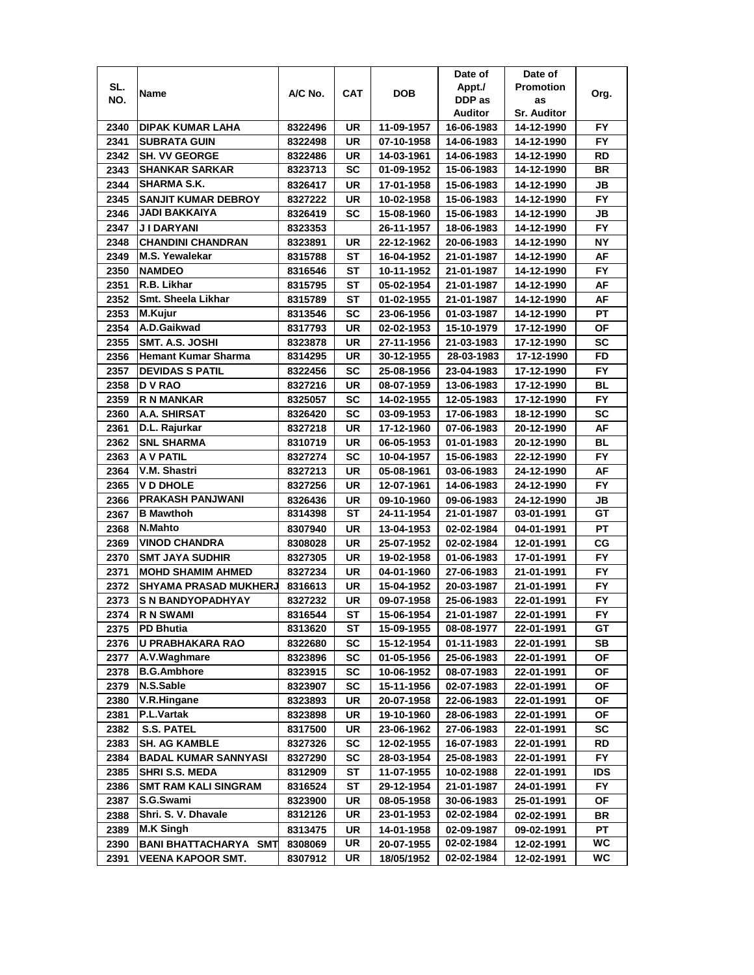|      |                                     |                    |           |                          | Date of                  | Date of                  |                 |
|------|-------------------------------------|--------------------|-----------|--------------------------|--------------------------|--------------------------|-----------------|
| SL.  | Name                                | A/C No.            | CAT       | DOB                      | Appt./                   | <b>Promotion</b>         | Org.            |
| NO.  |                                     |                    |           |                          | DDP as                   | as                       |                 |
|      |                                     |                    |           |                          | <b>Auditor</b>           | <b>Sr. Auditor</b>       |                 |
| 2340 | DIPAK KUMAR LAHA                    | 8322496            | UR        | 11-09-1957               | 16-06-1983               | 14-12-1990               | FY.             |
| 2341 | <b>SUBRATA GUIN</b>                 | 8322498            | UR        | 07-10-1958               | 14-06-1983               | 14-12-1990               | <b>FY</b>       |
| 2342 | <b>SH. VV GEORGE</b>                | 8322486            | UR        | 14-03-1961               | 14-06-1983               | 14-12-1990               | RD              |
| 2343 | <b>SHANKAR SARKAR</b>               | 8323713            | SC        | 01-09-1952               | 15-06-1983               | 14-12-1990               | <b>BR</b>       |
| 2344 | <b>SHARMA S.K.</b>                  | 8326417            | UR        | 17-01-1958               | 15-06-1983               | 14-12-1990               | JB              |
| 2345 | <b>SANJIT KUMAR DEBROY</b>          | 8327222            | UR        | 10-02-1958               | 15-06-1983               | 14-12-1990               | FY              |
| 2346 | JADI BAKKAIYA                       | 8326419            | SC        | 15-08-1960               | 15-06-1983               | 14-12-1990               | JB              |
| 2347 | J I DARYANI                         | 8323353            |           | 26-11-1957               | 18-06-1983               | 14-12-1990               | FY.             |
| 2348 | <b>CHANDINI CHANDRAN</b>            | 8323891            | UR        | 22-12-1962               | 20-06-1983               | 14-12-1990               | ΝY              |
| 2349 | <b>M.S. Yewalekar</b>               | 8315788            | ST        | 16-04-1952               | 21-01-1987               | 14-12-1990               | AF              |
| 2350 | <b>NAMDEO</b>                       | 8316546            | ST        | 10-11-1952               | 21-01-1987               | 14-12-1990               | <b>FY</b>       |
| 2351 | R.B. Likhar                         | 8315795            | ST        | 05-02-1954               | 21-01-1987               | 14-12-1990               | AF              |
| 2352 | Smt. Sheela Likhar                  | 8315789            | ST        | 01-02-1955               | 21-01-1987               | 14-12-1990               | AF              |
| 2353 | <b>M.Kujur</b>                      | 8313546            | SC        | 23-06-1956               | 01-03-1987               | 14-12-1990               | PT              |
| 2354 | A.D.Gaikwad                         | 8317793            | UR        | 02-02-1953               | 15-10-1979               | 17-12-1990               | ΟF              |
| 2355 | SMT. A.S. JOSHI                     | 8323878            | UR        | 27-11-1956               | 21-03-1983               | 17-12-1990               | SC              |
| 2356 | <b>Hemant Kumar Sharma</b>          | 8314295            | UR        | 30-12-1955               | 28-03-1983               | 17-12-1990               | FD              |
| 2357 | <b>DEVIDAS S PATIL</b>              | 8322456            | SC        | 25-08-1956               | 23-04-1983               | 17-12-1990               | FY.             |
| 2358 | <b>DVRAO</b>                        | 8327216            | UR        | 08-07-1959               | 13-06-1983               | 17-12-1990               | BL              |
| 2359 | <b>R N MANKAR</b>                   | 8325057            | SC        | 14-02-1955               | 12-05-1983               | 17-12-1990               | FY.             |
| 2360 | A.A. SHIRSAT                        | 8326420            | SC        | 03-09-1953               | 17-06-1983               | 18-12-1990               | <b>SC</b>       |
| 2361 | D.L. Rajurkar                       | 8327218            | UR        | 17-12-1960               | 07-06-1983               | 20-12-1990               | AF              |
| 2362 | <b>SNL SHARMA</b>                   | 8310719            | UR        | 06-05-1953               | 01-01-1983               | 20-12-1990               | <b>BL</b>       |
| 2363 | A V PATIL                           | 8327274            | SC        | 10-04-1957               | 15-06-1983               | 22-12-1990               | FY.             |
| 2364 | V.M. Shastri                        | 8327213            | UR        | 05-08-1961               | 03-06-1983               | 24-12-1990               | AF              |
| 2365 | <b>VDD DHOLE</b>                    | 8327256            | UR        | 12-07-1961               | 14-06-1983               | 24-12-1990               | FY              |
| 2366 | <b>PRAKASH PANJWANI</b>             | 8326436            | UR        | 09-10-1960               | 09-06-1983               | 24-12-1990               | JB              |
| 2367 | <b>B</b> Mawthoh                    | 8314398            | ST        | 24-11-1954               | 21-01-1987               | 03-01-1991               | GT              |
| 2368 | N.Mahto                             | 8307940            | UR        | 13-04-1953               | 02-02-1984               | 04-01-1991               | PT              |
| 2369 | <b>VINOD CHANDRA</b>                | 8308028            | UR        | 25-07-1952               | 02-02-1984               | 12-01-1991               | СG              |
| 2370 | <b>SMT JAYA SUDHIR</b>              | 8327305            | UR        | 19-02-1958               | 01-06-1983               | 17-01-1991               | FY.             |
| 2371 | <b>MOHD SHAMIM AHMED</b>            | 8327234            | UR        | 04-01-1960               | 27-06-1983               | 21-01-1991               | FY.             |
| 2372 | <b>SHYAMA PRASAD MUKHERJ</b>        |                    | UR        | 15-04-1952               | 20-03-1987               | 21-01-1991               | FY.             |
|      |                                     | 8316613            |           |                          |                          |                          |                 |
| 2373 | S N BANDYOPADHYAY                   | 8327232            | UR        | 09-07-1958               | 25-06-1983               | 22-01-1991               | FY.             |
| 2374 | <b>RN SWAMI</b><br><b>PD Bhutia</b> | 8316544<br>8313620 | SТ<br>ST  | 15-06-1954<br>15-09-1955 | 21-01-1987<br>08-08-1977 | 22-01-1991<br>22-01-1991 | <b>FY</b><br>GT |
| 2375 | <b>U PRABHAKARA RAO</b>             |                    |           |                          |                          |                          |                 |
| 2376 | A.V.Waghmare                        | 8322680            | SC        | 15-12-1954               | 01-11-1983               | 22-01-1991               | SB              |
| 2377 |                                     | 8323896            | <b>SC</b> | 01-05-1956               | 25-06-1983               | 22-01-1991               | ΟF              |
| 2378 | <b>B.G.Ambhore</b>                  | 8323915            | <b>SC</b> | 10-06-1952               | 08-07-1983               | 22-01-1991               | ΟF              |
| 2379 | N.S.Sable                           | 8323907            | SC        | 15-11-1956               | 02-07-1983               | 22-01-1991               | ΟF              |
| 2380 | V.R.Hingane                         | 8323893            | UR        | 20-07-1958               | 22-06-1983               | 22-01-1991               | ΟF              |
| 2381 | P.L.Vartak                          | 8323898            | UR        | 19-10-1960               | 28-06-1983               | 22-01-1991               | ОF              |
| 2382 | <b>S.S. PATEL</b>                   | 8317500            | UR        | 23-06-1962               | 27-06-1983               | 22-01-1991               | SC              |
| 2383 | <b>SH. AG KAMBLE</b>                | 8327326            | <b>SC</b> | 12-02-1955               | 16-07-1983               | 22-01-1991               | RD              |
| 2384 | <b>BADAL KUMAR SANNYASI</b>         | 8327290            | <b>SC</b> | 28-03-1954               | 25-08-1983               | 22-01-1991               | FY              |
| 2385 | SHRI S.S. MEDA                      | 8312909            | ST        | 11-07-1955               | 10-02-1988               | 22-01-1991               | IDS             |
| 2386 | <b>SMT RAM KALI SINGRAM</b>         | 8316524            | <b>ST</b> | 29-12-1954               | 21-01-1987               | 24-01-1991               | FY.             |
| 2387 | S.G.Swami                           | 8323900            | UR        | 08-05-1958               | 30-06-1983               | 25-01-1991               | ΟF              |
| 2388 | Shri. S. V. Dhavale                 | 8312126            | UR        | 23-01-1953               | 02-02-1984               | 02-02-1991               | BR              |
| 2389 | M.K Singh                           | 8313475            | UR        | 14-01-1958               | 02-09-1987               | 09-02-1991               | PT              |
| 2390 | <b>BANI BHATTACHARYA SMT</b>        | 8308069            | UR        | 20-07-1955               | 02-02-1984               | 12-02-1991               | WC.             |
| 2391 | VEENA KAPOOR SMT.                   | 8307912            | UR        | 18/05/1952               | 02-02-1984               | 12-02-1991               | WC              |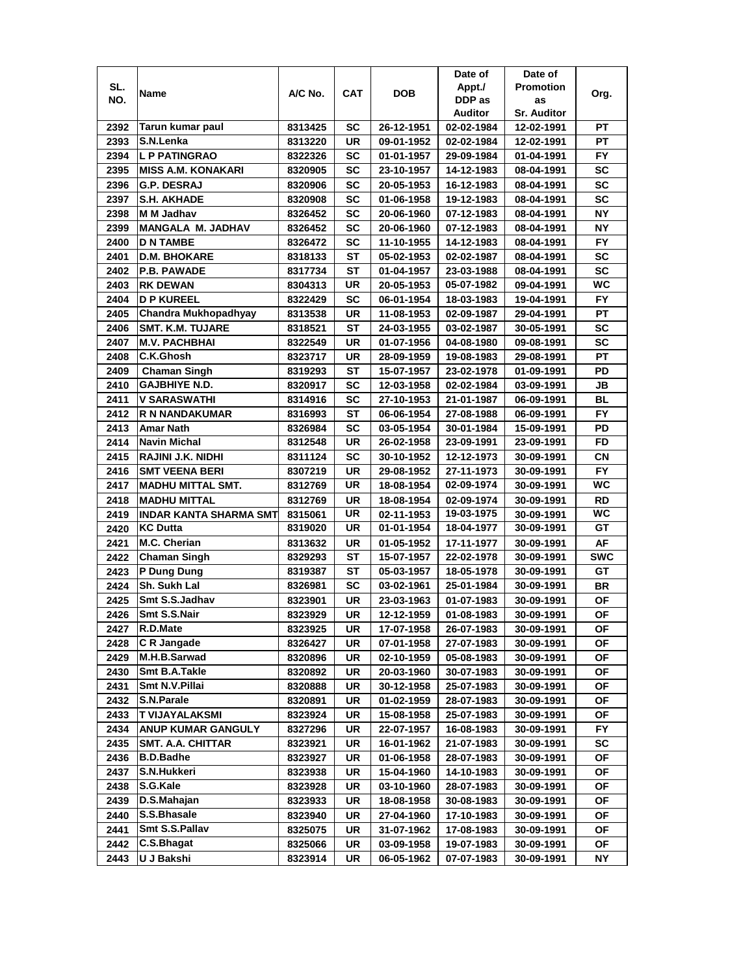| SL.<br><b>Promotion</b><br>Appt./<br><b>CAT</b><br><b>DOB</b><br>A/C No.<br>Name<br>NO.<br>DDP as<br>as<br><b>Auditor</b><br><b>Sr. Auditor</b><br>Tarun kumar paul<br>SC<br>26-12-1951<br>2392<br>8313425<br>02-02-1984<br>12-02-1991<br>S.N.Lenka<br>2393<br>UR<br>8313220<br>09-01-1952<br>02-02-1984<br>12-02-1991<br>2394<br><b>L P PATINGRAO</b><br>SC<br>8322326<br>01-01-1957<br>29-09-1984<br>01-04-1991 | Org.<br>РT<br>PT<br><b>FY</b><br><b>SC</b><br><b>SC</b><br><b>SC</b><br>NΥ |
|-------------------------------------------------------------------------------------------------------------------------------------------------------------------------------------------------------------------------------------------------------------------------------------------------------------------------------------------------------------------------------------------------------------------|----------------------------------------------------------------------------|
|                                                                                                                                                                                                                                                                                                                                                                                                                   |                                                                            |
|                                                                                                                                                                                                                                                                                                                                                                                                                   |                                                                            |
|                                                                                                                                                                                                                                                                                                                                                                                                                   |                                                                            |
|                                                                                                                                                                                                                                                                                                                                                                                                                   |                                                                            |
|                                                                                                                                                                                                                                                                                                                                                                                                                   |                                                                            |
|                                                                                                                                                                                                                                                                                                                                                                                                                   |                                                                            |
| <b>SC</b><br>2395<br><b>MISS A.M. KONAKARI</b><br>23-10-1957<br>8320905<br>14-12-1983<br>08-04-1991                                                                                                                                                                                                                                                                                                               |                                                                            |
| 2396<br>SC<br><b>G.P. DESRAJ</b><br>8320906<br>20-05-1953<br>16-12-1983<br>08-04-1991                                                                                                                                                                                                                                                                                                                             |                                                                            |
| 2397<br><b>S.H. AKHADE</b><br>SC<br>8320908<br>01-06-1958<br>19-12-1983<br>08-04-1991                                                                                                                                                                                                                                                                                                                             |                                                                            |
| 2398<br>SC<br>M M Jadhav<br>20-06-1960<br>07-12-1983<br>8326452<br>08-04-1991                                                                                                                                                                                                                                                                                                                                     |                                                                            |
| 2399<br><b>MANGALA M. JADHAV</b><br>SC<br>8326452<br>20-06-1960<br>07-12-1983<br>08-04-1991                                                                                                                                                                                                                                                                                                                       | NΥ                                                                         |
| 2400<br>SC<br><b>D N TAMBE</b><br>8326472<br>11-10-1955<br>14-12-1983<br>08-04-1991                                                                                                                                                                                                                                                                                                                               | FY.                                                                        |
| 2401<br>ST<br><b>D.M. BHOKARE</b><br>8318133<br>05-02-1953<br>02-02-1987<br>08-04-1991                                                                                                                                                                                                                                                                                                                            | <b>SC</b>                                                                  |
| <b>ST</b><br>2402<br><b>P.B. PAWADE</b><br>8317734<br>01-04-1957<br>23-03-1988<br>08-04-1991                                                                                                                                                                                                                                                                                                                      | <b>SC</b>                                                                  |
| UR<br>05-07-1982<br>2403<br><b>RK DEWAN</b><br>20-05-1953<br>8304313<br>09-04-1991                                                                                                                                                                                                                                                                                                                                | <b>WC</b>                                                                  |
| 2404<br><b>D P KUREEL</b><br>SC<br>06-01-1954<br>8322429<br>18-03-1983<br>19-04-1991                                                                                                                                                                                                                                                                                                                              | FY                                                                         |
| <b>Chandra Mukhopadhyay</b><br>2405<br>UR<br>8313538<br>11-08-1953<br>02-09-1987<br>29-04-1991                                                                                                                                                                                                                                                                                                                    | <b>PT</b>                                                                  |
| 2406<br><b>SMT. K.M. TUJARE</b><br>SТ<br>8318521<br>24-03-1955<br>03-02-1987<br>30-05-1991                                                                                                                                                                                                                                                                                                                        | SC                                                                         |
| 2407<br><b>M.V. PACHBHAI</b><br>UR<br>8322549<br>01-07-1956<br>04-08-1980<br>09-08-1991                                                                                                                                                                                                                                                                                                                           | <b>SC</b>                                                                  |
| C.K.Ghosh<br>2408<br>8323717<br>UR<br>28-09-1959<br>19-08-1983<br>29-08-1991                                                                                                                                                                                                                                                                                                                                      | PТ                                                                         |
| 2409<br>SТ<br>Chaman Singh<br>8319293<br>15-07-1957<br>23-02-1978<br>01-09-1991                                                                                                                                                                                                                                                                                                                                   | PD                                                                         |
| <b>GAJBHIYE N.D.</b><br>2410<br>SC<br>8320917<br>12-03-1958<br>02-02-1984<br>03-09-1991                                                                                                                                                                                                                                                                                                                           | JB                                                                         |
| 2411<br><b>V SARASWATHI</b><br>SC<br>27-10-1953<br>8314916<br>21-01-1987<br>06-09-1991                                                                                                                                                                                                                                                                                                                            | <b>BL</b>                                                                  |
| 2412<br><b>ST</b><br><b>R N NANDAKUMAR</b><br>06-06-1954<br>27-08-1988<br>8316993<br>06-09-1991                                                                                                                                                                                                                                                                                                                   | FY                                                                         |
| 2413<br><b>Amar Nath</b><br>SC<br>8326984<br>03-05-1954<br>30-01-1984<br>15-09-1991                                                                                                                                                                                                                                                                                                                               | PD                                                                         |
| Navin Michal<br>UR<br>2414<br>8312548<br>26-02-1958<br>23-09-1991<br>23-09-1991                                                                                                                                                                                                                                                                                                                                   | FD                                                                         |
| 2415<br>RAJINI J.K. NIDHI<br>SC<br>8311124<br>30-10-1952<br>12-12-1973<br>30-09-1991                                                                                                                                                                                                                                                                                                                              | CN                                                                         |
| 2416<br><b>SMT VEENA BERI</b><br>UR<br>27-11-1973<br>8307219<br>29-08-1952<br>30-09-1991                                                                                                                                                                                                                                                                                                                          | <b>FY</b>                                                                  |
| <b>UR</b><br>2417<br>02-09-1974<br><b>MADHU MITTAL SMT.</b><br>8312769<br>18-08-1954<br>30-09-1991                                                                                                                                                                                                                                                                                                                | <b>WC</b>                                                                  |
| 2418<br><b>MADHU MITTAL</b><br><b>UR</b><br>18-08-1954<br>02-09-1974<br>8312769<br>30-09-1991                                                                                                                                                                                                                                                                                                                     | <b>RD</b>                                                                  |
| 2419<br>INDAR KANTA SHARMA SMT<br>UR<br>19-03-1975<br>8315061<br>02-11-1953<br>30-09-1991                                                                                                                                                                                                                                                                                                                         | <b>WC</b>                                                                  |
| <b>KC Dutta</b><br>2420<br>UR<br>01-01-1954<br>8319020<br>18-04-1977<br>30-09-1991                                                                                                                                                                                                                                                                                                                                | GT                                                                         |
| 2421<br>M.C. Cherian<br>8313632<br>UR<br>01-05-1952<br>17-11-1977<br>30-09-1991                                                                                                                                                                                                                                                                                                                                   | AF                                                                         |
| 2422<br>SТ<br><b>Chaman Singh</b><br>8329293<br>15-07-1957<br>22-02-1978<br>30-09-1991                                                                                                                                                                                                                                                                                                                            | <b>SWC</b>                                                                 |
| 2423<br>P Dung Dung<br>8319387<br>SТ<br>05-03-1957<br>18-05-1978<br>30-09-1991                                                                                                                                                                                                                                                                                                                                    | GТ                                                                         |
| 2424<br>Sh. Sukh Lal<br>SC<br>8326981<br>03-02-1961<br>25-01-1984<br>30-09-1991                                                                                                                                                                                                                                                                                                                                   | BR                                                                         |
| 2425<br>Smt S.S.Jadhav<br>8323901<br>UR<br>23-03-1963<br>01-07-1983<br>30-09-1991                                                                                                                                                                                                                                                                                                                                 | ΟF                                                                         |
| Smt S.S.Nair<br>2426<br>UR<br>8323929<br>12-12-1959<br>01-08-1983<br>30-09-1991                                                                                                                                                                                                                                                                                                                                   | <b>OF</b>                                                                  |
| R.D.Mate<br>17-07-1958<br>2427<br>8323925<br>UR<br>26-07-1983<br>30-09-1991                                                                                                                                                                                                                                                                                                                                       | ΟF                                                                         |
| C R Jangade<br>2428<br>8326427<br>UR<br>07-01-1958<br>27-07-1983<br>30-09-1991                                                                                                                                                                                                                                                                                                                                    | ОF                                                                         |
| M.H.B.Sarwad<br>2429<br>8320896<br>UR<br>02-10-1959<br>05-08-1983<br>30-09-1991                                                                                                                                                                                                                                                                                                                                   | ΟF                                                                         |
| Smt B.A.Takle<br>2430<br>UR<br>8320892<br>20-03-1960<br>30-07-1983<br>30-09-1991                                                                                                                                                                                                                                                                                                                                  | ОF                                                                         |
| Smt N.V.Pillai<br>2431<br>UR<br>8320888<br>30-12-1958<br>25-07-1983<br>30-09-1991                                                                                                                                                                                                                                                                                                                                 | ΟF                                                                         |
| S.N.Parale<br>2432<br>UR<br>01-02-1959<br>28-07-1983<br>30-09-1991<br>8320891                                                                                                                                                                                                                                                                                                                                     | ОF                                                                         |
| 2433<br>T VIJAYALAKSMI<br>UR<br>8323924<br>15-08-1958<br>25-07-1983<br>30-09-1991                                                                                                                                                                                                                                                                                                                                 | ΟF                                                                         |
| 2434<br><b>ANUP KUMAR GANGULY</b><br>UR<br>8327296<br>22-07-1957<br>16-08-1983<br>30-09-1991                                                                                                                                                                                                                                                                                                                      | <b>FY</b>                                                                  |
| 2435<br><b>SMT. A.A. CHITTAR</b><br>UR<br>21-07-1983<br>8323921<br>16-01-1962<br>30-09-1991                                                                                                                                                                                                                                                                                                                       | SC                                                                         |
| <b>B.D.Badhe</b><br>2436<br>8323927<br>UR<br>01-06-1958<br>28-07-1983<br>30-09-1991                                                                                                                                                                                                                                                                                                                               | ΟF                                                                         |
| S.N.Hukkeri<br>2437<br>UR<br>15-04-1960<br>14-10-1983<br>8323938<br>30-09-1991                                                                                                                                                                                                                                                                                                                                    | <b>OF</b>                                                                  |
| S.G.Kale<br>2438<br>UR<br>03-10-1960<br>8323928<br>28-07-1983<br>30-09-1991                                                                                                                                                                                                                                                                                                                                       | ΟF                                                                         |
| D.S.Mahajan<br>2439<br>UR<br>8323933<br>18-08-1958<br>30-08-1983<br>30-09-1991                                                                                                                                                                                                                                                                                                                                    | ΟF                                                                         |
| S.S.Bhasale<br>2440<br>UR<br>8323940<br>27-04-1960<br>17-10-1983<br>30-09-1991                                                                                                                                                                                                                                                                                                                                    | ОF                                                                         |
| Smt S.S.Pallav<br>2441<br>UR<br>31-07-1962<br>17-08-1983<br>8325075<br>30-09-1991                                                                                                                                                                                                                                                                                                                                 | ΟF                                                                         |
| C.S.Bhagat<br>2442<br>8325066<br>UR<br>03-09-1958<br>19-07-1983<br>30-09-1991                                                                                                                                                                                                                                                                                                                                     | ОF                                                                         |
| 2443<br>U J Bakshi<br>8323914<br>UR<br>06-05-1962<br>07-07-1983<br>30-09-1991                                                                                                                                                                                                                                                                                                                                     | ΝY                                                                         |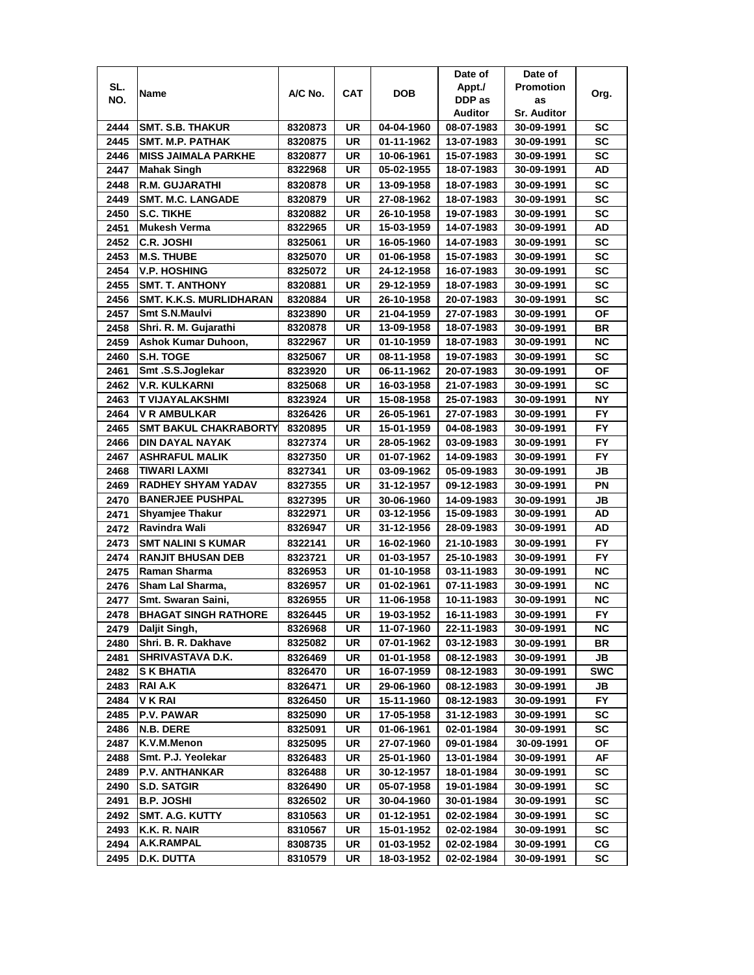|      |                                              |                    |            |                          | Date of                  | Date of                  |                  |
|------|----------------------------------------------|--------------------|------------|--------------------------|--------------------------|--------------------------|------------------|
| SL.  |                                              | A/C No.            | <b>CAT</b> | DOB                      | Appt./                   | <b>Promotion</b>         |                  |
| NO.  | Name                                         |                    |            |                          | DDP as                   | as                       | Org.             |
|      |                                              |                    |            |                          | Auditor                  | <b>Sr. Auditor</b>       |                  |
| 2444 | <b>SMT. S.B. THAKUR</b>                      | 8320873            | UR         | 04-04-1960               | 08-07-1983               | 30-09-1991               | SC               |
| 2445 | SMT. M.P. PATHAK                             | 8320875            | UR         | 01-11-1962               | 13-07-1983               | 30-09-1991               | SC               |
| 2446 | <b>MISS JAIMALA PARKHE</b>                   | 8320877            | UR         | 10-06-1961               | 15-07-1983               | 30-09-1991               | <b>SC</b>        |
| 2447 | <b>Mahak Singh</b>                           | 8322968            | UR         | 05-02-1955               | 18-07-1983               | 30-09-1991               | AD               |
| 2448 | <b>R.M. GUJARATHI</b>                        | 8320878            | UR         | 13-09-1958               | 18-07-1983               | 30-09-1991               | <b>SC</b>        |
| 2449 | <b>SMT. M.C. LANGADE</b>                     | 8320879            | UR         | 27-08-1962               | 18-07-1983               | 30-09-1991               | <b>SC</b>        |
| 2450 | <b>S.C. TIKHE</b>                            | 8320882            | UR         | 26-10-1958               | 19-07-1983               | 30-09-1991               | <b>SC</b>        |
| 2451 | <b>Mukesh Verma</b>                          | 8322965            | UR         | 15-03-1959               | 14-07-1983               | 30-09-1991               | AD               |
| 2452 | <b>C.R. JOSHI</b>                            | 8325061            | UR         | 16-05-1960               | 14-07-1983               | 30-09-1991               | <b>SC</b>        |
| 2453 | <b>M.S. THUBE</b>                            | 8325070            | UR         | 01-06-1958               | 15-07-1983               | 30-09-1991               | SC               |
| 2454 | <b>V.P. HOSHING</b>                          | 8325072            | UR         | 24-12-1958               | 16-07-1983               | 30-09-1991               | <b>SC</b>        |
| 2455 | <b>SMT. T. ANTHONY</b>                       | 8320881            | UR         | 29-12-1959               | 18-07-1983               | 30-09-1991               | SC               |
| 2456 | <b>SMT. K.K.S. MURLIDHARAN</b>               | 8320884            | UR         | 26-10-1958               | 20-07-1983               | 30-09-1991               | <b>SC</b>        |
| 2457 | <b>Smt S.N.Maulvi</b>                        | 8323890            | UR         | 21-04-1959               | 27-07-1983               | 30-09-1991               | <b>OF</b>        |
| 2458 | Shri. R. M. Gujarathi                        | 8320878            | UR         | 13-09-1958               | 18-07-1983               | 30-09-1991               | <b>BR</b>        |
| 2459 | Ashok Kumar Duhoon,                          | 8322967            | UR         | 01-10-1959               | 18-07-1983               | 30-09-1991               | ΝC               |
| 2460 | S.H. TOGE                                    | 8325067            | UR         | 08-11-1958               | 19-07-1983               | 30-09-1991               | SC               |
| 2461 | Smt.S.S.Joglekar                             | 8323920            | UR         | 06-11-1962               | 20-07-1983               | 30-09-1991               | ΟF               |
| 2462 | V.R. KULKARNI                                | 8325068            | UR         | 16-03-1958               | 21-07-1983               | 30-09-1991               | SC               |
| 2463 | T VIJAYALAKSHMI                              | 8323924            | UR         | 15-08-1958               | 25-07-1983               | 30-09-1991               | <b>NY</b>        |
| 2464 | <b>V R AMBULKAR</b>                          | 8326426            | UR         | 26-05-1961               | 27-07-1983               | 30-09-1991               | <b>FY</b>        |
| 2465 | <b>SMT BAKUL CHAKRABORTY</b>                 | 8320895            | UR         | 15-01-1959               | 04-08-1983               | 30-09-1991               | FY               |
| 2466 | DIN DAYAL NAYAK                              | 8327374            | UR         | 28-05-1962               | 03-09-1983               | 30-09-1991               | FY               |
| 2467 | <b>ASHRAFUL MALIK</b>                        | 8327350            | UR         | 01-07-1962               | 14-09-1983               | 30-09-1991               | FY.              |
| 2468 | TIWARI LAXMI                                 | 8327341            | UR         | 03-09-1962               | 05-09-1983               | 30-09-1991               | JB               |
| 2469 | <b>RADHEY SHYAM YADAV</b>                    | 8327355            | UR         | 31-12-1957               | 09-12-1983               | 30-09-1991               | ΡN               |
| 2470 | <b>BANERJEE PUSHPAL</b>                      | 8327395            | UR         | 30-06-1960               | 14-09-1983               | 30-09-1991               | JB               |
| 2471 | <b>Shyamjee Thakur</b>                       | 8322971            | UR         | 03-12-1956               | 15-09-1983               | 30-09-1991               | AD               |
| 2472 | Ravindra Wali                                | 8326947            | UR         | 31-12-1956               | 28-09-1983               | 30-09-1991               | AD               |
| 2473 | <b>SMT NALINI S KUMAR</b>                    | 8322141            | <b>UR</b>  | 16-02-1960               | 21-10-1983               | 30-09-1991               | <b>FY</b>        |
| 2474 | <b>RANJIT BHUSAN DEB</b>                     | 8323721            | UR         | 01-03-1957               | 25-10-1983               | 30-09-1991               | <b>FY</b>        |
| 2475 | Raman Sharma                                 | 8326953            | UR         | 01-10-1958               | 03-11-1983               | 30-09-1991               | <b>NC</b>        |
| 2476 | Sham Lal Sharma,                             | 8326957            | UR         | 01-02-1961               | 07-11-1983               | 30-09-1991               | ΝC               |
| 2477 | Smt. Swaran Saini,                           | 8326955            | UR         | 11-06-1958               | 10-11-1983               | 30-09-1991               | <b>NC</b>        |
|      |                                              |                    |            |                          |                          |                          |                  |
| 2478 | <b>BHAGAT SINGH RATHORE</b><br>Daljit Singh, | 8326445<br>8326968 | UR<br>UR   | 19-03-1952<br>11-07-1960 | 16-11-1983<br>22-11-1983 | 30-09-1991<br>30-09-1991 | <b>FY</b><br>NC  |
| 2479 | Shri. B. R. Dakhave                          | 8325082            | UR         | 07-01-1962               | 03-12-1983               |                          |                  |
| 2480 |                                              |                    |            |                          |                          | 30-09-1991               | BR               |
| 2481 | SHRIVASTAVA D.K.<br><b>S K BHATIA</b>        | 8326469            | UR<br>UR   | 01-01-1958<br>16-07-1959 | 08-12-1983               | 30-09-1991               | JB<br><b>SWC</b> |
| 2482 |                                              | 8326470            |            |                          | 08-12-1983               | 30-09-1991               |                  |
| 2483 | RAI A.K                                      | 8326471            | UR         | 29-06-1960               | 08-12-1983               | 30-09-1991               | JB               |
| 2484 | V K RAI                                      | 8326450            | UR         | 15-11-1960               | 08-12-1983               | 30-09-1991               | FY.              |
| 2485 | <b>P.V. PAWAR</b>                            | 8325090            | UR         | 17-05-1958               | 31-12-1983               | 30-09-1991               | SC               |
| 2486 | N.B. DERE                                    | 8325091            | UR         | 01-06-1961               | 02-01-1984               | 30-09-1991               | SC               |
| 2487 | K.V.M.Menon                                  | 8325095            | UR         | 27-07-1960               | 09-01-1984               | 30-09-1991               | ΟF               |
| 2488 | Smt. P.J. Yeolekar                           | 8326483            | UR         | 25-01-1960               | 13-01-1984               | 30-09-1991               | AF               |
| 2489 | <b>P.V. ANTHANKAR</b>                        | 8326488            | UR         | 30-12-1957               | 18-01-1984               | 30-09-1991               | SC               |
| 2490 | <b>S.D. SATGIR</b>                           | 8326490            | UR         | 05-07-1958               | 19-01-1984               | 30-09-1991               | SC               |
| 2491 | <b>B.P. JOSHI</b>                            | 8326502            | UR         | 30-04-1960               | 30-01-1984               | 30-09-1991               | SC               |
| 2492 | <b>SMT. A.G. KUTTY</b>                       | 8310563            | UR         | 01-12-1951               | 02-02-1984               | 30-09-1991               | SC               |
| 2493 | K.K. R. NAIR                                 | 8310567            | UR         | 15-01-1952               | 02-02-1984               | 30-09-1991               | sc               |
| 2494 | A.K.RAMPAL                                   | 8308735            | UR         | 01-03-1952               | 02-02-1984               | 30-09-1991               | СG               |
| 2495 | D.K. DUTTA                                   | 8310579            | UR         | 18-03-1952               | 02-02-1984               | 30-09-1991               | SC               |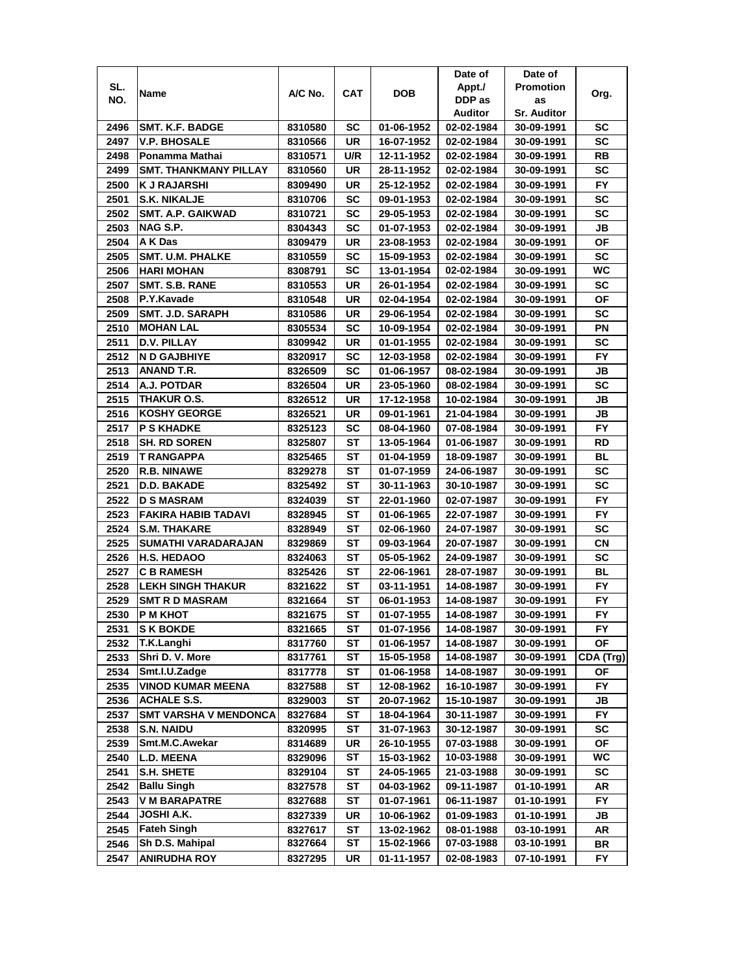|      |                              |         |            |            | Date of    | Date of            |           |
|------|------------------------------|---------|------------|------------|------------|--------------------|-----------|
| SL.  | Name                         | A/C No. | <b>CAT</b> | DOB        | Appt./     | <b>Promotion</b>   | Org.      |
| NO.  |                              |         |            |            | DDP as     | as                 |           |
|      |                              |         |            |            | Auditor    | <b>Sr. Auditor</b> |           |
| 2496 | <b>SMT. K.F. BADGE</b>       | 8310580 | SC         | 01-06-1952 | 02-02-1984 | 30-09-1991         | SC        |
| 2497 | <b>V.P. BHOSALE</b>          | 8310566 | UR         | 16-07-1952 | 02-02-1984 | 30-09-1991         | SC        |
| 2498 | Ponamma Mathai               | 8310571 | U/R        | 12-11-1952 | 02-02-1984 | 30-09-1991         | RB        |
| 2499 | <b>SMT. THANKMANY PILLAY</b> | 8310560 | UR         | 28-11-1952 | 02-02-1984 | 30-09-1991         | SC        |
| 2500 | <b>KJ RAJARSHI</b>           | 8309490 | UR         | 25-12-1952 | 02-02-1984 | 30-09-1991         | FY        |
| 2501 | <b>S.K. NIKALJE</b>          | 8310706 | SC         | 09-01-1953 | 02-02-1984 | 30-09-1991         | SC        |
| 2502 | <b>SMT. A.P. GAIKWAD</b>     | 8310721 | SC         | 29-05-1953 | 02-02-1984 | 30-09-1991         | SC        |
| 2503 | NAG S.P.                     | 8304343 | SC         | 01-07-1953 | 02-02-1984 | 30-09-1991         | JB        |
| 2504 | A K Das                      | 8309479 | UR         | 23-08-1953 | 02-02-1984 | 30-09-1991         | ΟF        |
| 2505 | <b>SMT. U.M. PHALKE</b>      | 8310559 | SC         | 15-09-1953 | 02-02-1984 | 30-09-1991         | <b>SC</b> |
| 2506 | <b>HARI MOHAN</b>            | 8308791 | <b>SC</b>  | 13-01-1954 | 02-02-1984 | 30-09-1991         | <b>WC</b> |
| 2507 | SMT. S.B. RANE               | 8310553 | UR         | 26-01-1954 | 02-02-1984 | 30-09-1991         | SC        |
| 2508 | P.Y.Kavade                   | 8310548 | UR         | 02-04-1954 | 02-02-1984 | 30-09-1991         | ΟF        |
| 2509 | <b>SMT. J.D. SARAPH</b>      | 8310586 | UR         | 29-06-1954 | 02-02-1984 | 30-09-1991         | SC        |
| 2510 | <b>MOHAN LAL</b>             | 8305534 | SC         | 10-09-1954 | 02-02-1984 | 30-09-1991         | PN        |
| 2511 | D.V. PILLAY                  | 8309942 | UR         | 01-01-1955 | 02-02-1984 | 30-09-1991         | SC        |
| 2512 | <b>N D GAJBHIYE</b>          | 8320917 | SC         | 12-03-1958 | 02-02-1984 | 30-09-1991         | FY.       |
| 2513 | ANAND T.R.                   | 8326509 | SC         | 01-06-1957 | 08-02-1984 | 30-09-1991         | JB        |
| 2514 | A.J. POTDAR                  | 8326504 | UR         | 23-05-1960 | 08-02-1984 | 30-09-1991         | SC        |
| 2515 | <b>THAKUR O.S.</b>           | 8326512 | UR         | 17-12-1958 | 10-02-1984 | 30-09-1991         | JB        |
| 2516 | KOSHY GEORGE                 | 8326521 | UR         | 09-01-1961 | 21-04-1984 | 30-09-1991         | JB        |
| 2517 | <b>P S KHADKE</b>            | 8325123 | SC         | 08-04-1960 | 07-08-1984 | 30-09-1991         | FY        |
| 2518 | <b>SH. RD SOREN</b>          | 8325807 | SТ         | 13-05-1964 | 01-06-1987 | 30-09-1991         | RD        |
| 2519 | T RANGAPPA                   | 8325465 | SТ         | 01-04-1959 | 18-09-1987 | 30-09-1991         | BL        |
| 2520 | <b>R.B. NINAWE</b>           | 8329278 | SТ         | 01-07-1959 | 24-06-1987 | 30-09-1991         | SC        |
| 2521 | <b>D.D. BAKADE</b>           | 8325492 | SТ         | 30-11-1963 | 30-10-1987 | 30-09-1991         | SC        |
| 2522 | <b>D S MASRAM</b>            | 8324039 | ST         | 22-01-1960 | 02-07-1987 | 30-09-1991         | <b>FY</b> |
| 2523 | <b>FAKIRA HABIB TADAVI</b>   | 8328945 | SТ         | 01-06-1965 | 22-07-1987 | 30-09-1991         | <b>FY</b> |
| 2524 | <b>S.M. THAKARE</b>          | 8328949 | ST         | 02-06-1960 | 24-07-1987 | 30-09-1991         | SC        |
| 2525 | SUMATHI VARADARAJAN          | 8329869 | SТ         | 09-03-1964 | 20-07-1987 | 30-09-1991         | СN        |
| 2526 | <b>H.S. HEDAOO</b>           | 8324063 | SТ         | 05-05-1962 | 24-09-1987 | 30-09-1991         | SC        |
| 2527 | <b>C B RAMESH</b>            | 8325426 | SТ         | 22-06-1961 | 28-07-1987 | 30-09-1991         | BL        |
| 2528 | <b>LEKH SINGH THAKUR</b>     | 8321622 | SТ         | 03-11-1951 | 14-08-1987 | 30-09-1991         | FY.       |
| 2529 | <b>SMT R D MASRAM</b>        | 8321664 | SТ         | 06-01-1953 | 14-08-1987 | 30-09-1991         | FY        |
| 2530 | <b>P M KHOT</b>              | 8321675 | ST         | 01-07-1955 | 14-08-1987 | 30-09-1991         | <b>FY</b> |
| 2531 | <b>S K BOKDE</b>             | 8321665 | SТ         | 01-07-1956 | 14-08-1987 | 30-09-1991         | FY.       |
| 2532 | T.K.Langhi                   | 8317760 | ST         | 01-06-1957 | 14-08-1987 | 30-09-1991         | ΟF        |
| 2533 | Shri D. V. More              | 8317761 | SТ         | 15-05-1958 | 14-08-1987 | 30-09-1991         | CDA (Trg) |
| 2534 | Smt.I.U.Zadge                | 8317778 | ST         | 01-06-1958 | 14-08-1987 | 30-09-1991         | ΟF        |
| 2535 | <b>VINOD KUMAR MEENA</b>     | 8327588 | ST         | 12-08-1962 | 16-10-1987 | 30-09-1991         | FY.       |
| 2536 | <b>ACHALE S.S.</b>           | 8329003 | <b>ST</b>  | 20-07-1962 | 15-10-1987 | 30-09-1991         | JB        |
| 2537 | <b>SMT VARSHA V MENDONCA</b> | 8327684 | ST         | 18-04-1964 | 30-11-1987 | 30-09-1991         | FY.       |
| 2538 | <b>S.N. NAIDU</b>            | 8320995 | <b>ST</b>  | 31-07-1963 | 30-12-1987 | 30-09-1991         | <b>SC</b> |
| 2539 | Smt.M.C.Awekar               | 8314689 | UR         | 26-10-1955 | 07-03-1988 | 30-09-1991         | <b>OF</b> |
| 2540 | <b>L.D. MEENA</b>            | 8329096 | ST         | 15-03-1962 | 10-03-1988 | 30-09-1991         | WC        |
| 2541 | S.H. SHETE                   | 8329104 | ST         | 24-05-1965 | 21-03-1988 | 30-09-1991         | SC        |
| 2542 | <b>Ballu Singh</b>           | 8327578 | <b>ST</b>  | 04-03-1962 | 09-11-1987 | 01-10-1991         | AR        |
| 2543 | <b>V M BARAPATRE</b>         | 8327688 | ST         | 01-07-1961 | 06-11-1987 | 01-10-1991         | <b>FY</b> |
| 2544 | JOSHI A.K.                   | 8327339 | UR         | 10-06-1962 | 01-09-1983 | 01-10-1991         | JB        |
| 2545 | <b>Fateh Singh</b>           | 8327617 | ST         | 13-02-1962 | 08-01-1988 | 03-10-1991         | AR        |
| 2546 | Sh D.S. Mahipal              | 8327664 | ST         | 15-02-1966 | 07-03-1988 | 03-10-1991         | BR        |
| 2547 | <b>ANIRUDHA ROY</b>          | 8327295 | UR         | 01-11-1957 | 02-08-1983 | 07-10-1991         | FY        |
|      |                              |         |            |            |            |                    |           |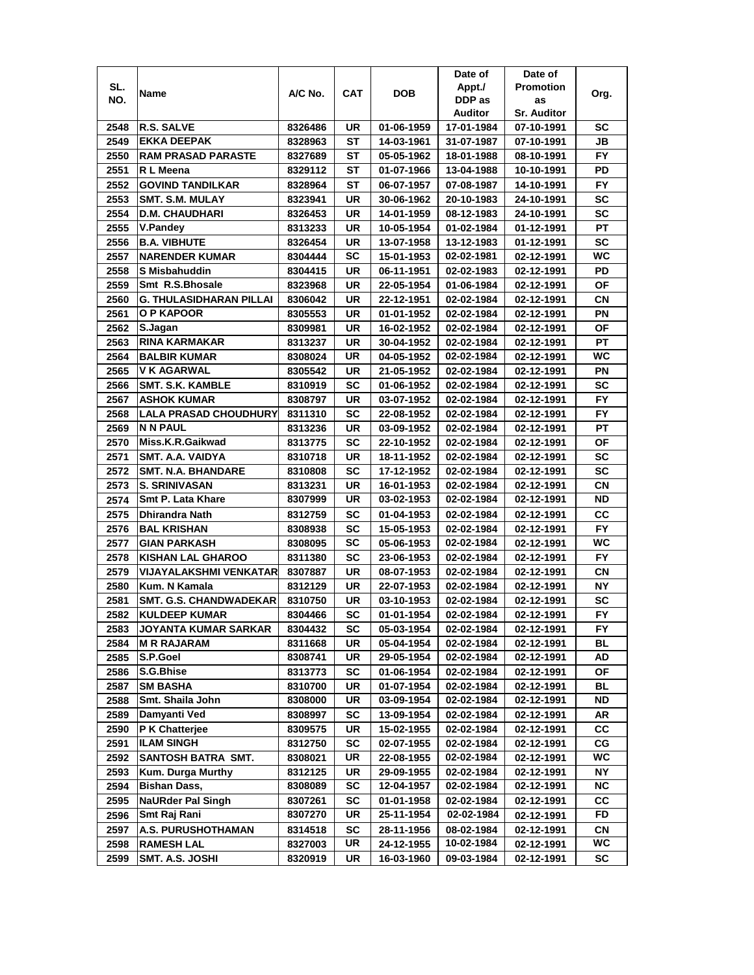|      |                                |         |     |            | Date of    | Date of            |           |
|------|--------------------------------|---------|-----|------------|------------|--------------------|-----------|
| SL.  |                                | A/C No. | CAT | <b>DOB</b> | Appt./     | <b>Promotion</b>   |           |
| NO.  | Name                           |         |     |            | DDP as     | as                 | Org.      |
|      |                                |         |     |            | Auditor    | <b>Sr. Auditor</b> |           |
| 2548 | <b>R.S. SALVE</b>              | 8326486 | UR  | 01-06-1959 | 17-01-1984 | 07-10-1991         | SC        |
| 2549 | <b>EKKA DEEPAK</b>             | 8328963 | SТ  | 14-03-1961 | 31-07-1987 | 07-10-1991         | JB        |
| 2550 | <b>RAM PRASAD PARASTE</b>      | 8327689 | SТ  | 05-05-1962 | 18-01-1988 | 08-10-1991         | <b>FY</b> |
| 2551 | R L Meena                      | 8329112 | SТ  | 01-07-1966 | 13-04-1988 | 10-10-1991         | PD        |
| 2552 | <b>GOVIND TANDILKAR</b>        | 8328964 | ST  | 06-07-1957 | 07-08-1987 | 14-10-1991         | <b>FY</b> |
| 2553 | SMT. S.M. MULAY                | 8323941 | UR  | 30-06-1962 | 20-10-1983 | 24-10-1991         | SC        |
| 2554 | <b>D.M. CHAUDHARI</b>          | 8326453 | UR  | 14-01-1959 | 08-12-1983 | 24-10-1991         | <b>SC</b> |
| 2555 | <b>V.Pandey</b>                | 8313233 | UR  | 10-05-1954 | 01-02-1984 | 01-12-1991         | РT        |
| 2556 | <b>B.A. VIBHUTE</b>            | 8326454 | UR  | 13-07-1958 | 13-12-1983 | 01-12-1991         | <b>SC</b> |
| 2557 | <b>NARENDER KUMAR</b>          | 8304444 | SC  | 15-01-1953 | 02-02-1981 | 02-12-1991         | WC.       |
| 2558 | S Misbahuddin                  | 8304415 | UR  | 06-11-1951 | 02-02-1983 | 02-12-1991         | PD        |
| 2559 | Smt R.S.Bhosale                | 8323968 | UR  | 22-05-1954 | 01-06-1984 | 02-12-1991         | ΟF        |
| 2560 | <b>G. THULASIDHARAN PILLAI</b> | 8306042 | UR  | 22-12-1951 | 02-02-1984 | 02-12-1991         | <b>CN</b> |
| 2561 | O P KAPOOR                     | 8305553 | UR  | 01-01-1952 | 02-02-1984 | 02-12-1991         | ΡN        |
| 2562 | S.Jagan                        | 8309981 | UR  | 16-02-1952 | 02-02-1984 | 02-12-1991         | ΟF        |
| 2563 | <b>RINA KARMAKAR</b>           | 8313237 | UR  | 30-04-1952 | 02-02-1984 | 02-12-1991         | РT        |
| 2564 | <b>BALBIR KUMAR</b>            | 8308024 | UR  | 04-05-1952 | 02-02-1984 | 02-12-1991         | WC.       |
| 2565 | V K AGARWAL                    | 8305542 | UR  | 21-05-1952 | 02-02-1984 | 02-12-1991         | PN        |
| 2566 | SMT. S.K. KAMBLE               | 8310919 | SC  | 01-06-1952 | 02-02-1984 | 02-12-1991         | SC        |
| 2567 | <b>ASHOK KUMAR</b>             | 8308797 | UR  | 03-07-1952 | 02-02-1984 | 02-12-1991         | <b>FY</b> |
| 2568 | <b>LALA PRASAD CHOUDHURY</b>   | 8311310 | SC  | 22-08-1952 | 02-02-1984 | 02-12-1991         | FY.       |
| 2569 | <b>N N PAUL</b>                | 8313236 | UR  | 03-09-1952 | 02-02-1984 | 02-12-1991         | <b>PT</b> |
| 2570 | Miss.K.R.Gaikwad               | 8313775 | SC  | 22-10-1952 | 02-02-1984 | 02-12-1991         | ΟF        |
| 2571 | SMT. A.A. VAIDYA               | 8310718 | UR  | 18-11-1952 | 02-02-1984 | 02-12-1991         | <b>SC</b> |
| 2572 | <b>SMT. N.A. BHANDARE</b>      | 8310808 | SC  | 17-12-1952 | 02-02-1984 | 02-12-1991         | SC        |
| 2573 | <b>S. SRINIVASAN</b>           | 8313231 | UR  | 16-01-1953 | 02-02-1984 | 02-12-1991         | CN        |
| 2574 | Smt P. Lata Khare              | 8307999 | UR  | 03-02-1953 | 02-02-1984 | 02-12-1991         | ND        |
| 2575 | <b>Dhirandra Nath</b>          | 8312759 | SC  | 01-04-1953 | 02-02-1984 | 02-12-1991         | CC        |
| 2576 | <b>BAL KRISHAN</b>             | 8308938 | SC  | 15-05-1953 | 02-02-1984 | 02-12-1991         | <b>FY</b> |
| 2577 | <b>GIAN PARKASH</b>            | 8308095 | SC  | 05-06-1953 | 02-02-1984 | 02-12-1991         | WC        |
| 2578 | <b>KISHAN LAL GHAROO</b>       | 8311380 | SC  | 23-06-1953 | 02-02-1984 | 02-12-1991         | <b>FY</b> |
| 2579 | <b>VIJAYALAKSHMI VENKATAR</b>  | 8307887 | UR  | 08-07-1953 | 02-02-1984 | 02-12-1991         | СN        |
| 2580 | Kum. N Kamala                  | 8312129 | UR  | 22-07-1953 | 02-02-1984 | 02-12-1991         | ΝY        |
| 2581 | <b>SMT. G.S. CHANDWADEKAR</b>  | 8310750 | UR  | 03-10-1953 | 02-02-1984 | 02-12-1991         | SC        |
| 2582 | <b>KULDEEP KUMAR</b>           | 8304466 | SC  | 01-01-1954 | 02-02-1984 | 02-12-1991         | FY        |
| 2583 | JOYANTA KUMAR SARKAR           | 8304432 | SC  | 05-03-1954 | 02-02-1984 | 02-12-1991         | FY        |
| 2584 | <b>MRRAJARAM</b>               | 8311668 | UR  | 05-04-1954 | 02-02-1984 | 02-12-1991         | BL        |
| 2585 | S.P.Goel                       | 8308741 | UR  | 29-05-1954 | 02-02-1984 | 02-12-1991         | AD        |
| 2586 | S.G.Bhise                      | 8313773 | SC  | 01-06-1954 | 02-02-1984 | 02-12-1991         | ΟF        |
| 2587 | <b>SM BASHA</b>                | 8310700 | UR  | 01-07-1954 | 02-02-1984 | 02-12-1991         | BL        |
| 2588 | Smt. Shaila John               | 8308000 | UR  | 03-09-1954 | 02-02-1984 | 02-12-1991         | ND        |
| 2589 | Damyanti Ved                   | 8308997 | SC  | 13-09-1954 | 02-02-1984 | 02-12-1991         | AR        |
| 2590 | P K Chatterjee                 | 8309575 | UR  | 15-02-1955 | 02-02-1984 | 02-12-1991         | СC        |
| 2591 | <b>ILAM SINGH</b>              | 8312750 | SC  | 02-07-1955 | 02-02-1984 | 02-12-1991         | CG        |
| 2592 | SANTOSH BATRA SMT.             | 8308021 | UR  | 22-08-1955 | 02-02-1984 | 02-12-1991         | WC        |
| 2593 | <b>Kum. Durga Murthy</b>       | 8312125 | UR  | 29-09-1955 | 02-02-1984 | 02-12-1991         | <b>NY</b> |
| 2594 | <b>Bishan Dass,</b>            | 8308089 | SC  | 12-04-1957 | 02-02-1984 | 02-12-1991         | <b>NC</b> |
| 2595 | <b>NaURder Pal Singh</b>       | 8307261 | SC  | 01-01-1958 | 02-02-1984 | 02-12-1991         | СC        |
| 2596 | Smt Raj Rani                   | 8307270 | UR  | 25-11-1954 | 02-02-1984 | 02-12-1991         | FD        |
| 2597 | A.S. PURUSHOTHAMAN             | 8314518 | SC  | 28-11-1956 | 08-02-1984 | 02-12-1991         | CN        |
| 2598 | <b>RAMESH LAL</b>              | 8327003 | UR  | 24-12-1955 | 10-02-1984 | 02-12-1991         | WC        |
| 2599 | SMT. A.S. JOSHI                | 8320919 | UR  | 16-03-1960 | 09-03-1984 | 02-12-1991         | SC        |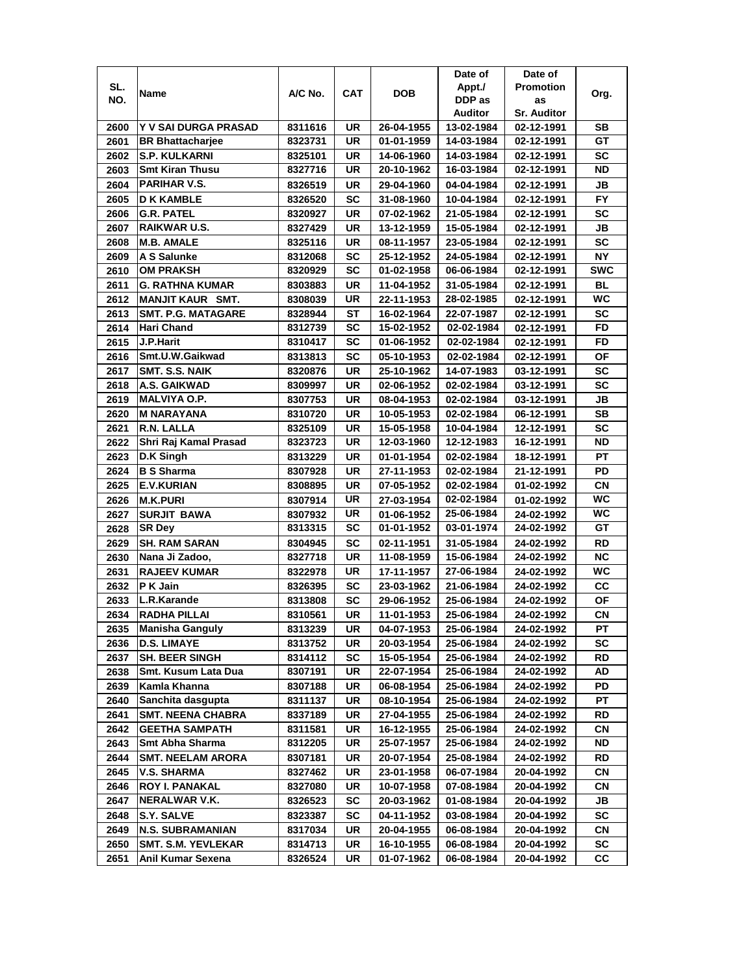|      |                           |         |           |            | Date of    | Date of            |            |
|------|---------------------------|---------|-----------|------------|------------|--------------------|------------|
| SL.  | Name                      | A/C No. | CAT       | <b>DOB</b> | Appt./     | <b>Promotion</b>   | Org.       |
| NO.  |                           |         |           |            | DDP as     | as                 |            |
|      |                           |         |           |            | Auditor    | <b>Sr. Auditor</b> |            |
| 2600 | Y V SAI DURGA PRASAD      | 8311616 | UR        | 26-04-1955 | 13-02-1984 | 02-12-1991         | SB         |
| 2601 | <b>BR Bhattacharjee</b>   | 8323731 | <b>UR</b> | 01-01-1959 | 14-03-1984 | 02-12-1991         | GT         |
| 2602 | <b>S.P. KULKARNI</b>      | 8325101 | UR        | 14-06-1960 | 14-03-1984 | 02-12-1991         | <b>SC</b>  |
| 2603 | <b>Smt Kiran Thusu</b>    | 8327716 | UR        | 20-10-1962 | 16-03-1984 | 02-12-1991         | <b>ND</b>  |
| 2604 | <b>PARIHAR V.S.</b>       | 8326519 | UR        | 29-04-1960 | 04-04-1984 | 02-12-1991         | JB         |
| 2605 | <b>D K KAMBLE</b>         | 8326520 | <b>SC</b> | 31-08-1960 | 10-04-1984 | 02-12-1991         | FY         |
| 2606 | <b>G.R. PATEL</b>         | 8320927 | UR        | 07-02-1962 | 21-05-1984 | 02-12-1991         | SC         |
| 2607 | <b>RAIKWAR U.S.</b>       | 8327429 | UR        | 13-12-1959 | 15-05-1984 | 02-12-1991         | JB         |
| 2608 | <b>M.B. AMALE</b>         | 8325116 | UR        | 08-11-1957 | 23-05-1984 | 02-12-1991         | SC         |
| 2609 | A S Salunke               | 8312068 | SC        | 25-12-1952 | 24-05-1984 | 02-12-1991         | <b>NY</b>  |
| 2610 | <b>OM PRAKSH</b>          | 8320929 | SC        | 01-02-1958 | 06-06-1984 | 02-12-1991         | <b>SWC</b> |
| 2611 | <b>G. RATHNA KUMAR</b>    | 8303883 | <b>UR</b> | 11-04-1952 | 31-05-1984 | 02-12-1991         | <b>BL</b>  |
| 2612 | <b>MANJIT KAUR SMT.</b>   | 8308039 | UR        | 22-11-1953 | 28-02-1985 | 02-12-1991         | <b>WC</b>  |
| 2613 | <b>SMT. P.G. MATAGARE</b> | 8328944 | ST        | 16-02-1964 | 22-07-1987 | 02-12-1991         | <b>SC</b>  |
| 2614 | Hari Chand                | 8312739 | SC        | 15-02-1952 | 02-02-1984 | 02-12-1991         | FD         |
| 2615 | J.P.Harit                 | 8310417 | SC        | 01-06-1952 | 02-02-1984 | 02-12-1991         | FD         |
| 2616 | Smt.U.W.Gaikwad           | 8313813 | SC        | 05-10-1953 | 02-02-1984 | 02-12-1991         | ΟF         |
| 2617 | SMT. S.S. NAIK            | 8320876 | UR        | 25-10-1962 | 14-07-1983 | 03-12-1991         | SC         |
| 2618 | A.S. GAIKWAD              | 8309997 | UR        | 02-06-1952 | 02-02-1984 | 03-12-1991         | SC         |
| 2619 | <b>MALVIYA O.P.</b>       | 8307753 | UR        | 08-04-1953 | 02-02-1984 | 03-12-1991         | JB         |
| 2620 | <b>M NARAYANA</b>         | 8310720 | UR        | 10-05-1953 | 02-02-1984 | 06-12-1991         | <b>SB</b>  |
| 2621 | R.N. LALLA                | 8325109 | UR        | 15-05-1958 | 10-04-1984 | 12-12-1991         | <b>SC</b>  |
| 2622 | Shri Raj Kamal Prasad     | 8323723 | UR        | 12-03-1960 | 12-12-1983 | 16-12-1991         | <b>ND</b>  |
| 2623 | D.K Singh                 | 8313229 | UR        | 01-01-1954 | 02-02-1984 | 18-12-1991         | PT         |
| 2624 | <b>B S Sharma</b>         | 8307928 | UR        | 27-11-1953 | 02-02-1984 | 21-12-1991         | PD         |
| 2625 | <b>E.V.KURIAN</b>         | 8308895 | UR        | 07-05-1952 | 02-02-1984 | 01-02-1992         | CΝ         |
| 2626 | <b>M.K.PURI</b>           | 8307914 | UR        | 27-03-1954 | 02-02-1984 | 01-02-1992         | WC         |
| 2627 | <b>SURJIT BAWA</b>        | 8307932 | UR        | 01-06-1952 | 25-06-1984 | 24-02-1992         | <b>WC</b>  |
| 2628 | <b>SR Dey</b>             | 8313315 | SC        | 01-01-1952 | 03-01-1974 | 24-02-1992         | GT         |
| 2629 | <b>SH. RAM SARAN</b>      | 8304945 | SC        | 02-11-1951 | 31-05-1984 | 24-02-1992         | <b>RD</b>  |
| 2630 | Nana Ji Zadoo,            | 8327718 | UR        | 11-08-1959 | 15-06-1984 | 24-02-1992         | <b>NC</b>  |
| 2631 | <b>RAJEEV KUMAR</b>       | 8322978 | UR        | 17-11-1957 | 27-06-1984 | 24-02-1992         | WC         |
| 2632 | P K Jain                  | 8326395 | SC        | 23-03-1962 | 21-06-1984 | 24-02-1992         | cc         |
| 2633 | L.R.Karande               | 8313808 | SC        | 29-06-1952 | 25-06-1984 | 24-02-1992         | ΟF         |
| 2634 | <b>RADHA PILLAI</b>       | 8310561 | UR        | 11-01-1953 | 25-06-1984 | 24-02-1992         | CN         |
| 2635 | <b>Manisha Ganguly</b>    | 8313239 | UR        | 04-07-1953 | 25-06-1984 | 24-02-1992         | РT         |
| 2636 | <b>D.S. LIMAYE</b>        | 8313752 | UR        | 20-03-1954 | 25-06-1984 | 24-02-1992         | SC         |
| 2637 | <b>SH. BEER SINGH</b>     | 8314112 | <b>SC</b> | 15-05-1954 | 25-06-1984 | 24-02-1992         | RD         |
| 2638 | Smt. Kusum Lata Dua       | 8307191 | UR        | 22-07-1954 | 25-06-1984 | 24-02-1992         | AD         |
| 2639 | Kamla Khanna              | 8307188 | UR        | 06-08-1954 | 25-06-1984 | 24-02-1992         | PD         |
| 2640 | Sanchita dasgupta         | 8311137 | UR        | 08-10-1954 | 25-06-1984 | 24-02-1992         | PT         |
| 2641 | <b>SMT. NEENA CHABRA</b>  | 8337189 | UR        | 27-04-1955 | 25-06-1984 | 24-02-1992         | RD         |
| 2642 | <b>GEETHA SAMPATH</b>     | 8311581 | UR        | 16-12-1955 | 25-06-1984 | 24-02-1992         | CN         |
| 2643 | Smt Abha Sharma           | 8312205 | UR        | 25-07-1957 | 25-06-1984 | 24-02-1992         | ND         |
| 2644 | <b>SMT. NEELAM ARORA</b>  | 8307181 | UR        | 20-07-1954 | 25-08-1984 | 24-02-1992         | RD         |
| 2645 | <b>V.S. SHARMA</b>        | 8327462 | UR        | 23-01-1958 | 06-07-1984 | 20-04-1992         | <b>CN</b>  |
| 2646 | <b>ROY I. PANAKAL</b>     | 8327080 | UR        | 10-07-1958 | 07-08-1984 | 20-04-1992         | CN         |
| 2647 | NERALWAR V.K.             | 8326523 | <b>SC</b> | 20-03-1962 | 01-08-1984 | 20-04-1992         | JB         |
| 2648 | S.Y. SALVE                | 8323387 | SC        | 04-11-1952 | 03-08-1984 | 20-04-1992         | SC         |
| 2649 | <b>N.S. SUBRAMANIAN</b>   | 8317034 | UR        | 20-04-1955 | 06-08-1984 | 20-04-1992         | CN         |
| 2650 | SMT. S.M. YEVLEKAR        | 8314713 | UR        | 16-10-1955 | 06-08-1984 | 20-04-1992         | sc         |
| 2651 | Anil Kumar Sexena         | 8326524 | UR        | 01-07-1962 | 06-08-1984 | 20-04-1992         | СC         |
|      |                           |         |           |            |            |                    |            |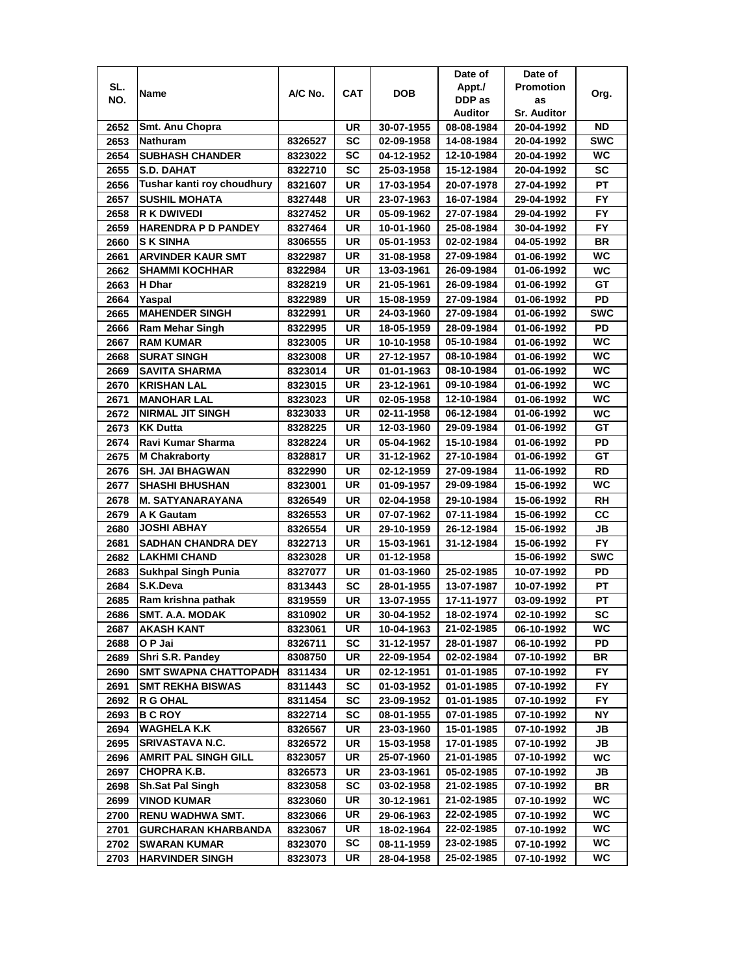|              |                                                 |                    |                        |                          | Date of                  | Date of                  |                 |
|--------------|-------------------------------------------------|--------------------|------------------------|--------------------------|--------------------------|--------------------------|-----------------|
| SL.          | Name                                            | A/C No.            | <b>CAT</b>             | <b>DOB</b>               | Appt./                   | <b>Promotion</b>         | Org.            |
| NO.          |                                                 |                    |                        |                          | DDP as                   | as                       |                 |
|              |                                                 |                    |                        |                          | Auditor                  | <b>Sr. Auditor</b>       |                 |
| 2652         | Smt. Anu Chopra                                 |                    | UR                     | 30-07-1955               | 08-08-1984               | 20-04-1992               | ND              |
| 2653         | Nathuram                                        | 8326527            | SC                     | 02-09-1958               | 14-08-1984               | 20-04-1992               | <b>SWC</b>      |
| 2654         | <b>SUBHASH CHANDER</b>                          | 8323022            | SC                     | 04-12-1952               | 12-10-1984               | 20-04-1992               | <b>WC</b>       |
| 2655         | <b>S.D. DAHAT</b>                               | 8322710            | SC                     | 25-03-1958               | 15-12-1984               | 20-04-1992               | <b>SC</b>       |
| 2656         | Tushar kanti roy choudhury                      | 8321607            | UR                     | 17-03-1954               | 20-07-1978               | 27-04-1992               | <b>PT</b>       |
| 2657         | <b>SUSHIL MOHATA</b>                            | 8327448            | <b>UR</b>              | 23-07-1963               | 16-07-1984               | 29-04-1992               | <b>FY</b>       |
| 2658         | R K DWIVEDI                                     | 8327452            | UR                     | 05-09-1962               | 27-07-1984               | 29-04-1992               | <b>FY</b>       |
| 2659         | <b>HARENDRA P D PANDEY</b>                      | 8327464            | UR                     | 10-01-1960               | 25-08-1984               | 30-04-1992               | <b>FY</b>       |
| 2660         | <b>S K SINHA</b>                                | 8306555            | UR                     | 05-01-1953               | 02-02-1984               | 04-05-1992               | <b>BR</b>       |
| 2661         | <b>ARVINDER KAUR SMT</b>                        | 8322987            | UR                     | 31-08-1958               | 27-09-1984               | 01-06-1992               | WC              |
| 2662         | <b>SHAMMI KOCHHAR</b>                           | 8322984            | UR                     | 13-03-1961               | 26-09-1984               | 01-06-1992               | <b>WC</b>       |
| 2663         | H Dhar                                          | 8328219            | <b>UR</b>              | 21-05-1961               | 26-09-1984               | 01-06-1992               | GT              |
| 2664         | Yaspal                                          | 8322989            | UR                     | 15-08-1959               | 27-09-1984               | 01-06-1992               | PD              |
| 2665         | <b>MAHENDER SINGH</b>                           | 8322991            | UR                     | 24-03-1960               | 27-09-1984               | 01-06-1992               | <b>SWC</b>      |
| 2666         | Ram Mehar Singh                                 | 8322995            | UR                     | 18-05-1959               | 28-09-1984               | 01-06-1992               | PD              |
| 2667         | <b>RAM KUMAR</b>                                | 8323005            | <b>UR</b>              | 10-10-1958               | 05-10-1984               | 01-06-1992               | <b>WC</b>       |
| 2668         | <b>SURAT SINGH</b>                              | 8323008            | UR                     | 27-12-1957               | 08-10-1984               | 01-06-1992               | WC.             |
| 2669         | SAVITA SHARMA                                   | 8323014            | <b>UR</b>              | 01-01-1963               | 08-10-1984               | 01-06-1992               | <b>WC</b>       |
| 2670         | <b>KRISHAN LAL</b>                              | 8323015            | <b>UR</b>              | 23-12-1961               | 09-10-1984               | 01-06-1992               | WC              |
| 2671         | <b>MANOHAR LAL</b>                              | 8323023            | <b>UR</b>              | 02-05-1958               | 12-10-1984               | 01-06-1992               | <b>WC</b>       |
| 2672         | <b>NIRMAL JIT SINGH</b>                         | 8323033            | <b>UR</b>              | 02-11-1958               | 06-12-1984               | 01-06-1992               | WC              |
| 2673         | <b>KK Dutta</b>                                 | 8328225            | <b>UR</b>              | 12-03-1960               | 29-09-1984               | 01-06-1992               | GT              |
| 2674         | Ravi Kumar Sharma                               |                    | <b>UR</b>              |                          |                          |                          | PD              |
|              | <b>M Chakraborty</b>                            | 8328224<br>8328817 | <b>UR</b>              | 05-04-1962<br>31-12-1962 | 15-10-1984<br>27-10-1984 | 01-06-1992<br>01-06-1992 | GT              |
| 2675         |                                                 |                    |                        |                          |                          |                          | <b>RD</b>       |
| 2676<br>2677 | <b>SH. JAI BHAGWAN</b><br><b>SHASHI BHUSHAN</b> | 8322990            | UR<br><b>UR</b>        | 02-12-1959<br>01-09-1957 | 27-09-1984<br>29-09-1984 | 11-06-1992               | WC              |
| 2678         | <b>M. SATYANARAYANA</b>                         | 8323001<br>8326549 | <b>UR</b>              | 02-04-1958               | 29-10-1984               | 15-06-1992<br>15-06-1992 | <b>RH</b>       |
| 2679         | <b>A K Gautam</b>                               | 8326553            | <b>UR</b>              | 07-07-1962               | 07-11-1984               | 15-06-1992               | cc              |
| 2680         | <b>JOSHI ABHAY</b>                              | 8326554            | <b>UR</b>              | 29-10-1959               | 26-12-1984               | 15-06-1992               | JВ              |
| 2681         | <b>SADHAN CHANDRA DEY</b>                       | 8322713            | UR                     | 15-03-1961               | 31-12-1984               | 15-06-1992               | <b>FY</b>       |
| 2682         | <b>LAKHMI CHAND</b>                             | 8323028            | UR                     | 01-12-1958               |                          | 15-06-1992               | <b>SWC</b>      |
| 2683         |                                                 |                    | UR                     |                          | 25-02-1985               | 10-07-1992               | PD              |
| 2684         | Sukhpal Singh Punia<br>S.K.Deva                 | 8327077            | SC                     | 01-03-1960               |                          |                          | РT              |
|              |                                                 | 8313443            |                        | 28-01-1955               | 13-07-1987<br>17-11-1977 | 10-07-1992               |                 |
| 2685         | Ram krishna pathak                              | 8319559            | UR                     | 13-07-1955               |                          | 03-09-1992               | РT<br><b>SC</b> |
| 2686         | <b>SMT. A.A. MODAK</b><br><b>AKASH KANT</b>     | 8310902            | UR<br>UR               | 30-04-1952<br>10-04-1963 | 18-02-1974<br>21-02-1985 | 02-10-1992<br>06-10-1992 | WC              |
| 2687<br>2688 | O P Jai                                         | 8323061<br>8326711 | SC                     | 31-12-1957               | 28-01-1987               | 06-10-1992               | PD              |
| 2689         | Shri S.R. Pandey                                | 8308750            | UR                     | 22-09-1954               | 02-02-1984               | 07-10-1992               | BR              |
| 2690         | <b>SMT SWAPNA CHATTOPADH</b>                    |                    | UR                     | 02-12-1951               | 01-01-1985               |                          | FY.             |
|              |                                                 | 8311434            |                        |                          |                          | 07-10-1992               |                 |
| 2691<br>2692 | <b>SMT REKHA BISWAS</b><br><b>R G OHAL</b>      | 8311443<br>8311454 | <b>SC</b><br><b>SC</b> | 01-03-1952<br>23-09-1952 | 01-01-1985<br>01-01-1985 | 07-10-1992<br>07-10-1992 | FY.<br>FY.      |
| 2693         | <b>BCROY</b>                                    | 8322714            | <b>SC</b>              | 08-01-1955               | 07-01-1985               |                          | ΝY              |
| 2694         | <b>WAGHELA K.K</b>                              | 8326567            | UR                     | 23-03-1960               | 15-01-1985               | 07-10-1992<br>07-10-1992 | JB              |
| 2695         | SRIVASTAVA N.C.                                 | 8326572            | UR                     | 15-03-1958               | 17-01-1985               |                          | JB              |
| 2696         | <b>AMRIT PAL SINGH GILL</b>                     | 8323057            | UR                     | 25-07-1960               | 21-01-1985               | 07-10-1992<br>07-10-1992 | WC              |
| 2697         | <b>CHOPRAK.B.</b>                               | 8326573            | UR                     | 23-03-1961               | 05-02-1985               | 07-10-1992               | JB              |
| 2698         | <b>Sh.Sat Pal Singh</b>                         | 8323058            | <b>SC</b>              | 03-02-1958               | 21-02-1985               | 07-10-1992               | BR              |
| 2699         | <b>VINOD KUMAR</b>                              |                    | UR                     | 30-12-1961               | 21-02-1985               |                          | WC              |
|              | RENU WADHWA SMT.                                | 8323060            | UR                     | 29-06-1963               | 22-02-1985               | 07-10-1992               | WC              |
| 2700<br>2701 | <b>GURCHARAN KHARBANDA</b>                      | 8323066<br>8323067 | UR                     | 18-02-1964               | 22-02-1985               | 07-10-1992<br>07-10-1992 | WC              |
| 2702         | <b>SWARAN KUMAR</b>                             | 8323070            | SC                     | 08-11-1959               | 23-02-1985               | 07-10-1992               | WC.             |
|              |                                                 |                    | UR                     |                          | 25-02-1985               |                          | WC              |
| 2703         | HARVINDER SINGH                                 | 8323073            |                        | 28-04-1958               |                          | 07-10-1992               |                 |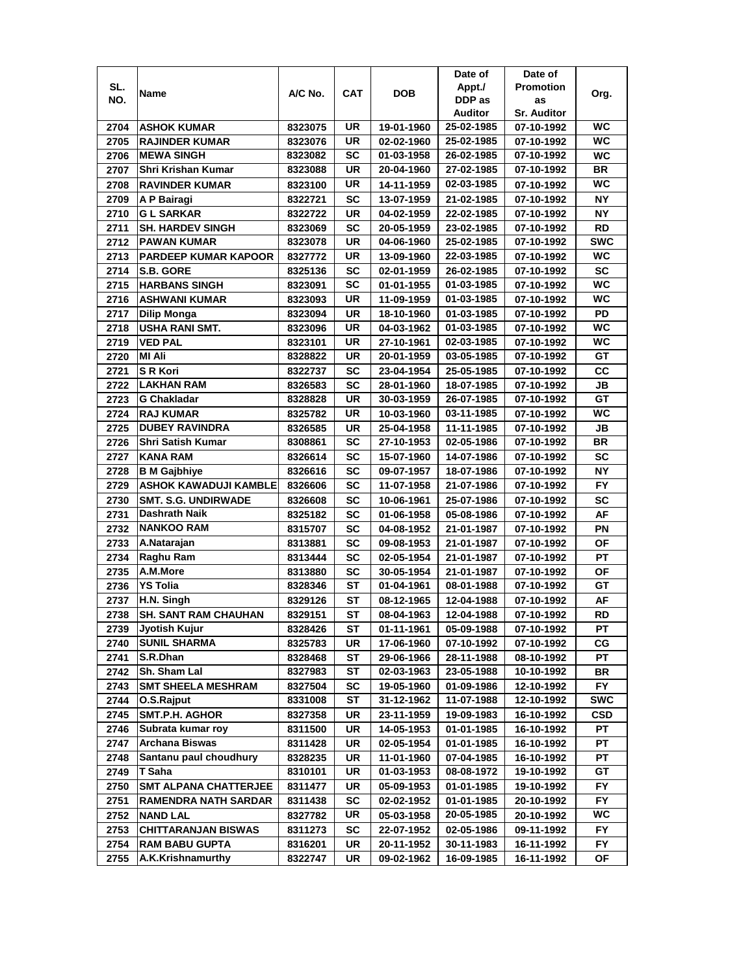|      |                              |         |            |            | Date of        | Date of            |            |
|------|------------------------------|---------|------------|------------|----------------|--------------------|------------|
| SL.  | Name                         | A/C No. | <b>CAT</b> | DOB        | Appt./         | <b>Promotion</b>   |            |
| NO.  |                              |         |            |            | DDP as         | as                 | Org.       |
|      |                              |         |            |            | <b>Auditor</b> | <b>Sr. Auditor</b> |            |
| 2704 | <b>ASHOK KUMAR</b>           | 8323075 | UR         | 19-01-1960 | 25-02-1985     | 07-10-1992         | <b>WC</b>  |
| 2705 | <b>RAJINDER KUMAR</b>        | 8323076 | UR         | 02-02-1960 | 25-02-1985     | 07-10-1992         | WC         |
| 2706 | <b>MEWA SINGH</b>            | 8323082 | <b>SC</b>  | 01-03-1958 | 26-02-1985     | 07-10-1992         | <b>WC</b>  |
| 2707 | Shri Krishan Kumar           | 8323088 | UR         | 20-04-1960 | 27-02-1985     | 07-10-1992         | <b>BR</b>  |
| 2708 | <b>RAVINDER KUMAR</b>        | 8323100 | <b>UR</b>  | 14-11-1959 | 02-03-1985     | 07-10-1992         | <b>WC</b>  |
| 2709 | A P Bairagi                  | 8322721 | SC         | 13-07-1959 | 21-02-1985     | 07-10-1992         | <b>NY</b>  |
| 2710 | <b>GL SARKAR</b>             | 8322722 | <b>UR</b>  | 04-02-1959 | 22-02-1985     | 07-10-1992         | <b>NY</b>  |
| 2711 | <b>SH. HARDEV SINGH</b>      | 8323069 | SC         | 20-05-1959 | 23-02-1985     | 07-10-1992         | RD         |
| 2712 | <b>PAWAN KUMAR</b>           | 8323078 | <b>UR</b>  | 04-06-1960 | 25-02-1985     | 07-10-1992         | <b>SWC</b> |
| 2713 | <b>PARDEEP KUMAR KAPOOR</b>  | 8327772 | UR         | 13-09-1960 | 22-03-1985     | 07-10-1992         | <b>WC</b>  |
| 2714 | <b>S.B. GORE</b>             | 8325136 | <b>SC</b>  | 02-01-1959 | 26-02-1985     | 07-10-1992         | <b>SC</b>  |
| 2715 | <b>HARBANS SINGH</b>         | 8323091 | SC         | 01-01-1955 | 01-03-1985     | 07-10-1992         | WC         |
| 2716 | <b>ASHWANI KUMAR</b>         | 8323093 | UR         | 11-09-1959 | 01-03-1985     | 07-10-1992         | WC         |
| 2717 | <b>Dilip Monga</b>           | 8323094 | UR         | 18-10-1960 | 01-03-1985     | 07-10-1992         | PD         |
| 2718 | <b>USHA RANI SMT.</b>        | 8323096 | UR         | 04-03-1962 | 01-03-1985     | 07-10-1992         | WC         |
| 2719 | <b>VED PAL</b>               | 8323101 | UR         | 27-10-1961 | 02-03-1985     | 07-10-1992         | WC         |
| 2720 | MI Ali                       | 8328822 | <b>UR</b>  | 20-01-1959 | 03-05-1985     | 07-10-1992         | GT         |
| 2721 | S R Kori                     | 8322737 | SC         | 23-04-1954 | 25-05-1985     | 07-10-1992         | CС         |
| 2722 | <b>LAKHAN RAM</b>            | 8326583 | SC         | 28-01-1960 | 18-07-1985     | 07-10-1992         | JB         |
| 2723 | G Chakladar                  | 8328828 | <b>UR</b>  | 30-03-1959 | 26-07-1985     | 07-10-1992         | GT         |
| 2724 | <b>RAJ KUMAR</b>             | 8325782 | <b>UR</b>  | 10-03-1960 | 03-11-1985     | 07-10-1992         | <b>WC</b>  |
| 2725 | <b>DUBEY RAVINDRA</b>        | 8326585 | UR         | 25-04-1958 | 11-11-1985     | 07-10-1992         | JВ         |
| 2726 | <b>Shri Satish Kumar</b>     | 8308861 | SC         | 27-10-1953 | 02-05-1986     | 07-10-1992         | <b>BR</b>  |
| 2727 | <b>KANA RAM</b>              | 8326614 | <b>SC</b>  | 15-07-1960 | 14-07-1986     | 07-10-1992         | <b>SC</b>  |
| 2728 | <b>B</b> M Gajbhiye          | 8326616 | SC         | 09-07-1957 | 18-07-1986     | 07-10-1992         | <b>NY</b>  |
| 2729 | <b>ASHOK KAWADUJI KAMBLE</b> | 8326606 | SC         | 11-07-1958 | 21-07-1986     | 07-10-1992         | <b>FY</b>  |
| 2730 | <b>SMT. S.G. UNDIRWADE</b>   | 8326608 | <b>SC</b>  | 10-06-1961 | 25-07-1986     | 07-10-1992         | <b>SC</b>  |
| 2731 | Dashrath Naik                | 8325182 | <b>SC</b>  | 01-06-1958 | 05-08-1986     | 07-10-1992         | AF         |
| 2732 | <b>NANKOO RAM</b>            | 8315707 | <b>SC</b>  | 04-08-1952 | 21-01-1987     | 07-10-1992         | PN         |
| 2733 | A.Natarajan                  | 8313881 | <b>SC</b>  | 09-08-1953 | 21-01-1987     | 07-10-1992         | ΟF         |
| 2734 | Raghu Ram                    | 8313444 | SC         | 02-05-1954 | 21-01-1987     | 07-10-1992         | PT         |
| 2735 | A.M.More                     | 8313880 | SC         | 30-05-1954 | 21-01-1987     | 07-10-1992         | <b>OF</b>  |
| 2736 | <b>YS Tolia</b>              | 8328346 | ST         | 01-04-1961 | 08-01-1988     | 07-10-1992         | GТ         |
| 2737 | H.N. Singh                   | 8329126 | SТ         | 08-12-1965 | 12-04-1988     | 07-10-1992         | AF         |
| 2738 | <b>SH. SANT RAM CHAUHAN</b>  | 8329151 | ST         | 08-04-1963 | 12-04-1988     | 07-10-1992         | RD         |
| 2739 | Jyotish Kujur                | 8328426 | ST         | 01-11-1961 | 05-09-1988     | 07-10-1992         | PT         |
| 2740 | <b>SUNIL SHARMA</b>          | 8325783 | UR         | 17-06-1960 | 07-10-1992     | 07-10-1992         | СG         |
| 2741 | S.R.Dhan                     | 8328468 | ST         | 29-06-1966 | 28-11-1988     | 08-10-1992         | PT         |
| 2742 | Sh. Sham Lal                 | 8327983 | ST         | 02-03-1963 | 23-05-1988     | 10-10-1992         | BR         |
| 2743 | <b>SMT SHEELA MESHRAM</b>    | 8327504 | SC         | 19-05-1960 | 01-09-1986     | 12-10-1992         | FY         |
| 2744 | O.S.Rajput                   | 8331008 | ST         | 31-12-1962 | 11-07-1988     | 12-10-1992         | <b>SWC</b> |
| 2745 | SMT.P.H. AGHOR               | 8327358 | UR         | 23-11-1959 | 19-09-1983     | 16-10-1992         | CSD.       |
| 2746 | Subrata kumar roy            | 8311500 | UR         | 14-05-1953 | 01-01-1985     | 16-10-1992         | PТ         |
| 2747 | <b>Archana Biswas</b>        | 8311428 | UR         | 02-05-1954 | 01-01-1985     | 16-10-1992         | PT         |
| 2748 | Santanu paul choudhury       | 8328235 | UR         | 11-01-1960 | 07-04-1985     | 16-10-1992         | PT         |
| 2749 | T Saha                       | 8310101 | UR         | 01-03-1953 | 08-08-1972     | 19-10-1992         | GT         |
| 2750 | <b>SMT ALPANA CHATTERJEE</b> | 8311477 | UR         | 05-09-1953 | 01-01-1985     | 19-10-1992         | <b>FY</b>  |
| 2751 | <b>RAMENDRA NATH SARDAR</b>  | 8311438 | SC         | 02-02-1952 | 01-01-1985     | 20-10-1992         | FY.        |
| 2752 | <b>NAND LAL</b>              | 8327782 | UR         | 05-03-1958 | 20-05-1985     | 20-10-1992         | WC         |
| 2753 | <b>CHITTARANJAN BISWAS</b>   | 8311273 | SC         | 22-07-1952 | 02-05-1986     | 09-11-1992         | FY.        |
| 2754 | <b>RAM BABU GUPTA</b>        | 8316201 | UR         | 20-11-1952 | 30-11-1983     | 16-11-1992         | FY         |
| 2755 | A.K.Krishnamurthy            | 8322747 | UR         | 09-02-1962 | 16-09-1985     | 16-11-1992         | ОF         |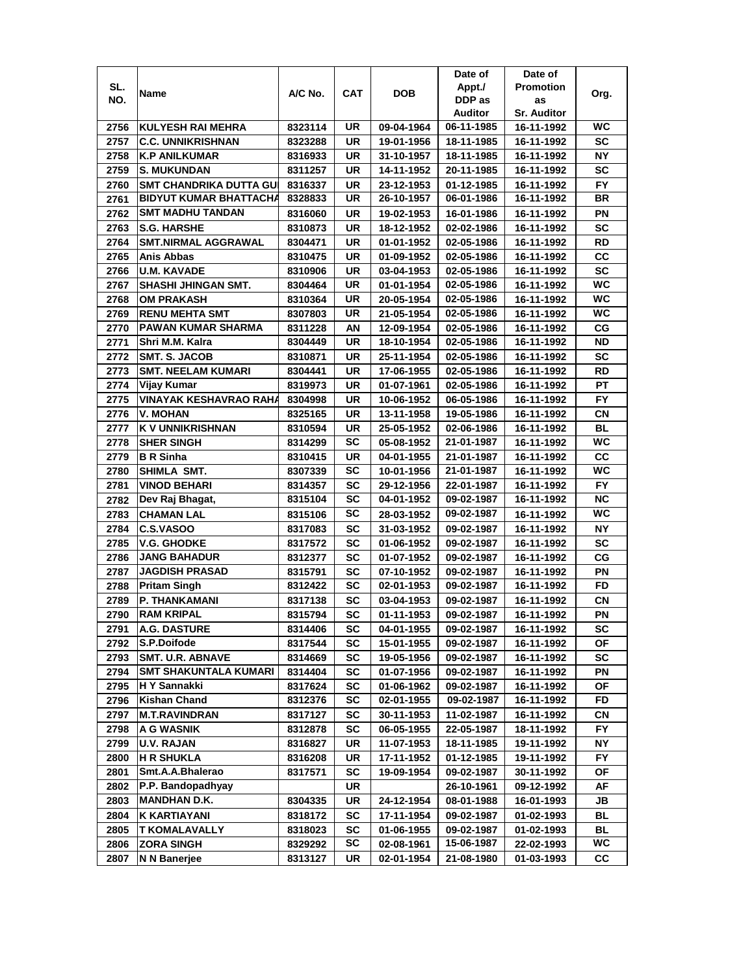|      |                               |         |            |            | Date of    | Date of            |           |
|------|-------------------------------|---------|------------|------------|------------|--------------------|-----------|
| SL.  |                               |         |            |            | Appt./     | <b>Promotion</b>   |           |
| NO.  | Name                          | A/C No. | <b>CAT</b> | <b>DOB</b> | DDP as     | as                 | Org.      |
|      |                               |         |            |            | Auditor    | <b>Sr. Auditor</b> |           |
| 2756 | <b>KULYESH RAI MEHRA</b>      | 8323114 | UR         | 09-04-1964 | 06-11-1985 | 16-11-1992         | WC        |
| 2757 | <b>C.C. UNNIKRISHNAN</b>      | 8323288 | UR         | 19-01-1956 | 18-11-1985 | 16-11-1992         | SC        |
| 2758 | <b>K.P ANILKUMAR</b>          | 8316933 | UR         | 31-10-1957 | 18-11-1985 | 16-11-1992         | <b>NY</b> |
| 2759 | <b>S. MUKUNDAN</b>            | 8311257 | UR         | 14-11-1952 | 20-11-1985 | 16-11-1992         | SC        |
| 2760 | <b>SMT CHANDRIKA DUTTA GU</b> | 8316337 | UR         | 23-12-1953 | 01-12-1985 | 16-11-1992         | FY        |
| 2761 | <b>BIDYUT KUMAR BHATTACHA</b> | 8328833 | UR         | 26-10-1957 | 06-01-1986 | 16-11-1992         | BR        |
| 2762 | <b>SMT MADHU TANDAN</b>       | 8316060 | UR         | 19-02-1953 | 16-01-1986 | 16-11-1992         | PN        |
| 2763 | <b>S.G. HARSHE</b>            | 8310873 | UR         | 18-12-1952 | 02-02-1986 | 16-11-1992         | SC        |
| 2764 | <b>SMT.NIRMAL AGGRAWAL</b>    | 8304471 | UR         | 01-01-1952 | 02-05-1986 | 16-11-1992         | RD        |
| 2765 | Anis Abbas                    | 8310475 | UR         | 01-09-1952 | 02-05-1986 | 16-11-1992         | CС        |
| 2766 | <b>U.M. KAVADE</b>            | 8310906 | UR         | 03-04-1953 | 02-05-1986 | 16-11-1992         | <b>SC</b> |
| 2767 | SHASHI JHINGAN SMT.           | 8304464 | UR         | 01-01-1954 | 02-05-1986 | 16-11-1992         | WC        |
| 2768 | <b>OM PRAKASH</b>             | 8310364 | UR         | 20-05-1954 | 02-05-1986 | 16-11-1992         | WC        |
| 2769 | <b>RENU MEHTA SMT</b>         | 8307803 | UR         | 21-05-1954 | 02-05-1986 | 16-11-1992         | WC        |
| 2770 | PAWAN KUMAR SHARMA            | 8311228 | ΑN         | 12-09-1954 | 02-05-1986 | 16-11-1992         | CG        |
| 2771 | Shri M.M. Kalra               | 8304449 | UR         | 18-10-1954 | 02-05-1986 | 16-11-1992         | ND        |
| 2772 | <b>SMT. S. JACOB</b>          | 8310871 | UR         | 25-11-1954 | 02-05-1986 | 16-11-1992         | SC        |
| 2773 | <b>SMT. NEELAM KUMARI</b>     | 8304441 | UR         | 17-06-1955 | 02-05-1986 | 16-11-1992         | RD        |
| 2774 | Vijay Kumar                   | 8319973 | UR         | 01-07-1961 | 02-05-1986 | 16-11-1992         | PT        |
| 2775 | VINAYAK KESHAVRAO RAHA        | 8304998 | UR         | 10-06-1952 | 06-05-1986 | 16-11-1992         | <b>FY</b> |
| 2776 | V. MOHAN                      | 8325165 | UR         | 13-11-1958 | 19-05-1986 | 16-11-1992         | CN        |
| 2777 | K V UNNIKRISHNAN              | 8310594 | UR         | 25-05-1952 | 02-06-1986 | 16-11-1992         | BL        |
| 2778 | <b>SHER SINGH</b>             | 8314299 | SC         | 05-08-1952 | 21-01-1987 | 16-11-1992         | <b>WC</b> |
| 2779 | <b>B</b> R Sinha              | 8310415 | UR         | 04-01-1955 | 21-01-1987 | 16-11-1992         | CC        |
| 2780 | SHIMLA SMT.                   | 8307339 | SC         | 10-01-1956 | 21-01-1987 | 16-11-1992         | WC        |
| 2781 | <b>VINOD BEHARI</b>           | 8314357 | SC         | 29-12-1956 | 22-01-1987 | 16-11-1992         | <b>FY</b> |
| 2782 | Dev Raj Bhagat,               | 8315104 | SC         | 04-01-1952 | 09-02-1987 | 16-11-1992         | <b>NC</b> |
| 2783 | <b>CHAMAN LAL</b>             | 8315106 | <b>SC</b>  | 28-03-1952 | 09-02-1987 | 16-11-1992         | WC        |
| 2784 | C.S.VASOO                     | 8317083 | <b>SC</b>  | 31-03-1952 | 09-02-1987 | 16-11-1992         | <b>NY</b> |
| 2785 | <b>V.G. GHODKE</b>            | 8317572 | SC         | 01-06-1952 | 09-02-1987 | 16-11-1992         | <b>SC</b> |
| 2786 | <b>JANG BAHADUR</b>           | 8312377 | SC         | 01-07-1952 | 09-02-1987 | 16-11-1992         | СG        |
| 2787 | <b>JAGDISH PRASAD</b>         | 8315791 | SC         | 07-10-1952 | 09-02-1987 | 16-11-1992         | PN        |
| 2788 | <b>Pritam Singh</b>           | 8312422 | SC         | 02-01-1953 | 09-02-1987 | 16-11-1992         | FD        |
| 2789 | P. THANKAMANI                 | 8317138 | SC         | 03-04-1953 | 09-02-1987 | 16-11-1992         | СN        |
| 2790 | <b>RAM KRIPAL</b>             | 8315794 | SC         | 01-11-1953 | 09-02-1987 | 16-11-1992         | PN        |
| 2791 | A.G. DASTURE                  | 8314406 | SC         | 04-01-1955 | 09-02-1987 | 16-11-1992         | SC        |
| 2792 | S.P.Doifode                   | 8317544 | SC         | 15-01-1955 | 09-02-1987 | 16-11-1992         | ΟF        |
| 2793 | <b>SMT. U.R. ABNAVE</b>       | 8314669 | SC         | 19-05-1956 | 09-02-1987 | 16-11-1992         | SC        |
| 2794 | <b>SMT SHAKUNTALA KUMARI</b>  | 8314404 | <b>SC</b>  | 01-07-1956 | 09-02-1987 | 16-11-1992         | ΡN        |
| 2795 | H Y Sannakki                  | 8317624 | <b>SC</b>  | 01-06-1962 | 09-02-1987 | 16-11-1992         | ΟF        |
| 2796 | Kishan Chand                  | 8312376 | <b>SC</b>  | 02-01-1955 | 09-02-1987 | 16-11-1992         | FD        |
| 2797 | <b>M.T.RAVINDRAN</b>          | 8317127 | SC         | 30-11-1953 | 11-02-1987 | 16-11-1992         | СN        |
| 2798 | A G WASNIK                    | 8312878 | <b>SC</b>  | 06-05-1955 | 22-05-1987 | 18-11-1992         | FY.       |
| 2799 | <b>U.V. RAJAN</b>             | 8316827 | UR         | 11-07-1953 | 18-11-1985 | 19-11-1992         | NΥ        |
| 2800 | <b>H R SHUKLA</b>             | 8316208 | UR         | 17-11-1952 | 01-12-1985 | 19-11-1992         | FY        |
| 2801 | Smt.A.A.Bhalerao              | 8317571 | <b>SC</b>  | 19-09-1954 | 09-02-1987 | 30-11-1992         | ΟF        |
| 2802 | P.P. Bandopadhyay             |         | UR         |            | 26-10-1961 | 09-12-1992         | AF        |
| 2803 | <b>MANDHAN D.K.</b>           | 8304335 | UR         | 24-12-1954 | 08-01-1988 | 16-01-1993         | JB        |
| 2804 | <b>K KARTIAYANI</b>           | 8318172 | <b>SC</b>  | 17-11-1954 | 09-02-1987 | 01-02-1993         | BL        |
| 2805 | <b>T KOMALAVALLY</b>          | 8318023 | SC         | 01-06-1955 | 09-02-1987 | 01-02-1993         | BL        |
| 2806 | <b>ZORA SINGH</b>             | 8329292 | SC         | 02-08-1961 | 15-06-1987 | 22-02-1993         | WC        |
| 2807 | N N Banerjee                  | 8313127 | UR         | 02-01-1954 | 21-08-1980 | 01-03-1993         | CС        |
|      |                               |         |            |            |            |                    |           |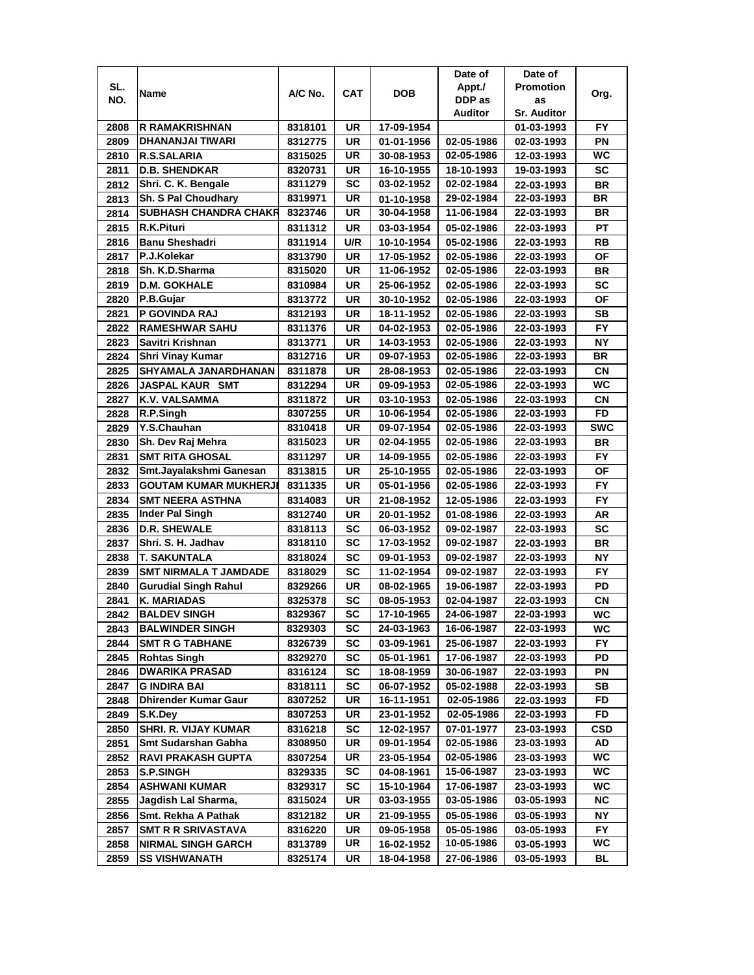|      |                              |         |            |            | Date of    | Date of            |            |
|------|------------------------------|---------|------------|------------|------------|--------------------|------------|
| SL.  | Name                         | A/C No. | <b>CAT</b> | <b>DOB</b> | Appt./     | <b>Promotion</b>   | Org.       |
| NO.  |                              |         |            |            | DDP as     | as                 |            |
|      |                              |         |            |            | Auditor    | <b>Sr. Auditor</b> |            |
| 2808 | R RAMAKRISHNAN               | 8318101 | UR         | 17-09-1954 |            | 01-03-1993         | FY         |
| 2809 | DHANANJAI TIWARI             | 8312775 | UR         | 01-01-1956 | 02-05-1986 | 02-03-1993         | PN         |
| 2810 | R.S.SALARIA                  | 8315025 | UR         | 30-08-1953 | 02-05-1986 | 12-03-1993         | <b>WC</b>  |
| 2811 | <b>D.B. SHENDKAR</b>         | 8320731 | UR         | 16-10-1955 | 18-10-1993 | 19-03-1993         | <b>SC</b>  |
| 2812 | Shri. C. K. Bengale          | 8311279 | SC         | 03-02-1952 | 02-02-1984 | 22-03-1993         | <b>BR</b>  |
| 2813 | Sh. S Pal Choudhary          | 8319971 | UR         | 01-10-1958 | 29-02-1984 | 22-03-1993         | <b>BR</b>  |
| 2814 | <b>SUBHASH CHANDRA CHAKR</b> | 8323746 | UR         | 30-04-1958 | 11-06-1984 | 22-03-1993         | BR         |
| 2815 | R.K.Pituri                   | 8311312 | UR         | 03-03-1954 | 05-02-1986 | 22-03-1993         | PT         |
| 2816 | <b>Banu Sheshadri</b>        | 8311914 | U/R        | 10-10-1954 | 05-02-1986 | 22-03-1993         | RB         |
| 2817 | P.J.Kolekar                  | 8313790 | UR         | 17-05-1952 | 02-05-1986 | 22-03-1993         | OF         |
| 2818 | Sh. K.D.Sharma               | 8315020 | UR         | 11-06-1952 | 02-05-1986 | 22-03-1993         | BR         |
| 2819 | <b>D.M. GOKHALE</b>          | 8310984 | <b>UR</b>  | 25-06-1952 | 02-05-1986 | 22-03-1993         | SC         |
| 2820 | P.B.Gujar                    | 8313772 | UR         | 30-10-1952 | 02-05-1986 | 22-03-1993         | <b>OF</b>  |
| 2821 | P GOVINDA RAJ                | 8312193 | UR         | 18-11-1952 | 02-05-1986 | 22-03-1993         | <b>SB</b>  |
| 2822 | <b>RAMESHWAR SAHU</b>        | 8311376 | UR         | 04-02-1953 | 02-05-1986 | 22-03-1993         | FY.        |
| 2823 | Savitri Krishnan             | 8313771 | UR         | 14-03-1953 | 02-05-1986 | 22-03-1993         | <b>NY</b>  |
| 2824 | Shri Vinay Kumar             | 8312716 | UR         | 09-07-1953 | 02-05-1986 | 22-03-1993         | BR         |
| 2825 | SHYAMALA JANARDHANAN         | 8311878 | UR         | 28-08-1953 | 02-05-1986 | 22-03-1993         | <b>CN</b>  |
| 2826 | <b>JASPAL KAUR SMT</b>       | 8312294 | <b>UR</b>  | 09-09-1953 | 02-05-1986 | 22-03-1993         | WC         |
| 2827 | K.V. VALSAMMA                | 8311872 | UR         | 03-10-1953 | 02-05-1986 | 22-03-1993         | CN         |
| 2828 | R.P.Singh                    | 8307255 | <b>UR</b>  | 10-06-1954 | 02-05-1986 | 22-03-1993         | <b>FD</b>  |
| 2829 | Y.S.Chauhan                  | 8310418 | <b>UR</b>  | 09-07-1954 | 02-05-1986 | 22-03-1993         | <b>SWC</b> |
| 2830 | Sh. Dev Raj Mehra            | 8315023 | <b>UR</b>  | 02-04-1955 | 02-05-1986 | 22-03-1993         | <b>BR</b>  |
| 2831 | <b>SMT RITA GHOSAL</b>       | 8311297 | UR         | 14-09-1955 | 02-05-1986 | 22-03-1993         | FY.        |
| 2832 | Smt.Jayalakshmi Ganesan      | 8313815 | UR         | 25-10-1955 | 02-05-1986 | 22-03-1993         | ΟF         |
| 2833 | <b>GOUTAM KUMAR MUKHERJI</b> | 8311335 | UR         | 05-01-1956 | 02-05-1986 | 22-03-1993         | <b>FY</b>  |
| 2834 | <b>SMT NEERA ASTHNA</b>      | 8314083 | UR         | 21-08-1952 | 12-05-1986 | 22-03-1993         | <b>FY</b>  |
| 2835 | <b>Inder Pal Singh</b>       | 8312740 | <b>UR</b>  | 20-01-1952 | 01-08-1986 | 22-03-1993         | AR         |
| 2836 | <b>D.R. SHEWALE</b>          | 8318113 | <b>SC</b>  | 06-03-1952 | 09-02-1987 | 22-03-1993         | <b>SC</b>  |
| 2837 | Shri. S. H. Jadhav           | 8318110 | SC         | 17-03-1952 | 09-02-1987 | 22-03-1993         | <b>BR</b>  |
| 2838 | <b>T. SAKUNTALA</b>          | 8318024 | SC         | 09-01-1953 | 09-02-1987 | 22-03-1993         | <b>NY</b>  |
| 2839 | SMT NIRMALA T JAMDADE        | 8318029 | SC         | 11-02-1954 | 09-02-1987 | 22-03-1993         | FY.        |
| 2840 | <b>Gurudial Singh Rahul</b>  | 8329266 | UR         | 08-02-1965 | 19-06-1987 | 22-03-1993         | PD         |
| 2841 | K. MARIADAS                  | 8325378 | SC         | 08-05-1953 | 02-04-1987 | 22-03-1993         | СN         |
| 2842 | <b>BALDEV SINGH</b>          | 8329367 | <b>SC</b>  | 17-10-1965 | 24-06-1987 | 22-03-1993         | WC         |
| 2843 | <b>BALWINDER SINGH</b>       | 8329303 | SC         | 24-03-1963 | 16-06-1987 | 22-03-1993         | WC         |
| 2844 | <b>SMT R G TABHANE</b>       | 8326739 | SC         | 03-09-1961 | 25-06-1987 | 22-03-1993         | FY.        |
| 2845 | <b>Rohtas Singh</b>          | 8329270 | <b>SC</b>  | 05-01-1961 | 17-06-1987 | 22-03-1993         | PD         |
| 2846 | <b>DWARIKA PRASAD</b>        | 8316124 | <b>SC</b>  | 18-08-1959 | 30-06-1987 | 22-03-1993         | PN         |
| 2847 | <b>G INDIRA BAI</b>          | 8318111 | <b>SC</b>  | 06-07-1952 | 05-02-1988 | 22-03-1993         | SB         |
| 2848 | <b>Dhirender Kumar Gaur</b>  | 8307252 | UR         | 16-11-1951 | 02-05-1986 | 22-03-1993         | FD         |
| 2849 | S.K.Dey                      | 8307253 | UR         | 23-01-1952 | 02-05-1986 | 22-03-1993         | FD         |
| 2850 | <b>SHRI. R. VIJAY KUMAR</b>  | 8316218 | <b>SC</b>  | 12-02-1957 | 07-01-1977 | 23-03-1993         | CSD        |
| 2851 | Smt Sudarshan Gabha          | 8308950 | UR         | 09-01-1954 | 02-05-1986 | 23-03-1993         | AD         |
| 2852 | <b>RAVI PRAKASH GUPTA</b>    | 8307254 | UR         | 23-05-1954 | 02-05-1986 | 23-03-1993         | WC         |
| 2853 | <b>S.P.SINGH</b>             | 8329335 | SC         | 04-08-1961 | 15-06-1987 | 23-03-1993         | WC         |
| 2854 | <b>ASHWANI KUMAR</b>         | 8329317 | <b>SC</b>  | 15-10-1964 | 17-06-1987 | 23-03-1993         | WC         |
| 2855 | Jagdish Lal Sharma,          | 8315024 | UR         | 03-03-1955 | 03-05-1986 | 03-05-1993         | NC.        |
| 2856 | Smt. Rekha A Pathak          | 8312182 | UR         | 21-09-1955 | 05-05-1986 | 03-05-1993         | NΥ         |
| 2857 | <b>SMT R R SRIVASTAVA</b>    | 8316220 | UR         | 09-05-1958 | 05-05-1986 | 03-05-1993         | FY.        |
| 2858 | <b>NIRMAL SINGH GARCH</b>    | 8313789 | UR         | 16-02-1952 | 10-05-1986 | 03-05-1993         | WC.        |
| 2859 | SS VISHWANATH                | 8325174 | UR         | 18-04-1958 | 27-06-1986 | 03-05-1993         | BL         |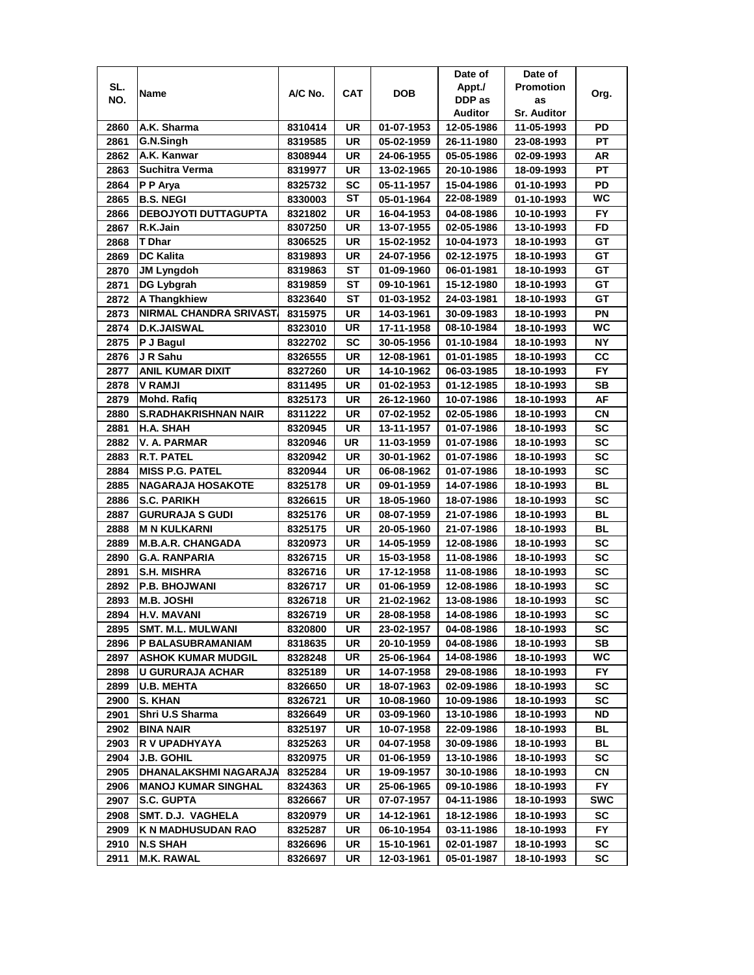|      |                             |         |            |            | Date of    | Date of            |            |
|------|-----------------------------|---------|------------|------------|------------|--------------------|------------|
| SL.  | Name                        | A/C No. | <b>CAT</b> | <b>DOB</b> | Appt./     | <b>Promotion</b>   | Org.       |
| NO.  |                             |         |            |            | DDP as     | as                 |            |
|      |                             |         |            |            | Auditor    | <b>Sr. Auditor</b> |            |
| 2860 | A.K. Sharma                 | 8310414 | UR         | 01-07-1953 | 12-05-1986 | 11-05-1993         | PD         |
| 2861 | G.N.Singh                   | 8319585 | <b>UR</b>  | 05-02-1959 | 26-11-1980 | 23-08-1993         | <b>PT</b>  |
| 2862 | A.K. Kanwar                 | 8308944 | UR         | 24-06-1955 | 05-05-1986 | 02-09-1993         | AR         |
| 2863 | <b>Suchitra Verma</b>       | 8319977 | UR         | 13-02-1965 | 20-10-1986 | 18-09-1993         | <b>PT</b>  |
| 2864 | P P Arya                    | 8325732 | SC         | 05-11-1957 | 15-04-1986 | 01-10-1993         | PD         |
| 2865 | <b>B.S. NEGI</b>            | 8330003 | SТ         | 05-01-1964 | 22-08-1989 | 01-10-1993         | <b>WC</b>  |
| 2866 | <b>DEBOJYOTI DUTTAGUPTA</b> | 8321802 | UR         | 16-04-1953 | 04-08-1986 | 10-10-1993         | FY.        |
| 2867 | R.K.Jain                    | 8307250 | <b>UR</b>  | 13-07-1955 | 02-05-1986 | 13-10-1993         | FD         |
| 2868 | T Dhar                      | 8306525 | UR         | 15-02-1952 | 10-04-1973 | 18-10-1993         | GТ         |
| 2869 | <b>DC Kalita</b>            | 8319893 | UR         | 24-07-1956 | 02-12-1975 | 18-10-1993         | GT         |
| 2870 | <b>JM Lyngdoh</b>           | 8319863 | SТ         | 01-09-1960 | 06-01-1981 | 18-10-1993         | GT         |
| 2871 | <b>DG Lybgrah</b>           | 8319859 | SТ         | 09-10-1961 | 15-12-1980 | 18-10-1993         | GT         |
| 2872 | A Thangkhiew                | 8323640 | SТ         | 01-03-1952 | 24-03-1981 | 18-10-1993         | GТ         |
| 2873 | NIRMAL CHANDRA SRIVAST.     | 8315975 | <b>UR</b>  | 14-03-1961 | 30-09-1983 | 18-10-1993         | PN         |
| 2874 | <b>D.K.JAISWAL</b>          | 8323010 | UR         | 17-11-1958 | 08-10-1984 | 18-10-1993         | WC         |
| 2875 | P J Bagul                   | 8322702 | <b>SC</b>  | 30-05-1956 | 01-10-1984 | 18-10-1993         | <b>NY</b>  |
| 2876 | J R Sahu                    | 8326555 | UR         | 12-08-1961 | 01-01-1985 | 18-10-1993         | CС         |
| 2877 | <b>ANIL KUMAR DIXIT</b>     | 8327260 | UR         | 14-10-1962 | 06-03-1985 | 18-10-1993         | <b>FY</b>  |
| 2878 | <b>V RAMJI</b>              | 8311495 | UR         | 01-02-1953 | 01-12-1985 | 18-10-1993         | SB         |
| 2879 | <b>Mohd. Rafiq</b>          | 8325173 | UR         | 26-12-1960 | 10-07-1986 | 18-10-1993         | AF         |
| 2880 | <b>S.RADHAKRISHNAN NAIR</b> | 8311222 | UR         | 07-02-1952 | 02-05-1986 | 18-10-1993         | CN         |
| 2881 | <b>H.A. SHAH</b>            | 8320945 | UR         | 13-11-1957 | 01-07-1986 | 18-10-1993         | <b>SC</b>  |
| 2882 | <b>V.A. PARMAR</b>          | 8320946 | UR         | 11-03-1959 | 01-07-1986 | 18-10-1993         | <b>SC</b>  |
| 2883 | <b>R.T. PATEL</b>           | 8320942 | UR         | 30-01-1962 | 01-07-1986 | 18-10-1993         | <b>SC</b>  |
| 2884 | <b>MISS P.G. PATEL</b>      | 8320944 | UR         | 06-08-1962 | 01-07-1986 | 18-10-1993         | <b>SC</b>  |
| 2885 | <b>NAGARAJA HOSAKOTE</b>    | 8325178 | UR         | 09-01-1959 | 14-07-1986 | 18-10-1993         | <b>BL</b>  |
| 2886 | <b>S.C. PARIKH</b>          | 8326615 | <b>UR</b>  | 18-05-1960 | 18-07-1986 | 18-10-1993         | <b>SC</b>  |
| 2887 | <b>GURURAJA S GUDI</b>      | 8325176 | <b>UR</b>  | 08-07-1959 | 21-07-1986 | 18-10-1993         | BL         |
| 2888 | <b>M N KULKARNI</b>         | 8325175 | <b>UR</b>  | 20-05-1960 | 21-07-1986 | 18-10-1993         | <b>BL</b>  |
| 2889 | <b>M.B.A.R. CHANGADA</b>    | 8320973 | UR         | 14-05-1959 | 12-08-1986 | 18-10-1993         | <b>SC</b>  |
| 2890 | <b>G.A. RANPARIA</b>        | 8326715 | <b>UR</b>  | 15-03-1958 | 11-08-1986 | 18-10-1993         | <b>SC</b>  |
| 2891 | <b>S.H. MISHRA</b>          | 8326716 | UR         | 17-12-1958 | 11-08-1986 | 18-10-1993         | SC         |
| 2892 | <b>P.B. BHOJWANI</b>        | 8326717 | UR         | 01-06-1959 | 12-08-1986 | 18-10-1993         | <b>SC</b>  |
| 2893 | <b>M.B. JOSHI</b>           | 8326718 | UR         | 21-02-1962 | 13-08-1986 | 18-10-1993         | SC         |
| 2894 | <b>H.V. MAVANI</b>          | 8326719 | UR         | 28-08-1958 | 14-08-1986 | 18-10-1993         | <b>SC</b>  |
| 2895 | <b>SMT. M.L. MULWANI</b>    | 8320800 | UR         | 23-02-1957 | 04-08-1986 | 18-10-1993         | SC         |
| 2896 | P BALASUBRAMANIAM           | 8318635 | UR         | 20-10-1959 | 04-08-1986 | 18-10-1993         | SВ         |
| 2897 | <b>ASHOK KUMAR MUDGIL</b>   | 8328248 | UR         | 25-06-1964 | 14-08-1986 | 18-10-1993         | WC.        |
| 2898 | U GURURAJA ACHAR            | 8325189 | UR         | 14-07-1958 | 29-08-1986 | 18-10-1993         | FY.        |
| 2899 | <b>U.B. MEHTA</b>           | 8326650 | UR         | 18-07-1963 | 02-09-1986 | 18-10-1993         | SC         |
| 2900 | <b>S. KHAN</b>              | 8326721 | UR         | 10-08-1960 | 10-09-1986 | 18-10-1993         | SC         |
| 2901 | Shri U.S Sharma             | 8326649 | UR         | 03-09-1960 | 13-10-1986 | 18-10-1993         | ND         |
| 2902 | <b>BINA NAIR</b>            | 8325197 | UR         | 10-07-1958 | 22-09-1986 | 18-10-1993         | BL         |
| 2903 | R V UPADHYAYA               | 8325263 | UR         | 04-07-1958 | 30-09-1986 | 18-10-1993         | BL         |
| 2904 | <b>J.B. GOHIL</b>           | 8320975 | UR         | 01-06-1959 | 13-10-1986 | 18-10-1993         | SC         |
| 2905 | DHANALAKSHMI NAGARAJA       | 8325284 | UR         | 19-09-1957 | 30-10-1986 | 18-10-1993         | СN         |
| 2906 | <b>MANOJ KUMAR SINGHAL</b>  | 8324363 | UR         | 25-06-1965 | 09-10-1986 | 18-10-1993         | FY.        |
| 2907 | <b>S.C. GUPTA</b>           | 8326667 | UR         | 07-07-1957 | 04-11-1986 | 18-10-1993         | <b>SWC</b> |
| 2908 | SMT. D.J. VAGHELA           | 8320979 | UR         | 14-12-1961 | 18-12-1986 | 18-10-1993         | sc         |
| 2909 | K N MADHUSUDAN RAO          | 8325287 | UR         | 06-10-1954 | 03-11-1986 | 18-10-1993         | FY.        |
| 2910 | <b>N.S SHAH</b>             | 8326696 | UR         | 15-10-1961 | 02-01-1987 | 18-10-1993         | SC         |
| 2911 | M.K. RAWAL                  | 8326697 | UR         | 12-03-1961 | 05-01-1987 | 18-10-1993         | SC         |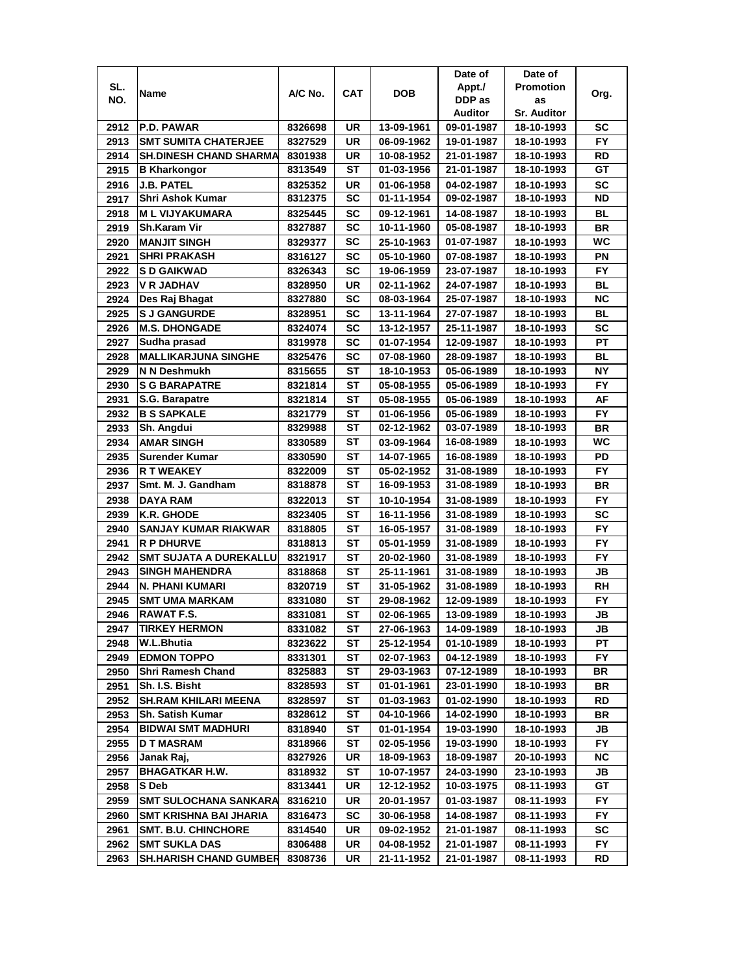|      |                               |         |            |                          | Date of    | Date of            |                        |
|------|-------------------------------|---------|------------|--------------------------|------------|--------------------|------------------------|
| SL.  | Name                          | A/C No. | <b>CAT</b> | <b>DOB</b>               | Appt./     | <b>Promotion</b>   | Org.                   |
| NO.  |                               |         |            |                          | DDP as     | as                 |                        |
|      |                               |         |            |                          | Auditor    | <b>Sr. Auditor</b> |                        |
| 2912 | <b>P.D. PAWAR</b>             | 8326698 | UR         | 13-09-1961               | 09-01-1987 | 18-10-1993         | SC                     |
| 2913 | <b>SMT SUMITA CHATERJEE</b>   | 8327529 | <b>UR</b>  | 06-09-1962               | 19-01-1987 | 18-10-1993         | <b>FY</b>              |
| 2914 | <b>SH.DINESH CHAND SHARMA</b> | 8301938 | UR         | 10-08-1952               | 21-01-1987 | 18-10-1993         | RD                     |
| 2915 | <b>B Kharkongor</b>           | 8313549 | <b>ST</b>  | 01-03-1956               | 21-01-1987 | 18-10-1993         | GT                     |
| 2916 | <b>J.B. PATEL</b>             | 8325352 | UR         | 01-06-1958               | 04-02-1987 | 18-10-1993         | <b>SC</b>              |
| 2917 | <b>Shri Ashok Kumar</b>       | 8312375 | <b>SC</b>  | 01-11-1954               | 09-02-1987 | 18-10-1993         | <b>ND</b>              |
| 2918 | <b>ML VIJYAKUMARA</b>         | 8325445 | SC         | 09-12-1961               | 14-08-1987 | 18-10-1993         | BL                     |
| 2919 | Sh.Karam Vir                  | 8327887 | <b>SC</b>  | 10-11-1960               | 05-08-1987 | 18-10-1993         | BR.                    |
| 2920 | <b>MANJIT SINGH</b>           | 8329377 | SC         | 25-10-1963               | 01-07-1987 | 18-10-1993         | <b>WC</b>              |
| 2921 | <b>SHRI PRAKASH</b>           | 8316127 | <b>SC</b>  | 05-10-1960               | 07-08-1987 | 18-10-1993         | PN                     |
| 2922 | <b>S D GAIKWAD</b>            | 8326343 | SC         | 19-06-1959               | 23-07-1987 | 18-10-1993         | <b>FY</b>              |
| 2923 | <b>V R JADHAV</b>             | 8328950 | <b>UR</b>  | 02-11-1962               | 24-07-1987 | 18-10-1993         | <b>BL</b>              |
| 2924 | Des Raj Bhagat                | 8327880 | SC         | 08-03-1964               | 25-07-1987 | 18-10-1993         | <b>NC</b>              |
| 2925 | <b>SJ GANGURDE</b>            | 8328951 | SC         | 13-11-1964               | 27-07-1987 | 18-10-1993         | <b>BL</b>              |
| 2926 | <b>M.S. DHONGADE</b>          | 8324074 | SC         | 13-12-1957               | 25-11-1987 | 18-10-1993         | SC                     |
| 2927 | Sudha prasad                  | 8319978 | SC         | 01-07-1954               | 12-09-1987 | 18-10-1993         | РT                     |
| 2928 | <b>MALLIKARJUNA SINGHE</b>    | 8325476 | SC         | 07-08-1960               | 28-09-1987 | 18-10-1993         | BL                     |
| 2929 | N N Deshmukh                  | 8315655 | ST         | 18-10-1953               | 05-06-1989 | 18-10-1993         | NΥ                     |
| 2930 | <b>S G BARAPATRE</b>          | 8321814 | SТ         | 05-08-1955               | 05-06-1989 | 18-10-1993         | <b>FY</b>              |
| 2931 | S.G. Barapatre                | 8321814 | SТ         | 05-08-1955               | 05-06-1989 | 18-10-1993         | AF                     |
| 2932 |                               |         |            |                          | 05-06-1989 |                    | <b>FY</b>              |
|      | <b>B S SAPKALE</b>            | 8321779 | ST<br>SТ   | 01-06-1956<br>02-12-1962 |            | 18-10-1993         |                        |
| 2933 | Sh. Angdui                    | 8329988 | <b>ST</b>  |                          | 03-07-1989 | 18-10-1993         | <b>BR</b><br><b>WC</b> |
| 2934 | <b>AMAR SINGH</b>             | 8330589 |            | 03-09-1964               | 16-08-1989 | 18-10-1993         |                        |
| 2935 | <b>Surender Kumar</b>         | 8330590 | ST         | 14-07-1965               | 16-08-1989 | 18-10-1993         | PD                     |
| 2936 | <b>R T WEAKEY</b>             | 8322009 | ST         | 05-02-1952               | 31-08-1989 | 18-10-1993         | <b>FY</b>              |
| 2937 | Smt. M. J. Gandham            | 8318878 | ST         | 16-09-1953               | 31-08-1989 | 18-10-1993         | BR                     |
| 2938 | <b>DAYA RAM</b>               | 8322013 | <b>ST</b>  | 10-10-1954               | 31-08-1989 | 18-10-1993         | <b>FY</b>              |
| 2939 | K.R. GHODE                    | 8323405 | <b>ST</b>  | 16-11-1956               | 31-08-1989 | 18-10-1993         | SC                     |
| 2940 | <b>SANJAY KUMAR RIAKWAR</b>   | 8318805 | <b>ST</b>  | 16-05-1957               | 31-08-1989 | 18-10-1993         | <b>FY</b>              |
| 2941 | <b>R P DHURVE</b>             | 8318813 | ST         | 05-01-1959               | 31-08-1989 | 18-10-1993         | <b>FY</b>              |
| 2942 | <b>SMT SUJATA A DUREKALLU</b> | 8321917 | SТ         | 20-02-1960               | 31-08-1989 | 18-10-1993         | <b>FY</b>              |
| 2943 | <b>SINGH MAHENDRA</b>         | 8318868 | SТ         | 25-11-1961               | 31-08-1989 | 18-10-1993         | JB                     |
| 2944 | N. PHANI KUMARI               | 8320719 | SТ         | 31-05-1962               | 31-08-1989 | 18-10-1993         | RH                     |
| 2945 | <b>SMT UMA MARKAM</b>         | 8331080 | SТ         | 29-08-1962               | 12-09-1989 | 18-10-1993         | FY                     |
| 2946 | RAWAT F.S.                    | 8331081 | <b>ST</b>  | 02-06-1965               | 13-09-1989 | 18-10-1993         | JB                     |
| 2947 | <b>TIRKEY HERMON</b>          | 8331082 | ST         | 27-06-1963               | 14-09-1989 | 18-10-1993         | JB                     |
| 2948 | <b>W.L.Bhutia</b>             | 8323622 | ST         | 25-12-1954               | 01-10-1989 | 18-10-1993         | PT                     |
| 2949 | <b>EDMON TOPPO</b>            | 8331301 | ST         | 02-07-1963               | 04-12-1989 | 18-10-1993         | FY.                    |
| 2950 | Shri Ramesh Chand             | 8325883 | ST         | 29-03-1963               | 07-12-1989 | 18-10-1993         | BR                     |
| 2951 | Sh. I.S. Bisht                | 8328593 | ST         | 01-01-1961               | 23-01-1990 | 18-10-1993         | BR                     |
| 2952 | <b>SH.RAM KHILARI MEENA</b>   | 8328597 | ST         | 01-03-1963               | 01-02-1990 | 18-10-1993         | RD                     |
| 2953 | <b>Sh. Satish Kumar</b>       | 8328612 | ST         | 04-10-1966               | 14-02-1990 | 18-10-1993         | BR                     |
| 2954 | <b>BIDWAI SMT MADHURI</b>     | 8318940 | ST         | 01-01-1954               | 19-03-1990 | 18-10-1993         | JB                     |
| 2955 | <b>D T MASRAM</b>             | 8318966 | <b>ST</b>  | 02-05-1956               | 19-03-1990 | 18-10-1993         | <b>FY</b>              |
| 2956 | Janak Raj,                    | 8327926 | UR         | 18-09-1963               | 18-09-1987 | 20-10-1993         | NC.                    |
| 2957 | <b>BHAGATKAR H.W.</b>         | 8318932 | ST         | 10-07-1957               | 24-03-1990 | 23-10-1993         | JB                     |
| 2958 | S Deb                         | 8313441 | UR         | 12-12-1952               | 10-03-1975 | 08-11-1993         | GТ                     |
| 2959 | <b>SMT SULOCHANA SANKARA</b>  | 8316210 | UR         | 20-01-1957               | 01-03-1987 | 08-11-1993         | FY.                    |
| 2960 | SMT KRISHNA BAI JHARIA        | 8316473 | SC         | 30-06-1958               | 14-08-1987 | 08-11-1993         | FY.                    |
| 2961 | <b>SMT. B.U. CHINCHORE</b>    | 8314540 | UR         | 09-02-1952               | 21-01-1987 | 08-11-1993         | SC                     |
| 2962 | <b>SMT SUKLA DAS</b>          | 8306488 | UR         | 04-08-1952               | 21-01-1987 | 08-11-1993         | FY.                    |
| 2963 | SH.HARISH CHAND GUMBER        | 8308736 | UR         | 21-11-1952               | 21-01-1987 | 08-11-1993         | RD                     |
|      |                               |         |            |                          |            |                    |                        |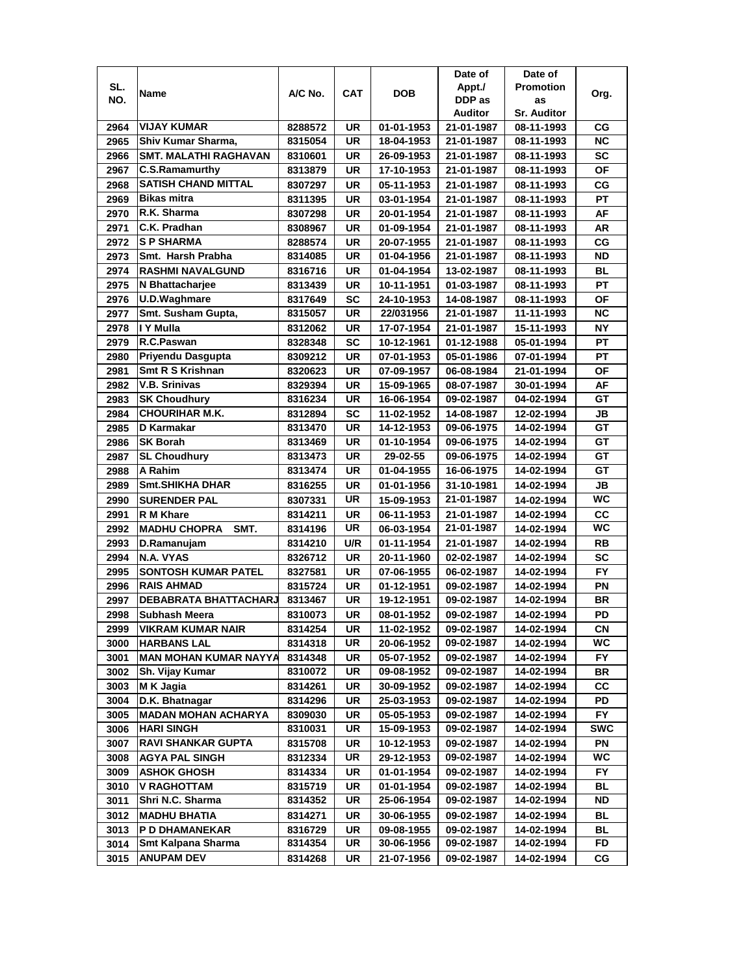|      |                              |         |            |            | Date of    | Date of            |            |
|------|------------------------------|---------|------------|------------|------------|--------------------|------------|
| SL.  | Name                         | A/C No. | <b>CAT</b> | DOB        | Appt./     | <b>Promotion</b>   |            |
| NO.  |                              |         |            |            | DDP as     | as                 | Org.       |
|      |                              |         |            |            | Auditor    | <b>Sr. Auditor</b> |            |
| 2964 | <b>VIJAY KUMAR</b>           | 8288572 | UR         | 01-01-1953 | 21-01-1987 | 08-11-1993         | СG         |
| 2965 | Shiv Kumar Sharma,           | 8315054 | UR         | 18-04-1953 | 21-01-1987 | 08-11-1993         | <b>NC</b>  |
| 2966 | <b>SMT. MALATHI RAGHAVAN</b> | 8310601 | <b>UR</b>  | 26-09-1953 | 21-01-1987 | 08-11-1993         | SC         |
| 2967 | <b>C.S.Ramamurthy</b>        | 8313879 | <b>UR</b>  | 17-10-1953 | 21-01-1987 | 08-11-1993         | <b>OF</b>  |
| 2968 | <b>SATISH CHAND MITTAL</b>   | 8307297 | UR         | 05-11-1953 | 21-01-1987 | 08-11-1993         | CG         |
| 2969 | <b>Bikas mitra</b>           | 8311395 | UR         | 03-01-1954 | 21-01-1987 | 08-11-1993         | PT         |
| 2970 | R.K. Sharma                  | 8307298 | <b>UR</b>  | 20-01-1954 | 21-01-1987 | 08-11-1993         | <b>AF</b>  |
| 2971 | C.K. Pradhan                 | 8308967 | UR         | 01-09-1954 | 21-01-1987 | 08-11-1993         | AR         |
| 2972 | <b>SP SHARMA</b>             | 8288574 | UR         | 20-07-1955 | 21-01-1987 | 08-11-1993         | CG         |
| 2973 | Smt. Harsh Prabha            | 8314085 | <b>UR</b>  | 01-04-1956 | 21-01-1987 | 08-11-1993         | <b>ND</b>  |
| 2974 | <b>RASHMI NAVALGUND</b>      | 8316716 | UR         | 01-04-1954 | 13-02-1987 | 08-11-1993         | <b>BL</b>  |
| 2975 | N Bhattacharjee              | 8313439 | <b>UR</b>  | 10-11-1951 | 01-03-1987 | 08-11-1993         | PT         |
| 2976 | U.D.Waghmare                 | 8317649 | <b>SC</b>  | 24-10-1953 | 14-08-1987 | 08-11-1993         | OF         |
| 2977 | Smt. Susham Gupta,           | 8315057 | UR         | 22/031956  | 21-01-1987 | 11-11-1993         | <b>NC</b>  |
| 2978 | I Y Mulla                    | 8312062 | UR         | 17-07-1954 | 21-01-1987 | 15-11-1993         | <b>NY</b>  |
| 2979 | R.C.Paswan                   | 8328348 | SC         | 10-12-1961 | 01-12-1988 | 05-01-1994         | PT         |
| 2980 | Priyendu Dasgupta            | 8309212 | <b>UR</b>  | 07-01-1953 | 05-01-1986 | 07-01-1994         | <b>PT</b>  |
| 2981 | Smt R S Krishnan             | 8320623 | UR         | 07-09-1957 | 06-08-1984 | 21-01-1994         | ΟF         |
| 2982 | <b>V.B. Srinivas</b>         | 8329394 | UR         | 15-09-1965 | 08-07-1987 | 30-01-1994         | AF         |
| 2983 | <b>SK Choudhury</b>          | 8316234 | <b>UR</b>  | 16-06-1954 | 09-02-1987 | 04-02-1994         | GT         |
| 2984 | <b>CHOURIHAR M.K.</b>        | 8312894 | <b>SC</b>  | 11-02-1952 | 14-08-1987 | 12-02-1994         | JB         |
| 2985 | <b>D</b> Karmakar            | 8313470 | <b>UR</b>  | 14-12-1953 | 09-06-1975 | 14-02-1994         | GT         |
| 2986 | <b>SK Borah</b>              | 8313469 | <b>UR</b>  | 01-10-1954 | 09-06-1975 | 14-02-1994         | GТ         |
| 2987 | <b>SL Choudhury</b>          | 8313473 | <b>UR</b>  | 29-02-55   | 09-06-1975 | 14-02-1994         | GT         |
| 2988 | A Rahim                      | 8313474 | <b>UR</b>  | 01-04-1955 | 16-06-1975 | 14-02-1994         | GT         |
| 2989 | Smt.SHIKHA DHAR              | 8316255 | <b>UR</b>  | 01-01-1956 | 31-10-1981 | 14-02-1994         | JВ         |
| 2990 | <b>SURENDER PAL</b>          | 8307331 | <b>UR</b>  | 15-09-1953 | 21-01-1987 | 14-02-1994         | WC         |
| 2991 | R M Khare                    | 8314211 | UR         | 06-11-1953 | 21-01-1987 | 14-02-1994         | cc         |
| 2992 | <b>MADHU CHOPRA</b><br>SMT.  | 8314196 | <b>UR</b>  | 06-03-1954 | 21-01-1987 | 14-02-1994         | WC         |
| 2993 | D.Ramanujam                  | 8314210 | U/R        | 01-11-1954 | 21-01-1987 | 14-02-1994         | <b>RB</b>  |
| 2994 | N.A. VYAS                    | 8326712 | <b>UR</b>  | 20-11-1960 | 02-02-1987 | 14-02-1994         | <b>SC</b>  |
| 2995 | <b>SONTOSH KUMAR PATEL</b>   | 8327581 | <b>UR</b>  | 07-06-1955 | 06-02-1987 | 14-02-1994         | FY         |
| 2996 | <b>RAIS AHMAD</b>            | 8315724 | UR         | 01-12-1951 | 09-02-1987 | 14-02-1994         | ΡN         |
| 2997 | DEBABRATA BHATTACHARJ        | 8313467 | <b>UR</b>  | 19-12-1951 | 09-02-1987 | 14-02-1994         | <b>BR</b>  |
| 2998 | <b>Subhash Meera</b>         | 8310073 | UR         | 08-01-1952 | 09-02-1987 | 14-02-1994         | PD         |
| 2999 | VIKRAM KUMAR NAIR            | 8314254 | UR         | 11-02-1952 | 09-02-1987 | 14-02-1994         | <b>CN</b>  |
| 3000 | <b>HARBANS LAL</b>           | 8314318 | UR         | 20-06-1952 | 09-02-1987 | 14-02-1994         | WC         |
| 3001 | <b>MAN MOHAN KUMAR NAYYA</b> | 8314348 | UR         | 05-07-1952 | 09-02-1987 | 14-02-1994         | FY.        |
| 3002 | Sh. Vijay Kumar              | 8310072 | UR         | 09-08-1952 | 09-02-1987 | 14-02-1994         | BR         |
| 3003 | M K Jagia                    | 8314261 | UR         | 30-09-1952 | 09-02-1987 | 14-02-1994         | СC         |
| 3004 | D.K. Bhatnagar               | 8314296 | UR         | 25-03-1953 | 09-02-1987 | 14-02-1994         | PD         |
| 3005 | <b>MADAN MOHAN ACHARYA</b>   | 8309030 | UR         | 05-05-1953 | 09-02-1987 | 14-02-1994         | FY.        |
| 3006 | <b>HARI SINGH</b>            | 8310031 | UR         | 15-09-1953 | 09-02-1987 | 14-02-1994         | <b>SWC</b> |
| 3007 | <b>RAVI SHANKAR GUPTA</b>    | 8315708 | UR         | 10-12-1953 | 09-02-1987 | 14-02-1994         | PN         |
| 3008 | <b>AGYA PAL SINGH</b>        | 8312334 | UR         | 29-12-1953 | 09-02-1987 | 14-02-1994         | WC         |
| 3009 | <b>ASHOK GHOSH</b>           | 8314334 | UR         | 01-01-1954 | 09-02-1987 | 14-02-1994         | FY         |
| 3010 | <b>V RAGHOTTAM</b>           | 8315719 | UR         | 01-01-1954 | 09-02-1987 | 14-02-1994         | <b>BL</b>  |
| 3011 | Shri N.C. Sharma             | 8314352 | UR         | 25-06-1954 | 09-02-1987 | 14-02-1994         | ND         |
| 3012 | <b>MADHU BHATIA</b>          | 8314271 | UR         | 30-06-1955 | 09-02-1987 | 14-02-1994         | BL         |
| 3013 | P D DHAMANEKAR               | 8316729 | UR         | 09-08-1955 | 09-02-1987 | 14-02-1994         | BL         |
| 3014 | Smt Kalpana Sharma           | 8314354 | UR         | 30-06-1956 | 09-02-1987 | 14-02-1994         | FD         |
| 3015 | ANUPAM DEV                   | 8314268 | UR         | 21-07-1956 | 09-02-1987 | 14-02-1994         | СG         |
|      |                              |         |            |            |            |                    |            |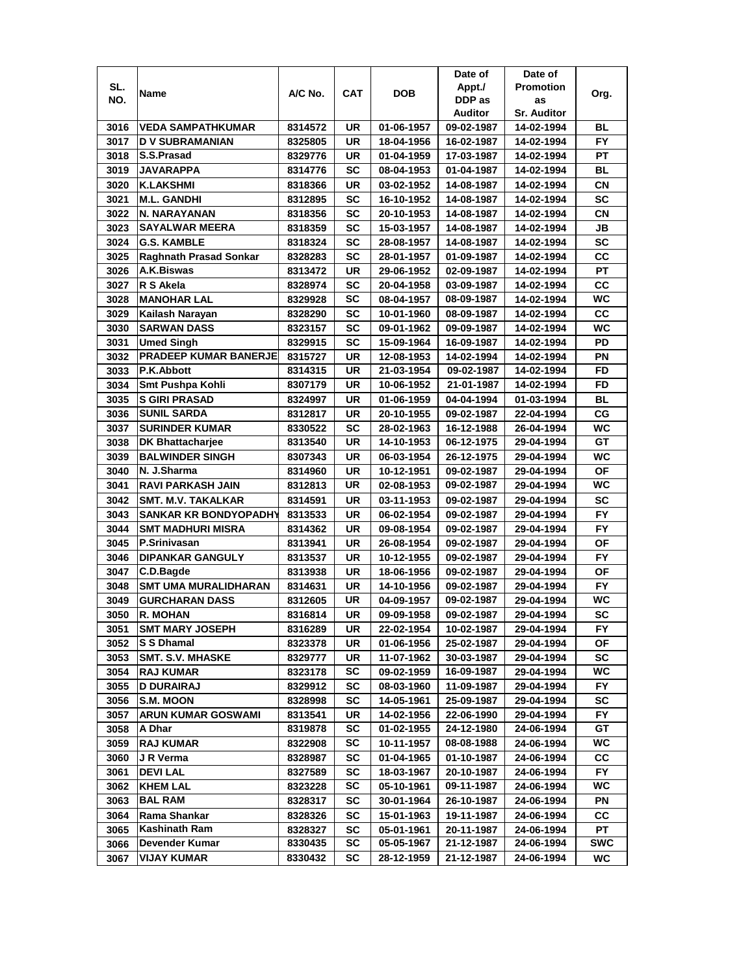|      |                              |         |            |            | Date of        | Date of            |           |
|------|------------------------------|---------|------------|------------|----------------|--------------------|-----------|
| SL.  | Name                         | A/C No. | <b>CAT</b> | DOB        | Appt./         | <b>Promotion</b>   | Org.      |
| NO.  |                              |         |            |            | DDP as         | as                 |           |
|      |                              |         |            |            | <b>Auditor</b> | <b>Sr. Auditor</b> |           |
| 3016 | <b>VEDA SAMPATHKUMAR</b>     | 8314572 | UR         | 01-06-1957 | 09-02-1987     | 14-02-1994         | BL        |
| 3017 | <b>D V SUBRAMANIAN</b>       | 8325805 | UR         | 18-04-1956 | 16-02-1987     | 14-02-1994         | <b>FY</b> |
| 3018 | S.S.Prasad                   | 8329776 | UR         | 01-04-1959 | 17-03-1987     | 14-02-1994         | PT        |
| 3019 | <b>JAVARAPPA</b>             | 8314776 | SC         | 08-04-1953 | 01-04-1987     | 14-02-1994         | BL        |
| 3020 | <b>K.LAKSHMI</b>             | 8318366 | UR         | 03-02-1952 | 14-08-1987     | 14-02-1994         | СN        |
| 3021 | <b>M.L. GANDHI</b>           | 8312895 | SC         | 16-10-1952 | 14-08-1987     | 14-02-1994         | <b>SC</b> |
| 3022 | N. NARAYANAN                 | 8318356 | SC         | 20-10-1953 | 14-08-1987     | 14-02-1994         | СN        |
| 3023 | <b>SAYALWAR MEERA</b>        | 8318359 | SC         | 15-03-1957 | 14-08-1987     | 14-02-1994         | JB        |
| 3024 | <b>G.S. KAMBLE</b>           | 8318324 | SC         | 28-08-1957 | 14-08-1987     | 14-02-1994         | SC        |
| 3025 | Raghnath Prasad Sonkar       | 8328283 | SC         | 28-01-1957 | 01-09-1987     | 14-02-1994         | CC        |
| 3026 | A.K.Biswas                   | 8313472 | UR         | 29-06-1952 | 02-09-1987     | 14-02-1994         | PT        |
| 3027 | R S Akela                    | 8328974 | <b>SC</b>  | 20-04-1958 | 03-09-1987     | 14-02-1994         | cc        |
| 3028 | <b>MANOHAR LAL</b>           | 8329928 | SC         | 08-04-1957 | 08-09-1987     | 14-02-1994         | WC        |
| 3029 | Kailash Narayan              | 8328290 | SC         | 10-01-1960 | 08-09-1987     | 14-02-1994         | CC        |
| 3030 | <b>SARWAN DASS</b>           | 8323157 | SC         | 09-01-1962 | 09-09-1987     | 14-02-1994         | WC        |
| 3031 | <b>Umed Singh</b>            | 8329915 | SC         | 15-09-1964 | 16-09-1987     | 14-02-1994         | PD        |
| 3032 | <b>PRADEEP KUMAR BANERJE</b> | 8315727 | UR         | 12-08-1953 | 14-02-1994     | 14-02-1994         | PN        |
| 3033 | P.K.Abbott                   | 8314315 | UR         | 21-03-1954 | 09-02-1987     | 14-02-1994         | <b>FD</b> |
| 3034 | Smt Pushpa Kohli             | 8307179 | <b>UR</b>  | 10-06-1952 | 21-01-1987     | 14-02-1994         | <b>FD</b> |
| 3035 | <b>S GIRI PRASAD</b>         | 8324997 | UR         | 01-06-1959 | 04-04-1994     | 01-03-1994         | <b>BL</b> |
| 3036 | <b>SUNIL SARDA</b>           | 8312817 | UR         | 20-10-1955 | 09-02-1987     | 22-04-1994         | CG        |
| 3037 | <b>SURINDER KUMAR</b>        | 8330522 | SC         | 28-02-1963 | 16-12-1988     | 26-04-1994         | WC        |
| 3038 | <b>DK Bhattacharjee</b>      | 8313540 | UR         | 14-10-1953 | 06-12-1975     | 29-04-1994         | GT        |
| 3039 | <b>BALWINDER SINGH</b>       | 8307343 | UR         | 06-03-1954 | 26-12-1975     | 29-04-1994         | WC        |
| 3040 | N. J.Sharma                  | 8314960 | UR         | 10-12-1951 | 09-02-1987     | 29-04-1994         | ΟF        |
| 3041 | <b>RAVI PARKASH JAIN</b>     | 8312813 | UR         | 02-08-1953 | 09-02-1987     | 29-04-1994         | WC        |
| 3042 | <b>SMT. M.V. TAKALKAR</b>    | 8314591 | <b>UR</b>  | 03-11-1953 | 09-02-1987     | 29-04-1994         | SC        |
| 3043 | SANKAR KR BONDYOPADHY        | 8313533 | <b>UR</b>  | 06-02-1954 | 09-02-1987     | 29-04-1994         | <b>FY</b> |
| 3044 | <b>SMT MADHURI MISRA</b>     | 8314362 | UR         | 09-08-1954 | 09-02-1987     | 29-04-1994         | <b>FY</b> |
| 3045 | P.Srinivasan                 | 8313941 | UR         | 26-08-1954 | 09-02-1987     | 29-04-1994         | ΟF        |
| 3046 | <b>DIPANKAR GANGULY</b>      | 8313537 | UR         | 10-12-1955 | 09-02-1987     | 29-04-1994         | <b>FY</b> |
| 3047 | C.D.Bagde                    | 8313938 | UR         | 18-06-1956 | 09-02-1987     | 29-04-1994         | ΟF        |
| 3048 | SMT UMA MURALIDHARAN         | 8314631 | UR         | 14-10-1956 | 09-02-1987     | 29-04-1994         | FY.       |
| 3049 | <b>GURCHARAN DASS</b>        | 8312605 | UR         | 04-09-1957 | 09-02-1987     | 29-04-1994         | WC        |
| 3050 | <b>R. MOHAN</b>              | 8316814 | UR         | 09-09-1958 | 09-02-1987     | 29-04-1994         | <b>SC</b> |
| 3051 | <b>SMT MARY JOSEPH</b>       | 8316289 | UR         | 22-02-1954 | 10-02-1987     | 29-04-1994         | FY.       |
| 3052 | S S Dhamal                   | 8323378 | UR         | 01-06-1956 | 25-02-1987     | 29-04-1994         | ΟF        |
| 3053 | <b>SMT. S.V. MHASKE</b>      | 8329777 | UR         | 11-07-1962 | 30-03-1987     | 29-04-1994         | SC        |
| 3054 | <b>RAJ KUMAR</b>             | 8323178 | SC         | 09-02-1959 | 16-09-1987     | 29-04-1994         | WC.       |
| 3055 | <b>D DURAIRAJ</b>            | 8329912 | SC         | 08-03-1960 | 11-09-1987     | 29-04-1994         | FY.       |
| 3056 | <b>S.M. MOON</b>             | 8328998 | <b>SC</b>  | 14-05-1961 | 25-09-1987     | 29-04-1994         | <b>SC</b> |
| 3057 | <b>ARUN KUMAR GOSWAMI</b>    | 8313541 | UR         | 14-02-1956 | 22-06-1990     | 29-04-1994         | FY.       |
| 3058 | A Dhar                       | 8319878 | <b>SC</b>  | 01-02-1955 | 24-12-1980     | 24-06-1994         | GT        |
| 3059 | <b>RAJ KUMAR</b>             | 8322908 | SC         | 10-11-1957 | 08-08-1988     | 24-06-1994         | WC        |
| 3060 | J R Verma                    | 8328987 | <b>SC</b>  | 01-04-1965 | 01-10-1987     | 24-06-1994         | <b>CC</b> |
| 3061 | <b>DEVILAL</b>               | 8327589 | <b>SC</b>  | 18-03-1967 | 20-10-1987     | 24-06-1994         | <b>FY</b> |
| 3062 | <b>KHEM LAL</b>              | 8323228 | SC         | 05-10-1961 | 09-11-1987     | 24-06-1994         | WC        |
| 3063 | <b>BAL RAM</b>               | 8328317 | SC         | 30-01-1964 | 26-10-1987     | 24-06-1994         | PN        |
| 3064 | Rama Shankar                 | 8328326 | SC         | 15-01-1963 | 19-11-1987     | 24-06-1994         | CС        |
| 3065 | Kashinath Ram                | 8328327 | SC         | 05-01-1961 | 20-11-1987     | 24-06-1994         | PТ        |
| 3066 | Devender Kumar               | 8330435 | SC         | 05-05-1967 | 21-12-1987     | 24-06-1994         | SWC       |
| 3067 | <b>VIJAY KUMAR</b>           | 8330432 | SC         | 28-12-1959 | 21-12-1987     | 24-06-1994         | WC        |
|      |                              |         |            |            |                |                    |           |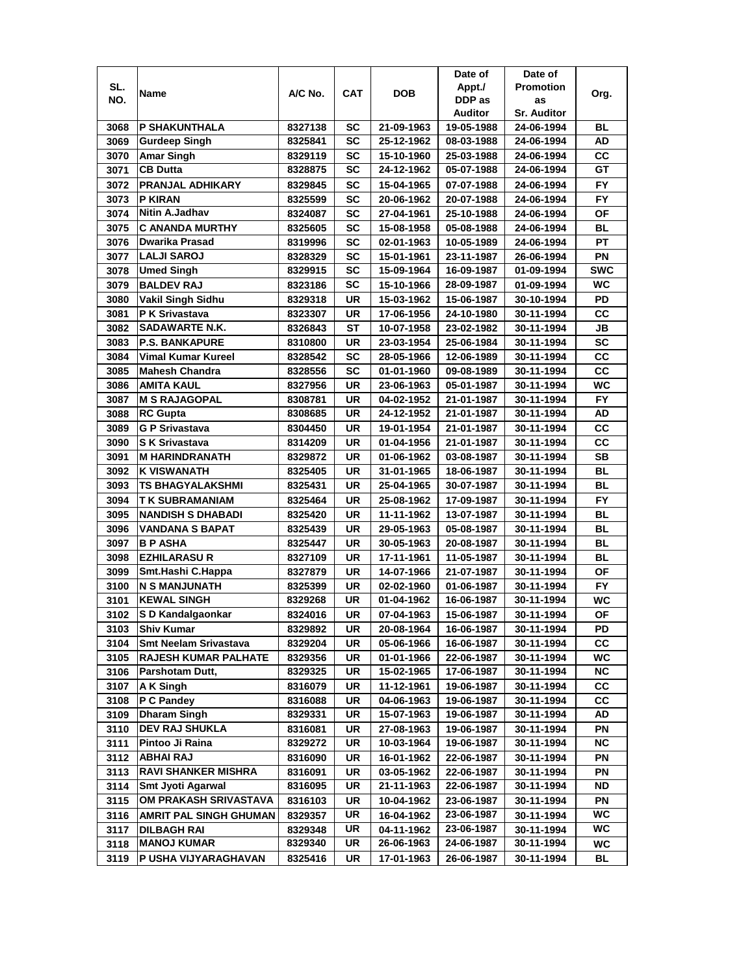|              |                                                             |                    |            |                          | Date of                  | Date of                  |            |
|--------------|-------------------------------------------------------------|--------------------|------------|--------------------------|--------------------------|--------------------------|------------|
| SL.          |                                                             |                    |            |                          | Appt./                   | <b>Promotion</b>         |            |
| NO.          | Name                                                        | A/C No.            | <b>CAT</b> | <b>DOB</b>               | DDP as                   | as                       | Org.       |
|              |                                                             |                    |            |                          | <b>Auditor</b>           | <b>Sr. Auditor</b>       |            |
| 3068         | P SHAKUNTHALA                                               | 8327138            | SC         | 21-09-1963               | 19-05-1988               | 24-06-1994               | BL         |
| 3069         | Gurdeep Singh                                               | 8325841            | SC         | 25-12-1962               | 08-03-1988               | 24-06-1994               | AD         |
| 3070         | Amar Singh                                                  | 8329119            | SC         | 15-10-1960               | 25-03-1988               | 24-06-1994               | CC         |
| 3071         | <b>CB Dutta</b>                                             | 8328875            | SC         | 24-12-1962               | 05-07-1988               | 24-06-1994               | GT         |
| 3072         | <b>PRANJAL ADHIKARY</b>                                     | 8329845            | SC         | 15-04-1965               | 07-07-1988               | 24-06-1994               | FY         |
| 3073         | P KIRAN                                                     | 8325599            | SC         | 20-06-1962               | 20-07-1988               | 24-06-1994               | FY         |
| 3074         | Nitin A.Jadhav                                              | 8324087            | SC         | 27-04-1961               | 25-10-1988               | 24-06-1994               | ΟF         |
| 3075         | <b>C ANANDA MURTHY</b>                                      | 8325605            | SC         | 15-08-1958               | 05-08-1988               | 24-06-1994               | BL         |
| 3076         | Dwarika Prasad                                              | 8319996            | SC         | 02-01-1963               | 10-05-1989               | 24-06-1994               | PT         |
| 3077         | <b>LALJI SAROJ</b>                                          | 8328329            | SC         | 15-01-1961               | 23-11-1987               | 26-06-1994               | PN         |
| 3078         | <b>Umed Singh</b>                                           | 8329915            | <b>SC</b>  | 15-09-1964               | 16-09-1987               | 01-09-1994               | <b>SWC</b> |
| 3079         | <b>BALDEV RAJ</b>                                           | 8323186            | <b>SC</b>  | 15-10-1966               | 28-09-1987               | 01-09-1994               | WC         |
| 3080         | <b>Vakil Singh Sidhu</b>                                    | 8329318            | <b>UR</b>  | 15-03-1962               | 15-06-1987               | 30-10-1994               | PD         |
| 3081         | <b>P K Srivastava</b>                                       | 8323307            | UR         | 17-06-1956               | 24-10-1980               | 30-11-1994               | CC         |
| 3082         | SADAWARTE N.K.                                              | 8326843            | ST         | 10-07-1958               | 23-02-1982               | 30-11-1994               | JB         |
| 3083         | <b>P.S. BANKAPURE</b>                                       | 8310800            | UR         | 23-03-1954               | 25-06-1984               | 30-11-1994               | SC         |
| 3084         | Vimal Kumar Kureel                                          | 8328542            | SC         | 28-05-1966               | 12-06-1989               | 30-11-1994               | <b>CC</b>  |
| 3085         | <b>Mahesh Chandra</b>                                       | 8328556            | SC         | 01-01-1960               | 09-08-1989               | 30-11-1994               | CС         |
| 3086         | AMITA KAUL                                                  |                    | UR         | 23-06-1963               | 05-01-1987               | 30-11-1994               | WC         |
| 3087         | <b>M S RAJAGOPAL</b>                                        | 8327956            | UR         |                          |                          |                          | <b>FY</b>  |
|              | <b>RC Gupta</b>                                             | 8308781<br>8308685 | UR         | 04-02-1952<br>24-12-1952 | 21-01-1987<br>21-01-1987 | 30-11-1994<br>30-11-1994 | AD         |
| 3088         |                                                             |                    |            |                          |                          |                          | cc         |
| 3089         | <b>G P Srivastava</b>                                       | 8304450            | UR         | 19-01-1954               | 21-01-1987               | 30-11-1994               | CC         |
| 3090         | <b>SK Srivastava</b>                                        | 8314209            | UR         | 01-04-1956               | 21-01-1987               | 30-11-1994               | <b>SB</b>  |
| 3091         | <b>M HARINDRANATH</b>                                       | 8329872            | UR         | 01-06-1962               | 03-08-1987               | 30-11-1994               | <b>BL</b>  |
| 3092         | <b>K VISWANATH</b>                                          | 8325405            | UR         | 31-01-1965               | 18-06-1987               | 30-11-1994               | BL         |
| 3093<br>3094 | TS BHAGYALAKSHMI<br>T K SUBRAMANIAM                         | 8325431            | UR<br>UR   | 25-04-1965               | 30-07-1987               | 30-11-1994               | <b>FY</b>  |
| 3095         | <b>NANDISH S DHABADI</b>                                    | 8325464<br>8325420 | <b>UR</b>  | 25-08-1962<br>11-11-1962 | 17-09-1987<br>13-07-1987 | 30-11-1994<br>30-11-1994 | <b>BL</b>  |
| 3096         | <b>VANDANA S BAPAT</b>                                      | 8325439            | <b>UR</b>  | 29-05-1963               | 05-08-1987               | 30-11-1994               | <b>BL</b>  |
| 3097         | <b>B P ASHA</b>                                             | 8325447            | UR         | 30-05-1963               | 20-08-1987               | 30-11-1994               | <b>BL</b>  |
| 3098         | <b>EZHILARASU R</b>                                         | 8327109            | UR         | 17-11-1961               | 11-05-1987               | 30-11-1994               | <b>BL</b>  |
| 3099         | Smt.Hashi C.Happa                                           | 8327879            | UR         | 14-07-1966               | 21-07-1987               | 30-11-1994               | <b>OF</b>  |
| 3100         | <b>N S MANJUNATH</b>                                        |                    | UR         |                          |                          |                          | FY.        |
|              | <b>KEWAL SINGH</b>                                          | 8325399            | UR         | 02-02-1960<br>01-04-1962 | 01-06-1987<br>16-06-1987 | 30-11-1994<br>30-11-1994 | WC         |
| 3101         |                                                             | 8329268            |            |                          |                          |                          |            |
| 3102         | S D Kandalgaonkar<br><b>Shiv Kumar</b>                      | 8324016            | UR<br>UR   | 07-04-1963               | 15-06-1987               | 30-11-1994               | OF<br>PD   |
| 3103         |                                                             | 8329892            |            | 20-08-1964               | 16-06-1987               | 30-11-1994               |            |
| 3104         | <b>Smt Neelam Srivastava</b><br><b>RAJESH KUMAR PALHATE</b> | 8329204            | UR         | 05-06-1966               | 16-06-1987<br>22-06-1987 | 30-11-1994               | СC<br>WC   |
| 3105<br>3106 | Parshotam Dutt,                                             | 8329356<br>8329325 | UR<br>UR   | 01-01-1966<br>15-02-1965 | 17-06-1987               | 30-11-1994<br>30-11-1994 | NC.        |
| 3107         | A K Singh                                                   |                    | UR         | 11-12-1961               | 19-06-1987               |                          | <b>CC</b>  |
|              |                                                             | 8316079            |            |                          | 19-06-1987               | 30-11-1994<br>30-11-1994 |            |
| 3108         | P C Pandey<br>Dharam Singh                                  | 8316088            | UR         | 04-06-1963<br>15-07-1963 |                          |                          | СC<br>AD   |
| 3109         |                                                             | 8329331            | UR         |                          | 19-06-1987               | 30-11-1994               |            |
| 3110         | DEV RAJ SHUKLA                                              | 8316081            | UR         | 27-08-1963               | 19-06-1987               | 30-11-1994               | PN         |
| 3111         | Pintoo Ji Raina                                             | 8329272            | UR         | 10-03-1964               | 19-06-1987               | 30-11-1994               | <b>NC</b>  |
| 3112         | <b>ABHAIRAJ</b>                                             | 8316090            | UR         | 16-01-1962               | 22-06-1987               | 30-11-1994               | PN         |
| 3113         | <b>RAVI SHANKER MISHRA</b>                                  | 8316091            | UR         | 03-05-1962               | 22-06-1987               | 30-11-1994               | PN         |
| 3114         | Smt Jyoti Agarwal                                           | 8316095            | UR         | 21-11-1963               | 22-06-1987               | 30-11-1994               | <b>ND</b>  |
| 3115         | OM PRAKASH SRIVASTAVA                                       | 8316103            | UR         | 10-04-1962               | 23-06-1987               | 30-11-1994               | PN         |
| 3116         | <b>AMRIT PAL SINGH GHUMAN</b>                               | 8329357            | UR         | 16-04-1962               | 23-06-1987               | 30-11-1994               | WC.        |
| 3117         | <b>DILBAGH RAI</b>                                          | 8329348            | UR         | 04-11-1962               | 23-06-1987               | 30-11-1994               | WC         |
| 3118         | <b>MANOJ KUMAR</b>                                          | 8329340            | UR         | 26-06-1963               | 24-06-1987               | 30-11-1994               | WC         |
| 3119         | P USHA VIJYARAGHAVAN                                        | 8325416            | UR         | 17-01-1963               | 26-06-1987               | 30-11-1994               | BL         |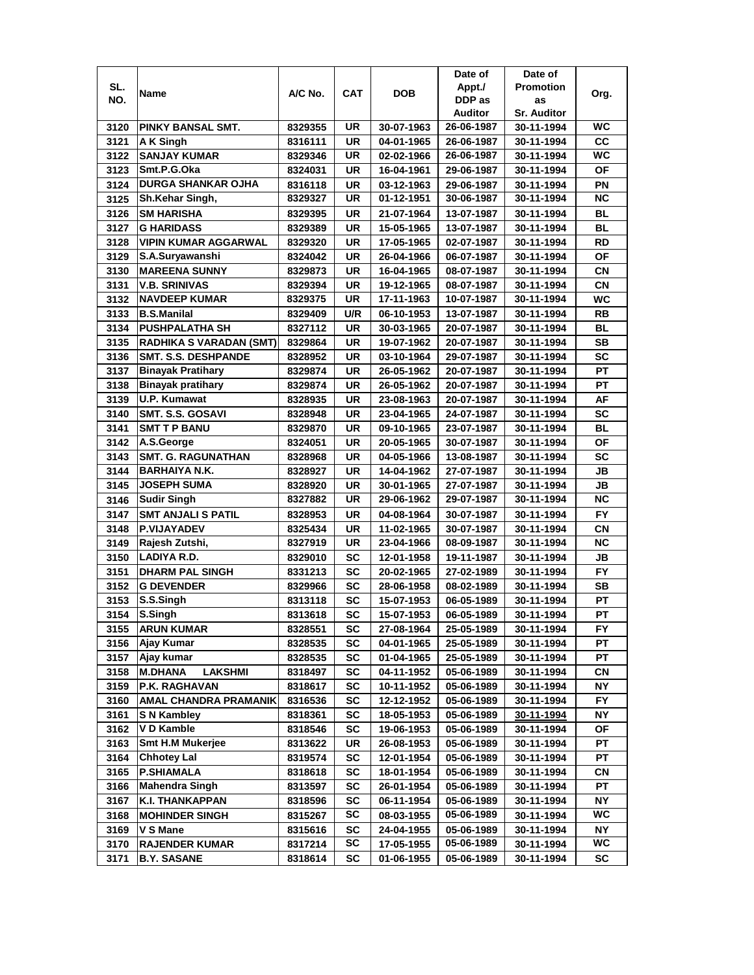|      |                                  |         |            |            | Date of    | Date of            |           |
|------|----------------------------------|---------|------------|------------|------------|--------------------|-----------|
| SL.  | Name                             | A/C No. | <b>CAT</b> | <b>DOB</b> | Appt./     | <b>Promotion</b>   | Org.      |
| NO.  |                                  |         |            |            | DDP as     | as                 |           |
|      |                                  |         |            |            | Auditor    | <b>Sr. Auditor</b> |           |
| 3120 | <b>PINKY BANSAL SMT.</b>         | 8329355 | UR         | 30-07-1963 | 26-06-1987 | 30-11-1994         | WC        |
| 3121 | A K Singh                        | 8316111 | <b>UR</b>  | 04-01-1965 | 26-06-1987 | 30-11-1994         | CC        |
| 3122 | <b>SANJAY KUMAR</b>              | 8329346 | UR         | 02-02-1966 | 26-06-1987 | 30-11-1994         | <b>WC</b> |
| 3123 | Smt.P.G.Oka                      | 8324031 | UR         | 16-04-1961 | 29-06-1987 | 30-11-1994         | OF        |
| 3124 | <b>DURGA SHANKAR OJHA</b>        | 8316118 | UR         | 03-12-1963 | 29-06-1987 | 30-11-1994         | ΡN        |
| 3125 | Sh.Kehar Singh,                  | 8329327 | UR         | 01-12-1951 | 30-06-1987 | 30-11-1994         | <b>NC</b> |
| 3126 | <b>SM HARISHA</b>                | 8329395 | UR         | 21-07-1964 | 13-07-1987 | 30-11-1994         | BL        |
| 3127 | <b>G HARIDASS</b>                | 8329389 | UR         | 15-05-1965 | 13-07-1987 | 30-11-1994         | BL        |
| 3128 | <b>VIPIN KUMAR AGGARWAL</b>      | 8329320 | UR         | 17-05-1965 | 02-07-1987 | 30-11-1994         | RD        |
| 3129 | S.A.Suryawanshi                  | 8324042 | UR         | 26-04-1966 | 06-07-1987 | 30-11-1994         | OF        |
| 3130 | <b>MAREENA SUNNY</b>             | 8329873 | <b>UR</b>  | 16-04-1965 | 08-07-1987 | 30-11-1994         | CN        |
| 3131 | <b>V.B. SRINIVAS</b>             | 8329394 | <b>UR</b>  | 19-12-1965 | 08-07-1987 | 30-11-1994         | <b>CN</b> |
| 3132 | <b>NAVDEEP KUMAR</b>             | 8329375 | UR         | 17-11-1963 | 10-07-1987 | 30-11-1994         | WC        |
| 3133 | B.S.Manilal                      | 8329409 | U/R        | 06-10-1953 | 13-07-1987 | 30-11-1994         | <b>RB</b> |
| 3134 | <b>PUSHPALATHA SH</b>            | 8327112 | UR         | 30-03-1965 | 20-07-1987 | 30-11-1994         | BL        |
| 3135 | <b>RADHIKA S VARADAN (SMT)</b>   | 8329864 | UR         | 19-07-1962 | 20-07-1987 | 30-11-1994         | <b>SB</b> |
| 3136 | <b>SMT. S.S. DESHPANDE</b>       | 8328952 | UR         | 03-10-1964 | 29-07-1987 | 30-11-1994         | SC        |
| 3137 | <b>Binayak Pratihary</b>         | 8329874 | UR         | 26-05-1962 | 20-07-1987 | 30-11-1994         | PT        |
| 3138 | <b>Binayak pratihary</b>         |         | UR         | 26-05-1962 |            |                    | PТ        |
|      | U.P. Kumawat                     | 8329874 |            |            | 20-07-1987 | 30-11-1994         | AF        |
| 3139 |                                  | 8328935 | UR         | 23-08-1963 | 20-07-1987 | 30-11-1994         |           |
| 3140 | <b>SMT. S.S. GOSAVI</b>          | 8328948 | UR         | 23-04-1965 | 24-07-1987 | 30-11-1994         | <b>SC</b> |
| 3141 | <b>SMT T P BANU</b>              | 8329870 | UR         | 09-10-1965 | 23-07-1987 | 30-11-1994         | BL        |
| 3142 | A.S.George                       | 8324051 | <b>UR</b>  | 20-05-1965 | 30-07-1987 | 30-11-1994         | ΟF        |
| 3143 | <b>SMT. G. RAGUNATHAN</b>        | 8328968 | UR         | 04-05-1966 | 13-08-1987 | 30-11-1994         | <b>SC</b> |
| 3144 | <b>BARHAIYA N.K.</b>             | 8328927 | UR         | 14-04-1962 | 27-07-1987 | 30-11-1994         | JВ        |
| 3145 | <b>JOSEPH SUMA</b>               | 8328920 | UR         | 30-01-1965 | 27-07-1987 | 30-11-1994         | JB        |
| 3146 | <b>Sudir Singh</b>               | 8327882 | <b>UR</b>  | 29-06-1962 | 29-07-1987 | 30-11-1994         | <b>NC</b> |
| 3147 | <b>SMT ANJALI S PATIL</b>        | 8328953 | <b>UR</b>  | 04-08-1964 | 30-07-1987 | 30-11-1994         | <b>FY</b> |
| 3148 | <b>P.VIJAYADEV</b>               | 8325434 | <b>UR</b>  | 11-02-1965 | 30-07-1987 | 30-11-1994         | CN        |
| 3149 | Rajesh Zutshi,                   | 8327919 | <b>UR</b>  | 23-04-1966 | 08-09-1987 | 30-11-1994         | <b>NC</b> |
| 3150 | LADIYA R.D.                      | 8329010 | <b>SC</b>  | 12-01-1958 | 19-11-1987 | 30-11-1994         | JВ        |
| 3151 | <b>DHARM PAL SINGH</b>           | 8331213 | SC         | 20-02-1965 | 27-02-1989 | 30-11-1994         | FY.       |
| 3152 | <b>G DEVENDER</b>                | 8329966 | SC         | 28-06-1958 | 08-02-1989 | 30-11-1994         | SВ        |
| 3153 | S.S.Singh                        | 8313118 | SC         | 15-07-1953 | 06-05-1989 | 30-11-1994         | PТ        |
| 3154 | S.Singh                          | 8313618 | <b>SC</b>  | 15-07-1953 | 06-05-1989 | 30-11-1994         | <b>PT</b> |
| 3155 | <b>ARUN KUMAR</b>                | 8328551 | SC         | 27-08-1964 | 25-05-1989 | 30-11-1994         | FY        |
| 3156 | Ajay Kumar                       | 8328535 | SC         | 04-01-1965 | 25-05-1989 | 30-11-1994         | PT        |
| 3157 | Ajay kumar                       | 8328535 | SC         | 01-04-1965 | 25-05-1989 | 30-11-1994         | PТ        |
| 3158 | <b>M.DHANA</b><br><b>LAKSHMI</b> | 8318497 | SC         | 04-11-1952 | 05-06-1989 | 30-11-1994         | CN        |
| 3159 | <b>P.K. RAGHAVAN</b>             | 8318617 | SC         | 10-11-1952 | 05-06-1989 | 30-11-1994         | NΥ        |
| 3160 | <b>AMAL CHANDRA PRAMANIK</b>     | 8316536 | SC         | 12-12-1952 | 05-06-1989 | 30-11-1994         | <b>FY</b> |
| 3161 | <b>S N Kambley</b>               | 8318361 | SC         | 18-05-1953 | 05-06-1989 | 30-11-1994         | NΥ        |
| 3162 | V D Kamble                       | 8318546 | SC         | 19-06-1953 | 05-06-1989 | 30-11-1994         | ОF        |
| 3163 | <b>Smt H.M Mukerjee</b>          | 8313622 | UR         | 26-08-1953 | 05-06-1989 | 30-11-1994         | PT        |
| 3164 | <b>Chhotey Lal</b>               | 8319574 | SC         | 12-01-1954 | 05-06-1989 | 30-11-1994         | PT        |
| 3165 | <b>P.SHIAMALA</b>                | 8318618 | SC         | 18-01-1954 | 05-06-1989 | 30-11-1994         | CN        |
| 3166 | <b>Mahendra Singh</b>            | 8313597 | SC         | 26-01-1954 | 05-06-1989 | 30-11-1994         | PT        |
| 3167 | <b>K.I. THANKAPPAN</b>           | 8318596 | SC         | 06-11-1954 | 05-06-1989 | 30-11-1994         | NΥ        |
| 3168 | <b>MOHINDER SINGH</b>            | 8315267 | SC         | 08-03-1955 | 05-06-1989 | 30-11-1994         | WC.       |
| 3169 | V S Mane                         | 8315616 | SC         | 24-04-1955 | 05-06-1989 | 30-11-1994         | ΝY        |
|      |                                  |         | SC         |            | 05-06-1989 |                    | WC.       |
| 3170 | <b>RAJENDER KUMAR</b>            | 8317214 |            | 17-05-1955 |            | 30-11-1994         |           |
| 3171 | <b>B.Y. SASANE</b>               | 8318614 | SC         | 01-06-1955 | 05-06-1989 | 30-11-1994         | SC        |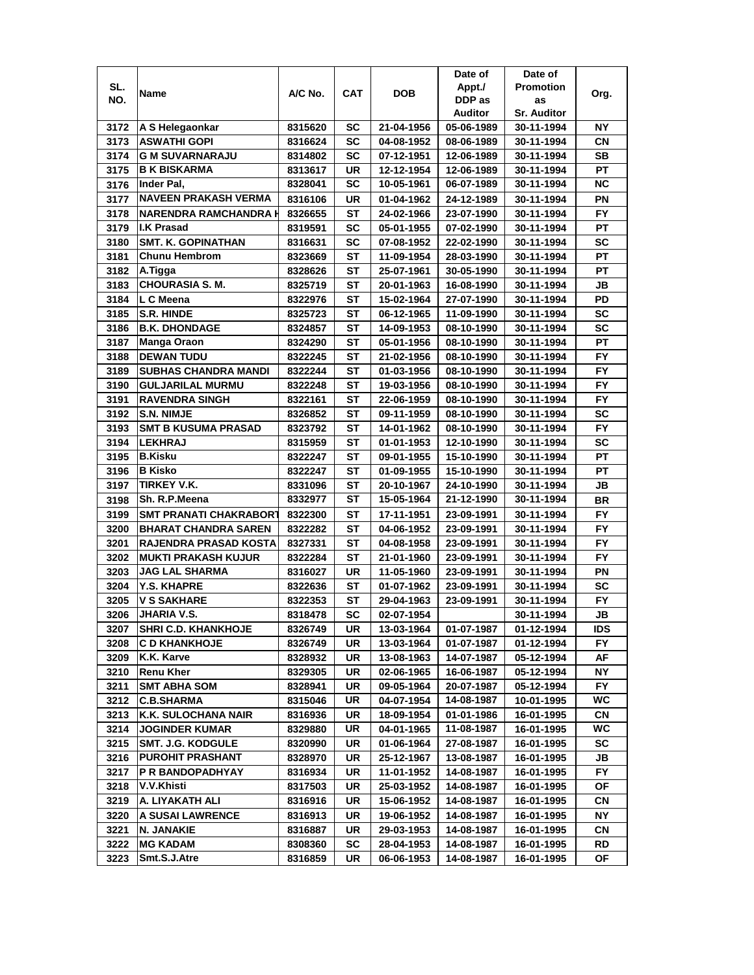|      |                                                    |         |            |                          | Date of    | Date of            |            |
|------|----------------------------------------------------|---------|------------|--------------------------|------------|--------------------|------------|
| SL.  | Name                                               | A/C No. | <b>CAT</b> | <b>DOB</b>               | Appt./     | <b>Promotion</b>   | Org.       |
| NO.  |                                                    |         |            |                          | DDP as     | as                 |            |
|      |                                                    |         |            |                          | Auditor    | <b>Sr. Auditor</b> |            |
| 3172 | A S Helegaonkar                                    | 8315620 | SC         | 21-04-1956               | 05-06-1989 | 30-11-1994         | ΝY         |
| 3173 | <b>ASWATHI GOPI</b>                                | 8316624 | SC         | 04-08-1952               | 08-06-1989 | 30-11-1994         | СN         |
| 3174 | <b>G M SUVARNARAJU</b>                             | 8314802 | SC         | 07-12-1951               | 12-06-1989 | 30-11-1994         | <b>SB</b>  |
| 3175 | <b>B K BISKARMA</b>                                | 8313617 | UR         | 12-12-1954               | 12-06-1989 | 30-11-1994         | PT         |
| 3176 | Inder Pal,                                         | 8328041 | SC         | 10-05-1961               | 06-07-1989 | 30-11-1994         | <b>NC</b>  |
| 3177 | <b>NAVEEN PRAKASH VERMA</b>                        | 8316106 | UR         | 01-04-1962               | 24-12-1989 | 30-11-1994         | ΡN         |
| 3178 | <b>NARENDRA RAMCHANDRA H</b>                       | 8326655 | SТ         | 24-02-1966               | 23-07-1990 | 30-11-1994         | FY.        |
| 3179 | <b>I.K Prasad</b>                                  | 8319591 | SC         | 05-01-1955               | 07-02-1990 | 30-11-1994         | PT         |
| 3180 | <b>SMT. K. GOPINATHAN</b>                          | 8316631 | SC         | 07-08-1952               | 22-02-1990 | 30-11-1994         | SC         |
| 3181 | <b>Chunu Hembrom</b>                               | 8323669 | ST         | 11-09-1954               | 28-03-1990 | 30-11-1994         | PT         |
| 3182 | A.Tigga                                            | 8328626 | <b>ST</b>  | 25-07-1961               | 30-05-1990 | 30-11-1994         | PT         |
| 3183 | <b>CHOURASIA S. M.</b>                             | 8325719 | <b>ST</b>  | 20-01-1963               | 16-08-1990 | 30-11-1994         | JВ         |
| 3184 | L C Meena                                          | 8322976 | ST         | 15-02-1964               | 27-07-1990 | 30-11-1994         | PD         |
| 3185 | <b>S.R. HINDE</b>                                  | 8325723 | ST         | 06-12-1965               | 11-09-1990 | 30-11-1994         | <b>SC</b>  |
| 3186 | <b>B.K. DHONDAGE</b>                               | 8324857 | SТ         | 14-09-1953               | 08-10-1990 | 30-11-1994         | SC         |
| 3187 | Manga Oraon                                        | 8324290 | SТ         | 05-01-1956               | 08-10-1990 | 30-11-1994         | РT         |
| 3188 | <b>DEWAN TUDU</b>                                  | 8322245 | ST         | 21-02-1956               | 08-10-1990 | 30-11-1994         | FY.        |
| 3189 | <b>SUBHAS CHANDRA MANDI</b>                        | 8322244 | ST         | 01-03-1956               | 08-10-1990 | 30-11-1994         | FY.        |
| 3190 | <b>GULJARILAL MURMU</b>                            | 8322248 | SТ         | 19-03-1956               | 08-10-1990 | 30-11-1994         | <b>FY</b>  |
| 3191 | <b>RAVENDRA SINGH</b>                              | 8322161 | SТ         | 22-06-1959               | 08-10-1990 | 30-11-1994         | <b>FY</b>  |
| 3192 | S.N. NIMJE                                         | 8326852 | ST         | 09-11-1959               | 08-10-1990 | 30-11-1994         | <b>SC</b>  |
| 3193 | <b>SMT B KUSUMA PRASAD</b>                         | 8323792 | ST         | 14-01-1962               | 08-10-1990 | 30-11-1994         | FY         |
| 3194 | <b>LEKHRAJ</b>                                     | 8315959 | SТ         | 01-01-1953               | 12-10-1990 | 30-11-1994         | <b>SC</b>  |
| 3195 | <b>B.Kisku</b>                                     | 8322247 | ST         | 09-01-1955               | 15-10-1990 | 30-11-1994         | PT         |
| 3196 | <b>B</b> Kisko                                     | 8322247 | ST         | 01-09-1955               | 15-10-1990 | 30-11-1994         | PT         |
| 3197 | <b>TIRKEY V.K.</b>                                 | 8331096 | ST         | 20-10-1967               | 24-10-1990 | 30-11-1994         | JB         |
| 3198 | Sh. R.P.Meena                                      | 8332977 | <b>ST</b>  | 15-05-1964               | 21-12-1990 | 30-11-1994         | <b>BR</b>  |
| 3199 | <b>SMT PRANATI CHAKRABORT</b>                      | 8322300 | <b>ST</b>  | 17-11-1951               | 23-09-1991 | 30-11-1994         | <b>FY</b>  |
| 3200 | <b>BHARAT CHANDRA SAREN</b>                        | 8322282 | ST         | 04-06-1952               | 23-09-1991 | 30-11-1994         | FY         |
| 3201 | RAJENDRA PRASAD KOSTA                              | 8327331 | ST         | 04-08-1958               | 23-09-1991 | 30-11-1994         | FY         |
| 3202 | <b>MUKTI PRAKASH KUJUR</b>                         | 8322284 | SТ         | 21-01-1960               | 23-09-1991 | 30-11-1994         | FY         |
| 3203 | <b>JAG LAL SHARMA</b>                              | 8316027 | UR         | 11-05-1960               | 23-09-1991 | 30-11-1994         | ΡN         |
| 3204 | <b>Y.S. KHAPRE</b>                                 |         | SТ         | 01-07-1962               |            |                    | SC         |
|      |                                                    | 8322636 |            |                          | 23-09-1991 | 30-11-1994         |            |
| 3205 | V S SAKHARE<br><b>JHARIA V.S.</b>                  | 8322353 | ST         | 29-04-1963               | 23-09-1991 | 30-11-1994         | FY         |
| 3206 |                                                    | 8318478 | <b>SC</b>  | 02-07-1954               |            | 30-11-1994         | JB         |
| 3207 | <b>SHRI C.D. KHANKHOJE</b><br><b>C D KHANKHOJE</b> | 8326749 | UR         | 13-03-1964<br>13-03-1964 | 01-07-1987 | 01-12-1994         | <b>IDS</b> |
| 3208 |                                                    | 8326749 | UR         |                          | 01-07-1987 | 01-12-1994         | FY.        |
| 3209 | K.K. Karve                                         | 8328932 | UR         | 13-08-1963               | 14-07-1987 | 05-12-1994         | AF         |
| 3210 | <b>Renu Kher</b>                                   | 8329305 | UR         | 02-06-1965               | 16-06-1987 | 05-12-1994         | NΥ         |
| 3211 | <b>SMT ABHA SOM</b>                                | 8328941 | UR         | 09-05-1964               | 20-07-1987 | 05-12-1994         | FY.        |
| 3212 | <b>C.B.SHARMA</b>                                  | 8315046 | UR         | 04-07-1954               | 14-08-1987 | 10-01-1995         | WC         |
| 3213 | K.K. SULOCHANA NAIR                                | 8316936 | UR         | 18-09-1954               | 01-01-1986 | 16-01-1995         | CN.        |
| 3214 | <b>JOGINDER KUMAR</b>                              | 8329880 | UR         | 04-01-1965               | 11-08-1987 | 16-01-1995         | WC         |
| 3215 | <b>SMT. J.G. KODGULE</b>                           | 8320990 | UR         | 01-06-1964               | 27-08-1987 | 16-01-1995         | SC         |
| 3216 | <b>PUROHIT PRASHANT</b>                            | 8328970 | UR         | 25-12-1967               | 13-08-1987 | 16-01-1995         | JB         |
| 3217 | P R BANDOPADHYAY                                   | 8316934 | UR         | 11-01-1952               | 14-08-1987 | 16-01-1995         | <b>FY</b>  |
| 3218 | V.V.Khisti                                         | 8317503 | UR         | 25-03-1952               | 14-08-1987 | 16-01-1995         | ΟF         |
| 3219 | A. LIYAKATH ALI                                    | 8316916 | UR         | 15-06-1952               | 14-08-1987 | 16-01-1995         | СN         |
| 3220 | A SUSAI LAWRENCE                                   | 8316913 | UR         | 19-06-1952               | 14-08-1987 | 16-01-1995         | NY         |
| 3221 | N. JANAKIE                                         | 8316887 | UR         | 29-03-1953               | 14-08-1987 | 16-01-1995         | СN         |
| 3222 | MG KADAM                                           | 8308360 | SC         | 28-04-1953               | 14-08-1987 | 16-01-1995         | RD         |
| 3223 | Smt.S.J.Atre                                       | 8316859 | UR         | 06-06-1953               | 14-08-1987 | 16-01-1995         | ОF         |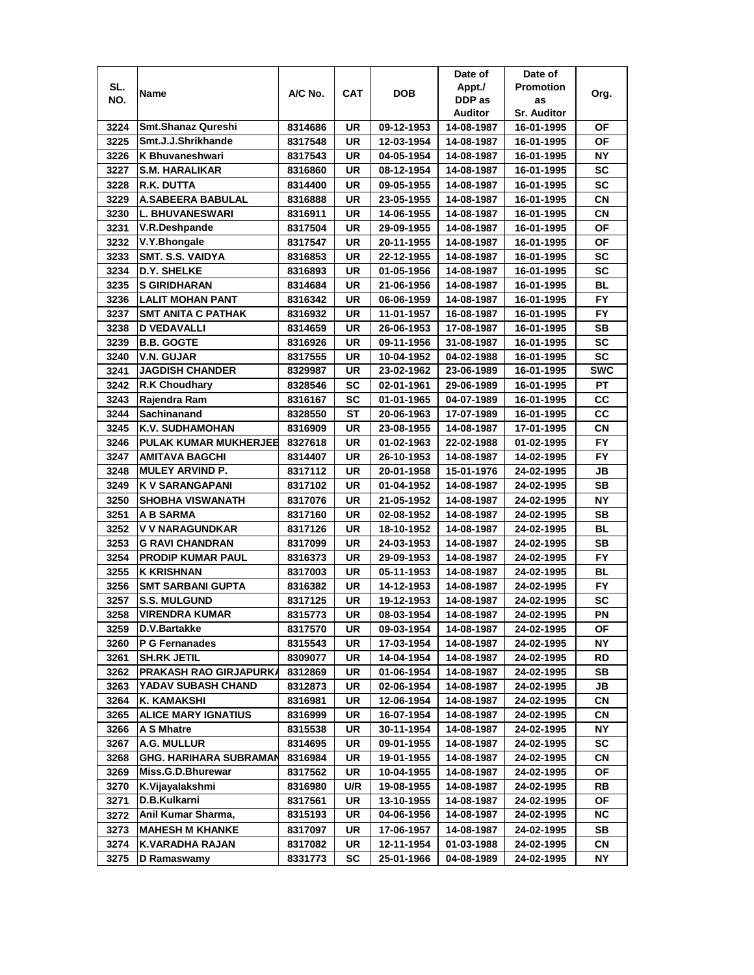|              |                                             |                    |          |                          | Date of                  | Date of                  |                 |
|--------------|---------------------------------------------|--------------------|----------|--------------------------|--------------------------|--------------------------|-----------------|
| SL.          |                                             | A/C No.            | CAT      | DOB                      | Appt./                   | <b>Promotion</b>         |                 |
| NO.          | Name                                        |                    |          |                          | DDP as                   | as                       | Org.            |
|              |                                             |                    |          |                          | Auditor                  | <b>Sr. Auditor</b>       |                 |
| 3224         | <b>Smt.Shanaz Qureshi</b>                   | 8314686            | UR       | 09-12-1953               | 14-08-1987               | 16-01-1995               | ΟF              |
| 3225         | Smt.J.J.Shrikhande                          | 8317548            | UR       | 12-03-1954               | 14-08-1987               | 16-01-1995               | ΟF              |
| 3226         | K Bhuvaneshwari                             | 8317543            | UR       | 04-05-1954               | 14-08-1987               | 16-01-1995               | NΥ              |
| 3227         | <b>S.M. HARALIKAR</b>                       | 8316860            | UR       | 08-12-1954               | 14-08-1987               | 16-01-1995               | SC              |
| 3228         | R.K. DUTTA                                  | 8314400            | UR       | 09-05-1955               | 14-08-1987               | 16-01-1995               | <b>SC</b>       |
| 3229         | A.SABEERA BABULAL                           | 8316888            | UR       | 23-05-1955               | 14-08-1987               | 16-01-1995               | СN              |
| 3230         | <b>L. BHUVANESWARI</b>                      | 8316911            | UR       | 14-06-1955               | 14-08-1987               | 16-01-1995               | CN              |
| 3231         | V.R.Deshpande                               | 8317504            | UR       | 29-09-1955               | 14-08-1987               | 16-01-1995               | ΟF              |
| 3232         | V.Y.Bhongale                                | 8317547            | UR       | 20-11-1955               | 14-08-1987               | 16-01-1995               | ΟF              |
| 3233         | SMT. S.S. VAIDYA                            | 8316853            | UR       | 22-12-1955               | 14-08-1987               | 16-01-1995               | SC              |
| 3234         | D.Y. SHELKE                                 | 8316893            | UR       | 01-05-1956               | 14-08-1987               | 16-01-1995               | <b>SC</b>       |
| 3235         | <b>S GIRIDHARAN</b>                         | 8314684            | UR       | 21-06-1956               | 14-08-1987               | 16-01-1995               | BL              |
| 3236         | <b>LALIT MOHAN PANT</b>                     | 8316342            | UR       | 06-06-1959               | 14-08-1987               | 16-01-1995               | <b>FY</b>       |
| 3237         | <b>SMT ANITA C PATHAK</b>                   | 8316932            | UR       | 11-01-1957               | 16-08-1987               | 16-01-1995               | <b>FY</b>       |
| 3238         | <b>D VEDAVALLI</b>                          | 8314659            | UR       | 26-06-1953               | 17-08-1987               | 16-01-1995               | SВ              |
| 3239         | <b>B.B. GOGTE</b>                           | 8316926            | UR       | 09-11-1956               | 31-08-1987               | 16-01-1995               | SC              |
| 3240         | <b>V.N. GUJAR</b>                           | 8317555            | UR       | 10-04-1952               | 04-02-1988               | 16-01-1995               | <b>SC</b>       |
| 3241         | <b>JAGDISH CHANDER</b>                      | 8329987            | UR       | 23-02-1962               | 23-06-1989               | 16-01-1995               | <b>SWC</b>      |
| 3242         | <b>R.K Choudhary</b>                        | 8328546            | SC       | 02-01-1961               | 29-06-1989               | 16-01-1995               | PT              |
| 3243         | Rajendra Ram                                | 8316167            | SC       | 01-01-1965               | 04-07-1989               | 16-01-1995               | CC              |
| 3244         | Sachinanand                                 | 8328550            | SТ       | 20-06-1963               | 17-07-1989               | 16-01-1995               | CC              |
| 3245         | K.V. SUDHAMOHAN                             | 8316909            | UR       | 23-08-1955               | 14-08-1987               | 17-01-1995               | <b>CN</b>       |
| 3246         | <b>PULAK KUMAR MUKHERJEE</b>                | 8327618            | UR       | 01-02-1963               | 22-02-1988               | 01-02-1995               | FY              |
| 3247         | AMITAVA BAGCHI                              | 8314407            | UR       | 26-10-1953               | 14-08-1987               | 14-02-1995               | FY              |
| 3248         | <b>MULEY ARVIND P.</b>                      |                    | UR       |                          |                          |                          | JB              |
|              |                                             | 8317112            |          | 20-01-1958               | 15-01-1976               | 24-02-1995               | <b>SB</b>       |
| 3249         | <b>K V SARANGAPANI</b>                      | 8317102            | UR       | 01-04-1952               | 14-08-1987               | 24-02-1995               |                 |
| 3250<br>3251 | <b>SHOBHA VISWANATH</b><br><b>A B SARMA</b> | 8317076            | UR<br>UR | 21-05-1952<br>02-08-1952 | 14-08-1987               | 24-02-1995               | ΝY<br><b>SB</b> |
| 3252         | V V NARAGUNDKAR                             | 8317160<br>8317126 | UR       | 18-10-1952               | 14-08-1987<br>14-08-1987 | 24-02-1995<br>24-02-1995 | <b>BL</b>       |
| 3253         | <b>G RAVI CHANDRAN</b>                      |                    | UR       | 24-03-1953               | 14-08-1987               | 24-02-1995               | <b>SB</b>       |
|              | <b>PRODIP KUMAR PAUL</b>                    | 8317099            |          |                          |                          | 24-02-1995               |                 |
| 3254         |                                             | 8316373            | UR       | 29-09-1953               | 14-08-1987               |                          | FY              |
| 3255         | <b>K KRISHNAN</b>                           | 8317003            | UR       | 05-11-1953               | 14-08-1987               | 24-02-1995               | BL              |
| 3256         | <b>SMT SARBANI GUPTA</b>                    | 8316382            | UR       | 14-12-1953               | 14-08-1987               | 24-02-1995               | FY.             |
| 3257         | <b>S.S. MULGUND</b>                         | 8317125            | UR       | 19-12-1953               | 14-08-1987               | 24-02-1995               | <b>SC</b>       |
| 3258         | <b>VIRENDRA KUMAR</b>                       | 8315773            | UR       | 08-03-1954               | 14-08-1987               | 24-02-1995               | PN              |
| 3259         | D.V.Bartakke                                | 8317570            | UR       | 09-03-1954               | 14-08-1987               | 24-02-1995               | ΟF              |
| 3260         | P G Fernanades                              | 8315543            | UR       | 17-03-1954               | 14-08-1987               | 24-02-1995               | NΥ              |
| 3261         | <b>SH.RK JETIL</b>                          | 8309077            | UR       | 14-04-1954               | 14-08-1987               | 24-02-1995               | RD              |
| 3262         | PRAKASH RAO GIRJAPURKA                      | 8312869            | UR       | 01-06-1954               | 14-08-1987               | 24-02-1995               | SB              |
| 3263         | YADAV SUBASH CHAND                          | 8312873            | UR       | 02-06-1954               | 14-08-1987               | 24-02-1995               | JB              |
| 3264         | <b>K. KAMAKSHI</b>                          | 8316981            | UR       | 12-06-1954               | 14-08-1987               | 24-02-1995               | CN              |
| 3265         | <b>ALICE MARY IGNATIUS</b>                  | 8316999            | UR       | 16-07-1954               | 14-08-1987               | 24-02-1995               | CN              |
| 3266         | <b>A S Mhatre</b>                           | 8315538            | UR       | 30-11-1954               | 14-08-1987               | 24-02-1995               | NΥ              |
| 3267         | A.G. MULLUR                                 | 8314695            | UR       | 09-01-1955               | 14-08-1987               | 24-02-1995               | SC              |
| 3268         | <b>GHG. HARIHARA SUBRAMAN</b>               | 8316984            | UR       | 19-01-1955               | 14-08-1987               | 24-02-1995               | CN              |
| 3269         | Miss.G.D.Bhurewar                           | 8317562            | UR       | 10-04-1955               | 14-08-1987               | 24-02-1995               | OF              |
| 3270         | K.Vijayalakshmi                             | 8316980            | U/R      | 19-08-1955               | 14-08-1987               | 24-02-1995               | RB              |
| 3271         | D.B.Kulkarni                                | 8317561            | UR       | 13-10-1955               | 14-08-1987               | 24-02-1995               | ОF              |
| 3272         | Anil Kumar Sharma,                          | 8315193            | UR       | 04-06-1956               | 14-08-1987               | 24-02-1995               | NC.             |
| 3273         | <b>MAHESH M KHANKE</b>                      | 8317097            | UR       | 17-06-1957               | 14-08-1987               | 24-02-1995               | SB              |
| 3274         | K.VARADHA RAJAN                             | 8317082            | UR       | 12-11-1954               | 01-03-1988               | 24-02-1995               | CN              |
| 3275         | D Ramaswamy                                 | 8331773            | SC       | 25-01-1966               | 04-08-1989               | 24-02-1995               | NΥ              |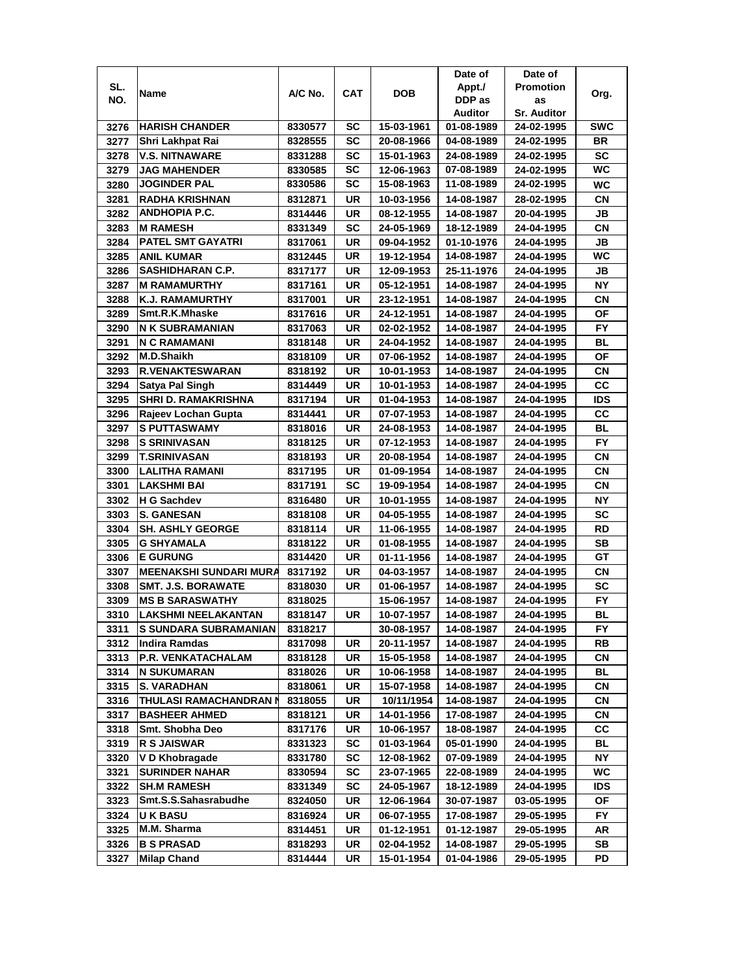|      |                                                |                    |           |            | Date of    | Date of                  |            |
|------|------------------------------------------------|--------------------|-----------|------------|------------|--------------------------|------------|
| SL.  |                                                | A/C No.            | CAT       | <b>DOB</b> | Appt./     | <b>Promotion</b>         |            |
| NO.  | Name                                           |                    |           |            | DDP as     | as                       | Org.       |
|      |                                                |                    |           |            | Auditor    | <b>Sr. Auditor</b>       |            |
| 3276 | <b>HARISH CHANDER</b>                          | 8330577            | SC        | 15-03-1961 | 01-08-1989 | 24-02-1995               | <b>SWC</b> |
| 3277 | Shri Lakhpat Rai                               | 8328555            | SC        | 20-08-1966 | 04-08-1989 | 24-02-1995               | BR         |
| 3278 | <b>V.S. NITNAWARE</b>                          | 8331288            | SC        | 15-01-1963 | 24-08-1989 | 24-02-1995               | <b>SC</b>  |
| 3279 | <b>JAG MAHENDER</b>                            | 8330585            | SC        | 12-06-1963 | 07-08-1989 | 24-02-1995               | <b>WC</b>  |
| 3280 | <b>JOGINDER PAL</b>                            | 8330586            | <b>SC</b> | 15-08-1963 | 11-08-1989 | 24-02-1995               | <b>WC</b>  |
| 3281 | <b>RADHA KRISHNAN</b>                          | 8312871            | UR        | 10-03-1956 | 14-08-1987 | 28-02-1995               | CN         |
| 3282 | <b>ANDHOPIA P.C.</b>                           | 8314446            | UR        | 08-12-1955 | 14-08-1987 | 20-04-1995               | JB         |
| 3283 | <b>M RAMESH</b>                                | 8331349            | SC        | 24-05-1969 | 18-12-1989 | 24-04-1995               | СN         |
| 3284 | <b>PATEL SMT GAYATRI</b>                       | 8317061            | UR        | 09-04-1952 | 01-10-1976 | 24-04-1995               | JB         |
| 3285 | <b>ANIL KUMAR</b>                              | 8312445            | UR        | 19-12-1954 | 14-08-1987 | 24-04-1995               | <b>WC</b>  |
| 3286 | SASHIDHARAN C.P.                               | 8317177            | UR        | 12-09-1953 | 25-11-1976 | 24-04-1995               | JB         |
| 3287 | <b>M RAMAMURTHY</b>                            | 8317161            | UR        | 05-12-1951 | 14-08-1987 | 24-04-1995               | <b>NY</b>  |
| 3288 | K.J. RAMAMURTHY                                | 8317001            | UR        | 23-12-1951 | 14-08-1987 | 24-04-1995               | <b>CN</b>  |
| 3289 | Smt.R.K.Mhaske                                 | 8317616            | UR        | 24-12-1951 | 14-08-1987 | 24-04-1995               | <b>OF</b>  |
| 3290 | N K SUBRAMANIAN                                | 8317063            | UR        | 02-02-1952 | 14-08-1987 | 24-04-1995               | <b>FY</b>  |
| 3291 | <b>N C RAMAMANI</b>                            | 8318148            | UR        | 24-04-1952 | 14-08-1987 | 24-04-1995               | BL         |
| 3292 | M.D.Shaikh                                     | 8318109            | UR        | 07-06-1952 | 14-08-1987 | 24-04-1995               | OF         |
| 3293 | <b>R.VENAKTESWARAN</b>                         | 8318192            | UR        | 10-01-1953 | 14-08-1987 | 24-04-1995               | СN         |
| 3294 | Satya Pal Singh                                | 8314449            | UR        | 10-01-1953 | 14-08-1987 | 24-04-1995               | CС         |
| 3295 | <b>SHRI D. RAMAKRISHNA</b>                     | 8317194            | UR        | 01-04-1953 | 14-08-1987 | 24-04-1995               | <b>IDS</b> |
| 3296 | Rajeev Lochan Gupta                            | 8314441            | UR        | 07-07-1953 | 14-08-1987 | 24-04-1995               | CC         |
| 3297 | <b>S PUTTASWAMY</b>                            | 8318016            | UR        | 24-08-1953 | 14-08-1987 | 24-04-1995               | <b>BL</b>  |
| 3298 | <b>S SRINIVASAN</b>                            | 8318125            | UR        | 07-12-1953 | 14-08-1987 | 24-04-1995               | <b>FY</b>  |
| 3299 | <b>T.SRINIVASAN</b>                            | 8318193            | UR        | 20-08-1954 | 14-08-1987 | 24-04-1995               | CN         |
| 3300 | LALITHA RAMANI                                 | 8317195            | UR        | 01-09-1954 | 14-08-1987 | 24-04-1995               | СN         |
| 3301 | <b>LAKSHMI BAI</b>                             | 8317191            | SC        | 19-09-1954 | 14-08-1987 | 24-04-1995               | СN         |
| 3302 | H G Sachdev                                    | 8316480            | UR        | 10-01-1955 | 14-08-1987 | 24-04-1995               | <b>NY</b>  |
| 3303 | <b>S. GANESAN</b>                              | 8318108            | <b>UR</b> | 04-05-1955 | 14-08-1987 | 24-04-1995               | <b>SC</b>  |
| 3304 | <b>SH. ASHLY GEORGE</b>                        | 8318114            | <b>UR</b> | 11-06-1955 | 14-08-1987 | 24-04-1995               | <b>RD</b>  |
| 3305 | <b>G SHYAMALA</b>                              | 8318122            | UR        | 01-08-1955 | 14-08-1987 | 24-04-1995               | <b>SB</b>  |
| 3306 | <b>E GURUNG</b>                                | 8314420            | UR        | 01-11-1956 | 14-08-1987 | 24-04-1995               | GТ         |
| 3307 | <b>MEENAKSHI SUNDARI MURA</b>                  | 8317192            | <b>UR</b> | 04-03-1957 | 14-08-1987 | 24-04-1995               | CN         |
| 3308 | <b>SMT. J.S. BORAWATE</b>                      | 8318030            | UR        | 01-06-1957 | 14-08-1987 | 24-04-1995               | SC         |
| 3309 | <b>MS B SARASWATHY</b>                         | 8318025            |           | 15-06-1957 | 14-08-1987 | 24-04-1995               | <b>FY</b>  |
| 3310 | <b>LAKSHMI NEELAKANTAN</b>                     | 8318147            | UR        | 10-07-1957 | 14-08-1987 | 24-04-1995               | BL         |
| 3311 | <b>S SUNDARA SUBRAMANIAN</b>                   | 8318217            |           | 30-08-1957 | 14-08-1987 | 24-04-1995               | FY.        |
| 3312 | Indira Ramdas                                  | 8317098            | UR        | 20-11-1957 | 14-08-1987 | 24-04-1995               | RB         |
| 3313 | P.R. VENKATACHALAM                             | 8318128            | UR        | 15-05-1958 | 14-08-1987 | 24-04-1995               | CN         |
| 3314 | <b>N SUKUMARAN</b>                             |                    |           |            |            |                          | BL         |
| 3315 | <b>S. VARADHAN</b>                             | 8318026<br>8318061 | UR<br>UR  | 10-06-1958 | 14-08-1987 | 24-04-1995<br>24-04-1995 | СN         |
|      |                                                |                    |           | 15-07-1958 | 14-08-1987 |                          |            |
| 3316 | THULASI RAMACHANDRAN I<br><b>BASHEER AHMED</b> | 8318055            | UR        | 10/11/1954 | 14-08-1987 | 24-04-1995               | СN         |
| 3317 |                                                | 8318121            | UR        | 14-01-1956 | 17-08-1987 | 24-04-1995               | СN         |
| 3318 | Smt. Shobha Deo                                | 8317176            | UR        | 10-06-1957 | 18-08-1987 | 24-04-1995               | CС         |
| 3319 | <b>R S JAISWAR</b>                             | 8331323            | SC        | 01-03-1964 | 05-01-1990 | 24-04-1995               | BL         |
| 3320 | V D Khobragade                                 | 8331780            | SC        | 12-08-1962 | 07-09-1989 | 24-04-1995               | <b>NY</b>  |
| 3321 | <b>SURINDER NAHAR</b>                          | 8330594            | SC        | 23-07-1965 | 22-08-1989 | 24-04-1995               | <b>WC</b>  |
| 3322 | <b>SH.M RAMESH</b>                             | 8331349            | SC        | 24-05-1967 | 18-12-1989 | 24-04-1995               | <b>IDS</b> |
| 3323 | Smt.S.S.Sahasrabudhe                           | 8324050            | UR        | 12-06-1964 | 30-07-1987 | 03-05-1995               | ΟF         |
| 3324 | <b>UK BASU</b>                                 | 8316924            | UR        | 06-07-1955 | 17-08-1987 | 29-05-1995               | FY.        |
| 3325 | M.M. Sharma                                    | 8314451            | UR        | 01-12-1951 | 01-12-1987 | 29-05-1995               | AR         |
| 3326 | <b>B S PRASAD</b>                              | 8318293            | UR        | 02-04-1952 | 14-08-1987 | 29-05-1995               | SB         |
| 3327 | <b>Milap Chand</b>                             | 8314444            | UR        | 15-01-1954 | 01-04-1986 | 29-05-1995               | PD         |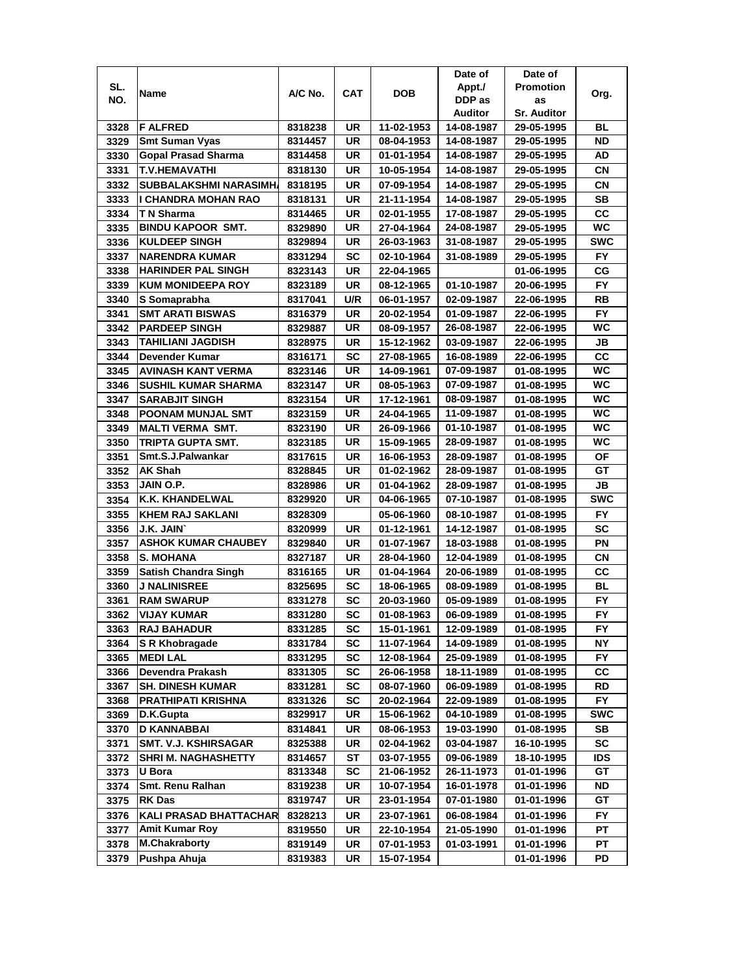|              |                                                      |                    |            |                          | Date of                  | Date of                  |            |
|--------------|------------------------------------------------------|--------------------|------------|--------------------------|--------------------------|--------------------------|------------|
| SL.          |                                                      |                    |            |                          | Appt./                   | <b>Promotion</b>         |            |
| NO.          | Name                                                 | A/C No.            | <b>CAT</b> | <b>DOB</b>               | DDP as                   | as                       | Org.       |
|              |                                                      |                    |            |                          | Auditor                  | <b>Sr. Auditor</b>       |            |
| 3328         | <b>F ALFRED</b>                                      | 8318238            | UR         | 11-02-1953               | 14-08-1987               | 29-05-1995               | BL         |
| 3329         | <b>Smt Suman Vyas</b>                                | 8314457            | UR         | 08-04-1953               | 14-08-1987               | 29-05-1995               | ND         |
| 3330         | <b>Gopal Prasad Sharma</b>                           | 8314458            | UR         | 01-01-1954               | 14-08-1987               | 29-05-1995               | AD         |
| 3331         | <b>T.V.HEMAVATHI</b>                                 | 8318130            | UR         | 10-05-1954               | 14-08-1987               | 29-05-1995               | СN         |
| 3332         | SUBBALAKSHMI NARASIMH.                               | 8318195            | UR         | 07-09-1954               | 14-08-1987               | 29-05-1995               | <b>CN</b>  |
| 3333         | I CHANDRA MOHAN RAO                                  | 8318131            | UR         | 21-11-1954               | 14-08-1987               | 29-05-1995               | SВ         |
| 3334         | T N Sharma                                           | 8314465            | UR         | 02-01-1955               | 17-08-1987               | 29-05-1995               | CC         |
| 3335         | <b>BINDU KAPOOR SMT.</b>                             | 8329890            | UR         | 27-04-1964               | 24-08-1987               | 29-05-1995               | <b>WC</b>  |
| 3336         | <b>KULDEEP SINGH</b>                                 | 8329894            | UR         | 26-03-1963               | 31-08-1987               | 29-05-1995               | <b>SWC</b> |
| 3337         | NARENDRA KUMAR                                       | 8331294            | SC         | 02-10-1964               | 31-08-1989               | 29-05-1995               | FY.        |
| 3338         | <b>HARINDER PAL SINGH</b>                            | 8323143            | UR         | 22-04-1965               |                          | 01-06-1995               | CG         |
| 3339         | <b>KUM MONIDEEPA ROY</b>                             | 8323189            | UR         | 08-12-1965               | 01-10-1987               | 20-06-1995               | <b>FY</b>  |
| 3340         | S Somaprabha                                         | 8317041            | U/R        | 06-01-1957               | 02-09-1987               | 22-06-1995               | <b>RB</b>  |
| 3341         | <b>SMT ARATI BISWAS</b>                              | 8316379            | UR         | 20-02-1954               | 01-09-1987               | 22-06-1995               | <b>FY</b>  |
| 3342         | <b>PARDEEP SINGH</b>                                 | 8329887            | UR         | 08-09-1957               | 26-08-1987               | 22-06-1995               | WС         |
| 3343         | TAHILIANI JAGDISH                                    | 8328975            | UR         | 15-12-1962               | 03-09-1987               | 22-06-1995               | JB         |
| 3344         | <b>Devender Kumar</b>                                | 8316171            | SC         | 27-08-1965               | 16-08-1989               | 22-06-1995               | CC         |
| 3345         | AVINASH KANT VERMA                                   | 8323146            | UR         | 14-09-1961               | 07-09-1987               | 01-08-1995               | WC         |
| 3346         | <b>SUSHIL KUMAR SHARMA</b>                           | 8323147            | UR         | 08-05-1963               | 07-09-1987               | 01-08-1995               | WC.        |
| 3347         | <b>SARABJIT SINGH</b>                                |                    | <b>UR</b>  |                          | 08-09-1987               | 01-08-1995               | WC         |
|              |                                                      | 8323154            | UR         | 17-12-1961               | 11-09-1987               |                          | WC         |
| 3348         | POONAM MUNJAL SMT                                    | 8323159            | <b>UR</b>  | 24-04-1965               | 01-10-1987               | 01-08-1995               | WC         |
| 3349         | <b>MALTI VERMA SMT.</b>                              | 8323190            | UR         | 26-09-1966               | 28-09-1987               | 01-08-1995               | WC         |
| 3350         | TRIPTA GUPTA SMT.<br>Smt.S.J.Palwankar               | 8323185            |            | 15-09-1965               |                          | 01-08-1995               | ΟF         |
| 3351         | <b>AK Shah</b>                                       | 8317615            | UR<br>UR   | 16-06-1953               | 28-09-1987               | 01-08-1995               | GТ         |
| 3352         | JAIN O.P.                                            | 8328845            |            | 01-02-1962               | 28-09-1987               | 01-08-1995               | JB         |
| 3353<br>3354 | K.K. KHANDELWAL                                      | 8328986<br>8329920 | UR<br>UR   | 01-04-1962<br>04-06-1965 | 28-09-1987<br>07-10-1987 | 01-08-1995<br>01-08-1995 | <b>SWC</b> |
| 3355         | <b>KHEM RAJ SAKLANI</b>                              | 8328309            |            | 05-06-1960               | 08-10-1987               | 01-08-1995               | <b>FY</b>  |
| 3356         | J.K. JAIN'                                           | 8320999            | UR         | 01-12-1961               | 14-12-1987               | 01-08-1995               | SC         |
| 3357         | <b>ASHOK KUMAR CHAUBEY</b>                           | 8329840            | UR         | 01-07-1967               | 18-03-1988               | 01-08-1995               | PN         |
| 3358         | <b>S. MOHANA</b>                                     | 8327187            | UR         | 28-04-1960               | 12-04-1989               | 01-08-1995               | CN         |
| 3359         | <b>Satish Chandra Singh</b>                          | 8316165            | UR         | 01-04-1964               | 20-06-1989               | 01-08-1995               | cc         |
| 3360         | <b>J NALINISREE</b>                                  | 8325695            | SC         | 18-06-1965               | 08-09-1989               | 01-08-1995               | BL         |
| 3361         | <b>RAM SWARUP</b>                                    |                    | SC         | 20-03-1960               | 05-09-1989               | 01-08-1995               | <b>FY</b>  |
| 3362         | <b>VIJAY KUMAR</b>                                   | 8331278            |            |                          |                          |                          | FY         |
|              | <b>RAJ BAHADUR</b>                                   | 8331280            | SC<br>SC   | 01-08-1963               | 06-09-1989               | 01-08-1995<br>01-08-1995 | FY         |
| 3363         |                                                      | 8331285            |            | 15-01-1961               | 12-09-1989               |                          | ΝY         |
| 3364         | S R Khobragade<br><b>MEDILAL</b>                     | 8331784            | SC<br>SC   | 11-07-1964<br>12-08-1964 | 14-09-1989               | 01-08-1995               | FY         |
| 3365<br>3366 |                                                      | 8331295            | SC         | 26-06-1958               | 25-09-1989               | 01-08-1995               | СC         |
|              | Devendra Prakash                                     | 8331305            | <b>SC</b>  |                          | 18-11-1989               | 01-08-1995               | RD         |
| 3367<br>3368 | <b>SH. DINESH KUMAR</b><br><b>PRATHIPATI KRISHNA</b> | 8331281            | <b>SC</b>  | 08-07-1960<br>20-02-1964 | 06-09-1989<br>22-09-1989 | 01-08-1995               | FY.        |
| 3369         | D.K.Gupta                                            | 8331326<br>8329917 | UR         | 15-06-1962               | 04-10-1989               | 01-08-1995<br>01-08-1995 | <b>SWC</b> |
| 3370         | D KANNABBAI                                          | 8314841            | UR         | 08-06-1953               | 19-03-1990               | 01-08-1995               | SB         |
|              | <b>SMT. V.J. KSHIRSAGAR</b>                          | 8325388            | UR         |                          | 03-04-1987               |                          | SC         |
| 3371<br>3372 | <b>SHRI M. NAGHASHETTY</b>                           | 8314657            | ST         | 02-04-1962<br>03-07-1955 | 09-06-1989               | 16-10-1995<br>18-10-1995 | <b>IDS</b> |
|              |                                                      |                    | <b>SC</b>  |                          |                          |                          | GT         |
| 3373         | U Bora<br>Smt. Renu Ralhan                           | 8313348            |            | 21-06-1952               | 26-11-1973               | 01-01-1996               | ND         |
| 3374         |                                                      | 8319238            | UR<br>UR   | 10-07-1954               | 16-01-1978               | 01-01-1996               |            |
| 3375         | <b>RK Das</b>                                        | 8319747            |            | 23-01-1954               | 07-01-1980               | 01-01-1996               | GТ         |
| 3376         | <b>KALI PRASAD BHATTACHAR</b>                        | 8328213            | UR         | 23-07-1961               | 06-08-1984               | 01-01-1996               | FY.        |
| 3377         | <b>Amit Kumar Roy</b>                                | 8319550            | UR         | 22-10-1954               | 21-05-1990               | 01-01-1996               | PТ         |
| 3378         | <b>M.Chakraborty</b>                                 | 8319149            | UR         | 07-01-1953               | 01-03-1991               | 01-01-1996               | PТ         |
| 3379         | Pushpa Ahuja                                         | 8319383            | UR         | 15-07-1954               |                          | 01-01-1996               | PD         |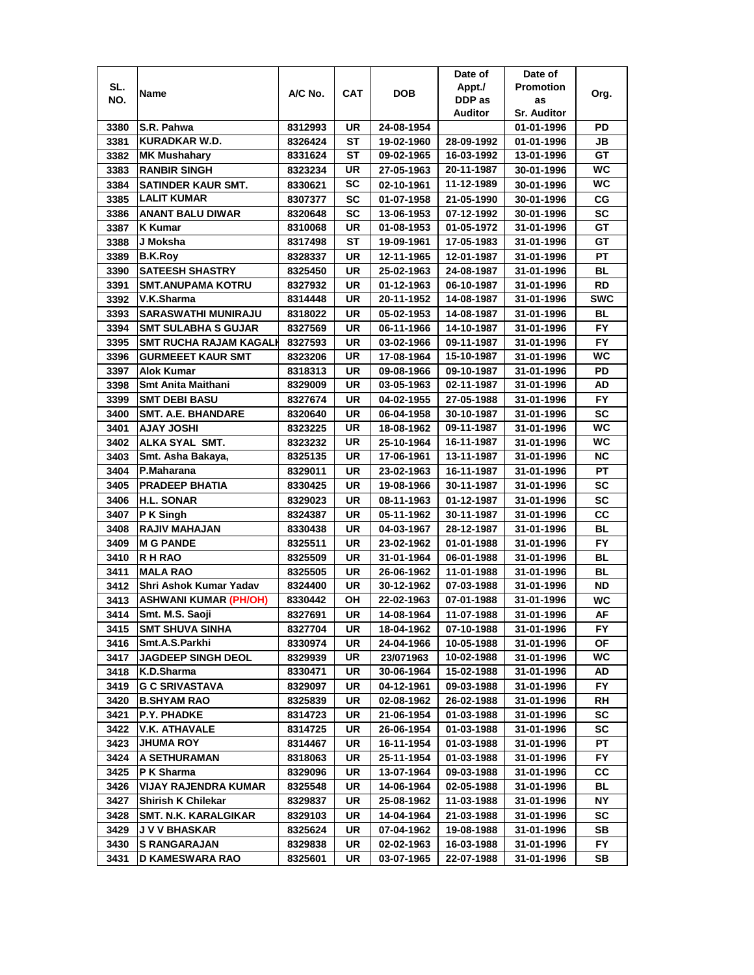|      |                             |         |           |            | Date of    | Date of            |            |
|------|-----------------------------|---------|-----------|------------|------------|--------------------|------------|
| SL.  | Name                        | A/C No. | CAT       | <b>DOB</b> | Appt./     | <b>Promotion</b>   | Org.       |
| NO.  |                             |         |           |            | DDP as     | as                 |            |
|      |                             |         |           |            | Auditor    | <b>Sr. Auditor</b> |            |
| 3380 | S.R. Pahwa                  | 8312993 | UR        | 24-08-1954 |            | 01-01-1996         | PD         |
| 3381 | KURADKAR W.D.               | 8326424 | ST        | 19-02-1960 | 28-09-1992 | 01-01-1996         | JB         |
| 3382 | <b>MK Mushahary</b>         | 8331624 | ST        | 09-02-1965 | 16-03-1992 | 13-01-1996         | GT         |
| 3383 | <b>RANBIR SINGH</b>         | 8323234 | UR        | 27-05-1963 | 20-11-1987 | 30-01-1996         | <b>WC</b>  |
| 3384 | SATINDER KAUR SMT.          | 8330621 | SC        | 02-10-1961 | 11-12-1989 | 30-01-1996         | <b>WC</b>  |
| 3385 | <b>LALIT KUMAR</b>          | 8307377 | SC        | 01-07-1958 | 21-05-1990 | 30-01-1996         | СG         |
| 3386 | <b>ANANT BALU DIWAR</b>     | 8320648 | SC        | 13-06-1953 | 07-12-1992 | 30-01-1996         | SC         |
| 3387 | K Kumar                     | 8310068 | UR        | 01-08-1953 | 01-05-1972 | 31-01-1996         | GT         |
| 3388 | J Moksha                    | 8317498 | ST        | 19-09-1961 | 17-05-1983 | 31-01-1996         | GТ         |
| 3389 | <b>B.K.Roy</b>              | 8328337 | UR        | 12-11-1965 | 12-01-1987 | 31-01-1996         | PT         |
| 3390 | <b>SATEESH SHASTRY</b>      | 8325450 | UR        | 25-02-1963 | 24-08-1987 | 31-01-1996         | BL         |
| 3391 | <b>SMT.ANUPAMA KOTRU</b>    | 8327932 | UR        | 01-12-1963 | 06-10-1987 | 31-01-1996         | <b>RD</b>  |
| 3392 | V.K.Sharma                  | 8314448 | UR        | 20-11-1952 | 14-08-1987 | 31-01-1996         | <b>SWC</b> |
| 3393 | <b>SARASWATHI MUNIRAJU</b>  | 8318022 | UR        | 05-02-1953 | 14-08-1987 | 31-01-1996         | BL         |
| 3394 | <b>SMT SULABHA S GUJAR</b>  | 8327569 | UR        | 06-11-1966 | 14-10-1987 | 31-01-1996         | FY.        |
| 3395 | SMT RUCHA RAJAM KAGALI      | 8327593 | UR.       | 03-02-1966 | 09-11-1987 | 31-01-1996         | <b>FY</b>  |
| 3396 | <b>GURMEEET KAUR SMT</b>    | 8323206 | UR        | 17-08-1964 | 15-10-1987 | 31-01-1996         | wс         |
| 3397 | Alok Kumar                  | 8318313 | UR        | 09-08-1966 | 09-10-1987 | 31-01-1996         | PD         |
| 3398 | <b>Smt Anita Maithani</b>   | 8329009 | UR        | 03-05-1963 | 02-11-1987 | 31-01-1996         | AD         |
| 3399 | <b>SMT DEBI BASU</b>        | 8327674 | UR        | 04-02-1955 | 27-05-1988 | 31-01-1996         | FY.        |
| 3400 | <b>SMT. A.E. BHANDARE</b>   | 8320640 | UR        | 06-04-1958 | 30-10-1987 | 31-01-1996         | <b>SC</b>  |
| 3401 | <b>HISOL YALA</b>           | 8323225 | UR        | 18-08-1962 | 09-11-1987 | 31-01-1996         | <b>WC</b>  |
| 3402 | ALKA SYAL SMT.              | 8323232 | UR        | 25-10-1964 | 16-11-1987 | 31-01-1996         | WC         |
| 3403 | Smt. Asha Bakaya,           | 8325135 | UR        | 17-06-1961 | 13-11-1987 | 31-01-1996         | <b>NC</b>  |
| 3404 | P.Maharana                  | 8329011 | UR        | 23-02-1963 | 16-11-1987 | 31-01-1996         | PT         |
| 3405 | <b>PRADEEP BHATIA</b>       | 8330425 | UR        | 19-08-1966 | 30-11-1987 | 31-01-1996         | SC         |
| 3406 | <b>H.L. SONAR</b>           | 8329023 | <b>UR</b> | 08-11-1963 | 01-12-1987 | 31-01-1996         | <b>SC</b>  |
| 3407 | P K Singh                   | 8324387 | UR        | 05-11-1962 | 30-11-1987 | 31-01-1996         | cc         |
| 3408 | <b>RAJIV MAHAJAN</b>        | 8330438 | UR        | 04-03-1967 | 28-12-1987 | 31-01-1996         | <b>BL</b>  |
| 3409 | <b>M G PANDE</b>            | 8325511 | UR        | 23-02-1962 | 01-01-1988 | 31-01-1996         | FY         |
| 3410 | <b>RH RAO</b>               | 8325509 | UR        | 31-01-1964 | 06-01-1988 | 31-01-1996         | BL         |
| 3411 | <b>MALA RAO</b>             | 8325505 | UR        | 26-06-1962 | 11-01-1988 | 31-01-1996         | BL         |
| 3412 | Shri Ashok Kumar Yadav      | 8324400 | UR        | 30-12-1962 | 07-03-1988 | 31-01-1996         | ND         |
| 3413 | ASHWANI KUMAR (PH/OH)       | 8330442 | OН        | 22-02-1963 | 07-01-1988 | 31-01-1996         | WC         |
| 3414 | Smt. M.S. Saoji             | 8327691 | UR        | 14-08-1964 | 11-07-1988 | 31-01-1996         | AF         |
| 3415 | <b>SMT SHUVA SINHA</b>      | 8327704 | UR        | 18-04-1962 | 07-10-1988 | 31-01-1996         | FY.        |
| 3416 | Smt.A.S.Parkhi              | 8330974 | UR        | 24-04-1966 | 10-05-1988 | 31-01-1996         | ΟF         |
| 3417 | <b>JAGDEEP SINGH DEOL</b>   | 8329939 | UR        | 23/071963  | 10-02-1988 | 31-01-1996         | WC.        |
| 3418 | K.D.Sharma                  | 8330471 | UR        | 30-06-1964 | 15-02-1988 | 31-01-1996         | AD         |
| 3419 | <b>G C SRIVASTAVA</b>       | 8329097 | UR        | 04-12-1961 | 09-03-1988 | 31-01-1996         | FY.        |
| 3420 | <b>B.SHYAM RAO</b>          | 8325839 | UR        | 02-08-1962 | 26-02-1988 | 31-01-1996         | RH         |
| 3421 | P.Y. PHADKE                 | 8314723 | UR        | 21-06-1954 | 01-03-1988 | 31-01-1996         | SC         |
| 3422 | <b>V.K. ATHAVALE</b>        | 8314725 | UR        | 26-06-1954 | 01-03-1988 | 31-01-1996         | SC         |
| 3423 | <b>JHUMA ROY</b>            | 8314467 | UR        | 16-11-1954 | 01-03-1988 | 31-01-1996         | РT         |
| 3424 | A SETHURAMAN                | 8318063 | UR        | 25-11-1954 | 01-03-1988 | 31-01-1996         | FY.        |
| 3425 | P K Sharma                  | 8329096 | UR        | 13-07-1964 | 09-03-1988 | 31-01-1996         | СC         |
| 3426 | <b>VIJAY RAJENDRA KUMAR</b> | 8325548 | UR        | 14-06-1964 | 02-05-1988 | 31-01-1996         | BL         |
| 3427 | <b>Shirish K Chilekar</b>   | 8329837 | UR        | 25-08-1962 | 11-03-1988 | 31-01-1996         | NΥ         |
| 3428 | SMT. N.K. KARALGIKAR        | 8329103 | UR        | 14-04-1964 | 21-03-1988 | 31-01-1996         | sc         |
| 3429 | <b>JVV BHASKAR</b>          | 8325624 | UR        | 07-04-1962 | 19-08-1988 | 31-01-1996         | SB         |
| 3430 | <b>S RANGARAJAN</b>         | 8329838 | UR        | 02-02-1963 | 16-03-1988 | 31-01-1996         | FY.        |
| 3431 | D KAMESWARA RAO             | 8325601 | UR        | 03-07-1965 | 22-07-1988 | 31-01-1996         | SВ         |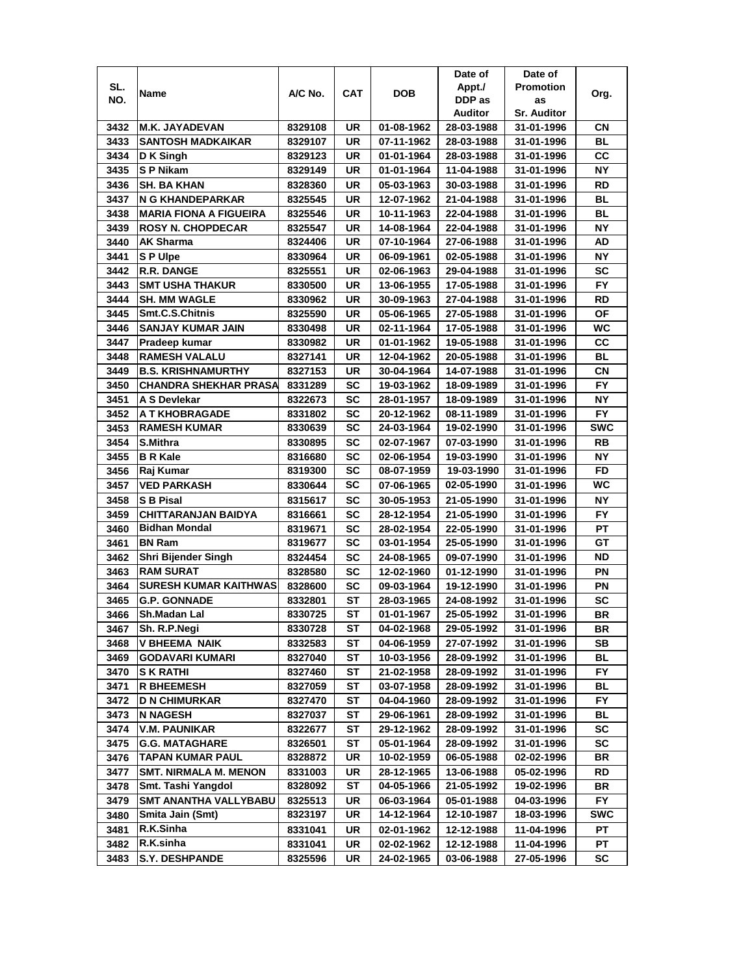|      |                               |         |           |            | Date of    | Date of            |            |
|------|-------------------------------|---------|-----------|------------|------------|--------------------|------------|
| SL.  | Name                          | A/C No. | CAT       | DOB        | Appt./     | <b>Promotion</b>   | Org.       |
| NO.  |                               |         |           |            | DDP as     | as                 |            |
|      |                               |         |           |            | Auditor    | <b>Sr. Auditor</b> |            |
| 3432 | <b>M.K. JAYADEVAN</b>         | 8329108 | UR        | 01-08-1962 | 28-03-1988 | 31-01-1996         | CΝ         |
| 3433 | <b>SANTOSH MADKAIKAR</b>      | 8329107 | UR        | 07-11-1962 | 28-03-1988 | 31-01-1996         | BL         |
| 3434 | D K Singh                     | 8329123 | UR        | 01-01-1964 | 28-03-1988 | 31-01-1996         | CС         |
| 3435 | S P Nikam                     | 8329149 | UR        | 01-01-1964 | 11-04-1988 | 31-01-1996         | <b>NY</b>  |
| 3436 | <b>SH. BA KHAN</b>            | 8328360 | UR        | 05-03-1963 | 30-03-1988 | 31-01-1996         | RD         |
| 3437 | N G KHANDEPARKAR              | 8325545 | UR        | 12-07-1962 | 21-04-1988 | 31-01-1996         | <b>BL</b>  |
| 3438 | <b>MARIA FIONA A FIGUEIRA</b> | 8325546 | UR        | 10-11-1963 | 22-04-1988 | 31-01-1996         | BL         |
| 3439 | <b>ROSY N. CHOPDECAR</b>      | 8325547 | UR        | 14-08-1964 | 22-04-1988 | 31-01-1996         | <b>NY</b>  |
| 3440 | AK Sharma                     | 8324406 | UR        | 07-10-1964 | 27-06-1988 | 31-01-1996         | AD         |
| 3441 | SP Ulpe                       | 8330964 | UR        | 06-09-1961 | 02-05-1988 | 31-01-1996         | ΝY         |
| 3442 | <b>R.R. DANGE</b>             | 8325551 | UR        | 02-06-1963 | 29-04-1988 | 31-01-1996         | SC         |
| 3443 | <b>SMT USHA THAKUR</b>        | 8330500 | UR        | 13-06-1955 | 17-05-1988 | 31-01-1996         | <b>FY</b>  |
| 3444 | <b>SH. MM WAGLE</b>           | 8330962 | UR        | 30-09-1963 | 27-04-1988 | 31-01-1996         | RD         |
| 3445 | Smt.C.S.Chitnis               | 8325590 | UR        | 05-06-1965 | 27-05-1988 | 31-01-1996         | ΟF         |
| 3446 | <b>SANJAY KUMAR JAIN</b>      | 8330498 | UR        | 02-11-1964 | 17-05-1988 | 31-01-1996         | WC         |
| 3447 | Pradeep kumar                 | 8330982 | UR        | 01-01-1962 | 19-05-1988 | 31-01-1996         | cc         |
| 3448 | <b>RAMESH VALALU</b>          | 8327141 | UR        | 12-04-1962 | 20-05-1988 | 31-01-1996         | BL         |
| 3449 | <b>B.S. KRISHNAMURTHY</b>     | 8327153 | UR        | 30-04-1964 | 14-07-1988 | 31-01-1996         | СN         |
| 3450 | <b>CHANDRA SHEKHAR PRASA</b>  | 8331289 | SC        | 19-03-1962 | 18-09-1989 | 31-01-1996         | <b>FY</b>  |
| 3451 | A S Devlekar                  | 8322673 | SC        | 28-01-1957 | 18-09-1989 | 31-01-1996         | NΥ         |
| 3452 | A T KHOBRAGADE                | 8331802 | SC        | 20-12-1962 | 08-11-1989 | 31-01-1996         | FY         |
| 3453 | <b>RAMESH KUMAR</b>           | 8330639 | SC        | 24-03-1964 | 19-02-1990 | 31-01-1996         | <b>SWC</b> |
| 3454 | S.Mithra                      | 8330895 | SC        | 02-07-1967 | 07-03-1990 | 31-01-1996         | RB         |
| 3455 | <b>B R Kale</b>               | 8316680 | SC        | 02-06-1954 | 19-03-1990 | 31-01-1996         | ΝY         |
| 3456 | Raj Kumar                     | 8319300 | SC        | 08-07-1959 | 19-03-1990 | 31-01-1996         | <b>FD</b>  |
| 3457 | <b>VED PARKASH</b>            | 8330644 | SC        | 07-06-1965 | 02-05-1990 | 31-01-1996         | <b>WC</b>  |
| 3458 | <b>S B Pisal</b>              | 8315617 | <b>SC</b> | 30-05-1953 | 21-05-1990 | 31-01-1996         | <b>NY</b>  |
| 3459 | <b>CHITTARANJAN BAIDYA</b>    | 8316661 | SC        | 28-12-1954 | 21-05-1990 | 31-01-1996         | <b>FY</b>  |
| 3460 | <b>Bidhan Mondal</b>          | 8319671 | SC        | 28-02-1954 | 22-05-1990 | 31-01-1996         | PT         |
| 3461 | <b>BN Ram</b>                 | 8319677 | SC        | 03-01-1954 | 25-05-1990 | 31-01-1996         | GТ         |
| 3462 | Shri Bijender Singh           | 8324454 | SC        | 24-08-1965 | 09-07-1990 | 31-01-1996         | ND         |
| 3463 | <b>RAM SURAT</b>              | 8328580 | SC        | 12-02-1960 | 01-12-1990 | 31-01-1996         | ΡN         |
| 3464 | <b>SURESH KUMAR KAITHWAS</b>  | 8328600 | SC        | 09-03-1964 | 19-12-1990 | 31-01-1996         | ΡN         |
| 3465 | <b>G.P. GONNADE</b>           | 8332801 | ST        | 28-03-1965 | 24-08-1992 | 31-01-1996         | SC         |
| 3466 | Sh.Madan Lal                  | 8330725 | <b>ST</b> | 01-01-1967 | 25-05-1992 | 31-01-1996         | BR         |
| 3467 | Sh. R.P.Negi                  | 8330728 | ST        | 04-02-1968 | 29-05-1992 | 31-01-1996         | BR         |
| 3468 | <b>V BHEEMA NAIK</b>          | 8332583 | ST        | 04-06-1959 | 27-07-1992 | 31-01-1996         | SB         |
| 3469 | <b>GODAVARI KUMARI</b>        | 8327040 | ST        | 10-03-1956 | 28-09-1992 | 31-01-1996         | BL         |
| 3470 | S K RATHI                     | 8327460 | ST        | 21-02-1958 | 28-09-1992 | 31-01-1996         | FY.        |
| 3471 | <b>R BHEEMESH</b>             | 8327059 | SТ        | 03-07-1958 | 28-09-1992 | 31-01-1996         | BL         |
| 3472 | <b>D N CHIMURKAR</b>          | 8327470 | ST        | 04-04-1960 | 28-09-1992 | 31-01-1996         | FY.        |
| 3473 | <b>N NAGESH</b>               | 8327037 | ST        | 29-06-1961 | 28-09-1992 | 31-01-1996         | BL         |
| 3474 | <b>V.M. PAUNIKAR</b>          | 8322677 | ST        | 29-12-1962 | 28-09-1992 | 31-01-1996         | SC         |
| 3475 | <b>G.G. MATAGHARE</b>         | 8326501 | ST        | 05-01-1964 | 28-09-1992 | 31-01-1996         | SC         |
| 3476 | <b>TAPAN KUMAR PAUL</b>       | 8328872 | UR        | 10-02-1959 | 06-05-1988 | 02-02-1996         | BR         |
| 3477 | <b>SMT. NIRMALA M. MENON</b>  | 8331003 | UR        | 28-12-1965 | 13-06-1988 | 05-02-1996         | RD         |
| 3478 | Smt. Tashi Yangdol            | 8328092 | <b>ST</b> | 04-05-1966 | 21-05-1992 | 19-02-1996         | BR         |
| 3479 | SMT ANANTHA VALLYBABU         | 8325513 | UR        | 06-03-1964 | 05-01-1988 | 04-03-1996         | FY.        |
| 3480 | Smita Jain (Smt)              | 8323197 | UR        | 14-12-1964 | 12-10-1987 | 18-03-1996         | SWC        |
| 3481 | R.K.Sinha                     | 8331041 | UR        | 02-01-1962 | 12-12-1988 | 11-04-1996         | PT         |
| 3482 | R.K.sinha                     | 8331041 | UR        | 02-02-1962 | 12-12-1988 | 11-04-1996         | PТ         |
| 3483 | <b>S.Y. DESHPANDE</b>         | 8325596 | UR        | 24-02-1965 | 03-06-1988 | 27-05-1996         | SC         |
|      |                               |         |           |            |            |                    |            |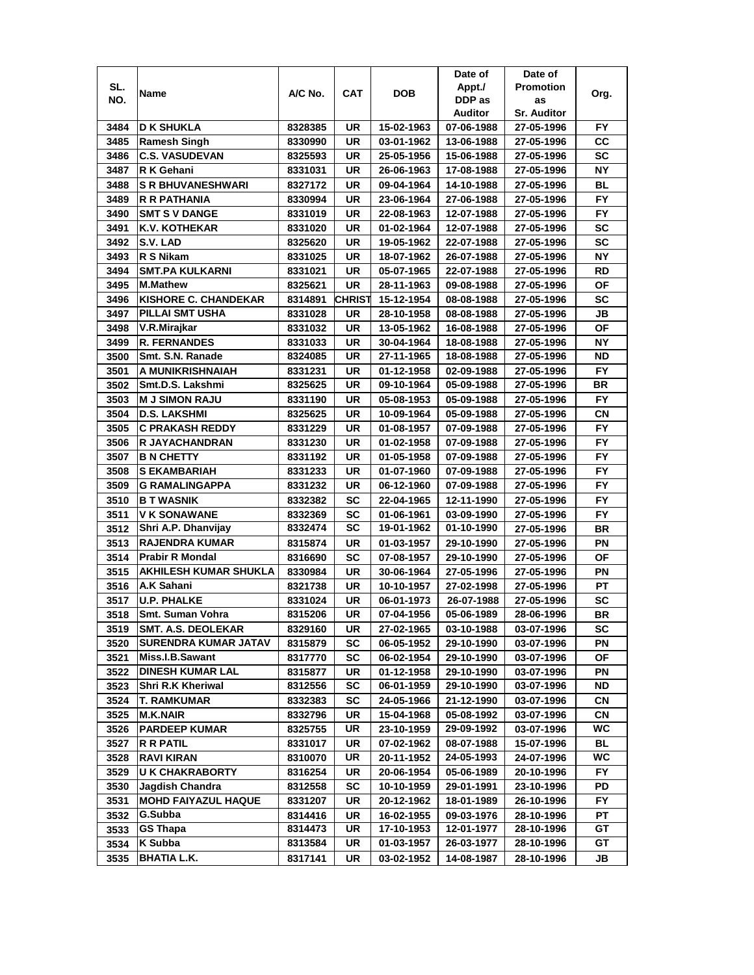|      |                                                          |                    |                 |                          | Date of                  | Date of                  |           |
|------|----------------------------------------------------------|--------------------|-----------------|--------------------------|--------------------------|--------------------------|-----------|
| SL.  | Name                                                     | A/C No.            | <b>CAT</b>      | <b>DOB</b>               | Appt./                   | <b>Promotion</b>         | Org.      |
| NO.  |                                                          |                    |                 |                          | DDP as                   | as                       |           |
|      |                                                          |                    |                 |                          | Auditor                  | <b>Sr. Auditor</b>       |           |
| 3484 | <b>D K SHUKLA</b>                                        | 8328385            | UR              | 15-02-1963               | 07-06-1988               | 27-05-1996               | FY        |
| 3485 | <b>Ramesh Singh</b>                                      | 8330990            | UR              | 03-01-1962               | 13-06-1988               | 27-05-1996               | cc        |
| 3486 | <b>C.S. VASUDEVAN</b>                                    | 8325593            | UR              | 25-05-1956               | 15-06-1988               | 27-05-1996               | SC        |
| 3487 | R K Gehani                                               | 8331031            | UR              | 26-06-1963               | 17-08-1988               | 27-05-1996               | <b>NY</b> |
| 3488 | <b>S R BHUVANESHWARI</b>                                 | 8327172            | UR              | 09-04-1964               | 14-10-1988               | 27-05-1996               | BL        |
| 3489 | R R PATHANIA                                             | 8330994            | UR              | 23-06-1964               | 27-06-1988               | 27-05-1996               | <b>FY</b> |
| 3490 | <b>SMT S V DANGE</b>                                     | 8331019            | UR              | 22-08-1963               | 12-07-1988               | 27-05-1996               | FY.       |
| 3491 | <b>K.V. KOTHEKAR</b>                                     | 8331020            | UR              | 01-02-1964               | 12-07-1988               | 27-05-1996               | <b>SC</b> |
| 3492 | S.V. LAD                                                 | 8325620            | UR              | 19-05-1962               | 22-07-1988               | 27-05-1996               | <b>SC</b> |
| 3493 | R S Nikam                                                | 8331025            | UR              | 18-07-1962               | 26-07-1988               | 27-05-1996               | <b>NY</b> |
| 3494 | <b>SMT.PA KULKARNI</b>                                   | 8331021            | UR              | 05-07-1965               | 22-07-1988               | 27-05-1996               | RD        |
| 3495 | <b>M.Mathew</b>                                          | 8325621            | <b>UR</b>       | 28-11-1963               | 09-08-1988               | 27-05-1996               | <b>OF</b> |
| 3496 | <b>KISHORE C. CHANDEKAR</b>                              | 8314891            | <b>CHRIST</b>   | 15-12-1954               | 08-08-1988               | 27-05-1996               | SC        |
| 3497 | PILLAI SMT USHA                                          | 8331028            | UR              | 28-10-1958               | 08-08-1988               | 27-05-1996               | JB        |
| 3498 | V.R.Mirajkar                                             | 8331032            | UR              | 13-05-1962               | 16-08-1988               | 27-05-1996               | ΟF        |
| 3499 | <b>R. FERNANDES</b>                                      | 8331033            | UR              | 30-04-1964               | 18-08-1988               | 27-05-1996               | NΥ        |
| 3500 | Smt. S.N. Ranade                                         | 8324085            | UR              | 27-11-1965               | 18-08-1988               | 27-05-1996               | ND        |
| 3501 | A MUNIKRISHNAIAH                                         | 8331231            | UR              | 01-12-1958               | 02-09-1988               | 27-05-1996               | FY.       |
| 3502 | Smt.D.S. Lakshmi                                         | 8325625            | UR              | 09-10-1964               | 05-09-1988               | 27-05-1996               | BR        |
| 3503 | <b>M J SIMON RAJU</b>                                    | 8331190            | UR              | 05-08-1953               | 05-09-1988               | 27-05-1996               | <b>FY</b> |
| 3504 | <b>D.S. LAKSHMI</b>                                      | 8325625            | UR              | 10-09-1964               | 05-09-1988               | 27-05-1996               | CN        |
| 3505 | C PRAKASH REDDY                                          | 8331229            | UR              | 01-08-1957               | 07-09-1988               | 27-05-1996               | FY        |
| 3506 | <b>R JAYACHANDRAN</b>                                    |                    | UR              |                          |                          |                          | FY        |
| 3507 |                                                          | 8331230            | UR              | 01-02-1958               | 07-09-1988               | 27-05-1996               | FY.       |
| 3508 | <b>B N CHETTY</b><br><b>S EKAMBARIAH</b>                 | 8331192            | UR              | 01-05-1958<br>01-07-1960 | 07-09-1988<br>07-09-1988 | 27-05-1996               | <b>FY</b> |
| 3509 | <b>G RAMALINGAPPA</b>                                    | 8331233<br>8331232 | UR              | 06-12-1960               | 07-09-1988               | 27-05-1996<br>27-05-1996 | FY        |
| 3510 | <b>B T WASNIK</b>                                        | 8332382            | <b>SC</b>       | 22-04-1965               | 12-11-1990               | 27-05-1996               | <b>FY</b> |
| 3511 | <b>V K SONAWANE</b>                                      | 8332369            | <b>SC</b>       | 01-06-1961               | 03-09-1990               | 27-05-1996               | <b>FY</b> |
| 3512 | Shri A.P. Dhanvijay                                      | 8332474            | <b>SC</b>       | 19-01-1962               | 01-10-1990               | 27-05-1996               | <b>BR</b> |
| 3513 | <b>RAJENDRA KUMAR</b>                                    | 8315874            | UR              | 01-03-1957               | 29-10-1990               | 27-05-1996               | PN        |
| 3514 | <b>Prabir R Mondal</b>                                   | 8316690            | <b>SC</b>       | 07-08-1957               | 29-10-1990               | 27-05-1996               | ΟF        |
| 3515 | AKHILESH KUMAR SHUKLA                                    | 8330984            | UR              | 30-06-1964               | 27-05-1996               | 27-05-1996               | ΡN        |
| 3516 | A.K Sahani                                               | 8321738            | UR              |                          |                          |                          | PT        |
|      |                                                          |                    |                 | 10-10-1957<br>06-01-1973 | 27-02-1998<br>26-07-1988 | 27-05-1996               |           |
| 3517 | <b>U.P. PHALKE</b>                                       | 8331024            | UR<br><b>UR</b> |                          |                          | 27-05-1996               | SC        |
| 3518 | Smt. Suman Vohra                                         | 8315206            |                 | 07-04-1956               | 05-06-1989               | 28-06-1996               | BR        |
| 3519 | <b>SMT. A.S. DEOLEKAR</b><br><b>SURENDRA KUMAR JATAV</b> | 8329160            | UR              | 27-02-1965               | 03-10-1988               | 03-07-1996               | SC        |
| 3520 | Miss.I.B.Sawant                                          | 8315879            | <b>SC</b>       | 06-05-1952               | 29-10-1990               | 03-07-1996               | ΡN        |
| 3521 |                                                          | 8317770            | <b>SC</b>       | 06-02-1954               | 29-10-1990               | 03-07-1996               | ΟF        |
| 3522 | <b>DINESH KUMAR LAL</b>                                  | 8315877            | UR              | 01-12-1958               | 29-10-1990               | 03-07-1996               | PN        |
| 3523 | Shri R.K Kheriwal                                        | 8312556            | SC              | 06-01-1959               | 29-10-1990               | 03-07-1996               | ND        |
| 3524 | <b>T. RAMKUMAR</b>                                       | 8332383            | <b>SC</b>       | 24-05-1966               | 21-12-1990               | 03-07-1996               | СN        |
| 3525 | <b>M.K.NAIR</b>                                          | 8332796            | UR              | 15-04-1968               | 05-08-1992               | 03-07-1996               | СN        |
| 3526 | <b>PARDEEP KUMAR</b>                                     | 8325755            | UR              | 23-10-1959               | 29-09-1992               | 03-07-1996               | WC        |
| 3527 | <b>R R PATIL</b>                                         | 8331017            | UR              | 07-02-1962               | 08-07-1988               | 15-07-1996               | BL        |
| 3528 | <b>RAVI KIRAN</b>                                        | 8310070            | UR              | 20-11-1952               | 24-05-1993               | 24-07-1996               | WC        |
| 3529 | <b>U K CHAKRABORTY</b>                                   | 8316254            | UR              | 20-06-1954               | 05-06-1989               | 20-10-1996               | <b>FY</b> |
| 3530 | <b>Jagdish Chandra</b>                                   | 8312558            | <b>SC</b>       | 10-10-1959               | 29-01-1991               | 23-10-1996               | PD        |
| 3531 | <b>MOHD FAIYAZUL HAQUE</b>                               | 8331207            | UR              | 20-12-1962               | 18-01-1989               | 26-10-1996               | FY.       |
| 3532 | G.Subba                                                  | 8314416            | UR              | 16-02-1955               | 09-03-1976               | 28-10-1996               | PТ        |
| 3533 | GS Thapa                                                 | 8314473            | UR              | 17-10-1953               | 12-01-1977               | 28-10-1996               | GT        |
| 3534 | K Subba                                                  | 8313584            | UR              | 01-03-1957               | 26-03-1977               | 28-10-1996               | GТ        |
| 3535 | <b>BHATIA L.K.</b>                                       | 8317141            | UR              | 03-02-1952               | 14-08-1987               | 28-10-1996               | JB        |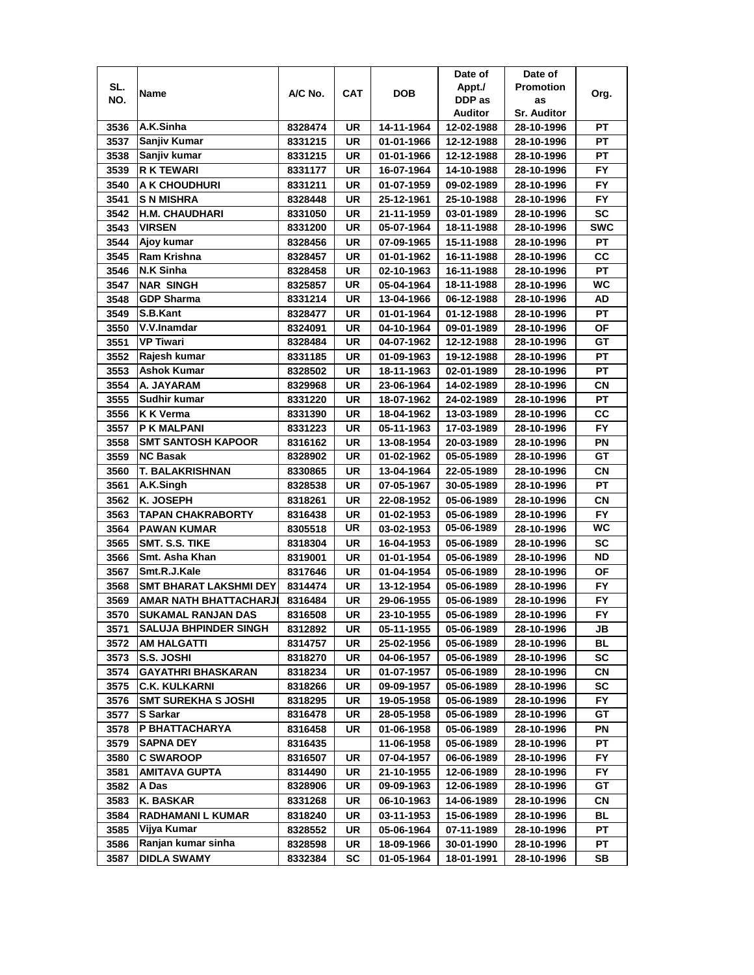|              |                                                           |                    |     |                          | Date of                  | Date of                  |            |
|--------------|-----------------------------------------------------------|--------------------|-----|--------------------------|--------------------------|--------------------------|------------|
| SL.          | Name                                                      | A/C No.            | CAT | <b>DOB</b>               | Appt./                   | <b>Promotion</b>         | Org.       |
| NO.          |                                                           |                    |     |                          | DDP as                   | as                       |            |
|              |                                                           |                    |     |                          | Auditor                  | <b>Sr. Auditor</b>       |            |
| 3536         | A.K.Sinha                                                 | 8328474            | UR  | 14-11-1964               | 12-02-1988               | 28-10-1996               | PТ         |
| 3537         | Sanjiv Kumar                                              | 8331215            | UR  | 01-01-1966               | 12-12-1988               | 28-10-1996               | РT         |
| 3538         | Sanjiv kumar                                              | 8331215            | UR  | 01-01-1966               | 12-12-1988               | 28-10-1996               | РT         |
| 3539         | <b>R K TEWARI</b>                                         | 8331177            | UR  | 16-07-1964               | 14-10-1988               | 28-10-1996               | <b>FY</b>  |
| 3540         | A K CHOUDHURI                                             | 8331211            | UR  | 01-07-1959               | 09-02-1989               | 28-10-1996               | <b>FY</b>  |
| 3541         | <b>S N MISHRA</b>                                         | 8328448            | UR  | 25-12-1961               | 25-10-1988               | 28-10-1996               | <b>FY</b>  |
| 3542         | <b>H.M. CHAUDHARI</b>                                     | 8331050            | UR  | 21-11-1959               | 03-01-1989               | 28-10-1996               | <b>SC</b>  |
| 3543         | <b>VIRSEN</b>                                             | 8331200            | UR  | 05-07-1964               | 18-11-1988               | 28-10-1996               | <b>SWC</b> |
| 3544         | Ajoy kumar                                                | 8328456            | UR  | 07-09-1965               | 15-11-1988               | 28-10-1996               | РT         |
| 3545         | Ram Krishna                                               | 8328457            | UR  | 01-01-1962               | 16-11-1988               | 28-10-1996               | CC         |
| 3546         | N.K Sinha                                                 | 8328458            | UR  | 02-10-1963               | 16-11-1988               | 28-10-1996               | PT         |
| 3547         | <b>NAR SINGH</b>                                          | 8325857            | UR  | 05-04-1964               | 18-11-1988               | 28-10-1996               | WC         |
| 3548         | <b>GDP Sharma</b>                                         | 8331214            | UR  | 13-04-1966               | 06-12-1988               | 28-10-1996               | AD         |
| 3549         | S.B.Kant                                                  | 8328477            | UR  | 01-01-1964               | 01-12-1988               | 28-10-1996               | <b>PT</b>  |
| 3550         | V.V.Inamdar                                               | 8324091            | UR  | 04-10-1964               | 09-01-1989               | 28-10-1996               | ΟF         |
| 3551         | <b>VP Tiwari</b>                                          | 8328484            | UR  | 04-07-1962               | 12-12-1988               | 28-10-1996               | GT         |
| 3552         | Rajesh kumar                                              | 8331185            | UR  | 01-09-1963               | 19-12-1988               | 28-10-1996               | РT         |
| 3553         | <b>Ashok Kumar</b>                                        | 8328502            | UR  | 18-11-1963               | 02-01-1989               | 28-10-1996               | PT         |
| 3554         | A. JAYARAM                                                | 8329968            | UR  | 23-06-1964               | 14-02-1989               | 28-10-1996               | CN         |
| 3555         | Sudhir kumar                                              | 8331220            | UR  | 18-07-1962               | 24-02-1989               | 28-10-1996               | PT         |
| 3556         | K K Verma                                                 | 8331390            | UR  | 18-04-1962               | 13-03-1989               | 28-10-1996               | СC         |
| 3557         | <b>P K MALPANI</b>                                        | 8331223            | UR  | 05-11-1963               | 17-03-1989               | 28-10-1996               | <b>FY</b>  |
| 3558         | <b>SMT SANTOSH KAPOOR</b>                                 | 8316162            | UR  | 13-08-1954               | 20-03-1989               | 28-10-1996               | PN         |
| 3559         | <b>NC Basak</b>                                           | 8328902            | UR  | 01-02-1962               | 05-05-1989               | 28-10-1996               | GТ         |
| 3560         | <b>T. BALAKRISHNAN</b>                                    |                    | UR  |                          |                          |                          | СN         |
|              | A.K.Singh                                                 | 8330865            | UR  | 13-04-1964               | 22-05-1989               | 28-10-1996               | PT         |
| 3561<br>3562 | <b>K. JOSEPH</b>                                          | 8328538<br>8318261 | UR  | 07-05-1967<br>22-08-1952 | 30-05-1989<br>05-06-1989 | 28-10-1996<br>28-10-1996 | <b>CN</b>  |
| 3563         | <b>TAPAN CHAKRABORTY</b>                                  | 8316438            | UR  | 01-02-1953               | 05-06-1989               | 28-10-1996               | <b>FY</b>  |
| 3564         | <b>PAWAN KUMAR</b>                                        | 8305518            | UR  | 03-02-1953               | 05-06-1989               | 28-10-1996               | WС         |
| 3565         | SMT. S.S. TIKE                                            | 8318304            | UR  | 16-04-1953               | 05-06-1989               | 28-10-1996               | <b>SC</b>  |
| 3566         | Smt. Asha Khan                                            | 8319001            | UR  | 01-01-1954               | 05-06-1989               | 28-10-1996               | ND         |
| 3567         | Smt.R.J.Kale                                              |                    | UR  | 01-04-1954               | 05-06-1989               | 28-10-1996               | ΟF         |
| 3568         |                                                           | 8317646            | UR  |                          |                          |                          | FY.        |
| 3569         | SMT BHARAT LAKSHMI DEY                                    | 8314474            |     | 13-12-1954               | 05-06-1989               | 28-10-1996               |            |
|              | AMAR NATH BHATTACHARJI                                    | 8316484            | UR  | 29-06-1955               | 05-06-1989               | 28-10-1996               | FY.        |
| 3570         | <b>SUKAMAL RANJAN DAS</b><br><b>SALUJA BHPINDER SINGH</b> | 8316508            | UR  | 23-10-1955               | 05-06-1989               | 28-10-1996               | <b>FY</b>  |
| 3571         |                                                           | 8312892            | UR  | 05-11-1955               | 05-06-1989               | 28-10-1996               | JB         |
| 3572         | <b>AM HALGATTI</b>                                        | 8314757            | UR  | 25-02-1956               | 05-06-1989               | 28-10-1996               | BL         |
| 3573         | S.S. JOSHI                                                | 8318270            | UR  | 04-06-1957               | 05-06-1989               | 28-10-1996               | SC         |
| 3574         | <b>GAYATHRI BHASKARAN</b>                                 | 8318234            | UR  | 01-07-1957               | 05-06-1989               | 28-10-1996               | CN         |
| 3575         | <b>C.K. KULKARNI</b>                                      | 8318266            | UR  | 09-09-1957               | 05-06-1989               | 28-10-1996               | SC         |
| 3576         | <b>SMT SUREKHA S JOSHI</b>                                | 8318295            | UR  | 19-05-1958               | 05-06-1989               | 28-10-1996               | FY.        |
| 3577         | S Sarkar                                                  | 8316478            | UR  | 28-05-1958               | 05-06-1989               | 28-10-1996               | GT         |
| 3578         | P BHATTACHARYA                                            | 8316458            | UR  | 01-06-1958               | 05-06-1989               | 28-10-1996               | PN         |
| 3579         | <b>SAPNA DEY</b>                                          | 8316435            |     | 11-06-1958               | 05-06-1989               | 28-10-1996               | РT         |
| 3580         | <b>C SWAROOP</b>                                          | 8316507            | UR  | 07-04-1957               | 06-06-1989               | 28-10-1996               | FY         |
| 3581         | <b>AMITAVA GUPTA</b>                                      | 8314490            | UR  | 21-10-1955               | 12-06-1989               | 28-10-1996               | FY.        |
| 3582         | A Das                                                     | 8328906            | UR  | 09-09-1963               | 12-06-1989               | 28-10-1996               | GТ         |
| 3583         | <b>K. BASKAR</b>                                          | 8331268            | UR  | 06-10-1963               | 14-06-1989               | 28-10-1996               | CΝ         |
| 3584         | <b>RADHAMANI L KUMAR</b>                                  | 8318240            | UR  | 03-11-1953               | 15-06-1989               | 28-10-1996               | BL         |
| 3585         | Vijya Kumar                                               | 8328552            | UR  | 05-06-1964               | 07-11-1989               | 28-10-1996               | РT         |
| 3586         | Ranjan kumar sinha                                        | 8328598            | UR  | 18-09-1966               | 30-01-1990               | 28-10-1996               | PТ         |
| 3587         | DIDLA SWAMY                                               | 8332384            | SC  | 01-05-1964               | 18-01-1991               | 28-10-1996               | SB         |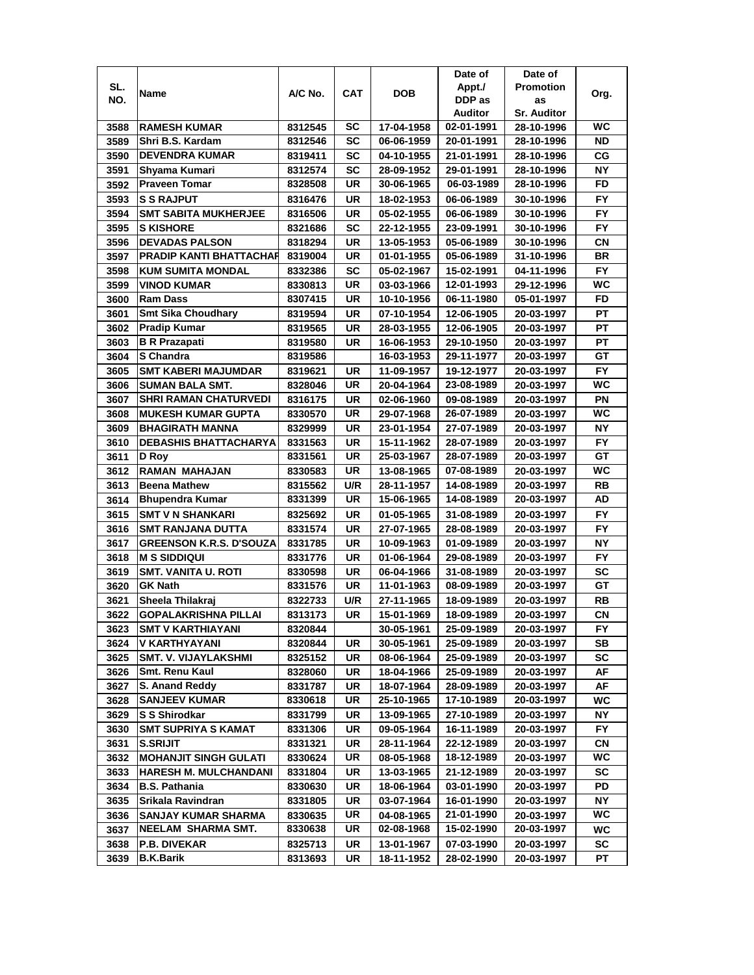|      |                                           |                    |            |                          | Date of    | Date of                  |           |
|------|-------------------------------------------|--------------------|------------|--------------------------|------------|--------------------------|-----------|
| SL.  | Name                                      | A/C No.            | <b>CAT</b> | <b>DOB</b>               | Appt./     | <b>Promotion</b>         | Org.      |
| NO.  |                                           |                    |            |                          | DDP as     | as                       |           |
|      |                                           |                    |            |                          | Auditor    | <b>Sr. Auditor</b>       |           |
| 3588 | <b>RAMESH KUMAR</b>                       | 8312545            | SC         | 17-04-1958               | 02-01-1991 | 28-10-1996               | WC        |
| 3589 | Shri B.S. Kardam                          | 8312546            | SC         | 06-06-1959               | 20-01-1991 | 28-10-1996               | <b>ND</b> |
| 3590 | <b>DEVENDRA KUMAR</b>                     | 8319411            | SC         | 04-10-1955               | 21-01-1991 | 28-10-1996               | СG        |
| 3591 | Shyama Kumari                             | 8312574            | <b>SC</b>  | 28-09-1952               | 29-01-1991 | 28-10-1996               | <b>NY</b> |
| 3592 | <b>Praveen Tomar</b>                      | 8328508            | UR         | 30-06-1965               | 06-03-1989 | 28-10-1996               | FD        |
| 3593 | <b>S S RAJPUT</b>                         | 8316476            | UR         | 18-02-1953               | 06-06-1989 | 30-10-1996               | FY        |
| 3594 | <b>SMT SABITA MUKHERJEE</b>               | 8316506            | UR         | 05-02-1955               | 06-06-1989 | 30-10-1996               | <b>FY</b> |
| 3595 | <b>S KISHORE</b>                          | 8321686            | SC         | 22-12-1955               | 23-09-1991 | 30-10-1996               | <b>FY</b> |
| 3596 | <b>DEVADAS PALSON</b>                     | 8318294            | UR         | 13-05-1953               | 05-06-1989 | 30-10-1996               | CN        |
| 3597 | <b>PRADIP KANTI BHATTACHAR</b>            | 8319004            | UR         | 01-01-1955               | 05-06-1989 | 31-10-1996               | <b>BR</b> |
| 3598 | <b>KUM SUMITA MONDAL</b>                  | 8332386            | <b>SC</b>  | 05-02-1967               | 15-02-1991 | 04-11-1996               | <b>FY</b> |
| 3599 | <b>VINOD KUMAR</b>                        | 8330813            | UR         | 03-03-1966               | 12-01-1993 | 29-12-1996               | WC        |
| 3600 | <b>Ram Dass</b>                           | 8307415            | UR         | 10-10-1956               | 06-11-1980 | 05-01-1997               | FD        |
| 3601 | <b>Smt Sika Choudhary</b>                 | 8319594            | UR         | 07-10-1954               | 12-06-1905 | 20-03-1997               | <b>PT</b> |
| 3602 | <b>Pradip Kumar</b>                       | 8319565            | UR         | 28-03-1955               | 12-06-1905 | 20-03-1997               | PT        |
| 3603 | <b>B R Prazapati</b>                      |                    | UR         | 16-06-1953               | 29-10-1950 |                          | PT        |
|      | S Chandra                                 | 8319580            |            | 16-03-1953               | 29-11-1977 | 20-03-1997               | GT        |
| 3604 |                                           | 8319586            |            |                          |            | 20-03-1997               |           |
| 3605 | <b>SMT KABERI MAJUMDAR</b>                | 8319621            | UR         | 11-09-1957               | 19-12-1977 | 20-03-1997               | <b>FY</b> |
| 3606 | <b>SUMAN BALA SMT.</b>                    | 8328046            | UR         | 20-04-1964               | 23-08-1989 | 20-03-1997               | WC        |
| 3607 | <b>SHRI RAMAN CHATURVEDI</b>              | 8316175            | UR         | 02-06-1960               | 09-08-1989 | 20-03-1997               | PN        |
| 3608 | <b>MUKESH KUMAR GUPTA</b>                 | 8330570            | <b>UR</b>  | 29-07-1968               | 26-07-1989 | 20-03-1997               | WC        |
| 3609 | <b>BHAGIRATH MANNA</b>                    | 8329999            | UR         | 23-01-1954               | 27-07-1989 | 20-03-1997               | <b>NY</b> |
| 3610 | <b>DEBASHIS BHATTACHARYA</b>              | 8331563            | <b>UR</b>  | 15-11-1962               | 28-07-1989 | 20-03-1997               | <b>FY</b> |
| 3611 | D Roy                                     | 8331561            | <b>UR</b>  | 25-03-1967               | 28-07-1989 | 20-03-1997               | GT        |
| 3612 | <b>RAMAN MAHAJAN</b>                      | 8330583            | <b>UR</b>  | 13-08-1965               | 07-08-1989 | 20-03-1997               | WC        |
| 3613 | <b>Beena Mathew</b>                       | 8315562            | U/R        | 28-11-1957               | 14-08-1989 | 20-03-1997               | RB        |
| 3614 | <b>Bhupendra Kumar</b>                    | 8331399            | UR         | 15-06-1965               | 14-08-1989 | 20-03-1997               | AD        |
| 3615 | <b>SMT V N SHANKARI</b>                   | 8325692            | <b>UR</b>  | 01-05-1965               | 31-08-1989 | 20-03-1997               | <b>FY</b> |
| 3616 | <b>SMT RANJANA DUTTA</b>                  | 8331574            | UR         | 27-07-1965               | 28-08-1989 | 20-03-1997               | <b>FY</b> |
| 3617 | <b>GREENSON K.R.S. D'SOUZA</b>            | 8331785            | UR         | 10-09-1963               | 01-09-1989 | 20-03-1997               | <b>NY</b> |
| 3618 | <b>M S SIDDIQUI</b>                       | 8331776            | UR         | 01-06-1964               | 29-08-1989 | 20-03-1997               | <b>FY</b> |
| 3619 | <b>SMT. VANITA U. ROTI</b>                | 8330598            | UR         | 06-04-1966               | 31-08-1989 | 20-03-1997               | SC        |
| 3620 | <b>GK Nath</b>                            | 8331576            | UR         | 11-01-1963               | 08-09-1989 | 20-03-1997               | GТ        |
| 3621 | Sheela Thilakraj                          | 8322733            | U/R        | 27-11-1965               | 18-09-1989 | 20-03-1997               | RB        |
| 3622 | <b>GOPALAKRISHNA PILLAI</b>               | 8313173            | UR         | 15-01-1969               | 18-09-1989 | 20-03-1997               | CN        |
| 3623 | SMT V KARTHIAYANI                         | 8320844            |            | 30-05-1961               | 25-09-1989 | 20-03-1997               | FY.       |
| 3624 | V KARTHYAYANI                             | 8320844            | UR         | 30-05-1961               | 25-09-1989 | 20-03-1997               | SВ        |
| 3625 | <b>SMT. V. VIJAYLAKSHMI</b>               | 8325152            | UR         | 08-06-1964               | 25-09-1989 | 20-03-1997               | SC        |
| 3626 | <b>Smt. Renu Kaul</b>                     | 8328060            | UR         | 18-04-1966               | 25-09-1989 | 20-03-1997               | AF        |
| 3627 | S. Anand Reddy                            | 8331787            | UR         | 18-07-1964               | 28-09-1989 | 20-03-1997               | AF        |
| 3628 | <b>SANJEEV KUMAR</b>                      | 8330618            | UR         | 25-10-1965               | 17-10-1989 | 20-03-1997               | WC        |
| 3629 | <b>S S Shirodkar</b>                      | 8331799            | UR         | 13-09-1965               | 27-10-1989 | 20-03-1997               | NΥ        |
| 3630 | <b>SMT SUPRIYA S KAMAT</b>                | 8331306            | UR         | 09-05-1964               | 16-11-1989 | 20-03-1997               | <b>FY</b> |
| 3631 | <b>S.SRIJIT</b>                           | 8331321            | UR         | 28-11-1964               | 22-12-1989 | 20-03-1997               | СN        |
| 3632 | <b>MOHANJIT SINGH GULATI</b>              | 8330624            | UR         | 08-05-1968               | 18-12-1989 | 20-03-1997               | WC        |
| 3633 | <b>HARESH M. MULCHANDANI</b>              | 8331804            | UR         | 13-03-1965               | 21-12-1989 | 20-03-1997               | SC        |
| 3634 | <b>B.S. Pathania</b>                      | 8330630            | UR         | 18-06-1964               | 03-01-1990 | 20-03-1997               | PD        |
| 3635 | Srikala Ravindran                         | 8331805            | UR         | 03-07-1964               | 16-01-1990 | 20-03-1997               | NΥ        |
| 3636 |                                           |                    | UR         |                          | 21-01-1990 |                          | WC.       |
| 3637 | SANJAY KUMAR SHARMA<br>NEELAM SHARMA SMT. | 8330635<br>8330638 | UR         | 04-08-1965<br>02-08-1968 | 15-02-1990 | 20-03-1997<br>20-03-1997 | WC        |
|      |                                           |                    |            |                          |            |                          |           |
| 3638 | P.B. DIVEKAR                              | 8325713            | UR         | 13-01-1967               | 07-03-1990 | 20-03-1997               | SC        |
| 3639 | <b>B.K.Barik</b>                          | 8313693            | UR         | 18-11-1952               | 28-02-1990 | 20-03-1997               | РT        |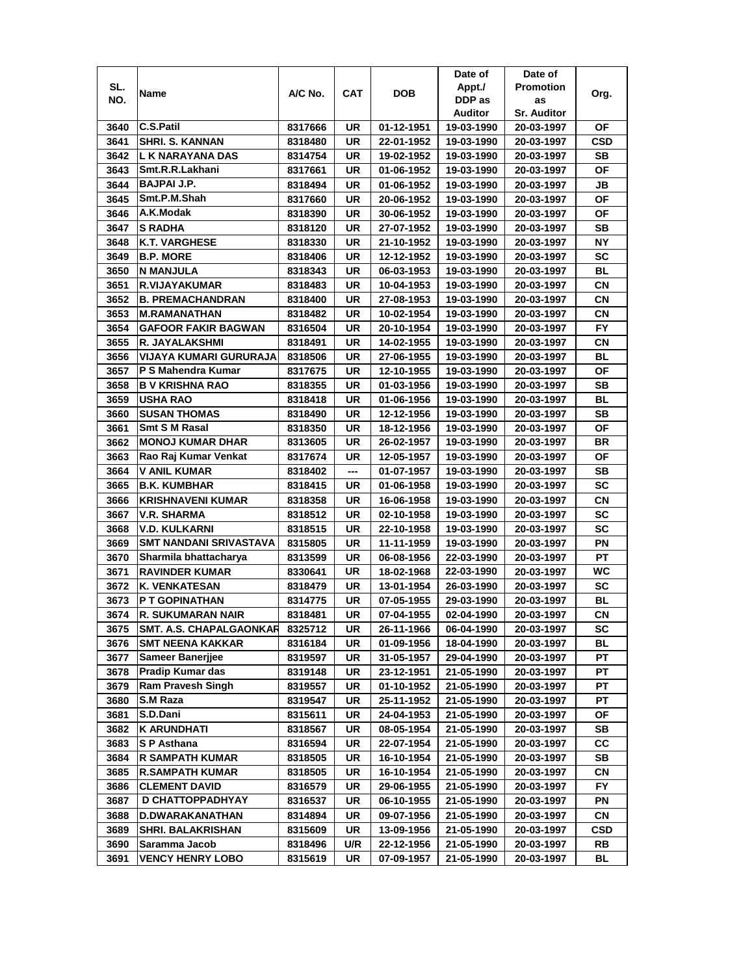|      |                                |         |           |            | Date of    | Date of            |            |
|------|--------------------------------|---------|-----------|------------|------------|--------------------|------------|
| SL.  | Name                           | A/C No. | CAT       | <b>DOB</b> | Appt./     | <b>Promotion</b>   | Org.       |
| NO.  |                                |         |           |            | DDP as     | as                 |            |
|      |                                |         |           |            | Auditor    | <b>Sr. Auditor</b> |            |
| 3640 | <b>C.S.Patil</b>               | 8317666 | UR        | 01-12-1951 | 19-03-1990 | 20-03-1997         | ΟF         |
| 3641 | <b>SHRI. S. KANNAN</b>         | 8318480 | UR        | 22-01-1952 | 19-03-1990 | 20-03-1997         | CSD        |
| 3642 | L K NARAYANA DAS               | 8314754 | UR        | 19-02-1952 | 19-03-1990 | 20-03-1997         | SВ         |
| 3643 | Smt.R.R.Lakhani                | 8317661 | UR        | 01-06-1952 | 19-03-1990 | 20-03-1997         | ΟF         |
| 3644 | <b>BAJPAI J.P.</b>             | 8318494 | UR        | 01-06-1952 | 19-03-1990 | 20-03-1997         | JB         |
| 3645 | Smt.P.M.Shah                   | 8317660 | UR        | 20-06-1952 | 19-03-1990 | 20-03-1997         | ΟF         |
| 3646 | A.K.Modak                      | 8318390 | UR        | 30-06-1952 | 19-03-1990 | 20-03-1997         | ΟF         |
| 3647 | <b>S RADHA</b>                 | 8318120 | UR        | 27-07-1952 | 19-03-1990 | 20-03-1997         | SВ         |
| 3648 | <b>K.T. VARGHESE</b>           | 8318330 | UR        | 21-10-1952 | 19-03-1990 | 20-03-1997         | ΝY         |
| 3649 | <b>B.P. MORE</b>               | 8318406 | UR        | 12-12-1952 | 19-03-1990 | 20-03-1997         | SC         |
| 3650 | N MANJULA                      | 8318343 | UR        | 06-03-1953 | 19-03-1990 | 20-03-1997         | ВL         |
| 3651 | R.VIJAYAKUMAR                  | 8318483 | UR        | 10-04-1953 | 19-03-1990 | 20-03-1997         | <b>CN</b>  |
| 3652 | <b>B. PREMACHANDRAN</b>        | 8318400 | UR        | 27-08-1953 | 19-03-1990 | 20-03-1997         | СN         |
| 3653 | <b>M.RAMANATHAN</b>            | 8318482 | UR        | 10-02-1954 | 19-03-1990 | 20-03-1997         | СN         |
| 3654 | <b>GAFOOR FAKIR BAGWAN</b>     | 8316504 | UR        | 20-10-1954 | 19-03-1990 | 20-03-1997         | FY.        |
| 3655 | R. JAYALAKSHMI                 | 8318491 | <b>UR</b> | 14-02-1955 | 19-03-1990 | 20-03-1997         | СN         |
| 3656 | VIJAYA KUMARI GURURAJA         | 8318506 | UR        | 27-06-1955 | 19-03-1990 | 20-03-1997         | BL         |
| 3657 | P S Mahendra Kumar             | 8317675 | UR        | 12-10-1955 | 19-03-1990 | 20-03-1997         | ΟF         |
| 3658 | <b>B V KRISHNA RAO</b>         | 8318355 | UR        | 01-03-1956 | 19-03-1990 | 20-03-1997         | SB         |
| 3659 | <b>USHA RAO</b>                | 8318418 | UR        | 01-06-1956 | 19-03-1990 | 20-03-1997         | <b>BL</b>  |
| 3660 | <b>SUSAN THOMAS</b>            | 8318490 | UR        | 12-12-1956 | 19-03-1990 | 20-03-1997         | <b>SB</b>  |
| 3661 | Smt S M Rasal                  | 8318350 | UR        | 18-12-1956 | 19-03-1990 | 20-03-1997         | <b>OF</b>  |
| 3662 | <b>MONOJ KUMAR DHAR</b>        | 8313605 | UR        | 26-02-1957 | 19-03-1990 | 20-03-1997         | BR         |
| 3663 | Rao Raj Kumar Venkat           | 8317674 | UR        | 12-05-1957 | 19-03-1990 | 20-03-1997         | ΟF         |
| 3664 | <b>V ANIL KUMAR</b>            | 8318402 | ---       | 01-07-1957 | 19-03-1990 | 20-03-1997         | SВ         |
| 3665 | <b>B.K. KUMBHAR</b>            | 8318415 | UR        | 01-06-1958 | 19-03-1990 | 20-03-1997         | SC         |
| 3666 | <b>KRISHNAVENI KUMAR</b>       | 8318358 | UR        | 16-06-1958 | 19-03-1990 | 20-03-1997         | <b>CN</b>  |
| 3667 | <b>V.R. SHARMA</b>             | 8318512 | UR        | 02-10-1958 | 19-03-1990 | 20-03-1997         | SC         |
| 3668 | <b>V.D. KULKARNI</b>           | 8318515 | UR        | 22-10-1958 | 19-03-1990 | 20-03-1997         | <b>SC</b>  |
| 3669 | SMT NANDANI SRIVASTAVA         | 8315805 | UR        | 11-11-1959 | 19-03-1990 | 20-03-1997         | ΡN         |
| 3670 | Sharmila bhattacharya          | 8313599 | UR        | 06-08-1956 | 22-03-1990 | 20-03-1997         | PT         |
| 3671 | <b>RAVINDER KUMAR</b>          | 8330641 | UR        | 18-02-1968 | 22-03-1990 | 20-03-1997         | WC         |
| 3672 | <b>K. VENKATESAN</b>           | 8318479 | UR        | 13-01-1954 | 26-03-1990 | 20-03-1997         | SC         |
| 3673 | P T GOPINATHAN                 | 8314775 | UR        | 07-05-1955 | 29-03-1990 | 20-03-1997         | BL         |
| 3674 | R. SUKUMARAN NAIR              | 8318481 | UR        | 07-04-1955 | 02-04-1990 | 20-03-1997         | СN         |
| 3675 | <b>SMT. A.S. CHAPALGAONKAR</b> | 8325712 | UR        | 26-11-1966 | 06-04-1990 | 20-03-1997         | SC         |
| 3676 | <b>SMT NEENA KAKKAR</b>        | 8316184 | UR        | 01-09-1956 | 18-04-1990 | 20-03-1997         | ВL         |
| 3677 | Sameer Banerjjee               | 8319597 | UR        | 31-05-1957 | 29-04-1990 | 20-03-1997         | РT         |
| 3678 | <b>Pradip Kumar das</b>        | 8319148 | UR        | 23-12-1951 | 21-05-1990 | 20-03-1997         | PT         |
| 3679 | <b>Ram Pravesh Singh</b>       | 8319557 | UR        | 01-10-1952 | 21-05-1990 | 20-03-1997         | РT         |
| 3680 | S.M Raza                       | 8319547 | UR        | 25-11-1952 | 21-05-1990 | 20-03-1997         | PT         |
| 3681 | S.D.Dani                       | 8315611 | UR        | 24-04-1953 | 21-05-1990 | 20-03-1997         | ОF         |
| 3682 | <b>K ARUNDHATI</b>             | 8318567 | UR        | 08-05-1954 | 21-05-1990 | 20-03-1997         | SB         |
| 3683 | S P Asthana                    | 8316594 | UR        | 22-07-1954 | 21-05-1990 | 20-03-1997         | CC         |
| 3684 | <b>R SAMPATH KUMAR</b>         | 8318505 | UR        | 16-10-1954 | 21-05-1990 | 20-03-1997         | SB         |
| 3685 | <b>R.SAMPATH KUMAR</b>         | 8318505 | UR        | 16-10-1954 | 21-05-1990 | 20-03-1997         | СN         |
| 3686 | <b>CLEMENT DAVID</b>           | 8316579 | UR        | 29-06-1955 | 21-05-1990 | 20-03-1997         | FY         |
| 3687 | D CHATTOPPADHYAY               | 8316537 | UR        | 06-10-1955 | 21-05-1990 | 20-03-1997         | ΡN         |
| 3688 | D.DWARAKANATHAN                | 8314894 | UR        | 09-07-1956 | 21-05-1990 | 20-03-1997         | CN         |
| 3689 | <b>SHRI. BALAKRISHAN</b>       | 8315609 | UR        | 13-09-1956 | 21-05-1990 | 20-03-1997         | <b>CSD</b> |
| 3690 | Saramma Jacob                  | 8318496 | U/R       | 22-12-1956 | 21-05-1990 | 20-03-1997         | RB         |
| 3691 | <b>VENCY HENRY LOBO</b>        | 8315619 | UR        | 07-09-1957 | 21-05-1990 | 20-03-1997         | BL         |
|      |                                |         |           |            |            |                    |            |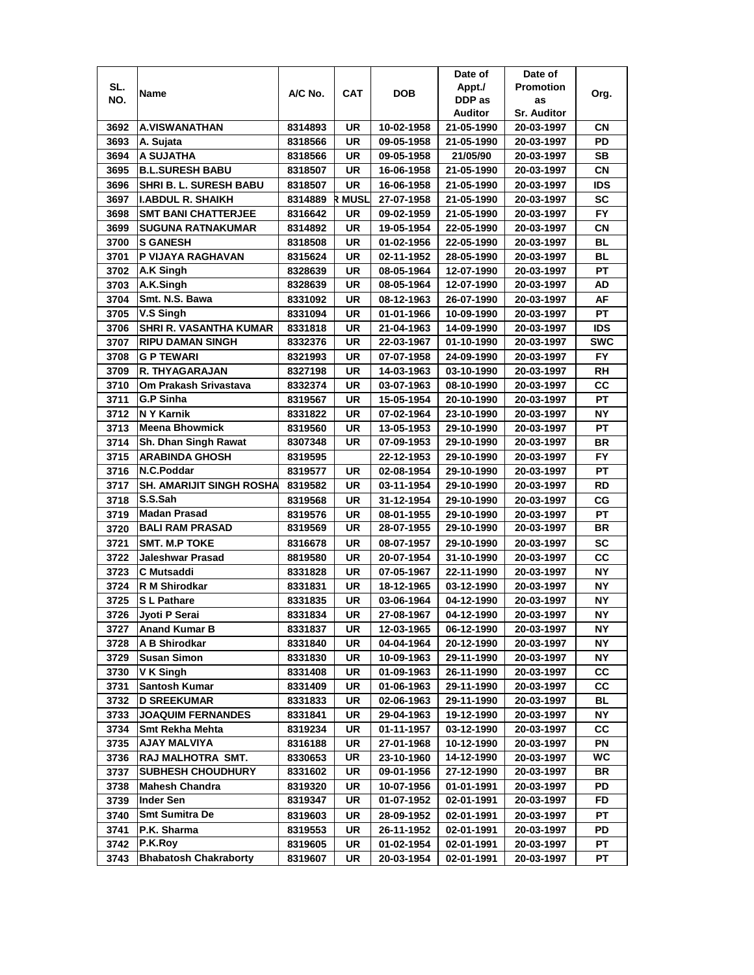|      |                               |         |           |            | Date of    | Date of            |            |
|------|-------------------------------|---------|-----------|------------|------------|--------------------|------------|
| SL.  | Name                          | A/C No. | CAT       | DOB        | Appt./     | <b>Promotion</b>   | Org.       |
| NO.  |                               |         |           |            | DDP as     | as                 |            |
|      |                               |         |           |            | Auditor    | <b>Sr. Auditor</b> |            |
| 3692 | <b>A.VISWANATHAN</b>          | 8314893 | UR        | 10-02-1958 | 21-05-1990 | 20-03-1997         | CΝ         |
| 3693 | A. Sujata                     | 8318566 | UR        | 09-05-1958 | 21-05-1990 | 20-03-1997         | PD         |
| 3694 | A SUJATHA                     | 8318566 | UR        | 09-05-1958 | 21/05/90   | 20-03-1997         | <b>SB</b>  |
| 3695 | <b>B.L.SURESH BABU</b>        | 8318507 | UR        | 16-06-1958 | 21-05-1990 | 20-03-1997         | CN         |
| 3696 | <b>SHRI B. L. SURESH BABU</b> | 8318507 | UR        | 16-06-1958 | 21-05-1990 | 20-03-1997         | ids        |
| 3697 | <b>I.ABDUL R. SHAIKH</b>      | 8314889 | R MUSL    | 27-07-1958 | 21-05-1990 | 20-03-1997         | <b>SC</b>  |
| 3698 | <b>SMT BANI CHATTERJEE</b>    | 8316642 | UR        | 09-02-1959 | 21-05-1990 | 20-03-1997         | FY.        |
| 3699 | <b>SUGUNA RATNAKUMAR</b>      | 8314892 | UR        | 19-05-1954 | 22-05-1990 | 20-03-1997         | CN         |
| 3700 | <b>S GANESH</b>               | 8318508 | UR        | 01-02-1956 | 22-05-1990 | 20-03-1997         | BL         |
| 3701 | P VIJAYA RAGHAVAN             | 8315624 | UR        | 02-11-1952 | 28-05-1990 | 20-03-1997         | <b>BL</b>  |
| 3702 | A.K Singh                     | 8328639 | UR        | 08-05-1964 | 12-07-1990 | 20-03-1997         | PT         |
| 3703 | A.K.Singh                     | 8328639 | UR        | 08-05-1964 | 12-07-1990 | 20-03-1997         | AD         |
| 3704 | Smt. N.S. Bawa                | 8331092 | UR        | 08-12-1963 | 26-07-1990 | 20-03-1997         | AF         |
| 3705 | V.S Singh                     | 8331094 | UR        | 01-01-1966 | 10-09-1990 | 20-03-1997         | <b>PT</b>  |
| 3706 | SHRI R. VASANTHA KUMAR        | 8331818 | UR        | 21-04-1963 | 14-09-1990 | 20-03-1997         | <b>IDS</b> |
| 3707 | <b>RIPU DAMAN SINGH</b>       | 8332376 | UR        | 22-03-1967 | 01-10-1990 | 20-03-1997         | <b>SWC</b> |
| 3708 | <b>G P TEWARI</b>             | 8321993 | UR        | 07-07-1958 | 24-09-1990 | 20-03-1997         | FY         |
| 3709 | R. THYAGARAJAN                | 8327198 | UR        | 14-03-1963 | 03-10-1990 | 20-03-1997         | RH         |
| 3710 | Om Prakash Srivastava         | 8332374 | UR        | 03-07-1963 | 08-10-1990 | 20-03-1997         | CC         |
| 3711 | G.P Sinha                     | 8319567 | UR        | 15-05-1954 | 20-10-1990 | 20-03-1997         | PT         |
| 3712 | N Y Karnik                    | 8331822 | UR        | 07-02-1964 | 23-10-1990 | 20-03-1997         | <b>NY</b>  |
| 3713 | <b>Meena Bhowmick</b>         | 8319560 | UR        | 13-05-1953 | 29-10-1990 | 20-03-1997         | PT         |
| 3714 | Sh. Dhan Singh Rawat          | 8307348 | UR        | 07-09-1953 | 29-10-1990 | 20-03-1997         | <b>BR</b>  |
| 3715 | <b>ARABINDA GHOSH</b>         | 8319595 |           | 22-12-1953 | 29-10-1990 | 20-03-1997         | FY.        |
| 3716 | N.C.Poddar                    | 8319577 | UR        | 02-08-1954 | 29-10-1990 | 20-03-1997         | PT         |
| 3717 | SH. AMARIJIT SINGH ROSHA      | 8319582 | UR        | 03-11-1954 | 29-10-1990 | 20-03-1997         | RD         |
| 3718 | S.S.Sah                       | 8319568 | <b>UR</b> | 31-12-1954 | 29-10-1990 | 20-03-1997         | CG         |
| 3719 | <b>Madan Prasad</b>           | 8319576 | <b>UR</b> | 08-01-1955 | 29-10-1990 | 20-03-1997         | PT         |
| 3720 | <b>BALI RAM PRASAD</b>        | 8319569 | UR        | 28-07-1955 | 29-10-1990 | 20-03-1997         | <b>BR</b>  |
| 3721 | <b>SMT. M.P TOKE</b>          | 8316678 | UR        | 08-07-1957 | 29-10-1990 | 20-03-1997         | <b>SC</b>  |
| 3722 | Jaleshwar Prasad              | 8819580 | UR        | 20-07-1954 | 31-10-1990 | 20-03-1997         | cc         |
| 3723 | C Mutsaddi                    | 8331828 | UR        | 07-05-1967 | 22-11-1990 | 20-03-1997         | ΝY         |
| 3724 | R M Shirodkar                 | 8331831 | UR        | 18-12-1965 | 03-12-1990 | 20-03-1997         | NΥ         |
| 3725 | <b>SL Pathare</b>             | 8331835 | UR        | 03-06-1964 | 04-12-1990 | 20-03-1997         | NΥ         |
| 3726 | Jyoti P Serai                 | 8331834 | UR        | 27-08-1967 | 04-12-1990 | 20-03-1997         | <b>NY</b>  |
| 3727 | <b>Anand Kumar B</b>          | 8331837 | UR        | 12-03-1965 | 06-12-1990 | 20-03-1997         | NΥ         |
| 3728 | A B Shirodkar                 | 8331840 | UR        | 04-04-1964 | 20-12-1990 | 20-03-1997         | NΥ         |
| 3729 | <b>Susan Simon</b>            | 8331830 | UR        | 10-09-1963 | 29-11-1990 | 20-03-1997         | NΥ         |
| 3730 | V K Singh                     | 8331408 | UR        | 01-09-1963 | 26-11-1990 | 20-03-1997         | CC         |
| 3731 | Santosh Kumar                 | 8331409 | UR        | 01-06-1963 | 29-11-1990 | 20-03-1997         | СC         |
| 3732 | <b>D SREEKUMAR</b>            | 8331833 | UR        | 02-06-1963 | 29-11-1990 | 20-03-1997         | <b>BL</b>  |
| 3733 | <b>JOAQUIM FERNANDES</b>      | 8331841 | UR        | 29-04-1963 | 19-12-1990 | 20-03-1997         | ΝY         |
| 3734 | Smt Rekha Mehta               | 8319234 | UR        | 01-11-1957 | 03-12-1990 | 20-03-1997         | СC         |
| 3735 | <b>AJAY MALVIYA</b>           | 8316188 | UR        | 27-01-1968 | 10-12-1990 | 20-03-1997         | PN         |
| 3736 | RAJ MALHOTRA SMT.             | 8330653 | UR        | 23-10-1960 | 14-12-1990 | 20-03-1997         | WC         |
| 3737 | <b>SUBHESH CHOUDHURY</b>      | 8331602 | UR        | 09-01-1956 | 27-12-1990 | 20-03-1997         | BR         |
| 3738 | <b>Mahesh Chandra</b>         | 8319320 | UR        | 10-07-1956 | 01-01-1991 | 20-03-1997         | PD         |
| 3739 | Inder Sen                     | 8319347 | UR        | 01-07-1952 | 02-01-1991 | 20-03-1997         | FD         |
| 3740 | <b>Smt Sumitra De</b>         | 8319603 | UR        | 28-09-1952 | 02-01-1991 | 20-03-1997         | PТ         |
| 3741 | P.K. Sharma                   | 8319553 | UR        | 26-11-1952 | 02-01-1991 | 20-03-1997         | PD         |
| 3742 | P.K.Roy                       | 8319605 | UR        | 01-02-1954 | 02-01-1991 | 20-03-1997         | PТ         |
| 3743 | <b>Bhabatosh Chakraborty</b>  | 8319607 | UR        | 20-03-1954 | 02-01-1991 | 20-03-1997         | РT         |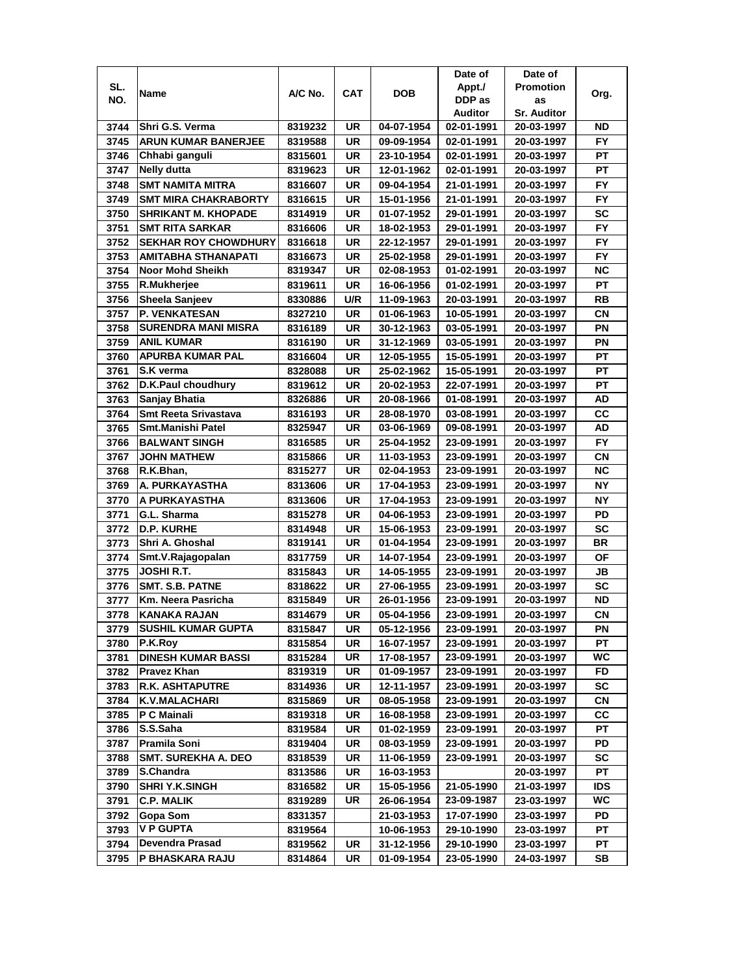|      |                             |         |            |            | Date of    | Date of            |            |
|------|-----------------------------|---------|------------|------------|------------|--------------------|------------|
| SL.  | Name                        | A/C No. | <b>CAT</b> | <b>DOB</b> | Appt./     | <b>Promotion</b>   | Org.       |
| NO.  |                             |         |            |            | DDP as     | as                 |            |
|      |                             |         |            |            | Auditor    | <b>Sr. Auditor</b> |            |
| 3744 | Shri G.S. Verma             | 8319232 | UR         | 04-07-1954 | 02-01-1991 | 20-03-1997         | ND         |
| 3745 | <b>ARUN KUMAR BANERJEE</b>  | 8319588 | <b>UR</b>  | 09-09-1954 | 02-01-1991 | 20-03-1997         | <b>FY</b>  |
| 3746 | Chhabi ganguli              | 8315601 | UR         | 23-10-1954 | 02-01-1991 | 20-03-1997         | PT         |
| 3747 | <b>Nelly dutta</b>          | 8319623 | UR         | 12-01-1962 | 02-01-1991 | 20-03-1997         | PT         |
| 3748 | <b>SMT NAMITA MITRA</b>     | 8316607 | UR         | 09-04-1954 | 21-01-1991 | 20-03-1997         | <b>FY</b>  |
| 3749 | <b>SMT MIRA CHAKRABORTY</b> | 8316615 | <b>UR</b>  | 15-01-1956 | 21-01-1991 | 20-03-1997         | <b>FY</b>  |
| 3750 | <b>SHRIKANT M. KHOPADE</b>  | 8314919 | UR         | 01-07-1952 | 29-01-1991 | 20-03-1997         | SC         |
| 3751 | <b>SMT RITA SARKAR</b>      | 8316606 | UR         | 18-02-1953 | 29-01-1991 | 20-03-1997         | <b>FY</b>  |
| 3752 | <b>SEKHAR ROY CHOWDHURY</b> | 8316618 | UR         | 22-12-1957 | 29-01-1991 | 20-03-1997         | <b>FY</b>  |
| 3753 | <b>AMITABHA STHANAPATI</b>  | 8316673 | UR         | 25-02-1958 | 29-01-1991 | 20-03-1997         | <b>FY</b>  |
| 3754 | <b>Noor Mohd Sheikh</b>     | 8319347 | UR         | 02-08-1953 | 01-02-1991 | 20-03-1997         | <b>NC</b>  |
| 3755 | R.Mukherjee                 | 8319611 | <b>UR</b>  | 16-06-1956 | 01-02-1991 | 20-03-1997         | PT         |
| 3756 | Sheela Sanjeev              | 8330886 | U/R        | 11-09-1963 | 20-03-1991 | 20-03-1997         | RB         |
| 3757 | <b>P. VENKATESAN</b>        | 8327210 | UR         | 01-06-1963 | 10-05-1991 | 20-03-1997         | <b>CN</b>  |
| 3758 | <b>SURENDRA MANI MISRA</b>  | 8316189 | UR         | 30-12-1963 | 03-05-1991 | 20-03-1997         | ΡN         |
| 3759 | <b>ANIL KUMAR</b>           | 8316190 | UR         | 31-12-1969 | 03-05-1991 | 20-03-1997         | PN         |
| 3760 | <b>APURBA KUMAR PAL</b>     | 8316604 | UR         | 12-05-1955 | 15-05-1991 | 20-03-1997         | PТ         |
| 3761 | S.K verma                   | 8328088 | UR         | 25-02-1962 | 15-05-1991 | 20-03-1997         | РT         |
| 3762 | D.K.Paul choudhury          | 8319612 | <b>UR</b>  | 20-02-1953 | 22-07-1991 | 20-03-1997         | PT         |
| 3763 | Sanjay Bhatia               | 8326886 | UR         | 20-08-1966 | 01-08-1991 | 20-03-1997         | AD         |
| 3764 | <b>Smt Reeta Srivastava</b> | 8316193 | UR         | 28-08-1970 | 03-08-1991 | 20-03-1997         | CC         |
| 3765 | Smt.Manishi Patel           | 8325947 | <b>UR</b>  | 03-06-1969 | 09-08-1991 | 20-03-1997         | AD         |
| 3766 | <b>BALWANT SINGH</b>        | 8316585 | <b>UR</b>  | 25-04-1952 | 23-09-1991 | 20-03-1997         | <b>FY</b>  |
| 3767 | <b>JOHN MATHEW</b>          | 8315866 | UR         | 11-03-1953 | 23-09-1991 | 20-03-1997         | <b>CN</b>  |
| 3768 | R.K.Bhan,                   | 8315277 | <b>UR</b>  | 02-04-1953 | 23-09-1991 | 20-03-1997         | <b>NC</b>  |
| 3769 | A. PURKAYASTHA              | 8313606 | UR         | 17-04-1953 | 23-09-1991 | 20-03-1997         | <b>NY</b>  |
| 3770 | A PURKAYASTHA               | 8313606 | <b>UR</b>  | 17-04-1953 | 23-09-1991 | 20-03-1997         | <b>NY</b>  |
| 3771 | G.L. Sharma                 | 8315278 | <b>UR</b>  | 04-06-1953 | 23-09-1991 | 20-03-1997         | PD         |
| 3772 | <b>D.P. KURHE</b>           | 8314948 | <b>UR</b>  | 15-06-1953 | 23-09-1991 | 20-03-1997         | <b>SC</b>  |
| 3773 | Shri A. Ghoshal             | 8319141 | <b>UR</b>  | 01-04-1954 | 23-09-1991 | 20-03-1997         | <b>BR</b>  |
| 3774 | Smt.V.Rajagopalan           | 8317759 | <b>UR</b>  | 14-07-1954 | 23-09-1991 | 20-03-1997         | ΟF         |
| 3775 | <b>JOSHI R.T.</b>           | 8315843 | UR         | 14-05-1955 | 23-09-1991 | 20-03-1997         | JB         |
| 3776 | <b>SMT. S.B. PATNE</b>      | 8318622 | UR         | 27-06-1955 | 23-09-1991 | 20-03-1997         | SC         |
| 3777 | Km. Neera Pasricha          | 8315849 | UR         | 26-01-1956 | 23-09-1991 | 20-03-1997         | ND         |
| 3778 | <b>KANAKA RAJAN</b>         | 8314679 | <b>UR</b>  | 05-04-1956 | 23-09-1991 | 20-03-1997         | CN         |
| 3779 | <b>SUSHIL KUMAR GUPTA</b>   | 8315847 | UR         | 05-12-1956 | 23-09-1991 | 20-03-1997         | PN         |
| 3780 | P.K.Roy                     | 8315854 | UR         | 16-07-1957 | 23-09-1991 | 20-03-1997         | PT         |
| 3781 | <b>DINESH KUMAR BASSI</b>   | 8315284 | UR         | 17-08-1957 | 23-09-1991 | 20-03-1997         | WC         |
| 3782 | Pravez Khan                 | 8319319 | UR         | 01-09-1957 | 23-09-1991 | 20-03-1997         | FD         |
| 3783 | <b>R.K. ASHTAPUTRE</b>      | 8314936 | UR         | 12-11-1957 | 23-09-1991 | 20-03-1997         | SC         |
| 3784 | <b>K.V.MALACHARI</b>        | 8315869 | UR         | 08-05-1958 | 23-09-1991 | 20-03-1997         | CN         |
| 3785 | P C Mainali                 | 8319318 | UR         | 16-08-1958 | 23-09-1991 | 20-03-1997         | СC         |
| 3786 | S.S.Saha                    | 8319584 | UR         | 01-02-1959 | 23-09-1991 | 20-03-1997         | PT         |
| 3787 | Pramila Soni                | 8319404 | UR         | 08-03-1959 | 23-09-1991 | 20-03-1997         | PD         |
| 3788 | <b>SMT. SUREKHA A. DEO</b>  | 8318539 | UR         | 11-06-1959 | 23-09-1991 | 20-03-1997         | SC         |
| 3789 | S.Chandra                   | 8313586 | UR         | 16-03-1953 |            | 20-03-1997         | РT         |
| 3790 | <b>SHRI Y.K.SINGH</b>       | 8316582 | UR         | 15-05-1956 | 21-05-1990 | 21-03-1997         | <b>IDS</b> |
| 3791 | <b>C.P. MALIK</b>           | 8319289 | UR         | 26-06-1954 | 23-09-1987 | 23-03-1997         | WC         |
| 3792 | Gopa Som                    | 8331357 |            | 21-03-1953 | 17-07-1990 | 23-03-1997         | PD         |
| 3793 | <b>V P GUPTA</b>            | 8319564 |            | 10-06-1953 | 29-10-1990 | 23-03-1997         | РT         |
| 3794 | Devendra Prasad             | 8319562 | UR         | 31-12-1956 | 29-10-1990 | 23-03-1997         | РT         |
| 3795 | P BHASKARA RAJU             | 8314864 | UR         | 01-09-1954 | 23-05-1990 | 24-03-1997         | SB         |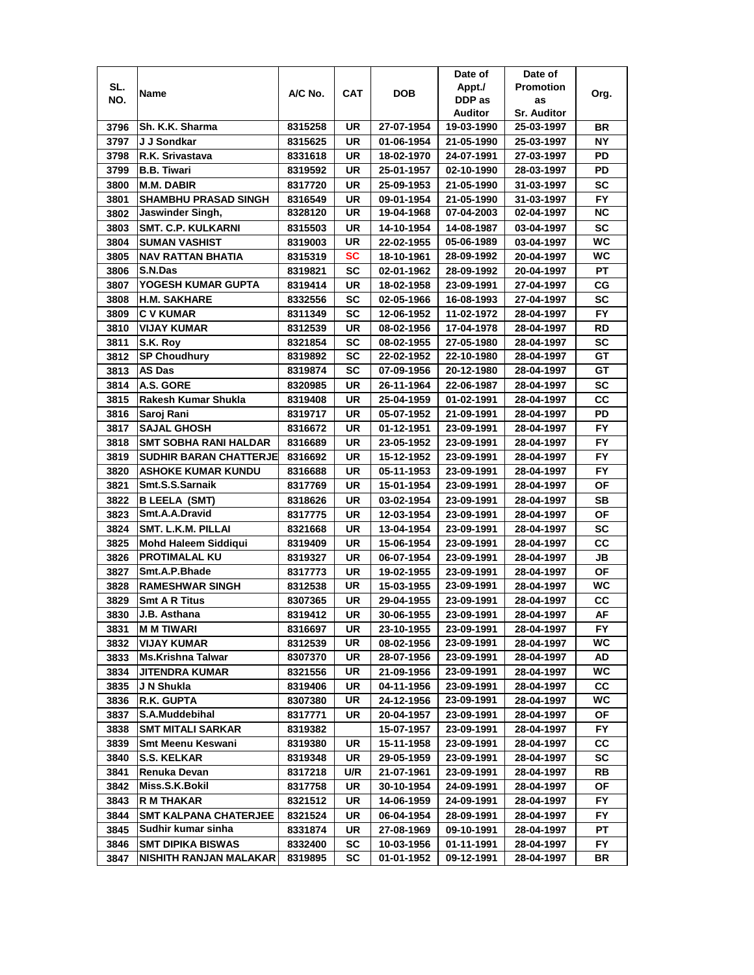|      |                               |         |           |            | Date of    | Date of            |           |
|------|-------------------------------|---------|-----------|------------|------------|--------------------|-----------|
| SL.  |                               | A/C No. | CAT       | <b>DOB</b> | Appt./     | <b>Promotion</b>   |           |
| NO.  | Name                          |         |           |            | DDP as     | as                 | Org.      |
|      |                               |         |           |            | Auditor    | <b>Sr. Auditor</b> |           |
| 3796 | Sh. K.K. Sharma               | 8315258 | UR        | 27-07-1954 | 19-03-1990 | 25-03-1997         | <b>BR</b> |
| 3797 | J J Sondkar                   | 8315625 | UR        | 01-06-1954 | 21-05-1990 | 25-03-1997         | NΥ        |
| 3798 | R.K. Srivastava               | 8331618 | UR        | 18-02-1970 | 24-07-1991 | 27-03-1997         | PD        |
| 3799 | <b>B.B. Tiwari</b>            | 8319592 | UR        | 25-01-1957 | 02-10-1990 | 28-03-1997         | PD        |
| 3800 | <b>M.M. DABIR</b>             | 8317720 | UR        | 25-09-1953 | 21-05-1990 | 31-03-1997         | <b>SC</b> |
| 3801 | <b>SHAMBHU PRASAD SINGH</b>   | 8316549 | UR        | 09-01-1954 | 21-05-1990 | 31-03-1997         | <b>FY</b> |
| 3802 | Jaswinder Singh,              | 8328120 | UR        | 19-04-1968 | 07-04-2003 | 02-04-1997         | <b>NC</b> |
| 3803 | <b>SMT. C.P. KULKARNI</b>     | 8315503 | UR        | 14-10-1954 | 14-08-1987 | 03-04-1997         | SC        |
| 3804 | <b>SUMAN VASHIST</b>          | 8319003 | UR        | 22-02-1955 | 05-06-1989 | 03-04-1997         | <b>WC</b> |
| 3805 | NAV RATTAN BHATIA             | 8315319 | SC        | 18-10-1961 | 28-09-1992 | 20-04-1997         | <b>WC</b> |
| 3806 | S.N.Das                       | 8319821 | <b>SC</b> | 02-01-1962 | 28-09-1992 | 20-04-1997         | PT        |
| 3807 | YOGESH KUMAR GUPTA            | 8319414 | UR        | 18-02-1958 | 23-09-1991 | 27-04-1997         | СG        |
| 3808 | <b>H.M. SAKHARE</b>           | 8332556 | <b>SC</b> | 02-05-1966 | 16-08-1993 | 27-04-1997         | SC        |
| 3809 | <b>C V KUMAR</b>              | 8311349 | SC        | 12-06-1952 | 11-02-1972 | 28-04-1997         | <b>FY</b> |
| 3810 | <b>VIJAY KUMAR</b>            | 8312539 | UR        | 08-02-1956 | 17-04-1978 | 28-04-1997         | <b>RD</b> |
| 3811 | S.K. Rov                      | 8321854 | SC        | 08-02-1955 | 27-05-1980 | 28-04-1997         | SC        |
| 3812 | <b>SP Choudhury</b>           | 8319892 | SC        | 22-02-1952 | 22-10-1980 | 28-04-1997         | GТ        |
| 3813 | AS Das                        | 8319874 | SC        | 07-09-1956 | 20-12-1980 | 28-04-1997         | GT        |
| 3814 | A.S. GORE                     |         |           |            | 22-06-1987 |                    | SC        |
|      |                               | 8320985 | UR        | 26-11-1964 |            | 28-04-1997         |           |
| 3815 | Rakesh Kumar Shukla           | 8319408 | UR        | 25-04-1959 | 01-02-1991 | 28-04-1997         | CC        |
| 3816 | Saroj Rani                    | 8319717 | UR        | 05-07-1952 | 21-09-1991 | 28-04-1997         | PD        |
| 3817 | <b>SAJAL GHOSH</b>            | 8316672 | UR        | 01-12-1951 | 23-09-1991 | 28-04-1997         | FY        |
| 3818 | <b>SMT SOBHA RANI HALDAR</b>  | 8316689 | UR        | 23-05-1952 | 23-09-1991 | 28-04-1997         | <b>FY</b> |
| 3819 | <b>SUDHIR BARAN CHATTERJE</b> | 8316692 | UR        | 15-12-1952 | 23-09-1991 | 28-04-1997         | <b>FY</b> |
| 3820 | <b>ASHOKE KUMAR KUNDU</b>     | 8316688 | UR        | 05-11-1953 | 23-09-1991 | 28-04-1997         | <b>FY</b> |
| 3821 | Smt.S.S.Sarnaik               | 8317769 | UR        | 15-01-1954 | 23-09-1991 | 28-04-1997         | OF        |
| 3822 | <b>B LEELA (SMT)</b>          | 8318626 | UR        | 03-02-1954 | 23-09-1991 | 28-04-1997         | <b>SB</b> |
| 3823 | Smt.A.A.Dravid                | 8317775 | UR        | 12-03-1954 | 23-09-1991 | 28-04-1997         | <b>OF</b> |
| 3824 | SMT. L.K.M. PILLAI            | 8321668 | <b>UR</b> | 13-04-1954 | 23-09-1991 | 28-04-1997         | SC        |
| 3825 | <b>Mohd Haleem Siddiqui</b>   | 8319409 | UR        | 15-06-1954 | 23-09-1991 | 28-04-1997         | cc        |
| 3826 | <b>PROTIMALAL KU</b>          | 8319327 | UR        | 06-07-1954 | 23-09-1991 | 28-04-1997         | JB        |
| 3827 | Smt.A.P.Bhade                 | 8317773 | UR        | 19-02-1955 | 23-09-1991 | 28-04-1997         | ΟF        |
| 3828 | <b>RAMESHWAR SINGH</b>        | 8312538 | UR        | 15-03-1955 | 23-09-1991 | 28-04-1997         | WC        |
| 3829 | <b>Smt A R Titus</b>          | 8307365 | UR        | 29-04-1955 | 23-09-1991 | 28-04-1997         | cc        |
| 3830 | J.B. Asthana                  | 8319412 | UR        | 30-06-1955 | 23-09-1991 | 28-04-1997         | AF        |
| 3831 | <b>M M TIWARI</b>             | 8316697 | UR        | 23-10-1955 | 23-09-1991 | 28-04-1997         | FY.       |
| 3832 | <b>VIJAY KUMAR</b>            | 8312539 | UR        | 08-02-1956 | 23-09-1991 | 28-04-1997         | WC.       |
| 3833 | <b>Ms.Krishna Talwar</b>      | 8307370 | UR        | 28-07-1956 | 23-09-1991 | 28-04-1997         | AD        |
| 3834 | <b>JITENDRA KUMAR</b>         | 8321556 | UR        | 21-09-1956 | 23-09-1991 | 28-04-1997         | WC        |
| 3835 | J N Shukla                    | 8319406 | UR        | 04-11-1956 | 23-09-1991 | 28-04-1997         | СC        |
| 3836 | <b>R.K. GUPTA</b>             | 8307380 | UR        | 24-12-1956 | 23-09-1991 | 28-04-1997         | WC.       |
| 3837 | S.A.Muddebihal                | 8317771 | UR        | 20-04-1957 | 23-09-1991 | 28-04-1997         | ОF        |
| 3838 | <b>SMT MITALI SARKAR</b>      | 8319382 |           | 15-07-1957 | 23-09-1991 | 28-04-1997         | FY.       |
| 3839 | <b>Smt Meenu Keswani</b>      | 8319380 | UR        | 15-11-1958 | 23-09-1991 | 28-04-1997         | CС        |
| 3840 | <b>S.S. KELKAR</b>            | 8319348 | UR        | 29-05-1959 | 23-09-1991 | 28-04-1997         | SC        |
| 3841 | Renuka Devan                  | 8317218 | U/R       | 21-07-1961 | 23-09-1991 | 28-04-1997         | RB        |
| 3842 | Miss.S.K.Bokil                | 8317758 | UR        | 30-10-1954 | 24-09-1991 | 28-04-1997         | ΟF        |
| 3843 | <b>R M THAKAR</b>             | 8321512 | UR        | 14-06-1959 | 24-09-1991 | 28-04-1997         | FY        |
| 3844 | <b>SMT KALPANA CHATERJEE</b>  | 8321524 | UR        | 06-04-1954 | 28-09-1991 | 28-04-1997         | FY.       |
| 3845 | Sudhir kumar sinha            | 8331874 | UR        | 27-08-1969 | 09-10-1991 | 28-04-1997         | PТ        |
| 3846 | <b>SMT DIPIKA BISWAS</b>      | 8332400 | SC        | 10-03-1956 | 01-11-1991 | 28-04-1997         | FY.       |
| 3847 | NISHITH RANJAN MALAKAR        | 8319895 | SC        | 01-01-1952 | 09-12-1991 | 28-04-1997         | BR        |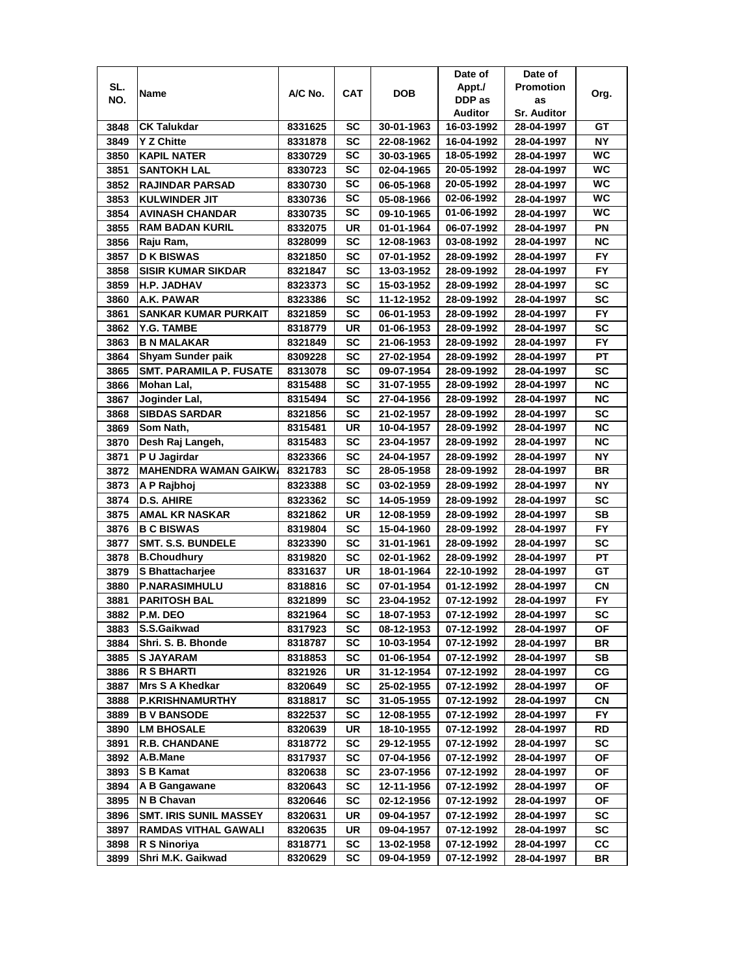|      |                               |         |            |            | Date of    | Date of            |           |
|------|-------------------------------|---------|------------|------------|------------|--------------------|-----------|
| SL.  | Name                          | A/C No. | <b>CAT</b> | <b>DOB</b> | Appt./     | <b>Promotion</b>   | Org.      |
| NO.  |                               |         |            |            | DDP as     | as                 |           |
|      |                               |         |            |            | Auditor    | <b>Sr. Auditor</b> |           |
| 3848 | <b>CK Talukdar</b>            | 8331625 | SC         | 30-01-1963 | 16-03-1992 | 28-04-1997         | GТ        |
| 3849 | <b>Y Z Chitte</b>             | 8331878 | SC         | 22-08-1962 | 16-04-1992 | 28-04-1997         | <b>NY</b> |
| 3850 | <b>KAPIL NATER</b>            | 8330729 | SC         | 30-03-1965 | 18-05-1992 | 28-04-1997         | <b>WC</b> |
| 3851 | <b>SANTOKH LAL</b>            | 8330723 | <b>SC</b>  | 02-04-1965 | 20-05-1992 | 28-04-1997         | WC        |
| 3852 | <b>RAJINDAR PARSAD</b>        | 8330730 | SC         | 06-05-1968 | 20-05-1992 | 28-04-1997         | <b>WC</b> |
| 3853 | <b>KULWINDER JIT</b>          | 8330736 | SC         | 05-08-1966 | 02-06-1992 | 28-04-1997         | <b>WC</b> |
| 3854 | <b>AVINASH CHANDAR</b>        | 8330735 | SC         | 09-10-1965 | 01-06-1992 | 28-04-1997         | WC.       |
| 3855 | <b>RAM BADAN KURIL</b>        | 8332075 | UR         | 01-01-1964 | 06-07-1992 | 28-04-1997         | ΡN        |
| 3856 | Raju Ram,                     | 8328099 | <b>SC</b>  | 12-08-1963 | 03-08-1992 | 28-04-1997         | <b>NC</b> |
| 3857 | <b>D K BISWAS</b>             | 8321850 | <b>SC</b>  | 07-01-1952 | 28-09-1992 | 28-04-1997         | <b>FY</b> |
| 3858 | <b>SISIR KUMAR SIKDAR</b>     | 8321847 | <b>SC</b>  | 13-03-1952 | 28-09-1992 | 28-04-1997         | <b>FY</b> |
| 3859 | H.P. JADHAV                   | 8323373 | <b>SC</b>  | 15-03-1952 | 28-09-1992 | 28-04-1997         | SC        |
| 3860 | A.K. PAWAR                    | 8323386 | SC         | 11-12-1952 | 28-09-1992 | 28-04-1997         | <b>SC</b> |
| 3861 | <b>SANKAR KUMAR PURKAIT</b>   | 8321859 | SC         | 06-01-1953 | 28-09-1992 | 28-04-1997         | FY        |
| 3862 | <b>Y.G. TAMBE</b>             | 8318779 | UR         | 01-06-1953 | 28-09-1992 | 28-04-1997         | SC        |
| 3863 | <b>B N MALAKAR</b>            | 8321849 | SC         | 21-06-1953 | 28-09-1992 | 28-04-1997         | <b>FY</b> |
| 3864 | Shyam Sunder paik             | 8309228 | SC         | 27-02-1954 | 28-09-1992 | 28-04-1997         | PТ        |
| 3865 | SMT. PARAMILA P. FUSATE       | 8313078 | SC         | 09-07-1954 | 28-09-1992 | 28-04-1997         | SC        |
| 3866 | Mohan Lal,                    | 8315488 | SC         | 31-07-1955 | 28-09-1992 | 28-04-1997         | <b>NC</b> |
| 3867 | Joginder Lal,                 | 8315494 | <b>SC</b>  | 27-04-1956 | 28-09-1992 | 28-04-1997         | <b>NC</b> |
| 3868 | <b>SIBDAS SARDAR</b>          | 8321856 | SC         | 21-02-1957 | 28-09-1992 | 28-04-1997         | <b>SC</b> |
| 3869 | Som Nath,                     | 8315481 | UR         | 10-04-1957 | 28-09-1992 | 28-04-1997         | <b>NC</b> |
| 3870 | Desh Raj Langeh,              | 8315483 | <b>SC</b>  | 23-04-1957 | 28-09-1992 | 28-04-1997         | <b>NC</b> |
| 3871 | P U Jagirdar                  | 8323366 | SC         | 24-04-1957 | 28-09-1992 | 28-04-1997         | ΝY        |
| 3872 | <b>MAHENDRA WAMAN GAIKWA</b>  | 8321783 | <b>SC</b>  | 28-05-1958 | 28-09-1992 | 28-04-1997         | <b>BR</b> |
| 3873 | A P Rajbhoj                   | 8323388 | SC         | 03-02-1959 | 28-09-1992 | 28-04-1997         | ΝY        |
| 3874 | <b>D.S. AHIRE</b>             | 8323362 | <b>SC</b>  | 14-05-1959 | 28-09-1992 | 28-04-1997         | SC        |
| 3875 | <b>AMAL KR NASKAR</b>         | 8321862 | UR         | 12-08-1959 | 28-09-1992 | 28-04-1997         | SB        |
| 3876 | <b>B C BISWAS</b>             | 8319804 | SC         | 15-04-1960 | 28-09-1992 | 28-04-1997         | <b>FY</b> |
| 3877 | <b>SMT. S.S. BUNDELE</b>      | 8323390 | SC         | 31-01-1961 | 28-09-1992 | 28-04-1997         | <b>SC</b> |
| 3878 | <b>B.Choudhury</b>            | 8319820 | SC         | 02-01-1962 | 28-09-1992 | 28-04-1997         | PT        |
| 3879 | S Bhattacharjee               | 8331637 | UR         | 18-01-1964 | 22-10-1992 | 28-04-1997         | GТ        |
| 3880 | <b>P.NARASIMHULU</b>          | 8318816 | SC         | 07-01-1954 | 01-12-1992 | 28-04-1997         | СN        |
| 3881 | <b>PARITOSH BAL</b>           | 8321899 | SC         | 23-04-1952 | 07-12-1992 | 28-04-1997         | FY.       |
| 3882 | P.M. DEO                      | 8321964 | <b>SC</b>  | 18-07-1953 | 07-12-1992 | 28-04-1997         | <b>SC</b> |
| 3883 | S.S.Gaikwad                   | 8317923 | <b>SC</b>  | 08-12-1953 | 07-12-1992 | 28-04-1997         | OF        |
| 3884 | Shri. S. B. Bhonde            | 8318787 | SC         | 10-03-1954 | 07-12-1992 | 28-04-1997         | BR        |
| 3885 | <b>S JAYARAM</b>              | 8318853 | SC         | 01-06-1954 | 07-12-1992 | 28-04-1997         | SB        |
| 3886 | <b>R S BHARTI</b>             | 8321926 | UR         | 31-12-1954 | 07-12-1992 | 28-04-1997         | СG        |
| 3887 | Mrs S A Khedkar               | 8320649 | <b>SC</b>  | 25-02-1955 | 07-12-1992 | 28-04-1997         | ΟF        |
| 3888 | <b>P.KRISHNAMURTHY</b>        | 8318817 | SC         | 31-05-1955 | 07-12-1992 | 28-04-1997         | CN        |
| 3889 | <b>B V BANSODE</b>            | 8322537 | <b>SC</b>  | 12-08-1955 | 07-12-1992 | 28-04-1997         | FY.       |
| 3890 | <b>LM BHOSALE</b>             | 8320639 | UR         | 18-10-1955 | 07-12-1992 | 28-04-1997         | RD        |
| 3891 | <b>R.B. CHANDANE</b>          | 8318772 | <b>SC</b>  | 29-12-1955 | 07-12-1992 | 28-04-1997         | SC        |
| 3892 | A.B.Mane                      | 8317937 | <b>SC</b>  | 07-04-1956 | 07-12-1992 | 28-04-1997         | ΟF        |
| 3893 | <b>S B Kamat</b>              | 8320638 | <b>SC</b>  | 23-07-1956 | 07-12-1992 | 28-04-1997         | OF        |
| 3894 | A B Gangawane                 | 8320643 | <b>SC</b>  | 12-11-1956 | 07-12-1992 | 28-04-1997         | ΟF        |
| 3895 | N B Chavan                    | 8320646 | <b>SC</b>  | 02-12-1956 | 07-12-1992 | 28-04-1997         | ΟF        |
| 3896 | <b>SMT. IRIS SUNIL MASSEY</b> | 8320631 | UR         | 09-04-1957 | 07-12-1992 | 28-04-1997         | sc        |
| 3897 | <b>RAMDAS VITHAL GAWALI</b>   | 8320635 | UR         | 09-04-1957 | 07-12-1992 | 28-04-1997         | SC        |
| 3898 | R S Ninoriya                  | 8318771 | SC         | 13-02-1958 | 07-12-1992 | 28-04-1997         | CС        |
| 3899 | Shri M.K. Gaikwad             | 8320629 | SC         | 09-04-1959 | 07-12-1992 | 28-04-1997         | BR        |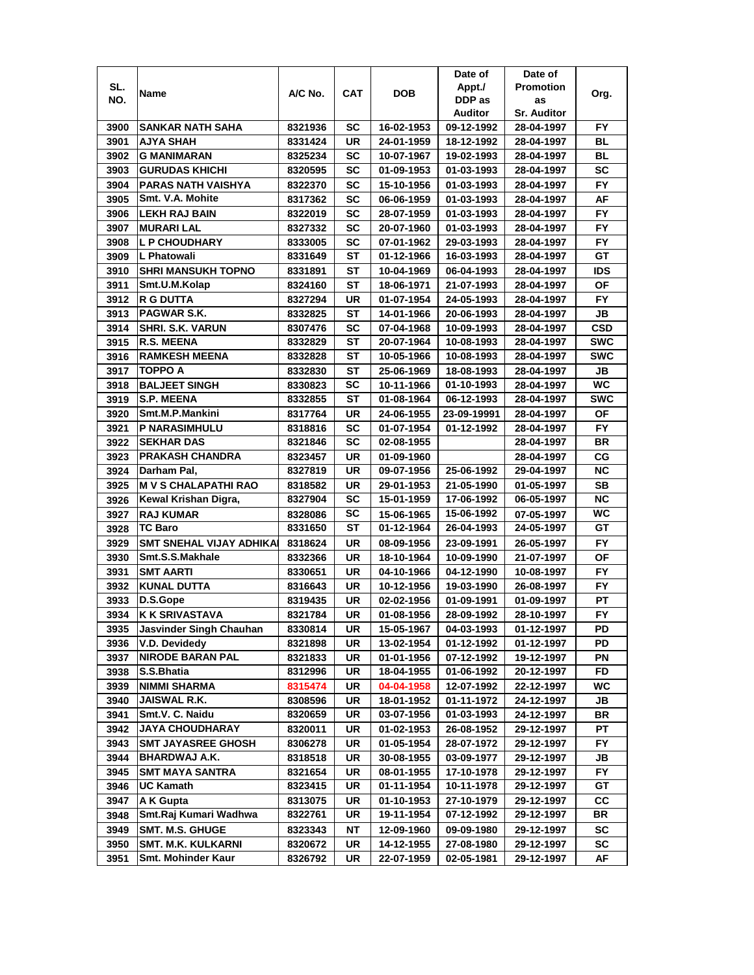|      |                                          |         |     |            | Date of     | Date of            |            |
|------|------------------------------------------|---------|-----|------------|-------------|--------------------|------------|
| SL.  |                                          |         |     |            | Appt./      | <b>Promotion</b>   |            |
| NO.  | Name                                     | A/C No. | CAT | <b>DOB</b> | DDP as      | as                 | Org.       |
|      |                                          |         |     |            | Auditor     | <b>Sr. Auditor</b> |            |
| 3900 | SANKAR NATH SAHA                         | 8321936 | SC  | 16-02-1953 | 09-12-1992  | 28-04-1997         | FY.        |
| 3901 | AJYA SHAH                                | 8331424 | UR  | 24-01-1959 | 18-12-1992  | 28-04-1997         | BL         |
| 3902 | <b>G MANIMARAN</b>                       | 8325234 | SC  | 10-07-1967 | 19-02-1993  | 28-04-1997         | BL         |
| 3903 | <b>GURUDAS KHICHI</b>                    | 8320595 | SC  | 01-09-1953 | 01-03-1993  | 28-04-1997         | SC         |
| 3904 | <b>PARAS NATH VAISHYA</b>                | 8322370 | SC  | 15-10-1956 | 01-03-1993  | 28-04-1997         | <b>FY</b>  |
| 3905 | Smt. V.A. Mohite                         | 8317362 | SC  | 06-06-1959 | 01-03-1993  | 28-04-1997         | AF         |
| 3906 | <b>ILEKH RAJ BAIN</b>                    | 8322019 | SC  | 28-07-1959 | 01-03-1993  | 28-04-1997         | <b>FY</b>  |
| 3907 | <b>MURARI LAL</b>                        | 8327332 | SC  | 20-07-1960 | 01-03-1993  | 28-04-1997         | FY.        |
| 3908 | <b>L P CHOUDHARY</b>                     | 8333005 | SC  | 07-01-1962 | 29-03-1993  | 28-04-1997         | <b>FY</b>  |
| 3909 | L Phatowali                              | 8331649 | SТ  | 01-12-1966 | 16-03-1993  | 28-04-1997         | GТ         |
|      |                                          |         | ST  |            |             |                    | IDS        |
| 3910 | <b>SHRI MANSUKH TOPNO</b>                | 8331891 |     | 10-04-1969 | 06-04-1993  | 28-04-1997         |            |
| 3911 | Smt.U.M.Kolap                            | 8324160 | ST  | 18-06-1971 | 21-07-1993  | 28-04-1997         | ОF         |
| 3912 | <b>R G DUTTA</b>                         | 8327294 | UR  | 01-07-1954 | 24-05-1993  | 28-04-1997         | <b>FY</b>  |
| 3913 | <b>PAGWAR S.K.</b>                       | 8332825 | ST  | 14-01-1966 | 20-06-1993  | 28-04-1997         | JB         |
| 3914 | ISHRI. S.K. VARUN                        | 8307476 | SC  | 07-04-1968 | 10-09-1993  | 28-04-1997         | <b>CSD</b> |
| 3915 | <b>R.S. MEENA</b>                        | 8332829 | SТ  | 20-07-1964 | 10-08-1993  | 28-04-1997         | <b>SWC</b> |
| 3916 | <b>RAMKESH MEENA</b>                     | 8332828 | SТ  | 10-05-1966 | 10-08-1993  | 28-04-1997         | <b>SWC</b> |
| 3917 | TOPPO A                                  | 8332830 | SТ  | 25-06-1969 | 18-08-1993  | 28-04-1997         | JB         |
| 3918 | <b>BALJEET SINGH</b>                     | 8330823 | SC  | 10-11-1966 | 01-10-1993  | 28-04-1997         | WC.        |
| 3919 | <b>S.P. MEENA</b>                        | 8332855 | ST  | 01-08-1964 | 06-12-1993  | 28-04-1997         | <b>SWC</b> |
| 3920 | Smt.M.P.Mankini                          | 8317764 | UR  | 24-06-1955 | 23-09-19991 | 28-04-1997         | ΟF         |
| 3921 | <b>P NARASIMHULU</b>                     | 8318816 | SC  | 01-07-1954 | 01-12-1992  | 28-04-1997         | <b>FY</b>  |
| 3922 | <b>SEKHAR DAS</b>                        | 8321846 | SC  | 02-08-1955 |             | 28-04-1997         | <b>BR</b>  |
| 3923 | <b>PRAKASH CHANDRA</b>                   | 8323457 | UR  | 01-09-1960 |             | 28-04-1997         | СG         |
| 3924 | Darham Pal.                              | 8327819 | UR  | 09-07-1956 | 25-06-1992  | 29-04-1997         | ΝC         |
| 3925 | <b>M V S CHALAPATHI RAO</b>              | 8318582 | UR  | 29-01-1953 | 21-05-1990  | 01-05-1997         | SВ         |
| 3926 | Kewal Krishan Digra,                     | 8327904 | SC  | 15-01-1959 | 17-06-1992  | 06-05-1997         | <b>NC</b>  |
| 3927 | <b>RAJ KUMAR</b>                         | 8328086 | SC  | 15-06-1965 | 15-06-1992  | 07-05-1997         | WC         |
| 3928 | <b>TC Baro</b>                           | 8331650 | ST  | 01-12-1964 | 26-04-1993  | 24-05-1997         | GT         |
| 3929 | <b>SMT SNEHAL VIJAY ADHIKA</b>           | 8318624 | UR  | 08-09-1956 | 23-09-1991  | 26-05-1997         | <b>FY</b>  |
| 3930 | Smt.S.S.Makhale                          | 8332366 | UR  | 18-10-1964 | 10-09-1990  | 21-07-1997         | ΟF         |
| 3931 | <b>SMT AARTI</b>                         | 8330651 | UR  | 04-10-1966 | 04-12-1990  | 10-08-1997         | FY.        |
| 3932 | <b>KUNAL DUTTA</b>                       | 8316643 | UR  | 10-12-1956 | 19-03-1990  | 26-08-1997         | FY.        |
| 3933 | D.S.Gope                                 | 8319435 | UR  | 02-02-1956 | 01-09-1991  | 01-09-1997         | PT         |
| 3934 | <b>K K SRIVASTAVA</b>                    | 8321784 | UR  | 01-08-1956 | 28-09-1992  | 28-10-1997         | FY         |
|      | <b>Jasvinder Singh Chauhan</b>           |         | UR  | 15-05-1967 | 04-03-1993  |                    | PD         |
| 3935 |                                          | 8330814 |     |            |             | 01-12-1997         |            |
| 3936 | V.D. Devidedy<br><b>NIRODE BARAN PAL</b> | 8321898 | UR  | 13-02-1954 | 01-12-1992  | 01-12-1997         | PD         |
| 3937 |                                          | 8321833 | UR  | 01-01-1956 | 07-12-1992  | 19-12-1997         | PN         |
| 3938 | S.S.Bhatia                               | 8312996 | UR  | 18-04-1955 | 01-06-1992  | 20-12-1997         | FD         |
| 3939 | <b>NIMMI SHARMA</b>                      | 8315474 | UR  | 04-04-1958 | 12-07-1992  | 22-12-1997         | WC.        |
| 3940 | JAISWAL R.K.                             | 8308596 | UR  | 18-01-1952 | 01-11-1972  | 24-12-1997         | JB         |
| 3941 | Smt.V. C. Naidu                          | 8320659 | UR  | 03-07-1956 | 01-03-1993  | 24-12-1997         | BR         |
| 3942 | <b>JAYA CHOUDHARAY</b>                   | 8320011 | UR  | 01-02-1953 | 26-08-1952  | 29-12-1997         | РT         |
| 3943 | <b>SMT JAYASREE GHOSH</b>                | 8306278 | UR  | 01-05-1954 | 28-07-1972  | 29-12-1997         | FY.        |
| 3944 | <b>BHARDWAJ A.K.</b>                     | 8318518 | UR  | 30-08-1955 | 03-09-1977  | 29-12-1997         | JB         |
| 3945 | <b>SMT MAYA SANTRA</b>                   | 8321654 | UR  | 08-01-1955 | 17-10-1978  | 29-12-1997         | FY         |
| 3946 | <b>UC Kamath</b>                         | 8323415 | UR  | 01-11-1954 | 10-11-1978  | 29-12-1997         | GT         |
| 3947 | A K Gupta                                | 8313075 | UR  | 01-10-1953 | 27-10-1979  | 29-12-1997         | CС         |
| 3948 | Smt.Raj Kumari Wadhwa                    | 8322761 | UR  | 19-11-1954 | 07-12-1992  | 29-12-1997         | BR         |
| 3949 | <b>SMT. M.S. GHUGE</b>                   | 8323343 | NΤ  | 12-09-1960 | 09-09-1980  | 29-12-1997         | SC         |
| 3950 | <b>SMT. M.K. KULKARNI</b>                | 8320672 | UR  | 14-12-1955 | 27-08-1980  | 29-12-1997         | SC         |
| 3951 | Smt. Mohinder Kaur                       | 8326792 | UR  | 22-07-1959 | 02-05-1981  | 29-12-1997         | AF         |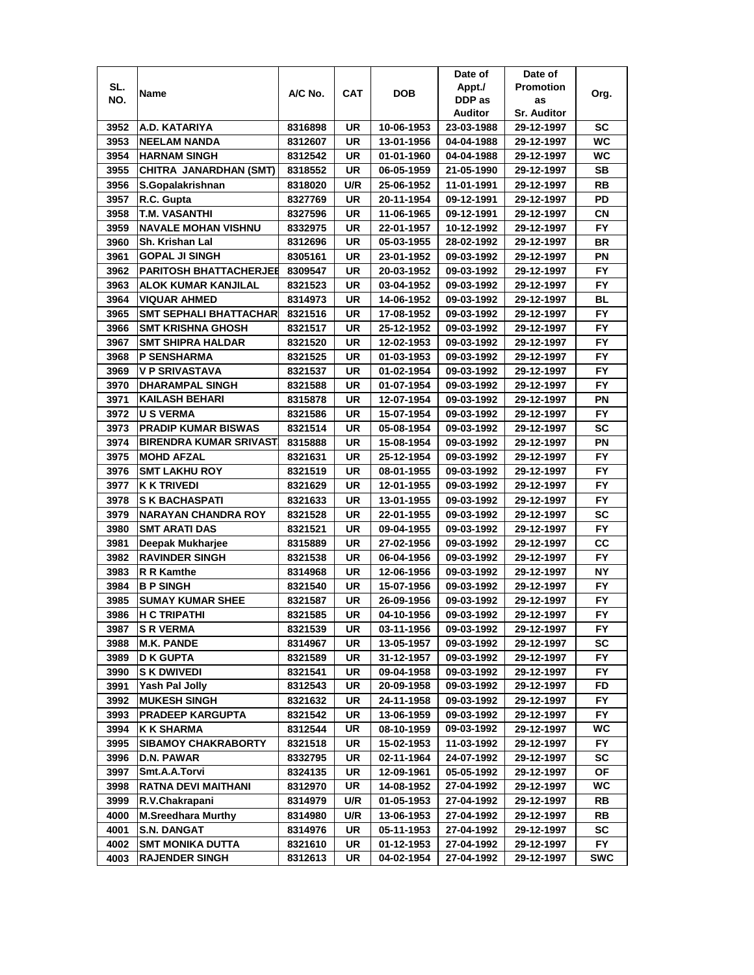|      |                               |                    |            |                          | Date of    | Date of                  |            |
|------|-------------------------------|--------------------|------------|--------------------------|------------|--------------------------|------------|
| SL.  | Name                          | A/C No.            | <b>CAT</b> | DOB                      | Appt./     | <b>Promotion</b>         | Org.       |
| NO.  |                               |                    |            |                          | DDP as     | as                       |            |
|      |                               |                    |            |                          | Auditor    | <b>Sr. Auditor</b>       |            |
| 3952 | A.D. KATARIYA                 | 8316898            | UR         | 10-06-1953               | 23-03-1988 | 29-12-1997               | SC         |
| 3953 | <b>NEELAM NANDA</b>           | 8312607            | UR         | 13-01-1956               | 04-04-1988 | 29-12-1997               | WC         |
| 3954 | <b>HARNAM SINGH</b>           | 8312542            | UR         | 01-01-1960               | 04-04-1988 | 29-12-1997               | WC         |
| 3955 | CHITRA JANARDHAN (SMT)        | 8318552            | UR         | 06-05-1959               | 21-05-1990 | 29-12-1997               | <b>SB</b>  |
| 3956 | S.Gopalakrishnan              | 8318020            | U/R        | 25-06-1952               | 11-01-1991 | 29-12-1997               | RB         |
| 3957 | R.C. Gupta                    | 8327769            | UR         | 20-11-1954               | 09-12-1991 | 29-12-1997               | PD         |
| 3958 | <b>T.M. VASANTHI</b>          | 8327596            | UR         | 11-06-1965               | 09-12-1991 | 29-12-1997               | СN         |
| 3959 | <b>NAVALE MOHAN VISHNU</b>    | 8332975            | UR         | 22-01-1957               | 10-12-1992 | 29-12-1997               | <b>FY</b>  |
| 3960 | Sh. Krishan Lal               | 8312696            | UR         | 05-03-1955               | 28-02-1992 | 29-12-1997               | BR         |
| 3961 | <b>GOPAL JI SINGH</b>         | 8305161            | UR         | 23-01-1952               | 09-03-1992 | 29-12-1997               | PN         |
| 3962 | PARITOSH BHATTACHERJEE        | 8309547            | UR         | 20-03-1952               | 09-03-1992 | 29-12-1997               | <b>FY</b>  |
| 3963 | <b>ALOK KUMAR KANJILAL</b>    | 8321523            | UR         | 03-04-1952               | 09-03-1992 | 29-12-1997               | <b>FY</b>  |
| 3964 | <b>VIQUAR AHMED</b>           | 8314973            | UR         | 14-06-1952               | 09-03-1992 | 29-12-1997               | BL         |
| 3965 | <b>SMT SEPHALI BHATTACHAR</b> | 8321516            | UR         | 17-08-1952               | 09-03-1992 | 29-12-1997               | FY         |
| 3966 | <b>SMT KRISHNA GHOSH</b>      | 8321517            | UR         | 25-12-1952               | 09-03-1992 | 29-12-1997               | FY.        |
| 3967 | <b>SMT SHIPRA HALDAR</b>      | 8321520            | UR         | 12-02-1953               | 09-03-1992 | 29-12-1997               | FY.        |
| 3968 | <b>P SENSHARMA</b>            | 8321525            | UR         | 01-03-1953               | 09-03-1992 | 29-12-1997               | FY.        |
| 3969 | V P SRIVASTAVA                | 8321537            | UR         | 01-02-1954               | 09-03-1992 | 29-12-1997               | FY.        |
| 3970 | <b>DHARAMPAL SINGH</b>        | 8321588            | UR         | 01-07-1954               | 09-03-1992 | 29-12-1997               | <b>FY</b>  |
| 3971 | <b>KAILASH BEHARI</b>         | 8315878            | UR         | 12-07-1954               | 09-03-1992 | 29-12-1997               | PN         |
| 3972 | <b>US VERMA</b>               | 8321586            | UR         | 15-07-1954               | 09-03-1992 | 29-12-1997               | FY         |
| 3973 | <b>PRADIP KUMAR BISWAS</b>    | 8321514            | UR         | 05-08-1954               | 09-03-1992 | 29-12-1997               | <b>SC</b>  |
| 3974 | <b>BIRENDRA KUMAR SRIVAST</b> | 8315888            | UR         | 15-08-1954               | 09-03-1992 | 29-12-1997               | ΡN         |
| 3975 | <b>MOHD AFZAL</b>             | 8321631            | UR         | 25-12-1954               | 09-03-1992 | 29-12-1997               | FY.        |
| 3976 | <b>SMT LAKHU ROY</b>          | 8321519            | UR         | 08-01-1955               | 09-03-1992 | 29-12-1997               | <b>FY</b>  |
| 3977 | K K TRIVEDI                   | 8321629            | UR         | 12-01-1955               | 09-03-1992 | 29-12-1997               | <b>FY</b>  |
| 3978 | <b>S K BACHASPATI</b>         | 8321633            | <b>UR</b>  | 13-01-1955               | 09-03-1992 | 29-12-1997               | <b>FY</b>  |
| 3979 | <b>NARAYAN CHANDRA ROY</b>    | 8321528            | <b>UR</b>  | 22-01-1955               | 09-03-1992 | 29-12-1997               | SC         |
| 3980 | <b>SMT ARATI DAS</b>          | 8321521            | UR         | 09-04-1955               | 09-03-1992 | 29-12-1997               | <b>FY</b>  |
| 3981 | Deepak Mukharjee              | 8315889            | UR         | 27-02-1956               | 09-03-1992 | 29-12-1997               | cc         |
| 3982 | <b>RAVINDER SINGH</b>         | 8321538            | UR         | 06-04-1956               | 09-03-1992 | 29-12-1997               | <b>FY</b>  |
| 3983 | <b>R R Kamthe</b>             | 8314968            | UR         | 12-06-1956               | 09-03-1992 | 29-12-1997               | ΝY         |
| 3984 | <b>B P SINGH</b>              | 8321540            | UR         | 15-07-1956               | 09-03-1992 | 29-12-1997               | FY.        |
| 3985 | <b>SUMAY KUMAR SHEE</b>       | 8321587            | UR         | 26-09-1956               | 09-03-1992 | 29-12-1997               | FY.        |
| 3986 | <b>H C TRIPATHI</b>           |                    | UR         | 04-10-1956               | 09-03-1992 |                          | <b>FY</b>  |
| 3987 | <b>S R VERMA</b>              | 8321585<br>8321539 | UR         | 03-11-1956               | 09-03-1992 | 29-12-1997<br>29-12-1997 | FY         |
| 3988 | <b>M.K. PANDE</b>             | 8314967            | UR         | 13-05-1957               | 09-03-1992 | 29-12-1997               | SC         |
| 3989 | <b>D K GUPTA</b>              | 8321589            | UR         | 31-12-1957               | 09-03-1992 | 29-12-1997               | FY.        |
| 3990 | <b>SK DWIVEDI</b>             | 8321541            | UR         | 09-04-1958               | 09-03-1992 | 29-12-1997               | FY.        |
| 3991 | Yash Pal Jolly                | 8312543            | UR         | 20-09-1958               | 09-03-1992 | 29-12-1997               | FD         |
| 3992 | <b>MUKESH SINGH</b>           | 8321632            | UR         | 24-11-1958               | 09-03-1992 | 29-12-1997               | FY.        |
| 3993 | <b>PRADEEP KARGUPTA</b>       | 8321542            | UR         | 13-06-1959               | 09-03-1992 | 29-12-1997               | FY.        |
| 3994 | K K SHARMA                    | 8312544            | UR         | 08-10-1959               | 09-03-1992 | 29-12-1997               | WC         |
| 3995 | <b>SIBAMOY CHAKRABORTY</b>    |                    | UR         |                          | 11-03-1992 |                          | <b>FY</b>  |
| 3996 | <b>D.N. PAWAR</b>             | 8321518<br>8332795 | UR         | 15-02-1953<br>02-11-1964 | 24-07-1992 | 29-12-1997<br>29-12-1997 | SC         |
| 3997 | Smt.A.A.Torvi                 |                    | UR         | 12-09-1961               | 05-05-1992 | 29-12-1997               | OF         |
| 3998 | RATNA DEVI MAITHANI           | 8324135            | UR         | 14-08-1952               | 27-04-1992 |                          | WC         |
| 3999 | R.V.Chakrapani                | 8312970<br>8314979 | U/R        | 01-05-1953               | 27-04-1992 | 29-12-1997<br>29-12-1997 | RB         |
| 4000 | <b>M.Sreedhara Murthy</b>     | 8314980            | U/R        | 13-06-1953               | 27-04-1992 | 29-12-1997               | RB         |
| 4001 | <b>S.N. DANGAT</b>            | 8314976            | UR         | 05-11-1953               | 27-04-1992 | 29-12-1997               | SC         |
| 4002 | <b>SMT MONIKA DUTTA</b>       | 8321610            | UR         | 01-12-1953               | 27-04-1992 | 29-12-1997               | FY.        |
| 4003 | <b>RAJENDER SINGH</b>         | 8312613            | UR         | 04-02-1954               | 27-04-1992 | 29-12-1997               | <b>SWC</b> |
|      |                               |                    |            |                          |            |                          |            |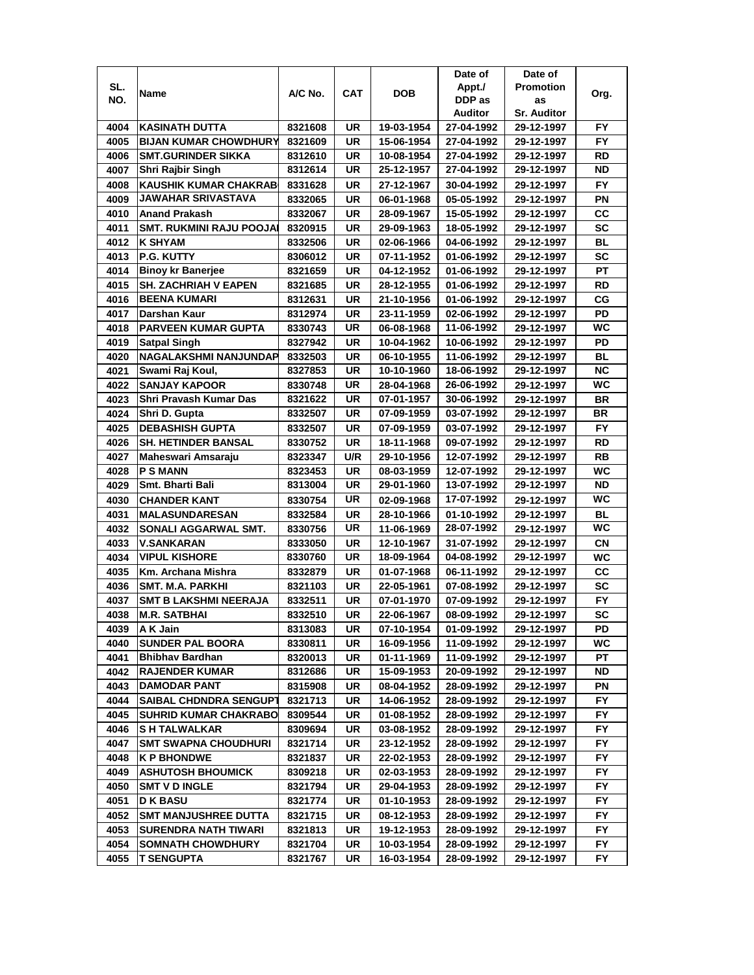|              |                                                     |                    |           |                          | Date of                  | Date of                  |                  |
|--------------|-----------------------------------------------------|--------------------|-----------|--------------------------|--------------------------|--------------------------|------------------|
| SL.          | Name                                                | A/C No.            | CAT       | DOB                      | Appt./                   | <b>Promotion</b>         | Org.             |
| NO.          |                                                     |                    |           |                          | DDP as                   | as                       |                  |
|              |                                                     |                    |           |                          | Auditor                  | <b>Sr. Auditor</b>       |                  |
| 4004         | <b>KASINATH DUTTA</b>                               | 8321608            | UR        | 19-03-1954               | 27-04-1992               | 29-12-1997               | FY.              |
| 4005         | <b>BIJAN KUMAR CHOWDHURY</b>                        | 8321609            | UR        | 15-06-1954               | 27-04-1992               | 29-12-1997               | <b>FY</b>        |
| 4006         | <b>SMT.GURINDER SIKKA</b>                           | 8312610            | UR        | 10-08-1954               | 27-04-1992               | 29-12-1997               | RD               |
| 4007         | Shri Rajbir Singh                                   | 8312614            | UR        | 25-12-1957               | 27-04-1992               | 29-12-1997               | <b>ND</b>        |
| 4008         | <b>KAUSHIK KUMAR CHAKRAB</b>                        | 8331628            | UR        | 27-12-1967               | 30-04-1992               | 29-12-1997               | FY               |
| 4009         | JAWAHAR SRIVASTAVA                                  | 8332065            | UR        | 06-01-1968               | 05-05-1992               | 29-12-1997               | ΡN               |
| 4010         | <b>Anand Prakash</b>                                | 8332067            | UR        | 28-09-1967               | 15-05-1992               | 29-12-1997               | CC               |
| 4011         | SMT. RUKMINI RAJU POOJA                             | 8320915            | UR        | 29-09-1963               | 18-05-1992               | 29-12-1997               | <b>SC</b>        |
| 4012         | <b>K SHYAM</b>                                      | 8332506            | UR        | 02-06-1966               | 04-06-1992               | 29-12-1997               | BL               |
| 4013         | <b>P.G. KUTTY</b>                                   | 8306012            | UR        | 07-11-1952               | 01-06-1992               | 29-12-1997               | <b>SC</b>        |
| 4014         | <b>Binoy kr Banerjee</b>                            | 8321659            | UR        | 04-12-1952               | 01-06-1992               | 29-12-1997               | PT               |
| 4015         | <b>SH. ZACHRIAH V EAPEN</b>                         | 8321685            | UR        | 28-12-1955               | 01-06-1992               | 29-12-1997               | <b>RD</b>        |
| 4016         | <b>BEENA KUMARI</b>                                 | 8312631            | UR        | 21-10-1956               | 01-06-1992               | 29-12-1997               | CG               |
| 4017         | Darshan Kaur                                        | 8312974            | UR        | 23-11-1959               | 02-06-1992               | 29-12-1997               | PD               |
| 4018         | <b>PARVEEN KUMAR GUPTA</b>                          | 8330743            | UR        | 06-08-1968               | 11-06-1992               | 29-12-1997               | WC               |
| 4019         | <b>Satpal Singh</b>                                 | 8327942            | UR        | 10-04-1962               | 10-06-1992               | 29-12-1997               | PD               |
| 4020         | NAGALAKSHMI NANJUNDAP                               | 8332503            | UR        | 06-10-1955               | 11-06-1992               | 29-12-1997               | BL               |
| 4021         | Swami Raj Koul,                                     | 8327853            | UR        | 10-10-1960               | 18-06-1992               | 29-12-1997               | <b>NC</b>        |
| 4022         | <b>SANJAY KAPOOR</b>                                | 8330748            | <b>UR</b> | 28-04-1968               | 26-06-1992               | 29-12-1997               | WC               |
| 4023         | Shri Pravash Kumar Das                              | 8321622            | UR        | 07-01-1957               | 30-06-1992               | 29-12-1997               | <b>BR</b>        |
| 4024         | Shri D. Gupta                                       | 8332507            | <b>UR</b> | 07-09-1959               | 03-07-1992               | 29-12-1997               | <b>BR</b>        |
| 4025         | <b>DEBASHISH GUPTA</b>                              | 8332507            | UR        | 07-09-1959               | 03-07-1992               | 29-12-1997               | FY               |
| 4026         | <b>SH. HETINDER BANSAL</b>                          | 8330752            | <b>UR</b> | 18-11-1968               | 09-07-1992               | 29-12-1997               | <b>RD</b>        |
| 4027         | Maheswari Amsaraju                                  | 8323347            | U/R       | 29-10-1956               | 12-07-1992               | 29-12-1997               | RB               |
| 4028         | <b>PSMANN</b>                                       | 8323453            | UR        | 08-03-1959               | 12-07-1992               | 29-12-1997               | <b>WC</b>        |
| 4029         | Smt. Bharti Bali                                    | 8313004            | UR        | 29-01-1960               | 13-07-1992               | 29-12-1997               | <b>ND</b>        |
| 4030         | <b>CHANDER KANT</b>                                 | 8330754            | UR        | 02-09-1968               | 17-07-1992               | 29-12-1997               | WC               |
| 4031         | <b>MALASUNDARESAN</b>                               | 8332584            | <b>UR</b> | 28-10-1966               | 01-10-1992               | 29-12-1997               | <b>BL</b>        |
| 4032         | SONALI AGGARWAL SMT.                                | 8330756            | <b>UR</b> | 11-06-1969               | 28-07-1992               | 29-12-1997               | WC               |
| 4033         | <b>V.SANKARAN</b>                                   | 8333050            | UR        | 12-10-1967               | 31-07-1992               | 29-12-1997               | <b>CN</b>        |
| 4034         | <b>VIPUL KISHORE</b>                                | 8330760            | UR        | 18-09-1964               | 04-08-1992               | 29-12-1997               | WC               |
| 4035         | Km. Archana Mishra                                  |                    | UR        | 01-07-1968               | 06-11-1992               |                          | СC               |
| 4036         |                                                     | 8332879            | UR        | 22-05-1961               |                          | 29-12-1997<br>29-12-1997 | SC               |
|              | SMT. M.A. PARKHI<br><b>SMT B LAKSHMI NEERAJA</b>    | 8321103            |           | 07-01-1970               | 07-08-1992               |                          |                  |
| 4037         |                                                     | 8332511            | UR        |                          | 07-09-1992               | 29-12-1997               | FY.<br><b>SC</b> |
| 4038         | <b>M.R. SATBHAI</b>                                 | 8332510            | UR        | 22-06-1967<br>07-10-1954 | 08-09-1992               | 29-12-1997               | PD               |
| 4039<br>4040 | A K Jain<br><b>SUNDER PAL BOORA</b>                 | 8313083<br>8330811 | UR<br>UR  | 16-09-1956               | 01-09-1992<br>11-09-1992 | 29-12-1997               | WC               |
|              | <b>Bhibhav Bardhan</b>                              |                    |           |                          |                          | 29-12-1997               | PТ               |
| 4041         | <b>RAJENDER KUMAR</b>                               | 8320013<br>8312686 | UR<br>UR  | 01-11-1969<br>15-09-1953 | 11-09-1992<br>20-09-1992 | 29-12-1997<br>29-12-1997 | ND               |
| 4042         | <b>DAMODAR PANT</b>                                 |                    |           |                          |                          |                          |                  |
| 4043         |                                                     | 8315908            | UR        | 08-04-1952               | 28-09-1992               | 29-12-1997               | ΡN               |
| 4044         | <b>SAIBAL CHDNDRA SENGUPT</b>                       | 8321713            | UR        | 14-06-1952               | 28-09-1992               | 29-12-1997               | FY.              |
| 4045         | <b>SUHRID KUMAR CHAKRABO</b><br><b>SH TALWALKAR</b> | 8309544            | UR        | 01-08-1952               | 28-09-1992               | 29-12-1997               | FY.              |
| 4046         |                                                     | 8309694            | UR        | 03-08-1952               | 28-09-1992               | 29-12-1997               | FY.<br><b>FY</b> |
| 4047         | <b>SMT SWAPNA CHOUDHURI</b>                         | 8321714            | UR        | 23-12-1952               | 28-09-1992               | 29-12-1997               |                  |
| 4048         | <b>K P BHONDWE</b>                                  | 8321837            | UR        | 22-02-1953               | 28-09-1992               | 29-12-1997               | FY               |
| 4049         | <b>ASHUTOSH BHOUMICK</b>                            | 8309218            | UR        | 02-03-1953               | 28-09-1992               | 29-12-1997               | FY.              |
| 4050         | <b>SMT V D INGLE</b>                                | 8321794            | UR        | 29-04-1953               | 28-09-1992               | 29-12-1997               | FY               |
| 4051         | <b>D K BASU</b>                                     | 8321774            | UR        | 01-10-1953               | 28-09-1992               | 29-12-1997               | FY.              |
| 4052         | <b>SMT MANJUSHREE DUTTA</b>                         | 8321715            | UR        | 08-12-1953               | 28-09-1992               | 29-12-1997               | FY.              |
| 4053         | SURENDRA NATH TIWARI                                | 8321813            | UR        | 19-12-1953               | 28-09-1992               | 29-12-1997               | FY               |
| 4054         | <b>SOMNATH CHOWDHURY</b>                            | 8321704            | UR        | 10-03-1954               | 28-09-1992               | 29-12-1997               | FΥ               |
| 4055         | T SENGUPTA                                          | 8321767            | UR        | 16-03-1954               | 28-09-1992               | 29-12-1997               | FY.              |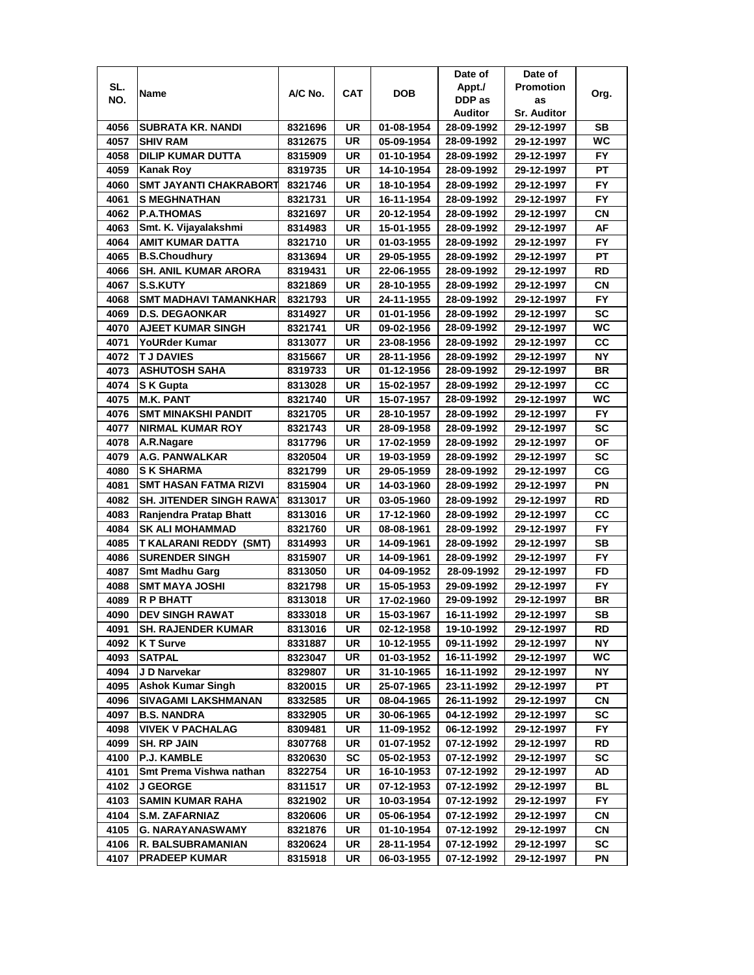|              |                                 |                    |            |                          | Date of                  | Date of                  |           |
|--------------|---------------------------------|--------------------|------------|--------------------------|--------------------------|--------------------------|-----------|
| SL.          |                                 | A/C No.            | <b>CAT</b> | DOB                      | Appt./                   | <b>Promotion</b>         |           |
| NO.          | Name                            |                    |            |                          | DDP as                   | as                       | Org.      |
|              |                                 |                    |            |                          | Auditor                  | <b>Sr. Auditor</b>       |           |
| 4056         | <b>SUBRATA KR. NANDI</b>        | 8321696            | UR         | 01-08-1954               | 28-09-1992               | 29-12-1997               | SВ        |
| 4057         | <b>SHIV RAM</b>                 | 8312675            | UR         | 05-09-1954               | 28-09-1992               | 29-12-1997               | WC.       |
| 4058         | <b>DILIP KUMAR DUTTA</b>        | 8315909            | UR         | 01-10-1954               | 28-09-1992               | 29-12-1997               | <b>FY</b> |
| 4059         | <b>Kanak Roy</b>                | 8319735            | UR         | 14-10-1954               | 28-09-1992               | 29-12-1997               | PT        |
| 4060         | <b>SMT JAYANTI CHAKRABORT</b>   | 8321746            | UR         | 18-10-1954               | 28-09-1992               | 29-12-1997               | FY        |
| 4061         | <b>S MEGHNATHAN</b>             | 8321731            | UR         | 16-11-1954               | 28-09-1992               | 29-12-1997               | FY        |
| 4062         | <b>P.A.THOMAS</b>               | 8321697            | UR         | 20-12-1954               | 28-09-1992               | 29-12-1997               | CN        |
| 4063         | Smt. K. Vijayalakshmi           | 8314983            | UR         | 15-01-1955               | 28-09-1992               | 29-12-1997               | AF        |
| 4064         | <b>AMIT KUMAR DATTA</b>         | 8321710            | UR         | 01-03-1955               | 28-09-1992               | 29-12-1997               | <b>FY</b> |
| 4065         | <b>B.S.Choudhury</b>            | 8313694            | UR         | 29-05-1955               | 28-09-1992               | 29-12-1997               | РT        |
| 4066         | <b>SH. ANIL KUMAR ARORA</b>     | 8319431            | UR         | 22-06-1955               | 28-09-1992               | 29-12-1997               | <b>RD</b> |
| 4067         | S.S.KUTY                        | 8321869            | UR         | 28-10-1955               | 28-09-1992               | 29-12-1997               | СN        |
| 4068         | <b>SMT MADHAVI TAMANKHAR</b>    | 8321793            | UR         | 24-11-1955               | 28-09-1992               | 29-12-1997               | <b>FY</b> |
| 4069         | <b>D.S. DEGAONKAR</b>           | 8314927            | UR         | 01-01-1956               | 28-09-1992               | 29-12-1997               | <b>SC</b> |
| 4070         | <b>AJEET KUMAR SINGH</b>        | 8321741            | UR         | 09-02-1956               | 28-09-1992               | 29-12-1997               | WС        |
| 4071         | <b>YoURder Kumar</b>            | 8313077            | UR         | 23-08-1956               | 28-09-1992               | 29-12-1997               | СC        |
| 4072         | <b>TJ DAVIES</b>                | 8315667            | UR         | 28-11-1956               | 28-09-1992               | 29-12-1997               | <b>NY</b> |
| 4073         | <b>ASHUTOSH SAHA</b>            | 8319733            | UR         | 01-12-1956               | 28-09-1992               | 29-12-1997               | BR        |
| 4074         | S K Gupta                       | 8313028            | UR         | 15-02-1957               | 28-09-1992               | 29-12-1997               | <b>CC</b> |
| 4075         | <b>M.K. PANT</b>                | 8321740            | <b>UR</b>  | 15-07-1957               | 28-09-1992               | 29-12-1997               | WC        |
| 4076         | <b>SMT MINAKSHI PANDIT</b>      | 8321705            | UR         | 28-10-1957               | 28-09-1992               | 29-12-1997               | <b>FY</b> |
| 4077         | <b>NIRMAL KUMAR ROY</b>         | 8321743            | UR         | 28-09-1958               | 28-09-1992               | 29-12-1997               | <b>SC</b> |
| 4078         | A.R.Nagare                      | 8317796            | UR         | 17-02-1959               | 28-09-1992               | 29-12-1997               | <b>OF</b> |
| 4079         | <b>A.G. PANWALKAR</b>           | 8320504            | UR         | 19-03-1959               | 28-09-1992               | 29-12-1997               | <b>SC</b> |
| 4080         | <b>S K SHARMA</b>               |                    | UR         |                          |                          |                          | CG        |
|              | <b>SMT HASAN FATMA RIZVI</b>    | 8321799            |            | 29-05-1959               | 28-09-1992               | 29-12-1997               |           |
| 4081<br>4082 | <b>SH. JITENDER SINGH RAWAT</b> | 8315904            | UR<br>UR   | 14-03-1960               | 28-09-1992               | 29-12-1997               | ΡN<br>RD  |
| 4083         | Ranjendra Pratap Bhatt          | 8313017<br>8313016 | UR         | 03-05-1960<br>17-12-1960 | 28-09-1992<br>28-09-1992 | 29-12-1997<br>29-12-1997 | CC        |
| 4084         | <b>SK ALI MOHAMMAD</b>          | 8321760            | <b>UR</b>  | 08-08-1961               | 28-09-1992               | 29-12-1997               | <b>FY</b> |
| 4085         | <b>T KALARANI REDDY (SMT)</b>   | 8314993            | UR         | 14-09-1961               | 28-09-1992               | 29-12-1997               | <b>SB</b> |
|              | <b>SURENDER SINGH</b>           | 8315907            |            |                          |                          | 29-12-1997               | <b>FY</b> |
| 4086         |                                 |                    | UR         | 14-09-1961               | 28-09-1992               |                          |           |
| 4087         | <b>Smt Madhu Garg</b>           | 8313050            | UR         | 04-09-1952               | 28-09-1992               | 29-12-1997               | FD        |
| 4088         | <b>SMT MAYA JOSHI</b>           | 8321798            | UR         | 15-05-1953               | 29-09-1992               | 29-12-1997               | FY.       |
| 4089         | <b>R P BHATT</b>                | 8313018            | <b>UR</b>  | 17-02-1960               | 29-09-1992               | 29-12-1997               | BR        |
| 4090         | <b>DEV SINGH RAWAT</b>          | 8333018            | UR         | 15-03-1967               | 16-11-1992               | 29-12-1997               | SB        |
| 4091         | <b>SH. RAJENDER KUMAR</b>       | 8313016            | UR         | 02-12-1958               | 19-10-1992               | 29-12-1997               | RD        |
| 4092         | K T Surve                       | 8331887            | UR         | 10-12-1955               | 09-11-1992               | 29-12-1997               | NΥ        |
| 4093         | <b>SATPAL</b>                   | 8323047            | UR         | 01-03-1952               | 16-11-1992               | 29-12-1997               | WC        |
| 4094         | J D Narvekar                    | 8329807            | UR         | 31-10-1965               | 16-11-1992               | 29-12-1997               | NΥ        |
| 4095         | <b>Ashok Kumar Singh</b>        | 8320015            | UR         | 25-07-1965               | 23-11-1992               | 29-12-1997               | PT        |
| 4096         | SIVAGAMI LAKSHMANAN             | 8332585            | UR         | 08-04-1965               | 26-11-1992               | 29-12-1997               | CN        |
| 4097         | <b>B.S. NANDRA</b>              | 8332905            | UR         | 30-06-1965               | 04-12-1992               | 29-12-1997               | SC        |
| 4098         | <b>VIVEK V PACHALAG</b>         | 8309481            | UR         | 11-09-1952               | 06-12-1992               | 29-12-1997               | FY.       |
| 4099         | <b>SH. RP JAIN</b>              | 8307768            | UR         | 01-07-1952               | 07-12-1992               | 29-12-1997               | RD        |
| 4100         | <b>P.J. KAMBLE</b>              | 8320630            | <b>SC</b>  | 05-02-1953               | 07-12-1992               | 29-12-1997               | SC        |
| 4101         | Smt Prema Vishwa nathan         | 8322754            | UR         | 16-10-1953               | 07-12-1992               | 29-12-1997               | AD        |
| 4102         | <b>J GEORGE</b>                 | 8311517            | UR         | 07-12-1953               | 07-12-1992               | 29-12-1997               | BL        |
| 4103         | <b>SAMIN KUMAR RAHA</b>         | 8321902            | UR         | 10-03-1954               | 07-12-1992               | 29-12-1997               | FY        |
| 4104         | <b>S.M. ZAFARNIAZ</b>           | 8320606            | UR         | 05-06-1954               | 07-12-1992               | 29-12-1997               | СN        |
| 4105         | <b>G. NARAYANASWAMY</b>         | 8321876            | UR         | 01-10-1954               | 07-12-1992               | 29-12-1997               | СN        |
| 4106         | R. BALSUBRAMANIAN               | 8320624            | UR         | 28-11-1954               | 07-12-1992               | 29-12-1997               | SC        |
| 4107         | PRADEEP KUMAR                   | 8315918            | UR         | 06-03-1955               | 07-12-1992               | 29-12-1997               | ΡN        |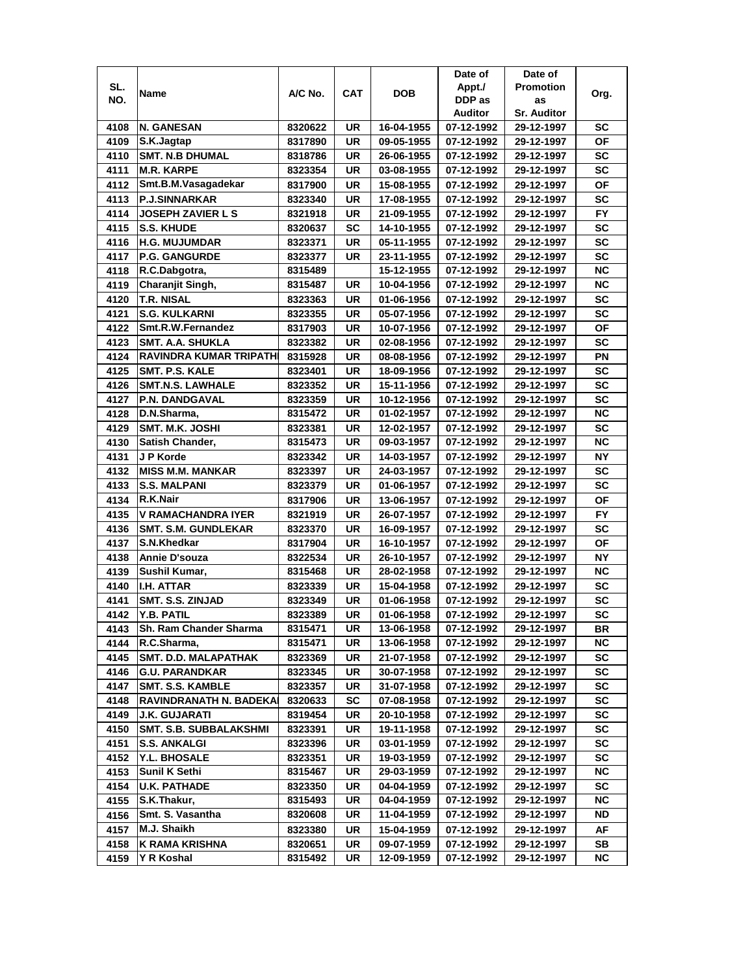|      |                                                   |         |           |            | Date of        | Date of            |           |
|------|---------------------------------------------------|---------|-----------|------------|----------------|--------------------|-----------|
| SL.  |                                                   |         |           |            | Appt./         | <b>Promotion</b>   |           |
| NO.  | Name                                              | A/C No. | CAT       | <b>DOB</b> | DDP as         | as                 | Org.      |
|      |                                                   |         |           |            | <b>Auditor</b> | <b>Sr. Auditor</b> |           |
| 4108 | <b>N. GANESAN</b>                                 | 8320622 | UR        | 16-04-1955 | 07-12-1992     | 29-12-1997         | SC        |
| 4109 | S.K.Jagtap                                        | 8317890 | UR        | 09-05-1955 | 07-12-1992     | 29-12-1997         | ΟF        |
| 4110 | <b>SMT. N.B DHUMAL</b>                            | 8318786 | <b>UR</b> | 26-06-1955 | 07-12-1992     | 29-12-1997         | SC        |
| 4111 | <b>M.R. KARPE</b>                                 | 8323354 | UR        | 03-08-1955 | 07-12-1992     | 29-12-1997         | SC        |
| 4112 | Smt.B.M.Vasagadekar                               | 8317900 | UR        | 15-08-1955 | 07-12-1992     | 29-12-1997         | OF        |
| 4113 | <b>P.J.SINNARKAR</b>                              | 8323340 | UR        | 17-08-1955 | 07-12-1992     | 29-12-1997         | <b>SC</b> |
| 4114 | <b>JOSEPH ZAVIER L S</b>                          | 8321918 | <b>UR</b> | 21-09-1955 | 07-12-1992     | 29-12-1997         | <b>FY</b> |
| 4115 | <b>S.S. KHUDE</b>                                 | 8320637 | SC        | 14-10-1955 | 07-12-1992     | 29-12-1997         | <b>SC</b> |
| 4116 | <b>H.G. MUJUMDAR</b>                              | 8323371 | UR        | 05-11-1955 | 07-12-1992     | 29-12-1997         | <b>SC</b> |
| 4117 | <b>P.G. GANGURDE</b>                              | 8323377 | UR        | 23-11-1955 | 07-12-1992     | 29-12-1997         | SC        |
| 4118 | R.C.Dabgotra,                                     | 8315489 |           | 15-12-1955 | 07-12-1992     | 29-12-1997         | <b>NC</b> |
| 4119 | Charanjit Singh,                                  | 8315487 | UR        | 10-04-1956 | 07-12-1992     | 29-12-1997         | <b>NC</b> |
| 4120 | <b>T.R. NISAL</b>                                 | 8323363 | <b>UR</b> | 01-06-1956 | 07-12-1992     | 29-12-1997         | <b>SC</b> |
| 4121 | <b>S.G. KULKARNI</b>                              | 8323355 | UR        | 05-07-1956 | 07-12-1992     | 29-12-1997         | <b>SC</b> |
| 4122 | Smt.R.W.Fernandez                                 |         | UR        |            | 07-12-1992     |                    | <b>OF</b> |
| 4123 |                                                   | 8317903 |           | 10-07-1956 |                | 29-12-1997         |           |
|      | SMT. A.A. SHUKLA<br><b>RAVINDRA KUMAR TRIPATH</b> | 8323382 | UR        | 02-08-1956 | 07-12-1992     | 29-12-1997         | SC        |
| 4124 |                                                   | 8315928 | UR        | 08-08-1956 | 07-12-1992     | 29-12-1997         | PN        |
| 4125 | SMT. P.S. KALE                                    | 8323401 | UR        | 18-09-1956 | 07-12-1992     | 29-12-1997         | SC        |
| 4126 | <b>SMT.N.S. LAWHALE</b>                           | 8323352 | UR        | 15-11-1956 | 07-12-1992     | 29-12-1997         | SC        |
| 4127 | <b>P.N. DANDGAVAL</b>                             | 8323359 | UR        | 10-12-1956 | 07-12-1992     | 29-12-1997         | SC        |
| 4128 | D.N.Sharma,                                       | 8315472 | UR        | 01-02-1957 | 07-12-1992     | 29-12-1997         | <b>NC</b> |
| 4129 | <b>SMT. M.K. JOSHI</b>                            | 8323381 | UR        | 12-02-1957 | 07-12-1992     | 29-12-1997         | <b>SC</b> |
| 4130 | Satish Chander,                                   | 8315473 | <b>UR</b> | 09-03-1957 | 07-12-1992     | 29-12-1997         | <b>NC</b> |
| 4131 | J P Korde                                         | 8323342 | <b>UR</b> | 14-03-1957 | 07-12-1992     | 29-12-1997         | <b>NY</b> |
| 4132 | <b>MISS M.M. MANKAR</b>                           | 8323397 | UR        | 24-03-1957 | 07-12-1992     | 29-12-1997         | <b>SC</b> |
| 4133 | <b>S.S. MALPANI</b>                               | 8323379 | UR        | 01-06-1957 | 07-12-1992     | 29-12-1997         | <b>SC</b> |
| 4134 | R.K.Nair                                          | 8317906 | UR        | 13-06-1957 | 07-12-1992     | 29-12-1997         | OF        |
| 4135 | <b>V RAMACHANDRA IYER</b>                         | 8321919 | UR        | 26-07-1957 | 07-12-1992     | 29-12-1997         | <b>FY</b> |
| 4136 | <b>SMT. S.M. GUNDLEKAR</b>                        | 8323370 | <b>UR</b> | 16-09-1957 | 07-12-1992     | 29-12-1997         | SC        |
| 4137 | S.N.Khedkar                                       | 8317904 | <b>UR</b> | 16-10-1957 | 07-12-1992     | 29-12-1997         | <b>OF</b> |
| 4138 | Annie D'souza                                     | 8322534 | UR        | 26-10-1957 | 07-12-1992     | 29-12-1997         | <b>NY</b> |
| 4139 | Sushil Kumar,                                     | 8315468 | UR        | 28-02-1958 | 07-12-1992     | 29-12-1997         | <b>NC</b> |
| 4140 | I.H. ATTAR                                        | 8323339 | UR        | 15-04-1958 | 07-12-1992     | 29-12-1997         | SC        |
| 4141 | SMT. S.S. ZINJAD                                  | 8323349 | UR        | 01-06-1958 | 07-12-1992     | 29-12-1997         | <b>SC</b> |
| 4142 | Y.B. PATIL                                        | 8323389 | UR        | 01-06-1958 | 07-12-1992     | 29-12-1997         | SC        |
| 4143 | Sh. Ram Chander Sharma                            | 8315471 | UR        | 13-06-1958 | 07-12-1992     | 29-12-1997         | BR        |
| 4144 | R.C.Sharma,                                       | 8315471 | UR        | 13-06-1958 | 07-12-1992     | 29-12-1997         | NC        |
| 4145 | SMT. D.D. MALAPATHAK                              | 8323369 | UR        | 21-07-1958 | 07-12-1992     | 29-12-1997         | SC        |
| 4146 | <b>G.U. PARANDKAR</b>                             | 8323345 | UR        | 30-07-1958 | 07-12-1992     | 29-12-1997         | SC        |
| 4147 | <b>SMT. S.S. KAMBLE</b>                           | 8323357 | UR        | 31-07-1958 | 07-12-1992     | 29-12-1997         | SC        |
| 4148 | RAVINDRANATH N. BADEKA                            | 8320633 | SC        | 07-08-1958 | 07-12-1992     | 29-12-1997         | SC        |
| 4149 | <b>J.K. GUJARATI</b>                              | 8319454 | UR        | 20-10-1958 | 07-12-1992     | 29-12-1997         | SC        |
| 4150 | <b>SMT. S.B. SUBBALAKSHMI</b>                     | 8323391 | UR        | 19-11-1958 | 07-12-1992     | 29-12-1997         | SC        |
| 4151 | <b>S.S. ANKALGI</b>                               | 8323396 | UR        | 03-01-1959 | 07-12-1992     | 29-12-1997         | SC        |
| 4152 | Y.L. BHOSALE                                      | 8323351 | UR        | 19-03-1959 | 07-12-1992     | 29-12-1997         | SC        |
| 4153 | <b>Sunil K Sethi</b>                              | 8315467 | UR        | 29-03-1959 | 07-12-1992     | 29-12-1997         | NC.       |
| 4154 | <b>U.K. PATHADE</b>                               | 8323350 | UR        | 04-04-1959 | 07-12-1992     | 29-12-1997         | <b>SC</b> |
| 4155 | S.K.Thakur,                                       | 8315493 | UR        | 04-04-1959 | 07-12-1992     | 29-12-1997         | NC.       |
| 4156 | Smt. S. Vasantha                                  | 8320608 | UR        | 11-04-1959 | 07-12-1992     | 29-12-1997         | ND        |
| 4157 | M.J. Shaikh                                       | 8323380 | UR        | 15-04-1959 | 07-12-1992     | 29-12-1997         | AF        |
| 4158 | K RAMA KRISHNA                                    | 8320651 | UR        | 09-07-1959 | 07-12-1992     | 29-12-1997         | SB        |
| 4159 | Y R Koshal                                        | 8315492 | UR        | 12-09-1959 | 07-12-1992     | 29-12-1997         | NC.       |
|      |                                                   |         |           |            |                |                    |           |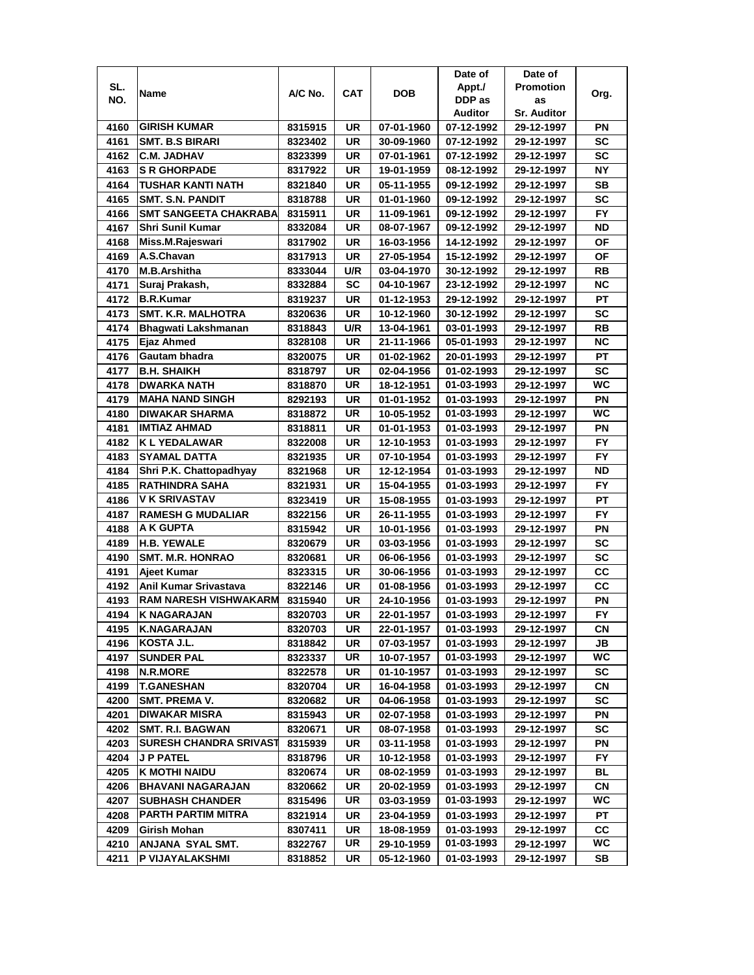|      |                               |         |            |            | Date of    | Date of            |           |
|------|-------------------------------|---------|------------|------------|------------|--------------------|-----------|
| SL.  | Name                          | A/C No. | <b>CAT</b> | <b>DOB</b> | Appt./     | <b>Promotion</b>   | Org.      |
| NO.  |                               |         |            |            | DDP as     | as                 |           |
|      |                               |         |            |            | Auditor    | <b>Sr. Auditor</b> |           |
| 4160 | <b>GIRISH KUMAR</b>           | 8315915 | UR         | 07-01-1960 | 07-12-1992 | 29-12-1997         | ΡN        |
| 4161 | <b>SMT. B.S BIRARI</b>        | 8323402 | <b>UR</b>  | 30-09-1960 | 07-12-1992 | 29-12-1997         | <b>SC</b> |
| 4162 | <b>C.M. JADHAV</b>            | 8323399 | UR         | 07-01-1961 | 07-12-1992 | 29-12-1997         | <b>SC</b> |
| 4163 | <b>S R GHORPADE</b>           | 8317922 | UR         | 19-01-1959 | 08-12-1992 | 29-12-1997         | <b>NY</b> |
| 4164 | <b>TUSHAR KANTI NATH</b>      | 8321840 | UR         | 05-11-1955 | 09-12-1992 | 29-12-1997         | <b>SB</b> |
| 4165 | <b>SMT. S.N. PANDIT</b>       | 8318788 | <b>UR</b>  | 01-01-1960 | 09-12-1992 | 29-12-1997         | <b>SC</b> |
| 4166 | <b>SMT SANGEETA CHAKRABA</b>  | 8315911 | UR         | 11-09-1961 | 09-12-1992 | 29-12-1997         | <b>FY</b> |
| 4167 | Shri Sunil Kumar              | 8332084 | UR         | 08-07-1967 | 09-12-1992 | 29-12-1997         | <b>ND</b> |
| 4168 | Miss.M.Rajeswari              | 8317902 | UR         | 16-03-1956 | 14-12-1992 | 29-12-1997         | ΟF        |
| 4169 | A.S.Chavan                    | 8317913 | UR         | 27-05-1954 | 15-12-1992 | 29-12-1997         | OF        |
| 4170 | <b>M.B.Arshitha</b>           | 8333044 | U/R        | 03-04-1970 | 30-12-1992 | 29-12-1997         | RB        |
| 4171 | Suraj Prakash,                | 8332884 | <b>SC</b>  | 04-10-1967 | 23-12-1992 | 29-12-1997         | <b>NC</b> |
| 4172 | <b>B.R.Kumar</b>              | 8319237 | UR         | 01-12-1953 | 29-12-1992 | 29-12-1997         | PT        |
| 4173 | <b>SMT. K.R. MALHOTRA</b>     | 8320636 | <b>UR</b>  | 10-12-1960 | 30-12-1992 | 29-12-1997         | <b>SC</b> |
| 4174 | Bhagwati Lakshmanan           | 8318843 | U/R        | 13-04-1961 | 03-01-1993 | 29-12-1997         | RB        |
| 4175 | <b>Ejaz Ahmed</b>             | 8328108 | <b>UR</b>  | 21-11-1966 | 05-01-1993 | 29-12-1997         | <b>NC</b> |
| 4176 | Gautam bhadra                 | 8320075 | UR         | 01-02-1962 | 20-01-1993 | 29-12-1997         | РT        |
| 4177 | <b>B.H. SHAIKH</b>            | 8318797 | UR         | 02-04-1956 | 01-02-1993 | 29-12-1997         | SC        |
| 4178 | <b>DWARKA NATH</b>            | 8318870 | UR         | 18-12-1951 | 01-03-1993 | 29-12-1997         | WC        |
| 4179 | <b>MAHA NAND SINGH</b>        | 8292193 | UR         | 01-01-1952 | 01-03-1993 | 29-12-1997         | PN        |
| 4180 | <b>DIWAKAR SHARMA</b>         | 8318872 | <b>UR</b>  | 10-05-1952 | 01-03-1993 | 29-12-1997         | WC        |
| 4181 | <b>IMTIAZ AHMAD</b>           | 8318811 | UR         | 01-01-1953 | 01-03-1993 | 29-12-1997         | PN        |
| 4182 | K L YEDALAWAR                 | 8322008 | <b>UR</b>  | 12-10-1953 | 01-03-1993 | 29-12-1997         | <b>FY</b> |
| 4183 | <b>SYAMAL DATTA</b>           | 8321935 | UR         | 07-10-1954 | 01-03-1993 | 29-12-1997         | <b>FY</b> |
| 4184 | Shri P.K. Chattopadhyay       | 8321968 | UR         | 12-12-1954 | 01-03-1993 | 29-12-1997         | <b>ND</b> |
| 4185 | <b>RATHINDRA SAHA</b>         | 8321931 | UR         | 15-04-1955 | 01-03-1993 | 29-12-1997         | <b>FY</b> |
| 4186 | <b>V K SRIVASTAV</b>          | 8323419 | UR         | 15-08-1955 | 01-03-1993 | 29-12-1997         | PT        |
| 4187 | <b>RAMESH G MUDALIAR</b>      | 8322156 | <b>UR</b>  | 26-11-1955 | 01-03-1993 | 29-12-1997         | <b>FY</b> |
| 4188 | <b>A K GUPTA</b>              | 8315942 | <b>UR</b>  | 10-01-1956 | 01-03-1993 | 29-12-1997         | PN        |
| 4189 | <b>H.B. YEWALE</b>            | 8320679 | <b>UR</b>  | 03-03-1956 | 01-03-1993 | 29-12-1997         | <b>SC</b> |
| 4190 | <b>SMT. M.R. HONRAO</b>       | 8320681 | <b>UR</b>  | 06-06-1956 | 01-03-1993 | 29-12-1997         | <b>SC</b> |
| 4191 | <b>Ajeet Kumar</b>            | 8323315 | UR         | 30-06-1956 | 01-03-1993 | 29-12-1997         | СC        |
| 4192 | Anil Kumar Srivastava         | 8322146 | UR         | 01-08-1956 | 01-03-1993 | 29-12-1997         | CC        |
| 4193 | <b>RAM NARESH VISHWAKARM</b>  | 8315940 | UR         | 24-10-1956 | 01-03-1993 | 29-12-1997         | ΡN        |
| 4194 | <b>K NAGARAJAN</b>            | 8320703 | UR         | 22-01-1957 | 01-03-1993 | 29-12-1997         | <b>FY</b> |
| 4195 | <b>K.NAGARAJAN</b>            | 8320703 | UR         | 22-01-1957 | 01-03-1993 | 29-12-1997         | СN        |
| 4196 | KOSTA J.L.                    | 8318842 | UR         | 07-03-1957 | 01-03-1993 | 29-12-1997         | JB        |
| 4197 | <b>SUNDER PAL</b>             | 8323337 | UR         | 10-07-1957 | 01-03-1993 | 29-12-1997         | WC.       |
| 4198 | <b>N.R.MORE</b>               | 8322578 | UR         | 01-10-1957 | 01-03-1993 | 29-12-1997         | SC        |
| 4199 | <b>T.GANESHAN</b>             | 8320704 | UR         | 16-04-1958 | 01-03-1993 | 29-12-1997         | СN        |
| 4200 | <b>SMT. PREMA V.</b>          | 8320682 | UR         | 04-06-1958 | 01-03-1993 | 29-12-1997         | SC        |
| 4201 | <b>DIWAKAR MISRA</b>          | 8315943 | UR         | 02-07-1958 | 01-03-1993 | 29-12-1997         | PN        |
| 4202 | <b>SMT. R.I. BAGWAN</b>       | 8320671 | UR         | 08-07-1958 | 01-03-1993 | 29-12-1997         | SC        |
| 4203 | <b>SURESH CHANDRA SRIVAST</b> | 8315939 | UR         | 03-11-1958 | 01-03-1993 | 29-12-1997         | ΡN        |
| 4204 | <b>J P PATEL</b>              | 8318796 | UR         | 10-12-1958 | 01-03-1993 | 29-12-1997         | FY.       |
| 4205 | <b>K MOTHI NAIDU</b>          | 8320674 | UR         | 08-02-1959 | 01-03-1993 | 29-12-1997         | <b>BL</b> |
| 4206 | <b>BHAVANI NAGARAJAN</b>      | 8320662 | UR         | 20-02-1959 | 01-03-1993 | 29-12-1997         | CN        |
| 4207 | <b>SUBHASH CHANDER</b>        | 8315496 | UR         | 03-03-1959 | 01-03-1993 | 29-12-1997         | WC        |
| 4208 | PARTH PARTIM MITRA            | 8321914 | UR         | 23-04-1959 | 01-03-1993 | 29-12-1997         | PT        |
| 4209 | Girish Mohan                  | 8307411 | UR         | 18-08-1959 | 01-03-1993 | 29-12-1997         | СC        |
| 4210 | ANJANA SYAL SMT.              | 8322767 | UR         | 29-10-1959 | 01-03-1993 | 29-12-1997         | WC.       |
| 4211 | P VIJAYALAKSHMI               | 8318852 | UR         | 05-12-1960 | 01-03-1993 | 29-12-1997         | SB        |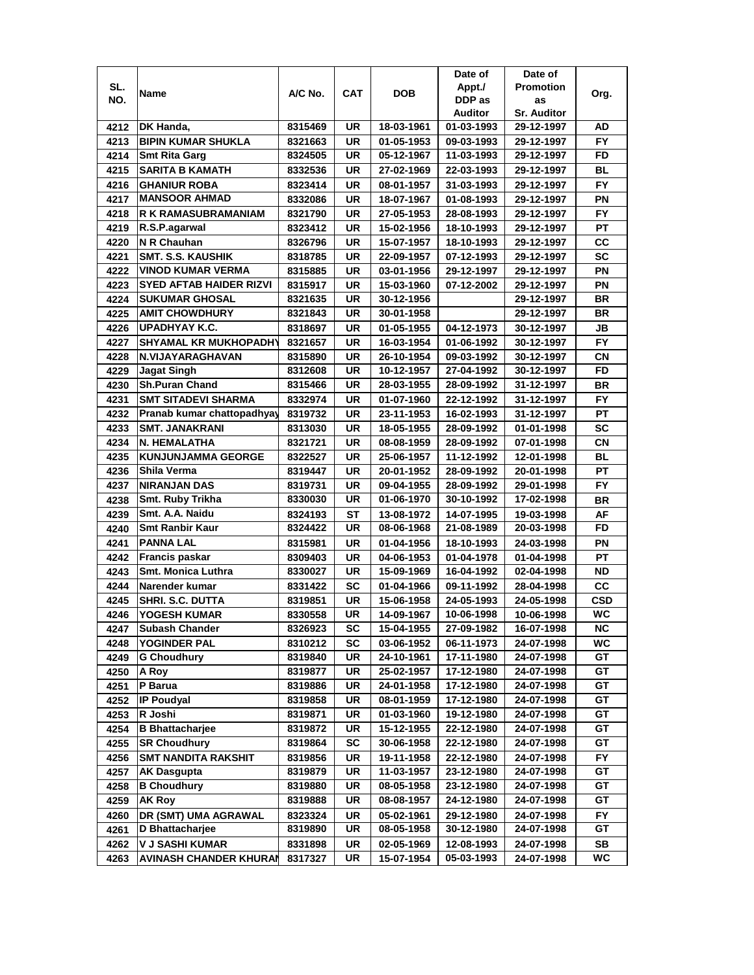|      |                                |         |            |            | Date of    | Date of            |           |
|------|--------------------------------|---------|------------|------------|------------|--------------------|-----------|
| SL.  | Name                           | A/C No. | <b>CAT</b> | <b>DOB</b> | Appt./     | <b>Promotion</b>   | Org.      |
| NO.  |                                |         |            |            | DDP as     | as                 |           |
|      |                                |         |            |            | Auditor    | <b>Sr. Auditor</b> |           |
| 4212 | <b>DK Handa,</b>               | 8315469 | UR         | 18-03-1961 | 01-03-1993 | 29-12-1997         | AD        |
| 4213 | <b>BIPIN KUMAR SHUKLA</b>      | 8321663 | <b>UR</b>  | 01-05-1953 | 09-03-1993 | 29-12-1997         | <b>FY</b> |
| 4214 | <b>Smt Rita Garg</b>           | 8324505 | UR         | 05-12-1967 | 11-03-1993 | 29-12-1997         | FD        |
| 4215 | <b>SARITA B KAMATH</b>         | 8332536 | UR         | 27-02-1969 | 22-03-1993 | 29-12-1997         | BL        |
| 4216 | <b>GHANIUR ROBA</b>            | 8323414 | UR         | 08-01-1957 | 31-03-1993 | 29-12-1997         | <b>FY</b> |
| 4217 | MANSOOR AHMAD                  | 8332086 | <b>UR</b>  | 18-07-1967 | 01-08-1993 | 29-12-1997         | ΡN        |
| 4218 | R K RAMASUBRAMANIAM            | 8321790 | UR         | 27-05-1953 | 28-08-1993 | 29-12-1997         | FY.       |
| 4219 | R.S.P.agarwal                  | 8323412 | UR         | 15-02-1956 | 18-10-1993 | 29-12-1997         | PT        |
| 4220 | N R Chauhan                    | 8326796 | UR         | 15-07-1957 | 18-10-1993 | 29-12-1997         | CC        |
| 4221 | <b>SMT. S.S. KAUSHIK</b>       | 8318785 | UR         | 22-09-1957 | 07-12-1993 | 29-12-1997         | <b>SC</b> |
| 4222 | <b>VINOD KUMAR VERMA</b>       | 8315885 | <b>UR</b>  | 03-01-1956 | 29-12-1997 | 29-12-1997         | PN        |
| 4223 | <b>SYED AFTAB HAIDER RIZVI</b> | 8315917 | <b>UR</b>  | 15-03-1960 | 07-12-2002 | 29-12-1997         | PN        |
| 4224 | <b>SUKUMAR GHOSAL</b>          | 8321635 | UR         | 30-12-1956 |            | 29-12-1997         | <b>BR</b> |
| 4225 | <b>AMIT CHOWDHURY</b>          | 8321843 | UR         | 30-01-1958 |            | 29-12-1997         | BR        |
| 4226 | UPADHYAY K.C.                  | 8318697 | UR         | 01-05-1955 | 04-12-1973 | 30-12-1997         | JB        |
| 4227 | <b>SHYAMAL KR MUKHOPADHY</b>   | 8321657 | <b>UR</b>  | 16-03-1954 | 01-06-1992 | 30-12-1997         | <b>FY</b> |
| 4228 | N.VIJAYARAGHAVAN               | 8315890 | UR         | 26-10-1954 | 09-03-1992 | 30-12-1997         | СN        |
| 4229 | <b>Jagat Singh</b>             | 8312608 | UR         | 10-12-1957 | 27-04-1992 | 30-12-1997         | <b>FD</b> |
| 4230 | <b>Sh.Puran Chand</b>          | 8315466 | <b>UR</b>  | 28-03-1955 | 28-09-1992 | 31-12-1997         | BR        |
| 4231 | <b>SMT SITADEVI SHARMA</b>     | 8332974 | <b>UR</b>  | 01-07-1960 | 22-12-1992 | 31-12-1997         | <b>FY</b> |
| 4232 | Pranab kumar chattopadhyay     | 8319732 | <b>UR</b>  | 23-11-1953 | 16-02-1993 | 31-12-1997         | <b>PT</b> |
| 4233 | <b>SMT. JANAKRANI</b>          | 8313030 | UR         | 18-05-1955 | 28-09-1992 | 01-01-1998         | <b>SC</b> |
| 4234 | <b>N. HEMALATHA</b>            | 8321721 | <b>UR</b>  | 08-08-1959 | 28-09-1992 | 07-01-1998         | CN        |
| 4235 | <b>KUNJUNJAMMA GEORGE</b>      | 8322527 | UR         | 25-06-1957 | 11-12-1992 | 12-01-1998         | <b>BL</b> |
| 4236 | Shila Verma                    | 8319447 | UR         | 20-01-1952 | 28-09-1992 | 20-01-1998         | <b>PT</b> |
| 4237 | <b>NIRANJAN DAS</b>            | 8319731 | UR         | 09-04-1955 | 28-09-1992 | 29-01-1998         | <b>FY</b> |
| 4238 | Smt. Ruby Trikha               | 8330030 | UR         | 01-06-1970 | 30-10-1992 | 17-02-1998         | <b>BR</b> |
| 4239 | Smt. A.A. Naidu                | 8324193 | <b>ST</b>  | 13-08-1972 | 14-07-1995 | 19-03-1998         | AF        |
| 4240 | <b>Smt Ranbir Kaur</b>         | 8324422 | <b>UR</b>  | 08-06-1968 | 21-08-1989 | 20-03-1998         | FD        |
| 4241 | <b>PANNA LAL</b>               | 8315981 | <b>UR</b>  | 01-04-1956 | 18-10-1993 | 24-03-1998         | PN        |
| 4242 | <b>Francis paskar</b>          | 8309403 | <b>UR</b>  | 04-06-1953 | 01-04-1978 | 01-04-1998         | <b>PT</b> |
| 4243 | <b>Smt. Monica Luthra</b>      | 8330027 | UR         | 15-09-1969 | 16-04-1992 | 02-04-1998         | ND        |
| 4244 | Narender kumar                 | 8331422 | SC         | 01-04-1966 | 09-11-1992 | 28-04-1998         | CC        |
| 4245 | SHRI. S.C. DUTTA               | 8319851 | UR         | 15-06-1958 | 24-05-1993 | 24-05-1998         | CSD       |
| 4246 | YOGESH KUMAR                   | 8330558 | <b>UR</b>  | 14-09-1967 | 10-06-1998 | 10-06-1998         | <b>WC</b> |
| 4247 | <b>Subash Chander</b>          | 8326923 | SC         | 15-04-1955 | 27-09-1982 | 16-07-1998         | ΝC        |
| 4248 | YOGINDER PAL                   | 8310212 | SC         | 03-06-1952 | 06-11-1973 | 24-07-1998         | WC        |
| 4249 | <b>G Choudhury</b>             | 8319840 | UR         | 24-10-1961 | 17-11-1980 | 24-07-1998         | GТ        |
| 4250 | A Roy                          | 8319877 | UR         | 25-02-1957 | 17-12-1980 | 24-07-1998         | GT        |
| 4251 | P Barua                        | 8319886 | UR         | 24-01-1958 | 17-12-1980 | 24-07-1998         | GT        |
| 4252 | <b>IP Poudyal</b>              | 8319858 | UR         | 08-01-1959 | 17-12-1980 | 24-07-1998         | GT        |
| 4253 | R Joshi                        | 8319871 | UR         | 01-03-1960 | 19-12-1980 | 24-07-1998         | GT        |
| 4254 | <b>B</b> Bhattacharjee         | 8319872 | UR         | 15-12-1955 | 22-12-1980 | 24-07-1998         | GT        |
| 4255 | <b>SR Choudhury</b>            | 8319864 | SC         | 30-06-1958 | 22-12-1980 | 24-07-1998         | GT        |
| 4256 | <b>SMT NANDITA RAKSHIT</b>     | 8319856 | UR         | 19-11-1958 | 22-12-1980 | 24-07-1998         | FY        |
| 4257 | <b>AK Dasgupta</b>             | 8319879 | UR         | 11-03-1957 | 23-12-1980 | 24-07-1998         | GT        |
| 4258 | <b>B Choudhury</b>             | 8319880 | UR         | 08-05-1958 | 23-12-1980 | 24-07-1998         | GT        |
| 4259 | <b>AK Roy</b>                  | 8319888 | UR         | 08-08-1957 | 24-12-1980 | 24-07-1998         | GT        |
| 4260 | DR (SMT) UMA AGRAWAL           | 8323324 | UR         | 05-02-1961 | 29-12-1980 | 24-07-1998         | FY.       |
| 4261 | D Bhattacharjee                | 8319890 | UR         | 08-05-1958 | 30-12-1980 | 24-07-1998         | GT        |
| 4262 | V J SASHI KUMAR                | 8331898 | UR         | 02-05-1969 | 12-08-1993 | 24-07-1998         | SB        |
| 4263 | <b>AVINASH CHANDER KHURAN</b>  | 8317327 | UR         | 15-07-1954 | 05-03-1993 | 24-07-1998         | WC        |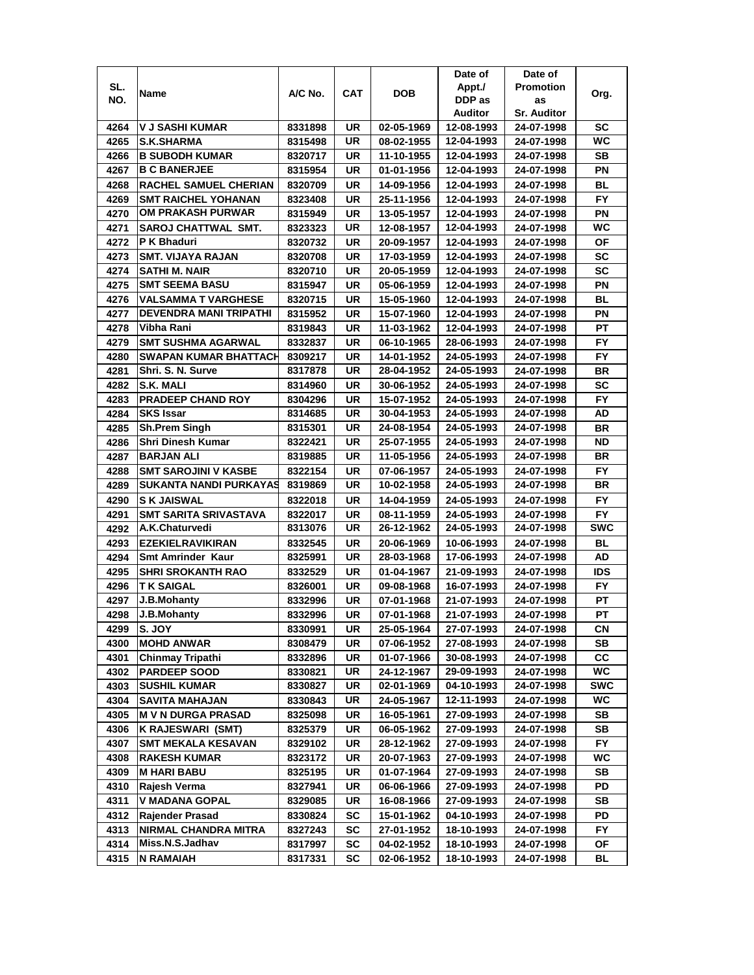|              |                                                  |                    |          |                          | Date of                  | Date of                  |            |
|--------------|--------------------------------------------------|--------------------|----------|--------------------------|--------------------------|--------------------------|------------|
| SL.          |                                                  |                    |          |                          | Appt./                   | <b>Promotion</b>         |            |
| NO.          | Name                                             | A/C No.            | CAT      | <b>DOB</b>               | DDP as                   | as                       | Org.       |
|              |                                                  |                    |          |                          | Auditor                  | <b>Sr. Auditor</b>       |            |
| 4264         | V J SASHI KUMAR                                  | 8331898            | UR       | 02-05-1969               | 12-08-1993               | 24-07-1998               | SC         |
| 4265         | <b>S.K.SHARMA</b>                                | 8315498            | UR       | 08-02-1955               | 12-04-1993               | 24-07-1998               | WC         |
| 4266         | <b>B SUBODH KUMAR</b>                            | 8320717            | UR       | 11-10-1955               | 12-04-1993               | 24-07-1998               | SB         |
| 4267         | <b>B C BANERJEE</b>                              | 8315954            | UR       | 01-01-1956               | 12-04-1993               | 24-07-1998               | PN         |
| 4268         | RACHEL SAMUEL CHERIAN                            | 8320709            | UR       | 14-09-1956               | 12-04-1993               | 24-07-1998               | BL         |
| 4269         | <b>SMT RAICHEL YOHANAN</b>                       | 8323408            | UR       | 25-11-1956               | 12-04-1993               | 24-07-1998               | FY         |
| 4270         | <b>OM PRAKASH PURWAR</b>                         | 8315949            | UR       | 13-05-1957               | 12-04-1993               | 24-07-1998               | ΡN         |
| 4271         | SAROJ CHATTWAL SMT.                              | 8323323            | UR       | 12-08-1957               | 12-04-1993               | 24-07-1998               | WC         |
| 4272         | P K Bhaduri                                      | 8320732            | UR       | 20-09-1957               | 12-04-1993               | 24-07-1998               | ΟF         |
| 4273         | <b>SMT. VIJAYA RAJAN</b>                         | 8320708            | UR       | 17-03-1959               | 12-04-1993               | 24-07-1998               | SC         |
| 4274         | SATHI M. NAIR                                    | 8320710            | UR       | 20-05-1959               | 12-04-1993               | 24-07-1998               | <b>SC</b>  |
| 4275         | <b>SMT SEEMA BASU</b>                            | 8315947            | UR       | 05-06-1959               | 12-04-1993               | 24-07-1998               | ΡN         |
| 4276         | <b>VALSAMMA T VARGHESE</b>                       | 8320715            | UR       | 15-05-1960               | 12-04-1993               | 24-07-1998               | <b>BL</b>  |
| 4277         | <b>DEVENDRA MANI TRIPATHI</b>                    | 8315952            | UR       | 15-07-1960               | 12-04-1993               | 24-07-1998               | ΡN         |
| 4278         | Vibha Rani                                       | 8319843            | UR       | 11-03-1962               | 12-04-1993               | 24-07-1998               | <b>PT</b>  |
| 4279         | <b>SMT SUSHMA AGARWAL</b>                        | 8332837            | UR       | 06-10-1965               | 28-06-1993               | 24-07-1998               | FY.        |
| 4280         | <b>SWAPAN KUMAR BHATTACH</b>                     | 8309217            | UR       | 14-01-1952               | 24-05-1993               | 24-07-1998               | FY.        |
| 4281         | Shri. S. N. Surve                                | 8317878            | UR       | 28-04-1952               | 24-05-1993               | 24-07-1998               | BR         |
| 4282         | S.K. MALI                                        | 8314960            | UR       | 30-06-1952               | 24-05-1993               | 24-07-1998               | SC         |
| 4283         | <b>PRADEEP CHAND ROY</b>                         |                    | UR       | 15-07-1952               | 24-05-1993               |                          | <b>FY</b>  |
| 4284         | <b>SKS Issar</b>                                 | 8304296<br>8314685 | UR       | 30-04-1953               | 24-05-1993               | 24-07-1998<br>24-07-1998 | AD         |
| 4285         | <b>Sh.Prem Singh</b>                             | 8315301            | UR       | 24-08-1954               | 24-05-1993               | 24-07-1998               | BR         |
|              | <b>Shri Dinesh Kumar</b>                         | 8322421            | UR       | 25-07-1955               | 24-05-1993               | 24-07-1998               | ND         |
| 4286         | <b>BARJAN ALI</b>                                | 8319885            | UR       | 11-05-1956               | 24-05-1993               | 24-07-1998               | BR         |
| 4287         | <b>SMT SAROJINI V KASBE</b>                      |                    | UR       |                          |                          |                          | FY.        |
| 4288<br>4289 | <b>SUKANTA NANDI PURKAYAS</b>                    | 8322154<br>8319869 | UR       | 07-06-1957<br>10-02-1958 | 24-05-1993<br>24-05-1993 | 24-07-1998<br>24-07-1998 | <b>BR</b>  |
| 4290         | <b>S K JAISWAL</b>                               | 8322018            | UR       | 14-04-1959               | 24-05-1993               | 24-07-1998               | FY.        |
| 4291         | <b>SMT SARITA SRIVASTAVA</b>                     | 8322017            | UR       | 08-11-1959               | 24-05-1993               | 24-07-1998               | <b>FY</b>  |
| 4292         | A.K.Chaturvedi                                   | 8313076            | UR       | 26-12-1962               | 24-05-1993               | 24-07-1998               | <b>SWC</b> |
| 4293         | <b>EZEKIELRAVIKIRAN</b>                          | 8332545            | UR       | 20-06-1969               | 10-06-1993               | 24-07-1998               | <b>BL</b>  |
| 4294         | <b>Smt Amrinder Kaur</b>                         | 8325991            | UR       | 28-03-1968               | 17-06-1993               | 24-07-1998               | AD         |
| 4295         | <b>SHRI SROKANTH RAO</b>                         | 8332529            | UR       | 01-04-1967               | 21-09-1993               | 24-07-1998               | IDS        |
| 4296         | <b>TK SAIGAL</b>                                 |                    | UR       | 09-08-1968               | 16-07-1993               | 24-07-1998               | FY.        |
| 4297         | <b>J.B.Mohanty</b>                               | 8326001<br>8332996 | UR       | 07-01-1968               | 21-07-1993               | 24-07-1998               | PT         |
|              | J.B.Mohanty                                      |                    |          |                          | 21-07-1993               | 24-07-1998               |            |
| 4298         | S. JOY                                           | 8332996            | UR       | 07-01-1968<br>25-05-1964 | 27-07-1993               |                          | PT         |
| 4299         | <b>MOHD ANWAR</b>                                | 8330991            | UR       |                          |                          | 24-07-1998               | CN<br>SB   |
| 4300<br>4301 | <b>Chinmay Tripathi</b>                          | 8308479            | UR<br>UR | 07-06-1952<br>01-07-1966 | 27-08-1993<br>30-08-1993 | 24-07-1998               | <b>CC</b>  |
| 4302         | <b>PARDEEP SOOD</b>                              | 8332896<br>8330821 | UR       | 24-12-1967               | 29-09-1993               | 24-07-1998<br>24-07-1998 | WC         |
|              | <b>SUSHIL KUMAR</b>                              | 8330827            | UR       | 02-01-1969               | 04-10-1993               | 24-07-1998               | <b>SWC</b> |
| 4303<br>4304 |                                                  |                    | UR       | 24-05-1967               | 12-11-1993               |                          | WC         |
| 4305         | SAVITA MAHAJAN<br><b>M V N DURGA PRASAD</b>      | 8330843            | UR       | 16-05-1961               | 27-09-1993               | 24-07-1998               | SB         |
| 4306         |                                                  | 8325098            |          |                          |                          | 24-07-1998               | SB         |
|              | K RAJESWARI (SMT)                                | 8325379            | UR       | 06-05-1962               | 27-09-1993               | 24-07-1998               |            |
| 4307<br>4308 | <b>SMT MEKALA KESAVAN</b><br><b>RAKESH KUMAR</b> | 8329102<br>8323172 | UR<br>UR | 28-12-1962<br>20-07-1963 | 27-09-1993<br>27-09-1993 | 24-07-1998<br>24-07-1998 | FY.<br>WC  |
|              |                                                  |                    |          |                          |                          | 24-07-1998               |            |
| 4309<br>4310 | <b>M HARI BABU</b><br>Rajesh Verma               | 8325195            | UR<br>UR | 01-07-1964<br>06-06-1966 | 27-09-1993<br>27-09-1993 |                          | SB<br>PD   |
|              |                                                  | 8327941            |          |                          |                          | 24-07-1998               |            |
| 4311         | V MADANA GOPAL                                   | 8329085            | UR       | 16-08-1966               | 27-09-1993               | 24-07-1998               | SB         |
| 4312         | <b>Rajender Prasad</b>                           | 8330824            | SC       | 15-01-1962               | 04-10-1993               | 24-07-1998               | PD         |
| 4313         | NIRMAL CHANDRA MITRA                             | 8327243            | SC       | 27-01-1952               | 18-10-1993               | 24-07-1998               | FY.        |
| 4314         | Miss.N.S.Jadhav                                  | 8317997            | SC       | 04-02-1952               | 18-10-1993               | 24-07-1998               | ΟF         |
| 4315         | N RAMAIAH                                        | 8317331            | SC       | 02-06-1952               | 18-10-1993               | 24-07-1998               | BL         |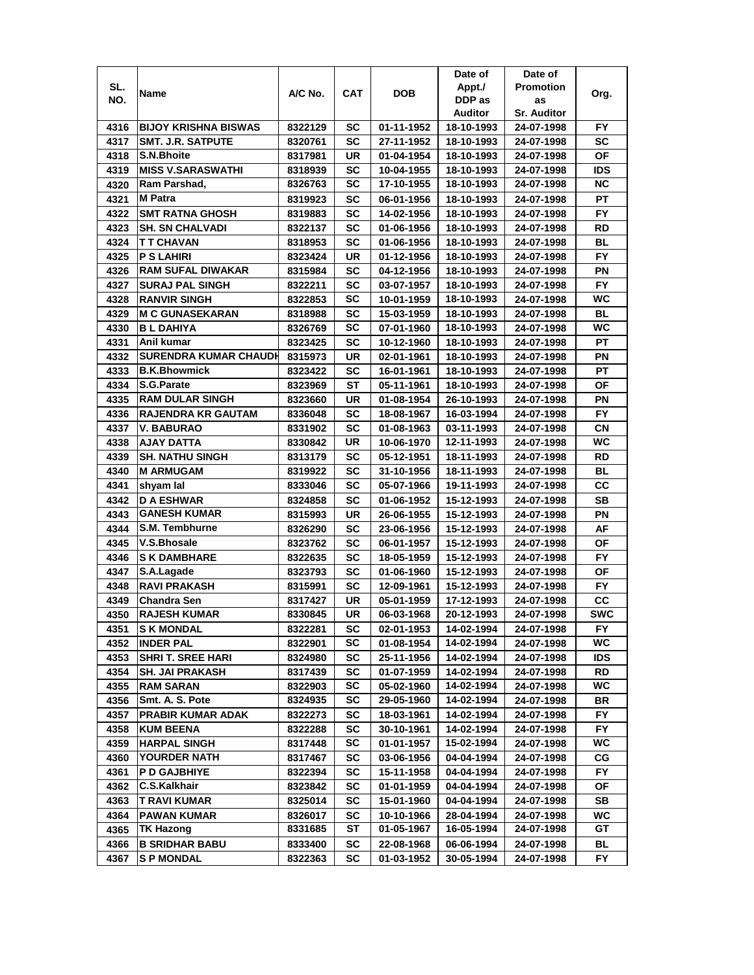|      |                              |         |           |            | Date of    | Date of            |            |
|------|------------------------------|---------|-----------|------------|------------|--------------------|------------|
| SL.  | Name                         | A/C No. | CAT       | DOB        | Appt./     | <b>Promotion</b>   | Org.       |
| NO.  |                              |         |           |            | DDP as     | as                 |            |
|      |                              |         |           |            | Auditor    | <b>Sr. Auditor</b> |            |
| 4316 | <b>BIJOY KRISHNA BISWAS</b>  | 8322129 | SC        | 01-11-1952 | 18-10-1993 | 24-07-1998         | FY.        |
| 4317 | <b>SMT. J.R. SATPUTE</b>     | 8320761 | SC        | 27-11-1952 | 18-10-1993 | 24-07-1998         | SC         |
| 4318 | <b>S.N.Bhoite</b>            | 8317981 | UR        | 01-04-1954 | 18-10-1993 | 24-07-1998         | <b>OF</b>  |
| 4319 | <b>MISS V.SARASWATHI</b>     | 8318939 | SC        | 10-04-1955 | 18-10-1993 | 24-07-1998         | IDS        |
| 4320 | Ram Parshad,                 | 8326763 | SC        | 17-10-1955 | 18-10-1993 | 24-07-1998         | ΝC         |
| 4321 | M Patra                      | 8319923 | SC        | 06-01-1956 | 18-10-1993 | 24-07-1998         | PТ         |
| 4322 | <b>SMT RATNA GHOSH</b>       | 8319883 | SC        | 14-02-1956 | 18-10-1993 | 24-07-1998         | FY.        |
| 4323 | <b>SH. SN CHALVADI</b>       | 8322137 | SC        | 01-06-1956 | 18-10-1993 | 24-07-1998         | RD         |
| 4324 | T T CHAVAN                   | 8318953 | SC        | 01-06-1956 | 18-10-1993 | 24-07-1998         | BL         |
| 4325 | <b>P S LAHIRI</b>            | 8323424 | UR        | 01-12-1956 | 18-10-1993 | 24-07-1998         | <b>FY</b>  |
| 4326 | <b>RAM SUFAL DIWAKAR</b>     | 8315984 | <b>SC</b> | 04-12-1956 | 18-10-1993 | 24-07-1998         | PN         |
| 4327 | <b>SURAJ PAL SINGH</b>       | 8322211 | SC        | 03-07-1957 | 18-10-1993 | 24-07-1998         | <b>FY</b>  |
| 4328 | <b>RANVIR SINGH</b>          | 8322853 | SC        | 10-01-1959 | 18-10-1993 | 24-07-1998         | <b>WC</b>  |
| 4329 | <b>M C GUNASEKARAN</b>       | 8318988 | SC        | 15-03-1959 | 18-10-1993 | 24-07-1998         | BL         |
| 4330 | <b>BL DAHIYA</b>             | 8326769 | SC        | 07-01-1960 | 18-10-1993 | 24-07-1998         | WC         |
| 4331 | Anil kumar                   | 8323425 | SC        | 10-12-1960 | 18-10-1993 | 24-07-1998         | PT         |
| 4332 | <b>SURENDRA KUMAR CHAUDH</b> | 8315973 | UR        | 02-01-1961 | 18-10-1993 | 24-07-1998         | ΡN         |
| 4333 | <b>B.K.Bhowmick</b>          | 8323422 | SC        | 16-01-1961 | 18-10-1993 | 24-07-1998         | РT         |
| 4334 | <b>S.G.Parate</b>            | 8323969 | ST        | 05-11-1961 | 18-10-1993 | 24-07-1998         | ΟF         |
| 4335 | <b>RAM DULAR SINGH</b>       | 8323660 | UR        | 01-08-1954 | 26-10-1993 | 24-07-1998         | ΡN         |
| 4336 | <b>RAJENDRA KR GAUTAM</b>    | 8336048 | SC        | 18-08-1967 | 16-03-1994 | 24-07-1998         | FY         |
| 4337 | V. BABURAO                   | 8331902 | SC        | 01-08-1963 | 03-11-1993 | 24-07-1998         | СN         |
| 4338 | AJAY DATTA                   | 8330842 | UR        | 10-06-1970 | 12-11-1993 | 24-07-1998         | <b>WC</b>  |
| 4339 | <b>SH. NATHU SINGH</b>       | 8313179 | SC        | 05-12-1951 | 18-11-1993 | 24-07-1998         | RD         |
| 4340 | <b>M ARMUGAM</b>             | 8319922 | SC        | 31-10-1956 | 18-11-1993 | 24-07-1998         | BL         |
| 4341 | shyam lal                    | 8333046 | SC        | 05-07-1966 | 19-11-1993 | 24-07-1998         | CС         |
| 4342 | <b>D A ESHWAR</b>            | 8324858 | SC        | 01-06-1952 | 15-12-1993 | 24-07-1998         | <b>SB</b>  |
| 4343 | <b>GANESH KUMAR</b>          | 8315993 | UR        | 26-06-1955 | 15-12-1993 | 24-07-1998         | PN         |
| 4344 | S.M. Tembhurne               | 8326290 | SC        | 23-06-1956 | 15-12-1993 | 24-07-1998         | AF         |
| 4345 | V.S.Bhosale                  | 8323762 | SC        | 06-01-1957 | 15-12-1993 | 24-07-1998         | ΟF         |
| 4346 | <b>S K DAMBHARE</b>          | 8322635 | SC        | 18-05-1959 | 15-12-1993 | 24-07-1998         | FY         |
| 4347 | S.A.Lagade                   | 8323793 | SC        | 01-06-1960 | 15-12-1993 | 24-07-1998         | ΟF         |
| 4348 | <b>RAVI PRAKASH</b>          | 8315991 | SC        | 12-09-1961 | 15-12-1993 | 24-07-1998         | FY.        |
| 4349 | <b>Chandra Sen</b>           | 8317427 | UR        | 05-01-1959 | 17-12-1993 | 24-07-1998         | CС         |
| 4350 | <b>RAJESH KUMAR</b>          | 8330845 | <b>UR</b> | 06-03-1968 | 20-12-1993 | 24-07-1998         | <b>SWC</b> |
| 4351 | <b>SK MONDAL</b>             | 8322281 | SC        | 02-01-1953 | 14-02-1994 | 24-07-1998         | FY.        |
| 4352 | <b>INDER PAL</b>             | 8322901 | SC        | 01-08-1954 | 14-02-1994 | 24-07-1998         | WC.        |
| 4353 | <b>SHRI T. SREE HARI</b>     | 8324980 | SC        | 25-11-1956 | 14-02-1994 | 24-07-1998         | IDS        |
| 4354 | <b>SH. JAI PRAKASH</b>       | 8317439 | SC        | 01-07-1959 | 14-02-1994 | 24-07-1998         | RD         |
| 4355 | <b>RAM SARAN</b>             | 8322903 | SC        | 05-02-1960 | 14-02-1994 | 24-07-1998         | WC.        |
| 4356 | Smt. A. S. Pote              | 8324935 | SC        | 29-05-1960 | 14-02-1994 | 24-07-1998         | BR         |
| 4357 | PRABIR KUMAR ADAK            | 8322273 | <b>SC</b> | 18-03-1961 | 14-02-1994 | 24-07-1998         | FY.        |
| 4358 | <b>KUM BEENA</b>             | 8322288 | <b>SC</b> | 30-10-1961 | 14-02-1994 | 24-07-1998         | <b>FY</b>  |
| 4359 | <b>HARPAL SINGH</b>          | 8317448 | SC        | 01-01-1957 | 15-02-1994 | 24-07-1998         | WC         |
| 4360 | YOURDER NATH                 | 8317467 | <b>SC</b> | 03-06-1956 | 04-04-1994 | 24-07-1998         | CG         |
| 4361 | <b>P D GAJBHIYE</b>          | 8322394 | <b>SC</b> | 15-11-1958 | 04-04-1994 | 24-07-1998         | <b>FY</b>  |
| 4362 | C.S.Kalkhair                 | 8323842 | SC        | 01-01-1959 | 04-04-1994 | 24-07-1998         | ΟF         |
| 4363 | T RAVI KUMAR                 | 8325014 | SC        | 15-01-1960 | 04-04-1994 | 24-07-1998         | SB         |
| 4364 | PAWAN KUMAR                  | 8326017 | SC        | 10-10-1966 | 28-04-1994 | 24-07-1998         | WC         |
| 4365 | TK Hazong                    | 8331685 | ST        | 01-05-1967 | 16-05-1994 | 24-07-1998         | GT         |
| 4366 | <b>B SRIDHAR BABU</b>        | 8333400 | SC        | 22-08-1968 | 06-06-1994 | 24-07-1998         | BL         |
| 4367 | <b>SP MONDAL</b>             | 8322363 | SC        | 01-03-1952 | 30-05-1994 | 24-07-1998         | FY         |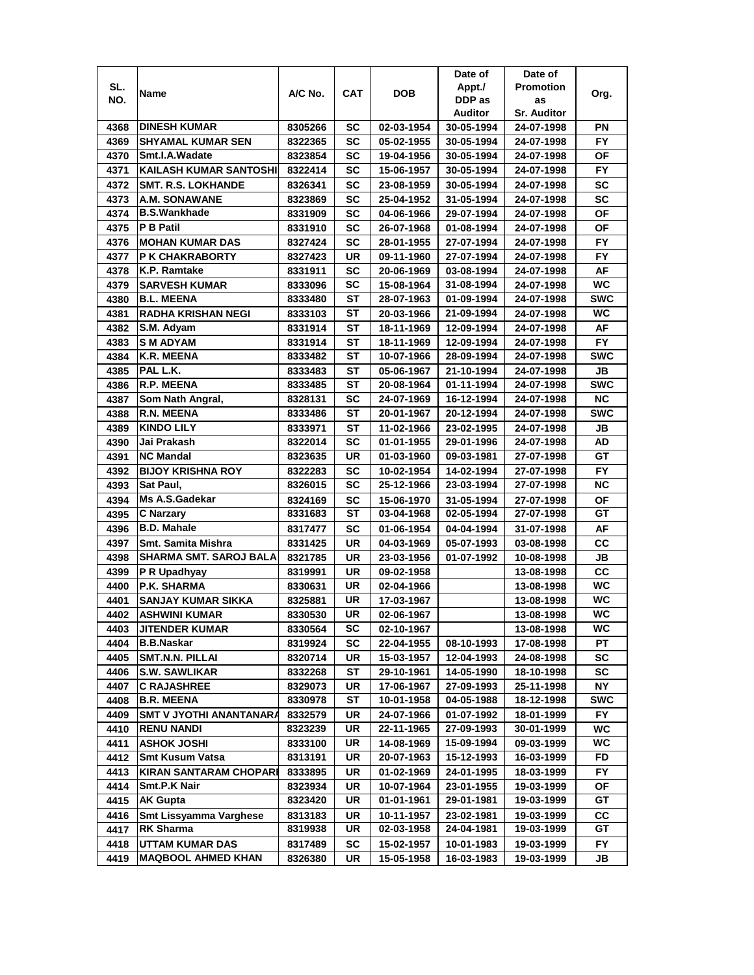|      |                                |         |           |            | Date of    | Date of            |            |
|------|--------------------------------|---------|-----------|------------|------------|--------------------|------------|
| SL.  | Name                           | A/C No. | CAT       | <b>DOB</b> | Appt./     | <b>Promotion</b>   | Org.       |
| NO.  |                                |         |           |            | DDP as     | as                 |            |
|      |                                |         |           |            | Auditor    | <b>Sr. Auditor</b> |            |
| 4368 | <b>DINESH KUMAR</b>            | 8305266 | SC        | 02-03-1954 | 30-05-1994 | 24-07-1998         | ΡN         |
| 4369 | <b>SHYAMAL KUMAR SEN</b>       | 8322365 | SC        | 05-02-1955 | 30-05-1994 | 24-07-1998         | <b>FY</b>  |
| 4370 | Smt.I.A.Wadate                 | 8323854 | SC        | 19-04-1956 | 30-05-1994 | 24-07-1998         | ΟF         |
| 4371 | <b>KAILASH KUMAR SANTOSHI</b>  | 8322414 | SC        | 15-06-1957 | 30-05-1994 | 24-07-1998         | <b>FY</b>  |
| 4372 | <b>SMT. R.S. LOKHANDE</b>      | 8326341 | SC        | 23-08-1959 | 30-05-1994 | 24-07-1998         | <b>SC</b>  |
| 4373 | A.M. SONAWANE                  | 8323869 | SC        | 25-04-1952 | 31-05-1994 | 24-07-1998         | <b>SC</b>  |
| 4374 | <b>B.S.Wankhade</b>            | 8331909 | SC        | 04-06-1966 | 29-07-1994 | 24-07-1998         | ΟF         |
| 4375 | P B Patil                      | 8331910 | SC        | 26-07-1968 | 01-08-1994 | 24-07-1998         | OF         |
| 4376 | <b>MOHAN KUMAR DAS</b>         | 8327424 | SC        | 28-01-1955 | 27-07-1994 | 24-07-1998         | FY.        |
| 4377 | <b>P K CHAKRABORTY</b>         | 8327423 | UR        | 09-11-1960 | 27-07-1994 | 24-07-1998         | <b>FY</b>  |
| 4378 | K.P. Ramtake                   | 8331911 | SC        | 20-06-1969 | 03-08-1994 | 24-07-1998         | AF         |
| 4379 | <b>SARVESH KUMAR</b>           | 8333096 | SC        | 15-08-1964 | 31-08-1994 | 24-07-1998         | WC         |
| 4380 | <b>B.L. MEENA</b>              | 8333480 | SТ        | 28-07-1963 | 01-09-1994 | 24-07-1998         | <b>SWC</b> |
| 4381 | <b>RADHA KRISHAN NEGI</b>      | 8333103 | ST        | 20-03-1966 | 21-09-1994 | 24-07-1998         | WC         |
| 4382 | S.M. Adyam                     | 8331914 | ST        | 18-11-1969 | 12-09-1994 | 24-07-1998         | AF         |
| 4383 | <b>SMADYAM</b>                 | 8331914 | ST        | 18-11-1969 | 12-09-1994 | 24-07-1998         | <b>FY</b>  |
| 4384 | K.R. MEENA                     | 8333482 | SТ        | 10-07-1966 | 28-09-1994 | 24-07-1998         | SWC        |
| 4385 | PAL L.K.                       | 8333483 | SТ        | 05-06-1967 | 21-10-1994 | 24-07-1998         | JB         |
| 4386 | <b>R.P. MEENA</b>              | 8333485 | ST        | 20-08-1964 | 01-11-1994 | 24-07-1998         | <b>SWC</b> |
| 4387 | Som Nath Angral,               | 8328131 | <b>SC</b> | 24-07-1969 | 16-12-1994 | 24-07-1998         | <b>NC</b>  |
| 4388 | <b>R.N. MEENA</b>              | 8333486 | ST        | 20-01-1967 | 20-12-1994 | 24-07-1998         | <b>SWC</b> |
| 4389 | <b>KINDO LILY</b>              | 8333971 | ST        | 11-02-1966 | 23-02-1995 | 24-07-1998         | JB         |
| 4390 | Jai Prakash                    | 8322014 | <b>SC</b> | 01-01-1955 | 29-01-1996 | 24-07-1998         | AD         |
| 4391 | <b>NC Mandal</b>               | 8323635 | UR        | 01-03-1960 | 09-03-1981 | 27-07-1998         | GТ         |
| 4392 | <b>BIJOY KRISHNA ROY</b>       | 8322283 | SC        | 10-02-1954 | 14-02-1994 | 27-07-1998         | <b>FY</b>  |
| 4393 | Sat Paul,                      | 8326015 | SC        | 25-12-1966 | 23-03-1994 | 27-07-1998         | <b>NC</b>  |
| 4394 | Ms A.S.Gadekar                 | 8324169 | SC        | 15-06-1970 | 31-05-1994 | 27-07-1998         | OF         |
| 4395 | <b>C Narzary</b>               | 8331683 | SТ        | 03-04-1968 | 02-05-1994 | 27-07-1998         | GT         |
| 4396 | <b>B.D. Mahale</b>             | 8317477 | SC        | 01-06-1954 | 04-04-1994 | 31-07-1998         | AF         |
| 4397 | Smt. Samita Mishra             | 8331425 | UR        | 04-03-1969 | 05-07-1993 | 03-08-1998         | cc         |
| 4398 | <b>SHARMA SMT. SAROJ BALA</b>  | 8321785 | UR        | 23-03-1956 | 01-07-1992 | 10-08-1998         | JВ         |
| 4399 | P R Upadhyay                   | 8319991 | UR        | 09-02-1958 |            | 13-08-1998         | CС         |
| 4400 | P.K. SHARMA                    | 8330631 | UR        | 02-04-1966 |            | 13-08-1998         | <b>WC</b>  |
| 4401 | SANJAY KUMAR SIKKA             | 8325881 | UR        | 17-03-1967 |            | 13-08-1998         | WC.        |
| 4402 | <b>ASHWINI KUMAR</b>           | 8330530 | <b>UR</b> | 02-06-1967 |            | 13-08-1998         | <b>WC</b>  |
| 4403 | <b>JITENDER KUMAR</b>          | 8330564 | SC        | 02-10-1967 |            | 13-08-1998         | WC         |
| 4404 | <b>B.B.Naskar</b>              | 8319924 | SC        | 22-04-1955 | 08-10-1993 | 17-08-1998         | PT         |
| 4405 | <b>SMT.N.N. PILLAI</b>         | 8320714 | UR        | 15-03-1957 | 12-04-1993 | 24-08-1998         | SC         |
| 4406 | <b>S.W. SAWLIKAR</b>           | 8332268 | ST        | 29-10-1961 | 14-05-1990 | 18-10-1998         | SC         |
| 4407 | <b>C RAJASHREE</b>             | 8329073 | UR        | 17-06-1967 | 27-09-1993 | 25-11-1998         | NΥ         |
| 4408 | <b>B.R. MEENA</b>              | 8330978 | ST        | 10-01-1958 | 04-05-1988 | 18-12-1998         | <b>SWC</b> |
| 4409 | <b>SMT V JYOTHI ANANTANARA</b> | 8332579 | UR        | 24-07-1966 | 01-07-1992 | 18-01-1999         | FY.        |
| 4410 | <b>RENU NANDI</b>              | 8323239 | UR        | 22-11-1965 | 27-09-1993 | 30-01-1999         | WC         |
| 4411 | <b>ASHOK JOSHI</b>             | 8333100 | UR        | 14-08-1969 | 15-09-1994 | 09-03-1999         | WC         |
| 4412 | <b>Smt Kusum Vatsa</b>         | 8313191 | UR        | 20-07-1963 | 15-12-1993 | 16-03-1999         | FD         |
| 4413 | <b>KIRAN SANTARAM CHOPARI</b>  | 8333895 | UR        | 01-02-1969 | 24-01-1995 | 18-03-1999         | <b>FY</b>  |
| 4414 | Smt.P.K Nair                   | 8323934 | UR        | 10-07-1964 | 23-01-1955 | 19-03-1999         | ΟF         |
| 4415 | <b>AK Gupta</b>                | 8323420 | UR        | 01-01-1961 | 29-01-1981 | 19-03-1999         | GT         |
| 4416 | Smt Lissyamma Varghese         | 8313183 | UR        | 10-11-1957 | 23-02-1981 | 19-03-1999         | СC         |
| 4417 | <b>RK Sharma</b>               | 8319938 | UR        | 02-03-1958 | 24-04-1981 | 19-03-1999         | GT         |
| 4418 | <b>UTTAM KUMAR DAS</b>         | 8317489 | SC        | 15-02-1957 | 10-01-1983 | 19-03-1999         | FY.        |
| 4419 | <b>MAQBOOL AHMED KHAN</b>      | 8326380 | UR        | 15-05-1958 | 16-03-1983 | 19-03-1999         | JB         |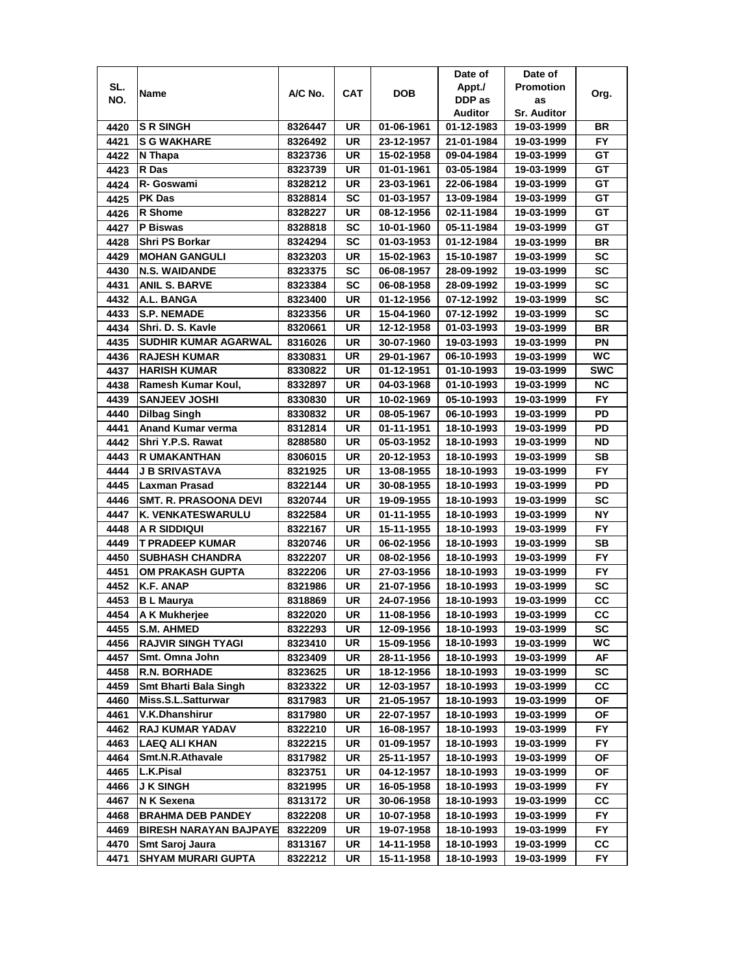|      |                               |         |           |            | Date of    | Date of            |            |
|------|-------------------------------|---------|-----------|------------|------------|--------------------|------------|
| SL.  | Name                          | A/C No. | CAT       | <b>DOB</b> | Appt./     | <b>Promotion</b>   | Org.       |
| NO.  |                               |         |           |            | DDP as     | as                 |            |
|      |                               |         |           |            | Auditor    | <b>Sr. Auditor</b> |            |
| 4420 | <b>S R SINGH</b>              | 8326447 | UR        | 01-06-1961 | 01-12-1983 | 19-03-1999         | BR         |
| 4421 | <b>S G WAKHARE</b>            | 8326492 | UR        | 23-12-1957 | 21-01-1984 | 19-03-1999         | <b>FY</b>  |
| 4422 | N Thapa                       | 8323736 | UR        | 15-02-1958 | 09-04-1984 | 19-03-1999         | GТ         |
| 4423 | R Das                         | 8323739 | UR        | 01-01-1961 | 03-05-1984 | 19-03-1999         | GT         |
| 4424 | R- Goswami                    | 8328212 | UR        | 23-03-1961 | 22-06-1984 | 19-03-1999         | GТ         |
| 4425 | <b>PK Das</b>                 | 8328814 | SC        | 01-03-1957 | 13-09-1984 | 19-03-1999         | GТ         |
| 4426 | <b>R</b> Shome                | 8328227 | UR        | 08-12-1956 | 02-11-1984 | 19-03-1999         | GТ         |
| 4427 | P Biswas                      | 8328818 | SC        | 10-01-1960 | 05-11-1984 | 19-03-1999         | GT         |
| 4428 | <b>Shri PS Borkar</b>         | 8324294 | SC        | 01-03-1953 | 01-12-1984 | 19-03-1999         | BR         |
| 4429 | <b>MOHAN GANGULI</b>          | 8323203 | UR        | 15-02-1963 | 15-10-1987 | 19-03-1999         | <b>SC</b>  |
| 4430 | <b>N.S. WAIDANDE</b>          | 8323375 | SC        | 06-08-1957 | 28-09-1992 | 19-03-1999         | SC         |
| 4431 | <b>ANIL S. BARVE</b>          | 8323384 | <b>SC</b> | 06-08-1958 | 28-09-1992 | 19-03-1999         | SC         |
| 4432 | A.L. BANGA                    | 8323400 | UR        | 01-12-1956 | 07-12-1992 | 19-03-1999         | SC         |
| 4433 | <b>S.P. NEMADE</b>            | 8323356 | UR        | 15-04-1960 | 07-12-1992 | 19-03-1999         | <b>SC</b>  |
| 4434 | Shri. D. S. Kavle             | 8320661 | UR        | 12-12-1958 | 01-03-1993 | 19-03-1999         | BR         |
| 4435 | <b>SUDHIR KUMAR AGARWAL</b>   | 8316026 | UR        | 30-07-1960 | 19-03-1993 | 19-03-1999         | PN         |
| 4436 | <b>RAJESH KUMAR</b>           | 8330831 | UR        | 29-01-1967 | 06-10-1993 | 19-03-1999         | WC.        |
| 4437 | <b>HARISH KUMAR</b>           | 8330822 | UR        | 01-12-1951 | 01-10-1993 | 19-03-1999         | <b>SWC</b> |
| 4438 | Ramesh Kumar Koul,            | 8332897 | <b>UR</b> | 04-03-1968 | 01-10-1993 | 19-03-1999         | <b>NC</b>  |
| 4439 | <b>SANJEEV JOSHI</b>          | 8330830 | UR        | 10-02-1969 | 05-10-1993 | 19-03-1999         | <b>FY</b>  |
| 4440 | <b>Dilbag Singh</b>           | 8330832 | UR        | 08-05-1967 | 06-10-1993 | 19-03-1999         | PD         |
| 4441 | <b>Anand Kumar verma</b>      | 8312814 | UR        | 01-11-1951 | 18-10-1993 | 19-03-1999         | PD         |
| 4442 | Shri Y.P.S. Rawat             | 8288580 | UR        | 05-03-1952 | 18-10-1993 | 19-03-1999         | ND.        |
| 4443 | <b>R UMAKANTHAN</b>           | 8306015 | UR        | 20-12-1953 | 18-10-1993 | 19-03-1999         | SВ         |
| 4444 | <b>J B SRIVASTAVA</b>         | 8321925 | UR        | 13-08-1955 | 18-10-1993 | 19-03-1999         | <b>FY</b>  |
| 4445 | Laxman Prasad                 | 8322144 | UR        | 30-08-1955 | 18-10-1993 | 19-03-1999         | PD         |
| 4446 | <b>SMT. R. PRASOONA DEVI</b>  | 8320744 | <b>UR</b> | 19-09-1955 | 18-10-1993 | 19-03-1999         | <b>SC</b>  |
| 4447 | K. VENKATESWARULU             | 8322584 | <b>UR</b> | 01-11-1955 | 18-10-1993 | 19-03-1999         | <b>NY</b>  |
| 4448 | <b>A R SIDDIQUI</b>           | 8322167 | UR        | 15-11-1955 | 18-10-1993 | 19-03-1999         | <b>FY</b>  |
| 4449 | T PRADEEP KUMAR               | 8320746 | UR        | 06-02-1956 | 18-10-1993 | 19-03-1999         | SB         |
| 4450 | <b>SUBHASH CHANDRA</b>        | 8322207 | UR        | 08-02-1956 | 18-10-1993 | 19-03-1999         | <b>FY</b>  |
| 4451 | OM PRAKASH GUPTA              | 8322206 | UR        | 27-03-1956 | 18-10-1993 | 19-03-1999         | FY.        |
| 4452 | K.F. ANAP                     | 8321986 | UR        | 21-07-1956 | 18-10-1993 | 19-03-1999         | SC         |
| 4453 | <b>B</b> L Maurya             | 8318869 | UR        | 24-07-1956 | 18-10-1993 | 19-03-1999         | CС         |
| 4454 | A K Mukherjee                 | 8322020 | UR        | 11-08-1956 | 18-10-1993 | 19-03-1999         | cc         |
| 4455 | <b>S.M. AHMED</b>             | 8322293 | UR        | 12-09-1956 | 18-10-1993 | 19-03-1999         | SC         |
| 4456 | <b>RAJVIR SINGH TYAGI</b>     | 8323410 | UR        | 15-09-1956 | 18-10-1993 | 19-03-1999         | WС         |
| 4457 | Smt. Omna John                | 8323409 | UR        | 28-11-1956 | 18-10-1993 | 19-03-1999         | AF         |
| 4458 | <b>R.N. BORHADE</b>           | 8323625 | UR        | 18-12-1956 | 18-10-1993 | 19-03-1999         | SC         |
| 4459 | <b>Smt Bharti Bala Singh</b>  | 8323322 | UR        | 12-03-1957 | 18-10-1993 | 19-03-1999         | CС         |
| 4460 | Miss.S.L.Satturwar            | 8317983 | UR        | 21-05-1957 | 18-10-1993 | 19-03-1999         | ОF         |
| 4461 | <b>V.K.Dhanshirur</b>         | 8317980 | UR        | 22-07-1957 | 18-10-1993 | 19-03-1999         | ОF         |
| 4462 | <b>RAJ KUMAR YADAV</b>        | 8322210 | UR        | 16-08-1957 | 18-10-1993 | 19-03-1999         | FY.        |
| 4463 | <b>LAEQ ALI KHAN</b>          | 8322215 | UR        | 01-09-1957 | 18-10-1993 | 19-03-1999         | <b>FY</b>  |
| 4464 | Smt.N.R.Athavale              | 8317982 | UR        | 25-11-1957 | 18-10-1993 | 19-03-1999         | ΟF         |
| 4465 | <b>L.K.Pisal</b>              | 8323751 | UR        | 04-12-1957 | 18-10-1993 | 19-03-1999         | ОF         |
| 4466 | <b>J K SINGH</b>              | 8321995 | UR        | 16-05-1958 | 18-10-1993 | 19-03-1999         | FY.        |
| 4467 | <b>N K Sexena</b>             | 8313172 | UR        | 30-06-1958 | 18-10-1993 | 19-03-1999         | СC         |
| 4468 | <b>BRAHMA DEB PANDEY</b>      | 8322208 | UR        | 10-07-1958 | 18-10-1993 | 19-03-1999         | FY.        |
| 4469 | <b>BIRESH NARAYAN BAJPAYE</b> | 8322209 | UR        | 19-07-1958 | 18-10-1993 | 19-03-1999         | FY.        |
| 4470 | Smt Saroj Jaura               | 8313167 | UR        | 14-11-1958 | 18-10-1993 | 19-03-1999         | CС         |
| 4471 | <b>SHYAM MURARI GUPTA</b>     | 8322212 | UR        | 15-11-1958 | 18-10-1993 | 19-03-1999         | FY.        |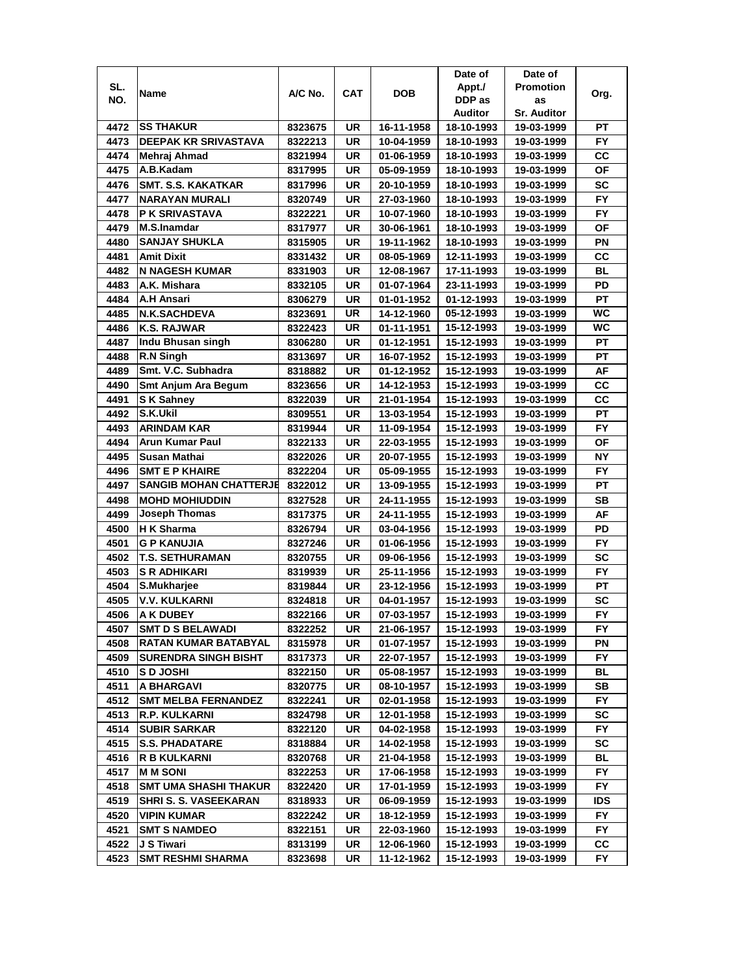|      |                                           |                    |            |                          | Date of                  | Date of                  |            |
|------|-------------------------------------------|--------------------|------------|--------------------------|--------------------------|--------------------------|------------|
| SL.  | Name                                      | A/C No.            | <b>CAT</b> | <b>DOB</b>               | Appt./                   | <b>Promotion</b>         | Org.       |
| NO.  |                                           |                    |            |                          | DDP as                   | as                       |            |
|      |                                           |                    |            |                          | Auditor                  | <b>Sr. Auditor</b>       |            |
| 4472 | <b>SS THAKUR</b>                          | 8323675            | UR         | 16-11-1958               | 18-10-1993               | 19-03-1999               | РT         |
| 4473 | <b>DEEPAK KR SRIVASTAVA</b>               | 8322213            | UR         | 10-04-1959               | 18-10-1993               | 19-03-1999               | <b>FY</b>  |
| 4474 | Mehraj Ahmad                              | 8321994            | UR         | 01-06-1959               | 18-10-1993               | 19-03-1999               | CС         |
| 4475 | A.B.Kadam                                 | 8317995            | UR         | 05-09-1959               | 18-10-1993               | 19-03-1999               | <b>OF</b>  |
| 4476 | <b>SMT. S.S. KAKATKAR</b>                 | 8317996            | UR         | 20-10-1959               | 18-10-1993               | 19-03-1999               | <b>SC</b>  |
| 4477 | NARAYAN MURALI                            | 8320749            | UR         | 27-03-1960               | 18-10-1993               | 19-03-1999               | <b>FY</b>  |
| 4478 | <b>P K SRIVASTAVA</b>                     | 8322221            | UR         | 10-07-1960               | 18-10-1993               | 19-03-1999               | FY.        |
| 4479 | M.S.Inamdar                               | 8317977            | UR         | 30-06-1961               | 18-10-1993               | 19-03-1999               | ΟF         |
| 4480 | <b>SANJAY SHUKLA</b>                      | 8315905            | UR         | 19-11-1962               | 18-10-1993               | 19-03-1999               | ΡN         |
| 4481 | <b>Amit Dixit</b>                         | 8331432            | UR         | 08-05-1969               | 12-11-1993               | 19-03-1999               | cc         |
| 4482 | <b>N NAGESH KUMAR</b>                     | 8331903            | UR         | 12-08-1967               | 17-11-1993               | 19-03-1999               | <b>BL</b>  |
| 4483 | A.K. Mishara                              | 8332105            | <b>UR</b>  | 01-07-1964               | 23-11-1993               | 19-03-1999               | PD         |
| 4484 | <b>A.H Ansari</b>                         | 8306279            | UR         | 01-01-1952               | 01-12-1993               | 19-03-1999               | PT         |
| 4485 | <b>N.K.SACHDEVA</b>                       | 8323691            | UR         | 14-12-1960               | 05-12-1993               | 19-03-1999               | <b>WC</b>  |
| 4486 | K.S. RAJWAR                               | 8322423            | UR         | 01-11-1951               | 15-12-1993               | 19-03-1999               | WC         |
| 4487 | Indu Bhusan singh                         | 8306280            | UR         | 01-12-1951               | 15-12-1993               | 19-03-1999               | РT         |
| 4488 | R.N Singh                                 | 8313697            | UR         | 16-07-1952               | 15-12-1993               | 19-03-1999               | РT         |
| 4489 | Smt. V.C. Subhadra                        | 8318882            | UR         | 01-12-1952               | 15-12-1993               | 19-03-1999               | AF         |
| 4490 | <b>Smt Anjum Ara Begum</b>                | 8323656            | UR         | 14-12-1953               | 15-12-1993               | 19-03-1999               | СC         |
| 4491 | <b>SK Sahney</b>                          | 8322039            | UR         | 21-01-1954               | 15-12-1993               | 19-03-1999               | СC         |
| 4492 | S.K.Ukil                                  | 8309551            | UR         | 13-03-1954               | 15-12-1993               | 19-03-1999               | <b>PT</b>  |
| 4493 | <b>ARINDAM KAR</b>                        | 8319944            | UR         | 11-09-1954               | 15-12-1993               | 19-03-1999               | FY         |
| 4494 | <b>Arun Kumar Paul</b>                    | 8322133            | <b>UR</b>  | 22-03-1955               | 15-12-1993               | 19-03-1999               | ΟF         |
| 4495 | Susan Mathai                              | 8322026            | UR         | 20-07-1955               | 15-12-1993               | 19-03-1999               | <b>NY</b>  |
| 4496 | <b>SMT E P KHAIRE</b>                     | 8322204            | UR         | 05-09-1955               | 15-12-1993               | 19-03-1999               | <b>FY</b>  |
| 4497 | <b>SANGIB MOHAN CHATTERJE</b>             | 8322012            | UR         | 13-09-1955               | 15-12-1993               | 19-03-1999               | PT         |
| 4498 | <b>MOHD MOHIUDDIN</b>                     | 8327528            | <b>UR</b>  | 24-11-1955               | 15-12-1993               | 19-03-1999               | <b>SB</b>  |
| 4499 | <b>Joseph Thomas</b>                      | 8317375            | <b>UR</b>  | 24-11-1955               | 15-12-1993               | 19-03-1999               | AF         |
| 4500 | <b>H</b> K Sharma                         | 8326794            | <b>UR</b>  | 03-04-1956               | 15-12-1993               | 19-03-1999               | PD         |
| 4501 | <b>G P KANUJIA</b>                        | 8327246            | UR         | 01-06-1956               | 15-12-1993               | 19-03-1999               | <b>FY</b>  |
| 4502 | <b>T.S. SETHURAMAN</b>                    | 8320755            | UR         | 09-06-1956               | 15-12-1993               | 19-03-1999               | <b>SC</b>  |
| 4503 | <b>S R ADHIKARI</b>                       | 8319939            | UR         | 25-11-1956               | 15-12-1993               | 19-03-1999               | FY.        |
| 4504 | S.Mukharjee                               | 8319844            | UR         | 23-12-1956               | 15-12-1993               | 19-03-1999               | PT         |
| 4505 | V.V. KULKARNI                             | 8324818            | UR         | 04-01-1957               | 15-12-1993               | 19-03-1999               | SC         |
| 4506 | <b>A K DUBEY</b>                          | 8322166            | UR         | 07-03-1957               | 15-12-1993               | 19-03-1999               | <b>FY</b>  |
| 4507 | <b>SMT D S BELAWADI</b>                   | 8322252            | UR         | 21-06-1957               | 15-12-1993               | 19-03-1999               | FY.        |
| 4508 | RATAN KUMAR BATABYAL                      | 8315978            | UR         | 01-07-1957               | 15-12-1993               | 19-03-1999               | ΡN         |
| 4509 | <b>SURENDRA SINGH BISHT</b>               | 8317373            | UR         | 22-07-1957               | 15-12-1993               | 19-03-1999               | FY         |
| 4510 | <b>SD JOSHI</b>                           | 8322150            | UR         | 05-08-1957               | 15-12-1993               | 19-03-1999               | BL         |
| 4511 | A BHARGAVI                                | 8320775            | UR         | 08-10-1957               | 15-12-1993               | 19-03-1999               | SB         |
| 4512 | <b>SMT MELBA FERNANDEZ</b>                | 8322241            | UR         | 02-01-1958               | 15-12-1993               | 19-03-1999               | FY.        |
| 4513 | <b>R.P. KULKARNI</b>                      | 8324798            | UR         | 12-01-1958               | 15-12-1993               | 19-03-1999               | SC         |
| 4514 | <b>SUBIR SARKAR</b>                       | 8322120            | UR         | 04-02-1958               | 15-12-1993               | 19-03-1999               | FY.        |
| 4515 | <b>S.S. PHADATARE</b>                     | 8318884            | UR         | 14-02-1958               | 15-12-1993               | 19-03-1999               | SC         |
| 4516 | <b>R B KULKARNI</b>                       | 8320768            | UR         | 21-04-1958               | 15-12-1993               | 19-03-1999               | BL         |
| 4517 | <b>MMSONI</b>                             |                    | UR         | 17-06-1958               | 15-12-1993               | 19-03-1999               | FY.        |
| 4518 | <b>SMT UMA SHASHI THAKUR</b>              | 8322253            |            |                          | 15-12-1993               |                          | FY         |
| 4519 | <b>SHRI S. S. VASEEKARAN</b>              | 8322420<br>8318933 | UR<br>UR   | 17-01-1959<br>06-09-1959 | 15-12-1993               | 19-03-1999<br>19-03-1999 | <b>IDS</b> |
| 4520 |                                           | 8322242            |            |                          |                          |                          |            |
| 4521 | <b>VIPIN KUMAR</b><br><b>SMT S NAMDEO</b> |                    | UR         | 18-12-1959               | 15-12-1993<br>15-12-1993 | 19-03-1999               | FY.<br>FY. |
|      |                                           | 8322151            | UR         | 22-03-1960               |                          | 19-03-1999               |            |
| 4522 | J S Tiwari                                | 8313199            | UR         | 12-06-1960               | 15-12-1993               | 19-03-1999               | CС<br>FY.  |
| 4523 | <b>SMT RESHMI SHARMA</b>                  | 8323698            | UR         | 11-12-1962               | 15-12-1993               | 19-03-1999               |            |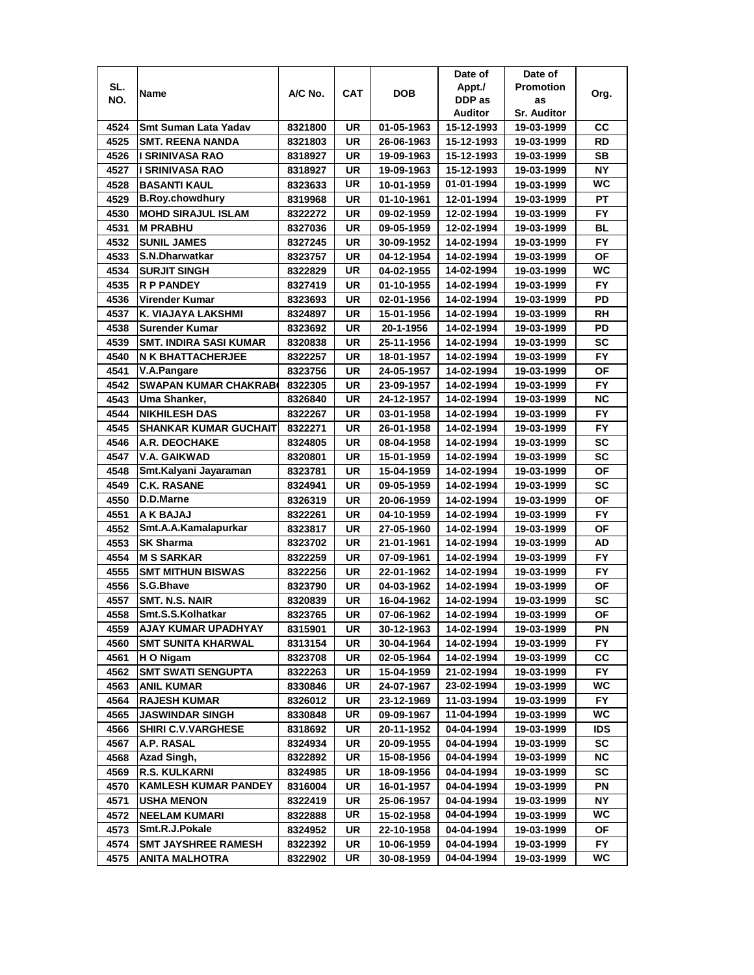|      |                               |         |            |            | Date of    | Date of            |            |
|------|-------------------------------|---------|------------|------------|------------|--------------------|------------|
| SL.  | Name                          | A/C No. | <b>CAT</b> | <b>DOB</b> | Appt./     | <b>Promotion</b>   | Org.       |
| NO.  |                               |         |            |            | DDP as     | as                 |            |
|      |                               |         |            |            | Auditor    | <b>Sr. Auditor</b> |            |
| 4524 | Smt Suman Lata Yadav          | 8321800 | UR         | 01-05-1963 | 15-12-1993 | 19-03-1999         | CС         |
| 4525 | <b>SMT. REENA NANDA</b>       | 8321803 | <b>UR</b>  | 26-06-1963 | 15-12-1993 | 19-03-1999         | RD         |
| 4526 | I SRINIVASA RAO               | 8318927 | UR         | 19-09-1963 | 15-12-1993 | 19-03-1999         | <b>SB</b>  |
| 4527 | I SRINIVASA RAO               | 8318927 | UR         | 19-09-1963 | 15-12-1993 | 19-03-1999         | <b>NY</b>  |
| 4528 | <b>BASANTI KAUL</b>           | 8323633 | UR         | 10-01-1959 | 01-01-1994 | 19-03-1999         | <b>WC</b>  |
| 4529 | <b>B.Roy.chowdhury</b>        | 8319968 | UR         | 01-10-1961 | 12-01-1994 | 19-03-1999         | PT         |
| 4530 | <b>MOHD SIRAJUL ISLAM</b>     | 8322272 | UR         | 09-02-1959 | 12-02-1994 | 19-03-1999         | FY.        |
| 4531 | <b>M PRABHU</b>               | 8327036 | UR         | 09-05-1959 | 12-02-1994 | 19-03-1999         | <b>BL</b>  |
| 4532 | <b>SUNIL JAMES</b>            | 8327245 | UR         | 30-09-1952 | 14-02-1994 | 19-03-1999         | <b>FY</b>  |
| 4533 | S.N.Dharwatkar                | 8323757 | UR         | 04-12-1954 | 14-02-1994 | 19-03-1999         | OF         |
| 4534 | <b>SURJIT SINGH</b>           | 8322829 | UR         | 04-02-1955 | 14-02-1994 | 19-03-1999         | <b>WC</b>  |
| 4535 | <b>R P PANDEY</b>             | 8327419 | UR         | 01-10-1955 | 14-02-1994 | 19-03-1999         | <b>FY</b>  |
| 4536 | Virender Kumar                | 8323693 | UR         | 02-01-1956 | 14-02-1994 | 19-03-1999         | PD         |
| 4537 | K. VIAJAYA LAKSHMI            | 8324897 | UR         | 15-01-1956 | 14-02-1994 | 19-03-1999         | RH         |
| 4538 | <b>Surender Kumar</b>         | 8323692 | UR         | 20-1-1956  | 14-02-1994 | 19-03-1999         | PD         |
| 4539 | <b>SMT. INDIRA SASI KUMAR</b> | 8320838 | UR         | 25-11-1956 | 14-02-1994 | 19-03-1999         | <b>SC</b>  |
| 4540 | <b>N K BHATTACHERJEE</b>      | 8322257 | UR         | 18-01-1957 | 14-02-1994 | 19-03-1999         | FY.        |
| 4541 | V.A.Pangare                   | 8323756 | UR         | 24-05-1957 | 14-02-1994 | 19-03-1999         | ΟF         |
| 4542 | <b>SWAPAN KUMAR CHAKRAB</b>   | 8322305 | UR         | 23-09-1957 | 14-02-1994 | 19-03-1999         | <b>FY</b>  |
| 4543 | Uma Shanker,                  | 8326840 | UR         | 24-12-1957 | 14-02-1994 | 19-03-1999         | <b>NC</b>  |
| 4544 | <b>NIKHILESH DAS</b>          | 8322267 | UR         | 03-01-1958 | 14-02-1994 | 19-03-1999         | <b>FY</b>  |
| 4545 | <b>SHANKAR KUMAR GUCHAIT</b>  | 8322271 | UR         | 26-01-1958 | 14-02-1994 | 19-03-1999         | FY         |
| 4546 | A.R. DEOCHAKE                 | 8324805 | UR         | 08-04-1958 | 14-02-1994 | 19-03-1999         | <b>SC</b>  |
| 4547 | V.A. GAIKWAD                  | 8320801 | UR         | 15-01-1959 | 14-02-1994 | 19-03-1999         | <b>SC</b>  |
| 4548 | Smt.Kalyani Jayaraman         | 8323781 | UR         | 15-04-1959 | 14-02-1994 | 19-03-1999         | ΟF         |
| 4549 | <b>C.K. RASANE</b>            | 8324941 | UR         | 09-05-1959 | 14-02-1994 | 19-03-1999         | <b>SC</b>  |
| 4550 | D.D.Marne                     | 8326319 | <b>UR</b>  | 20-06-1959 | 14-02-1994 | 19-03-1999         | <b>OF</b>  |
| 4551 | A K BAJAJ                     | 8322261 | <b>UR</b>  | 04-10-1959 | 14-02-1994 | 19-03-1999         | <b>FY</b>  |
| 4552 | Smt.A.A.Kamalapurkar          | 8323817 | UR         | 27-05-1960 | 14-02-1994 | 19-03-1999         | <b>OF</b>  |
| 4553 | <b>SK Sharma</b>              | 8323702 | <b>UR</b>  | 21-01-1961 | 14-02-1994 | 19-03-1999         | AD         |
| 4554 | <b>M S SARKAR</b>             | 8322259 | UR         | 07-09-1961 | 14-02-1994 | 19-03-1999         | <b>FY</b>  |
| 4555 | <b>SMT MITHUN BISWAS</b>      | 8322256 | UR         | 22-01-1962 | 14-02-1994 | 19-03-1999         | FY.        |
| 4556 | S.G.Bhave                     | 8323790 | UR         | 04-03-1962 | 14-02-1994 | 19-03-1999         | ΟF         |
| 4557 | SMT. N.S. NAIR                | 8320839 | UR         | 16-04-1962 | 14-02-1994 | 19-03-1999         | SC         |
| 4558 | Smt.S.S.Kolhatkar             | 8323765 | UR         | 07-06-1962 | 14-02-1994 | 19-03-1999         | <b>OF</b>  |
| 4559 | AJAY KUMAR UPADHYAY           | 8315901 | UR         | 30-12-1963 | 14-02-1994 | 19-03-1999         | ΡN         |
| 4560 | <b>SMT SUNITA KHARWAL</b>     | 8313154 | UR         | 30-04-1964 | 14-02-1994 | 19-03-1999         | FY         |
| 4561 | H O Nigam                     | 8323708 | UR         | 02-05-1964 | 14-02-1994 | 19-03-1999         | СC         |
| 4562 | <b>SMT SWATI SENGUPTA</b>     | 8322263 | UR         | 15-04-1959 | 21-02-1994 | 19-03-1999         | FY.        |
| 4563 | ANIL KUMAR                    | 8330846 | UR         | 24-07-1967 | 23-02-1994 | 19-03-1999         | WC         |
| 4564 | <b>RAJESH KUMAR</b>           | 8326012 | UR         | 23-12-1969 | 11-03-1994 | 19-03-1999         | FY.        |
| 4565 | <b>JASWINDAR SINGH</b>        | 8330848 | UR         | 09-09-1967 | 11-04-1994 | 19-03-1999         | WC.        |
| 4566 | <b>SHIRI C.V.VARGHESE</b>     | 8318692 | UR         | 20-11-1952 | 04-04-1994 | 19-03-1999         | <b>IDS</b> |
| 4567 | A.P. RASAL                    | 8324934 | UR         | 20-09-1955 | 04-04-1994 | 19-03-1999         | SC         |
| 4568 | Azad Singh,                   | 8322892 | UR         | 15-08-1956 | 04-04-1994 | 19-03-1999         | NC.        |
| 4569 | <b>R.S. KULKARNI</b>          | 8324985 | UR         | 18-09-1956 | 04-04-1994 | 19-03-1999         | SC         |
| 4570 | <b>KAMLESH KUMAR PANDEY</b>   | 8316004 | UR         | 16-01-1957 | 04-04-1994 | 19-03-1999         | ΡN         |
| 4571 | <b>USHA MENON</b>             | 8322419 | UR         | 25-06-1957 | 04-04-1994 | 19-03-1999         | NΥ         |
| 4572 | <b>NEELAM KUMARI</b>          | 8322888 | UR         | 15-02-1958 | 04-04-1994 | 19-03-1999         | WC.        |
| 4573 | Smt.R.J.Pokale                | 8324952 | UR         | 22-10-1958 | 04-04-1994 | 19-03-1999         | ОF         |
| 4574 | <b>SMT JAYSHREE RAMESH</b>    | 8322392 | UR         | 10-06-1959 | 04-04-1994 | 19-03-1999         | FY.        |
| 4575 | ANITA MALHOTRA                | 8322902 | UR         | 30-08-1959 | 04-04-1994 | 19-03-1999         | WC         |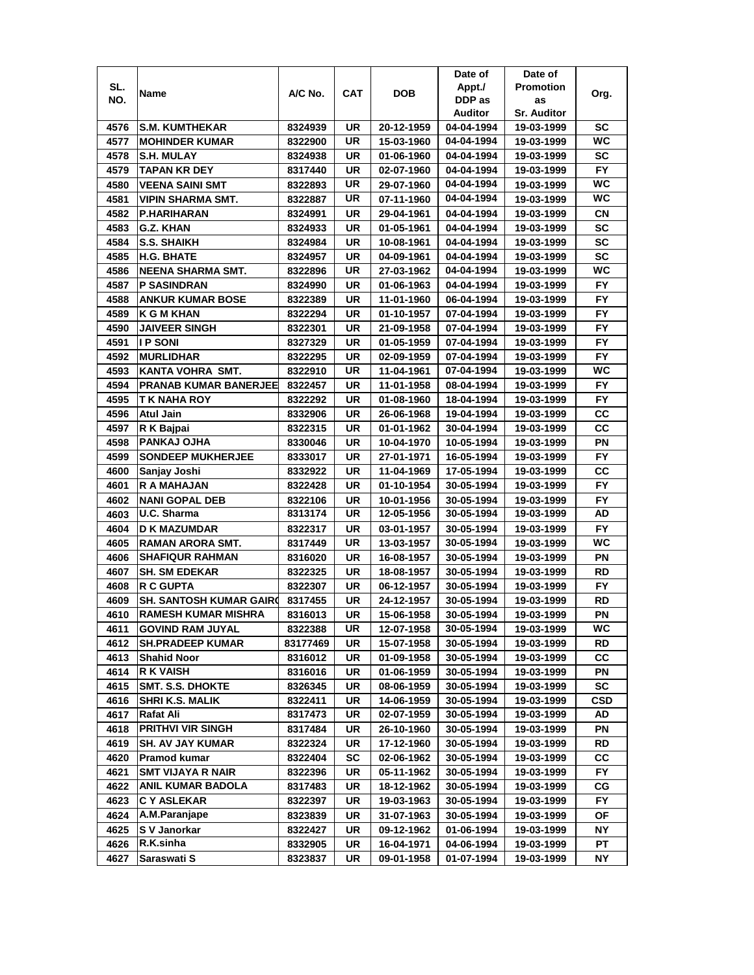|      |                                |          |            |            | Date of    | Date of            |           |
|------|--------------------------------|----------|------------|------------|------------|--------------------|-----------|
| SL.  | Name                           | A/C No.  | <b>CAT</b> | <b>DOB</b> | Appt./     | <b>Promotion</b>   | Org.      |
| NO.  |                                |          |            |            | DDP as     | as                 |           |
|      |                                |          |            |            | Auditor    | <b>Sr. Auditor</b> |           |
| 4576 | <b>S.M. KUMTHEKAR</b>          | 8324939  | UR         | 20-12-1959 | 04-04-1994 | 19-03-1999         | SC        |
| 4577 | <b>MOHINDER KUMAR</b>          | 8322900  | UR         | 15-03-1960 | 04-04-1994 | 19-03-1999         | <b>WC</b> |
| 4578 | <b>S.H. MULAY</b>              | 8324938  | UR         | 01-06-1960 | 04-04-1994 | 19-03-1999         | SC        |
| 4579 | <b>TAPAN KR DEY</b>            | 8317440  | UR         | 02-07-1960 | 04-04-1994 | 19-03-1999         | <b>FY</b> |
| 4580 | <b>VEENA SAINI SMT</b>         | 8322893  | UR         | 29-07-1960 | 04-04-1994 | 19-03-1999         | <b>WC</b> |
| 4581 | VIPIN SHARMA SMT.              | 8322887  | UR         | 07-11-1960 | 04-04-1994 | 19-03-1999         | <b>WC</b> |
| 4582 | <b>P.HARIHARAN</b>             | 8324991  | UR         | 29-04-1961 | 04-04-1994 | 19-03-1999         | СN        |
| 4583 | <b>G.Z. KHAN</b>               | 8324933  | UR         | 01-05-1961 | 04-04-1994 | 19-03-1999         | <b>SC</b> |
| 4584 | <b>S.S. SHAIKH</b>             | 8324984  | UR         | 10-08-1961 | 04-04-1994 | 19-03-1999         | <b>SC</b> |
| 4585 | <b>H.G. BHATE</b>              | 8324957  | UR         | 04-09-1961 | 04-04-1994 | 19-03-1999         | <b>SC</b> |
| 4586 | <b>NEENA SHARMA SMT.</b>       | 8322896  | UR         | 27-03-1962 | 04-04-1994 | 19-03-1999         | <b>WC</b> |
| 4587 | <b>P SASINDRAN</b>             | 8324990  | UR         | 01-06-1963 | 04-04-1994 | 19-03-1999         | <b>FY</b> |
| 4588 | <b>ANKUR KUMAR BOSE</b>        | 8322389  | UR         | 11-01-1960 | 06-04-1994 | 19-03-1999         | FY        |
| 4589 | <b>K G M KHAN</b>              | 8322294  | UR         | 01-10-1957 | 07-04-1994 | 19-03-1999         | <b>FY</b> |
| 4590 | <b>JAIVEER SINGH</b>           | 8322301  | UR         | 21-09-1958 | 07-04-1994 | 19-03-1999         | FY.       |
| 4591 | <b>IP SONI</b>                 | 8327329  | UR         | 01-05-1959 | 07-04-1994 | 19-03-1999         | <b>FY</b> |
| 4592 | <b>MURLIDHAR</b>               | 8322295  | UR         | 02-09-1959 | 07-04-1994 | 19-03-1999         | FY.       |
| 4593 | KANTA VOHRA SMT.               | 8322910  | UR         | 11-04-1961 | 07-04-1994 | 19-03-1999         | WC        |
| 4594 | <b>PRANAB KUMAR BANERJEE</b>   | 8322457  | UR         | 11-01-1958 | 08-04-1994 | 19-03-1999         | <b>FY</b> |
| 4595 | <b>TK NAHA ROY</b>             | 8322292  | UR         | 01-08-1960 | 18-04-1994 | 19-03-1999         | <b>FY</b> |
| 4596 | <b>Atul Jain</b>               | 8332906  | UR         | 26-06-1968 | 19-04-1994 | 19-03-1999         | CC        |
| 4597 | R K Bajpai                     | 8322315  | UR         | 01-01-1962 | 30-04-1994 | 19-03-1999         | CС        |
| 4598 | <b>PANKAJ OJHA</b>             | 8330046  | UR         | 10-04-1970 | 10-05-1994 | 19-03-1999         | PN        |
| 4599 | <b>SONDEEP MUKHERJEE</b>       | 8333017  | UR         | 27-01-1971 | 16-05-1994 | 19-03-1999         | FY.       |
| 4600 | Sanjay Joshi                   | 8332922  | UR         | 11-04-1969 | 17-05-1994 | 19-03-1999         | cc        |
| 4601 | <b>R A MAHAJAN</b>             | 8322428  | UR         | 01-10-1954 | 30-05-1994 | 19-03-1999         | <b>FY</b> |
| 4602 | <b>NANI GOPAL DEB</b>          | 8322106  | UR         | 10-01-1956 | 30-05-1994 | 19-03-1999         | <b>FY</b> |
| 4603 | U.C. Sharma                    | 8313174  | UR         | 12-05-1956 | 30-05-1994 | 19-03-1999         | AD        |
| 4604 | <b>D K MAZUMDAR</b>            | 8322317  | UR         | 03-01-1957 | 30-05-1994 | 19-03-1999         | <b>FY</b> |
| 4605 | RAMAN ARORA SMT.               | 8317449  | UR         | 13-03-1957 | 30-05-1994 | 19-03-1999         | <b>WC</b> |
| 4606 | <b>SHAFIQUR RAHMAN</b>         | 8316020  | UR         | 16-08-1957 | 30-05-1994 | 19-03-1999         | PN        |
| 4607 | <b>SH. SM EDEKAR</b>           | 8322325  | UR         | 18-08-1957 | 30-05-1994 | 19-03-1999         | RD        |
| 4608 | <b>R C GUPTA</b>               | 8322307  | UR         | 06-12-1957 | 30-05-1994 | 19-03-1999         | FY.       |
| 4609 | <b>SH. SANTOSH KUMAR GAIR0</b> | 8317455  | UR         | 24-12-1957 | 30-05-1994 | 19-03-1999         | RD        |
| 4610 | <b>RAMESH KUMAR MISHRA</b>     | 8316013  | UR         | 15-06-1958 | 30-05-1994 | 19-03-1999         | ΡN        |
| 4611 | <b>GOVIND RAM JUYAL</b>        | 8322388  | UR         | 12-07-1958 | 30-05-1994 | 19-03-1999         | WC        |
| 4612 | <b>SH.PRADEEP KUMAR</b>        | 83177469 | UR         | 15-07-1958 | 30-05-1994 | 19-03-1999         | RD        |
| 4613 | <b>Shahid Noor</b>             | 8316012  | UR         | 01-09-1958 | 30-05-1994 | 19-03-1999         | CС        |
| 4614 | R K VAISH                      | 8316016  | UR         | 01-06-1959 | 30-05-1994 | 19-03-1999         | PN        |
| 4615 | SMT. S.S. DHOKTE               | 8326345  | UR         | 08-06-1959 | 30-05-1994 | 19-03-1999         | SC        |
| 4616 | <b>SHRI K.S. MALIK</b>         | 8322411  | UR         | 14-06-1959 | 30-05-1994 | 19-03-1999         | CSD       |
| 4617 | <b>Rafat Ali</b>               | 8317473  | UR         | 02-07-1959 | 30-05-1994 | 19-03-1999         | AD        |
| 4618 | <b>PRITHVI VIR SINGH</b>       | 8317484  | UR         | 26-10-1960 | 30-05-1994 | 19-03-1999         | PN        |
| 4619 | <b>SH. AV JAY KUMAR</b>        | 8322324  | UR         | 17-12-1960 | 30-05-1994 | 19-03-1999         | RD        |
| 4620 | <b>Pramod kumar</b>            | 8322404  | <b>SC</b>  | 02-06-1962 | 30-05-1994 | 19-03-1999         | СC        |
| 4621 | <b>SMT VIJAYA R NAIR</b>       | 8322396  | UR         | 05-11-1962 | 30-05-1994 | 19-03-1999         | <b>FY</b> |
| 4622 | ANIL KUMAR BADOLA              | 8317483  | UR         | 18-12-1962 | 30-05-1994 | 19-03-1999         | СG        |
| 4623 | C Y ASLEKAR                    | 8322397  | UR         | 19-03-1963 | 30-05-1994 | 19-03-1999         | FY.       |
| 4624 | A.M.Paranjape                  | 8323839  | UR         | 31-07-1963 | 30-05-1994 | 19-03-1999         | ОF        |
| 4625 | S V Janorkar                   | 8322427  | UR         | 09-12-1962 | 01-06-1994 | 19-03-1999         | NΥ        |
|      | R.K.sinha                      |          |            |            |            |                    | PТ        |
| 4626 |                                | 8332905  | UR         | 16-04-1971 | 04-06-1994 | 19-03-1999         |           |
| 4627 | Saraswati S                    | 8323837  | UR         | 09-01-1958 | 01-07-1994 | 19-03-1999         | NΥ        |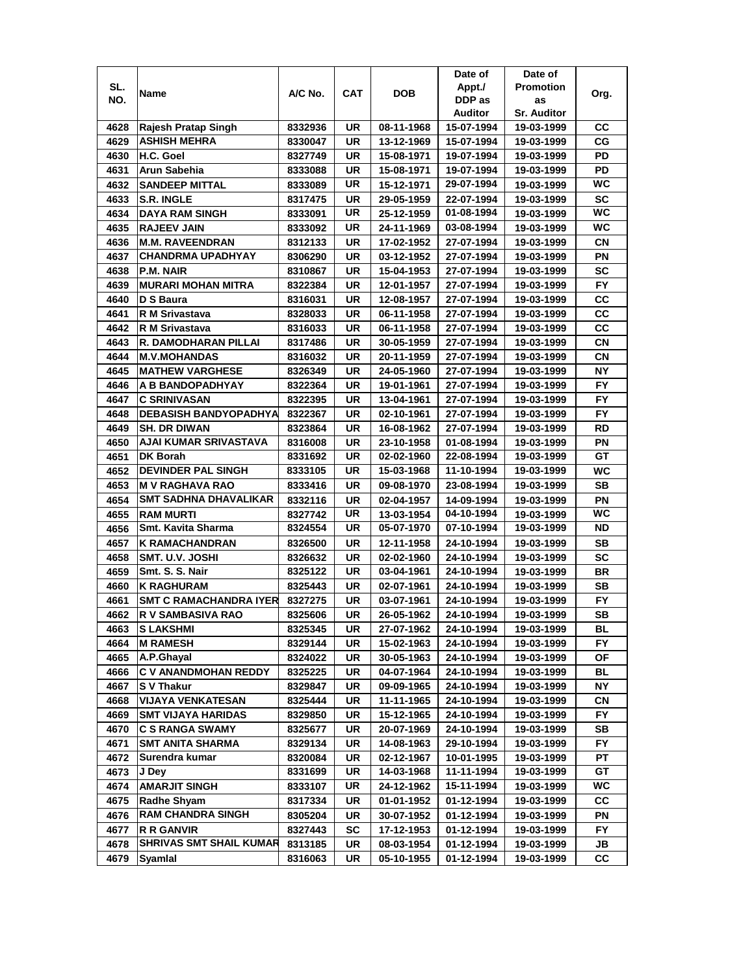|      |                               |         |     |            | Date of    | Date of            |           |
|------|-------------------------------|---------|-----|------------|------------|--------------------|-----------|
| SL.  |                               |         |     |            | Appt./     | <b>Promotion</b>   |           |
| NO.  | Name                          | A/C No. | CAT | <b>DOB</b> | DDP as     | as                 | Org.      |
|      |                               |         |     |            | Auditor    | <b>Sr. Auditor</b> |           |
| 4628 | Rajesh Pratap Singh           | 8332936 | UR  | 08-11-1968 | 15-07-1994 | 19-03-1999         | CС        |
| 4629 | <b>ASHISH MEHRA</b>           | 8330047 | UR  | 13-12-1969 | 15-07-1994 | 19-03-1999         | СG        |
| 4630 | H.C. Goel                     | 8327749 | UR  | 15-08-1971 | 19-07-1994 | 19-03-1999         | PD        |
| 4631 | Arun Sabehia                  | 8333088 | UR  | 15-08-1971 | 19-07-1994 | 19-03-1999         | PD        |
| 4632 | <b>SANDEEP MITTAL</b>         | 8333089 | UR  | 15-12-1971 | 29-07-1994 | 19-03-1999         | <b>WC</b> |
| 4633 | <b>S.R. INGLE</b>             | 8317475 | UR  | 29-05-1959 | 22-07-1994 | 19-03-1999         | <b>SC</b> |
| 4634 | <b>DAYA RAM SINGH</b>         | 8333091 | UR  | 25-12-1959 | 01-08-1994 | 19-03-1999         | WC        |
| 4635 | <b>RAJEEV JAIN</b>            | 8333092 | UR  | 24-11-1969 | 03-08-1994 | 19-03-1999         | WC.       |
| 4636 | <b>M.M. RAVEENDRAN</b>        | 8312133 | UR  | 17-02-1952 | 27-07-1994 | 19-03-1999         | CN        |
| 4637 | <b>CHANDRMA UPADHYAY</b>      | 8306290 | UR  | 03-12-1952 | 27-07-1994 | 19-03-1999         | ΡN        |
| 4638 | P.M. NAIR                     | 8310867 | UR  | 15-04-1953 | 27-07-1994 | 19-03-1999         | SC        |
| 4639 | <b>MURARI MOHAN MITRA</b>     | 8322384 | UR  | 12-01-1957 | 27-07-1994 | 19-03-1999         | <b>FY</b> |
| 4640 | D S Baura                     | 8316031 | UR  | 12-08-1957 | 27-07-1994 | 19-03-1999         | CС        |
| 4641 | <b>R M Srivastava</b>         | 8328033 | UR  | 06-11-1958 | 27-07-1994 | 19-03-1999         | СC        |
| 4642 |                               |         | UR  | 06-11-1958 | 27-07-1994 | 19-03-1999         | СC        |
| 4643 | R M Srivastava                | 8316033 | UR  |            | 27-07-1994 |                    | СN        |
|      | R. DAMODHARAN PILLAI          | 8317486 |     | 30-05-1959 |            | 19-03-1999         |           |
| 4644 | <b>M.V.MOHANDAS</b>           | 8316032 | UR  | 20-11-1959 | 27-07-1994 | 19-03-1999         | СN        |
| 4645 | <b>MATHEW VARGHESE</b>        | 8326349 | UR  | 24-05-1960 | 27-07-1994 | 19-03-1999         | NΥ        |
| 4646 | A B BANDOPADHYAY              | 8322364 | UR  | 19-01-1961 | 27-07-1994 | 19-03-1999         | FY.       |
| 4647 | <b>C SRINIVASAN</b>           | 8322395 | UR  | 13-04-1961 | 27-07-1994 | 19-03-1999         | FY.       |
| 4648 | <b>DEBASISH BANDYOPADHYA</b>  | 8322367 | UR  | 02-10-1961 | 27-07-1994 | 19-03-1999         | <b>FY</b> |
| 4649 | <b>SH. DR DIWAN</b>           | 8323864 | UR  | 16-08-1962 | 27-07-1994 | 19-03-1999         | RD        |
| 4650 | AJAI KUMAR SRIVASTAVA         | 8316008 | UR  | 23-10-1958 | 01-08-1994 | 19-03-1999         | ΡN        |
| 4651 | <b>DK Borah</b>               | 8331692 | UR  | 02-02-1960 | 22-08-1994 | 19-03-1999         | GТ        |
| 4652 | <b>DEVINDER PAL SINGH</b>     | 8333105 | UR  | 15-03-1968 | 11-10-1994 | 19-03-1999         | WC        |
| 4653 | <b>M V RAGHAVA RAO</b>        | 8333416 | UR  | 09-08-1970 | 23-08-1994 | 19-03-1999         | SB        |
| 4654 | <b>SMT SADHNA DHAVALIKAR</b>  | 8332116 | UR  | 02-04-1957 | 14-09-1994 | 19-03-1999         | PN        |
| 4655 | <b>RAM MURTI</b>              | 8327742 | UR  | 13-03-1954 | 04-10-1994 | 19-03-1999         | <b>WC</b> |
| 4656 | Smt. Kavita Sharma            | 8324554 | UR  | 05-07-1970 | 07-10-1994 | 19-03-1999         | <b>ND</b> |
| 4657 | <b>K RAMACHANDRAN</b>         | 8326500 | UR  | 12-11-1958 | 24-10-1994 | 19-03-1999         | SВ        |
| 4658 | SMT. U.V. JOSHI               | 8326632 | UR  | 02-02-1960 | 24-10-1994 | 19-03-1999         | <b>SC</b> |
| 4659 | Smt. S. S. Nair               | 8325122 | UR  | 03-04-1961 | 24-10-1994 | 19-03-1999         | BR        |
| 4660 | <b>K RAGHURAM</b>             | 8325443 | UR  | 02-07-1961 | 24-10-1994 | 19-03-1999         | SВ        |
| 4661 | <b>SMT C RAMACHANDRA IYER</b> | 8327275 | UR  | 03-07-1961 | 24-10-1994 | 19-03-1999         | FY.       |
| 4662 | R V SAMBASIVA RAO             | 8325606 | UR  | 26-05-1962 | 24-10-1994 | 19-03-1999         | <b>SB</b> |
| 4663 | <b>SLAKSHMI</b>               | 8325345 | UR  | 27-07-1962 | 24-10-1994 | 19-03-1999         | BL        |
| 4664 | <b>M RAMESH</b>               | 8329144 | UR  | 15-02-1963 | 24-10-1994 | 19-03-1999         | FY.       |
| 4665 | A.P.Ghayal                    | 8324022 | UR  | 30-05-1963 | 24-10-1994 | 19-03-1999         | ΟF        |
| 4666 | <b>C V ANANDMOHAN REDDY</b>   | 8325225 | UR  | 04-07-1964 | 24-10-1994 | 19-03-1999         | BL        |
| 4667 | <b>SV Thakur</b>              | 8329847 | UR  | 09-09-1965 | 24-10-1994 | 19-03-1999         | NΥ        |
| 4668 | <b>VIJAYA VENKATESAN</b>      | 8325444 | UR  | 11-11-1965 | 24-10-1994 | 19-03-1999         | CN        |
| 4669 | <b>SMT VIJAYA HARIDAS</b>     | 8329850 | UR  | 15-12-1965 | 24-10-1994 | 19-03-1999         | FY.       |
| 4670 | <b>C S RANGA SWAMY</b>        | 8325677 | UR  | 20-07-1969 | 24-10-1994 | 19-03-1999         | SB        |
| 4671 | <b>SMT ANITA SHARMA</b>       | 8329134 | UR  | 14-08-1963 | 29-10-1994 | 19-03-1999         | FY        |
| 4672 | Surendra kumar                | 8320084 | UR  | 02-12-1967 | 10-01-1995 | 19-03-1999         | PТ        |
| 4673 | J Dey                         | 8331699 | UR  | 14-03-1968 | 11-11-1994 | 19-03-1999         | GТ        |
| 4674 | <b>AMARJIT SINGH</b>          | 8333107 | UR  | 24-12-1962 | 15-11-1994 | 19-03-1999         | WC        |
| 4675 | <b>Radhe Shyam</b>            | 8317334 | UR  | 01-01-1952 | 01-12-1994 | 19-03-1999         | СC        |
| 4676 | <b>RAM CHANDRA SINGH</b>      | 8305204 | UR  | 30-07-1952 | 01-12-1994 | 19-03-1999         | ΡN        |
| 4677 | R R GANVIR                    | 8327443 | SC  | 17-12-1953 | 01-12-1994 | 19-03-1999         | FY.       |
| 4678 | SHRIVAS SMT SHAIL KUMAR       | 8313185 | UR  | 08-03-1954 | 01-12-1994 | 19-03-1999         | JB        |
| 4679 | Syamlal                       | 8316063 | UR  | 05-10-1955 | 01-12-1994 | 19-03-1999         | СC        |
|      |                               |         |     |            |            |                    |           |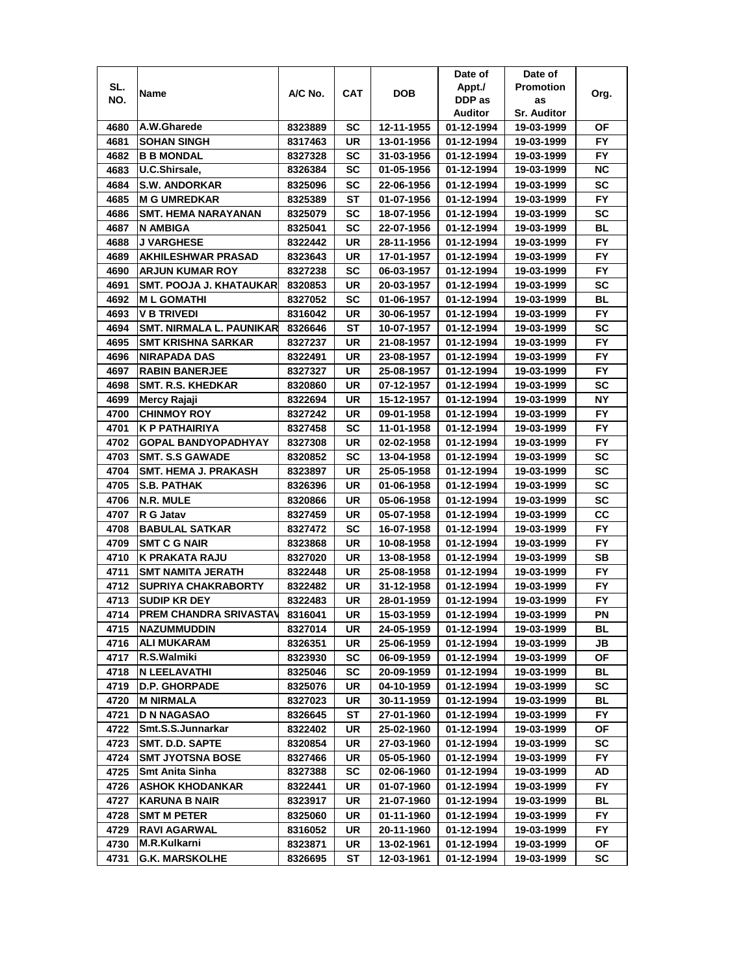|              |                                                      |                    |          |                          | Date of                  | Date of                  |                 |
|--------------|------------------------------------------------------|--------------------|----------|--------------------------|--------------------------|--------------------------|-----------------|
| SL.          |                                                      |                    |          |                          | Appt./                   | <b>Promotion</b>         |                 |
| NO.          | Name                                                 | A/C No.            | CAT      | <b>DOB</b>               | DDP as                   | as                       | Org.            |
|              |                                                      |                    |          |                          | Auditor                  | <b>Sr. Auditor</b>       |                 |
| 4680         | A.W.Gharede                                          | 8323889            | SC       | 12-11-1955               | 01-12-1994               | 19-03-1999               | ΟF              |
| 4681         | <b>SOHAN SINGH</b>                                   | 8317463            | UR       | 13-01-1956               | 01-12-1994               | 19-03-1999               | FY.             |
| 4682         | <b>B B MONDAL</b>                                    | 8327328            | SC       | 31-03-1956               | 01-12-1994               | 19-03-1999               | FY.             |
| 4683         | U.C.Shirsale,                                        | 8326384            | SC       | 01-05-1956               | 01-12-1994               | 19-03-1999               | ΝC              |
| 4684         | <b>S.W. ANDORKAR</b>                                 | 8325096            | SC       | 22-06-1956               | 01-12-1994               | 19-03-1999               | SC              |
| 4685         | <b>M G UMREDKAR</b>                                  | 8325389            | SТ       | 01-07-1956               | 01-12-1994               | 19-03-1999               | FY              |
| 4686         | <b>SMT. HEMA NARAYANAN</b>                           | 8325079            | SC       | 18-07-1956               | 01-12-1994               | 19-03-1999               | <b>SC</b>       |
| 4687         | N AMBIGA                                             | 8325041            | SC       | 22-07-1956               | 01-12-1994               | 19-03-1999               | BL              |
| 4688         | <b>J VARGHESE</b>                                    | 8322442            | UR       | 28-11-1956               | 01-12-1994               | 19-03-1999               | FY.             |
| 4689         | <b>AKHILESHWAR PRASAD</b>                            | 8323643            | UR       | 17-01-1957               | 01-12-1994               | 19-03-1999               | FY.             |
| 4690         | <b>ARJUN KUMAR ROY</b>                               | 8327238            | SC       | 06-03-1957               | 01-12-1994               | 19-03-1999               | <b>FY</b>       |
| 4691         | <b>SMT. POOJA J. KHATAUKAR</b>                       | 8320853            | UR       | 20-03-1957               | 01-12-1994               | 19-03-1999               | SC              |
| 4692         | <b>ML GOMATHI</b>                                    | 8327052            | SC       | 01-06-1957               | 01-12-1994               | 19-03-1999               | <b>BL</b>       |
| 4693         | <b>V B TRIVEDI</b>                                   | 8316042            | UR       | 30-06-1957               | 01-12-1994               | 19-03-1999               | FY              |
| 4694         | <b>SMT. NIRMALA L. PAUNIKAR</b>                      | 8326646            | ST       | 10-07-1957               | 01-12-1994               | 19-03-1999               | SC              |
| 4695         | <b>SMT KRISHNA SARKAR</b>                            | 8327237            | UR       | 21-08-1957               | 01-12-1994               | 19-03-1999               | FY.             |
| 4696         | <b>NIRAPADA DAS</b>                                  | 8322491            | UR       | 23-08-1957               | 01-12-1994               | 19-03-1999               | FY.             |
|              |                                                      |                    |          |                          |                          |                          |                 |
| 4697         | <b>RABIN BANERJEE</b>                                | 8327327            | UR       | 25-08-1957               | 01-12-1994               | 19-03-1999               | FY.             |
| 4698         | <b>SMT. R.S. KHEDKAR</b>                             | 8320860            | UR       | 07-12-1957               | 01-12-1994               | 19-03-1999               | sc              |
| 4699         | Mercy Rajaji                                         | 8322694            | UR       | 15-12-1957               | 01-12-1994               | 19-03-1999               | NΥ              |
| 4700         | <b>CHINMOY ROY</b>                                   | 8327242            | UR       | 09-01-1958               | 01-12-1994               | 19-03-1999               | FY.             |
| 4701         | K P PATHAIRIYA                                       | 8327458            | SC       | 11-01-1958               | 01-12-1994               | 19-03-1999               | <b>FY</b>       |
| 4702         | <b>GOPAL BANDYOPADHYAY</b>                           | 8327308            | UR       | 02-02-1958               | 01-12-1994               | 19-03-1999               | FY              |
| 4703         | <b>SMT. S.S GAWADE</b>                               | 8320852            | SC       | 13-04-1958               | 01-12-1994               | 19-03-1999               | <b>SC</b>       |
| 4704         | <b>SMT. HEMA J. PRAKASH</b>                          | 8323897            | UR       | 25-05-1958               | 01-12-1994               | 19-03-1999               | SC              |
| 4705         | <b>S.B. PATHAK</b>                                   | 8326396            | UR       | 01-06-1958               | 01-12-1994               | 19-03-1999               | <b>SC</b>       |
| 4706<br>4707 | IN.R. MULE<br>R G Jatav                              | 8320866            | UR<br>UR | 05-06-1958               | 01-12-1994               | 19-03-1999               | SC<br>CC        |
| 4708         | <b>BABULAL SATKAR</b>                                | 8327459<br>8327472 | SC       | 05-07-1958<br>16-07-1958 | 01-12-1994<br>01-12-1994 | 19-03-1999<br>19-03-1999 | <b>FY</b>       |
| 4709         | <b>SMT C G NAIR</b>                                  | 8323868            | UR       | 10-08-1958               | 01-12-1994               | 19-03-1999               | <b>FY</b>       |
| 4710         | <b>K PRAKATA RAJU</b>                                | 8327020            | UR       | 13-08-1958               | 01-12-1994               | 19-03-1999               | SB              |
|              |                                                      |                    |          |                          |                          | 19-03-1999               |                 |
| 4711         | <b>SMT NAMITA JERATH</b>                             | 8322448            | UR       | 25-08-1958               | 01-12-1994               |                          | FY.             |
| 4712         | <b>SUPRIYA CHAKRABORTY</b>                           | 8322482            | UR       | 31-12-1958               | 01-12-1994               | 19-03-1999               | FY.             |
| 4713         | <b>SUDIP KR DEY</b><br><b>PREM CHANDRA SRIVASTAV</b> | 8322483            | UR       | 28-01-1959               | 01-12-1994               | 19-03-1999               | FY.             |
| 4714         |                                                      | 8316041            | UR       | 15-03-1959               | 01-12-1994               | 19-03-1999               | ΡN              |
| 4715         | <b>NAZUMMUDDIN</b><br><b>ALI MUKARAM</b>             | 8327014            | UR       | 24-05-1959               | 01-12-1994               | 19-03-1999               | BL              |
| 4716         |                                                      | 8326351            | UR       | 25-06-1959               | 01-12-1994               | 19-03-1999               | JB              |
| 4717         | R.S.Walmiki                                          | 8323930            | SC       | 06-09-1959               | 01-12-1994               | 19-03-1999               | ОF              |
| 4718         | <b>N LEELAVATHI</b>                                  | 8325046            | SC       | 20-09-1959               | 01-12-1994               | 19-03-1999               | BL              |
| 4719         | <b>D.P. GHORPADE</b>                                 | 8325076            | UR       | 04-10-1959               | 01-12-1994               | 19-03-1999               | SC              |
| 4720         | <b>M NIRMALA</b>                                     | 8327023            | UR       | 30-11-1959               | 01-12-1994               | 19-03-1999               | BL              |
| 4721         | <b>D N NAGASAO</b>                                   | 8326645            | ST       | 27-01-1960               | 01-12-1994               | 19-03-1999               | FY.             |
| 4722         | Smt.S.S.Junnarkar                                    | 8322402            | UR       | 25-02-1960               | 01-12-1994               | 19-03-1999               | ОF              |
| 4723         | <b>SMT. D.D. SAPTE</b><br><b>SMT JYOTSNA BOSE</b>    | 8320854            | UR       | 27-03-1960               | 01-12-1994               | 19-03-1999<br>19-03-1999 | SC<br><b>FY</b> |
| 4724         |                                                      | 8327466            | UR       | 05-05-1960               | 01-12-1994               | 19-03-1999               | AD              |
| 4725         | <b>Smt Anita Sinha</b>                               | 8327388            | SC       | 02-06-1960               | 01-12-1994               |                          |                 |
| 4726         | <b>ASHOK KHODANKAR</b>                               | 8322441            | UR       | 01-07-1960               | 01-12-1994               | 19-03-1999               | FY.             |
| 4727         | <b>KARUNA B NAIR</b>                                 | 8323917            | UR       | 21-07-1960               | 01-12-1994               | 19-03-1999               | BL              |
| 4728         | <b>SMT M PETER</b>                                   | 8325060            | UR       | 01-11-1960               | 01-12-1994               | 19-03-1999               | FY.             |
| 4729         | <b>RAVI AGARWAL</b>                                  | 8316052            | UR       | 20-11-1960               | 01-12-1994               | 19-03-1999               | FY.             |
| 4730         | M.R.Kulkarni                                         | 8323871            | UR       | 13-02-1961               | 01-12-1994               | 19-03-1999               | ОF              |
| 4731         | G.K. MARSKOLHE                                       | 8326695            | ST       | 12-03-1961               | 01-12-1994               | 19-03-1999               | sc              |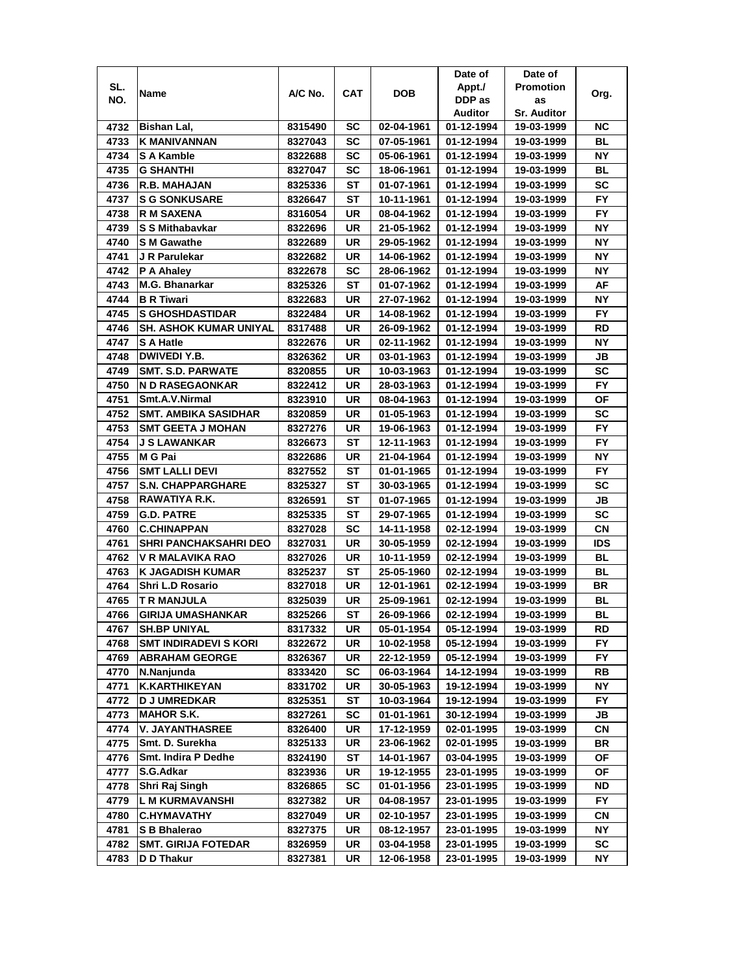|      |                               |         |     |            | Date of        | Date of            |           |
|------|-------------------------------|---------|-----|------------|----------------|--------------------|-----------|
| SL.  | Name                          | A/C No. | CAT | <b>DOB</b> | Appt./         | <b>Promotion</b>   | Org.      |
| NO.  |                               |         |     |            | DDP as         | as                 |           |
|      |                               |         |     |            | <b>Auditor</b> | <b>Sr. Auditor</b> |           |
| 4732 | Bishan Lal,                   | 8315490 | SC  | 02-04-1961 | 01-12-1994     | 19-03-1999         | ΝC        |
| 4733 | <b>K MANIVANNAN</b>           | 8327043 | SC  | 07-05-1961 | 01-12-1994     | 19-03-1999         | BL        |
| 4734 | S A Kamble                    | 8322688 | SC  | 05-06-1961 | 01-12-1994     | 19-03-1999         | NΥ        |
| 4735 | <b>G SHANTHI</b>              | 8327047 | SC  | 18-06-1961 | 01-12-1994     | 19-03-1999         | <b>BL</b> |
| 4736 | R.B. MAHAJAN                  | 8325336 | SТ  | 01-07-1961 | 01-12-1994     | 19-03-1999         | SC        |
| 4737 | <b>S G SONKUSARE</b>          | 8326647 | SТ  | 10-11-1961 | 01-12-1994     | 19-03-1999         | <b>FY</b> |
| 4738 | <b>R M SAXENA</b>             | 8316054 | UR  | 08-04-1962 | 01-12-1994     | 19-03-1999         | FY.       |
| 4739 | S S Mithabavkar               | 8322696 | UR  | 21-05-1962 | 01-12-1994     | 19-03-1999         | NΥ        |
| 4740 | <b>SM Gawathe</b>             | 8322689 | UR  | 29-05-1962 | 01-12-1994     | 19-03-1999         | ΝY        |
| 4741 | J R Parulekar                 | 8322682 | UR  | 14-06-1962 | 01-12-1994     | 19-03-1999         | ΝY        |
| 4742 | P A Ahaley                    | 8322678 | SC  | 28-06-1962 | 01-12-1994     | 19-03-1999         | ΝY        |
| 4743 | <b>M.G. Bhanarkar</b>         | 8325326 | ST  | 01-07-1962 | 01-12-1994     | 19-03-1999         | AF        |
| 4744 | <b>B R Tiwari</b>             | 8322683 | UR  | 27-07-1962 | 01-12-1994     | 19-03-1999         | NΥ        |
| 4745 | <b>S GHOSHDASTIDAR</b>        | 8322484 | UR  | 14-08-1962 | 01-12-1994     | 19-03-1999         | <b>FY</b> |
| 4746 | <b>SH. ASHOK KUMAR UNIYAL</b> | 8317488 | UR  | 26-09-1962 | 01-12-1994     | 19-03-1999         | RD        |
| 4747 | <b>S A Hatle</b>              | 8322676 | UR  | 02-11-1962 | 01-12-1994     | 19-03-1999         | NΥ        |
| 4748 | DWIVEDI Y.B.                  | 8326362 | UR  | 03-01-1963 | 01-12-1994     | 19-03-1999         | JB        |
| 4749 | <b>SMT. S.D. PARWATE</b>      | 8320855 | UR  | 10-03-1963 | 01-12-1994     | 19-03-1999         | SC        |
| 4750 | <b>N D RASEGAONKAR</b>        | 8322412 | UR  | 28-03-1963 | 01-12-1994     | 19-03-1999         | <b>FY</b> |
| 4751 | Smt.A.V.Nirmal                | 8323910 | UR  | 08-04-1963 | 01-12-1994     | 19-03-1999         | ΟF        |
| 4752 | <b>SMT. AMBIKA SASIDHAR</b>   | 8320859 | UR  | 01-05-1963 | 01-12-1994     | 19-03-1999         | <b>SC</b> |
| 4753 | <b>SMT GEETA J MOHAN</b>      | 8327276 | UR  | 19-06-1963 | 01-12-1994     | 19-03-1999         | <b>FY</b> |
| 4754 | <b>J S LAWANKAR</b>           | 8326673 | SТ  | 12-11-1963 | 01-12-1994     | 19-03-1999         | <b>FY</b> |
| 4755 | M G Pai                       | 8322686 | UR  | 21-04-1964 | 01-12-1994     | 19-03-1999         | NΥ        |
| 4756 | <b>SMT LALLI DEVI</b>         | 8327552 | ST  | 01-01-1965 | 01-12-1994     | 19-03-1999         | <b>FY</b> |
| 4757 | <b>S.N. CHAPPARGHARE</b>      | 8325327 | SТ  | 30-03-1965 | 01-12-1994     | 19-03-1999         | SC        |
| 4758 | RAWATIYA R.K.                 | 8326591 | ST  | 01-07-1965 | 01-12-1994     | 19-03-1999         | JВ        |
| 4759 | <b>G.D. PATRE</b>             | 8325335 | SТ  | 29-07-1965 | 01-12-1994     | 19-03-1999         | SC        |
| 4760 | <b>C.CHINAPPAN</b>            | 8327028 | SC  | 14-11-1958 | 02-12-1994     | 19-03-1999         | <b>CN</b> |
| 4761 | <b>SHRI PANCHAKSAHRI DEO</b>  | 8327031 | UR  | 30-05-1959 | 02-12-1994     | 19-03-1999         | IDS       |
| 4762 | V R MALAVIKA RAO              | 8327026 | UR  | 10-11-1959 | 02-12-1994     | 19-03-1999         | <b>BL</b> |
| 4763 | <b>K JAGADISH KUMAR</b>       | 8325237 | SТ  | 25-05-1960 | 02-12-1994     | 19-03-1999         | BL        |
| 4764 | <b>Shri L.D Rosario</b>       | 8327018 | UR  | 12-01-1961 | 02-12-1994     | 19-03-1999         | BR        |
| 4765 | <b>T R MANJULA</b>            | 8325039 | UR  | 25-09-1961 | 02-12-1994     | 19-03-1999         | BL        |
| 4766 | <b>GIRIJA UMASHANKAR</b>      | 8325266 | ST  | 26-09-1966 | 02-12-1994     | 19-03-1999         | BL        |
| 4767 | <b>SH.BP UNIYAL</b>           | 8317332 | UR  | 05-01-1954 | 05-12-1994     | 19-03-1999         | RD        |
| 4768 | <b>SMT INDIRADEVI S KORI</b>  | 8322672 | UR  | 10-02-1958 | 05-12-1994     | 19-03-1999         | FY.       |
| 4769 | <b>ABRAHAM GEORGE</b>         | 8326367 | UR  | 22-12-1959 | 05-12-1994     | 19-03-1999         | FY.       |
| 4770 | N.Nanjunda                    | 8333420 | SC  | 06-03-1964 | 14-12-1994     | 19-03-1999         | RB        |
| 4771 | <b>K.KARTHIKEYAN</b>          | 8331702 | UR  | 30-05-1963 | 19-12-1994     | 19-03-1999         | NΥ        |
| 4772 | <b>D J UMREDKAR</b>           | 8325351 | ST  | 10-03-1964 | 19-12-1994     | 19-03-1999         | FY.       |
| 4773 | <b>MAHOR S.K.</b>             | 8327261 | SC  | 01-01-1961 | 30-12-1994     | 19-03-1999         | JB        |
| 4774 | <b>V. JAYANTHASREE</b>        | 8326400 | UR  | 17-12-1959 | 02-01-1995     | 19-03-1999         | CN        |
| 4775 | Smt. D. Surekha               | 8325133 | UR  | 23-06-1962 | 02-01-1995     | 19-03-1999         | BR        |
| 4776 | <b>Smt. Indira P Dedhe</b>    | 8324190 | ST  | 14-01-1967 | 03-04-1995     | 19-03-1999         | ΟF        |
| 4777 | S.G.Adkar                     | 8323936 | UR  | 19-12-1955 | 23-01-1995     | 19-03-1999         | OF        |
| 4778 | Shri Raj Singh                | 8326865 | SC  | 01-01-1956 | 23-01-1995     | 19-03-1999         | ND        |
| 4779 | <b>L M KURMAVANSHI</b>        | 8327382 | UR  | 04-08-1957 | 23-01-1995     | 19-03-1999         | FY.       |
| 4780 | <b>C.HYMAVATHY</b>            | 8327049 | UR  | 02-10-1957 | 23-01-1995     | 19-03-1999         | CN        |
| 4781 | S B Bhalerao                  | 8327375 | UR  | 08-12-1957 | 23-01-1995     | 19-03-1999         | NΥ        |
| 4782 | <b>SMT. GIRIJA FOTEDAR</b>    | 8326959 | UR  | 03-04-1958 | 23-01-1995     | 19-03-1999         | SC        |
| 4783 | D D Thakur                    | 8327381 | UR  | 12-06-1958 | 23-01-1995     | 19-03-1999         | NΥ        |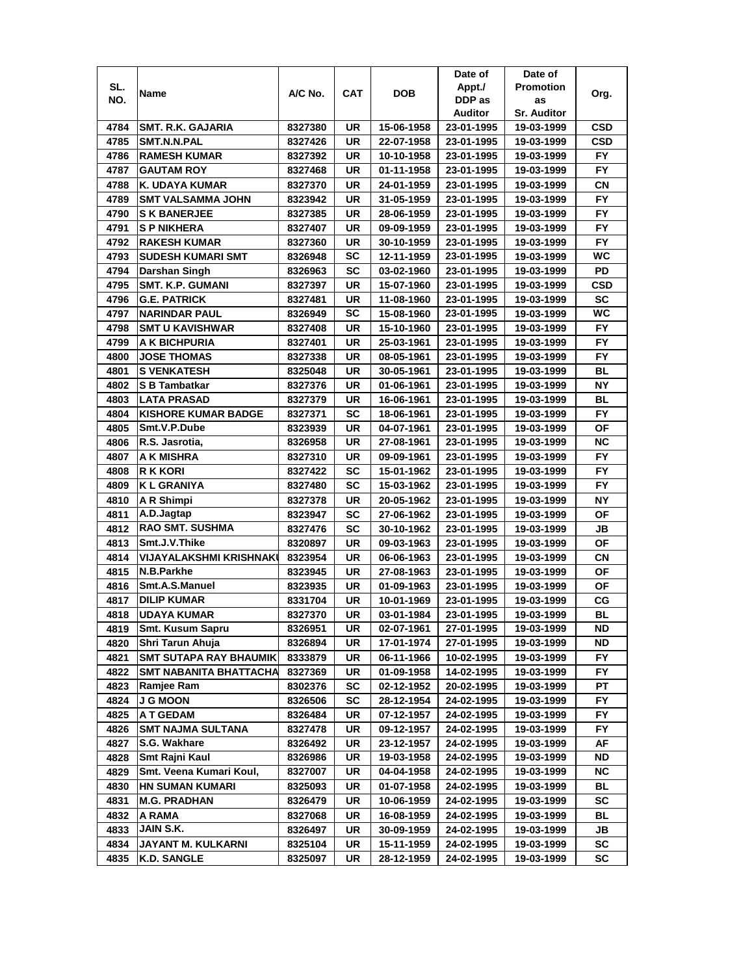|      |                                |         |            |            | Date of    | Date of            |            |
|------|--------------------------------|---------|------------|------------|------------|--------------------|------------|
| SL.  | Name                           | A/C No. | <b>CAT</b> | <b>DOB</b> | Appt./     | <b>Promotion</b>   | Org.       |
| NO.  |                                |         |            |            | DDP as     | as                 |            |
|      |                                |         |            |            | Auditor    | <b>Sr. Auditor</b> |            |
| 4784 | <b>SMT. R.K. GAJARIA</b>       | 8327380 | UR         | 15-06-1958 | 23-01-1995 | 19-03-1999         | CSD        |
| 4785 | SMT.N.N.PAL                    | 8327426 | UR         | 22-07-1958 | 23-01-1995 | 19-03-1999         | <b>CSD</b> |
| 4786 | <b>RAMESH KUMAR</b>            | 8327392 | UR         | 10-10-1958 | 23-01-1995 | 19-03-1999         | <b>FY</b>  |
| 4787 | <b>GAUTAM ROY</b>              | 8327468 | UR         | 01-11-1958 | 23-01-1995 | 19-03-1999         | <b>FY</b>  |
| 4788 | K. UDAYA KUMAR                 | 8327370 | UR         | 24-01-1959 | 23-01-1995 | 19-03-1999         | СN         |
| 4789 | <b>SMT VALSAMMA JOHN</b>       | 8323942 | UR         | 31-05-1959 | 23-01-1995 | 19-03-1999         | <b>FY</b>  |
| 4790 | <b>S K BANERJEE</b>            | 8327385 | UR         | 28-06-1959 | 23-01-1995 | 19-03-1999         | FY.        |
| 4791 | <b>SP NIKHERA</b>              | 8327407 | UR         | 09-09-1959 | 23-01-1995 | 19-03-1999         | <b>FY</b>  |
| 4792 | <b>RAKESH KUMAR</b>            | 8327360 | UR         | 30-10-1959 | 23-01-1995 | 19-03-1999         | FY.        |
| 4793 | <b>SUDESH KUMARI SMT</b>       | 8326948 | <b>SC</b>  | 12-11-1959 | 23-01-1995 | 19-03-1999         | <b>WC</b>  |
| 4794 | Darshan Singh                  | 8326963 | <b>SC</b>  | 03-02-1960 | 23-01-1995 | 19-03-1999         | PD         |
| 4795 | <b>SMT. K.P. GUMANI</b>        | 8327397 | <b>UR</b>  | 15-07-1960 | 23-01-1995 | 19-03-1999         | <b>CSD</b> |
| 4796 | <b>G.E. PATRICK</b>            | 8327481 | UR         | 11-08-1960 | 23-01-1995 | 19-03-1999         | <b>SC</b>  |
| 4797 | <b>NARINDAR PAUL</b>           | 8326949 | SC         | 15-08-1960 | 23-01-1995 | 19-03-1999         | <b>WC</b>  |
| 4798 | <b>SMT U KAVISHWAR</b>         | 8327408 | UR         | 15-10-1960 | 23-01-1995 | 19-03-1999         | FY.        |
| 4799 | A K BICHPURIA                  | 8327401 | UR         | 25-03-1961 | 23-01-1995 | 19-03-1999         | <b>FY</b>  |
| 4800 | <b>JOSE THOMAS</b>             | 8327338 | UR         | 08-05-1961 | 23-01-1995 | 19-03-1999         | FY.        |
| 4801 | <b>S VENKATESH</b>             | 8325048 | UR         | 30-05-1961 | 23-01-1995 | 19-03-1999         | BL         |
| 4802 | S B Tambatkar                  | 8327376 | UR         | 01-06-1961 | 23-01-1995 | 19-03-1999         | <b>NY</b>  |
| 4803 | <b>LATA PRASAD</b>             | 8327379 | UR         | 16-06-1961 | 23-01-1995 | 19-03-1999         | <b>BL</b>  |
| 4804 | <b>KISHORE KUMAR BADGE</b>     | 8327371 | <b>SC</b>  | 18-06-1961 | 23-01-1995 | 19-03-1999         | FY         |
| 4805 | Smt.V.P.Dube                   | 8323939 | UR         | 04-07-1961 | 23-01-1995 | 19-03-1999         | ΟF         |
| 4806 | R.S. Jasrotia,                 | 8326958 | UR         | 27-08-1961 | 23-01-1995 | 19-03-1999         | <b>NC</b>  |
| 4807 | <b>A K MISHRA</b>              | 8327310 | UR         | 09-09-1961 | 23-01-1995 | 19-03-1999         | FY.        |
| 4808 | <b>R K KORI</b>                | 8327422 | SC         | 15-01-1962 | 23-01-1995 | 19-03-1999         | <b>FY</b>  |
| 4809 | <b>KL GRANIYA</b>              | 8327480 | SC         | 15-03-1962 | 23-01-1995 | 19-03-1999         | <b>FY</b>  |
| 4810 | <b>A R Shimpi</b>              | 8327378 | <b>UR</b>  | 20-05-1962 | 23-01-1995 | 19-03-1999         | <b>NY</b>  |
| 4811 | A.D.Jagtap                     | 8323947 | <b>SC</b>  | 27-06-1962 | 23-01-1995 | 19-03-1999         | <b>OF</b>  |
| 4812 | <b>RAO SMT. SUSHMA</b>         | 8327476 | <b>SC</b>  | 30-10-1962 | 23-01-1995 | 19-03-1999         | <b>JB</b>  |
| 4813 | Smt.J.V.Thike                  | 8320897 | UR         | 09-03-1963 | 23-01-1995 | 19-03-1999         | <b>OF</b>  |
| 4814 | <b>VIJAYALAKSHMI KRISHNAKI</b> | 8323954 | UR         | 06-06-1963 | 23-01-1995 | 19-03-1999         | <b>CN</b>  |
| 4815 | N.B.Parkhe                     | 8323945 | UR         | 27-08-1963 | 23-01-1995 | 19-03-1999         | ΟF         |
| 4816 | Smt.A.S.Manuel                 | 8323935 | UR         | 01-09-1963 | 23-01-1995 | 19-03-1999         | ΟF         |
| 4817 | <b>DILIP KUMAR</b>             | 8331704 | UR         | 10-01-1969 | 23-01-1995 | 19-03-1999         | СG         |
| 4818 | <b>UDAYA KUMAR</b>             | 8327370 | UR         | 03-01-1984 | 23-01-1995 | 19-03-1999         | BL         |
| 4819 | Smt. Kusum Sapru               | 8326951 | UR         | 02-07-1961 | 27-01-1995 | 19-03-1999         | ND         |
| 4820 | Shri Tarun Ahuja               | 8326894 | UR         | 17-01-1974 | 27-01-1995 | 19-03-1999         | ND         |
| 4821 | <b>SMT SUTAPA RAY BHAUMIK</b>  | 8333879 | UR         | 06-11-1966 | 10-02-1995 | 19-03-1999         | FY         |
| 4822 | <b>SMT NABANITA BHATTACHA</b>  | 8327369 | UR         | 01-09-1958 | 14-02-1995 | 19-03-1999         | FY.        |
| 4823 | Ramjee Ram                     | 8302376 | SC         | 02-12-1952 | 20-02-1995 | 19-03-1999         | PТ         |
| 4824 | <b>J G MOON</b>                | 8326506 | <b>SC</b>  | 28-12-1954 | 24-02-1995 | 19-03-1999         | FY.        |
| 4825 | <b>A T GEDAM</b>               | 8326484 | UR         | 07-12-1957 | 24-02-1995 | 19-03-1999         | FY.        |
| 4826 | <b>SMT NAJMA SULTANA</b>       | 8327478 | UR         | 09-12-1957 | 24-02-1995 | 19-03-1999         | <b>FY</b>  |
| 4827 | S.G. Wakhare                   | 8326492 | UR         | 23-12-1957 | 24-02-1995 | 19-03-1999         | AF         |
| 4828 | Smt Rajni Kaul                 | 8326986 | UR         | 19-03-1958 | 24-02-1995 | 19-03-1999         | ND         |
| 4829 | Smt. Veena Kumari Koul,        | 8327007 | UR         | 04-04-1958 | 24-02-1995 | 19-03-1999         | <b>NC</b>  |
| 4830 | <b>HN SUMAN KUMARI</b>         | 8325093 | UR         | 01-07-1958 | 24-02-1995 | 19-03-1999         | BL         |
| 4831 | <b>M.G. PRADHAN</b>            | 8326479 | UR         | 10-06-1959 | 24-02-1995 | 19-03-1999         | SC         |
| 4832 | A RAMA                         | 8327068 | UR         | 16-08-1959 | 24-02-1995 | 19-03-1999         | BL         |
| 4833 | JAIN S.K.                      | 8326497 | UR         | 30-09-1959 | 24-02-1995 | 19-03-1999         | JB         |
| 4834 | JAYANT M. KULKARNI             | 8325104 | UR         | 15-11-1959 | 24-02-1995 | 19-03-1999         | SC         |
| 4835 | <b>K.D. SANGLE</b>             | 8325097 | UR         | 28-12-1959 | 24-02-1995 | 19-03-1999         | SC         |
|      |                                |         |            |            |            |                    |            |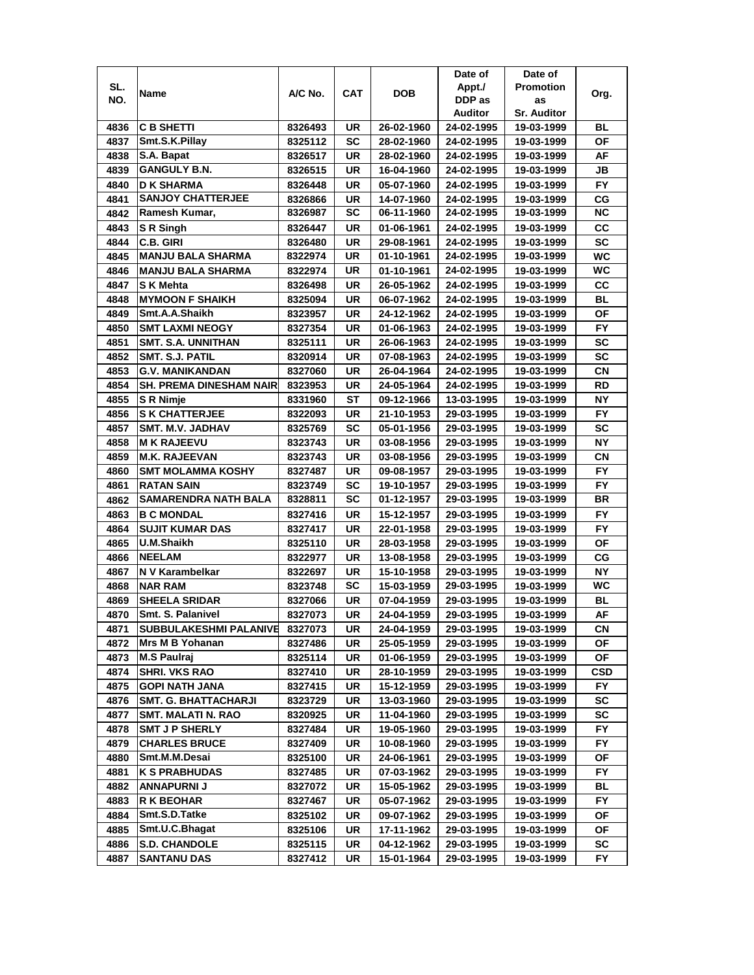|      |                                |         |            |            | Date of    | Date of            |           |
|------|--------------------------------|---------|------------|------------|------------|--------------------|-----------|
| SL.  | Name                           | A/C No. | <b>CAT</b> | <b>DOB</b> | Appt./     | <b>Promotion</b>   | Org.      |
| NO.  |                                |         |            |            | DDP as     | as                 |           |
|      |                                |         |            |            | Auditor    | <b>Sr. Auditor</b> |           |
| 4836 | <b>C B SHETTI</b>              | 8326493 | UR         | 26-02-1960 | 24-02-1995 | 19-03-1999         | BL        |
| 4837 | Smt.S.K.Pillay                 | 8325112 | SC         | 28-02-1960 | 24-02-1995 | 19-03-1999         | <b>OF</b> |
| 4838 | S.A. Bapat                     | 8326517 | UR         | 28-02-1960 | 24-02-1995 | 19-03-1999         | AF        |
| 4839 | <b>GANGULY B.N.</b>            | 8326515 | UR         | 16-04-1960 | 24-02-1995 | 19-03-1999         | JВ        |
| 4840 | <b>D K SHARMA</b>              | 8326448 | UR         | 05-07-1960 | 24-02-1995 | 19-03-1999         | <b>FY</b> |
| 4841 | <b>SANJOY CHATTERJEE</b>       | 8326866 | UR         | 14-07-1960 | 24-02-1995 | 19-03-1999         | СG        |
| 4842 | Ramesh Kumar,                  | 8326987 | SC         | 06-11-1960 | 24-02-1995 | 19-03-1999         | ΝC        |
| 4843 | <b>S</b> R Singh               | 8326447 | UR         | 01-06-1961 | 24-02-1995 | 19-03-1999         | CC        |
| 4844 | <b>C.B. GIRI</b>               | 8326480 | UR         | 29-08-1961 | 24-02-1995 | 19-03-1999         | <b>SC</b> |
| 4845 | <b>MANJU BALA SHARMA</b>       | 8322974 | UR         | 01-10-1961 | 24-02-1995 | 19-03-1999         | <b>WC</b> |
| 4846 | <b>MANJU BALA SHARMA</b>       | 8322974 | UR         | 01-10-1961 | 24-02-1995 | 19-03-1999         | WC        |
| 4847 | <b>SK Mehta</b>                | 8326498 | <b>UR</b>  | 26-05-1962 | 24-02-1995 | 19-03-1999         | CC        |
| 4848 | <b>MYMOON F SHAIKH</b>         | 8325094 | UR         | 06-07-1962 | 24-02-1995 | 19-03-1999         | <b>BL</b> |
| 4849 | Smt.A.A.Shaikh                 | 8323957 | UR         | 24-12-1962 | 24-02-1995 | 19-03-1999         | <b>OF</b> |
| 4850 | <b>SMT LAXMI NEOGY</b>         | 8327354 | UR         | 01-06-1963 | 24-02-1995 | 19-03-1999         | FY.       |
| 4851 | <b>SMT. S.A. UNNITHAN</b>      | 8325111 | UR         | 26-06-1963 | 24-02-1995 | 19-03-1999         | SC        |
| 4852 | SMT. S.J. PATIL                | 8320914 | UR         | 07-08-1963 | 24-02-1995 | 19-03-1999         | SC        |
| 4853 | <b>G.V. MANIKANDAN</b>         | 8327060 | UR         | 26-04-1964 | 24-02-1995 | 19-03-1999         | CN        |
| 4854 | <b>SH. PREMA DINESHAM NAIR</b> | 8323953 | UR         | 24-05-1964 | 24-02-1995 | 19-03-1999         | RD        |
| 4855 | S R Nimje                      | 8331960 | SТ         | 09-12-1966 | 13-03-1995 | 19-03-1999         | <b>NY</b> |
| 4856 | <b>S K CHATTERJEE</b>          | 8322093 | UR         | 21-10-1953 | 29-03-1995 | 19-03-1999         | FY        |
| 4857 | <b>SMT. M.V. JADHAV</b>        | 8325769 | <b>SC</b>  | 05-01-1956 | 29-03-1995 | 19-03-1999         | <b>SC</b> |
| 4858 | <b>IM K RAJEEVU</b>            | 8323743 | UR         | 03-08-1956 | 29-03-1995 | 19-03-1999         | NΥ        |
| 4859 | <b>M.K. RAJEEVAN</b>           | 8323743 | UR         | 03-08-1956 | 29-03-1995 | 19-03-1999         | СN        |
| 4860 | <b>SMT MOLAMMA KOSHY</b>       | 8327487 | UR         | 09-08-1957 | 29-03-1995 | 19-03-1999         | <b>FY</b> |
| 4861 | <b>RATAN SAIN</b>              | 8323749 | SC         | 19-10-1957 | 29-03-1995 | 19-03-1999         | <b>FY</b> |
| 4862 | <b>SAMARENDRA NATH BALA</b>    | 8328811 | <b>SC</b>  | 01-12-1957 | 29-03-1995 | 19-03-1999         | <b>BR</b> |
| 4863 | <b>B C MONDAL</b>              | 8327416 | UR         | 15-12-1957 | 29-03-1995 | 19-03-1999         | <b>FY</b> |
| 4864 | <b>SUJIT KUMAR DAS</b>         | 8327417 | <b>UR</b>  | 22-01-1958 | 29-03-1995 | 19-03-1999         | <b>FY</b> |
| 4865 | U.M.Shaikh                     | 8325110 | UR         | 28-03-1958 | 29-03-1995 | 19-03-1999         | <b>OF</b> |
| 4866 | <b>NEELAM</b>                  | 8322977 | UR         | 13-08-1958 | 29-03-1995 | 19-03-1999         | CG        |
| 4867 | N V Karambelkar                | 8322697 | UR         | 15-10-1958 | 29-03-1995 | 19-03-1999         | NΥ        |
| 4868 | <b>NAR RAM</b>                 | 8323748 | SC         | 15-03-1959 | 29-03-1995 | 19-03-1999         | WC        |
| 4869 | <b>SHEELA SRIDAR</b>           | 8327066 | UR         | 07-04-1959 | 29-03-1995 | 19-03-1999         | BL        |
| 4870 | Smt. S. Palanivel              | 8327073 | UR         | 24-04-1959 | 29-03-1995 | 19-03-1999         | AF        |
| 4871 | <b>SUBBULAKESHMI PALANIVE</b>  | 8327073 | UR         | 24-04-1959 | 29-03-1995 | 19-03-1999         | CN        |
| 4872 | Mrs M B Yohanan                | 8327486 | UR         | 25-05-1959 | 29-03-1995 | 19-03-1999         | ΟF        |
| 4873 | M.S Paulraj                    | 8325114 | UR         | 01-06-1959 | 29-03-1995 | 19-03-1999         | ΟF        |
| 4874 | <b>SHRI. VKS RAO</b>           | 8327410 | UR         | 28-10-1959 | 29-03-1995 | 19-03-1999         | CSD       |
| 4875 | <b>GOPI NATH JANA</b>          | 8327415 | UR         | 15-12-1959 | 29-03-1995 | 19-03-1999         | FY.       |
| 4876 | <b>SMT. G. BHATTACHARJI</b>    | 8323729 | UR         | 13-03-1960 | 29-03-1995 | 19-03-1999         | SC        |
| 4877 | <b>SMT. MALATI N. RAO</b>      | 8320925 | UR         | 11-04-1960 | 29-03-1995 | 19-03-1999         | SC        |
| 4878 | <b>SMT J P SHERLY</b>          | 8327484 | UR         | 19-05-1960 | 29-03-1995 | 19-03-1999         | FY.       |
| 4879 | <b>CHARLES BRUCE</b>           | 8327409 | UR         | 10-08-1960 | 29-03-1995 | 19-03-1999         | <b>FY</b> |
| 4880 | Smt.M.M.Desai                  | 8325100 | UR         | 24-06-1961 | 29-03-1995 | 19-03-1999         | ΟF        |
| 4881 | <b>K S PRABHUDAS</b>           | 8327485 | UR         | 07-03-1962 | 29-03-1995 | 19-03-1999         | <b>FY</b> |
| 4882 | <b>ANNAPURNI J</b>             | 8327072 | UR         | 15-05-1962 | 29-03-1995 | 19-03-1999         | BL        |
| 4883 | <b>R K BEOHAR</b>              | 8327467 | UR         | 05-07-1962 | 29-03-1995 | 19-03-1999         | FY.       |
| 4884 | Smt.S.D.Tatke                  | 8325102 | UR         | 09-07-1962 | 29-03-1995 | 19-03-1999         | ΟF        |
| 4885 | Smt.U.C.Bhagat                 | 8325106 | UR         | 17-11-1962 | 29-03-1995 | 19-03-1999         | ΟF        |
| 4886 | <b>S.D. CHANDOLE</b>           | 8325115 | UR         | 04-12-1962 | 29-03-1995 | 19-03-1999         | SC        |
| 4887 | <b>SANTANU DAS</b>             | 8327412 | UR         | 15-01-1964 | 29-03-1995 | 19-03-1999         | FY.       |
|      |                                |         |            |            |            |                    |           |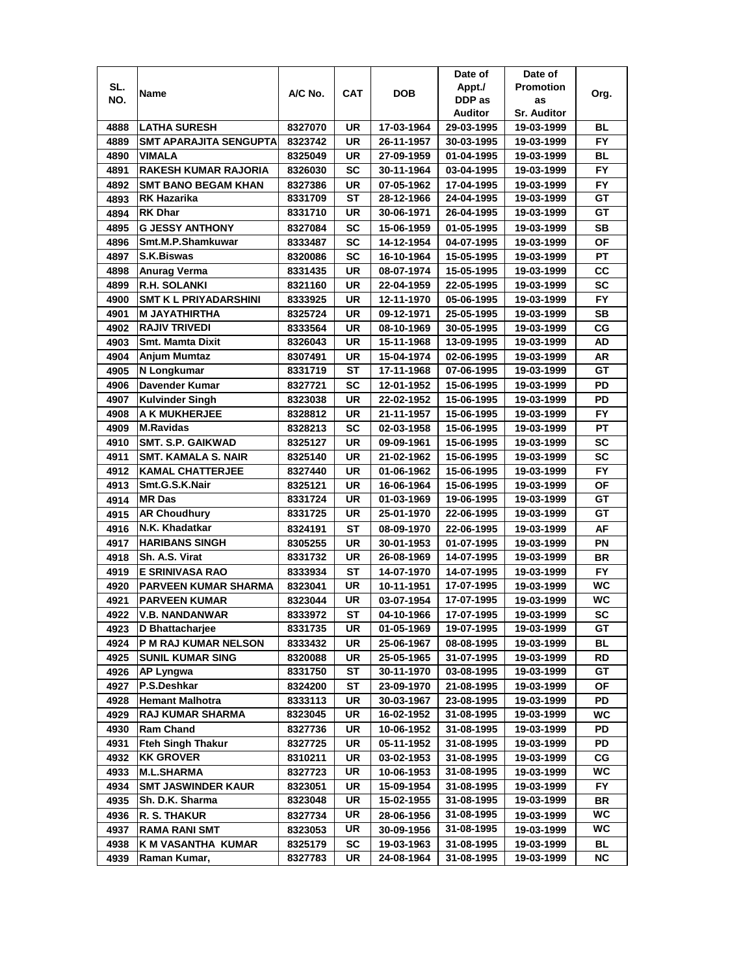|      |                              |         |            |            | Date of    | Date of            |           |
|------|------------------------------|---------|------------|------------|------------|--------------------|-----------|
| SL.  | Name                         | A/C No. | <b>CAT</b> | <b>DOB</b> | Appt./     | <b>Promotion</b>   | Org.      |
| NO.  |                              |         |            |            | DDP as     | as                 |           |
|      |                              |         |            |            | Auditor    | <b>Sr. Auditor</b> |           |
| 4888 | <b>LATHA SURESH</b>          | 8327070 | UR         | 17-03-1964 | 29-03-1995 | 19-03-1999         | BL        |
| 4889 | SMT APARAJITA SENGUPTA       | 8323742 | <b>UR</b>  | 26-11-1957 | 30-03-1995 | 19-03-1999         | <b>FY</b> |
| 4890 | <b>VIMALA</b>                | 8325049 | UR         | 27-09-1959 | 01-04-1995 | 19-03-1999         | <b>BL</b> |
| 4891 | <b>RAKESH KUMAR RAJORIA</b>  | 8326030 | <b>SC</b>  | 30-11-1964 | 03-04-1995 | 19-03-1999         | FY        |
| 4892 | <b>SMT BANO BEGAM KHAN</b>   | 8327386 | UR         | 07-05-1962 | 17-04-1995 | 19-03-1999         | FY        |
| 4893 | <b>RK Hazarika</b>           | 8331709 | ST         | 28-12-1966 | 24-04-1995 | 19-03-1999         | GТ        |
| 4894 | <b>RK Dhar</b>               | 8331710 | UR         | 30-06-1971 | 26-04-1995 | 19-03-1999         | GТ        |
| 4895 | <b>G JESSY ANTHONY</b>       | 8327084 | SC         | 15-06-1959 | 01-05-1995 | 19-03-1999         | SВ        |
| 4896 | Smt.M.P.Shamkuwar            | 8333487 | SC         | 14-12-1954 | 04-07-1995 | 19-03-1999         | ΟF        |
| 4897 | <b>S.K.Biswas</b>            | 8320086 | <b>SC</b>  | 16-10-1964 | 15-05-1995 | 19-03-1999         | PT        |
| 4898 | Anurag Verma                 | 8331435 | UR         | 08-07-1974 | 15-05-1995 | 19-03-1999         | cc        |
| 4899 | <b>R.H. SOLANKI</b>          | 8321160 | <b>UR</b>  | 22-04-1959 | 22-05-1995 | 19-03-1999         | <b>SC</b> |
| 4900 | <b>SMT K L PRIYADARSHINI</b> | 8333925 | UR         | 12-11-1970 | 05-06-1995 | 19-03-1999         | <b>FY</b> |
| 4901 | <b>M JAYATHIRTHA</b>         | 8325724 | UR         | 09-12-1971 | 25-05-1995 | 19-03-1999         | <b>SB</b> |
| 4902 | <b>RAJIV TRIVEDI</b>         | 8333564 | UR         | 08-10-1969 | 30-05-1995 | 19-03-1999         | CG        |
| 4903 | <b>Smt. Mamta Dixit</b>      | 8326043 | UR         | 15-11-1968 | 13-09-1995 | 19-03-1999         | AD        |
| 4904 | Anjum Mumtaz                 | 8307491 | UR         | 15-04-1974 | 02-06-1995 | 19-03-1999         | AR        |
| 4905 | N Longkumar                  | 8331719 | ST         | 17-11-1968 | 07-06-1995 | 19-03-1999         | GT        |
| 4906 | Davender Kumar               | 8327721 | SC         | 12-01-1952 | 15-06-1995 | 19-03-1999         | PD        |
| 4907 | <b>Kulvinder Singh</b>       | 8323038 | UR         | 22-02-1952 | 15-06-1995 | 19-03-1999         | PD        |
| 4908 | A K MUKHERJEE                | 8328812 | UR         | 21-11-1957 | 15-06-1995 | 19-03-1999         | FY        |
| 4909 | <b>M.Ravidas</b>             | 8328213 | <b>SC</b>  | 02-03-1958 | 15-06-1995 | 19-03-1999         | PT        |
| 4910 | <b>SMT. S.P. GAIKWAD</b>     | 8325127 | <b>UR</b>  | 09-09-1961 | 15-06-1995 | 19-03-1999         | <b>SC</b> |
| 4911 | <b>SMT. KAMALA S. NAIR</b>   | 8325140 | UR         | 21-02-1962 | 15-06-1995 | 19-03-1999         | <b>SC</b> |
| 4912 | <b>KAMAL CHATTERJEE</b>      | 8327440 | UR         | 01-06-1962 | 15-06-1995 | 19-03-1999         | <b>FY</b> |
| 4913 | Smt.G.S.K.Nair               | 8325121 | UR         | 16-06-1964 | 15-06-1995 | 19-03-1999         | ΟF        |
| 4914 | <b>MR Das</b>                | 8331724 | UR         | 01-03-1969 | 19-06-1995 | 19-03-1999         | GT        |
| 4915 | <b>AR Choudhury</b>          | 8331725 | UR         | 25-01-1970 | 22-06-1995 | 19-03-1999         | GT        |
| 4916 | N.K. Khadatkar               | 8324191 | <b>ST</b>  | 08-09-1970 | 22-06-1995 | 19-03-1999         | AF        |
| 4917 | <b>HARIBANS SINGH</b>        | 8305255 | UR         | 30-01-1953 | 01-07-1995 | 19-03-1999         | PN        |
| 4918 | Sh. A.S. Virat               | 8331732 | UR         | 26-08-1969 | 14-07-1995 | 19-03-1999         | BR        |
| 4919 | E SRINIVASA RAO              | 8333934 | ST         | 14-07-1970 | 14-07-1995 | 19-03-1999         | FY.       |
| 4920 | PARVEEN KUMAR SHARMA         | 8323041 | UR         | 10-11-1951 | 17-07-1995 | 19-03-1999         | WC        |
| 4921 | <b>PARVEEN KUMAR</b>         | 8323044 | UR         | 03-07-1954 | 17-07-1995 | 19-03-1999         | WC        |
| 4922 | <b>V.B. NANDANWAR</b>        | 8333972 | <b>ST</b>  | 04-10-1966 | 17-07-1995 | 19-03-1999         | <b>SC</b> |
| 4923 | D Bhattacharjee              | 8331735 | UR         | 01-05-1969 | 19-07-1995 | 19-03-1999         | GТ        |
| 4924 | P M RAJ KUMAR NELSON         | 8333432 | UR         | 25-06-1967 | 08-08-1995 | 19-03-1999         | BL        |
| 4925 | <b>SUNIL KUMAR SING</b>      | 8320088 | UR         | 25-05-1965 | 31-07-1995 | 19-03-1999         | RD        |
| 4926 | <b>AP Lyngwa</b>             | 8331750 | ST         | 30-11-1970 | 03-08-1995 | 19-03-1999         | GT        |
| 4927 | P.S.Deshkar                  | 8324200 | SТ         | 23-09-1970 | 21-08-1995 | 19-03-1999         | ОF        |
| 4928 | <b>Hemant Malhotra</b>       | 8333113 | UR         | 30-03-1967 | 23-08-1995 | 19-03-1999         | PD        |
| 4929 | <b>RAJ KUMAR SHARMA</b>      | 8323045 | UR         | 16-02-1952 | 31-08-1995 | 19-03-1999         | WC        |
| 4930 | <b>Ram Chand</b>             | 8327736 | UR         | 10-06-1952 | 31-08-1995 | 19-03-1999         | PD        |
| 4931 | <b>Fteh Singh Thakur</b>     | 8327725 | UR         | 05-11-1952 | 31-08-1995 | 19-03-1999         | PD        |
| 4932 | <b>KK GROVER</b>             | 8310211 | UR         | 03-02-1953 | 31-08-1995 | 19-03-1999         | СG        |
| 4933 | <b>M.L.SHARMA</b>            | 8327723 | UR         | 10-06-1953 | 31-08-1995 | 19-03-1999         | WС        |
| 4934 | <b>SMT JASWINDER KAUR</b>    | 8323051 | UR         | 15-09-1954 | 31-08-1995 | 19-03-1999         | FY.       |
| 4935 | Sh. D.K. Sharma              | 8323048 | UR         | 15-02-1955 | 31-08-1995 | 19-03-1999         | BR        |
| 4936 | R. S. THAKUR                 | 8327734 | UR         | 28-06-1956 | 31-08-1995 | 19-03-1999         | WC        |
| 4937 | <b>RAMA RANI SMT</b>         | 8323053 | UR         | 30-09-1956 | 31-08-1995 | 19-03-1999         | WC        |
| 4938 | K M VASANTHA KUMAR           | 8325179 | SC         | 19-03-1963 | 31-08-1995 | 19-03-1999         | BL        |
| 4939 | Raman Kumar,                 | 8327783 | UR         | 24-08-1964 | 31-08-1995 | 19-03-1999         | ΝC        |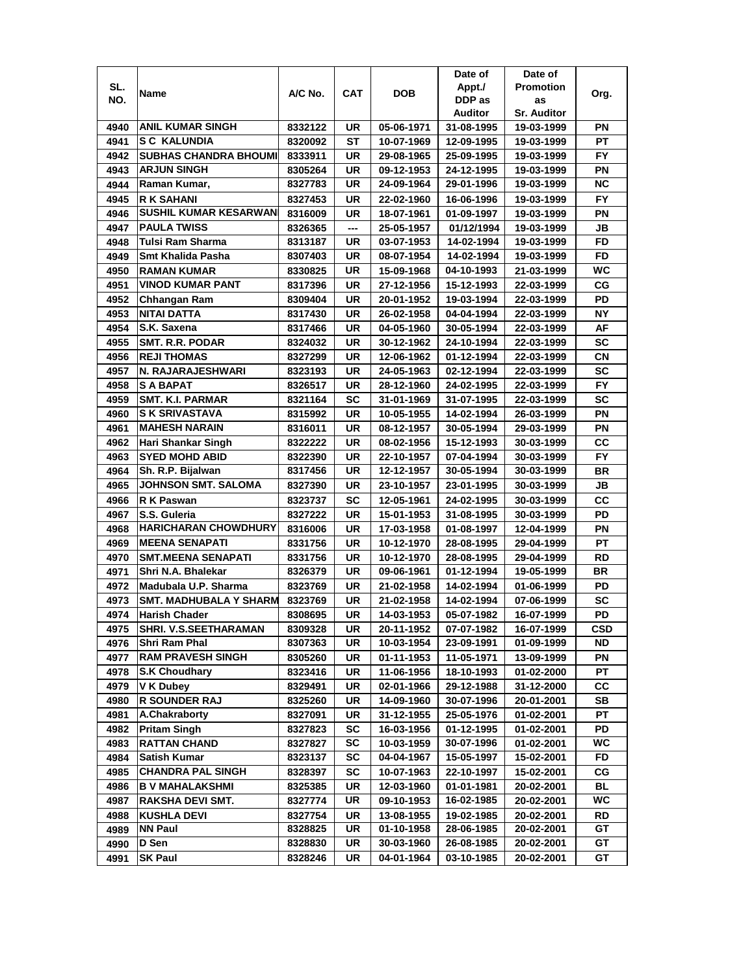|      |                              |         |           |            | Date of    | Date of            |            |
|------|------------------------------|---------|-----------|------------|------------|--------------------|------------|
| SL.  | Name                         | A/C No. | CAT       | DOB        | Appt./     | <b>Promotion</b>   | Org.       |
| NO.  |                              |         |           |            | DDP as     | as                 |            |
|      |                              |         |           |            | Auditor    | <b>Sr. Auditor</b> |            |
| 4940 | <b>ANIL KUMAR SINGH</b>      | 8332122 | UR        | 05-06-1971 | 31-08-1995 | 19-03-1999         | ΡN         |
| 4941 | <b>SC KALUNDIA</b>           | 8320092 | SТ        | 10-07-1969 | 12-09-1995 | 19-03-1999         | PT         |
| 4942 | <b>SUBHAS CHANDRA BHOUMI</b> | 8333911 | UR        | 29-08-1965 | 25-09-1995 | 19-03-1999         | FY.        |
| 4943 | <b>ARJUN SINGH</b>           | 8305264 | UR        | 09-12-1953 | 24-12-1995 | 19-03-1999         | PN         |
| 4944 | Raman Kumar,                 | 8327783 | UR        | 24-09-1964 | 29-01-1996 | 19-03-1999         | <b>NC</b>  |
| 4945 | <b>R K SAHANI</b>            | 8327453 | UR        | 22-02-1960 | 16-06-1996 | 19-03-1999         | FY         |
| 4946 | <b>SUSHIL KUMAR KESARWAN</b> | 8316009 | UR        | 18-07-1961 | 01-09-1997 | 19-03-1999         | ΡN         |
| 4947 | <b>PAULA TWISS</b>           | 8326365 | ---       | 25-05-1957 | 01/12/1994 | 19-03-1999         | JB         |
| 4948 | Tulsi Ram Sharma             | 8313187 | UR        | 03-07-1953 | 14-02-1994 | 19-03-1999         | FD         |
| 4949 | Smt Khalida Pasha            | 8307403 | UR        | 08-07-1954 | 14-02-1994 | 19-03-1999         | <b>FD</b>  |
| 4950 | <b>RAMAN KUMAR</b>           | 8330825 | UR        | 15-09-1968 | 04-10-1993 | 21-03-1999         | WC         |
| 4951 | <b>VINOD KUMAR PANT</b>      | 8317396 | UR        | 27-12-1956 | 15-12-1993 | 22-03-1999         | CG         |
| 4952 | Chhangan Ram                 | 8309404 | UR        | 20-01-1952 | 19-03-1994 | 22-03-1999         | PD         |
| 4953 | NITAI DATTA                  | 8317430 | UR        | 26-02-1958 | 04-04-1994 | 22-03-1999         | <b>NY</b>  |
| 4954 | S.K. Saxena                  | 8317466 | UR        | 04-05-1960 | 30-05-1994 | 22-03-1999         | AF         |
| 4955 | <b>SMT. R.R. PODAR</b>       | 8324032 | UR        | 30-12-1962 | 24-10-1994 | 22-03-1999         | <b>SC</b>  |
| 4956 | <b>REJI THOMAS</b>           | 8327299 | UR        | 12-06-1962 | 01-12-1994 | 22-03-1999         | CN         |
| 4957 | N. RAJARAJESHWARI            | 8323193 | UR        | 24-05-1963 | 02-12-1994 | 22-03-1999         | SC         |
| 4958 | <b>S A BAPAT</b>             | 8326517 | UR        | 28-12-1960 | 24-02-1995 | 22-03-1999         | <b>FY</b>  |
| 4959 | <b>SMT. K.I. PARMAR</b>      | 8321164 | SC        | 31-01-1969 | 31-07-1995 | 22-03-1999         | SC         |
| 4960 | <b>S K SRIVASTAVA</b>        | 8315992 | UR        | 10-05-1955 | 14-02-1994 | 26-03-1999         | PN         |
| 4961 | <b>MAHESH NARAIN</b>         | 8316011 | UR        | 08-12-1957 | 30-05-1994 | 29-03-1999         | PN         |
| 4962 | Hari Shankar Singh           | 8322222 | UR        | 08-02-1956 | 15-12-1993 | 30-03-1999         | СC         |
| 4963 | <b>SYED MOHD ABID</b>        | 8322390 | UR        | 22-10-1957 | 07-04-1994 | 30-03-1999         | FY.        |
| 4964 | Sh. R.P. Bijalwan            | 8317456 | <b>UR</b> | 12-12-1957 | 30-05-1994 | 30-03-1999         | BR         |
| 4965 | <b>JOHNSON SMT. SALOMA</b>   | 8327390 | UR        | 23-10-1957 | 23-01-1995 | 30-03-1999         | JB         |
| 4966 | R K Paswan                   | 8323737 | <b>SC</b> | 12-05-1961 | 24-02-1995 | 30-03-1999         | CC         |
| 4967 | S.S. Guleria                 | 8327222 | UR        | 15-01-1953 | 31-08-1995 | 30-03-1999         | PD         |
| 4968 | <b>HARICHARAN CHOWDHURY</b>  | 8316006 | UR        | 17-03-1958 | 01-08-1997 | 12-04-1999         | PN         |
| 4969 | <b>MEENA SENAPATI</b>        |         | UR        | 10-12-1970 | 28-08-1995 |                    | PT         |
|      |                              | 8331756 |           |            |            | 29-04-1999         |            |
| 4970 | <b>SMT.MEENA SENAPATI</b>    | 8331756 | UR        | 10-12-1970 | 28-08-1995 | 29-04-1999         | RD         |
| 4971 | Shri N.A. Bhalekar           | 8326379 | UR        | 09-06-1961 | 01-12-1994 | 19-05-1999         | BR         |
| 4972 | Madubala U.P. Sharma         | 8323769 | UR        | 21-02-1958 | 14-02-1994 | 01-06-1999         | PD         |
| 4973 | SMT. MADHUBALA Y SHARM       | 8323769 | UR        | 21-02-1958 | 14-02-1994 | 07-06-1999         | SC         |
| 4974 | <b>Harish Chader</b>         | 8308695 | UR        | 14-03-1953 | 05-07-1982 | 16-07-1999         | PD         |
| 4975 | SHRI. V.S.SEETHARAMAN        | 8309328 | UR        | 20-11-1952 | 07-07-1982 | 16-07-1999         | <b>CSD</b> |
| 4976 | <b>Shri Ram Phal</b>         | 8307363 | UR        | 10-03-1954 | 23-09-1991 | 01-09-1999         | <b>ND</b>  |
| 4977 | <b>RAM PRAVESH SINGH</b>     | 8305260 | UR        | 01-11-1953 | 11-05-1971 | 13-09-1999         | ΡN         |
| 4978 | <b>S.K Choudhary</b>         | 8323416 | UR        | 11-06-1956 | 18-10-1993 | 01-02-2000         | PT         |
| 4979 | <b>V K Dubey</b>             | 8329491 | UR        | 02-01-1966 | 29-12-1988 | 31-12-2000         | CС         |
| 4980 | <b>R SOUNDER RAJ</b>         | 8325260 | UR        | 14-09-1960 | 30-07-1996 | 20-01-2001         | SB         |
| 4981 | A.Chakraborty                | 8327091 | UR        | 31-12-1955 | 25-05-1976 | 01-02-2001         | PТ         |
| 4982 | <b>Pritam Singh</b>          | 8327823 | <b>SC</b> | 16-03-1956 | 01-12-1995 | 01-02-2001         | PD         |
| 4983 | <b>RATTAN CHAND</b>          | 8327827 | <b>SC</b> | 10-03-1959 | 30-07-1996 | 01-02-2001         | WC         |
| 4984 | <b>Satish Kumar</b>          | 8323137 | <b>SC</b> | 04-04-1967 | 15-05-1997 | 15-02-2001         | FD         |
| 4985 | <b>CHANDRA PAL SINGH</b>     | 8328397 | <b>SC</b> | 10-07-1963 | 22-10-1997 | 15-02-2001         | CG         |
| 4986 | <b>B V MAHALAKSHMI</b>       | 8325385 | UR        | 12-03-1960 | 01-01-1981 | 20-02-2001         | <b>BL</b>  |
| 4987 | <b>RAKSHA DEVI SMT.</b>      | 8327774 | UR        | 09-10-1953 | 16-02-1985 | 20-02-2001         | WC         |
| 4988 | <b>KUSHLA DEVI</b>           | 8327754 | UR        | 13-08-1955 | 19-02-1985 | 20-02-2001         | RD         |
| 4989 | <b>NN Paul</b>               | 8328825 | UR        | 01-10-1958 | 28-06-1985 | 20-02-2001         | GT         |
| 4990 | D Sen                        | 8328830 | UR        | 30-03-1960 | 26-08-1985 | 20-02-2001         | GT         |
| 4991 | <b>SK Paul</b>               | 8328246 | UR        | 04-01-1964 | 03-10-1985 | 20-02-2001         | GT         |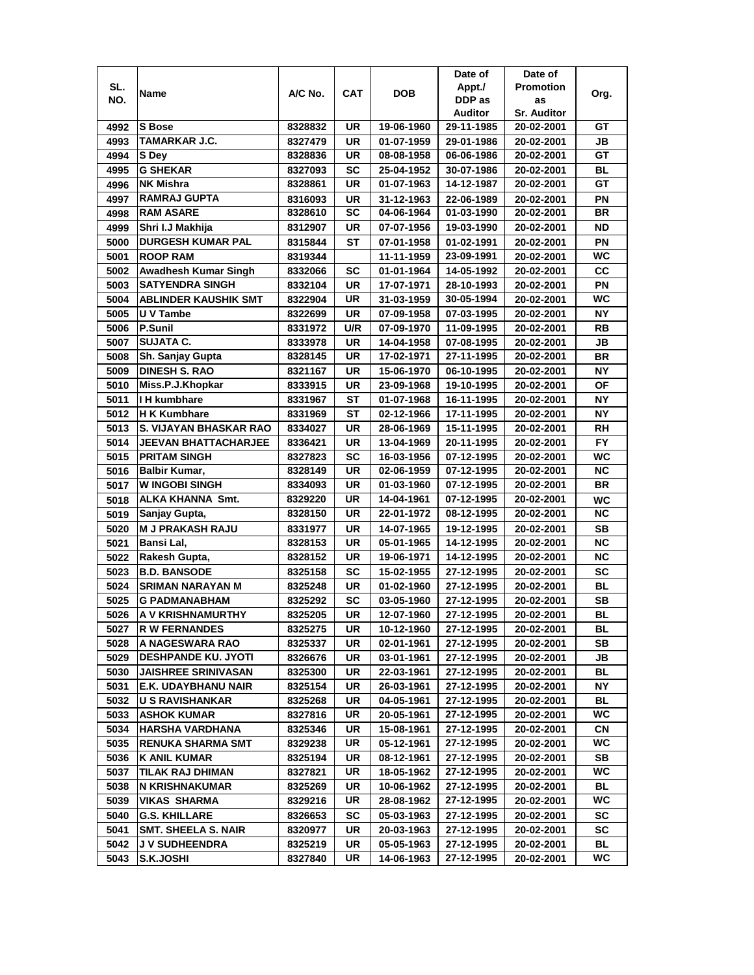|      |                               |         |            |            | Date of                  | Date of            |           |
|------|-------------------------------|---------|------------|------------|--------------------------|--------------------|-----------|
| SL.  | Name                          | A/C No. | <b>CAT</b> | <b>DOB</b> | Appt./                   | <b>Promotion</b>   | Org.      |
| NO.  |                               |         |            |            | DDP as                   | as                 |           |
|      |                               |         |            |            | Auditor                  | <b>Sr. Auditor</b> |           |
| 4992 | <b>S</b> Bose                 | 8328832 | UR         | 19-06-1960 | 29-11-1985               | 20-02-2001         | GТ        |
| 4993 | <b>TAMARKAR J.C.</b>          | 8327479 | UR         | 01-07-1959 | 29-01-1986               | 20-02-2001         | JB        |
| 4994 | S Dey                         | 8328836 | UR         | 08-08-1958 | 06-06-1986               | 20-02-2001         | GT        |
| 4995 | <b>G SHEKAR</b>               | 8327093 | <b>SC</b>  | 25-04-1952 | 30-07-1986               | 20-02-2001         | <b>BL</b> |
| 4996 | <b>NK Mishra</b>              | 8328861 | UR         | 01-07-1963 | 14-12-1987               | 20-02-2001         | GT        |
| 4997 | <b>RAMRAJ GUPTA</b>           | 8316093 | UR         | 31-12-1963 | 22-06-1989               | 20-02-2001         | PN        |
| 4998 | <b>RAM ASARE</b>              | 8328610 | SC         | 04-06-1964 | 01-03-1990               | 20-02-2001         | BR        |
| 4999 | Shri I.J Makhija              | 8312907 | UR         | 07-07-1956 | 19-03-1990               | 20-02-2001         | <b>ND</b> |
| 5000 | <b>DURGESH KUMAR PAL</b>      | 8315844 | ST         | 07-01-1958 | 01-02-1991               | 20-02-2001         | ΡN        |
| 5001 | <b>ROOP RAM</b>               | 8319344 |            | 11-11-1959 | 23-09-1991               | 20-02-2001         | WC        |
| 5002 | <b>Awadhesh Kumar Singh</b>   | 8332066 | <b>SC</b>  | 01-01-1964 | 14-05-1992               | 20-02-2001         | CC        |
| 5003 | <b>SATYENDRA SINGH</b>        | 8332104 | <b>UR</b>  | 17-07-1971 | 28-10-1993               | 20-02-2001         | PN        |
| 5004 | <b>ABLINDER KAUSHIK SMT</b>   | 8322904 | UR         | 31-03-1959 | 30-05-1994               | 20-02-2001         | <b>WC</b> |
| 5005 | U V Tambe                     | 8322699 | UR         | 07-09-1958 | 07-03-1995               | 20-02-2001         | <b>NY</b> |
| 5006 | P.Sunil                       | 8331972 | U/R        | 07-09-1970 | 11-09-1995               | 20-02-2001         | RB        |
| 5007 | <b>SUJATA C.</b>              | 8333978 | UR         | 14-04-1958 | 07-08-1995               | 20-02-2001         | JB        |
| 5008 | Sh. Sanjay Gupta              | 8328145 | UR         | 17-02-1971 | 27-11-1995               | 20-02-2001         | BR        |
|      |                               |         |            |            |                          |                    |           |
| 5009 | <b>DINESH S. RAO</b>          | 8321167 | UR         | 15-06-1970 | 06-10-1995               | 20-02-2001         | NΥ        |
| 5010 | Miss.P.J.Khopkar              | 8333915 | UR         | 23-09-1968 | 19-10-1995               | 20-02-2001         | ΟF        |
| 5011 | I H kumbhare                  | 8331967 | SТ         | 01-07-1968 | 16-11-1995               | 20-02-2001         | <b>NY</b> |
| 5012 | <b>H K Kumbhare</b>           | 8331969 | SТ         | 02-12-1966 | 17-11-1995               | 20-02-2001         | <b>NY</b> |
| 5013 | <b>S. VIJAYAN BHASKAR RAO</b> | 8334027 | UR         | 28-06-1969 | 15-11-1995               | 20-02-2001         | <b>RH</b> |
| 5014 | <b>JEEVAN BHATTACHARJEE</b>   | 8336421 | UR         | 13-04-1969 | 20-11-1995               | 20-02-2001         | FY.       |
| 5015 | <b>PRITAM SINGH</b>           | 8327823 | <b>SC</b>  | 16-03-1956 | 07-12-1995               | 20-02-2001         | <b>WC</b> |
| 5016 | <b>Balbir Kumar,</b>          | 8328149 | <b>UR</b>  | 02-06-1959 | 07-12-1995               | 20-02-2001         | <b>NC</b> |
| 5017 | <b>WINGOBI SINGH</b>          | 8334093 | UR         | 01-03-1960 | 07-12-1995               | 20-02-2001         | <b>BR</b> |
| 5018 | ALKA KHANNA Smt.              | 8329220 | UR         | 14-04-1961 | 07-12-1995               | 20-02-2001         | <b>WC</b> |
| 5019 | Sanjay Gupta,                 | 8328150 | <b>UR</b>  | 22-01-1972 | 08-12-1995               | 20-02-2001         | <b>NC</b> |
| 5020 | <b>M J PRAKASH RAJU</b>       | 8331977 | <b>UR</b>  | 14-07-1965 | 19-12-1995               | 20-02-2001         | <b>SB</b> |
| 5021 | Bansi Lal,                    | 8328153 | <b>UR</b>  | 05-01-1965 | 14-12-1995               | 20-02-2001         | <b>NC</b> |
| 5022 | Rakesh Gupta,                 | 8328152 | UR         | 19-06-1971 | 14-12-1995               | 20-02-2001         | <b>NC</b> |
| 5023 | <b>B.D. BANSODE</b>           | 8325158 | <b>SC</b>  | 15-02-1955 | 27-12-1995               | 20-02-2001         | SC        |
| 5024 | <b>SRIMAN NARAYAN M</b>       | 8325248 | UR         | 01-02-1960 | 27-12-1995               | 20-02-2001         | BL        |
| 5025 | <b>G PADMANABHAM</b>          | 8325292 | SC         | 03-05-1960 | 27-12-1995               | 20-02-2001         | SВ        |
| 5026 | A V KRISHNAMURTHY             | 8325205 | UR         | 12-07-1960 | 27-12-1995               | 20-02-2001         | BL        |
| 5027 | <b>R W FERNANDES</b>          | 8325275 | UR         | 10-12-1960 | 27-12-1995               | 20-02-2001         | BL        |
| 5028 | A NAGESWARA RAO               | 8325337 | UR         | 02-01-1961 | 27-12-1995               | 20-02-2001         | SВ        |
| 5029 | <b>DESHPANDE KU. JYOTI</b>    | 8326676 | UR         | 03-01-1961 | 27-12-1995               | 20-02-2001         | JB        |
| 5030 | <b>JAISHREE SRINIVASAN</b>    | 8325300 | UR         | 22-03-1961 | 27-12-1995               | 20-02-2001         | BL        |
| 5031 | E.K. UDAYBHANU NAIR           | 8325154 | UR         | 26-03-1961 | 27-12-1995               | 20-02-2001         | NΥ        |
| 5032 | U S RAVISHANKAR               | 8325268 | UR         | 04-05-1961 | 27-12-1995               | 20-02-2001         | BL        |
| 5033 | <b>ASHOK KUMAR</b>            | 8327816 | UR         | 20-05-1961 | 27-12-1995               | 20-02-2001         | WC.       |
| 5034 | <b>HARSHA VARDHANA</b>        | 8325346 | UR         | 15-08-1961 | 27-12-1995               | 20-02-2001         | СN        |
| 5035 | <b>RENUKA SHARMA SMT</b>      | 8329238 | UR         | 05-12-1961 | 27-12-1995               | 20-02-2001         | WC        |
| 5036 | <b>K ANIL KUMAR</b>           | 8325194 | UR         | 08-12-1961 | 27-12-1995               | 20-02-2001         | SB        |
| 5037 | <b>TILAK RAJ DHIMAN</b>       | 8327821 | UR         | 18-05-1962 | 27-12-1995               | 20-02-2001         | <b>WC</b> |
| 5038 | <b>N KRISHNAKUMAR</b>         |         |            |            |                          |                    | BL        |
|      |                               | 8325269 | UR<br>UR   | 10-06-1962 | 27-12-1995<br>27-12-1995 | 20-02-2001         | WC        |
| 5039 | <b>VIKAS SHARMA</b>           | 8329216 |            | 28-08-1962 |                          | 20-02-2001         |           |
| 5040 | <b>G.S. KHILLARE</b>          | 8326653 | SC         | 05-03-1963 | 27-12-1995               | 20-02-2001         | sc        |
| 5041 | <b>SMT. SHEELA S. NAIR</b>    | 8320977 | UR         | 20-03-1963 | 27-12-1995               | 20-02-2001         | SC        |
| 5042 | J V SUDHEENDRA                | 8325219 | UR         | 05-05-1963 | 27-12-1995               | 20-02-2001         | BL        |
| 5043 | S.K.JOSHI                     | 8327840 | UR         | 14-06-1963 | 27-12-1995               | 20-02-2001         | WC        |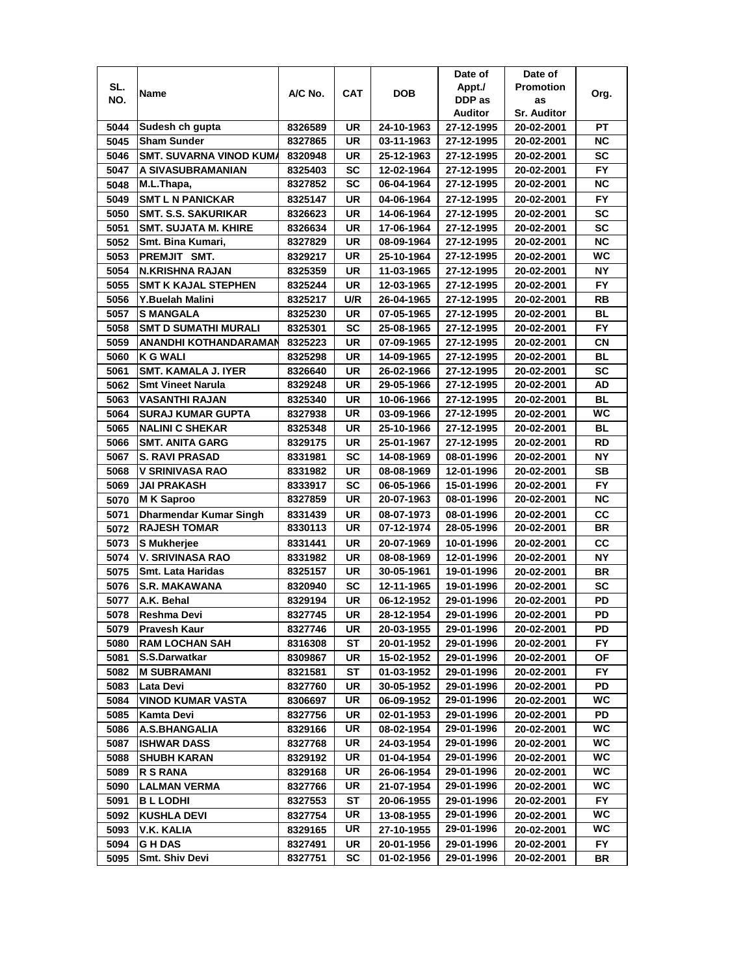| SL.<br><b>Promotion</b><br>Appt./<br><b>CAT</b><br><b>DOB</b><br>A/C No.<br>Name<br>Org.<br>NO.<br>DDP as<br>as<br>Auditor<br><b>Sr. Auditor</b><br>5044<br>Sudesh ch gupta<br>8326589<br>UR<br>24-10-1963<br>РT<br>27-12-1995<br>20-02-2001<br><b>UR</b><br><b>NC</b><br><b>Sham Sunder</b><br>8327865<br>03-11-1963<br>27-12-1995<br>5045<br>20-02-2001<br><b>SC</b><br>5046<br><b>SMT. SUVARNA VINOD KUM/</b><br>UR<br>27-12-1995<br>8320948<br>25-12-1963<br>20-02-2001<br><b>FY</b><br>5047<br><b>SC</b><br>A SIVASUBRAMANIAN<br>12-02-1964<br>27-12-1995<br>8325403<br>20-02-2001<br><b>NC</b><br>SC<br>5048<br>M.L.Thapa,<br>8327852<br>06-04-1964<br>27-12-1995<br>20-02-2001<br>FY.<br>5049<br><b>SMT L N PANICKAR</b><br>UR<br>8325147<br>04-06-1964<br>27-12-1995<br>20-02-2001<br><b>SC</b><br>5050<br><b>SMT. S.S. SAKURIKAR</b><br>UR<br>8326623<br>14-06-1964<br>27-12-1995<br>20-02-2001<br><b>SC</b><br>5051<br><b>SMT. SUJATA M. KHIRE</b><br>UR<br>8326634<br>17-06-1964<br>27-12-1995<br>20-02-2001<br><b>NC</b><br>UR<br>5052<br>Smt. Bina Kumari,<br>08-09-1964<br>27-12-1995<br>8327829<br>20-02-2001<br>WC<br>UR<br>5053<br>27-12-1995<br>PREMJIT SMT.<br>8329217<br>25-10-1964<br>20-02-2001<br><b>NY</b><br>5054<br><b>N.KRISHNA RAJAN</b><br>UR<br>8325359<br>11-03-1965<br>27-12-1995<br>20-02-2001<br><b>FY</b><br>5055<br><b>UR</b><br><b>SMT K KAJAL STEPHEN</b><br>8325244<br>12-03-1965<br>27-12-1995<br>20-02-2001<br>5056<br>Y.Buelah Malini<br>U/R<br>27-12-1995<br>RB<br>8325217<br>26-04-1965<br>20-02-2001<br><b>BL</b><br>5057<br>UR<br><b>S MANGALA</b><br>8325230<br>07-05-1965<br>27-12-1995<br>20-02-2001<br>5058<br><b>SMT D SUMATHI MURALI</b><br>SC<br>FY.<br>8325301<br>25-08-1965<br>27-12-1995<br>20-02-2001<br>5059<br>ANANDHI KOTHANDARAMAN<br>UR<br>27-12-1995<br>СN<br>8325223<br>07-09-1965<br>20-02-2001<br>5060<br><b>K G WALI</b><br>UR<br>BL<br>8325298<br>14-09-1965<br>27-12-1995<br>20-02-2001<br><b>SC</b><br>5061<br><b>SMT. KAMALA J. IYER</b><br>UR<br>8326640<br>26-02-1966<br>27-12-1995<br>20-02-2001<br><b>UR</b><br>AD<br><b>Smt Vineet Narula</b><br>27-12-1995<br>8329248<br>29-05-1966<br>20-02-2001<br>5062<br><b>BL</b><br>5063<br><b>VASANTHI RAJAN</b><br>UR<br>27-12-1995<br>8325340<br>10-06-1966<br>20-02-2001<br>WC<br><b>UR</b><br>27-12-1995<br>5064<br><b>SURAJ KUMAR GUPTA</b><br>03-09-1966<br>8327938<br>20-02-2001<br><b>BL</b><br>5065<br><b>NALINI C SHEKAR</b><br>UR<br>8325348<br>25-10-1966<br>27-12-1995<br>20-02-2001<br><b>UR</b><br><b>RD</b><br>5066<br><b>SMT. ANITA GARG</b><br>8329175<br>25-01-1967<br>27-12-1995<br>20-02-2001<br>5067<br><b>S. RAVI PRASAD</b><br>SC<br>ΝY<br>8331981<br>14-08-1969<br>08-01-1996<br>20-02-2001<br><b>SB</b><br>5068<br>V SRINIVASA RAO<br>UR<br>12-01-1996<br>8331982<br>08-08-1969<br>20-02-2001<br><b>FY</b><br>5069<br><b>JAI PRAKASH</b><br>SC<br>8333917<br>06-05-1966<br>15-01-1996<br>20-02-2001<br>UR<br><b>NC</b><br>5070<br><b>MK Saproo</b><br>8327859<br>20-07-1963<br>08-01-1996<br>20-02-2001<br>5071<br><b>Dharmendar Kumar Singh</b><br><b>UR</b><br>cc<br>08-07-1973<br>08-01-1996<br>20-02-2001<br>8331439<br><b>RAJESH TOMAR</b><br><b>BR</b><br>5072<br>UR<br>07-12-1974<br>8330113<br>28-05-1996<br>20-02-2001<br>5073<br><b>UR</b><br>cc<br>20-07-1969<br><b>S</b> Mukherjee<br>8331441<br>10-01-1996<br>20-02-2001<br>5074<br><b>UR</b><br>NΥ<br>V. SRIVINASA RAO<br>8331982<br>08-08-1969<br>12-01-1996<br>20-02-2001<br><b>Smt. Lata Haridas</b><br>UR<br>5075<br>8325157<br>30-05-1961<br>19-01-1996<br>BR<br>20-02-2001<br><b>SC</b><br>5076<br><b>S.R. MAKAWANA</b><br>SC<br>8320940<br>12-11-1965<br>19-01-1996<br>20-02-2001<br>UR<br>PD<br>5077<br>A.K. Behal<br>8329194<br>06-12-1952<br>29-01-1996<br>20-02-2001<br>PD<br>5078<br>UR<br>Reshma Devi<br>8327745<br>28-12-1954<br>29-01-1996<br>20-02-2001<br>PD<br>5079<br>Pravesh Kaur<br>8327746<br>UR<br>20-03-1955<br>29-01-1996<br>20-02-2001<br>5080<br><b>RAM LOCHAN SAH</b><br>8316308<br>29-01-1996<br>FY.<br>ST<br>20-01-1952<br>20-02-2001<br>S.S.Darwatkar<br>5081<br>15-02-1952<br>8309867<br>UR<br>29-01-1996<br>20-02-2001<br>ОF<br>5082<br>FY.<br><b>M SUBRAMANI</b><br>8321581<br>ST<br>01-03-1952<br>29-01-1996<br>20-02-2001<br>PD<br>5083<br>Lata Devi<br>8327760<br>UR<br>30-05-1952<br>29-01-1996<br>20-02-2001<br>UR<br>WC.<br>29-01-1996<br>5084<br><b>VINOD KUMAR VASTA</b><br>06-09-1952<br>8306697<br>20-02-2001<br>5085<br>29-01-1996<br>PD<br>Kamta Devi<br>8327756<br>UR<br>02-01-1953<br>20-02-2001<br>WC<br>UR<br>29-01-1996<br>5086<br>A.S.BHANGALIA<br>8329166<br>08-02-1954<br>20-02-2001<br>WC<br>UR<br>29-01-1996<br>24-03-1954<br>5087<br><b>ISHWAR DASS</b><br>8327768<br>20-02-2001<br><b>WC</b><br>UR<br>29-01-1996<br>5088<br><b>SHUBH KARAN</b><br>8329192<br>01-04-1954<br>20-02-2001<br>WC<br>UR<br>29-01-1996<br>5089<br><b>R S RANA</b><br>26-06-1954<br>20-02-2001<br>8329168<br>WC<br>UR<br>29-01-1996<br>5090<br><b>LALMAN VERMA</b><br>21-07-1954<br>8327766<br>20-02-2001<br><b>BL LODHI</b><br>FY.<br>5091<br>8327553<br>ST<br>20-06-1955<br>29-01-1996<br>20-02-2001<br>UR<br>29-01-1996<br>WC.<br>5092<br><b>KUSHLA DEVI</b><br>8327754<br>13-08-1955<br>20-02-2001<br>WC<br>5093<br><b>V.K. KALIA</b><br>UR<br>27-10-1955<br>29-01-1996<br>8329165<br>20-02-2001<br>5094<br>G H DAS<br>8327491<br>UR<br>20-01-1956<br>29-01-1996<br>20-02-2001<br>FY.<br>Smt. Shiv Devi<br>8327751<br>SC<br>01-02-1956<br>29-01-1996<br>5095<br>20-02-2001<br>BR |  |  | Date of | Date of |  |
|------------------------------------------------------------------------------------------------------------------------------------------------------------------------------------------------------------------------------------------------------------------------------------------------------------------------------------------------------------------------------------------------------------------------------------------------------------------------------------------------------------------------------------------------------------------------------------------------------------------------------------------------------------------------------------------------------------------------------------------------------------------------------------------------------------------------------------------------------------------------------------------------------------------------------------------------------------------------------------------------------------------------------------------------------------------------------------------------------------------------------------------------------------------------------------------------------------------------------------------------------------------------------------------------------------------------------------------------------------------------------------------------------------------------------------------------------------------------------------------------------------------------------------------------------------------------------------------------------------------------------------------------------------------------------------------------------------------------------------------------------------------------------------------------------------------------------------------------------------------------------------------------------------------------------------------------------------------------------------------------------------------------------------------------------------------------------------------------------------------------------------------------------------------------------------------------------------------------------------------------------------------------------------------------------------------------------------------------------------------------------------------------------------------------------------------------------------------------------------------------------------------------------------------------------------------------------------------------------------------------------------------------------------------------------------------------------------------------------------------------------------------------------------------------------------------------------------------------------------------------------------------------------------------------------------------------------------------------------------------------------------------------------------------------------------------------------------------------------------------------------------------------------------------------------------------------------------------------------------------------------------------------------------------------------------------------------------------------------------------------------------------------------------------------------------------------------------------------------------------------------------------------------------------------------------------------------------------------------------------------------------------------------------------------------------------------------------------------------------------------------------------------------------------------------------------------------------------------------------------------------------------------------------------------------------------------------------------------------------------------------------------------------------------------------------------------------------------------------------------------------------------------------------------------------------------------------------------------------------------------------------------------------------------------------------------------------------------------------------------------------------------------------------------------------------------------------------------------------------------------------------------------------------------------------------------------------------------------------------------------------------------------------------------------------------------------------------------------------------------------------------------------------------------------------------------------------------------------------------------------------------------------------------------------------------------------------------------------------------------------------------------------------------------------------------------------------------------------------------------------------------------------------------------------------------------------------------------------------------------------------------------------------------------------------------------------------------------------------------------------------------------------------------------------------------------------------------------------------------------------------------------------------------|--|--|---------|---------|--|
|                                                                                                                                                                                                                                                                                                                                                                                                                                                                                                                                                                                                                                                                                                                                                                                                                                                                                                                                                                                                                                                                                                                                                                                                                                                                                                                                                                                                                                                                                                                                                                                                                                                                                                                                                                                                                                                                                                                                                                                                                                                                                                                                                                                                                                                                                                                                                                                                                                                                                                                                                                                                                                                                                                                                                                                                                                                                                                                                                                                                                                                                                                                                                                                                                                                                                                                                                                                                                                                                                                                                                                                                                                                                                                                                                                                                                                                                                                                                                                                                                                                                                                                                                                                                                                                                                                                                                                                                                                                                                                                                                                                                                                                                                                                                                                                                                                                                                                                                                                                                                                                                                                                                                                                                                                                                                                                                                                                                                                                                                                                                    |  |  |         |         |  |
|                                                                                                                                                                                                                                                                                                                                                                                                                                                                                                                                                                                                                                                                                                                                                                                                                                                                                                                                                                                                                                                                                                                                                                                                                                                                                                                                                                                                                                                                                                                                                                                                                                                                                                                                                                                                                                                                                                                                                                                                                                                                                                                                                                                                                                                                                                                                                                                                                                                                                                                                                                                                                                                                                                                                                                                                                                                                                                                                                                                                                                                                                                                                                                                                                                                                                                                                                                                                                                                                                                                                                                                                                                                                                                                                                                                                                                                                                                                                                                                                                                                                                                                                                                                                                                                                                                                                                                                                                                                                                                                                                                                                                                                                                                                                                                                                                                                                                                                                                                                                                                                                                                                                                                                                                                                                                                                                                                                                                                                                                                                                    |  |  |         |         |  |
|                                                                                                                                                                                                                                                                                                                                                                                                                                                                                                                                                                                                                                                                                                                                                                                                                                                                                                                                                                                                                                                                                                                                                                                                                                                                                                                                                                                                                                                                                                                                                                                                                                                                                                                                                                                                                                                                                                                                                                                                                                                                                                                                                                                                                                                                                                                                                                                                                                                                                                                                                                                                                                                                                                                                                                                                                                                                                                                                                                                                                                                                                                                                                                                                                                                                                                                                                                                                                                                                                                                                                                                                                                                                                                                                                                                                                                                                                                                                                                                                                                                                                                                                                                                                                                                                                                                                                                                                                                                                                                                                                                                                                                                                                                                                                                                                                                                                                                                                                                                                                                                                                                                                                                                                                                                                                                                                                                                                                                                                                                                                    |  |  |         |         |  |
|                                                                                                                                                                                                                                                                                                                                                                                                                                                                                                                                                                                                                                                                                                                                                                                                                                                                                                                                                                                                                                                                                                                                                                                                                                                                                                                                                                                                                                                                                                                                                                                                                                                                                                                                                                                                                                                                                                                                                                                                                                                                                                                                                                                                                                                                                                                                                                                                                                                                                                                                                                                                                                                                                                                                                                                                                                                                                                                                                                                                                                                                                                                                                                                                                                                                                                                                                                                                                                                                                                                                                                                                                                                                                                                                                                                                                                                                                                                                                                                                                                                                                                                                                                                                                                                                                                                                                                                                                                                                                                                                                                                                                                                                                                                                                                                                                                                                                                                                                                                                                                                                                                                                                                                                                                                                                                                                                                                                                                                                                                                                    |  |  |         |         |  |
|                                                                                                                                                                                                                                                                                                                                                                                                                                                                                                                                                                                                                                                                                                                                                                                                                                                                                                                                                                                                                                                                                                                                                                                                                                                                                                                                                                                                                                                                                                                                                                                                                                                                                                                                                                                                                                                                                                                                                                                                                                                                                                                                                                                                                                                                                                                                                                                                                                                                                                                                                                                                                                                                                                                                                                                                                                                                                                                                                                                                                                                                                                                                                                                                                                                                                                                                                                                                                                                                                                                                                                                                                                                                                                                                                                                                                                                                                                                                                                                                                                                                                                                                                                                                                                                                                                                                                                                                                                                                                                                                                                                                                                                                                                                                                                                                                                                                                                                                                                                                                                                                                                                                                                                                                                                                                                                                                                                                                                                                                                                                    |  |  |         |         |  |
|                                                                                                                                                                                                                                                                                                                                                                                                                                                                                                                                                                                                                                                                                                                                                                                                                                                                                                                                                                                                                                                                                                                                                                                                                                                                                                                                                                                                                                                                                                                                                                                                                                                                                                                                                                                                                                                                                                                                                                                                                                                                                                                                                                                                                                                                                                                                                                                                                                                                                                                                                                                                                                                                                                                                                                                                                                                                                                                                                                                                                                                                                                                                                                                                                                                                                                                                                                                                                                                                                                                                                                                                                                                                                                                                                                                                                                                                                                                                                                                                                                                                                                                                                                                                                                                                                                                                                                                                                                                                                                                                                                                                                                                                                                                                                                                                                                                                                                                                                                                                                                                                                                                                                                                                                                                                                                                                                                                                                                                                                                                                    |  |  |         |         |  |
|                                                                                                                                                                                                                                                                                                                                                                                                                                                                                                                                                                                                                                                                                                                                                                                                                                                                                                                                                                                                                                                                                                                                                                                                                                                                                                                                                                                                                                                                                                                                                                                                                                                                                                                                                                                                                                                                                                                                                                                                                                                                                                                                                                                                                                                                                                                                                                                                                                                                                                                                                                                                                                                                                                                                                                                                                                                                                                                                                                                                                                                                                                                                                                                                                                                                                                                                                                                                                                                                                                                                                                                                                                                                                                                                                                                                                                                                                                                                                                                                                                                                                                                                                                                                                                                                                                                                                                                                                                                                                                                                                                                                                                                                                                                                                                                                                                                                                                                                                                                                                                                                                                                                                                                                                                                                                                                                                                                                                                                                                                                                    |  |  |         |         |  |
|                                                                                                                                                                                                                                                                                                                                                                                                                                                                                                                                                                                                                                                                                                                                                                                                                                                                                                                                                                                                                                                                                                                                                                                                                                                                                                                                                                                                                                                                                                                                                                                                                                                                                                                                                                                                                                                                                                                                                                                                                                                                                                                                                                                                                                                                                                                                                                                                                                                                                                                                                                                                                                                                                                                                                                                                                                                                                                                                                                                                                                                                                                                                                                                                                                                                                                                                                                                                                                                                                                                                                                                                                                                                                                                                                                                                                                                                                                                                                                                                                                                                                                                                                                                                                                                                                                                                                                                                                                                                                                                                                                                                                                                                                                                                                                                                                                                                                                                                                                                                                                                                                                                                                                                                                                                                                                                                                                                                                                                                                                                                    |  |  |         |         |  |
|                                                                                                                                                                                                                                                                                                                                                                                                                                                                                                                                                                                                                                                                                                                                                                                                                                                                                                                                                                                                                                                                                                                                                                                                                                                                                                                                                                                                                                                                                                                                                                                                                                                                                                                                                                                                                                                                                                                                                                                                                                                                                                                                                                                                                                                                                                                                                                                                                                                                                                                                                                                                                                                                                                                                                                                                                                                                                                                                                                                                                                                                                                                                                                                                                                                                                                                                                                                                                                                                                                                                                                                                                                                                                                                                                                                                                                                                                                                                                                                                                                                                                                                                                                                                                                                                                                                                                                                                                                                                                                                                                                                                                                                                                                                                                                                                                                                                                                                                                                                                                                                                                                                                                                                                                                                                                                                                                                                                                                                                                                                                    |  |  |         |         |  |
|                                                                                                                                                                                                                                                                                                                                                                                                                                                                                                                                                                                                                                                                                                                                                                                                                                                                                                                                                                                                                                                                                                                                                                                                                                                                                                                                                                                                                                                                                                                                                                                                                                                                                                                                                                                                                                                                                                                                                                                                                                                                                                                                                                                                                                                                                                                                                                                                                                                                                                                                                                                                                                                                                                                                                                                                                                                                                                                                                                                                                                                                                                                                                                                                                                                                                                                                                                                                                                                                                                                                                                                                                                                                                                                                                                                                                                                                                                                                                                                                                                                                                                                                                                                                                                                                                                                                                                                                                                                                                                                                                                                                                                                                                                                                                                                                                                                                                                                                                                                                                                                                                                                                                                                                                                                                                                                                                                                                                                                                                                                                    |  |  |         |         |  |
|                                                                                                                                                                                                                                                                                                                                                                                                                                                                                                                                                                                                                                                                                                                                                                                                                                                                                                                                                                                                                                                                                                                                                                                                                                                                                                                                                                                                                                                                                                                                                                                                                                                                                                                                                                                                                                                                                                                                                                                                                                                                                                                                                                                                                                                                                                                                                                                                                                                                                                                                                                                                                                                                                                                                                                                                                                                                                                                                                                                                                                                                                                                                                                                                                                                                                                                                                                                                                                                                                                                                                                                                                                                                                                                                                                                                                                                                                                                                                                                                                                                                                                                                                                                                                                                                                                                                                                                                                                                                                                                                                                                                                                                                                                                                                                                                                                                                                                                                                                                                                                                                                                                                                                                                                                                                                                                                                                                                                                                                                                                                    |  |  |         |         |  |
|                                                                                                                                                                                                                                                                                                                                                                                                                                                                                                                                                                                                                                                                                                                                                                                                                                                                                                                                                                                                                                                                                                                                                                                                                                                                                                                                                                                                                                                                                                                                                                                                                                                                                                                                                                                                                                                                                                                                                                                                                                                                                                                                                                                                                                                                                                                                                                                                                                                                                                                                                                                                                                                                                                                                                                                                                                                                                                                                                                                                                                                                                                                                                                                                                                                                                                                                                                                                                                                                                                                                                                                                                                                                                                                                                                                                                                                                                                                                                                                                                                                                                                                                                                                                                                                                                                                                                                                                                                                                                                                                                                                                                                                                                                                                                                                                                                                                                                                                                                                                                                                                                                                                                                                                                                                                                                                                                                                                                                                                                                                                    |  |  |         |         |  |
|                                                                                                                                                                                                                                                                                                                                                                                                                                                                                                                                                                                                                                                                                                                                                                                                                                                                                                                                                                                                                                                                                                                                                                                                                                                                                                                                                                                                                                                                                                                                                                                                                                                                                                                                                                                                                                                                                                                                                                                                                                                                                                                                                                                                                                                                                                                                                                                                                                                                                                                                                                                                                                                                                                                                                                                                                                                                                                                                                                                                                                                                                                                                                                                                                                                                                                                                                                                                                                                                                                                                                                                                                                                                                                                                                                                                                                                                                                                                                                                                                                                                                                                                                                                                                                                                                                                                                                                                                                                                                                                                                                                                                                                                                                                                                                                                                                                                                                                                                                                                                                                                                                                                                                                                                                                                                                                                                                                                                                                                                                                                    |  |  |         |         |  |
|                                                                                                                                                                                                                                                                                                                                                                                                                                                                                                                                                                                                                                                                                                                                                                                                                                                                                                                                                                                                                                                                                                                                                                                                                                                                                                                                                                                                                                                                                                                                                                                                                                                                                                                                                                                                                                                                                                                                                                                                                                                                                                                                                                                                                                                                                                                                                                                                                                                                                                                                                                                                                                                                                                                                                                                                                                                                                                                                                                                                                                                                                                                                                                                                                                                                                                                                                                                                                                                                                                                                                                                                                                                                                                                                                                                                                                                                                                                                                                                                                                                                                                                                                                                                                                                                                                                                                                                                                                                                                                                                                                                                                                                                                                                                                                                                                                                                                                                                                                                                                                                                                                                                                                                                                                                                                                                                                                                                                                                                                                                                    |  |  |         |         |  |
|                                                                                                                                                                                                                                                                                                                                                                                                                                                                                                                                                                                                                                                                                                                                                                                                                                                                                                                                                                                                                                                                                                                                                                                                                                                                                                                                                                                                                                                                                                                                                                                                                                                                                                                                                                                                                                                                                                                                                                                                                                                                                                                                                                                                                                                                                                                                                                                                                                                                                                                                                                                                                                                                                                                                                                                                                                                                                                                                                                                                                                                                                                                                                                                                                                                                                                                                                                                                                                                                                                                                                                                                                                                                                                                                                                                                                                                                                                                                                                                                                                                                                                                                                                                                                                                                                                                                                                                                                                                                                                                                                                                                                                                                                                                                                                                                                                                                                                                                                                                                                                                                                                                                                                                                                                                                                                                                                                                                                                                                                                                                    |  |  |         |         |  |
|                                                                                                                                                                                                                                                                                                                                                                                                                                                                                                                                                                                                                                                                                                                                                                                                                                                                                                                                                                                                                                                                                                                                                                                                                                                                                                                                                                                                                                                                                                                                                                                                                                                                                                                                                                                                                                                                                                                                                                                                                                                                                                                                                                                                                                                                                                                                                                                                                                                                                                                                                                                                                                                                                                                                                                                                                                                                                                                                                                                                                                                                                                                                                                                                                                                                                                                                                                                                                                                                                                                                                                                                                                                                                                                                                                                                                                                                                                                                                                                                                                                                                                                                                                                                                                                                                                                                                                                                                                                                                                                                                                                                                                                                                                                                                                                                                                                                                                                                                                                                                                                                                                                                                                                                                                                                                                                                                                                                                                                                                                                                    |  |  |         |         |  |
|                                                                                                                                                                                                                                                                                                                                                                                                                                                                                                                                                                                                                                                                                                                                                                                                                                                                                                                                                                                                                                                                                                                                                                                                                                                                                                                                                                                                                                                                                                                                                                                                                                                                                                                                                                                                                                                                                                                                                                                                                                                                                                                                                                                                                                                                                                                                                                                                                                                                                                                                                                                                                                                                                                                                                                                                                                                                                                                                                                                                                                                                                                                                                                                                                                                                                                                                                                                                                                                                                                                                                                                                                                                                                                                                                                                                                                                                                                                                                                                                                                                                                                                                                                                                                                                                                                                                                                                                                                                                                                                                                                                                                                                                                                                                                                                                                                                                                                                                                                                                                                                                                                                                                                                                                                                                                                                                                                                                                                                                                                                                    |  |  |         |         |  |
|                                                                                                                                                                                                                                                                                                                                                                                                                                                                                                                                                                                                                                                                                                                                                                                                                                                                                                                                                                                                                                                                                                                                                                                                                                                                                                                                                                                                                                                                                                                                                                                                                                                                                                                                                                                                                                                                                                                                                                                                                                                                                                                                                                                                                                                                                                                                                                                                                                                                                                                                                                                                                                                                                                                                                                                                                                                                                                                                                                                                                                                                                                                                                                                                                                                                                                                                                                                                                                                                                                                                                                                                                                                                                                                                                                                                                                                                                                                                                                                                                                                                                                                                                                                                                                                                                                                                                                                                                                                                                                                                                                                                                                                                                                                                                                                                                                                                                                                                                                                                                                                                                                                                                                                                                                                                                                                                                                                                                                                                                                                                    |  |  |         |         |  |
|                                                                                                                                                                                                                                                                                                                                                                                                                                                                                                                                                                                                                                                                                                                                                                                                                                                                                                                                                                                                                                                                                                                                                                                                                                                                                                                                                                                                                                                                                                                                                                                                                                                                                                                                                                                                                                                                                                                                                                                                                                                                                                                                                                                                                                                                                                                                                                                                                                                                                                                                                                                                                                                                                                                                                                                                                                                                                                                                                                                                                                                                                                                                                                                                                                                                                                                                                                                                                                                                                                                                                                                                                                                                                                                                                                                                                                                                                                                                                                                                                                                                                                                                                                                                                                                                                                                                                                                                                                                                                                                                                                                                                                                                                                                                                                                                                                                                                                                                                                                                                                                                                                                                                                                                                                                                                                                                                                                                                                                                                                                                    |  |  |         |         |  |
|                                                                                                                                                                                                                                                                                                                                                                                                                                                                                                                                                                                                                                                                                                                                                                                                                                                                                                                                                                                                                                                                                                                                                                                                                                                                                                                                                                                                                                                                                                                                                                                                                                                                                                                                                                                                                                                                                                                                                                                                                                                                                                                                                                                                                                                                                                                                                                                                                                                                                                                                                                                                                                                                                                                                                                                                                                                                                                                                                                                                                                                                                                                                                                                                                                                                                                                                                                                                                                                                                                                                                                                                                                                                                                                                                                                                                                                                                                                                                                                                                                                                                                                                                                                                                                                                                                                                                                                                                                                                                                                                                                                                                                                                                                                                                                                                                                                                                                                                                                                                                                                                                                                                                                                                                                                                                                                                                                                                                                                                                                                                    |  |  |         |         |  |
|                                                                                                                                                                                                                                                                                                                                                                                                                                                                                                                                                                                                                                                                                                                                                                                                                                                                                                                                                                                                                                                                                                                                                                                                                                                                                                                                                                                                                                                                                                                                                                                                                                                                                                                                                                                                                                                                                                                                                                                                                                                                                                                                                                                                                                                                                                                                                                                                                                                                                                                                                                                                                                                                                                                                                                                                                                                                                                                                                                                                                                                                                                                                                                                                                                                                                                                                                                                                                                                                                                                                                                                                                                                                                                                                                                                                                                                                                                                                                                                                                                                                                                                                                                                                                                                                                                                                                                                                                                                                                                                                                                                                                                                                                                                                                                                                                                                                                                                                                                                                                                                                                                                                                                                                                                                                                                                                                                                                                                                                                                                                    |  |  |         |         |  |
|                                                                                                                                                                                                                                                                                                                                                                                                                                                                                                                                                                                                                                                                                                                                                                                                                                                                                                                                                                                                                                                                                                                                                                                                                                                                                                                                                                                                                                                                                                                                                                                                                                                                                                                                                                                                                                                                                                                                                                                                                                                                                                                                                                                                                                                                                                                                                                                                                                                                                                                                                                                                                                                                                                                                                                                                                                                                                                                                                                                                                                                                                                                                                                                                                                                                                                                                                                                                                                                                                                                                                                                                                                                                                                                                                                                                                                                                                                                                                                                                                                                                                                                                                                                                                                                                                                                                                                                                                                                                                                                                                                                                                                                                                                                                                                                                                                                                                                                                                                                                                                                                                                                                                                                                                                                                                                                                                                                                                                                                                                                                    |  |  |         |         |  |
|                                                                                                                                                                                                                                                                                                                                                                                                                                                                                                                                                                                                                                                                                                                                                                                                                                                                                                                                                                                                                                                                                                                                                                                                                                                                                                                                                                                                                                                                                                                                                                                                                                                                                                                                                                                                                                                                                                                                                                                                                                                                                                                                                                                                                                                                                                                                                                                                                                                                                                                                                                                                                                                                                                                                                                                                                                                                                                                                                                                                                                                                                                                                                                                                                                                                                                                                                                                                                                                                                                                                                                                                                                                                                                                                                                                                                                                                                                                                                                                                                                                                                                                                                                                                                                                                                                                                                                                                                                                                                                                                                                                                                                                                                                                                                                                                                                                                                                                                                                                                                                                                                                                                                                                                                                                                                                                                                                                                                                                                                                                                    |  |  |         |         |  |
|                                                                                                                                                                                                                                                                                                                                                                                                                                                                                                                                                                                                                                                                                                                                                                                                                                                                                                                                                                                                                                                                                                                                                                                                                                                                                                                                                                                                                                                                                                                                                                                                                                                                                                                                                                                                                                                                                                                                                                                                                                                                                                                                                                                                                                                                                                                                                                                                                                                                                                                                                                                                                                                                                                                                                                                                                                                                                                                                                                                                                                                                                                                                                                                                                                                                                                                                                                                                                                                                                                                                                                                                                                                                                                                                                                                                                                                                                                                                                                                                                                                                                                                                                                                                                                                                                                                                                                                                                                                                                                                                                                                                                                                                                                                                                                                                                                                                                                                                                                                                                                                                                                                                                                                                                                                                                                                                                                                                                                                                                                                                    |  |  |         |         |  |
|                                                                                                                                                                                                                                                                                                                                                                                                                                                                                                                                                                                                                                                                                                                                                                                                                                                                                                                                                                                                                                                                                                                                                                                                                                                                                                                                                                                                                                                                                                                                                                                                                                                                                                                                                                                                                                                                                                                                                                                                                                                                                                                                                                                                                                                                                                                                                                                                                                                                                                                                                                                                                                                                                                                                                                                                                                                                                                                                                                                                                                                                                                                                                                                                                                                                                                                                                                                                                                                                                                                                                                                                                                                                                                                                                                                                                                                                                                                                                                                                                                                                                                                                                                                                                                                                                                                                                                                                                                                                                                                                                                                                                                                                                                                                                                                                                                                                                                                                                                                                                                                                                                                                                                                                                                                                                                                                                                                                                                                                                                                                    |  |  |         |         |  |
|                                                                                                                                                                                                                                                                                                                                                                                                                                                                                                                                                                                                                                                                                                                                                                                                                                                                                                                                                                                                                                                                                                                                                                                                                                                                                                                                                                                                                                                                                                                                                                                                                                                                                                                                                                                                                                                                                                                                                                                                                                                                                                                                                                                                                                                                                                                                                                                                                                                                                                                                                                                                                                                                                                                                                                                                                                                                                                                                                                                                                                                                                                                                                                                                                                                                                                                                                                                                                                                                                                                                                                                                                                                                                                                                                                                                                                                                                                                                                                                                                                                                                                                                                                                                                                                                                                                                                                                                                                                                                                                                                                                                                                                                                                                                                                                                                                                                                                                                                                                                                                                                                                                                                                                                                                                                                                                                                                                                                                                                                                                                    |  |  |         |         |  |
|                                                                                                                                                                                                                                                                                                                                                                                                                                                                                                                                                                                                                                                                                                                                                                                                                                                                                                                                                                                                                                                                                                                                                                                                                                                                                                                                                                                                                                                                                                                                                                                                                                                                                                                                                                                                                                                                                                                                                                                                                                                                                                                                                                                                                                                                                                                                                                                                                                                                                                                                                                                                                                                                                                                                                                                                                                                                                                                                                                                                                                                                                                                                                                                                                                                                                                                                                                                                                                                                                                                                                                                                                                                                                                                                                                                                                                                                                                                                                                                                                                                                                                                                                                                                                                                                                                                                                                                                                                                                                                                                                                                                                                                                                                                                                                                                                                                                                                                                                                                                                                                                                                                                                                                                                                                                                                                                                                                                                                                                                                                                    |  |  |         |         |  |
|                                                                                                                                                                                                                                                                                                                                                                                                                                                                                                                                                                                                                                                                                                                                                                                                                                                                                                                                                                                                                                                                                                                                                                                                                                                                                                                                                                                                                                                                                                                                                                                                                                                                                                                                                                                                                                                                                                                                                                                                                                                                                                                                                                                                                                                                                                                                                                                                                                                                                                                                                                                                                                                                                                                                                                                                                                                                                                                                                                                                                                                                                                                                                                                                                                                                                                                                                                                                                                                                                                                                                                                                                                                                                                                                                                                                                                                                                                                                                                                                                                                                                                                                                                                                                                                                                                                                                                                                                                                                                                                                                                                                                                                                                                                                                                                                                                                                                                                                                                                                                                                                                                                                                                                                                                                                                                                                                                                                                                                                                                                                    |  |  |         |         |  |
|                                                                                                                                                                                                                                                                                                                                                                                                                                                                                                                                                                                                                                                                                                                                                                                                                                                                                                                                                                                                                                                                                                                                                                                                                                                                                                                                                                                                                                                                                                                                                                                                                                                                                                                                                                                                                                                                                                                                                                                                                                                                                                                                                                                                                                                                                                                                                                                                                                                                                                                                                                                                                                                                                                                                                                                                                                                                                                                                                                                                                                                                                                                                                                                                                                                                                                                                                                                                                                                                                                                                                                                                                                                                                                                                                                                                                                                                                                                                                                                                                                                                                                                                                                                                                                                                                                                                                                                                                                                                                                                                                                                                                                                                                                                                                                                                                                                                                                                                                                                                                                                                                                                                                                                                                                                                                                                                                                                                                                                                                                                                    |  |  |         |         |  |
|                                                                                                                                                                                                                                                                                                                                                                                                                                                                                                                                                                                                                                                                                                                                                                                                                                                                                                                                                                                                                                                                                                                                                                                                                                                                                                                                                                                                                                                                                                                                                                                                                                                                                                                                                                                                                                                                                                                                                                                                                                                                                                                                                                                                                                                                                                                                                                                                                                                                                                                                                                                                                                                                                                                                                                                                                                                                                                                                                                                                                                                                                                                                                                                                                                                                                                                                                                                                                                                                                                                                                                                                                                                                                                                                                                                                                                                                                                                                                                                                                                                                                                                                                                                                                                                                                                                                                                                                                                                                                                                                                                                                                                                                                                                                                                                                                                                                                                                                                                                                                                                                                                                                                                                                                                                                                                                                                                                                                                                                                                                                    |  |  |         |         |  |
|                                                                                                                                                                                                                                                                                                                                                                                                                                                                                                                                                                                                                                                                                                                                                                                                                                                                                                                                                                                                                                                                                                                                                                                                                                                                                                                                                                                                                                                                                                                                                                                                                                                                                                                                                                                                                                                                                                                                                                                                                                                                                                                                                                                                                                                                                                                                                                                                                                                                                                                                                                                                                                                                                                                                                                                                                                                                                                                                                                                                                                                                                                                                                                                                                                                                                                                                                                                                                                                                                                                                                                                                                                                                                                                                                                                                                                                                                                                                                                                                                                                                                                                                                                                                                                                                                                                                                                                                                                                                                                                                                                                                                                                                                                                                                                                                                                                                                                                                                                                                                                                                                                                                                                                                                                                                                                                                                                                                                                                                                                                                    |  |  |         |         |  |
|                                                                                                                                                                                                                                                                                                                                                                                                                                                                                                                                                                                                                                                                                                                                                                                                                                                                                                                                                                                                                                                                                                                                                                                                                                                                                                                                                                                                                                                                                                                                                                                                                                                                                                                                                                                                                                                                                                                                                                                                                                                                                                                                                                                                                                                                                                                                                                                                                                                                                                                                                                                                                                                                                                                                                                                                                                                                                                                                                                                                                                                                                                                                                                                                                                                                                                                                                                                                                                                                                                                                                                                                                                                                                                                                                                                                                                                                                                                                                                                                                                                                                                                                                                                                                                                                                                                                                                                                                                                                                                                                                                                                                                                                                                                                                                                                                                                                                                                                                                                                                                                                                                                                                                                                                                                                                                                                                                                                                                                                                                                                    |  |  |         |         |  |
|                                                                                                                                                                                                                                                                                                                                                                                                                                                                                                                                                                                                                                                                                                                                                                                                                                                                                                                                                                                                                                                                                                                                                                                                                                                                                                                                                                                                                                                                                                                                                                                                                                                                                                                                                                                                                                                                                                                                                                                                                                                                                                                                                                                                                                                                                                                                                                                                                                                                                                                                                                                                                                                                                                                                                                                                                                                                                                                                                                                                                                                                                                                                                                                                                                                                                                                                                                                                                                                                                                                                                                                                                                                                                                                                                                                                                                                                                                                                                                                                                                                                                                                                                                                                                                                                                                                                                                                                                                                                                                                                                                                                                                                                                                                                                                                                                                                                                                                                                                                                                                                                                                                                                                                                                                                                                                                                                                                                                                                                                                                                    |  |  |         |         |  |
|                                                                                                                                                                                                                                                                                                                                                                                                                                                                                                                                                                                                                                                                                                                                                                                                                                                                                                                                                                                                                                                                                                                                                                                                                                                                                                                                                                                                                                                                                                                                                                                                                                                                                                                                                                                                                                                                                                                                                                                                                                                                                                                                                                                                                                                                                                                                                                                                                                                                                                                                                                                                                                                                                                                                                                                                                                                                                                                                                                                                                                                                                                                                                                                                                                                                                                                                                                                                                                                                                                                                                                                                                                                                                                                                                                                                                                                                                                                                                                                                                                                                                                                                                                                                                                                                                                                                                                                                                                                                                                                                                                                                                                                                                                                                                                                                                                                                                                                                                                                                                                                                                                                                                                                                                                                                                                                                                                                                                                                                                                                                    |  |  |         |         |  |
|                                                                                                                                                                                                                                                                                                                                                                                                                                                                                                                                                                                                                                                                                                                                                                                                                                                                                                                                                                                                                                                                                                                                                                                                                                                                                                                                                                                                                                                                                                                                                                                                                                                                                                                                                                                                                                                                                                                                                                                                                                                                                                                                                                                                                                                                                                                                                                                                                                                                                                                                                                                                                                                                                                                                                                                                                                                                                                                                                                                                                                                                                                                                                                                                                                                                                                                                                                                                                                                                                                                                                                                                                                                                                                                                                                                                                                                                                                                                                                                                                                                                                                                                                                                                                                                                                                                                                                                                                                                                                                                                                                                                                                                                                                                                                                                                                                                                                                                                                                                                                                                                                                                                                                                                                                                                                                                                                                                                                                                                                                                                    |  |  |         |         |  |
|                                                                                                                                                                                                                                                                                                                                                                                                                                                                                                                                                                                                                                                                                                                                                                                                                                                                                                                                                                                                                                                                                                                                                                                                                                                                                                                                                                                                                                                                                                                                                                                                                                                                                                                                                                                                                                                                                                                                                                                                                                                                                                                                                                                                                                                                                                                                                                                                                                                                                                                                                                                                                                                                                                                                                                                                                                                                                                                                                                                                                                                                                                                                                                                                                                                                                                                                                                                                                                                                                                                                                                                                                                                                                                                                                                                                                                                                                                                                                                                                                                                                                                                                                                                                                                                                                                                                                                                                                                                                                                                                                                                                                                                                                                                                                                                                                                                                                                                                                                                                                                                                                                                                                                                                                                                                                                                                                                                                                                                                                                                                    |  |  |         |         |  |
|                                                                                                                                                                                                                                                                                                                                                                                                                                                                                                                                                                                                                                                                                                                                                                                                                                                                                                                                                                                                                                                                                                                                                                                                                                                                                                                                                                                                                                                                                                                                                                                                                                                                                                                                                                                                                                                                                                                                                                                                                                                                                                                                                                                                                                                                                                                                                                                                                                                                                                                                                                                                                                                                                                                                                                                                                                                                                                                                                                                                                                                                                                                                                                                                                                                                                                                                                                                                                                                                                                                                                                                                                                                                                                                                                                                                                                                                                                                                                                                                                                                                                                                                                                                                                                                                                                                                                                                                                                                                                                                                                                                                                                                                                                                                                                                                                                                                                                                                                                                                                                                                                                                                                                                                                                                                                                                                                                                                                                                                                                                                    |  |  |         |         |  |
|                                                                                                                                                                                                                                                                                                                                                                                                                                                                                                                                                                                                                                                                                                                                                                                                                                                                                                                                                                                                                                                                                                                                                                                                                                                                                                                                                                                                                                                                                                                                                                                                                                                                                                                                                                                                                                                                                                                                                                                                                                                                                                                                                                                                                                                                                                                                                                                                                                                                                                                                                                                                                                                                                                                                                                                                                                                                                                                                                                                                                                                                                                                                                                                                                                                                                                                                                                                                                                                                                                                                                                                                                                                                                                                                                                                                                                                                                                                                                                                                                                                                                                                                                                                                                                                                                                                                                                                                                                                                                                                                                                                                                                                                                                                                                                                                                                                                                                                                                                                                                                                                                                                                                                                                                                                                                                                                                                                                                                                                                                                                    |  |  |         |         |  |
|                                                                                                                                                                                                                                                                                                                                                                                                                                                                                                                                                                                                                                                                                                                                                                                                                                                                                                                                                                                                                                                                                                                                                                                                                                                                                                                                                                                                                                                                                                                                                                                                                                                                                                                                                                                                                                                                                                                                                                                                                                                                                                                                                                                                                                                                                                                                                                                                                                                                                                                                                                                                                                                                                                                                                                                                                                                                                                                                                                                                                                                                                                                                                                                                                                                                                                                                                                                                                                                                                                                                                                                                                                                                                                                                                                                                                                                                                                                                                                                                                                                                                                                                                                                                                                                                                                                                                                                                                                                                                                                                                                                                                                                                                                                                                                                                                                                                                                                                                                                                                                                                                                                                                                                                                                                                                                                                                                                                                                                                                                                                    |  |  |         |         |  |
|                                                                                                                                                                                                                                                                                                                                                                                                                                                                                                                                                                                                                                                                                                                                                                                                                                                                                                                                                                                                                                                                                                                                                                                                                                                                                                                                                                                                                                                                                                                                                                                                                                                                                                                                                                                                                                                                                                                                                                                                                                                                                                                                                                                                                                                                                                                                                                                                                                                                                                                                                                                                                                                                                                                                                                                                                                                                                                                                                                                                                                                                                                                                                                                                                                                                                                                                                                                                                                                                                                                                                                                                                                                                                                                                                                                                                                                                                                                                                                                                                                                                                                                                                                                                                                                                                                                                                                                                                                                                                                                                                                                                                                                                                                                                                                                                                                                                                                                                                                                                                                                                                                                                                                                                                                                                                                                                                                                                                                                                                                                                    |  |  |         |         |  |
|                                                                                                                                                                                                                                                                                                                                                                                                                                                                                                                                                                                                                                                                                                                                                                                                                                                                                                                                                                                                                                                                                                                                                                                                                                                                                                                                                                                                                                                                                                                                                                                                                                                                                                                                                                                                                                                                                                                                                                                                                                                                                                                                                                                                                                                                                                                                                                                                                                                                                                                                                                                                                                                                                                                                                                                                                                                                                                                                                                                                                                                                                                                                                                                                                                                                                                                                                                                                                                                                                                                                                                                                                                                                                                                                                                                                                                                                                                                                                                                                                                                                                                                                                                                                                                                                                                                                                                                                                                                                                                                                                                                                                                                                                                                                                                                                                                                                                                                                                                                                                                                                                                                                                                                                                                                                                                                                                                                                                                                                                                                                    |  |  |         |         |  |
|                                                                                                                                                                                                                                                                                                                                                                                                                                                                                                                                                                                                                                                                                                                                                                                                                                                                                                                                                                                                                                                                                                                                                                                                                                                                                                                                                                                                                                                                                                                                                                                                                                                                                                                                                                                                                                                                                                                                                                                                                                                                                                                                                                                                                                                                                                                                                                                                                                                                                                                                                                                                                                                                                                                                                                                                                                                                                                                                                                                                                                                                                                                                                                                                                                                                                                                                                                                                                                                                                                                                                                                                                                                                                                                                                                                                                                                                                                                                                                                                                                                                                                                                                                                                                                                                                                                                                                                                                                                                                                                                                                                                                                                                                                                                                                                                                                                                                                                                                                                                                                                                                                                                                                                                                                                                                                                                                                                                                                                                                                                                    |  |  |         |         |  |
|                                                                                                                                                                                                                                                                                                                                                                                                                                                                                                                                                                                                                                                                                                                                                                                                                                                                                                                                                                                                                                                                                                                                                                                                                                                                                                                                                                                                                                                                                                                                                                                                                                                                                                                                                                                                                                                                                                                                                                                                                                                                                                                                                                                                                                                                                                                                                                                                                                                                                                                                                                                                                                                                                                                                                                                                                                                                                                                                                                                                                                                                                                                                                                                                                                                                                                                                                                                                                                                                                                                                                                                                                                                                                                                                                                                                                                                                                                                                                                                                                                                                                                                                                                                                                                                                                                                                                                                                                                                                                                                                                                                                                                                                                                                                                                                                                                                                                                                                                                                                                                                                                                                                                                                                                                                                                                                                                                                                                                                                                                                                    |  |  |         |         |  |
|                                                                                                                                                                                                                                                                                                                                                                                                                                                                                                                                                                                                                                                                                                                                                                                                                                                                                                                                                                                                                                                                                                                                                                                                                                                                                                                                                                                                                                                                                                                                                                                                                                                                                                                                                                                                                                                                                                                                                                                                                                                                                                                                                                                                                                                                                                                                                                                                                                                                                                                                                                                                                                                                                                                                                                                                                                                                                                                                                                                                                                                                                                                                                                                                                                                                                                                                                                                                                                                                                                                                                                                                                                                                                                                                                                                                                                                                                                                                                                                                                                                                                                                                                                                                                                                                                                                                                                                                                                                                                                                                                                                                                                                                                                                                                                                                                                                                                                                                                                                                                                                                                                                                                                                                                                                                                                                                                                                                                                                                                                                                    |  |  |         |         |  |
|                                                                                                                                                                                                                                                                                                                                                                                                                                                                                                                                                                                                                                                                                                                                                                                                                                                                                                                                                                                                                                                                                                                                                                                                                                                                                                                                                                                                                                                                                                                                                                                                                                                                                                                                                                                                                                                                                                                                                                                                                                                                                                                                                                                                                                                                                                                                                                                                                                                                                                                                                                                                                                                                                                                                                                                                                                                                                                                                                                                                                                                                                                                                                                                                                                                                                                                                                                                                                                                                                                                                                                                                                                                                                                                                                                                                                                                                                                                                                                                                                                                                                                                                                                                                                                                                                                                                                                                                                                                                                                                                                                                                                                                                                                                                                                                                                                                                                                                                                                                                                                                                                                                                                                                                                                                                                                                                                                                                                                                                                                                                    |  |  |         |         |  |
|                                                                                                                                                                                                                                                                                                                                                                                                                                                                                                                                                                                                                                                                                                                                                                                                                                                                                                                                                                                                                                                                                                                                                                                                                                                                                                                                                                                                                                                                                                                                                                                                                                                                                                                                                                                                                                                                                                                                                                                                                                                                                                                                                                                                                                                                                                                                                                                                                                                                                                                                                                                                                                                                                                                                                                                                                                                                                                                                                                                                                                                                                                                                                                                                                                                                                                                                                                                                                                                                                                                                                                                                                                                                                                                                                                                                                                                                                                                                                                                                                                                                                                                                                                                                                                                                                                                                                                                                                                                                                                                                                                                                                                                                                                                                                                                                                                                                                                                                                                                                                                                                                                                                                                                                                                                                                                                                                                                                                                                                                                                                    |  |  |         |         |  |
|                                                                                                                                                                                                                                                                                                                                                                                                                                                                                                                                                                                                                                                                                                                                                                                                                                                                                                                                                                                                                                                                                                                                                                                                                                                                                                                                                                                                                                                                                                                                                                                                                                                                                                                                                                                                                                                                                                                                                                                                                                                                                                                                                                                                                                                                                                                                                                                                                                                                                                                                                                                                                                                                                                                                                                                                                                                                                                                                                                                                                                                                                                                                                                                                                                                                                                                                                                                                                                                                                                                                                                                                                                                                                                                                                                                                                                                                                                                                                                                                                                                                                                                                                                                                                                                                                                                                                                                                                                                                                                                                                                                                                                                                                                                                                                                                                                                                                                                                                                                                                                                                                                                                                                                                                                                                                                                                                                                                                                                                                                                                    |  |  |         |         |  |
|                                                                                                                                                                                                                                                                                                                                                                                                                                                                                                                                                                                                                                                                                                                                                                                                                                                                                                                                                                                                                                                                                                                                                                                                                                                                                                                                                                                                                                                                                                                                                                                                                                                                                                                                                                                                                                                                                                                                                                                                                                                                                                                                                                                                                                                                                                                                                                                                                                                                                                                                                                                                                                                                                                                                                                                                                                                                                                                                                                                                                                                                                                                                                                                                                                                                                                                                                                                                                                                                                                                                                                                                                                                                                                                                                                                                                                                                                                                                                                                                                                                                                                                                                                                                                                                                                                                                                                                                                                                                                                                                                                                                                                                                                                                                                                                                                                                                                                                                                                                                                                                                                                                                                                                                                                                                                                                                                                                                                                                                                                                                    |  |  |         |         |  |
|                                                                                                                                                                                                                                                                                                                                                                                                                                                                                                                                                                                                                                                                                                                                                                                                                                                                                                                                                                                                                                                                                                                                                                                                                                                                                                                                                                                                                                                                                                                                                                                                                                                                                                                                                                                                                                                                                                                                                                                                                                                                                                                                                                                                                                                                                                                                                                                                                                                                                                                                                                                                                                                                                                                                                                                                                                                                                                                                                                                                                                                                                                                                                                                                                                                                                                                                                                                                                                                                                                                                                                                                                                                                                                                                                                                                                                                                                                                                                                                                                                                                                                                                                                                                                                                                                                                                                                                                                                                                                                                                                                                                                                                                                                                                                                                                                                                                                                                                                                                                                                                                                                                                                                                                                                                                                                                                                                                                                                                                                                                                    |  |  |         |         |  |
|                                                                                                                                                                                                                                                                                                                                                                                                                                                                                                                                                                                                                                                                                                                                                                                                                                                                                                                                                                                                                                                                                                                                                                                                                                                                                                                                                                                                                                                                                                                                                                                                                                                                                                                                                                                                                                                                                                                                                                                                                                                                                                                                                                                                                                                                                                                                                                                                                                                                                                                                                                                                                                                                                                                                                                                                                                                                                                                                                                                                                                                                                                                                                                                                                                                                                                                                                                                                                                                                                                                                                                                                                                                                                                                                                                                                                                                                                                                                                                                                                                                                                                                                                                                                                                                                                                                                                                                                                                                                                                                                                                                                                                                                                                                                                                                                                                                                                                                                                                                                                                                                                                                                                                                                                                                                                                                                                                                                                                                                                                                                    |  |  |         |         |  |
|                                                                                                                                                                                                                                                                                                                                                                                                                                                                                                                                                                                                                                                                                                                                                                                                                                                                                                                                                                                                                                                                                                                                                                                                                                                                                                                                                                                                                                                                                                                                                                                                                                                                                                                                                                                                                                                                                                                                                                                                                                                                                                                                                                                                                                                                                                                                                                                                                                                                                                                                                                                                                                                                                                                                                                                                                                                                                                                                                                                                                                                                                                                                                                                                                                                                                                                                                                                                                                                                                                                                                                                                                                                                                                                                                                                                                                                                                                                                                                                                                                                                                                                                                                                                                                                                                                                                                                                                                                                                                                                                                                                                                                                                                                                                                                                                                                                                                                                                                                                                                                                                                                                                                                                                                                                                                                                                                                                                                                                                                                                                    |  |  |         |         |  |
|                                                                                                                                                                                                                                                                                                                                                                                                                                                                                                                                                                                                                                                                                                                                                                                                                                                                                                                                                                                                                                                                                                                                                                                                                                                                                                                                                                                                                                                                                                                                                                                                                                                                                                                                                                                                                                                                                                                                                                                                                                                                                                                                                                                                                                                                                                                                                                                                                                                                                                                                                                                                                                                                                                                                                                                                                                                                                                                                                                                                                                                                                                                                                                                                                                                                                                                                                                                                                                                                                                                                                                                                                                                                                                                                                                                                                                                                                                                                                                                                                                                                                                                                                                                                                                                                                                                                                                                                                                                                                                                                                                                                                                                                                                                                                                                                                                                                                                                                                                                                                                                                                                                                                                                                                                                                                                                                                                                                                                                                                                                                    |  |  |         |         |  |
|                                                                                                                                                                                                                                                                                                                                                                                                                                                                                                                                                                                                                                                                                                                                                                                                                                                                                                                                                                                                                                                                                                                                                                                                                                                                                                                                                                                                                                                                                                                                                                                                                                                                                                                                                                                                                                                                                                                                                                                                                                                                                                                                                                                                                                                                                                                                                                                                                                                                                                                                                                                                                                                                                                                                                                                                                                                                                                                                                                                                                                                                                                                                                                                                                                                                                                                                                                                                                                                                                                                                                                                                                                                                                                                                                                                                                                                                                                                                                                                                                                                                                                                                                                                                                                                                                                                                                                                                                                                                                                                                                                                                                                                                                                                                                                                                                                                                                                                                                                                                                                                                                                                                                                                                                                                                                                                                                                                                                                                                                                                                    |  |  |         |         |  |
|                                                                                                                                                                                                                                                                                                                                                                                                                                                                                                                                                                                                                                                                                                                                                                                                                                                                                                                                                                                                                                                                                                                                                                                                                                                                                                                                                                                                                                                                                                                                                                                                                                                                                                                                                                                                                                                                                                                                                                                                                                                                                                                                                                                                                                                                                                                                                                                                                                                                                                                                                                                                                                                                                                                                                                                                                                                                                                                                                                                                                                                                                                                                                                                                                                                                                                                                                                                                                                                                                                                                                                                                                                                                                                                                                                                                                                                                                                                                                                                                                                                                                                                                                                                                                                                                                                                                                                                                                                                                                                                                                                                                                                                                                                                                                                                                                                                                                                                                                                                                                                                                                                                                                                                                                                                                                                                                                                                                                                                                                                                                    |  |  |         |         |  |
|                                                                                                                                                                                                                                                                                                                                                                                                                                                                                                                                                                                                                                                                                                                                                                                                                                                                                                                                                                                                                                                                                                                                                                                                                                                                                                                                                                                                                                                                                                                                                                                                                                                                                                                                                                                                                                                                                                                                                                                                                                                                                                                                                                                                                                                                                                                                                                                                                                                                                                                                                                                                                                                                                                                                                                                                                                                                                                                                                                                                                                                                                                                                                                                                                                                                                                                                                                                                                                                                                                                                                                                                                                                                                                                                                                                                                                                                                                                                                                                                                                                                                                                                                                                                                                                                                                                                                                                                                                                                                                                                                                                                                                                                                                                                                                                                                                                                                                                                                                                                                                                                                                                                                                                                                                                                                                                                                                                                                                                                                                                                    |  |  |         |         |  |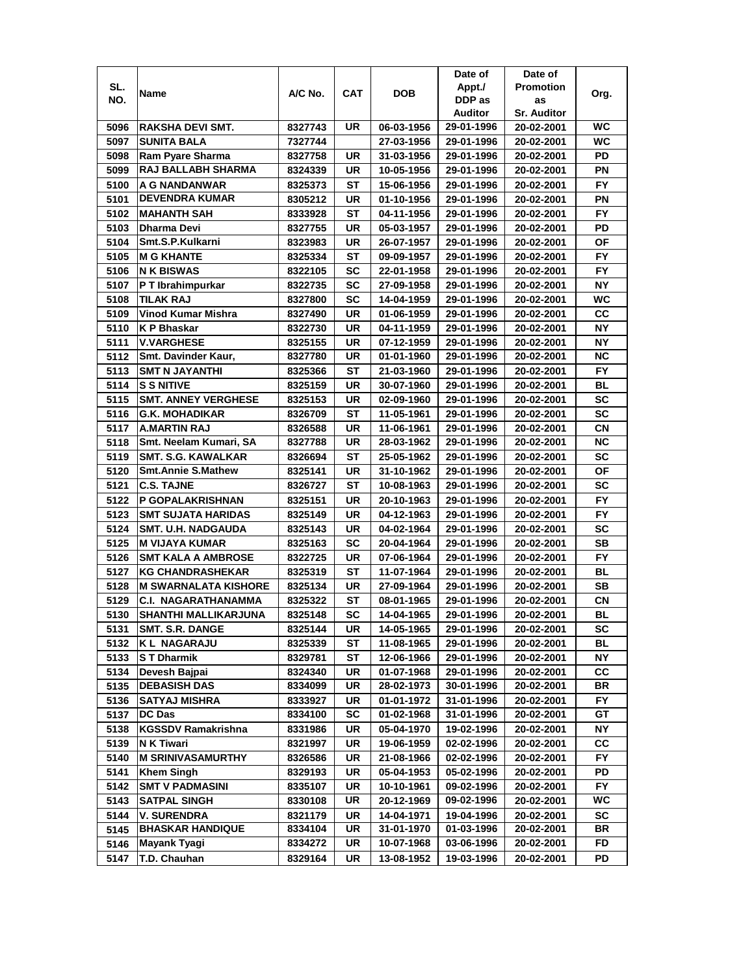|      |                             |         |           |            | Date of    | Date of            |           |
|------|-----------------------------|---------|-----------|------------|------------|--------------------|-----------|
| SL.  | Name                        | A/C No. | CAT       | DOB        | Appt./     | <b>Promotion</b>   | Org.      |
| NO.  |                             |         |           |            | DDP as     | as                 |           |
|      |                             |         |           |            | Auditor    | <b>Sr. Auditor</b> |           |
| 5096 | <b>RAKSHA DEVI SMT.</b>     | 8327743 | UR        | 06-03-1956 | 29-01-1996 | 20-02-2001         | WC        |
| 5097 | <b>SUNITA BALA</b>          | 7327744 |           | 27-03-1956 | 29-01-1996 | 20-02-2001         | <b>WC</b> |
| 5098 | Ram Pyare Sharma            | 8327758 | UR        | 31-03-1956 | 29-01-1996 | 20-02-2001         | PD        |
| 5099 | RAJ BALLABH SHARMA          | 8324339 | UR        | 10-05-1956 | 29-01-1996 | 20-02-2001         | PN        |
| 5100 | A G NANDANWAR               | 8325373 | SТ        | 15-06-1956 | 29-01-1996 | 20-02-2001         | FY        |
| 5101 | <b>DEVENDRA KUMAR</b>       | 8305212 | UR        | 01-10-1956 | 29-01-1996 | 20-02-2001         | PN        |
| 5102 | <b>MAHANTH SAH</b>          | 8333928 | SТ        | 04-11-1956 | 29-01-1996 | 20-02-2001         | FY.       |
| 5103 | Dharma Devi                 | 8327755 | UR        | 05-03-1957 | 29-01-1996 | 20-02-2001         | PD        |
| 5104 | Smt.S.P.Kulkarni            | 8323983 | UR        | 26-07-1957 | 29-01-1996 | 20-02-2001         | ΟF        |
| 5105 | <b>M G KHANTE</b>           | 8325334 | ST        | 09-09-1957 | 29-01-1996 | 20-02-2001         | <b>FY</b> |
| 5106 | N K BISWAS                  | 8322105 | <b>SC</b> | 22-01-1958 | 29-01-1996 | 20-02-2001         | <b>FY</b> |
| 5107 | P T Ibrahimpurkar           | 8322735 | <b>SC</b> | 27-09-1958 | 29-01-1996 | 20-02-2001         | <b>NY</b> |
| 5108 | <b>TILAK RAJ</b>            | 8327800 | SC        | 14-04-1959 | 29-01-1996 | 20-02-2001         | <b>WC</b> |
| 5109 | <b>Vinod Kumar Mishra</b>   | 8327490 | UR        | 01-06-1959 | 29-01-1996 | 20-02-2001         | cc        |
| 5110 | K P Bhaskar                 | 8322730 | UR        | 04-11-1959 | 29-01-1996 | 20-02-2001         | NY        |
| 5111 | <b>V.VARGHESE</b>           | 8325155 | UR        | 07-12-1959 | 29-01-1996 | 20-02-2001         | NΥ        |
| 5112 | Smt. Davinder Kaur,         | 8327780 | UR        | 01-01-1960 | 29-01-1996 | 20-02-2001         | NС        |
| 5113 | <b>SMT N JAYANTHI</b>       | 8325366 | ST        | 21-03-1960 | 29-01-1996 | 20-02-2001         | FY.       |
| 5114 | <b>S S NITIVE</b>           | 8325159 | UR        | 30-07-1960 | 29-01-1996 | 20-02-2001         | BL        |
| 5115 | <b>SMT. ANNEY VERGHESE</b>  | 8325153 | UR        | 02-09-1960 | 29-01-1996 | 20-02-2001         | SC        |
| 5116 | <b>G.K. MOHADIKAR</b>       | 8326709 | ST        | 11-05-1961 | 29-01-1996 | 20-02-2001         | <b>SC</b> |
| 5117 | <b>A.MARTIN RAJ</b>         | 8326588 | UR        | 11-06-1961 | 29-01-1996 | 20-02-2001         | СN        |
| 5118 | Smt. Neelam Kumari, SA      | 8327788 | UR        | 28-03-1962 | 29-01-1996 | 20-02-2001         | <b>NC</b> |
| 5119 | <b>SMT. S.G. KAWALKAR</b>   | 8326694 | SТ        | 25-05-1962 | 29-01-1996 | 20-02-2001         | SC        |
| 5120 | <b>Smt.Annie S.Mathew</b>   | 8325141 | UR        | 31-10-1962 | 29-01-1996 | 20-02-2001         | ΟF        |
| 5121 | <b>C.S. TAJNE</b>           | 8326727 | ST        | 10-08-1963 | 29-01-1996 | 20-02-2001         | SC        |
| 5122 | P GOPALAKRISHNAN            | 8325151 | UR        | 20-10-1963 | 29-01-1996 | 20-02-2001         | <b>FY</b> |
| 5123 | <b>SMT SUJATA HARIDAS</b>   | 8325149 | UR        | 04-12-1963 | 29-01-1996 | 20-02-2001         | <b>FY</b> |
| 5124 | <b>SMT. U.H. NADGAUDA</b>   | 8325143 | UR        | 04-02-1964 | 29-01-1996 | 20-02-2001         | <b>SC</b> |
| 5125 | <b>M VIJAYA KUMAR</b>       | 8325163 | SC        | 20-04-1964 | 29-01-1996 | 20-02-2001         | SВ        |
| 5126 | <b>SMT KALA A AMBROSE</b>   | 8322725 | UR        | 07-06-1964 | 29-01-1996 | 20-02-2001         | FY.       |
| 5127 | <b>KG CHANDRASHEKAR</b>     | 8325319 | SТ        | 11-07-1964 | 29-01-1996 | 20-02-2001         | BL        |
| 5128 | <b>M SWARNALATA KISHORE</b> | 8325134 | UR        | 27-09-1964 | 29-01-1996 | 20-02-2001         | SВ        |
| 5129 | C.I. NAGARATHANAMMA         | 8325322 | ST        | 08-01-1965 | 29-01-1996 | 20-02-2001         | CN        |
| 5130 | SHANTHI MALLIKARJUNA        | 8325148 | <b>SC</b> | 14-04-1965 | 29-01-1996 | 20-02-2001         | BL        |
| 5131 | <b>SMT. S.R. DANGE</b>      | 8325144 | UR        | 14-05-1965 | 29-01-1996 | 20-02-2001         | SC        |
| 5132 | <b>KL NAGARAJU</b>          | 8325339 | ST        | 11-08-1965 | 29-01-1996 | 20-02-2001         | BL        |
| 5133 | <b>ST Dharmik</b>           | 8329781 | ST        | 12-06-1966 | 29-01-1996 | 20-02-2001         | NΥ        |
| 5134 | Devesh Bajpai               | 8324340 | UR        | 01-07-1968 | 29-01-1996 | 20-02-2001         | CC        |
| 5135 | <b>DEBASISH DAS</b>         | 8334099 | UR        | 28-02-1973 | 30-01-1996 | 20-02-2001         | BR        |
| 5136 | SATYAJ MISHRA               | 8333927 | UR        | 01-01-1972 | 31-01-1996 | 20-02-2001         | FY.       |
| 5137 | <b>DC Das</b>               | 8334100 | SC        | 01-02-1968 | 31-01-1996 | 20-02-2001         | GT        |
| 5138 | <b>KGSSDV Ramakrishna</b>   | 8331986 | UR        | 05-04-1970 | 19-02-1996 | 20-02-2001         | ΝY        |
| 5139 | N K Tiwari                  | 8321997 | UR        | 19-06-1959 | 02-02-1996 | 20-02-2001         | CC        |
| 5140 | <b>M SRINIVASAMURTHY</b>    | 8326586 | UR        | 21-08-1966 | 02-02-1996 | 20-02-2001         | FY        |
| 5141 | <b>Khem Singh</b>           | 8329193 | UR        | 05-04-1953 | 05-02-1996 | 20-02-2001         | PD        |
| 5142 | <b>SMT V PADMASINI</b>      | 8335107 | UR        | 10-10-1961 | 09-02-1996 | 20-02-2001         | FY.       |
| 5143 | <b>SATPAL SINGH</b>         | 8330108 | UR        | 20-12-1969 | 09-02-1996 | 20-02-2001         | WC        |
| 5144 | V. SURENDRA                 | 8321179 | UR        | 14-04-1971 | 19-04-1996 | 20-02-2001         | sc        |
| 5145 | <b>BHASKAR HANDIQUE</b>     | 8334104 | UR        | 31-01-1970 | 01-03-1996 | 20-02-2001         | BR        |
| 5146 | Mayank Tyagi                | 8334272 | UR        | 10-07-1968 | 03-06-1996 | 20-02-2001         | FD        |
| 5147 | T.D. Chauhan                | 8329164 | UR        | 13-08-1952 | 19-03-1996 | 20-02-2001         | PD        |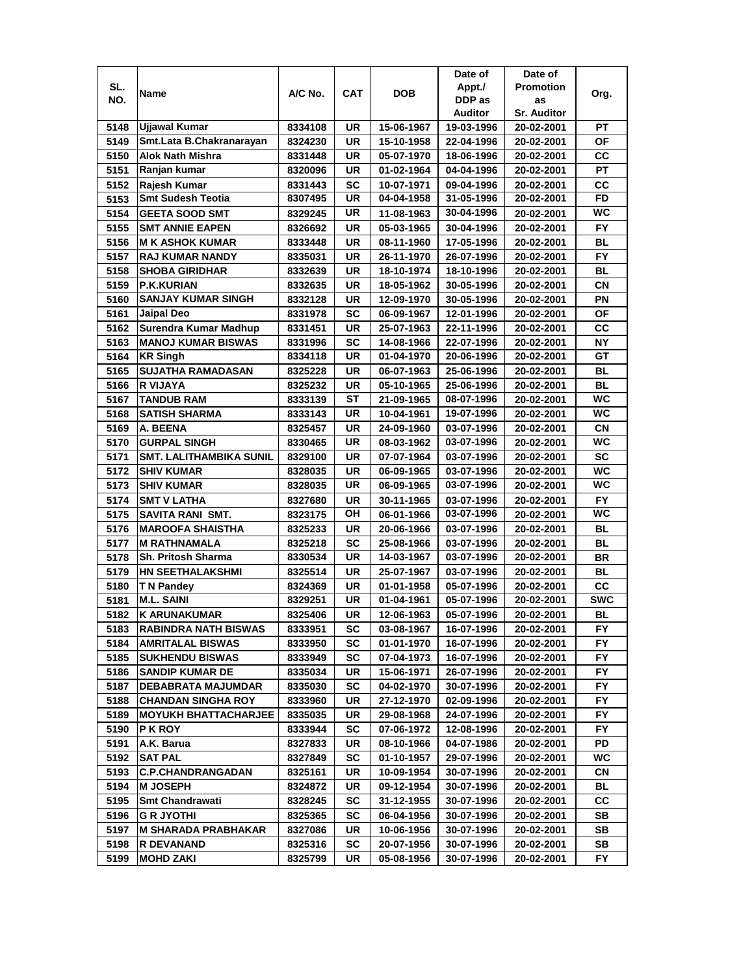|              |                                                          |         |            |            | Date of        | Date of            |                  |
|--------------|----------------------------------------------------------|---------|------------|------------|----------------|--------------------|------------------|
| SL.          |                                                          | A/C No. | <b>CAT</b> | <b>DOB</b> | Appt./         | <b>Promotion</b>   |                  |
| NO.          | Name                                                     |         |            |            | DDP as         | as                 | Org.             |
|              |                                                          |         |            |            | <b>Auditor</b> | <b>Sr. Auditor</b> |                  |
| 5148         | <b>Ujjawal Kumar</b>                                     | 8334108 | UR         | 15-06-1967 | 19-03-1996     | 20-02-2001         | <b>PT</b>        |
| 5149         | Smt.Lata B.Chakranarayan                                 | 8324230 | UR         | 15-10-1958 | 22-04-1996     | 20-02-2001         | ΟF               |
| 5150         | <b>Alok Nath Mishra</b>                                  | 8331448 | UR         | 05-07-1970 | 18-06-1996     | 20-02-2001         | СC               |
| 5151         | Ranjan kumar                                             | 8320096 | UR         | 01-02-1964 | 04-04-1996     | 20-02-2001         | PT               |
| 5152         | Rajesh Kumar                                             | 8331443 | <b>SC</b>  | 10-07-1971 | 09-04-1996     | 20-02-2001         | cc               |
| 5153         | <b>Smt Sudesh Teotia</b>                                 | 8307495 | UR         | 04-04-1958 | 31-05-1996     | 20-02-2001         | <b>FD</b>        |
| 5154         | <b>GEETA SOOD SMT</b>                                    | 8329245 | UR         | 11-08-1963 | 30-04-1996     | 20-02-2001         | <b>WC</b>        |
| 5155         | <b>SMT ANNIE EAPEN</b>                                   | 8326692 | UR         | 05-03-1965 | 30-04-1996     | 20-02-2001         | FY.              |
| 5156         | <b>M K ASHOK KUMAR</b>                                   | 8333448 | UR         | 08-11-1960 | 17-05-1996     | 20-02-2001         | BL               |
| 5157         | <b>RAJ KUMAR NANDY</b>                                   | 8335031 | UR         | 26-11-1970 | 26-07-1996     | 20-02-2001         | <b>FY</b>        |
| 5158         | <b>SHOBA GIRIDHAR</b>                                    | 8332639 | UR         | 18-10-1974 | 18-10-1996     | 20-02-2001         | BL               |
| 5159         | <b>P.K.KURIAN</b>                                        | 8332635 | UR         | 18-05-1962 | 30-05-1996     | 20-02-2001         | CN               |
| 5160         | <b>SANJAY KUMAR SINGH</b>                                | 8332128 | <b>UR</b>  | 12-09-1970 | 30-05-1996     | 20-02-2001         | PN               |
| 5161         | Jaipal Deo                                               | 8331978 | SC         | 06-09-1967 | 12-01-1996     | 20-02-2001         | <b>OF</b>        |
| 5162         | Surendra Kumar Madhup                                    | 8331451 | UR         | 25-07-1963 | 22-11-1996     | 20-02-2001         | cc               |
| 5163         | <b>MANOJ KUMAR BISWAS</b>                                | 8331996 | SC         | 14-08-1966 | 22-07-1996     | 20-02-2001         | NΥ               |
| 5164         | <b>KR Singh</b>                                          | 8334118 | UR         | 01-04-1970 | 20-06-1996     | 20-02-2001         | GТ               |
| 5165         | <b>SUJATHA RAMADASAN</b>                                 | 8325228 | UR         | 06-07-1963 | 25-06-1996     | 20-02-2001         | BL               |
| 5166         | R VIJAYA                                                 | 8325232 | UR         | 05-10-1965 | 25-06-1996     | 20-02-2001         | BL               |
| 5167         | <b>TANDUB RAM</b>                                        | 8333139 | <b>ST</b>  | 21-09-1965 | 08-07-1996     | 20-02-2001         | <b>WC</b>        |
| 5168         | <b>SATISH SHARMA</b>                                     | 8333143 | UR         | 10-04-1961 | 19-07-1996     | 20-02-2001         | <b>WC</b>        |
| 5169         | A. BEENA                                                 | 8325457 | <b>UR</b>  | 24-09-1960 | 03-07-1996     | 20-02-2001         | <b>CN</b>        |
| 5170         | <b>GURPAL SINGH</b>                                      | 8330465 | <b>UR</b>  | 08-03-1962 | 03-07-1996     | 20-02-2001         | <b>WC</b>        |
| 5171         | <b>SMT. LALITHAMBIKA SUNIL</b>                           | 8329100 | <b>UR</b>  | 07-07-1964 | 03-07-1996     | 20-02-2001         | <b>SC</b>        |
| 5172         | <b>SHIV KUMAR</b>                                        | 8328035 | UR         | 06-09-1965 | 03-07-1996     | 20-02-2001         | <b>WC</b>        |
| 5173         | <b>SHIV KUMAR</b>                                        | 8328035 | <b>UR</b>  | 06-09-1965 | 03-07-1996     | 20-02-2001         | <b>WC</b>        |
| 5174         | <b>SMT V LATHA</b>                                       | 8327680 | UR         | 30-11-1965 | 03-07-1996     | 20-02-2001         | <b>FY</b>        |
| 5175         | SAVITA RANI SMT.                                         | 8323175 | OH         | 06-01-1966 | 03-07-1996     | 20-02-2001         | <b>WC</b>        |
| 5176         | <b>MAROOFA SHAISTHA</b>                                  | 8325233 | <b>UR</b>  | 20-06-1966 | 03-07-1996     | 20-02-2001         | <b>BL</b>        |
| 5177         | <b>M RATHNAMALA</b>                                      | 8325218 | <b>SC</b>  | 25-08-1966 | 03-07-1996     | 20-02-2001         | <b>BL</b>        |
| 5178         | Sh. Pritosh Sharma                                       | 8330534 | UR         | 14-03-1967 | 03-07-1996     | 20-02-2001         | <b>BR</b>        |
| 5179         | <b>HN SEETHALAKSHMI</b>                                  | 8325514 | <b>UR</b>  |            |                |                    | BL               |
|              |                                                          |         |            | 25-07-1967 | 03-07-1996     | 20-02-2001         |                  |
| 5180<br>5181 | T N Pandey<br><b>M.L. SAINI</b>                          | 8324369 | UR<br>UR   | 01-01-1958 | 05-07-1996     | 20-02-2001         | СC<br><b>SWC</b> |
|              |                                                          | 8329251 |            | 01-04-1961 | 05-07-1996     | 20-02-2001         |                  |
| 5182         | <b>K ARUNAKUMAR</b>                                      | 8325406 | UR         | 12-06-1963 | 05-07-1996     | 20-02-2001         | BL               |
| 5183         | <b>RABINDRA NATH BISWAS</b>                              | 8333951 | SC         | 03-08-1967 | 16-07-1996     | 20-02-2001         | FY               |
| 5184         | <b>AMRITALAL BISWAS</b>                                  | 8333950 | SC         | 01-01-1970 | 16-07-1996     | 20-02-2001         | FY               |
| 5185         | <b>SUKHENDU BISWAS</b>                                   | 8333949 | <b>SC</b>  | 07-04-1973 | 16-07-1996     | 20-02-2001         | FY.              |
| 5186         | <b>SANDIP KUMAR DE</b>                                   | 8335034 | UR         | 15-06-1971 | 26-07-1996     | 20-02-2001         | FY               |
| 5187         | <b>DEBABRATA MAJUMDAR</b>                                | 8335030 | <b>SC</b>  | 04-02-1970 | 30-07-1996     | 20-02-2001         | FY.              |
| 5188         | <b>CHANDAN SINGHA ROY</b><br><b>MOYUKH BHATTACHARJEE</b> | 8333960 | UR         | 27-12-1970 | 02-09-1996     | 20-02-2001         | FY.              |
| 5189         |                                                          | 8335035 | UR         | 29-08-1968 | 24-07-1996     | 20-02-2001         | FY.              |
| 5190         | <b>PKROY</b>                                             | 8333944 | SC         | 07-06-1972 | 12-08-1996     | 20-02-2001         | FY.              |
| 5191         | A.K. Barua                                               | 8327833 | UR         | 08-10-1966 | 04-07-1986     | 20-02-2001         | PD               |
| 5192         | <b>SAT PAL</b>                                           | 8327849 | <b>SC</b>  | 01-10-1957 | 29-07-1996     | 20-02-2001         | WC               |
| 5193         | <b>C.P.CHANDRANGADAN</b>                                 | 8325161 | UR         | 10-09-1954 | 30-07-1996     | 20-02-2001         | СN               |
| 5194         | <b>M JOSEPH</b>                                          | 8324872 | UR         | 09-12-1954 | 30-07-1996     | 20-02-2001         | BL               |
| 5195         | <b>Smt Chandrawati</b>                                   | 8328245 | <b>SC</b>  | 31-12-1955 | 30-07-1996     | 20-02-2001         | СC               |
| 5196         | <b>G R JYOTHI</b>                                        | 8325365 | SC         | 06-04-1956 | 30-07-1996     | 20-02-2001         | SB               |
| 5197         | <b>M SHARADA PRABHAKAR</b>                               | 8327086 | UR         | 10-06-1956 | 30-07-1996     | 20-02-2001         | SB               |
| 5198         | <b>R DEVANAND</b>                                        | 8325316 | <b>SC</b>  | 20-07-1956 | 30-07-1996     | 20-02-2001         | SB               |
| 5199         | <b>MOHD ZAKI</b>                                         | 8325799 | UR         | 05-08-1956 | 30-07-1996     | 20-02-2001         | FY.              |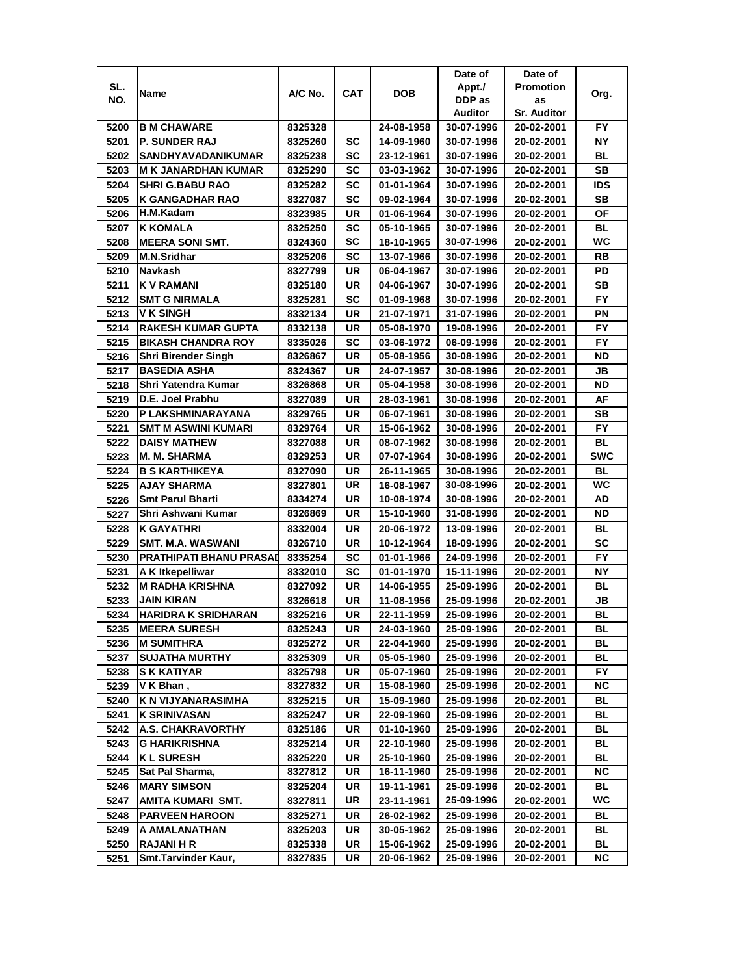| SL.<br>Appt./<br><b>Promotion</b><br>A/C No.<br><b>CAT</b><br><b>DOB</b><br>Name<br>Org.<br>NO.<br>DDP as<br>as<br>Auditor<br><b>Sr. Auditor</b><br>5200<br><b>B M CHAWARE</b><br>24-08-1958<br>FY.<br>8325328<br>30-07-1996<br>20-02-2001<br>5201<br><b>P. SUNDER RAJ</b><br>8325260<br>SC<br>14-09-1960<br>30-07-1996<br>20-02-2001<br>NΥ<br>5202<br>SANDHYAVADANIKUMAR<br>ВL<br>8325238<br>SC<br>23-12-1961<br>30-07-1996<br>20-02-2001<br>5203<br>SC<br>SВ<br>M K JANARDHAN KUMAR<br>8325290<br>03-03-1962<br>30-07-1996<br>20-02-2001<br>5204<br>SC<br>IDS<br><b>SHRI G.BABU RAO</b><br>8325282<br>01-01-1964<br>30-07-1996<br>20-02-2001<br>5205<br><b>K GANGADHAR RAO</b><br>SB<br>8327087<br>SC<br>09-02-1964<br>30-07-1996<br>20-02-2001<br>ΟF<br>5206<br>H.M.Kadam<br>UR<br>8323985<br>01-06-1964<br>30-07-1996<br>20-02-2001<br>5207<br>BL<br>K KOMALA<br>SC<br>05-10-1965<br>8325250<br>30-07-1996<br>20-02-2001<br><b>WC</b><br><b>SC</b><br>5208<br><b>MEERA SONI SMT.</b><br>30-07-1996<br>8324360<br>18-10-1965<br>20-02-2001<br>5209<br>M.N.Sridhar<br>8325206<br>SC<br>13-07-1966<br>30-07-1996<br>20-02-2001<br>RB<br>5210<br>UR<br>PD<br>Navkash<br>8327799<br>06-04-1967<br>30-07-1996<br>20-02-2001<br>5211<br><b>KV RAMANI</b><br>UR<br>SВ<br>8325180<br>30-07-1996<br>04-06-1967<br>20-02-2001<br><b>FY</b><br>5212<br><b>SMT G NIRMALA</b><br>8325281<br>SC<br>01-09-1968<br>30-07-1996<br>20-02-2001<br><b>V K SINGH</b><br>5213<br>ΡN<br>8332134<br>UR<br>21-07-1971<br>31-07-1996<br>20-02-2001<br>FY.<br>5214<br><b>RAKESH KUMAR GUPTA</b><br>UR<br>8332138<br>05-08-1970<br>19-08-1996<br>20-02-2001<br>5215<br><b>BIKASH CHANDRA ROY</b><br>SC<br>03-06-1972<br>06-09-1996<br>20-02-2001<br>FY.<br>8335026<br>UR<br>ND<br>Shri Birender Singh<br>05-08-1956<br>30-08-1996<br>20-02-2001<br>5216<br>8326867<br><b>BASEDIA ASHA</b><br>5217<br>8324367<br>UR<br>24-07-1957<br>30-08-1996<br>JB<br>20-02-2001<br>Shri Yatendra Kumar<br>UR<br>ND<br>05-04-1958<br>30-08-1996<br>8326868<br>20-02-2001<br>5218<br>D.E. Joel Prabhu<br>AF<br>5219<br>UR<br>8327089<br>28-03-1961<br>30-08-1996<br>20-02-2001<br>5220<br>P LAKSHMINARAYANA<br>UR<br>SВ<br>8329765<br>06-07-1961<br>30-08-1996<br>20-02-2001<br>5221<br>FY.<br><b>SMT M ASWINI KUMARI</b><br>UR<br>15-06-1962<br>8329764<br>30-08-1996<br>20-02-2001<br>5222<br><b>DAISY MATHEW</b><br>UR<br>BL<br>8327088<br>08-07-1962<br>30-08-1996<br>20-02-2001<br><b>SWC</b><br>UR<br><b>M. M. SHARMA</b><br>8329253<br>07-07-1964<br>30-08-1996<br>20-02-2001<br>5223<br>5224<br><b>B S KARTHIKEYA</b><br>UR<br>BL<br>26-11-1965<br>30-08-1996<br>20-02-2001<br>8327090<br><b>UR</b><br>WC<br>5225<br><b>AJAY SHARMA</b><br>30-08-1996<br>8327801<br>16-08-1967<br>20-02-2001<br>UR<br>AD<br><b>Smt Parul Bharti</b><br>8334274<br>10-08-1974<br>30-08-1996<br>5226<br>20-02-2001<br><b>ND</b><br>Shri Ashwani Kumar<br>UR<br>15-10-1960<br>31-08-1996<br>5227<br>8326869<br>20-02-2001<br><b>BL</b><br>5228<br><b>K GAYATHRI</b><br>8332004<br>UR<br>20-06-1972<br>13-09-1996<br>20-02-2001<br><b>SMT. M.A. WASWANI</b><br><b>SC</b><br>5229<br>8326710<br>UR<br>10-12-1964<br>18-09-1996<br>20-02-2001<br><b>PRATHIPATI BHANU PRASAI</b><br>5230<br>SC<br>FY<br>8335254<br>01-01-1966<br>24-09-1996<br>20-02-2001<br>5231<br>SC<br>NΥ<br>A K Itkepelliwar<br>8332010<br>01-01-1970<br>15-11-1996<br>20-02-2001<br>5232<br>BL<br>M RADHA KRISHNA<br>UR<br>14-06-1955<br>25-09-1996<br>8327092<br>20-02-2001<br><b>JAIN KIRAN</b><br>5233<br>UR<br>JB<br>8326618<br>11-08-1956<br>25-09-1996<br>20-02-2001<br>5234<br>UR<br>BL<br><b>HARIDRA K SRIDHARAN</b><br>8325216<br>22-11-1959<br>25-09-1996<br>20-02-2001<br><b>MEERA SURESH</b><br>5235<br>8325243<br>UR<br>24-03-1960<br>25-09-1996<br>20-02-2001<br>BL<br>5236<br><b>M SUMITHRA</b><br>8325272<br>UR<br>22-04-1960<br>25-09-1996<br>20-02-2001<br>ВL<br>BL<br>5237<br><b>SUJATHA MURTHY</b><br>8325309<br>UR<br>05-05-1960<br>25-09-1996<br>20-02-2001<br>5238<br><b>S K KATIYAR</b><br>UR<br>05-07-1960<br>25-09-1996<br>20-02-2001<br>FY<br>8325798<br>UR<br>ΝC<br>15-08-1960<br>V K Bhan,<br>8327832<br>25-09-1996<br>20-02-2001<br>5239<br>5240<br>K N VIJYANARASIMHA<br>8325215<br>UR<br>15-09-1960<br>25-09-1996<br>20-02-2001<br>BL<br>5241<br>UR<br>22-09-1960<br>25-09-1996<br>BL<br>K SRINIVASAN<br>8325247<br>20-02-2001<br>5242<br>BL<br><b>A.S. CHAKRAVORTHY</b><br>8325186<br>UR<br>01-10-1960<br>25-09-1996<br>20-02-2001<br><b>G HARIKRISHNA</b><br>BL<br>5243<br>8325214<br>UR<br>22-10-1960<br>25-09-1996<br>20-02-2001<br>5244<br><b>KL SURESH</b><br>UR<br>25-09-1996<br>BL<br>8325220<br>25-10-1960<br>20-02-2001<br>NC<br>Sat Pal Sharma,<br>8327812<br>UR<br>16-11-1960<br>25-09-1996<br>20-02-2001<br>5245<br><b>BL</b><br>5246<br><b>MARY SIMSON</b><br>8325204<br>UR<br>19-11-1961<br>25-09-1996<br>20-02-2001<br>UR<br>WC.<br>25-09-1996<br>5247<br>AMITA KUMARI SMT.<br>23-11-1961<br>8327811<br>20-02-2001<br>5248<br><b>PARVEEN HAROON</b><br>UR<br>BL<br>8325271<br>26-02-1962<br>25-09-1996<br>20-02-2001<br>5249<br>A AMALANATHAN<br>8325203<br>UR<br>30-05-1962<br>25-09-1996<br>20-02-2001<br>BL<br>5250<br><b>RAJANI H R</b><br>UR<br>15-06-1962<br>BL<br>8325338<br>25-09-1996<br>20-02-2001<br>Smt.Tarvinder Kaur,<br>UR<br>NС<br>5251<br>8327835<br>20-06-1962<br>25-09-1996<br>20-02-2001 |  |  | Date of | Date of |  |
|-----------------------------------------------------------------------------------------------------------------------------------------------------------------------------------------------------------------------------------------------------------------------------------------------------------------------------------------------------------------------------------------------------------------------------------------------------------------------------------------------------------------------------------------------------------------------------------------------------------------------------------------------------------------------------------------------------------------------------------------------------------------------------------------------------------------------------------------------------------------------------------------------------------------------------------------------------------------------------------------------------------------------------------------------------------------------------------------------------------------------------------------------------------------------------------------------------------------------------------------------------------------------------------------------------------------------------------------------------------------------------------------------------------------------------------------------------------------------------------------------------------------------------------------------------------------------------------------------------------------------------------------------------------------------------------------------------------------------------------------------------------------------------------------------------------------------------------------------------------------------------------------------------------------------------------------------------------------------------------------------------------------------------------------------------------------------------------------------------------------------------------------------------------------------------------------------------------------------------------------------------------------------------------------------------------------------------------------------------------------------------------------------------------------------------------------------------------------------------------------------------------------------------------------------------------------------------------------------------------------------------------------------------------------------------------------------------------------------------------------------------------------------------------------------------------------------------------------------------------------------------------------------------------------------------------------------------------------------------------------------------------------------------------------------------------------------------------------------------------------------------------------------------------------------------------------------------------------------------------------------------------------------------------------------------------------------------------------------------------------------------------------------------------------------------------------------------------------------------------------------------------------------------------------------------------------------------------------------------------------------------------------------------------------------------------------------------------------------------------------------------------------------------------------------------------------------------------------------------------------------------------------------------------------------------------------------------------------------------------------------------------------------------------------------------------------------------------------------------------------------------------------------------------------------------------------------------------------------------------------------------------------------------------------------------------------------------------------------------------------------------------------------------------------------------------------------------------------------------------------------------------------------------------------------------------------------------------------------------------------------------------------------------------------------------------------------------------------------------------------------------------------------------------------------------------------------------------------------------------------------------------------------------------------------------------------------------------------------------------------------------------------------------------------------------------------------------------------------------------------------------------------------------------------------------------------------------------------------------------------------------------------------------------------------------------------------------------------------------------------------------|--|--|---------|---------|--|
|                                                                                                                                                                                                                                                                                                                                                                                                                                                                                                                                                                                                                                                                                                                                                                                                                                                                                                                                                                                                                                                                                                                                                                                                                                                                                                                                                                                                                                                                                                                                                                                                                                                                                                                                                                                                                                                                                                                                                                                                                                                                                                                                                                                                                                                                                                                                                                                                                                                                                                                                                                                                                                                                                                                                                                                                                                                                                                                                                                                                                                                                                                                                                                                                                                                                                                                                                                                                                                                                                                                                                                                                                                                                                                                                                                                                                                                                                                                                                                                                                                                                                                                                                                                                                                                                                                                                                                                                                                                                                                                                                                                                                                                                                                                                                                                                                                                                                                                                                                                                                                                                                                                                                                                                                                                                                                                                                                             |  |  |         |         |  |
|                                                                                                                                                                                                                                                                                                                                                                                                                                                                                                                                                                                                                                                                                                                                                                                                                                                                                                                                                                                                                                                                                                                                                                                                                                                                                                                                                                                                                                                                                                                                                                                                                                                                                                                                                                                                                                                                                                                                                                                                                                                                                                                                                                                                                                                                                                                                                                                                                                                                                                                                                                                                                                                                                                                                                                                                                                                                                                                                                                                                                                                                                                                                                                                                                                                                                                                                                                                                                                                                                                                                                                                                                                                                                                                                                                                                                                                                                                                                                                                                                                                                                                                                                                                                                                                                                                                                                                                                                                                                                                                                                                                                                                                                                                                                                                                                                                                                                                                                                                                                                                                                                                                                                                                                                                                                                                                                                                             |  |  |         |         |  |
|                                                                                                                                                                                                                                                                                                                                                                                                                                                                                                                                                                                                                                                                                                                                                                                                                                                                                                                                                                                                                                                                                                                                                                                                                                                                                                                                                                                                                                                                                                                                                                                                                                                                                                                                                                                                                                                                                                                                                                                                                                                                                                                                                                                                                                                                                                                                                                                                                                                                                                                                                                                                                                                                                                                                                                                                                                                                                                                                                                                                                                                                                                                                                                                                                                                                                                                                                                                                                                                                                                                                                                                                                                                                                                                                                                                                                                                                                                                                                                                                                                                                                                                                                                                                                                                                                                                                                                                                                                                                                                                                                                                                                                                                                                                                                                                                                                                                                                                                                                                                                                                                                                                                                                                                                                                                                                                                                                             |  |  |         |         |  |
|                                                                                                                                                                                                                                                                                                                                                                                                                                                                                                                                                                                                                                                                                                                                                                                                                                                                                                                                                                                                                                                                                                                                                                                                                                                                                                                                                                                                                                                                                                                                                                                                                                                                                                                                                                                                                                                                                                                                                                                                                                                                                                                                                                                                                                                                                                                                                                                                                                                                                                                                                                                                                                                                                                                                                                                                                                                                                                                                                                                                                                                                                                                                                                                                                                                                                                                                                                                                                                                                                                                                                                                                                                                                                                                                                                                                                                                                                                                                                                                                                                                                                                                                                                                                                                                                                                                                                                                                                                                                                                                                                                                                                                                                                                                                                                                                                                                                                                                                                                                                                                                                                                                                                                                                                                                                                                                                                                             |  |  |         |         |  |
|                                                                                                                                                                                                                                                                                                                                                                                                                                                                                                                                                                                                                                                                                                                                                                                                                                                                                                                                                                                                                                                                                                                                                                                                                                                                                                                                                                                                                                                                                                                                                                                                                                                                                                                                                                                                                                                                                                                                                                                                                                                                                                                                                                                                                                                                                                                                                                                                                                                                                                                                                                                                                                                                                                                                                                                                                                                                                                                                                                                                                                                                                                                                                                                                                                                                                                                                                                                                                                                                                                                                                                                                                                                                                                                                                                                                                                                                                                                                                                                                                                                                                                                                                                                                                                                                                                                                                                                                                                                                                                                                                                                                                                                                                                                                                                                                                                                                                                                                                                                                                                                                                                                                                                                                                                                                                                                                                                             |  |  |         |         |  |
|                                                                                                                                                                                                                                                                                                                                                                                                                                                                                                                                                                                                                                                                                                                                                                                                                                                                                                                                                                                                                                                                                                                                                                                                                                                                                                                                                                                                                                                                                                                                                                                                                                                                                                                                                                                                                                                                                                                                                                                                                                                                                                                                                                                                                                                                                                                                                                                                                                                                                                                                                                                                                                                                                                                                                                                                                                                                                                                                                                                                                                                                                                                                                                                                                                                                                                                                                                                                                                                                                                                                                                                                                                                                                                                                                                                                                                                                                                                                                                                                                                                                                                                                                                                                                                                                                                                                                                                                                                                                                                                                                                                                                                                                                                                                                                                                                                                                                                                                                                                                                                                                                                                                                                                                                                                                                                                                                                             |  |  |         |         |  |
|                                                                                                                                                                                                                                                                                                                                                                                                                                                                                                                                                                                                                                                                                                                                                                                                                                                                                                                                                                                                                                                                                                                                                                                                                                                                                                                                                                                                                                                                                                                                                                                                                                                                                                                                                                                                                                                                                                                                                                                                                                                                                                                                                                                                                                                                                                                                                                                                                                                                                                                                                                                                                                                                                                                                                                                                                                                                                                                                                                                                                                                                                                                                                                                                                                                                                                                                                                                                                                                                                                                                                                                                                                                                                                                                                                                                                                                                                                                                                                                                                                                                                                                                                                                                                                                                                                                                                                                                                                                                                                                                                                                                                                                                                                                                                                                                                                                                                                                                                                                                                                                                                                                                                                                                                                                                                                                                                                             |  |  |         |         |  |
|                                                                                                                                                                                                                                                                                                                                                                                                                                                                                                                                                                                                                                                                                                                                                                                                                                                                                                                                                                                                                                                                                                                                                                                                                                                                                                                                                                                                                                                                                                                                                                                                                                                                                                                                                                                                                                                                                                                                                                                                                                                                                                                                                                                                                                                                                                                                                                                                                                                                                                                                                                                                                                                                                                                                                                                                                                                                                                                                                                                                                                                                                                                                                                                                                                                                                                                                                                                                                                                                                                                                                                                                                                                                                                                                                                                                                                                                                                                                                                                                                                                                                                                                                                                                                                                                                                                                                                                                                                                                                                                                                                                                                                                                                                                                                                                                                                                                                                                                                                                                                                                                                                                                                                                                                                                                                                                                                                             |  |  |         |         |  |
|                                                                                                                                                                                                                                                                                                                                                                                                                                                                                                                                                                                                                                                                                                                                                                                                                                                                                                                                                                                                                                                                                                                                                                                                                                                                                                                                                                                                                                                                                                                                                                                                                                                                                                                                                                                                                                                                                                                                                                                                                                                                                                                                                                                                                                                                                                                                                                                                                                                                                                                                                                                                                                                                                                                                                                                                                                                                                                                                                                                                                                                                                                                                                                                                                                                                                                                                                                                                                                                                                                                                                                                                                                                                                                                                                                                                                                                                                                                                                                                                                                                                                                                                                                                                                                                                                                                                                                                                                                                                                                                                                                                                                                                                                                                                                                                                                                                                                                                                                                                                                                                                                                                                                                                                                                                                                                                                                                             |  |  |         |         |  |
|                                                                                                                                                                                                                                                                                                                                                                                                                                                                                                                                                                                                                                                                                                                                                                                                                                                                                                                                                                                                                                                                                                                                                                                                                                                                                                                                                                                                                                                                                                                                                                                                                                                                                                                                                                                                                                                                                                                                                                                                                                                                                                                                                                                                                                                                                                                                                                                                                                                                                                                                                                                                                                                                                                                                                                                                                                                                                                                                                                                                                                                                                                                                                                                                                                                                                                                                                                                                                                                                                                                                                                                                                                                                                                                                                                                                                                                                                                                                                                                                                                                                                                                                                                                                                                                                                                                                                                                                                                                                                                                                                                                                                                                                                                                                                                                                                                                                                                                                                                                                                                                                                                                                                                                                                                                                                                                                                                             |  |  |         |         |  |
|                                                                                                                                                                                                                                                                                                                                                                                                                                                                                                                                                                                                                                                                                                                                                                                                                                                                                                                                                                                                                                                                                                                                                                                                                                                                                                                                                                                                                                                                                                                                                                                                                                                                                                                                                                                                                                                                                                                                                                                                                                                                                                                                                                                                                                                                                                                                                                                                                                                                                                                                                                                                                                                                                                                                                                                                                                                                                                                                                                                                                                                                                                                                                                                                                                                                                                                                                                                                                                                                                                                                                                                                                                                                                                                                                                                                                                                                                                                                                                                                                                                                                                                                                                                                                                                                                                                                                                                                                                                                                                                                                                                                                                                                                                                                                                                                                                                                                                                                                                                                                                                                                                                                                                                                                                                                                                                                                                             |  |  |         |         |  |
|                                                                                                                                                                                                                                                                                                                                                                                                                                                                                                                                                                                                                                                                                                                                                                                                                                                                                                                                                                                                                                                                                                                                                                                                                                                                                                                                                                                                                                                                                                                                                                                                                                                                                                                                                                                                                                                                                                                                                                                                                                                                                                                                                                                                                                                                                                                                                                                                                                                                                                                                                                                                                                                                                                                                                                                                                                                                                                                                                                                                                                                                                                                                                                                                                                                                                                                                                                                                                                                                                                                                                                                                                                                                                                                                                                                                                                                                                                                                                                                                                                                                                                                                                                                                                                                                                                                                                                                                                                                                                                                                                                                                                                                                                                                                                                                                                                                                                                                                                                                                                                                                                                                                                                                                                                                                                                                                                                             |  |  |         |         |  |
|                                                                                                                                                                                                                                                                                                                                                                                                                                                                                                                                                                                                                                                                                                                                                                                                                                                                                                                                                                                                                                                                                                                                                                                                                                                                                                                                                                                                                                                                                                                                                                                                                                                                                                                                                                                                                                                                                                                                                                                                                                                                                                                                                                                                                                                                                                                                                                                                                                                                                                                                                                                                                                                                                                                                                                                                                                                                                                                                                                                                                                                                                                                                                                                                                                                                                                                                                                                                                                                                                                                                                                                                                                                                                                                                                                                                                                                                                                                                                                                                                                                                                                                                                                                                                                                                                                                                                                                                                                                                                                                                                                                                                                                                                                                                                                                                                                                                                                                                                                                                                                                                                                                                                                                                                                                                                                                                                                             |  |  |         |         |  |
|                                                                                                                                                                                                                                                                                                                                                                                                                                                                                                                                                                                                                                                                                                                                                                                                                                                                                                                                                                                                                                                                                                                                                                                                                                                                                                                                                                                                                                                                                                                                                                                                                                                                                                                                                                                                                                                                                                                                                                                                                                                                                                                                                                                                                                                                                                                                                                                                                                                                                                                                                                                                                                                                                                                                                                                                                                                                                                                                                                                                                                                                                                                                                                                                                                                                                                                                                                                                                                                                                                                                                                                                                                                                                                                                                                                                                                                                                                                                                                                                                                                                                                                                                                                                                                                                                                                                                                                                                                                                                                                                                                                                                                                                                                                                                                                                                                                                                                                                                                                                                                                                                                                                                                                                                                                                                                                                                                             |  |  |         |         |  |
|                                                                                                                                                                                                                                                                                                                                                                                                                                                                                                                                                                                                                                                                                                                                                                                                                                                                                                                                                                                                                                                                                                                                                                                                                                                                                                                                                                                                                                                                                                                                                                                                                                                                                                                                                                                                                                                                                                                                                                                                                                                                                                                                                                                                                                                                                                                                                                                                                                                                                                                                                                                                                                                                                                                                                                                                                                                                                                                                                                                                                                                                                                                                                                                                                                                                                                                                                                                                                                                                                                                                                                                                                                                                                                                                                                                                                                                                                                                                                                                                                                                                                                                                                                                                                                                                                                                                                                                                                                                                                                                                                                                                                                                                                                                                                                                                                                                                                                                                                                                                                                                                                                                                                                                                                                                                                                                                                                             |  |  |         |         |  |
|                                                                                                                                                                                                                                                                                                                                                                                                                                                                                                                                                                                                                                                                                                                                                                                                                                                                                                                                                                                                                                                                                                                                                                                                                                                                                                                                                                                                                                                                                                                                                                                                                                                                                                                                                                                                                                                                                                                                                                                                                                                                                                                                                                                                                                                                                                                                                                                                                                                                                                                                                                                                                                                                                                                                                                                                                                                                                                                                                                                                                                                                                                                                                                                                                                                                                                                                                                                                                                                                                                                                                                                                                                                                                                                                                                                                                                                                                                                                                                                                                                                                                                                                                                                                                                                                                                                                                                                                                                                                                                                                                                                                                                                                                                                                                                                                                                                                                                                                                                                                                                                                                                                                                                                                                                                                                                                                                                             |  |  |         |         |  |
|                                                                                                                                                                                                                                                                                                                                                                                                                                                                                                                                                                                                                                                                                                                                                                                                                                                                                                                                                                                                                                                                                                                                                                                                                                                                                                                                                                                                                                                                                                                                                                                                                                                                                                                                                                                                                                                                                                                                                                                                                                                                                                                                                                                                                                                                                                                                                                                                                                                                                                                                                                                                                                                                                                                                                                                                                                                                                                                                                                                                                                                                                                                                                                                                                                                                                                                                                                                                                                                                                                                                                                                                                                                                                                                                                                                                                                                                                                                                                                                                                                                                                                                                                                                                                                                                                                                                                                                                                                                                                                                                                                                                                                                                                                                                                                                                                                                                                                                                                                                                                                                                                                                                                                                                                                                                                                                                                                             |  |  |         |         |  |
|                                                                                                                                                                                                                                                                                                                                                                                                                                                                                                                                                                                                                                                                                                                                                                                                                                                                                                                                                                                                                                                                                                                                                                                                                                                                                                                                                                                                                                                                                                                                                                                                                                                                                                                                                                                                                                                                                                                                                                                                                                                                                                                                                                                                                                                                                                                                                                                                                                                                                                                                                                                                                                                                                                                                                                                                                                                                                                                                                                                                                                                                                                                                                                                                                                                                                                                                                                                                                                                                                                                                                                                                                                                                                                                                                                                                                                                                                                                                                                                                                                                                                                                                                                                                                                                                                                                                                                                                                                                                                                                                                                                                                                                                                                                                                                                                                                                                                                                                                                                                                                                                                                                                                                                                                                                                                                                                                                             |  |  |         |         |  |
|                                                                                                                                                                                                                                                                                                                                                                                                                                                                                                                                                                                                                                                                                                                                                                                                                                                                                                                                                                                                                                                                                                                                                                                                                                                                                                                                                                                                                                                                                                                                                                                                                                                                                                                                                                                                                                                                                                                                                                                                                                                                                                                                                                                                                                                                                                                                                                                                                                                                                                                                                                                                                                                                                                                                                                                                                                                                                                                                                                                                                                                                                                                                                                                                                                                                                                                                                                                                                                                                                                                                                                                                                                                                                                                                                                                                                                                                                                                                                                                                                                                                                                                                                                                                                                                                                                                                                                                                                                                                                                                                                                                                                                                                                                                                                                                                                                                                                                                                                                                                                                                                                                                                                                                                                                                                                                                                                                             |  |  |         |         |  |
|                                                                                                                                                                                                                                                                                                                                                                                                                                                                                                                                                                                                                                                                                                                                                                                                                                                                                                                                                                                                                                                                                                                                                                                                                                                                                                                                                                                                                                                                                                                                                                                                                                                                                                                                                                                                                                                                                                                                                                                                                                                                                                                                                                                                                                                                                                                                                                                                                                                                                                                                                                                                                                                                                                                                                                                                                                                                                                                                                                                                                                                                                                                                                                                                                                                                                                                                                                                                                                                                                                                                                                                                                                                                                                                                                                                                                                                                                                                                                                                                                                                                                                                                                                                                                                                                                                                                                                                                                                                                                                                                                                                                                                                                                                                                                                                                                                                                                                                                                                                                                                                                                                                                                                                                                                                                                                                                                                             |  |  |         |         |  |
|                                                                                                                                                                                                                                                                                                                                                                                                                                                                                                                                                                                                                                                                                                                                                                                                                                                                                                                                                                                                                                                                                                                                                                                                                                                                                                                                                                                                                                                                                                                                                                                                                                                                                                                                                                                                                                                                                                                                                                                                                                                                                                                                                                                                                                                                                                                                                                                                                                                                                                                                                                                                                                                                                                                                                                                                                                                                                                                                                                                                                                                                                                                                                                                                                                                                                                                                                                                                                                                                                                                                                                                                                                                                                                                                                                                                                                                                                                                                                                                                                                                                                                                                                                                                                                                                                                                                                                                                                                                                                                                                                                                                                                                                                                                                                                                                                                                                                                                                                                                                                                                                                                                                                                                                                                                                                                                                                                             |  |  |         |         |  |
|                                                                                                                                                                                                                                                                                                                                                                                                                                                                                                                                                                                                                                                                                                                                                                                                                                                                                                                                                                                                                                                                                                                                                                                                                                                                                                                                                                                                                                                                                                                                                                                                                                                                                                                                                                                                                                                                                                                                                                                                                                                                                                                                                                                                                                                                                                                                                                                                                                                                                                                                                                                                                                                                                                                                                                                                                                                                                                                                                                                                                                                                                                                                                                                                                                                                                                                                                                                                                                                                                                                                                                                                                                                                                                                                                                                                                                                                                                                                                                                                                                                                                                                                                                                                                                                                                                                                                                                                                                                                                                                                                                                                                                                                                                                                                                                                                                                                                                                                                                                                                                                                                                                                                                                                                                                                                                                                                                             |  |  |         |         |  |
|                                                                                                                                                                                                                                                                                                                                                                                                                                                                                                                                                                                                                                                                                                                                                                                                                                                                                                                                                                                                                                                                                                                                                                                                                                                                                                                                                                                                                                                                                                                                                                                                                                                                                                                                                                                                                                                                                                                                                                                                                                                                                                                                                                                                                                                                                                                                                                                                                                                                                                                                                                                                                                                                                                                                                                                                                                                                                                                                                                                                                                                                                                                                                                                                                                                                                                                                                                                                                                                                                                                                                                                                                                                                                                                                                                                                                                                                                                                                                                                                                                                                                                                                                                                                                                                                                                                                                                                                                                                                                                                                                                                                                                                                                                                                                                                                                                                                                                                                                                                                                                                                                                                                                                                                                                                                                                                                                                             |  |  |         |         |  |
|                                                                                                                                                                                                                                                                                                                                                                                                                                                                                                                                                                                                                                                                                                                                                                                                                                                                                                                                                                                                                                                                                                                                                                                                                                                                                                                                                                                                                                                                                                                                                                                                                                                                                                                                                                                                                                                                                                                                                                                                                                                                                                                                                                                                                                                                                                                                                                                                                                                                                                                                                                                                                                                                                                                                                                                                                                                                                                                                                                                                                                                                                                                                                                                                                                                                                                                                                                                                                                                                                                                                                                                                                                                                                                                                                                                                                                                                                                                                                                                                                                                                                                                                                                                                                                                                                                                                                                                                                                                                                                                                                                                                                                                                                                                                                                                                                                                                                                                                                                                                                                                                                                                                                                                                                                                                                                                                                                             |  |  |         |         |  |
|                                                                                                                                                                                                                                                                                                                                                                                                                                                                                                                                                                                                                                                                                                                                                                                                                                                                                                                                                                                                                                                                                                                                                                                                                                                                                                                                                                                                                                                                                                                                                                                                                                                                                                                                                                                                                                                                                                                                                                                                                                                                                                                                                                                                                                                                                                                                                                                                                                                                                                                                                                                                                                                                                                                                                                                                                                                                                                                                                                                                                                                                                                                                                                                                                                                                                                                                                                                                                                                                                                                                                                                                                                                                                                                                                                                                                                                                                                                                                                                                                                                                                                                                                                                                                                                                                                                                                                                                                                                                                                                                                                                                                                                                                                                                                                                                                                                                                                                                                                                                                                                                                                                                                                                                                                                                                                                                                                             |  |  |         |         |  |
|                                                                                                                                                                                                                                                                                                                                                                                                                                                                                                                                                                                                                                                                                                                                                                                                                                                                                                                                                                                                                                                                                                                                                                                                                                                                                                                                                                                                                                                                                                                                                                                                                                                                                                                                                                                                                                                                                                                                                                                                                                                                                                                                                                                                                                                                                                                                                                                                                                                                                                                                                                                                                                                                                                                                                                                                                                                                                                                                                                                                                                                                                                                                                                                                                                                                                                                                                                                                                                                                                                                                                                                                                                                                                                                                                                                                                                                                                                                                                                                                                                                                                                                                                                                                                                                                                                                                                                                                                                                                                                                                                                                                                                                                                                                                                                                                                                                                                                                                                                                                                                                                                                                                                                                                                                                                                                                                                                             |  |  |         |         |  |
|                                                                                                                                                                                                                                                                                                                                                                                                                                                                                                                                                                                                                                                                                                                                                                                                                                                                                                                                                                                                                                                                                                                                                                                                                                                                                                                                                                                                                                                                                                                                                                                                                                                                                                                                                                                                                                                                                                                                                                                                                                                                                                                                                                                                                                                                                                                                                                                                                                                                                                                                                                                                                                                                                                                                                                                                                                                                                                                                                                                                                                                                                                                                                                                                                                                                                                                                                                                                                                                                                                                                                                                                                                                                                                                                                                                                                                                                                                                                                                                                                                                                                                                                                                                                                                                                                                                                                                                                                                                                                                                                                                                                                                                                                                                                                                                                                                                                                                                                                                                                                                                                                                                                                                                                                                                                                                                                                                             |  |  |         |         |  |
|                                                                                                                                                                                                                                                                                                                                                                                                                                                                                                                                                                                                                                                                                                                                                                                                                                                                                                                                                                                                                                                                                                                                                                                                                                                                                                                                                                                                                                                                                                                                                                                                                                                                                                                                                                                                                                                                                                                                                                                                                                                                                                                                                                                                                                                                                                                                                                                                                                                                                                                                                                                                                                                                                                                                                                                                                                                                                                                                                                                                                                                                                                                                                                                                                                                                                                                                                                                                                                                                                                                                                                                                                                                                                                                                                                                                                                                                                                                                                                                                                                                                                                                                                                                                                                                                                                                                                                                                                                                                                                                                                                                                                                                                                                                                                                                                                                                                                                                                                                                                                                                                                                                                                                                                                                                                                                                                                                             |  |  |         |         |  |
|                                                                                                                                                                                                                                                                                                                                                                                                                                                                                                                                                                                                                                                                                                                                                                                                                                                                                                                                                                                                                                                                                                                                                                                                                                                                                                                                                                                                                                                                                                                                                                                                                                                                                                                                                                                                                                                                                                                                                                                                                                                                                                                                                                                                                                                                                                                                                                                                                                                                                                                                                                                                                                                                                                                                                                                                                                                                                                                                                                                                                                                                                                                                                                                                                                                                                                                                                                                                                                                                                                                                                                                                                                                                                                                                                                                                                                                                                                                                                                                                                                                                                                                                                                                                                                                                                                                                                                                                                                                                                                                                                                                                                                                                                                                                                                                                                                                                                                                                                                                                                                                                                                                                                                                                                                                                                                                                                                             |  |  |         |         |  |
|                                                                                                                                                                                                                                                                                                                                                                                                                                                                                                                                                                                                                                                                                                                                                                                                                                                                                                                                                                                                                                                                                                                                                                                                                                                                                                                                                                                                                                                                                                                                                                                                                                                                                                                                                                                                                                                                                                                                                                                                                                                                                                                                                                                                                                                                                                                                                                                                                                                                                                                                                                                                                                                                                                                                                                                                                                                                                                                                                                                                                                                                                                                                                                                                                                                                                                                                                                                                                                                                                                                                                                                                                                                                                                                                                                                                                                                                                                                                                                                                                                                                                                                                                                                                                                                                                                                                                                                                                                                                                                                                                                                                                                                                                                                                                                                                                                                                                                                                                                                                                                                                                                                                                                                                                                                                                                                                                                             |  |  |         |         |  |
|                                                                                                                                                                                                                                                                                                                                                                                                                                                                                                                                                                                                                                                                                                                                                                                                                                                                                                                                                                                                                                                                                                                                                                                                                                                                                                                                                                                                                                                                                                                                                                                                                                                                                                                                                                                                                                                                                                                                                                                                                                                                                                                                                                                                                                                                                                                                                                                                                                                                                                                                                                                                                                                                                                                                                                                                                                                                                                                                                                                                                                                                                                                                                                                                                                                                                                                                                                                                                                                                                                                                                                                                                                                                                                                                                                                                                                                                                                                                                                                                                                                                                                                                                                                                                                                                                                                                                                                                                                                                                                                                                                                                                                                                                                                                                                                                                                                                                                                                                                                                                                                                                                                                                                                                                                                                                                                                                                             |  |  |         |         |  |
|                                                                                                                                                                                                                                                                                                                                                                                                                                                                                                                                                                                                                                                                                                                                                                                                                                                                                                                                                                                                                                                                                                                                                                                                                                                                                                                                                                                                                                                                                                                                                                                                                                                                                                                                                                                                                                                                                                                                                                                                                                                                                                                                                                                                                                                                                                                                                                                                                                                                                                                                                                                                                                                                                                                                                                                                                                                                                                                                                                                                                                                                                                                                                                                                                                                                                                                                                                                                                                                                                                                                                                                                                                                                                                                                                                                                                                                                                                                                                                                                                                                                                                                                                                                                                                                                                                                                                                                                                                                                                                                                                                                                                                                                                                                                                                                                                                                                                                                                                                                                                                                                                                                                                                                                                                                                                                                                                                             |  |  |         |         |  |
|                                                                                                                                                                                                                                                                                                                                                                                                                                                                                                                                                                                                                                                                                                                                                                                                                                                                                                                                                                                                                                                                                                                                                                                                                                                                                                                                                                                                                                                                                                                                                                                                                                                                                                                                                                                                                                                                                                                                                                                                                                                                                                                                                                                                                                                                                                                                                                                                                                                                                                                                                                                                                                                                                                                                                                                                                                                                                                                                                                                                                                                                                                                                                                                                                                                                                                                                                                                                                                                                                                                                                                                                                                                                                                                                                                                                                                                                                                                                                                                                                                                                                                                                                                                                                                                                                                                                                                                                                                                                                                                                                                                                                                                                                                                                                                                                                                                                                                                                                                                                                                                                                                                                                                                                                                                                                                                                                                             |  |  |         |         |  |
|                                                                                                                                                                                                                                                                                                                                                                                                                                                                                                                                                                                                                                                                                                                                                                                                                                                                                                                                                                                                                                                                                                                                                                                                                                                                                                                                                                                                                                                                                                                                                                                                                                                                                                                                                                                                                                                                                                                                                                                                                                                                                                                                                                                                                                                                                                                                                                                                                                                                                                                                                                                                                                                                                                                                                                                                                                                                                                                                                                                                                                                                                                                                                                                                                                                                                                                                                                                                                                                                                                                                                                                                                                                                                                                                                                                                                                                                                                                                                                                                                                                                                                                                                                                                                                                                                                                                                                                                                                                                                                                                                                                                                                                                                                                                                                                                                                                                                                                                                                                                                                                                                                                                                                                                                                                                                                                                                                             |  |  |         |         |  |
|                                                                                                                                                                                                                                                                                                                                                                                                                                                                                                                                                                                                                                                                                                                                                                                                                                                                                                                                                                                                                                                                                                                                                                                                                                                                                                                                                                                                                                                                                                                                                                                                                                                                                                                                                                                                                                                                                                                                                                                                                                                                                                                                                                                                                                                                                                                                                                                                                                                                                                                                                                                                                                                                                                                                                                                                                                                                                                                                                                                                                                                                                                                                                                                                                                                                                                                                                                                                                                                                                                                                                                                                                                                                                                                                                                                                                                                                                                                                                                                                                                                                                                                                                                                                                                                                                                                                                                                                                                                                                                                                                                                                                                                                                                                                                                                                                                                                                                                                                                                                                                                                                                                                                                                                                                                                                                                                                                             |  |  |         |         |  |
|                                                                                                                                                                                                                                                                                                                                                                                                                                                                                                                                                                                                                                                                                                                                                                                                                                                                                                                                                                                                                                                                                                                                                                                                                                                                                                                                                                                                                                                                                                                                                                                                                                                                                                                                                                                                                                                                                                                                                                                                                                                                                                                                                                                                                                                                                                                                                                                                                                                                                                                                                                                                                                                                                                                                                                                                                                                                                                                                                                                                                                                                                                                                                                                                                                                                                                                                                                                                                                                                                                                                                                                                                                                                                                                                                                                                                                                                                                                                                                                                                                                                                                                                                                                                                                                                                                                                                                                                                                                                                                                                                                                                                                                                                                                                                                                                                                                                                                                                                                                                                                                                                                                                                                                                                                                                                                                                                                             |  |  |         |         |  |
|                                                                                                                                                                                                                                                                                                                                                                                                                                                                                                                                                                                                                                                                                                                                                                                                                                                                                                                                                                                                                                                                                                                                                                                                                                                                                                                                                                                                                                                                                                                                                                                                                                                                                                                                                                                                                                                                                                                                                                                                                                                                                                                                                                                                                                                                                                                                                                                                                                                                                                                                                                                                                                                                                                                                                                                                                                                                                                                                                                                                                                                                                                                                                                                                                                                                                                                                                                                                                                                                                                                                                                                                                                                                                                                                                                                                                                                                                                                                                                                                                                                                                                                                                                                                                                                                                                                                                                                                                                                                                                                                                                                                                                                                                                                                                                                                                                                                                                                                                                                                                                                                                                                                                                                                                                                                                                                                                                             |  |  |         |         |  |
|                                                                                                                                                                                                                                                                                                                                                                                                                                                                                                                                                                                                                                                                                                                                                                                                                                                                                                                                                                                                                                                                                                                                                                                                                                                                                                                                                                                                                                                                                                                                                                                                                                                                                                                                                                                                                                                                                                                                                                                                                                                                                                                                                                                                                                                                                                                                                                                                                                                                                                                                                                                                                                                                                                                                                                                                                                                                                                                                                                                                                                                                                                                                                                                                                                                                                                                                                                                                                                                                                                                                                                                                                                                                                                                                                                                                                                                                                                                                                                                                                                                                                                                                                                                                                                                                                                                                                                                                                                                                                                                                                                                                                                                                                                                                                                                                                                                                                                                                                                                                                                                                                                                                                                                                                                                                                                                                                                             |  |  |         |         |  |
|                                                                                                                                                                                                                                                                                                                                                                                                                                                                                                                                                                                                                                                                                                                                                                                                                                                                                                                                                                                                                                                                                                                                                                                                                                                                                                                                                                                                                                                                                                                                                                                                                                                                                                                                                                                                                                                                                                                                                                                                                                                                                                                                                                                                                                                                                                                                                                                                                                                                                                                                                                                                                                                                                                                                                                                                                                                                                                                                                                                                                                                                                                                                                                                                                                                                                                                                                                                                                                                                                                                                                                                                                                                                                                                                                                                                                                                                                                                                                                                                                                                                                                                                                                                                                                                                                                                                                                                                                                                                                                                                                                                                                                                                                                                                                                                                                                                                                                                                                                                                                                                                                                                                                                                                                                                                                                                                                                             |  |  |         |         |  |
|                                                                                                                                                                                                                                                                                                                                                                                                                                                                                                                                                                                                                                                                                                                                                                                                                                                                                                                                                                                                                                                                                                                                                                                                                                                                                                                                                                                                                                                                                                                                                                                                                                                                                                                                                                                                                                                                                                                                                                                                                                                                                                                                                                                                                                                                                                                                                                                                                                                                                                                                                                                                                                                                                                                                                                                                                                                                                                                                                                                                                                                                                                                                                                                                                                                                                                                                                                                                                                                                                                                                                                                                                                                                                                                                                                                                                                                                                                                                                                                                                                                                                                                                                                                                                                                                                                                                                                                                                                                                                                                                                                                                                                                                                                                                                                                                                                                                                                                                                                                                                                                                                                                                                                                                                                                                                                                                                                             |  |  |         |         |  |
|                                                                                                                                                                                                                                                                                                                                                                                                                                                                                                                                                                                                                                                                                                                                                                                                                                                                                                                                                                                                                                                                                                                                                                                                                                                                                                                                                                                                                                                                                                                                                                                                                                                                                                                                                                                                                                                                                                                                                                                                                                                                                                                                                                                                                                                                                                                                                                                                                                                                                                                                                                                                                                                                                                                                                                                                                                                                                                                                                                                                                                                                                                                                                                                                                                                                                                                                                                                                                                                                                                                                                                                                                                                                                                                                                                                                                                                                                                                                                                                                                                                                                                                                                                                                                                                                                                                                                                                                                                                                                                                                                                                                                                                                                                                                                                                                                                                                                                                                                                                                                                                                                                                                                                                                                                                                                                                                                                             |  |  |         |         |  |
|                                                                                                                                                                                                                                                                                                                                                                                                                                                                                                                                                                                                                                                                                                                                                                                                                                                                                                                                                                                                                                                                                                                                                                                                                                                                                                                                                                                                                                                                                                                                                                                                                                                                                                                                                                                                                                                                                                                                                                                                                                                                                                                                                                                                                                                                                                                                                                                                                                                                                                                                                                                                                                                                                                                                                                                                                                                                                                                                                                                                                                                                                                                                                                                                                                                                                                                                                                                                                                                                                                                                                                                                                                                                                                                                                                                                                                                                                                                                                                                                                                                                                                                                                                                                                                                                                                                                                                                                                                                                                                                                                                                                                                                                                                                                                                                                                                                                                                                                                                                                                                                                                                                                                                                                                                                                                                                                                                             |  |  |         |         |  |
|                                                                                                                                                                                                                                                                                                                                                                                                                                                                                                                                                                                                                                                                                                                                                                                                                                                                                                                                                                                                                                                                                                                                                                                                                                                                                                                                                                                                                                                                                                                                                                                                                                                                                                                                                                                                                                                                                                                                                                                                                                                                                                                                                                                                                                                                                                                                                                                                                                                                                                                                                                                                                                                                                                                                                                                                                                                                                                                                                                                                                                                                                                                                                                                                                                                                                                                                                                                                                                                                                                                                                                                                                                                                                                                                                                                                                                                                                                                                                                                                                                                                                                                                                                                                                                                                                                                                                                                                                                                                                                                                                                                                                                                                                                                                                                                                                                                                                                                                                                                                                                                                                                                                                                                                                                                                                                                                                                             |  |  |         |         |  |
|                                                                                                                                                                                                                                                                                                                                                                                                                                                                                                                                                                                                                                                                                                                                                                                                                                                                                                                                                                                                                                                                                                                                                                                                                                                                                                                                                                                                                                                                                                                                                                                                                                                                                                                                                                                                                                                                                                                                                                                                                                                                                                                                                                                                                                                                                                                                                                                                                                                                                                                                                                                                                                                                                                                                                                                                                                                                                                                                                                                                                                                                                                                                                                                                                                                                                                                                                                                                                                                                                                                                                                                                                                                                                                                                                                                                                                                                                                                                                                                                                                                                                                                                                                                                                                                                                                                                                                                                                                                                                                                                                                                                                                                                                                                                                                                                                                                                                                                                                                                                                                                                                                                                                                                                                                                                                                                                                                             |  |  |         |         |  |
|                                                                                                                                                                                                                                                                                                                                                                                                                                                                                                                                                                                                                                                                                                                                                                                                                                                                                                                                                                                                                                                                                                                                                                                                                                                                                                                                                                                                                                                                                                                                                                                                                                                                                                                                                                                                                                                                                                                                                                                                                                                                                                                                                                                                                                                                                                                                                                                                                                                                                                                                                                                                                                                                                                                                                                                                                                                                                                                                                                                                                                                                                                                                                                                                                                                                                                                                                                                                                                                                                                                                                                                                                                                                                                                                                                                                                                                                                                                                                                                                                                                                                                                                                                                                                                                                                                                                                                                                                                                                                                                                                                                                                                                                                                                                                                                                                                                                                                                                                                                                                                                                                                                                                                                                                                                                                                                                                                             |  |  |         |         |  |
|                                                                                                                                                                                                                                                                                                                                                                                                                                                                                                                                                                                                                                                                                                                                                                                                                                                                                                                                                                                                                                                                                                                                                                                                                                                                                                                                                                                                                                                                                                                                                                                                                                                                                                                                                                                                                                                                                                                                                                                                                                                                                                                                                                                                                                                                                                                                                                                                                                                                                                                                                                                                                                                                                                                                                                                                                                                                                                                                                                                                                                                                                                                                                                                                                                                                                                                                                                                                                                                                                                                                                                                                                                                                                                                                                                                                                                                                                                                                                                                                                                                                                                                                                                                                                                                                                                                                                                                                                                                                                                                                                                                                                                                                                                                                                                                                                                                                                                                                                                                                                                                                                                                                                                                                                                                                                                                                                                             |  |  |         |         |  |
|                                                                                                                                                                                                                                                                                                                                                                                                                                                                                                                                                                                                                                                                                                                                                                                                                                                                                                                                                                                                                                                                                                                                                                                                                                                                                                                                                                                                                                                                                                                                                                                                                                                                                                                                                                                                                                                                                                                                                                                                                                                                                                                                                                                                                                                                                                                                                                                                                                                                                                                                                                                                                                                                                                                                                                                                                                                                                                                                                                                                                                                                                                                                                                                                                                                                                                                                                                                                                                                                                                                                                                                                                                                                                                                                                                                                                                                                                                                                                                                                                                                                                                                                                                                                                                                                                                                                                                                                                                                                                                                                                                                                                                                                                                                                                                                                                                                                                                                                                                                                                                                                                                                                                                                                                                                                                                                                                                             |  |  |         |         |  |
|                                                                                                                                                                                                                                                                                                                                                                                                                                                                                                                                                                                                                                                                                                                                                                                                                                                                                                                                                                                                                                                                                                                                                                                                                                                                                                                                                                                                                                                                                                                                                                                                                                                                                                                                                                                                                                                                                                                                                                                                                                                                                                                                                                                                                                                                                                                                                                                                                                                                                                                                                                                                                                                                                                                                                                                                                                                                                                                                                                                                                                                                                                                                                                                                                                                                                                                                                                                                                                                                                                                                                                                                                                                                                                                                                                                                                                                                                                                                                                                                                                                                                                                                                                                                                                                                                                                                                                                                                                                                                                                                                                                                                                                                                                                                                                                                                                                                                                                                                                                                                                                                                                                                                                                                                                                                                                                                                                             |  |  |         |         |  |
|                                                                                                                                                                                                                                                                                                                                                                                                                                                                                                                                                                                                                                                                                                                                                                                                                                                                                                                                                                                                                                                                                                                                                                                                                                                                                                                                                                                                                                                                                                                                                                                                                                                                                                                                                                                                                                                                                                                                                                                                                                                                                                                                                                                                                                                                                                                                                                                                                                                                                                                                                                                                                                                                                                                                                                                                                                                                                                                                                                                                                                                                                                                                                                                                                                                                                                                                                                                                                                                                                                                                                                                                                                                                                                                                                                                                                                                                                                                                                                                                                                                                                                                                                                                                                                                                                                                                                                                                                                                                                                                                                                                                                                                                                                                                                                                                                                                                                                                                                                                                                                                                                                                                                                                                                                                                                                                                                                             |  |  |         |         |  |
|                                                                                                                                                                                                                                                                                                                                                                                                                                                                                                                                                                                                                                                                                                                                                                                                                                                                                                                                                                                                                                                                                                                                                                                                                                                                                                                                                                                                                                                                                                                                                                                                                                                                                                                                                                                                                                                                                                                                                                                                                                                                                                                                                                                                                                                                                                                                                                                                                                                                                                                                                                                                                                                                                                                                                                                                                                                                                                                                                                                                                                                                                                                                                                                                                                                                                                                                                                                                                                                                                                                                                                                                                                                                                                                                                                                                                                                                                                                                                                                                                                                                                                                                                                                                                                                                                                                                                                                                                                                                                                                                                                                                                                                                                                                                                                                                                                                                                                                                                                                                                                                                                                                                                                                                                                                                                                                                                                             |  |  |         |         |  |
|                                                                                                                                                                                                                                                                                                                                                                                                                                                                                                                                                                                                                                                                                                                                                                                                                                                                                                                                                                                                                                                                                                                                                                                                                                                                                                                                                                                                                                                                                                                                                                                                                                                                                                                                                                                                                                                                                                                                                                                                                                                                                                                                                                                                                                                                                                                                                                                                                                                                                                                                                                                                                                                                                                                                                                                                                                                                                                                                                                                                                                                                                                                                                                                                                                                                                                                                                                                                                                                                                                                                                                                                                                                                                                                                                                                                                                                                                                                                                                                                                                                                                                                                                                                                                                                                                                                                                                                                                                                                                                                                                                                                                                                                                                                                                                                                                                                                                                                                                                                                                                                                                                                                                                                                                                                                                                                                                                             |  |  |         |         |  |
|                                                                                                                                                                                                                                                                                                                                                                                                                                                                                                                                                                                                                                                                                                                                                                                                                                                                                                                                                                                                                                                                                                                                                                                                                                                                                                                                                                                                                                                                                                                                                                                                                                                                                                                                                                                                                                                                                                                                                                                                                                                                                                                                                                                                                                                                                                                                                                                                                                                                                                                                                                                                                                                                                                                                                                                                                                                                                                                                                                                                                                                                                                                                                                                                                                                                                                                                                                                                                                                                                                                                                                                                                                                                                                                                                                                                                                                                                                                                                                                                                                                                                                                                                                                                                                                                                                                                                                                                                                                                                                                                                                                                                                                                                                                                                                                                                                                                                                                                                                                                                                                                                                                                                                                                                                                                                                                                                                             |  |  |         |         |  |
|                                                                                                                                                                                                                                                                                                                                                                                                                                                                                                                                                                                                                                                                                                                                                                                                                                                                                                                                                                                                                                                                                                                                                                                                                                                                                                                                                                                                                                                                                                                                                                                                                                                                                                                                                                                                                                                                                                                                                                                                                                                                                                                                                                                                                                                                                                                                                                                                                                                                                                                                                                                                                                                                                                                                                                                                                                                                                                                                                                                                                                                                                                                                                                                                                                                                                                                                                                                                                                                                                                                                                                                                                                                                                                                                                                                                                                                                                                                                                                                                                                                                                                                                                                                                                                                                                                                                                                                                                                                                                                                                                                                                                                                                                                                                                                                                                                                                                                                                                                                                                                                                                                                                                                                                                                                                                                                                                                             |  |  |         |         |  |
|                                                                                                                                                                                                                                                                                                                                                                                                                                                                                                                                                                                                                                                                                                                                                                                                                                                                                                                                                                                                                                                                                                                                                                                                                                                                                                                                                                                                                                                                                                                                                                                                                                                                                                                                                                                                                                                                                                                                                                                                                                                                                                                                                                                                                                                                                                                                                                                                                                                                                                                                                                                                                                                                                                                                                                                                                                                                                                                                                                                                                                                                                                                                                                                                                                                                                                                                                                                                                                                                                                                                                                                                                                                                                                                                                                                                                                                                                                                                                                                                                                                                                                                                                                                                                                                                                                                                                                                                                                                                                                                                                                                                                                                                                                                                                                                                                                                                                                                                                                                                                                                                                                                                                                                                                                                                                                                                                                             |  |  |         |         |  |
|                                                                                                                                                                                                                                                                                                                                                                                                                                                                                                                                                                                                                                                                                                                                                                                                                                                                                                                                                                                                                                                                                                                                                                                                                                                                                                                                                                                                                                                                                                                                                                                                                                                                                                                                                                                                                                                                                                                                                                                                                                                                                                                                                                                                                                                                                                                                                                                                                                                                                                                                                                                                                                                                                                                                                                                                                                                                                                                                                                                                                                                                                                                                                                                                                                                                                                                                                                                                                                                                                                                                                                                                                                                                                                                                                                                                                                                                                                                                                                                                                                                                                                                                                                                                                                                                                                                                                                                                                                                                                                                                                                                                                                                                                                                                                                                                                                                                                                                                                                                                                                                                                                                                                                                                                                                                                                                                                                             |  |  |         |         |  |
|                                                                                                                                                                                                                                                                                                                                                                                                                                                                                                                                                                                                                                                                                                                                                                                                                                                                                                                                                                                                                                                                                                                                                                                                                                                                                                                                                                                                                                                                                                                                                                                                                                                                                                                                                                                                                                                                                                                                                                                                                                                                                                                                                                                                                                                                                                                                                                                                                                                                                                                                                                                                                                                                                                                                                                                                                                                                                                                                                                                                                                                                                                                                                                                                                                                                                                                                                                                                                                                                                                                                                                                                                                                                                                                                                                                                                                                                                                                                                                                                                                                                                                                                                                                                                                                                                                                                                                                                                                                                                                                                                                                                                                                                                                                                                                                                                                                                                                                                                                                                                                                                                                                                                                                                                                                                                                                                                                             |  |  |         |         |  |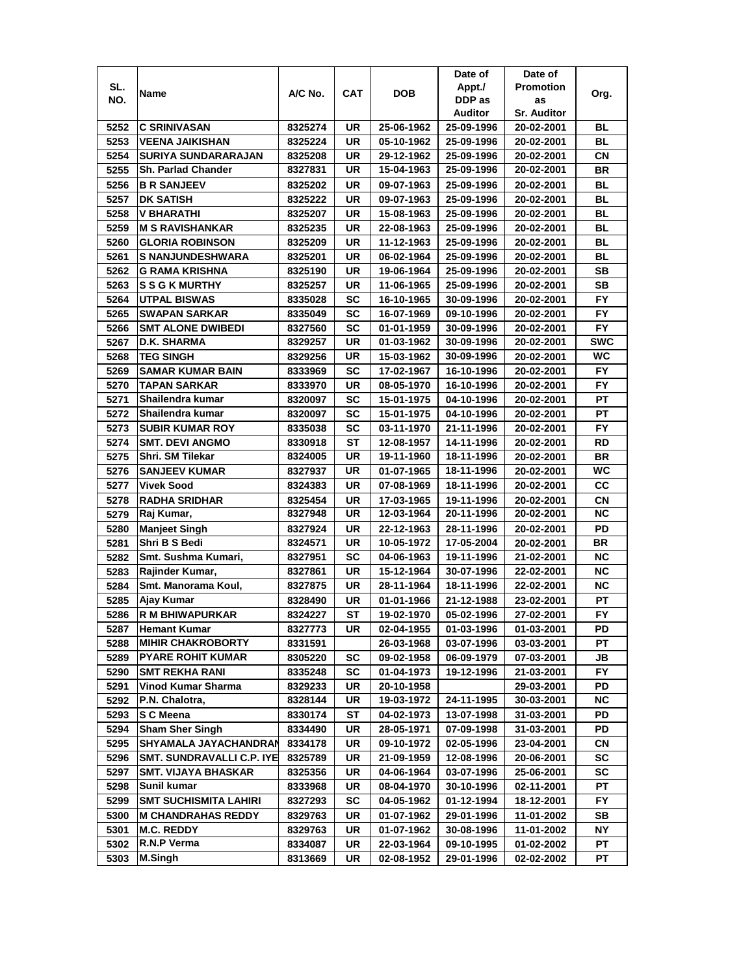|      |                              |         |           |            | Date of        | Date of            |            |
|------|------------------------------|---------|-----------|------------|----------------|--------------------|------------|
| SL.  |                              | A/C No. | CAT       | <b>DOB</b> | Appt./         | <b>Promotion</b>   |            |
| NO.  | Name                         |         |           |            | DDP as         | as                 | Org.       |
|      |                              |         |           |            | <b>Auditor</b> | <b>Sr. Auditor</b> |            |
| 5252 | <b>C SRINIVASAN</b>          | 8325274 | UR        | 25-06-1962 | 25-09-1996     | 20-02-2001         | BL         |
| 5253 | <b>VEENA JAIKISHAN</b>       | 8325224 | UR        | 05-10-1962 | 25-09-1996     | 20-02-2001         | BL         |
| 5254 | SURIYA SUNDARARAJAN          | 8325208 | UR        | 29-12-1962 | 25-09-1996     | 20-02-2001         | СN         |
| 5255 | <b>Sh. Parlad Chander</b>    | 8327831 | UR        | 15-04-1963 | 25-09-1996     | 20-02-2001         | BR         |
| 5256 | <b>B R SANJEEV</b>           | 8325202 | UR        | 09-07-1963 | 25-09-1996     | 20-02-2001         | <b>BL</b>  |
| 5257 | <b>DK SATISH</b>             | 8325222 | UR        | 09-07-1963 | 25-09-1996     | 20-02-2001         | BL         |
| 5258 | V BHARATHI                   | 8325207 | UR        | 15-08-1963 | 25-09-1996     | 20-02-2001         | <b>BL</b>  |
| 5259 | <b>M S RAVISHANKAR</b>       | 8325235 | UR        | 22-08-1963 | 25-09-1996     | 20-02-2001         | BL         |
| 5260 | <b>GLORIA ROBINSON</b>       | 8325209 | UR        | 11-12-1963 | 25-09-1996     | 20-02-2001         | BL         |
| 5261 | <b>S NANJUNDESHWARA</b>      | 8325201 | UR        | 06-02-1964 | 25-09-1996     | 20-02-2001         | BL         |
| 5262 | G RAMA KRISHNA               | 8325190 | UR        | 19-06-1964 | 25-09-1996     | 20-02-2001         | <b>SB</b>  |
| 5263 | <b>SSGKMURTHY</b>            | 8325257 | UR        | 11-06-1965 | 25-09-1996     | 20-02-2001         | SB         |
| 5264 | <b>UTPAL BISWAS</b>          | 8335028 | <b>SC</b> | 16-10-1965 | 30-09-1996     | 20-02-2001         | <b>FY</b>  |
| 5265 | <b>SWAPAN SARKAR</b>         | 8335049 | SC        | 16-07-1969 | 09-10-1996     | 20-02-2001         | FY.        |
| 5266 | <b>SMT ALONE DWIBEDI</b>     | 8327560 | SC        | 01-01-1959 | 30-09-1996     | 20-02-2001         | FY         |
| 5267 | D.K. SHARMA                  | 8329257 | UR        | 01-03-1962 | 30-09-1996     | 20-02-2001         | <b>SWC</b> |
| 5268 | <b>TEG SINGH</b>             | 8329256 | UR        | 15-03-1962 | 30-09-1996     | 20-02-2001         | WC         |
| 5269 | <b>SAMAR KUMAR BAIN</b>      | 8333969 | SC        | 17-02-1967 | 16-10-1996     | 20-02-2001         | FY.        |
| 5270 | <b>TAPAN SARKAR</b>          | 8333970 | UR        | 08-05-1970 | 16-10-1996     | 20-02-2001         | FY.        |
| 5271 | Shailendra kumar             | 8320097 | SC        | 15-01-1975 | 04-10-1996     | 20-02-2001         | РT         |
| 5272 | Shailendra kumar             | 8320097 | SC        | 15-01-1975 | 04-10-1996     | 20-02-2001         | PT         |
| 5273 | <b>SUBIR KUMAR ROY</b>       | 8335038 | SC        | 03-11-1970 | 21-11-1996     | 20-02-2001         | FY.        |
| 5274 | <b>SMT. DEVI ANGMO</b>       | 8330918 | ST        | 12-08-1957 | 14-11-1996     | 20-02-2001         | RD         |
| 5275 | Shri. SM Tilekar             | 8324005 | UR        | 19-11-1960 | 18-11-1996     | 20-02-2001         | BR         |
| 5276 | <b>SANJEEV KUMAR</b>         | 8327937 | UR        | 01-07-1965 | 18-11-1996     | 20-02-2001         | WC.        |
| 5277 | <b>Vivek Sood</b>            | 8324383 | UR        | 07-08-1969 | 18-11-1996     | 20-02-2001         | CС         |
| 5278 | <b>RADHA SRIDHAR</b>         | 8325454 | UR        | 17-03-1965 | 19-11-1996     | 20-02-2001         | CN         |
| 5279 | Raj Kumar,                   | 8327948 | UR        | 12-03-1964 | 20-11-1996     | 20-02-2001         | <b>NC</b>  |
| 5280 | <b>Manjeet Singh</b>         | 8327924 | UR        | 22-12-1963 | 28-11-1996     | 20-02-2001         | PD         |
| 5281 | Shri B S Bedi                | 8324571 | UR        | 10-05-1972 | 17-05-2004     | 20-02-2001         | <b>BR</b>  |
| 5282 | Smt. Sushma Kumari,          | 8327951 | SC        | 04-06-1963 | 19-11-1996     | 21-02-2001         | <b>NC</b>  |
| 5283 | Rajinder Kumar,              | 8327861 | UR        | 15-12-1964 | 30-07-1996     | 22-02-2001         | <b>NC</b>  |
| 5284 | Smt. Manorama Koul,          | 8327875 | UR        | 28-11-1964 | 18-11-1996     | 22-02-2001         | ΝC         |
| 5285 | Ajay Kumar                   | 8328490 | UR        | 01-01-1966 | 21-12-1988     | 23-02-2001         | PT         |
| 5286 | R M BHIWAPURKAR              | 8324227 | ST        | 19-02-1970 | 05-02-1996     | 27-02-2001         | FY         |
| 5287 | <b>Hemant Kumar</b>          | 8327773 | UR        | 02-04-1955 | 01-03-1996     | 01-03-2001         | PD         |
| 5288 | <b>MIHIR CHAKROBORTY</b>     | 8331591 |           | 26-03-1968 | 03-07-1996     | 03-03-2001         | РT         |
| 5289 | <b>PYARE ROHIT KUMAR</b>     | 8305220 | <b>SC</b> | 09-02-1958 | 06-09-1979     | 07-03-2001         | JB         |
| 5290 | <b>SMT REKHA RANI</b>        | 8335248 | <b>SC</b> | 01-04-1973 | 19-12-1996     | 21-03-2001         | FY.        |
| 5291 | Vinod Kumar Sharma           | 8329233 | UR        | 20-10-1958 |                | 29-03-2001         | PD         |
| 5292 | P.N. Chalotra,               | 8328144 | UR        | 19-03-1972 | 24-11-1995     | 30-03-2001         | NC.        |
| 5293 | S C Meena                    | 8330174 | ST        | 04-02-1973 | 13-07-1998     | 31-03-2001         | PD         |
| 5294 | <b>Sham Sher Singh</b>       | 8334490 | UR        | 28-05-1971 | 07-09-1998     | 31-03-2001         | PD         |
| 5295 | SHYAMALA JAYACHANDRAN        | 8334178 | UR        | 09-10-1972 | 02-05-1996     | 23-04-2001         | CN         |
| 5296 | SMT. SUNDRAVALLI C.P. IYE    | 8325789 | UR        | 21-09-1959 | 12-08-1996     | 20-06-2001         | SC         |
| 5297 | <b>SMT. VIJAYA BHASKAR</b>   | 8325356 | UR        | 04-06-1964 | 03-07-1996     | 25-06-2001         | SC         |
| 5298 | Sunil kumar                  | 8333968 | UR        | 08-04-1970 | 30-10-1996     | 02-11-2001         | PT         |
| 5299 | <b>SMT SUCHISMITA LAHIRI</b> | 8327293 | <b>SC</b> | 04-05-1962 | 01-12-1994     | 18-12-2001         | FY         |
| 5300 | <b>M CHANDRAHAS REDDY</b>    | 8329763 | UR        | 01-07-1962 | 29-01-1996     | 11-01-2002         | SB         |
| 5301 | <b>M.C. REDDY</b>            | 8329763 | UR        | 01-07-1962 | 30-08-1996     | 11-01-2002         | NΥ         |
| 5302 | R.N.P Verma                  | 8334087 | UR        | 22-03-1964 | 09-10-1995     | 01-02-2002         | PТ         |
| 5303 | <b>M.Singh</b>               | 8313669 | UR        | 02-08-1952 | 29-01-1996     | 02-02-2002         | PТ         |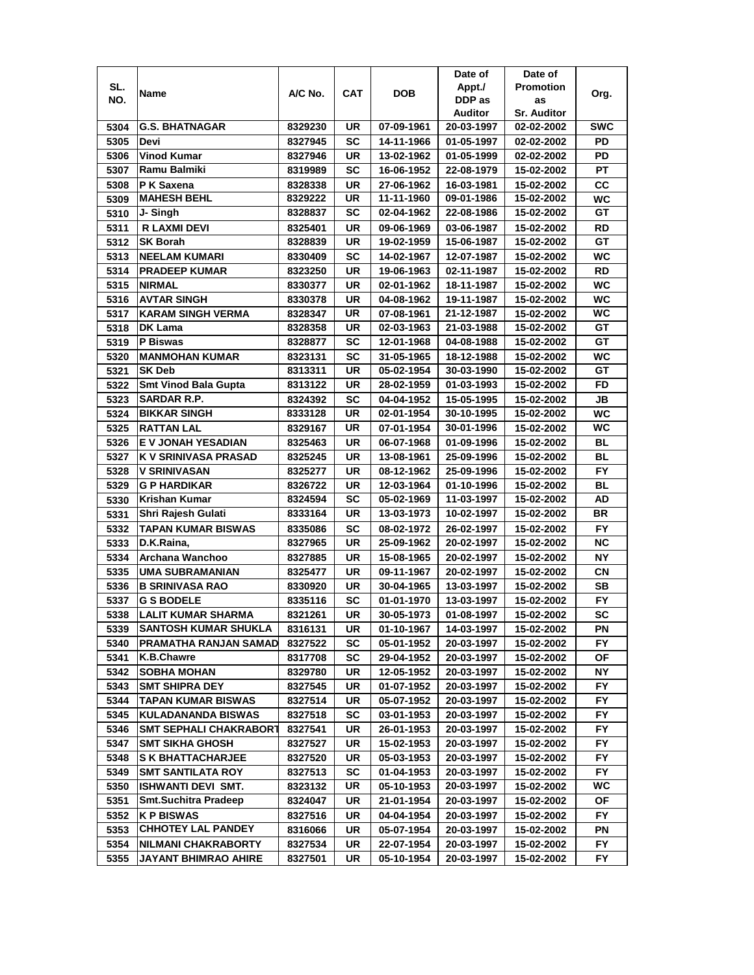|      |                             |         |           |            | Date of    | Date of                  |            |
|------|-----------------------------|---------|-----------|------------|------------|--------------------------|------------|
| SL.  | Name                        | A/C No. | CAT       | DOB        | Appt./     | <b>Promotion</b>         | Org.       |
| NO.  |                             |         |           |            | DDP as     | as                       |            |
|      |                             |         |           |            | Auditor    | <b>Sr. Auditor</b>       |            |
| 5304 | <b>G.S. BHATNAGAR</b>       | 8329230 | UR        | 07-09-1961 | 20-03-1997 | 02-02-2002               | <b>SWC</b> |
| 5305 | Devi                        | 8327945 | SC        | 14-11-1966 | 01-05-1997 | 02-02-2002               | PD         |
| 5306 | <b>Vinod Kumar</b>          | 8327946 | UR        | 13-02-1962 | 01-05-1999 | 02-02-2002               | PD         |
| 5307 | Ramu Balmiki                | 8319989 | SC        | 16-06-1952 | 22-08-1979 | 15-02-2002               | PT         |
| 5308 | P K Saxena                  | 8328338 | UR        | 27-06-1962 | 16-03-1981 | 15-02-2002               | cc         |
| 5309 | <b>MAHESH BEHL</b>          | 8329222 | UR        | 11-11-1960 | 09-01-1986 | 15-02-2002               | WC         |
| 5310 | J- Singh                    | 8328837 | SC        | 02-04-1962 | 22-08-1986 | 15-02-2002               | GТ         |
| 5311 | <b>R LAXMI DEVI</b>         | 8325401 | UR        | 09-06-1969 | 03-06-1987 | 15-02-2002               | RD         |
| 5312 | <b>SK Borah</b>             | 8328839 | UR        | 19-02-1959 | 15-06-1987 | 15-02-2002               | GТ         |
| 5313 | <b>NEELAM KUMARI</b>        | 8330409 | SC        | 14-02-1967 | 12-07-1987 | 15-02-2002               | WC         |
| 5314 | <b>PRADEEP KUMAR</b>        | 8323250 | UR        | 19-06-1963 | 02-11-1987 | 15-02-2002               | <b>RD</b>  |
| 5315 | <b>NIRMAL</b>               | 8330377 | UR        | 02-01-1962 | 18-11-1987 | 15-02-2002               | <b>WC</b>  |
| 5316 | <b>AVTAR SINGH</b>          | 8330378 | UR        | 04-08-1962 | 19-11-1987 | 15-02-2002               | <b>WC</b>  |
| 5317 | <b>KARAM SINGH VERMA</b>    | 8328347 | UR        | 07-08-1961 | 21-12-1987 | 15-02-2002               | WC         |
| 5318 | DK Lama                     | 8328358 | UR        | 02-03-1963 | 21-03-1988 | 15-02-2002               | GT         |
| 5319 | P Biswas                    | 8328877 | SC        | 12-01-1968 | 04-08-1988 | 15-02-2002               | GT         |
| 5320 | <b>MANMOHAN KUMAR</b>       | 8323131 | SC        | 31-05-1965 |            |                          | WC         |
|      | <b>SK Deb</b>               |         | UR        | 05-02-1954 | 18-12-1988 | 15-02-2002<br>15-02-2002 | GТ         |
| 5321 |                             | 8313311 | <b>UR</b> |            | 30-03-1990 |                          | <b>FD</b>  |
| 5322 | <b>Smt Vinod Bala Gupta</b> | 8313122 |           | 28-02-1959 | 01-03-1993 | 15-02-2002               |            |
| 5323 | SARDAR R.P.                 | 8324392 | SC        | 04-04-1952 | 15-05-1995 | 15-02-2002               | JВ         |
| 5324 | <b>BIKKAR SINGH</b>         | 8333128 | <b>UR</b> | 02-01-1954 | 30-10-1995 | 15-02-2002               | WC         |
| 5325 | <b>RATTAN LAL</b>           | 8329167 | UR        | 07-01-1954 | 30-01-1996 | 15-02-2002               | <b>WC</b>  |
| 5326 | E V JONAH YESADIAN          | 8325463 | UR        | 06-07-1968 | 01-09-1996 | 15-02-2002               | <b>BL</b>  |
| 5327 | K V SRINIVASA PRASAD        | 8325245 | UR        | 13-08-1961 | 25-09-1996 | 15-02-2002               | <b>BL</b>  |
| 5328 | <b>V SRINIVASAN</b>         | 8325277 | UR        | 08-12-1962 | 25-09-1996 | 15-02-2002               | <b>FY</b>  |
| 5329 | G P HARDIKAR                | 8326722 | UR        | 12-03-1964 | 01-10-1996 | 15-02-2002               | <b>BL</b>  |
| 5330 | <b>Krishan Kumar</b>        | 8324594 | SC        | 05-02-1969 | 11-03-1997 | 15-02-2002               | AD         |
| 5331 | Shri Rajesh Gulati          | 8333164 | UR        | 13-03-1973 | 10-02-1997 | 15-02-2002               | <b>BR</b>  |
| 5332 | <b>TAPAN KUMAR BISWAS</b>   | 8335086 | <b>SC</b> | 08-02-1972 | 26-02-1997 | 15-02-2002               | FY         |
| 5333 | D.K.Raina,                  | 8327965 | UR        | 25-09-1962 | 20-02-1997 | 15-02-2002               | <b>NC</b>  |
| 5334 | Archana Wanchoo             | 8327885 | UR        | 15-08-1965 | 20-02-1997 | 15-02-2002               | <b>NY</b>  |
| 5335 | <b>UMA SUBRAMANIAN</b>      | 8325477 | UR        | 09-11-1967 | 20-02-1997 | 15-02-2002               | СN         |
| 5336 | <b>B SRINIVASA RAO</b>      | 8330920 | UR        | 30-04-1965 | 13-03-1997 | 15-02-2002               | SВ         |
| 5337 | <b>G S BODELE</b>           | 8335116 | SC        | 01-01-1970 | 13-03-1997 | 15-02-2002               | FY.        |
| 5338 | <b>LALIT KUMAR SHARMA</b>   | 8321261 | UR        | 30-05-1973 | 01-08-1997 | 15-02-2002               | <b>SC</b>  |
| 5339 | <b>SANTOSH KUMAR SHUKLA</b> | 8316131 | UR        | 01-10-1967 | 14-03-1997 | 15-02-2002               | PN         |
| 5340 | PRAMATHA RANJAN SAMAD       | 8327522 | SC        | 05-01-1952 | 20-03-1997 | 15-02-2002               | FY.        |
| 5341 | K.B.Chawre                  | 8317708 | SC        | 29-04-1952 | 20-03-1997 | 15-02-2002               | ОF         |
| 5342 | <b>SOBHA MOHAN</b>          | 8329780 | UR        | 12-05-1952 | 20-03-1997 | 15-02-2002               | NΥ         |
| 5343 | <b>SMT SHIPRA DEY</b>       | 8327545 | UR        | 01-07-1952 | 20-03-1997 | 15-02-2002               | FY.        |
| 5344 | TAPAN KUMAR BISWAS          | 8327514 | UR        | 05-07-1952 | 20-03-1997 | 15-02-2002               | FY.        |
| 5345 | <b>KULADANANDA BISWAS</b>   | 8327518 | <b>SC</b> | 03-01-1953 | 20-03-1997 | 15-02-2002               | FY.        |
| 5346 | SMT SEPHALI CHAKRABORT      | 8327541 | UR        | 26-01-1953 | 20-03-1997 | 15-02-2002               | <b>FY</b>  |
| 5347 | <b>SMT SIKHA GHOSH</b>      | 8327527 | UR        | 15-02-1953 | 20-03-1997 | 15-02-2002               | FY         |
| 5348 | <b>S K BHATTACHARJEE</b>    | 8327520 | UR        | 05-03-1953 | 20-03-1997 | 15-02-2002               | FY         |
| 5349 | <b>SMT SANTILATA ROY</b>    | 8327513 | <b>SC</b> | 01-04-1953 | 20-03-1997 | 15-02-2002               | <b>FY</b>  |
| 5350 | ISHWANTI DEVI SMT.          | 8323132 | UR        | 05-10-1953 | 20-03-1997 | 15-02-2002               | WC         |
| 5351 | <b>Smt.Suchitra Pradeep</b> |         | UR        |            |            |                          | ΟF         |
|      |                             | 8324047 |           | 21-01-1954 | 20-03-1997 | 15-02-2002               |            |
| 5352 | <b>KP BISWAS</b>            | 8327516 | UR        | 04-04-1954 | 20-03-1997 | 15-02-2002               | FY.        |
| 5353 | <b>CHHOTEY LAL PANDEY</b>   | 8316066 | UR        | 05-07-1954 | 20-03-1997 | 15-02-2002               | PN         |
| 5354 | NILMANI CHAKRABORTY         | 8327534 | UR        | 22-07-1954 | 20-03-1997 | 15-02-2002               | FΥ         |
| 5355 | JAYANT BHIMRAO AHIRE        | 8327501 | UR        | 05-10-1954 | 20-03-1997 | 15-02-2002               | FY         |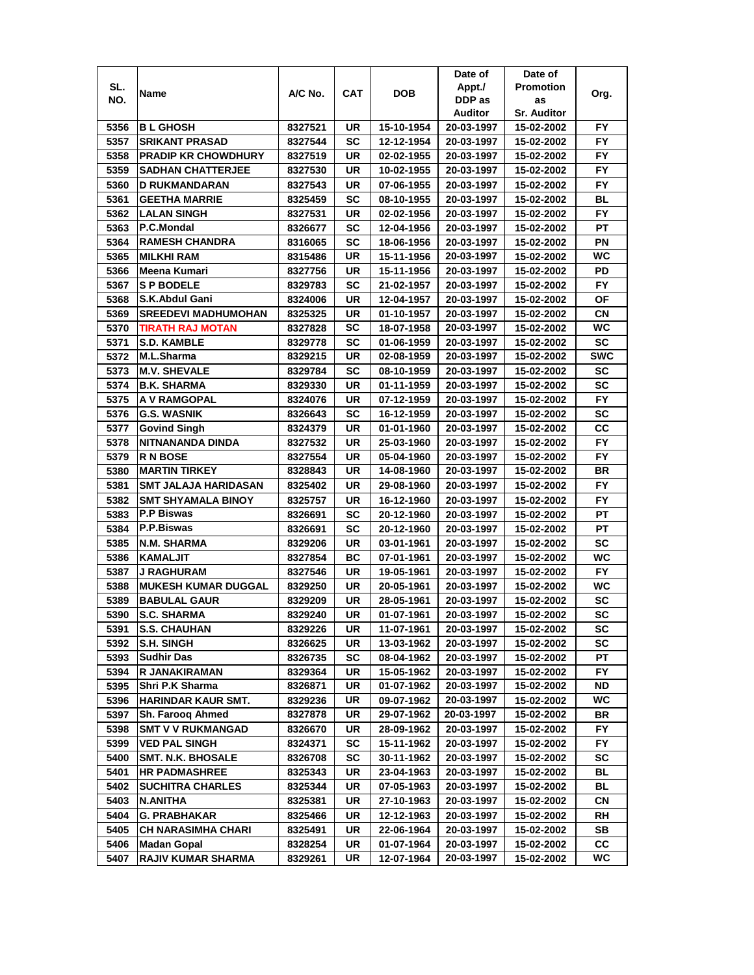|      |                             |         |           |            | Date of    | Date of            |            |
|------|-----------------------------|---------|-----------|------------|------------|--------------------|------------|
| SL.  | Name                        | A/C No. | CAT       | DOB        | Appt./     | <b>Promotion</b>   | Org.       |
| NO.  |                             |         |           |            | DDP as     | as                 |            |
|      |                             |         |           |            | Auditor    | <b>Sr. Auditor</b> |            |
| 5356 | <b>BL GHOSH</b>             | 8327521 | UR        | 15-10-1954 | 20-03-1997 | 15-02-2002         | FY.        |
| 5357 | <b>SRIKANT PRASAD</b>       | 8327544 | SC        | 12-12-1954 | 20-03-1997 | 15-02-2002         | <b>FY</b>  |
| 5358 | <b>PRADIP KR CHOWDHURY</b>  | 8327519 | UR        | 02-02-1955 | 20-03-1997 | 15-02-2002         | FY         |
| 5359 | <b>SADHAN CHATTERJEE</b>    | 8327530 | UR        | 10-02-1955 | 20-03-1997 | 15-02-2002         | FY         |
| 5360 | D RUKMANDARAN               | 8327543 | UR        | 07-06-1955 | 20-03-1997 | 15-02-2002         | FY         |
| 5361 | <b>GEETHA MARRIE</b>        | 8325459 | SC        | 08-10-1955 | 20-03-1997 | 15-02-2002         | <b>BL</b>  |
| 5362 | <b>LALAN SINGH</b>          | 8327531 | UR        | 02-02-1956 | 20-03-1997 | 15-02-2002         | FY.        |
| 5363 | P.C.Mondal                  | 8326677 | SC        | 12-04-1956 | 20-03-1997 | 15-02-2002         | PT         |
| 5364 | <b>RAMESH CHANDRA</b>       | 8316065 | SC        | 18-06-1956 | 20-03-1997 | 15-02-2002         | ΡN         |
| 5365 | <b>MILKHI RAM</b>           | 8315486 | UR        | 15-11-1956 | 20-03-1997 | 15-02-2002         | WC         |
| 5366 | Meena Kumari                | 8327756 | UR        | 15-11-1956 | 20-03-1997 | 15-02-2002         | PD         |
| 5367 | <b>SP BODELE</b>            | 8329783 | SC        | 21-02-1957 | 20-03-1997 | 15-02-2002         | <b>FY</b>  |
| 5368 | S.K.Abdul Gani              | 8324006 | UR        | 12-04-1957 | 20-03-1997 | 15-02-2002         | ΟF         |
| 5369 | <b>SREEDEVI MADHUMOHAN</b>  | 8325325 | UR        | 01-10-1957 | 20-03-1997 | 15-02-2002         | СN         |
| 5370 | <b>TIRATH RAJ MOTAN</b>     | 8327828 | SC        | 18-07-1958 | 20-03-1997 | 15-02-2002         | WC         |
| 5371 | <b>S.D. KAMBLE</b>          | 8329778 | SC        | 01-06-1959 | 20-03-1997 | 15-02-2002         | <b>SC</b>  |
| 5372 | M.L.Sharma                  | 8329215 | UR        | 02-08-1959 | 20-03-1997 | 15-02-2002         | <b>SWC</b> |
| 5373 | <b>M.V. SHEVALE</b>         | 8329784 | SC        | 08-10-1959 | 20-03-1997 | 15-02-2002         | SC         |
| 5374 | <b>B.K. SHARMA</b>          | 8329330 | UR        | 01-11-1959 | 20-03-1997 | 15-02-2002         | SC         |
| 5375 | A V RAMGOPAL                | 8324076 | UR        | 07-12-1959 | 20-03-1997 | 15-02-2002         | <b>FY</b>  |
| 5376 | <b>G.S. WASNIK</b>          | 8326643 | SC        | 16-12-1959 | 20-03-1997 | 15-02-2002         | <b>SC</b>  |
| 5377 | <b>Govind Singh</b>         | 8324379 | UR        | 01-01-1960 | 20-03-1997 | 15-02-2002         | cc         |
| 5378 | NITNANANDA DINDA            | 8327532 | UR        | 25-03-1960 | 20-03-1997 | 15-02-2002         | FY         |
| 5379 | <b>RN BOSE</b>              | 8327554 | UR        | 05-04-1960 | 20-03-1997 | 15-02-2002         | FY.        |
| 5380 | <b>MARTIN TIRKEY</b>        | 8328843 | UR        | 14-08-1960 | 20-03-1997 | 15-02-2002         | <b>BR</b>  |
| 5381 | <b>SMT JALAJA HARIDASAN</b> | 8325402 | UR        | 29-08-1960 | 20-03-1997 | 15-02-2002         | FY.        |
| 5382 | <b>SMT SHYAMALA BINOY</b>   | 8325757 | UR        | 16-12-1960 | 20-03-1997 | 15-02-2002         | <b>FY</b>  |
| 5383 | <b>P.P Biswas</b>           | 8326691 | SC        | 20-12-1960 | 20-03-1997 | 15-02-2002         | PT         |
| 5384 | P.P.Biswas                  | 8326691 | SC        | 20-12-1960 | 20-03-1997 | 15-02-2002         | PT         |
| 5385 | N.M. SHARMA                 | 8329206 | UR        | 03-01-1961 | 20-03-1997 | 15-02-2002         | SC         |
| 5386 | <b>KAMALJIT</b>             | 8327854 | ВC        | 07-01-1961 | 20-03-1997 | 15-02-2002         | WC         |
| 5387 | <b>J RAGHURAM</b>           | 8327546 | UR        | 19-05-1961 | 20-03-1997 | 15-02-2002         | FY.        |
| 5388 | <b>MUKESH KUMAR DUGGAL</b>  | 8329250 | UR        | 20-05-1961 | 20-03-1997 | 15-02-2002         | WC         |
| 5389 | <b>BABULAL GAUR</b>         | 8329209 | UR        | 28-05-1961 | 20-03-1997 | 15-02-2002         | SC         |
| 5390 | <b>S.C. SHARMA</b>          | 8329240 | UR        | 01-07-1961 | 20-03-1997 | 15-02-2002         | <b>SC</b>  |
| 5391 | <b>S.S. CHAUHAN</b>         | 8329226 | UR        | 11-07-1961 | 20-03-1997 | 15-02-2002         | SC         |
| 5392 | <b>S.H. SINGH</b>           | 8326625 | UR        | 13-03-1962 | 20-03-1997 | 15-02-2002         | SC         |
| 5393 | <b>Sudhir Das</b>           | 8326735 | <b>SC</b> | 08-04-1962 | 20-03-1997 | 15-02-2002         | РT         |
| 5394 | R JANAKIRAMAN               | 8329364 | UR        | 15-05-1962 | 20-03-1997 | 15-02-2002         | FY.        |
| 5395 | Shri P.K Sharma             | 8326871 | UR        | 01-07-1962 | 20-03-1997 | 15-02-2002         | ND         |
| 5396 | HARINDAR KAUR SMT.          | 8329236 | UR        | 09-07-1962 | 20-03-1997 | 15-02-2002         | WC         |
| 5397 | Sh. Farooq Ahmed            | 8327878 | UR        | 29-07-1962 | 20-03-1997 | 15-02-2002         | BR         |
| 5398 | <b>SMT V V RUKMANGAD</b>    | 8326670 | UR        | 28-09-1962 | 20-03-1997 | 15-02-2002         | <b>FY</b>  |
| 5399 | <b>VED PAL SINGH</b>        | 8324371 | <b>SC</b> | 15-11-1962 | 20-03-1997 | 15-02-2002         | FY         |
| 5400 | <b>SMT. N.K. BHOSALE</b>    | 8326708 | <b>SC</b> | 30-11-1962 | 20-03-1997 | 15-02-2002         | SC         |
| 5401 | <b>HR PADMASHREE</b>        | 8325343 | UR        | 23-04-1963 | 20-03-1997 | 15-02-2002         | BL         |
| 5402 | <b>SUCHITRA CHARLES</b>     | 8325344 | UR        | 07-05-1963 | 20-03-1997 | 15-02-2002         | BL         |
| 5403 | N.ANITHA                    | 8325381 | UR        | 27-10-1963 | 20-03-1997 | 15-02-2002         | СN         |
| 5404 | G. PRABHAKAR                | 8325466 | UR        | 12-12-1963 | 20-03-1997 | 15-02-2002         | RH         |
| 5405 | <b>CH NARASIMHA CHARI</b>   | 8325491 | UR        | 22-06-1964 | 20-03-1997 | 15-02-2002         | SB         |
| 5406 | Madan Gopal                 | 8328254 | UR        | 01-07-1964 | 20-03-1997 | 15-02-2002         | CС         |
| 5407 | RAJIV KUMAR SHARMA          | 8329261 | UR        | 12-07-1964 | 20-03-1997 | 15-02-2002         | WC         |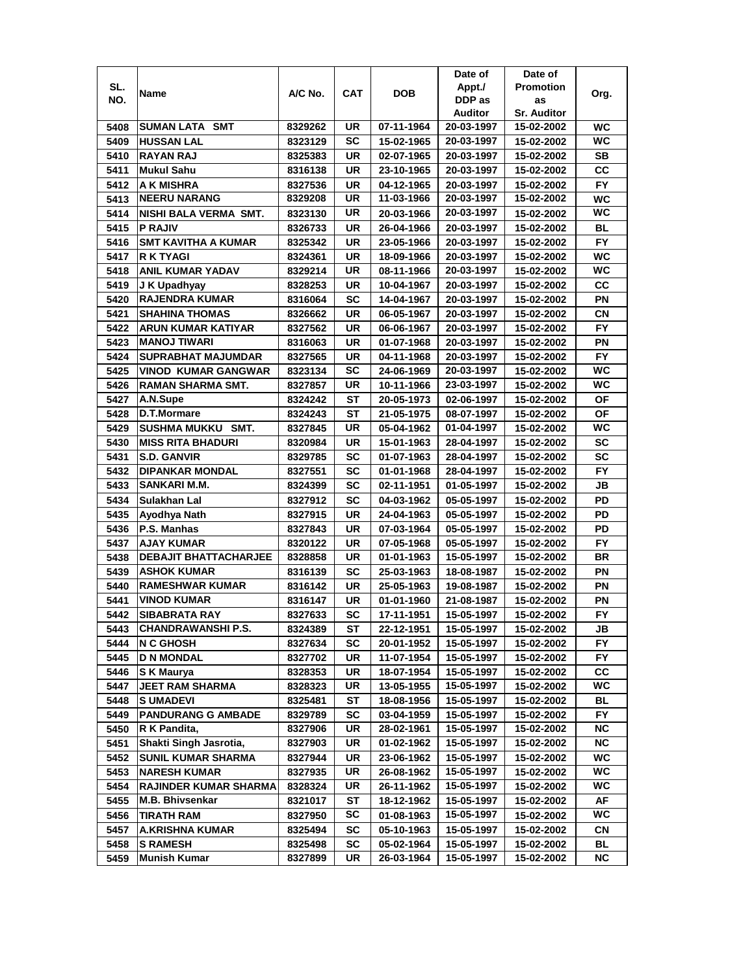|      |                              |         |           |            | Date of    | Date of            |           |
|------|------------------------------|---------|-----------|------------|------------|--------------------|-----------|
| SL.  | Name                         | A/C No. | CAT       | DOB        | Appt./     | <b>Promotion</b>   | Org.      |
| NO.  |                              |         |           |            | DDP as     | as                 |           |
|      |                              |         |           |            | Auditor    | <b>Sr. Auditor</b> |           |
| 5408 | <b>SUMAN LATA SMT</b>        | 8329262 | UR        | 07-11-1964 | 20-03-1997 | 15-02-2002         | WC        |
| 5409 | <b>HUSSAN LAL</b>            | 8323129 | SC        | 15-02-1965 | 20-03-1997 | 15-02-2002         | WC        |
| 5410 | <b>RAYAN RAJ</b>             | 8325383 | UR        | 02-07-1965 | 20-03-1997 | 15-02-2002         | SВ        |
| 5411 | <b>Mukul Sahu</b>            | 8316138 | UR        | 23-10-1965 | 20-03-1997 | 15-02-2002         | cc        |
| 5412 | A K MISHRA                   | 8327536 | UR        | 04-12-1965 | 20-03-1997 | 15-02-2002         | FY        |
| 5413 | <b>NEERU NARANG</b>          | 8329208 | UR        | 11-03-1966 | 20-03-1997 | 15-02-2002         | WC        |
| 5414 | NISHI BALA VERMA SMT.        | 8323130 | UR        | 20-03-1966 | 20-03-1997 | 15-02-2002         | WC        |
| 5415 | <b>P RAJIV</b>               | 8326733 | UR        | 26-04-1966 | 20-03-1997 | 15-02-2002         | BL        |
| 5416 | <b>SMT KAVITHA A KUMAR</b>   | 8325342 | UR        | 23-05-1966 | 20-03-1997 | 15-02-2002         | <b>FY</b> |
| 5417 | R K TYAGI                    | 8324361 | UR        | 18-09-1966 | 20-03-1997 | 15-02-2002         | <b>WC</b> |
| 5418 | <b>ANIL KUMAR YADAV</b>      | 8329214 | UR        | 08-11-1966 | 20-03-1997 | 15-02-2002         | WC        |
| 5419 | J K Upadhyay                 | 8328253 | UR        | 10-04-1967 | 20-03-1997 | 15-02-2002         | CC        |
| 5420 | <b>RAJENDRA KUMAR</b>        | 8316064 | SC        | 14-04-1967 | 20-03-1997 | 15-02-2002         | PN        |
| 5421 | <b>SHAHINA THOMAS</b>        | 8326662 | UR        | 06-05-1967 | 20-03-1997 | 15-02-2002         | <b>CN</b> |
| 5422 | ARUN KUMAR KATIYAR           | 8327562 | UR        | 06-06-1967 | 20-03-1997 | 15-02-2002         | FY.       |
| 5423 | <b>MANOJ TIWARI</b>          | 8316063 | UR        | 01-07-1968 | 20-03-1997 | 15-02-2002         | ΡN        |
| 5424 | <b>SUPRABHAT MAJUMDAR</b>    | 8327565 | UR        | 04-11-1968 | 20-03-1997 | 15-02-2002         | FY.       |
| 5425 | VINOD KUMAR GANGWAR          | 8323134 | SC        | 24-06-1969 | 20-03-1997 | 15-02-2002         | WC        |
| 5426 | RAMAN SHARMA SMT.            | 8327857 | UR        | 10-11-1966 | 23-03-1997 | 15-02-2002         | WC        |
| 5427 | A.N.Supe                     | 8324242 | ST        | 20-05-1973 | 02-06-1997 | 15-02-2002         | OF        |
| 5428 | <b>D.T.Mormare</b>           | 8324243 | ST        | 21-05-1975 | 08-07-1997 | 15-02-2002         | ΟF        |
| 5429 | SUSHMA MUKKU SMT.            | 8327845 | UR        | 05-04-1962 | 01-04-1997 | 15-02-2002         | <b>WC</b> |
| 5430 | <b>MISS RITA BHADURI</b>     | 8320984 | UR        | 15-01-1963 | 28-04-1997 | 15-02-2002         | <b>SC</b> |
| 5431 | <b>S.D. GANVIR</b>           | 8329785 | SC        | 01-07-1963 | 28-04-1997 | 15-02-2002         | <b>SC</b> |
| 5432 | <b>DIPANKAR MONDAL</b>       | 8327551 | SC        | 01-01-1968 | 28-04-1997 | 15-02-2002         | <b>FY</b> |
| 5433 | SANKARI M.M.                 | 8324399 | SC        | 02-11-1951 | 01-05-1997 | 15-02-2002         | JB        |
| 5434 | Sulakhan Lal                 | 8327912 | <b>SC</b> | 04-03-1962 | 05-05-1997 | 15-02-2002         | PD        |
| 5435 | Ayodhya Nath                 | 8327915 | UR        | 24-04-1963 | 05-05-1997 | 15-02-2002         | PD        |
| 5436 | P.S. Manhas                  | 8327843 | UR        | 07-03-1964 | 05-05-1997 | 15-02-2002         | PD        |
| 5437 | <b>AJAY KUMAR</b>            | 8320122 | UR        | 07-05-1968 | 05-05-1997 | 15-02-2002         | <b>FY</b> |
| 5438 | <b>DEBAJIT BHATTACHARJEE</b> | 8328858 | UR        | 01-01-1963 | 15-05-1997 | 15-02-2002         | BR        |
| 5439 | <b>ASHOK KUMAR</b>           | 8316139 | SC        | 25-03-1963 | 18-08-1987 | 15-02-2002         | ΡN        |
| 5440 | <b>RAMESHWAR KUMAR</b>       | 8316142 | UR        | 25-05-1963 | 19-08-1987 | 15-02-2002         | ΡN        |
| 5441 | <b>VINOD KUMAR</b>           | 8316147 | UR        | 01-01-1960 | 21-08-1987 | 15-02-2002         | ΡN        |
| 5442 | <b>SIBABRATA RAY</b>         | 8327633 | <b>SC</b> | 17-11-1951 | 15-05-1997 | 15-02-2002         | <b>FY</b> |
| 5443 | <b>CHANDRAWANSHI P.S.</b>    | 8324389 | ST        | 22-12-1951 | 15-05-1997 | 15-02-2002         | JB        |
| 5444 | <b>N C GHOSH</b>             | 8327634 | SC        | 20-01-1952 | 15-05-1997 | 15-02-2002         | FY.       |
| 5445 | <b>D N MONDAL</b>            | 8327702 | UR        | 11-07-1954 | 15-05-1997 | 15-02-2002         | FY.       |
| 5446 | S K Maurya                   | 8328353 | UR        | 18-07-1954 | 15-05-1997 | 15-02-2002         | CC        |
| 5447 | <b>JEET RAM SHARMA</b>       | 8328323 | UR        | 13-05-1955 | 15-05-1997 | 15-02-2002         | WC.       |
| 5448 | <b>SUMADEVI</b>              | 8325481 | ST        | 18-08-1956 | 15-05-1997 | 15-02-2002         | BL        |
| 5449 | <b>PANDURANG G AMBADE</b>    | 8329789 | <b>SC</b> | 03-04-1959 | 15-05-1997 | 15-02-2002         | FY.       |
| 5450 | R K Pandita,                 | 8327906 | UR        | 28-02-1961 | 15-05-1997 | 15-02-2002         | <b>NC</b> |
| 5451 | Shakti Singh Jasrotia,       | 8327903 | UR        | 01-02-1962 | 15-05-1997 | 15-02-2002         | <b>NC</b> |
| 5452 | <b>SUNIL KUMAR SHARMA</b>    | 8327944 | UR        | 23-06-1962 | 15-05-1997 | 15-02-2002         | WC        |
| 5453 | <b>NARESH KUMAR</b>          | 8327935 | UR        | 26-08-1962 | 15-05-1997 | 15-02-2002         | WC        |
| 5454 | <b>RAJINDER KUMAR SHARMA</b> | 8328324 | UR        | 26-11-1962 | 15-05-1997 | 15-02-2002         | WC        |
| 5455 | <b>M.B. Bhivsenkar</b>       | 8321017 | ST        | 18-12-1962 | 15-05-1997 | 15-02-2002         | AF        |
| 5456 | TIRATH RAM                   | 8327950 | SC        | 01-08-1963 | 15-05-1997 | 15-02-2002         | WC.       |
| 5457 | <b>A.KRISHNA KUMAR</b>       | 8325494 | SC        | 05-10-1963 | 15-05-1997 | 15-02-2002         | CN        |
| 5458 | <b>S RAMESH</b>              | 8325498 | SC        | 05-02-1964 | 15-05-1997 | 15-02-2002         | BL        |
| 5459 | <b>Munish Kumar</b>          | 8327899 | UR        | 26-03-1964 | 15-05-1997 | 15-02-2002         | ΝC        |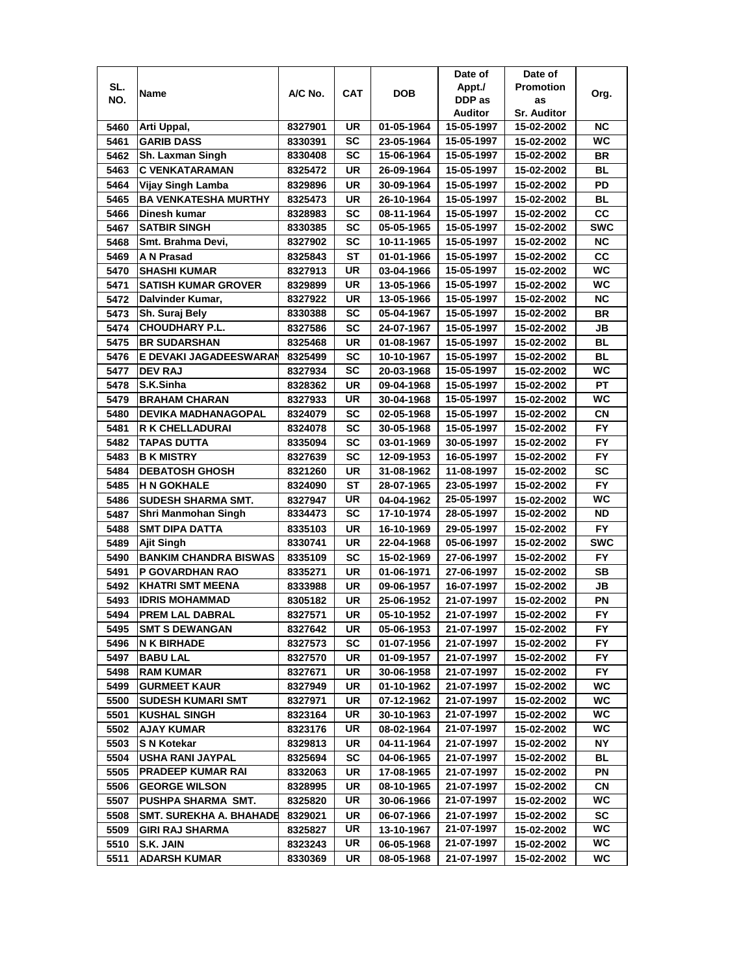|              |                                              |                    |                 |                          | Date of                  | Date of                  |                  |
|--------------|----------------------------------------------|--------------------|-----------------|--------------------------|--------------------------|--------------------------|------------------|
| SL.          | Name                                         | A/C No.            | <b>CAT</b>      | <b>DOB</b>               | Appt./                   | <b>Promotion</b>         | Org.             |
| NO.          |                                              |                    |                 |                          | DDP as                   | as                       |                  |
|              |                                              |                    |                 |                          | Auditor                  | <b>Sr. Auditor</b>       |                  |
| 5460         | Arti Uppal,                                  | 8327901            | UR              | 01-05-1964               | 15-05-1997               | 15-02-2002               | ΝC               |
| 5461         | <b>GARIB DASS</b>                            | 8330391            | SC              | 23-05-1964               | 15-05-1997               | 15-02-2002               | WC               |
| 5462         | <b>Sh. Laxman Singh</b>                      | 8330408            | <b>SC</b>       | 15-06-1964               | 15-05-1997               | 15-02-2002               | BR               |
| 5463         | <b>C VENKATARAMAN</b>                        | 8325472            | UR              | 26-09-1964               | 15-05-1997               | 15-02-2002               | BL               |
| 5464         | Vijay Singh Lamba                            | 8329896            | UR              | 30-09-1964               | 15-05-1997               | 15-02-2002               | PD               |
| 5465         | <b>BA VENKATESHA MURTHY</b>                  | 8325473            | <b>UR</b>       | 26-10-1964               | 15-05-1997               | 15-02-2002               | BL               |
| 5466         | Dinesh kumar                                 | 8328983            | SC              | 08-11-1964               | 15-05-1997               | 15-02-2002               | cc               |
| 5467         | <b>SATBIR SINGH</b>                          | 8330385            | <b>SC</b>       | 05-05-1965               | 15-05-1997               | 15-02-2002               | <b>SWC</b>       |
| 5468         | Smt. Brahma Devi,                            | 8327902            | SC              | 10-11-1965               | 15-05-1997               | 15-02-2002               | <b>NC</b>        |
| 5469         | A N Prasad                                   | 8325843            | <b>ST</b>       | 01-01-1966               | 15-05-1997               | 15-02-2002               | cc               |
| 5470         | <b>SHASHI KUMAR</b>                          | 8327913            | UR              | 03-04-1966               | 15-05-1997               | 15-02-2002               | <b>WC</b>        |
| 5471         | <b>SATISH KUMAR GROVER</b>                   | 8329899            | UR              | 13-05-1966               | 15-05-1997               | 15-02-2002               | WC               |
| 5472         | Dalvinder Kumar,                             | 8327922            | <b>UR</b>       | 13-05-1966               | 15-05-1997               | 15-02-2002               | <b>NC</b>        |
| 5473         | Sh. Suraj Bely                               | 8330388            | <b>SC</b>       | 05-04-1967               | 15-05-1997               | 15-02-2002               | BR               |
| 5474         | <b>CHOUDHARY P.L.</b>                        | 8327586            | SC              | 24-07-1967               | 15-05-1997               | 15-02-2002               | JB               |
| 5475         | <b>BR SUDARSHAN</b>                          | 8325468            | UR              | 01-08-1967               | 15-05-1997               | 15-02-2002               | <b>BL</b>        |
| 5476         | E DEVAKI JAGADEESWARAN                       | 8325499            | SC              | 10-10-1967               | 15-05-1997               | 15-02-2002               | BL               |
| 5477         | <b>DEV RAJ</b>                               | 8327934            | SC              | 20-03-1968               | 15-05-1997               | 15-02-2002               | WC               |
| 5478         | S.K.Sinha                                    | 8328362            | UR              |                          | 15-05-1997               |                          | PT               |
| 5479         | <b>BRAHAM CHARAN</b>                         |                    | UR              | 09-04-1968               | 15-05-1997               | 15-02-2002<br>15-02-2002 | WC               |
| 5480         | <b>DEVIKA MADHANAGOPAL</b>                   | 8327933            |                 | 30-04-1968               |                          |                          | <b>CN</b>        |
| 5481         |                                              | 8324079            | SC<br><b>SC</b> | 02-05-1968               | 15-05-1997               | 15-02-2002               | <b>FY</b>        |
|              | <b>R K CHELLADURAI</b>                       | 8324078            |                 | 30-05-1968               | 15-05-1997               | 15-02-2002               | <b>FY</b>        |
| 5482         | <b>TAPAS DUTTA</b>                           | 8335094            | <b>SC</b>       | 03-01-1969               | 30-05-1997               | 15-02-2002               |                  |
| 5483         | <b>B K MISTRY</b>                            | 8327639            | SC              | 12-09-1953               | 16-05-1997               | 15-02-2002               | <b>FY</b>        |
| 5484         | <b>DEBATOSH GHOSH</b>                        | 8321260            | UR              | 31-08-1962               | 11-08-1997               | 15-02-2002               | <b>SC</b>        |
| 5485         | <b>H N GOKHALE</b>                           | 8324090            | ST              | 28-07-1965               | 23-05-1997               | 15-02-2002               | <b>FY</b><br>WC  |
| 5486<br>5487 | SUDESH SHARMA SMT.                           | 8327947            | UR<br><b>SC</b> | 04-04-1962<br>17-10-1974 | 25-05-1997<br>28-05-1997 | 15-02-2002               | <b>ND</b>        |
| 5488         | Shri Manmohan Singh<br><b>SMT DIPA DATTA</b> | 8334473<br>8335103 | <b>UR</b>       | 16-10-1969               | 29-05-1997               | 15-02-2002<br>15-02-2002 | <b>FY</b>        |
| 5489         | Ajit Singh                                   | 8330741            | <b>UR</b>       | 22-04-1968               | 05-06-1997               | 15-02-2002               | <b>SWC</b>       |
|              | <b>BANKIM CHANDRA BISWAS</b>                 |                    | <b>SC</b>       | 15-02-1969               | 27-06-1997               |                          | <b>FY</b>        |
| 5490         |                                              | 8335109            |                 |                          |                          | 15-02-2002               |                  |
| 5491         | <b>P GOVARDHAN RAO</b>                       | 8335271            | UR              | 01-06-1971               | 27-06-1997               | 15-02-2002               | SB               |
| 5492         | <b>KHATRI SMT MEENA</b>                      | 8333988            | UR              | 09-06-1957               | 16-07-1997               | 15-02-2002               | JB               |
| 5493         | <b>IDRIS MOHAMMAD</b>                        | 8305182            | UR              | 25-06-1952               | 21-07-1997               | 15-02-2002               | ΡN               |
| 5494         | <b>PREM LAL DABRAL</b>                       | 8327571            | <b>UR</b>       | 05-10-1952               | 21-07-1997               | 15-02-2002               | <b>FY</b>        |
| 5495         | <b>SMT S DEWANGAN</b>                        | 8327642            | UR              | 05-06-1953               | 21-07-1997               | 15-02-2002               | FY.              |
| 5496         | <b>N K BIRHADE</b>                           | 8327573            | SC              | 01-07-1956               | 21-07-1997               | 15-02-2002<br>15-02-2002 | FY.              |
| 5497         | <b>BABU LAL</b>                              | 8327570            | UR              | 01-09-1957               | 21-07-1997               |                          | FY.              |
| 5498         | <b>RAM KUMAR</b>                             | 8327671            | UR              | 30-06-1958               | 21-07-1997               | 15-02-2002               | FY.              |
| 5499         | <b>GURMEET KAUR</b>                          | 8327949            | UR              | 01-10-1962               | 21-07-1997               | 15-02-2002               | WC.              |
| 5500         | <b>SUDESH KUMARI SMT</b>                     | 8327971            | UR              | 07-12-1962               | 21-07-1997               | 15-02-2002               | WC.              |
| 5501         | <b>KUSHAL SINGH</b>                          | 8323164            | UR              | 30-10-1963               | 21-07-1997               | 15-02-2002               | WC.<br><b>WC</b> |
| 5502         | <b>AJAY KUMAR</b>                            | 8323176            | UR              | 08-02-1964               | 21-07-1997               | 15-02-2002               |                  |
| 5503         | <b>S N Kotekar</b>                           | 8329813            | UR              | 04-11-1964               | 21-07-1997               | 15-02-2002               | ΝY               |
| 5504         | <b>USHA RANI JAYPAL</b>                      | 8325694            | SC              | 04-06-1965               | 21-07-1997               | 15-02-2002               | <b>BL</b>        |
| 5505         | <b>PRADEEP KUMAR RAI</b>                     | 8332063            | UR              | 17-08-1965               | 21-07-1997               | 15-02-2002               | PN               |
| 5506         | <b>GEORGE WILSON</b>                         | 8328995            | UR              | 08-10-1965               | 21-07-1997               | 15-02-2002               | CN               |
| 5507         | PUSHPA SHARMA SMT.                           | 8325820            | UR              | 30-06-1966               | 21-07-1997               | 15-02-2002               | WC               |
| 5508         | <b>SMT. SUREKHA A. BHAHADE</b>               | 8329021            | UR              | 06-07-1966               | 21-07-1997               | 15-02-2002               | sc               |
| 5509         | <b>GIRI RAJ SHARMA</b>                       | 8325827            | UR              | 13-10-1967               | 21-07-1997               | 15-02-2002               | WC.              |
| 5510         | S.K. JAIN                                    | 8323243            | UR              | 06-05-1968               | 21-07-1997               | 15-02-2002               | WC.              |
| 5511         | <b>ADARSH KUMAR</b>                          | 8330369            | UR              | 08-05-1968               | 21-07-1997               | 15-02-2002               | WC               |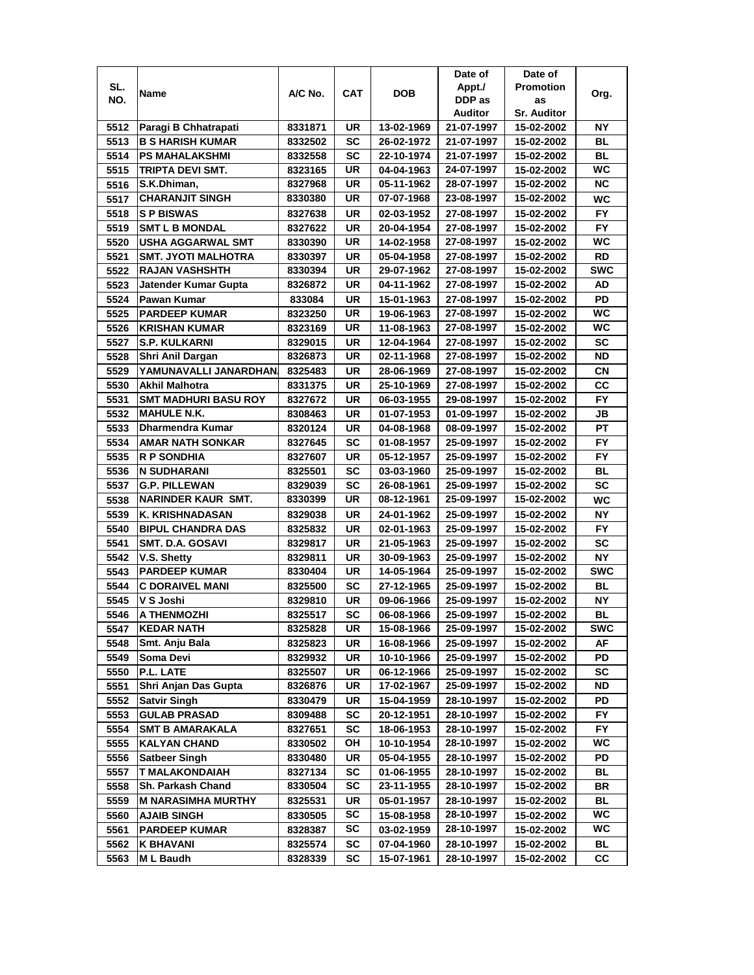|      |                             |         |            |            | Date of    | Date of            |            |
|------|-----------------------------|---------|------------|------------|------------|--------------------|------------|
| SL.  | Name                        | A/C No. | <b>CAT</b> | <b>DOB</b> | Appt./     | <b>Promotion</b>   |            |
| NO.  |                             |         |            |            | DDP as     | as                 | Org.       |
|      |                             |         |            |            | Auditor    | <b>Sr. Auditor</b> |            |
| 5512 | Paragi B Chhatrapati        | 8331871 | UR         | 13-02-1969 | 21-07-1997 | 15-02-2002         | ΝY         |
| 5513 | <b>B S HARISH KUMAR</b>     | 8332502 | SC         | 26-02-1972 | 21-07-1997 | 15-02-2002         | ВL         |
| 5514 | <b>PS MAHALAKSHMI</b>       | 8332558 | SC         | 22-10-1974 | 21-07-1997 | 15-02-2002         | BL         |
| 5515 | TRIPTA DEVI SMT.            | 8323165 | <b>UR</b>  | 04-04-1963 | 24-07-1997 | 15-02-2002         | <b>WC</b>  |
| 5516 | S.K.Dhiman,                 | 8327968 | UR         | 05-11-1962 | 28-07-1997 | 15-02-2002         | <b>NC</b>  |
| 5517 | <b>CHARANJIT SINGH</b>      | 8330380 | UR         | 07-07-1968 | 23-08-1997 | 15-02-2002         | WC         |
| 5518 | <b>SP BISWAS</b>            | 8327638 | UR         | 02-03-1952 | 27-08-1997 | 15-02-2002         | FY.        |
| 5519 | <b>SMT L B MONDAL</b>       | 8327622 | UR         | 20-04-1954 | 27-08-1997 | 15-02-2002         | <b>FY</b>  |
| 5520 | <b>USHA AGGARWAL SMT</b>    | 8330390 | UR         | 14-02-1958 | 27-08-1997 | 15-02-2002         | <b>WC</b>  |
| 5521 | SMT. JYOTI MALHOTRA         | 8330397 | UR         | 05-04-1958 | 27-08-1997 | 15-02-2002         | <b>RD</b>  |
| 5522 | <b>RAJAN VASHSHTH</b>       | 8330394 | UR         | 29-07-1962 | 27-08-1997 | 15-02-2002         | <b>SWC</b> |
| 5523 | Jatender Kumar Gupta        | 8326872 | UR         | 04-11-1962 | 27-08-1997 | 15-02-2002         | AD         |
| 5524 | Pawan Kumar                 | 833084  | UR         | 15-01-1963 | 27-08-1997 | 15-02-2002         | PD         |
| 5525 | <b>PARDEEP KUMAR</b>        | 8323250 | UR         | 19-06-1963 | 27-08-1997 | 15-02-2002         | WC         |
| 5526 | <b>KRISHAN KUMAR</b>        | 8323169 | UR         | 11-08-1963 | 27-08-1997 | 15-02-2002         | WC         |
| 5527 | <b>S.P. KULKARNI</b>        | 8329015 | UR         | 12-04-1964 | 27-08-1997 | 15-02-2002         | SC         |
|      | Shri Anil Dargan            | 8326873 | UR         | 02-11-1968 | 27-08-1997 | 15-02-2002         | ND         |
| 5528 |                             |         |            |            |            |                    |            |
| 5529 | YAMUNAVALLI JANARDHAN.      | 8325483 | UR         | 28-06-1969 | 27-08-1997 | 15-02-2002         | СN         |
| 5530 | Akhil Malhotra              | 8331375 | UR         | 25-10-1969 | 27-08-1997 | 15-02-2002         | CC         |
| 5531 | <b>SMT MADHURI BASU ROY</b> | 8327672 | UR         | 06-03-1955 | 29-08-1997 | 15-02-2002         | <b>FY</b>  |
| 5532 | <b>MAHULE N.K.</b>          | 8308463 | UR         | 01-07-1953 | 01-09-1997 | 15-02-2002         | JВ         |
| 5533 | Dharmendra Kumar            | 8320124 | UR         | 04-08-1968 | 08-09-1997 | 15-02-2002         | PT         |
| 5534 | <b>AMAR NATH SONKAR</b>     | 8327645 | <b>SC</b>  | 01-08-1957 | 25-09-1997 | 15-02-2002         | <b>FY</b>  |
| 5535 | <b>R P SONDHIA</b>          | 8327607 | UR         | 05-12-1957 | 25-09-1997 | 15-02-2002         | <b>FY</b>  |
| 5536 | N SUDHARANI                 | 8325501 | SC         | 03-03-1960 | 25-09-1997 | 15-02-2002         | <b>BL</b>  |
| 5537 | <b>G.P. PILLEWAN</b>        | 8329039 | SC         | 26-08-1961 | 25-09-1997 | 15-02-2002         | <b>SC</b>  |
| 5538 | NARINDER KAUR SMT.          | 8330399 | UR         | 08-12-1961 | 25-09-1997 | 15-02-2002         | WC         |
| 5539 | K. KRISHNADASAN             | 8329038 | <b>UR</b>  | 24-01-1962 | 25-09-1997 | 15-02-2002         | <b>NY</b>  |
| 5540 | <b>BIPUL CHANDRA DAS</b>    | 8325832 | UR         | 02-01-1963 | 25-09-1997 | 15-02-2002         | <b>FY</b>  |
| 5541 | <b>SMT. D.A. GOSAVI</b>     | 8329817 | UR         | 21-05-1963 | 25-09-1997 | 15-02-2002         | <b>SC</b>  |
| 5542 | V.S. Shetty                 | 8329811 | UR         | 30-09-1963 | 25-09-1997 | 15-02-2002         | NΥ         |
| 5543 | <b>PARDEEP KUMAR</b>        | 8330404 | UR         | 14-05-1964 | 25-09-1997 | 15-02-2002         | <b>SWC</b> |
| 5544 | <b>C DORAIVEL MANI</b>      | 8325500 | SC         | 27-12-1965 | 25-09-1997 | 15-02-2002         | BL         |
| 5545 | V S Joshi                   | 8329810 | UR         | 09-06-1966 | 25-09-1997 | 15-02-2002         | ΝY         |
| 5546 | <b>A THENMOZHI</b>          | 8325517 | <b>SC</b>  | 06-08-1966 | 25-09-1997 | 15-02-2002         | ВL         |
| 5547 | <b>KEDAR NATH</b>           | 8325828 | UR         | 15-08-1966 | 25-09-1997 | 15-02-2002         | <b>SWC</b> |
| 5548 | Smt. Anju Bala              | 8325823 | UR         | 16-08-1966 | 25-09-1997 | 15-02-2002         | AF         |
| 5549 | Soma Devi                   | 8329932 | UR         | 10-10-1966 | 25-09-1997 | 15-02-2002         | PD         |
| 5550 | P.L. LATE                   | 8325507 | UR         | 06-12-1966 | 25-09-1997 | 15-02-2002         | <b>SC</b>  |
| 5551 | Shri Anjan Das Gupta        | 8326876 | UR         | 17-02-1967 | 25-09-1997 | 15-02-2002         | ND         |
| 5552 | <b>Satvir Singh</b>         | 8330479 | UR         | 15-04-1959 | 28-10-1997 | 15-02-2002         | PD         |
| 5553 | <b>GULAB PRASAD</b>         | 8309488 | <b>SC</b>  | 20-12-1951 | 28-10-1997 | 15-02-2002         | FY.        |
| 5554 | <b>SMT B AMARAKALA</b>      | 8327651 | <b>SC</b>  | 18-06-1953 | 28-10-1997 | 15-02-2002         | <b>FY</b>  |
| 5555 | <b>KALYAN CHAND</b>         | 8330502 | OH         | 10-10-1954 | 28-10-1997 | 15-02-2002         | WC         |
| 5556 | <b>Satbeer Singh</b>        | 8330480 | UR         | 05-04-1955 | 28-10-1997 | 15-02-2002         | PD         |
| 5557 | <b>T MALAKONDAIAH</b>       | 8327134 | <b>SC</b>  | 01-06-1955 | 28-10-1997 | 15-02-2002         | <b>BL</b>  |
|      | Sh. Parkash Chand           | 8330504 | SC         | 23-11-1955 | 28-10-1997 |                    |            |
| 5558 |                             |         |            |            |            | 15-02-2002         | BR         |
| 5559 | <b>M NARASIMHA MURTHY</b>   | 8325531 | UR         | 05-01-1957 | 28-10-1997 | 15-02-2002         | BL         |
| 5560 | <b>AJAIB SINGH</b>          | 8330505 | SC         | 15-08-1958 | 28-10-1997 | 15-02-2002         | WC.        |
| 5561 | <b>PARDEEP KUMAR</b>        | 8328387 | SC         | 03-02-1959 | 28-10-1997 | 15-02-2002         | WC         |
| 5562 | K BHAVANI                   | 8325574 | SC         | 07-04-1960 | 28-10-1997 | 15-02-2002         | BL         |
| 5563 | M L Baudh                   | 8328339 | SC         | 15-07-1961 | 28-10-1997 | 15-02-2002         | СC         |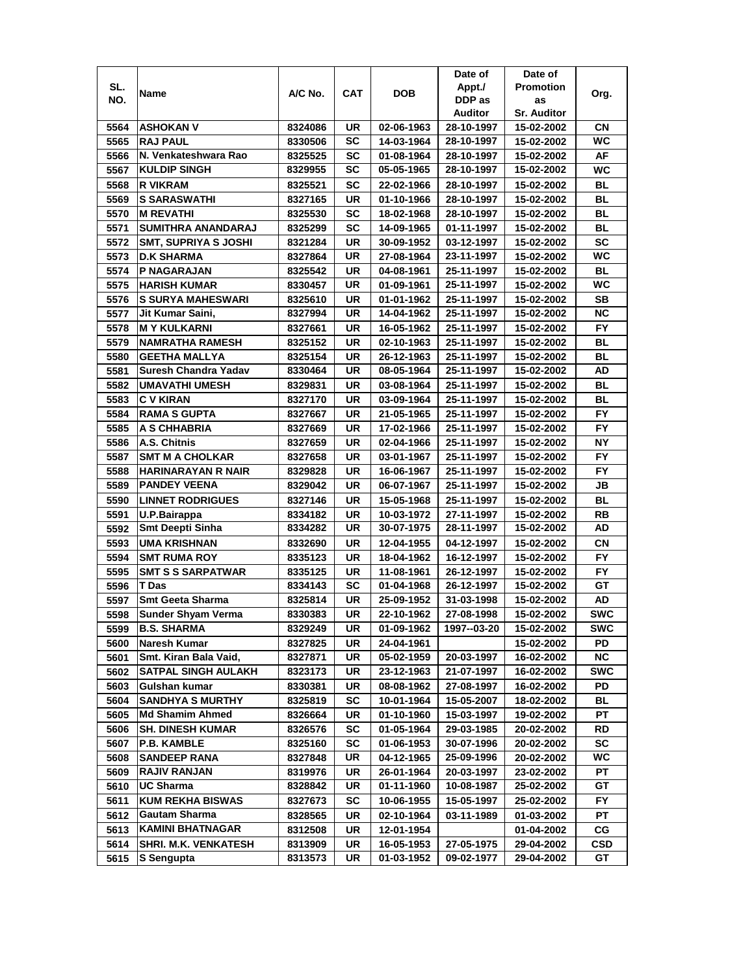|              |                                       |                    |          |                          | Date of                  | Date of                  |                 |
|--------------|---------------------------------------|--------------------|----------|--------------------------|--------------------------|--------------------------|-----------------|
| SL.          |                                       |                    |          |                          | Appt./                   | <b>Promotion</b>         |                 |
| NO.          | Name                                  | A/C No.            | CAT      | <b>DOB</b>               | DDP as                   | as                       | Org.            |
|              |                                       |                    |          |                          | Auditor                  | <b>Sr. Auditor</b>       |                 |
| 5564         | <b>ASHOKAN V</b>                      | 8324086            | UR       | 02-06-1963               | 28-10-1997               | 15-02-2002               | CN              |
| 5565         | <b>RAJ PAUL</b>                       | 8330506            | SC       | 14-03-1964               | 28-10-1997               | 15-02-2002               | WC.             |
| 5566         | N. Venkateshwara Rao                  | 8325525            | SC       | 01-08-1964               | 28-10-1997               | 15-02-2002               | AF              |
| 5567         | <b>KULDIP SINGH</b>                   | 8329955            | SC       | 05-05-1965               | 28-10-1997               | 15-02-2002               | WC              |
| 5568         | <b>R VIKRAM</b>                       | 8325521            | SC       | 22-02-1966               | 28-10-1997               | 15-02-2002               | <b>BL</b>       |
| 5569         | <b>S SARASWATHI</b>                   | 8327165            | UR       | 01-10-1966               | 28-10-1997               | 15-02-2002               | BL              |
| 5570         | IM REVATHI                            | 8325530            | SC       | 18-02-1968               | 28-10-1997               | 15-02-2002               | <b>BL</b>       |
| 5571         | SUMITHRA ANANDARAJ                    | 8325299            | SC       | 14-09-1965               | 01-11-1997               | 15-02-2002               | BL              |
| 5572         | <b>SMT, SUPRIYA S JOSHI</b>           | 8321284            | UR       | 30-09-1952               | 03-12-1997               | 15-02-2002               | <b>SC</b>       |
| 5573         | <b>D.K SHARMA</b>                     | 8327864            | UR       | 27-08-1964               | 23-11-1997               | 15-02-2002               | WC              |
| 5574         | <b>P NAGARAJAN</b>                    | 8325542            | UR       | 04-08-1961               | 25-11-1997               | 15-02-2002               | <b>BL</b>       |
| 5575         | HARISH KUMAR                          | 8330457            | UR       | 01-09-1961               | 25-11-1997               | 15-02-2002               | WC              |
| 5576         | <b>S SURYA MAHESWARI</b>              | 8325610            | UR       | 01-01-1962               | 25-11-1997               | 15-02-2002               | <b>SB</b>       |
| 5577         | Jit Kumar Saini,                      | 8327994            | UR       | 14-04-1962               | 25-11-1997               | 15-02-2002               | <b>NC</b>       |
| 5578         | ∣M Y KULKARNI                         | 8327661            | UR       | 16-05-1962               | 25-11-1997               | 15-02-2002               | <b>FY</b>       |
| 5579         | <b>NAMRATHA RAMESH</b>                | 8325152            | UR       | 02-10-1963               | 25-11-1997               | 15-02-2002               | BL              |
| 5580         | <b>GEETHA MALLYA</b>                  | 8325154            | UR       | 26-12-1963               | 25-11-1997               | 15-02-2002               | BL              |
| 5581         | Suresh Chandra Yadav                  | 8330464            | UR       | 08-05-1964               | 25-11-1997               | 15-02-2002               | AD              |
| 5582         | <b>UMAVATHI UMESH</b>                 | 8329831            | UR       | 03-08-1964               | 25-11-1997               | 15-02-2002               | BL              |
| 5583         | <b>CV KIRAN</b>                       | 8327170            | UR       | 03-09-1964               | 25-11-1997               | 15-02-2002               | BL              |
| 5584         | <b>RAMA S GUPTA</b>                   | 8327667            | UR       | 21-05-1965               | 25-11-1997               | 15-02-2002               | FY.             |
| 5585         | A S CHHABRIA                          | 8327669            | UR       | 17-02-1966               | 25-11-1997               | 15-02-2002               | <b>FY</b>       |
| 5586         | A.S. Chitnis                          | 8327659            | UR       | 02-04-1966               | 25-11-1997               | 15-02-2002               | <b>NY</b>       |
| 5587         | <b>SMT M A CHOLKAR</b>                | 8327658            | UR       | 03-01-1967               | 25-11-1997               | 15-02-2002               | <b>FY</b>       |
| 5588         | <b>HARINARAYAN R NAIR</b>             | 8329828            | UR       | 16-06-1967               | 25-11-1997               | 15-02-2002               | FY.             |
| 5589         | <b>PANDEY VEENA</b>                   | 8329042            | UR       | 06-07-1967               | 25-11-1997               | 15-02-2002               | JB              |
| 5590         | <b>LINNET RODRIGUES</b>               | 8327146            | UR       | 15-05-1968               | 25-11-1997               | 15-02-2002               | <b>BL</b>       |
| 5591         | U.P.Bairappa                          | 8334182            | UR       | 10-03-1972               | 27-11-1997               | 15-02-2002               | <b>RB</b>       |
| 5592         | <b>Smt Deepti Sinha</b>               | 8334282            | UR       | 30-07-1975               | 28-11-1997               | 15-02-2002               | AD              |
| 5593         | <b>UMA KRISHNAN</b>                   | 8332690            | UR       | 12-04-1955               | 04-12-1997               | 15-02-2002               | <b>CN</b>       |
| 5594         | <b>SMT RUMA ROY</b>                   | 8335123            | UR       | 18-04-1962               | 16-12-1997               | 15-02-2002               | <b>FY</b>       |
| 5595         | <b>SMT S S SARPATWAR</b>              | 8335125            | UR       | 11-08-1961               | 26-12-1997               |                          | <b>FY</b>       |
| 5596         | T Das                                 |                    | SC       | 01-04-1968               | 26-12-1997               | 15-02-2002               | GТ              |
|              | <b>Smt Geeta Sharma</b>               | 8334143            | UR       |                          | 31-03-1998               | 15-02-2002<br>15-02-2002 | AD              |
| 5597         | <b>Sunder Shyam Verma</b>             | 8325814<br>8330383 | UR       | 25-09-1952<br>22-10-1962 | 27-08-1998               | 15-02-2002               | <b>SWC</b>      |
| 5598<br>5599 | <b>B.S. SHARMA</b>                    | 8329249            | UR       | 01-09-1962               | 1997--03-20              | 15-02-2002               | <b>SWC</b>      |
|              |                                       |                    |          |                          |                          | 15-02-2002               |                 |
| 5600         | Naresh Kumar<br>Smt. Kiran Bala Vaid, | 8327825<br>8327871 | UR<br>UR | 24-04-1961<br>05-02-1959 | 20-03-1997               | 16-02-2002               | PD<br><b>NC</b> |
| 5601<br>5602 | <b>SATPAL SINGH AULAKH</b>            | 8323173            | UR       | 23-12-1963               | 21-07-1997               | 16-02-2002               | <b>SWC</b>      |
| 5603         | Gulshan kumar                         | 8330381            | UR       | 08-08-1962               | 27-08-1997               | 16-02-2002               | PD              |
|              | <b>SANDHYA S MURTHY</b>               |                    | SC       | 10-01-1964               | 15-05-2007               | 18-02-2002               | BL              |
| 5604         | <b>Md Shamim Ahmed</b>                | 8325819            |          |                          |                          |                          | PT              |
| 5605<br>5606 | <b>SH. DINESH KUMAR</b>               | 8326664<br>8326576 | UR<br>SC | 01-10-1960<br>01-05-1964 | 15-03-1997<br>29-03-1985 | 19-02-2002<br>20-02-2002 | RD              |
|              | <b>P.B. KAMBLE</b>                    |                    | SC       |                          | 30-07-1996               |                          | SC              |
| 5607<br>5608 | <b>SANDEEP RANA</b>                   | 8325160<br>8327848 | UR       | 01-06-1953<br>04-12-1965 | 25-09-1996               | 20-02-2002<br>20-02-2002 | WC              |
|              | <b>RAJIV RANJAN</b>                   |                    |          |                          |                          |                          |                 |
| 5609         | <b>UC Sharma</b>                      | 8319976<br>8328842 | UR<br>UR | 26-01-1964<br>01-11-1960 | 20-03-1997<br>10-08-1987 | 23-02-2002<br>25-02-2002 | PT<br>GТ        |
| 5610<br>5611 | <b>KUM REKHA BISWAS</b>               |                    | SC       | 10-06-1955               | 15-05-1997               | 25-02-2002               | FY.             |
| 5612         | <b>Gautam Sharma</b>                  | 8327673            | UR       | 02-10-1964               | 03-11-1989               | 01-03-2002               | PT              |
| 5613         | <b>KAMINI BHATNAGAR</b>               | 8328565            | UR       | 12-01-1954               |                          |                          | CG              |
|              |                                       | 8312508            |          |                          |                          | 01-04-2002<br>29-04-2002 |                 |
| 5614         | <b>SHRI. M.K. VENKATESH</b>           | 8313909            | UR       | 16-05-1953               | 27-05-1975               |                          | <b>CSD</b>      |
| 5615         | S Sengupta                            | 8313573            | UR       | 01-03-1952               | 09-02-1977               | 29-04-2002               | GT              |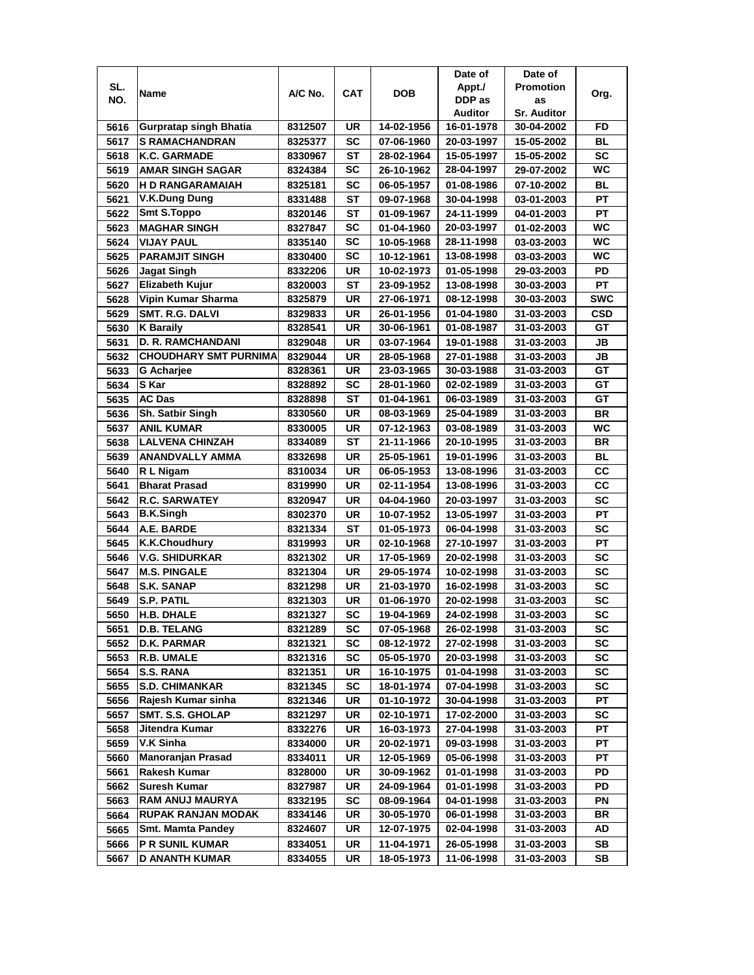|      |                               |         |            |            | Date of    | Date of            |            |
|------|-------------------------------|---------|------------|------------|------------|--------------------|------------|
| SL.  | Name                          | A/C No. | <b>CAT</b> | <b>DOB</b> | Appt./     | <b>Promotion</b>   | Org.       |
| NO.  |                               |         |            |            | DDP as     | as                 |            |
|      |                               |         |            |            | Auditor    | <b>Sr. Auditor</b> |            |
| 5616 | <b>Gurpratap singh Bhatia</b> | 8312507 | UR         | 14-02-1956 | 16-01-1978 | 30-04-2002         | FD         |
| 5617 | <b>S RAMACHANDRAN</b>         | 8325377 | SC         | 07-06-1960 | 20-03-1997 | 15-05-2002         | <b>BL</b>  |
| 5618 | <b>K.C. GARMADE</b>           | 8330967 | SТ         | 28-02-1964 | 15-05-1997 | 15-05-2002         | <b>SC</b>  |
| 5619 | <b>AMAR SINGH SAGAR</b>       | 8324384 | <b>SC</b>  | 26-10-1962 | 28-04-1997 | 29-07-2002         | <b>WC</b>  |
| 5620 | <b>H D RANGARAMAIAH</b>       | 8325181 | SC         | 06-05-1957 | 01-08-1986 | 07-10-2002         | <b>BL</b>  |
| 5621 | <b>V.K.Dung Dung</b>          | 8331488 | <b>ST</b>  | 09-07-1968 | 30-04-1998 | 03-01-2003         | <b>PT</b>  |
| 5622 | <b>Smt S.Toppo</b>            | 8320146 | ST         | 01-09-1967 | 24-11-1999 | 04-01-2003         | <b>PT</b>  |
| 5623 | <b>MAGHAR SINGH</b>           | 8327847 | <b>SC</b>  | 01-04-1960 | 20-03-1997 | 01-02-2003         | <b>WC</b>  |
| 5624 | <b>VIJAY PAUL</b>             | 8335140 | SC         | 10-05-1968 | 28-11-1998 | 03-03-2003         | <b>WC</b>  |
| 5625 | <b>PARAMJIT SINGH</b>         | 8330400 | <b>SC</b>  | 10-12-1961 | 13-08-1998 | 03-03-2003         | WC         |
| 5626 | <b>Jagat Singh</b>            | 8332206 | <b>UR</b>  | 10-02-1973 | 01-05-1998 | 29-03-2003         | PD         |
| 5627 | <b>Elizabeth Kujur</b>        | 8320003 | <b>ST</b>  | 23-09-1952 | 13-08-1998 | 30-03-2003         | PT         |
| 5628 | Vipin Kumar Sharma            | 8325879 | UR         | 27-06-1971 | 08-12-1998 | 30-03-2003         | <b>SWC</b> |
| 5629 | SMT. R.G. DALVI               | 8329833 | <b>UR</b>  | 26-01-1956 | 01-04-1980 | 31-03-2003         | <b>CSD</b> |
| 5630 | <b>K Baraily</b>              | 8328541 | UR         | 30-06-1961 | 01-08-1987 | 31-03-2003         | GT         |
| 5631 | <b>D. R. RAMCHANDANI</b>      | 8329048 | <b>UR</b>  | 03-07-1964 | 19-01-1988 | 31-03-2003         | JВ         |
| 5632 | <b>CHOUDHARY SMT PURNIMA</b>  | 8329044 | UR         | 28-05-1968 | 27-01-1988 | 31-03-2003         | JB         |
| 5633 | G Acharjee                    | 8328361 | <b>UR</b>  | 23-03-1965 | 30-03-1988 | 31-03-2003         | GT         |
| 5634 | S Kar                         | 8328892 | <b>SC</b>  | 28-01-1960 | 02-02-1989 | 31-03-2003         | GT         |
| 5635 | <b>AC Das</b>                 | 8328898 | <b>ST</b>  | 01-04-1961 | 06-03-1989 | 31-03-2003         | GT         |
| 5636 | Sh. Satbir Singh              | 8330560 | <b>UR</b>  | 08-03-1969 | 25-04-1989 | 31-03-2003         | <b>BR</b>  |
| 5637 | <b>ANIL KUMAR</b>             | 8330005 | <b>UR</b>  | 07-12-1963 | 03-08-1989 | 31-03-2003         | WC         |
| 5638 | <b>LALVENA CHINZAH</b>        | 8334089 | <b>ST</b>  | 21-11-1966 | 20-10-1995 | 31-03-2003         | <b>BR</b>  |
| 5639 | <b>ANANDVALLY AMMA</b>        | 8332698 | <b>UR</b>  | 25-05-1961 | 19-01-1996 | 31-03-2003         | <b>BL</b>  |
| 5640 | R L Nigam                     | 8310034 | <b>UR</b>  | 06-05-1953 | 13-08-1996 | 31-03-2003         | cc         |
| 5641 | <b>Bharat Prasad</b>          | 8319990 | UR         | 02-11-1954 | 13-08-1996 | 31-03-2003         | CC         |
| 5642 | <b>R.C. SARWATEY</b>          | 8320947 | <b>UR</b>  | 04-04-1960 | 20-03-1997 | 31-03-2003         | <b>SC</b>  |
| 5643 | <b>B.K.Singh</b>              | 8302370 | <b>UR</b>  | 10-07-1952 | 13-05-1997 | 31-03-2003         | PT         |
| 5644 | A.E. BARDE                    | 8321334 | <b>ST</b>  | 01-05-1973 | 06-04-1998 | 31-03-2003         | <b>SC</b>  |
| 5645 | K.K.Choudhury                 | 8319993 | UR         | 02-10-1968 | 27-10-1997 | 31-03-2003         | PT         |
| 5646 | <b>V.G. SHIDURKAR</b>         | 8321302 | <b>UR</b>  | 17-05-1969 | 20-02-1998 | 31-03-2003         | <b>SC</b>  |
| 5647 | <b>M.S. PINGALE</b>           | 8321304 | UR         | 29-05-1974 | 10-02-1998 | 31-03-2003         | SC         |
| 5648 | <b>S.K. SANAP</b>             | 8321298 | UR         | 21-03-1970 | 16-02-1998 | 31-03-2003         | <b>SC</b>  |
| 5649 | <b>S.P. PATIL</b>             | 8321303 | UR         | 01-06-1970 | 20-02-1998 | 31-03-2003         | SC         |
| 5650 | <b>H.B. DHALE</b>             | 8321327 | <b>SC</b>  | 19-04-1969 | 24-02-1998 | 31-03-2003         | <b>SC</b>  |
| 5651 | <b>D.B. TELANG</b>            | 8321289 | SC         | 07-05-1968 | 26-02-1998 | 31-03-2003         | SC         |
| 5652 | D.K. PARMAR                   | 8321321 | SC         | 08-12-1972 | 27-02-1998 | 31-03-2003         | SC         |
| 5653 | R.B. UMALE                    | 8321316 | SC         | 05-05-1970 | 20-03-1998 | 31-03-2003         | SC         |
| 5654 | S.S. RANA                     | 8321351 | UR         | 16-10-1975 | 01-04-1998 | 31-03-2003         | SC         |
| 5655 | <b>S.D. CHIMANKAR</b>         | 8321345 | <b>SC</b>  | 18-01-1974 | 07-04-1998 | 31-03-2003         | SC         |
| 5656 | Rajesh Kumar sinha            | 8321346 | UR         | 01-10-1972 | 30-04-1998 | 31-03-2003         | PT         |
| 5657 | <b>SMT. S.S. GHOLAP</b>       | 8321297 | UR         | 02-10-1971 | 17-02-2000 | 31-03-2003         | SC         |
| 5658 | Jitendra Kumar                | 8332276 | UR         | 16-03-1973 | 27-04-1998 | 31-03-2003         | PТ         |
| 5659 | V.K Sinha                     | 8334000 | UR         | 20-02-1971 | 09-03-1998 | 31-03-2003         | РT         |
| 5660 | <b>Manoranjan Prasad</b>      | 8334011 | UR         | 12-05-1969 | 05-06-1998 | 31-03-2003         | РT         |
| 5661 | Rakesh Kumar                  | 8328000 | UR         | 30-09-1962 | 01-01-1998 | 31-03-2003         | PD         |
| 5662 | <b>Suresh Kumar</b>           | 8327987 | UR         | 24-09-1964 | 01-01-1998 | 31-03-2003         | PD         |
| 5663 | RAM ANUJ MAURYA               | 8332195 | <b>SC</b>  | 08-09-1964 | 04-01-1998 | 31-03-2003         | PN         |
| 5664 | <b>RUPAK RANJAN MODAK</b>     | 8334146 | UR         | 30-05-1970 | 06-01-1998 | 31-03-2003         | BR         |
| 5665 | <b>Smt. Mamta Pandey</b>      | 8324607 | UR         | 12-07-1975 | 02-04-1998 | 31-03-2003         | AD         |
| 5666 | <b>P R SUNIL KUMAR</b>        | 8334051 | UR         | 11-04-1971 | 26-05-1998 | 31-03-2003         | SB         |
| 5667 | D ANANTH KUMAR                | 8334055 | UR         | 18-05-1973 | 11-06-1998 | 31-03-2003         | SB         |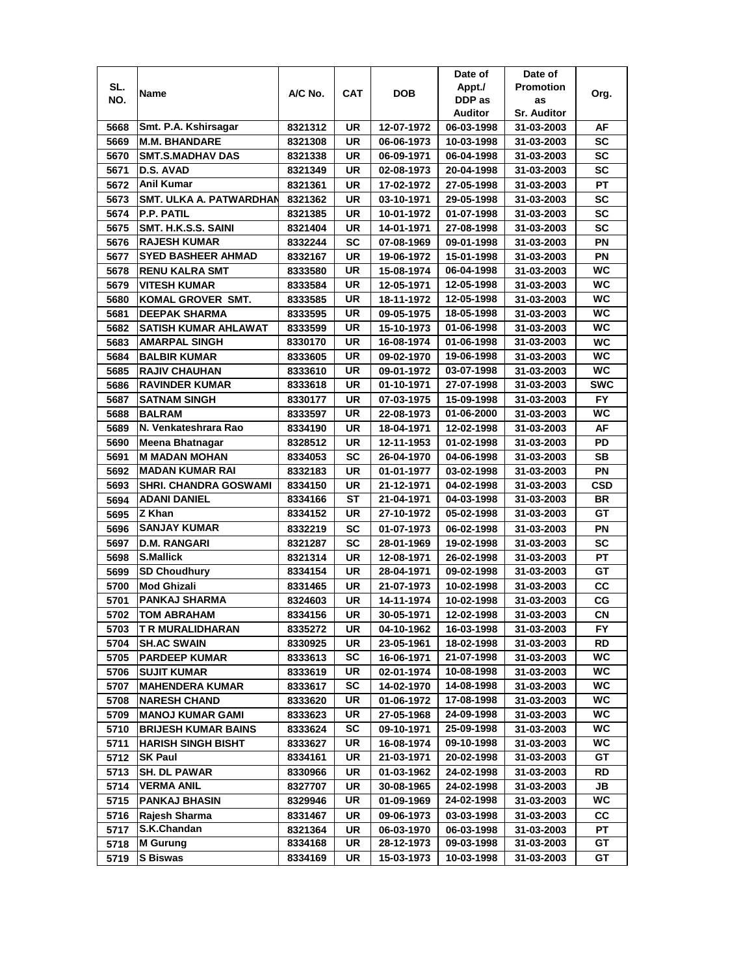|              |                                |         |            |            | Date of                  | Date of            |            |
|--------------|--------------------------------|---------|------------|------------|--------------------------|--------------------|------------|
| SL.          |                                |         | <b>CAT</b> | <b>DOB</b> | Appt./                   | <b>Promotion</b>   |            |
| NO.          | Name                           | A/C No. |            |            | DDP as                   | as                 | Org.       |
|              |                                |         |            |            | Auditor                  | <b>Sr. Auditor</b> |            |
| 5668         | Smt. P.A. Kshirsagar           | 8321312 | UR         | 12-07-1972 | 06-03-1998               | 31-03-2003         | AF         |
| 5669         | <b>M.M. BHANDARE</b>           | 8321308 | <b>UR</b>  | 06-06-1973 | 10-03-1998               | 31-03-2003         | <b>SC</b>  |
| 5670         | <b>SMT.S.MADHAV DAS</b>        | 8321338 | UR         | 06-09-1971 | 06-04-1998               | 31-03-2003         | <b>SC</b>  |
| 5671         | D.S. AVAD                      | 8321349 | UR         | 02-08-1973 | 20-04-1998               | 31-03-2003         | <b>SC</b>  |
| 5672         | Anil Kumar                     | 8321361 | UR         | 17-02-1972 | 27-05-1998               | 31-03-2003         | PT         |
| 5673         | <b>SMT. ULKA A. PATWARDHAN</b> | 8321362 | <b>UR</b>  | 03-10-1971 | 29-05-1998               | 31-03-2003         | <b>SC</b>  |
| 5674         | <b>P.P. PATIL</b>              | 8321385 | UR         | 10-01-1972 | 01-07-1998               | 31-03-2003         | <b>SC</b>  |
| 5675         | SMT. H.K.S.S. SAINI            | 8321404 | UR         | 14-01-1971 | 27-08-1998               | 31-03-2003         | <b>SC</b>  |
| 5676         | <b>RAJESH KUMAR</b>            | 8332244 | SC         | 07-08-1969 | 09-01-1998               | 31-03-2003         | PN         |
| 5677         | <b>SYED BASHEER AHMAD</b>      | 8332167 | UR         | 19-06-1972 | 15-01-1998               | 31-03-2003         | PN         |
| 5678         | <b>RENU KALRA SMT</b>          | 8333580 | UR         | 15-08-1974 | 06-04-1998               | 31-03-2003         | <b>WC</b>  |
| 5679         | <b>VITESH KUMAR</b>            | 8333584 | UR         | 12-05-1971 | 12-05-1998               | 31-03-2003         | WC         |
| 5680         | KOMAL GROVER SMT.              | 8333585 | <b>UR</b>  | 18-11-1972 | 12-05-1998               | 31-03-2003         | <b>WC</b>  |
| 5681         | <b>DEEPAK SHARMA</b>           | 8333595 | UR         | 09-05-1975 | 18-05-1998               | 31-03-2003         | WC         |
| 5682         | SATISH KUMAR AHLAWAT           | 8333599 | UR         | 15-10-1973 | 01-06-1998               | 31-03-2003         | WC         |
| 5683         | AMARPAL SINGH                  | 8330170 | <b>UR</b>  | 16-08-1974 | 01-06-1998               | 31-03-2003         | <b>WC</b>  |
|              |                                |         | UR         |            | 19-06-1998               |                    | WC.        |
| 5684         | <b>BALBIR KUMAR</b>            | 8333605 | <b>UR</b>  | 09-02-1970 |                          | 31-03-2003         | WC         |
| 5685         | <b>RAJIV CHAUHAN</b>           | 8333610 | <b>UR</b>  | 09-01-1972 | 03-07-1998<br>27-07-1998 | 31-03-2003         | <b>SWC</b> |
| 5686         | <b>RAVINDER KUMAR</b>          | 8333618 |            | 01-10-1971 |                          | 31-03-2003         |            |
| 5687         | <b>SATNAM SINGH</b>            | 8330177 | UR         | 07-03-1975 | 15-09-1998               | 31-03-2003         | <b>FY</b>  |
| 5688         | <b>BALRAM</b>                  | 8333597 | <b>UR</b>  | 22-08-1973 | 01-06-2000               | 31-03-2003         | WC         |
| 5689         | N. Venkateshrara Rao           | 8334190 | UR         | 18-04-1971 | 12-02-1998               | 31-03-2003         | AF         |
| 5690         | Meena Bhatnagar                | 8328512 | <b>UR</b>  | 12-11-1953 | 01-02-1998               | 31-03-2003         | <b>PD</b>  |
| 5691         | <b>M MADAN MOHAN</b>           | 8334053 | SC         | 26-04-1970 | 04-06-1998               | 31-03-2003         | <b>SB</b>  |
| 5692         | <b>MADAN KUMAR RAI</b>         | 8332183 | UR         | 01-01-1977 | 03-02-1998               | 31-03-2003         | PN         |
| 5693         | <b>SHRI. CHANDRA GOSWAMI</b>   | 8334150 | UR         | 21-12-1971 | 04-02-1998               | 31-03-2003         | CSD        |
| 5694         | <b>ADANI DANIEL</b>            | 8334166 | <b>ST</b>  | 21-04-1971 | 04-03-1998               | 31-03-2003         | <b>BR</b>  |
| 5695         | Z Khan                         | 8334152 | UR         | 27-10-1972 | 05-02-1998               | 31-03-2003         | GT         |
| 5696         | <b>SANJAY KUMAR</b>            | 8332219 | <b>SC</b>  | 01-07-1973 | 06-02-1998               | 31-03-2003         | PN         |
| 5697         | <b>D.M. RANGARI</b>            | 8321287 | SC         | 28-01-1969 | 19-02-1998               | 31-03-2003         | <b>SC</b>  |
| 5698         | <b>S.Mallick</b>               | 8321314 | <b>UR</b>  | 12-08-1971 | 26-02-1998               | 31-03-2003         | PT         |
| 5699         | <b>SD Choudhury</b>            | 8334154 | UR         | 28-04-1971 | 09-02-1998               | 31-03-2003         | GТ         |
| 5700         | <b>Mod Ghizali</b>             | 8331465 | UR         | 21-07-1973 | 10-02-1998               | 31-03-2003         | cc         |
| 5701         | PANKAJ SHARMA                  | 8324603 | UR         | 14-11-1974 | 10-02-1998               | 31-03-2003         | CG         |
| 5702         | <b>TOM ABRAHAM</b>             | 8334156 | UR         | 30-05-1971 | 12-02-1998               | 31-03-2003         | CN         |
| 5703         | <b>TR MURALIDHARAN</b>         | 8335272 | UR         | 04-10-1962 | 16-03-1998               | 31-03-2003         | FY.        |
| 5704         | <b>SH.AC SWAIN</b>             | 8330925 | UR         | 23-05-1961 | 18-02-1998               | 31-03-2003         | <b>RD</b>  |
| 5705         | <b>PARDEEP KUMAR</b>           | 8333613 | SC         | 16-06-1971 | 21-07-1998               | 31-03-2003         | WC         |
| 5706         | <b>SUJIT KUMAR</b>             | 8333619 | UR         | 02-01-1974 | 10-08-1998               | 31-03-2003         | WC         |
| 5707         | <b>MAHENDERA KUMAR</b>         | 8333617 | SC         | 14-02-1970 | 14-08-1998               | 31-03-2003         | WC.        |
| 5708         | <b>NARESH CHAND</b>            | 8333620 | UR         | 01-06-1972 | 17-08-1998               | 31-03-2003         | WC         |
| 5709         | <b>MANOJ KUMAR GAMI</b>        | 8333623 | UR         | 27-05-1968 | 24-09-1998               | 31-03-2003         | WC.        |
| 5710         | <b>BRIJESH KUMAR BAINS</b>     | 8333624 | <b>SC</b>  | 09-10-1971 | 25-09-1998               | 31-03-2003         | WC         |
| 5711         | <b>HARISH SINGH BISHT</b>      | 8333627 | UR         | 16-08-1974 | 09-10-1998               | 31-03-2003         | WC         |
| 5712         | <b>SK Paul</b>                 | 8334161 | UR         | 21-03-1971 | 20-02-1998               | 31-03-2003         | GT         |
| 5713         | <b>SH. DL PAWAR</b>            | 8330966 | UR         | 01-03-1962 | 24-02-1998               | 31-03-2003         | <b>RD</b>  |
| 5714         | <b>VERMA ANIL</b>              | 8327707 | UR         | 30-08-1965 | 24-02-1998               | 31-03-2003         | JB         |
| 5715         | <b>PANKAJ BHASIN</b>           | 8329946 | UR         | 01-09-1969 | 24-02-1998               | 31-03-2003         | WC         |
|              | Rajesh Sharma                  |         | UR         | 09-06-1973 | 03-03-1998               |                    | СC         |
| 5716<br>5717 | S.K.Chandan                    | 8331467 | UR         | 06-03-1970 | 06-03-1998               | 31-03-2003         | PТ         |
|              |                                | 8321364 |            |            |                          | 31-03-2003         |            |
| 5718         | <b>M</b> Gurung                | 8334168 | UR         | 28-12-1973 | 09-03-1998               | 31-03-2003         | GT         |
| 5719         | <b>S Biswas</b>                | 8334169 | UR         | 15-03-1973 | 10-03-1998               | 31-03-2003         | GT         |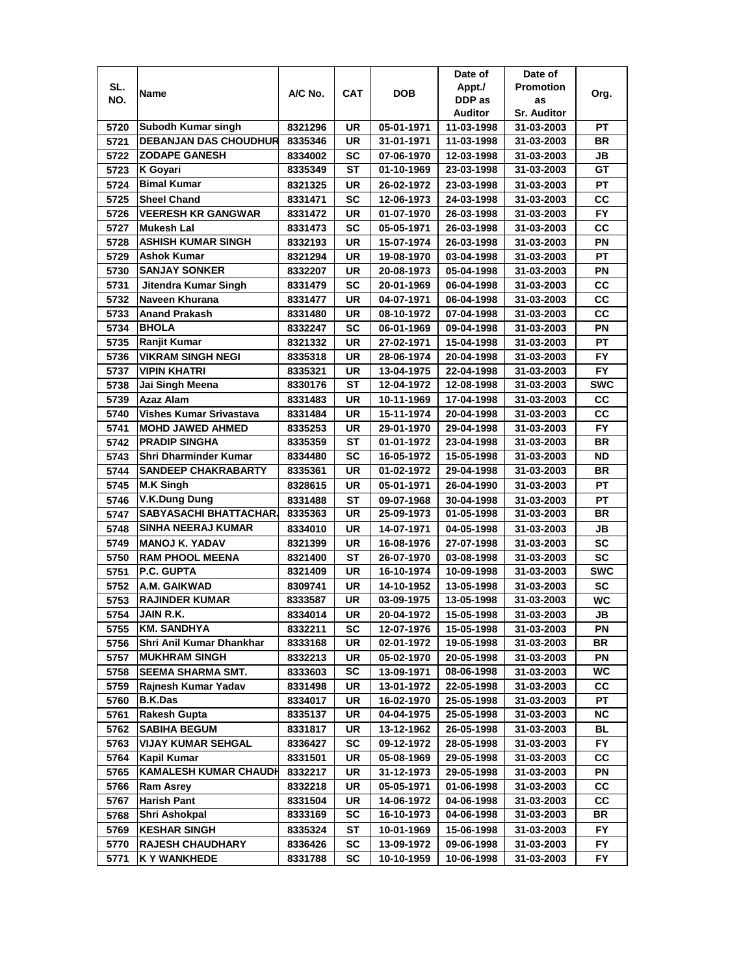|      |                                |         |            |                          | Date of                  | Date of                  |            |
|------|--------------------------------|---------|------------|--------------------------|--------------------------|--------------------------|------------|
| SL.  | Name                           | A/C No. | <b>CAT</b> | <b>DOB</b>               | Appt./                   | <b>Promotion</b>         | Org.       |
| NO.  |                                |         |            |                          | DDP as                   | as                       |            |
|      |                                |         |            |                          | Auditor                  | <b>Sr. Auditor</b>       |            |
| 5720 | Subodh Kumar singh             | 8321296 | UR         | 05-01-1971               | 11-03-1998               | 31-03-2003               | РT         |
| 5721 | <b>DEBANJAN DAS CHOUDHUR</b>   | 8335346 | <b>UR</b>  | 31-01-1971               | 11-03-1998               | 31-03-2003               | <b>BR</b>  |
| 5722 | <b>ZODAPE GANESH</b>           | 8334002 | SC         | 07-06-1970               | 12-03-1998               | 31-03-2003               | JB         |
| 5723 | <b>K</b> Goyari                | 8335349 | <b>ST</b>  | 01-10-1969               | 23-03-1998               | 31-03-2003               | GT         |
| 5724 | <b>Bimal Kumar</b>             | 8321325 | UR         | 26-02-1972               | 23-03-1998               | 31-03-2003               | PT         |
| 5725 | <b>Sheel Chand</b>             | 8331471 | <b>SC</b>  | 12-06-1973               | 24-03-1998               | 31-03-2003               | СC         |
| 5726 | <b>VEERESH KR GANGWAR</b>      | 8331472 | UR         | 01-07-1970               | 26-03-1998               | 31-03-2003               | <b>FY</b>  |
| 5727 | Mukesh Lal                     | 8331473 | SC         | 05-05-1971               | 26-03-1998               | 31-03-2003               | cc         |
| 5728 | <b>ASHISH KUMAR SINGH</b>      | 8332193 | UR         | 15-07-1974               | 26-03-1998               | 31-03-2003               | ΡN         |
| 5729 | <b>Ashok Kumar</b>             | 8321294 | UR         | 19-08-1970               | 03-04-1998               | 31-03-2003               | PT         |
| 5730 | <b>SANJAY SONKER</b>           | 8332207 | <b>UR</b>  | 20-08-1973               | 05-04-1998               | 31-03-2003               | PN         |
| 5731 | Jitendra Kumar Singh           | 8331479 | <b>SC</b>  | 20-01-1969               | 06-04-1998               | 31-03-2003               | cc         |
| 5732 | Naveen Khurana                 | 8331477 | UR         | 04-07-1971               | 06-04-1998               | 31-03-2003               | CC         |
| 5733 | <b>Anand Prakash</b>           | 8331480 | UR         | 08-10-1972               | 07-04-1998               | 31-03-2003               | СC         |
| 5734 | <b>BHOLA</b>                   | 8332247 | SC         | 06-01-1969               | 09-04-1998               | 31-03-2003               | ΡN         |
| 5735 | Ranjit Kumar                   | 8321332 | UR         | 27-02-1971               | 15-04-1998               | 31-03-2003               | РT         |
| 5736 | <b>VIKRAM SINGH NEGI</b>       | 8335318 | UR         | 28-06-1974               | 20-04-1998               | 31-03-2003               | FY.        |
| 5737 | <b>VIPIN KHATRI</b>            | 8335321 | UR         | 13-04-1975               | 22-04-1998               | 31-03-2003               | <b>FY</b>  |
| 5738 | Jai Singh Meena                | 8330176 | <b>ST</b>  | 12-04-1972               | 12-08-1998               | 31-03-2003               | <b>SWC</b> |
| 5739 | Azaz Alam                      | 8331483 | UR         | 10-11-1969               | 17-04-1998               | 31-03-2003               | CC         |
| 5740 | <b>Vishes Kumar Srivastava</b> | 8331484 | <b>UR</b>  | 15-11-1974               | 20-04-1998               | 31-03-2003               | cc         |
|      | <b>MOHD JAWED AHMED</b>        |         | <b>UR</b>  |                          |                          |                          | FY         |
| 5741 | <b>PRADIP SINGHA</b>           | 8335253 | ST         | 29-01-1970<br>01-01-1972 | 29-04-1998<br>23-04-1998 | 31-03-2003<br>31-03-2003 | BR         |
| 5742 |                                | 8335359 | <b>SC</b>  |                          |                          |                          | <b>ND</b>  |
| 5743 | <b>Shri Dharminder Kumar</b>   | 8334480 |            | 16-05-1972               | 15-05-1998               | 31-03-2003               |            |
| 5744 | <b>SANDEEP CHAKRABARTY</b>     | 8335361 | <b>UR</b>  | 01-02-1972               | 29-04-1998               | 31-03-2003               | <b>BR</b>  |
| 5745 | <b>M.K Singh</b>               | 8328615 | <b>UR</b>  | 05-01-1971               | 26-04-1990               | 31-03-2003               | PT         |
| 5746 | <b>V.K.Dung Dung</b>           | 8331488 | <b>ST</b>  | 09-07-1968               | 30-04-1998               | 31-03-2003               | PT         |
| 5747 | <b>SABYASACHI BHATTACHAR</b>   | 8335363 | UR         | 25-09-1973               | 01-05-1998               | 31-03-2003               | <b>BR</b>  |
| 5748 | SINHA NEERAJ KUMAR             | 8334010 | <b>UR</b>  | 14-07-1971               | 04-05-1998               | 31-03-2003               | JВ         |
| 5749 | <b>MANOJ K. YADAV</b>          | 8321399 | <b>UR</b>  | 16-08-1976               | 27-07-1998               | 31-03-2003               | <b>SC</b>  |
| 5750 | <b>RAM PHOOL MEENA</b>         | 8321400 | ST         | 26-07-1970               | 03-08-1998               | 31-03-2003               | <b>SC</b>  |
| 5751 | <b>P.C. GUPTA</b>              | 8321409 | UR         | 16-10-1974               | 10-09-1998               | 31-03-2003               | <b>SWC</b> |
| 5752 | A.M. GAIKWAD                   | 8309741 | UR         | 14-10-1952               | 13-05-1998               | 31-03-2003               | <b>SC</b>  |
| 5753 | <b>RAJINDER KUMAR</b>          | 8333587 | UR         | 03-09-1975               | 13-05-1998               | 31-03-2003               | WC         |
| 5754 | JAIN R.K.                      | 8334014 | <b>UR</b>  | 20-04-1972               | 15-05-1998               | 31-03-2003               | JВ         |
| 5755 | <b>KM. SANDHYA</b>             | 8332211 | <b>SC</b>  | 12-07-1976               | 15-05-1998               | 31-03-2003               | ΡN         |
| 5756 | Shri Anil Kumar Dhankhar       | 8333168 | UR         | 02-01-1972               | 19-05-1998               | 31-03-2003               | BR         |
| 5757 | <b>MUKHRAM SINGH</b>           | 8332213 | UR         | 05-02-1970               | 20-05-1998               | 31-03-2003               | ΡN         |
| 5758 | <b>SEEMA SHARMA SMT.</b>       | 8333603 | SC         | 13-09-1971               | 08-06-1998               | 31-03-2003               | WC         |
| 5759 | Rajnesh Kumar Yadav            | 8331498 | UR         | 13-01-1972               | 22-05-1998               | 31-03-2003               | СC         |
| 5760 | <b>B.K.Das</b>                 | 8334017 | UR         | 16-02-1970               | 25-05-1998               | 31-03-2003               | РT         |
| 5761 | <b>Rakesh Gupta</b>            | 8335137 | UR         | 04-04-1975               | 25-05-1998               | 31-03-2003               | <b>NC</b>  |
| 5762 | <b>SABIHA BEGUM</b>            | 8331817 | UR         | 13-12-1962               | 26-05-1998               | 31-03-2003               | BL         |
| 5763 | <b>VIJAY KUMAR SEHGAL</b>      | 8336427 | <b>SC</b>  | 09-12-1972               | 28-05-1998               | 31-03-2003               | FY         |
| 5764 | Kapil Kumar                    | 8331501 | UR         | 05-08-1969               | 29-05-1998               | 31-03-2003               | CC         |
| 5765 | <b>KAMALESH KUMAR CHAUDH</b>   | 8332217 | UR         | 31-12-1973               | 29-05-1998               | 31-03-2003               | PN         |
| 5766 | <b>Ram Asrey</b>               | 8332218 | UR         | 05-05-1971               | 01-06-1998               | 31-03-2003               | СC         |
| 5767 | <b>Harish Pant</b>             | 8331504 | UR         | 14-06-1972               | 04-06-1998               | 31-03-2003               | <b>CC</b>  |
| 5768 | Shri Ashokpal                  | 8333169 | SC         | 16-10-1973               | 04-06-1998               | 31-03-2003               | BR         |
| 5769 | <b>KESHAR SINGH</b>            | 8335324 | ST         | 10-01-1969               | 15-06-1998               | 31-03-2003               | FY         |
| 5770 | <b>RAJESH CHAUDHARY</b>        | 8336426 | SC         | 13-09-1972               | 09-06-1998               | 31-03-2003               | FΥ         |
| 5771 | K Y WANKHEDE                   | 8331788 | SC         | 10-10-1959               | 10-06-1998               | 31-03-2003               | FY         |
|      |                                |         |            |                          |                          |                          |            |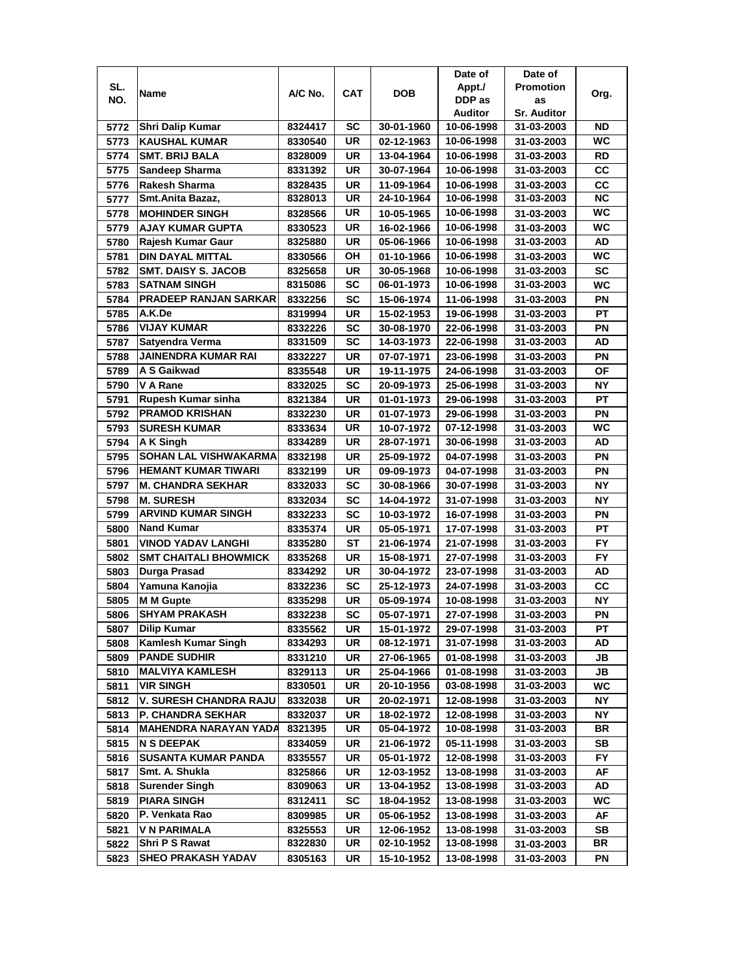|      |                                |         |           |            | Date of    | Date of            |           |
|------|--------------------------------|---------|-----------|------------|------------|--------------------|-----------|
| SL.  |                                | A/C No. | CAT       | <b>DOB</b> | Appt./     | <b>Promotion</b>   |           |
| NO.  | Name                           |         |           |            | DDP as     | as                 | Org.      |
|      |                                |         |           |            | Auditor    | <b>Sr. Auditor</b> |           |
| 5772 | <b>Shri Dalip Kumar</b>        | 8324417 | SC        | 30-01-1960 | 10-06-1998 | 31-03-2003         | ND        |
| 5773 | <b>KAUSHAL KUMAR</b>           | 8330540 | UR        | 02-12-1963 | 10-06-1998 | 31-03-2003         | WC        |
| 5774 | <b>SMT. BRIJ BALA</b>          | 8328009 | <b>UR</b> | 13-04-1964 | 10-06-1998 | 31-03-2003         | <b>RD</b> |
| 5775 | Sandeep Sharma                 | 8331392 | UR        | 30-07-1964 | 10-06-1998 | 31-03-2003         | CC        |
| 5776 | Rakesh Sharma                  | 8328435 | UR        | 11-09-1964 | 10-06-1998 | 31-03-2003         | cc        |
| 5777 | Smt.Anita Bazaz,               | 8328013 | <b>UR</b> | 24-10-1964 | 10-06-1998 | 31-03-2003         | <b>NC</b> |
| 5778 | <b>MOHINDER SINGH</b>          | 8328566 | UR        | 10-05-1965 | 10-06-1998 | 31-03-2003         | WC        |
| 5779 | <b>AJAY KUMAR GUPTA</b>        | 8330523 | UR        | 16-02-1966 | 10-06-1998 | 31-03-2003         | <b>WC</b> |
| 5780 | Rajesh Kumar Gaur              | 8325880 | UR        | 05-06-1966 | 10-06-1998 | 31-03-2003         | AD        |
| 5781 | <b>DIN DAYAL MITTAL</b>        | 8330566 | OH        | 01-10-1966 | 10-06-1998 | 31-03-2003         | <b>WC</b> |
| 5782 | <b>SMT. DAISY S. JACOB</b>     | 8325658 | UR        | 30-05-1968 | 10-06-1998 | 31-03-2003         | <b>SC</b> |
| 5783 | <b>SATNAM SINGH</b>            | 8315086 | SC        | 06-01-1973 | 10-06-1998 | 31-03-2003         | WC        |
| 5784 | <b>PRADEEP RANJAN SARKAR</b>   | 8332256 | <b>SC</b> | 15-06-1974 | 11-06-1998 | 31-03-2003         | PN        |
| 5785 | A.K.De                         | 8319994 | UR        | 15-02-1953 | 19-06-1998 | 31-03-2003         | PT        |
| 5786 | <b>VIJAY KUMAR</b>             | 8332226 | <b>SC</b> | 30-08-1970 | 22-06-1998 | 31-03-2003         | PN        |
| 5787 | Satyendra Verma                | 8331509 | SC        | 14-03-1973 | 22-06-1998 | 31-03-2003         | AD        |
| 5788 | JAINENDRA KUMAR RAI            | 8332227 | UR        | 07-07-1971 | 23-06-1998 | 31-03-2003         | PN        |
| 5789 | A S Gaikwad                    |         | UR        |            |            |                    | ΟF        |
|      |                                | 8335548 |           | 19-11-1975 | 24-06-1998 | 31-03-2003         |           |
| 5790 | V A Rane<br>Rupesh Kumar sinha | 8332025 | SC        | 20-09-1973 | 25-06-1998 | 31-03-2003         | ΝY        |
| 5791 |                                | 8321384 | UR        | 01-01-1973 | 29-06-1998 | 31-03-2003         | PT        |
| 5792 | <b>PRAMOD KRISHAN</b>          | 8332230 | UR        | 01-07-1973 | 29-06-1998 | 31-03-2003         | PN        |
| 5793 | <b>SURESH KUMAR</b>            | 8333634 | UR        | 10-07-1972 | 07-12-1998 | 31-03-2003         | WС        |
| 5794 | A K Singh                      | 8334289 | UR        | 28-07-1971 | 30-06-1998 | 31-03-2003         | AD        |
| 5795 | <b>SOHAN LAL VISHWAKARMA</b>   | 8332198 | <b>UR</b> | 25-09-1972 | 04-07-1998 | 31-03-2003         | PN        |
| 5796 | <b>HEMANT KUMAR TIWARI</b>     | 8332199 | UR        | 09-09-1973 | 04-07-1998 | 31-03-2003         | PN        |
| 5797 | <b>M. CHANDRA SEKHAR</b>       | 8332033 | SC        | 30-08-1966 | 30-07-1998 | 31-03-2003         | <b>NY</b> |
| 5798 | <b>M. SURESH</b>               | 8332034 | <b>SC</b> | 14-04-1972 | 31-07-1998 | 31-03-2003         | ΝY        |
| 5799 | <b>ARVIND KUMAR SINGH</b>      | 8332233 | SC        | 10-03-1972 | 16-07-1998 | 31-03-2003         | PN        |
| 5800 | <b>Nand Kumar</b>              | 8335374 | <b>UR</b> | 05-05-1971 | 17-07-1998 | 31-03-2003         | PT        |
| 5801 | <b>VINOD YADAV LANGHI</b>      | 8335280 | <b>ST</b> | 21-06-1974 | 21-07-1998 | 31-03-2003         | <b>FY</b> |
| 5802 | <b>SMT CHAITALI BHOWMICK</b>   | 8335268 | UR        | 15-08-1971 | 27-07-1998 | 31-03-2003         | <b>FY</b> |
| 5803 | <b>Durga Prasad</b>            | 8334292 | UR        | 30-04-1972 | 23-07-1998 | 31-03-2003         | AD        |
| 5804 | Yamuna Kanojia                 | 8332236 | <b>SC</b> | 25-12-1973 | 24-07-1998 | 31-03-2003         | СC        |
| 5805 | <b>M M Gupte</b>               | 8335298 | UR        | 05-09-1974 | 10-08-1998 | 31-03-2003         | <b>NY</b> |
| 5806 | <b>SHYAM PRAKASH</b>           | 8332238 | <b>SC</b> | 05-07-1971 | 27-07-1998 | 31-03-2003         | PN        |
| 5807 | <b>Dilip Kumar</b>             | 8335562 | UR        | 15-01-1972 | 29-07-1998 | 31-03-2003         | PТ        |
| 5808 | <b>Kamlesh Kumar Singh</b>     | 8334293 | UR        | 08-12-1971 | 31-07-1998 | 31-03-2003         | AD        |
| 5809 | <b>PANDE SUDHIR</b>            | 8331210 | UR        | 27-06-1965 | 01-08-1998 | 31-03-2003         | JB        |
| 5810 | <b>MALVIYA KAMLESH</b>         | 8329113 | UR        | 25-04-1966 | 01-08-1998 | 31-03-2003         | JB        |
| 5811 | <b>VIR SINGH</b>               | 8330501 | UR        | 20-10-1956 | 03-08-1998 | 31-03-2003         | WC        |
| 5812 | V. SURESH CHANDRA RAJU         | 8332038 | UR        | 20-02-1971 | 12-08-1998 | 31-03-2003         | NΥ        |
| 5813 | <b>P. CHANDRA SEKHAR</b>       | 8332037 | UR        | 18-02-1972 | 12-08-1998 | 31-03-2003         | NΥ        |
| 5814 | <b>MAHENDRA NARAYAN YADA</b>   | 8321395 | UR        | 05-04-1972 | 10-08-1998 | 31-03-2003         | BR        |
| 5815 | <b>N S DEEPAK</b>              | 8334059 | UR        | 21-06-1972 | 05-11-1998 | 31-03-2003         | SB        |
| 5816 | <b>SUSANTA KUMAR PANDA</b>     | 8335557 | UR        | 05-01-1972 | 12-08-1998 | 31-03-2003         | FY        |
| 5817 | Smt. A. Shukla                 | 8325866 | UR        | 12-03-1952 | 13-08-1998 | 31-03-2003         | AF        |
| 5818 | <b>Surender Singh</b>          | 8309063 | UR        | 13-04-1952 | 13-08-1998 | 31-03-2003         | AD        |
| 5819 | <b>PIARA SINGH</b>             | 8312411 | SC        | 18-04-1952 | 13-08-1998 | 31-03-2003         | WC        |
| 5820 | P. Venkata Rao                 | 8309985 | UR        | 05-06-1952 | 13-08-1998 | 31-03-2003         | AF        |
| 5821 | <b>V N PARIMALA</b>            | 8325553 | UR        | 12-06-1952 | 13-08-1998 | 31-03-2003         | SB        |
| 5822 | Shri P S Rawat                 | 8322830 | UR        | 02-10-1952 | 13-08-1998 | 31-03-2003         | BR        |
| 5823 | SHEO PRAKASH YADAV             | 8305163 | UR        | 15-10-1952 | 13-08-1998 | 31-03-2003         | ΡN        |
|      |                                |         |           |            |            |                    |           |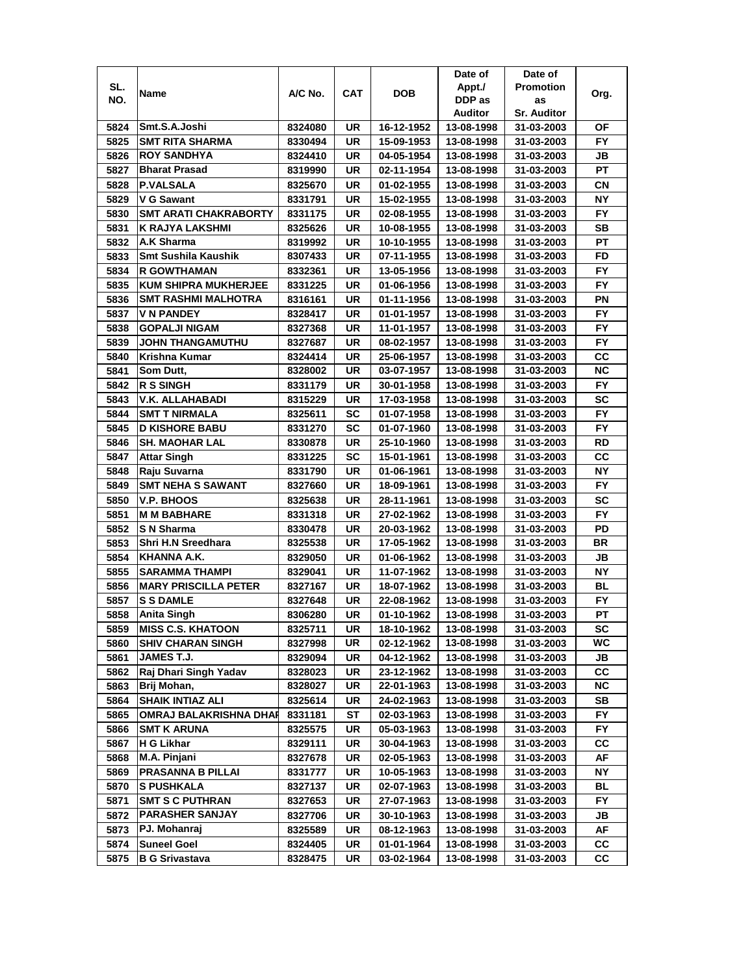|      |                              |         |     |            | Date of    | Date of            |           |
|------|------------------------------|---------|-----|------------|------------|--------------------|-----------|
| SL.  | Name                         | A/C No. | CAT | DOB        | Appt./     | <b>Promotion</b>   | Org.      |
| NO.  |                              |         |     |            | DDP as     | as                 |           |
|      |                              |         |     |            | Auditor    | <b>Sr. Auditor</b> |           |
| 5824 | Smt.S.A.Joshi                | 8324080 | UR  | 16-12-1952 | 13-08-1998 | 31-03-2003         | ΟF        |
| 5825 | <b>SMT RITA SHARMA</b>       | 8330494 | UR  | 15-09-1953 | 13-08-1998 | 31-03-2003         | <b>FY</b> |
| 5826 | <b>ROY SANDHYA</b>           | 8324410 | UR  | 04-05-1954 | 13-08-1998 | 31-03-2003         | JB        |
| 5827 | <b>Bharat Prasad</b>         | 8319990 | UR  | 02-11-1954 | 13-08-1998 | 31-03-2003         | PT        |
| 5828 | <b>P.VALSALA</b>             | 8325670 | UR  | 01-02-1955 | 13-08-1998 | 31-03-2003         | СN        |
| 5829 | V G Sawant                   | 8331791 | UR  | 15-02-1955 | 13-08-1998 | 31-03-2003         | NΥ        |
| 5830 | <b>SMT ARATI CHAKRABORTY</b> | 8331175 | UR  | 02-08-1955 | 13-08-1998 | 31-03-2003         | FY.       |
| 5831 | K RAJYA LAKSHMI              | 8325626 | UR  | 10-08-1955 | 13-08-1998 | 31-03-2003         | SВ        |
| 5832 | A.K Sharma                   | 8319992 | UR  | 10-10-1955 | 13-08-1998 | 31-03-2003         | РT        |
| 5833 | <b>Smt Sushila Kaushik</b>   | 8307433 | UR  | 07-11-1955 | 13-08-1998 | 31-03-2003         | <b>FD</b> |
| 5834 | <b>R GOWTHAMAN</b>           | 8332361 | UR  | 13-05-1956 | 13-08-1998 | 31-03-2003         | FY.       |
| 5835 | <b>KUM SHIPRA MUKHERJEE</b>  | 8331225 | UR  | 01-06-1956 | 13-08-1998 | 31-03-2003         | <b>FY</b> |
| 5836 | <b>SMT RASHMI MALHOTRA</b>   | 8316161 | UR  | 01-11-1956 | 13-08-1998 | 31-03-2003         | ΡN        |
| 5837 | <b>V N PANDEY</b>            | 8328417 | UR  | 01-01-1957 | 13-08-1998 | 31-03-2003         | FY        |
| 5838 | <b>GOPALJI NIGAM</b>         | 8327368 | UR  | 11-01-1957 | 13-08-1998 | 31-03-2003         | FY.       |
| 5839 | <b>JOHN THANGAMUTHU</b>      | 8327687 | UR  | 08-02-1957 | 13-08-1998 | 31-03-2003         | FY.       |
| 5840 | Krishna Kumar                | 8324414 | UR  | 25-06-1957 | 13-08-1998 | 31-03-2003         | CС        |
| 5841 | Som Dutt,                    | 8328002 | UR  | 03-07-1957 | 13-08-1998 | 31-03-2003         | ΝC        |
| 5842 | <b>R S SINGH</b>             | 8331179 | UR  | 30-01-1958 | 13-08-1998 | 31-03-2003         | <b>FY</b> |
| 5843 | V.K. ALLAHABADI              | 8315229 | UR  | 17-03-1958 | 13-08-1998 | 31-03-2003         | SC        |
| 5844 | <b>SMT T NIRMALA</b>         | 8325611 | SC  | 01-07-1958 | 13-08-1998 | 31-03-2003         | FY        |
| 5845 | <b>D KISHORE BABU</b>        | 8331270 | SC  | 01-07-1960 | 13-08-1998 | 31-03-2003         | FY        |
| 5846 | <b>SH. MAOHAR LAL</b>        | 8330878 | UR  | 25-10-1960 | 13-08-1998 | 31-03-2003         | RD        |
| 5847 | <b>Attar Singh</b>           | 8331225 | SC  | 15-01-1961 | 13-08-1998 | 31-03-2003         | CС        |
| 5848 | Raju Suvarna                 | 8331790 | UR  | 01-06-1961 | 13-08-1998 | 31-03-2003         | ΝY        |
| 5849 | <b>SMT NEHA S SAWANT</b>     | 8327660 | UR  | 18-09-1961 | 13-08-1998 | 31-03-2003         | FY        |
| 5850 | <b>V.P. BHOOS</b>            | 8325638 | UR  | 28-11-1961 | 13-08-1998 | 31-03-2003         | SC        |
| 5851 | <b>M M BABHARE</b>           | 8331318 | UR  | 27-02-1962 | 13-08-1998 | 31-03-2003         | <b>FY</b> |
| 5852 | S N Sharma                   | 8330478 | UR  | 20-03-1962 | 13-08-1998 | 31-03-2003         | PD        |
| 5853 | Shri H.N Sreedhara           | 8325538 | UR  | 17-05-1962 | 13-08-1998 | 31-03-2003         | <b>BR</b> |
| 5854 | KHANNA A.K.                  | 8329050 | UR  | 01-06-1962 | 13-08-1998 | 31-03-2003         | JB        |
| 5855 | <b>SARAMMA THAMPI</b>        | 8329041 | UR  | 11-07-1962 | 13-08-1998 | 31-03-2003         | ΝY        |
| 5856 | <b>MARY PRISCILLA PETER</b>  | 8327167 | UR  | 18-07-1962 | 13-08-1998 | 31-03-2003         | BL        |
| 5857 | <b>S S DAMLE</b>             | 8327648 | UR  | 22-08-1962 | 13-08-1998 | 31-03-2003         | FY.       |
| 5858 | Anita Singh                  | 8306280 | UR  | 01-10-1962 | 13-08-1998 | 31-03-2003         | PT        |
| 5859 | <b>MISS C.S. KHATOON</b>     | 8325711 | UR  | 18-10-1962 | 13-08-1998 | 31-03-2003         | SC        |
| 5860 | <b>SHIV CHARAN SINGH</b>     | 8327998 | UR  | 02-12-1962 | 13-08-1998 | 31-03-2003         | WС        |
| 5861 | JAMES T.J.                   | 8329094 | UR  | 04-12-1962 | 13-08-1998 | 31-03-2003         | JB        |
| 5862 | Raj Dhari Singh Yadav        | 8328023 | UR  | 23-12-1962 | 13-08-1998 | 31-03-2003         | <b>CC</b> |
| 5863 | Brij Mohan,                  | 8328027 | UR  | 22-01-1963 | 13-08-1998 | 31-03-2003         | NC.       |
| 5864 | <b>SHAIK INTIAZ ALI</b>      | 8325614 | UR  | 24-02-1963 | 13-08-1998 | 31-03-2003         | SB        |
| 5865 | OMRAJ BALAKRISHNA DHAI       | 8331181 | ST  | 02-03-1963 | 13-08-1998 | 31-03-2003         | FY.       |
| 5866 | <b>SMT K ARUNA</b>           | 8325575 | UR  | 05-03-1963 | 13-08-1998 | 31-03-2003         | <b>FY</b> |
| 5867 | H G Likhar                   | 8329111 | UR  | 30-04-1963 | 13-08-1998 | 31-03-2003         | CC        |
| 5868 | M.A. Pinjani                 | 8327678 | UR  | 02-05-1963 | 13-08-1998 | 31-03-2003         | AF        |
| 5869 | <b>PRASANNA B PILLAI</b>     | 8331777 | UR  | 10-05-1963 | 13-08-1998 | 31-03-2003         | NΥ        |
| 5870 | <b>S PUSHKALA</b>            | 8327137 | UR  | 02-07-1963 | 13-08-1998 | 31-03-2003         | BL        |
| 5871 | <b>SMT S C PUTHRAN</b>       | 8327653 | UR  | 27-07-1963 | 13-08-1998 | 31-03-2003         | FY.       |
| 5872 | <b>PARASHER SANJAY</b>       | 8327706 | UR  | 30-10-1963 | 13-08-1998 | 31-03-2003         | JB        |
| 5873 | PJ. Mohanraj                 | 8325589 | UR  | 08-12-1963 | 13-08-1998 | 31-03-2003         | AF        |
| 5874 | <b>Suneel Goel</b>           | 8324405 | UR  | 01-01-1964 | 13-08-1998 | 31-03-2003         | CС        |
| 5875 | <b>B G Srivastava</b>        | 8328475 | UR  | 03-02-1964 | 13-08-1998 | 31-03-2003         | CС        |
|      |                              |         |     |            |            |                    |           |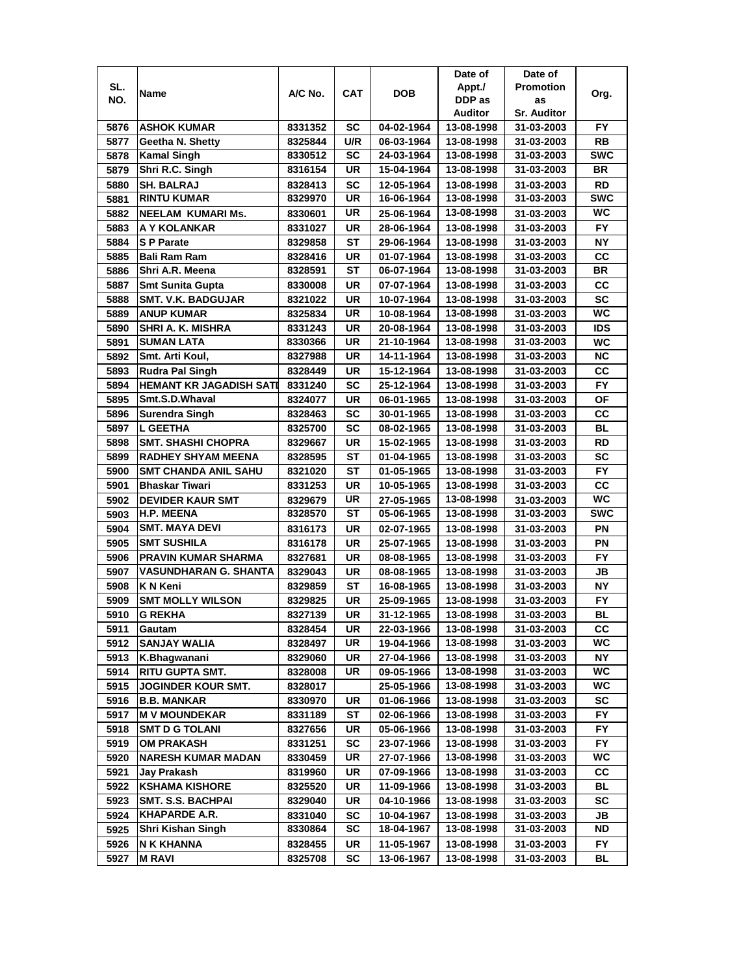|      |                                |         |            |            | Date of    | Date of            |            |
|------|--------------------------------|---------|------------|------------|------------|--------------------|------------|
| SL.  | Name                           | A/C No. | <b>CAT</b> | DOB        | Appt./     | <b>Promotion</b>   |            |
| NO.  |                                |         |            |            | DDP as     | as                 | Org.       |
|      |                                |         |            |            | Auditor    | <b>Sr. Auditor</b> |            |
| 5876 | <b>ASHOK KUMAR</b>             | 8331352 | SC         | 04-02-1964 | 13-08-1998 | 31-03-2003         | FY.        |
| 5877 | Geetha N. Shetty               | 8325844 | U/R        | 06-03-1964 | 13-08-1998 | 31-03-2003         | RB         |
| 5878 | <b>Kamal Singh</b>             | 8330512 | SC         | 24-03-1964 | 13-08-1998 | 31-03-2003         | <b>SWC</b> |
| 5879 | Shri R.C. Singh                | 8316154 | UR         | 15-04-1964 | 13-08-1998 | 31-03-2003         | BR         |
| 5880 | <b>SH. BALRAJ</b>              | 8328413 | SC         | 12-05-1964 | 13-08-1998 | 31-03-2003         | <b>RD</b>  |
| 5881 | <b>RINTU KUMAR</b>             | 8329970 | <b>UR</b>  | 16-06-1964 | 13-08-1998 | 31-03-2003         | <b>SWC</b> |
| 5882 | <b>NEELAM KUMARIMS.</b>        | 8330601 | UR         | 25-06-1964 | 13-08-1998 | 31-03-2003         | <b>WC</b>  |
| 5883 | A Y KOLANKAR                   | 8331027 | UR         | 28-06-1964 | 13-08-1998 | 31-03-2003         | FY.        |
| 5884 | <b>SP Parate</b>               | 8329858 | ST         | 29-06-1964 | 13-08-1998 | 31-03-2003         | <b>NY</b>  |
| 5885 | Bali Ram Ram                   | 8328416 | UR         | 01-07-1964 | 13-08-1998 | 31-03-2003         | CС         |
| 5886 | Shri A.R. Meena                | 8328591 | <b>ST</b>  | 06-07-1964 | 13-08-1998 | 31-03-2003         | <b>BR</b>  |
| 5887 | <b>Smt Sunita Gupta</b>        | 8330008 | UR         | 07-07-1964 | 13-08-1998 | 31-03-2003         | cc         |
| 5888 | <b>SMT. V.K. BADGUJAR</b>      | 8321022 | <b>UR</b>  | 10-07-1964 | 13-08-1998 | 31-03-2003         | <b>SC</b>  |
| 5889 | <b>ANUP KUMAR</b>              | 8325834 | UR         | 10-08-1964 | 13-08-1998 | 31-03-2003         | WC         |
| 5890 | SHRI A. K. MISHRA              | 8331243 | UR         | 20-08-1964 | 13-08-1998 | 31-03-2003         | <b>IDS</b> |
| 5891 | <b>SUMAN LATA</b>              | 8330366 | UR         | 21-10-1964 | 13-08-1998 | 31-03-2003         | WC         |
| 5892 | Smt. Arti Koul,                | 8327988 | UR         | 14-11-1964 | 13-08-1998 | 31-03-2003         | <b>NC</b>  |
| 5893 | <b>Rudra Pal Singh</b>         | 8328449 | UR         | 15-12-1964 | 13-08-1998 | 31-03-2003         | CС         |
| 5894 | <b>HEMANT KR JAGADISH SATI</b> | 8331240 | SC         | 25-12-1964 | 13-08-1998 | 31-03-2003         | FY.        |
| 5895 | Smt.S.D.Whaval                 | 8324077 | UR         | 06-01-1965 | 13-08-1998 | 31-03-2003         | OF         |
| 5896 | Surendra Singh                 | 8328463 | SC         | 30-01-1965 | 13-08-1998 | 31-03-2003         | CC         |
| 5897 | <b>L GEETHA</b>                | 8325700 | SC         | 08-02-1965 | 13-08-1998 | 31-03-2003         | <b>BL</b>  |
| 5898 | <b>SMT. SHASHI CHOPRA</b>      | 8329667 | UR         | 15-02-1965 | 13-08-1998 | 31-03-2003         | <b>RD</b>  |
| 5899 | <b>RADHEY SHYAM MEENA</b>      | 8328595 | SТ         | 01-04-1965 | 13-08-1998 | 31-03-2003         | <b>SC</b>  |
| 5900 | <b>SMT CHANDA ANIL SAHU</b>    | 8321020 | ST         | 01-05-1965 | 13-08-1998 | 31-03-2003         | <b>FY</b>  |
| 5901 | <b>Bhaskar Tiwari</b>          | 8331253 | UR         | 10-05-1965 | 13-08-1998 | 31-03-2003         | cc         |
| 5902 | <b>DEVIDER KAUR SMT</b>        | 8329679 | UR         | 27-05-1965 | 13-08-1998 | 31-03-2003         | <b>WC</b>  |
| 5903 | <b>H.P. MEENA</b>              | 8328570 | <b>ST</b>  | 05-06-1965 | 13-08-1998 | 31-03-2003         | <b>SWC</b> |
| 5904 | <b>SMT. MAYA DEVI</b>          | 8316173 | <b>UR</b>  | 02-07-1965 | 13-08-1998 | 31-03-2003         | PN         |
| 5905 | <b>SMT SUSHILA</b>             | 8316178 | UR         | 25-07-1965 | 13-08-1998 | 31-03-2003         | PN         |
| 5906 | <b>PRAVIN KUMAR SHARMA</b>     | 8327681 | UR         | 08-08-1965 | 13-08-1998 | 31-03-2003         | <b>FY</b>  |
| 5907 | <b>VASUNDHARAN G. SHANTA</b>   | 8329043 | UR         | 08-08-1965 | 13-08-1998 | 31-03-2003         | JВ         |
| 5908 | <b>KN Keni</b>                 | 8329859 | ST         | 16-08-1965 | 13-08-1998 | 31-03-2003         | ΝY         |
| 5909 | <b>SMT MOLLY WILSON</b>        | 8329825 | UR         | 25-09-1965 | 13-08-1998 | 31-03-2003         | <b>FY</b>  |
| 5910 | <b>G REKHA</b>                 | 8327139 | UR         | 31-12-1965 | 13-08-1998 | 31-03-2003         | BL         |
| 5911 | Gautam                         | 8328454 | UR         | 22-03-1966 | 13-08-1998 | 31-03-2003         | cc         |
| 5912 | <b>SANJAY WALIA</b>            | 8328497 | UR         | 19-04-1966 | 13-08-1998 | 31-03-2003         | WC         |
| 5913 | K.Bhagwanani                   | 8329060 | UR         | 27-04-1966 | 13-08-1998 | 31-03-2003         | <b>NY</b>  |
| 5914 | <b>RITU GUPTA SMT.</b>         | 8328008 | UR         | 09-05-1966 | 13-08-1998 | 31-03-2003         | WC         |
| 5915 | <b>JOGINDER KOUR SMT.</b>      | 8328017 |            | 25-05-1966 | 13-08-1998 | 31-03-2003         | WC.        |
| 5916 | <b>B.B. MANKAR</b>             | 8330970 | UR         | 01-06-1966 | 13-08-1998 | 31-03-2003         | SC         |
| 5917 | <b>M V MOUNDEKAR</b>           | 8331189 | ST         | 02-06-1966 | 13-08-1998 | 31-03-2003         | FY.        |
| 5918 | <b>SMT D G TOLANI</b>          | 8327656 | UR         | 05-06-1966 | 13-08-1998 | 31-03-2003         | FY         |
| 5919 | OM PRAKASH                     | 8331251 | <b>SC</b>  | 23-07-1966 | 13-08-1998 | 31-03-2003         | FY.        |
| 5920 | <b>NARESH KUMAR MADAN</b>      | 8330459 | UR         | 27-07-1966 | 13-08-1998 | 31-03-2003         | WC         |
| 5921 | Jay Prakash                    | 8319960 | UR         | 07-09-1966 | 13-08-1998 | 31-03-2003         | СC         |
| 5922 | <b>KSHAMA KISHORE</b>          | 8325520 | UR         | 11-09-1966 | 13-08-1998 | 31-03-2003         | <b>BL</b>  |
| 5923 | <b>SMT. S.S. BACHPAI</b>       | 8329040 | UR         | 04-10-1966 | 13-08-1998 | 31-03-2003         | SC         |
| 5924 | <b>KHAPARDE A.R.</b>           | 8331040 | <b>SC</b>  | 10-04-1967 | 13-08-1998 | 31-03-2003         | JB         |
| 5925 | Shri Kishan Singh              | 8330864 | SC         | 18-04-1967 | 13-08-1998 | 31-03-2003         | ND         |
| 5926 | N K KHANNA                     | 8328455 | UR         | 11-05-1967 | 13-08-1998 | 31-03-2003         | FY         |
| 5927 | M RAVI                         | 8325708 | SC         | 13-06-1967 | 13-08-1998 | 31-03-2003         | BL         |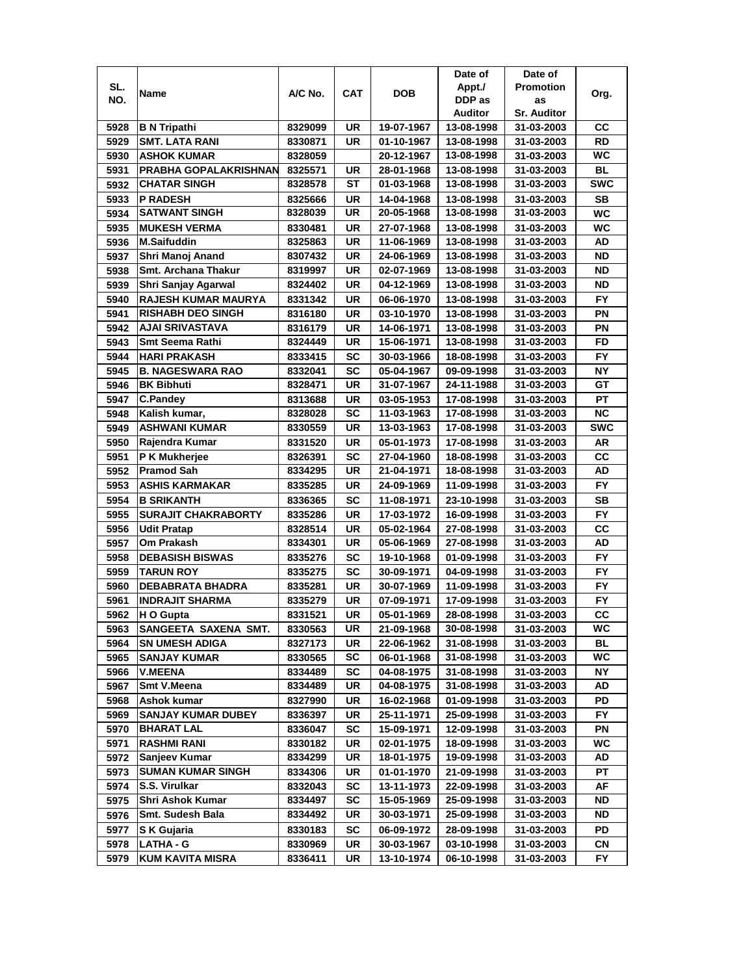|      |                              |                    |           |            | Date of                  | Date of                  |            |
|------|------------------------------|--------------------|-----------|------------|--------------------------|--------------------------|------------|
| SL.  | Name                         | A/C No.            | CAT       | <b>DOB</b> | Appt./                   | <b>Promotion</b>         | Org.       |
| NO.  |                              |                    |           |            | DDP as                   | as                       |            |
|      |                              |                    |           |            | Auditor                  | <b>Sr. Auditor</b>       |            |
| 5928 | <b>B N Tripathi</b>          | 8329099            | UR        | 19-07-1967 | 13-08-1998               | 31-03-2003               | CС         |
| 5929 | SMT. LATA RANI               | 8330871            | UR        | 01-10-1967 | 13-08-1998               | 31-03-2003               | RD         |
| 5930 | <b>ASHOK KUMAR</b>           | 8328059            |           | 20-12-1967 | 13-08-1998               | 31-03-2003               | <b>WC</b>  |
| 5931 | <b>PRABHA GOPALAKRISHNAN</b> | 8325571            | UR        | 28-01-1968 | 13-08-1998               | 31-03-2003               | <b>BL</b>  |
| 5932 | <b>CHATAR SINGH</b>          | 8328578            | ST        | 01-03-1968 | 13-08-1998               | 31-03-2003               | <b>SWC</b> |
| 5933 | <b>P RADESH</b>              | 8325666            | UR        | 14-04-1968 | 13-08-1998               | 31-03-2003               | SB         |
| 5934 | <b>SATWANT SINGH</b>         | 8328039            | UR        | 20-05-1968 | 13-08-1998               | 31-03-2003               | <b>WC</b>  |
| 5935 | <b>MUKESH VERMA</b>          | 8330481            | UR        | 27-07-1968 | 13-08-1998               | 31-03-2003               | <b>WC</b>  |
| 5936 | <b>M.Saifuddin</b>           | 8325863            | UR        | 11-06-1969 | 13-08-1998               | 31-03-2003               | AD         |
| 5937 | Shri Manoj Anand             | 8307432            | UR        | 24-06-1969 | 13-08-1998               | 31-03-2003               | <b>ND</b>  |
| 5938 | Smt. Archana Thakur          | 8319997            | UR        | 02-07-1969 | 13-08-1998               | 31-03-2003               | <b>ND</b>  |
| 5939 | Shri Sanjay Agarwal          | 8324402            | UR        | 04-12-1969 | 13-08-1998               | 31-03-2003               | <b>ND</b>  |
| 5940 | <b>RAJESH KUMAR MAURYA</b>   | 8331342            | UR        | 06-06-1970 | 13-08-1998               | 31-03-2003               | <b>FY</b>  |
| 5941 | <b>RISHABH DEO SINGH</b>     | 8316180            | UR        | 03-10-1970 | 13-08-1998               | 31-03-2003               | PN         |
| 5942 | AJAI SRIVASTAVA              | 8316179            | UR        | 14-06-1971 | 13-08-1998               | 31-03-2003               | ΡN         |
| 5943 | <b>Smt Seema Rathi</b>       | 8324449            | UR        | 15-06-1971 | 13-08-1998               | 31-03-2003               | FD         |
| 5944 | <b>HARI PRAKASH</b>          | 8333415            | SC        | 30-03-1966 | 18-08-1998               | 31-03-2003               | FY.        |
| 5945 | <b>B. NAGESWARA RAO</b>      |                    | SC        |            |                          | 31-03-2003               | NΥ         |
|      | <b>BK Bibhuti</b>            | 8332041            | UR        | 05-04-1967 | 09-09-1998<br>24-11-1988 |                          | GT         |
| 5946 |                              | 8328471            |           | 31-07-1967 |                          | 31-03-2003               |            |
| 5947 | <b>C.Pandey</b>              | 8313688            | UR        | 03-05-1953 | 17-08-1998               | 31-03-2003               | РT         |
| 5948 | Kalish kumar,                | 8328028            | <b>SC</b> | 11-03-1963 | 17-08-1998               | 31-03-2003               | <b>NC</b>  |
| 5949 | <b>ASHWANI KUMAR</b>         | 8330559            | UR        | 13-03-1963 | 17-08-1998               | 31-03-2003               | <b>SWC</b> |
| 5950 | Rajendra Kumar               | 8331520            | UR        | 05-01-1973 | 17-08-1998               | 31-03-2003               | AR         |
| 5951 | P K Mukherjee                | 8326391            | SC        | 27-04-1960 | 18-08-1998               | 31-03-2003               | CC         |
| 5952 | <b>Pramod Sah</b>            | 8334295            | <b>UR</b> | 21-04-1971 | 18-08-1998               | 31-03-2003               | AD         |
| 5953 | <b>ASHIS KARMAKAR</b>        | 8335285            | UR        | 24-09-1969 | 11-09-1998               | 31-03-2003               | FY.        |
| 5954 | <b>B SRIKANTH</b>            | 8336365            | <b>SC</b> | 11-08-1971 | 23-10-1998               | 31-03-2003               | <b>SB</b>  |
| 5955 | <b>SURAJIT CHAKRABORTY</b>   | 8335286            | UR        | 17-03-1972 | 16-09-1998               | 31-03-2003               | <b>FY</b>  |
| 5956 | <b>Udit Pratap</b>           | 8328514            | UR        | 05-02-1964 | 27-08-1998               | 31-03-2003               | cc         |
| 5957 | Om Prakash                   | 8334301            | UR        | 05-06-1969 | 27-08-1998               | 31-03-2003               | AD         |
| 5958 | <b>DEBASISH BISWAS</b>       | 8335276            | SC        | 19-10-1968 | 01-09-1998               | 31-03-2003               | <b>FY</b>  |
| 5959 | <b>TARUN ROY</b>             | 8335275            | SC        | 30-09-1971 | 04-09-1998               | 31-03-2003               | FY.        |
| 5960 | <b>DEBABRATA BHADRA</b>      | 8335281            | UR        | 30-07-1969 | 11-09-1998               | 31-03-2003               | FY.        |
| 5961 | <b>INDRAJIT SHARMA</b>       | 8335279            | UR        | 07-09-1971 | 17-09-1998               | 31-03-2003               | FY.        |
| 5962 | H O Gupta                    | 8331521            | UR        | 05-01-1969 | 28-08-1998               | 31-03-2003               | cc         |
| 5963 | SANGEETA SAXENA SMT.         | 8330563            | UR        | 21-09-1968 | 30-08-1998               | 31-03-2003               | WC         |
| 5964 | <b>SN UMESH ADIGA</b>        | 8327173            | UR        | 22-06-1962 | 31-08-1998               | 31-03-2003               | BL         |
| 5965 | <b>SANJAY KUMAR</b>          | 8330565            | SC        | 06-01-1968 | 31-08-1998               | 31-03-2003               | WC.        |
| 5966 | <b>V.MEENA</b>               | 8334489            | <b>SC</b> | 04-08-1975 | 31-08-1998               | 31-03-2003               | NΥ         |
| 5967 | Smt V.Meena                  | 8334489            | UR        | 04-08-1975 | 31-08-1998               | 31-03-2003               | AD         |
| 5968 | Ashok kumar                  | 8327990            | UR        | 16-02-1968 | 01-09-1998               | 31-03-2003               | PD         |
| 5969 | <b>SANJAY KUMAR DUBEY</b>    | 8336397            | UR        | 25-11-1971 | 25-09-1998               | 31-03-2003               | FY.        |
| 5970 | <b>BHARAT LAL</b>            | 8336047            | <b>SC</b> | 15-09-1971 | 12-09-1998               | 31-03-2003               | PN         |
| 5971 | <b>RASHMI RANI</b>           |                    | UR        | 02-01-1975 | 18-09-1998               |                          | WC         |
| 5972 | Sanjeev Kumar                | 8330182<br>8334299 | UR        | 18-01-1975 | 19-09-1998               | 31-03-2003<br>31-03-2003 | AD         |
|      | <b>SUMAN KUMAR SINGH</b>     |                    |           |            | 21-09-1998               |                          | PT         |
| 5973 | S.S. Virulkar                | 8334306            | UR        | 01-01-1970 |                          | 31-03-2003               |            |
| 5974 |                              | 8332043            | SC        | 13-11-1973 | 22-09-1998               | 31-03-2003               | AF         |
| 5975 | Shri Ashok Kumar             | 8334497            | SC        | 15-05-1969 | 25-09-1998               | 31-03-2003               | ND         |
| 5976 | Smt. Sudesh Bala             | 8334492            | UR        | 30-03-1971 | 25-09-1998               | 31-03-2003               | ND         |
| 5977 | S K Gujaria                  | 8330183            | SC        | 06-09-1972 | 28-09-1998               | 31-03-2003               | PD         |
| 5978 | LATHA - G                    | 8330969            | UR        | 30-03-1967 | 03-10-1998               | 31-03-2003               | CN         |
| 5979 | KUM KAVITA MISRA             | 8336411            | UR        | 13-10-1974 | 06-10-1998               | 31-03-2003               | FY         |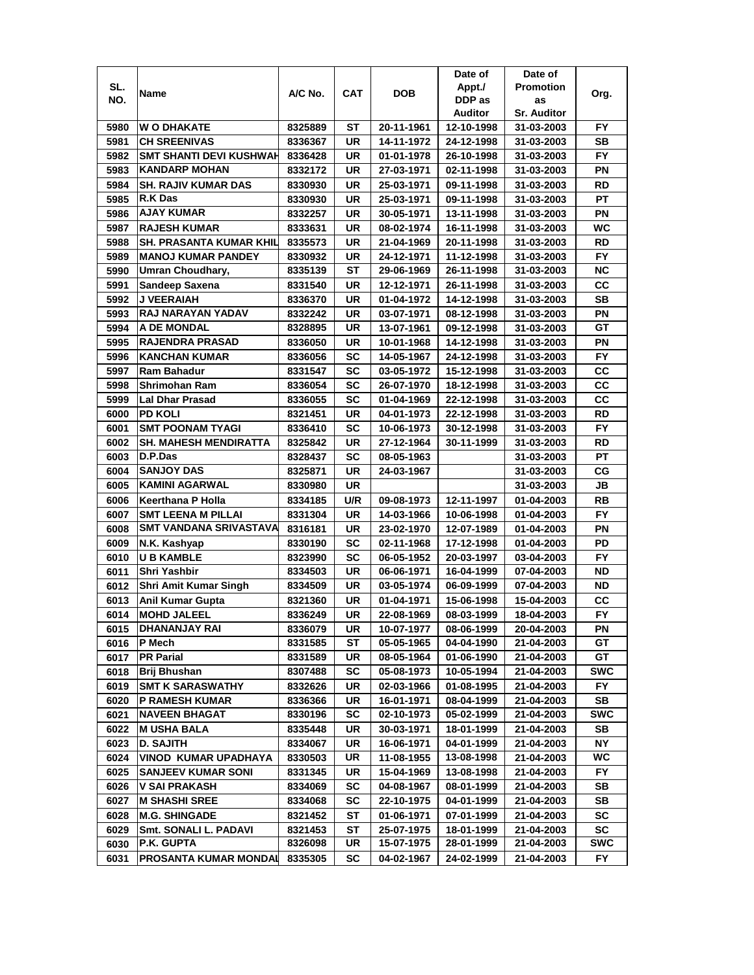|              |                                            |                    |            |                          | Date of                  | Date of                  |                 |
|--------------|--------------------------------------------|--------------------|------------|--------------------------|--------------------------|--------------------------|-----------------|
| SL.          | Name                                       | A/C No.            | <b>CAT</b> | <b>DOB</b>               | Appt./                   | <b>Promotion</b>         | Org.            |
| NO.          |                                            |                    |            |                          | DDP as                   | as                       |                 |
|              |                                            |                    |            |                          | Auditor                  | <b>Sr. Auditor</b>       |                 |
| 5980         | <b>W O DHAKATE</b>                         | 8325889            | ST         | 20-11-1961               | 12-10-1998               | 31-03-2003               | FY              |
| 5981         | <b>CH SREENIVAS</b>                        | 8336367            | UR         | 14-11-1972               | 24-12-1998               | 31-03-2003               | <b>SB</b>       |
| 5982         | <b>SMT SHANTI DEVI KUSHWAH</b>             | 8336428            | UR         | 01-01-1978               | 26-10-1998               | 31-03-2003               | <b>FY</b>       |
| 5983         | <b>KANDARP MOHAN</b>                       | 8332172            | UR         | 27-03-1971               | 02-11-1998               | 31-03-2003               | PN              |
| 5984         | <b>SH. RAJIV KUMAR DAS</b>                 | 8330930            | UR         | 25-03-1971               | 09-11-1998               | 31-03-2003               | RD              |
| 5985         | <b>R.K Das</b>                             | 8330930            | UR         | 25-03-1971               | 09-11-1998               | 31-03-2003               | PT              |
| 5986         | <b>AJAY KUMAR</b>                          | 8332257            | UR         | 30-05-1971               | 13-11-1998               | 31-03-2003               | PN              |
| 5987         | <b>RAJESH KUMAR</b>                        | 8333631            | UR         | 08-02-1974               | 16-11-1998               | 31-03-2003               | WC              |
| 5988         | SH. PRASANTA KUMAR KHIL                    | 8335573            | UR         | 21-04-1969               | 20-11-1998               | 31-03-2003               | RD              |
| 5989         | <b>MANOJ KUMAR PANDEY</b>                  | 8330932            | UR         | 24-12-1971               | 11-12-1998               | 31-03-2003               | <b>FY</b>       |
| 5990         | Umran Choudhary,                           | 8335139            | ST         | 29-06-1969               | 26-11-1998               | 31-03-2003               | <b>NC</b>       |
| 5991         | Sandeep Saxena                             | 8331540            | <b>UR</b>  | 12-12-1971               | 26-11-1998               | 31-03-2003               | cc              |
| 5992         | J VEERAIAH                                 | 8336370            | UR         | 01-04-1972               | 14-12-1998               | 31-03-2003               | <b>SB</b>       |
| 5993         | RAJ NARAYAN YADAV                          | 8332242            | UR         | 03-07-1971               | 08-12-1998               | 31-03-2003               | PN              |
| 5994         | <b>A DE MONDAL</b>                         | 8328895            | UR         | 13-07-1961               | 09-12-1998               | 31-03-2003               | GТ              |
| 5995         | <b>RAJENDRA PRASAD</b>                     | 8336050            | UR         | 10-01-1968               | 14-12-1998               | 31-03-2003               | ΡN              |
| 5996         | <b>KANCHAN KUMAR</b>                       | 8336056            | SC         | 14-05-1967               | 24-12-1998               | 31-03-2003               | FY.             |
| 5997         | <b>Ram Bahadur</b>                         | 8331547            | SC         | 03-05-1972               | 15-12-1998               | 31-03-2003               | CС              |
| 5998         | <b>Shrimohan Ram</b>                       | 8336054            | SC         | 26-07-1970               | 18-12-1998               |                          | CC              |
| 5999         | <b>Lal Dhar Prasad</b>                     | 8336055            | SC         |                          |                          | 31-03-2003               | CC              |
|              |                                            |                    |            | 01-04-1969               | 22-12-1998               | 31-03-2003               | <b>RD</b>       |
| 6000         | <b>PD KOLI</b><br><b>SMT POONAM TYAGI</b>  | 8321451            | UR         | 04-01-1973               | 22-12-1998               | 31-03-2003               | FY              |
| 6001         |                                            | 8336410            | SC         | 10-06-1973               | 30-12-1998               | 31-03-2003               |                 |
| 6002         | <b>SH. MAHESH MENDIRATTA</b><br>D.P.Das    | 8325842            | UR         | 27-12-1964               | 30-11-1999               | 31-03-2003               | <b>RD</b>       |
| 6003         |                                            | 8328437            | SC         | 08-05-1963               |                          | 31-03-2003               | PT              |
| 6004         | <b>SANJOY DAS</b><br><b>KAMINI AGARWAL</b> | 8325871            | UR         | 24-03-1967               |                          | 31-03-2003               | CG              |
| 6005<br>6006 | <b>Keerthana P Holla</b>                   | 8330980            | UR<br>U/R  | 09-08-1973               | 12-11-1997               | 31-03-2003               | JB<br><b>RB</b> |
| 6007         | <b>SMT LEENA M PILLAI</b>                  | 8334185<br>8331304 | <b>UR</b>  | 14-03-1966               | 10-06-1998               | 01-04-2003<br>01-04-2003 | <b>FY</b>       |
| 6008         | <b>SMT VANDANA SRIVASTAVA</b>              | 8316181            | UR         | 23-02-1970               | 12-07-1989               | 01-04-2003               | PN              |
| 6009         | N.K. Kashyap                               | 8330190            | SC         | 02-11-1968               | 17-12-1998               | 01-04-2003               | PD              |
| 6010         | <b>U B KAMBLE</b>                          | 8323990            | SC         | 06-05-1952               | 20-03-1997               | 03-04-2003               | <b>FY</b>       |
| 6011         | Shri Yashbir                               | 8334503            | UR         | 06-06-1971               | 16-04-1999               | 07-04-2003               | ND              |
| 6012         | <b>Shri Amit Kumar Singh</b>               | 8334509            | UR         | 03-05-1974               | 06-09-1999               | 07-04-2003               | ND              |
|              |                                            |                    |            |                          |                          |                          |                 |
| 6013         | Anil Kumar Gupta                           | 8321360            | UR         | 01-04-1971               | 15-06-1998               | 15-04-2003               | CС<br><b>FY</b> |
| 6014         | <b>MOHD JALEEL</b><br>DHANANJAY RAI        | 8336249            | UR<br>UR   | 22-08-1969<br>10-07-1977 | 08-03-1999<br>08-06-1999 | 18-04-2003<br>20-04-2003 | ΡN              |
| 6015<br>6016 | P Mech                                     | 8336079<br>8331585 | ST         | 05-05-1965               | 04-04-1990               | 21-04-2003               | GT              |
| 6017         | <b>PR Parial</b>                           | 8331589            | UR         | 08-05-1964               | 01-06-1990               | 21-04-2003               | GТ              |
| 6018         | Brij Bhushan                               | 8307488            | <b>SC</b>  | 05-08-1973               | 10-05-1994               | 21-04-2003               | <b>SWC</b>      |
| 6019         | <b>SMT K SARASWATHY</b>                    | 8332626            | UR         | 02-03-1966               | 01-08-1995               | 21-04-2003               | FY.             |
| 6020         | <b>P RAMESH KUMAR</b>                      | 8336366            | UR         | 16-01-1971               | 08-04-1999               | 21-04-2003               | SВ              |
|              | <b>NAVEEN BHAGAT</b>                       | 8330196            | SC         | 02-10-1973               | 05-02-1999               | 21-04-2003               | <b>SWC</b>      |
| 6021         |                                            | 8335448            |            |                          |                          |                          |                 |
| 6022         | <b>M USHA BALA</b>                         |                    | UR         | 30-03-1971               | 18-01-1999               | 21-04-2003               | SB              |
| 6023         | <b>D. SAJITH</b>                           | 8334067            | UR<br>UR   | 16-06-1971               | 04-01-1999<br>13-08-1998 | 21-04-2003<br>21-04-2003 | <b>NY</b><br>WC |
| 6024         | <b>VINOD KUMAR UPADHAYA</b>                | 8330503            |            | 11-08-1955               |                          |                          |                 |
| 6025         | <b>SANJEEV KUMAR SONI</b>                  | 8331345            | UR         | 15-04-1969               | 13-08-1998<br>08-01-1999 | 21-04-2003               | <b>FY</b>       |
| 6026         | <b>V SAI PRAKASH</b>                       | 8334069            | <b>SC</b>  | 04-08-1967               |                          | 21-04-2003               | SB              |
| 6027         | <b>M SHASHI SREE</b>                       | 8334068            | SC         | 22-10-1975               | 04-01-1999               | 21-04-2003               | SB              |
| 6028         | <b>M.G. SHINGADE</b>                       | 8321452            | ST         | 01-06-1971               | 07-01-1999               | 21-04-2003               | SC              |
| 6029         | Smt. SONALI L. PADAVI<br>P.K. GUPTA        | 8321453            | ST<br>UR   | 25-07-1975<br>15-07-1975 | 18-01-1999<br>28-01-1999 | 21-04-2003               | SC<br>SWC       |
| 6030         | PROSANTA KUMAR MONDAI                      | 8326098            |            |                          |                          | 21-04-2003               | FY              |
| 6031         |                                            | 8335305            | SC         | 04-02-1967               | 24-02-1999               | 21-04-2003               |                 |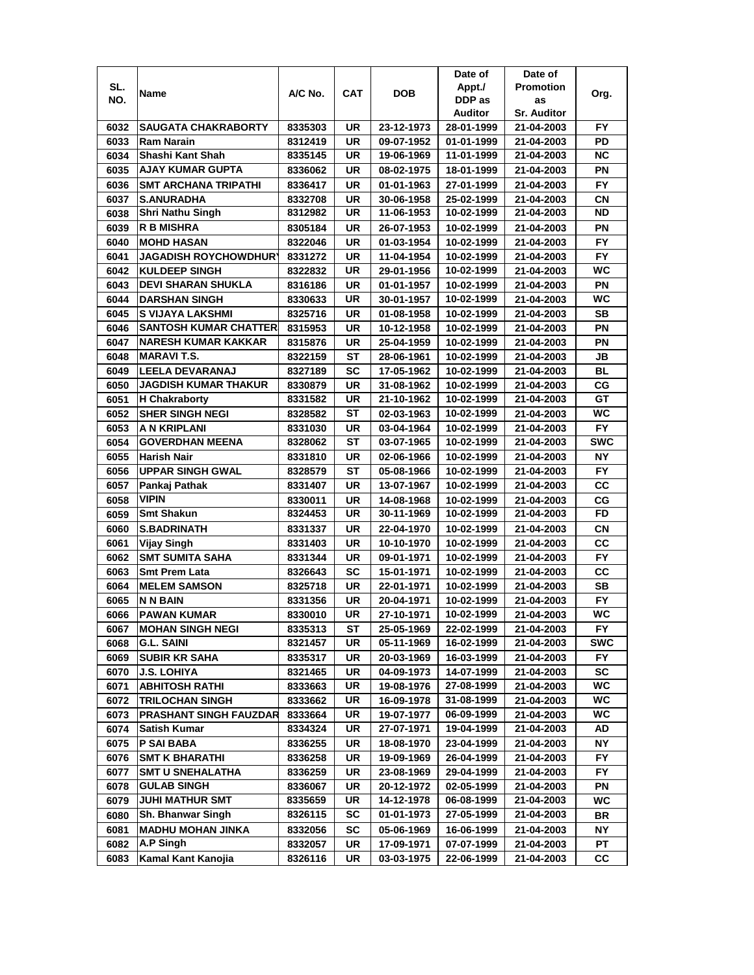|      |                               |         |     |            | Date of    | Date of            |            |
|------|-------------------------------|---------|-----|------------|------------|--------------------|------------|
| SL.  |                               | A/C No. | CAT | <b>DOB</b> | Appt./     | <b>Promotion</b>   |            |
| NO.  | Name                          |         |     |            | DDP as     | as                 | Org.       |
|      |                               |         |     |            | Auditor    | <b>Sr. Auditor</b> |            |
| 6032 | <b>SAUGATA CHAKRABORTY</b>    | 8335303 | UR  | 23-12-1973 | 28-01-1999 | 21-04-2003         | FY.        |
| 6033 | <b>Ram Narain</b>             | 8312419 | UR  | 09-07-1952 | 01-01-1999 | 21-04-2003         | PD         |
| 6034 | Shashi Kant Shah              | 8335145 | UR  | 19-06-1969 | 11-01-1999 | 21-04-2003         | <b>NC</b>  |
| 6035 | <b>AJAY KUMAR GUPTA</b>       | 8336062 | UR  | 08-02-1975 | 18-01-1999 | 21-04-2003         | PN         |
| 6036 | <b>SMT ARCHANA TRIPATHI</b>   | 8336417 | UR  | 01-01-1963 | 27-01-1999 | 21-04-2003         | <b>FY</b>  |
| 6037 | <b>S.ANURADHA</b>             | 8332708 | UR  | 30-06-1958 | 25-02-1999 | 21-04-2003         | СN         |
| 6038 | Shri Nathu Singh              | 8312982 | UR  | 11-06-1953 | 10-02-1999 | 21-04-2003         | ND         |
| 6039 | R B MISHRA                    | 8305184 | UR  | 26-07-1953 | 10-02-1999 | 21-04-2003         | ΡN         |
| 6040 | <b>MOHD HASAN</b>             | 8322046 | UR  | 01-03-1954 | 10-02-1999 | 21-04-2003         | <b>FY</b>  |
| 6041 | <b>JAGADISH ROYCHOWDHURY</b>  | 8331272 | UR  | 11-04-1954 | 10-02-1999 | 21-04-2003         | FY.        |
| 6042 | <b>KULDEEP SINGH</b>          | 8322832 | UR  | 29-01-1956 | 10-02-1999 | 21-04-2003         | WC         |
| 6043 | <b>DEVI SHARAN SHUKLA</b>     | 8316186 | UR  | 01-01-1957 | 10-02-1999 | 21-04-2003         | PN         |
| 6044 | <b>DARSHAN SINGH</b>          | 8330633 | UR  | 30-01-1957 | 10-02-1999 | 21-04-2003         | WC         |
| 6045 | <b>S VIJAYA LAKSHMI</b>       | 8325716 | UR  | 01-08-1958 | 10-02-1999 | 21-04-2003         | SВ         |
| 6046 | <b>SANTOSH KUMAR CHATTER</b>  | 8315953 | UR  | 10-12-1958 | 10-02-1999 | 21-04-2003         | PN         |
| 6047 | <b>NARESH KUMAR KAKKAR</b>    | 8315876 | UR  | 25-04-1959 | 10-02-1999 | 21-04-2003         | ΡN         |
| 6048 | <b>MARAVIT.S.</b>             | 8322159 | ST  | 28-06-1961 | 10-02-1999 | 21-04-2003         | JB         |
| 6049 | <b>LEELA DEVARANAJ</b>        | 8327189 | SC  | 17-05-1962 | 10-02-1999 | 21-04-2003         | BL         |
| 6050 | <b>JAGDISH KUMAR THAKUR</b>   | 8330879 | UR  | 31-08-1962 | 10-02-1999 | 21-04-2003         | СG         |
| 6051 | <b>H</b> Chakraborty          | 8331582 | UR  | 21-10-1962 | 10-02-1999 | 21-04-2003         | GT         |
| 6052 | <b>SHER SINGH NEGI</b>        | 8328582 | SТ  | 02-03-1963 | 10-02-1999 | 21-04-2003         | <b>WC</b>  |
| 6053 | A N KRIPLANI                  | 8331030 | UR  | 03-04-1964 | 10-02-1999 | 21-04-2003         | <b>FY</b>  |
| 6054 | <b>GOVERDHAN MEENA</b>        | 8328062 | ST  | 03-07-1965 | 10-02-1999 | 21-04-2003         | <b>SWC</b> |
| 6055 | Harish Nair                   | 8331810 | UR  | 02-06-1966 | 10-02-1999 | 21-04-2003         | <b>NY</b>  |
| 6056 | <b>UPPAR SINGH GWAL</b>       | 8328579 | ST  | 05-08-1966 | 10-02-1999 | 21-04-2003         | FY.        |
| 6057 | Pankaj Pathak                 | 8331407 | UR  | 13-07-1967 | 10-02-1999 | 21-04-2003         | CC         |
| 6058 | <b>VIPIN</b>                  | 8330011 | UR  | 14-08-1968 | 10-02-1999 | 21-04-2003         | СG         |
| 6059 | <b>Smt Shakun</b>             | 8324453 | UR  | 30-11-1969 | 10-02-1999 | 21-04-2003         | <b>FD</b>  |
| 6060 | <b>S.BADRINATH</b>            | 8331337 | UR  | 22-04-1970 | 10-02-1999 | 21-04-2003         | <b>CN</b>  |
| 6061 | <b>Vijay Singh</b>            | 8331403 | UR  | 10-10-1970 | 10-02-1999 | 21-04-2003         | cc         |
| 6062 | <b>SMT SUMITA SAHA</b>        | 8331344 | UR  | 09-01-1971 | 10-02-1999 | 21-04-2003         | <b>FY</b>  |
| 6063 | <b>Smt Prem Lata</b>          | 8326643 | SC  | 15-01-1971 | 10-02-1999 | 21-04-2003         | СC         |
| 6064 | <b>MELEM SAMSON</b>           | 8325718 | UR  | 22-01-1971 | 10-02-1999 | 21-04-2003         | SВ         |
| 6065 | <b>N N BAIN</b>               | 8331356 | UR  | 20-04-1971 | 10-02-1999 | 21-04-2003         | <b>FY</b>  |
| 6066 | <b>PAWAN KUMAR</b>            | 8330010 | UR  | 27-10-1971 | 10-02-1999 | 21-04-2003         | WC         |
| 6067 | <b>MOHAN SINGH NEGI</b>       | 8335313 | ST  | 25-05-1969 | 22-02-1999 | 21-04-2003         | FY         |
| 6068 | G.L. SAINI                    | 8321457 | UR  | 05-11-1969 | 16-02-1999 | 21-04-2003         | <b>SWC</b> |
| 6069 | <b>SUBIR KR SAHA</b>          | 8335317 | UR  | 20-03-1969 | 16-03-1999 | 21-04-2003         | FY.        |
| 6070 | <b>J.S. LOHIYA</b>            | 8321465 | UR  | 04-09-1973 | 14-07-1999 | 21-04-2003         | SC         |
| 6071 | <b>ABHITOSH RATHI</b>         | 8333663 | UR  | 19-08-1976 | 27-08-1999 | 21-04-2003         | WC         |
| 6072 | <b>TRILOCHAN SINGH</b>        | 8333662 | UR  | 16-09-1978 | 31-08-1999 | 21-04-2003         | WC         |
| 6073 | <b>PRASHANT SINGH FAUZDAR</b> | 8333664 | UR  | 19-07-1977 | 06-09-1999 | 21-04-2003         | WC         |
| 6074 | <b>Satish Kumar</b>           | 8334324 | UR  | 27-07-1971 | 19-04-1999 | 21-04-2003         | AD         |
| 6075 | <b>P SAI BABA</b>             | 8336255 | UR  | 18-08-1970 | 23-04-1999 | 21-04-2003         | ΝY         |
| 6076 | <b>SMT K BHARATHI</b>         | 8336258 | UR  | 19-09-1969 | 26-04-1999 | 21-04-2003         | <b>FY</b>  |
| 6077 | <b>SMT U SNEHALATHA</b>       | 8336259 | UR  | 23-08-1969 | 29-04-1999 | 21-04-2003         | FY         |
| 6078 | <b>GULAB SINGH</b>            | 8336067 | UR  | 20-12-1972 | 02-05-1999 | 21-04-2003         | PN         |
| 6079 | <b>JUHI MATHUR SMT</b>        | 8335659 | UR  | 14-12-1978 | 06-08-1999 | 21-04-2003         | WC         |
| 6080 | Sh. Bhanwar Singh             | 8326115 | SC  | 01-01-1973 | 27-05-1999 | 21-04-2003         | BR         |
| 6081 | <b>MADHU MOHAN JINKA</b>      | 8332056 | SC  | 05-06-1969 | 16-06-1999 | 21-04-2003         | NY         |
| 6082 | A.P Singh                     | 8332057 | UR  | 17-09-1971 | 07-07-1999 | 21-04-2003         | РT         |
| 6083 | Kamal Kant Kanojia            | 8326116 | UR  | 03-03-1975 | 22-06-1999 | 21-04-2003         | CС         |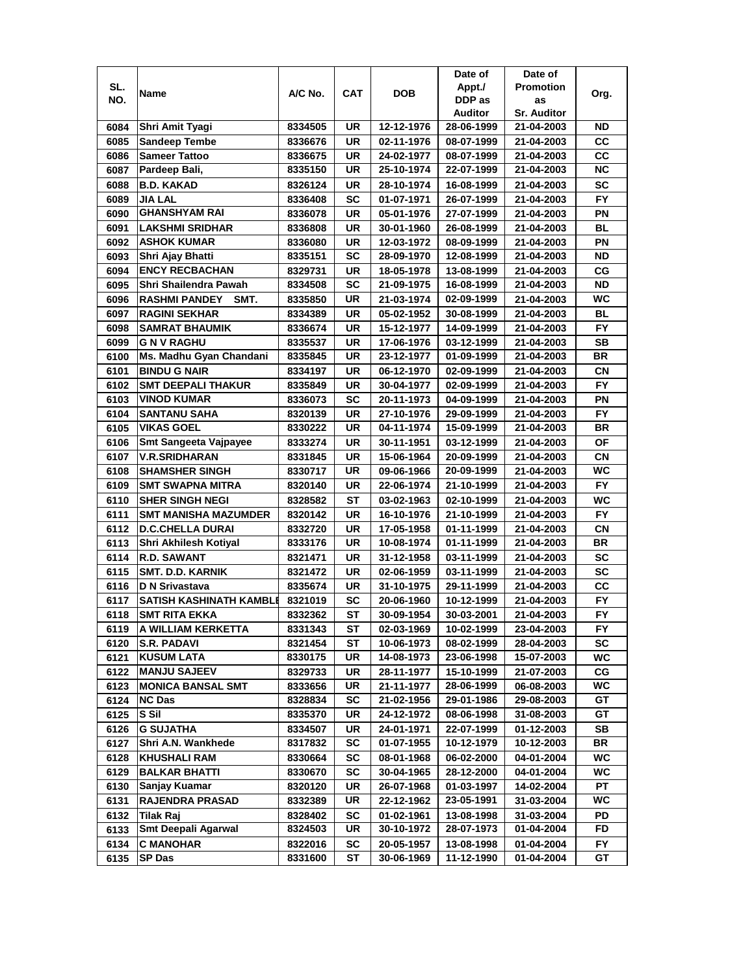|      |                                          |                    |                 |                          | Date of                  | Date of                  |           |
|------|------------------------------------------|--------------------|-----------------|--------------------------|--------------------------|--------------------------|-----------|
| SL.  |                                          | A/C No.            | CAT             | <b>DOB</b>               | Appt./                   | <b>Promotion</b>         |           |
| NO.  | Name                                     |                    |                 |                          | DDP as                   | as                       | Org.      |
|      |                                          |                    |                 |                          | Auditor                  | <b>Sr. Auditor</b>       |           |
| 6084 | Shri Amit Tyagi                          | 8334505            | UR              | 12-12-1976               | 28-06-1999               | 21-04-2003               | ND        |
| 6085 | <b>Sandeep Tembe</b>                     | 8336676            | UR              | 02-11-1976               | 08-07-1999               | 21-04-2003               | CС        |
| 6086 | <b>Sameer Tattoo</b>                     | 8336675            | UR              | 24-02-1977               | 08-07-1999               | 21-04-2003               | CC        |
| 6087 | Pardeep Bali,                            | 8335150            | UR              | 25-10-1974               | 22-07-1999               | 21-04-2003               | <b>NC</b> |
| 6088 | <b>B.D. KAKAD</b>                        | 8326124            | UR              | 28-10-1974               | 16-08-1999               | 21-04-2003               | <b>SC</b> |
| 6089 | <b>JIA LAL</b>                           | 8336408            | SC              | 01-07-1971               | 26-07-1999               | 21-04-2003               | <b>FY</b> |
| 6090 | <b>GHANSHYAM RAI</b>                     | 8336078            | UR              | 05-01-1976               | 27-07-1999               | 21-04-2003               | PN        |
| 6091 | LAKSHMI SRIDHAR                          | 8336808            | UR              | 30-01-1960               | 26-08-1999               | 21-04-2003               | BL        |
| 6092 | <b>ASHOK KUMAR</b>                       | 8336080            | UR              | 12-03-1972               | 08-09-1999               | 21-04-2003               | ΡN        |
| 6093 | Shri Ajay Bhatti                         | 8335151            | SC              | 28-09-1970               | 12-08-1999               | 21-04-2003               | <b>ND</b> |
| 6094 | <b>ENCY RECBACHAN</b>                    | 8329731            | UR              | 18-05-1978               | 13-08-1999               | 21-04-2003               | CG        |
| 6095 | Shri Shailendra Pawah                    | 8334508            | SC              | 21-09-1975               | 16-08-1999               | 21-04-2003               | <b>ND</b> |
| 6096 | <b>RASHMI PANDEY</b><br>SMT.             | 8335850            | UR              | 21-03-1974               | 02-09-1999               | 21-04-2003               | WC        |
| 6097 | <b>RAGINI SEKHAR</b>                     | 8334389            | UR              | 05-02-1952               | 30-08-1999               | 21-04-2003               | <b>BL</b> |
| 6098 | <b>SAMRAT BHAUMIK</b>                    | 8336674            | UR              | 15-12-1977               | 14-09-1999               | 21-04-2003               | <b>FY</b> |
| 6099 | <b>GNVRAGHU</b>                          | 8335537            | UR              | 17-06-1976               | 03-12-1999               | 21-04-2003               | SB        |
| 6100 | Ms. Madhu Gyan Chandani                  | 8335845            | UR              | 23-12-1977               | 01-09-1999               | 21-04-2003               | BR        |
| 6101 | <b>BINDU G NAIR</b>                      | 8334197            | UR              | 06-12-1970               | 02-09-1999               | 21-04-2003               | CN        |
| 6102 | <b>SMT DEEPALI THAKUR</b>                | 8335849            | UR              | 30-04-1977               | 02-09-1999               | 21-04-2003               | FY.       |
| 6103 | <b>VINOD KUMAR</b>                       |                    | SC              |                          | 04-09-1999               |                          | PN        |
|      |                                          | 8336073            |                 | 20-11-1973               |                          | 21-04-2003               | <b>FY</b> |
| 6104 | <b>SANTANU SAHA</b><br><b>VIKAS GOEL</b> | 8320139<br>8330222 | UR<br><b>UR</b> | 27-10-1976<br>04-11-1974 | 29-09-1999<br>15-09-1999 | 21-04-2003<br>21-04-2003 | <b>BR</b> |
| 6105 |                                          |                    |                 |                          |                          |                          | <b>OF</b> |
| 6106 | Smt Sangeeta Vajpayee                    | 8333274            | UR              | 30-11-1951               | 03-12-1999               | 21-04-2003               |           |
| 6107 | <b>V.R.SRIDHARAN</b>                     | 8331845            | UR              | 15-06-1964               | 20-09-1999               | 21-04-2003               | CN        |
| 6108 | <b>SHAMSHER SINGH</b>                    | 8330717            | UR              | 09-06-1966               | 20-09-1999               | 21-04-2003               | <b>WC</b> |
| 6109 | <b>SMT SWAPNA MITRA</b>                  | 8320140            | UR              | 22-06-1974               | 21-10-1999               | 21-04-2003               | <b>FY</b> |
| 6110 | <b>SHER SINGH NEGI</b>                   | 8328582            | ST              | 03-02-1963               | 02-10-1999               | 21-04-2003               | WC        |
| 6111 | <b>SMT MANISHA MAZUMDER</b>              | 8320142            | UR              | 16-10-1976               | 21-10-1999               | 21-04-2003               | <b>FY</b> |
| 6112 | <b>D.C.CHELLA DURAI</b>                  | 8332720            | <b>UR</b>       | 17-05-1958               | 01-11-1999               | 21-04-2003               | CN        |
| 6113 | Shri Akhilesh Kotiyal                    | 8333176            | UR              | 10-08-1974               | 01-11-1999               | 21-04-2003               | <b>BR</b> |
| 6114 | <b>R.D. SAWANT</b>                       | 8321471            | UR              | 31-12-1958               | 03-11-1999               | 21-04-2003               | <b>SC</b> |
| 6115 | <b>SMT. D.D. KARNIK</b>                  | 8321472            | UR              | 02-06-1959               | 03-11-1999               | 21-04-2003               | <b>SC</b> |
| 6116 | D N Srivastava                           | 8335674            | UR              | 31-10-1975               | 29-11-1999               | 21-04-2003               | СC        |
| 6117 | SATISH KASHINATH KAMBLI                  | 8321019            | SC              | 20-06-1960               | 10-12-1999               | 21-04-2003               | <b>FY</b> |
| 6118 | <b>SMT RITA EKKA</b>                     | 8332362            | ST              | 30-09-1954               | 30-03-2001               | 21-04-2003               | FY        |
| 6119 | A WILLIAM KERKETTA                       | 8331343            | ST              | 02-03-1969               | 10-02-1999               | 23-04-2003               | FY.       |
| 6120 | <b>S.R. PADAVI</b>                       | 8321454            | ST              | 10-06-1973               | 08-02-1999               | 28-04-2003               | SC        |
| 6121 | <b>KUSUM LATA</b>                        | 8330175            | UR              | 14-08-1973               | 23-06-1998               | 15-07-2003               | WC        |
| 6122 | <b>MANJU SAJEEV</b>                      | 8329733            | UR              | 28-11-1977               | 15-10-1999               | 21-07-2003               | СG        |
| 6123 | <b>MONICA BANSAL SMT</b>                 | 8333656            | UR              | 21-11-1977               | 28-06-1999               | 06-08-2003               | WC        |
| 6124 | <b>NC Das</b>                            | 8328834            | SC              | 21-02-1956               | 29-01-1986               | 29-08-2003               | GT        |
| 6125 | S Sil                                    | 8335370            | UR              | 24-12-1972               | 08-06-1998               | 31-08-2003               | GT        |
| 6126 | <b>G SUJATHA</b>                         | 8334507            | UR              | 24-01-1971               | 22-07-1999               | 01-12-2003               | SB        |
| 6127 | Shri A.N. Wankhede                       | 8317832            | SC              | 01-07-1955               | 10-12-1979               | 10-12-2003               | BR        |
| 6128 | <b>KHUSHALI RAM</b>                      | 8330664            | SC              | 08-01-1968               | 06-02-2000               | 04-01-2004               | WC        |
| 6129 | <b>BALKAR BHATTI</b>                     | 8330670            | SC              | 30-04-1965               | 28-12-2000               | 04-01-2004               | WC        |
| 6130 | Sanjay Kuamar                            | 8320120            | UR              | 26-07-1968               | 01-03-1997               | 14-02-2004               | PT        |
| 6131 | <b>RAJENDRA PRASAD</b>                   | 8332389            | UR              | 22-12-1962               | 23-05-1991               | 31-03-2004               | WC        |
| 6132 | <b>Tilak Raj</b>                         | 8328402            | SC              | 01-02-1961               | 13-08-1998               | 31-03-2004               | PD        |
| 6133 | <b>Smt Deepali Agarwal</b>               | 8324503            | UR              | 30-10-1972               | 28-07-1973               | 01-04-2004               | FD        |
| 6134 | <b>C MANOHAR</b>                         | 8322016            | SC              | 20-05-1957               | 13-08-1998               | 01-04-2004               | FY.       |
| 6135 | SP Das                                   | 8331600            | ST              | 30-06-1969               | 11-12-1990               | 01-04-2004               | GT        |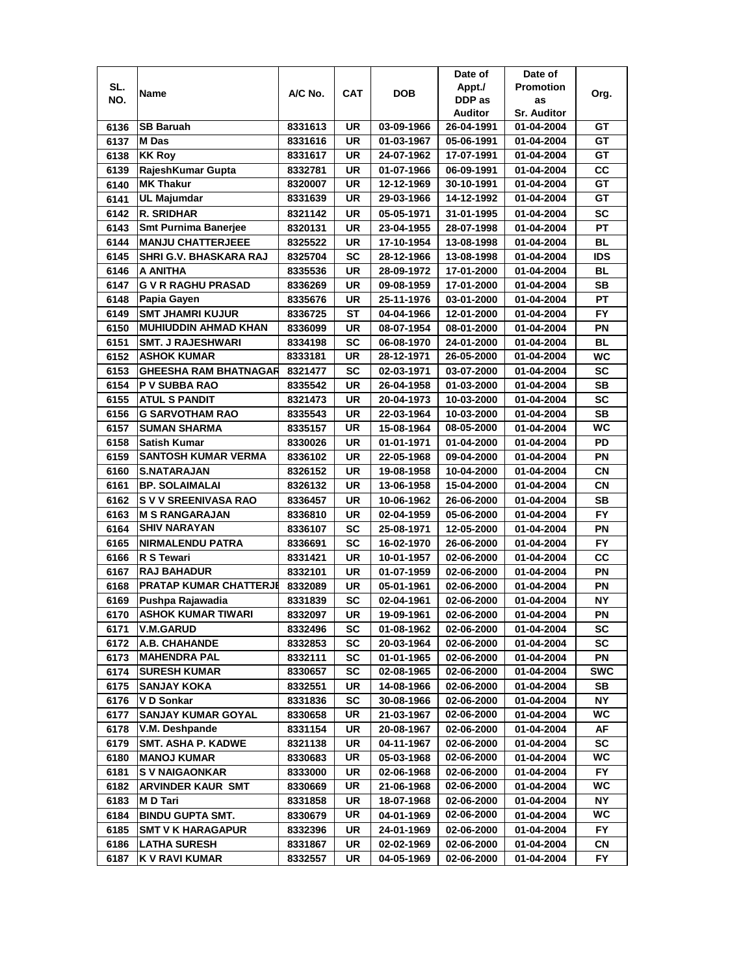|      |                               |         |            |            | Date of                  | Date of            |            |
|------|-------------------------------|---------|------------|------------|--------------------------|--------------------|------------|
| SL.  | Name                          | A/C No. | <b>CAT</b> | <b>DOB</b> | Appt./                   | <b>Promotion</b>   | Org.       |
| NO.  |                               |         |            |            | DDP as                   | as                 |            |
|      |                               |         |            |            | Auditor                  | <b>Sr. Auditor</b> |            |
| 6136 | <b>SB Baruah</b>              | 8331613 | UR         | 03-09-1966 | 26-04-1991               | 01-04-2004         | GТ         |
| 6137 | M Das                         | 8331616 | <b>UR</b>  | 01-03-1967 | 05-06-1991               | 01-04-2004         | GT         |
| 6138 | <b>KK Roy</b>                 | 8331617 | UR         | 24-07-1962 | 17-07-1991               | 01-04-2004         | GT         |
| 6139 | RajeshKumar Gupta             | 8332781 | UR         | 01-07-1966 | 06-09-1991               | 01-04-2004         | cc         |
| 6140 | <b>MK Thakur</b>              | 8320007 | UR         | 12-12-1969 | 30-10-1991               | 01-04-2004         | GТ         |
| 6141 | <b>UL Majumdar</b>            | 8331639 | UR         | 29-03-1966 | 14-12-1992               | 01-04-2004         | GТ         |
| 6142 | <b>R. SRIDHAR</b>             | 8321142 | UR         | 05-05-1971 | 31-01-1995               | 01-04-2004         | SC         |
| 6143 | <b>Smt Purnima Banerjee</b>   | 8320131 | UR         | 23-04-1955 | 28-07-1998               | 01-04-2004         | PT         |
| 6144 | <b>MANJU CHATTERJEEE</b>      | 8325522 | UR         | 17-10-1954 | 13-08-1998               | 01-04-2004         | BL         |
| 6145 | SHRI G.V. BHASKARA RAJ        | 8325704 | SC         | 28-12-1966 | 13-08-1998               | 01-04-2004         | ids        |
| 6146 | A ANITHA                      | 8335536 | UR         | 28-09-1972 | 17-01-2000               | 01-04-2004         | <b>BL</b>  |
| 6147 | <b>G V R RAGHU PRASAD</b>     | 8336269 | <b>UR</b>  | 09-08-1959 | 17-01-2000               | 01-04-2004         | <b>SB</b>  |
| 6148 | Papia Gayen                   | 8335676 | UR         | 25-11-1976 | 03-01-2000               | 01-04-2004         | PТ         |
| 6149 | <b>SMT JHAMRI KUJUR</b>       | 8336725 | ST         | 04-04-1966 | 12-01-2000               | 01-04-2004         | FY         |
| 6150 | <b>MUHIUDDIN AHMAD KHAN</b>   | 8336099 | UR         | 08-07-1954 | 08-01-2000               | 01-04-2004         | ΡN         |
| 6151 | <b>SMT. J RAJESHWARI</b>      | 8334198 | SC         | 06-08-1970 | 24-01-2000               | 01-04-2004         | <b>BL</b>  |
| 6152 | ASHOK KUMAR                   | 8333181 | UR         | 28-12-1971 | 26-05-2000               | 01-04-2004         | WC         |
| 6153 | GHEESHA RAM BHATNAGAR         | 8321477 | SC         | 02-03-1971 | 03-07-2000               | 01-04-2004         | SC         |
| 6154 | P V SUBBA RAO                 | 8335542 | <b>UR</b>  | 26-04-1958 | 01-03-2000               | 01-04-2004         | SB         |
| 6155 | <b>ATUL S PANDIT</b>          | 8321473 | UR         | 20-04-1973 | 10-03-2000               |                    | SC         |
| 6156 | <b>G SARVOTHAM RAO</b>        |         | UR         |            |                          | 01-04-2004         | <b>SB</b>  |
| 6157 | <b>SUMAN SHARMA</b>           | 8335543 | UR         | 22-03-1964 | 10-03-2000<br>08-05-2000 | 01-04-2004         | <b>WC</b>  |
| 6158 | <b>Satish Kumar</b>           | 8335157 | <b>UR</b>  | 15-08-1964 |                          | 01-04-2004         | PD         |
|      | <b>SANTOSH KUMAR VERMA</b>    | 8330026 |            | 01-01-1971 | 01-04-2000               | 01-04-2004         | PN         |
| 6159 |                               | 8336102 | UR         | 22-05-1968 | 09-04-2000               | 01-04-2004         |            |
| 6160 | <b>S.NATARAJAN</b>            | 8326152 | UR         | 19-08-1958 | 10-04-2000               | 01-04-2004         | <b>CN</b>  |
| 6161 | <b>BP. SOLAIMALAI</b>         | 8326132 | UR         | 13-06-1958 | 15-04-2000               | 01-04-2004         | CN         |
| 6162 | S V V SREENIVASA RAO          | 8336457 | <b>UR</b>  | 10-06-1962 | 26-06-2000               | 01-04-2004         | <b>SB</b>  |
| 6163 | <b>M S RANGARAJAN</b>         | 8336810 | <b>UR</b>  | 02-04-1959 | 05-06-2000               | 01-04-2004         | <b>FY</b>  |
| 6164 | <b>SHIV NARAYAN</b>           | 8336107 | SC         | 25-08-1971 | 12-05-2000               | 01-04-2004         | PN         |
| 6165 | <b>NIRMALENDU PATRA</b>       | 8336691 | SC         | 16-02-1970 | 26-06-2000               | 01-04-2004         | <b>FY</b>  |
| 6166 | R S Tewari                    | 8331421 | UR         | 10-01-1957 | 02-06-2000               | 01-04-2004         | СC         |
| 6167 | <b>RAJ BAHADUR</b>            | 8332101 | UR         | 01-07-1959 | 02-06-2000               | 01-04-2004         | ΡN         |
| 6168 | <b>PRATAP KUMAR CHATTERJE</b> | 8332089 | UR         | 05-01-1961 | 02-06-2000               | 01-04-2004         | ΡN         |
| 6169 | Pushpa Rajawadia              | 8331839 | SC         | 02-04-1961 | 02-06-2000               | 01-04-2004         | NΥ         |
| 6170 | <b>ASHOK KUMAR TIWARI</b>     | 8332097 | UR         | 19-09-1961 | 02-06-2000               | 01-04-2004         | PN         |
| 6171 | <b>V.M.GARUD</b>              | 8332496 | SC         | 01-08-1962 | 02-06-2000               | 01-04-2004         | SC         |
| 6172 | A.B. CHAHANDE                 | 8332853 | SC         | 20-03-1964 | 02-06-2000               | 01-04-2004         | <b>SC</b>  |
| 6173 | <b>MAHENDRA PAL</b>           | 8332111 | SC         | 01-01-1965 | 02-06-2000               | 01-04-2004         | PN         |
| 6174 | <b>SURESH KUMAR</b>           | 8330657 | <b>SC</b>  | 02-08-1965 | 02-06-2000               | 01-04-2004         | <b>SWC</b> |
| 6175 | <b>SANJAY KOKA</b>            | 8332551 | UR         | 14-08-1966 | 02-06-2000               | 01-04-2004         | SB         |
| 6176 | V D Sonkar                    | 8331836 | <b>SC</b>  | 30-08-1966 | 02-06-2000               | 01-04-2004         | NY         |
| 6177 | <b>SANJAY KUMAR GOYAL</b>     | 8330658 | UR         | 21-03-1967 | 02-06-2000               | 01-04-2004         | WC.        |
| 6178 | V.M. Deshpande                | 8331154 | UR         | 20-08-1967 | 02-06-2000               | 01-04-2004         | AF         |
| 6179 | <b>SMT. ASHA P. KADWE</b>     | 8321138 | UR         | 04-11-1967 | 02-06-2000               | 01-04-2004         | <b>SC</b>  |
| 6180 | <b>MANOJ KUMAR</b>            | 8330683 | UR         | 05-03-1968 | 02-06-2000               | 01-04-2004         | WC         |
| 6181 | <b>SV NAIGAONKAR</b>          | 8333000 | UR         | 02-06-1968 | 02-06-2000               | 01-04-2004         | <b>FY</b>  |
| 6182 | <b>ARVINDER KAUR SMT</b>      | 8330669 | UR         | 21-06-1968 | 02-06-2000               | 01-04-2004         | WC         |
| 6183 | M D Tari                      | 8331858 | UR         | 18-07-1968 | 02-06-2000               | 01-04-2004         | ΝY         |
| 6184 | <b>BINDU GUPTA SMT.</b>       | 8330679 | UR         | 04-01-1969 | 02-06-2000               | 01-04-2004         | WC.        |
| 6185 | <b>SMT V K HARAGAPUR</b>      | 8332396 | UR         | 24-01-1969 | 02-06-2000               | 01-04-2004         | FY         |
| 6186 | <b>LATHA SURESH</b>           | 8331867 | UR         | 02-02-1969 | 02-06-2000               | 01-04-2004         | CN         |
| 6187 | K V RAVI KUMAR                | 8332557 | UR         | 04-05-1969 | 02-06-2000               | 01-04-2004         | FY         |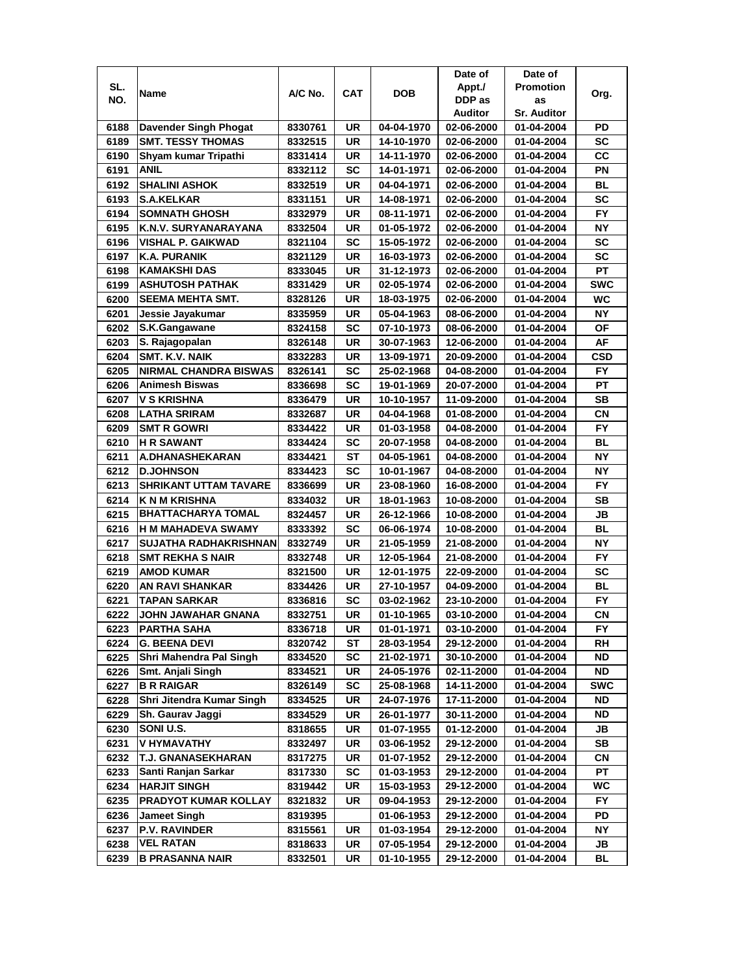|      |                              |         |            |            | Date of    | Date of            |            |
|------|------------------------------|---------|------------|------------|------------|--------------------|------------|
| SL.  | Name                         | A/C No. | <b>CAT</b> | <b>DOB</b> | Appt./     | <b>Promotion</b>   | Org.       |
| NO.  |                              |         |            |            | DDP as     | as                 |            |
|      |                              |         |            |            | Auditor    | <b>Sr. Auditor</b> |            |
| 6188 | Davender Singh Phogat        | 8330761 | UR         | 04-04-1970 | 02-06-2000 | 01-04-2004         | PD         |
| 6189 | <b>SMT. TESSY THOMAS</b>     | 8332515 | <b>UR</b>  | 14-10-1970 | 02-06-2000 | 01-04-2004         | <b>SC</b>  |
| 6190 | Shyam kumar Tripathi         | 8331414 | UR         | 14-11-1970 | 02-06-2000 | 01-04-2004         | cc         |
| 6191 | <b>ANIL</b>                  | 8332112 | <b>SC</b>  | 14-01-1971 | 02-06-2000 | 01-04-2004         | PN         |
| 6192 | <b>SHALINI ASHOK</b>         | 8332519 | UR         | 04-04-1971 | 02-06-2000 | 01-04-2004         | BL         |
| 6193 | <b>S.A.KELKAR</b>            | 8331151 | <b>UR</b>  | 14-08-1971 | 02-06-2000 | 01-04-2004         | <b>SC</b>  |
| 6194 | <b>SOMNATH GHOSH</b>         | 8332979 | UR         | 08-11-1971 | 02-06-2000 | 01-04-2004         | <b>FY</b>  |
| 6195 | K.N.V. SURYANARAYANA         | 8332504 | UR         | 01-05-1972 | 02-06-2000 | 01-04-2004         | <b>NY</b>  |
| 6196 | VISHAL P. GAIKWAD            | 8321104 | SC         | 15-05-1972 | 02-06-2000 | 01-04-2004         | SC         |
| 6197 | K.A. PURANIK                 | 8321129 | UR         | 16-03-1973 | 02-06-2000 | 01-04-2004         | <b>SC</b>  |
| 6198 | <b>KAMAKSHI DAS</b>          | 8333045 | <b>UR</b>  | 31-12-1973 | 02-06-2000 | 01-04-2004         | PT         |
| 6199 | <b>ASHUTOSH PATHAK</b>       | 8331429 | UR         | 02-05-1974 | 02-06-2000 | 01-04-2004         | <b>SWC</b> |
| 6200 | <b>SEEMA MEHTA SMT.</b>      | 8328126 | <b>UR</b>  | 18-03-1975 | 02-06-2000 | 01-04-2004         | <b>WC</b>  |
| 6201 | Jessie Javakumar             | 8335959 | UR         | 05-04-1963 | 08-06-2000 | 01-04-2004         | NΥ         |
| 6202 | S.K.Gangawane                | 8324158 | SC         | 07-10-1973 | 08-06-2000 | 01-04-2004         | ΟF         |
| 6203 | S. Rajagopalan               | 8326148 | UR         | 30-07-1963 | 12-06-2000 | 01-04-2004         | AF         |
| 6204 | SMT. K.V. NAIK               | 8332283 | UR         | 13-09-1971 | 20-09-2000 | 01-04-2004         | CSD        |
| 6205 | <b>NIRMAL CHANDRA BISWAS</b> | 8326141 | SC         | 25-02-1968 | 04-08-2000 | 01-04-2004         | FY.        |
| 6206 | <b>Animesh Biswas</b>        | 8336698 | SC         | 19-01-1969 | 20-07-2000 | 01-04-2004         | PT         |
| 6207 | <b>V S KRISHNA</b>           | 8336479 | UR         | 10-10-1957 | 11-09-2000 | 01-04-2004         | <b>SB</b>  |
| 6208 | <b>LATHA SRIRAM</b>          | 8332687 | UR         | 04-04-1968 | 01-08-2000 | 01-04-2004         | CN         |
| 6209 | <b>SMT R GOWRI</b>           | 8334422 | UR         | 01-03-1958 | 04-08-2000 | 01-04-2004         | <b>FY</b>  |
| 6210 | <b>H R SAWANT</b>            | 8334424 | <b>SC</b>  | 20-07-1958 | 04-08-2000 | 01-04-2004         | <b>BL</b>  |
| 6211 | A.DHANASHEKARAN              | 8334421 | ST         | 04-05-1961 | 04-08-2000 | 01-04-2004         | NΥ         |
| 6212 | <b>D.JOHNSON</b>             | 8334423 | <b>SC</b>  | 10-01-1967 | 04-08-2000 | 01-04-2004         | NΥ         |
| 6213 | <b>SHRIKANT UTTAM TAVARE</b> | 8336699 | UR         | 23-08-1960 | 16-08-2000 | 01-04-2004         | <b>FY</b>  |
| 6214 | <b>K N M KRISHNA</b>         | 8334032 | <b>UR</b>  | 18-01-1963 | 10-08-2000 | 01-04-2004         | <b>SB</b>  |
| 6215 | <b>BHATTACHARYA TOMAL</b>    | 8324457 | <b>UR</b>  | 26-12-1966 | 10-08-2000 | 01-04-2004         | JВ         |
| 6216 | <b>H M MAHADEVA SWAMY</b>    | 8333392 | <b>SC</b>  | 06-06-1974 | 10-08-2000 | 01-04-2004         | <b>BL</b>  |
| 6217 | <b>SUJATHA RADHAKRISHNAN</b> | 8332749 | UR         | 21-05-1959 | 21-08-2000 | 01-04-2004         | <b>NY</b>  |
| 6218 | <b>SMT REKHA S NAIR</b>      | 8332748 | <b>UR</b>  | 12-05-1964 | 21-08-2000 | 01-04-2004         | <b>FY</b>  |
| 6219 | <b>AMOD KUMAR</b>            | 8321500 | UR         | 12-01-1975 | 22-09-2000 | 01-04-2004         | SC         |
| 6220 | <b>AN RAVI SHANKAR</b>       | 8334426 | UR         | 27-10-1957 | 04-09-2000 | 01-04-2004         | BL         |
| 6221 | TAPAN SARKAR                 | 8336816 | SC         | 03-02-1962 | 23-10-2000 | 01-04-2004         | <b>FY</b>  |
| 6222 | JOHN JAWAHAR GNANA           | 8332751 | UR         | 01-10-1965 | 03-10-2000 | 01-04-2004         | CN         |
| 6223 | <b>PARTHA SAHA</b>           | 8336718 | UR         | 01-01-1971 | 03-10-2000 | 01-04-2004         | FY.        |
| 6224 | <b>G. BEENA DEVI</b>         | 8320742 | ST         | 28-03-1954 | 29-12-2000 | 01-04-2004         | RH         |
| 6225 | Shri Mahendra Pal Singh      | 8334520 | SC         | 21-02-1971 | 30-10-2000 | 01-04-2004         | ND         |
| 6226 | Smt. Anjali Singh            | 8334521 | UR         | 24-05-1976 | 02-11-2000 | 01-04-2004         | ND         |
| 6227 | <b>B R RAIGAR</b>            | 8326149 | SC         | 25-08-1968 | 14-11-2000 | 01-04-2004         | <b>SWC</b> |
| 6228 | Shri Jitendra Kumar Singh    | 8334525 | UR         | 24-07-1976 | 17-11-2000 | 01-04-2004         | ND         |
| 6229 | Sh. Gaurav Jaggi             | 8334529 | UR         | 26-01-1977 | 30-11-2000 | 01-04-2004         | ND         |
| 6230 | SONI U.S.                    | 8318655 | UR         | 01-07-1955 | 01-12-2000 | 01-04-2004         | JB         |
| 6231 | V HYMAVATHY                  | 8332497 | UR         | 03-06-1952 | 29-12-2000 | 01-04-2004         | SB         |
| 6232 | T.J. GNANASEKHARAN           | 8317275 | UR         | 01-07-1952 | 29-12-2000 | 01-04-2004         | CN         |
| 6233 | Santi Ranjan Sarkar          | 8317330 | SC         | 01-03-1953 | 29-12-2000 | 01-04-2004         | PT         |
| 6234 | <b>HARJIT SINGH</b>          | 8319442 | UR         | 15-03-1953 | 29-12-2000 | 01-04-2004         | WC         |
| 6235 | <b>PRADYOT KUMAR KOLLAY</b>  | 8321832 | UR         | 09-04-1953 | 29-12-2000 | 01-04-2004         | FY.        |
| 6236 | <b>Jameet Singh</b>          | 8319395 |            | 01-06-1953 | 29-12-2000 | 01-04-2004         | PD         |
| 6237 | <b>P.V. RAVINDER</b>         | 8315561 | UR         | 01-03-1954 | 29-12-2000 | 01-04-2004         | ΝY         |
| 6238 | VEL RATAN                    | 8318633 | UR         | 07-05-1954 | 29-12-2000 | 01-04-2004         | JB         |
| 6239 | B PRASANNA NAIR              | 8332501 | UR         | 01-10-1955 | 29-12-2000 | 01-04-2004         | BL         |
|      |                              |         |            |            |            |                    |            |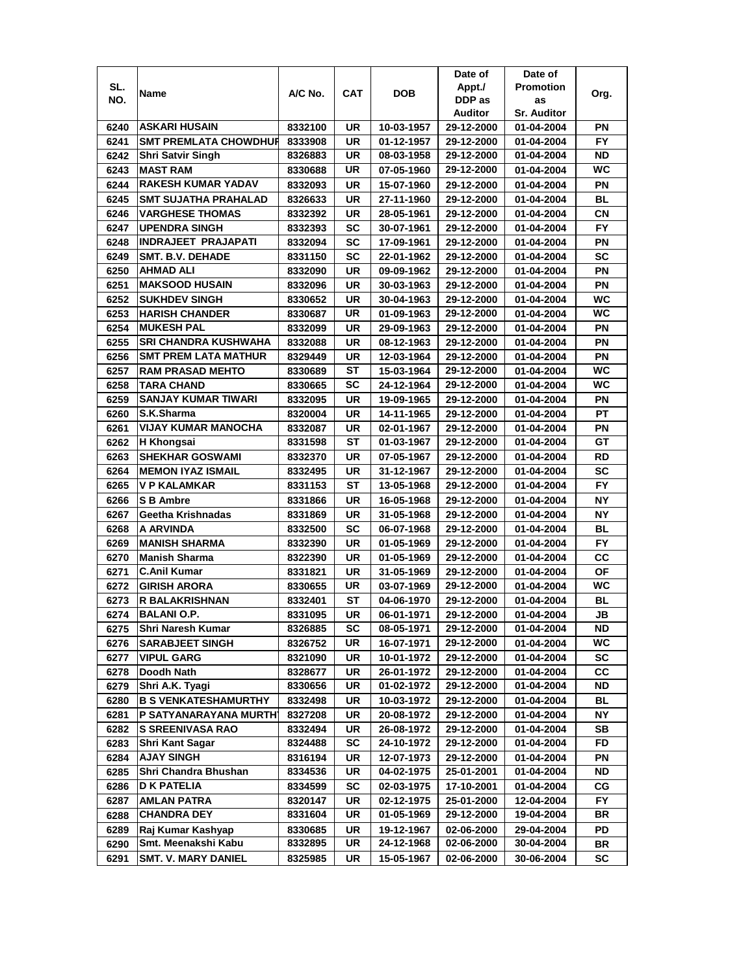|      |                              |         |           |            | Date of    | Date of            |            |
|------|------------------------------|---------|-----------|------------|------------|--------------------|------------|
| SL.  |                              |         |           |            | Appt./     | <b>Promotion</b>   |            |
| NO.  | Name                         | A/C No. | CAT       | <b>DOB</b> | DDP as     | as                 | Org.       |
|      |                              |         |           |            | Auditor    | <b>Sr. Auditor</b> |            |
| 6240 | <b>ASKARI HUSAIN</b>         | 8332100 | UR        | 10-03-1957 | 29-12-2000 | 01-04-2004         | ΡN         |
| 6241 | <b>SMT PREMLATA CHOWDHUR</b> | 8333908 | UR        | 01-12-1957 | 29-12-2000 | 01-04-2004         | FY.        |
| 6242 | <b>Shri Satvir Singh</b>     | 8326883 | UR        | 08-03-1958 | 29-12-2000 | 01-04-2004         | ND         |
| 6243 | <b>MAST RAM</b>              | 8330688 | UR        | 07-05-1960 | 29-12-2000 | 01-04-2004         | WC         |
| 6244 | <b>RAKESH KUMAR YADAV</b>    | 8332093 | UR        | 15-07-1960 | 29-12-2000 | 01-04-2004         | PN         |
| 6245 | <b>SMT SUJATHA PRAHALAD</b>  | 8326633 | UR        | 27-11-1960 | 29-12-2000 | 01-04-2004         | BL         |
| 6246 | <b>VARGHESE THOMAS</b>       | 8332392 | UR        | 28-05-1961 | 29-12-2000 | 01-04-2004         | СN         |
| 6247 | <b>UPENDRA SINGH</b>         | 8332393 | SC        | 30-07-1961 | 29-12-2000 | 01-04-2004         | FY.        |
| 6248 | <b>INDRAJEET PRAJAPATI</b>   | 8332094 | SC        | 17-09-1961 | 29-12-2000 | 01-04-2004         | ΡN         |
| 6249 | <b>SMT. B.V. DEHADE</b>      | 8331150 | SC        | 22-01-1962 | 29-12-2000 | 01-04-2004         | SC         |
| 6250 | <b>AHMAD ALI</b>             | 8332090 | UR        | 09-09-1962 | 29-12-2000 | 01-04-2004         | ΡN         |
| 6251 | <b>MAKSOOD HUSAIN</b>        | 8332096 | UR        | 30-03-1963 | 29-12-2000 | 01-04-2004         | PN         |
| 6252 | <b>SUKHDEV SINGH</b>         | 8330652 | UR        | 30-04-1963 | 29-12-2000 | 01-04-2004         | <b>WC</b>  |
| 6253 | <b>HARISH CHANDER</b>        | 8330687 | UR        | 01-09-1963 | 29-12-2000 | 01-04-2004         | <b>WC</b>  |
| 6254 | <b>MUKESH PAL</b>            |         | UR        |            |            |                    | PN         |
|      | <b>SRI CHANDRA KUSHWAHA</b>  | 8332099 |           | 29-09-1963 | 29-12-2000 | 01-04-2004         |            |
| 6255 |                              | 8332088 | UR        | 08-12-1963 | 29-12-2000 | 01-04-2004         | ΡN         |
| 6256 | <b>SMT PREM LATA MATHUR</b>  | 8329449 | UR        | 12-03-1964 | 29-12-2000 | 01-04-2004         | ΡN         |
| 6257 | <b>RAM PRASAD MEHTO</b>      | 8330689 | SТ        | 15-03-1964 | 29-12-2000 | 01-04-2004         | WC         |
| 6258 | <b>TARA CHAND</b>            | 8330665 | SC        | 24-12-1964 | 29-12-2000 | 01-04-2004         | WC.        |
| 6259 | <b>SANJAY KUMAR TIWARI</b>   | 8332095 | UR        | 19-09-1965 | 29-12-2000 | 01-04-2004         | PN         |
| 6260 | S.K.Sharma                   | 8320004 | UR        | 14-11-1965 | 29-12-2000 | 01-04-2004         | PT         |
| 6261 | <b>VIJAY KUMAR MANOCHA</b>   | 8332087 | UR        | 02-01-1967 | 29-12-2000 | 01-04-2004         | PN         |
| 6262 | H Khongsai                   | 8331598 | ST        | 01-03-1967 | 29-12-2000 | 01-04-2004         | GТ         |
| 6263 | <b>SHEKHAR GOSWAMI</b>       | 8332370 | UR        | 07-05-1967 | 29-12-2000 | 01-04-2004         | RD         |
| 6264 | <b>MEMON IYAZ ISMAIL</b>     | 8332495 | UR        | 31-12-1967 | 29-12-2000 | 01-04-2004         | SC         |
| 6265 | V P KALAMKAR                 | 8331153 | ST        | 13-05-1968 | 29-12-2000 | 01-04-2004         | <b>FY</b>  |
| 6266 | S B Ambre                    | 8331866 | UR        | 16-05-1968 | 29-12-2000 | 01-04-2004         | ΝY         |
| 6267 | Geetha Krishnadas            | 8331869 | UR        | 31-05-1968 | 29-12-2000 | 01-04-2004         | <b>NY</b>  |
| 6268 | A ARVINDA                    | 8332500 | SC        | 06-07-1968 | 29-12-2000 | 01-04-2004         | <b>BL</b>  |
| 6269 | <b>MANISH SHARMA</b>         | 8332390 | UR        | 01-05-1969 | 29-12-2000 | 01-04-2004         | <b>FY</b>  |
| 6270 | <b>Manish Sharma</b>         | 8322390 | UR        | 01-05-1969 | 29-12-2000 | 01-04-2004         | cc         |
| 6271 | <b>C.Anil Kumar</b>          | 8331821 | UR        | 31-05-1969 | 29-12-2000 | 01-04-2004         | ΟF         |
| 6272 | <b>GIRISH ARORA</b>          | 8330655 | UR        | 03-07-1969 | 29-12-2000 | 01-04-2004         | WC         |
| 6273 | <b>R BALAKRISHNAN</b>        | 8332401 | ST        | 04-06-1970 | 29-12-2000 | 01-04-2004         | BL         |
| 6274 | <b>BALANIO.P.</b>            | 8331095 | UR        | 06-01-1971 | 29-12-2000 | 01-04-2004         | JB         |
| 6275 | Shri Naresh Kumar            | 8326885 | SC        | 08-05-1971 | 29-12-2000 | 01-04-2004         | <b>ND</b>  |
| 6276 | <b>SARABJEET SINGH</b>       | 8326752 | UR        | 16-07-1971 | 29-12-2000 | 01-04-2004         | WC         |
| 6277 | <b>VIPUL GARG</b>            | 8321090 | UR        | 10-01-1972 | 29-12-2000 | 01-04-2004         | SC         |
| 6278 | Doodh Nath                   | 8328677 | UR        | 26-01-1972 | 29-12-2000 | 01-04-2004         | <b>CC</b>  |
| 6279 | Shri A.K. Tyagi              | 8330656 | UR        | 01-02-1972 | 29-12-2000 | 01-04-2004         | ND         |
| 6280 | <b>B S VENKATESHAMURTHY</b>  | 8332498 | UR        | 10-03-1972 | 29-12-2000 | 01-04-2004         | BL         |
| 6281 | P SATYANARAYANA MURTHI       | 8327208 | <b>UR</b> | 20-08-1972 | 29-12-2000 | 01-04-2004         | <b>NY</b>  |
| 6282 | <b>S SREENIVASA RAO</b>      | 8332494 | UR        | 26-08-1972 | 29-12-2000 | 01-04-2004         | SB         |
| 6283 | <b>Shri Kant Sagar</b>       | 8324488 | SC        | 24-10-1972 | 29-12-2000 | 01-04-2004         | FD         |
| 6284 | <b>AJAY SINGH</b>            | 8316194 | UR        | 12-07-1973 | 29-12-2000 | 01-04-2004         | PN         |
| 6285 | Shri Chandra Bhushan         | 8334536 | UR        | 04-02-1975 | 25-01-2001 | 01-04-2004         | ND         |
| 6286 | <b>D K PATELIA</b>           | 8334599 | SC        | 02-03-1975 | 17-10-2001 | 01-04-2004         | CG         |
| 6287 | <b>AMLAN PATRA</b>           | 8320147 | UR        | 02-12-1975 | 25-01-2000 | 12-04-2004         | <b>FY</b>  |
| 6288 | <b>CHANDRA DEY</b>           | 8331604 | UR        | 01-05-1969 | 29-12-2000 | 19-04-2004         | BR         |
| 6289 | Raj Kumar Kashyap            | 8330685 | UR        | 19-12-1967 | 02-06-2000 | 29-04-2004         | PD         |
| 6290 | Smt. Meenakshi Kabu          | 8332895 | UR        | 24-12-1968 | 02-06-2000 | 30-04-2004         | ${\sf BR}$ |
|      |                              |         |           |            |            |                    |            |
| 6291 | SMT. V. MARY DANIEL          | 8325985 | UR        | 15-05-1967 | 02-06-2000 | 30-06-2004         | sc         |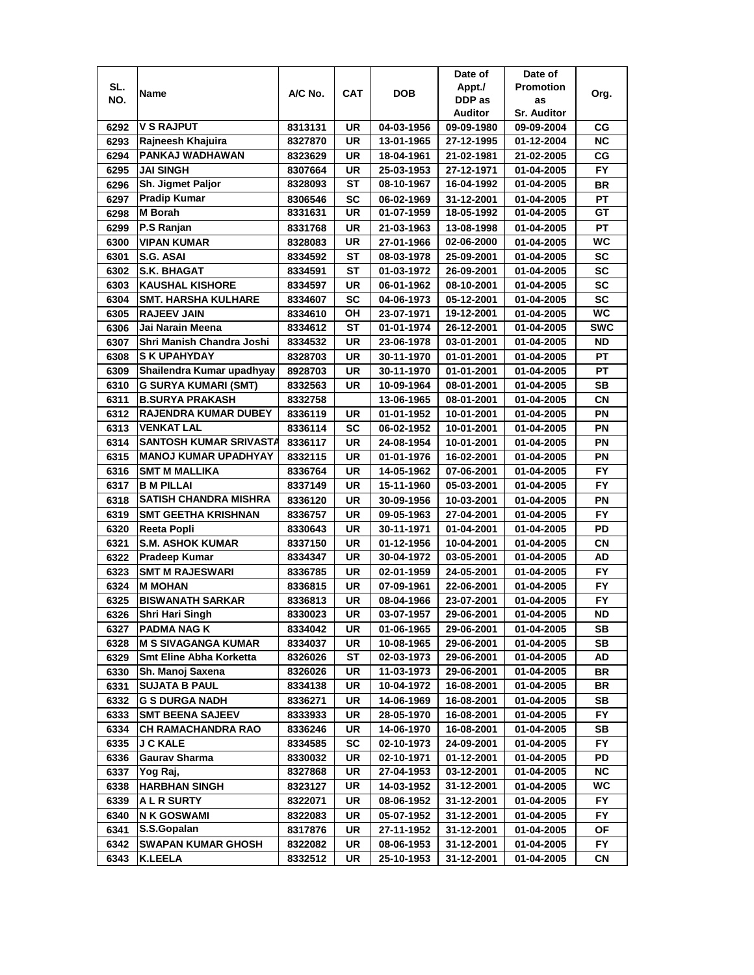|              |                               |         |           |                          | Date of    | Date of            |            |
|--------------|-------------------------------|---------|-----------|--------------------------|------------|--------------------|------------|
| SL.          | Name                          | A/C No. | CAT       | <b>DOB</b>               | Appt./     | <b>Promotion</b>   | Org.       |
| NO.          |                               |         |           |                          | DDP as     | as                 |            |
|              |                               |         |           |                          | Auditor    | <b>Sr. Auditor</b> |            |
| 6292         | <b>V S RAJPUT</b>             | 8313131 | UR        | 04-03-1956               | 09-09-1980 | 09-09-2004         | СG         |
| 6293         | Rajneesh Khajuira             | 8327870 | <b>UR</b> | 13-01-1965               | 27-12-1995 | 01-12-2004         | <b>NC</b>  |
| 6294         | PANKAJ WADHAWAN               | 8323629 | UR        | 18-04-1961               | 21-02-1981 | 21-02-2005         | СG         |
| 6295         | <b>JAI SINGH</b>              | 8307664 | UR        | 25-03-1953               | 27-12-1971 | 01-04-2005         | <b>FY</b>  |
| 6296         | Sh. Jigmet Paljor             | 8328093 | ST        | 08-10-1967               | 16-04-1992 | 01-04-2005         | <b>BR</b>  |
| 6297         | <b>Pradip Kumar</b>           | 8306546 | <b>SC</b> | 06-02-1969               | 31-12-2001 | 01-04-2005         | <b>PT</b>  |
| 6298         | <b>M</b> Borah                | 8331631 | UR        | 01-07-1959               | 18-05-1992 | 01-04-2005         | GТ         |
| 6299         | P.S Ranjan                    | 8331768 | UR        | 21-03-1963               | 13-08-1998 | 01-04-2005         | <b>PT</b>  |
| 6300         | <b>VIPAN KUMAR</b>            | 8328083 | UR        | 27-01-1966               | 02-06-2000 | 01-04-2005         | WC         |
| 6301         | S.G. ASAI                     | 8334592 | ST        | 08-03-1978               | 25-09-2001 | 01-04-2005         | <b>SC</b>  |
| 6302         | <b>S.K. BHAGAT</b>            | 8334591 | ST        | 01-03-1972               | 26-09-2001 | 01-04-2005         | SC         |
| 6303         | <b>KAUSHAL KISHORE</b>        | 8334597 | <b>UR</b> | 06-01-1962               | 08-10-2001 | 01-04-2005         | SC         |
| 6304         | <b>SMT. HARSHA KULHARE</b>    | 8334607 | SC        | 04-06-1973               | 05-12-2001 | 01-04-2005         | <b>SC</b>  |
| 6305         | <b>RAJEEV JAIN</b>            | 8334610 | OН        | 23-07-1971               | 19-12-2001 | 01-04-2005         | WC         |
| 6306         | Jai Narain Meena              | 8334612 | SТ        | 01-01-1974               | 26-12-2001 | 01-04-2005         | <b>SWC</b> |
| 6307         | Shri Manish Chandra Joshi     | 8334532 | UR        | 23-06-1978               | 03-01-2001 | 01-04-2005         | <b>ND</b>  |
|              | <b>SK UPAHYDAY</b>            |         |           |                          |            |                    |            |
| 6308         | Shailendra Kumar upadhyay     | 8328703 | UR        | 30-11-1970               | 01-01-2001 | 01-04-2005         | РT         |
| 6309         |                               | 8928703 | UR        | 30-11-1970               | 01-01-2001 | 01-04-2005         | PT         |
| 6310         | <b>G SURYA KUMARI (SMT)</b>   | 8332563 | UR        | 10-09-1964               | 08-01-2001 | 01-04-2005         | SB         |
| 6311         | <b>B.SURYA PRAKASH</b>        | 8332758 |           | 13-06-1965               | 08-01-2001 | 01-04-2005         | CN         |
| 6312         | <b>RAJENDRA KUMAR DUBEY</b>   | 8336119 | UR        | 01-01-1952               | 10-01-2001 | 01-04-2005         | PN         |
| 6313         | <b>VENKAT LAL</b>             | 8336114 | SC        | 06-02-1952               | 10-01-2001 | 01-04-2005         | ΡN         |
| 6314         | <b>SANTOSH KUMAR SRIVASTA</b> | 8336117 | <b>UR</b> | 24-08-1954               | 10-01-2001 | 01-04-2005         | ΡN         |
| 6315         | <b>MANOJ KUMAR UPADHYAY</b>   | 8332115 | UR        | 01-01-1976               | 16-02-2001 | 01-04-2005         | PN         |
| 6316         | <b>SMT M MALLIKA</b>          | 8336764 | UR        | 14-05-1962               | 07-06-2001 | 01-04-2005         | <b>FY</b>  |
| 6317         | <b>B M PILLAI</b>             | 8337149 | UR        | 15-11-1960               | 05-03-2001 | 01-04-2005         | <b>FY</b>  |
| 6318         | <b>SATISH CHANDRA MISHRA</b>  | 8336120 | UR        | 30-09-1956               | 10-03-2001 | 01-04-2005         | PN         |
| 6319         | <b>SMT GEETHA KRISHNAN</b>    | 8336757 | <b>UR</b> | 09-05-1963               | 27-04-2001 | 01-04-2005         | <b>FY</b>  |
| 6320         | <b>Reeta Popli</b>            | 8330643 | UR        | 30-11-1971               | 01-04-2001 | 01-04-2005         | PD         |
| 6321         | <b>S.M. ASHOK KUMAR</b>       | 8337150 | UR        | 01-12-1956               | 10-04-2001 | 01-04-2005         | CN         |
| 6322         | <b>Pradeep Kumar</b>          | 8334347 | UR        | 30-04-1972               | 03-05-2001 | 01-04-2005         | AD         |
| 6323         | <b>SMT M RAJESWARI</b>        | 8336785 | UR        | 02-01-1959               | 24-05-2001 | 01-04-2005         | FY         |
| 6324         | <b>M MOHAN</b>                | 8336815 | UR        | 07-09-1961               | 22-06-2001 | 01-04-2005         | <b>FY</b>  |
| 6325         | <b>BISWANATH SARKAR</b>       | 8336813 | UR        | 08-04-1966               | 23-07-2001 | 01-04-2005         | FY.        |
| 6326         | <b>Shri Hari Singh</b>        | 8330023 | <b>UR</b> | 03-07-1957               | 29-06-2001 | 01-04-2005         | ND         |
| 6327         | <b>PADMA NAG K</b>            | 8334042 | UR        | 01-06-1965               | 29-06-2001 | 01-04-2005         | SВ         |
| 6328         | <b>M S SIVAGANGA KUMAR</b>    | 8334037 | UR        | 10-08-1965               | 29-06-2001 | 01-04-2005         | <b>SB</b>  |
| 6329         | Smt Eline Abha Korketta       | 8326026 | ST        | 02-03-1973               | 29-06-2001 | 01-04-2005         | AD         |
| 6330         | Sh. Manoj Saxena              | 8326026 | UR        | 11-03-1973               | 29-06-2001 | 01-04-2005         | BR         |
| 6331         | <b>SUJATA B PAUL</b>          | 8334138 | UR        | 10-04-1972               | 16-08-2001 | 01-04-2005         | BR         |
| 6332         | <b>G S DURGA NADH</b>         | 8336271 | UR        | 14-06-1969               | 16-08-2001 | 01-04-2005         | SB         |
| 6333         | <b>SMT BEENA SAJEEV</b>       | 8333933 | UR        | 28-05-1970               | 16-08-2001 | 01-04-2005         | FY.        |
| 6334         | CH RAMACHANDRA RAO            | 8336246 | UR        | 14-06-1970               | 16-08-2001 | 01-04-2005         | SB         |
| 6335         | <b>J C KALE</b>               | 8334585 | SC        | 02-10-1973               | 24-09-2001 | 01-04-2005         | FY         |
| 6336         | <b>Gaurav Sharma</b>          | 8330032 | UR        | 02-10-1971               | 01-12-2001 | 01-04-2005         | PD         |
| 6337         | Yog Raj,                      | 8327868 | UR        | 27-04-1953               | 03-12-2001 | 01-04-2005         | <b>NC</b>  |
| 6338         | <b>HARBHAN SINGH</b>          | 8323127 | UR        | 14-03-1952               | 31-12-2001 | 01-04-2005         | WC         |
| 6339         | <b>ALR SURTY</b>              | 8322071 | UR        | 08-06-1952               | 31-12-2001 | 01-04-2005         | FY.        |
|              | <b>NK GOSWAMI</b>             |         | UR        |                          |            |                    |            |
| 6340<br>6341 | S.S.Gopalan                   | 8322083 | UR        | 05-07-1952<br>27-11-1952 | 31-12-2001 | 01-04-2005         | FY.<br>ΟF  |
|              |                               | 8317876 |           |                          | 31-12-2001 | 01-04-2005         |            |
| 6342         | <b>SWAPAN KUMAR GHOSH</b>     | 8322082 | UR        | 08-06-1953               | 31-12-2001 | 01-04-2005         | FY.        |
| 6343         | <b>K.LEELA</b>                | 8332512 | UR        | 25-10-1953               | 31-12-2001 | 01-04-2005         | СN         |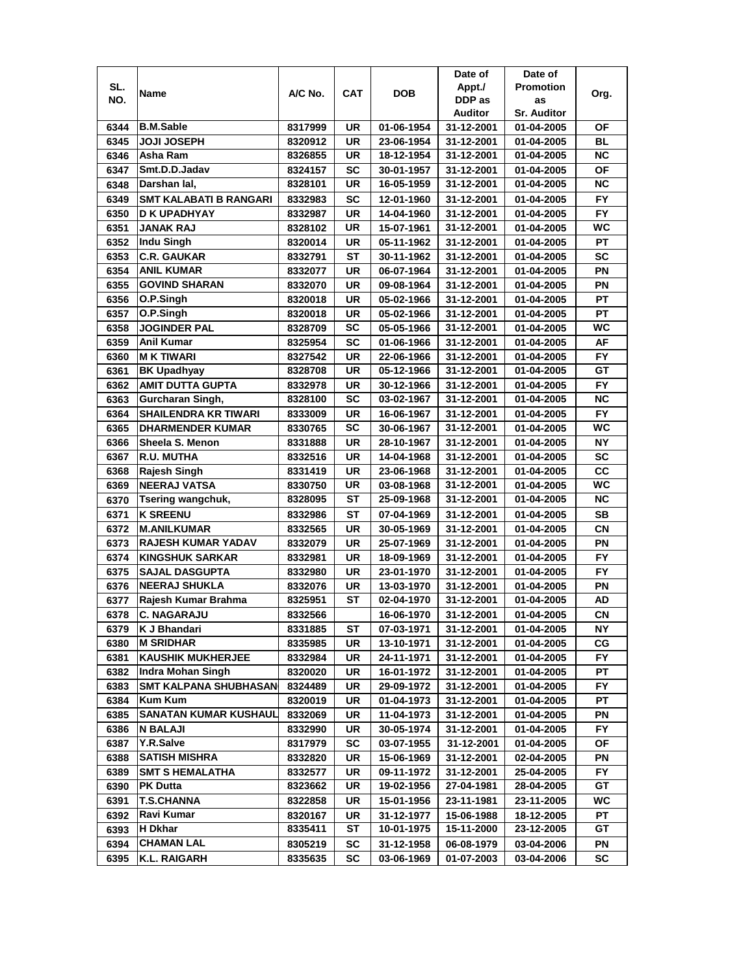|              |                                               |                    |                 |                          | Date of                  | Date of                  |           |
|--------------|-----------------------------------------------|--------------------|-----------------|--------------------------|--------------------------|--------------------------|-----------|
| SL.          |                                               |                    |                 |                          | Appt./                   | <b>Promotion</b>         |           |
| NO.          | Name                                          | A/C No.            | CAT             | <b>DOB</b>               | DDP as                   | as                       | Org.      |
|              |                                               |                    |                 |                          | Auditor                  | <b>Sr. Auditor</b>       |           |
| 6344         | <b>B.M.Sable</b>                              | 8317999            | UR              | 01-06-1954               | 31-12-2001               | 01-04-2005               | ΟF        |
| 6345         | <b>JOJI JOSEPH</b>                            | 8320912            | UR              | 23-06-1954               | 31-12-2001               | 01-04-2005               | BL        |
| 6346         | Asha Ram                                      | 8326855            | UR              | 18-12-1954               | 31-12-2001               | 01-04-2005               | <b>NC</b> |
| 6347         | Smt.D.D.Jadav                                 | 8324157            | SC              | 30-01-1957               | 31-12-2001               | 01-04-2005               | OF        |
| 6348         | Darshan lal,                                  | 8328101            | <b>UR</b>       | 16-05-1959               | 31-12-2001               | 01-04-2005               | <b>NC</b> |
| 6349         | <b>SMT KALABATI B RANGARI</b>                 | 8332983            | SC              | 12-01-1960               | 31-12-2001               | 01-04-2005               | <b>FY</b> |
| 6350         | <b>D K UPADHYAY</b>                           | 8332987            | <b>UR</b>       | 14-04-1960               | 31-12-2001               | 01-04-2005               | <b>FY</b> |
| 6351         | <b>JANAK RAJ</b>                              | 8328102            | UR              | 15-07-1961               | 31-12-2001               | 01-04-2005               | <b>WC</b> |
| 6352         | Indu Singh                                    | 8320014            | UR              | 05-11-1962               | 31-12-2001               | 01-04-2005               | PT        |
| 6353         | <b>C.R. GAUKAR</b>                            | 8332791            | ST              | 30-11-1962               | 31-12-2001               | 01-04-2005               | SC        |
| 6354         | <b>ANIL KUMAR</b>                             | 8332077            | UR              | 06-07-1964               | 31-12-2001               | 01-04-2005               | PN        |
| 6355         | <b>GOVIND SHARAN</b>                          | 8332070            | UR              | 09-08-1964               | 31-12-2001               | 01-04-2005               | PN        |
| 6356         | O.P.Singh                                     | 8320018            | UR              | 05-02-1966               | 31-12-2001               | 01-04-2005               | PT        |
| 6357         | O.P.Singh                                     | 8320018            | UR              | 05-02-1966               | 31-12-2001               | 01-04-2005               | PT        |
| 6358         | <b>JOGINDER PAL</b>                           | 8328709            | SC              | 05-05-1966               | 31-12-2001               | 01-04-2005               | WС        |
| 6359         | <b>Anil Kumar</b>                             | 8325954            | SC              | 01-06-1966               | 31-12-2001               | 01-04-2005               | AF        |
| 6360         | <b>MK TIWARI</b>                              | 8327542            | UR              | 22-06-1966               | 31-12-2001               | 01-04-2005               | FY.       |
| 6361         | <b>BK Upadhyay</b>                            | 8328708            | UR              | 05-12-1966               | 31-12-2001               | 01-04-2005               | GТ        |
| 6362         | <b>AMIT DUTTA GUPTA</b>                       | 8332978            | UR              | 30-12-1966               | 31-12-2001               | 01-04-2005               | FY        |
| 6363         | Gurcharan Singh,                              | 8328100            | <b>SC</b>       | 03-02-1967               | 31-12-2001               | 01-04-2005               | <b>NC</b> |
|              |                                               |                    |                 |                          |                          |                          | <b>FY</b> |
| 6364         | <b>SHAILENDRA KR TIWARI</b>                   | 8333009            | UR<br><b>SC</b> | 16-06-1967               | 31-12-2001<br>31-12-2001 | 01-04-2005               | WC        |
| 6365         | <b>DHARMENDER KUMAR</b>                       | 8330765            |                 | 30-06-1967               |                          | 01-04-2005               | <b>NY</b> |
| 6366<br>6367 | Sheela S. Menon<br>R.U. MUTHA                 | 8331888            | UR<br><b>UR</b> | 28-10-1967               | 31-12-2001<br>31-12-2001 | 01-04-2005               | <b>SC</b> |
| 6368         |                                               | 8332516            | UR              | 14-04-1968               |                          | 01-04-2005               | CC        |
| 6369         | Rajesh Singh<br><b>NEERAJ VATSA</b>           | 8331419            | UR              | 23-06-1968               | 31-12-2001<br>31-12-2001 | 01-04-2005               | WC        |
| 6370         | <b>Tsering wangchuk,</b>                      | 8330750<br>8328095 | ST              | 03-08-1968<br>25-09-1968 | 31-12-2001               | 01-04-2005<br>01-04-2005 | <b>NC</b> |
| 6371         | <b>K SREENU</b>                               | 8332986            | ST              | 07-04-1969               | 31-12-2001               | 01-04-2005               | SB        |
| 6372         | <b>M.ANILKUMAR</b>                            | 8332565            | UR              | 30-05-1969               | 31-12-2001               | 01-04-2005               | CN        |
| 6373         | <b>RAJESH KUMAR YADAV</b>                     | 8332079            | <b>UR</b>       | 25-07-1969               | 31-12-2001               | 01-04-2005               | PN        |
| 6374         | <b>KINGSHUK SARKAR</b>                        |                    | UR              |                          |                          | 01-04-2005               | <b>FY</b> |
| 6375         |                                               | 8332981            |                 | 18-09-1969               | 31-12-2001               |                          | <b>FY</b> |
|              | <b>SAJAL DASGUPTA</b>                         | 8332980            | UR              | 23-01-1970               | 31-12-2001               | 01-04-2005               |           |
| 6376         | <b>NEERAJ SHUKLA</b>                          | 8332076            | UR              | 13-03-1970               | 31-12-2001               | 01-04-2005               | ΡN<br>AD  |
| 6377         | Rajesh Kumar Brahma                           | 8325951            | ST              | 02-04-1970               | 31-12-2001               | 01-04-2005               |           |
| 6378         | <b>C. NAGARAJU</b>                            | 8332566            |                 | 16-06-1970               | 31-12-2001               | 01-04-2005               | <b>CN</b> |
| 6379         | K J Bhandari<br><b>M SRIDHAR</b>              | 8331885            | ST              | 07-03-1971               | 31-12-2001               | 01-04-2005               | ΝY        |
| 6380         |                                               | 8335985            | UR              | 13-10-1971               | 31-12-2001               | 01-04-2005               | СG        |
| 6381         | <b>KAUSHIK MUKHERJEE</b><br>Indra Mohan Singh | 8332984            | UR              | 24-11-1971               | 31-12-2001               | 01-04-2005               | FY.       |
| 6382         |                                               | 8320020            | UR              | 16-01-1972               | 31-12-2001               | 01-04-2005               | PТ        |
| 6383         | <b>SMT KALPANA SHUBHASAN</b>                  | 8324489            | UR              | 29-09-1972               | 31-12-2001               | 01-04-2005               | FY.       |
| 6384         | Kum Kum<br><b>SANATAN KUMAR KUSHAUL</b>       | 8320019            | UR              | 01-04-1973               | 31-12-2001               | 01-04-2005               | PТ        |
| 6385         |                                               | 8332069            | UR              | 11-04-1973               | 31-12-2001               | 01-04-2005               | ΡN        |
| 6386         | N BALAJI<br>Y.R.Salve                         | 8332990            | UR              | 30-05-1974               | 31-12-2001               | 01-04-2005               | FY.       |
| 6387         | <b>SATISH MISHRA</b>                          | 8317979            | SC              | 03-07-1955               | 31-12-2001               | 01-04-2005               | ОF<br>PN  |
| 6388         |                                               | 8332820            | UR              | 15-06-1969               | 31-12-2001               | 02-04-2005               |           |
| 6389         | <b>SMT S HEMALATHA</b><br><b>PK Dutta</b>     | 8332577            | UR              | 09-11-1972               | 31-12-2001               | 25-04-2005               | FY<br>GT  |
| 6390         |                                               | 8323662            | UR              | 19-02-1956               | 27-04-1981               | 28-04-2005               |           |
| 6391         | <b>T.S.CHANNA</b>                             | 8322858            | UR              | 15-01-1956               | 23-11-1981               | 23-11-2005               | WC        |
| 6392         | Ravi Kumar                                    | 8320167            | UR              | 31-12-1977               | 15-06-1988               | 18-12-2005               | РT        |
| 6393         | H Dkhar                                       | 8335411            | ST              | 10-01-1975               | 15-11-2000               | 23-12-2005               | GT        |
| 6394         | <b>CHAMAN LAL</b>                             | 8305219            | SC              | 31-12-1958               | 06-08-1979               | 03-04-2006               | PN        |
| 6395         | <b>K.L. RAIGARH</b>                           | 8335635            | SC              | 03-06-1969               | 01-07-2003               | 03-04-2006               | SC        |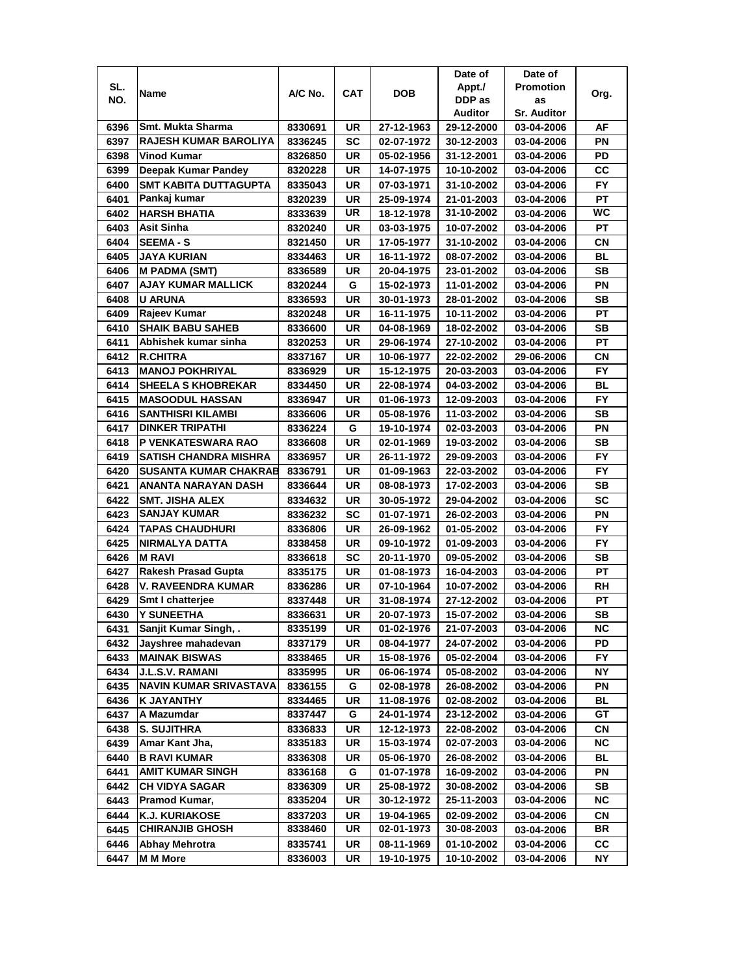|      |                               |         |            |            | Date of    | Date of            |           |
|------|-------------------------------|---------|------------|------------|------------|--------------------|-----------|
| SL.  | Name                          | A/C No. | <b>CAT</b> | <b>DOB</b> | Appt./     | <b>Promotion</b>   | Org.      |
| NO.  |                               |         |            |            | DDP as     | as                 |           |
|      |                               |         |            |            | Auditor    | <b>Sr. Auditor</b> |           |
| 6396 | Smt. Mukta Sharma             | 8330691 | UR         | 27-12-1963 | 29-12-2000 | 03-04-2006         | AF        |
| 6397 | <b>RAJESH KUMAR BAROLIYA</b>  | 8336245 | SC         | 02-07-1972 | 30-12-2003 | 03-04-2006         | PN        |
| 6398 | Vinod Kumar                   | 8326850 | UR         | 05-02-1956 | 31-12-2001 | 03-04-2006         | PD        |
| 6399 | Deepak Kumar Pandey           | 8320228 | UR         | 14-07-1975 | 10-10-2002 | 03-04-2006         | CC        |
| 6400 | <b>SMT KABITA DUTTAGUPTA</b>  | 8335043 | UR         | 07-03-1971 | 31-10-2002 | 03-04-2006         | <b>FY</b> |
| 6401 | Pankaj kumar                  | 8320239 | UR         | 25-09-1974 | 21-01-2003 | 03-04-2006         | <b>PT</b> |
| 6402 | <b>HARSH BHATIA</b>           | 8333639 | UR         | 18-12-1978 | 31-10-2002 | 03-04-2006         | <b>WC</b> |
| 6403 | <b>Asit Sinha</b>             | 8320240 | UR         | 03-03-1975 | 10-07-2002 | 03-04-2006         | PT        |
| 6404 | <b>SEEMA - S</b>              | 8321450 | UR         | 17-05-1977 | 31-10-2002 | 03-04-2006         | CN        |
| 6405 | JAYA KURIAN                   | 8334463 | UR         | 16-11-1972 | 08-07-2002 | 03-04-2006         | BL        |
| 6406 | <b>M PADMA (SMT)</b>          | 8336589 | UR         | 20-04-1975 | 23-01-2002 | 03-04-2006         | <b>SB</b> |
| 6407 | <b>AJAY KUMAR MALLICK</b>     | 8320244 | G          | 15-02-1973 | 11-01-2002 | 03-04-2006         | PN        |
| 6408 | <b>U ARUNA</b>                | 8336593 | UR         | 30-01-1973 | 28-01-2002 | 03-04-2006         | SВ        |
| 6409 | Rajeev Kumar                  | 8320248 | UR         | 16-11-1975 | 10-11-2002 | 03-04-2006         | <b>PT</b> |
| 6410 | <b>SHAIK BABU SAHEB</b>       | 8336600 | UR         | 04-08-1969 | 18-02-2002 | 03-04-2006         | SВ        |
| 6411 | Abhishek kumar sinha          | 8320253 | UR         | 29-06-1974 | 27-10-2002 | 03-04-2006         | <b>PT</b> |
| 6412 | <b>R.CHITRA</b>               | 8337167 | UR         | 10-06-1977 | 22-02-2002 | 29-06-2006         | CN        |
| 6413 | <b>MANOJ POKHRIYAL</b>        | 8336929 | UR         | 15-12-1975 | 20-03-2003 | 03-04-2006         | FY.       |
| 6414 | <b>SHEELA S KHOBREKAR</b>     | 8334450 | UR         | 22-08-1974 | 04-03-2002 | 03-04-2006         | BL        |
| 6415 | <b>MASOODUL HASSAN</b>        | 8336947 | UR         | 01-06-1973 | 12-09-2003 | 03-04-2006         | <b>FY</b> |
| 6416 | <b>SANTHISRI KILAMBI</b>      | 8336606 | UR         | 05-08-1976 | 11-03-2002 | 03-04-2006         | <b>SB</b> |
| 6417 | <b>DINKER TRIPATHI</b>        | 8336224 | G          | 19-10-1974 | 02-03-2003 | 03-04-2006         | PN        |
| 6418 | P VENKATESWARA RAO            | 8336608 | <b>UR</b>  | 02-01-1969 | 19-03-2002 | 03-04-2006         | <b>SB</b> |
| 6419 | <b>SATISH CHANDRA MISHRA</b>  | 8336957 | UR         | 26-11-1972 | 29-09-2003 | 03-04-2006         | FY.       |
| 6420 | <b>SUSANTA KUMAR CHAKRAB</b>  | 8336791 | UR         | 01-09-1963 | 22-03-2002 | 03-04-2006         | <b>FY</b> |
| 6421 | ANANTA NARAYAN DASH           | 8336644 | UR         | 08-08-1973 | 17-02-2003 | 03-04-2006         | SВ        |
| 6422 | <b>SMT. JISHA ALEX</b>        | 8334632 | UR         | 30-05-1972 | 29-04-2002 | 03-04-2006         | <b>SC</b> |
| 6423 | <b>SANJAY KUMAR</b>           | 8336232 | <b>SC</b>  | 01-07-1971 | 26-02-2003 | 03-04-2006         | PN        |
| 6424 | <b>TAPAS CHAUDHURI</b>        | 8336806 | UR         | 26-09-1962 | 01-05-2002 | 03-04-2006         | <b>FY</b> |
| 6425 | NIRMALYA DATTA                | 8338458 | UR         | 09-10-1972 | 01-09-2003 | 03-04-2006         | <b>FY</b> |
| 6426 | <b>M RAVI</b>                 | 8336618 | SC         | 20-11-1970 | 09-05-2002 | 03-04-2006         | <b>SB</b> |
| 6427 | <b>Rakesh Prasad Gupta</b>    | 8335175 | UR         | 01-08-1973 | 16-04-2003 | 03-04-2006         | РT        |
| 6428 | V. RAVEENDRA KUMAR            | 8336286 | UR         | 07-10-1964 | 10-07-2002 | 03-04-2006         | RH        |
| 6429 | <b>Smt I chatteriee</b>       | 8337448 | UR         | 31-08-1974 | 27-12-2002 | 03-04-2006         | PТ        |
| 6430 | <b>Y SUNEETHA</b>             | 8336631 | UR         | 20-07-1973 | 15-07-2002 | 03-04-2006         | <b>SB</b> |
| 6431 | Sanjit Kumar Singh, .         | 8335199 | UR         | 01-02-1976 | 21-07-2003 | 03-04-2006         | ΝC        |
| 6432 | Jayshree mahadevan            | 8337179 | UR         | 08-04-1977 | 24-07-2002 | 03-04-2006         | PD        |
| 6433 | <b>MAINAK BISWAS</b>          | 8338465 | UR         | 15-08-1976 | 05-02-2004 | 03-04-2006         | FY.       |
| 6434 | <b>J.L.S.V. RAMANI</b>        | 8335995 | UR         | 06-06-1974 | 05-08-2002 | 03-04-2006         | NΥ        |
| 6435 | <b>NAVIN KUMAR SRIVASTAVA</b> | 8336155 | G          | 02-08-1978 | 26-08-2002 | 03-04-2006         | ΡN        |
| 6436 | K JAYANTHY                    | 8334465 | UR         | 11-08-1976 | 02-08-2002 | 03-04-2006         | <b>BL</b> |
| 6437 | A Mazumdar                    | 8337447 | G          | 24-01-1974 | 23-12-2002 | 03-04-2006         | GT        |
| 6438 | <b>S. SUJITHRA</b>            | 8336833 | UR         | 12-12-1973 | 22-08-2002 | 03-04-2006         | CN        |
| 6439 | Amar Kant Jha,                | 8335183 | UR         | 15-03-1974 | 02-07-2003 | 03-04-2006         | <b>NC</b> |
| 6440 | <b>B RAVI KUMAR</b>           | 8336308 | UR         | 05-06-1970 | 26-08-2002 | 03-04-2006         | BL        |
| 6441 | <b>AMIT KUMAR SINGH</b>       | 8336168 | G          | 01-07-1978 | 16-09-2002 | 03-04-2006         | PN        |
| 6442 | <b>CH VIDYA SAGAR</b>         | 8336309 | UR         | 25-08-1972 | 30-08-2002 | 03-04-2006         | SB        |
| 6443 | Pramod Kumar,                 | 8335204 | UR         | 30-12-1972 | 25-11-2003 | 03-04-2006         | NC.       |
| 6444 | <b>K.J. KURIAKOSE</b>         | 8337203 | UR         | 19-04-1965 | 02-09-2002 | 03-04-2006         | CN        |
| 6445 | <b>CHIRANJIB GHOSH</b>        | 8338460 | UR         | 02-01-1973 | 30-08-2003 | 03-04-2006         | BR        |
| 6446 | <b>Abhay Mehrotra</b>         | 8335741 | UR         | 08-11-1969 | 01-10-2002 | 03-04-2006         | <b>CC</b> |
| 6447 | <b>M M More</b>               | 8336003 | UR         | 19-10-1975 | 10-10-2002 | 03-04-2006         | NΥ        |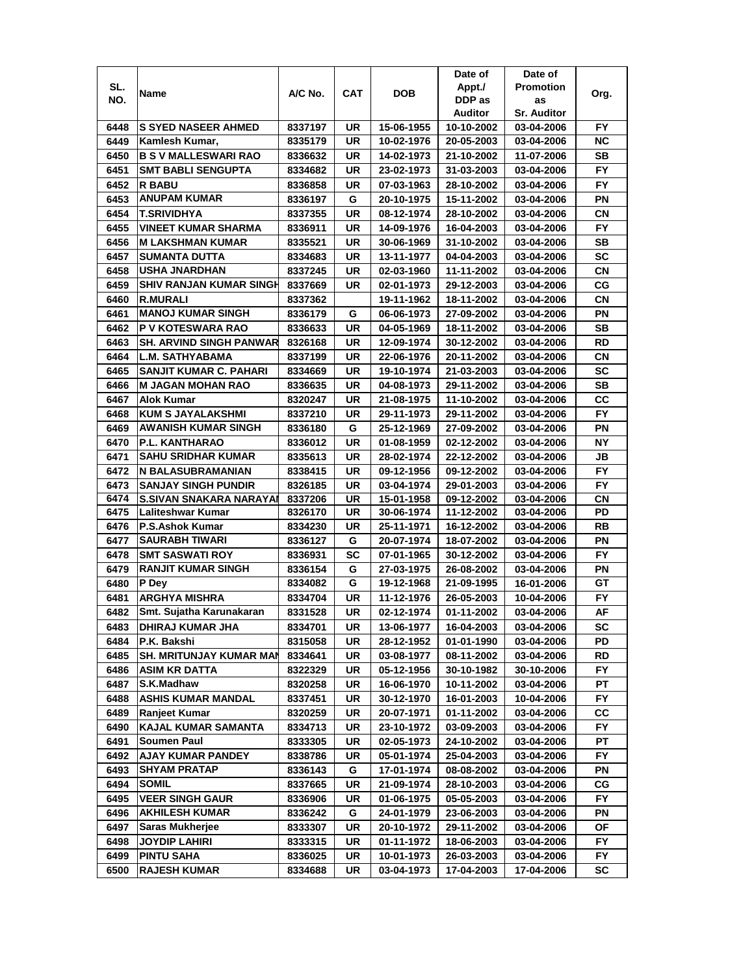|      |                                |         |     |            | Date of    | Date of            |           |
|------|--------------------------------|---------|-----|------------|------------|--------------------|-----------|
| SL.  | Name                           | A/C No. | CAT | DOB        | Appt./     | <b>Promotion</b>   | Org.      |
| NO.  |                                |         |     |            | DDP as     | as                 |           |
|      |                                |         |     |            | Auditor    | <b>Sr. Auditor</b> |           |
| 6448 | <b>S SYED NASEER AHMED</b>     | 8337197 | UR  | 15-06-1955 | 10-10-2002 | 03-04-2006         | FY.       |
| 6449 | Kamlesh Kumar,                 | 8335179 | UR  | 10-02-1976 | 20-05-2003 | 03-04-2006         | ΝC        |
| 6450 | <b>B S V MALLESWARI RAO</b>    | 8336632 | UR  | 14-02-1973 | 21-10-2002 | 11-07-2006         | SВ        |
| 6451 | <b>SMT BABLI SENGUPTA</b>      | 8334682 | UR  | 23-02-1973 | 31-03-2003 | 03-04-2006         | FY        |
| 6452 | R BABU                         | 8336858 | UR  | 07-03-1963 | 28-10-2002 | 03-04-2006         | FY        |
| 6453 | <b>ANUPAM KUMAR</b>            | 8336197 | G   | 20-10-1975 | 15-11-2002 | 03-04-2006         | PN        |
| 6454 | T.SRIVIDHYA                    | 8337355 | UR  | 08-12-1974 | 28-10-2002 | 03-04-2006         | СN        |
| 6455 | <b>VINEET KUMAR SHARMA</b>     | 8336911 | UR  | 14-09-1976 | 16-04-2003 | 03-04-2006         | FY.       |
| 6456 | M LAKSHMAN KUMAR               | 8335521 | UR  | 30-06-1969 | 31-10-2002 | 03-04-2006         | SВ        |
| 6457 | SUMANTA DUTTA                  | 8334683 | UR  | 13-11-1977 | 04-04-2003 | 03-04-2006         | SC        |
| 6458 | <b>USHA JNARDHAN</b>           | 8337245 | UR  | 02-03-1960 | 11-11-2002 | 03-04-2006         | СN        |
| 6459 | <b>SHIV RANJAN KUMAR SINGH</b> | 8337669 | UR  | 02-01-1973 | 29-12-2003 | 03-04-2006         | CG        |
| 6460 | <b>R.MURALI</b>                | 8337362 |     | 19-11-1962 | 18-11-2002 | 03-04-2006         | СN        |
| 6461 | <b>MANOJ KUMAR SINGH</b>       | 8336179 | G   | 06-06-1973 | 27-09-2002 | 03-04-2006         | ΡN        |
| 6462 | P V KOTESWARA RAO              | 8336633 | UR  | 04-05-1969 | 18-11-2002 | 03-04-2006         | SВ        |
| 6463 | <b>SH. ARVIND SINGH PANWAR</b> | 8326168 | UR  | 12-09-1974 | 30-12-2002 | 03-04-2006         | RD        |
| 6464 | L.M. SATHYABAMA                | 8337199 | UR  | 22-06-1976 | 20-11-2002 | 03-04-2006         | СN        |
| 6465 | <b>SANJIT KUMAR C. PAHARI</b>  | 8334669 | UR  | 19-10-1974 | 21-03-2003 | 03-04-2006         | SC        |
| 6466 | <b>M JAGAN MOHAN RAO</b>       | 8336635 | UR  | 04-08-1973 | 29-11-2002 | 03-04-2006         | SB        |
| 6467 | Alok Kumar                     | 8320247 | UR  | 21-08-1975 | 11-10-2002 | 03-04-2006         | СC        |
| 6468 | <b>KUM S JAYALAKSHMI</b>       | 8337210 | UR  | 29-11-1973 | 29-11-2002 | 03-04-2006         | FY        |
| 6469 | <b>AWANISH KUMAR SINGH</b>     | 8336180 | G   | 25-12-1969 | 27-09-2002 | 03-04-2006         | ΡN        |
| 6470 | <b>P.L. KANTHARAO</b>          | 8336012 | UR  | 01-08-1959 | 02-12-2002 | 03-04-2006         | NΥ        |
| 6471 | <b>SAHU SRIDHAR KUMAR</b>      | 8335613 | UR  | 28-02-1974 | 22-12-2002 | 03-04-2006         | JB        |
| 6472 | N BALASUBRAMANIAN              | 8338415 | UR  | 09-12-1956 | 09-12-2002 | 03-04-2006         | FY.       |
| 6473 | <b>SANJAY SINGH PUNDIR</b>     | 8326185 | UR  | 03-04-1974 | 29-01-2003 | 03-04-2006         | FY        |
| 6474 | <b>S.SIVAN SNAKARA NARAYAI</b> | 8337206 | UR  | 15-01-1958 | 09-12-2002 | 03-04-2006         | CN        |
| 6475 | Laliteshwar Kumar              | 8326170 | UR  | 30-06-1974 | 11-12-2002 | 03-04-2006         | PD        |
| 6476 | P.S.Ashok Kumar                | 8334230 | UR  | 25-11-1971 | 16-12-2002 | 03-04-2006         | RB        |
| 6477 | <b>SAURABH TIWARI</b>          | 8336127 | G   | 20-07-1974 | 18-07-2002 | 03-04-2006         | ΡN        |
| 6478 | <b>SMT SASWATI ROY</b>         | 8336931 | SC  | 07-01-1965 | 30-12-2002 | 03-04-2006         | FY        |
| 6479 | <b>RANJIT KUMAR SINGH</b>      | 8336154 | G   | 27-03-1975 | 26-08-2002 | 03-04-2006         | ΡN        |
| 6480 | P Dey                          | 8334082 | G   | 19-12-1968 | 21-09-1995 | 16-01-2006         | GТ        |
| 6481 | <b>ARGHYA MISHRA</b>           | 8334704 | UR  | 11-12-1976 | 26-05-2003 | 10-04-2006         | FY        |
| 6482 | Smt. Sujatha Karunakaran       | 8331528 | UR  | 02-12-1974 | 01-11-2002 | 03-04-2006         | AF        |
| 6483 | DHIRAJ KUMAR JHA               | 8334701 | UR  | 13-06-1977 | 16-04-2003 | 03-04-2006         | SC        |
| 6484 | P.K. Bakshi                    | 8315058 | UR  | 28-12-1952 | 01-01-1990 | 03-04-2006         | PD        |
| 6485 | <b>SH. MRITUNJAY KUMAR MAN</b> | 8334641 | UR  | 03-08-1977 | 08-11-2002 | 03-04-2006         | RD        |
| 6486 | <b>ASIM KR DATTA</b>           | 8322329 | UR  | 05-12-1956 | 30-10-1982 | 30-10-2006         | FY        |
| 6487 | S.K.Madhaw                     | 8320258 | UR  | 16-06-1970 | 10-11-2002 | 03-04-2006         | PT        |
| 6488 | <b>ASHIS KUMAR MANDAL</b>      | 8337451 | UR  | 30-12-1970 | 16-01-2003 | 10-04-2006         | <b>FY</b> |
| 6489 | Ranjeet Kumar                  | 8320259 | UR  | 20-07-1971 | 01-11-2002 | 03-04-2006         | CС        |
| 6490 | <b>KAJAL KUMAR SAMANTA</b>     | 8334713 | UR  | 23-10-1972 | 03-09-2003 | 03-04-2006         | FY.       |
| 6491 | <b>Soumen Paul</b>             | 8333305 | UR  | 02-05-1973 | 24-10-2002 | 03-04-2006         | PT        |
| 6492 | <b>AJAY KUMAR PANDEY</b>       | 8338786 | UR  | 05-01-1974 | 25-04-2003 | 03-04-2006         | FY.       |
| 6493 | <b>SHYAM PRATAP</b>            | 8336143 | G   | 17-01-1974 | 08-08-2002 | 03-04-2006         | ΡN        |
| 6494 | <b>SOMIL</b>                   | 8337665 | UR  | 21-09-1974 | 28-10-2003 | 03-04-2006         | СG        |
| 6495 | <b>VEER SINGH GAUR</b>         | 8336906 | UR  | 01-06-1975 | 05-05-2003 | 03-04-2006         | FY        |
| 6496 | <b>AKHILESH KUMAR</b>          | 8336242 | G   | 24-01-1979 | 23-06-2003 | 03-04-2006         | ΡN        |
| 6497 | <b>Saras Mukherjee</b>         | 8333307 | UR  | 20-10-1972 | 29-11-2002 | 03-04-2006         | ΟF        |
| 6498 | <b>JOYDIP LAHIRI</b>           | 8333315 | UR  | 01-11-1972 | 18-06-2003 | 03-04-2006         | FY.       |
| 6499 | PINTU SAHA                     | 8336025 | UR  | 10-01-1973 | 26-03-2003 | 03-04-2006         | FY.       |
| 6500 | <b>RAJESH KUMAR</b>            | 8334688 | UR  | 03-04-1973 | 17-04-2003 | 17-04-2006         | SC        |
|      |                                |         |     |            |            |                    |           |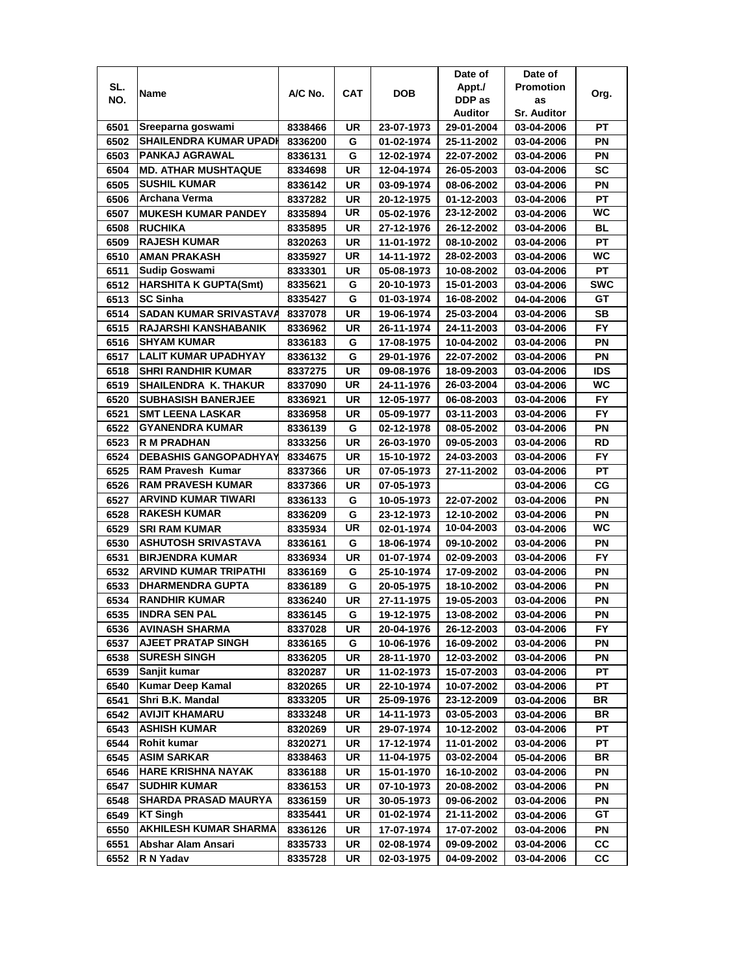|              |                               |                    |            |                          | Date of                  | Date of                  |            |
|--------------|-------------------------------|--------------------|------------|--------------------------|--------------------------|--------------------------|------------|
| SL.          | Name                          | A/C No.            | <b>CAT</b> | <b>DOB</b>               | Appt./                   | <b>Promotion</b>         | Org.       |
| NO.          |                               |                    |            |                          | DDP as                   | as                       |            |
|              |                               |                    |            |                          | Auditor                  | <b>Sr. Auditor</b>       |            |
| 6501         | Sreeparna goswami             | 8338466            | UR         | 23-07-1973               | 29-01-2004               | 03-04-2006               | РT         |
| 6502         | <b>SHAILENDRA KUMAR UPADI</b> | 8336200            | G          | 01-02-1974               | 25-11-2002               | 03-04-2006               | PN         |
| 6503         | <b>PANKAJ AGRAWAL</b>         | 8336131            | G          | 12-02-1974               | 22-07-2002               | 03-04-2006               | PN         |
| 6504         | <b>MD. ATHAR MUSHTAQUE</b>    | 8334698            | UR         | 12-04-1974               | 26-05-2003               | 03-04-2006               | <b>SC</b>  |
| 6505         | <b>SUSHIL KUMAR</b>           | 8336142            | UR         | 03-09-1974               | 08-06-2002               | 03-04-2006               | ΡN         |
| 6506         | Archana Verma                 | 8337282            | UR         | 20-12-1975               | 01-12-2003               | 03-04-2006               | <b>PT</b>  |
| 6507         | <b>MUKESH KUMAR PANDEY</b>    | 8335894            | UR         | 05-02-1976               | 23-12-2002               | 03-04-2006               | <b>WC</b>  |
| 6508         | <b>RUCHIKA</b>                | 8335895            | UR         | 27-12-1976               | 26-12-2002               | 03-04-2006               | BL         |
| 6509         | <b>RAJESH KUMAR</b>           | 8320263            | UR         | 11-01-1972               | 08-10-2002               | 03-04-2006               | PТ         |
| 6510         | <b>AMAN PRAKASH</b>           | 8335927            | UR         | 14-11-1972               | 28-02-2003               | 03-04-2006               | WC         |
| 6511         | <b>Sudip Goswami</b>          | 8333301            | UR         | 05-08-1973               | 10-08-2002               | 03-04-2006               | PT         |
| 6512         | <b>HARSHITA K GUPTA(Smt)</b>  | 8335621            | G          | 20-10-1973               | 15-01-2003               | 03-04-2006               | <b>SWC</b> |
| 6513         | <b>SC Sinha</b>               | 8335427            | G          | 01-03-1974               | 16-08-2002               | 04-04-2006               | GT         |
| 6514         | SADAN KUMAR SRIVASTAVA        | 8337078            | UR         | 19-06-1974               | 25-03-2004               | 03-04-2006               | <b>SB</b>  |
| 6515         | <b>RAJARSHI KANSHABANIK</b>   | 8336962            | UR         | 26-11-1974               | 24-11-2003               | 03-04-2006               | FY.        |
| 6516         | <b>SHYAM KUMAR</b>            | 8336183            | G          | 17-08-1975               | 10-04-2002               | 03-04-2006               | ΡN         |
| 6517         | LALIT KUMAR UPADHYAY          | 8336132            | G          | 29-01-1976               | 22-07-2002               | 03-04-2006               | ΡN         |
| 6518         | <b>SHRI RANDHIR KUMAR</b>     | 8337275            | UR         | 09-08-1976               | 18-09-2003               | 03-04-2006               | IDS        |
| 6519         | SHAILENDRA K. THAKUR          | 8337090            | UR         | 24-11-1976               | 26-03-2004               | 03-04-2006               | <b>WC</b>  |
| 6520         | <b>SUBHASISH BANERJEE</b>     | 8336921            | UR         | 12-05-1977               | 06-08-2003               | 03-04-2006               | <b>FY</b>  |
| 6521         | <b>SMT LEENA LASKAR</b>       | 8336958            | UR         | 05-09-1977               | 03-11-2003               | 03-04-2006               | <b>FY</b>  |
| 6522         | <b>GYANENDRA KUMAR</b>        | 8336139            | G          | 02-12-1978               | 08-05-2002               | 03-04-2006               | ΡN         |
| 6523         | <b>R M PRADHAN</b>            | 8333256            | <b>UR</b>  | 26-03-1970               | 09-05-2003               | 03-04-2006               | <b>RD</b>  |
| 6524         | <b>DEBASHIS GANGOPADHYAY</b>  | 8334675            | UR         | 15-10-1972               | 24-03-2003               | 03-04-2006               | FY.        |
| 6525         | <b>RAM Pravesh Kumar</b>      | 8337366            | UR         | 07-05-1973               | 27-11-2002               | 03-04-2006               | <b>PT</b>  |
| 6526         | <b>RAM PRAVESH KUMAR</b>      | 8337366            | UR         | 07-05-1973               |                          | 03-04-2006               | СG         |
| 6527         | <b>ARVIND KUMAR TIWARI</b>    | 8336133            | G          | 10-05-1973               | 22-07-2002               | 03-04-2006               | PN         |
| 6528         | <b>RAKESH KUMAR</b>           | 8336209            | G          | 23-12-1973               | 12-10-2002               | 03-04-2006               | PN         |
| 6529         | <b>SRI RAM KUMAR</b>          | 8335934            | UR         | 02-01-1974               | 10-04-2003               | 03-04-2006               | WC         |
| 6530         | <b>ASHUTOSH SRIVASTAVA</b>    | 8336161            | G          | 18-06-1974               | 09-10-2002               | 03-04-2006               | PN         |
| 6531         | <b>BIRJENDRA KUMAR</b>        | 8336934            | UR         | 01-07-1974               | 02-09-2003               | 03-04-2006               | <b>FY</b>  |
| 6532         | <b>ARVIND KUMAR TRIPATHI</b>  | 8336169            | G          | 25-10-1974               | 17-09-2002               | 03-04-2006               | ΡN         |
| 6533         | <b>DHARMENDRA GUPTA</b>       | 8336189            | G          | 20-05-1975               | 18-10-2002               | 03-04-2006               | ΡN         |
| 6534         | <b>RANDHIR KUMAR</b>          | 8336240            | UR         | 27-11-1975               | 19-05-2003               | 03-04-2006               | ΡN         |
| 6535         | <b>INDRA SEN PAL</b>          | 8336145            | G          | 19-12-1975               | 13-08-2002               | 03-04-2006               | PN         |
| 6536         | <b>AVINASH SHARMA</b>         | 8337028            | UR         | 20-04-1976               | 26-12-2003               | 03-04-2006               | FY.        |
| 6537         | <b>AJEET PRATAP SINGH</b>     | 8336165            | G          | 10-06-1976               | 16-09-2002               | 03-04-2006               | ΡN         |
| 6538         | <b>SURESH SINGH</b>           | 8336205            | UR         | 28-11-1970               | 12-03-2002               | 03-04-2006               | ΡN         |
| 6539         | Sanjit kumar                  | 8320287            | UR         | 11-02-1973               | 15-07-2003               | 03-04-2006               | <b>PT</b>  |
| 6540         | <b>Kumar Deep Kamal</b>       | 8320265            | UR         | 22-10-1974               | 10-07-2002               | 03-04-2006               | PT.        |
| 6541         | Shri B.K. Mandal              | 8333205            | UR         | 25-09-1976               | 23-12-2009               | 03-04-2006               | BR         |
| 6542         | <b>AVIJIT KHAMARU</b>         | 8333248            | UR         | 14-11-1973               | 03-05-2003               | 03-04-2006               | BR         |
|              | <b>ASHISH KUMAR</b>           |                    |            |                          |                          |                          | PT         |
| 6543         | <b>Rohit kumar</b>            | 8320269            | UR         | 29-07-1974               | 10-12-2002               | 03-04-2006               |            |
| 6544<br>6545 | <b>ASIM SARKAR</b>            | 8320271<br>8338463 | UR<br>UR   | 17-12-1974<br>11-04-1975 | 11-01-2002<br>03-02-2004 | 03-04-2006<br>05-04-2006 | PT<br>BR   |
|              | <b>HARE KRISHNA NAYAK</b>     |                    |            |                          | 16-10-2002               |                          |            |
| 6546         | <b>SUDHIR KUMAR</b>           | 8336188            | UR         | 15-01-1970               |                          | 03-04-2006               | PN<br>PN   |
| 6547         | <b>SHARDA PRASAD MAURYA</b>   | 8336153            | UR         | 07-10-1973               | 20-08-2002               | 03-04-2006               |            |
| 6548         |                               | 8336159            | UR         | 30-05-1973               | 09-06-2002               | 03-04-2006               | PN         |
| 6549         | <b>KT Singh</b>               | 8335441            | UR         | 01-02-1974               | 21-11-2002               | 03-04-2006               | GТ         |
| 6550         | <b>AKHILESH KUMAR SHARMA</b>  | 8336126            | UR         | 17-07-1974               | 17-07-2002               | 03-04-2006               | PN         |
| 6551         | Abshar Alam Ansari            | 8335733            | UR         | 02-08-1974               | 09-09-2002               | 03-04-2006               | CС         |
| 6552         | R N Yadav                     | 8335728            | UR         | 02-03-1975               | 04-09-2002               | 03-04-2006               | СC         |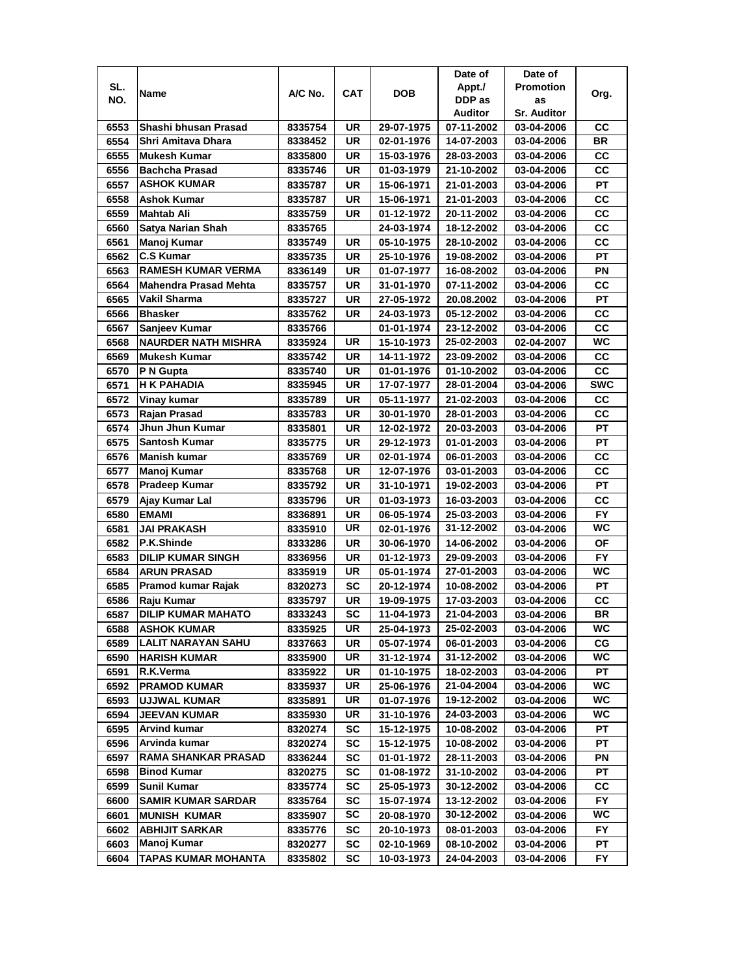|      |                              |         |           |            | Date of    | Date of            |            |
|------|------------------------------|---------|-----------|------------|------------|--------------------|------------|
| SL.  | Name                         | A/C No. | CAT       | DOB        | Appt./     | <b>Promotion</b>   |            |
| NO.  |                              |         |           |            | DDP as     | as                 | Org.       |
|      |                              |         |           |            | Auditor    | <b>Sr. Auditor</b> |            |
| 6553 | Shashi bhusan Prasad         | 8335754 | UR        | 29-07-1975 | 07-11-2002 | 03-04-2006         | CС         |
| 6554 | Shri Amitava Dhara           | 8338452 | UR        | 02-01-1976 | 14-07-2003 | 03-04-2006         | BR         |
| 6555 | Mukesh Kumar                 | 8335800 | <b>UR</b> | 15-03-1976 | 28-03-2003 | 03-04-2006         | CC         |
| 6556 | <b>Bachcha Prasad</b>        | 8335746 | UR        | 01-03-1979 | 21-10-2002 | 03-04-2006         | cc         |
| 6557 | <b>ASHOK KUMAR</b>           | 8335787 | <b>UR</b> | 15-06-1971 | 21-01-2003 | 03-04-2006         | <b>PT</b>  |
| 6558 | Ashok Kumar                  | 8335787 | UR        | 15-06-1971 | 21-01-2003 | 03-04-2006         | CC         |
| 6559 | <b>Mahtab Ali</b>            | 8335759 | <b>UR</b> | 01-12-1972 | 20-11-2002 | 03-04-2006         | СC         |
| 6560 | Satya Narian Shah            | 8335765 |           | 24-03-1974 | 18-12-2002 | 03-04-2006         | CC         |
| 6561 | Manoj Kumar                  | 8335749 | UR        | 05-10-1975 | 28-10-2002 | 03-04-2006         | cc         |
| 6562 | <b>C.S Kumar</b>             | 8335735 | UR        | 25-10-1976 | 19-08-2002 | 03-04-2006         | РT         |
| 6563 | <b>RAMESH KUMAR VERMA</b>    | 8336149 | UR        | 01-07-1977 | 16-08-2002 | 03-04-2006         | PN         |
| 6564 | <b>Mahendra Prasad Mehta</b> | 8335757 | UR        | 31-01-1970 | 07-11-2002 | 03-04-2006         | CC         |
| 6565 | Vakil Sharma                 | 8335727 | <b>UR</b> | 27-05-1972 | 20.08.2002 | 03-04-2006         | PT         |
| 6566 | <b>Bhasker</b>               | 8335762 | UR        | 24-03-1973 | 05-12-2002 | 03-04-2006         | CC         |
| 6567 | Sanjeev Kumar                | 8335766 |           | 01-01-1974 | 23-12-2002 | 03-04-2006         | cc         |
| 6568 | <b>NAURDER NATH MISHRA</b>   | 8335924 | UR        | 15-10-1973 | 25-02-2003 | 02-04-2007         | WC         |
| 6569 | Mukesh Kumar                 | 8335742 | <b>UR</b> | 14-11-1972 | 23-09-2002 | 03-04-2006         | <b>CC</b>  |
| 6570 | P N Gupta                    | 8335740 | UR        | 01-01-1976 | 01-10-2002 | 03-04-2006         | CC         |
| 6571 | H K PAHADIA                  | 8335945 | UR        | 17-07-1977 | 28-01-2004 | 03-04-2006         | <b>SWC</b> |
| 6572 | Vinay kumar                  | 8335789 | <b>UR</b> | 05-11-1977 | 21-02-2003 | 03-04-2006         | CC         |
| 6573 | Rajan Prasad                 | 8335783 | <b>UR</b> | 30-01-1970 | 28-01-2003 | 03-04-2006         | CC         |
| 6574 | Jhun Jhun Kumar              | 8335801 | <b>UR</b> | 12-02-1972 | 20-03-2003 | 03-04-2006         | <b>PT</b>  |
| 6575 | Santosh Kumar                | 8335775 | <b>UR</b> | 29-12-1973 | 01-01-2003 | 03-04-2006         | PT         |
| 6576 | Manish kumar                 | 8335769 | <b>UR</b> | 02-01-1974 | 06-01-2003 | 03-04-2006         | СC         |
| 6577 | Manoj Kumar                  | 8335768 | UR        | 12-07-1976 | 03-01-2003 | 03-04-2006         | CC         |
| 6578 | Pradeep Kumar                | 8335792 | <b>UR</b> | 31-10-1971 | 19-02-2003 | 03-04-2006         | PT         |
| 6579 | Ajay Kumar Lal               | 8335796 | UR        | 01-03-1973 | 16-03-2003 | 03-04-2006         | cc         |
| 6580 | <b>EMAMI</b>                 | 8336891 | UR        | 06-05-1974 | 25-03-2003 | 03-04-2006         | <b>FY</b>  |
| 6581 | <b>JAI PRAKASH</b>           | 8335910 | <b>UR</b> | 02-01-1976 | 31-12-2002 | 03-04-2006         | WC         |
| 6582 | P.K.Shinde                   | 8333286 | <b>UR</b> | 30-06-1970 | 14-06-2002 | 03-04-2006         | OF         |
| 6583 | <b>DILIP KUMAR SINGH</b>     | 8336956 | <b>UR</b> | 01-12-1973 | 29-09-2003 | 03-04-2006         | <b>FY</b>  |
| 6584 | <b>ARUN PRASAD</b>           | 8335919 | UR        | 05-01-1974 | 27-01-2003 | 03-04-2006         | WC         |
| 6585 | <b>Pramod kumar Rajak</b>    | 8320273 | SC        | 20-12-1974 | 10-08-2002 | 03-04-2006         | PT         |
| 6586 | Raju Kumar                   | 8335797 | UR        | 19-09-1975 | 17-03-2003 | 03-04-2006         | СC         |
| 6587 | <b>DILIP KUMAR MAHATO</b>    | 8333243 | <b>SC</b> | 11-04-1973 | 21-04-2003 | 03-04-2006         | <b>BR</b>  |
| 6588 | <b>ASHOK KUMAR</b>           | 8335925 | UR        | 25-04-1973 | 25-02-2003 | 03-04-2006         | WC.        |
| 6589 | LALIT NARAYAN SAHU           | 8337663 | UR        | 05-07-1974 | 06-01-2003 | 03-04-2006         | СG         |
| 6590 | <b>HARISH KUMAR</b>          | 8335900 | UR        | 31-12-1974 | 31-12-2002 | 03-04-2006         | WC         |
| 6591 | R.K.Verma                    | 8335922 | UR        | 01-10-1975 | 18-02-2003 | 03-04-2006         | РT         |
| 6592 | <b>PRAMOD KUMAR</b>          | 8335937 | UR        | 25-06-1976 | 21-04-2004 | 03-04-2006         | <b>WC</b>  |
| 6593 | <b>UJJWAL KUMAR</b>          | 8335891 | UR        | 01-07-1976 | 19-12-2002 | 03-04-2006         | WC.        |
| 6594 | <b>JEEVAN KUMAR</b>          | 8335930 | UR        | 31-10-1976 | 24-03-2003 | 03-04-2006         | WC         |
| 6595 | Arvind kumar                 | 8320274 | <b>SC</b> | 15-12-1975 | 10-08-2002 | 03-04-2006         | PТ         |
| 6596 | Arvinda kumar                | 8320274 | <b>SC</b> | 15-12-1975 | 10-08-2002 | 03-04-2006         | РT         |
| 6597 | <b>RAMA SHANKAR PRASAD</b>   | 8336244 | SC        | 01-01-1972 | 28-11-2003 | 03-04-2006         | PN         |
| 6598 | <b>Binod Kumar</b>           | 8320275 | <b>SC</b> | 01-08-1972 | 31-10-2002 | 03-04-2006         | РT         |
| 6599 | <b>Sunil Kumar</b>           | 8335774 | <b>SC</b> | 25-05-1973 | 30-12-2002 | 03-04-2006         | <b>CC</b>  |
| 6600 | <b>SAMIR KUMAR SARDAR</b>    | 8335764 | SC        | 15-07-1974 | 13-12-2002 | 03-04-2006         | FY.        |
| 6601 | <b>MUNISH KUMAR</b>          | 8335907 | SC        | 20-08-1970 | 30-12-2002 | 03-04-2006         | WC         |
| 6602 | <b>ABHIJIT SARKAR</b>        | 8335776 | SC        | 20-10-1973 | 08-01-2003 | 03-04-2006         | FY.        |
| 6603 | Manoj Kumar                  | 8320277 | SC        | 02-10-1969 | 08-10-2002 | 03-04-2006         | PТ         |
| 6604 | TAPAS KUMAR MOHANTA          | 8335802 | SC        | 10-03-1973 | 24-04-2003 | 03-04-2006         | FY.        |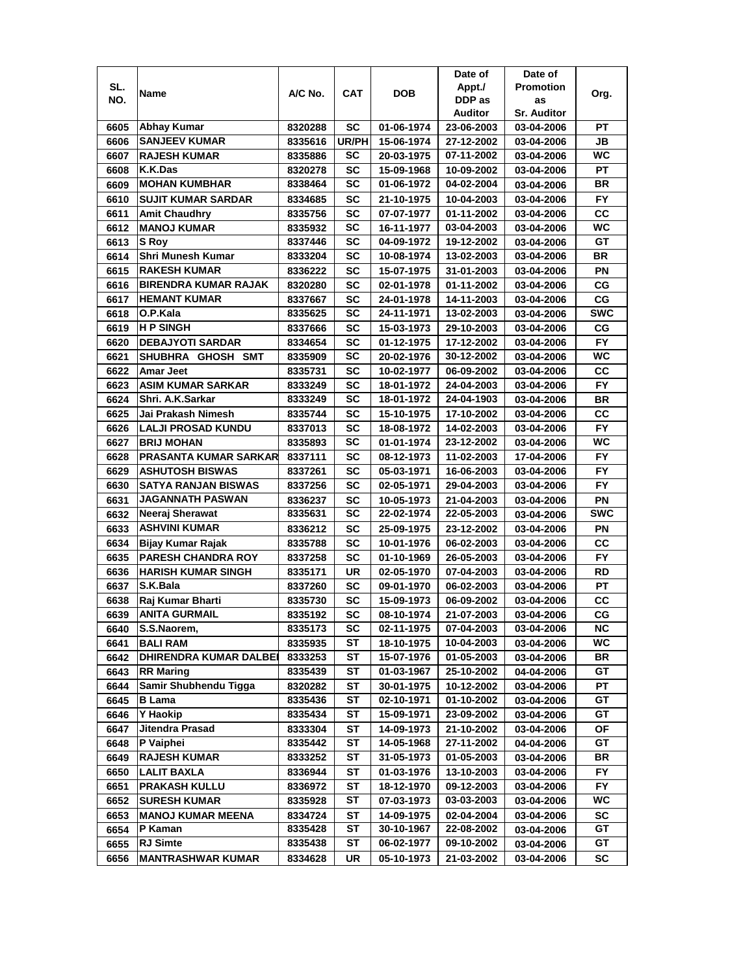|      |                               |                    |              |            | Date of                  | Date of            |            |
|------|-------------------------------|--------------------|--------------|------------|--------------------------|--------------------|------------|
| SL.  |                               | A/C No.            | CAT          | <b>DOB</b> | Appt./                   | <b>Promotion</b>   |            |
| NO.  | Name                          |                    |              |            | DDP as                   | as                 | Org.       |
|      |                               |                    |              |            | Auditor                  | <b>Sr. Auditor</b> |            |
| 6605 | <b>Abhay Kumar</b>            | 8320288            | SC           | 01-06-1974 | 23-06-2003               | 03-04-2006         | РT         |
| 6606 | <b>SANJEEV KUMAR</b>          | 8335616            | <b>UR/PH</b> | 15-06-1974 | 27-12-2002               | 03-04-2006         | JB         |
| 6607 | <b>RAJESH KUMAR</b>           | 8335886            | SC           | 20-03-1975 | 07-11-2002               | 03-04-2006         | WC         |
| 6608 | K.K.Das                       | 8320278            | SC           | 15-09-1968 | 10-09-2002               | 03-04-2006         | PT         |
| 6609 | <b>MOHAN KUMBHAR</b>          | 8338464            | <b>SC</b>    | 01-06-1972 | 04-02-2004               | 03-04-2006         | <b>BR</b>  |
| 6610 | <b>SUJIT KUMAR SARDAR</b>     | 8334685            | SC           | 21-10-1975 | 10-04-2003               | 03-04-2006         | <b>FY</b>  |
| 6611 | <b>Amit Chaudhry</b>          | 8335756            | SC           | 07-07-1977 | 01-11-2002               | 03-04-2006         | cc         |
| 6612 | <b>MANOJ KUMAR</b>            | 8335932            | SC           | 16-11-1977 | 03-04-2003               | 03-04-2006         | <b>WC</b>  |
| 6613 | <b>S</b> Roy                  | 8337446            | SC           | 04-09-1972 | 19-12-2002               | 03-04-2006         | GT         |
| 6614 | Shri Munesh Kumar             | 8333204            | SC           | 10-08-1974 | 13-02-2003               | 03-04-2006         | <b>BR</b>  |
| 6615 | <b>RAKESH KUMAR</b>           | 8336222            | <b>SC</b>    | 15-07-1975 | 31-01-2003               | 03-04-2006         | PN         |
| 6616 | <b>BIRENDRA KUMAR RAJAK</b>   | 8320280            | SC           | 02-01-1978 | 01-11-2002               | 03-04-2006         | CG         |
| 6617 | <b>HEMANT KUMAR</b>           | 8337667            | <b>SC</b>    | 24-01-1978 | 14-11-2003               | 03-04-2006         | CG         |
| 6618 | O.P.Kala                      | 8335625            | <b>SC</b>    | 24-11-1971 | 13-02-2003               | 03-04-2006         | <b>SWC</b> |
| 6619 | <b>H P SINGH</b>              |                    | SC           | 15-03-1973 |                          |                    | CG         |
| 6620 | <b>DEBAJYOTI SARDAR</b>       | 8337666<br>8334654 | SC           | 01-12-1975 | 29-10-2003<br>17-12-2002 | 03-04-2006         | FY.        |
|      |                               |                    | SC           |            | 30-12-2002               | 03-04-2006         | WC         |
| 6621 | SHUBHRA GHOSH SMT             | 8335909            |              | 20-02-1976 |                          | 03-04-2006         |            |
| 6622 | Amar Jeet                     | 8335731            | SC           | 10-02-1977 | 06-09-2002               | 03-04-2006         | CС         |
| 6623 | <b>ASIM KUMAR SARKAR</b>      | 8333249            | SC           | 18-01-1972 | 24-04-2003               | 03-04-2006         | FY         |
| 6624 | Shri. A.K.Sarkar              | 8333249            | SC           | 18-01-1972 | 24-04-1903               | 03-04-2006         | BR         |
| 6625 | Jai Prakash Nimesh            | 8335744            | SC           | 15-10-1975 | 17-10-2002               | 03-04-2006         | CC         |
| 6626 | <b>LALJI PROSAD KUNDU</b>     | 8337013            | <b>SC</b>    | 18-08-1972 | 14-02-2003               | 03-04-2006         | <b>FY</b>  |
| 6627 | <b>BRIJ MOHAN</b>             | 8335893            | SC           | 01-01-1974 | 23-12-2002               | 03-04-2006         | <b>WC</b>  |
| 6628 | <b>PRASANTA KUMAR SARKAR</b>  | 8337111            | SC           | 08-12-1973 | 11-02-2003               | 17-04-2006         | <b>FY</b>  |
| 6629 | <b>ASHUTOSH BISWAS</b>        | 8337261            | SC           | 05-03-1971 | 16-06-2003               | 03-04-2006         | FY.        |
| 6630 | SATYA RANJAN BISWAS           | 8337256            | SC           | 02-05-1971 | 29-04-2003               | 03-04-2006         | <b>FY</b>  |
| 6631 | <b>JAGANNATH PASWAN</b>       | 8336237            | SC           | 10-05-1973 | 21-04-2003               | 03-04-2006         | PN         |
| 6632 | Neeraj Sherawat               | 8335631            | SC           | 22-02-1974 | 22-05-2003               | 03-04-2006         | <b>SWC</b> |
| 6633 | <b>ASHVINI KUMAR</b>          | 8336212            | <b>SC</b>    | 25-09-1975 | 23-12-2002               | 03-04-2006         | PN         |
| 6634 | Bijay Kumar Rajak             | 8335788            | SC           | 10-01-1976 | 06-02-2003               | 03-04-2006         | cc         |
| 6635 | <b>PARESH CHANDRA ROY</b>     | 8337258            | SC           | 01-10-1969 | 26-05-2003               | 03-04-2006         | <b>FY</b>  |
| 6636 | HARISH KUMAR SINGH            | 8335171            | UR           | 02-05-1970 | 07-04-2003               | 03-04-2006         | RD         |
| 6637 | S.K.Bala                      | 8337260            | SC           | 09-01-1970 | 06-02-2003               | 03-04-2006         | РT         |
| 6638 | Raj Kumar Bharti              | 8335730            | SC           | 15-09-1973 | 06-09-2002               | 03-04-2006         | СC         |
| 6639 | <b>ANITA GURMAIL</b>          | 8335192            | SC           | 08-10-1974 | 21-07-2003               | 03-04-2006         | CG         |
| 6640 | S.S.Naorem,                   | 8335173            | SC           | 02-11-1975 | 07-04-2003               | 03-04-2006         | <b>NC</b>  |
| 6641 | <b>BALI RAM</b>               | 8335935            | ST           | 18-10-1975 | 10-04-2003               | 03-04-2006         | WC         |
| 6642 | <b>DHIRENDRA KUMAR DALBEI</b> | 8333253            | ST           | 15-07-1976 | 01-05-2003               | 03-04-2006         | BR         |
| 6643 | <b>RR Maring</b>              | 8335439            | ST           | 01-03-1967 | 25-10-2002               | 04-04-2006         | GT         |
| 6644 | Samir Shubhendu Tigga         | 8320282            | ST           | 30-01-1975 | 10-12-2002               | 03-04-2006         | <b>PT</b>  |
| 6645 | <b>B</b> Lama                 | 8335436            | ST           | 02-10-1971 | 01-10-2002               | 03-04-2006         | GT         |
| 6646 | <b>Y Haokip</b>               | 8335434            | ST           | 15-09-1971 | 23-09-2002               | 03-04-2006         | GT         |
| 6647 | Jitendra Prasad               | 8333304            | ST           | 14-09-1973 | 21-10-2002               | 03-04-2006         | ОF         |
| 6648 | P Vaiphei                     | 8335442            | ST           | 14-05-1968 | 27-11-2002               | 04-04-2006         | GT         |
| 6649 | <b>RAJESH KUMAR</b>           | 8333252            | ST           | 31-05-1973 | 01-05-2003               | 03-04-2006         | BR         |
| 6650 | <b>LALIT BAXLA</b>            | 8336944            | ST           | 01-03-1976 | 13-10-2003               | 03-04-2006         | FY         |
| 6651 | <b>PRAKASH KULLU</b>          | 8336972            | ST           | 18-12-1970 | 09-12-2003               | 03-04-2006         | <b>FY</b>  |
| 6652 | <b>SURESH KUMAR</b>           | 8335928            | SТ           | 07-03-1973 | 03-03-2003               | 03-04-2006         | WC         |
| 6653 | <b>MANOJ KUMAR MEENA</b>      | 8334724            | SТ           | 14-09-1975 | 02-04-2004               | 03-04-2006         | SC         |
| 6654 | P Kaman                       | 8335428            | SТ           | 30-10-1967 | 22-08-2002               | 03-04-2006         | GT         |
| 6655 | <b>RJ Simte</b>               | 8335438            | ST           | 06-02-1977 | 09-10-2002               | 03-04-2006         | GT         |
| 6656 | <b>MANTRASHWAR KUMAR</b>      | 8334628            | UR           | 05-10-1973 | 21-03-2002               | 03-04-2006         | SC         |
|      |                               |                    |              |            |                          |                    |            |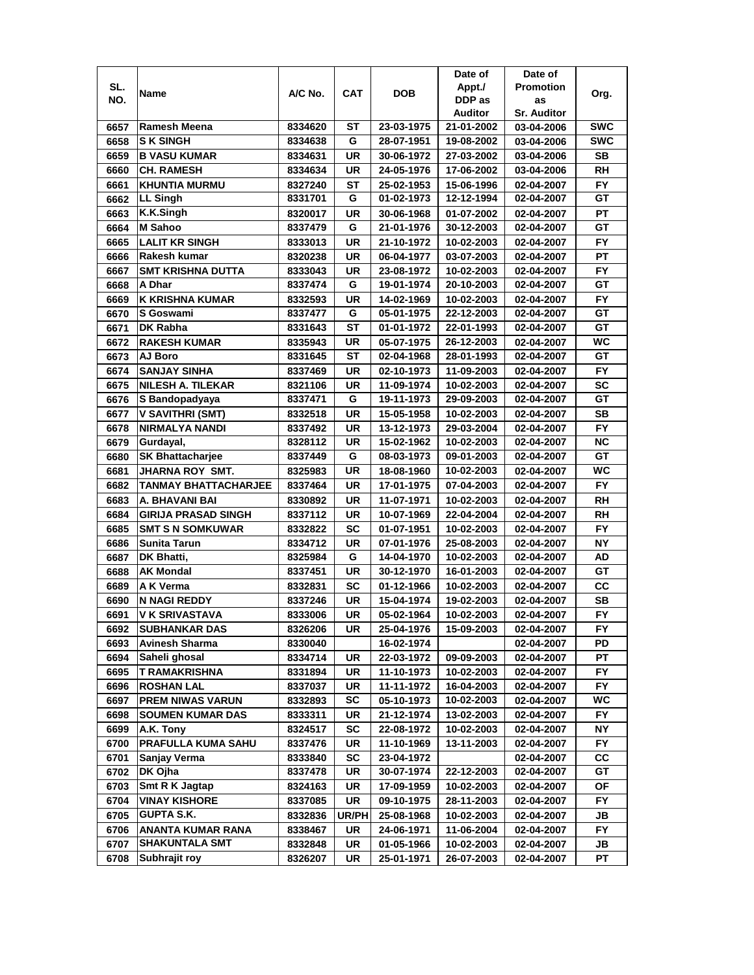|              |                                               |                    |                 |                          | Date of                  | Date of                  |            |
|--------------|-----------------------------------------------|--------------------|-----------------|--------------------------|--------------------------|--------------------------|------------|
| SL.          | Name                                          | A/C No.            | CAT             | <b>DOB</b>               | Appt./                   | <b>Promotion</b>         | Org.       |
| NO.          |                                               |                    |                 |                          | DDP as                   | as                       |            |
|              |                                               |                    |                 |                          | Auditor                  | <b>Sr. Auditor</b>       |            |
| 6657         | Ramesh Meena                                  | 8334620            | SТ              | 23-03-1975               | 21-01-2002               | 03-04-2006               | <b>SWC</b> |
| 6658         | <b>SK SINGH</b>                               | 8334638            | G               | 28-07-1951               | 19-08-2002               | 03-04-2006               | <b>SWC</b> |
| 6659         | <b>B VASU KUMAR</b>                           | 8334631            | UR              | 30-06-1972               | 27-03-2002               | 03-04-2006               | SВ         |
| 6660         | <b>CH. RAMESH</b>                             | 8334634            | UR              | 24-05-1976               | 17-06-2002               | 03-04-2006               | RH         |
| 6661         | <b>KHUNTIA MURMU</b>                          | 8327240            | ST              | 25-02-1953               | 15-06-1996               | 02-04-2007               | FY         |
| 6662         | <b>LL Singh</b>                               | 8331701            | G               | 01-02-1973               | 12-12-1994               | 02-04-2007               | GТ         |
| 6663         | K.K.Singh                                     | 8320017            | UR              | 30-06-1968               | 01-07-2002               | 02-04-2007               | PT         |
| 6664         | M Sahoo                                       | 8337479            | G               | 21-01-1976               | 30-12-2003               | 02-04-2007               | GT         |
| 6665         | <b>LALIT KR SINGH</b>                         | 8333013            | UR              | 21-10-1972               | 10-02-2003               | 02-04-2007               | FY         |
| 6666         | Rakesh kumar                                  | 8320238            | UR              | 06-04-1977               | 03-07-2003               | 02-04-2007               | PT         |
| 6667         | <b>SMT KRISHNA DUTTA</b>                      | 8333043            | UR              | 23-08-1972               | 10-02-2003               | 02-04-2007               | <b>FY</b>  |
| 6668         | A Dhar                                        | 8337474            | G               | 19-01-1974               | 20-10-2003               | 02-04-2007               | GT         |
| 6669         | K KRISHNA KUMAR                               | 8332593            | UR              | 14-02-1969               | 10-02-2003               | 02-04-2007               | <b>FY</b>  |
| 6670         | <b>S</b> Goswami                              | 8337477            | G               | 05-01-1975               | 22-12-2003               | 02-04-2007               | GT         |
| 6671         | <b>DK Rabha</b>                               | 8331643            | ST              | 01-01-1972               | 22-01-1993               | 02-04-2007               | GТ         |
| 6672         | <b>RAKESH KUMAR</b>                           | 8335943            | UR              | 05-07-1975               | 26-12-2003               | 02-04-2007               | WC         |
| 6673         | AJ Boro                                       | 8331645            | ST              | 02-04-1968               | 28-01-1993               | 02-04-2007               | GT         |
| 6674         | <b>SANJAY SINHA</b>                           | 8337469            | UR              | 02-10-1973               | 11-09-2003               | 02-04-2007               | <b>FY</b>  |
| 6675         | <b>NILESH A. TILEKAR</b>                      | 8321106            | UR              | 11-09-1974               | 10-02-2003               | 02-04-2007               | SC         |
| 6676         | S Bandopadyaya                                | 8337471            | G               | 19-11-1973               | 29-09-2003               | 02-04-2007               | GT         |
| 6677         | <b>V SAVITHRI (SMT)</b>                       |                    | UR              | 15-05-1958               | 10-02-2003               |                          | <b>SB</b>  |
| 6678         | <b>NIRMALYA NANDI</b>                         | 8332518            |                 |                          |                          | 02-04-2007               | FY         |
|              | Gurdayal,                                     | 8337492<br>8328112 | UR<br>UR        | 13-12-1973<br>15-02-1962 | 29-03-2004<br>10-02-2003 | 02-04-2007<br>02-04-2007 | <b>NC</b>  |
| 6679         |                                               |                    | G               | 08-03-1973               |                          |                          | GТ         |
| 6680         | <b>SK Bhattacharjee</b>                       | 8337449            | <b>UR</b>       |                          | 09-01-2003               | 02-04-2007               | WC         |
| 6681         | <b>JHARNA ROY SMT.</b>                        | 8325983            |                 | 18-08-1960               | 10-02-2003               | 02-04-2007               | <b>FY</b>  |
| 6682         | <b>TANMAY BHATTACHARJEE</b><br>A. BHAVANI BAI | 8337464            | UR              | 17-01-1975               | 07-04-2003               | 02-04-2007               | <b>RH</b>  |
| 6683<br>6684 | <b>GIRIJA PRASAD SINGH</b>                    | 8330892<br>8337112 | UR<br>UR        | 11-07-1971<br>10-07-1969 | 10-02-2003<br>22-04-2004 | 02-04-2007<br>02-04-2007 | <b>RH</b>  |
| 6685         | <b>SMT S N SOMKUWAR</b>                       | 8332822            | <b>SC</b>       | 01-07-1951               | 10-02-2003               | 02-04-2007               | <b>FY</b>  |
| 6686         | Sunita Tarun                                  | 8334712            | UR              | 07-01-1976               | 25-08-2003               | 02-04-2007               | <b>NY</b>  |
| 6687         | DK Bhatti,                                    | 8325984            | G               | 14-04-1970               | 10-02-2003               | 02-04-2007               | AD         |
| 6688         | <b>AK Mondal</b>                              | 8337451            | UR              | 30-12-1970               | 16-01-2003               | 02-04-2007               | GТ         |
| 6689         | A K Verma                                     |                    | SC              | 01-12-1966               |                          |                          | cc         |
|              |                                               | 8332831            |                 |                          | 10-02-2003               | 02-04-2007               |            |
| 6690         | N NAGI REDDY                                  | 8337246            | UR              | 15-04-1974               | 19-02-2003               | 02-04-2007               | SВ         |
| 6691         | <b>V K SRIVASTAVA</b>                         | 8333006            | UR              | 05-02-1964               | 10-02-2003               | 02-04-2007               | <b>FY</b>  |
| 6692<br>6693 | <b>SUBHANKAR DAS</b><br><b>Avinesh Sharma</b> | 8326206<br>8330040 | UR              | 25-04-1976<br>16-02-1974 | 15-09-2003               | 02-04-2007<br>02-04-2007 | FY.<br>PD  |
| 6694         | Saheli ghosal                                 | 8334714            | UR              | 22-03-1972               | 09-09-2003               | 02-04-2007               | РT         |
| 6695         | <b>T RAMAKRISHNA</b>                          | 8331894            | UR              |                          | 10-02-2003               |                          | FY         |
|              |                                               |                    |                 | 11-10-1973               |                          | 02-04-2007               |            |
| 6696         | <b>ROSHAN LAL</b>                             | 8337037            | UR<br><b>SC</b> | 11-11-1972               | 16-04-2003<br>10-02-2003 | 02-04-2007               | FY.<br>WC  |
| 6697         | <b>PREM NIWAS VARUN</b>                       | 8332893            |                 | 05-10-1973               |                          | 02-04-2007               |            |
| 6698         | <b>SOUMEN KUMAR DAS</b>                       | 8333311            | UR              | 21-12-1974               | 13-02-2003               | 02-04-2007               | FY.        |
| 6699         | A.K. Tony                                     | 8324517            | <b>SC</b>       | 22-08-1972               | 10-02-2003               | 02-04-2007               | ΝY         |
| 6700         | <b>PRAFULLA KUMA SAHU</b>                     | 8337476            | UR              | 11-10-1969               | 13-11-2003               | 02-04-2007               | FY         |
| 6701         | Sanjay Verma                                  | 8333840            | <b>SC</b>       | 23-04-1972<br>30-07-1974 |                          | 02-04-2007               | <b>CC</b>  |
| 6702         | DK Ojha                                       | 8337478            | UR              |                          | 22-12-2003               | 02-04-2007               | GT         |
| 6703         | Smt R K Jagtap                                | 8324163            | UR              | 17-09-1959               | 10-02-2003               | 02-04-2007               | ΟF         |
| 6704         | <b>VINAY KISHORE</b>                          | 8337085            | UR              | 09-10-1975               | 28-11-2003               | 02-04-2007               | <b>FY</b>  |
| 6705         | GUPTA S.K.                                    | 8332836            | UR/PH           | 25-08-1968               | 10-02-2003               | 02-04-2007               | JB         |
| 6706         | <b>ANANTA KUMAR RANA</b>                      | 8338467            | UR              | 24-06-1971               | 11-06-2004               | 02-04-2007               | FY         |
| 6707         | <b>SHAKUNTALA SMT</b>                         | 8332848            | UR              | 01-05-1966               | 10-02-2003               | 02-04-2007               | JB         |
| 6708         | Subhrajit roy                                 | 8326207            | UR              | 25-01-1971               | 26-07-2003               | 02-04-2007               | РT         |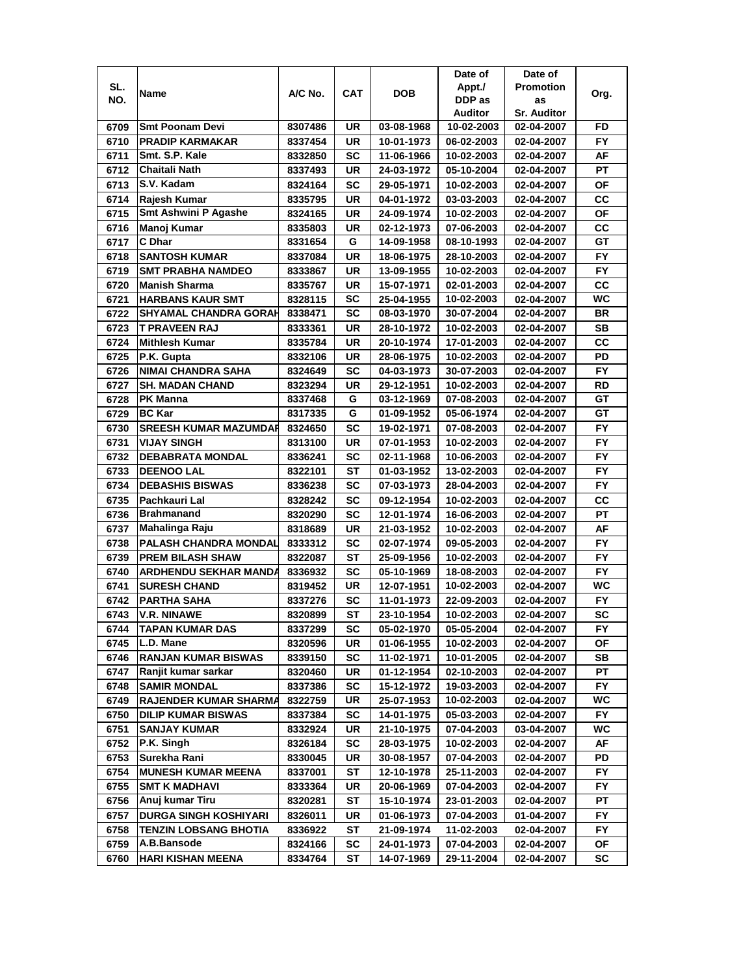|      |                              |         |            |            | Date of        | Date of            |           |
|------|------------------------------|---------|------------|------------|----------------|--------------------|-----------|
| SL.  |                              | A/C No. | <b>CAT</b> | DOB        | Appt./         | <b>Promotion</b>   |           |
| NO.  | Name                         |         |            |            | DDP as         | as                 | Org.      |
|      |                              |         |            |            | <b>Auditor</b> | <b>Sr. Auditor</b> |           |
| 6709 | <b>Smt Poonam Devi</b>       | 8307486 | UR         | 03-08-1968 | 10-02-2003     | 02-04-2007         | FD        |
| 6710 | <b>PRADIP KARMAKAR</b>       | 8337454 | UR         | 10-01-1973 | 06-02-2003     | 02-04-2007         | FY.       |
| 6711 | Smt. S.P. Kale               | 8332850 | <b>SC</b>  | 11-06-1966 | 10-02-2003     | 02-04-2007         | AF        |
| 6712 | Chaitali Nath                | 8337493 | UR         | 24-03-1972 | 05-10-2004     | 02-04-2007         | PT        |
| 6713 | S.V. Kadam                   | 8324164 | SC         | 29-05-1971 | 10-02-2003     | 02-04-2007         | ΟF        |
| 6714 | Rajesh Kumar                 | 8335795 | UR         | 04-01-1972 | 03-03-2003     | 02-04-2007         | CC        |
| 6715 | <b>Smt Ashwini P Agashe</b>  | 8324165 | UR         | 24-09-1974 | 10-02-2003     | 02-04-2007         | ΟF        |
| 6716 | Manoj Kumar                  | 8335803 | UR         | 02-12-1973 | 07-06-2003     | 02-04-2007         | CС        |
| 6717 | C Dhar                       | 8331654 | G          | 14-09-1958 | 08-10-1993     | 02-04-2007         | GT        |
| 6718 | <b>SANTOSH KUMAR</b>         | 8337084 | UR         | 18-06-1975 | 28-10-2003     | 02-04-2007         | FY.       |
| 6719 | <b>SMT PRABHA NAMDEO</b>     | 8333867 | UR         | 13-09-1955 | 10-02-2003     | 02-04-2007         | <b>FY</b> |
| 6720 | <b>Manish Sharma</b>         | 8335767 | UR         | 15-07-1971 | 02-01-2003     | 02-04-2007         | CC        |
| 6721 | <b>HARBANS KAUR SMT</b>      | 8328115 | <b>SC</b>  | 25-04-1955 | 10-02-2003     | 02-04-2007         | WC        |
| 6722 | SHYAMAL CHANDRA GORAH        | 8338471 | SC         | 08-03-1970 | 30-07-2004     | 02-04-2007         | BR        |
| 6723 | T PRAVEEN RAJ                | 8333361 | UR         | 28-10-1972 | 10-02-2003     | 02-04-2007         | <b>SB</b> |
| 6724 | <b>Mithlesh Kumar</b>        | 8335784 | UR         | 20-10-1974 | 17-01-2003     | 02-04-2007         | СC        |
| 6725 | P.K. Gupta                   | 8332106 | UR         | 28-06-1975 | 10-02-2003     | 02-04-2007         | PD        |
| 6726 | <b>NIMAI CHANDRA SAHA</b>    | 8324649 | SC         | 04-03-1973 | 30-07-2003     | 02-04-2007         | FY.       |
| 6727 | <b>SH. MADAN CHAND</b>       | 8323294 | UR         | 29-12-1951 | 10-02-2003     | 02-04-2007         | RD        |
| 6728 | PK Manna                     | 8337468 | G          | 03-12-1969 | 07-08-2003     | 02-04-2007         | GT        |
| 6729 | <b>BC Kar</b>                | 8317335 | G          | 01-09-1952 | 05-06-1974     | 02-04-2007         | GT        |
| 6730 | <b>SREESH KUMAR MAZUMDAR</b> | 8324650 | SC         | 19-02-1971 | 07-08-2003     | 02-04-2007         | FY.       |
| 6731 | <b>VIJAY SINGH</b>           | 8313100 | UR         | 07-01-1953 | 10-02-2003     | 02-04-2007         | FY        |
| 6732 | <b>DEBABRATA MONDAL</b>      | 8336241 | <b>SC</b>  | 02-11-1968 | 10-06-2003     | 02-04-2007         | FY.       |
| 6733 | <b>DEENOO LAL</b>            | 8322101 | ST         | 01-03-1952 | 13-02-2003     | 02-04-2007         | <b>FY</b> |
| 6734 | <b>DEBASHIS BISWAS</b>       | 8336238 | SC         | 07-03-1973 | 28-04-2003     | 02-04-2007         | <b>FY</b> |
| 6735 | Pachkauri Lal                | 8328242 | SC         | 09-12-1954 | 10-02-2003     | 02-04-2007         | CС        |
| 6736 | <b>Brahmanand</b>            | 8320290 | <b>SC</b>  | 12-01-1974 | 16-06-2003     | 02-04-2007         | PT        |
| 6737 | Mahalinga Raju               | 8318689 | UR         | 21-03-1952 | 10-02-2003     | 02-04-2007         | AF        |
| 6738 | PALASH CHANDRA MONDAL        | 8333312 | SC         | 02-07-1974 | 09-05-2003     | 02-04-2007         | <b>FY</b> |
| 6739 | <b>PREM BILASH SHAW</b>      | 8322087 | ST         | 25-09-1956 | 10-02-2003     | 02-04-2007         | <b>FY</b> |
| 6740 | <b>ARDHENDU SEKHAR MANDA</b> | 8336932 | SC         | 05-10-1969 | 18-08-2003     | 02-04-2007         | <b>FY</b> |
| 6741 | <b>SURESH CHAND</b>          | 8319452 | UR         | 12-07-1951 | 10-02-2003     | 02-04-2007         | WC        |
| 6742 | <b>PARTHA SAHA</b>           | 8337276 | SC         | 11-01-1973 | 22-09-2003     | 02-04-2007         | <b>FY</b> |
| 6743 | <b>V.R. NINAWE</b>           | 8320899 | ST         | 23-10-1954 | 10-02-2003     | 02-04-2007         | SC        |
| 6744 | <b>TAPAN KUMAR DAS</b>       | 8337299 | SC         | 05-02-1970 | 05-05-2004     | 02-04-2007         | FY.       |
| 6745 | L.D. Mane                    | 8320596 | UR         | 01-06-1955 | 10-02-2003     | 02-04-2007         | ΟF        |
| 6746 | <b>RANJAN KUMAR BISWAS</b>   | 8339150 | <b>SC</b>  | 11-02-1971 | 10-01-2005     | 02-04-2007         | SB        |
| 6747 | Ranjit kumar sarkar          | 8320460 | UR         | 01-12-1954 | 02-10-2003     | 02-04-2007         | PТ        |
| 6748 | <b>SAMIR MONDAL</b>          | 8337386 | <b>SC</b>  | 15-12-1972 | 19-03-2003     | 02-04-2007         | FY.       |
| 6749 | <b>RAJENDER KUMAR SHARMA</b> | 8322759 | UR         | 25-07-1953 | 10-02-2003     | 02-04-2007         | WC.       |
| 6750 | <b>DILIP KUMAR BISWAS</b>    | 8337384 | <b>SC</b>  | 14-01-1975 | 05-03-2003     | 02-04-2007         | FY.       |
| 6751 | <b>SANJAY KUMAR</b>          | 8332924 | UR         | 21-10-1975 | 07-04-2003     | 03-04-2007         | WC.       |
| 6752 | P.K. Singh                   | 8326184 | <b>SC</b>  | 28-03-1975 | 10-02-2003     | 02-04-2007         | AF        |
| 6753 | Surekha Rani                 | 8330045 | UR         | 30-08-1957 | 07-04-2003     | 02-04-2007         | PD        |
| 6754 | <b>MUNESH KUMAR MEENA</b>    | 8337001 | ST         | 12-10-1978 | 25-11-2003     | 02-04-2007         | FY        |
| 6755 | <b>SMT K MADHAVI</b>         | 8333364 | UR         | 20-06-1969 | 07-04-2003     | 02-04-2007         | <b>FY</b> |
| 6756 | Anuj kumar Tiru              | 8320281 | ST         | 15-10-1974 | 23-01-2003     | 02-04-2007         | РT        |
| 6757 | <b>DURGA SINGH KOSHIYARI</b> | 8326011 | UR         | 01-06-1973 | 07-04-2003     | 01-04-2007         | FY.       |
| 6758 | <b>TENZIN LOBSANG BHOTIA</b> | 8336922 | ST         | 21-09-1974 | 11-02-2003     | 02-04-2007         | FY.       |
| 6759 | A.B.Bansode                  | 8324166 | SC         | 24-01-1973 | 07-04-2003     | 02-04-2007         | ΟF        |
| 6760 | HARI KISHAN MEENA            | 8334764 | ST         | 14-07-1969 | 29-11-2004     | 02-04-2007         | sc        |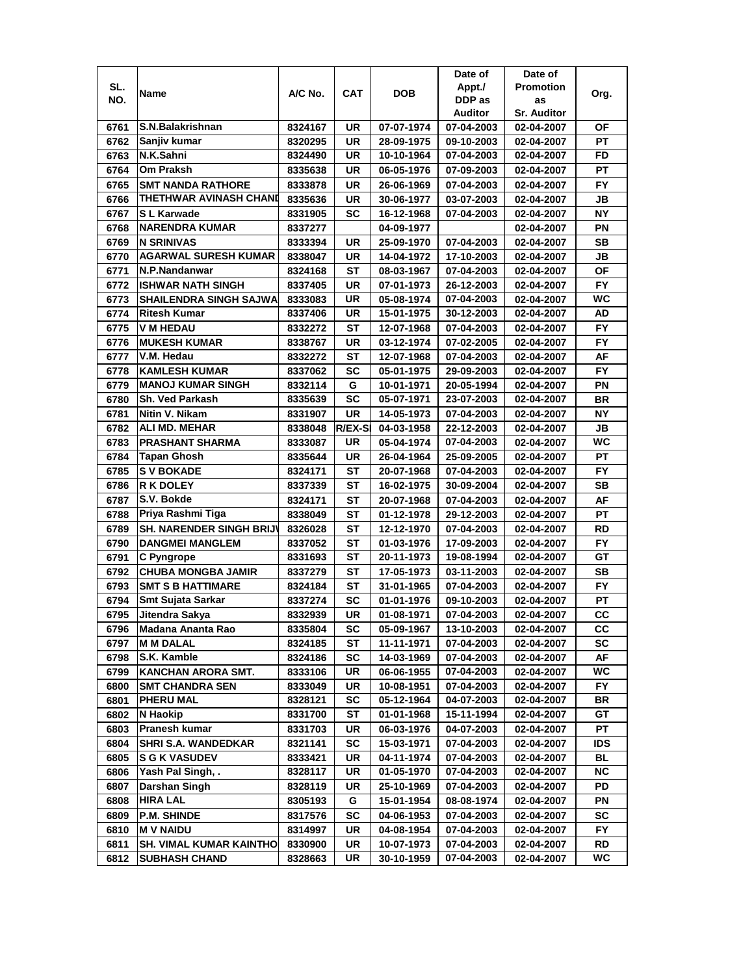|      |                                 |         |                |            | Date of    | Date of            |            |
|------|---------------------------------|---------|----------------|------------|------------|--------------------|------------|
| SL.  | Name                            | A/C No. | <b>CAT</b>     | <b>DOB</b> | Appt./     | <b>Promotion</b>   | Org.       |
| NO.  |                                 |         |                |            | DDP as     | as                 |            |
|      |                                 |         |                |            | Auditor    | <b>Sr. Auditor</b> |            |
| 6761 | S.N.Balakrishnan                | 8324167 | UR             | 07-07-1974 | 07-04-2003 | 02-04-2007         | ΟF         |
| 6762 | Sanjiv kumar                    | 8320295 | UR             | 28-09-1975 | 09-10-2003 | 02-04-2007         | PT         |
| 6763 | N.K.Sahni                       | 8324490 | UR             | 10-10-1964 | 07-04-2003 | 02-04-2007         | FD         |
| 6764 | Om Praksh                       | 8335638 | UR             | 06-05-1976 | 07-09-2003 | 02-04-2007         | PT         |
| 6765 | <b>SMT NANDA RATHORE</b>        | 8333878 | UR             | 26-06-1969 | 07-04-2003 | 02-04-2007         | FY         |
| 6766 | <b>THETHWAR AVINASH CHAND</b>   | 8335636 | UR             | 30-06-1977 | 03-07-2003 | 02-04-2007         | JВ         |
| 6767 | S L Karwade                     | 8331905 | SC             | 16-12-1968 | 07-04-2003 | 02-04-2007         | <b>NY</b>  |
| 6768 | <b>NARENDRA KUMAR</b>           | 8337277 |                | 04-09-1977 |            | 02-04-2007         | ΡN         |
| 6769 | <b>N SRINIVAS</b>               | 8333394 | UR             | 25-09-1970 | 07-04-2003 | 02-04-2007         | SВ         |
| 6770 | <b>AGARWAL SURESH KUMAR</b>     | 8338047 | UR             | 14-04-1972 | 17-10-2003 | 02-04-2007         | JB         |
| 6771 | N.P.Nandanwar                   | 8324168 | ST             | 08-03-1967 | 07-04-2003 | 02-04-2007         | OF         |
| 6772 | <b>ISHWAR NATH SINGH</b>        | 8337405 | <b>UR</b>      | 07-01-1973 | 26-12-2003 | 02-04-2007         | <b>FY</b>  |
| 6773 | <b>SHAILENDRA SINGH SAJWA</b>   | 8333083 | UR             | 05-08-1974 | 07-04-2003 | 02-04-2007         | WC         |
| 6774 | <b>Ritesh Kumar</b>             | 8337406 | UR             | 15-01-1975 | 30-12-2003 | 02-04-2007         | AD         |
| 6775 | <b>V M HEDAU</b>                | 8332272 | ST             | 12-07-1968 | 07-04-2003 | 02-04-2007         | FY.        |
| 6776 | <b>MUKESH KUMAR</b>             | 8338767 | UR             | 03-12-1974 | 07-02-2005 | 02-04-2007         | <b>FY</b>  |
| 6777 | V.M. Hedau                      | 8332272 | ST             | 12-07-1968 | 07-04-2003 | 02-04-2007         | AF         |
| 6778 | <b>KAMLESH KUMAR</b>            | 8337062 | SC             | 05-01-1975 | 29-09-2003 | 02-04-2007         | FY.        |
| 6779 | <b>MANOJ KUMAR SINGH</b>        | 8332114 | G              | 10-01-1971 | 20-05-1994 | 02-04-2007         | PN         |
| 6780 | Sh. Ved Parkash                 | 8335639 | <b>SC</b>      | 05-07-1971 | 23-07-2003 | 02-04-2007         | <b>BR</b>  |
| 6781 | Nitin V. Nikam                  | 8331907 | <b>UR</b>      | 14-05-1973 | 07-04-2003 | 02-04-2007         | <b>NY</b>  |
| 6782 | <b>ALI MD. MEHAR</b>            | 8338048 | <b>R/EX-SI</b> | 04-03-1958 | 22-12-2003 | 02-04-2007         | JВ         |
| 6783 | <b>PRASHANT SHARMA</b>          | 8333087 | UR             | 05-04-1974 | 07-04-2003 | 02-04-2007         | WC         |
| 6784 | Tapan Ghosh                     | 8335644 | UR             | 26-04-1964 | 25-09-2005 | 02-04-2007         | PT         |
| 6785 | <b>S V BOKADE</b>               | 8324171 | ST             | 20-07-1968 | 07-04-2003 | 02-04-2007         | <b>FY</b>  |
| 6786 | R K DOLEY                       | 8337339 | ST             | 16-02-1975 | 30-09-2004 | 02-04-2007         | SВ         |
| 6787 | S.V. Bokde                      | 8324171 | <b>ST</b>      | 20-07-1968 | 07-04-2003 | 02-04-2007         | AF         |
| 6788 | Priya Rashmi Tiga               | 8338049 | <b>ST</b>      | 01-12-1978 | 29-12-2003 | 02-04-2007         | PT         |
| 6789 | <b>SH. NARENDER SINGH BRIJV</b> | 8326028 | <b>ST</b>      | 12-12-1970 | 07-04-2003 | 02-04-2007         | <b>RD</b>  |
| 6790 | <b>DANGMEI MANGLEM</b>          | 8337052 | ST             | 01-03-1976 | 17-09-2003 | 02-04-2007         | <b>FY</b>  |
| 6791 | C Pyngrope                      | 8331693 | SТ             | 20-11-1973 | 19-08-1994 | 02-04-2007         | GТ         |
| 6792 | <b>CHUBA MONGBA JAMIR</b>       | 8337279 | SТ             | 17-05-1973 | 03-11-2003 | 02-04-2007         | SB         |
| 6793 | <b>SMT S B HATTIMARE</b>        | 8324184 | SТ             | 31-01-1965 | 07-04-2003 | 02-04-2007         | FY.        |
| 6794 | <b>Smt Sujata Sarkar</b>        | 8337274 | SC             | 01-01-1976 | 09-10-2003 | 02-04-2007         | РT         |
| 6795 | Jitendra Sakya                  | 8332939 | UR             | 01-08-1971 | 07-04-2003 | 02-04-2007         | cc         |
| 6796 | Madana Ananta Rao               | 8335804 | SC             | 05-09-1967 | 13-10-2003 | 02-04-2007         | CС         |
| 6797 | <b>M M DALAL</b>                | 8324185 | ST             | 11-11-1971 | 07-04-2003 | 02-04-2007         | SC         |
| 6798 | S.K. Kamble                     | 8324186 | <b>SC</b>      | 14-03-1969 | 07-04-2003 | 02-04-2007         | AF         |
| 6799 | <b>KANCHAN ARORA SMT.</b>       | 8333106 | UR             | 06-06-1955 | 07-04-2003 | 02-04-2007         | WC         |
| 6800 | <b>SMT CHANDRA SEN</b>          | 8333049 | UR             | 10-08-1951 | 07-04-2003 | 02-04-2007         | FY.        |
| 6801 | PHERU MAL                       | 8328121 | <b>SC</b>      | 05-12-1964 | 04-07-2003 | 02-04-2007         | BR         |
| 6802 | N Haokip                        | 8331700 | ST             | 01-01-1968 | 15-11-1994 | 02-04-2007         | GT         |
| 6803 | Pranesh kumar                   | 8331703 | UR             | 06-03-1976 | 04-07-2003 | 02-04-2007         | PT         |
| 6804 | SHRI S.A. WANDEDKAR             | 8321141 | <b>SC</b>      | 15-03-1971 | 07-04-2003 | 02-04-2007         | <b>IDS</b> |
| 6805 | <b>S G K VASUDEV</b>            | 8333421 | UR             | 04-11-1974 | 07-04-2003 | 02-04-2007         | <b>BL</b>  |
| 6806 | Yash Pal Singh, .               | 8328117 | UR             | 01-05-1970 | 07-04-2003 | 02-04-2007         | <b>NC</b>  |
| 6807 | Darshan Singh                   | 8328119 | UR             | 25-10-1969 | 07-04-2003 | 02-04-2007         | PD         |
| 6808 | <b>HIRA LAL</b>                 | 8305193 | G              | 15-01-1954 | 08-08-1974 | 02-04-2007         | ΡN         |
| 6809 | <b>P.M. SHINDE</b>              | 8317576 | SC             | 04-06-1953 | 07-04-2003 | 02-04-2007         | SC         |
| 6810 | <b>M V NAIDU</b>                | 8314997 | UR             | 04-08-1954 | 07-04-2003 | 02-04-2007         | FY         |
| 6811 | SH. VIMAL KUMAR KAINTHO         | 8330900 | UR             | 10-07-1973 | 07-04-2003 | 02-04-2007         | RD         |
| 6812 | <b>SUBHASH CHAND</b>            | 8328663 | UR             | 30-10-1959 | 07-04-2003 | 02-04-2007         | WC         |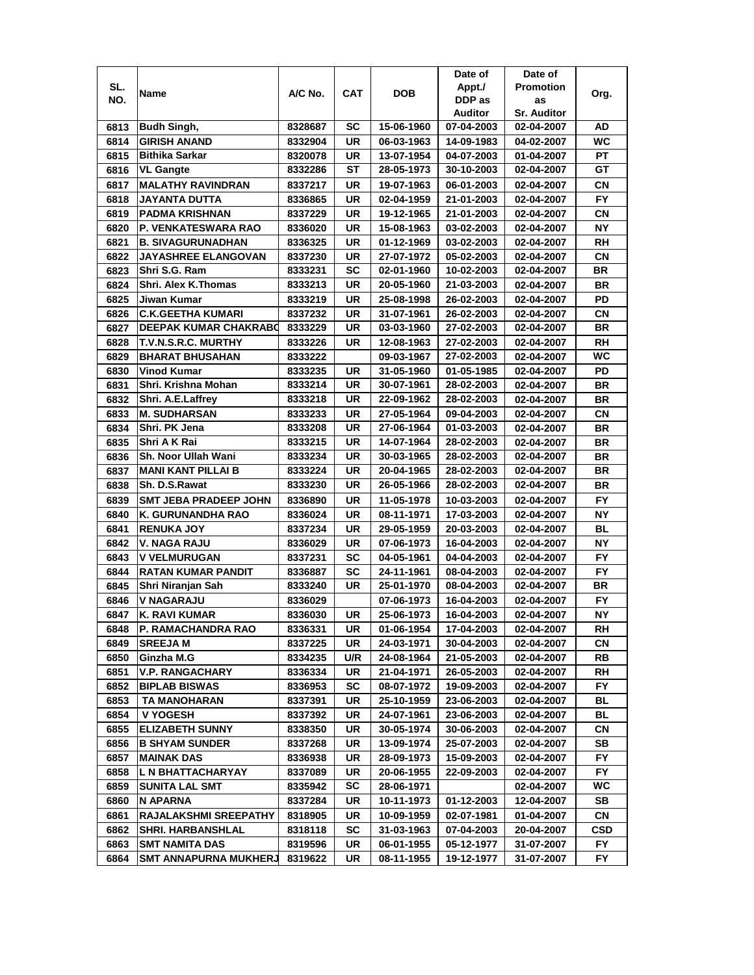|      |                                      |                    |                 |                          | Date of                  | Date of            |           |
|------|--------------------------------------|--------------------|-----------------|--------------------------|--------------------------|--------------------|-----------|
| SL.  |                                      | A/C No.            | <b>CAT</b>      | DOB                      | Appt./                   | <b>Promotion</b>   |           |
| NO.  | Name                                 |                    |                 |                          | DDP as                   | as                 | Org.      |
|      |                                      |                    |                 |                          | Auditor                  | <b>Sr. Auditor</b> |           |
| 6813 | Budh Singh,                          | 8328687            | SC              | 15-06-1960               | 07-04-2003               | 02-04-2007         | AD        |
| 6814 | <b>GIRISH ANAND</b>                  | 8332904            | UR              | 06-03-1963               | 14-09-1983               | 04-02-2007         | WC        |
| 6815 | <b>Bithika Sarkar</b>                | 8320078            | UR              | 13-07-1954               | 04-07-2003               | 01-04-2007         | PT        |
| 6816 | <b>VL Gangte</b>                     | 8332286            | ST              | 28-05-1973               | 30-10-2003               | 02-04-2007         | GT        |
| 6817 | <b>MALATHY RAVINDRAN</b>             | 8337217            | UR              | 19-07-1963               | 06-01-2003               | 02-04-2007         | <b>CN</b> |
| 6818 | JAYANTA DUTTA                        | 8336865            | UR              | 02-04-1959               | 21-01-2003               | 02-04-2007         | FY        |
| 6819 | PADMA KRISHNAN                       | 8337229            | UR              | 19-12-1965               | 21-01-2003               | 02-04-2007         | CN        |
| 6820 | P. VENKATESWARA RAO                  | 8336020            | UR              | 15-08-1963               | 03-02-2003               | 02-04-2007         | ΝY        |
| 6821 | <b>B. SIVAGURUNADHAN</b>             | 8336325            | UR              | 01-12-1969               | 03-02-2003               | 02-04-2007         | RH        |
| 6822 | <b>JAYASHREE ELANGOVAN</b>           | 8337230            | UR              | 27-07-1972               | 05-02-2003               | 02-04-2007         | CN        |
| 6823 | Shri S.G. Ram                        | 8333231            | <b>SC</b>       | 02-01-1960               | 10-02-2003               | 02-04-2007         | <b>BR</b> |
| 6824 | Shri. Alex K.Thomas                  | 8333213            | UR              | 20-05-1960               | 21-03-2003               | 02-04-2007         | BR        |
| 6825 | Jiwan Kumar                          | 8333219            | <b>UR</b>       | 25-08-1998               | 26-02-2003               | 02-04-2007         | PD        |
| 6826 | <b>C.K.GEETHA KUMARI</b>             | 8337232            | UR              | 31-07-1961               | 26-02-2003               | 02-04-2007         | CN        |
| 6827 | <b>DEEPAK KUMAR CHAKRABO</b>         | 8333229            | UR              | 03-03-1960               | 27-02-2003               | 02-04-2007         | BR        |
| 6828 | T.V.N.S.R.C. MURTHY                  | 8333226            | UR              | 12-08-1963               | 27-02-2003               | 02-04-2007         | RH        |
| 6829 | <b>BHARAT BHUSAHAN</b>               | 8333222            |                 | 09-03-1967               | 27-02-2003               | 02-04-2007         | WC        |
| 6830 | <b>Vinod Kumar</b>                   |                    | UR              | 31-05-1960               | 01-05-1985               | 02-04-2007         | PD        |
|      | Shri. Krishna Mohan                  | 8333235<br>8333214 | UR              | 30-07-1961               | 28-02-2003               |                    |           |
| 6831 | Shri. A.E.Laffrey                    | 8333218            | <b>UR</b>       | 22-09-1962               | 28-02-2003               | 02-04-2007         | BR        |
| 6832 |                                      |                    |                 |                          |                          | 02-04-2007         | BR        |
| 6833 | <b>M. SUDHARSAN</b><br>Shri. PK Jena | 8333233<br>8333208 | UR<br><b>UR</b> | 27-05-1964<br>27-06-1964 | 09-04-2003<br>01-03-2003 | 02-04-2007         | CN        |
| 6834 |                                      |                    |                 |                          |                          | 02-04-2007         | <b>BR</b> |
| 6835 | Shri A K Rai                         | 8333215            | UR              | 14-07-1964               | 28-02-2003               | 02-04-2007         | <b>BR</b> |
| 6836 | Sh. Noor Ullah Wani                  | 8333234            | <b>UR</b>       | 30-03-1965               | 28-02-2003               | 02-04-2007         | <b>BR</b> |
| 6837 | <b>MANI KANT PILLAI B</b>            | 8333224            | UR              | 20-04-1965               | 28-02-2003               | 02-04-2007         | BR        |
| 6838 | Sh. D.S.Rawat                        | 8333230            | <b>UR</b>       | 26-05-1966               | 28-02-2003               | 02-04-2007         | BR        |
| 6839 | <b>SMT JEBA PRADEEP JOHN</b>         | 8336890            | UR              | 11-05-1978               | 10-03-2003               | 02-04-2007         | FY.       |
| 6840 | K. GURUNANDHA RAO                    | 8336024            | UR              | 08-11-1971               | 17-03-2003               | 02-04-2007         | <b>NY</b> |
| 6841 | <b>RENUKA JOY</b>                    | 8337234            | UR              | 29-05-1959               | 20-03-2003               | 02-04-2007         | <b>BL</b> |
| 6842 | V. NAGA RAJU                         | 8336029            | UR              | 07-06-1973               | 16-04-2003               | 02-04-2007         | <b>NY</b> |
| 6843 | <b>V VELMURUGAN</b>                  | 8337231            | SC              | 04-05-1961               | 04-04-2003               | 02-04-2007         | <b>FY</b> |
| 6844 | <b>RATAN KUMAR PANDIT</b>            | 8336887            | SC              | 24-11-1961               | 08-04-2003               | 02-04-2007         | <b>FY</b> |
| 6845 | Shri Niranjan Sah                    | 8333240            | UR              | 25-01-1970               | 08-04-2003               | 02-04-2007         | BR        |
| 6846 | <b>V NAGARAJU</b>                    | 8336029            |                 | 07-06-1973               | 16-04-2003               | 02-04-2007         | <b>FY</b> |
| 6847 | <b>K. RAVI KUMAR</b>                 | 8336030            | UR              | 25-06-1973               | 16-04-2003               | 02-04-2007         | NΥ        |
| 6848 | P. RAMACHANDRA RAO                   | 8336331            | UR              | 01-06-1954               | 17-04-2003               | 02-04-2007         | RH        |
| 6849 | <b>SREEJA M</b>                      | 8337225            | UR              | 24-03-1971               | 30-04-2003               | 02-04-2007         | СN        |
| 6850 | Ginzha M.G                           | 8334235            | U/R             | 24-08-1964               | 21-05-2003               | 02-04-2007         | RB        |
| 6851 | <b>V.P. RANGACHARY</b>               | 8336334            | UR              | 21-04-1971               | 26-05-2003               | 02-04-2007         | RH        |
| 6852 | <b>BIPLAB BISWAS</b>                 | 8336953            | SC              | 08-07-1972               | 19-09-2003               | 02-04-2007         | FY.       |
| 6853 | <b>TA MANOHARAN</b>                  | 8337391            | UR              | 25-10-1959               | 23-06-2003               | 02-04-2007         | BL        |
| 6854 | V YOGESH                             | 8337392            | UR              | 24-07-1961               | 23-06-2003               | 02-04-2007         | BL        |
| 6855 | <b>ELIZABETH SUNNY</b>               | 8338350            | UR              | 30-05-1974               | 30-06-2003               | 02-04-2007         | CN        |
| 6856 | <b>B SHYAM SUNDER</b>                | 8337268            | UR              | 13-09-1974               | 25-07-2003               | 02-04-2007         | SB        |
| 6857 | <b>MAINAK DAS</b>                    | 8336938            | UR              | 28-09-1973               | 15-09-2003               | 02-04-2007         | FY.       |
| 6858 | L N BHATTACHARYAY                    | 8337089            | UR              | 20-06-1955               | 22-09-2003               | 02-04-2007         | FY.       |
| 6859 | <b>SUNITA LAL SMT</b>                | 8335942            | SC              | 28-06-1971               |                          | 02-04-2007         | WC        |
| 6860 | N APARNA                             | 8337284            | UR              | 10-11-1973               | 01-12-2003               | 12-04-2007         | SB        |
| 6861 | <b>RAJALAKSHMI SREEPATHY</b>         | 8318905            | UR              | 10-09-1959               | 02-07-1981               | 01-04-2007         | CN        |
| 6862 | <b>SHRI. HARBANSHLAL</b>             | 8318118            | SC              | 31-03-1963               | 07-04-2003               | 20-04-2007         | CSD       |
| 6863 | SMT NAMITA DAS                       | 8319596            | UR              | 06-01-1955               | 05-12-1977               | 31-07-2007         | FY        |
| 6864 | SMT ANNAPURNA MUKHERJ                | 8319622            | UR              | 08-11-1955               | 19-12-1977               | 31-07-2007         | FΥ        |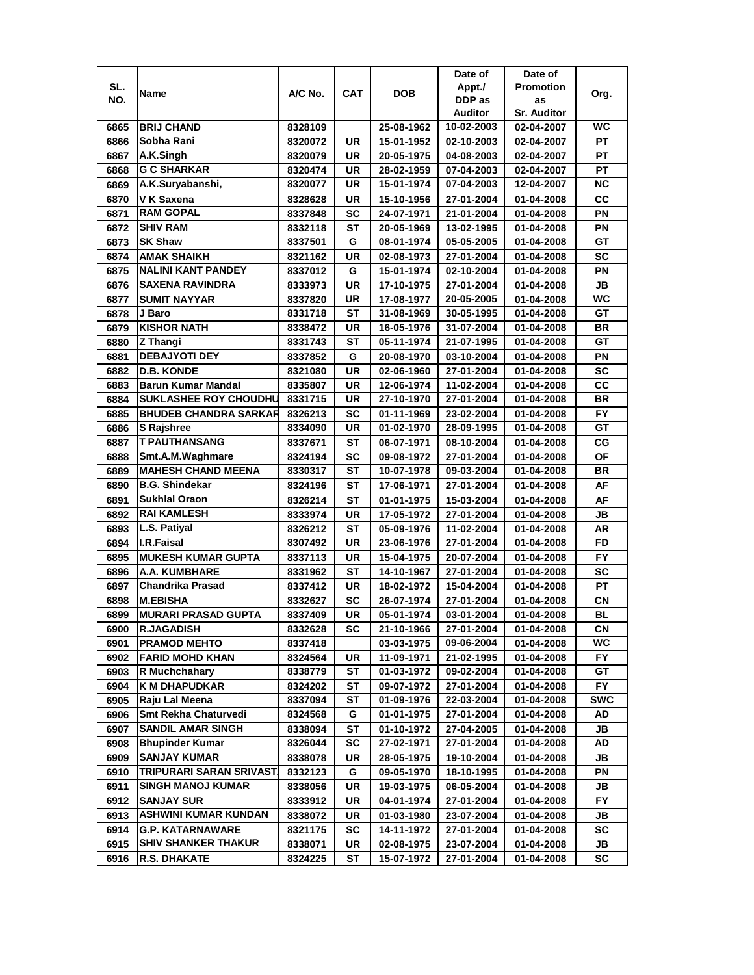|      |                              |         |           |            | Date of    | Date of            |            |
|------|------------------------------|---------|-----------|------------|------------|--------------------|------------|
| SL.  |                              | A/C No. | CAT       | <b>DOB</b> | Appt./     | <b>Promotion</b>   |            |
| NO.  | Name                         |         |           |            | DDP as     | as                 | Org.       |
|      |                              |         |           |            | Auditor    | <b>Sr. Auditor</b> |            |
| 6865 | <b>BRIJ CHAND</b>            | 8328109 |           | 25-08-1962 | 10-02-2003 | 02-04-2007         | <b>WC</b>  |
| 6866 | Sobha Rani                   | 8320072 | UR        | 15-01-1952 | 02-10-2003 | 02-04-2007         | PТ         |
| 6867 | A.K.Singh                    | 8320079 | <b>UR</b> | 20-05-1975 | 04-08-2003 | 02-04-2007         | PT         |
| 6868 | <b>G C SHARKAR</b>           | 8320474 | UR        | 28-02-1959 | 07-04-2003 | 02-04-2007         | PT         |
| 6869 | A.K.Suryabanshi,             | 8320077 | <b>UR</b> | 15-01-1974 | 07-04-2003 | 12-04-2007         | <b>NC</b>  |
| 6870 | V K Saxena                   | 8328628 | UR        | 15-10-1956 | 27-01-2004 | 01-04-2008         | cc         |
| 6871 | <b>RAM GOPAL</b>             | 8337848 | <b>SC</b> | 24-07-1971 | 21-01-2004 | 01-04-2008         | PN         |
| 6872 | <b>SHIV RAM</b>              | 8332118 | ST        | 20-05-1969 | 13-02-1995 | 01-04-2008         | PN         |
| 6873 | <b>SK Shaw</b>               | 8337501 | G         | 08-01-1974 | 05-05-2005 | 01-04-2008         | GT         |
| 6874 | <b>AMAK SHAIKH</b>           | 8321162 | UR        | 02-08-1973 | 27-01-2004 | 01-04-2008         | SC         |
| 6875 | <b>NALINI KANT PANDEY</b>    | 8337012 | G         | 15-01-1974 | 02-10-2004 | 01-04-2008         | PN         |
| 6876 | <b>SAXENA RAVINDRA</b>       | 8333973 | <b>UR</b> | 17-10-1975 | 27-01-2004 | 01-04-2008         | JВ         |
| 6877 | <b>SUMIT NAYYAR</b>          | 8337820 | UR        | 17-08-1977 | 20-05-2005 | 01-04-2008         | WC         |
| 6878 | J Baro                       | 8331718 | ST        | 31-08-1969 | 30-05-1995 | 01-04-2008         | GТ         |
| 6879 | <b>KISHOR NATH</b>           | 8338472 | UR        | 16-05-1976 | 31-07-2004 | 01-04-2008         | <b>BR</b>  |
| 6880 | Z Thangi                     | 8331743 | ST        | 05-11-1974 | 21-07-1995 | 01-04-2008         | GT         |
| 6881 | <b>DEBAJYOTI DEY</b>         | 8337852 | G         | 20-08-1970 | 03-10-2004 | 01-04-2008         | PN         |
| 6882 | <b>D.B. KONDE</b>            | 8321080 | UR        | 02-06-1960 | 27-01-2004 | 01-04-2008         | SC         |
| 6883 | <b>Barun Kumar Mandal</b>    | 8335807 | UR        | 12-06-1974 | 11-02-2004 | 01-04-2008         | CС         |
| 6884 | <b>SUKLASHEE ROY CHOUDHU</b> | 8331715 | <b>UR</b> | 27-10-1970 | 27-01-2004 | 01-04-2008         | <b>BR</b>  |
| 6885 | <b>BHUDEB CHANDRA SARKAR</b> | 8326213 | SC        | 01-11-1969 | 23-02-2004 | 01-04-2008         | <b>FY</b>  |
| 6886 | S Rajshree                   | 8334090 | <b>UR</b> | 01-02-1970 | 28-09-1995 | 01-04-2008         | GT         |
| 6887 | <b>T PAUTHANSANG</b>         | 8337671 | ST        | 06-07-1971 | 08-10-2004 | 01-04-2008         | СG         |
| 6888 | Smt.A.M.Waghmare             | 8324194 | <b>SC</b> | 09-08-1972 | 27-01-2004 | 01-04-2008         | <b>OF</b>  |
| 6889 | <b>MAHESH CHAND MEENA</b>    | 8330317 | ST        | 10-07-1978 | 09-03-2004 | 01-04-2008         | BR         |
| 6890 | <b>B.G. Shindekar</b>        | 8324196 | ST        | 17-06-1971 | 27-01-2004 | 01-04-2008         | AF         |
| 6891 | Sukhlal Oraon                | 8326214 | ST        | 01-01-1975 | 15-03-2004 | 01-04-2008         | AF         |
| 6892 | <b>RAI KAMLESH</b>           | 8333974 | UR        | 17-05-1972 | 27-01-2004 | 01-04-2008         | JB         |
| 6893 | L.S. Patiyal                 | 8326212 | <b>ST</b> | 05-09-1976 | 11-02-2004 | 01-04-2008         | AR         |
| 6894 | <b>I.R.Faisal</b>            | 8307492 | <b>UR</b> | 23-06-1976 | 27-01-2004 | 01-04-2008         | FD         |
| 6895 | <b>MUKESH KUMAR GUPTA</b>    | 8337113 | <b>UR</b> | 15-04-1975 | 20-07-2004 | 01-04-2008         | <b>FY</b>  |
| 6896 | A.A. KUMBHARE                | 8331962 | <b>ST</b> | 14-10-1967 | 27-01-2004 | 01-04-2008         | <b>SC</b>  |
| 6897 | Chandrika Prasad             | 8337412 | UR        | 18-02-1972 | 15-04-2004 | 01-04-2008         | PT         |
| 6898 | <b>M.EBISHA</b>              | 8332627 | <b>SC</b> | 26-07-1974 | 27-01-2004 | 01-04-2008         | CN         |
| 6899 | MURARI PRASAD GUPTA          | 8337409 | UR        | 05-01-1974 | 03-01-2004 | 01-04-2008         | BL         |
| 6900 | <b>R.JAGADISH</b>            | 8332628 | SC        | 21-10-1966 | 27-01-2004 | 01-04-2008         | <b>CN</b>  |
| 6901 | <b>PRAMOD MEHTO</b>          | 8337418 |           | 03-03-1975 | 09-06-2004 | 01-04-2008         | WC         |
| 6902 | <b>FARID MOHD KHAN</b>       | 8324564 | UR        | 11-09-1971 | 21-02-1995 | 01-04-2008         | FY.        |
| 6903 | <b>R</b> Muchchahary         | 8338779 | ST        | 01-03-1972 | 09-02-2004 | 01-04-2008         | GТ         |
| 6904 | <b>K M DHAPUDKAR</b>         | 8324202 | ST        | 09-07-1972 | 27-01-2004 | 01-04-2008         | FY.        |
| 6905 | Raju Lal Meena               | 8337094 | ST        | 01-09-1976 | 22-03-2004 | 01-04-2008         | <b>SWC</b> |
| 6906 | <b>Smt Rekha Chaturvedi</b>  | 8324568 | G         | 01-01-1975 | 27-01-2004 | 01-04-2008         | AD         |
| 6907 | SANDIL AMAR SINGH            | 8338094 | ST        | 01-10-1972 | 27-04-2005 | 01-04-2008         | JB         |
| 6908 | <b>Bhupinder Kumar</b>       | 8326044 | SC        | 27-02-1971 | 27-01-2004 | 01-04-2008         | AD         |
| 6909 | <b>SANJAY KUMAR</b>          | 8338078 | UR        | 28-05-1975 | 19-10-2004 | 01-04-2008         | JB         |
| 6910 | TRIPURARI SARAN SRIVAST.     | 8332123 | G         | 09-05-1970 | 18-10-1995 | 01-04-2008         | PN         |
| 6911 | <b>SINGH MANOJ KUMAR</b>     | 8338056 | UR        | 19-03-1975 | 06-05-2004 | 01-04-2008         | JB         |
| 6912 | <b>SANJAY SUR</b>            | 8333912 | UR        | 04-01-1974 | 27-01-2004 | 01-04-2008         | FY         |
| 6913 | <b>ASHWINI KUMAR KUNDAN</b>  | 8338072 | UR        | 01-03-1980 | 23-07-2004 | 01-04-2008         | JB         |
| 6914 | <b>G.P. KATARNAWARE</b>      | 8321175 | SC        | 14-11-1972 | 27-01-2004 | 01-04-2008         | SC         |
| 6915 | <b>SHIV SHANKER THAKUR</b>   | 8338071 | UR        | 02-08-1975 | 23-07-2004 | 01-04-2008         | JB         |
| 6916 | R.S. DHAKATE                 | 8324225 | ST        | 15-07-1972 | 27-01-2004 | 01-04-2008         | SC         |
|      |                              |         |           |            |            |                    |            |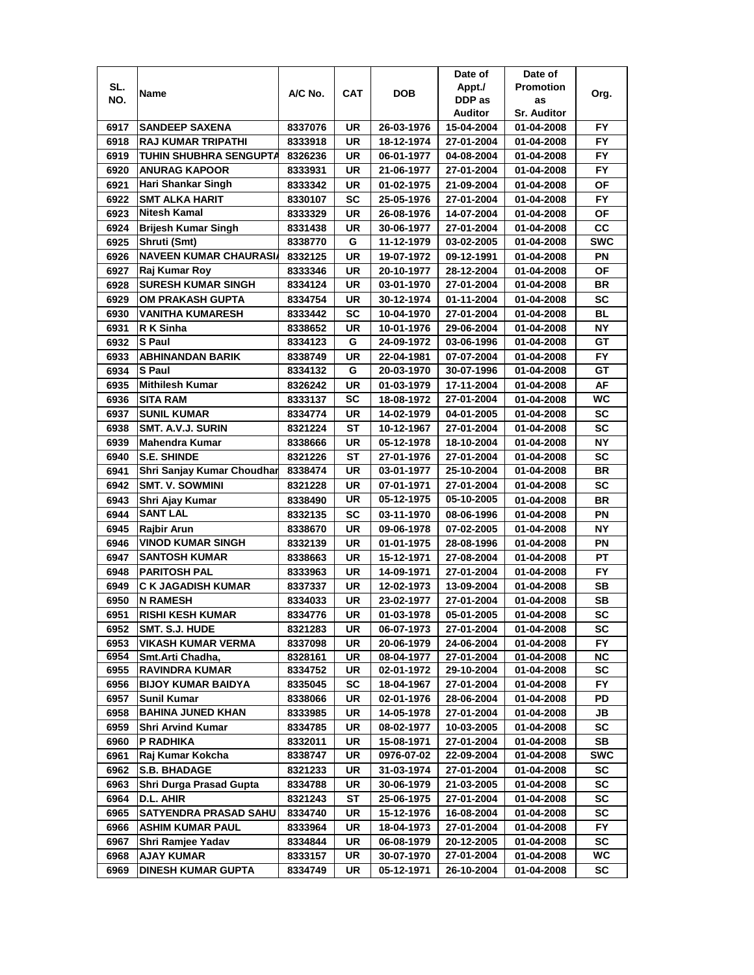|      |                               |         |            |            | Date of    | Date of            |            |
|------|-------------------------------|---------|------------|------------|------------|--------------------|------------|
| SL.  | Name                          | A/C No. | <b>CAT</b> | <b>DOB</b> | Appt./     | <b>Promotion</b>   | Org.       |
| NO.  |                               |         |            |            | DDP as     | as                 |            |
|      |                               |         |            |            | Auditor    | <b>Sr. Auditor</b> |            |
| 6917 | <b>SANDEEP SAXENA</b>         | 8337076 | UR         | 26-03-1976 | 15-04-2004 | 01-04-2008         | FY.        |
| 6918 | RAJ KUMAR TRIPATHI            | 8333918 | UR         | 18-12-1974 | 27-01-2004 | 01-04-2008         | <b>FY</b>  |
| 6919 | <b>TUHIN SHUBHRA SENGUPTA</b> | 8326236 | UR         | 06-01-1977 | 04-08-2004 | 01-04-2008         | <b>FY</b>  |
| 6920 | <b>ANURAG KAPOOR</b>          | 8333931 | UR         | 21-06-1977 | 27-01-2004 | 01-04-2008         | <b>FY</b>  |
| 6921 | Hari Shankar Singh            | 8333342 | UR         | 01-02-1975 | 21-09-2004 | 01-04-2008         | <b>OF</b>  |
| 6922 | <b>SMT ALKA HARIT</b>         | 8330107 | SC         | 25-05-1976 | 27-01-2004 | 01-04-2008         | FY         |
| 6923 | Nitesh Kamal                  | 8333329 | UR         | 26-08-1976 | 14-07-2004 | 01-04-2008         | ΟF         |
| 6924 | <b>Brijesh Kumar Singh</b>    | 8331438 | UR         | 30-06-1977 | 27-01-2004 | 01-04-2008         | CC         |
| 6925 | Shruti (Smt)                  | 8338770 | G          | 11-12-1979 | 03-02-2005 | 01-04-2008         | <b>SWC</b> |
| 6926 | <b>NAVEEN KUMAR CHAURASI</b>  | 8332125 | <b>UR</b>  | 19-07-1972 | 09-12-1991 | 01-04-2008         | PN         |
| 6927 | Raj Kumar Roy                 | 8333346 | UR         | 20-10-1977 | 28-12-2004 | 01-04-2008         | OF         |
| 6928 | <b>SURESH KUMAR SINGH</b>     | 8334124 | UR         | 03-01-1970 | 27-01-2004 | 01-04-2008         | <b>BR</b>  |
| 6929 | <b>OM PRAKASH GUPTA</b>       | 8334754 | UR         | 30-12-1974 | 01-11-2004 | 01-04-2008         | <b>SC</b>  |
| 6930 | <b>VANITHA KUMARESH</b>       | 8333442 | SC         | 10-04-1970 | 27-01-2004 | 01-04-2008         | BL         |
| 6931 | R K Sinha                     | 8338652 | UR         | 10-01-1976 | 29-06-2004 | 01-04-2008         | ΝY         |
| 6932 | S Paul                        | 8334123 | G          | 24-09-1972 | 03-06-1996 | 01-04-2008         | GТ         |
| 6933 | <b>ABHINANDAN BARIK</b>       | 8338749 | UR         | 22-04-1981 | 07-07-2004 | 01-04-2008         | FY         |
| 6934 | S Paul                        | 8334132 | G          | 20-03-1970 | 30-07-1996 | 01-04-2008         | GТ         |
| 6935 | <b>Mithilesh Kumar</b>        | 8326242 | UR         | 01-03-1979 | 17-11-2004 | 01-04-2008         | AF         |
| 6936 | <b>SITA RAM</b>               | 8333137 | <b>SC</b>  | 18-08-1972 | 27-01-2004 | 01-04-2008         | WC         |
| 6937 | <b>SUNIL KUMAR</b>            | 8334774 | UR         | 14-02-1979 | 04-01-2005 | 01-04-2008         | <b>SC</b>  |
| 6938 | SMT. A.V.J. SURIN             | 8321224 | ST         | 10-12-1967 | 27-01-2004 | 01-04-2008         | <b>SC</b>  |
| 6939 | <b>Mahendra Kumar</b>         | 8338666 | <b>UR</b>  | 05-12-1978 | 18-10-2004 | 01-04-2008         | NΥ         |
| 6940 | <b>S.E. SHINDE</b>            | 8321226 | ST         | 27-01-1976 | 27-01-2004 | 01-04-2008         | <b>SC</b>  |
| 6941 | Shri Sanjay Kumar Choudhar    | 8338474 | <b>UR</b>  | 03-01-1977 | 25-10-2004 | 01-04-2008         | <b>BR</b>  |
| 6942 | <b>SMT. V. SOWMINI</b>        | 8321228 | UR         | 07-01-1971 | 27-01-2004 | 01-04-2008         | <b>SC</b>  |
| 6943 | Shri Ajay Kumar               | 8338490 | UR         | 05-12-1975 | 05-10-2005 | 01-04-2008         | <b>BR</b>  |
| 6944 | <b>SANT LAL</b>               | 8332135 | <b>SC</b>  | 03-11-1970 | 08-06-1996 | 01-04-2008         | PN         |
| 6945 | <b>Rajbir Arun</b>            | 8338670 | UR         | 09-06-1978 | 07-02-2005 | 01-04-2008         | <b>NY</b>  |
| 6946 | <b>VINOD KUMAR SINGH</b>      | 8332139 | UR         | 01-01-1975 | 28-08-1996 | 01-04-2008         | PN         |
| 6947 | <b>SANTOSH KUMAR</b>          | 8338663 | UR         | 15-12-1971 | 27-08-2004 | 01-04-2008         | PT         |
| 6948 | <b>PARITOSH PAL</b>           | 8333963 | UR         | 14-09-1971 | 27-01-2004 | 01-04-2008         | FY.        |
| 6949 | <b>C K JAGADISH KUMAR</b>     | 8337337 | UR         | 12-02-1973 | 13-09-2004 | 01-04-2008         | SВ         |
| 6950 | N RAMESH                      | 8334033 | UR         | 23-02-1977 | 27-01-2004 | 01-04-2008         | SВ         |
| 6951 | <b>RISHI KESH KUMAR</b>       | 8334776 | UR         | 01-03-1978 | 05-01-2005 | 01-04-2008         | <b>SC</b>  |
| 6952 | SMT. S.J. HUDE                | 8321283 | UR         | 06-07-1973 | 27-01-2004 | 01-04-2008         | SC         |
| 6953 | <b>VIKASH KUMAR VERMA</b>     | 8337098 | UR         | 20-06-1979 | 24-06-2004 | 01-04-2008         | <b>FY</b>  |
| 6954 | Smt.Arti Chadha,              | 8328161 | UR         | 08-04-1977 | 27-01-2004 | 01-04-2008         | <b>NC</b>  |
| 6955 | <b>RAVINDRA KUMAR</b>         | 8334752 | UR         | 02-01-1972 | 29-10-2004 | 01-04-2008         | SC         |
| 6956 | <b>BIJOY KUMAR BAIDYA</b>     | 8335045 | <b>SC</b>  | 18-04-1967 | 27-01-2004 | 01-04-2008         | FY         |
| 6957 | Sunil Kumar                   | 8338066 | UR         | 02-01-1976 | 28-06-2004 | 01-04-2008         | PD         |
| 6958 | <b>BAHINA JUNED KHAN</b>      | 8333985 | UR         | 14-05-1978 | 27-01-2004 | 01-04-2008         | JB         |
| 6959 | <b>Shri Arvind Kumar</b>      | 8334785 | UR         | 08-02-1977 | 10-03-2005 | 01-04-2008         | SC         |
| 6960 | P RADHIKA                     | 8332011 | UR         | 15-08-1971 | 27-01-2004 | 01-04-2008         | SB         |
| 6961 | Raj Kumar Kokcha              | 8338747 | UR         | 0976-07-02 | 22-09-2004 | 01-04-2008         | <b>SWC</b> |
| 6962 | <b>S.B. BHADAGE</b>           | 8321233 | UR         | 31-03-1974 | 27-01-2004 | 01-04-2008         | SC         |
| 6963 | Shri Durga Prasad Gupta       | 8334788 | UR         | 30-06-1979 | 21-03-2005 | 01-04-2008         | SC         |
| 6964 | D.L. AHIR                     | 8321243 | ST         | 25-06-1975 | 27-01-2004 | 01-04-2008         | SC         |
| 6965 | <b>SATYENDRA PRASAD SAHU</b>  | 8334740 | UR         | 15-12-1976 | 16-08-2004 | 01-04-2008         | SC         |
| 6966 | <b>ASHIM KUMAR PAUL</b>       | 8333964 | UR         | 18-04-1973 | 27-01-2004 | 01-04-2008         | FY.        |
| 6967 | Shri Ramjee Yadav             | 8334844 | UR         | 06-08-1979 | 20-12-2005 | 01-04-2008         | <b>SC</b>  |
| 6968 | <b>AJAY KUMAR</b>             | 8333157 | UR         | 30-07-1970 | 27-01-2004 | 01-04-2008         | WC         |
| 6969 | <b>DINESH KUMAR GUPTA</b>     | 8334749 | UR         | 05-12-1971 | 26-10-2004 | 01-04-2008         | SC         |
|      |                               |         |            |            |            |                    |            |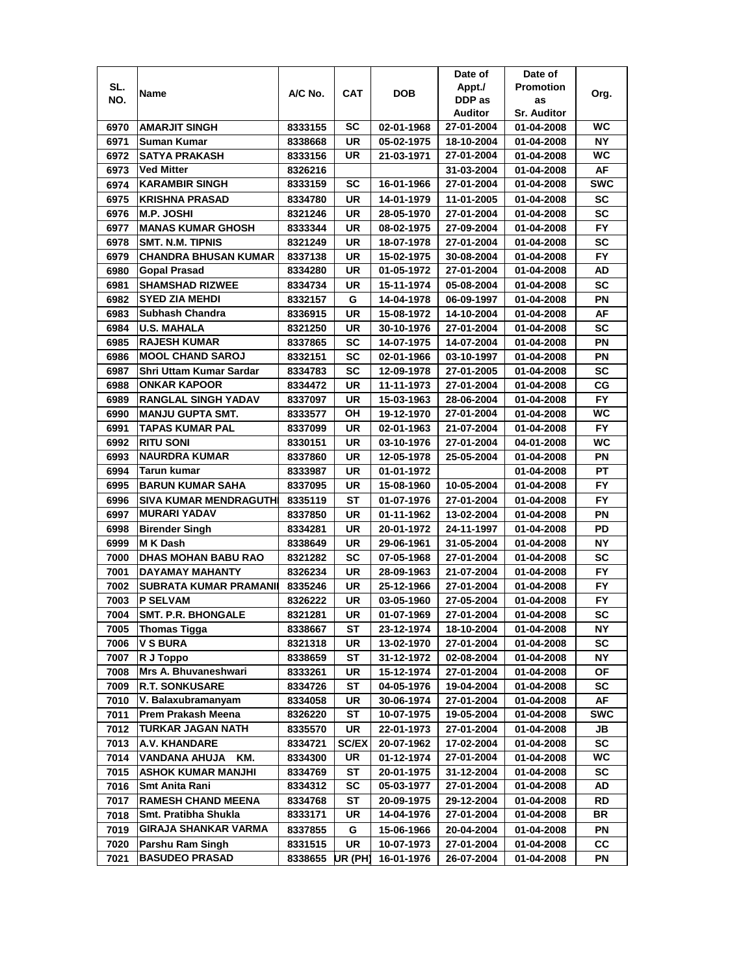|      |                              |         |              |            | Date of    | Date of            |            |
|------|------------------------------|---------|--------------|------------|------------|--------------------|------------|
| SL.  |                              |         |              |            | Appt./     | <b>Promotion</b>   |            |
| NO.  | Name                         | A/C No. | <b>CAT</b>   | DOB        | DDP as     | as                 | Org.       |
|      |                              |         |              |            | Auditor    | <b>Sr. Auditor</b> |            |
| 6970 | <b>AMARJIT SINGH</b>         | 8333155 | SC           | 02-01-1968 | 27-01-2004 | 01-04-2008         | WC         |
| 6971 | Suman Kumar                  | 8338668 | UR           | 05-02-1975 | 18-10-2004 | 01-04-2008         | NY.        |
| 6972 | <b>SATYA PRAKASH</b>         | 8333156 | UR           | 21-03-1971 | 27-01-2004 | 01-04-2008         | WC         |
| 6973 | <b>Ved Mitter</b>            | 8326216 |              |            | 31-03-2004 | 01-04-2008         | AF         |
| 6974 | <b>KARAMBIR SINGH</b>        | 8333159 | SC           | 16-01-1966 | 27-01-2004 | 01-04-2008         | <b>SWC</b> |
| 6975 | <b>KRISHNA PRASAD</b>        | 8334780 | UR           | 14-01-1979 | 11-01-2005 | 01-04-2008         | SC         |
| 6976 | <b>M.P. JOSHI</b>            | 8321246 | UR           | 28-05-1970 | 27-01-2004 | 01-04-2008         | <b>SC</b>  |
| 6977 | <b>MANAS KUMAR GHOSH</b>     | 8333344 | UR           | 08-02-1975 | 27-09-2004 | 01-04-2008         | FY.        |
| 6978 | <b>SMT. N.M. TIPNIS</b>      | 8321249 | UR           | 18-07-1978 | 27-01-2004 | 01-04-2008         | <b>SC</b>  |
| 6979 | <b>CHANDRA BHUSAN KUMAR</b>  | 8337138 | UR           | 15-02-1975 | 30-08-2004 | 01-04-2008         | FY.        |
| 6980 | Gopal Prasad                 | 8334280 | UR           | 01-05-1972 | 27-01-2004 | 01-04-2008         | AD         |
| 6981 | <b>SHAMSHAD RIZWEE</b>       | 8334734 | UR           | 15-11-1974 | 05-08-2004 | 01-04-2008         | SC         |
| 6982 | <b>SYED ZIA MEHDI</b>        | 8332157 | G            | 14-04-1978 | 06-09-1997 | 01-04-2008         | PN         |
| 6983 | Subhash Chandra              | 8336915 | UR           | 15-08-1972 | 14-10-2004 | 01-04-2008         | AF         |
| 6984 | <b>U.S. MAHALA</b>           | 8321250 | UR           | 30-10-1976 | 27-01-2004 | 01-04-2008         | <b>SC</b>  |
| 6985 | <b>RAJESH KUMAR</b>          | 8337865 | SC           | 14-07-1975 | 14-07-2004 | 01-04-2008         | ΡN         |
| 6986 | <b>MOOL CHAND SAROJ</b>      | 8332151 | SC           | 02-01-1966 | 03-10-1997 | 01-04-2008         | PN         |
| 6987 | Shri Uttam Kumar Sardar      | 8334783 | SC           | 12-09-1978 | 27-01-2005 | 01-04-2008         | SC         |
| 6988 | <b>ONKAR KAPOOR</b>          | 8334472 | UR           | 11-11-1973 | 27-01-2004 | 01-04-2008         | СG         |
| 6989 | <b>RANGLAL SINGH YADAV</b>   | 8337097 | UR           | 15-03-1963 | 28-06-2004 | 01-04-2008         | <b>FY</b>  |
| 6990 | <b>MANJU GUPTA SMT.</b>      | 8333577 | OН           | 19-12-1970 | 27-01-2004 | 01-04-2008         | <b>WC</b>  |
| 6991 | TAPAS KUMAR PAL              | 8337099 | UR           | 02-01-1963 | 21-07-2004 | 01-04-2008         | FY         |
| 6992 | <b>RITU SONI</b>             | 8330151 | UR           | 03-10-1976 | 27-01-2004 | 04-01-2008         | WC         |
| 6993 | <b>NAURDRA KUMAR</b>         | 8337860 | UR           | 12-05-1978 | 25-05-2004 | 01-04-2008         | PN         |
| 6994 | Tarun kumar                  | 8333987 | UR           | 01-01-1972 |            | 01-04-2008         | PT         |
| 6995 | <b>BARUN KUMAR SAHA</b>      | 8337095 | UR           | 15-08-1960 | 10-05-2004 | 01-04-2008         | <b>FY</b>  |
| 6996 | <b>SIVA KUMAR MENDRAGUTH</b> | 8335119 | ST           | 01-07-1976 | 27-01-2004 | 01-04-2008         | <b>FY</b>  |
| 6997 | <b>MURARI YADAV</b>          | 8337850 | <b>UR</b>    | 01-11-1962 | 13-02-2004 | 01-04-2008         | PN         |
| 6998 | <b>Birender Singh</b>        | 8334281 | UR           | 20-01-1972 | 24-11-1997 | 01-04-2008         | PD         |
| 6999 | <b>MK Dash</b>               | 8338649 | UR           | 29-06-1961 | 31-05-2004 | 01-04-2008         | <b>NY</b>  |
| 7000 | <b>DHAS MOHAN BABU RAO</b>   | 8321282 | SC           | 07-05-1968 | 27-01-2004 | 01-04-2008         | SC         |
| 7001 | <b>DAYAMAY MAHANTY</b>       | 8326234 | UR           | 28-09-1963 | 21-07-2004 | 01-04-2008         | FY.        |
| 7002 | <b>SUBRATA KUMAR PRAMANI</b> | 8335246 | UR           | 25-12-1966 | 27-01-2004 | 01-04-2008         | FY.        |
| 7003 | <b>P SELVAM</b>              | 8326222 | UR           | 03-05-1960 | 27-05-2004 | 01-04-2008         | <b>FY</b>  |
| 7004 | <b>SMT. P.R. BHONGALE</b>    | 8321281 | UR           | 01-07-1969 | 27-01-2004 | 01-04-2008         | SC         |
| 7005 | <b>Thomas Tigga</b>          | 8338667 | ST           | 23-12-1974 | 18-10-2004 | 01-04-2008         | NΥ         |
| 7006 | <b>V S BURA</b>              | 8321318 | UR           | 13-02-1970 | 27-01-2004 | 01-04-2008         | SC         |
| 7007 | R J Toppo                    | 8338659 | ST           | 31-12-1972 | 02-08-2004 | 01-04-2008         | <b>NY</b>  |
| 7008 | Mrs A. Bhuvaneshwari         | 8333261 | UR           | 15-12-1974 | 27-01-2004 | 01-04-2008         | ΟF         |
| 7009 | <b>R.T. SONKUSARE</b>        | 8334726 | ST           | 04-05-1976 | 19-04-2004 | 01-04-2008         | SC         |
| 7010 | V. Balaxubramanyam           | 8334058 | UR           | 30-06-1974 | 27-01-2004 | 01-04-2008         | AF         |
| 7011 | Prem Prakash Meena           | 8326220 | ST           | 10-07-1975 | 19-05-2004 | 01-04-2008         | <b>SWC</b> |
| 7012 | <b>TURKAR JAGAN NATH</b>     | 8335570 | UR           | 22-01-1973 | 27-01-2004 | 01-04-2008         | JB         |
| 7013 | A.V. KHANDARE                | 8334721 | <b>SC/EX</b> | 20-07-1962 | 17-02-2004 | 01-04-2008         | SC         |
| 7014 | KM.<br><b>VANDANA AHUJA</b>  | 8334300 | UR           | 01-12-1974 | 27-01-2004 | 01-04-2008         | WC         |
| 7015 | <b>ASHOK KUMAR MANJHI</b>    | 8334769 | <b>ST</b>    | 20-01-1975 | 31-12-2004 | 01-04-2008         | SC         |
| 7016 | Smt Anita Rani               | 8334312 | <b>SC</b>    | 05-03-1977 | 27-01-2004 | 01-04-2008         | AD         |
| 7017 | <b>RAMESH CHAND MEENA</b>    | 8334768 | ST           | 20-09-1975 | 29-12-2004 | 01-04-2008         | RD         |
| 7018 | Smt. Pratibha Shukla         | 8333171 | UR           | 14-04-1976 | 27-01-2004 | 01-04-2008         | BR         |
| 7019 | <b>GIRAJA SHANKAR VARMA</b>  | 8337855 | G            | 15-06-1966 | 20-04-2004 | 01-04-2008         | ΡN         |
| 7020 | Parshu Ram Singh             | 8331515 | UR           | 10-07-1973 | 27-01-2004 | 01-04-2008         | <b>CC</b>  |
| 7021 | <b>BASUDEO PRASAD</b>        | 8338655 | UR (PH)      | 16-01-1976 | 26-07-2004 | 01-04-2008         | ΡN         |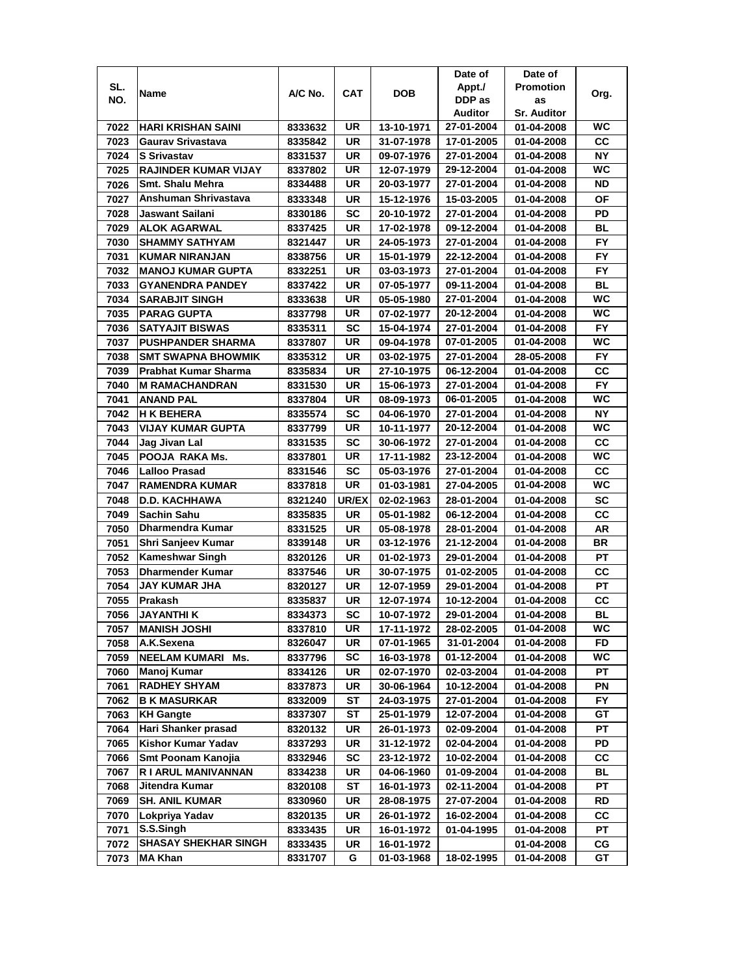|              |                                        |         |                 |                          | Date of    | Date of            |           |
|--------------|----------------------------------------|---------|-----------------|--------------------------|------------|--------------------|-----------|
| SL.          | Name                                   | A/C No. | CAT             | <b>DOB</b>               | Appt./     | <b>Promotion</b>   | Org.      |
| NO.          |                                        |         |                 |                          | DDP as     | as                 |           |
|              |                                        |         |                 |                          | Auditor    | <b>Sr. Auditor</b> |           |
| 7022         | <b>HARI KRISHAN SAINI</b>              | 8333632 | UR              | 13-10-1971               | 27-01-2004 | 01-04-2008         | WC        |
| 7023         | Gaurav Srivastava                      | 8335842 | UR              | 31-07-1978               | 17-01-2005 | 01-04-2008         | cc        |
| 7024         | <b>S Srivastav</b>                     | 8331537 | UR              | 09-07-1976               | 27-01-2004 | 01-04-2008         | <b>NY</b> |
| 7025         | <b>RAJINDER KUMAR VIJAY</b>            | 8337802 | UR              | 12-07-1979               | 29-12-2004 | 01-04-2008         | <b>WC</b> |
| 7026         | Smt. Shalu Mehra                       | 8334488 | UR              | 20-03-1977               | 27-01-2004 | 01-04-2008         | ND        |
| 7027         | Anshuman Shrivastava                   | 8333348 | UR              | 15-12-1976               | 15-03-2005 | 01-04-2008         | ΟF        |
| 7028         | Jaswant Sailani                        | 8330186 | SC              | 20-10-1972               | 27-01-2004 | 01-04-2008         | PD        |
| 7029         | <b>ALOK AGARWAL</b>                    | 8337425 | UR              | 17-02-1978               | 09-12-2004 | 01-04-2008         | BL        |
| 7030         | <b>SHAMMY SATHYAM</b>                  | 8321447 | UR              | 24-05-1973               | 27-01-2004 | 01-04-2008         | FY        |
| 7031         | <b>KUMAR NIRANJAN</b>                  | 8338756 | UR              | 15-01-1979               | 22-12-2004 | 01-04-2008         | <b>FY</b> |
| 7032         | <b>MANOJ KUMAR GUPTA</b>               | 8332251 | UR              | 03-03-1973               | 27-01-2004 | 01-04-2008         | <b>FY</b> |
| 7033         | <b>GYANENDRA PANDEY</b>                | 8337422 | <b>UR</b>       | 07-05-1977               | 09-11-2004 | 01-04-2008         | <b>BL</b> |
| 7034         | <b>SARABJIT SINGH</b>                  | 8333638 | UR              | 05-05-1980               | 27-01-2004 | 01-04-2008         | WC        |
| 7035         | <b>PARAG GUPTA</b>                     | 8337798 | UR              | 07-02-1977               | 20-12-2004 | 01-04-2008         | WC        |
| 7036         | <b>SATYAJIT BISWAS</b>                 | 8335311 | SC              | 15-04-1974               | 27-01-2004 | 01-04-2008         | FY.       |
| 7037         | <b>PUSHPANDER SHARMA</b>               | 8337807 | UR              | 09-04-1978               | 07-01-2005 | 01-04-2008         | WC        |
| 7038         | <b>SMT SWAPNA BHOWMIK</b>              | 8335312 | UR              | 03-02-1975               | 27-01-2004 | 28-05-2008         | FY.       |
| 7039         | Prabhat Kumar Sharma                   | 8335834 | UR              | 27-10-1975               | 06-12-2004 | 01-04-2008         | CС        |
| 7040         | <b>M RAMACHANDRAN</b>                  | 8331530 | UR              | 15-06-1973               | 27-01-2004 | 01-04-2008         | <b>FY</b> |
| 7041         | <b>ANAND PAL</b>                       | 8337804 | UR              | 08-09-1973               | 06-01-2005 | 01-04-2008         | <b>WC</b> |
| 7042         | <b>H K BEHERA</b>                      | 8335574 | SC              | 04-06-1970               | 27-01-2004 | 01-04-2008         | <b>NY</b> |
| 7043         | <b>VIJAY KUMAR GUPTA</b>               | 8337799 | UR              | 10-11-1977               | 20-12-2004 | 01-04-2008         | <b>WC</b> |
| 7044         |                                        |         | SC              | 30-06-1972               | 27-01-2004 |                    | <b>CC</b> |
| 7045         | Jag Jivan Lal<br>POOJA RAKA Ms.        | 8331535 | UR              |                          | 23-12-2004 | 01-04-2008         | WC        |
|              |                                        | 8337801 |                 | 17-11-1982               |            | 01-04-2008         | <b>CC</b> |
| 7046         | <b>Lalloo Prasad</b>                   | 8331546 | SC<br><b>UR</b> | 05-03-1976               | 27-01-2004 | 01-04-2008         | WC        |
| 7047         | <b>RAMENDRA KUMAR</b>                  | 8337818 |                 | 01-03-1981               | 27-04-2005 | 01-04-2008         |           |
| 7048<br>7049 | <b>D.D. KACHHAWA</b>                   | 8321240 | UR/EX           | 02-02-1963               | 28-01-2004 | 01-04-2008         | SC        |
|              | Sachin Sahu<br><b>Dharmendra Kumar</b> | 8335835 | UR              | 05-01-1982               | 06-12-2004 | 01-04-2008         | СC<br>AR  |
| 7050         |                                        | 8331525 | UR              | 05-08-1978<br>03-12-1976 | 28-01-2004 | 01-04-2008         | <b>BR</b> |
| 7051         | Shri Sanjeev Kumar                     | 8339148 | UR              |                          | 21-12-2004 | 01-04-2008         |           |
| 7052         | <b>Kameshwar Singh</b>                 | 8320126 | UR              | 01-02-1973               | 29-01-2004 | 01-04-2008         | <b>PT</b> |
| 7053         | <b>Dharmender Kumar</b>                | 8337546 | UR              | 30-07-1975               | 01-02-2005 | 01-04-2008         | CС        |
| 7054         | JAY KUMAR JHA                          | 8320127 | UR              | 12-07-1959               | 29-01-2004 | 01-04-2008         | PT        |
| 7055         | Prakash                                | 8335837 | UR              | 12-07-1974               | 10-12-2004 | 01-04-2008         | CС        |
| 7056         | JAYANTHI K                             | 8334373 | <b>SC</b>       | 10-07-1972               | 29-01-2004 | 01-04-2008         | BL        |
| 7057         | <b>MANISH JOSHI</b>                    | 8337810 | UR              | 17-11-1972               | 28-02-2005 | 01-04-2008         | WC        |
| 7058         | A.K.Sexena                             | 8326047 | UR              | 07-01-1965               | 31-01-2004 | 01-04-2008         | FD        |
| 7059         | <b>NEELAM KUMARI Ms.</b>               | 8337796 | SC              | 16-03-1978               | 01-12-2004 | 01-04-2008         | WC        |
| 7060         | Manoj Kumar                            | 8334126 | UR              | 02-07-1970               | 02-03-2004 | 01-04-2008         | <b>PT</b> |
| 7061         | <b>RADHEY SHYAM</b>                    | 8337873 | UR              | 30-06-1964               | 10-12-2004 | 01-04-2008         | PN        |
| 7062         | <b>B K MASURKAR</b>                    | 8332009 | ST              | 24-03-1975               | 27-01-2004 | 01-04-2008         | <b>FY</b> |
| 7063         | <b>KH Gangte</b>                       | 8337307 | SТ              | 25-01-1979               | 12-07-2004 | 01-04-2008         | GT        |
| 7064         | Hari Shanker prasad                    | 8320132 | UR              | 26-01-1973               | 02-09-2004 | 01-04-2008         | PT        |
| 7065         | Kishor Kumar Yadav                     | 8337293 | UR              | 31-12-1972               | 02-04-2004 | 01-04-2008         | PD        |
| 7066         | Smt Poonam Kanojia                     | 8332946 | SC              | 23-12-1972               | 10-02-2004 | 01-04-2008         | СC        |
| 7067         | R I ARUL MANIVANNAN                    | 8334238 | UR              | 04-06-1960               | 01-09-2004 | 01-04-2008         | BL        |
| 7068         | Jitendra Kumar                         | 8320108 | <b>ST</b>       | 16-01-1973               | 02-11-2004 | 01-04-2008         | PT        |
| 7069         | <b>SH. ANIL KUMAR</b>                  | 8330960 | UR              | 28-08-1975               | 27-07-2004 | 01-04-2008         | RD        |
| 7070         | Lokpriya Yadav                         | 8320135 | UR              | 26-01-1972               | 16-02-2004 | 01-04-2008         | СC        |
| 7071         | S.S.Singh                              | 8333435 | UR              | 16-01-1972               | 01-04-1995 | 01-04-2008         | PT        |
| 7072         | <b>SHASAY SHEKHAR SINGH</b>            | 8333435 | UR              | 16-01-1972               |            | 01-04-2008         | СG        |
| 7073         | <b>MA Khan</b>                         | 8331707 | G               | 01-03-1968               | 18-02-1995 | 01-04-2008         | GT        |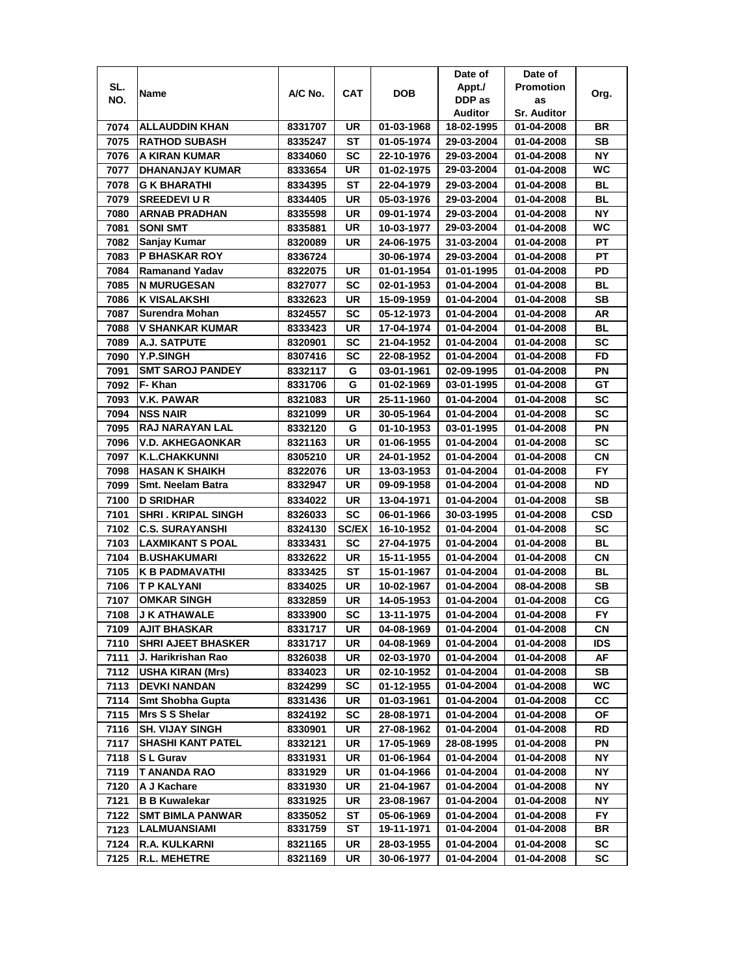|      |                           |                    |              |                          | Date of                  | Date of                  |            |
|------|---------------------------|--------------------|--------------|--------------------------|--------------------------|--------------------------|------------|
| SL.  |                           |                    |              |                          | Appt./                   | <b>Promotion</b>         |            |
| NO.  | Name                      | A/C No.            | CAT          | <b>DOB</b>               | DDP as                   | as                       | Org.       |
|      |                           |                    |              |                          | Auditor                  | <b>Sr. Auditor</b>       |            |
| 7074 | <b>ALLAUDDIN KHAN</b>     | 8331707            | UR           | 01-03-1968               | 18-02-1995               | 01-04-2008               | BR         |
| 7075 | <b>RATHOD SUBASH</b>      | 8335247            | SТ           | 01-05-1974               | 29-03-2004               | 01-04-2008               | SВ         |
| 7076 | A KIRAN KUMAR             | 8334060            | SC           | 22-10-1976               | 29-03-2004               | 01-04-2008               | <b>NY</b>  |
| 7077 | <b>DHANANJAY KUMAR</b>    | 8333654            | UR           | 01-02-1975               | 29-03-2004               | 01-04-2008               | WC         |
| 7078 | <b>G K BHARATHI</b>       | 8334395            | ST           | 22-04-1979               | 29-03-2004               | 01-04-2008               | BL         |
| 7079 | <b>SREEDEVI U R</b>       | 8334405            | UR           | 05-03-1976               | 29-03-2004               | 01-04-2008               | BL         |
| 7080 | <b>ARNAB PRADHAN</b>      | 8335598            | UR           | 09-01-1974               | 29-03-2004               | 01-04-2008               | NΥ         |
| 7081 | <b>SONI SMT</b>           | 8335881            | UR           | 10-03-1977               | 29-03-2004               | 01-04-2008               | WC         |
| 7082 | Sanjay Kumar              | 8320089            | UR           | 24-06-1975               | 31-03-2004               | 01-04-2008               | РT         |
| 7083 | <b>P BHASKAR ROY</b>      | 8336724            |              | 30-06-1974               | 29-03-2004               | 01-04-2008               | РT         |
| 7084 | <b>Ramanand Yadav</b>     | 8322075            | UR           | 01-01-1954               | 01-01-1995               | 01-04-2008               | PD         |
| 7085 | <b>N MURUGESAN</b>        | 8327077            | SC           | 02-01-1953               | 01-04-2004               | 01-04-2008               | BL         |
| 7086 | <b>K VISALAKSHI</b>       | 8332623            | UR           | 15-09-1959               | 01-04-2004               | 01-04-2008               | <b>SB</b>  |
| 7087 | Surendra Mohan            | 8324557            | SC           | 05-12-1973               | 01-04-2004               | 01-04-2008               | AR         |
| 7088 | <b>V SHANKAR KUMAR</b>    |                    | UR           | 17-04-1974               | 01-04-2004               | 01-04-2008               | BL         |
| 7089 | A.J. SATPUTE              | 8333423            |              |                          |                          |                          | SC         |
|      | <b>Y.P.SINGH</b>          | 8320901<br>8307416 | SC<br>SC     | 21-04-1952<br>22-08-1952 | 01-04-2004<br>01-04-2004 | 01-04-2008<br>01-04-2008 | FD         |
| 7090 | <b>SMT SAROJ PANDEY</b>   |                    |              |                          |                          |                          |            |
| 7091 |                           | 8332117            | G            | 03-01-1961               | 02-09-1995               | 01-04-2008               | ΡN         |
| 7092 | F-Khan                    | 8331706            | G            | 01-02-1969               | 03-01-1995               | 01-04-2008               | GТ         |
| 7093 | <b>V.K. PAWAR</b>         | 8321083            | UR           | 25-11-1960               | 01-04-2004               | 01-04-2008               | SC         |
| 7094 | <b>NSS NAIR</b>           | 8321099            | UR           | 30-05-1964               | 01-04-2004               | 01-04-2008               | SC         |
| 7095 | <b>RAJ NARAYAN LAL</b>    | 8332120            | G            | 01-10-1953               | 03-01-1995               | 01-04-2008               | PN         |
| 7096 | <b>V.D. AKHEGAONKAR</b>   | 8321163            | UR           | 01-06-1955               | 01-04-2004               | 01-04-2008               | <b>SC</b>  |
| 7097 | <b>K.L.CHAKKUNNI</b>      | 8305210            | UR           | 24-01-1952               | 01-04-2004               | 01-04-2008               | CN         |
| 7098 | <b>HASAN K SHAIKH</b>     | 8322076            | UR           | 13-03-1953               | 01-04-2004               | 01-04-2008               | FY.        |
| 7099 | Smt. Neelam Batra         | 8332947            | UR           | 09-09-1958               | 01-04-2004               | 01-04-2008               | <b>ND</b>  |
| 7100 | <b>D SRIDHAR</b>          | 8334022            | UR           | 13-04-1971               | 01-04-2004               | 01-04-2008               | SB         |
| 7101 | <b>SHRI. KRIPAL SINGH</b> | 8326033            | SC           | 06-01-1966               | 30-03-1995               | 01-04-2008               | <b>CSD</b> |
| 7102 | <b>C.S. SURAYANSHI</b>    | 8324130            | <b>SC/EX</b> | 16-10-1952               | 01-04-2004               | 01-04-2008               | SC         |
| 7103 | <b>LAXMIKANT S POAL</b>   | 8333431            | SC           | 27-04-1975               | 01-04-2004               | 01-04-2008               | <b>BL</b>  |
| 7104 | <b>B.USHAKUMARI</b>       | 8332622            | UR           | 15-11-1955               | 01-04-2004               | 01-04-2008               | СN         |
| 7105 | IK B PADMAVATHI           | 8333425            | ST           | 15-01-1967               | 01-04-2004               | 01-04-2008               | BL         |
| 7106 | <b>TP KALYANI</b>         | 8334025            | UR           | 10-02-1967               | 01-04-2004               | 08-04-2008               | SB         |
| 7107 | <b>OMKAR SINGH</b>        | 8332859            | UR           | 14-05-1953               | 01-04-2004               | 01-04-2008               | СG         |
| 7108 | <b>J K ATHAWALE</b>       | 8333900            | SC           | 13-11-1975               | 01-04-2004               | 01-04-2008               | FY         |
| 7109 | <b>AJIT BHASKAR</b>       | 8331717            | UR           | 04-08-1969               | 01-04-2004               | 01-04-2008               | <b>CN</b>  |
| 7110 | <b>SHRI AJEET BHASKER</b> | 8331717            | UR           | 04-08-1969               | 01-04-2004               | 01-04-2008               | IDS        |
| 7111 | J. Harikrishan Rao        | 8326038            | UR           | 02-03-1970               | 01-04-2004               | 01-04-2008               | AF         |
| 7112 | <b>USHA KIRAN (Mrs)</b>   | 8334023            | UR           | 02-10-1952               | 01-04-2004               | 01-04-2008               | SВ         |
| 7113 | <b>DEVKI NANDAN</b>       | 8324299            | SC           | 01-12-1955               | 01-04-2004               | 01-04-2008               | WC.        |
| 7114 | <b>Smt Shobha Gupta</b>   | 8331436            | UR           | 01-03-1961               | 01-04-2004               | 01-04-2008               | СC         |
| 7115 | Mrs S S Shelar            | 8324192            | SC           | 28-08-1971               | 01-04-2004               | 01-04-2008               | ΟF         |
| 7116 | <b>SH. VIJAY SINGH</b>    | 8330901            | UR           | 27-08-1962               | 01-04-2004               | 01-04-2008               | RD         |
| 7117 | <b>SHASHI KANT PATEL</b>  | 8332121            | UR           | 17-05-1969               | 28-08-1995               | 01-04-2008               | ΡN         |
| 7118 | <b>SL Gurav</b>           | 8331931            | UR           | 01-06-1964               | 01-04-2004               | 01-04-2008               | ΝY         |
| 7119 | <b>T ANANDA RAO</b>       | 8331929            | UR           | 01-04-1966               | 01-04-2004               | 01-04-2008               | NΥ         |
| 7120 | A J Kachare               | 8331930            | UR           | 21-04-1967               | 01-04-2004               | 01-04-2008               | NΥ         |
| 7121 | <b>B B Kuwalekar</b>      | 8331925            | UR           | 23-08-1967               | 01-04-2004               | 01-04-2008               | NΥ         |
| 7122 | <b>SMT BIMLA PANWAR</b>   | 8335052            | ST           | 05-06-1969               | 01-04-2004               | 01-04-2008               | FY.        |
| 7123 | LALMUANSIAMI              | 8331759            | ST           | 19-11-1971               | 01-04-2004               | 01-04-2008               | BR         |
| 7124 | R.A. KULKARNI             | 8321165            | UR           | 28-03-1955               | 01-04-2004               | 01-04-2008               | SC         |
| 7125 | <b>R.L. MEHETRE</b>       | 8321169            | UR           | 30-06-1977               | 01-04-2004               | 01-04-2008               | SC         |
|      |                           |                    |              |                          |                          |                          |            |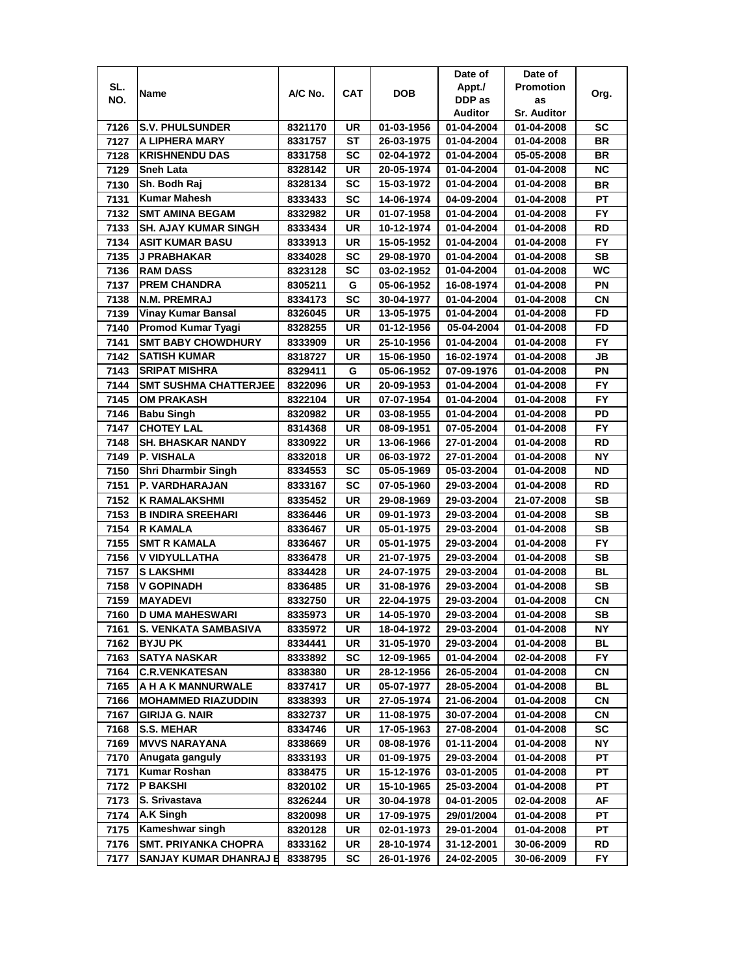|      |                              |         |            |            | Date of        | Date of            |           |
|------|------------------------------|---------|------------|------------|----------------|--------------------|-----------|
| SL.  |                              | A/C No. | <b>CAT</b> | <b>DOB</b> | Appt./         | <b>Promotion</b>   |           |
| NO.  | Name                         |         |            |            | DDP as         | as                 | Org.      |
|      |                              |         |            |            | <b>Auditor</b> | <b>Sr. Auditor</b> |           |
| 7126 | <b>S.V. PHULSUNDER</b>       | 8321170 | UR         | 01-03-1956 | 01-04-2004     | 01-04-2008         | SC        |
| 7127 | A LIPHERA MARY               | 8331757 | ST         | 26-03-1975 | 01-04-2004     | 01-04-2008         | BR        |
| 7128 | <b>KRISHNENDU DAS</b>        | 8331758 | SC         | 02-04-1972 | 01-04-2004     | 05-05-2008         | <b>BR</b> |
| 7129 | <b>Sneh Lata</b>             | 8328142 | UR         | 20-05-1974 | 01-04-2004     | 01-04-2008         | <b>NC</b> |
| 7130 | Sh. Bodh Raj                 | 8328134 | <b>SC</b>  | 15-03-1972 | 01-04-2004     | 01-04-2008         | <b>BR</b> |
| 7131 | <b>Kumar Mahesh</b>          | 8333433 | SC         | 14-06-1974 | 04-09-2004     | 01-04-2008         | PT        |
| 7132 | <b>SMT AMINA BEGAM</b>       | 8332982 | UR         | 01-07-1958 | 01-04-2004     | 01-04-2008         | FY        |
| 7133 | <b>SH. AJAY KUMAR SINGH</b>  | 8333434 | UR         | 10-12-1974 | 01-04-2004     | 01-04-2008         | RD        |
| 7134 | <b>ASIT KUMAR BASU</b>       | 8333913 | UR         | 15-05-1952 | 01-04-2004     | 01-04-2008         | <b>FY</b> |
| 7135 | J PRABHAKAR                  | 8334028 | SC         | 29-08-1970 | 01-04-2004     | 01-04-2008         | SВ        |
| 7136 | <b>RAM DASS</b>              | 8323128 | <b>SC</b>  | 03-02-1952 | 01-04-2004     | 01-04-2008         | WC        |
| 7137 | <b>PREM CHANDRA</b>          | 8305211 | G          | 05-06-1952 | 16-08-1974     | 01-04-2008         | PN        |
| 7138 | N.M. PREMRAJ                 | 8334173 | <b>SC</b>  | 30-04-1977 | 01-04-2004     | 01-04-2008         | <b>CN</b> |
| 7139 | <b>Vinay Kumar Bansal</b>    | 8326045 | UR         | 13-05-1975 | 01-04-2004     | 01-04-2008         | <b>FD</b> |
| 7140 | Promod Kumar Tyagi           | 8328255 | UR         | 01-12-1956 | 05-04-2004     | 01-04-2008         | FD        |
| 7141 | <b>SMT BABY CHOWDHURY</b>    | 8333909 | UR         | 25-10-1956 | 01-04-2004     | 01-04-2008         | FY.       |
| 7142 | <b>SATISH KUMAR</b>          | 8318727 | UR         | 15-06-1950 | 16-02-1974     | 01-04-2008         | JB        |
| 7143 | <b>SRIPAT MISHRA</b>         | 8329411 | G          | 05-06-1952 | 07-09-1976     | 01-04-2008         | ΡN        |
| 7144 | <b>SMT SUSHMA CHATTERJEE</b> | 8322096 | UR         | 20-09-1953 | 01-04-2004     | 01-04-2008         | FY.       |
| 7145 | <b>OM PRAKASH</b>            | 8322104 | UR         | 07-07-1954 | 01-04-2004     | 01-04-2008         | <b>FY</b> |
| 7146 | <b>Babu Singh</b>            | 8320982 | UR         | 03-08-1955 | 01-04-2004     | 01-04-2008         | PD        |
| 7147 | <b>CHOTEY LAL</b>            | 8314368 | UR         | 08-09-1951 | 07-05-2004     | 01-04-2008         | <b>FY</b> |
| 7148 | <b>SH. BHASKAR NANDY</b>     | 8330922 | UR         | 13-06-1966 | 27-01-2004     | 01-04-2008         | RD        |
| 7149 | P. VISHALA                   | 8332018 | UR         | 06-03-1972 | 27-01-2004     | 01-04-2008         | <b>NY</b> |
| 7150 | <b>Shri Dharmbir Singh</b>   | 8334553 | SC         | 05-05-1969 | 05-03-2004     | 01-04-2008         | ND        |
| 7151 | P. VARDHARAJAN               | 8333167 | SC         | 07-05-1960 | 29-03-2004     | 01-04-2008         | RD        |
| 7152 | K RAMALAKSHMI                | 8335452 | UR         | 29-08-1969 | 29-03-2004     | 21-07-2008         | SВ        |
| 7153 | <b>B INDIRA SREEHARI</b>     | 8336446 | UR         | 09-01-1973 | 29-03-2004     | 01-04-2008         | SB        |
| 7154 | <b>R KAMALA</b>              | 8336467 | UR         | 05-01-1975 | 29-03-2004     | 01-04-2008         | <b>SB</b> |
| 7155 | <b>SMT R KAMALA</b>          | 8336467 | UR         | 05-01-1975 | 29-03-2004     | 01-04-2008         | <b>FY</b> |
| 7156 | <b>V VIDYULLATHA</b>         | 8336478 | UR         | 21-07-1975 | 29-03-2004     | 01-04-2008         | SВ        |
| 7157 | <b>S LAKSHMI</b>             | 8334428 | UR         | 24-07-1975 | 29-03-2004     | 01-04-2008         | <b>BL</b> |
| 7158 | V GOPINADH                   | 8336485 | UR         | 31-08-1976 | 29-03-2004     | 01-04-2008         | SB        |
| 7159 | <b>MAYADEVI</b>              | 8332750 | UR         | 22-04-1975 | 29-03-2004     | 01-04-2008         | СN        |
| 7160 | <b>D UMA MAHESWARI</b>       | 8335973 | UR         | 14-05-1970 | 29-03-2004     | 01-04-2008         | SB        |
| 7161 | S. VENKATA SAMBASIVA         | 8335972 | UR         | 18-04-1972 | 29-03-2004     | 01-04-2008         | NΥ        |
| 7162 | <b>BYJU PK</b>               | 8334441 | UR         | 31-05-1970 | 29-03-2004     | 01-04-2008         | ВL        |
| 7163 | <b>SATYA NASKAR</b>          | 8333892 | SC         | 12-09-1965 | 01-04-2004     | 02-04-2008         | FY        |
| 7164 | <b>C.R.VENKATESAN</b>        | 8338380 | UR         | 28-12-1956 | 26-05-2004     | 01-04-2008         | CN        |
| 7165 | A H A K MANNURWALE           | 8337417 | UR         | 05-07-1977 | 28-05-2004     | 01-04-2008         | BL        |
| 7166 | <b>MOHAMMED RIAZUDDIN</b>    | 8338393 | UR         | 27-05-1974 | 21-06-2004     | 01-04-2008         | СN        |
| 7167 | <b>GIRIJA G. NAIR</b>        | 8332737 | UR         | 11-08-1975 | 30-07-2004     | 01-04-2008         | CN        |
| 7168 | <b>S.S. MEHAR</b>            | 8334746 | UR         | 17-05-1963 | 27-08-2004     | 01-04-2008         | SC        |
| 7169 | <b>MVVS NARAYANA</b>         | 8338669 | UR         | 08-08-1976 | 01-11-2004     | 01-04-2008         | NΥ        |
| 7170 | Anugata ganguly              | 8333193 | UR         | 01-09-1975 | 29-03-2004     | 01-04-2008         | РT        |
| 7171 | <b>Kumar Roshan</b>          | 8338475 | UR         | 15-12-1976 | 03-01-2005     | 01-04-2008         | PT        |
| 7172 | <b>P BAKSHI</b>              | 8320102 | UR         | 15-10-1965 | 25-03-2004     | 01-04-2008         | PT        |
| 7173 | S. Srivastava                | 8326244 | UR         | 30-04-1978 | 04-01-2005     | 02-04-2008         | AF        |
| 7174 | A.K Singh                    | 8320098 | UR         | 17-09-1975 | 29/01/2004     | 01-04-2008         | РT        |
| 7175 | Kameshwar singh              | 8320128 | UR         | 02-01-1973 | 29-01-2004     | 01-04-2008         | PТ        |
| 7176 | <b>SMT. PRIYANKA CHOPRA</b>  | 8333162 | UR         | 28-10-1974 | 31-12-2001     | 30-06-2009         | RD        |
| 7177 | SANJAY KUMAR DHANRAJ E       | 8338795 | SC         | 26-01-1976 | 24-02-2005     | 30-06-2009         | FY.       |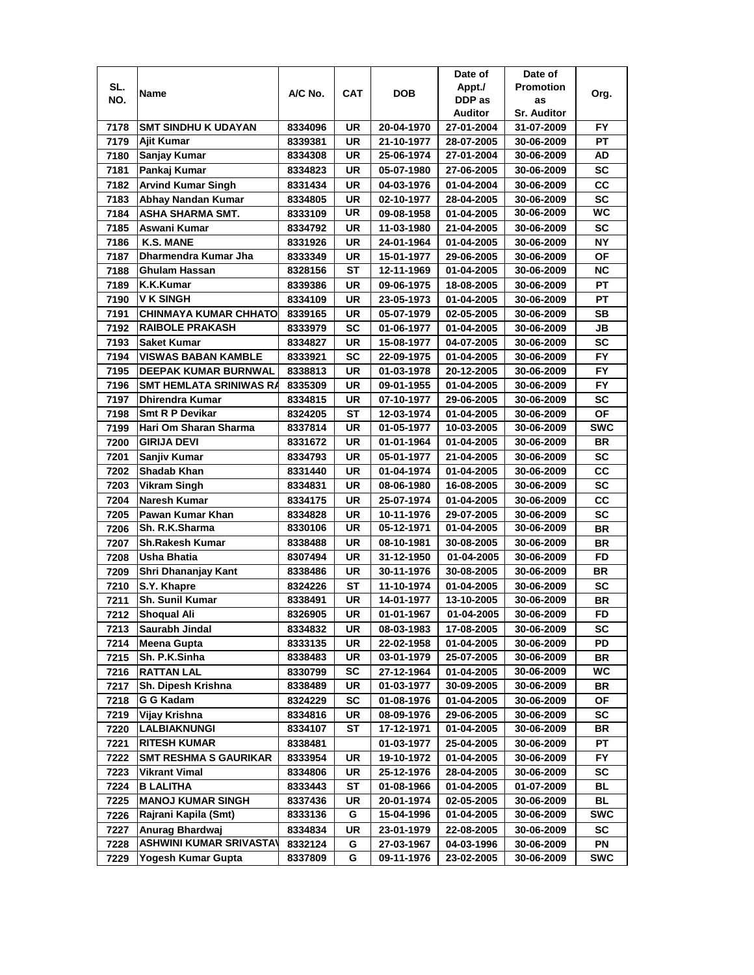|      |                                |         |            |            | Date of        | Date of          |            |
|------|--------------------------------|---------|------------|------------|----------------|------------------|------------|
| SL.  | Name                           | A/C No. | <b>CAT</b> | <b>DOB</b> | Appt./         | <b>Promotion</b> | Org.       |
| NO.  |                                |         |            |            | DDP as         | as               |            |
|      |                                |         |            |            | <b>Auditor</b> | Sr. Auditor      |            |
| 7178 | <b>SMT SINDHU K UDAYAN</b>     | 8334096 | <b>UR</b>  | 20-04-1970 | 27-01-2004     | 31-07-2009       | <b>FY</b>  |
| 7179 | <b>Ajit Kumar</b>              | 8339381 | UR         | 21-10-1977 | 28-07-2005     | 30-06-2009       | PT         |
| 7180 | Sanjay Kumar                   | 8334308 | UR         | 25-06-1974 | 27-01-2004     | 30-06-2009       | AD         |
| 7181 | Pankaj Kumar                   | 8334823 | UR         | 05-07-1980 | 27-06-2005     | 30-06-2009       | <b>SC</b>  |
| 7182 | <b>Arvind Kumar Singh</b>      | 8331434 | <b>UR</b>  | 04-03-1976 | 01-04-2004     | 30-06-2009       | cc         |
| 7183 | Abhay Nandan Kumar             | 8334805 | UR         | 02-10-1977 | 28-04-2005     | 30-06-2009       | <b>SC</b>  |
| 7184 | ASHA SHARMA SMT.               | 8333109 | UR         | 09-08-1958 | 01-04-2005     | 30-06-2009       | WC         |
| 7185 | Aswani Kumar                   | 8334792 | UR         | 11-03-1980 | 21-04-2005     | 30-06-2009       | SC         |
| 7186 | <b>K.S. MANE</b>               | 8331926 | UR         | 24-01-1964 | 01-04-2005     | 30-06-2009       | <b>NY</b>  |
| 7187 | Dharmendra Kumar Jha           | 8333349 | UR         | 15-01-1977 | 29-06-2005     | 30-06-2009       | <b>OF</b>  |
| 7188 | <b>Ghulam Hassan</b>           | 8328156 | <b>ST</b>  | 12-11-1969 | 01-04-2005     | 30-06-2009       | <b>NC</b>  |
| 7189 | K.K.Kumar                      | 8339386 | UR         | 09-06-1975 | 18-08-2005     | 30-06-2009       | PT         |
| 7190 | <b>V K SINGH</b>               | 8334109 | <b>UR</b>  | 23-05-1973 | 01-04-2005     | 30-06-2009       | <b>PT</b>  |
| 7191 | CHINMAYA KUMAR CHHATO          | 8339165 | UR         | 05-07-1979 | 02-05-2005     | 30-06-2009       | SB         |
| 7192 | <b>RAIBOLE PRAKASH</b>         | 8333979 | <b>SC</b>  | 01-06-1977 | 01-04-2005     | 30-06-2009       | JВ         |
| 7193 | <b>Saket Kumar</b>             | 8334827 | UR         | 15-08-1977 | 04-07-2005     | 30-06-2009       | SC         |
| 7194 | VISWAS BABAN KAMBLE            |         | SC         |            |                |                  | <b>FY</b>  |
|      |                                | 8333921 |            | 22-09-1975 | 01-04-2005     | 30-06-2009       | <b>FY</b>  |
| 7195 | <b>DEEPAK KUMAR BURNWAL</b>    | 8338813 | UR         | 01-03-1978 | 20-12-2005     | 30-06-2009       |            |
| 7196 | <b>SMT HEMLATA SRINIWAS RA</b> | 8335309 | UR         | 09-01-1955 | 01-04-2005     | 30-06-2009       | <b>FY</b>  |
| 7197 | <b>Dhirendra Kumar</b>         | 8334815 | <b>UR</b>  | 07-10-1977 | 29-06-2005     | 30-06-2009       | <b>SC</b>  |
| 7198 | <b>Smt R P Devikar</b>         | 8324205 | ST         | 12-03-1974 | 01-04-2005     | 30-06-2009       | OF         |
| 7199 | Hari Om Sharan Sharma          | 8337814 | <b>UR</b>  | 01-05-1977 | 10-03-2005     | 30-06-2009       | <b>SWC</b> |
| 7200 | <b>GIRIJA DEVI</b>             | 8331672 | <b>UR</b>  | 01-01-1964 | 01-04-2005     | 30-06-2009       | <b>BR</b>  |
| 7201 | Sanjiv Kumar                   | 8334793 | <b>UR</b>  | 05-01-1977 | 21-04-2005     | 30-06-2009       | <b>SC</b>  |
| 7202 | <b>Shadab Khan</b>             | 8331440 | UR         | 01-04-1974 | 01-04-2005     | 30-06-2009       | CC         |
| 7203 | <b>Vikram Singh</b>            | 8334831 | UR         | 08-06-1980 | 16-08-2005     | 30-06-2009       | SC         |
| 7204 | <b>Naresh Kumar</b>            | 8334175 | <b>UR</b>  | 25-07-1974 | 01-04-2005     | 30-06-2009       | CC         |
| 7205 | Pawan Kumar Khan               | 8334828 | <b>UR</b>  | 10-11-1976 | 29-07-2005     | 30-06-2009       | SC         |
| 7206 | Sh. R.K.Sharma                 | 8330106 | <b>UR</b>  | 05-12-1971 | 01-04-2005     | 30-06-2009       | <b>BR</b>  |
| 7207 | <b>Sh.Rakesh Kumar</b>         | 8338488 | <b>UR</b>  | 08-10-1981 | 30-08-2005     | 30-06-2009       | <b>BR</b>  |
| 7208 | Usha Bhatia                    | 8307494 | UR         | 31-12-1950 | 01-04-2005     | 30-06-2009       | FD         |
| 7209 | Shri Dhananjay Kant            | 8338486 | UR         | 30-11-1976 | 30-08-2005     | 30-06-2009       | <b>BR</b>  |
| 7210 | S.Y. Khapre                    | 8324226 | SТ         | 11-10-1974 | 01-04-2005     | 30-06-2009       | SC         |
| 7211 | Sh. Sunil Kumar                | 8338491 | UR         | 14-01-1977 | 13-10-2005     | 30-06-2009       | <b>BR</b>  |
| 7212 | <b>Shoqual Ali</b>             | 8326905 | <b>UR</b>  | 01-01-1967 | 01-04-2005     | 30-06-2009       | <b>FD</b>  |
| 7213 | Saurabh Jindal                 | 8334832 | UR         | 08-03-1983 | 17-08-2005     | 30-06-2009       | SC         |
| 7214 | <b>Meena Gupta</b>             | 8333135 | UR         | 22-02-1958 | 01-04-2005     | 30-06-2009       | PD         |
| 7215 | Sh. P.K.Sinha                  | 8338483 | UR         | 03-01-1979 | 25-07-2005     | 30-06-2009       | <b>BR</b>  |
| 7216 | <b>RATTAN LAL</b>              | 8330799 | SC         | 27-12-1964 | 01-04-2005     | 30-06-2009       | WC         |
| 7217 | Sh. Dipesh Krishna             | 8338489 | UR         | 01-03-1977 | 30-09-2005     | 30-06-2009       | BR         |
| 7218 | G G Kadam                      | 8324229 | SC         | 01-08-1976 | 01-04-2005     | 30-06-2009       | ОF         |
| 7219 | Vijay Krishna                  | 8334816 | UR         | 08-09-1976 | 29-06-2005     | 30-06-2009       | SC         |
| 7220 | LALBIAKNUNGI                   | 8334107 | ST         | 17-12-1971 | 01-04-2005     | 30-06-2009       | BR         |
| 7221 | <b>RITESH KUMAR</b>            | 8338481 |            | 01-03-1977 | 25-04-2005     | 30-06-2009       | PT         |
| 7222 | <b>SMT RESHMA S GAURIKAR</b>   | 8333954 | UR         | 19-10-1972 | 01-04-2005     | 30-06-2009       | <b>FY</b>  |
| 7223 | <b>Vikrant Vimal</b>           | 8334806 | UR         | 25-12-1976 | 28-04-2005     | 30-06-2009       | SC         |
| 7224 | <b>B LALITHA</b>               | 8333443 | ST         | 01-08-1966 | 01-04-2005     | 01-07-2009       | BL         |
| 7225 | <b>MANOJ KUMAR SINGH</b>       | 8337436 | UR         | 20-01-1974 | 02-05-2005     | 30-06-2009       | BL         |
| 7226 | Rajrani Kapila (Smt)           | 8333136 | G          | 15-04-1996 | 01-04-2005     | 30-06-2009       | <b>SWC</b> |
| 7227 | Anurag Bhardwaj                | 8334834 | UR         | 23-01-1979 | 22-08-2005     | 30-06-2009       | sc         |
| 7228 | <b>ASHWINI KUMAR SRIVASTAV</b> | 8332124 | G          | 27-03-1967 | 04-03-1996     | 30-06-2009       | PN         |
| 7229 | Yogesh Kumar Gupta             | 8337809 | G          | 09-11-1976 | 23-02-2005     | 30-06-2009       | <b>SWC</b> |
|      |                                |         |            |            |                |                  |            |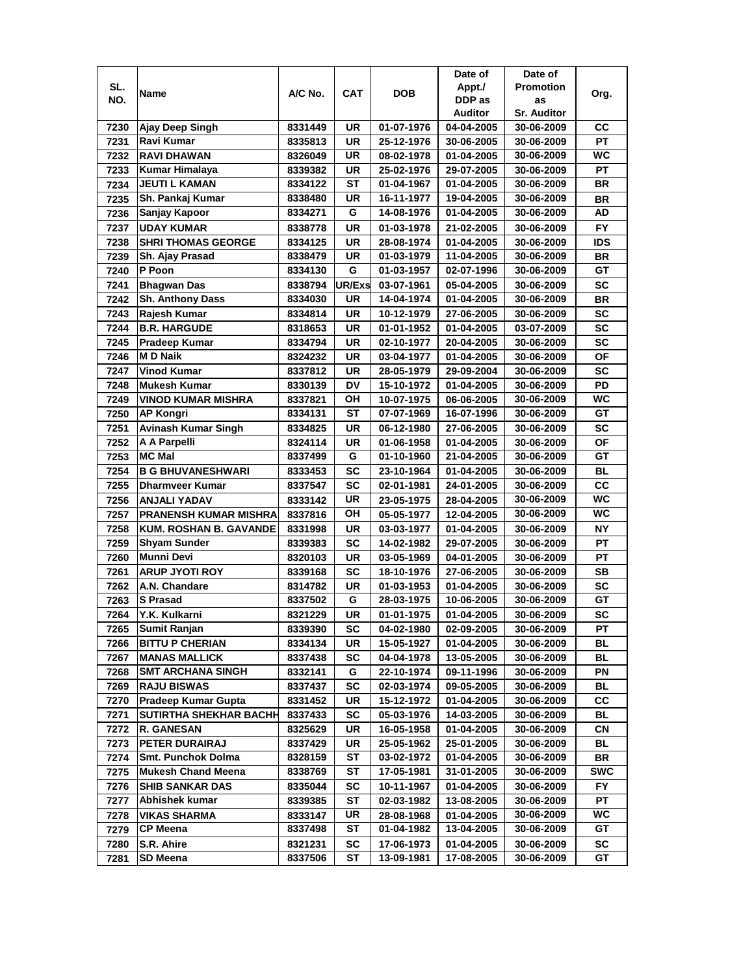|      |                               |                    |            |                          | Date of                  | Date of                  |            |
|------|-------------------------------|--------------------|------------|--------------------------|--------------------------|--------------------------|------------|
| SL.  | Name                          | A/C No.            | <b>CAT</b> | <b>DOB</b>               | Appt./                   | <b>Promotion</b>         | Org.       |
| NO.  |                               |                    |            |                          | DDP as                   | as                       |            |
|      |                               |                    |            |                          | Auditor                  | <b>Sr. Auditor</b>       |            |
| 7230 | Ajay Deep Singh               | 8331449            | UR         | 01-07-1976               | 04-04-2005               | 30-06-2009               | CС         |
| 7231 | Ravi Kumar                    | 8335813            | <b>UR</b>  | 25-12-1976               | 30-06-2005               | 30-06-2009               | PT         |
| 7232 | <b>RAVI DHAWAN</b>            | 8326049            | UR         | 08-02-1978               | 01-04-2005               | 30-06-2009               | <b>WC</b>  |
| 7233 | <b>Kumar Himalaya</b>         | 8339382            | UR         | 25-02-1976               | 29-07-2005               | 30-06-2009               | <b>PT</b>  |
| 7234 | <b>JEUTI L KAMAN</b>          | 8334122            | SТ         | 01-04-1967               | 01-04-2005               | 30-06-2009               | <b>BR</b>  |
| 7235 | Sh. Pankaj Kumar              | 8338480            | UR         | 16-11-1977               | 19-04-2005               | 30-06-2009               | <b>BR</b>  |
| 7236 | Sanjay Kapoor                 | 8334271            | G          | 14-08-1976               | 01-04-2005               | 30-06-2009               | AD         |
| 7237 | <b>UDAY KUMAR</b>             | 8338778            | <b>UR</b>  | 01-03-1978               | 21-02-2005               | 30-06-2009               | <b>FY</b>  |
| 7238 | <b>SHRI THOMAS GEORGE</b>     | 8334125            | UR         | 28-08-1974               | 01-04-2005               | 30-06-2009               | <b>IDS</b> |
| 7239 | Sh. Ajay Prasad               | 8338479            | <b>UR</b>  | 01-03-1979               | 11-04-2005               | 30-06-2009               | <b>BR</b>  |
| 7240 | P Poon                        | 8334130            | G          | 01-03-1957               | 02-07-1996               | 30-06-2009               | GT         |
| 7241 | <b>Bhagwan Das</b>            | 8338794            | UR/Exs     | 03-07-1961               | 05-04-2005               | 30-06-2009               | SC         |
| 7242 | <b>Sh. Anthony Dass</b>       | 8334030            | UR         | 14-04-1974               | 01-04-2005               | 30-06-2009               | <b>BR</b>  |
| 7243 | Rajesh Kumar                  | 8334814            | <b>UR</b>  | 10-12-1979               | 27-06-2005               | 30-06-2009               | <b>SC</b>  |
| 7244 | <b>B.R. HARGUDE</b>           | 8318653            | UR         | 01-01-1952               | 01-04-2005               | 03-07-2009               | SC         |
| 7245 | <b>Pradeep Kumar</b>          | 8334794            | UR         | 02-10-1977               | 20-04-2005               | 30-06-2009               | SC         |
| 7246 | <b>MD Naik</b>                | 8324232            | UR         | 03-04-1977               | 01-04-2005               | 30-06-2009               | ΟF         |
| 7247 | <b>Vinod Kumar</b>            | 8337812            | UR         | 28-05-1979               | 29-09-2004               | 30-06-2009               | <b>SC</b>  |
| 7248 | <b>Mukesh Kumar</b>           | 8330139            | DV         | 15-10-1972               | 01-04-2005               |                          | PD         |
|      | <b>VINOD KUMAR MISHRA</b>     |                    | ОH         |                          |                          | 30-06-2009<br>30-06-2009 | <b>WC</b>  |
| 7249 | <b>AP Kongri</b>              | 8337821<br>8334131 | <b>ST</b>  | 10-07-1975<br>07-07-1969 | 06-06-2005<br>16-07-1996 |                          | GT         |
| 7250 |                               |                    |            |                          |                          | 30-06-2009               |            |
| 7251 | <b>Avinash Kumar Singh</b>    | 8334825            | UR         | 06-12-1980               | 27-06-2005               | 30-06-2009               | <b>SC</b>  |
| 7252 | A A Parpelli                  | 8324114            | <b>UR</b>  | 01-06-1958               | 01-04-2005               | 30-06-2009               | <b>OF</b>  |
| 7253 | <b>MC Mal</b>                 | 8337499            | G          | 01-10-1960               | 21-04-2005               | 30-06-2009               | GТ         |
| 7254 | <b>B G BHUVANESHWARI</b>      | 8333453            | <b>SC</b>  | 23-10-1964               | 01-04-2005               | 30-06-2009               | BL         |
| 7255 | <b>Dharmveer Kumar</b>        | 8337547            | <b>SC</b>  | 02-01-1981               | 24-01-2005               | 30-06-2009               | cc         |
| 7256 | <b>ANJALI YADAV</b>           | 8333142            | UR         | 23-05-1975               | 28-04-2005               | 30-06-2009               | WC         |
| 7257 | <b>PRANENSH KUMAR MISHRA</b>  | 8337816            | OH         | 05-05-1977               | 12-04-2005               | 30-06-2009               | WC         |
| 7258 | <b>KUM. ROSHAN B. GAVANDE</b> | 8331998            | <b>UR</b>  | 03-03-1977               | 01-04-2005               | 30-06-2009               | <b>NY</b>  |
| 7259 | <b>Shyam Sunder</b>           | 8339383            | <b>SC</b>  | 14-02-1982               | 29-07-2005               | 30-06-2009               | <b>PT</b>  |
| 7260 | <b>Munni Devi</b>             | 8320103            | UR         | 03-05-1969               | 04-01-2005               | 30-06-2009               | PT         |
| 7261 | <b>ARUP JYOTI ROY</b>         | 8339168            | <b>SC</b>  | 18-10-1976               | 27-06-2005               | 30-06-2009               | SB         |
| 7262 | A.N. Chandare                 | 8314782            | UR         | 01-03-1953               | 01-04-2005               | 30-06-2009               | <b>SC</b>  |
| 7263 | <b>S</b> Prasad               | 8337502            | G          | 28-03-1975               | 10-06-2005               | 30-06-2009               | GТ         |
| 7264 | Y.K. Kulkarni                 | 8321229            | UR         | 01-01-1975               | 01-04-2005               | 30-06-2009               | <b>SC</b>  |
| 7265 | <b>Sumit Ranjan</b>           | 8339390            | SC         | 04-02-1980               | 02-09-2005               | 30-06-2009               | РT         |
| 7266 | <b>BITTU P CHERIAN</b>        | 8334134            | UR         | 15-05-1927               | 01-04-2005               | 30-06-2009               | BL         |
| 7267 | <b>MANAS MALLICK</b>          | 8337438            | <b>SC</b>  | 04-04-1978               | 13-05-2005               | 30-06-2009               | BL         |
| 7268 | <b>SMT ARCHANA SINGH</b>      | 8332141            | G          | 22-10-1974               | 09-11-1996               | 30-06-2009               | ΡN         |
| 7269 | <b>RAJU BISWAS</b>            | 8337437            | SC         | 02-03-1974               | 09-05-2005               | 30-06-2009               | BL         |
| 7270 | <b>Pradeep Kumar Gupta</b>    | 8331452            | UR         | 15-12-1972               | 01-04-2005               | 30-06-2009               | СC         |
| 7271 | <b>SUTIRTHA SHEKHAR BACHH</b> | 8337433            | <b>SC</b>  | 05-03-1976               | 14-03-2005               | 30-06-2009               | BL         |
| 7272 | <b>R. GANESAN</b>             | 8325629            | UR         | 16-05-1958               | 01-04-2005               | 30-06-2009               | CN         |
| 7273 | PETER DURAIRAJ                | 8337429            | UR         | 25-05-1962               | 25-01-2005               | 30-06-2009               | BL         |
| 7274 | Smt. Punchok Dolma            | 8328159            | ST         | 03-02-1972               | 01-04-2005               | 30-06-2009               | BR         |
| 7275 | <b>Mukesh Chand Meena</b>     | 8338769            | SТ         | 17-05-1981               | 31-01-2005               | 30-06-2009               | <b>SWC</b> |
| 7276 | <b>SHIB SANKAR DAS</b>        | 8335044            | SC         | 10-11-1967               | 01-04-2005               | 30-06-2009               | FY.        |
| 7277 | Abhishek kumar                | 8339385            | ST         | 02-03-1982               | 13-08-2005               | 30-06-2009               | PТ         |
| 7278 | <b>VIKAS SHARMA</b>           | 8333147            | UR         | 28-08-1968               | 01-04-2005               | 30-06-2009               | WC.        |
| 7279 | <b>CP Meena</b>               | 8337498            | SТ         | 01-04-1982               | 13-04-2005               | 30-06-2009               | GT         |
| 7280 | S.R. Ahire                    | 8321231            | SC         | 17-06-1973               | 01-04-2005               | 30-06-2009               | SC         |
| 7281 | SD Meena                      | 8337506            | ST         | 13-09-1981               | 17-08-2005               | 30-06-2009               | GT         |
|      |                               |                    |            |                          |                          |                          |            |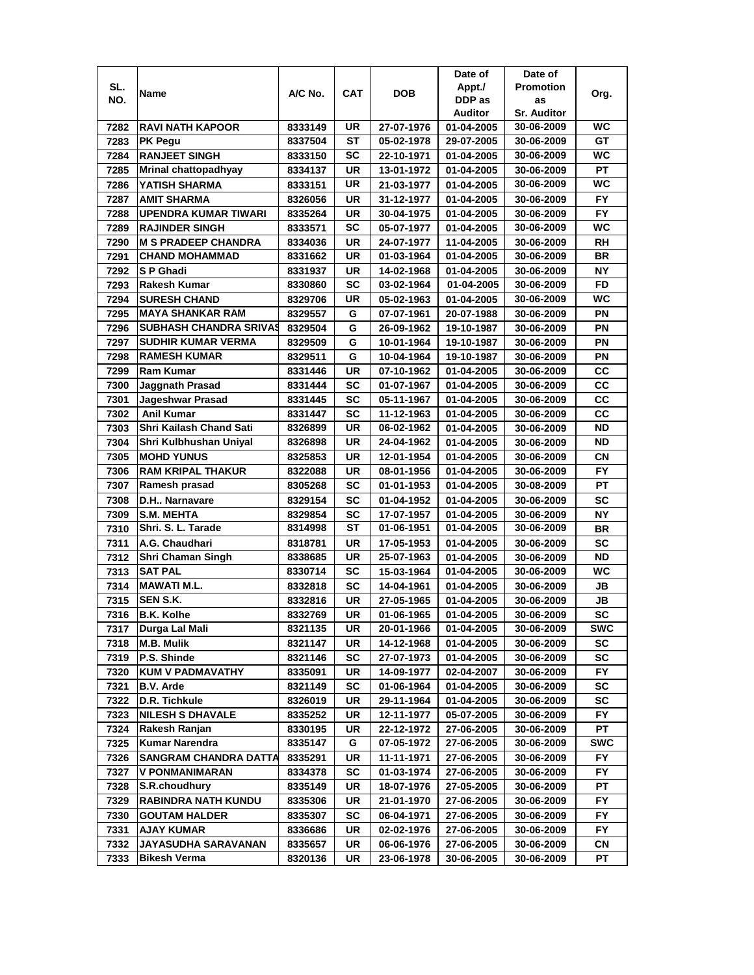|              |                                        |                    |            |                          | Date of                  | Date of                  |                  |
|--------------|----------------------------------------|--------------------|------------|--------------------------|--------------------------|--------------------------|------------------|
| SL.          |                                        | A/C No.            | <b>CAT</b> | <b>DOB</b>               | Appt./                   | <b>Promotion</b>         |                  |
| NO.          | Name                                   |                    |            |                          | DDP as                   | as                       | Org.             |
|              |                                        |                    |            |                          | Auditor                  | <b>Sr. Auditor</b>       |                  |
| 7282         | <b>RAVI NATH KAPOOR</b>                | 8333149            | UR         | 27-07-1976               | 01-04-2005               | 30-06-2009               | <b>WC</b>        |
| 7283         | <b>PK Pegu</b>                         | 8337504            | ST         | 05-02-1978               | 29-07-2005               | 30-06-2009               | GТ               |
| 7284         | <b>RANJEET SINGH</b>                   | 8333150            | <b>SC</b>  | 22-10-1971               | 01-04-2005               | 30-06-2009               | WC               |
| 7285         | <b>Mrinal chattopadhyay</b>            | 8334137            | UR         | 13-01-1972               | 01-04-2005               | 30-06-2009               | PT               |
| 7286         | YATISH SHARMA                          | 8333151            | <b>UR</b>  | 21-03-1977               | 01-04-2005               | 30-06-2009               | WC               |
| 7287         | <b>AMIT SHARMA</b>                     | 8326056            | UR         | 31-12-1977               | 01-04-2005               | 30-06-2009               | <b>FY</b>        |
| 7288         | <b>UPENDRA KUMAR TIWARI</b>            | 8335264            | <b>UR</b>  | 30-04-1975               | 01-04-2005               | 30-06-2009               | <b>FY</b>        |
| 7289         | <b>RAJINDER SINGH</b>                  | 8333571            | SC         | 05-07-1977               | 01-04-2005               | 30-06-2009               | WC               |
| 7290         | <b>M S PRADEEP CHANDRA</b>             | 8334036            | UR         | 24-07-1977               | 11-04-2005               | 30-06-2009               | <b>RH</b>        |
| 7291         | <b>CHAND MOHAMMAD</b>                  | 8331662            | <b>UR</b>  | 01-03-1964               | 01-04-2005               | 30-06-2009               | <b>BR</b>        |
| 7292         | SP Ghadi                               | 8331937            | <b>UR</b>  | 14-02-1968               | 01-04-2005               | 30-06-2009               | <b>NY</b>        |
| 7293         | <b>Rakesh Kumar</b>                    | 8330860            | SC         | 03-02-1964               | 01-04-2005               | 30-06-2009               | FD               |
| 7294         | <b>SURESH CHAND</b>                    | 8329706            | UR         | 05-02-1963               | 01-04-2005               | 30-06-2009               | WC               |
| 7295         | <b>MAYA SHANKAR RAM</b>                | 8329557            | G          | 07-07-1961               | 20-07-1988               | 30-06-2009               | PN               |
| 7296         | <b>SUBHASH CHANDRA SRIVAS</b>          | 8329504            | G          | 26-09-1962               | 19-10-1987               | 30-06-2009               | <b>PN</b>        |
| 7297         | <b>SUDHIR KUMAR VERMA</b>              | 8329509            | G          | 10-01-1964               | 19-10-1987               | 30-06-2009               | PN               |
| 7298         | <b>RAMESH KUMAR</b>                    | 8329511            | G          | 10-04-1964               | 19-10-1987               | 30-06-2009               | PN               |
| 7299         | <b>Ram Kumar</b>                       | 8331446            | UR         | 07-10-1962               | 01-04-2005               | 30-06-2009               | CС               |
| 7300         | Jaggnath Prasad                        |                    | SC         | 01-07-1967               |                          |                          | CС               |
| 7301         | <b>Jageshwar Prasad</b>                | 8331444            | SC         |                          | 01-04-2005               | 30-06-2009               | CC               |
| 7302         | <b>Anil Kumar</b>                      | 8331445            | <b>SC</b>  | 05-11-1967               | 01-04-2005               | 30-06-2009               | CC               |
|              | Shri Kailash Chand Sati                | 8331447<br>8326899 | <b>UR</b>  | 11-12-1963<br>06-02-1962 | 01-04-2005               | 30-06-2009               | <b>ND</b>        |
| 7303<br>7304 | Shri Kulbhushan Uniyal                 | 8326898            | <b>UR</b>  | 24-04-1962               | 01-04-2005               | 30-06-2009               | <b>ND</b>        |
| 7305         | <b>MOHD YUNUS</b>                      |                    | <b>UR</b>  |                          | 01-04-2005               | 30-06-2009               | CN               |
| 7306         |                                        | 8325853            | <b>UR</b>  | 12-01-1954               | 01-04-2005               | 30-06-2009               | <b>FY</b>        |
|              | <b>RAM KRIPAL THAKUR</b>               | 8322088            | <b>SC</b>  | 08-01-1956               | 01-04-2005               | 30-06-2009               | PT               |
| 7307<br>7308 | Ramesh prasad<br>D.H., Narnavare       | 8305268<br>8329154 | <b>SC</b>  | 01-01-1953<br>01-04-1952 | 01-04-2005<br>01-04-2005 | 30-08-2009<br>30-06-2009 | <b>SC</b>        |
| 7309         | <b>S.M. MEHTA</b>                      | 8329854            | <b>SC</b>  | 17-07-1957               | 01-04-2005               | 30-06-2009               | <b>NY</b>        |
| 7310         | Shri. S. L. Tarade                     | 8314998            | <b>ST</b>  | 01-06-1951               | 01-04-2005               | 30-06-2009               | <b>BR</b>        |
| 7311         | A.G. Chaudhari                         | 8318781            | <b>UR</b>  | 17-05-1953               | 01-04-2005               | 30-06-2009               | <b>SC</b>        |
| 7312         | <b>Shri Chaman Singh</b>               | 8338685            | <b>UR</b>  | 25-07-1963               | 01-04-2005               |                          | <b>ND</b>        |
| 7313         | <b>SAT PAL</b>                         |                    | <b>SC</b>  |                          |                          | 30-06-2009               | WC               |
|              |                                        | 8330714            |            | 15-03-1964               | 01-04-2005               | 30-06-2009               |                  |
| 7314         | MAWATI M.L.                            | 8332818            | SC         | 14-04-1961               | 01-04-2005               | 30-06-2009               | JB               |
| 7315         | SEN S.K.                               | 8332816            | UR         | 27-05-1965               | 01-04-2005               | 30-06-2009               | JВ               |
| 7316         | <b>B.K. Kolhe</b>                      | 8332769            | UR<br>UR   | 01-06-1965               | 01-04-2005<br>01-04-2005 | 30-06-2009               | SC<br><b>SWC</b> |
| 7317         | Durga Lal Mali                         | 8321135            |            | 20-01-1966               |                          | 30-06-2009               |                  |
| 7318         | M.B. Mulik                             | 8321147<br>8321146 | UR         | 14-12-1968               | 01-04-2005               | 30-06-2009               | SC               |
| 7319         | P.S. Shinde<br><b>KUM V PADMAVATHY</b> |                    | SC         | 27-07-1973               | 01-04-2005               | 30-06-2009               | SC<br><b>FY</b>  |
| 7320         |                                        | 8335091            | UR         | 14-09-1977               | 02-04-2007               | 30-06-2009               |                  |
| 7321         | B.V. Arde                              | 8321149            | SC         | 01-06-1964               | 01-04-2005               | 30-06-2009               | SC               |
| 7322         | D.R. Tichkule                          | 8326019            | UR         | 29-11-1964               | 01-04-2005               | 30-06-2009               | SC               |
| 7323         | <b>NILESH S DHAVALE</b>                | 8335252            | UR         | 12-11-1977               | 05-07-2005               | 30-06-2009               | <b>FY</b>        |
| 7324         | Rakesh Ranjan                          | 8330195            | UR         | 22-12-1972               | 27-06-2005               | 30-06-2009               | РT               |
| 7325         | <b>Kumar Narendra</b>                  | 8335147            | G          | 07-05-1972               | 27-06-2005               | 30-06-2009               | <b>SWC</b>       |
| 7326         | <b>SANGRAM CHANDRA DATTA</b>           | 8335291            | UR         | 11-11-1971               | 27-06-2005               | 30-06-2009               | FY               |
| 7327         | V PONMANIMARAN                         | 8334378            | SC         | 01-03-1974               | 27-06-2005               | 30-06-2009               | FY               |
| 7328         | S.R.choudhury                          | 8335149            | UR         | 18-07-1976               | 27-05-2005               | 30-06-2009               | PT               |
| 7329         | <b>RABINDRA NATH KUNDU</b>             | 8335306            | UR         | 21-01-1970               | 27-06-2005               | 30-06-2009               | FY               |
| 7330         | <b>GOUTAM HALDER</b>                   | 8335307            | SC         | 06-04-1971               | 27-06-2005               | 30-06-2009               | FY.              |
| 7331         | AJAY KUMAR                             | 8336686            | UR         | 02-02-1976               | 27-06-2005               | 30-06-2009               | FY.              |
| 7332         | JAYASUDHA SARAVANAN                    | 8335657            | UR         | 06-06-1976               | 27-06-2005               | 30-06-2009               | СN               |
| 7333         | Bikesh Verma                           | 8320136            | UR         | 23-06-1978               | 30-06-2005               | 30-06-2009               | РT               |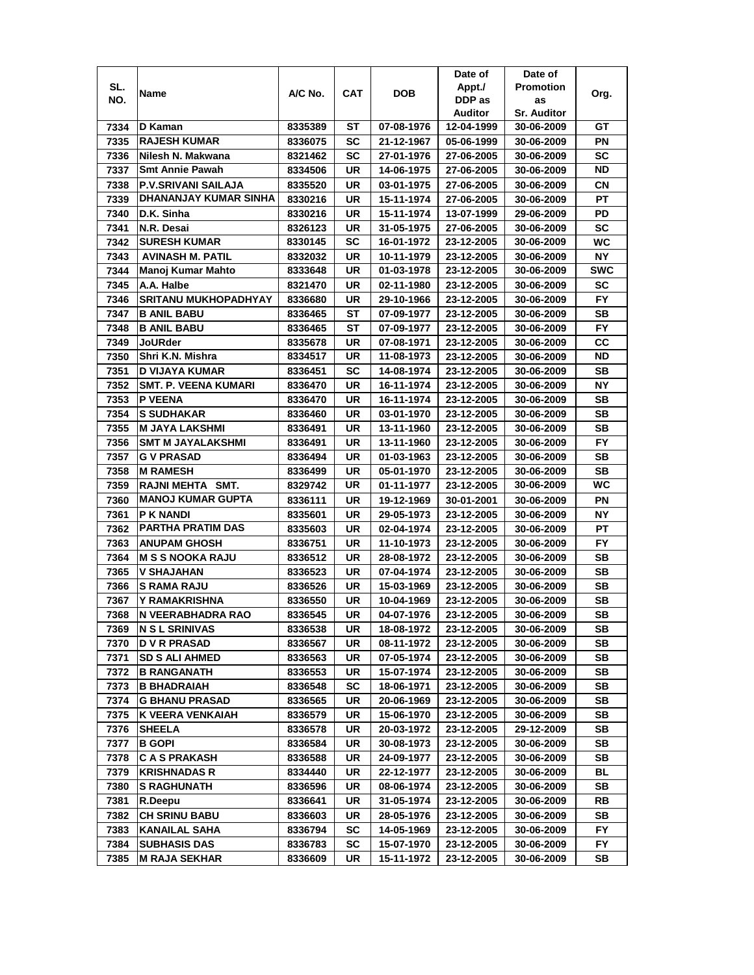|      |                             |         |     |            | Date of    | Date of            |            |
|------|-----------------------------|---------|-----|------------|------------|--------------------|------------|
| SL.  | Name                        | A/C No. | CAT | DOB        | Appt./     | <b>Promotion</b>   | Org.       |
| NO.  |                             |         |     |            | DDP as     | as                 |            |
|      |                             |         |     |            | Auditor    | <b>Sr. Auditor</b> |            |
| 7334 | D Kaman                     | 8335389 | ST  | 07-08-1976 | 12-04-1999 | 30-06-2009         | GТ         |
| 7335 | <b>RAJESH KUMAR</b>         | 8336075 | SC  | 21-12-1967 | 05-06-1999 | 30-06-2009         | PN         |
| 7336 | Nilesh N. Makwana           | 8321462 | SC  | 27-01-1976 | 27-06-2005 | 30-06-2009         | SC         |
| 7337 | <b>Smt Annie Pawah</b>      | 8334506 | UR  | 14-06-1975 | 27-06-2005 | 30-06-2009         | <b>ND</b>  |
| 7338 | P.V.SRIVANI SAILAJA         | 8335520 | UR  | 03-01-1975 | 27-06-2005 | 30-06-2009         | СN         |
| 7339 | DHANANJAY KUMAR SINHA       | 8330216 | UR  | 15-11-1974 | 27-06-2005 | 30-06-2009         | PT         |
| 7340 | D.K. Sinha                  | 8330216 | UR  | 15-11-1974 | 13-07-1999 | 29-06-2009         | PD         |
| 7341 | N.R. Desai                  | 8326123 | UR  | 31-05-1975 | 27-06-2005 | 30-06-2009         | SC         |
| 7342 | <b>SURESH KUMAR</b>         | 8330145 | SC  | 16-01-1972 | 23-12-2005 | 30-06-2009         | WC         |
| 7343 | AVINASH M. PATIL            | 8332032 | UR  | 10-11-1979 | 23-12-2005 | 30-06-2009         | NΥ         |
| 7344 | Manoj Kumar Mahto           | 8333648 | UR  | 01-03-1978 | 23-12-2005 | 30-06-2009         | <b>SWC</b> |
| 7345 | A.A. Halbe                  | 8321470 | UR  | 02-11-1980 | 23-12-2005 | 30-06-2009         | SC         |
| 7346 | <b>SRITANU MUKHOPADHYAY</b> | 8336680 | UR  | 29-10-1966 | 23-12-2005 | 30-06-2009         | <b>FY</b>  |
| 7347 | <b>B ANIL BABU</b>          | 8336465 | ST  | 07-09-1977 | 23-12-2005 | 30-06-2009         | SB         |
| 7348 | <b>B ANIL BABU</b>          | 8336465 | ST  | 07-09-1977 | 23-12-2005 | 30-06-2009         | FY.        |
| 7349 | <b>JoURder</b>              | 8335678 | UR  | 07-08-1971 | 23-12-2005 | 30-06-2009         | CC         |
| 7350 | Shri K.N. Mishra            | 8334517 | UR  | 11-08-1973 | 23-12-2005 | 30-06-2009         | ND         |
| 7351 | D VIJAYA KUMAR              | 8336451 | SC  | 14-08-1974 | 23-12-2005 | 30-06-2009         | SB         |
| 7352 | <b>SMT. P. VEENA KUMARI</b> | 8336470 | UR  | 16-11-1974 | 23-12-2005 | 30-06-2009         | <b>NY</b>  |
| 7353 | P VEENA                     | 8336470 | UR  | 16-11-1974 | 23-12-2005 | 30-06-2009         | SB         |
| 7354 | <b>S SUDHAKAR</b>           | 8336460 | UR  | 03-01-1970 | 23-12-2005 | 30-06-2009         | <b>SB</b>  |
| 7355 | M JAYA LAKSHMI              | 8336491 | UR  | 13-11-1960 | 23-12-2005 | 30-06-2009         | SВ         |
| 7356 | <b>SMT M JAYALAKSHMI</b>    | 8336491 | UR  | 13-11-1960 | 23-12-2005 | 30-06-2009         | FY         |
| 7357 | <b>G V PRASAD</b>           | 8336494 | UR  | 01-03-1963 | 23-12-2005 | 30-06-2009         | SB         |
| 7358 | <b>M RAMESH</b>             | 8336499 | UR  | 05-01-1970 | 23-12-2005 | 30-06-2009         | SВ         |
| 7359 | RAJNI MEHTA SMT.            | 8329742 | UR  | 01-11-1977 | 23-12-2005 | 30-06-2009         | WC         |
| 7360 | <b>MANOJ KUMAR GUPTA</b>    | 8336111 | UR  | 19-12-1969 | 30-01-2001 | 30-06-2009         | PN         |
| 7361 | P K NANDI                   | 8335601 | UR  | 29-05-1973 | 23-12-2005 | 30-06-2009         | <b>NY</b>  |
| 7362 | <b>PARTHA PRATIM DAS</b>    | 8335603 | UR  | 02-04-1974 | 23-12-2005 | 30-06-2009         | PT         |
| 7363 | <b>ANUPAM GHOSH</b>         | 8336751 | UR  | 11-10-1973 | 23-12-2005 | 30-06-2009         | FY         |
| 7364 | <b>M S S NOOKA RAJU</b>     | 8336512 | UR  | 28-08-1972 | 23-12-2005 | 30-06-2009         | SВ         |
| 7365 | V SHAJAHAN                  | 8336523 | UR  | 07-04-1974 | 23-12-2005 | 30-06-2009         | SB         |
| 7366 | S RAMA RAJU                 | 8336526 | UR  | 15-03-1969 | 23-12-2005 | 30-06-2009         | SВ         |
| 7367 | Y RAMAKRISHNA               | 8336550 | UR  | 10-04-1969 | 23-12-2005 | 30-06-2009         | SВ         |
| 7368 | N VEERABHADRA RAO           | 8336545 | UR  | 04-07-1976 | 23-12-2005 | 30-06-2009         | SВ         |
| 7369 | <b>N S L SRINIVAS</b>       | 8336538 | UR  | 18-08-1972 | 23-12-2005 | 30-06-2009         | SВ         |
| 7370 | <b>D V R PRASAD</b>         | 8336567 | UR  | 08-11-1972 | 23-12-2005 | 30-06-2009         | SВ         |
| 7371 | <b>SD S ALI AHMED</b>       | 8336563 | UR  | 07-05-1974 | 23-12-2005 | 30-06-2009         | SВ         |
| 7372 | <b>B RANGANATH</b>          | 8336553 | UR  | 15-07-1974 | 23-12-2005 | 30-06-2009         | SB         |
| 7373 | <b>B BHADRAIAH</b>          | 8336548 | SC  | 18-06-1971 | 23-12-2005 | 30-06-2009         | SB         |
| 7374 | <b>G BHANU PRASAD</b>       | 8336565 | UR  | 20-06-1969 | 23-12-2005 | 30-06-2009         | SВ         |
| 7375 | K VEERA VENKAIAH            | 8336579 | UR  | 15-06-1970 | 23-12-2005 | 30-06-2009         | SB         |
| 7376 | <b>SHEELA</b>               | 8336578 | UR  | 20-03-1972 | 23-12-2005 | 29-12-2009         | SB         |
| 7377 | <b>B GOPI</b>               | 8336584 | UR  | 30-08-1973 | 23-12-2005 | 30-06-2009         | SB         |
| 7378 | <b>CAS PRAKASH</b>          | 8336588 | UR  | 24-09-1977 | 23-12-2005 | 30-06-2009         | SB         |
| 7379 | <b>KRISHNADAS R</b>         | 8334440 | UR  | 22-12-1977 | 23-12-2005 | 30-06-2009         | BL         |
| 7380 | <b>S RAGHUNATH</b>          | 8336596 | UR  | 08-06-1974 | 23-12-2005 | 30-06-2009         | SB         |
| 7381 | R.Deepu                     | 8336641 | UR  | 31-05-1974 | 23-12-2005 | 30-06-2009         | RB         |
| 7382 | <b>CH SRINU BABU</b>        | 8336603 | UR  | 28-05-1976 | 23-12-2005 | 30-06-2009         | SВ         |
| 7383 | KANAILAL SAHA               | 8336794 | SC  | 14-05-1969 | 23-12-2005 | 30-06-2009         | FY         |
| 7384 | <b>SUBHASIS DAS</b>         | 8336783 | SC  | 15-07-1970 | 23-12-2005 | 30-06-2009         | FΥ         |
| 7385 | <b>M RAJA SEKHAR</b>        | 8336609 | UR  | 15-11-1972 | 23-12-2005 | 30-06-2009         | SB         |
|      |                             |         |     |            |            |                    |            |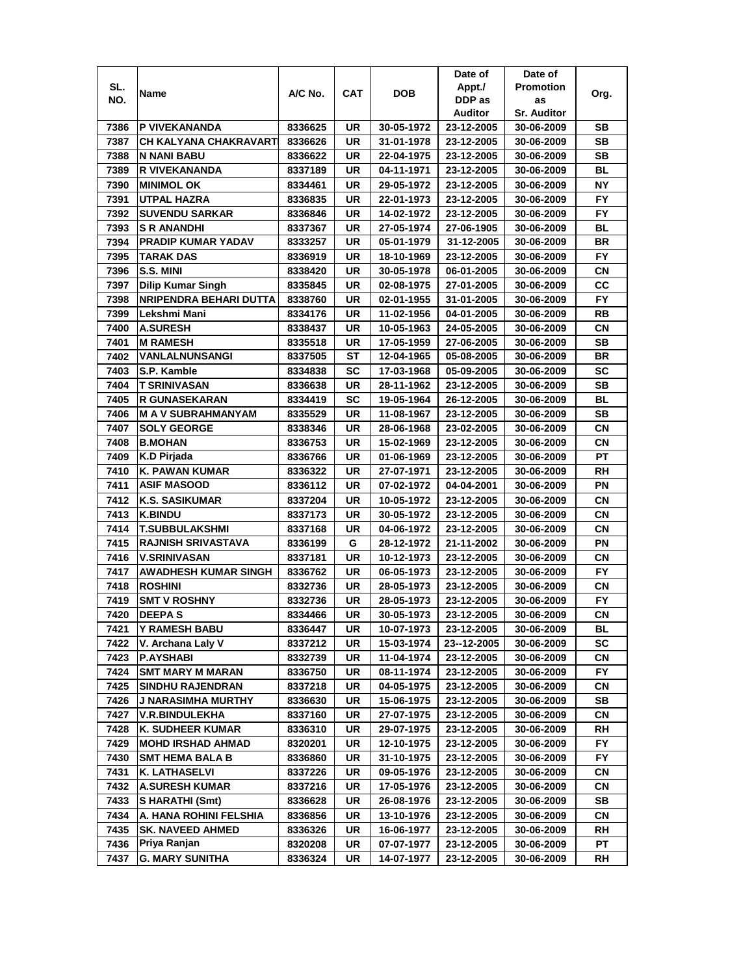|      |                               |                    |          |                          | Date of                  | Date of                  |                  |
|------|-------------------------------|--------------------|----------|--------------------------|--------------------------|--------------------------|------------------|
| SL.  |                               | A/C No.            | CAT      | <b>DOB</b>               | Appt./                   | <b>Promotion</b>         |                  |
| NO.  | Name                          |                    |          |                          | DDP as                   | as                       | Org.             |
|      |                               |                    |          |                          | Auditor                  | <b>Sr. Auditor</b>       |                  |
| 7386 | P VIVEKANANDA                 | 8336625            | UR       | 30-05-1972               | 23-12-2005               | 30-06-2009               | SВ               |
| 7387 | CH KALYANA CHAKRAVARTI        | 8336626            | UR       | 31-01-1978               | 23-12-2005               | 30-06-2009               | SB               |
| 7388 | N NANI BABU                   | 8336622            | UR       | 22-04-1975               | 23-12-2005               | 30-06-2009               | <b>SB</b>        |
| 7389 | R VIVEKANANDA                 | 8337189            | UR       | 04-11-1971               | 23-12-2005               | 30-06-2009               | BL               |
| 7390 | <b>MINIMOL OK</b>             | 8334461            | UR       | 29-05-1972               | 23-12-2005               | 30-06-2009               | <b>NY</b>        |
| 7391 | <b>UTPAL HAZRA</b>            | 8336835            | UR       | 22-01-1973               | 23-12-2005               | 30-06-2009               | FY               |
| 7392 | <b>SUVENDU SARKAR</b>         | 8336846            | UR       | 14-02-1972               | 23-12-2005               | 30-06-2009               | <b>FY</b>        |
| 7393 | <b>S R ANANDHI</b>            | 8337367            | UR       | 27-05-1974               | 27-06-1905               | 30-06-2009               | BL               |
| 7394 | <b>PRADIP KUMAR YADAV</b>     | 8333257            | UR       | 05-01-1979               | 31-12-2005               | 30-06-2009               | <b>BR</b>        |
| 7395 | TARAK DAS                     | 8336919            | UR       | 18-10-1969               | 23-12-2005               | 30-06-2009               | FY.              |
| 7396 | S.S. MINI                     | 8338420            | UR       | 30-05-1978               | 06-01-2005               | 30-06-2009               | <b>CN</b>        |
| 7397 | <b>Dilip Kumar Singh</b>      | 8335845            | UR       | 02-08-1975               | 27-01-2005               | 30-06-2009               | CC               |
| 7398 | <b>NRIPENDRA BEHARI DUTTA</b> | 8338760            | UR       | 02-01-1955               | 31-01-2005               | 30-06-2009               | <b>FY</b>        |
| 7399 | Lekshmi Mani                  | 8334176            | UR       | 11-02-1956               | 04-01-2005               | 30-06-2009               | RB               |
| 7400 | <b>A.SURESH</b>               | 8338437            | UR       | 10-05-1963               | 24-05-2005               | 30-06-2009               | <b>CN</b>        |
| 7401 | <b>M RAMESH</b>               | 8335518            | UR       | 17-05-1959               | 27-06-2005               | 30-06-2009               | SB               |
| 7402 | VANLALNUNSANGI                | 8337505            | ST       | 12-04-1965               | 05-08-2005               | 30-06-2009               | <b>BR</b>        |
| 7403 | S.P. Kamble                   | 8334838            | SC       | 17-03-1968               | 05-09-2005               | 30-06-2009               | SC               |
| 7404 | T SRINIVASAN                  | 8336638            | UR       | 28-11-1962               | 23-12-2005               | 30-06-2009               | SВ               |
| 7405 | <b>R GUNASEKARAN</b>          | 8334419            | SC       | 19-05-1964               | 26-12-2005               | 30-06-2009               | BL               |
| 7406 | <b>MAY SUBRAHMANYAM</b>       | 8335529            | UR       | 11-08-1967               | 23-12-2005               | 30-06-2009               | <b>SB</b>        |
| 7407 | <b>SOLY GEORGE</b>            | 8338346            | UR       | 28-06-1968               | 23-02-2005               | 30-06-2009               | <b>CN</b>        |
| 7408 | <b>B.MOHAN</b>                | 8336753            | UR       | 15-02-1969               | 23-12-2005               | 30-06-2009               | СN               |
| 7409 | K.D Pirjada                   | 8336766            | UR       | 01-06-1969               | 23-12-2005               | 30-06-2009               | <b>PT</b>        |
| 7410 | <b>K. PAWAN KUMAR</b>         | 8336322            | UR       | 27-07-1971               | 23-12-2005               | 30-06-2009               | RH               |
| 7411 | <b>ASIF MASOOD</b>            | 8336112            | UR       | 07-02-1972               | 04-04-2001               | 30-06-2009               | ΡN               |
| 7412 | <b>K.S. SASIKUMAR</b>         | 8337204            | UR       | 10-05-1972               | 23-12-2005               | 30-06-2009               | CN               |
| 7413 | <b>K.BINDU</b>                | 8337173            | UR       | 30-05-1972               | 23-12-2005               | 30-06-2009               | <b>CN</b>        |
| 7414 | <b>T.SUBBULAKSHMI</b>         | 8337168            | UR       | 04-06-1972               | 23-12-2005               | 30-06-2009               | <b>CN</b>        |
| 7415 | <b>RAJNISH SRIVASTAVA</b>     | 8336199            | G        | 28-12-1972               | 21-11-2002               | 30-06-2009               | PN               |
| 7416 | <b>V.SRINIVASAN</b>           | 8337181            | UR       | 10-12-1973               | 23-12-2005               | 30-06-2009               | СN               |
| 7417 | <b>AWADHESH KUMAR SINGH</b>   | 8336762            | UR       | 06-05-1973               | 23-12-2005               | 30-06-2009               | <b>FY</b>        |
| 7418 | <b>ROSHINI</b>                | 8332736            | UR       | 28-05-1973               | 23-12-2005               | 30-06-2009               | СN               |
| 7419 | <b>SMT V ROSHNY</b>           | 8332736            | UR       | 28-05-1973               | 23-12-2005               | 30-06-2009               | <b>FY</b>        |
| 7420 | <b>DEEPAS</b>                 | 8334466            | UR       | 30-05-1973               | 23-12-2005               | 30-06-2009               | CN               |
| 7421 | Y RAMESH BABU                 | 8336447            | UR       | 10-07-1973               | 23-12-2005               | 30-06-2009               | BL               |
| 7422 | V. Archana Laly V             | 8337212            | UR       | 15-03-1974               | 23--12-2005              | 30-06-2009               | SC               |
| 7423 | <b>P.AYSHABI</b>              | 8332739            | UR       | 11-04-1974               | 23-12-2005               | 30-06-2009               | CN               |
| 7424 | <b>SMT MARY M MARAN</b>       | 8336750            | UR       | 08-11-1974               | 23-12-2005               | 30-06-2009               | FY.              |
| 7425 | <b>SINDHU RAJENDRAN</b>       | 8337218            | UR       | 04-05-1975               | 23-12-2005               | 30-06-2009               | CN               |
| 7426 | J NARASIMHA MURTHY            | 8336630            | UR       | 15-06-1975               | 23-12-2005               | 30-06-2009               | SB               |
| 7427 | <b>V.R.BINDULEKHA</b>         |                    | UR       |                          |                          |                          | CN               |
| 7428 | K. SUDHEER KUMAR              | 8337160<br>8336310 | UR       | 27-07-1975<br>29-07-1975 | 23-12-2005<br>23-12-2005 | 30-06-2009<br>30-06-2009 | RH               |
|      |                               |                    |          |                          |                          |                          |                  |
| 7429 | <b>MOHD IRSHAD AHMAD</b>      | 8320201            | UR<br>UR | 12-10-1975               | 23-12-2005               | 30-06-2009               | FY.<br><b>FY</b> |
| 7430 | <b>SMT HEMA BALA B</b>        | 8336860            |          | 31-10-1975               | 23-12-2005               | 30-06-2009               |                  |
| 7431 | <b>K. LATHASELVI</b>          | 8337226            | UR       | 09-05-1976               | 23-12-2005               | 30-06-2009               | СN               |
| 7432 | <b>A.SURESH KUMAR</b>         | 8337216            | UR       | 17-05-1976               | 23-12-2005               | 30-06-2009               | CN               |
| 7433 | S HARATHI (Smt)               | 8336628            | UR       | 26-08-1976               | 23-12-2005               | 30-06-2009               | SB               |
| 7434 | A. HANA ROHINI FELSHIA        | 8336856            | UR       | 13-10-1976               | 23-12-2005               | 30-06-2009               | CN               |
| 7435 | <b>SK. NAVEED AHMED</b>       | 8336326            | UR       | 16-06-1977               | 23-12-2005               | 30-06-2009               | RH               |
| 7436 | Priya Ranjan                  | 8320208            | UR       | 07-07-1977               | 23-12-2005               | 30-06-2009               | РT               |
| 7437 | G. MARY SUNITHA               | 8336324            | UR       | 14-07-1977               | 23-12-2005               | 30-06-2009               | RH               |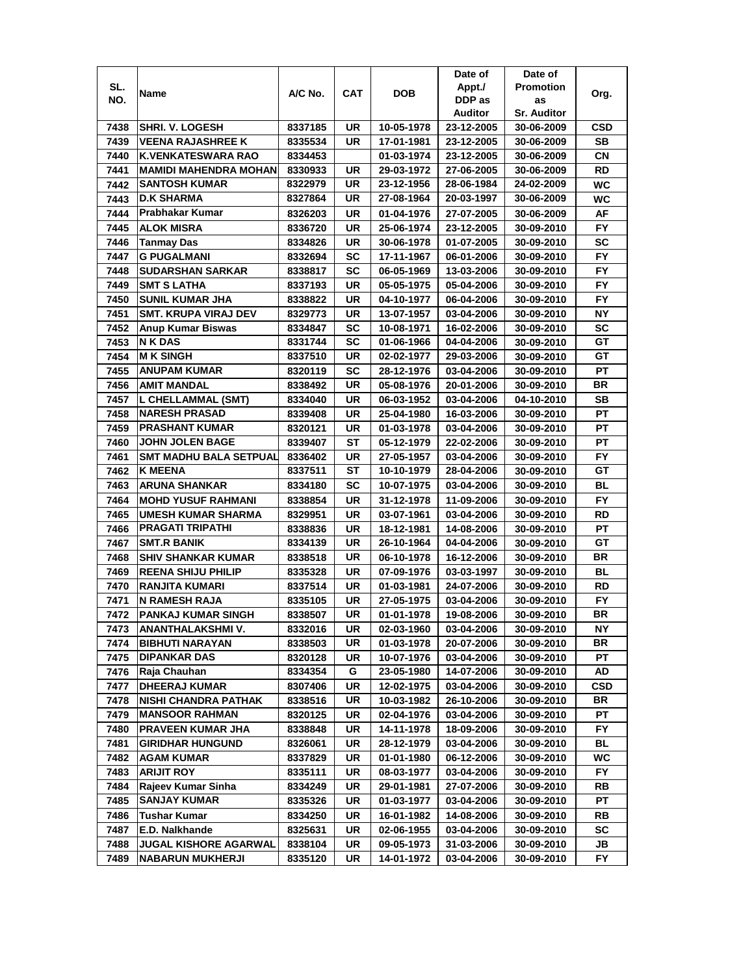|      |                               |                    |            |            | Date of    | Date of            |                 |
|------|-------------------------------|--------------------|------------|------------|------------|--------------------|-----------------|
| SL.  | Name                          | A/C No.            | <b>CAT</b> | DOB        | Appt./     | <b>Promotion</b>   | Org.            |
| NO.  |                               |                    |            |            | DDP as     | as                 |                 |
|      |                               |                    |            |            | Auditor    | <b>Sr. Auditor</b> |                 |
| 7438 | <b>SHRI. V. LOGESH</b>        | 8337185            | UR         | 10-05-1978 | 23-12-2005 | 30-06-2009         | CSD             |
| 7439 | <b>VEENA RAJASHREE K</b>      | 8335534            | UR         | 17-01-1981 | 23-12-2005 | 30-06-2009         | <b>SB</b>       |
| 7440 | <b>K.VENKATESWARA RAO</b>     | 8334453            |            | 01-03-1974 | 23-12-2005 | 30-06-2009         | СN              |
| 7441 | <b>MAMIDI MAHENDRA MOHAN</b>  | 8330933            | UR         | 29-03-1972 | 27-06-2005 | 30-06-2009         | <b>RD</b>       |
| 7442 | <b>SANTOSH KUMAR</b>          | 8322979            | UR         | 23-12-1956 | 28-06-1984 | 24-02-2009         | WC              |
| 7443 | <b>D.K SHARMA</b>             | 8327864            | UR         | 27-08-1964 | 20-03-1997 | 30-06-2009         | WC              |
| 7444 | Prabhakar Kumar               | 8326203            | UR         | 01-04-1976 | 27-07-2005 | 30-06-2009         | AF              |
| 7445 | <b>ALOK MISRA</b>             | 8336720            | UR         | 25-06-1974 | 23-12-2005 | 30-09-2010         | FY.             |
| 7446 | Tanmay Das                    | 8334826            | UR         | 30-06-1978 | 01-07-2005 | 30-09-2010         | SC              |
| 7447 | <b>G PUGALMANI</b>            | 8332694            | SC         | 17-11-1967 | 06-01-2006 | 30-09-2010         | <b>FY</b>       |
| 7448 | <b>SUDARSHAN SARKAR</b>       | 8338817            | SC         | 06-05-1969 | 13-03-2006 | 30-09-2010         | <b>FY</b>       |
| 7449 | <b>SMT S LATHA</b>            | 8337193            | UR         | 05-05-1975 | 05-04-2006 | 30-09-2010         | <b>FY</b>       |
| 7450 | <b>SUNIL KUMAR JHA</b>        | 8338822            | UR         | 04-10-1977 | 06-04-2006 | 30-09-2010         | FY              |
| 7451 | <b>SMT. KRUPA VIRAJ DEV</b>   | 8329773            | UR         | 13-07-1957 | 03-04-2006 | 30-09-2010         | NΥ              |
| 7452 | Anup Kumar Biswas             | 8334847            | SC         | 10-08-1971 | 16-02-2006 | 30-09-2010         | SC              |
| 7453 | N K DAS                       | 8331744            | SC         | 01-06-1966 | 04-04-2006 | 30-09-2010         | GT              |
| 7454 | <b>M K SINGH</b>              | 8337510            | UR         | 02-02-1977 | 29-03-2006 | 30-09-2010         | GT              |
| 7455 | <b>ANUPAM KUMAR</b>           | 8320119            | SC         | 28-12-1976 | 03-04-2006 | 30-09-2010         | PT              |
| 7456 | <b>AMIT MANDAL</b>            | 8338492            | UR         | 05-08-1976 | 20-01-2006 | 30-09-2010         | BR              |
| 7457 | L CHELLAMMAL (SMT)            | 8334040            | UR         | 06-03-1952 | 03-04-2006 | 04-10-2010         | SВ              |
| 7458 | <b>NARESH PRASAD</b>          | 8339408            | UR         | 25-04-1980 | 16-03-2006 | 30-09-2010         | PT              |
| 7459 | <b>PRASHANT KUMAR</b>         | 8320121            | UR         | 01-03-1978 | 03-04-2006 | 30-09-2010         | PT              |
| 7460 | <b>JOHN JOLEN BAGE</b>        | 8339407            | ST         | 05-12-1979 | 22-02-2006 | 30-09-2010         | PT              |
| 7461 | <b>SMT MADHU BALA SETPUAL</b> | 8336402            | UR         | 27-05-1957 | 03-04-2006 | 30-09-2010         | FY.             |
| 7462 | <b>K MEENA</b>                | 8337511            | ST         | 10-10-1979 | 28-04-2006 | 30-09-2010         | GT              |
| 7463 | <b>ARUNA SHANKAR</b>          | 8334180            | SC         | 10-07-1975 | 03-04-2006 | 30-09-2010         | BL              |
| 7464 | <b>MOHD YUSUF RAHMANI</b>     | 8338854            | UR         | 31-12-1978 | 11-09-2006 | 30-09-2010         | <b>FY</b>       |
| 7465 | <b>UMESH KUMAR SHARMA</b>     | 8329951            | UR         | 03-07-1961 | 03-04-2006 | 30-09-2010         | <b>RD</b>       |
| 7466 | <b>PRAGATI TRIPATHI</b>       | 8338836            | UR         | 18-12-1981 | 14-08-2006 | 30-09-2010         | PT              |
| 7467 | <b>SMT.R BANIK</b>            | 8334139            | UR         | 26-10-1964 | 04-04-2006 | 30-09-2010         | GТ              |
| 7468 | <b>SHIV SHANKAR KUMAR</b>     | 8338518            | UR         | 06-10-1978 | 16-12-2006 | 30-09-2010         | BR              |
| 7469 | <b>REENA SHIJU PHILIP</b>     | 8335328            | UR         | 07-09-1976 | 03-03-1997 | 30-09-2010         | BL              |
| 7470 | RANJITA KUMARI                | 8337514            | UR         | 01-03-1981 | 24-07-2006 | 30-09-2010         | RD              |
| 7471 | N RAMESH RAJA                 | 8335105            | UR         | 27-05-1975 | 03-04-2006 | 30-09-2010         | FY.             |
| 7472 | <b>PANKAJ KUMAR SINGH</b>     |                    | <b>UR</b>  | 01-01-1978 | 19-08-2006 | 30-09-2010         | <b>BR</b>       |
| 7473 | ANANTHALAKSHMI V.             | 8338507<br>8332016 | UR         | 02-03-1960 | 03-04-2006 | 30-09-2010         | ΝY              |
| 7474 | <b>BIBHUTI NARAYAN</b>        | 8338503            | UR         | 01-03-1978 | 20-07-2006 | 30-09-2010         | BR              |
| 7475 | <b>DIPANKAR DAS</b>           | 8320128            |            | 10-07-1976 | 03-04-2006 | 30-09-2010         | РT              |
| 7476 | Raja Chauhan                  | 8334354            | UR<br>G    | 23-05-1980 | 14-07-2006 | 30-09-2010         | AD              |
|      |                               |                    |            |            |            |                    |                 |
| 7477 | <b>DHEERAJ KUMAR</b>          | 8307406            | UR         | 12-02-1975 | 03-04-2006 | 30-09-2010         | CSD<br>BR       |
| 7478 | <b>NISHI CHANDRA PATHAK</b>   | 8338516            | UR         | 10-03-1982 | 26-10-2006 | 30-09-2010         |                 |
| 7479 | <b>MANSOOR RAHMAN</b>         | 8320125            | UR         | 02-04-1976 | 03-04-2006 | 30-09-2010         | PT<br><b>FY</b> |
| 7480 | PRAVEEN KUMAR JHA             | 8338848            | UR         | 14-11-1978 | 18-09-2006 | 30-09-2010         |                 |
| 7481 | <b>GIRIDHAR HUNGUND</b>       | 8326061            | UR         | 28-12-1979 | 03-04-2006 | 30-09-2010         | BL              |
| 7482 | <b>AGAM KUMAR</b>             | 8337829            | UR         | 01-01-1980 | 06-12-2006 | 30-09-2010         | WC              |
| 7483 | <b>ARIJIT ROY</b>             | 8335111            | UR         | 08-03-1977 | 03-04-2006 | 30-09-2010         | <b>FY</b>       |
| 7484 | Rajeev Kumar Sinha            | 8334249            | UR         | 29-01-1981 | 27-07-2006 | 30-09-2010         | RB              |
| 7485 | <b>SANJAY KUMAR</b>           | 8335326            | UR         | 01-03-1977 | 03-04-2006 | 30-09-2010         | PТ              |
| 7486 | <b>Tushar Kumar</b>           | 8334250            | UR         | 16-01-1982 | 14-08-2006 | 30-09-2010         | RB              |
| 7487 | E.D. Nalkhande                | 8325631            | UR         | 02-06-1955 | 03-04-2006 | 30-09-2010         | SC              |
| 7488 | <b>JUGAL KISHORE AGARWAL</b>  | 8338104            | UR         | 09-05-1973 | 31-03-2006 | 30-09-2010         | JB              |
| 7489 | NABARUN MUKHERJI              | 8335120            | UR         | 14-01-1972 | 03-04-2006 | 30-09-2010         | FY              |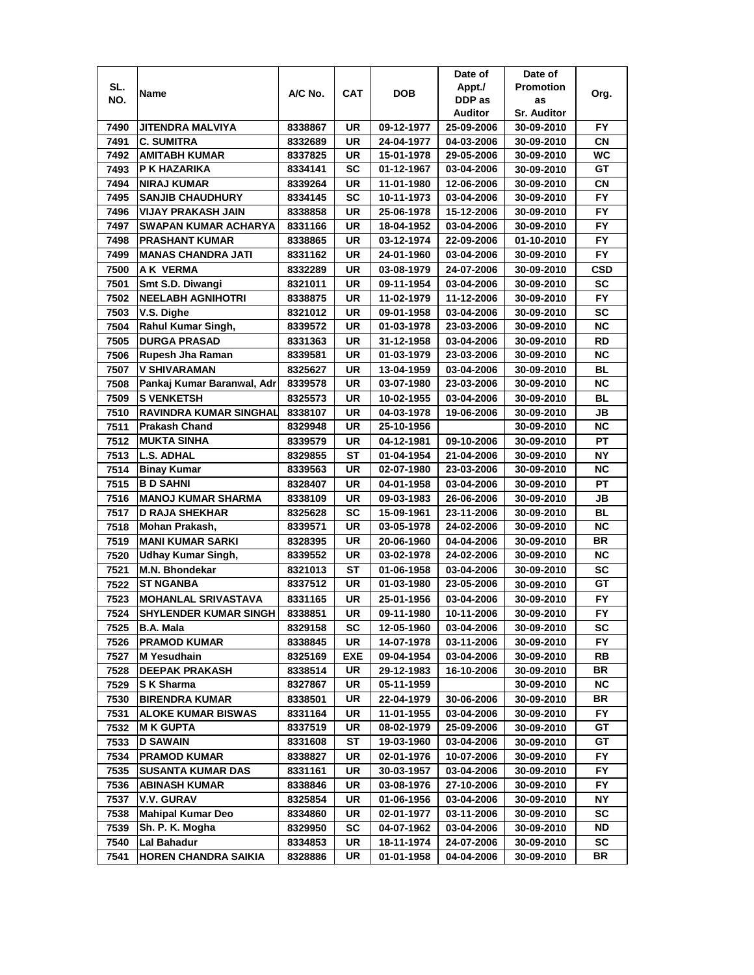|      |                                       |         |            |            | Date of    | Date of            |            |
|------|---------------------------------------|---------|------------|------------|------------|--------------------|------------|
| SL.  | Name                                  | A/C No. | <b>CAT</b> | <b>DOB</b> | Appt./     | <b>Promotion</b>   | Org.       |
| NO.  |                                       |         |            |            | DDP as     | as                 |            |
|      |                                       |         |            |            | Auditor    | <b>Sr. Auditor</b> |            |
| 7490 | JITENDRA MALVIYA                      | 8338867 | UR         | 09-12-1977 | 25-09-2006 | 30-09-2010         | FY         |
| 7491 | <b>C. SUMITRA</b>                     | 8332689 | <b>UR</b>  | 24-04-1977 | 04-03-2006 | 30-09-2010         | CN         |
| 7492 | <b>AMITABH KUMAR</b>                  | 8337825 | UR         | 15-01-1978 | 29-05-2006 | 30-09-2010         | WC         |
| 7493 | P K HAZARIKA                          | 8334141 | <b>SC</b>  | 01-12-1967 | 03-04-2006 | 30-09-2010         | GТ         |
| 7494 | NIRAJ KUMAR                           | 8339264 | UR         | 11-01-1980 | 12-06-2006 | 30-09-2010         | CΝ         |
| 7495 | <b>SANJIB CHAUDHURY</b>               | 8334145 | SC         | 10-11-1973 | 03-04-2006 | 30-09-2010         | <b>FY</b>  |
| 7496 | VIJAY PRAKASH JAIN                    | 8338858 | UR         | 25-06-1978 | 15-12-2006 | 30-09-2010         | <b>FY</b>  |
| 7497 | <b>SWAPAN KUMAR ACHARYA</b>           | 8331166 | UR         | 18-04-1952 | 03-04-2006 | 30-09-2010         | <b>FY</b>  |
| 7498 | <b>PRASHANT KUMAR</b>                 | 8338865 | <b>UR</b>  | 03-12-1974 | 22-09-2006 | 01-10-2010         | <b>FY</b>  |
| 7499 | <b>MANAS CHANDRA JATI</b>             | 8331162 | UR         | 24-01-1960 | 03-04-2006 | 30-09-2010         | <b>FY</b>  |
| 7500 | A K VERMA                             | 8332289 | <b>UR</b>  | 03-08-1979 | 24-07-2006 | 30-09-2010         | <b>CSD</b> |
| 7501 | Smt S.D. Diwangi                      | 8321011 | UR         | 09-11-1954 | 03-04-2006 | 30-09-2010         | SC         |
| 7502 | <b>NEELABH AGNIHOTRI</b>              | 8338875 | UR         | 11-02-1979 | 11-12-2006 | 30-09-2010         | <b>FY</b>  |
| 7503 | V.S. Dighe                            | 8321012 | UR         | 09-01-1958 | 03-04-2006 | 30-09-2010         | SC         |
| 7504 | Rahul Kumar Singh,                    | 8339572 | <b>UR</b>  | 01-03-1978 | 23-03-2006 | 30-09-2010         | <b>NC</b>  |
| 7505 | <b>DURGA PRASAD</b>                   | 8331363 | UR         | 31-12-1958 | 03-04-2006 | 30-09-2010         | RD         |
| 7506 | Rupesh Jha Raman                      | 8339581 | UR         | 01-03-1979 | 23-03-2006 | 30-09-2010         | <b>NC</b>  |
| 7507 | <b>V SHIVARAMAN</b>                   | 8325627 | UR         | 13-04-1959 | 03-04-2006 | 30-09-2010         | <b>BL</b>  |
| 7508 | Pankaj Kumar Baranwal, Adr            | 8339578 | <b>UR</b>  | 03-07-1980 | 23-03-2006 | 30-09-2010         | <b>NC</b>  |
| 7509 | <b>S VENKETSH</b>                     | 8325573 | UR         | 10-02-1955 | 03-04-2006 | 30-09-2010         | <b>BL</b>  |
| 7510 | <b>RAVINDRA KUMAR SINGHAL</b>         | 8338107 | UR         | 04-03-1978 | 19-06-2006 | 30-09-2010         | JВ         |
| 7511 | Prakash Chand                         | 8329948 | UR         | 25-10-1956 |            | 30-09-2010         | <b>NC</b>  |
| 7512 | <b>MUKTA SINHA</b>                    |         | UR         |            |            |                    | PT         |
|      | <b>L.S. ADHAL</b>                     | 8339579 | <b>ST</b>  | 04-12-1981 | 09-10-2006 | 30-09-2010         | <b>NY</b>  |
| 7513 |                                       | 8329855 | UR         | 01-04-1954 | 21-04-2006 | 30-09-2010         | <b>NC</b>  |
| 7514 | <b>Binay Kumar</b><br><b>BD SAHNI</b> | 8339563 |            | 02-07-1980 | 23-03-2006 | 30-09-2010         | <b>PT</b>  |
| 7515 |                                       | 8328407 | <b>UR</b>  | 04-01-1958 | 03-04-2006 | 30-09-2010         |            |
| 7516 | <b>MANOJ KUMAR SHARMA</b>             | 8338109 | <b>UR</b>  | 09-03-1983 | 26-06-2006 | 30-09-2010         | JВ         |
| 7517 | <b>D RAJA SHEKHAR</b>                 | 8325628 | <b>SC</b>  | 15-09-1961 | 23-11-2006 | 30-09-2010         | <b>BL</b>  |
| 7518 | Mohan Prakash,                        | 8339571 | UR         | 03-05-1978 | 24-02-2006 | 30-09-2010         | ΝC         |
| 7519 | <b>MANI KUMAR SARKI</b>               | 8328395 | UR         | 20-06-1960 | 04-04-2006 | 30-09-2010         | ${\sf BR}$ |
| 7520 | Udhay Kumar Singh,                    | 8339552 | UR         | 03-02-1978 | 24-02-2006 | 30-09-2010         | ΝC         |
| 7521 | M.N. Bhondekar                        | 8321013 | ST         | 01-06-1958 | 03-04-2006 | 30-09-2010         | SC         |
| 7522 | ST NGANBA                             | 8337512 | UR         | 01-03-1980 | 23-05-2006 | 30-09-2010         | GT         |
| 7523 | <b>MOHANLAL SRIVASTAVA</b>            | 8331165 | UR         | 25-01-1956 | 03-04-2006 | 30-09-2010         | <b>FY</b>  |
| 7524 | <b>SHYLENDER KUMAR SINGH</b>          | 8338851 | <b>UR</b>  | 09-11-1980 | 10-11-2006 | 30-09-2010         | <b>FY</b>  |
| 7525 | <b>B.A. Mala</b>                      | 8329158 | SC         | 12-05-1960 | 03-04-2006 | 30-09-2010         | sc         |
| 7526 | <b>PRAMOD KUMAR</b>                   | 8338845 | UR         | 14-07-1978 | 03-11-2006 | 30-09-2010         | FY.        |
| 7527 | <b>M</b> Yesudhain                    | 8325169 | <b>EXE</b> | 09-04-1954 | 03-04-2006 | 30-09-2010         | RB         |
| 7528 | <b>DEEPAK PRAKASH</b>                 | 8338514 | UR         | 29-12-1983 | 16-10-2006 | 30-09-2010         | BR         |
| 7529 | S K Sharma                            | 8327867 | UR         | 05-11-1959 |            | 30-09-2010         | <b>NC</b>  |
| 7530 | <b>BIRENDRA KUMAR</b>                 | 8338501 | UR         | 22-04-1979 | 30-06-2006 | 30-09-2010         | BR         |
| 7531 | <b>ALOKE KUMAR BISWAS</b>             | 8331164 | UR         | 11-01-1955 | 03-04-2006 | 30-09-2010         | <b>FY</b>  |
| 7532 | <b>M K GUPTA</b>                      | 8337519 | UR         | 08-02-1979 | 25-09-2006 | 30-09-2010         | GТ         |
| 7533 | <b>D SAWAIN</b>                       | 8331608 | ST         | 19-03-1960 | 03-04-2006 | 30-09-2010         | GТ         |
| 7534 | <b>PRAMOD KUMAR</b>                   | 8338827 | UR         | 02-01-1976 | 10-07-2006 | 30-09-2010         | FΥ         |
| 7535 | <b>SUSANTA KUMAR DAS</b>              | 8331161 | UR         | 30-03-1957 | 03-04-2006 | 30-09-2010         | FY         |
| 7536 | <b>ABINASH KUMAR</b>                  | 8338846 | UR         | 03-08-1976 | 27-10-2006 | 30-09-2010         | FΥ         |
| 7537 | <b>V.V. GURAV</b>                     | 8325854 | UR         | 01-06-1956 | 03-04-2006 | 30-09-2010         | <b>NY</b>  |
| 7538 | <b>Mahipal Kumar Deo</b>              | 8334860 | UR         | 02-01-1977 | 03-11-2006 | 30-09-2010         | SC         |
| 7539 | Sh. P. K. Mogha                       | 8329950 | SC         | 04-07-1962 | 03-04-2006 | 30-09-2010         | ND         |
| 7540 | Lal Bahadur                           | 8334853 | UR         | 18-11-1974 | 24-07-2006 | 30-09-2010         | SC         |
| 7541 | <b>HOREN CHANDRA SAIKIA</b>           | 8328886 | UR         | 01-01-1958 | 04-04-2006 | 30-09-2010         | BR         |
|      |                                       |         |            |            |            |                    |            |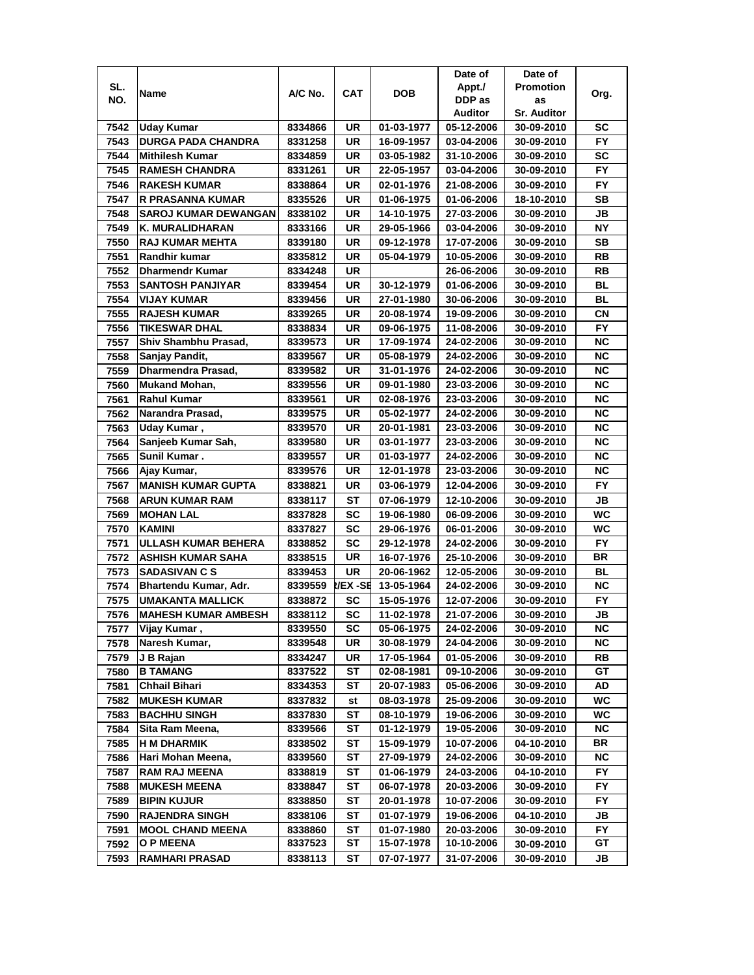|              |                                                    |                    |           |                          | Date of                  | Date of                  |           |
|--------------|----------------------------------------------------|--------------------|-----------|--------------------------|--------------------------|--------------------------|-----------|
| SL.          | Name                                               | A/C No.            | CAT       | <b>DOB</b>               | Appt./                   | <b>Promotion</b>         | Org.      |
| NO.          |                                                    |                    |           |                          | DDP as                   | as                       |           |
|              |                                                    |                    |           |                          | Auditor                  | <b>Sr. Auditor</b>       |           |
| 7542         | Uday Kumar                                         | 8334866            | UR        | 01-03-1977               | 05-12-2006               | 30-09-2010               | SC        |
| 7543         | <b>DURGA PADA CHANDRA</b>                          | 8331258            | UR        | 16-09-1957               | 03-04-2006               | 30-09-2010               | <b>FY</b> |
| 7544         | <b>Mithilesh Kumar</b>                             | 8334859            | UR        | 03-05-1982               | 31-10-2006               | 30-09-2010               | SC        |
| 7545         | <b>RAMESH CHANDRA</b>                              | 8331261            | UR        | 22-05-1957               | 03-04-2006               | 30-09-2010               | FY        |
| 7546         | <b>RAKESH KUMAR</b>                                | 8338864            | UR        | 02-01-1976               | 21-08-2006               | 30-09-2010               | FY        |
| 7547         | R PRASANNA KUMAR                                   | 8335526            | UR        | 01-06-1975               | 01-06-2006               | 18-10-2010               | SВ        |
| 7548         | <b>SAROJ KUMAR DEWANGAN</b>                        | 8338102            | UR        | 14-10-1975               | 27-03-2006               | 30-09-2010               | JB        |
| 7549         | K. MURALIDHARAN                                    | 8333166            | UR        | 29-05-1966               | 03-04-2006               | 30-09-2010               | <b>NY</b> |
| 7550         | <b>RAJ KUMAR MEHTA</b>                             | 8339180            | UR        | 09-12-1978               | 17-07-2006               | 30-09-2010               | SB        |
| 7551         | Randhir kumar                                      | 8335812            | UR        | 05-04-1979               | 10-05-2006               | 30-09-2010               | RB        |
| 7552         | <b>Dharmendr Kumar</b>                             | 8334248            | UR        |                          | 26-06-2006               | 30-09-2010               | RB        |
| 7553         | <b>SANTOSH PANJIYAR</b>                            | 8339454            | UR        | 30-12-1979               | 01-06-2006               | 30-09-2010               | <b>BL</b> |
| 7554         | <b>VIJAY KUMAR</b>                                 | 8339456            | UR        | 27-01-1980               | 30-06-2006               | 30-09-2010               | <b>BL</b> |
| 7555         | <b>RAJESH KUMAR</b>                                | 8339265            | UR        | 20-08-1974               | 19-09-2006               | 30-09-2010               | СN        |
| 7556         | <b>TIKESWAR DHAL</b>                               | 8338834            | UR        | 09-06-1975               | 11-08-2006               | 30-09-2010               | FY.       |
| 7557         | Shiv Shambhu Prasad,                               | 8339573            | UR        | 17-09-1974               | 24-02-2006               | 30-09-2010               | ΝC        |
| 7558         | Sanjay Pandit,                                     | 8339567            | UR        | 05-08-1979               | 24-02-2006               | 30-09-2010               | <b>NC</b> |
| 7559         | <b>Dharmendra Prasad,</b>                          | 8339582            | UR        | 31-01-1976               | 24-02-2006               | 30-09-2010               | <b>NC</b> |
| 7560         | Mukand Mohan,                                      | 8339556            | <b>UR</b> | 09-01-1980               | 23-03-2006               | 30-09-2010               | <b>NC</b> |
| 7561         | <b>Rahul Kumar</b>                                 | 8339561            | UR        | 02-08-1976               | 23-03-2006               | 30-09-2010               | <b>NC</b> |
| 7562         | Narandra Prasad,                                   | 8339575            | <b>UR</b> | 05-02-1977               | 24-02-2006               | 30-09-2010               | <b>NC</b> |
| 7563         | Uday Kumar,                                        | 8339570            | UR        | 20-01-1981               | 23-03-2006               | 30-09-2010               | ΝC        |
| 7564         | Sanjeeb Kumar Sah,                                 | 8339580            | UR        | 03-01-1977               | 23-03-2006               | 30-09-2010               | <b>NC</b> |
| 7565         | Sunil Kumar.                                       | 8339557            | UR        | 01-03-1977               | 24-02-2006               | 30-09-2010               | <b>NC</b> |
|              |                                                    |                    | UR        |                          |                          |                          | <b>NC</b> |
| 7566         | Ajay Kumar,                                        | 8339576            |           | 12-01-1978               | 23-03-2006               | 30-09-2010               |           |
| 7567<br>7568 | <b>MANISH KUMAR GUPTA</b><br><b>ARUN KUMAR RAM</b> | 8338821            | UR<br>ST  | 03-06-1979               | 12-04-2006               | 30-09-2010               | FY.<br>JВ |
| 7569         | <b>MOHAN LAL</b>                                   | 8338117<br>8337828 | SC        | 07-06-1979<br>19-06-1980 | 12-10-2006<br>06-09-2006 | 30-09-2010<br>30-09-2010 | <b>WC</b> |
| 7570         | <b>KAMINI</b>                                      | 8337827            | SC        | 29-06-1976               | 06-01-2006               | 30-09-2010               | WC        |
| 7571         | ULLASH KUMAR BEHERA                                | 8338852            | SC        | 29-12-1978               | 24-02-2006               | 30-09-2010               | <b>FY</b> |
|              |                                                    |                    | UR        |                          |                          |                          | BR        |
| 7572         | <b>ASHISH KUMAR SAHA</b>                           | 8338515            |           | 16-07-1976               | 25-10-2006               | 30-09-2010               |           |
| 7573         | <b>SADASIVAN C S</b>                               | 8339453            | UR        | 20-06-1962               | 12-05-2006               | 30-09-2010               | BL        |
| 7574         | Bhartendu Kumar, Adr.                              | 8339559            | I/EX -SE  | 13-05-1964               | 24-02-2006               | 30-09-2010               | ΝC        |
| 7575         | <b>UMAKANTA MALLICK</b>                            | 8338872            | SC        | 15-05-1976               | 12-07-2006               | 30-09-2010               | FY.       |
| 7576         | <b>MAHESH KUMAR AMBESH</b>                         | 8338112            | <b>SC</b> | 11-02-1978               | 21-07-2006               | 30-09-2010               | JB        |
| 7577         | Vijay Kumar,                                       | 8339550            | <b>SC</b> | 05-06-1975               | 24-02-2006               | 30-09-2010               | ΝC        |
| 7578         | Naresh Kumar,                                      | 8339548            | UR        | 30-08-1979               | 24-04-2006               | 30-09-2010               | <b>NC</b> |
| 7579         | J B Rajan                                          | 8334247            | UR        | 17-05-1964               | 01-05-2006               | 30-09-2010               | RB        |
| 7580         | <b>B TAMANG</b>                                    | 8337522            | ST        | 02-08-1981               | 09-10-2006               | 30-09-2010               | GT        |
| 7581         | <b>Chhail Bihari</b>                               | 8334353            | SТ        | 20-07-1983               | 05-06-2006               | 30-09-2010               | AD        |
| 7582         | <b>MUKESH KUMAR</b>                                | 8337832            | st        | 08-03-1978               | 25-09-2006               | 30-09-2010               | WC        |
| 7583         | <b>BACHHU SINGH</b>                                | 8337830            | ST        | 08-10-1979               | 19-06-2006               | 30-09-2010               | WC        |
| 7584         | Sita Ram Meena,                                    | 8339566            | ST        | 01-12-1979               | 19-05-2006               | 30-09-2010               | <b>NC</b> |
| 7585         | <b>H M DHARMIK</b>                                 | 8338502            | ST        | 15-09-1979               | 10-07-2006               | 04-10-2010               | BR        |
| 7586         | Hari Mohan Meena,                                  | 8339560            | ST        | 27-09-1979               | 24-02-2006               | 30-09-2010               | <b>NC</b> |
| 7587         | <b>RAM RAJ MEENA</b>                               | 8338819            | ST        | 01-06-1979               | 24-03-2006               | 04-10-2010               | <b>FY</b> |
| 7588         | <b>MUKESH MEENA</b>                                | 8338847            | SТ        | 06-07-1978               | 20-03-2006               | 30-09-2010               | FY        |
| 7589         | <b>BIPIN KUJUR</b>                                 | 8338850            | SТ        | 20-01-1978               | 10-07-2006               | 30-09-2010               | FY.       |
| 7590         | <b>RAJENDRA SINGH</b>                              | 8338106            | SТ        | 01-07-1979               | 19-06-2006               | 04-10-2010               | JB        |
| 7591         | <b>MOOL CHAND MEENA</b>                            | 8338860            | ST        | 01-07-1980               | 20-03-2006               | 30-09-2010               | FY        |
| 7592         | <b>O P MEENA</b>                                   | 8337523            | ST        | 15-07-1978               | 10-10-2006               | 30-09-2010               | GТ        |
| 7593         | <b>RAMHARI PRASAD</b>                              | 8338113            | SТ        | 07-07-1977               | 31-07-2006               | 30-09-2010               | JB        |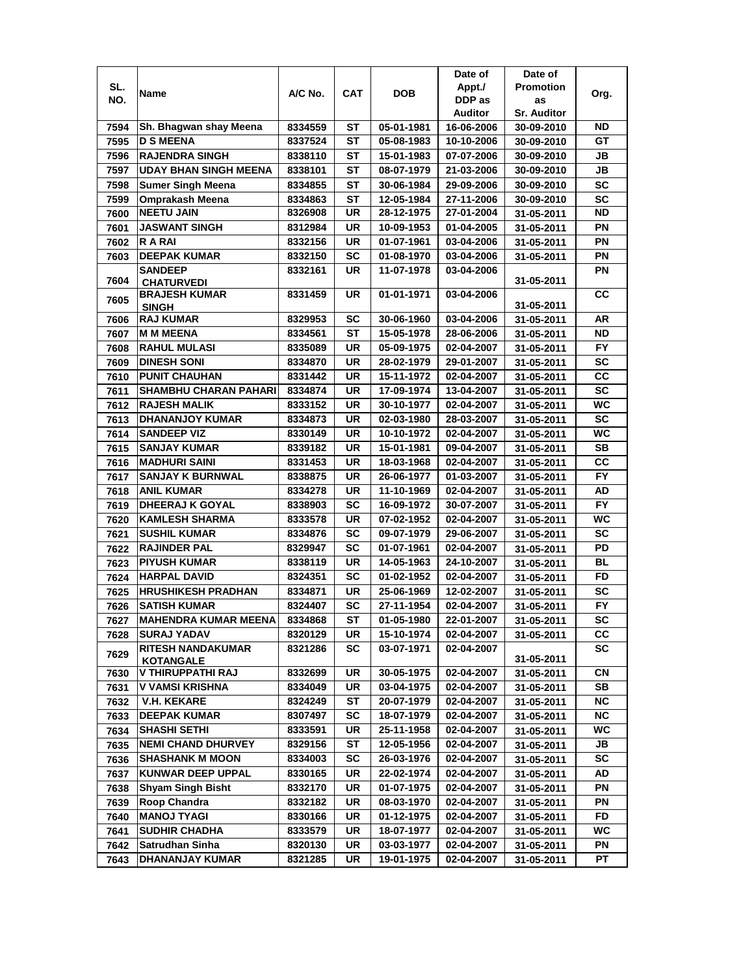|      |                                       |                    |            |            | Date of                  | Date of            |                        |
|------|---------------------------------------|--------------------|------------|------------|--------------------------|--------------------|------------------------|
| SL.  | Name                                  | A/C No.            | <b>CAT</b> | <b>DOB</b> | Appt./                   | <b>Promotion</b>   | Org.                   |
| NO.  |                                       |                    |            |            | DDP as                   | as                 |                        |
|      |                                       |                    |            |            | Auditor                  | <b>Sr. Auditor</b> |                        |
| 7594 | Sh. Bhagwan shay Meena                | 8334559            | SТ         | 05-01-1981 | 16-06-2006               | 30-09-2010         | ND                     |
| 7595 | <b>D S MEENA</b>                      | 8337524            | SТ         | 05-08-1983 | 10-10-2006               | 30-09-2010         | GT                     |
| 7596 | <b>RAJENDRA SINGH</b>                 | 8338110            | SТ         | 15-01-1983 | 07-07-2006               | 30-09-2010         | JB                     |
| 7597 | <b>UDAY BHAN SINGH MEENA</b>          | 8338101            | SТ         | 08-07-1979 | 21-03-2006               | 30-09-2010         | JB                     |
| 7598 | <b>Sumer Singh Meena</b>              | 8334855            | SТ         | 30-06-1984 | 29-09-2006               | 30-09-2010         | <b>SC</b>              |
| 7599 | Omprakash Meena                       | 8334863            | SТ         | 12-05-1984 | 27-11-2006               | 30-09-2010         | <b>SC</b>              |
| 7600 | <b>NEETU JAIN</b>                     | 8326908            | UR         | 28-12-1975 | 27-01-2004               | 31-05-2011         | ND                     |
| 7601 | <b>JASWANT SINGH</b>                  | 8312984            | UR         | 10-09-1953 | 01-04-2005               | 31-05-2011         | PN                     |
| 7602 | <b>RARAI</b>                          | 8332156            | UR         | 01-07-1961 | 03-04-2006               | 31-05-2011         | PN                     |
| 7603 | <b>DEEPAK KUMAR</b>                   | 8332150            | <b>SC</b>  | 01-08-1970 | 03-04-2006               | 31-05-2011         | PN                     |
|      | <b>SANDEEP</b>                        | 8332161            | UR         | 11-07-1978 | 03-04-2006               |                    | PN                     |
| 7604 | <b>CHATURVEDI</b>                     |                    |            |            |                          | 31-05-2011         |                        |
| 7605 | <b>BRAJESH KUMAR</b>                  | 8331459            | UR         | 01-01-1971 | 03-04-2006               | 31-05-2011         | cc                     |
| 7606 | <b>SINGH</b><br><b>RAJ KUMAR</b>      | 8329953            | SC         | 30-06-1960 | 03-04-2006               | 31-05-2011         | AR                     |
| 7607 | <b>M M MEENA</b>                      | 8334561            | <b>ST</b>  | 15-05-1978 | 28-06-2006               | 31-05-2011         | <b>ND</b>              |
| 7608 | <b>RAHUL MULASI</b>                   | 8335089            | UR         | 05-09-1975 | 02-04-2007               | 31-05-2011         | <b>FY</b>              |
| 7609 | <b>DINESH SONI</b>                    | 8334870            | UR         | 28-02-1979 | 29-01-2007               | 31-05-2011         | <b>SC</b>              |
| 7610 | <b>PUNIT CHAUHAN</b>                  | 8331442            | UR         | 15-11-1972 | 02-04-2007               | 31-05-2011         | cc                     |
| 7611 | <b>SHAMBHU CHARAN PAHARI</b>          | 8334874            | UR         | 17-09-1974 | 13-04-2007               | 31-05-2011         | <b>SC</b>              |
| 7612 | <b>RAJESH MALIK</b>                   | 8333152            | UR         | 30-10-1977 | 02-04-2007               |                    | <b>WC</b>              |
| 7613 | <b>DHANANJOY KUMAR</b>                | 8334873            | UR         | 02-03-1980 | 28-03-2007               | 31-05-2011         | <b>SC</b>              |
|      | <b>SANDEEP VIZ</b>                    |                    | UR         | 10-10-1972 |                          | 31-05-2011         | <b>WC</b>              |
| 7614 | <b>SANJAY KUMAR</b>                   | 8330149<br>8339182 | <b>UR</b>  | 15-01-1981 | 02-04-2007<br>09-04-2007 | 31-05-2011         | <b>SB</b>              |
| 7615 | <b>MADHURI SAINI</b>                  |                    | UR         | 18-03-1968 |                          | 31-05-2011         | CC                     |
| 7616 | <b>SANJAY K BURNWAL</b>               | 8331453            | <b>UR</b>  |            | 02-04-2007               | 31-05-2011         | <b>FY</b>              |
| 7617 |                                       | 8338875            |            | 26-06-1977 | 01-03-2007               | 31-05-2011         |                        |
| 7618 | <b>ANIL KUMAR</b>                     | 8334278            | UR         | 11-10-1969 | 02-04-2007               | 31-05-2011         | AD                     |
| 7619 | <b>DHEERAJ K GOYAL</b>                | 8338903            | <b>SC</b>  | 16-09-1972 | 30-07-2007               | 31-05-2011         | <b>FY</b>              |
| 7620 | <b>KAMLESH SHARMA</b>                 | 8333578            | UR         | 07-02-1952 | 02-04-2007               | 31-05-2011         | WC                     |
| 7621 | <b>SUSHIL KUMAR</b>                   | 8334876            | <b>SC</b>  | 09-07-1979 | 29-06-2007               | 31-05-2011         | <b>SC</b>              |
| 7622 | <b>RAJINDER PAL</b>                   | 8329947            | SC         | 01-07-1961 | 02-04-2007               | 31-05-2011         | PD                     |
| 7623 | <b>PIYUSH KUMAR</b>                   | 8338119            | UR         | 14-05-1963 | 24-10-2007               | 31-05-2011         | <b>BL</b>              |
| 7624 | <b>HARPAL DAVID</b>                   | 8324351            | <b>SC</b>  | 01-02-1952 | 02-04-2007               | 31-05-2011         | <b>FD</b>              |
| 7625 | <b>HRUSHIKESH PRADHAN</b>             | 8334871            | UR         | 25-06-1969 | 12-02-2007               | 31-05-2011         | <b>SC</b>              |
| 7626 | <b>SATISH KUMAR</b>                   | 8324407            | <b>SC</b>  | 27-11-1954 | 02-04-2007               | 31-05-2011         | <b>FY</b>              |
| 7627 | <b>MAHENDRA KUMAR MEENA</b>           | 8334868            | <b>ST</b>  | 01-05-1980 | 22-01-2007               | 31-05-2011         | $\overline{\text{sc}}$ |
| 7628 | <b>SURAJ YADAV</b>                    | 8320129            | UR         | 15-10-1974 | 02-04-2007               | 31-05-2011         | CС                     |
| 7629 | <b>RITESH NANDAKUMAR</b>              | 8321286            | SC         | 03-07-1971 | 02-04-2007               |                    | SC                     |
|      | <b>KOTANGALE</b><br>V THIRUPPATHI RAJ | 8332699            | UR         | 30-05-1975 | 02-04-2007               | 31-05-2011         | CN                     |
| 7630 | <b>V VAMSI KRISHNA</b>                | 8334049            | UR         | 03-04-1975 | 02-04-2007               | 31-05-2011         | SB                     |
| 7631 | <b>V.H. KEKARE</b>                    | 8324249            | ST         | 20-07-1979 | 02-04-2007               | 31-05-2011         | <b>NC</b>              |
| 7632 | <b>DEEPAK KUMAR</b>                   |                    | <b>SC</b>  | 18-07-1979 | 02-04-2007               | 31-05-2011         | NC.                    |
| 7633 | <b>SHASHI SETHI</b>                   | 8307497            | UR         | 25-11-1958 | 02-04-2007               | 31-05-2011         | <b>WC</b>              |
| 7634 |                                       | 8333591            |            |            |                          | 31-05-2011         |                        |
| 7635 | <b>NEMI CHAND DHURVEY</b>             | 8329156            | ST         | 12-05-1956 | 02-04-2007               | 31-05-2011         | JB                     |
| 7636 | <b>SHASHANK M MOON</b>                | 8334003            | <b>SC</b>  | 26-03-1976 | 02-04-2007               | 31-05-2011         | SC                     |
| 7637 | <b>KUNWAR DEEP UPPAL</b>              | 8330165            | UR         | 22-02-1974 | 02-04-2007               | 31-05-2011         | AD                     |
| 7638 | <b>Shyam Singh Bisht</b>              | 8332170            | UR         | 01-07-1975 | 02-04-2007               | 31-05-2011         | PN                     |
| 7639 | <b>Roop Chandra</b>                   | 8332182            | UR         | 08-03-1970 | 02-04-2007               | 31-05-2011         | PN                     |
| 7640 | <b>MANOJ TYAGI</b>                    | 8330166            | UR         | 01-12-1975 | 02-04-2007               | 31-05-2011         | <b>FD</b>              |
| 7641 | <b>SUDHIR CHADHA</b>                  | 8333579            | UR         | 18-07-1977 | 02-04-2007               | 31-05-2011         | <b>WC</b>              |
| 7642 | <b>Satrudhan Sinha</b>                | 8320130            | UR         | 03-03-1977 | 02-04-2007               | 31-05-2011         | ΡN                     |
| 7643 | <b>DHANANJAY KUMAR</b>                | 8321285            | UR         | 19-01-1975 | 02-04-2007               | 31-05-2011         | PT                     |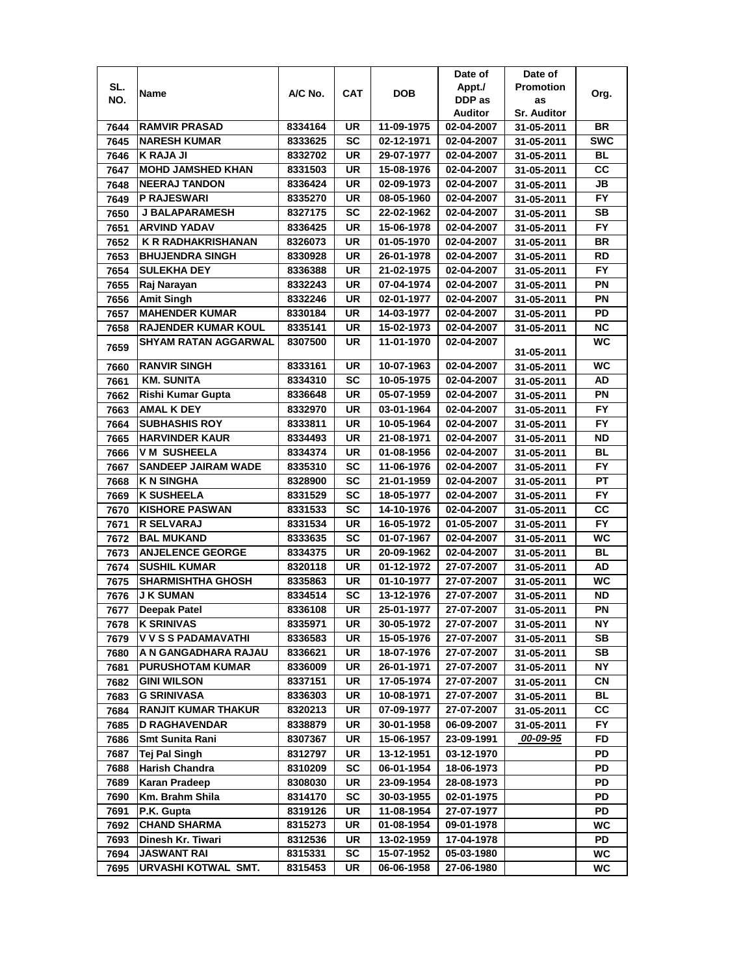|      |                             |         |            |            | Date of    | Date of            |            |
|------|-----------------------------|---------|------------|------------|------------|--------------------|------------|
| SL.  | Name                        | A/C No. | <b>CAT</b> | <b>DOB</b> | Appt./     | <b>Promotion</b>   | Org.       |
| NO.  |                             |         |            |            | DDP as     | as                 |            |
|      |                             |         |            |            | Auditor    | <b>Sr. Auditor</b> |            |
| 7644 | <b>RAMVIR PRASAD</b>        | 8334164 | UR         | 11-09-1975 | 02-04-2007 | 31-05-2011         | BR         |
| 7645 | <b>NARESH KUMAR</b>         | 8333625 | <b>SC</b>  | 02-12-1971 | 02-04-2007 | 31-05-2011         | <b>SWC</b> |
| 7646 | <b>K RAJA JI</b>            | 8332702 | UR         | 29-07-1977 | 02-04-2007 | 31-05-2011         | <b>BL</b>  |
| 7647 | <b>MOHD JAMSHED KHAN</b>    | 8331503 | <b>UR</b>  | 15-08-1976 | 02-04-2007 | 31-05-2011         | cc         |
| 7648 | <b>NEERAJ TANDON</b>        | 8336424 | <b>UR</b>  | 02-09-1973 | 02-04-2007 | 31-05-2011         | <b>JB</b>  |
| 7649 | <b>P RAJESWARI</b>          | 8335270 | UR         | 08-05-1960 | 02-04-2007 | 31-05-2011         | <b>FY</b>  |
| 7650 | <b>J BALAPARAMESH</b>       | 8327175 | SC         | 22-02-1962 | 02-04-2007 | 31-05-2011         | SВ         |
| 7651 | <b>ARVIND YADAV</b>         | 8336425 | <b>UR</b>  | 15-06-1978 | 02-04-2007 | 31-05-2011         | <b>FY</b>  |
| 7652 | <b>K R RADHAKRISHANAN</b>   | 8326073 | <b>UR</b>  | 01-05-1970 | 02-04-2007 | 31-05-2011         | <b>BR</b>  |
| 7653 | <b>BHUJENDRA SINGH</b>      | 8330928 | <b>UR</b>  | 26-01-1978 | 02-04-2007 | 31-05-2011         | <b>RD</b>  |
| 7654 | <b>SULEKHA DEY</b>          | 8336388 | UR         | 21-02-1975 | 02-04-2007 | 31-05-2011         | <b>FY</b>  |
| 7655 | Raj Narayan                 | 8332243 | <b>UR</b>  | 07-04-1974 | 02-04-2007 | 31-05-2011         | PN         |
| 7656 | <b>Amit Singh</b>           | 8332246 | <b>UR</b>  | 02-01-1977 | 02-04-2007 | 31-05-2011         | PN         |
| 7657 | <b>MAHENDER KUMAR</b>       | 8330184 | <b>UR</b>  | 14-03-1977 | 02-04-2007 | 31-05-2011         | PD         |
| 7658 | <b>RAJENDER KUMAR KOUL</b>  | 8335141 | UR         | 15-02-1973 | 02-04-2007 | 31-05-2011         | ΝC         |
|      | <b>SHYAM RATAN AGGARWAL</b> | 8307500 | <b>UR</b>  | 11-01-1970 | 02-04-2007 |                    | <b>WC</b>  |
| 7659 |                             |         |            |            |            | 31-05-2011         |            |
| 7660 | <b>RANVIR SINGH</b>         | 8333161 | <b>UR</b>  | 10-07-1963 | 02-04-2007 | 31-05-2011         | <b>WC</b>  |
| 7661 | <b>KM. SUNITA</b>           | 8334310 | <b>SC</b>  | 10-05-1975 | 02-04-2007 | 31-05-2011         | <b>AD</b>  |
| 7662 | Rishi Kumar Gupta           | 8336648 | <b>UR</b>  | 05-07-1959 | 02-04-2007 | 31-05-2011         | PN         |
| 7663 | <b>AMAL K DEY</b>           | 8332970 | <b>UR</b>  | 03-01-1964 | 02-04-2007 | 31-05-2011         | <b>FY</b>  |
| 7664 | <b>SUBHASHIS ROY</b>        | 8333811 | UR         | 10-05-1964 | 02-04-2007 | 31-05-2011         | FY         |
| 7665 | <b>HARVINDER KAUR</b>       | 8334493 | <b>UR</b>  | 21-08-1971 | 02-04-2007 | 31-05-2011         | ND         |
| 7666 | <b>VM SUSHEELA</b>          | 8334374 | UR         | 01-08-1956 | 02-04-2007 | 31-05-2011         | BL         |
| 7667 | <b>SANDEEP JAIRAM WADE</b>  | 8335310 | <b>SC</b>  | 11-06-1976 | 02-04-2007 | 31-05-2011         | <b>FY</b>  |
| 7668 | <b>K N SINGHA</b>           | 8328900 | <b>SC</b>  | 21-01-1959 | 02-04-2007 | 31-05-2011         | <b>PT</b>  |
| 7669 | <b>K SUSHEELA</b>           | 8331529 | <b>SC</b>  | 18-05-1977 | 02-04-2007 | 31-05-2011         | <b>FY</b>  |
| 7670 | <b>KISHORE PASWAN</b>       | 8331533 | <b>SC</b>  | 14-10-1976 | 02-04-2007 | 31-05-2011         | cc         |
| 7671 | <b>R SELVARAJ</b>           | 8331534 | <b>UR</b>  | 16-05-1972 | 01-05-2007 | 31-05-2011         | <b>FY</b>  |
| 7672 | <b>BAL MUKAND</b>           | 8333635 | <b>SC</b>  | 01-07-1967 | 02-04-2007 | 31-05-2011         | <b>WC</b>  |
| 7673 | <b>ANJELENCE GEORGE</b>     | 8334375 | <b>UR</b>  | 20-09-1962 | 02-04-2007 | 31-05-2011         | BL         |
| 7674 | <b>SUSHIL KUMAR</b>         | 8320118 | <b>UR</b>  | 01-12-1972 | 27-07-2007 | 31-05-2011         | AD         |
| 7675 | <b>SHARMISHTHA GHOSH</b>    | 8335863 | UR         | 01-10-1977 | 27-07-2007 | 31-05-2011         | <b>WC</b>  |
| 7676 | <b>J K SUMAN</b>            | 8334514 | <b>SC</b>  | 13-12-1976 | 27-07-2007 | 31-05-2011         | <b>ND</b>  |
| 7677 | <b>Deepak Patel</b>         | 8336108 | <b>UR</b>  | 25-01-1977 | 27-07-2007 | 31-05-2011         | PN         |
| 7678 | <b>K SRINIVAS</b>           | 8335971 | UR         | 30-05-1972 | 27-07-2007 | 31-05-2011         | NΥ         |
| 7679 | V V S S PADAMAVATHI         | 8336583 | UR         | 15-05-1976 | 27-07-2007 | 31-05-2011         | <b>SB</b>  |
| 7680 | A N GANGADHARA RAJAU        | 8336621 | UR         | 18-07-1976 | 27-07-2007 | 31-05-2011         | SB         |
| 7681 | <b>PURUSHOTAM KUMAR</b>     | 8336009 | UR         | 26-01-1971 | 27-07-2007 | 31-05-2011         | NΥ         |
| 7682 | <b>GINI WILSON</b>          | 8337151 | UR         | 17-05-1974 | 27-07-2007 | 31-05-2011         | CN         |
|      | <b>G SRINIVASA</b>          | 8336303 | UR         | 10-08-1971 | 27-07-2007 | 31-05-2011         | BL         |
| 7683 | <b>RANJIT KUMAR THAKUR</b>  |         |            | 07-09-1977 |            |                    | CС         |
| 7684 |                             | 8320213 | UR         |            | 27-07-2007 | 31-05-2011         |            |
| 7685 | <b>D RAGHAVENDAR</b>        | 8338879 | UR         | 30-01-1958 | 06-09-2007 | 31-05-2011         | FY         |
| 7686 | Smt Sunita Rani             | 8307367 | UR         | 15-06-1957 | 23-09-1991 | 00-09-95           | FD         |
| 7687 | <b>Tej Pal Singh</b>        | 8312797 | UR         | 13-12-1951 | 03-12-1970 |                    | PD         |
| 7688 | <b>Harish Chandra</b>       | 8310209 | <b>SC</b>  | 06-01-1954 | 18-06-1973 |                    | PD         |
| 7689 | Karan Pradeep               | 8308030 | UR         | 23-09-1954 | 28-08-1973 |                    | PD         |
| 7690 | Km. Brahm Shila             | 8314170 | <b>SC</b>  | 30-03-1955 | 02-01-1975 |                    | PD         |
| 7691 | P.K. Gupta                  | 8319126 | UR         | 11-08-1954 | 27-07-1977 |                    | PD         |
| 7692 | <b>CHAND SHARMA</b>         | 8315273 | UR         | 01-08-1954 | 09-01-1978 |                    | WC         |
| 7693 | Dinesh Kr. Tiwari           | 8312536 | UR         | 13-02-1959 | 17-04-1978 |                    | PD         |
| 7694 | <b>JASWANT RAI</b>          | 8315331 | <b>SC</b>  | 15-07-1952 | 05-03-1980 |                    | <b>WC</b>  |
| 7695 | <b>URVASHI KOTWAL SMT.</b>  | 8315453 | UR         | 06-06-1958 | 27-06-1980 |                    | WC         |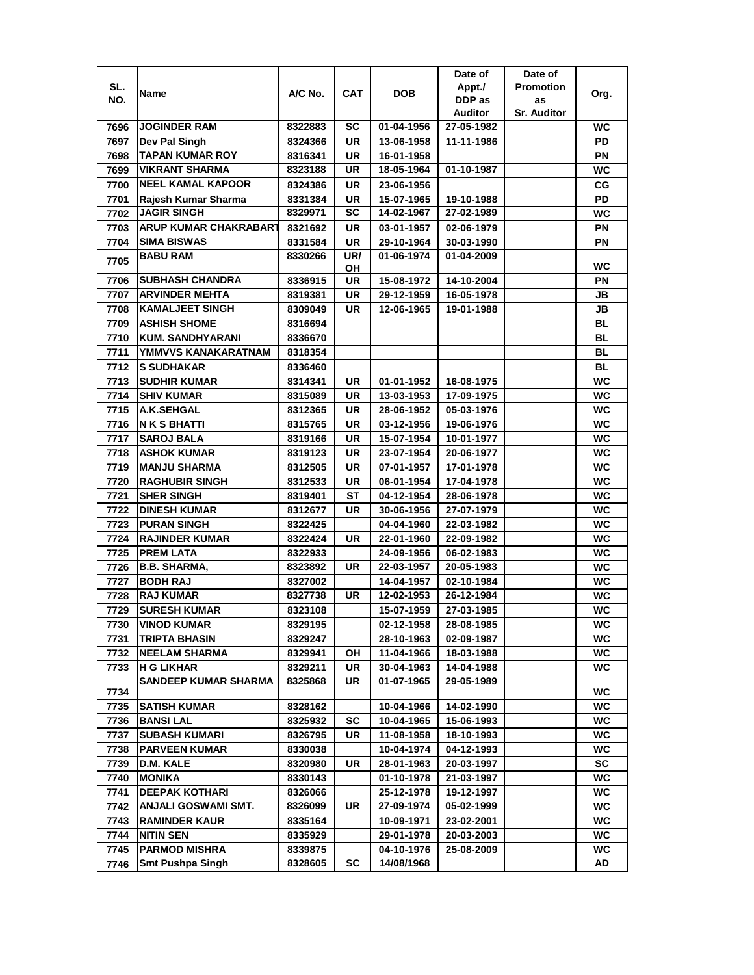|      |                             |         |           |            | Date of        | Date of            |           |
|------|-----------------------------|---------|-----------|------------|----------------|--------------------|-----------|
| SL.  | Name                        | A/C No. | CAT       | <b>DOB</b> | Appt./         | <b>Promotion</b>   |           |
| NO.  |                             |         |           |            | DDP as         | as                 | Org.      |
|      |                             |         |           |            | <b>Auditor</b> | <b>Sr. Auditor</b> |           |
| 7696 | <b>JOGINDER RAM</b>         | 8322883 | SC        | 01-04-1956 | 27-05-1982     |                    | WC        |
| 7697 | Dev Pal Singh               | 8324366 | UR        | 13-06-1958 | 11-11-1986     |                    | PD        |
| 7698 | <b>TAPAN KUMAR ROY</b>      | 8316341 | UR        | 16-01-1958 |                |                    | PN        |
| 7699 | <b>VIKRANT SHARMA</b>       | 8323188 | UR        | 18-05-1964 | 01-10-1987     |                    | <b>WC</b> |
| 7700 | <b>INEEL KAMAL KAPOOR</b>   | 8324386 | UR        | 23-06-1956 |                |                    | СG        |
| 7701 | Rajesh Kumar Sharma         | 8331384 | UR        | 15-07-1965 | 19-10-1988     |                    | PD        |
| 7702 | <b>JAGIR SINGH</b>          | 8329971 | <b>SC</b> | 14-02-1967 | 27-02-1989     |                    | WC        |
| 7703 | ARUP KUMAR CHAKRABAR1       | 8321692 | UR        | 03-01-1957 | 02-06-1979     |                    | ΡN        |
| 7704 | <b>SIMA BISWAS</b>          | 8331584 | UR        | 29-10-1964 | 30-03-1990     |                    | PN        |
| 7705 | <b>BABU RAM</b>             | 8330266 | UR/<br>ОH | 01-06-1974 | 01-04-2009     |                    | <b>WC</b> |
| 7706 | <b>SUBHASH CHANDRA</b>      | 8336915 | UR        | 15-08-1972 | 14-10-2004     |                    | <b>PN</b> |
| 7707 | <b>ARVINDER MEHTA</b>       | 8319381 | UR        | 29-12-1959 | 16-05-1978     |                    | JB        |
| 7708 | KAMALJEET SINGH             | 8309049 | UR        | 12-06-1965 | 19-01-1988     |                    | JB        |
| 7709 | ASHISH SHOME                | 8316694 |           |            |                |                    | BL        |
| 7710 | KUM. SANDHYARANI            | 8336670 |           |            |                |                    | BL        |
| 7711 | YMMVVS KANAKARATNAM         | 8318354 |           |            |                |                    | BL        |
| 7712 | <b>S SUDHAKAR</b>           | 8336460 |           |            |                |                    | BL        |
| 7713 | <b>SUDHIR KUMAR</b>         | 8314341 | UR        | 01-01-1952 | 16-08-1975     |                    | <b>WC</b> |
| 7714 | <b>SHIV KUMAR</b>           | 8315089 | UR        | 13-03-1953 | 17-09-1975     |                    | <b>WC</b> |
| 7715 | A.K.SEHGAL                  | 8312365 | UR        | 28-06-1952 | 05-03-1976     |                    | <b>WC</b> |
| 7716 | <b>N K S BHATTI</b>         | 8315765 | UR        | 03-12-1956 | 19-06-1976     |                    | <b>WC</b> |
| 7717 | <b>ISAROJ BALA</b>          | 8319166 | UR        | 15-07-1954 | 10-01-1977     |                    | <b>WC</b> |
| 7718 | <b>ASHOK KUMAR</b>          | 8319123 | UR        | 23-07-1954 | 20-06-1977     |                    | <b>WC</b> |
| 7719 | MANJU SHARMA                | 8312505 | UR        | 07-01-1957 | 17-01-1978     |                    | WC        |
| 7720 | <b>RAGHUBIR SINGH</b>       | 8312533 | UR        | 06-01-1954 | 17-04-1978     |                    | WC        |
| 7721 | <b>SHER SINGH</b>           | 8319401 | SТ        | 04-12-1954 | 28-06-1978     |                    | <b>WC</b> |
| 7722 | <b>DINESH KUMAR</b>         | 8312677 | UR        | 30-06-1956 | 27-07-1979     |                    | WC        |
| 7723 | <b>PURAN SINGH</b>          | 8322425 |           | 04-04-1960 | 22-03-1982     |                    | <b>WC</b> |
| 7724 | RAJINDER KUMAR              | 8322424 | UR        | 22-01-1960 | 22-09-1982     |                    | WC        |
| 7725 | <b>PREM LATA</b>            | 8322933 |           | 24-09-1956 | 06-02-1983     |                    | <b>WC</b> |
| 7726 | B.B. SHARMA.                | 8323892 | UR        | 22-03-1957 | 20-05-1983     |                    | <b>WC</b> |
| 7727 | <b>BODH RAJ</b>             | 8327002 |           | 14-04-1957 | 02-10-1984     |                    | <b>WC</b> |
| 7728 | <b>RAJ KUMAR</b>            | 8327738 | UR        | 12-02-1953 | 26-12-1984     |                    | wс        |
| 7729 | <b>SURESH KUMAR</b>         | 8323108 |           | 15-07-1959 | 27-03-1985     |                    | <b>WC</b> |
| 7730 | <b>VINOD KUMAR</b>          | 8329195 |           | 02-12-1958 | 28-08-1985     |                    | WC        |
| 7731 | <b>TRIPTA BHASIN</b>        | 8329247 |           | 28-10-1963 | 02-09-1987     |                    | <b>WC</b> |
| 7732 | <b>INEELAM SHARMA</b>       | 8329941 | OН        | 11-04-1966 | 18-03-1988     |                    | WC        |
| 7733 | <b>H G LIKHAR</b>           | 8329211 | UR        | 30-04-1963 | 14-04-1988     |                    | WC        |
| 7734 | <b>SANDEEP KUMAR SHARMA</b> | 8325868 | UR        | 01-07-1965 | 29-05-1989     |                    | <b>WC</b> |
| 7735 | <b>SATISH KUMAR</b>         | 8328162 |           | 10-04-1966 | 14-02-1990     |                    | <b>WC</b> |
| 7736 | <b>BANSI LAL</b>            | 8325932 | <b>SC</b> | 10-04-1965 | 15-06-1993     |                    | WC.       |
| 7737 | <b>SUBASH KUMARI</b>        | 8326795 | UR        | 11-08-1958 | 18-10-1993     |                    | <b>WC</b> |
| 7738 | <b>PARVEEN KUMAR</b>        | 8330038 |           | 10-04-1974 | 04-12-1993     |                    | WC        |
| 7739 | <b>D.M. KALE</b>            | 8320980 | UR        | 28-01-1963 | 20-03-1997     |                    | SC        |
| 7740 | <b>MONIKA</b>               | 8330143 |           | 01-10-1978 | 21-03-1997     |                    | WC        |
| 7741 | <b>DEEPAK KOTHARI</b>       | 8326066 |           | 25-12-1978 | 19-12-1997     |                    | <b>WC</b> |
| 7742 | ANJALI GOSWAMI SMT.         | 8326099 | UR        | 27-09-1974 | 05-02-1999     |                    | <b>WC</b> |
| 7743 | <b>RAMINDER KAUR</b>        | 8335164 |           | 10-09-1971 | 23-02-2001     |                    | WC        |
| 7744 | <b>NITIN SEN</b>            | 8335929 |           | 29-01-1978 | 20-03-2003     |                    | WC.       |
| 7745 | <b>PARMOD MISHRA</b>        | 8339875 |           | 04-10-1976 | 25-08-2009     |                    | WC        |
| 7746 | <b>Smt Pushpa Singh</b>     | 8328605 | SC        | 14/08/1968 |                |                    | AD        |
|      |                             |         |           |            |                |                    |           |